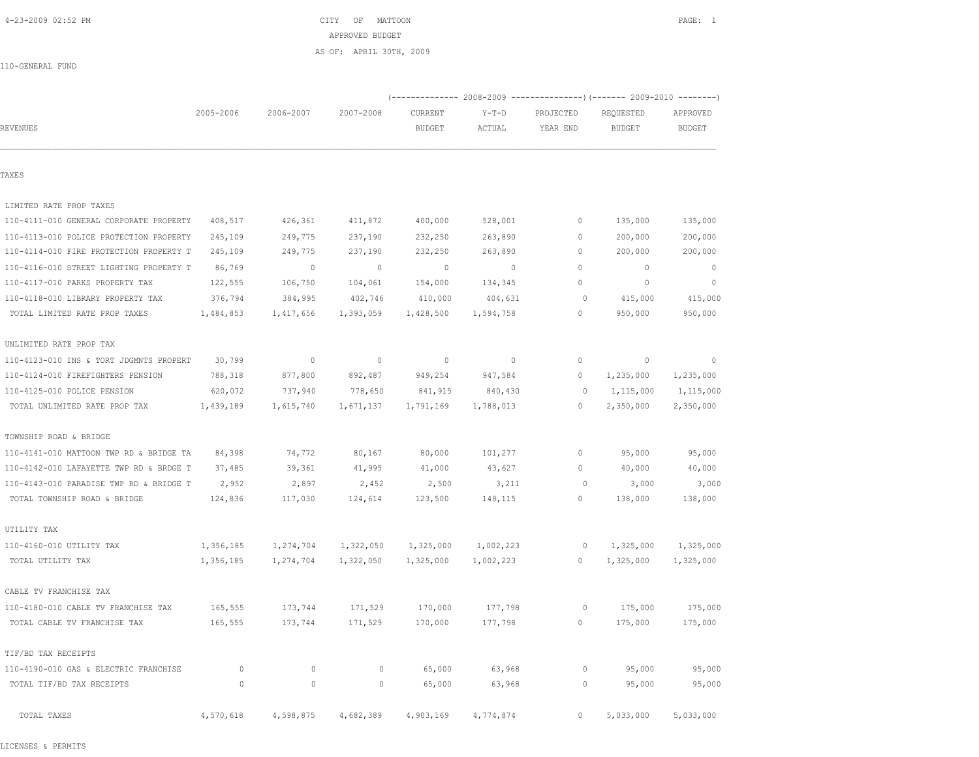| TAXES                                   |           |              |             |              |           |             |             |             |
|-----------------------------------------|-----------|--------------|-------------|--------------|-----------|-------------|-------------|-------------|
| LIMITED RATE PROP TAXES                 |           |              |             |              |           |             |             |             |
| 110-4111-010 GENERAL CORPORATE PROPERTY | 408,517   | 426,361      | 411,872     | 400,000      | 528,001   | 0           | 135,000     | 135,000     |
| 110-4113-010 POLICE PROTECTION PROPERTY | 245,109   | 249,775      | 237,190     | 232,250      | 263,890   | 0           | 200,000     | 200,000     |
| 110-4114-010 FIRE PROTECTION PROPERTY T | 245,109   | 249,775      | 237,190     | 232,250      | 263,890   | 0           | 200,000     | 200,000     |
| 110-4116-010 STREET LIGHTING PROPERTY T | 86,769    | $\mathbf{0}$ | $\mathbf 0$ | $\mathbf{0}$ | $\circ$   | $\mathbf 0$ | $\mathbf 0$ | $\circ$     |
| 110-4117-010 PARKS PROPERTY TAX         | 122,555   | 106,750      | 104,061     | 154,000      | 134,345   | $\mathbb O$ | $\mathbf 0$ | $\mathbf 0$ |
| 110-4118-010 LIBRARY PROPERTY TAX       | 376,794   | 384,995      | 402,746     | 410,000      | 404,631   | 0           | 415,000     | 415,000     |
| TOTAL LIMITED RATE PROP TAXES           | 1,484,853 | 1,417,656    | 1,393,059   | 1,428,500    | 1,594,758 | $\mathbb O$ | 950,000     | 950,000     |
| UNLIMITED RATE PROP TAX                 |           |              |             |              |           |             |             |             |
| 110-4123-010 INS & TORT JDGMNTS PROPERT | 30,799    | $\circ$      | $\circ$     | $\circ$      | $\circ$   | $\mathbb O$ | $\mathbb O$ | 0           |
| 110-4124-010 FIREFIGHTERS PENSION       | 788,318   | 877,800      | 892,487     | 949,254      | 947,584   | $\mathbb O$ | 1,235,000   | 1,235,000   |
| 110-4125-010 POLICE PENSION             | 620,072   | 737,940      | 778,650     | 841,915      | 840,430   | $\circ$     | 1,115,000   | 1,115,000   |
| TOTAL UNLIMITED RATE PROP TAX           | 1,439,189 | 1,615,740    | 1,671,137   | 1,791,169    | 1,788,013 | $\circ$     | 2,350,000   | 2,350,000   |
| TOWNSHIP ROAD & BRIDGE                  |           |              |             |              |           |             |             |             |
| 110-4141-010 MATTOON TWP RD & BRIDGE TA | 84,398    | 74,772       | 80,167      | 80,000       | 101,277   | $\mathbb O$ | 95,000      | 95,000      |
| 110-4142-010 LAFAYETTE TWP RD & BRDGE T | 37,485    | 39,361       | 41,995      | 41,000       | 43,627    | $\circ$     | 40,000      | 40,000      |
| 110-4143-010 PARADISE TWP RD & BRIDGE T | 2,952     | 2,897        | 2,452       | 2,500        | 3,211     | $\circ$     | 3,000       | 3,000       |
| TOTAL TOWNSHIP ROAD & BRIDGE            | 124,836   | 117,030      | 124,614     | 123,500      | 148,115   | 0           | 138,000     | 138,000     |
| UTILITY TAX                             |           |              |             |              |           |             |             |             |
| 110-4160-010 UTILITY TAX                | 1,356,185 | 1,274,704    | 1,322,050   | 1,325,000    | 1,002,223 | 0           | 1,325,000   | 1,325,000   |
| TOTAL UTILITY TAX                       | 1,356,185 | 1,274,704    | 1,322,050   | 1,325,000    | 1,002,223 | 0           | 1,325,000   | 1,325,000   |
| CABLE TV FRANCHISE TAX                  |           |              |             |              |           |             |             |             |
| 110-4180-010 CABLE TV FRANCHISE TAX     | 165,555   | 173,744      | 171,529     | 170,000      | 177,798   | 0           | 175,000     | 175,000     |
| TOTAL CABLE TV FRANCHISE TAX            | 165,555   | 173,744      | 171,529     | 170,000      | 177,798   | 0           | 175,000     | 175,000     |
| TIF/BD TAX RECEIPTS                     |           |              |             |              |           |             |             |             |
| 110-4190-010 GAS & ELECTRIC FRANCHISE   | $\circ$   | $\circ$      | $\circ$     | 65,000       | 63,968    | $\circ$     | 95,000      | 95,000      |
| TOTAL TIF/BD TAX RECEIPTS               | $\circ$   | $\circ$      | 0           | 65,000       | 63,968    | $\circ$     | 95,000      | 95,000      |
| TOTAL TAXES                             | 4,570,618 | 4,598,875    | 4,682,389   | 4,903,169    | 4,774,874 | 0           | 5,033,000   | 5,033,000   |

110-GENERAL FUND

LICENSES & PERMITS

 4-23-2009 02:52 PM CITY OF MATTOON PAGE: 1 APPROVED BUDGET AS OF: APRIL 30TH, 2009

REVENUES BUDGET ACTUAL YEAR END BUDGET BUDGET

2005-2006 2006-2007 2007-2008 CURRENT Y-T-D PROJECTED REQUESTED APPROVED

(-------------- 2008-2009 ---------------)(------- 2009-2010 --------)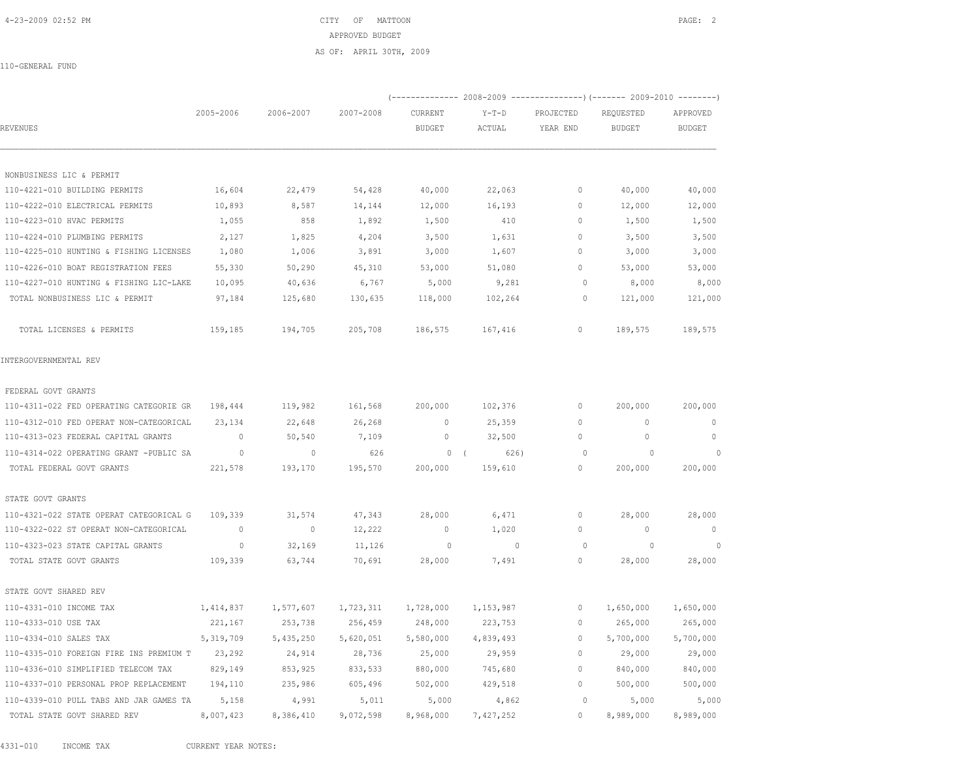4-23-2009 02:52 PM CITY OF MATTOON PAGE: 2 APPROVED BUDGET AS OF: APRIL 30TH, 2009

110-GENERAL FUND

|                                         |                          |                          |           |                          |                          |                       | (-------------- 2008-2009 ---------------) (------- 2009-2010 --------) |                           |
|-----------------------------------------|--------------------------|--------------------------|-----------|--------------------------|--------------------------|-----------------------|-------------------------------------------------------------------------|---------------------------|
| REVENUES                                | 2005-2006                | 2006-2007                | 2007-2008 | CURRENT<br><b>BUDGET</b> | $Y-T-D$<br>ACTUAL        | PROJECTED<br>YEAR END | REQUESTED<br><b>BUDGET</b>                                              | APPROVED<br><b>BUDGET</b> |
|                                         |                          |                          |           |                          |                          |                       |                                                                         |                           |
| NONBUSINESS LIC & PERMIT                |                          |                          |           |                          |                          |                       |                                                                         |                           |
| 110-4221-010 BUILDING PERMITS           | 16,604                   | 22,479                   | 54,428    | 40,000                   | 22,063                   | 0                     | 40,000                                                                  | 40,000                    |
| 110-4222-010 ELECTRICAL PERMITS         | 10,893                   | 8,587                    | 14,144    | 12,000                   | 16,193                   | $\mathbf{0}$          | 12,000                                                                  | 12,000                    |
| 110-4223-010 HVAC PERMITS               | 1,055                    | 858                      | 1,892     | 1,500                    | 410                      | $\Omega$              | 1,500                                                                   | 1,500                     |
| 110-4224-010 PLUMBING PERMITS           | 2,127                    | 1,825                    | 4,204     | 3,500                    | 1,631                    | $\mathbf{0}$          | 3,500                                                                   | 3,500                     |
| 110-4225-010 HUNTING & FISHING LICENSES | 1,080                    | 1,006                    | 3,891     | 3,000                    | 1,607                    | 0                     | 3,000                                                                   | 3,000                     |
| 110-4226-010 BOAT REGISTRATION FEES     | 55,330                   | 50,290                   | 45,310    | 53,000                   | 51,080                   | $\Omega$              | 53,000                                                                  | 53,000                    |
| 110-4227-010 HUNTING & FISHING LIC-LAKE | 10,095                   | 40,636                   | 6,767     | 5,000                    | 9,281                    | $\Omega$              | 8,000                                                                   | 8,000                     |
| TOTAL NONBUSINESS LIC & PERMIT          | 97,184                   | 125,680                  | 130,635   | 118,000                  | 102,264                  | $\circ$               | 121,000                                                                 | 121,000                   |
| TOTAL LICENSES & PERMITS                | 159,185                  | 194,705                  | 205,708   | 186,575                  | 167,416                  | $\circ$               | 189,575                                                                 | 189,575                   |
| INTERGOVERNMENTAL REV                   |                          |                          |           |                          |                          |                       |                                                                         |                           |
| FEDERAL GOVT GRANTS                     |                          |                          |           |                          |                          |                       |                                                                         |                           |
| 110-4311-022 FED OPERATING CATEGORIE GR | 198,444                  | 119,982                  | 161,568   | 200,000                  | 102,376                  | $\circ$               | 200,000                                                                 | 200,000                   |
| 110-4312-010 FED OPERAT NON-CATEGORICAL | 23,134                   | 22,648                   | 26,268    | $\mathbf{0}$             | 25,359                   | $\mathbf{0}$          | $\mathbf{0}$                                                            | $\overline{0}$            |
| 110-4313-023 FEDERAL CAPITAL GRANTS     | $\overline{0}$           | 50,540                   | 7,109     | $\mathbf 0$              | 32,500                   | 0                     | $\circ$                                                                 | $\mathbf{0}$              |
| 110-4314-022 OPERATING GRANT -PUBLIC SA | $\sim$ 0                 | $\mathbf 0$              | 626       | 0(                       | 626)                     | $\circ$               | $\circ$                                                                 | $\overline{0}$            |
| TOTAL FEDERAL GOVT GRANTS               | 221,578                  | 193,170                  | 195,570   | 200,000                  | 159,610                  | 0                     | 200,000                                                                 | 200,000                   |
| STATE GOVT GRANTS                       |                          |                          |           |                          |                          |                       |                                                                         |                           |
| 110-4321-022 STATE OPERAT CATEGORICAL G | 109,339                  | 31,574                   | 47,343    | 28,000                   | 6,471                    | $\mathbf{0}$          | 28,000                                                                  | 28,000                    |
| 110-4322-022 ST OPERAT NON-CATEGORICAL  | $\overline{\phantom{0}}$ | $\overline{\phantom{0}}$ | 12,222    | $\overline{0}$           | 1,020                    | $\mathbf{0}$          | $\overline{0}$                                                          | $\overline{0}$            |
| 110-4323-023 STATE CAPITAL GRANTS       | $\circ$                  | 32,169                   | 11,126    | $\sim$ 0                 | $\overline{\phantom{0}}$ | $\circ$               | $\circ$                                                                 | $\sim$ 0                  |
| TOTAL STATE GOVT GRANTS                 | 109,339                  | 63,744                   | 70,691    | 28,000                   | 7,491                    | 0                     | 28,000                                                                  | 28,000                    |
| STATE GOVT SHARED REV                   |                          |                          |           |                          |                          |                       |                                                                         |                           |
| 110-4331-010 INCOME TAX                 | 1,414,837                | 1,577,607                | 1,723,311 | 1,728,000                | 1,153,987                | $\circ$               | 1,650,000                                                               | 1,650,000                 |
| 110-4333-010 USE TAX                    | 221,167                  | 253,738                  | 256,459   | 248,000                  | 223,753                  | 0                     | 265,000                                                                 | 265,000                   |
| 110-4334-010 SALES TAX                  | 5,319,709                | 5,435,250                | 5,620,051 | 5,580,000                | 4,839,493                | $\mathbf{0}$          | 5,700,000                                                               | 5,700,000                 |
| 110-4335-010 FOREIGN FIRE INS PREMIUM T | 23,292                   | 24,914                   | 28,736    | 25,000                   | 29,959                   | $\circ$               | 29,000                                                                  | 29,000                    |
| 110-4336-010 SIMPLIFIED TELECOM TAX     | 829,149                  | 853,925                  | 833,533   | 880,000                  | 745,680                  | $\circ$               | 840,000                                                                 | 840,000                   |
| 110-4337-010 PERSONAL PROP REPLACEMENT  | 194,110                  | 235,986                  | 605,496   | 502,000                  | 429,518                  | $\mathbf{0}$          | 500,000                                                                 | 500,000                   |
| 110-4339-010 PULL TABS AND JAR GAMES TA | 5,158                    | 4,991                    | 5,011     | 5,000                    | 4,862                    | $\circ$               | 5,000                                                                   | 5,000                     |
| TOTAL STATE GOVT SHARED REV             | 8,007,423                | 8,386,410                | 9,072,598 | 8,968,000                | 7,427,252                | $\circ$               | 8,989,000                                                               | 8,989,000                 |

4331-010 INCOME TAX CURRENT YEAR NOTES: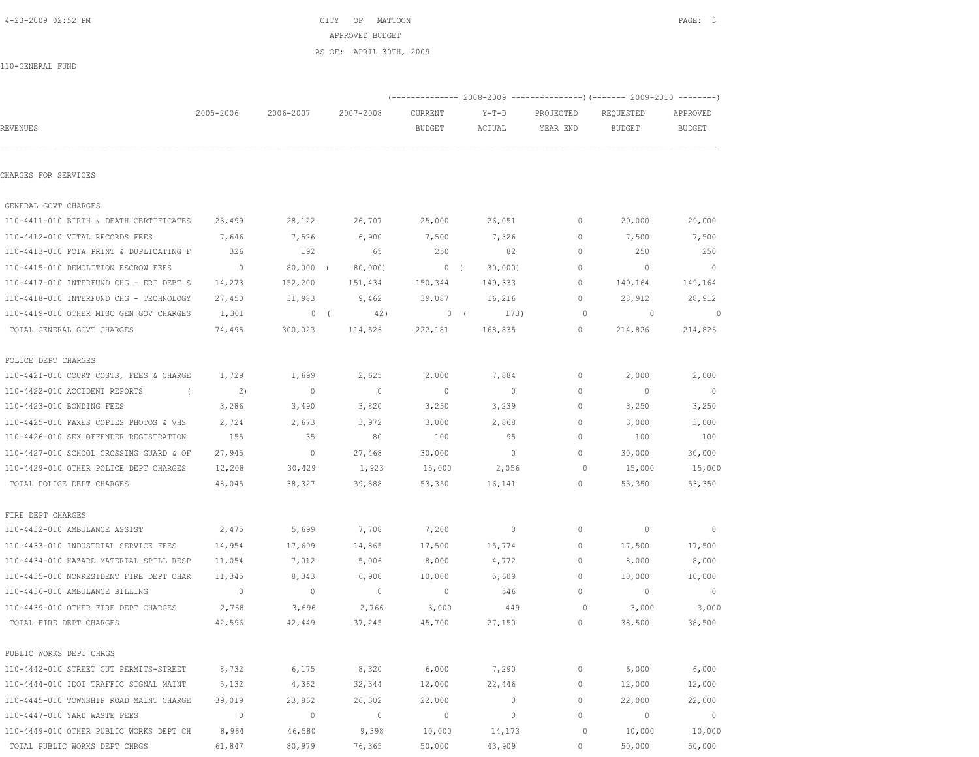|                                         |                          |             |                |               | (-------------- 2008-2009 -------------------) (------- 2009-2010 ---------) |              |                          |                          |
|-----------------------------------------|--------------------------|-------------|----------------|---------------|------------------------------------------------------------------------------|--------------|--------------------------|--------------------------|
|                                         | 2005-2006                | 2006-2007   | 2007-2008      | CURRENT       | $Y-T-D$                                                                      | PROJECTED    | REQUESTED                | APPROVED                 |
| REVENUES                                |                          |             |                | <b>BUDGET</b> | ACTUAL                                                                       | YEAR END     | <b>BUDGET</b>            | <b>BUDGET</b>            |
|                                         |                          |             |                |               |                                                                              |              |                          |                          |
| CHARGES FOR SERVICES                    |                          |             |                |               |                                                                              |              |                          |                          |
| GENERAL GOVT CHARGES                    |                          |             |                |               |                                                                              |              |                          |                          |
| 110-4411-010 BIRTH & DEATH CERTIFICATES | 23,499                   | 28,122      | 26,707         | 25,000        | 26,051                                                                       | $\circ$      | 29,000                   | 29,000                   |
| 110-4412-010 VITAL RECORDS FEES         | 7,646                    | 7,526       | 6,900          | 7,500         | 7,326                                                                        | $\mathbf{0}$ | 7,500                    | 7,500                    |
| 110-4413-010 FOIA PRINT & DUPLICATING F | 326                      | 192         | 65             | 250           | 82                                                                           | $\mathbf{0}$ | 250                      | 250                      |
| 110-4415-010 DEMOLITION ESCROW FEES     | $\overline{\phantom{0}}$ | $80,000$ (  | 80,000         | 0(            | 30,000                                                                       | $\Omega$     | $\overline{0}$           | $\overline{0}$           |
| 110-4417-010 INTERFUND CHG - ERI DEBT S | 14,273                   | 152,200     | 151,434        | 150,344       | 149,333                                                                      | 0            | 149,164                  | 149,164                  |
| 110-4418-010 INTERFUND CHG - TECHNOLOGY | 27,450                   | 31,983      | 9,462          | 39,087        | 16,216                                                                       | 0            | 28,912                   | 28,912                   |
| 110-4419-010 OTHER MISC GEN GOV CHARGES | 1,301                    | 0(          | 42)            |               | 0(<br>173)                                                                   | 0            | $\overline{0}$           | $\circ$                  |
| TOTAL GENERAL GOVT CHARGES              | 74,495                   | 300,023     | 114,526        | 222,181       | 168,835                                                                      | $\circ$      | 214,826                  | 214,826                  |
| POLICE DEPT CHARGES                     |                          |             |                |               |                                                                              |              |                          |                          |
| 110-4421-010 COURT COSTS, FEES & CHARGE | 1,729                    | 1,699       | 2,625          | 2,000         | 7,884                                                                        | $\circ$      | 2,000                    | 2,000                    |
| 110-4422-010 ACCIDENT REPORTS           | 2)                       | $\mathbf 0$ | $\mathbf 0$    | 0             | $\circ$                                                                      | $\mathbf{0}$ | $\overline{0}$           | $\overline{\phantom{0}}$ |
| 110-4423-010 BONDING FEES               | 3,286                    | 3,490       | 3,820          | 3,250         | 3,239                                                                        | 0            | 3,250                    | 3,250                    |
| 110-4425-010 FAXES COPIES PHOTOS & VHS  | 2,724                    | 2,673       | 3,972          | 3,000         | 2,868                                                                        | $\mathbf{0}$ | 3,000                    | 3,000                    |
| 110-4426-010 SEX OFFENDER REGISTRATION  | 155                      | 35          | 80             | 100           | 95                                                                           | $\mathbf{0}$ | 100                      | 100                      |
| 110-4427-010 SCHOOL CROSSING GUARD & OF | 27,945                   | $\circ$     | 27,468         | 30,000        | $\circ$                                                                      | $\circ$      | 30,000                   | 30,000                   |
| 110-4429-010 OTHER POLICE DEPT CHARGES  | 12,208                   | 30,429      | 1,923          | 15,000        | 2,056                                                                        | 0            | 15,000                   | 15,000                   |
| TOTAL POLICE DEPT CHARGES               | 48,045                   | 38,327      | 39,888         | 53,350        | 16,141                                                                       | $\circ$      | 53,350                   | 53,350                   |
| FIRE DEPT CHARGES                       |                          |             |                |               |                                                                              |              |                          |                          |
| 110-4432-010 AMBULANCE ASSIST           | 2,475                    | 5,699       | 7,708          | 7,200         | $\circ$                                                                      | 0            | $\overline{0}$           | $\overline{0}$           |
| 110-4433-010 INDUSTRIAL SERVICE FEES    | 14,954                   | 17,699      | 14,865         | 17,500        | 15,774                                                                       | 0            | 17,500                   | 17,500                   |
| 110-4434-010 HAZARD MATERIAL SPILL RESP | 11,054                   | 7,012       | 5,006          | 8,000         | 4,772                                                                        | 0            | 8,000                    | 8,000                    |
| 110-4435-010 NONRESIDENT FIRE DEPT CHAR | 11,345                   | 8,343       | 6,900          | 10,000        | 5,609                                                                        | 0            | 10,000                   | 10,000                   |
| 110-4436-010 AMBULANCE BILLING          | $\overline{0}$           | $\mathbb O$ | $\mathbf 0$    | $\mathbf 0$   | 546                                                                          | 0            | $\overline{0}$           | $\overline{0}$           |
| 110-4439-010 OTHER FIRE DEPT CHARGES    | 2,768                    | 3,696       | 2,766          | 3,000         | 449                                                                          | 0            | 3,000                    | 3,000                    |
| TOTAL FIRE DEPT CHARGES                 | 42,596                   | 42,449      | 37,245         | 45,700        | 27,150                                                                       | 0            | 38,500                   | 38,500                   |
| PUBLIC WORKS DEPT CHRGS                 |                          |             |                |               |                                                                              |              |                          |                          |
| 110-4442-010 STREET CUT PERMITS-STREET  | 8,732                    | 6,175       | 8,320          | 6,000         | 7,290                                                                        | 0            | 6,000                    | 6,000                    |
| 110-4444-010 IDOT TRAFFIC SIGNAL MAINT  | 5,132                    | 4,362       | 32,344         | 12,000        | 22,446                                                                       | 0            | 12,000                   | 12,000                   |
| 110-4445-010 TOWNSHIP ROAD MAINT CHARGE | 39,019                   | 23,862      | 26,302         | 22,000        | $\circ$                                                                      | $\circ$      | 22,000                   | 22,000                   |
| 110-4447-010 YARD WASTE FEES            | $\overline{0}$           | $\mathbb O$ | $\overline{0}$ | $\mathbb O$   | $\circ$                                                                      | $\circ$      | $\overline{\phantom{0}}$ | $\overline{0}$           |
| 110-4449-010 OTHER PUBLIC WORKS DEPT CH | 8,964                    | 46,580      | 9,398          | 10,000        | 14,173                                                                       | 0            | 10,000                   | 10,000                   |
| TOTAL PUBLIC WORKS DEPT CHRGS           | 61,847                   | 80,979      | 76,365         | 50,000        | 43,909                                                                       | 0            | 50,000                   | 50,000                   |

110-GENERAL FUND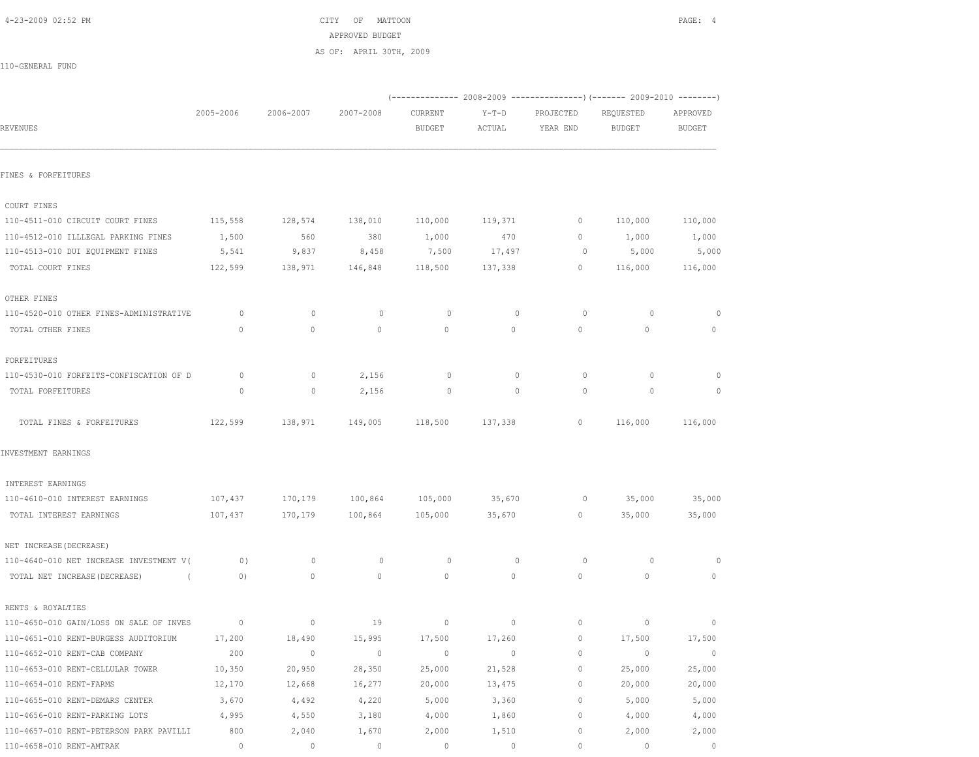| 4-23-2009 02:52 PM |  |  |
|--------------------|--|--|

CITY OF MATTOON **PAGE: 4** APPROVED BUDGET

AS OF: APRIL 30TH, 2009

| 110-GENERAL FUND |  |
|------------------|--|
|                  |  |

|                                             |             |              |              |                 |         |                | $(----------2008-2009------------)$ $(----2009-2010------)$ |                |
|---------------------------------------------|-------------|--------------|--------------|-----------------|---------|----------------|-------------------------------------------------------------|----------------|
|                                             | 2005-2006   | 2006-2007    | 2007-2008    | CURRENT         | $Y-T-D$ | PROJECTED      | REQUESTED                                                   | APPROVED       |
| <b>REVENUES</b>                             |             |              |              | <b>BUDGET</b>   | ACTUAL  | YEAR END       | <b>BUDGET</b>                                               | <b>BUDGET</b>  |
| FINES & FORFEITURES                         |             |              |              |                 |         |                |                                                             |                |
|                                             |             |              |              |                 |         |                |                                                             |                |
| COURT FINES                                 |             |              |              |                 |         |                |                                                             |                |
| 110-4511-010 CIRCUIT COURT FINES            | 115,558     | 128,574      | 138,010      | 110,000         | 119,371 | $\overline{0}$ | 110,000                                                     | 110,000        |
| 110-4512-010 ILLLEGAL PARKING FINES         | 1,500       | 560          | 380          | 1,000           | 470     | $\circ$        | 1,000                                                       | 1,000          |
| 110-4513-010 DUI EQUIPMENT FINES            | 5,541       | 9,837        | 8,458        | 7,500           | 17,497  | $\circ$        | 5,000                                                       | 5,000          |
| TOTAL COURT FINES                           | 122,599     | 138,971      | 146,848      | 118,500         | 137,338 | $\circ$        | 116,000                                                     | 116,000        |
| OTHER FINES                                 |             |              |              |                 |         |                |                                                             |                |
| 110-4520-010 OTHER FINES-ADMINISTRATIVE     | $\circ$     | $\circ$      | 0            | $\circ$         | $\circ$ | $\circ$        | $\circ$                                                     | $\circ$        |
| TOTAL OTHER FINES                           | $\circ$     | $\mathbf{0}$ | $\circ$      | $\circ$         | 0       | $\circ$        | $\mathbf{0}$                                                | $\circ$        |
| FORFEITURES                                 |             |              |              |                 |         |                |                                                             |                |
| 110-4530-010 FORFEITS-CONFISCATION OF D     | $\circ$     | $\circ$      | 2,156        | $\circ$         | 0       | 0              | $\circ$                                                     |                |
| TOTAL FORFEITURES                           | 0           | 0            | 2,156        | 0               | 0       | $\circ$        | 0                                                           | 0              |
| TOTAL FINES & FORFEITURES                   | 122,599     | 138,971      |              | 149,005 118,500 | 137,338 | $\circ$        | 116,000                                                     | 116,000        |
| INVESTMENT EARNINGS                         |             |              |              |                 |         |                |                                                             |                |
| INTEREST EARNINGS                           |             |              |              |                 |         |                |                                                             |                |
| 110-4610-010 INTEREST EARNINGS              | 107,437     | 170,179      |              | 100,864 105,000 | 35,670  | $\circ$        | 35,000                                                      | 35,000         |
| TOTAL INTEREST EARNINGS                     | 107,437     | 170,179      | 100,864      | 105,000         | 35,670  | $\circ$        | 35,000                                                      | 35,000         |
| NET INCREASE (DECREASE)                     |             |              |              |                 |         |                |                                                             |                |
| 110-4640-010 NET INCREASE INVESTMENT V(     | 0)          | $\circ$      | $\circ$      | $\circ$         | $\circ$ | 0              | $\circ$                                                     | $\circ$        |
| TOTAL NET INCREASE (DECREASE)<br>$\sqrt{2}$ | 0)          | $\circ$      | $\mathbf{0}$ | $\circ$         | 0       | 0              | $\mathbf{0}$                                                | $\circ$        |
| RENTS & ROYALTIES                           |             |              |              |                 |         |                |                                                             |                |
| 110-4650-010 GAIN/LOSS ON SALE OF INVES     | $\circ$     | $\circ$      | 19           | $\circ$         | $\circ$ | $\circ$        | $\circ$                                                     | $\overline{0}$ |
| 110-4651-010 RENT-BURGESS AUDITORIUM        | 17,200      | 18,490       | 15,995       | 17,500          | 17,260  | $\circ$        | 17,500                                                      | 17,500         |
| 110-4652-010 RENT-CAB COMPANY               | 200         | $\mathbb O$  | $\circ$      | $\circ$         | 0       | 0              | 0                                                           | $\circ$        |
| 110-4653-010 RENT-CELLULAR TOWER            | 10,350      | 20,950       | 28,350       | 25,000          | 21,528  | 0              | 25,000                                                      | 25,000         |
| 110-4654-010 RENT-FARMS                     | 12,170      | 12,668       | 16,277       | 20,000          | 13,475  | 0              | 20,000                                                      | 20,000         |
| 110-4655-010 RENT-DEMARS CENTER             | 3,670       | 4,492        | 4,220        | 5,000           | 3,360   | 0              | 5,000                                                       | 5,000          |
| 110-4656-010 RENT-PARKING LOTS              | 4,995       | 4,550        | 3,180        | 4,000           | 1,860   | 0              | 4,000                                                       | 4,000          |
| 110-4657-010 RENT-PETERSON PARK PAVILLI     | 800         | 2,040        | 1,670        | 2,000           | 1,510   | 0              | 2,000                                                       | 2,000          |
| 110-4658-010 RENT-AMTRAK                    | $\mathbb O$ | $\mathbb O$  | $\mathbb O$  | $\mathbb O$     | 0       | 0              | 0                                                           | $\circ$        |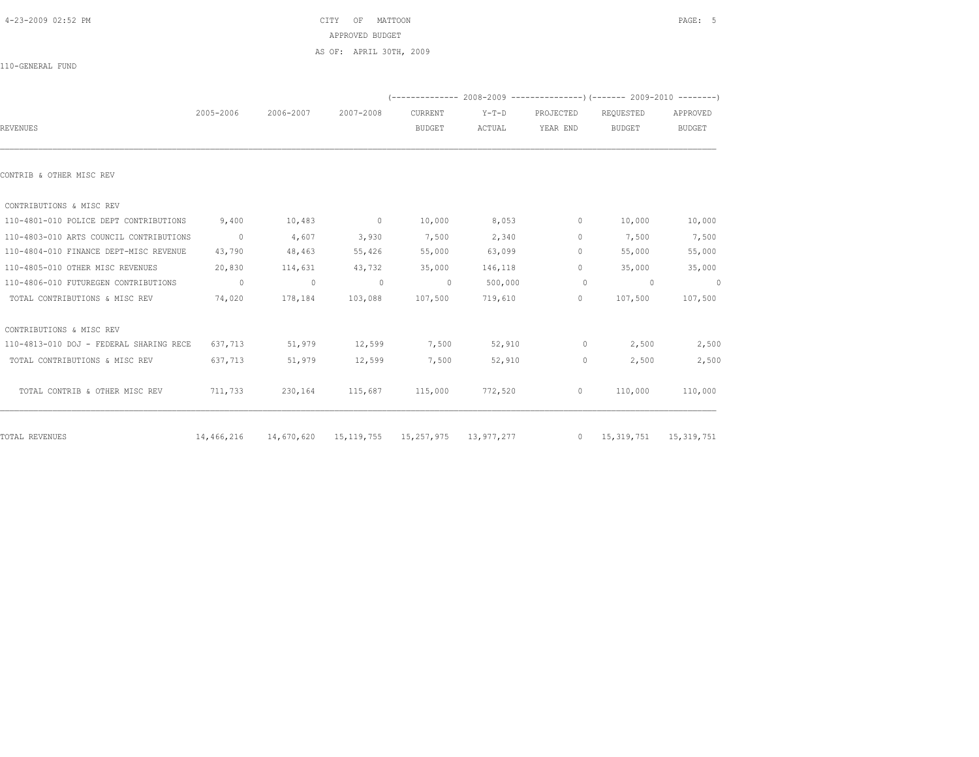|                                         |                |                                                                                | AS OF: APRIL 30TH, 2009 |                          |                                                                           |                       |                            |                           |
|-----------------------------------------|----------------|--------------------------------------------------------------------------------|-------------------------|--------------------------|---------------------------------------------------------------------------|-----------------------|----------------------------|---------------------------|
| 110-GENERAL FUND                        |                |                                                                                |                         |                          |                                                                           |                       |                            |                           |
|                                         |                |                                                                                |                         |                          | (-------------- 2008-2009 ----------------) (------- 2009-2010 ---------) |                       |                            |                           |
| <b>REVENUES</b>                         | 2005-2006      | 2006-2007                                                                      | 2007-2008               | CURRENT<br><b>BUDGET</b> | $Y-T-D$<br>ACTUAL                                                         | PROJECTED<br>YEAR END | REQUESTED<br><b>BUDGET</b> | APPROVED<br><b>BUDGET</b> |
| CONTRIB & OTHER MISC REV                |                |                                                                                |                         |                          |                                                                           |                       |                            |                           |
| CONTRIBUTIONS & MISC REV                |                |                                                                                |                         |                          |                                                                           |                       |                            |                           |
| 110-4801-010 POLICE DEPT CONTRIBUTIONS  | 9,400          | 10,483                                                                         | $\sim$ 0                | 10,000                   | 8,053                                                                     | $\circ$               | 10,000                     | 10,000                    |
| 110-4803-010 ARTS COUNCIL CONTRIBUTIONS | $\overline{0}$ | 4,607                                                                          | 3,930                   | 7,500                    | 2,340                                                                     | $\circ$               | 7,500                      | 7,500                     |
| 110-4804-010 FINANCE DEPT-MISC REVENUE  | 43,790         | 48,463                                                                         | 55,426                  | 55,000                   | 63,099                                                                    | $\circ$               | 55,000                     | 55,000                    |
| 110-4805-010 OTHER MISC REVENUES        | 20,830         | 114,631                                                                        | 43,732                  | 35,000                   | 146,118                                                                   | $\circ$               | 35,000                     | 35,000                    |
| 110-4806-010 FUTUREGEN CONTRIBUTIONS    | $\overline{0}$ | $\overline{0}$                                                                 | $\sim$ 0                | $\sim$ 0                 | 500,000                                                                   | $\circ$               | $\sim$ 0                   | $\sim$ 0                  |
| TOTAL CONTRIBUTIONS & MISC REV          | 74,020         | 178,184                                                                        | 103,088                 | 107,500                  | 719,610                                                                   | $\circ$               | 107,500                    | 107,500                   |
| CONTRIBUTIONS & MISC REV                |                |                                                                                |                         |                          |                                                                           |                       |                            |                           |
| 110-4813-010 DOJ - FEDERAL SHARING RECE | 637,713        | 51,979                                                                         | 12,599                  | 7,500                    | 52,910                                                                    | $\circ$               | 2,500                      | 2,500                     |
| TOTAL CONTRIBUTIONS & MISC REV          | 637,713        | 51,979                                                                         | 12,599                  | 7,500                    | 52,910                                                                    | $\circ$               | 2,500                      | 2,500                     |
| TOTAL CONTRIB & OTHER MISC REV          | 711,733        | 230,164                                                                        |                         | 115,687 115,000 772,520  |                                                                           | $\overline{0}$        | 110,000                    | 110,000                   |
| TOTAL REVENUES                          |                | 14,466,216 14,670,620 15,119,755 15,257,975 13,977,277 0 15,319,751 15,319,751 |                         |                          |                                                                           |                       |                            |                           |

4-23-2009 02:52 PM CITY OF MATTOON PAGE: 5

APPROVED BUDGET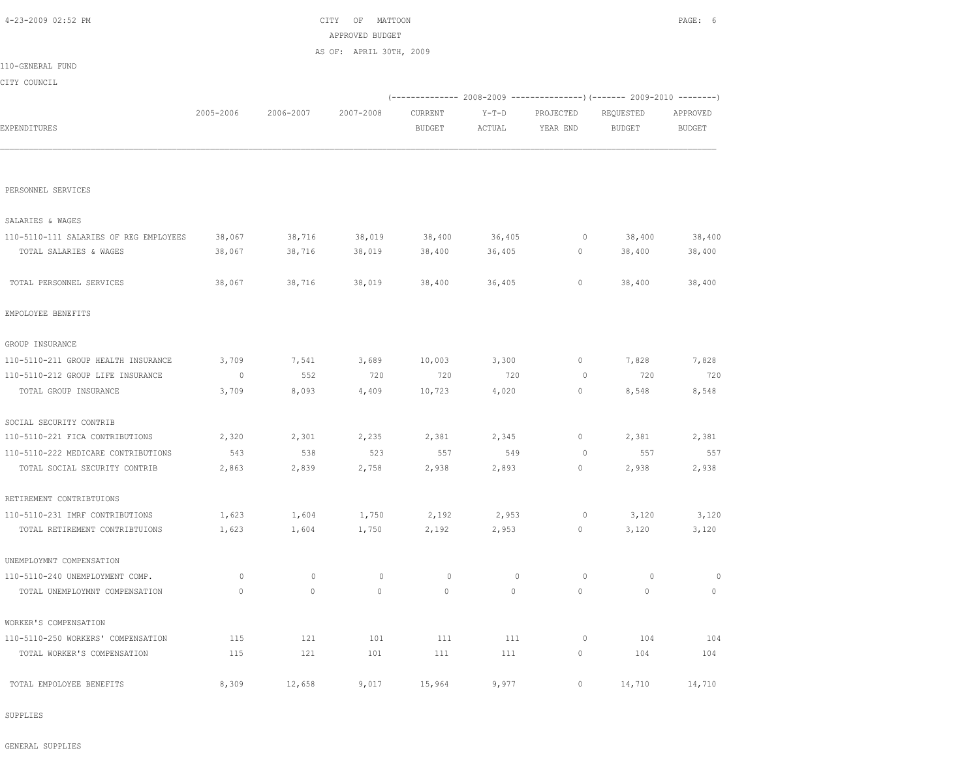| 4-23-2009 02:52 PM                     |             |             | MATTOON<br>CITY<br>OF<br>APPROVED BUDGET |               |             |             |                                                                        | PAGE: 6       |
|----------------------------------------|-------------|-------------|------------------------------------------|---------------|-------------|-------------|------------------------------------------------------------------------|---------------|
|                                        |             |             | AS OF: APRIL 30TH, 2009                  |               |             |             |                                                                        |               |
| 110-GENERAL FUND                       |             |             |                                          |               |             |             |                                                                        |               |
| CITY COUNCIL                           |             |             |                                          |               |             |             |                                                                        |               |
|                                        |             |             |                                          |               |             |             | (------------- 2008-2009 ---------------) (------- 2009-2010 --------) |               |
|                                        | 2005-2006   | 2006-2007   | 2007-2008                                | CURRENT       | $Y-T-D$     | PROJECTED   | REQUESTED                                                              | APPROVED      |
| EXPENDITURES                           |             |             |                                          | <b>BUDGET</b> | ACTUAL      | YEAR END    | BUDGET                                                                 | <b>BUDGET</b> |
|                                        |             |             |                                          |               |             |             |                                                                        |               |
| PERSONNEL SERVICES                     |             |             |                                          |               |             |             |                                                                        |               |
| SALARIES & WAGES                       |             |             |                                          |               |             |             |                                                                        |               |
| 110-5110-111 SALARIES OF REG EMPLOYEES | 38,067      | 38,716      | 38,019                                   | 38,400        | 36,405      | 0           | 38,400                                                                 | 38,400        |
| TOTAL SALARIES & WAGES                 | 38,067      | 38,716      | 38,019                                   | 38,400        | 36,405      | $\circ$     | 38,400                                                                 | 38,400        |
| TOTAL PERSONNEL SERVICES               | 38,067      | 38,716      | 38,019                                   | 38,400        | 36,405      | 0           | 38,400                                                                 | 38,400        |
| EMPOLOYEE BENEFITS                     |             |             |                                          |               |             |             |                                                                        |               |
| GROUP INSURANCE                        |             |             |                                          |               |             |             |                                                                        |               |
| 110-5110-211 GROUP HEALTH INSURANCE    | 3,709       | 7,541       | 3,689                                    | 10,003        | 3,300       | 0           | 7,828                                                                  | 7,828         |
| 110-5110-212 GROUP LIFE INSURANCE      | 0           | 552         | 720                                      | 720           | 720         | 0           | 720                                                                    | 720           |
| TOTAL GROUP INSURANCE                  | 3,709       | 8,093       | 4,409                                    | 10,723        | 4,020       | $\circ$     | 8,548                                                                  | 8,548         |
| SOCIAL SECURITY CONTRIB                |             |             |                                          |               |             |             |                                                                        |               |
| 110-5110-221 FICA CONTRIBUTIONS        | 2,320       | 2,301       | 2,235                                    | 2,381         | 2,345       | 0           | 2,381                                                                  | 2,381         |
| 110-5110-222 MEDICARE CONTRIBUTIONS    | 543         | 538         | 523                                      | 557           | 549         | 0           | 557                                                                    | 557           |
| TOTAL SOCIAL SECURITY CONTRIB          | 2,863       | 2,839       | 2,758                                    | 2,938         | 2,893       | 0           | 2,938                                                                  | 2,938         |
| RETIREMENT CONTRIBTUIONS               |             |             |                                          |               |             |             |                                                                        |               |
| 110-5110-231 IMRF CONTRIBUTIONS        | 1,623       | 1,604       | 1,750                                    | 2,192         | 2,953       | 0           | 3,120                                                                  | 3,120         |
| TOTAL RETIREMENT CONTRIBTUIONS         | 1,623       | 1,604       | 1,750                                    | 2,192         | 2,953       | $\circ$     | 3,120                                                                  | 3,120         |
| UNEMPLOYMNT COMPENSATION               |             |             |                                          |               |             |             |                                                                        |               |
| 110-5110-240 UNEMPLOYMENT COMP.        | 0           | $\mathbb O$ | $\circ$                                  | $\mathbb O$   | $\mathbb O$ | $\circ$     | 0                                                                      | $\circ$       |
| TOTAL UNEMPLOYMNT COMPENSATION         | $\mathbb O$ | $\mathbb O$ | $\circ$                                  | $\circ$       | $\circ$     | $\mathbb O$ | $\circ$                                                                | $\mathbb O$   |
| WORKER'S COMPENSATION                  |             |             |                                          |               |             |             |                                                                        |               |
| 110-5110-250 WORKERS' COMPENSATION     | 115         | 121         | 101                                      | 111           | 111         | $\circ$     | 104                                                                    | 104           |
| TOTAL WORKER'S COMPENSATION            | 115         | 121         | 101                                      | 111           | 111         | $\circ$     | 104                                                                    | 104           |
| TOTAL EMPOLOYEE BENEFITS               | 8,309       | 12,658      | 9,017                                    | 15,964        | 9,977       | $\circ$     | 14,710                                                                 | 14,710        |

SUPPLIES

GENERAL SUPPLIES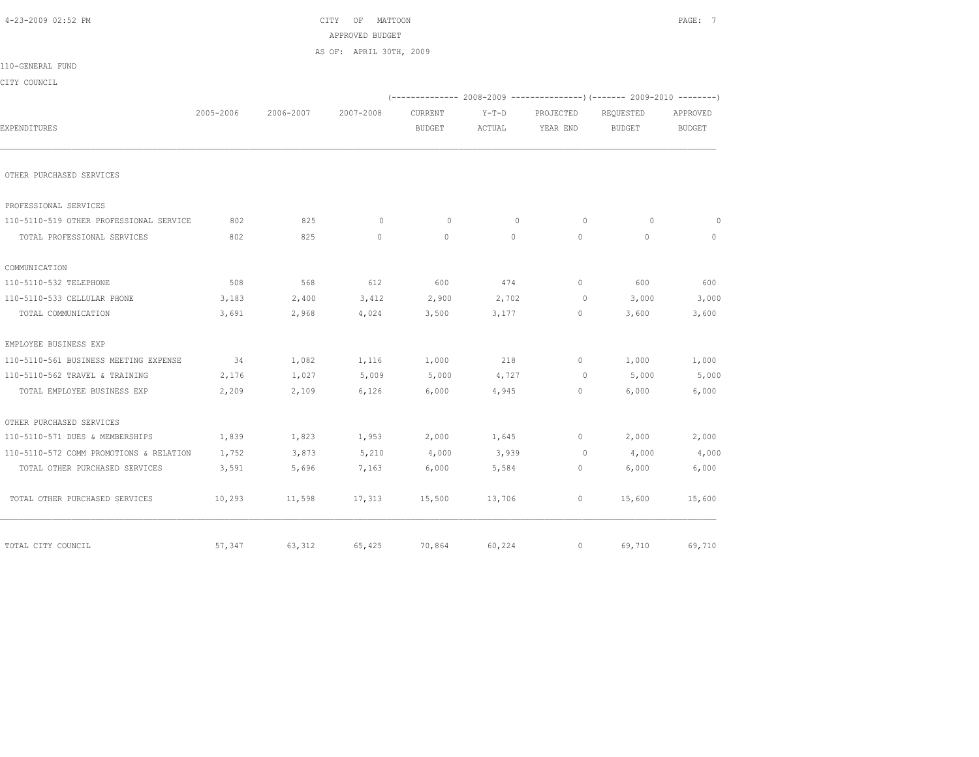| 4-23-2009 02:52 PM                      | MATTOON<br>CITY<br>ΟF<br>APPROVED BUDGET |           |                         |               |              |                |                                                                          |               |
|-----------------------------------------|------------------------------------------|-----------|-------------------------|---------------|--------------|----------------|--------------------------------------------------------------------------|---------------|
|                                         |                                          |           | AS OF: APRIL 30TH, 2009 |               |              |                |                                                                          |               |
| 110-GENERAL FUND                        |                                          |           |                         |               |              |                |                                                                          |               |
| CITY COUNCIL                            |                                          |           |                         |               |              |                |                                                                          |               |
|                                         |                                          |           |                         |               |              |                | (-------------- 2008-2009 ----------------) (------- 2009-2010 --------) |               |
|                                         | 2005-2006                                | 2006-2007 | 2007-2008               | CURRENT       | $Y-T-D$      | PROJECTED      | REQUESTED                                                                | APPROVED      |
| EXPENDITURES                            |                                          |           |                         | <b>BUDGET</b> | ACTUAL       | YEAR END       | <b>BUDGET</b>                                                            | <b>BUDGET</b> |
| OTHER PURCHASED SERVICES                |                                          |           |                         |               |              |                |                                                                          |               |
| PROFESSIONAL SERVICES                   |                                          |           |                         |               |              |                |                                                                          |               |
| 110-5110-519 OTHER PROFESSIONAL SERVICE | 802                                      | 825       | $\circ$                 | $\circ$       | $\mathbf{0}$ | $\circ$        | $\circ$                                                                  | $\circ$       |
| TOTAL PROFESSIONAL SERVICES             | 802                                      | 825       | $\circ$                 | $\mathbf{0}$  | $\circ$      | $\mathbf{0}$   | $\circ$                                                                  | $\circ$       |
| COMMUNICATION                           |                                          |           |                         |               |              |                |                                                                          |               |
| 110-5110-532 TELEPHONE                  | 508                                      | 568       | 612                     | 600           | 474          | $\Omega$       | 600                                                                      | 600           |
| 110-5110-533 CELLULAR PHONE             | 3,183                                    | 2,400     | 3,412                   | 2,900         | 2,702        | $\circ$        | 3,000                                                                    | 3,000         |
| TOTAL COMMUNICATION                     | 3,691                                    | 2,968     | 4,024                   | 3,500         | 3,177        | $\circ$        | 3,600                                                                    | 3,600         |
| EMPLOYEE BUSINESS EXP                   |                                          |           |                         |               |              |                |                                                                          |               |
| 110-5110-561 BUSINESS MEETING EXPENSE   | 34                                       | 1,082     | 1,116                   | 1,000         | 218          | $\circ$        | 1,000                                                                    | 1,000         |
| 110-5110-562 TRAVEL & TRAINING          | 2,176                                    | 1,027     | 5,009                   | 5,000         | 4,727        | $\overline{0}$ | 5,000                                                                    | 5,000         |
| TOTAL EMPLOYEE BUSINESS EXP             | 2,209                                    | 2,109     | 6,126                   | 6,000         | 4,945        | $\circ$        | 6,000                                                                    | 6,000         |
| OTHER PURCHASED SERVICES                |                                          |           |                         |               |              |                |                                                                          |               |
| 110-5110-571 DUES & MEMBERSHIPS         | 1,839                                    | 1,823     | 1,953                   | 2,000         | 1,645        | $\mathbf{0}$   | 2,000                                                                    | 2,000         |
| 110-5110-572 COMM PROMOTIONS & RELATION | 1,752                                    | 3,873     | 5,210                   | 4,000         | 3,939        | $\circ$        | 4,000                                                                    | 4,000         |
| TOTAL OTHER PURCHASED SERVICES          | 3,591                                    | 5,696     | 7,163                   | 6,000         | 5,584        | $\mathbf{0}$   | 6,000                                                                    | 6,000         |
| TOTAL OTHER PURCHASED SERVICES          | 10,293                                   | 11,598    | 17,313                  | 15,500        | 13,706       | $\circ$        | 15,600                                                                   | 15,600        |
| TOTAL CITY COUNCIL                      | 57,347                                   | 63,312    | 65,425                  | 70,864        | 60,224       | $\circ$        | 69,710                                                                   | 69,710        |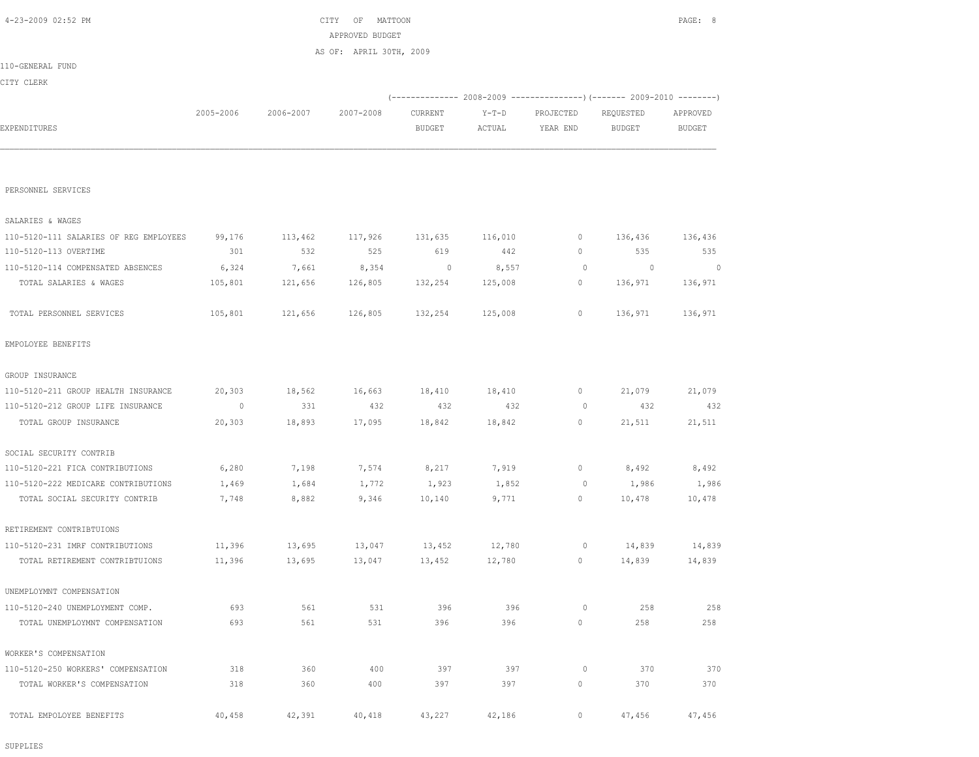SUPPLIES

| TOTAL PERSONNEL SERVICES            | 105,801  | 121,656 | 126,805 | 132,254 | 125,008 | $\circ$  | 136,971 | 136,971 |
|-------------------------------------|----------|---------|---------|---------|---------|----------|---------|---------|
| EMPOLOYEE BENEFITS                  |          |         |         |         |         |          |         |         |
| GROUP INSURANCE                     |          |         |         |         |         |          |         |         |
| 110-5120-211 GROUP HEALTH INSURANCE | 20,303   | 18,562  | 16,663  | 18,410  | 18,410  | $\circ$  | 21,079  | 21,079  |
| 110-5120-212 GROUP LIFE INSURANCE   | $\sim$ 0 | 331     | 432     | 432     | 432     | - 0      | 432     | 432     |
| TOTAL GROUP INSURANCE               | 20,303   | 18,893  | 17,095  | 18,842  | 18,842  | $\circ$  | 21,511  | 21,511  |
| SOCIAL SECURITY CONTRIB             |          |         |         |         |         |          |         |         |
| 110-5120-221 FICA CONTRIBUTIONS     | 6,280    | 7,198   | 7,574   | 8,217   | 7,919   | $\circ$  | 8,492   | 8,492   |
| 110-5120-222 MEDICARE CONTRIBUTIONS | 1,469    | 1,684   | 1,772   | 1,923   | 1,852   | $\circ$  | 1,986   | 1,986   |
| TOTAL SOCIAL SECURITY CONTRIB       | 7,748    | 8,882   | 9,346   | 10,140  | 9,771   | $\circ$  | 10,478  | 10,478  |
| RETIREMENT CONTRIBTUIONS            |          |         |         |         |         |          |         |         |
| 110-5120-231 IMRF CONTRIBUTIONS     | 11,396   | 13,695  | 13,047  | 13,452  | 12,780  | $\circ$  | 14,839  | 14,839  |
| TOTAL RETIREMENT CONTRIBTUIONS      | 11,396   | 13,695  | 13,047  | 13,452  | 12,780  | $\circ$  | 14,839  | 14,839  |
| UNEMPLOYMNT COMPENSATION            |          |         |         |         |         |          |         |         |
| 110-5120-240 UNEMPLOYMENT COMP.     | 693      | 561     | 531     | 396     | 396     | $\Omega$ | 258     | 258     |
| TOTAL UNEMPLOYMNT COMPENSATION      | 693      | 561     | 531     | 396     | 396     | $\circ$  | 258     | 258     |
| WORKER'S COMPENSATION               |          |         |         |         |         |          |         |         |
| 110-5120-250 WORKERS' COMPENSATION  | 318      | 360     | 400     | 397     | 397     | $\circ$  | 370     | 370     |
| TOTAL WORKER'S COMPENSATION         | 318      | 360     | 400     | 397     | 397     | 0        | 370     | 370     |
| TOTAL EMPOLOYEE BENEFITS            | 40,458   | 42,391  | 40,418  | 43,227  | 42,186  | $\circ$  | 47,456  | 47,456  |

| 110-5120-111 SALARIES OF REG EMPLOYEES | 99,176  | 113,462 | 117,926 | 131,635 | 116,010 |    | 136,436  | 136,436 |
|----------------------------------------|---------|---------|---------|---------|---------|----|----------|---------|
| 110-5120-113 OVERTIME                  | 301     | 532     | 525     | 619     | 442     | 0. | 535      | 535     |
| 110-5120-114 COMPENSATED ABSENCES      | 6,324   | 7,661   | 8,354   | 0       | 8,557   |    | $\Omega$ |         |
| TOTAL SALARIES & WAGES                 | 105,801 | 121,656 | 126,805 | 132,254 | 125,008 | 0. | 136,971  | 136,971 |
|                                        |         |         |         |         |         |    |          |         |
| TOTAL PERSONNEL SERVICES               | 105,801 | 121,656 | 126,805 | 132,254 | 125,008 | 0. | 136,971  | 136,971 |

PERSONNEL SERVICES

SALARIES & WAGES

|                  |           |           | AS OF: APRIL 30TH, 2009 |               |        |           |                                                                            |          |
|------------------|-----------|-----------|-------------------------|---------------|--------|-----------|----------------------------------------------------------------------------|----------|
| 110-GENERAL FUND |           |           |                         |               |        |           |                                                                            |          |
| CITY CLERK       |           |           |                         |               |        |           |                                                                            |          |
|                  |           |           |                         |               |        |           | (-------------- 2008-2009 -----------------) (------- 2009-2010 ---------) |          |
|                  | 2005-2006 | 2006-2007 | 2007-2008               | CURRENT       | Y-T-D  | PROJECTED | REQUESTED                                                                  | APPROVED |
| EXPENDITURES     |           |           |                         | <b>BUDGET</b> | ACTUAL | YEAR END  | BUDGET                                                                     | BUDGET   |
|                  |           |           |                         |               |        |           |                                                                            |          |
|                  |           |           |                         |               |        |           |                                                                            |          |

APPROVED BUDGET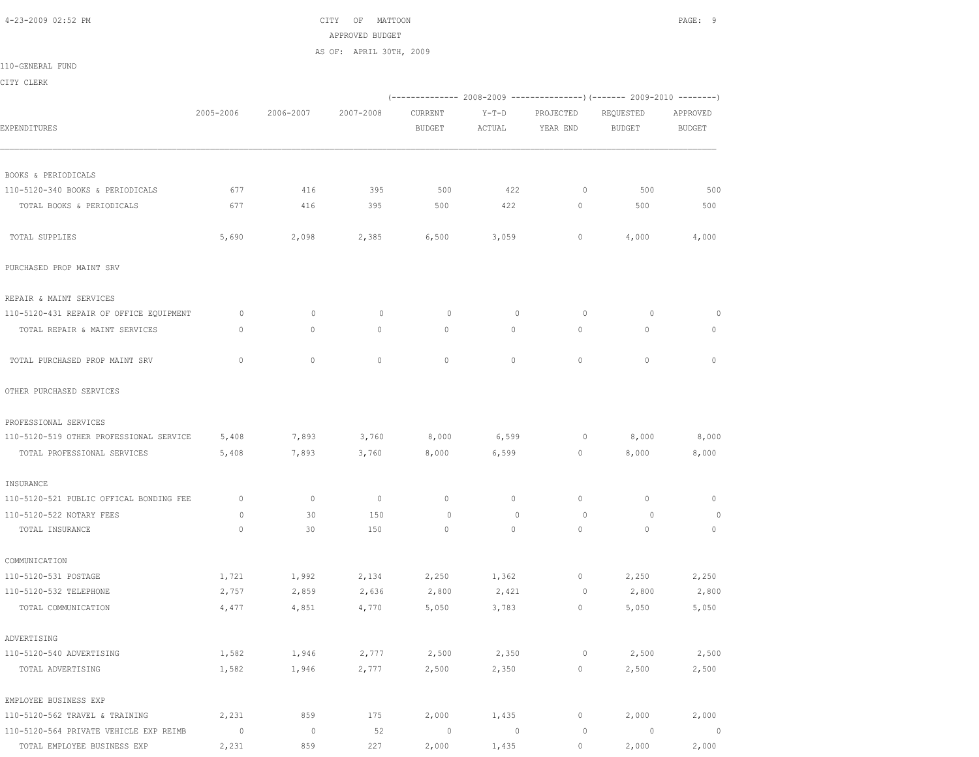4-23-2009 02:52 PM CITY OF MATTOON PAGE: 9 APPROVED BUDGET AS OF: APRIL 30TH, 2009

110-GENERAL FUND

CITY CLERK

|                                         |                |           |                |               |                |           | (-------------- 2008-2009 -------------------- 2009-2010 ----------- |                          |
|-----------------------------------------|----------------|-----------|----------------|---------------|----------------|-----------|----------------------------------------------------------------------|--------------------------|
|                                         | 2005-2006      | 2006-2007 | 2007-2008      | CURRENT       | $Y-T-D$        | PROJECTED | REQUESTED                                                            | APPROVED                 |
| <b>EXPENDITURES</b>                     |                |           |                | <b>BUDGET</b> | ACTUAL         | YEAR END  | BUDGET                                                               | <b>BUDGET</b>            |
|                                         |                |           |                |               |                |           |                                                                      |                          |
| BOOKS & PERIODICALS                     |                |           |                |               |                |           |                                                                      |                          |
| 110-5120-340 BOOKS & PERIODICALS        | 677            | 416       | 395            | 500           | 422            | $\circ$   | 500                                                                  | 500                      |
| TOTAL BOOKS & PERIODICALS               | 677            | 416       | 395            | 500           | 422            | $\circ$   | 500                                                                  | 500                      |
| TOTAL SUPPLIES                          | 5,690          | 2,098     | 2,385          | 6,500         | 3,059          | 0         | 4,000                                                                | 4,000                    |
| PURCHASED PROP MAINT SRV                |                |           |                |               |                |           |                                                                      |                          |
| REPAIR & MAINT SERVICES                 |                |           |                |               |                |           |                                                                      |                          |
| 110-5120-431 REPAIR OF OFFICE EQUIPMENT | $\circ$        | $\circ$   | $\circ$        | $\circ$       | $\mathbf{0}$   | $\circ$   | $\circ$                                                              | 0                        |
| TOTAL REPAIR & MAINT SERVICES           | $\mathbf{0}$   | $\circ$   | $\mathbf{0}$   | 0             | $\circ$        | $\circ$   | $\mathbf{0}$                                                         | $\circ$                  |
| TOTAL PURCHASED PROP MAINT SRV          | $\mathbf{0}$   | $\circ$   | $\mathbf{0}$   | $\circ$       | $\Omega$       | $\circ$   | $\circ$                                                              | $\mathbf{0}$             |
| OTHER PURCHASED SERVICES                |                |           |                |               |                |           |                                                                      |                          |
| PROFESSIONAL SERVICES                   |                |           |                |               |                |           |                                                                      |                          |
| 110-5120-519 OTHER PROFESSIONAL SERVICE | 5,408          | 7,893     | 3,760          | 8,000         | 6,599          | $\circ$   | 8,000                                                                | 8,000                    |
| TOTAL PROFESSIONAL SERVICES             | 5,408          | 7,893     | 3,760          | 8,000         | 6,599          | $\circ$   | 8,000                                                                | 8,000                    |
| INSURANCE                               |                |           |                |               |                |           |                                                                      |                          |
| 110-5120-521 PUBLIC OFFICAL BONDING FEE | $\mathbf{0}$   | $\circ$   | $\overline{0}$ | $\mathbf{0}$  | $\circ$        | $\circ$   | $\mathbf{0}$                                                         | $\mathbf 0$              |
| 110-5120-522 NOTARY FEES                | 0              | 30        | 150            | $\circ$       | 0              | 0         | $\circ$                                                              | $\circ$                  |
| TOTAL INSURANCE                         | $\circ$        | 30        | 150            | $\mathbf{0}$  | $\circ$        | $\circ$   | $\mathbf{0}$                                                         | $\circ$                  |
| COMMUNICATION                           |                |           |                |               |                |           |                                                                      |                          |
| 110-5120-531 POSTAGE                    | 1,721          | 1,992     | 2,134          | 2,250         | 1,362          | $\circ$   | 2,250                                                                | 2,250                    |
| 110-5120-532 TELEPHONE                  | 2,757          | 2,859     | 2,636          | 2,800         | 2,421          | $\circ$   | 2,800                                                                | 2,800                    |
| TOTAL COMMUNICATION                     | 4,477          | 4,851     | 4,770          | 5,050         | 3,783          | $\circ$   | 5,050                                                                | 5,050                    |
| ADVERTISING                             |                |           |                |               |                |           |                                                                      |                          |
| 110-5120-540 ADVERTISING                | 1,582          | 1,946     | 2,777          | 2,500         | 2,350          | $\circ$   | 2,500                                                                | 2,500                    |
| TOTAL ADVERTISING                       | 1,582          | 1,946     | 2,777          | 2,500         | 2,350          | $\circ$   | 2,500                                                                | 2,500                    |
| EMPLOYEE BUSINESS EXP                   |                |           |                |               |                |           |                                                                      |                          |
| 110-5120-562 TRAVEL & TRAINING          | 2,231          | 859       | 175            | 2,000         | 1,435          | $\circ$   | 2,000                                                                | 2,000                    |
| 110-5120-564 PRIVATE VEHICLE EXP REIMB  | $\overline{0}$ | $\circ$   | 52             | $\circ$       | $\overline{0}$ | $\circ$   | $\circ$                                                              | $\overline{\phantom{0}}$ |
| TOTAL EMPLOYEE BUSINESS EXP             | 2,231          | 859       | 227            | 2,000         | 1,435          | $\circ$   | 2,000                                                                | 2,000                    |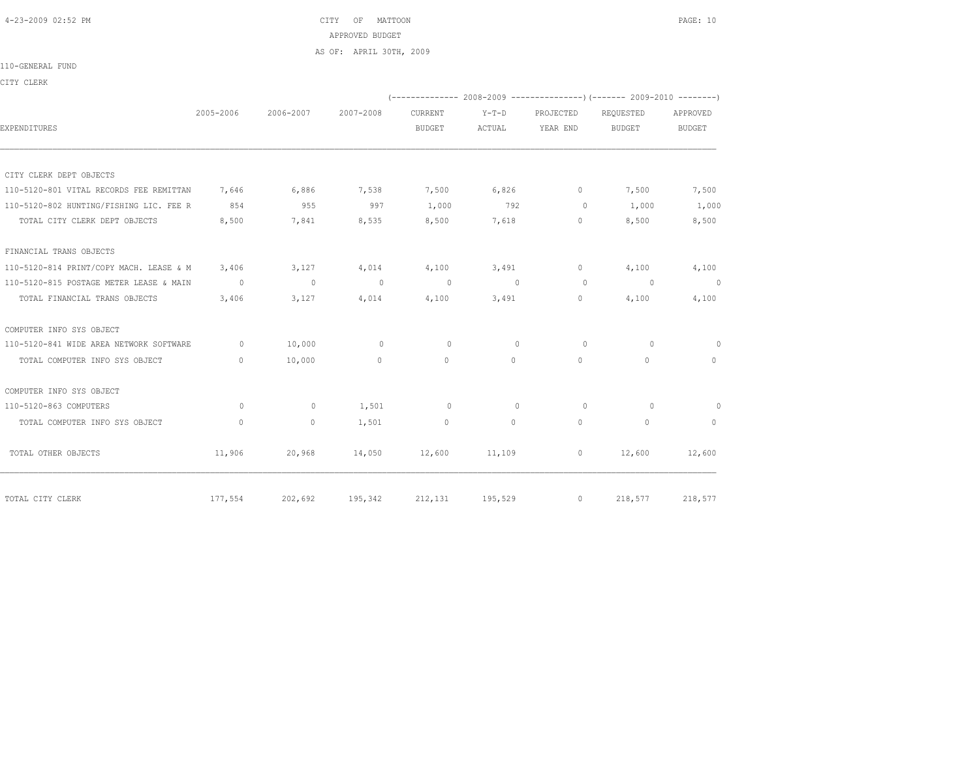4-23-2009 02:52 PM CITY OF MATTOON PAGE: 10 APPROVED BUDGET AS OF: APRIL 30TH, 2009

## 110-GENERAL FUND

CITY CLERK

|                                         |                                  |           |           |                |              |              | (-------------- 2008-2009 ----------------) (------- 2009-2010 --------) |                |
|-----------------------------------------|----------------------------------|-----------|-----------|----------------|--------------|--------------|--------------------------------------------------------------------------|----------------|
|                                         | 2005-2006                        | 2006-2007 | 2007-2008 | <b>CURRENT</b> | $Y-T-D$      | PROJECTED    | REOUESTED                                                                | APPROVED       |
| EXPENDITURES                            |                                  |           |           | <b>BUDGET</b>  | ACTUAL       | YEAR END     | <b>BUDGET</b>                                                            | BUDGET         |
|                                         |                                  |           |           |                |              |              |                                                                          |                |
| CITY CLERK DEPT OBJECTS                 |                                  |           |           |                |              |              |                                                                          |                |
| 110-5120-801 VITAL RECORDS FEE REMITTAN | 7,646                            | 6,886     | 7,538     | 7,500          | 6,826        | $\circ$      | 7,500                                                                    | 7,500          |
| 110-5120-802 HUNTING/FISHING LIC. FEE R | 854                              | 955       | 997       | 1,000          | 792          | $\Omega$     | 1,000                                                                    | 1,000          |
| TOTAL CITY CLERK DEPT OBJECTS           | 8,500                            | 7,841     | 8,535     | 8,500          | 7,618        | $\circ$      | 8,500                                                                    | 8,500          |
| FINANCIAL TRANS OBJECTS                 |                                  |           |           |                |              |              |                                                                          |                |
| 110-5120-814 PRINT/COPY MACH. LEASE & M | 3,406                            | 3,127     | 4,014     | 4,100          | 3,491        | $\circ$      | 4,100                                                                    | 4,100          |
| 110-5120-815 POSTAGE METER LEASE & MAIN | $\overline{0}$                   | $\sim$ 0  | $\sim$ 0  | $\overline{0}$ | $\sim$ 0     | $\circ$      | $\sim$ 0                                                                 | $\overline{0}$ |
| TOTAL FINANCIAL TRANS OBJECTS           | 3,406                            | 3,127     | 4,014     | 4,100          | 3,491        | $\circ$      | 4,100                                                                    | 4,100          |
| COMPUTER INFO SYS OBJECT                |                                  |           |           |                |              |              |                                                                          |                |
| 110-5120-841 WIDE AREA NETWORK SOFTWARE | $\circ$                          | 10,000    | $\circ$   | $\circ$        | $\circ$      | $\circ$      | $\circ$                                                                  | $\circ$        |
| TOTAL COMPUTER INFO SYS OBJECT          | $\begin{array}{c} \n\end{array}$ | 10,000    | $\circ$   | $\mathbf{0}$   | $\Omega$     | $\mathbf{0}$ | $\cap$                                                                   | $\circ$        |
| COMPUTER INFO SYS OBJECT                |                                  |           |           |                |              |              |                                                                          |                |
| 110-5120-863 COMPUTERS                  | $\circ$                          | $\circ$   | 1,501     | $\circ$        | $\mathbf{0}$ | $\circ$      | $\Omega$                                                                 | $\circ$        |
| TOTAL COMPUTER INFO SYS OBJECT          | $\mathbf{0}$                     | $\circ$   | 1,501     | $\mathbf{0}$   | $\circ$      | $\mathbf{0}$ | $\Omega$                                                                 | $\circ$        |
| TOTAL OTHER OBJECTS                     | 11,906                           | 20,968    | 14,050    | 12,600         | 11,109       | $\circ$      | 12,600                                                                   | 12,600         |
| TOTAL CITY CLERK                        | 177,554                          | 202,692   | 195,342   | 212,131        | 195,529      | $\circ$      | 218,577                                                                  | 218,577        |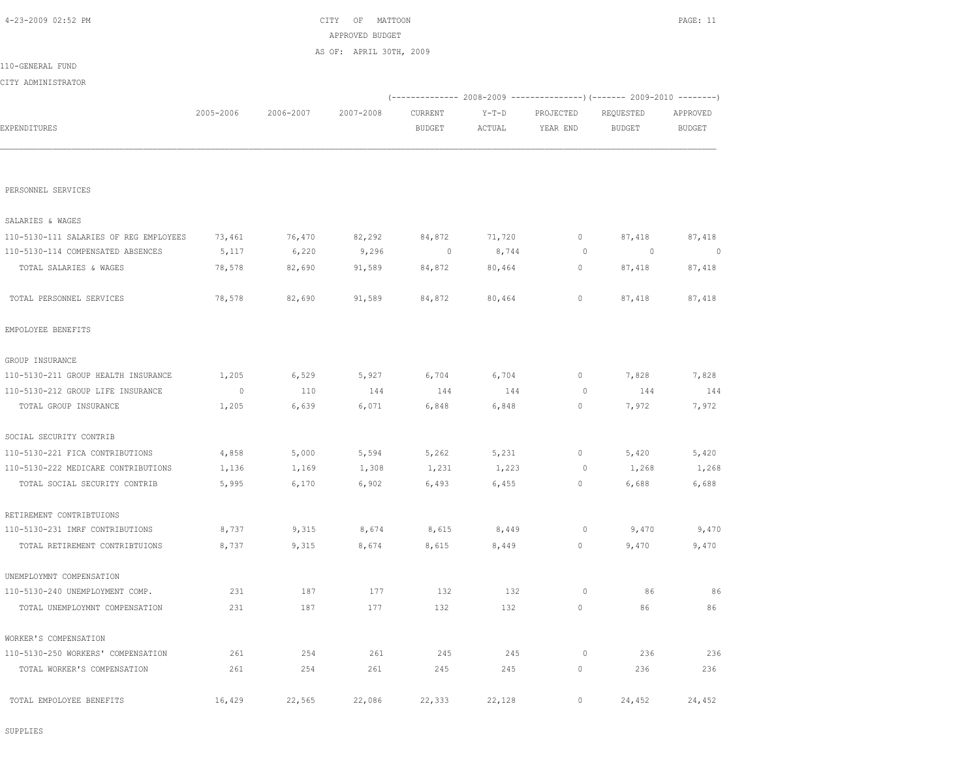| PERSONNEL SERVICES                     |                |        |        |        |        |              |                |         |
|----------------------------------------|----------------|--------|--------|--------|--------|--------------|----------------|---------|
| SALARIES & WAGES                       |                |        |        |        |        |              |                |         |
| 110-5130-111 SALARIES OF REG EMPLOYEES | 73,461         | 76,470 | 82,292 | 84,872 | 71,720 | 0            | 87,418         | 87,418  |
| 110-5130-114 COMPENSATED ABSENCES      | 5,117          | 6,220  | 9,296  | 0      | 8,744  | $\circ$      | $\overline{0}$ | $\circ$ |
| TOTAL SALARIES & WAGES                 | 78,578         | 82,690 | 91,589 | 84,872 | 80,464 | $\mathbf{0}$ | 87,418         | 87,418  |
| TOTAL PERSONNEL SERVICES               | 78,578         | 82,690 | 91,589 | 84,872 | 80,464 | $\circ$      | 87,418         | 87,418  |
| EMPOLOYEE BENEFITS                     |                |        |        |        |        |              |                |         |
| GROUP INSURANCE                        |                |        |        |        |        |              |                |         |
| 110-5130-211 GROUP HEALTH INSURANCE    | 1,205          | 6,529  | 5,927  | 6,704  | 6,704  | $\mathbf{0}$ | 7,828          | 7,828   |
| 110-5130-212 GROUP LIFE INSURANCE      | $\overline{0}$ | 110    | 144    | 144    | 144    | $\circ$      | 144            | 144     |
| TOTAL GROUP INSURANCE                  | 1,205          | 6,639  | 6,071  | 6,848  | 6,848  | 0            | 7,972          | 7,972   |
| SOCIAL SECURITY CONTRIB                |                |        |        |        |        |              |                |         |
| 110-5130-221 FICA CONTRIBUTIONS        | 4,858          | 5,000  | 5,594  | 5,262  | 5,231  | $\circ$      | 5,420          | 5,420   |
| 110-5130-222 MEDICARE CONTRIBUTIONS    | 1,136          | 1,169  | 1,308  | 1,231  | 1,223  | 0            | 1,268          | 1,268   |
| TOTAL SOCIAL SECURITY CONTRIB          | 5,995          | 6,170  | 6,902  | 6,493  | 6,455  | $\circ$      | 6,688          | 6,688   |
| RETIREMENT CONTRIBTUIONS               |                |        |        |        |        |              |                |         |
| 110-5130-231 IMRF CONTRIBUTIONS        | 8,737          | 9,315  | 8,674  | 8,615  | 8,449  | $\circ$      | 9,470          | 9,470   |
| TOTAL RETIREMENT CONTRIBTUIONS         | 8,737          | 9,315  | 8,674  | 8,615  | 8,449  | $\circ$      | 9,470          | 9,470   |
| UNEMPLOYMNT COMPENSATION               |                |        |        |        |        |              |                |         |
| 110-5130-240 UNEMPLOYMENT COMP.        | 231            | 187    | 177    | 132    | 132    | $\circ$      | 86             | 86      |
| TOTAL UNEMPLOYMNT COMPENSATION         | 231            | 187    | 177    | 132    | 132    | $\circ$      | 86             | 86      |
| WORKER'S COMPENSATION                  |                |        |        |        |        |              |                |         |
| 110-5130-250 WORKERS' COMPENSATION     | 261            | 254    | 261    | 245    | 245    | $\circ$      | 236            | 236     |
| TOTAL WORKER'S COMPENSATION            | 261            | 254    | 261    | 245    | 245    | $\circ$      | 236            | 236     |
| TOTAL EMPOLOYEE BENEFITS               | 16,429         | 22,565 | 22,086 | 22,333 | 22,128 | $\circ$      | 24,452         | 24,452  |

|                    |           |           | APPROVED BUDGET         |         |         |           |           |          |
|--------------------|-----------|-----------|-------------------------|---------|---------|-----------|-----------|----------|
|                    |           |           | AS OF: APRIL 30TH, 2009 |         |         |           |           |          |
| 110-GENERAL FUND   |           |           |                         |         |         |           |           |          |
| CITY ADMINISTRATOR |           |           |                         |         |         |           |           |          |
|                    |           |           |                         |         |         |           |           |          |
|                    | 2005-2006 | 2006-2007 | 2007-2008               | CURRENT | $Y-T-D$ | PROJECTED | REQUESTED | APPROVED |
| EXPENDITURES       |           |           |                         | BUDGET  | ACTUAL  | YEAR END  | BUDGET    | BUDGET   |
|                    |           |           |                         |         |         |           |           |          |
|                    |           |           |                         |         |         |           |           |          |
|                    |           |           |                         |         |         |           |           |          |
| PERSONNEL SERVICES |           |           |                         |         |         |           |           |          |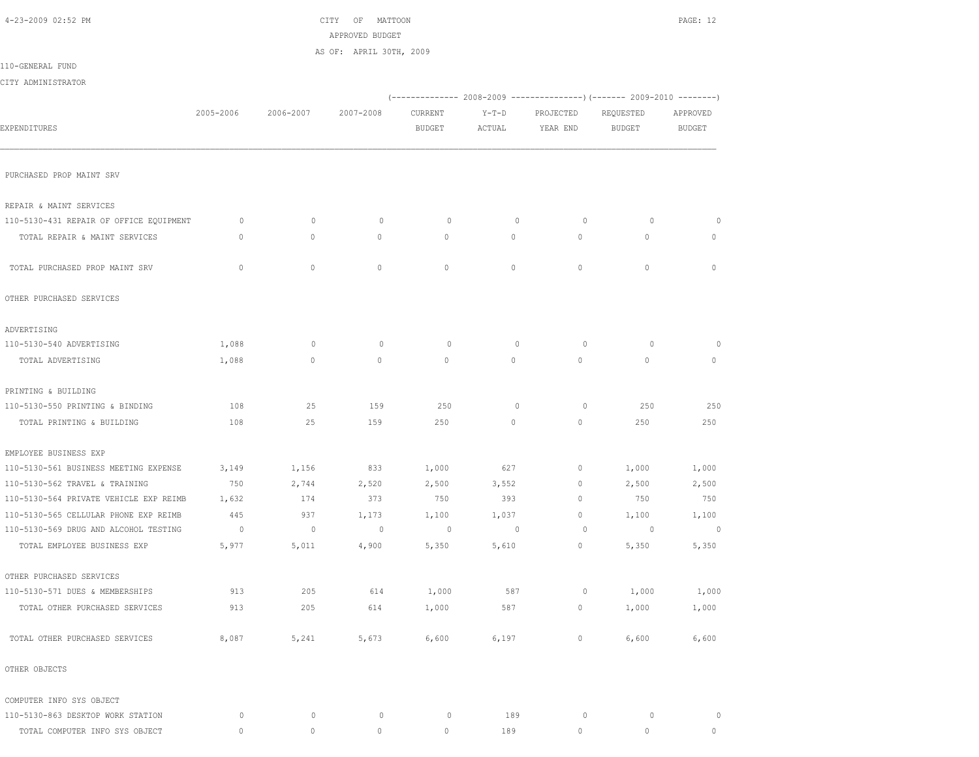| 4-23-2009 02:52 PM                      |                |                | CITY<br>OF<br>MATTOON<br>APPROVED BUDGET |               |             |              |                                                                        | PAGE: 12      |
|-----------------------------------------|----------------|----------------|------------------------------------------|---------------|-------------|--------------|------------------------------------------------------------------------|---------------|
|                                         |                |                | AS OF: APRIL 30TH, 2009                  |               |             |              |                                                                        |               |
| 110-GENERAL FUND                        |                |                |                                          |               |             |              |                                                                        |               |
| CITY ADMINISTRATOR                      |                |                |                                          |               |             |              |                                                                        |               |
|                                         |                |                |                                          |               |             |              | (------------- 2008-2009 ---------------) (------- 2009-2010 --------) |               |
|                                         | 2005-2006      | 2006-2007      | 2007-2008                                | CURRENT       | $Y-T-D$     | PROJECTED    | REQUESTED                                                              | APPROVED      |
| EXPENDITURES                            |                |                |                                          | <b>BUDGET</b> | ACTUAL      | YEAR END     | <b>BUDGET</b>                                                          | <b>BUDGET</b> |
|                                         |                |                |                                          |               |             |              |                                                                        |               |
| PURCHASED PROP MAINT SRV                |                |                |                                          |               |             |              |                                                                        |               |
| REPAIR & MAINT SERVICES                 |                |                |                                          |               |             |              |                                                                        |               |
| 110-5130-431 REPAIR OF OFFICE EQUIPMENT | $\circ$        | $\mathbf{0}$   | $\circ$                                  | $\circ$       | $\circ$     | $\circ$      | $\circ$                                                                | 0             |
| TOTAL REPAIR & MAINT SERVICES           | 0              | 0              | $\circ$                                  | 0             | $\circ$     | $\circ$      | $\circ$                                                                | $\circ$       |
|                                         |                |                |                                          |               |             |              |                                                                        |               |
| TOTAL PURCHASED PROP MAINT SRV          | $\circ$        | $\circ$        | $\circ$                                  | $\mathbf{0}$  | $\circ$     | $\circ$      | $\circ$                                                                | $\mathbf{0}$  |
| OTHER PURCHASED SERVICES                |                |                |                                          |               |             |              |                                                                        |               |
| ADVERTISING                             |                |                |                                          |               |             |              |                                                                        |               |
| 110-5130-540 ADVERTISING                | 1,088          | $\mathbf{0}$   | $\circ$                                  | 0             | $\circ$     | 0            | $\circ$                                                                | $\circ$       |
| TOTAL ADVERTISING                       | 1,088          | $\circ$        | $\circ$                                  | $\mathbf{0}$  | $\circ$     | $\circ$      | $\circ$                                                                | $\circ$       |
| PRINTING & BUILDING                     |                |                |                                          |               |             |              |                                                                        |               |
| 110-5130-550 PRINTING & BINDING         | 108            | 25             | 159                                      | 250           | $\circ$     | $\circ$      | 250                                                                    | 250           |
| TOTAL PRINTING & BUILDING               | 108            | 25             | 159                                      | 250           | $\circ$     | $\mathbf{0}$ | 250                                                                    | 250           |
| EMPLOYEE BUSINESS EXP                   |                |                |                                          |               |             |              |                                                                        |               |
| 110-5130-561 BUSINESS MEETING EXPENSE   | 3,149          | 1,156          | 833                                      | 1,000         | 627         | $\mathbf 0$  | 1,000                                                                  | 1,000         |
| 110-5130-562 TRAVEL & TRAINING          | 750            | 2,744          | 2,520                                    | 2,500         | 3,552       | 0            | 2,500                                                                  | 2,500         |
| 110-5130-564 PRIVATE VEHICLE EXP REIMB  | 1,632          | 174            | 373                                      | 750           | 393         | $\mathbf{0}$ | 750                                                                    | 750           |
| 110-5130-565 CELLULAR PHONE EXP REIMB   | 445            | 937            | 1,173                                    | 1,100         | 1,037       | $\mathbf 0$  | 1,100                                                                  | 1,100         |
| 110-5130-569 DRUG AND ALCOHOL TESTING   | $\overline{0}$ | $\overline{0}$ | $\mathbb O$                              | $\circ$       | $\mathbf 0$ | 0            | 0                                                                      | $\circ$       |
| TOTAL EMPLOYEE BUSINESS EXP             | 5,977          | 5,011          | 4,900                                    | 5,350         | 5,610       | $\circ$      | 5,350                                                                  | 5,350         |
| OTHER PURCHASED SERVICES                |                |                |                                          |               |             |              |                                                                        |               |
| 110-5130-571 DUES & MEMBERSHIPS         | 913            | 205            | 614                                      | 1,000         | 587         | 0            | 1,000                                                                  | 1,000         |
| TOTAL OTHER PURCHASED SERVICES          | 913            | 205            | 614                                      | 1,000         | 587         | $\circ$      | 1,000                                                                  | 1,000         |
| TOTAL OTHER PURCHASED SERVICES          | 8,087          | 5,241          | 5,673                                    | 6,600         | 6,197       | $\mathbb O$  | 6,600                                                                  | 6,600         |
| OTHER OBJECTS                           |                |                |                                          |               |             |              |                                                                        |               |
| COMPUTER INFO SYS OBJECT                |                |                |                                          |               |             |              |                                                                        |               |
| 110-5130-863 DESKTOP WORK STATION       | 0              | $\mathbb O$    | $\circ$                                  | 0             | 189         | 0            | $\circ$                                                                | $\circ$       |
| TOTAL COMPUTER INFO SYS OBJECT          | 0              | $\mathbb O$    | $\mathbb O$                              | $\circ$       | 189         | $\mathbb O$  | $\mathbb O$                                                            | $\mathbb O$   |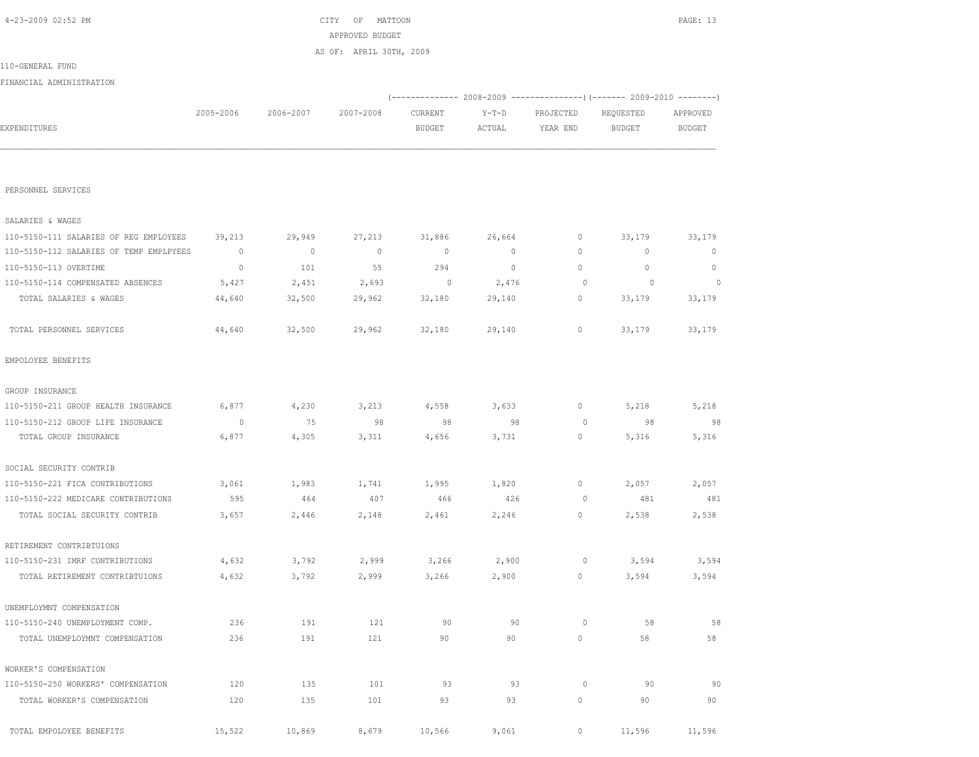| EXPENDITURES                            |             |         |             | <b>BUDGET</b> | ACTUAL  | YEAR END    | <b>BUDGET</b> | <b>BUDGET</b> |
|-----------------------------------------|-------------|---------|-------------|---------------|---------|-------------|---------------|---------------|
|                                         |             |         |             |               |         |             |               |               |
| PERSONNEL SERVICES                      |             |         |             |               |         |             |               |               |
| SALARIES & WAGES                        |             |         |             |               |         |             |               |               |
| 110-5150-111 SALARIES OF REG EMPLOYEES  | 39,213      | 29,949  | 27,213      | 31,886        | 26,664  | 0           | 33,179        | 33,179        |
| 110-5150-112 SALARIES OF TEMP EMPLPYEES | $\mathbb O$ | $\circ$ | $\mathbb O$ | $\mathbf{0}$  | $\circ$ | $\mathbf 0$ | $\circ$       | $\mathbf{0}$  |
| 110-5150-113 OVERTIME                   | $\mathbb O$ | 101     | 55          | 294           | $\circ$ | $\mathbb O$ | $\mathbb O$   | $\circ$       |
| 110-5150-114 COMPENSATED ABSENCES       | 5,427       | 2,451   | 2,693       | $\circ$       | 2,476   | $\circ$     | $\circ$       | $\Omega$      |
| TOTAL SALARIES & WAGES                  | 44,640      | 32,500  | 29,962      | 32,180        | 29,140  | 0           | 33,179        | 33,179        |
| TOTAL PERSONNEL SERVICES                | 44,640      | 32,500  | 29,962      | 32,180        | 29,140  | 0           | 33,179        | 33,179        |
| EMPOLOYEE BENEFITS                      |             |         |             |               |         |             |               |               |
| GROUP INSURANCE                         |             |         |             |               |         |             |               |               |
| 110-5150-211 GROUP HEALTH INSURANCE     | 6,877       | 4,230   | 3,213       | 4,558         | 3,633   | 0           | 5,218         | 5,218         |
| 110-5150-212 GROUP LIFE INSURANCE       | $\circ$     | 75      | 98          | 98            | 98      | $\circ$     | 98            | 98            |
| TOTAL GROUP INSURANCE                   | 6,877       | 4,305   | 3,311       | 4,656         | 3,731   | 0           | 5,316         | 5,316         |
| SOCIAL SECURITY CONTRIB                 |             |         |             |               |         |             |               |               |
| 110-5150-221 FICA CONTRIBUTIONS         | 3,061       | 1,983   | 1,741       | 1,995         | 1,820   | 0           | 2,057         | 2,057         |
| 110-5150-222 MEDICARE CONTRIBUTIONS     | 595         | 464     | 407         | 466           | 426     | $\circ$     | 481           | 481           |
| TOTAL SOCIAL SECURITY CONTRIB           | 3,657       | 2,446   | 2,148       | 2,461         | 2,246   | $\mathbb O$ | 2,538         | 2,538         |
| RETIREMENT CONTRIBTUIONS                |             |         |             |               |         |             |               |               |
| 110-5150-231 IMRF CONTRIBUTIONS         | 4,632       | 3,792   | 2,999       | 3,266         | 2,900   | $\circ$     | 3,594         | 3,594         |
| TOTAL RETIREMENT CONTRIBTUIONS          | 4,632       | 3,792   | 2,999       | 3,266         | 2,900   | 0           | 3,594         | 3,594         |
| UNEMPLOYMNT COMPENSATION                |             |         |             |               |         |             |               |               |
| 110-5150-240 UNEMPLOYMENT COMP.         | 236         | 191     | 121         | 90            | 90      | 0           | 58            | 58            |
| TOTAL UNEMPLOYMNT COMPENSATION          | 236         | 191     | 121         | 90            | 90      | 0           | 58            | 58            |
| WORKER'S COMPENSATION                   |             |         |             |               |         |             |               |               |
| 110-5150-250 WORKERS' COMPENSATION      | 120         | 135     | 101         | 93            | 93      | $\circ$     | 90            | 90            |
| TOTAL WORKER'S COMPENSATION             | 120         | 135     | 101         | 93            | 93      | $\circ$     | 90            | 90            |
| TOTAL EMPOLOYEE BENEFITS                | 15,522      | 10,869  | 8,679       | 10,566        | 9,061   | 0           | 11,596        | 11,596        |

|                          |           |           | AS OF: APRIL 30TH, 2009 |               |        |           |           |          |
|--------------------------|-----------|-----------|-------------------------|---------------|--------|-----------|-----------|----------|
| 110-GENERAL FUND         |           |           |                         |               |        |           |           |          |
| FINANCIAL ADMINISTRATION |           |           |                         |               |        |           |           |          |
|                          |           |           |                         |               |        |           |           |          |
|                          | 2005-2006 | 2006-2007 | 2007-2008               | CURRENT       | Y-T-D  | PROJECTED | REQUESTED | APPROVED |
| EXPENDITURES             |           |           |                         | <b>BUDGET</b> | ACTUAL | YEAR END  | BUDGET    | BUDGET   |
|                          |           |           |                         |               |        |           |           |          |
|                          |           |           |                         |               |        |           |           |          |

 4-23-2009 02:52 PM CITY OF MATTOON PAGE: 13 APPROVED BUDGET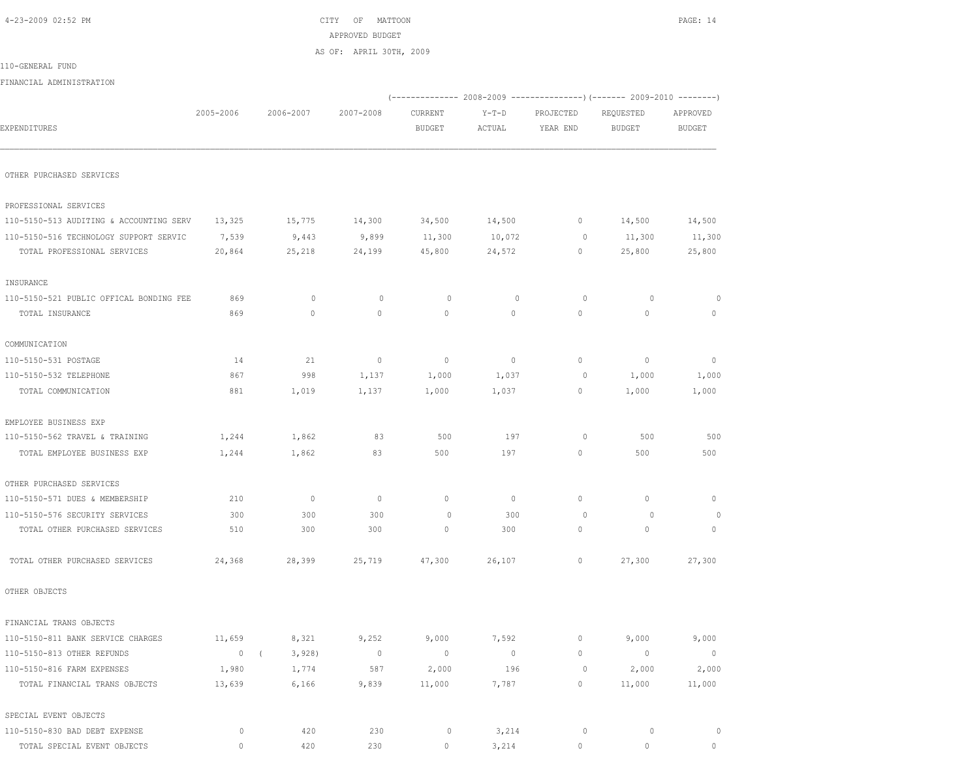| 4-23-2009 02:52 PM |  |
|--------------------|--|
|--------------------|--|

 $CITY$  OF MATTOON PAGE: 14 APPROVED BUDGET AS OF: APRIL 30TH, 2009

| 110-GENERAL FUND                        |                |                     |                |                          |                |                |                                                                          |                |
|-----------------------------------------|----------------|---------------------|----------------|--------------------------|----------------|----------------|--------------------------------------------------------------------------|----------------|
| FINANCIAL ADMINISTRATION                |                |                     |                |                          |                |                |                                                                          |                |
|                                         |                |                     |                |                          |                |                | (-------------- 2008-2009 ----------------) (------- 2009-2010 --------) |                |
|                                         | 2005-2006      | 2006-2007           | 2007-2008      | CURRENT                  | $Y-T-D$        | PROJECTED      | REQUESTED                                                                | APPROVED       |
| EXPENDITURES                            |                |                     |                | <b>BUDGET</b>            | ACTUAL         | YEAR END       | BUDGET                                                                   | <b>BUDGET</b>  |
| OTHER PURCHASED SERVICES                |                |                     |                |                          |                |                |                                                                          |                |
|                                         |                |                     |                |                          |                |                |                                                                          |                |
| PROFESSIONAL SERVICES                   |                |                     |                |                          |                |                |                                                                          |                |
| 110-5150-513 AUDITING & ACCOUNTING SERV | 13,325         | 15,775              | 14,300         | 34,500                   | 14,500         | $\overline{0}$ | 14,500                                                                   | 14,500         |
| 110-5150-516 TECHNOLOGY SUPPORT SERVIC  | 7,539          | 9,443               | 9,899          | 11,300                   | 10,072         | $\circ$        | 11,300                                                                   | 11,300         |
| TOTAL PROFESSIONAL SERVICES             | 20,864         | 25,218              | 24,199         | 45,800                   | 24,572         | $\circ$        | 25,800                                                                   | 25,800         |
| INSURANCE                               |                |                     |                |                          |                |                |                                                                          |                |
| 110-5150-521 PUBLIC OFFICAL BONDING FEE | 869            | $\mathbf{0}$        | $\circ$        | $\circ$                  | $\mathbf{0}$   | $\circ$        | $\circ$                                                                  | $\mathbf 0$    |
| TOTAL INSURANCE                         | 869            | $\mathbf{0}$        | $\mathbf{0}$   | $\circ$                  | $\circ$        | $\circ$        | $\mathbf{0}$                                                             | $\mathbf{0}$   |
| COMMUNICATION                           |                |                     |                |                          |                |                |                                                                          |                |
| 110-5150-531 POSTAGE                    | 14             | 21                  | $\circ$        | $\overline{\phantom{0}}$ | $\circ$        | $\circ$        | $\mathbf{0}$                                                             | $\circ$        |
| 110-5150-532 TELEPHONE                  | 867            | 998                 | 1,137          | 1,000                    | 1,037          | 0              | 1,000                                                                    | 1,000          |
| TOTAL COMMUNICATION                     | 881            | 1,019               | 1,137          | 1,000                    | 1,037          | $\circ$        | 1,000                                                                    | 1,000          |
| EMPLOYEE BUSINESS EXP                   |                |                     |                |                          |                |                |                                                                          |                |
| 110-5150-562 TRAVEL & TRAINING          | 1,244          | 1,862               | 83             | 500                      | 197            | $\circ$        | 500                                                                      | 500            |
| TOTAL EMPLOYEE BUSINESS EXP             | 1,244          | 1,862               | 83             | 500                      | 197            | $\mathbf{0}$   | 500                                                                      | 500            |
| OTHER PURCHASED SERVICES                |                |                     |                |                          |                |                |                                                                          |                |
| 110-5150-571 DUES & MEMBERSHIP          | 210            | $\circ$             | $\mathbf{0}$   | $\circ$                  | $\circ$        | $\mathbf{0}$   | $\mathbf{0}$                                                             | 0              |
| 110-5150-576 SECURITY SERVICES          | 300            | 300                 | 300            | $\circ$                  | 300            | $\circ$        | 0                                                                        | 0              |
| TOTAL OTHER PURCHASED SERVICES          | 510            | 300                 | 300            | $\mathbf{0}$             | 300            | $\circ$        | $\circ$                                                                  | $\mathbf{0}$   |
| TOTAL OTHER PURCHASED SERVICES          | 24,368         | 28,399              | 25,719         | 47,300                   | 26,107         | $\circ$        | 27,300                                                                   | 27,300         |
| OTHER OBJECTS                           |                |                     |                |                          |                |                |                                                                          |                |
| FINANCIAL TRANS OBJECTS                 |                |                     |                |                          |                |                |                                                                          |                |
| 110-5150-811 BANK SERVICE CHARGES       | 11,659         | 8,321               | 9,252          | 9,000                    | 7,592          | 0              | 9,000                                                                    | 9,000          |
| 110-5150-813 OTHER REFUNDS              | $\overline{0}$ | 3,928<br>$\sqrt{2}$ | $\overline{0}$ | $\overline{0}$           | $\overline{0}$ | $\circ$        | $\overline{0}$                                                           | $\overline{0}$ |
| 110-5150-816 FARM EXPENSES              | 1,980          | 1,774               | 587            | 2,000                    | 196            | $\circ$        | 2,000                                                                    | 2,000          |
| TOTAL FINANCIAL TRANS OBJECTS           | 13,639         | 6,166               | 9,839          | 11,000                   | 7,787          | $\circ$        | 11,000                                                                   | 11,000         |
| SPECIAL EVENT OBJECTS                   |                |                     |                |                          |                |                |                                                                          |                |
|                                         |                |                     |                |                          |                |                |                                                                          |                |

| 110-5150-830 BAD DEBT EXPENSE    |  |  | . |  |  |
|----------------------------------|--|--|---|--|--|
| L SPECIAL EVENT OBJECTS<br>TOTAL |  |  |   |  |  |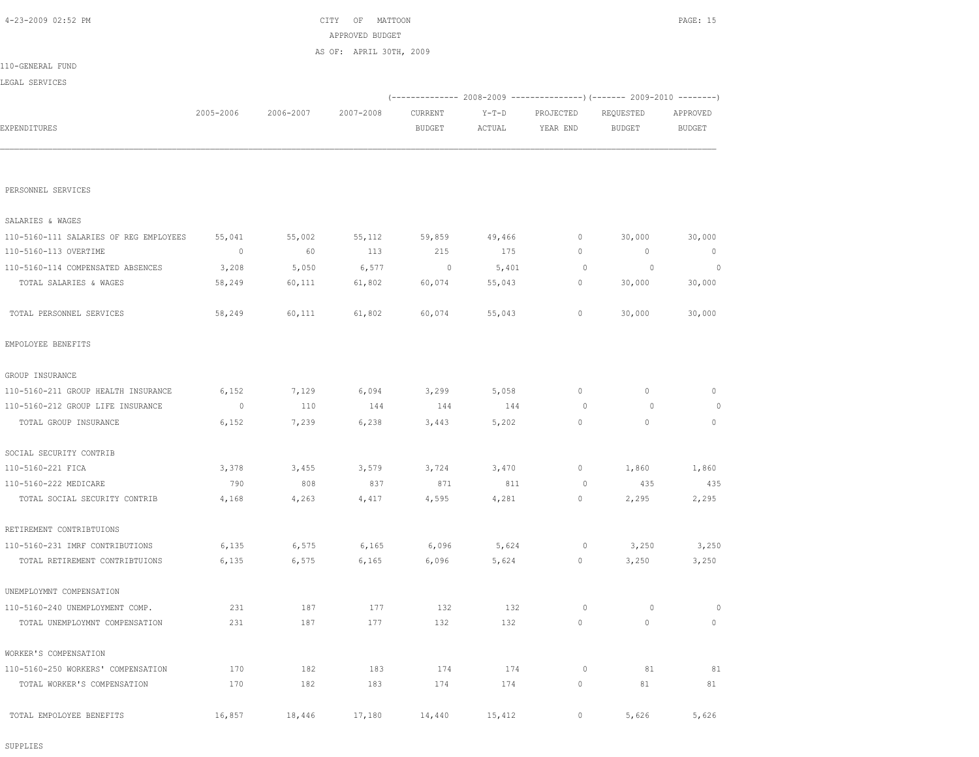SUPPLIES

| TOTAL SALARIES & WAGES              | 58,249  | 60,111 | 61,802 | 60,074 | 55,043 | 0       | 30,000  | 30,000       |
|-------------------------------------|---------|--------|--------|--------|--------|---------|---------|--------------|
| TOTAL PERSONNEL SERVICES            | 58,249  | 60,111 | 61,802 | 60,074 | 55,043 | 0       | 30,000  | 30,000       |
| EMPOLOYEE BENEFITS                  |         |        |        |        |        |         |         |              |
| GROUP INSURANCE                     |         |        |        |        |        |         |         |              |
| 110-5160-211 GROUP HEALTH INSURANCE | 6,152   | 7,129  | 6,094  | 3,299  | 5,058  | $\circ$ | $\circ$ | $\circ$      |
| 110-5160-212 GROUP LIFE INSURANCE   | $\circ$ | 110    | 144    | 144    | 144    | $\circ$ | $\circ$ | $\theta$     |
| TOTAL GROUP INSURANCE               | 6,152   | 7,239  | 6,238  | 3,443  | 5,202  | $\circ$ | $\circ$ | $\mathbf{0}$ |
| SOCIAL SECURITY CONTRIB             |         |        |        |        |        |         |         |              |
| 110-5160-221 FICA                   | 3,378   | 3,455  | 3,579  | 3,724  | 3,470  | 0       | 1,860   | 1,860        |
| 110-5160-222 MEDICARE               | 790     | 808    | 837    | 871    | 811    | $\circ$ | 435     | 435          |
| TOTAL SOCIAL SECURITY CONTRIB       | 4,168   | 4,263  | 4,417  | 4,595  | 4,281  | 0       | 2,295   | 2,295        |
| RETIREMENT CONTRIBTUIONS            |         |        |        |        |        |         |         |              |
| 110-5160-231 IMRF CONTRIBUTIONS     | 6,135   | 6,575  | 6,165  | 6,096  | 5,624  | $\circ$ | 3,250   | 3,250        |
| TOTAL RETIREMENT CONTRIBTUIONS      | 6,135   | 6,575  | 6,165  | 6,096  | 5,624  | 0       | 3,250   | 3,250        |
| UNEMPLOYMNT COMPENSATION            |         |        |        |        |        |         |         |              |
| 110-5160-240 UNEMPLOYMENT COMP.     | 231     | 187    | 177    | 132    | 132    | $\circ$ | $\circ$ | 0            |
| TOTAL UNEMPLOYMNT COMPENSATION      | 231     | 187    | 177    | 132    | 132    | 0       | $\circ$ | $\mathbf{0}$ |
| WORKER'S COMPENSATION               |         |        |        |        |        |         |         |              |
| 110-5160-250 WORKERS' COMPENSATION  | 170     | 182    | 183    | 174    | 174    | $\circ$ | 81      | 81           |
| TOTAL WORKER'S COMPENSATION         | 170     | 182    | 183    | 174    | 174    | 0       | 81      | 81           |
| TOTAL EMPOLOYEE BENEFITS            | 16,857  | 18,446 | 17,180 | 14,440 | 15,412 | 0       | 5,626   | 5,626        |
|                                     |         |        |        |        |        |         |         |              |

| 110-5160-111 SALARIES OF REG EMPLOYEES | 55,041 | 55,002 | 55,112 | 59,859 | 49,466 |          | 30,000 | 30,000 |
|----------------------------------------|--------|--------|--------|--------|--------|----------|--------|--------|
| 110-5160-113 OVERTIME                  |        | 60     | 113    | 215    | 175    | 0.       |        |        |
| 110-5160-114 COMPENSATED ABSENCES      | 3,208  | 5,050  | 6,577  |        | 5,401  | $\Omega$ |        |        |
| TOTAL SALARIES & WAGES                 | 58,249 | 60,111 | 61,802 | 60,074 | 55,043 |          | 30,000 | 30,000 |
|                                        |        |        |        |        |        |          |        |        |
| TOTAL PERSONNEL SERVICES               | 58,249 | 60,111 | 61,802 | 60,074 | 55,043 |          | 30,000 | 30,000 |

PERSONNEL SERVICES

SALARIES & WAGES

|                  |           |           | AFFROVED DUDGEI         |               |         |                                                               |           |               |
|------------------|-----------|-----------|-------------------------|---------------|---------|---------------------------------------------------------------|-----------|---------------|
|                  |           |           | AS OF: APRIL 30TH, 2009 |               |         |                                                               |           |               |
| 110-GENERAL FUND |           |           |                         |               |         |                                                               |           |               |
| LEGAL SERVICES   |           |           |                         |               |         |                                                               |           |               |
|                  |           |           |                         |               |         | $(----------2008-2009------------)$ $(------2009-2010------)$ |           |               |
|                  | 2005-2006 | 2006-2007 | 2007-2008               | CURRENT       | $Y-T-D$ | PROJECTED                                                     | REQUESTED | APPROVED      |
| EXPENDITURES     |           |           |                         | <b>BUDGET</b> | ACTUAL  | YEAR END                                                      | BUDGET    | <b>BUDGET</b> |
|                  |           |           |                         |               |         |                                                               |           |               |
|                  |           |           |                         |               |         |                                                               |           |               |
|                  |           |           |                         |               |         |                                                               |           |               |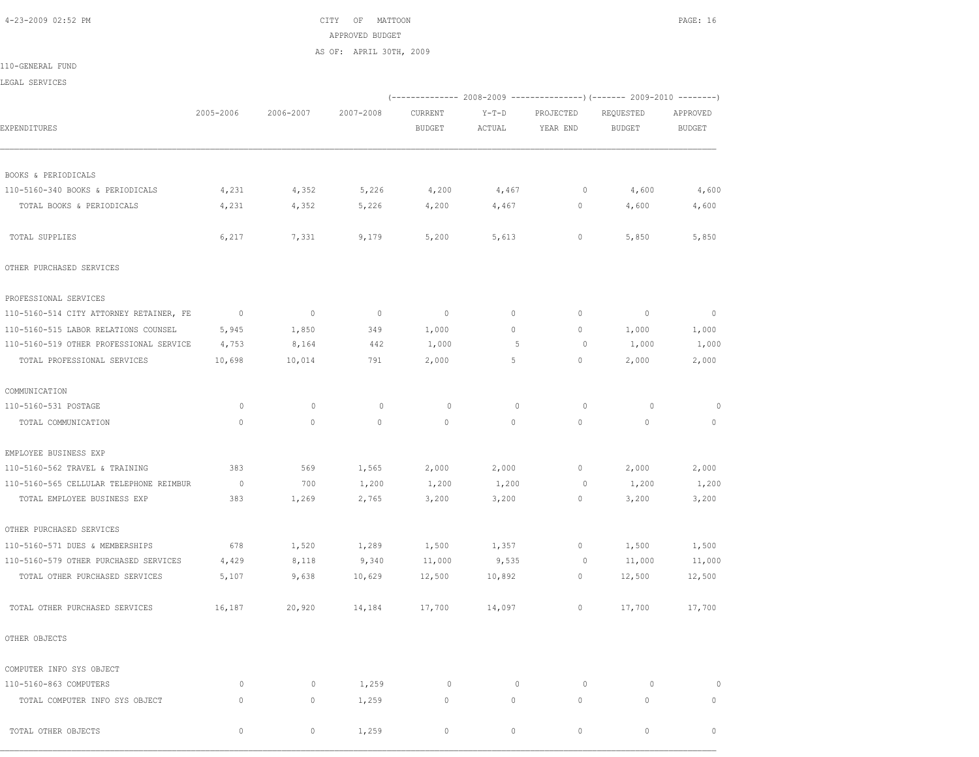4-23-2009 02:52 PM CITY OF MATTOON PAGE: 16 APPROVED BUDGET AS OF: APRIL 30TH, 2009

110-GENERAL FUND

LEGAL SERVICES

|                                         |                          |             |              |               |             |             | (------------- 2008-2009 ---------------) (------- 2009-2010 --------) |               |
|-----------------------------------------|--------------------------|-------------|--------------|---------------|-------------|-------------|------------------------------------------------------------------------|---------------|
|                                         | 2005-2006                | 2006-2007   | 2007-2008    | CURRENT       | $Y-T-D$     | PROJECTED   | REQUESTED                                                              | APPROVED      |
| EXPENDITURES                            |                          |             |              | <b>BUDGET</b> | ACTUAL      | YEAR END    | <b>BUDGET</b>                                                          | <b>BUDGET</b> |
| BOOKS & PERIODICALS                     |                          |             |              |               |             |             |                                                                        |               |
| 110-5160-340 BOOKS & PERIODICALS        | 4,231                    | 4,352       | 5,226        | 4,200         | 4,467       | $\circ$     | 4,600                                                                  | 4,600         |
| TOTAL BOOKS & PERIODICALS               | 4,231                    | 4,352       | 5,226        | 4,200         | 4,467       | 0           | 4,600                                                                  | 4,600         |
| TOTAL SUPPLIES                          | 6,217                    | 7,331       | 9,179        | 5,200         | 5,613       | $\circ$     | 5,850                                                                  | 5,850         |
| OTHER PURCHASED SERVICES                |                          |             |              |               |             |             |                                                                        |               |
| PROFESSIONAL SERVICES                   |                          |             |              |               |             |             |                                                                        |               |
| 110-5160-514 CITY ATTORNEY RETAINER, FE | $\overline{\phantom{0}}$ | $\circ$     | $\circ$      | $\mathbb{O}$  | $\circ$     | $\circ$     | $\overline{0}$                                                         | $\circ$       |
| 110-5160-515 LABOR RELATIONS COUNSEL    | 5,945                    | 1,850       | 349          | 1,000         | $\circ$     | $\circ$     | 1,000                                                                  | 1,000         |
| 110-5160-519 OTHER PROFESSIONAL SERVICE | 4,753                    | 8,164       | 442          | 1,000         | 5           | 0           | 1,000                                                                  | 1,000         |
| TOTAL PROFESSIONAL SERVICES             | 10,698                   | 10,014      | 791          | 2,000         | 5           | $\circ$     | 2,000                                                                  | 2,000         |
| COMMUNICATION                           |                          |             |              |               |             |             |                                                                        |               |
| 110-5160-531 POSTAGE                    | $\circ$                  | $\mathbf 0$ | 0            | $\circ$       | $\mathbf 0$ | $\circ$     | $\circ$                                                                |               |
| TOTAL COMMUNICATION                     | $\circ$                  | $\mathbb O$ | $\mathbf{0}$ | $\mathbb O$   | $\circ$     | $\mathbb O$ | $\mathbf{0}$                                                           | $\mathbf{0}$  |
| EMPLOYEE BUSINESS EXP                   |                          |             |              |               |             |             |                                                                        |               |
| 110-5160-562 TRAVEL & TRAINING          | 383                      | 569         | 1,565        | 2,000         | 2,000       | $\circ$     | 2,000                                                                  | 2,000         |
| 110-5160-565 CELLULAR TELEPHONE REIMBUR | $\overline{0}$           | 700         | 1,200        | 1,200         | 1,200       | $\circ$     | 1,200                                                                  | 1,200         |
| TOTAL EMPLOYEE BUSINESS EXP             | 383                      | 1,269       | 2,765        | 3,200         | 3,200       | $\circ$     | 3,200                                                                  | 3,200         |
| OTHER PURCHASED SERVICES                |                          |             |              |               |             |             |                                                                        |               |
| 110-5160-571 DUES & MEMBERSHIPS         | 678                      | 1,520       | 1,289        | 1,500         | 1,357       | $\circ$     | 1,500                                                                  | 1,500         |
| 110-5160-579 OTHER PURCHASED SERVICES   | 4,429                    | 8,118       | 9,340        | 11,000        | 9,535       | 0           | 11,000                                                                 | 11,000        |
| TOTAL OTHER PURCHASED SERVICES          | 5,107                    | 9,638       | 10,629       | 12,500        | 10,892      | $\circ$     | 12,500                                                                 | 12,500        |
| TOTAL OTHER PURCHASED SERVICES          | 16,187                   | 20,920      | 14,184       | 17,700        | 14,097      | $\circ$     | 17,700                                                                 | 17,700        |
| OTHER OBJECTS                           |                          |             |              |               |             |             |                                                                        |               |
| COMPUTER INFO SYS OBJECT                |                          |             |              |               |             |             |                                                                        |               |
| 110-5160-863 COMPUTERS                  | $\circ$                  | $\mathbf 0$ | 1,259        | $\circ$       | $\circ$     | $\circ$     | $\circ$                                                                | $\Omega$      |
| TOTAL COMPUTER INFO SYS OBJECT          | 0                        | $\circ$     | 1,259        | 0             | 0           | $\circ$     | 0                                                                      | $\mathbf 0$   |
| TOTAL OTHER OBJECTS                     | $\Omega$                 | $\circ$     | 1,259        | $\mathbf{0}$  | $\circ$     | $\cap$      | $\circ$                                                                | $\circ$       |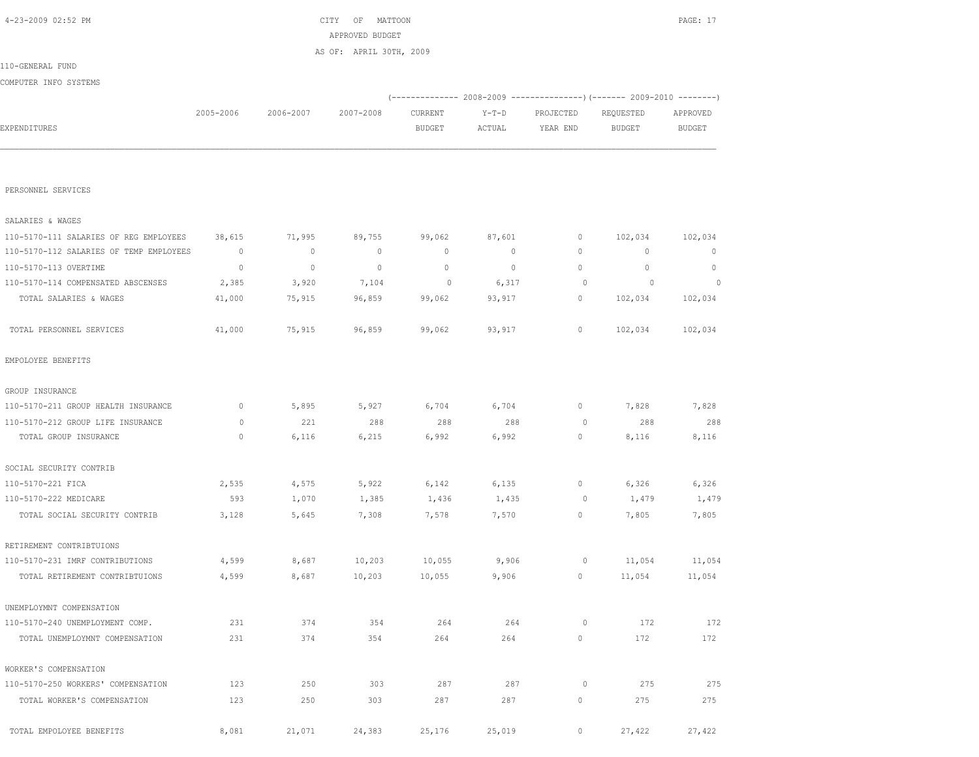| PERSONNEL SERVICES                      |              |              |             |              |         |             |             |              |
|-----------------------------------------|--------------|--------------|-------------|--------------|---------|-------------|-------------|--------------|
| SALARIES & WAGES                        |              |              |             |              |         |             |             |              |
| 110-5170-111 SALARIES OF REG EMPLOYEES  | 38,615       | 71,995       | 89,755      | 99,062       | 87,601  | 0           | 102,034     | 102,034      |
| 110-5170-112 SALARIES OF TEMP EMPLOYEES | $\mathbf{0}$ | $\circ$      | $\mathbf 0$ | $\mathbf{0}$ | 0       | 0           | $\mathbf 0$ | $\mathbf{0}$ |
| 110-5170-113 OVERTIME                   | $\mathbf 0$  | $\mathbf{0}$ | $\mathbf 0$ | $\mathbf{0}$ | $\circ$ | 0           | $\circ$     | $\mathbf{0}$ |
| 110-5170-114 COMPENSATED ABSCENSES      | 2,385        | 3,920        | 7,104       | 0            | 6,317   | $\circ$     | $\circ$     | $\circ$      |
| TOTAL SALARIES & WAGES                  | 41,000       | 75,915       | 96,859      | 99,062       | 93,917  | 0           | 102,034     | 102,034      |
| TOTAL PERSONNEL SERVICES                | 41,000       | 75,915       | 96,859      | 99,062       | 93,917  | $\mathbb O$ | 102,034     | 102,034      |
| EMPOLOYEE BENEFITS                      |              |              |             |              |         |             |             |              |
| GROUP INSURANCE                         |              |              |             |              |         |             |             |              |
| 110-5170-211 GROUP HEALTH INSURANCE     | $\mathbf{0}$ | 5,895        | 5,927       | 6,704        | 6,704   | $\mathbb O$ | 7,828       | 7,828        |
| 110-5170-212 GROUP LIFE INSURANCE       | $\circ$      | 221          | 288         | 288          | 288     | $\circ$     | 288         | 288          |
| TOTAL GROUP INSURANCE                   | $\mathbf{0}$ | 6,116        | 6,215       | 6,992        | 6,992   | 0           | 8,116       | 8,116        |
| SOCIAL SECURITY CONTRIB                 |              |              |             |              |         |             |             |              |
| 110-5170-221 FICA                       | 2,535        | 4,575        | 5,922       | 6,142        | 6,135   | 0           | 6,326       | 6,326        |
| 110-5170-222 MEDICARE                   | 593          | 1,070        | 1,385       | 1,436        | 1,435   | 0           | 1,479       | 1,479        |
| TOTAL SOCIAL SECURITY CONTRIB           | 3,128        | 5,645        | 7,308       | 7,578        | 7,570   | 0           | 7,805       | 7,805        |
| RETIREMENT CONTRIBTUIONS                |              |              |             |              |         |             |             |              |
| 110-5170-231 IMRF CONTRIBUTIONS         | 4,599        | 8,687        | 10,203      | 10,055       | 9,906   | $\circ$     | 11,054      | 11,054       |
| TOTAL RETIREMENT CONTRIBTUIONS          | 4,599        | 8,687        | 10,203      | 10,055       | 9,906   | 0           | 11,054      | 11,054       |
| UNEMPLOYMNT COMPENSATION                |              |              |             |              |         |             |             |              |
| 110-5170-240 UNEMPLOYMENT COMP.         | 231          | 374          | 354         | 264          | 264     | 0           | 172         | 172          |
| TOTAL UNEMPLOYMNT COMPENSATION          | 231          | 374          | 354         | 264          | 264     | 0           | 172         | 172          |
| WORKER'S COMPENSATION                   |              |              |             |              |         |             |             |              |
| 110-5170-250 WORKERS' COMPENSATION      | 123          | 250          | 303         | 287          | 287     | 0           | 275         | 275          |
| TOTAL WORKER'S COMPENSATION             | 123          | 250          | 303         | 287          | 287     | 0           | 275         | 275          |
| TOTAL EMPOLOYEE BENEFITS                | 8,081        | 21,071       | 24,383      | 25,176       | 25,019  | 0           | 27,422      | 27,422       |

|                       |           |           | AS OF: APRIL 30TH, 2009 |         |        |                                                                           |           |          |
|-----------------------|-----------|-----------|-------------------------|---------|--------|---------------------------------------------------------------------------|-----------|----------|
| 110-GENERAL FUND      |           |           |                         |         |        |                                                                           |           |          |
| COMPUTER INFO SYSTEMS |           |           |                         |         |        |                                                                           |           |          |
|                       |           |           |                         |         |        | (-------------- 2008-2009 -----------------) (------- 2009-2010 --------) |           |          |
|                       | 2005-2006 | 2006-2007 | 2007-2008               | CURRENT | Y-T-D  | PROJECTED                                                                 | REQUESTED | APPROVED |
| EXPENDITURES          |           |           |                         | BUDGET  | ACTUAL | YEAR END                                                                  | BUDGET    | BUDGET   |
|                       |           |           |                         |         |        |                                                                           |           |          |
|                       |           |           |                         |         |        |                                                                           |           |          |

APPROVED BUDGET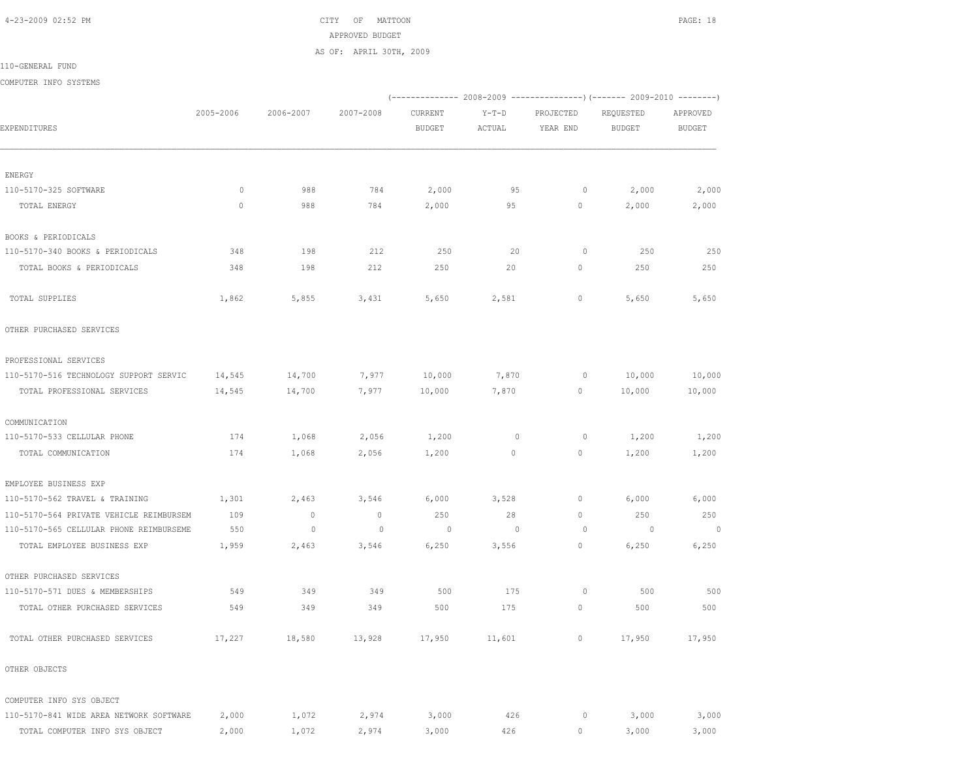4-23-2009 02:52 PM CITY OF MATTOON PAGE: 18 APPROVED BUDGET

AS OF: APRIL 30TH, 2009

110-GENERAL FUND

COMPUTER INFO SYSTEMS

|                                         |           |             |             |                          |                   |                       | (------------- 2008-2009 ---------------) (------- 2009-2010 -------- |                           |
|-----------------------------------------|-----------|-------------|-------------|--------------------------|-------------------|-----------------------|-----------------------------------------------------------------------|---------------------------|
| EXPENDITURES                            | 2005-2006 | 2006-2007   | 2007-2008   | CURRENT<br><b>BUDGET</b> | $Y-T-D$<br>ACTUAL | PROJECTED<br>YEAR END | REQUESTED<br><b>BUDGET</b>                                            | APPROVED<br><b>BUDGET</b> |
|                                         |           |             |             |                          |                   |                       |                                                                       |                           |
| ENERGY                                  |           |             |             |                          |                   |                       |                                                                       |                           |
| 110-5170-325 SOFTWARE                   | $\circ$   | 988         | 784         | 2,000                    | 95                | $\circ$               | 2,000                                                                 | 2,000                     |
| TOTAL ENERGY                            | $\circ$   | 988         | 784         | 2,000                    | 95                | 0                     | 2,000                                                                 | 2,000                     |
| BOOKS & PERIODICALS                     |           |             |             |                          |                   |                       |                                                                       |                           |
| 110-5170-340 BOOKS & PERIODICALS        | 348       | 198         | 212         | 250                      | 20                | $\circ$               | 250                                                                   | 250                       |
| TOTAL BOOKS & PERIODICALS               | 348       | 198         | 212         | 250                      | 20                | $\circ$               | 250                                                                   | 250                       |
| TOTAL SUPPLIES                          | 1,862     | 5,855       | 3,431       | 5,650                    | 2,581             | $\circ$               | 5,650                                                                 | 5,650                     |
| OTHER PURCHASED SERVICES                |           |             |             |                          |                   |                       |                                                                       |                           |
| PROFESSIONAL SERVICES                   |           |             |             |                          |                   |                       |                                                                       |                           |
| 110-5170-516 TECHNOLOGY SUPPORT SERVIC  | 14,545    | 14,700      | 7,977       | 10,000                   | 7,870             | 0                     | 10,000                                                                | 10,000                    |
| TOTAL PROFESSIONAL SERVICES             | 14,545    | 14,700      | 7,977       | 10,000                   | 7,870             | $\circ$               | 10,000                                                                | 10,000                    |
| COMMUNICATION                           |           |             |             |                          |                   |                       |                                                                       |                           |
| 110-5170-533 CELLULAR PHONE             | 174       | 1,068       | 2,056       | 1,200                    | $\mathbf 0$       | 0                     | 1,200                                                                 | 1,200                     |
| TOTAL COMMUNICATION                     | 174       | 1,068       | 2,056       | 1,200                    | $\mathbb O$       | $\circ$               | 1,200                                                                 | 1,200                     |
| EMPLOYEE BUSINESS EXP                   |           |             |             |                          |                   |                       |                                                                       |                           |
| 110-5170-562 TRAVEL & TRAINING          | 1,301     | 2,463       | 3,546       | 6,000                    | 3,528             | $\circ$               | 6,000                                                                 | 6,000                     |
| 110-5170-564 PRIVATE VEHICLE REIMBURSEM | 109       | $\circ$     | $\mathbb O$ | 250                      | 28                | $\mathbb O$           | 250                                                                   | 250                       |
| 110-5170-565 CELLULAR PHONE REIMBURSEME | 550       | $\mathbb O$ | $\circ$     | $\circ$                  | $\circ$           | $\circ$               | $\circ$                                                               | $\mathbb O$               |
| TOTAL EMPLOYEE BUSINESS EXP             | 1,959     | 2,463       | 3,546       | 6,250                    | 3,556             | $\circ$               | 6,250                                                                 | 6,250                     |
| OTHER PURCHASED SERVICES                |           |             |             |                          |                   |                       |                                                                       |                           |
| 110-5170-571 DUES & MEMBERSHIPS         | 549       | 349         | 349         | 500                      | 175               | $\circ$               | 500                                                                   | 500                       |
| TOTAL OTHER PURCHASED SERVICES          | 549       | 349         | 349         | 500                      | 175               | $\circ$               | 500                                                                   | 500                       |
| TOTAL OTHER PURCHASED SERVICES          | 17,227    | 18,580      | 13,928      | 17,950                   | 11,601            | $\circ$               | 17,950                                                                | 17,950                    |
| OTHER OBJECTS                           |           |             |             |                          |                   |                       |                                                                       |                           |
| COMPUTER INFO SYS OBJECT                |           |             |             |                          |                   |                       |                                                                       |                           |
| 110-5170-841 WIDE AREA NETWORK SOFTWARE | 2,000     | 1,072       | 2,974       | 3,000                    | 426               | 0                     | 3,000                                                                 | 3,000                     |
| TOTAL COMPUTER INFO SYS OBJECT          | 2,000     | 1,072       | 2,974       | 3,000                    | 426               | $\circ$               | 3,000                                                                 | 3,000                     |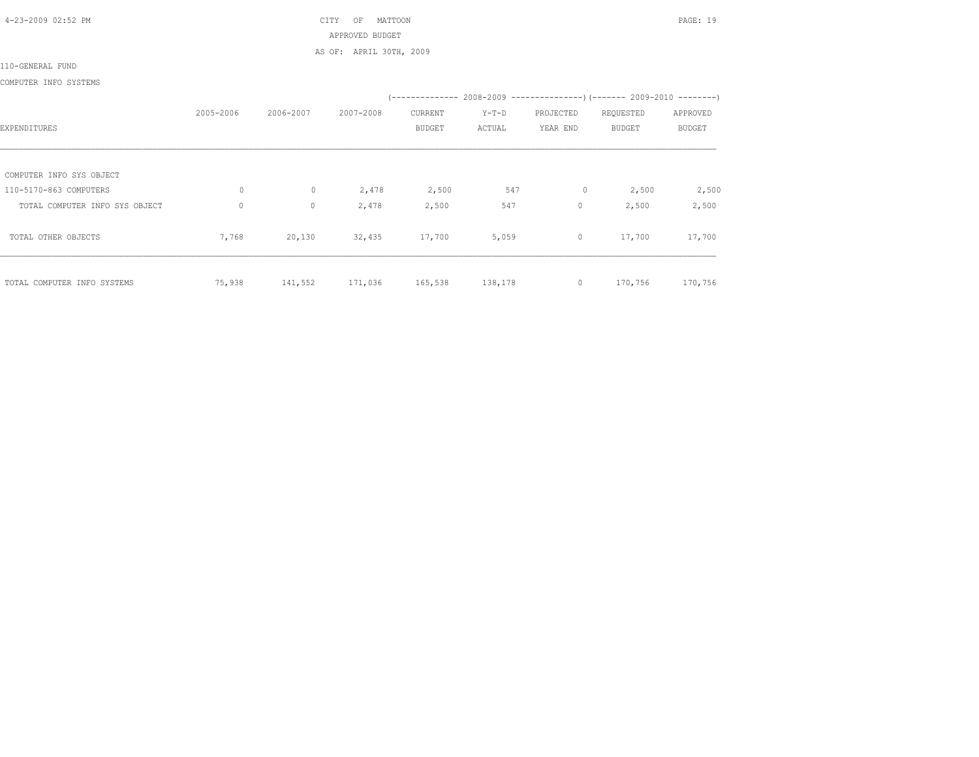4-23-2009 02:52 PM CITY OF MATTOON PAGE: 19 APPROVED BUDGET

AS OF: APRIL 30TH, 2009

110-GENERAL FUND

COMPUTER INFO SYSTEMS

|                                |              |           |           |               |         |              | (-------------- 2008-2009 -----------------) (------- 2009-2010 --------) |               |
|--------------------------------|--------------|-----------|-----------|---------------|---------|--------------|---------------------------------------------------------------------------|---------------|
|                                | 2005-2006    | 2006-2007 | 2007-2008 | CURRENT       | $Y-T-D$ | PROJECTED    | REQUESTED                                                                 | APPROVED      |
| EXPENDITURES                   |              |           |           | <b>BUDGET</b> | ACTUAL  | YEAR END     | <b>BUDGET</b>                                                             | <b>BUDGET</b> |
|                                |              |           |           |               |         |              |                                                                           |               |
| COMPUTER INFO SYS OBJECT       |              |           |           |               |         |              |                                                                           |               |
| 110-5170-863 COMPUTERS         | $\circ$      | $\circ$   | 2,478     | 2,500         | 547     | 0            | 2,500                                                                     | 2,500         |
| TOTAL COMPUTER INFO SYS OBJECT | $\mathbf{0}$ | $\circ$   | 2,478     | 2,500         | 547     | $\mathbf{0}$ | 2,500                                                                     | 2,500         |
| TOTAL OTHER OBJECTS            | 7,768        | 20,130    | 32,435    | 17,700        | 5,059   | $\circ$      | 17,700                                                                    | 17,700        |
| TOTAL COMPUTER INFO SYSTEMS    | 75,938       | 141,552   | 171,036   | 165,538       | 138,178 | $\circ$      | 170,756                                                                   | 170,756       |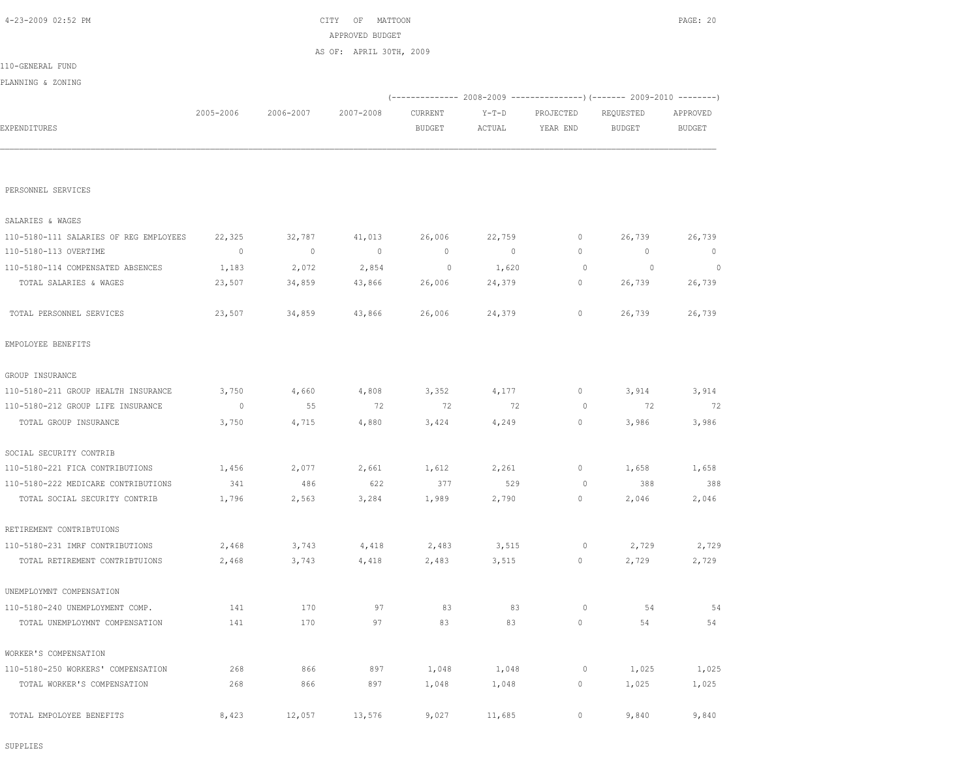SUPPLIES

| TOTAL SALARIES & WAGES              | 23,507  | 34,859 | 43,866 | 26,006 | 24,379 | 0       | 26,739 | 26,739 |
|-------------------------------------|---------|--------|--------|--------|--------|---------|--------|--------|
| TOTAL PERSONNEL SERVICES            | 23,507  | 34,859 | 43,866 | 26,006 | 24,379 | 0       | 26,739 | 26,739 |
| EMPOLOYEE BENEFITS                  |         |        |        |        |        |         |        |        |
| GROUP INSURANCE                     |         |        |        |        |        |         |        |        |
| 110-5180-211 GROUP HEALTH INSURANCE | 3,750   | 4,660  | 4,808  | 3,352  | 4,177  | 0       | 3,914  | 3,914  |
| 110-5180-212 GROUP LIFE INSURANCE   | $\circ$ | 55     | 72     | 72     | 72     | $\circ$ | 72     | 72     |
| TOTAL GROUP INSURANCE               | 3,750   | 4,715  | 4,880  | 3,424  | 4,249  | $\circ$ | 3,986  | 3,986  |
| SOCIAL SECURITY CONTRIB             |         |        |        |        |        |         |        |        |
| 110-5180-221 FICA CONTRIBUTIONS     | 1,456   | 2,077  | 2,661  | 1,612  | 2,261  | 0       | 1,658  | 1,658  |
| 110-5180-222 MEDICARE CONTRIBUTIONS | 341     | 486    | 622    | 377    | 529    | $\circ$ | 388    | 388    |
| TOTAL SOCIAL SECURITY CONTRIB       | 1,796   | 2,563  | 3,284  | 1,989  | 2,790  | 0       | 2,046  | 2,046  |
| RETIREMENT CONTRIBTUIONS            |         |        |        |        |        |         |        |        |
| 110-5180-231 IMRF CONTRIBUTIONS     | 2,468   | 3,743  | 4,418  | 2,483  | 3,515  | $\circ$ | 2,729  | 2,729  |
| TOTAL RETIREMENT CONTRIBTUIONS      | 2,468   | 3,743  | 4,418  | 2,483  | 3,515  | 0       | 2,729  | 2,729  |
| UNEMPLOYMNT COMPENSATION            |         |        |        |        |        |         |        |        |
| 110-5180-240 UNEMPLOYMENT COMP.     | 141     | 170    | 97     | 83     | 83     | $\circ$ | 54     | 54     |
| TOTAL UNEMPLOYMNT COMPENSATION      | 141     | 170    | 97     | 83     | 83     | $\circ$ | 54     | 54     |
| WORKER'S COMPENSATION               |         |        |        |        |        |         |        |        |
| 110-5180-250 WORKERS' COMPENSATION  | 268     | 866    | 897    | 1,048  | 1,048  | $\circ$ | 1,025  | 1,025  |
| TOTAL WORKER'S COMPENSATION         | 268     | 866    | 897    | 1,048  | 1,048  | 0       | 1,025  | 1,025  |
| TOTAL EMPOLOYEE BENEFITS            | 8,423   | 12,057 | 13,576 | 9,027  | 11,685 | 0       | 9,840  | 9,840  |
|                                     |         |        |        |        |        |         |        |        |

| 4-23-2009 02:52 PM |           |           | CITY<br>OF<br>MATTOON   |         |         |           |           | PAGE: 20 |
|--------------------|-----------|-----------|-------------------------|---------|---------|-----------|-----------|----------|
|                    |           |           | APPROVED BUDGET         |         |         |           |           |          |
|                    |           |           | AS OF: APRIL 30TH, 2009 |         |         |           |           |          |
| 110-GENERAL FUND   |           |           |                         |         |         |           |           |          |
| PLANNING & ZONING  |           |           |                         |         |         |           |           |          |
|                    |           |           |                         |         |         |           |           |          |
|                    | 2005-2006 | 2006-2007 | 2007-2008               | CURRENT | $Y-T-D$ | PROJECTED | REQUESTED | APPROVED |
| EXPENDITURES       |           |           |                         | BUDGET  | ACTUAL  | YEAR END  | BUDGET    | BUDGET   |
|                    |           |           |                         |         |         |           |           |          |
|                    |           |           |                         |         |         |           |           |          |
| PERSONNEL SERVICES |           |           |                         |         |         |           |           |          |
|                    |           |           |                         |         |         |           |           |          |

 110-5180-111 SALARIES OF REG EMPLOYEES 22,325 32,787 41,013 26,006 22,759 0 26,739 26,739 110-5180-113 OVERTIME 0 0 0 0 0 0 0 0 110-5180-114 COMPENSATED ABSENCES 1,183 2,072 2,854 0 1,620 0 0 0

SALARIES & WAGES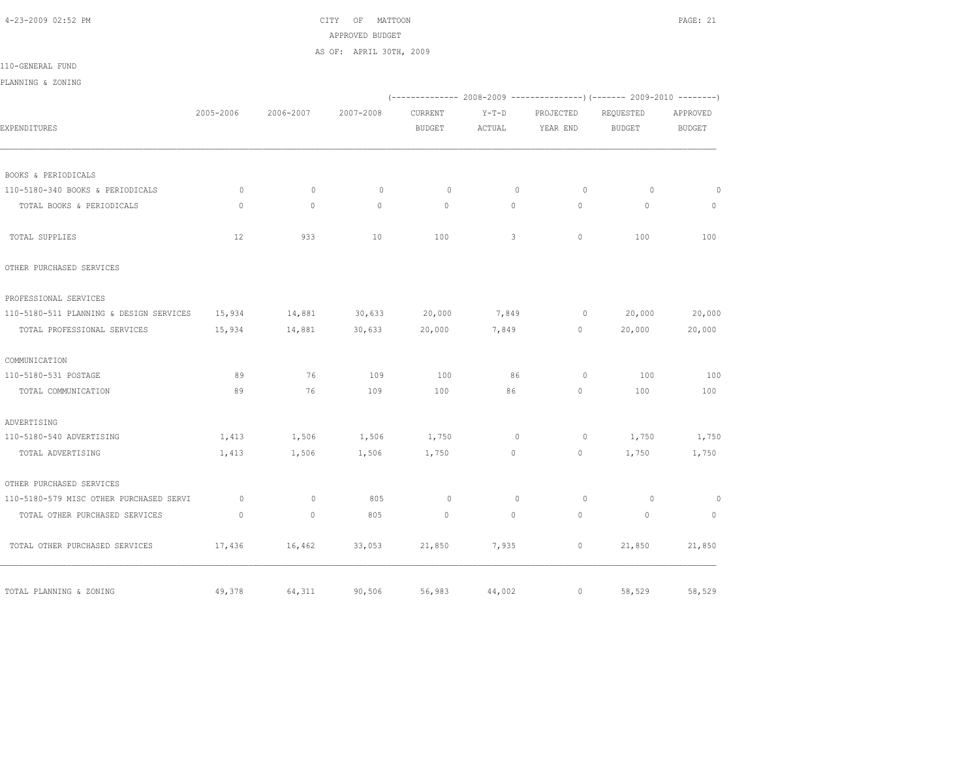## 4-23-2009 02:52 PM CITY OF MATTOON PAGE: 21 APPROVED BUDGET AS OF: APRIL 30TH, 2009

110-GENERAL FUND

PLANNING & ZONING

|                                         |                |              |           |               |              |                | (-------------- 2008-2009 -------------------- 2009-2010 ----------- |               |
|-----------------------------------------|----------------|--------------|-----------|---------------|--------------|----------------|----------------------------------------------------------------------|---------------|
|                                         | 2005-2006      | 2006-2007    | 2007-2008 | CURRENT       | $Y-T-D$      | PROJECTED      | REQUESTED                                                            | APPROVED      |
| EXPENDITURES                            |                |              |           | <b>BUDGET</b> | ACTUAL       | YEAR END       | <b>BUDGET</b>                                                        | <b>BUDGET</b> |
|                                         |                |              |           |               |              |                |                                                                      |               |
| BOOKS & PERIODICALS                     |                |              |           |               |              |                |                                                                      |               |
| 110-5180-340 BOOKS & PERIODICALS        | $\circ$        | $\mathbf{0}$ | $\circ$   | $\circ$       | $\circ$      | $\circ$        | $\circ$                                                              | $\circ$       |
| TOTAL BOOKS & PERIODICALS               | $\mathbf{0}$   | $\circ$      | $\circ$   | $\circ$       | $\circ$      | $\Omega$       | $\mathbf{0}$                                                         | $\mathbf{0}$  |
| TOTAL SUPPLIES                          | 12             | 933          | 10        | 100           | 3            | $\mathbf{0}$   | 100                                                                  | 100           |
| OTHER PURCHASED SERVICES                |                |              |           |               |              |                |                                                                      |               |
| PROFESSIONAL SERVICES                   |                |              |           |               |              |                |                                                                      |               |
| 110-5180-511 PLANNING & DESIGN SERVICES | 15,934         | 14,881       | 30,633    | 20,000        | 7,849        | $\circ$        | 20,000                                                               | 20,000        |
| TOTAL PROFESSIONAL SERVICES             | 15,934         | 14,881       | 30,633    | 20,000        | 7,849        | $\circ$        | 20,000                                                               | 20,000        |
| COMMUNICATION                           |                |              |           |               |              |                |                                                                      |               |
| 110-5180-531 POSTAGE                    | 89             | 76           | 109       | 100           | 86           | $\circ$        | 100                                                                  | 100           |
| TOTAL COMMUNICATION                     | 89             | 76           | 109       | 100           | 86           | $\circ$        | 100                                                                  | 100           |
| ADVERTISING                             |                |              |           |               |              |                |                                                                      |               |
| 110-5180-540 ADVERTISING                | 1,413          | 1,506        | 1,506     | 1,750         | $\circ$      | $\circ$        | 1,750                                                                | 1,750         |
| TOTAL ADVERTISING                       | 1,413          | 1,506        | 1,506     | 1,750         | 0            | $\overline{0}$ | 1,750                                                                | 1,750         |
| OTHER PURCHASED SERVICES                |                |              |           |               |              |                |                                                                      |               |
| 110-5180-579 MISC OTHER PURCHASED SERVI | $\overline{0}$ | $\circ$      | 805       | $\circ$       | $\mathbf{0}$ | $\circ$        | $\overline{0}$                                                       | $\circ$       |
| TOTAL OTHER PURCHASED SERVICES          | $\mathbf{0}$   | $\mathbf{0}$ | 805       | $\mathbf{0}$  | $\circ$      | $\circ$        | $\circ$                                                              | $\circ$       |
| TOTAL OTHER PURCHASED SERVICES          | 17,436         | 16,462       | 33,053    | 21,850        | 7,935        | $\circ$        | 21,850                                                               | 21,850        |
| TOTAL PLANNING & ZONING                 | 49,378         | 64,311       | 90,506    | 56,983        | 44,002       | $\circ$        | 58,529                                                               | 58,529        |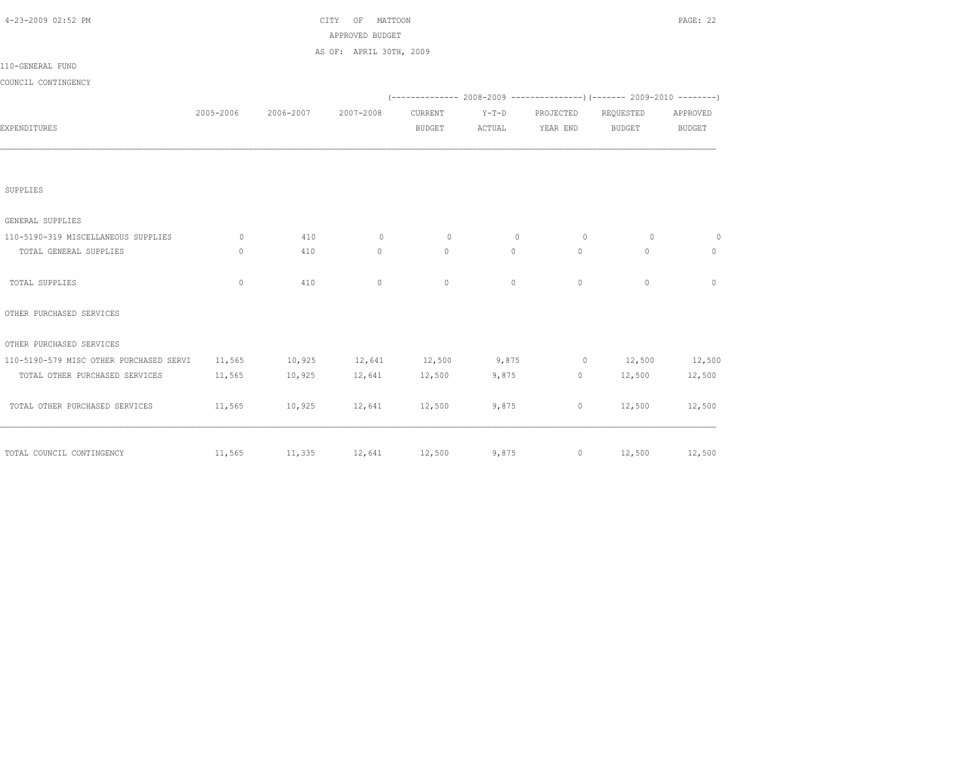| 4-23-2009 02:52 PM                      |              |                                     | MATTOON<br>CITY<br>OF   |               |              |                |                                                                          | PAGE: 22      |
|-----------------------------------------|--------------|-------------------------------------|-------------------------|---------------|--------------|----------------|--------------------------------------------------------------------------|---------------|
|                                         |              |                                     | APPROVED BUDGET         |               |              |                |                                                                          |               |
|                                         |              |                                     | AS OF: APRIL 30TH, 2009 |               |              |                |                                                                          |               |
| 110-GENERAL FUND                        |              |                                     |                         |               |              |                |                                                                          |               |
| COUNCIL CONTINGENCY                     |              |                                     |                         |               |              |                |                                                                          |               |
|                                         |              |                                     |                         |               |              |                | (-------------- 2008-2009 ----------------) (------- 2009-2010 --------) |               |
|                                         | 2005-2006    | 2006-2007                           | 2007-2008               | CURRENT       | $Y-T-D$      | PROJECTED      | REQUESTED                                                                | APPROVED      |
| EXPENDITURES                            |              |                                     |                         | <b>BUDGET</b> | ACTUAL       | YEAR END       | <b>BUDGET</b>                                                            | <b>BUDGET</b> |
|                                         |              |                                     |                         |               |              |                |                                                                          |               |
| SUPPLIES                                |              |                                     |                         |               |              |                |                                                                          |               |
| GENERAL SUPPLIES                        |              |                                     |                         |               |              |                |                                                                          |               |
| 110-5190-319 MISCELLANEOUS SUPPLIES     | $\circ$      | 410                                 | $\circ$                 | $\circ$       | $\mathbf{0}$ | $\overline{0}$ | $\circ$                                                                  | $\circ$       |
| TOTAL GENERAL SUPPLIES                  | $\circ$      | 410                                 | $\circ$                 | $\circ$       | $\circ$      | $\circ$        | $\circ$                                                                  | $\mathbf{0}$  |
| TOTAL SUPPLIES                          | $\mathbf{0}$ | 410                                 | $\circ$                 | $\mathbf{0}$  | $\circ$      | $\circ$        | $\mathbf{0}$                                                             | $\mathbf{0}$  |
| OTHER PURCHASED SERVICES                |              |                                     |                         |               |              |                |                                                                          |               |
| OTHER PURCHASED SERVICES                |              |                                     |                         |               |              |                |                                                                          |               |
| 110-5190-579 MISC OTHER PURCHASED SERVI | 11,565       | 10,925 12,641 12,500 9,875          |                         |               |              |                | $0 \t 12,500$                                                            | 12,500        |
| TOTAL OTHER PURCHASED SERVICES          | 11,565       | 10,925 12,641 12,500                |                         |               | 9,875        |                | $0 \t 12,500$                                                            | 12,500        |
| TOTAL OTHER PURCHASED SERVICES          | 11,565       | 10,925                              | 12,641 12,500           |               | 9,875        | $\circ$        | 12,500                                                                   | 12,500        |
|                                         |              | $11,565$ $11,335$ $12,641$ $12,500$ |                         |               |              | 9,875          | $0 \t 12,500$                                                            | 12,500        |
| TOTAL COUNCIL CONTINGENCY               |              |                                     |                         |               |              |                |                                                                          |               |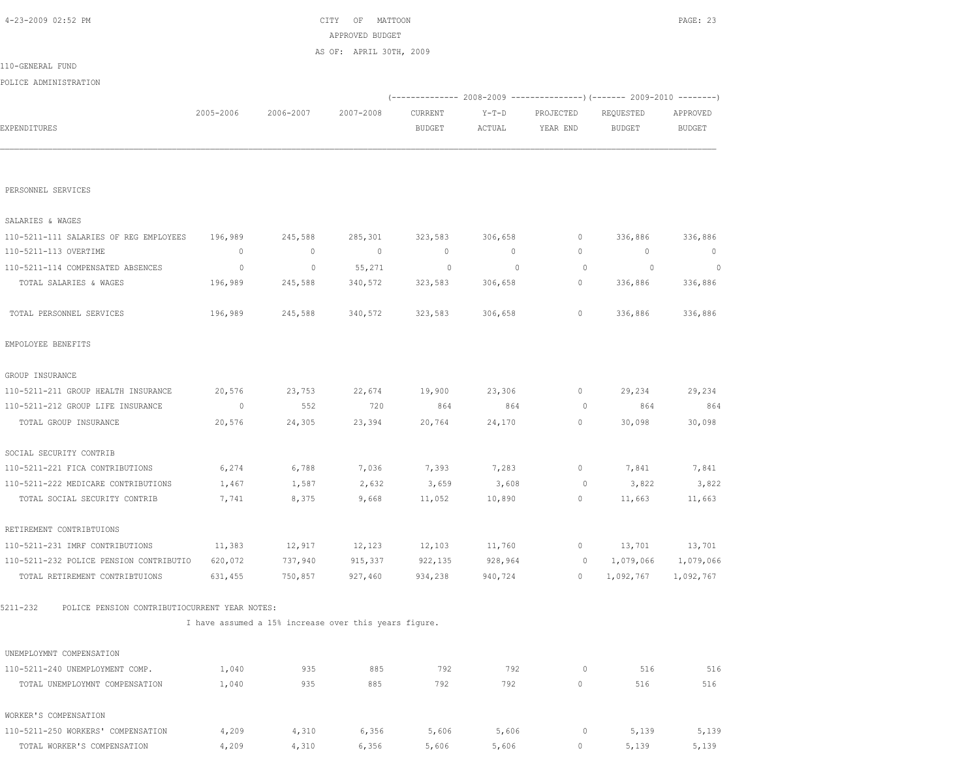|                                                           |           |                                                       | APPROVED BUDGET         |               |                                                                          |              |               |               |
|-----------------------------------------------------------|-----------|-------------------------------------------------------|-------------------------|---------------|--------------------------------------------------------------------------|--------------|---------------|---------------|
|                                                           |           |                                                       | AS OF: APRIL 30TH, 2009 |               |                                                                          |              |               |               |
| 110-GENERAL FUND                                          |           |                                                       |                         |               |                                                                          |              |               |               |
| POLICE ADMINISTRATION                                     |           |                                                       |                         |               |                                                                          |              |               |               |
|                                                           |           |                                                       |                         |               | (-------------- 2008-2009 ----------------) (------- 2009-2010 --------) |              |               |               |
|                                                           | 2005-2006 | 2006-2007                                             | 2007-2008               | CURRENT       | $Y-T-D$                                                                  | PROJECTED    | REQUESTED     | APPROVED      |
| EXPENDITURES                                              |           |                                                       |                         | <b>BUDGET</b> | ACTUAL                                                                   | YEAR END     | <b>BUDGET</b> | <b>BUDGET</b> |
|                                                           |           |                                                       |                         |               |                                                                          |              |               |               |
| PERSONNEL SERVICES                                        |           |                                                       |                         |               |                                                                          |              |               |               |
| SALARIES & WAGES                                          |           |                                                       |                         |               |                                                                          |              |               |               |
| 110-5211-111 SALARIES OF REG EMPLOYEES                    | 196,989   | 245,588                                               | 285,301                 | 323,583       | 306,658                                                                  | 0            | 336,886       | 336,886       |
| 110-5211-113 OVERTIME                                     | $\circ$   | $\circ$                                               | $\mathbb{O}$            | $\mathbb{O}$  | $\circ$                                                                  | 0            | $\circ$       | $\mathbf{0}$  |
| 110-5211-114 COMPENSATED ABSENCES                         | $\circ$   | $\circ$                                               | 55,271                  | $\circ$       | $\overline{0}$                                                           | $\circ$      | $\circ$       | 0             |
| TOTAL SALARIES & WAGES                                    | 196,989   | 245,588                                               | 340,572                 | 323,583       | 306,658                                                                  | 0            | 336,886       | 336,886       |
| TOTAL PERSONNEL SERVICES                                  | 196,989   | 245,588                                               | 340,572                 | 323,583       | 306,658                                                                  | 0            | 336,886       | 336,886       |
| EMPOLOYEE BENEFITS                                        |           |                                                       |                         |               |                                                                          |              |               |               |
| GROUP INSURANCE                                           |           |                                                       |                         |               |                                                                          |              |               |               |
| 110-5211-211 GROUP HEALTH INSURANCE                       | 20,576    | 23,753                                                | 22,674                  | 19,900        | 23,306                                                                   | 0            | 29,234        | 29,234        |
| 110-5211-212 GROUP LIFE INSURANCE                         | 0         | 552                                                   | 720                     | 864           | 864                                                                      | 0            | 864           | 864           |
| TOTAL GROUP INSURANCE                                     | 20,576    | 24,305                                                | 23,394                  | 20,764        | 24,170                                                                   | 0            | 30,098        | 30,098        |
| SOCIAL SECURITY CONTRIB                                   |           |                                                       |                         |               |                                                                          |              |               |               |
| 110-5211-221 FICA CONTRIBUTIONS                           | 6,274     | 6,788                                                 | 7,036                   | 7,393         | 7,283                                                                    | 0            | 7,841         | 7,841         |
| 110-5211-222 MEDICARE CONTRIBUTIONS                       | 1,467     | 1,587                                                 | 2,632                   | 3,659         | 3,608                                                                    | 0            | 3,822         | 3,822         |
| TOTAL SOCIAL SECURITY CONTRIB                             | 7,741     | 8,375                                                 | 9,668                   | 11,052        | 10,890                                                                   | 0            | 11,663        | 11,663        |
| RETIREMENT CONTRIBTUIONS                                  |           |                                                       |                         |               |                                                                          |              |               |               |
| 110-5211-231 IMRF CONTRIBUTIONS                           | 11,383    | 12,917                                                | 12,123                  | 12,103        | 11,760                                                                   | 0            | 13,701        | 13,701        |
| 110-5211-232 POLICE PENSION CONTRIBUTIO                   | 620,072   | 737,940                                               | 915,337                 | 922,135       | 928,964                                                                  | 0            | 1,079,066     | 1,079,066     |
| TOTAL RETIREMENT CONTRIBTUIONS                            | 631,455   | 750,857                                               | 927,460                 | 934,238       | 940,724                                                                  | $\mathbf{0}$ | 1,092,767     | 1,092,767     |
| 5211-232<br>POLICE PENSION CONTRIBUTIOCURRENT YEAR NOTES: |           |                                                       |                         |               |                                                                          |              |               |               |
|                                                           |           | I have assumed a 15% increase over this years figure. |                         |               |                                                                          |              |               |               |
| UNEMPLOYMNT COMPENSATION                                  |           |                                                       |                         |               |                                                                          |              |               |               |
| 110-5211-240 UNEMPLOYMENT COMP.                           | 1,040     | 935                                                   | 885                     | 792           | 792                                                                      | 0            | 516           | 516           |
| TOTAL UNEMPLOYMNT COMPENSATION                            | 1,040     | 935                                                   | 885                     | 792           | 792                                                                      | $\circ$      | 516           | 516           |
| WORKER'S COMPENSATION                                     |           |                                                       |                         |               |                                                                          |              |               |               |

 110-5211-250 WORKERS' COMPENSATION 4,209 4,310 6,356 5,606 5,606 0 5,139 5,139 TOTAL WORKER'S COMPENSATION  $4,209$   $4,310$   $6,356$   $5,606$   $5,606$  0 5,139 5,139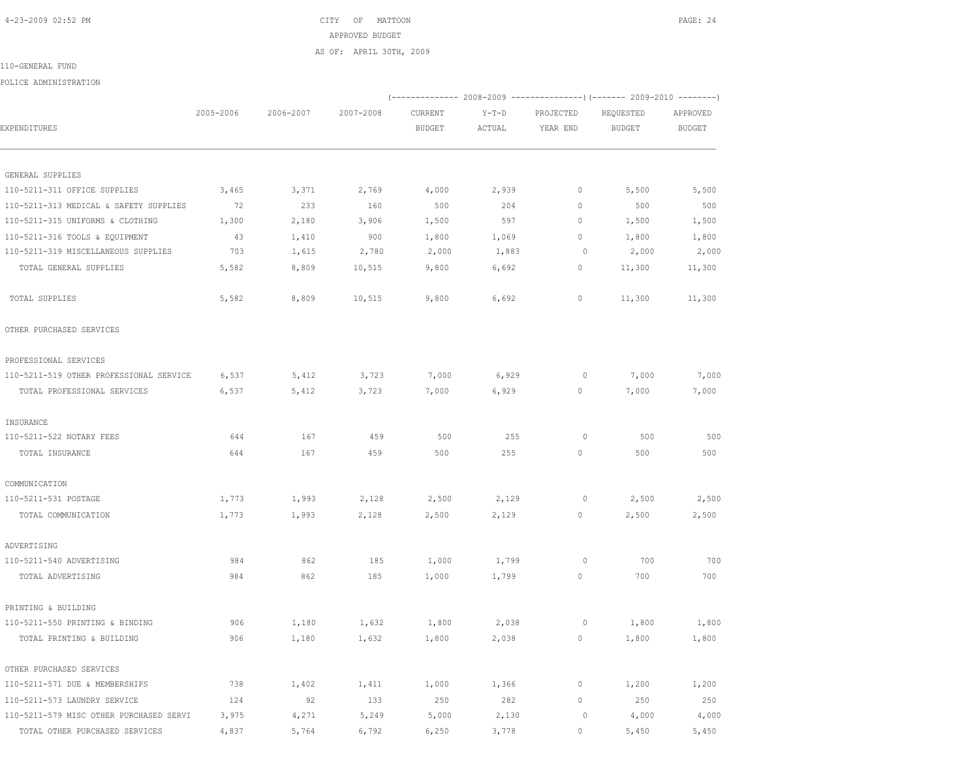4-23-2009 02:52 PM CITY OF MATTOON PAGE: 24 APPROVED BUDGET

(-------------- 2008-2009 ---------------)(------- 2009-2010 --------)

AS OF: APRIL 30TH, 2009

 2005-2006 2006-2007 2007-2008 CURRENT Y-T-D PROJECTED REQUESTED APPROVED EXPENDITURES BUDGET ACTUAL YEAR END BUDGET BUDGET

 110-5211-311 OFFICE SUPPLIES 3,465 3,371 2,769 4,000 2,939 0 5,500 5,500 110-5211-313 MEDICAL & SAFETY SUPPLIES 72 233 160 500 204 0 500 500 110-5211-315 UNIFORMS & CLOTHING 1,300 2,180 3,906 1,500 597 0 1,500 1,500 110-5211-316 TOOLS & EQUIPMENT 43 1,410 900 1,800 1,069 0 1,800 1,800 110-5211-319 MISCELLANEOUS SUPPLIES 703 1,615 2,780 2,000 1,883 0 2,000 2,000 TOTAL GENERAL SUPPLIES 5,582 8,809 10,515 9,800 6,692 0 11,300 11,300

TOTAL SUPPLIES 5,582 8,809 10,515 9,800 6,692 0 11,300 11,300

 110-5211-519 OTHER PROFESSIONAL SERVICE 6,537 5,412 3,723 7,000 6,929 0 7,000 7,000 TOTAL PROFESSIONAL SERVICES 6,537 5,412 3,723 7,000 6,929 0 7,000 7,000

 110-5211-522 NOTARY FEES 644 167 459 500 255 0 500 500 TOTAL INSURANCE 644 167 459 500 255 0 500 500

 110-5211-531 POSTAGE 1,773 1,993 2,128 2,500 2,129 0 2,500 2,500 TOTAL COMMUNICATION 1,773 1,993 2,128 2,500 2,129 0 2,500 2,500

 110-5211-540 ADVERTISING 984 862 185 1,000 1,799 0 700 700 TOTAL ADVERTISING 984 862 185 1,000 1,799 0 700 700

 110-5211-550 PRINTING & BINDING 906 1,180 1,632 1,800 2,038 0 1,800 1,800 TOTAL PRINTING & BUILDING 906 1,180 1,632 1,800 2,038 0 1,800 1,800

 110-5211-571 DUE & MEMBERSHIPS 738 1,402 1,411 1,000 1,366 0 1,200 1,200 110-5211-573 LAUNDRY SERVICE 124 92 133 250 282 0 250 250 110-5211-579 MISC OTHER PURCHASED SERVI 3,975 4,271 5,249 5,000 2,130 0 4,000 4,000 TOTAL OTHER PURCHASED SERVICES  $4,837$   $5,764$   $6,792$   $6,250$   $3,778$  0  $5,450$   $5,450$ 

| 110-GENERAL FUND |  |
|------------------|--|

POLICE ADMINISTRATION

|  | LIV-GENENAE FUND | $\sim$ |  |
|--|------------------|--------|--|
|  |                  |        |  |
|  |                  |        |  |

GENERAL SUPPLIES

OTHER PURCHASED SERVICES

PROFESSIONAL SERVICES

INSURANCE

COMMUNICATION

ADVERTISING

PRINTING & BUILDING

OTHER PURCHASED SERVICES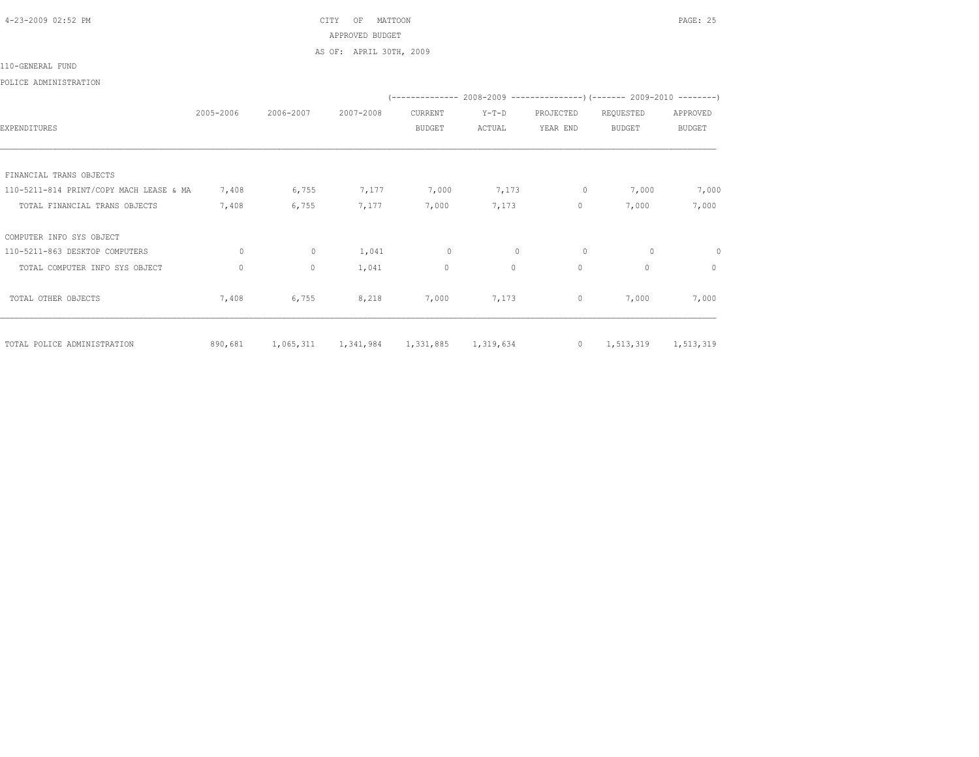4-23-2009 02:52 PM CITY OF MATTOON PAGE: 25 APPROVED BUDGET AS OF: APRIL 30TH, 2009

## 110-GENERAL FUND

## POLICE ADMINISTRATION

|                                         |           |              |           |               |              |                | (-------------- 2008-2009 ----------------) (------- 2009-2010 --------) |               |
|-----------------------------------------|-----------|--------------|-----------|---------------|--------------|----------------|--------------------------------------------------------------------------|---------------|
|                                         | 2005-2006 | 2006-2007    | 2007-2008 | CURRENT       | $Y-T-D$      | PROJECTED      | REQUESTED                                                                | APPROVED      |
| EXPENDITURES                            |           |              |           | <b>BUDGET</b> | ACTUAL       | YEAR END       | <b>BUDGET</b>                                                            | <b>BUDGET</b> |
|                                         |           |              |           |               |              |                |                                                                          |               |
|                                         |           |              |           |               |              |                |                                                                          |               |
| FINANCIAL TRANS OBJECTS                 |           |              |           |               |              |                |                                                                          |               |
| 110-5211-814 PRINT/COPY MACH LEASE & MA | 7,408     | 6,755        | 7,177     | 7,000         | 7,173        | 0              | 7,000                                                                    | 7,000         |
| TOTAL FINANCIAL TRANS OBJECTS           | 7,408     | 6,755        | 7,177     | 7,000         | 7,173        | $\circ$        | 7,000                                                                    | 7,000         |
| COMPUTER INFO SYS OBJECT                |           |              |           |               |              |                |                                                                          |               |
| 110-5211-863 DESKTOP COMPUTERS          | $\Omega$  | $\mathbf{0}$ | 1,041     | $\circ$       | $\mathbf{0}$ | $\circ$        | $\circ$                                                                  | $\Omega$      |
| TOTAL COMPUTER INFO SYS OBJECT          | $\Omega$  | $\circ$      | 1,041     | 0             | $\Omega$     | $\circ$        | $\Omega$                                                                 | $\circ$       |
| TOTAL OTHER OBJECTS                     | 7,408     | 6,755        | 8,218     | 7,000         | 7,173        | $\circ$        | 7,000                                                                    | 7,000         |
| TOTAL POLICE ADMINISTRATION             | 890,681   | 1,065,311    | 1,341,984 | 1,331,885     | 1,319,634    | $\overline{0}$ | 1,513,319                                                                | 1,513,319     |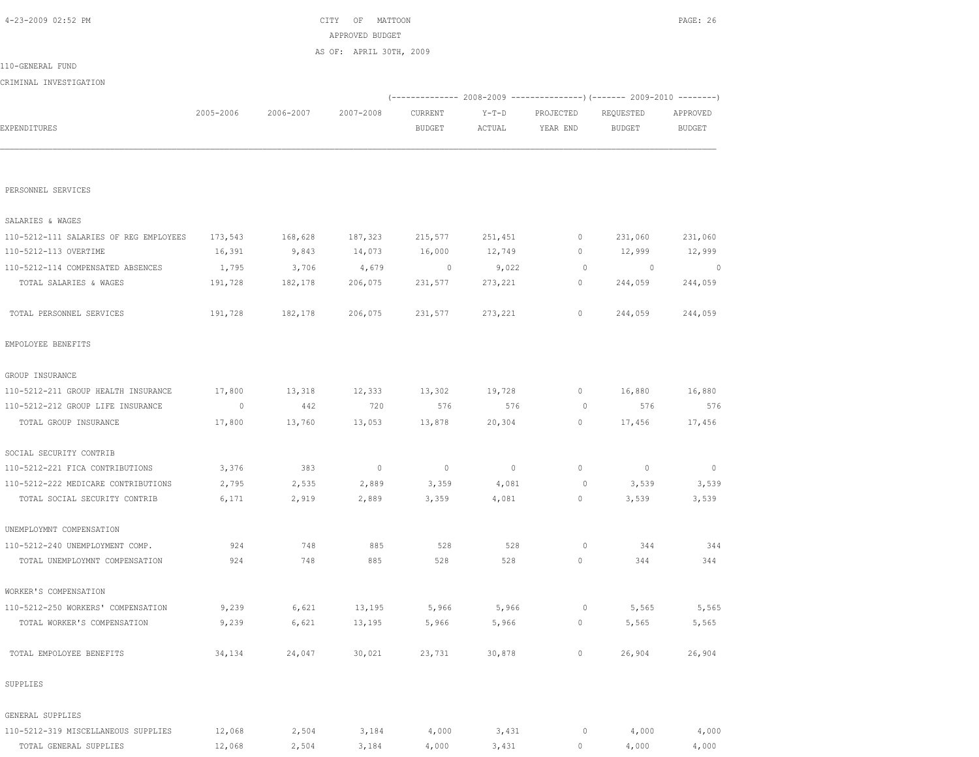| 4-23-2009 02:52 PM                     |           |           | MATTOON<br>CITY OF      |                          |                |             |               | PAGE: 26       |
|----------------------------------------|-----------|-----------|-------------------------|--------------------------|----------------|-------------|---------------|----------------|
|                                        |           |           | APPROVED BUDGET         |                          |                |             |               |                |
|                                        |           |           | AS OF: APRIL 30TH, 2009 |                          |                |             |               |                |
| 110-GENERAL FUND                       |           |           |                         |                          |                |             |               |                |
| CRIMINAL INVESTIGATION                 |           |           |                         |                          |                |             |               |                |
|                                        |           |           |                         |                          |                |             |               |                |
|                                        | 2005-2006 | 2006-2007 | 2007-2008               | CURRENT                  | $Y-T-D$        | PROJECTED   | REQUESTED     | APPROVED       |
| EXPENDITURES                           |           |           |                         | <b>BUDGET</b>            | ACTUAL         | YEAR END    | <b>BUDGET</b> | <b>BUDGET</b>  |
|                                        |           |           |                         |                          |                |             |               |                |
| PERSONNEL SERVICES                     |           |           |                         |                          |                |             |               |                |
|                                        |           |           |                         |                          |                |             |               |                |
| SALARIES & WAGES                       |           |           |                         |                          |                |             |               |                |
| 110-5212-111 SALARIES OF REG EMPLOYEES | 173,543   | 168,628   | 187,323                 | 215,577                  | 251,451        | 0           | 231,060       | 231,060        |
| 110-5212-113 OVERTIME                  | 16,391    | 9,843     | 14,073                  | 16,000                   | 12,749         | 0           | 12,999        | 12,999         |
| 110-5212-114 COMPENSATED ABSENCES      | 1,795     | 3,706     | 4,679                   | 0                        | 9,022          | 0           | $\circ$       | $\sim$ 0       |
| TOTAL SALARIES & WAGES                 | 191,728   | 182,178   | 206,075                 | 231,577                  | 273,221        | 0           | 244,059       | 244,059        |
| TOTAL PERSONNEL SERVICES               | 191,728   | 182,178   | 206,075                 | 231,577                  | 273,221        | $\mathbb O$ | 244,059       | 244,059        |
| EMPOLOYEE BENEFITS                     |           |           |                         |                          |                |             |               |                |
| GROUP INSURANCE                        |           |           |                         |                          |                |             |               |                |
| 110-5212-211 GROUP HEALTH INSURANCE    | 17,800    | 13,318    | 12,333                  | 13,302                   | 19,728         | 0           | 16,880        | 16,880         |
| 110-5212-212 GROUP LIFE INSURANCE      | 0         | 442       | 720                     | 576                      | 576            | $\circ$     | 576           | 576            |
| TOTAL GROUP INSURANCE                  | 17,800    | 13,760    | 13,053                  | 13,878                   | 20,304         | 0           | 17,456        | 17,456         |
| SOCIAL SECURITY CONTRIB                |           |           |                         |                          |                |             |               |                |
| 110-5212-221 FICA CONTRIBUTIONS        | 3,376     | 383       | $\overline{0}$          | $\overline{\phantom{0}}$ | $\overline{0}$ | 0           | $\circ$       | $\overline{0}$ |
| 110-5212-222 MEDICARE CONTRIBUTIONS    | 2,795     | 2,535     | 2,889                   | 3,359                    | 4,081          | $\circ$     | 3,539         | 3,539          |
| TOTAL SOCIAL SECURITY CONTRIB          | 6,171     | 2,919     | 2,889                   | 3,359                    | 4,081          | 0           | 3,539         | 3,539          |
| UNEMPLOYMNT COMPENSATION               |           |           |                         |                          |                |             |               |                |
| 110-5212-240 UNEMPLOYMENT COMP.        | 924       | 748       | 885                     | 528                      | 528            | 0           | 344           | 344            |
| TOTAL UNEMPLOYMNT COMPENSATION         | 924       | 748       | 885                     | 528                      | 528            | 0           | 344           | 344            |
| WORKER'S COMPENSATION                  |           |           |                         |                          |                |             |               |                |
| 110-5212-250 WORKERS' COMPENSATION     | 9,239     | 6,621     | 13,195                  | 5,966                    | 5,966          | $\circ$     | 5,565         | 5,565          |
| TOTAL WORKER'S COMPENSATION            | 9,239     | 6,621     | 13,195                  | 5,966                    | 5,966          | 0           | 5,565         | 5,565          |
|                                        |           |           |                         |                          |                |             |               |                |
| TOTAL EMPOLOYEE BENEFITS               | 34,134    | 24,047    | 30,021                  | 23,731                   | 30,878         | 0           | 26,904        | 26,904         |
| SUPPLIES                               |           |           |                         |                          |                |             |               |                |
| GENERAL SUPPLIES                       |           |           |                         |                          |                |             |               |                |
| 110-5212-319 MISCELLANEOUS SUPPLIES    | 12,068    | 2,504     | 3,184                   | 4,000                    | 3,431          | 0           | 4,000         | 4,000          |
| TOTAL GENERAL SUPPLIES                 | 12,068    | 2,504     | 3,184                   | 4,000                    | 3,431          | 0           | 4,000         | 4,000          |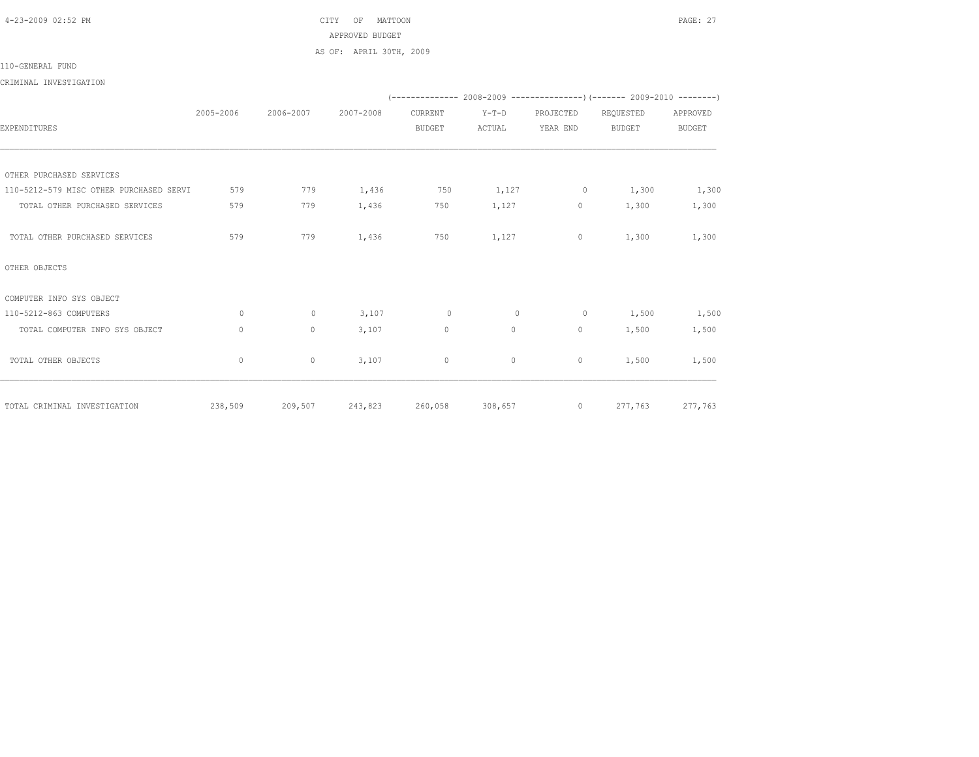4-23-2009 02:52 PM CITY OF MATTOON PAGE: 27 APPROVED BUDGET AS OF: APRIL 30TH, 2009

110-GENERAL FUND

CRIMINAL INVESTIGATION

|                                         |           |           |           |                 |         |              | (-------------- 2008-2009 -----------------) (------- 2009-2010 --------) |               |
|-----------------------------------------|-----------|-----------|-----------|-----------------|---------|--------------|---------------------------------------------------------------------------|---------------|
|                                         | 2005-2006 | 2006-2007 | 2007-2008 | CURRENT         | $Y-T-D$ | PROJECTED    | REQUESTED                                                                 | APPROVED      |
| EXPENDITURES                            |           |           |           | <b>BUDGET</b>   | ACTUAL  | YEAR END     | <b>BUDGET</b>                                                             | <b>BUDGET</b> |
|                                         |           |           |           |                 |         |              |                                                                           |               |
|                                         |           |           |           |                 |         |              |                                                                           |               |
| OTHER PURCHASED SERVICES                |           |           |           |                 |         |              |                                                                           |               |
| 110-5212-579 MISC OTHER PURCHASED SERVI | 579       | 779       | 1,436     | 750             | 1,127   | $\circ$      | 1,300                                                                     | 1,300         |
| TOTAL OTHER PURCHASED SERVICES          | 579       | 779       | 1,436     | 750             | 1,127   | $\circ$      | 1,300                                                                     | 1,300         |
| TOTAL OTHER PURCHASED SERVICES          | 579       | 779       | 1,436     | 750             | 1,127   | $\circ$      | 1,300                                                                     | 1,300         |
| OTHER OBJECTS                           |           |           |           |                 |         |              |                                                                           |               |
| COMPUTER INFO SYS OBJECT                |           |           |           |                 |         |              |                                                                           |               |
| 110-5212-863 COMPUTERS                  | $\circ$   | $\circ$   | 3,107     | $\circ$         | $\circ$ | $\circ$      | 1,500                                                                     | 1,500         |
| TOTAL COMPUTER INFO SYS OBJECT          | $\circ$   | $\circ$   | 3,107     | $\mathbf{0}$    | $\circ$ | 0            | 1,500                                                                     | 1,500         |
| TOTAL OTHER OBJECTS                     | $\circ$   | $\circ$   | 3,107     | $\mathbf{0}$    | $\circ$ | $\mathbf{0}$ | 1,500                                                                     | 1,500         |
| TOTAL CRIMINAL INVESTIGATION            | 238,509   | 209,507   |           | 243,823 260,058 | 308,657 | $\circ$      | 277,763                                                                   | 277,763       |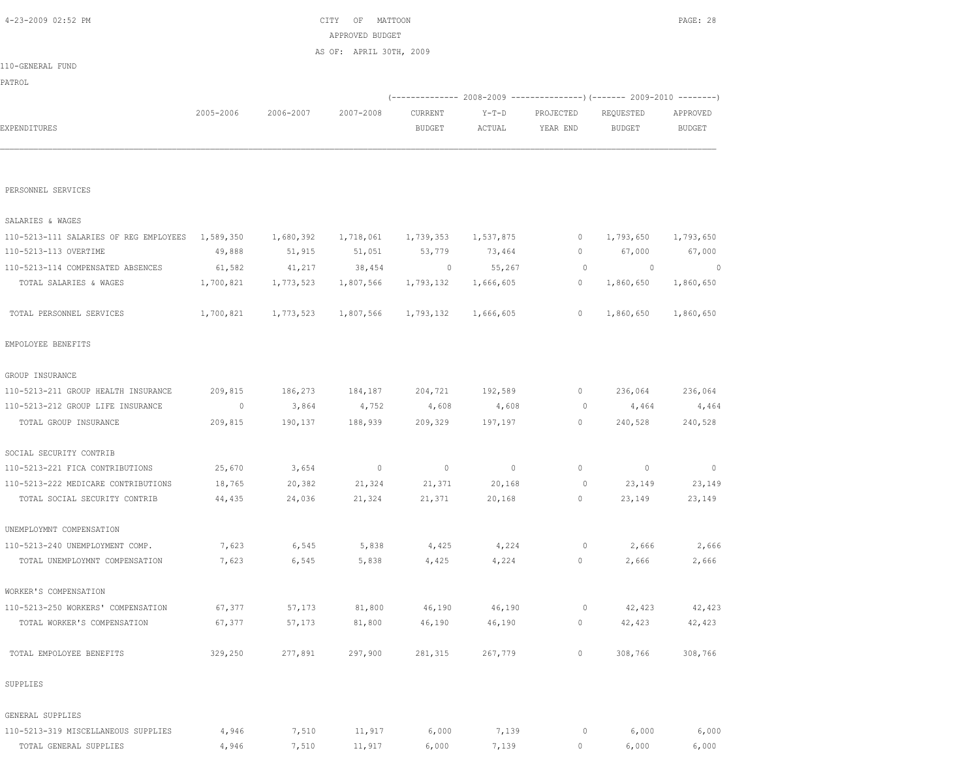| PATROL                                 |                |           |           |               |           |           |                                                                                                                                                                                                                                                                                                                                                                          |               |
|----------------------------------------|----------------|-----------|-----------|---------------|-----------|-----------|--------------------------------------------------------------------------------------------------------------------------------------------------------------------------------------------------------------------------------------------------------------------------------------------------------------------------------------------------------------------------|---------------|
|                                        |                |           |           |               |           |           |                                                                                                                                                                                                                                                                                                                                                                          |               |
|                                        | 2005-2006      | 2006-2007 | 2007-2008 | CURRENT       | $Y-T-D$   | PROJECTED | REQUESTED                                                                                                                                                                                                                                                                                                                                                                | APPROVED      |
| EXPENDITURES                           |                |           |           | <b>BUDGET</b> | ACTUAL    | YEAR END  | (-------------- 2008-2009 ----------------) (------- 2009-2010 --------)<br><b>BUDGET</b><br>1,793,650<br>0<br>67,000<br>0<br>$\circ$<br>0<br>0<br>1,860,650<br>0<br>1,860,650<br>0<br>236,064<br>0<br>4,464<br>0<br>240,528<br>0<br>$\circ$<br>23,149<br>$\circ$<br>23,149<br>0<br>0<br>2,666<br>0<br>2,666<br>42,423<br>0<br>42,423<br>0<br>308,766<br>0<br>0<br>6,000 | <b>BUDGET</b> |
|                                        |                |           |           |               |           |           |                                                                                                                                                                                                                                                                                                                                                                          |               |
| PERSONNEL SERVICES                     |                |           |           |               |           |           |                                                                                                                                                                                                                                                                                                                                                                          |               |
| SALARIES & WAGES                       |                |           |           |               |           |           |                                                                                                                                                                                                                                                                                                                                                                          |               |
| 110-5213-111 SALARIES OF REG EMPLOYEES | 1,589,350      | 1,680,392 | 1,718,061 | 1,739,353     | 1,537,875 |           |                                                                                                                                                                                                                                                                                                                                                                          | 1,793,650     |
| 110-5213-113 OVERTIME                  | 49,888         | 51,915    | 51,051    | 53,779        | 73,464    |           |                                                                                                                                                                                                                                                                                                                                                                          | 67,000        |
| 110-5213-114 COMPENSATED ABSENCES      | 61,582         | 41,217    | 38,454    | 0             | 55,267    |           |                                                                                                                                                                                                                                                                                                                                                                          | 0             |
| TOTAL SALARIES & WAGES                 | 1,700,821      | 1,773,523 | 1,807,566 | 1,793,132     | 1,666,605 |           |                                                                                                                                                                                                                                                                                                                                                                          | 1,860,650     |
| TOTAL PERSONNEL SERVICES               | 1,700,821      | 1,773,523 | 1,807,566 | 1,793,132     | 1,666,605 |           |                                                                                                                                                                                                                                                                                                                                                                          | 1,860,650     |
| EMPOLOYEE BENEFITS                     |                |           |           |               |           |           |                                                                                                                                                                                                                                                                                                                                                                          |               |
| GROUP INSURANCE                        |                |           |           |               |           |           |                                                                                                                                                                                                                                                                                                                                                                          |               |
| 110-5213-211 GROUP HEALTH INSURANCE    | 209,815        | 186,273   | 184,187   | 204,721       | 192,589   |           |                                                                                                                                                                                                                                                                                                                                                                          | 236,064       |
| 110-5213-212 GROUP LIFE INSURANCE      | $\overline{0}$ | 3,864     | 4,752     | 4,608         | 4,608     |           |                                                                                                                                                                                                                                                                                                                                                                          | 4,464         |
| TOTAL GROUP INSURANCE                  | 209,815        | 190,137   | 188,939   | 209,329       | 197,197   |           |                                                                                                                                                                                                                                                                                                                                                                          | 240,528       |
| SOCIAL SECURITY CONTRIB                |                |           |           |               |           |           |                                                                                                                                                                                                                                                                                                                                                                          |               |
| 110-5213-221 FICA CONTRIBUTIONS        | 25,670         | 3,654     | $\circ$   | $\mathbf 0$   | $\circ$   |           |                                                                                                                                                                                                                                                                                                                                                                          | $\circ$       |
| 110-5213-222 MEDICARE CONTRIBUTIONS    | 18,765         | 20,382    | 21,324    | 21,371        | 20,168    |           |                                                                                                                                                                                                                                                                                                                                                                          | 23,149        |
| TOTAL SOCIAL SECURITY CONTRIB          | 44,435         | 24,036    | 21,324    | 21,371        | 20,168    |           |                                                                                                                                                                                                                                                                                                                                                                          | 23,149        |
| UNEMPLOYMNT COMPENSATION               |                |           |           |               |           |           |                                                                                                                                                                                                                                                                                                                                                                          |               |
| 110-5213-240 UNEMPLOYMENT COMP.        | 7,623          | 6,545     | 5,838     | 4,425         | 4,224     |           |                                                                                                                                                                                                                                                                                                                                                                          | 2,666         |
| TOTAL UNEMPLOYMNT COMPENSATION         | 7,623          | 6,545     | 5,838     | 4,425         | 4,224     |           |                                                                                                                                                                                                                                                                                                                                                                          | 2,666         |
| WORKER'S COMPENSATION                  |                |           |           |               |           |           |                                                                                                                                                                                                                                                                                                                                                                          |               |
| 110-5213-250 WORKERS' COMPENSATION     | 67,377         | 57,173    | 81,800    | 46,190        | 46,190    |           |                                                                                                                                                                                                                                                                                                                                                                          | 42,423        |
| TOTAL WORKER'S COMPENSATION            | 67,377         | 57,173    | 81,800    | 46,190        | 46,190    |           |                                                                                                                                                                                                                                                                                                                                                                          | 42,423        |
| TOTAL EMPOLOYEE BENEFITS               | 329,250        | 277,891   | 297,900   | 281,315       | 267,779   |           |                                                                                                                                                                                                                                                                                                                                                                          | 308,766       |
| SUPPLIES                               |                |           |           |               |           |           |                                                                                                                                                                                                                                                                                                                                                                          |               |
| GENERAL SUPPLIES                       |                |           |           |               |           |           |                                                                                                                                                                                                                                                                                                                                                                          |               |
| 110-5213-319 MISCELLANEOUS SUPPLIES    | 4,946          | 7,510     | 11,917    | 6,000         | 7,139     |           |                                                                                                                                                                                                                                                                                                                                                                          | 6,000         |
| TOTAL GENERAL SUPPLIES                 | 4,946          | 7,510     | 11,917    | 6,000         | 7,139     | $\circ$   | 6,000                                                                                                                                                                                                                                                                                                                                                                    | 6,000         |

110-GENERAL FUND

 4-23-2009 02:52 PM CITY OF MATTOON PAGE: 28 APPROVED BUDGET AS OF: APRIL 30TH, 2009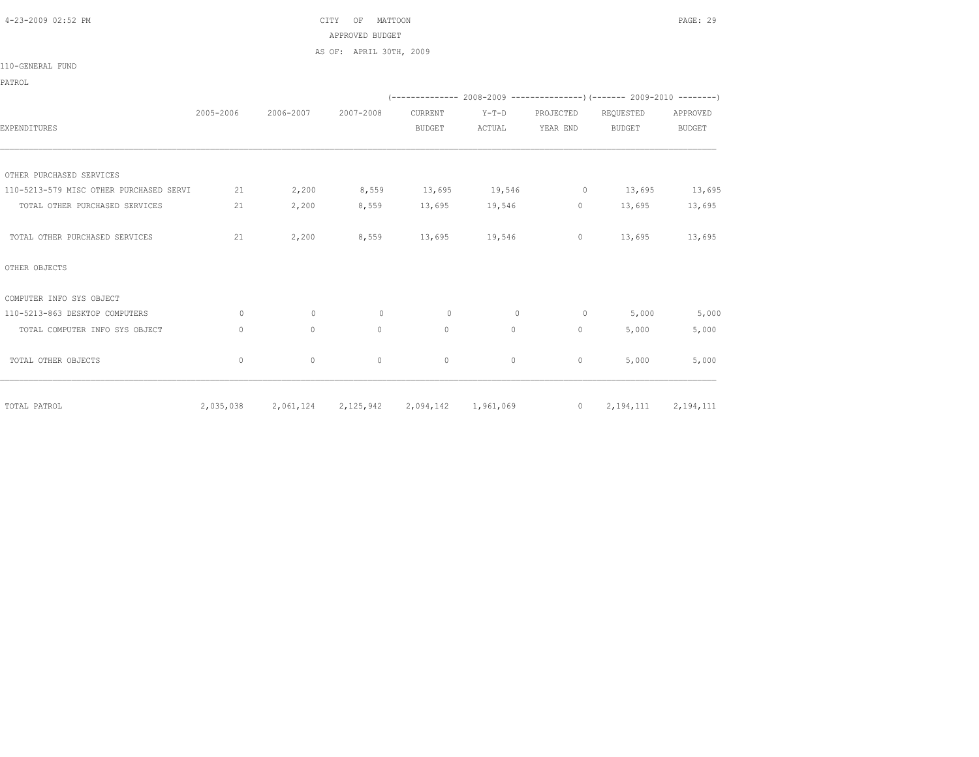4-23-2009 02:52 PM CITY OF MATTOON PAGE: 29 APPROVED BUDGET AS OF: APRIL 30TH, 2009

110-GENERAL FUND

PATROL

|                                         |              |             |              |               |                     |                | (-------------- 2008-2009 ----------------) (------- 2009-2010 --------) |               |
|-----------------------------------------|--------------|-------------|--------------|---------------|---------------------|----------------|--------------------------------------------------------------------------|---------------|
|                                         | 2005-2006    | 2006-2007   | 2007-2008    | CURRENT       | $Y-T-D$             | PROJECTED      | REQUESTED                                                                | APPROVED      |
| EXPENDITURES                            |              |             |              | <b>BUDGET</b> | ACTUAL              | YEAR END       | <b>BUDGET</b>                                                            | <b>BUDGET</b> |
|                                         |              |             |              |               |                     |                |                                                                          |               |
| OTHER PURCHASED SERVICES                |              |             |              |               |                     |                |                                                                          |               |
| 110-5213-579 MISC OTHER PURCHASED SERVI | 21           | 2,200       | 8,559        | 13,695        | 19,546              | $\circ$        | 13,695                                                                   | 13,695        |
| TOTAL OTHER PURCHASED SERVICES          | 21           | 2,200       | 8,559        | 13,695        | 19,546              | 0              | 13,695                                                                   | 13,695        |
| TOTAL OTHER PURCHASED SERVICES          | 21           | 2,200       | 8,559        | 13,695        | 19,546              | 0              | 13,695                                                                   | 13,695        |
| OTHER OBJECTS                           |              |             |              |               |                     |                |                                                                          |               |
| COMPUTER INFO SYS OBJECT                |              |             |              |               |                     |                |                                                                          |               |
| 110-5213-863 DESKTOP COMPUTERS          | $\circ$      | $\circ$     | $\circ$      | $\circ$       | $\mathbf{0}$        | $\circ$        | 5,000                                                                    | 5,000         |
| TOTAL COMPUTER INFO SYS OBJECT          | $\mathbf{0}$ | $\mathbb O$ | $\mathbf{0}$ | $\mathbb O$   | $\circ$             | 0              | 5,000                                                                    | 5,000         |
| TOTAL OTHER OBJECTS                     | $\mathbf{0}$ | $\circ$     | $\mathbf{0}$ | $\circ$       | $\circ$             | 0              | 5,000                                                                    | 5,000         |
| TOTAL PATROL                            | 2,035,038    | 2,061,124   | 2,125,942    |               | 2,094,142 1,961,069 | $\overline{0}$ | 2,194,111                                                                | 2,194,111     |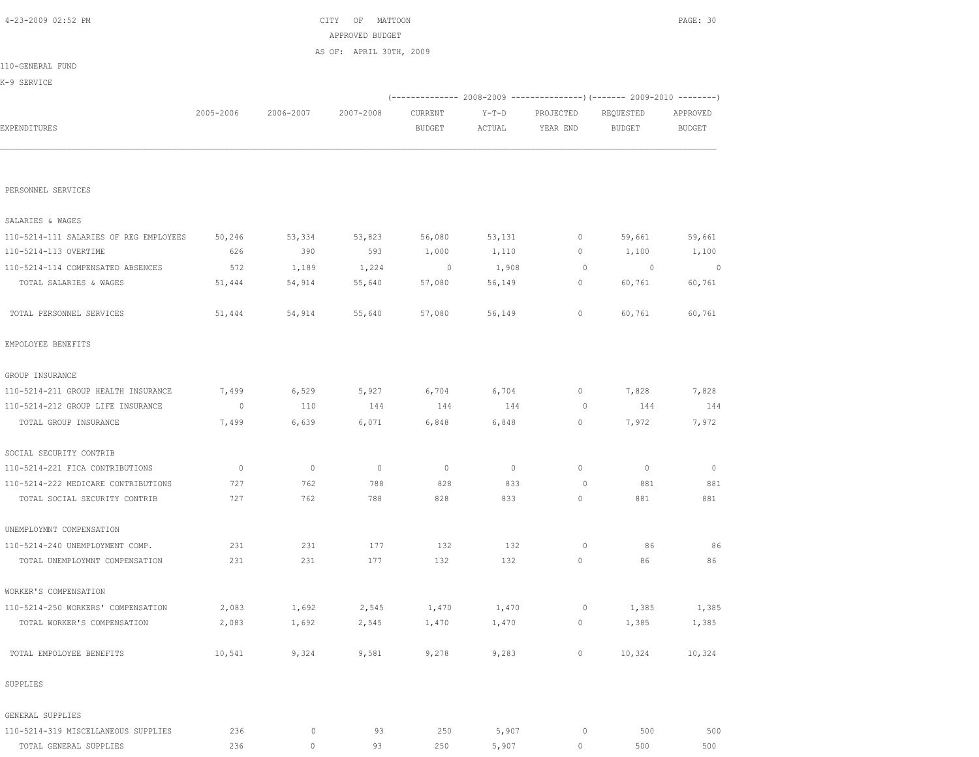| 4-23-2009 02:52 PM                     |               |                | CITY<br>OF<br>MATTOON   |               |         |              |                                                                                 | PAGE: 30      |
|----------------------------------------|---------------|----------------|-------------------------|---------------|---------|--------------|---------------------------------------------------------------------------------|---------------|
|                                        |               |                | APPROVED BUDGET         |               |         |              |                                                                                 |               |
|                                        |               |                | AS OF: APRIL 30TH, 2009 |               |         |              |                                                                                 |               |
| 110-GENERAL FUND                       |               |                |                         |               |         |              |                                                                                 |               |
| K-9 SERVICE                            |               |                |                         |               |         |              |                                                                                 |               |
|                                        |               |                |                         |               |         |              | $(-$ ------------- 2008-2009 -------------------) (------- 2009-2010 ---------) |               |
|                                        | 2005-2006     | 2006-2007      | 2007-2008               | CURRENT       | $Y-T-D$ | PROJECTED    | REQUESTED                                                                       | APPROVED      |
| EXPENDITURES                           |               |                |                         | <b>BUDGET</b> | ACTUAL  | YEAR END     | <b>BUDGET</b>                                                                   | <b>BUDGET</b> |
|                                        |               |                |                         |               |         |              |                                                                                 |               |
|                                        |               |                |                         |               |         |              |                                                                                 |               |
| PERSONNEL SERVICES                     |               |                |                         |               |         |              |                                                                                 |               |
|                                        |               |                |                         |               |         |              |                                                                                 |               |
| SALARIES & WAGES                       |               |                |                         |               |         |              |                                                                                 |               |
| 110-5214-111 SALARIES OF REG EMPLOYEES | 50,246<br>626 | 53,334<br>390  | 53,823<br>593           | 56,080        | 53,131  | $\circ$<br>0 | 59,661                                                                          | 59,661        |
| 110-5214-113 OVERTIME                  |               |                |                         | 1,000         | 1,110   |              | 1,100                                                                           | 1,100         |
| 110-5214-114 COMPENSATED ABSENCES      | 572           | 1,189          | 1,224                   | $\circ$       | 1,908   | $\circ$      | 0                                                                               | $\sim$ 0      |
| TOTAL SALARIES & WAGES                 | 51,444        | 54,914         | 55,640                  | 57,080        | 56,149  | $\circ$      | 60,761                                                                          | 60,761        |
| TOTAL PERSONNEL SERVICES               | 51,444        | 54,914         | 55,640                  | 57,080        | 56,149  | $\circ$      | 60,761                                                                          | 60,761        |
|                                        |               |                |                         |               |         |              |                                                                                 |               |
| EMPOLOYEE BENEFITS                     |               |                |                         |               |         |              |                                                                                 |               |
| GROUP INSURANCE                        |               |                |                         |               |         |              |                                                                                 |               |
| 110-5214-211 GROUP HEALTH INSURANCE    | 7,499         | 6,529          | 5,927                   | 6,704         | 6,704   | $\circ$      | 7,828                                                                           | 7,828         |
| 110-5214-212 GROUP LIFE INSURANCE      | $\circ$       | 110            | 144                     | 144           | 144     | 0            | 144                                                                             | 144           |
| TOTAL GROUP INSURANCE                  | 7,499         | 6,639          | 6,071                   | 6,848         | 6,848   | $\circ$      | 7,972                                                                           | 7,972         |
|                                        |               |                |                         |               |         |              |                                                                                 |               |
| SOCIAL SECURITY CONTRIB                |               |                |                         |               |         |              |                                                                                 |               |
| 110-5214-221 FICA CONTRIBUTIONS        | $\mathbb{O}$  | $\overline{0}$ | $\circ$                 | $\circ$       | $\circ$ | $\circ$      | $\circ$                                                                         | $\circ$       |
| 110-5214-222 MEDICARE CONTRIBUTIONS    | 727           | 762            | 788                     | 828           | 833     | 0            | 881                                                                             | 881           |
| TOTAL SOCIAL SECURITY CONTRIB          | 727           | 762            | 788                     | 828           | 833     | $\circ$      | 881                                                                             | 881           |
| UNEMPLOYMNT COMPENSATION               |               |                |                         |               |         |              |                                                                                 |               |
| 110-5214-240 UNEMPLOYMENT COMP.        | 231           | 231            | 177                     | 132           | 132     | 0            | 86                                                                              | 86            |
| TOTAL UNEMPLOYMNT COMPENSATION         | 231           | 231            | 177                     | 132           | 132     | $\circ$      | 86                                                                              | 86            |
|                                        |               |                |                         |               |         |              |                                                                                 |               |
| WORKER'S COMPENSATION                  |               |                |                         |               |         |              |                                                                                 |               |
| 110-5214-250 WORKERS' COMPENSATION     | 2,083         | 1,692          | 2,545                   | 1,470         | 1,470   | $\circ$      | 1,385                                                                           | 1,385         |
| TOTAL WORKER'S COMPENSATION            | 2,083         | 1,692          | 2,545                   | 1,470         | 1,470   | $\circ$      | 1,385                                                                           | 1,385         |
|                                        |               |                |                         |               |         |              |                                                                                 |               |
| TOTAL EMPOLOYEE BENEFITS               | 10,541        | 9,324          | 9,581                   | 9,278         | 9,283   | $\circ$      | 10,324                                                                          | 10,324        |
| SUPPLIES                               |               |                |                         |               |         |              |                                                                                 |               |
| GENERAL SUPPLIES                       |               |                |                         |               |         |              |                                                                                 |               |
| 110-5214-319 MISCELLANEOUS SUPPLIES    | 236           | $\circ$        | 93                      | 250           | 5,907   | $\circ$      | 500                                                                             | 500           |
| TOTAL GENERAL SUPPLIES                 | 236           | $\mathbb O$    | 93                      | 250           | 5,907   | $\circ$      | 500                                                                             | 500           |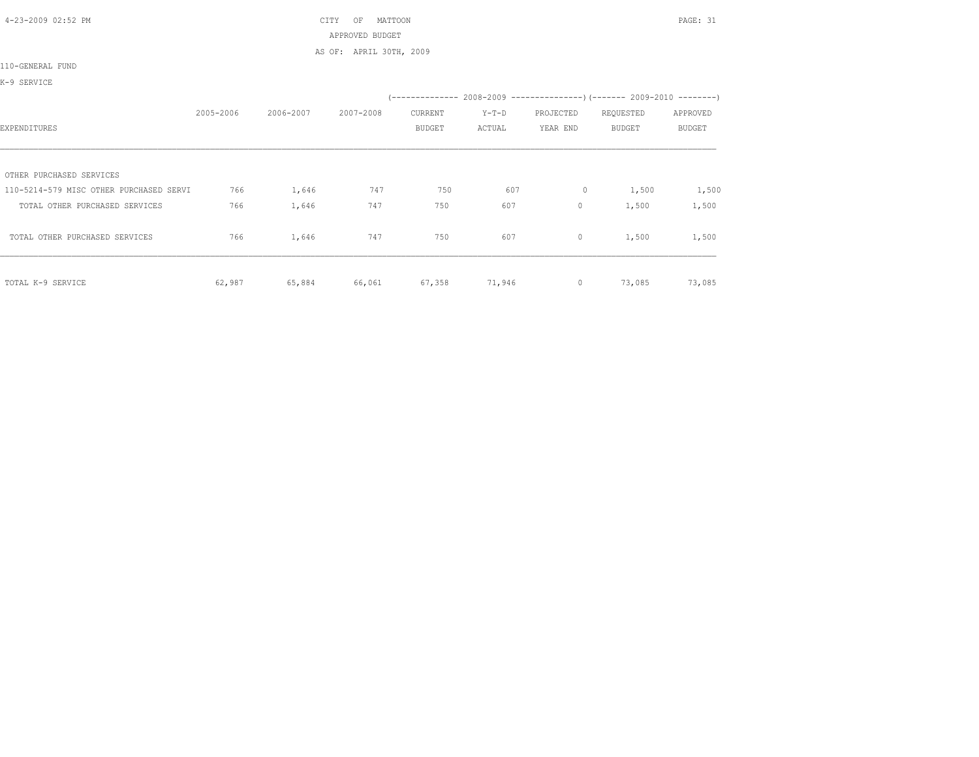4-23-2009 02:52 PM CITY OF MATTOON PAGE: 31 APPROVED BUDGET

AS OF: APRIL 30TH, 2009

110-GENERAL FUND

K-9 SERVICE

|                                         |           |           |           |               |         |           | (-------------- 2008-2009 -----------------) (------- 2009-2010 --------) |               |
|-----------------------------------------|-----------|-----------|-----------|---------------|---------|-----------|---------------------------------------------------------------------------|---------------|
|                                         | 2005-2006 | 2006-2007 | 2007-2008 | CURRENT       | $Y-T-D$ | PROJECTED | REQUESTED                                                                 | APPROVED      |
| EXPENDITURES                            |           |           |           | <b>BUDGET</b> | ACTUAL  | YEAR END  | <b>BUDGET</b>                                                             | <b>BUDGET</b> |
|                                         |           |           |           |               |         |           |                                                                           |               |
| OTHER PURCHASED SERVICES                |           |           |           |               |         |           |                                                                           |               |
| 110-5214-579 MISC OTHER PURCHASED SERVI | 766       | 1,646     | 747       | 750           | 607     | 0         | 1,500                                                                     | 1,500         |
| TOTAL OTHER PURCHASED SERVICES          | 766       | 1,646     | 747       | 750           | 607     | 0         | 1,500                                                                     | 1,500         |
| TOTAL OTHER PURCHASED SERVICES          | 766       | 1,646     | 747       | 750           | 607     | $\circ$   | 1,500                                                                     | 1,500         |
| TOTAL K-9 SERVICE                       | 62,987    | 65,884    | 66,061    | 67,358        | 71,946  | $\circ$   | 73,085                                                                    | 73,085        |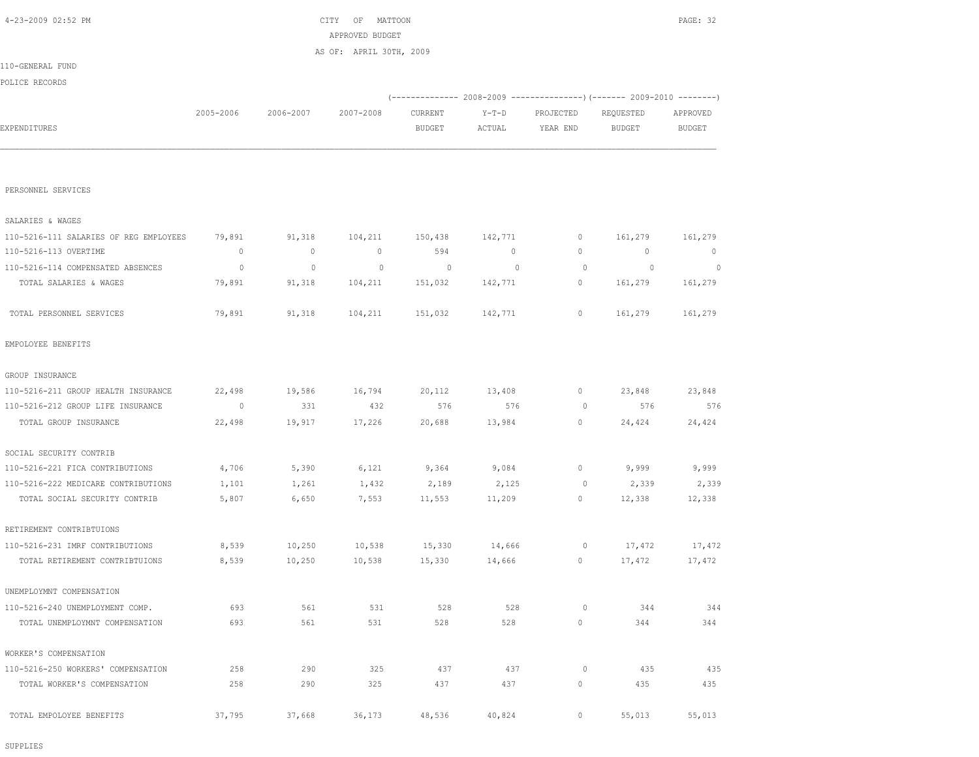SUPPLIES

| TOTAL PERSONNEL SERVICES            | 79,891         | 91,318 | 104,211 | 151,032 | 142,771 | 0        | 161,279 | 161,279 |
|-------------------------------------|----------------|--------|---------|---------|---------|----------|---------|---------|
| EMPOLOYEE BENEFITS                  |                |        |         |         |         |          |         |         |
| GROUP INSURANCE                     |                |        |         |         |         |          |         |         |
| 110-5216-211 GROUP HEALTH INSURANCE | 22,498         | 19,586 | 16,794  | 20,112  | 13,408  | $\circ$  | 23,848  | 23,848  |
| 110-5216-212 GROUP LIFE INSURANCE   | $\overline{0}$ | 331    | 432     | 576     | 576     | $\Omega$ | 576     | 576     |
| TOTAL GROUP INSURANCE               | 22,498         | 19,917 | 17,226  | 20,688  | 13,984  | $\circ$  | 24,424  | 24,424  |
| SOCIAL SECURITY CONTRIB             |                |        |         |         |         |          |         |         |
| 110-5216-221 FICA CONTRIBUTIONS     | 4,706          | 5,390  | 6,121   | 9,364   | 9,084   | $\circ$  | 9,999   | 9,999   |
| 110-5216-222 MEDICARE CONTRIBUTIONS | 1,101          | 1,261  | 1,432   | 2,189   | 2,125   | $\Omega$ | 2,339   | 2,339   |
| TOTAL SOCIAL SECURITY CONTRIB       | 5,807          | 6,650  | 7,553   | 11,553  | 11,209  | $\circ$  | 12,338  | 12,338  |
| RETIREMENT CONTRIBTUIONS            |                |        |         |         |         |          |         |         |
| 110-5216-231 IMRF CONTRIBUTIONS     | 8,539          | 10,250 | 10,538  | 15,330  | 14,666  | 0        | 17,472  | 17,472  |
| TOTAL RETIREMENT CONTRIBTUIONS      | 8,539          | 10,250 | 10,538  | 15,330  | 14,666  | 0        | 17,472  | 17,472  |
| UNEMPLOYMNT COMPENSATION            |                |        |         |         |         |          |         |         |
| 110-5216-240 UNEMPLOYMENT COMP.     | 693            | 561    | 531     | 528     | 528     | $\Omega$ | 344     | 344     |
| TOTAL UNEMPLOYMNT COMPENSATION      | 693            | 561    | 531     | 528     | 528     | 0        | 344     | 344     |
| WORKER'S COMPENSATION               |                |        |         |         |         |          |         |         |
| 110-5216-250 WORKERS' COMPENSATION  | 258            | 290    | 325     | 437     | 437     | $\circ$  | 435     | 435     |
| TOTAL WORKER'S COMPENSATION         | 258            | 290    | 325     | 437     | 437     | $\circ$  | 435     | 435     |
| TOTAL EMPOLOYEE BENEFITS            | 37,795         | 37,668 | 36,173  | 48,536  | 40,824  | 0        | 55,013  | 55,013  |

PERSONNEL SERVICES SALARIES & WAGES

|                  |           |           | AS OF: APRIL 30TH, 2009 |               |        |                                                               |               |               |
|------------------|-----------|-----------|-------------------------|---------------|--------|---------------------------------------------------------------|---------------|---------------|
| 110-GENERAL FUND |           |           |                         |               |        |                                                               |               |               |
| POLICE RECORDS   |           |           |                         |               |        |                                                               |               |               |
|                  |           |           |                         |               |        | $(----------2008-2009------------)$ $(------2009-2010------)$ |               |               |
|                  | 2005-2006 | 2006-2007 | 2007-2008               | CURRENT       | Y-T-D  | PROJECTED                                                     | REQUESTED     | APPROVED      |
| EXPENDITURES     |           |           |                         | <b>BUDGET</b> | ACTUAL | YEAR END                                                      | <b>BUDGET</b> | <b>BUDGET</b> |
|                  |           |           |                         |               |        |                                                               |               |               |
|                  |           |           |                         |               |        |                                                               |               |               |

 110-5216-111 SALARIES OF REG EMPLOYEES 79,891 91,318 104,211 150,438 142,771 0 161,279 161,279 110-5216-113 OVERTIME 0 0 0 594 0 0 0 0 110-5216-114 COMPENSATED ABSENCES 0 0 0 0 0 0 0 0 TOTAL SALARIES & WAGES **79,891** 91,318 104,211 151,032 142,771 0 161,279 161,279

APPROVED BUDGET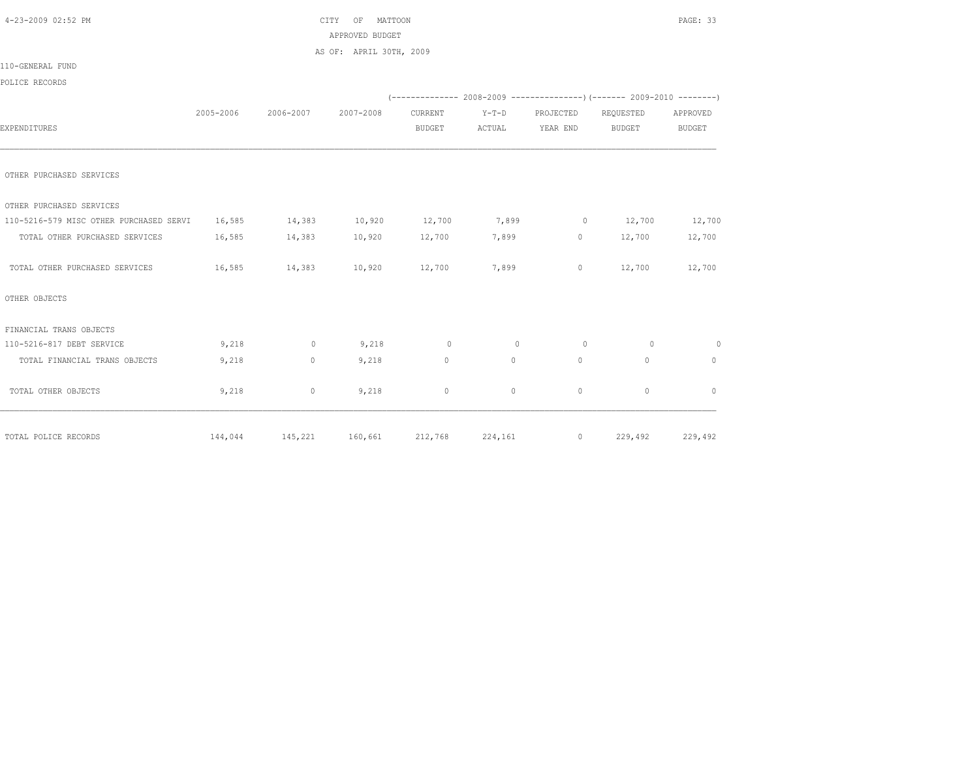| 4-23-2009 02:52 PM                      |           |              | MATTOON<br>CITY<br>OF   |               |         |           |                                                                          | PAGE: 33       |
|-----------------------------------------|-----------|--------------|-------------------------|---------------|---------|-----------|--------------------------------------------------------------------------|----------------|
|                                         |           |              | APPROVED BUDGET         |               |         |           |                                                                          |                |
|                                         |           |              | AS OF: APRIL 30TH, 2009 |               |         |           |                                                                          |                |
| 110-GENERAL FUND                        |           |              |                         |               |         |           |                                                                          |                |
| POLICE RECORDS                          |           |              |                         |               |         |           |                                                                          |                |
|                                         |           |              |                         |               |         |           | (-------------- 2008-2009 ----------------) (------- 2009-2010 --------) |                |
|                                         | 2005-2006 | 2006-2007    | 2007-2008               | CURRENT       | $Y-T-D$ | PROJECTED | REQUESTED                                                                | APPROVED       |
| EXPENDITURES                            |           |              |                         | <b>BUDGET</b> | ACTUAL  | YEAR END  | <b>BUDGET</b>                                                            | BUDGET         |
|                                         |           |              |                         |               |         |           |                                                                          |                |
| OTHER PURCHASED SERVICES                |           |              |                         |               |         |           |                                                                          |                |
| OTHER PURCHASED SERVICES                |           |              |                         |               |         |           |                                                                          |                |
| 110-5216-579 MISC OTHER PURCHASED SERVI | 16,585    | 14,383       | 10,920                  | 12,700        | 7,899   | $\sim$ 0  | 12,700                                                                   | 12,700         |
| TOTAL OTHER PURCHASED SERVICES          | 16,585    | 14,383       | 10,920                  | 12,700        | 7,899   | $\circ$   | 12,700                                                                   | 12,700         |
| TOTAL OTHER PURCHASED SERVICES          | 16,585    | 14,383       | 10,920                  | 12,700        | 7,899   | $\circ$   | 12,700                                                                   | 12,700         |
| OTHER OBJECTS                           |           |              |                         |               |         |           |                                                                          |                |
| FINANCIAL TRANS OBJECTS                 |           |              |                         |               |         |           |                                                                          |                |
| 110-5216-817 DEBT SERVICE               | 9,218     | $\circ$      | 9,218                   | $\circ$       | $\circ$ | $\circ$   | $\circ$                                                                  | $\overline{0}$ |
| TOTAL FINANCIAL TRANS OBJECTS           | 9,218     | $\mathbf{0}$ | 9,218                   | $\circ$       | $\circ$ | $\Omega$  | $\mathbf{0}$                                                             | $\mathbf{0}$   |
| TOTAL OTHER OBJECTS                     | 9,218     | 0            | 9,218                   | $\circ$       | $\circ$ | $\circ$   | $\mathbf{0}$                                                             | $\mathbf{0}$   |
|                                         |           |              |                         |               |         |           |                                                                          |                |
| TOTAL POLICE RECORDS                    | 144,044   | 145,221      | 160,661                 | 212,768       | 224,161 | $\circ$   | 229,492                                                                  | 229,492        |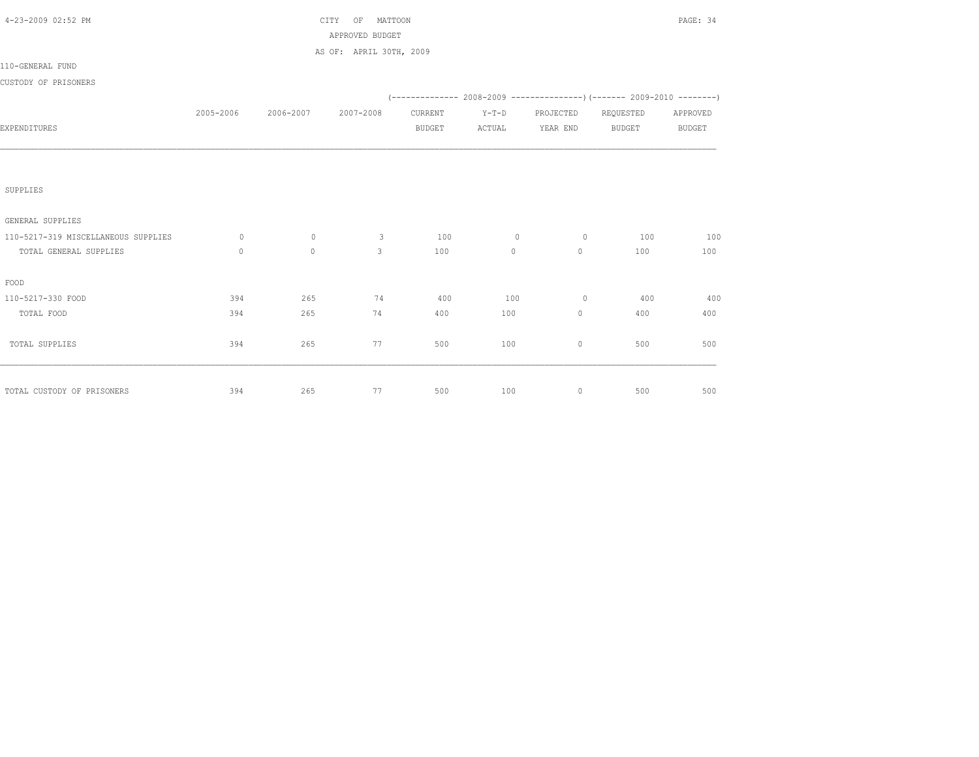| 4-23-2009 02:52 PM                  |              |              | OF MATTOON<br>CITY      |               |         |                |                                                                          | PAGE: 34      |
|-------------------------------------|--------------|--------------|-------------------------|---------------|---------|----------------|--------------------------------------------------------------------------|---------------|
|                                     |              |              | APPROVED BUDGET         |               |         |                |                                                                          |               |
|                                     |              |              | AS OF: APRIL 30TH, 2009 |               |         |                |                                                                          |               |
| 110-GENERAL FUND                    |              |              |                         |               |         |                |                                                                          |               |
| CUSTODY OF PRISONERS                |              |              |                         |               |         |                |                                                                          |               |
|                                     |              |              |                         |               |         |                | (-------------- 2008-2009 ----------------) (------- 2009-2010 --------) |               |
|                                     | 2005-2006    | 2006-2007    | 2007-2008               | CURRENT       | $Y-T-D$ | PROJECTED      | REQUESTED                                                                | APPROVED      |
| EXPENDITURES                        |              |              |                         | <b>BUDGET</b> | ACTUAL  | YEAR END       | <b>BUDGET</b>                                                            | <b>BUDGET</b> |
|                                     |              |              |                         |               |         |                |                                                                          |               |
|                                     |              |              |                         |               |         |                |                                                                          |               |
|                                     |              |              |                         |               |         |                |                                                                          |               |
| SUPPLIES                            |              |              |                         |               |         |                |                                                                          |               |
| GENERAL SUPPLIES                    |              |              |                         |               |         |                |                                                                          |               |
| 110-5217-319 MISCELLANEOUS SUPPLIES | $\circ$      | $\circ$      | $\mathbf{3}$            | 100           | $\circ$ | $\overline{0}$ | 100                                                                      | 100           |
| TOTAL GENERAL SUPPLIES              | $\mathbf{0}$ | $\mathbf{0}$ | 3                       | 100           | $\circ$ | $\circ$        | 100                                                                      | 100           |
|                                     |              |              |                         |               |         |                |                                                                          |               |
| FOOD                                |              |              |                         |               |         |                |                                                                          |               |
| 110-5217-330 FOOD                   | 394          | 265          | 74                      | 400           | 100     | $\overline{0}$ | 400                                                                      | 400           |
| TOTAL FOOD                          | 394          | 265          | 74                      | 400           | 100     | $\mathbf{0}$   | 400                                                                      | 400           |
|                                     |              |              |                         |               |         |                |                                                                          |               |
| TOTAL SUPPLIES                      | 394          | 265          | 77                      | 500           | 100     | $\circ$        | 500                                                                      | 500           |
|                                     |              |              |                         |               |         |                |                                                                          |               |
|                                     |              |              |                         |               |         |                |                                                                          |               |
| TOTAL CUSTODY OF PRISONERS          | 394          | 265          | 77                      | 500           | 100     | $\circ$        | 500                                                                      | 500           |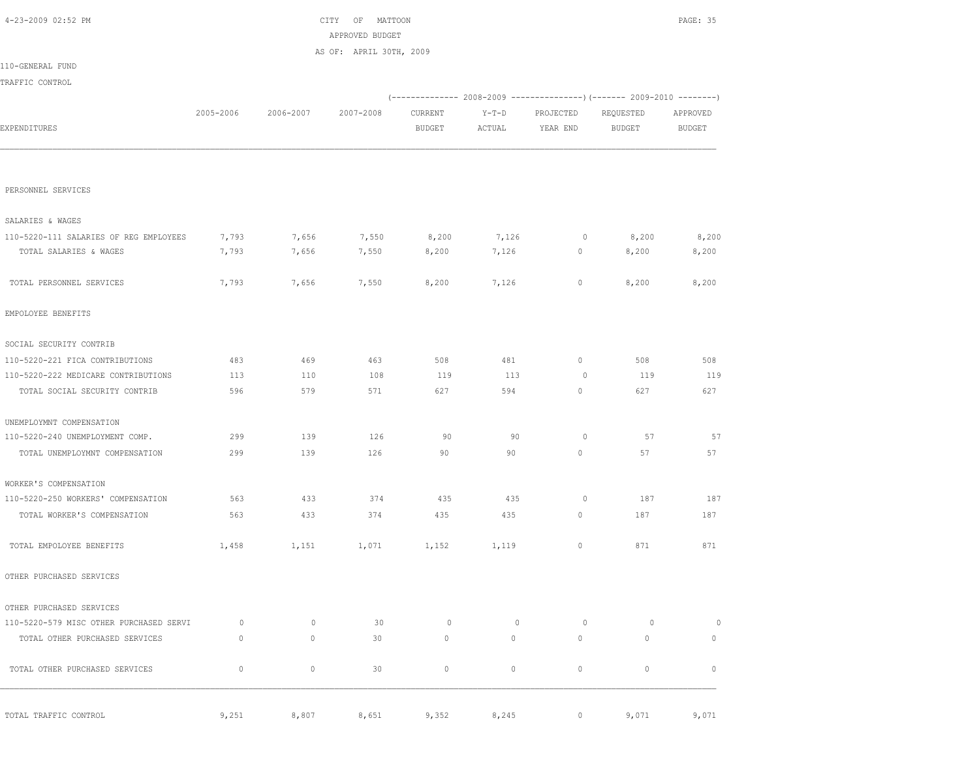| 4-23-2009 02:52 PM                      | MATTOON<br>CITY<br>OF<br>APPROVED BUDGET<br>AS OF: APRIL 30TH, 2009 |           |           |                |                |                | PAGE: 35      |                |  |
|-----------------------------------------|---------------------------------------------------------------------|-----------|-----------|----------------|----------------|----------------|---------------|----------------|--|
|                                         |                                                                     |           |           |                |                |                |               |                |  |
| 110-GENERAL FUND                        |                                                                     |           |           |                |                |                |               |                |  |
| TRAFFIC CONTROL                         |                                                                     |           |           |                |                |                |               |                |  |
|                                         |                                                                     |           |           |                |                |                |               |                |  |
|                                         | 2005-2006                                                           | 2006-2007 | 2007-2008 | CURRENT        | $Y-T-D$        | PROJECTED      | REQUESTED     | APPROVED       |  |
| EXPENDITURES                            |                                                                     |           |           | <b>BUDGET</b>  | ACTUAL         | YEAR END       | <b>BUDGET</b> | <b>BUDGET</b>  |  |
| PERSONNEL SERVICES                      |                                                                     |           |           |                |                |                |               |                |  |
|                                         |                                                                     |           |           |                |                |                |               |                |  |
| SALARIES & WAGES                        |                                                                     |           |           |                |                |                |               |                |  |
| 110-5220-111 SALARIES OF REG EMPLOYEES  | 7,793                                                               | 7,656     | 7,550     | 8,200          | 7,126          | $\circ$        | 8,200         | 8,200          |  |
| TOTAL SALARIES & WAGES                  | 7,793                                                               | 7,656     | 7,550     | 8,200          | 7,126          | $\circ$        | 8,200         | 8,200          |  |
| TOTAL PERSONNEL SERVICES                | 7,793                                                               | 7,656     | 7,550     | 8,200          | 7,126          | 0              | 8,200         | 8,200          |  |
| EMPOLOYEE BENEFITS                      |                                                                     |           |           |                |                |                |               |                |  |
| SOCIAL SECURITY CONTRIB                 |                                                                     |           |           |                |                |                |               |                |  |
| 110-5220-221 FICA CONTRIBUTIONS         | 483                                                                 | 469       | 463       | 508            | 481            | 0              | 508           | 508            |  |
| 110-5220-222 MEDICARE CONTRIBUTIONS     | 113                                                                 | 110       | 108       | 119            | 113            | 0              | 119           | 119            |  |
| TOTAL SOCIAL SECURITY CONTRIB           | 596                                                                 | 579       | 571       | 627            | 594            | 0              | 627           | 627            |  |
| UNEMPLOYMNT COMPENSATION                |                                                                     |           |           |                |                |                |               |                |  |
| 110-5220-240 UNEMPLOYMENT COMP.         | 299                                                                 | 139       | 126       | 90             | 90             | $\circ$        | 57            | 57             |  |
| TOTAL UNEMPLOYMNT COMPENSATION          | 299                                                                 | 139       | 126       | 90             | 90             | 0              | 57            | 57             |  |
| WORKER'S COMPENSATION                   |                                                                     |           |           |                |                |                |               |                |  |
| 110-5220-250 WORKERS' COMPENSATION      | 563                                                                 | 433       | 374       | 435            | 435            | $\circ$        | 187           | 187            |  |
| TOTAL WORKER'S COMPENSATION             | 563                                                                 | 433       | 374       | 435            | 435            | 0              | 187           | 187            |  |
| TOTAL EMPOLOYEE BENEFITS                | 1,458                                                               | 1,151     | 1,071     | 1,152          | 1,119          | 0              | 871           | 871            |  |
| OTHER PURCHASED SERVICES                |                                                                     |           |           |                |                |                |               |                |  |
| OTHER PURCHASED SERVICES                |                                                                     |           |           |                |                |                |               |                |  |
| 110-5220-579 MISC OTHER PURCHASED SERVI | $\circ$                                                             | $\circ$   | 30        | $\overline{0}$ | $\overline{0}$ | $\overline{0}$ | $\circ$       | $\overline{0}$ |  |
| TOTAL OTHER PURCHASED SERVICES          | $\circ$                                                             | $\circ$   | 30        | $\circ$        | $\circ$        | $\circ$        | $\circ$       | $\mathbf{0}$   |  |
| TOTAL OTHER PURCHASED SERVICES          | $\mathbb O$                                                         | $\circ$   | 30        | $\circ$        | $\circ$        | $\mathbb O$    | $\mathbf{0}$  | $\circ$        |  |
| TOTAL TRAFFIC CONTROL                   | 9,251                                                               | 8,807     | 8,651     | 9,352          | 8,245          | $\circ$        | 9,071         | 9,071          |  |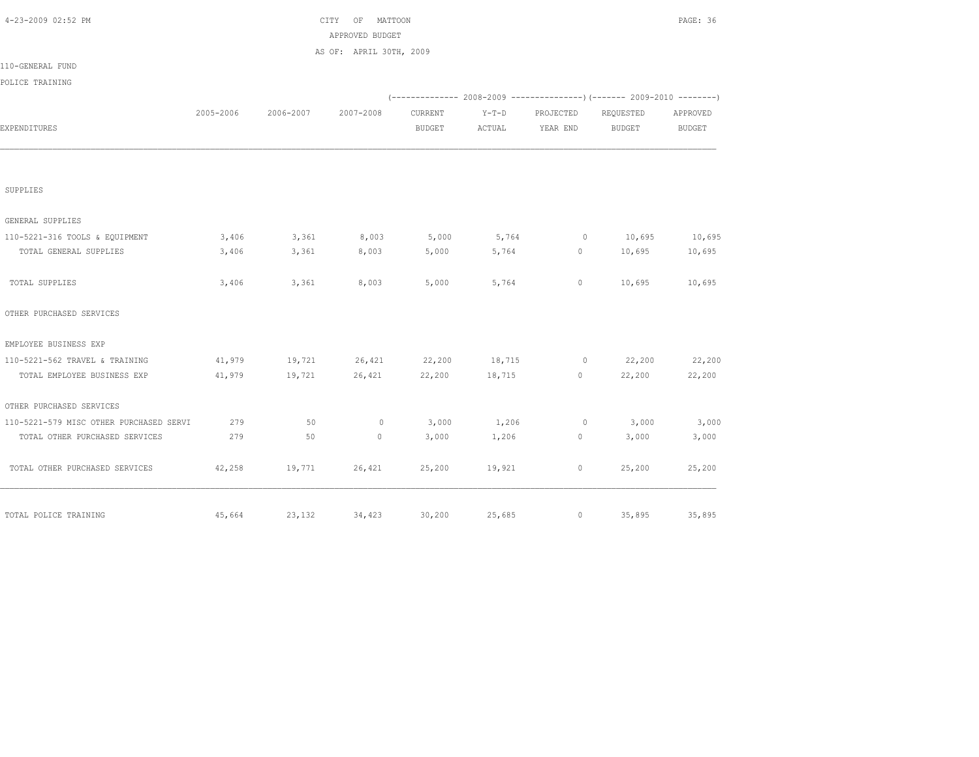| 4-23-2009 02:52 PM                      |           | CITY<br>OF<br>MATTOON |                         |               |         |                | PAGE: 36      |               |  |  |
|-----------------------------------------|-----------|-----------------------|-------------------------|---------------|---------|----------------|---------------|---------------|--|--|
|                                         |           |                       | APPROVED BUDGET         |               |         |                |               |               |  |  |
|                                         |           |                       | AS OF: APRIL 30TH, 2009 |               |         |                |               |               |  |  |
| 110-GENERAL FUND                        |           |                       |                         |               |         |                |               |               |  |  |
| POLICE TRAINING                         |           |                       |                         |               |         |                |               |               |  |  |
|                                         |           |                       |                         |               |         |                |               |               |  |  |
|                                         | 2005-2006 | 2006-2007             | 2007-2008               | CURRENT       | $Y-T-D$ | PROJECTED      | REQUESTED     | APPROVED      |  |  |
| EXPENDITURES                            |           |                       |                         | <b>BUDGET</b> | ACTUAL  | YEAR END       | <b>BUDGET</b> | <b>BUDGET</b> |  |  |
|                                         |           |                       |                         |               |         |                |               |               |  |  |
| SUPPLIES                                |           |                       |                         |               |         |                |               |               |  |  |
| GENERAL SUPPLIES                        |           |                       |                         |               |         |                |               |               |  |  |
| 110-5221-316 TOOLS & EQUIPMENT          | 3,406     | 3,361                 | 8,003                   | 5,000         | 5,764   | $\overline{0}$ | 10,695        | 10,695        |  |  |
| TOTAL GENERAL SUPPLIES                  | 3,406     | 3,361                 | 8,003                   | 5,000         | 5,764   | $\circ$        | 10,695        | 10,695        |  |  |
| TOTAL SUPPLIES                          | 3,406     | 3,361                 | 8,003                   | 5,000         | 5,764   | $\circ$        | 10,695        | 10,695        |  |  |
| OTHER PURCHASED SERVICES                |           |                       |                         |               |         |                |               |               |  |  |
| EMPLOYEE BUSINESS EXP                   |           |                       |                         |               |         |                |               |               |  |  |
| 110-5221-562 TRAVEL & TRAINING          | 41,979    | 19,721                | 26,421                  | 22,200        | 18,715  | $\circ$        | 22,200        | 22,200        |  |  |
| TOTAL EMPLOYEE BUSINESS EXP             | 41,979    | 19,721                | 26,421                  | 22,200        | 18,715  | $\circ$        | 22,200        | 22,200        |  |  |
| OTHER PURCHASED SERVICES                |           |                       |                         |               |         |                |               |               |  |  |
| 110-5221-579 MISC OTHER PURCHASED SERVI | 279       | 50                    | $\mathbf{0}$            | 3,000         | 1,206   | $\circ$        | 3,000         | 3,000         |  |  |
| TOTAL OTHER PURCHASED SERVICES          | 279       | 50                    | $\circ$                 | 3,000         | 1,206   | 0              | 3,000         | 3,000         |  |  |
| TOTAL OTHER PURCHASED SERVICES          | 42,258    | 19,771                | 26,421                  | 25,200        | 19,921  | $\circ$        | 25,200        | 25,200        |  |  |
| TOTAL POLICE TRAINING                   | 45,664    | 23,132                | 34,423                  | 30,200        | 25,685  | $\circ$        | 35,895        | 35,895        |  |  |
|                                         |           |                       |                         |               |         |                |               |               |  |  |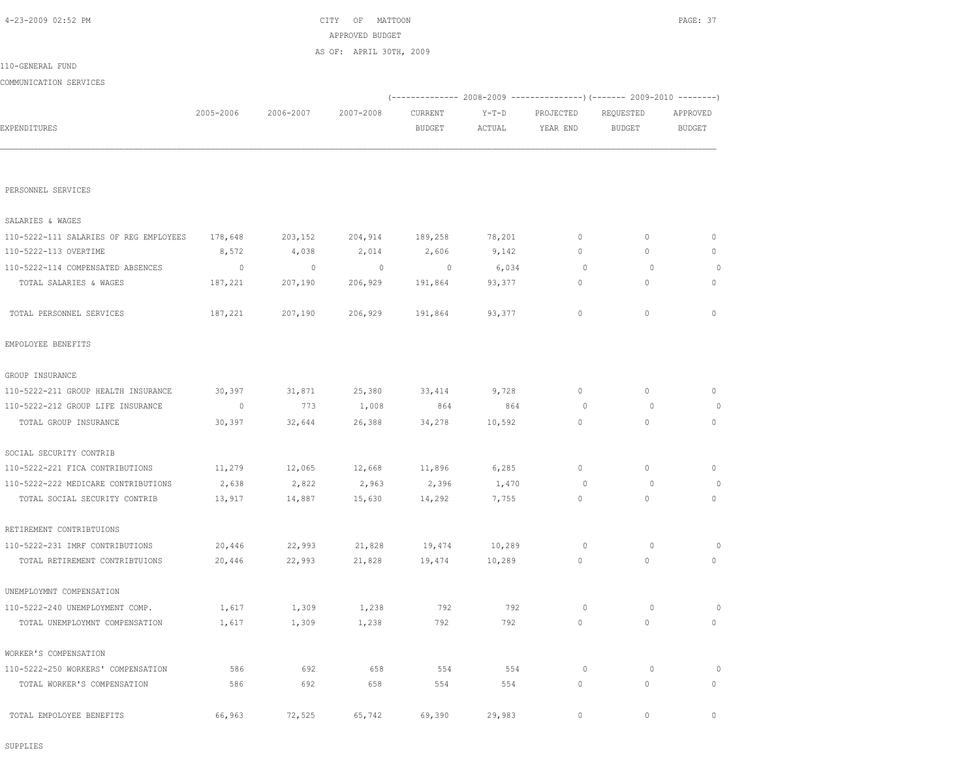SUPPLIES

| TOTAL PERSONNEL SERVICES            | 187,221  | 207,190 |        | 206,929 191,864 | 93,377 | $\circ$      | $\circ$      | $\Omega$     |
|-------------------------------------|----------|---------|--------|-----------------|--------|--------------|--------------|--------------|
| EMPOLOYEE BENEFITS                  |          |         |        |                 |        |              |              |              |
| GROUP INSURANCE                     |          |         |        |                 |        |              |              |              |
| 110-5222-211 GROUP HEALTH INSURANCE | 30,397   | 31,871  | 25,380 | 33,414          | 9,728  | $\circ$      | $\mathbf{0}$ | $\circ$      |
| 110-5222-212 GROUP LIFE INSURANCE   | $\sim$ 0 | 773     | 1,008  | 864             | 864    | $\circ$      | $\circ$      | $\circ$      |
| TOTAL GROUP INSURANCE               | 30,397   | 32,644  | 26,388 | 34,278          | 10,592 | $\mathbf{0}$ | $\mathbf{0}$ | $\circ$      |
| SOCIAL SECURITY CONTRIB             |          |         |        |                 |        |              |              |              |
| 110-5222-221 FICA CONTRIBUTIONS     | 11,279   | 12,065  | 12,668 | 11,896          | 6,285  | 0            | $\circ$      | $\circ$      |
| 110-5222-222 MEDICARE CONTRIBUTIONS | 2,638    | 2,822   | 2,963  | 2,396           | 1,470  | $\Omega$     | $\Omega$     | $\circ$      |
| TOTAL SOCIAL SECURITY CONTRIB       | 13,917   | 14,887  | 15,630 | 14,292          | 7,755  | $\mathbf{0}$ | $\mathbf{0}$ | $\circ$      |
| RETIREMENT CONTRIBTUIONS            |          |         |        |                 |        |              |              |              |
| 110-5222-231 IMRF CONTRIBUTIONS     | 20,446   | 22,993  | 21,828 | 19,474          | 10,289 | $\circ$      | $\circ$      | $\circ$      |
| TOTAL RETIREMENT CONTRIBTUIONS      | 20,446   | 22,993  | 21,828 | 19,474          | 10,289 | $\circ$      | $\mathbf{0}$ | $\circ$      |
| UNEMPLOYMNT COMPENSATION            |          |         |        |                 |        |              |              |              |
| 110-5222-240 UNEMPLOYMENT COMP.     | 1,617    | 1,309   | 1,238  | 792             | 792    | $\circ$      | $\Omega$     | $\Omega$     |
| TOTAL UNEMPLOYMNT COMPENSATION      | 1,617    | 1,309   | 1,238  | 792             | 792    | $\mathbf{0}$ | $\Omega$     | $\Omega$     |
| WORKER'S COMPENSATION               |          |         |        |                 |        |              |              |              |
| 110-5222-250 WORKERS' COMPENSATION  | 586      | 692     | 658    | 554             | 554    | $\circ$      | $\circ$      | 0            |
| TOTAL WORKER'S COMPENSATION         | 586      | 692     | 658    | 554             | 554    | 0            | $\mathbf{0}$ | $\mathbf{0}$ |
| TOTAL EMPOLOYEE BENEFITS            | 66,963   | 72,525  | 65,742 | 69,390          | 29,983 | $\circ$      | $\mathbf{0}$ | $\mathbf{0}$ |
|                                     |          |         |        |                 |        |              |              |              |

| SALARIES & WAGES                       |         |              |         |         |        |          |   |          |
|----------------------------------------|---------|--------------|---------|---------|--------|----------|---|----------|
| 110-5222-111 SALARIES OF REG EMPLOYEES | 178,648 | 203,152      | 204,914 | 189,258 | 78,201 |          |   | $\Omega$ |
| 110-5222-113 OVERTIME                  | 8,572   | 4,038        | 2,014   | 2,606   | 9,142  |          |   | $\Omega$ |
| 110-5222-114 COMPENSATED ABSENCES      |         | $\mathbf{0}$ | 0       | 0       | 6,034  | $\Omega$ | 0 | $\Omega$ |
| TOTAL SALARIES & WAGES                 | 187,221 | 207,190      | 206,929 | 191,864 | 93,377 |          |   |          |
|                                        |         |              |         |         |        |          |   |          |
| TOTAL PERSONNEL SERVICES               | 187,221 | 207,190      | 206,929 | 191,864 | 93,377 |          |   |          |

PERSONNEL SERVICES

|                        |           |           | AFFAVVED DUDGEI         |               |         |                                                               |           |               |
|------------------------|-----------|-----------|-------------------------|---------------|---------|---------------------------------------------------------------|-----------|---------------|
|                        |           |           | AS OF: APRIL 30TH, 2009 |               |         |                                                               |           |               |
| 110-GENERAL FUND       |           |           |                         |               |         |                                                               |           |               |
| COMMUNICATION SERVICES |           |           |                         |               |         |                                                               |           |               |
|                        |           |           |                         |               |         | $(----------2008-2009------------)$ $(------2009-2010------)$ |           |               |
|                        | 2005-2006 | 2006-2007 | 2007-2008               | CURRENT       | $Y-T-D$ | PROJECTED                                                     | REQUESTED | APPROVED      |
| EXPENDITURES           |           |           |                         | <b>BUDGET</b> | ACTUAL  | YEAR END                                                      | BUDGET    | <b>BUDGET</b> |
|                        |           |           |                         |               |         |                                                               |           |               |
|                        |           |           |                         |               |         |                                                               |           |               |
|                        |           |           |                         |               |         |                                                               |           |               |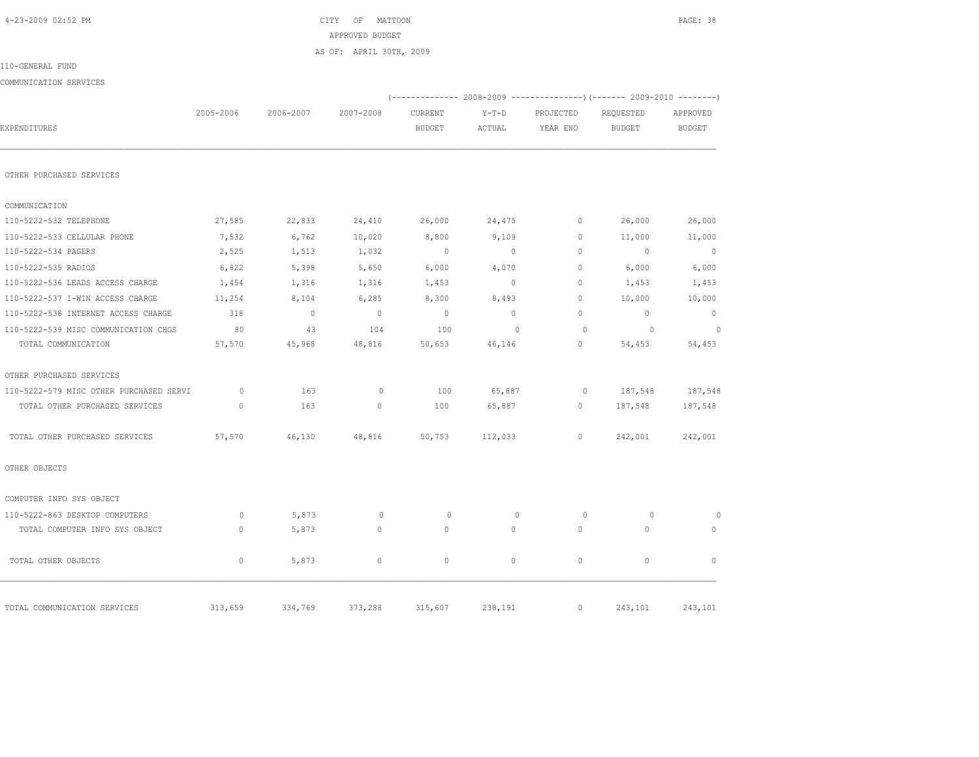| EXPENDITURES                            | 2005-2006    | 2006-2007    | 2007-2008      | CURRENT<br><b>BUDGET</b> | $Y-T-D$<br>ACTUAL | PROJECTED<br>YEAR END | (-------------- 2008-2009 -----------------)(------- 2009-2010<br>REQUESTED<br><b>BUDGET</b> | APPROVED<br><b>BUDGET</b> |
|-----------------------------------------|--------------|--------------|----------------|--------------------------|-------------------|-----------------------|----------------------------------------------------------------------------------------------|---------------------------|
| OTHER PURCHASED SERVICES                |              |              |                |                          |                   |                       |                                                                                              |                           |
| COMMUNICATION                           |              |              |                |                          |                   |                       |                                                                                              |                           |
| 110-5222-532 TELEPHONE                  | 27,585       | 22,833       | 24,410         | 26,000                   | 24,475            | $\circ$               | 26,000                                                                                       | 26,000                    |
| 110-5222-533 CELLULAR PHONE             | 7,532        | 6,762        | 10,020         | 8,800                    | 9,109             | $\mathbf{0}$          | 11,000                                                                                       | 11,000                    |
| 110-5222-534 PAGERS                     | 2,525        | 1,513        | 1,032          | $\overline{0}$           | $\overline{0}$    | $\Omega$              | $\sim$ 0                                                                                     | $\overline{0}$            |
| 110-5222-535 RADIOS                     | 6,822        | 5,398        | 5,650          | 6,000                    | 4,070             | $\Omega$              | 6,000                                                                                        | 6,000                     |
| 110-5222-536 LEADS ACCESS CHARGE        | 1,454        | 1,316        | 1,316          | 1,453                    | $\circ$           | $\mathbf{0}$          | 1,453                                                                                        | 1,453                     |
| 110-5222-537 I-WIN ACCESS CHARGE        | 11,254       | 8,104        | 6,285          | 8,300                    | 8,493             | $\circ$               | 10,000                                                                                       | 10,000                    |
| 110-5222-538 INTERNET ACCESS CHARGE     | 318          | $\mathbf{0}$ | $\overline{0}$ | $\overline{0}$           | $\circ$           | $\Omega$              | $\overline{0}$                                                                               | $\circ$                   |
| 110-5222-539 MISC COMMUNICATION CHGS    | 80           | 43           | 104            | 100                      | $\mathbf{0}$      | $\circ$               | $\overline{0}$                                                                               | $\overline{0}$            |
| TOTAL COMMUNICATION                     | 57,570       | 45,968       | 48,816         | 50,653                   | 46,146            | $\mathbf{0}$          | 54,453                                                                                       | 54,453                    |
| OTHER PURCHASED SERVICES                |              |              |                |                          |                   |                       |                                                                                              |                           |
| 110-5222-579 MISC OTHER PURCHASED SERVI | $\circ$      | 163          | $\circ$        | 100                      | 65,887            | $\circ$               | 187,548                                                                                      | 187,548                   |
| TOTAL OTHER PURCHASED SERVICES          | $\mathbf{0}$ | 163          | $\mathbf 0$    | 100                      | 65,887            | $\circ$               | 187,548                                                                                      | 187,548                   |
| TOTAL OTHER PURCHASED SERVICES          | 57,570       | 46,130       | 48,816         | 50,753                   | 112,033           | 0                     | 242,001                                                                                      | 242,001                   |
| OTHER OBJECTS                           |              |              |                |                          |                   |                       |                                                                                              |                           |
| COMPUTER INFO SYS OBJECT                |              |              |                |                          |                   |                       |                                                                                              |                           |
| 110-5222-863 DESKTOP COMPUTERS          | $\circ$      | 5,873        | $\mathbf{0}$   | $\circ$                  | $\mathbf{0}$      | $\circ$               | $\circ$                                                                                      | $\Omega$                  |
| TOTAL COMPUTER INFO SYS OBJECT          | $\mathbb O$  | 5,873        | $\circ$        | $\mathbf{0}$             | $\circ$           | $\mathbf{0}$          | $\circ$                                                                                      | $\mathbf{0}$              |
| TOTAL OTHER OBJECTS                     | $\mathbf{0}$ | 5,873        | $\circ$        | $\circ$                  | $\circ$           | $\circ$               | $\mathbf{0}$                                                                                 | $\Omega$                  |
| TOTAL COMMUNICATION SERVICES            | 313,659      | 334,769      | 373,288        | 315,607                  | 238,191           | $\circ$               | 243,101                                                                                      | 243,101                   |

|                          |           |           | AS OF: APRIL 30TH, 2009 |                                                                 |         |           |           |          |
|--------------------------|-----------|-----------|-------------------------|-----------------------------------------------------------------|---------|-----------|-----------|----------|
| 110-GENERAL FUND         |           |           |                         |                                                                 |         |           |           |          |
| COMMUNICATION SERVICES   |           |           |                         |                                                                 |         |           |           |          |
|                          |           |           |                         | $(---------- 2008-2009 ------------)$ $(---- 2009-2010 ------)$ |         |           |           |          |
|                          | 2005-2006 | 2006-2007 | 2007-2008               | CURRENT                                                         | $Y-T-D$ | PROJECTED | REQUESTED | APPROVED |
| EXPENDITURES             |           |           |                         | BUDGET                                                          | ACTUAL  | YEAR END  | BUDGET    | BUDGET   |
|                          |           |           |                         |                                                                 |         |           |           |          |
| OTHER PURCHASED SERVICES |           |           |                         |                                                                 |         |           |           |          |
|                          |           |           |                         |                                                                 |         |           |           |          |

 4-23-2009 02:52 PM CITY OF MATTOON PAGE: 38 APPROVED BUDGET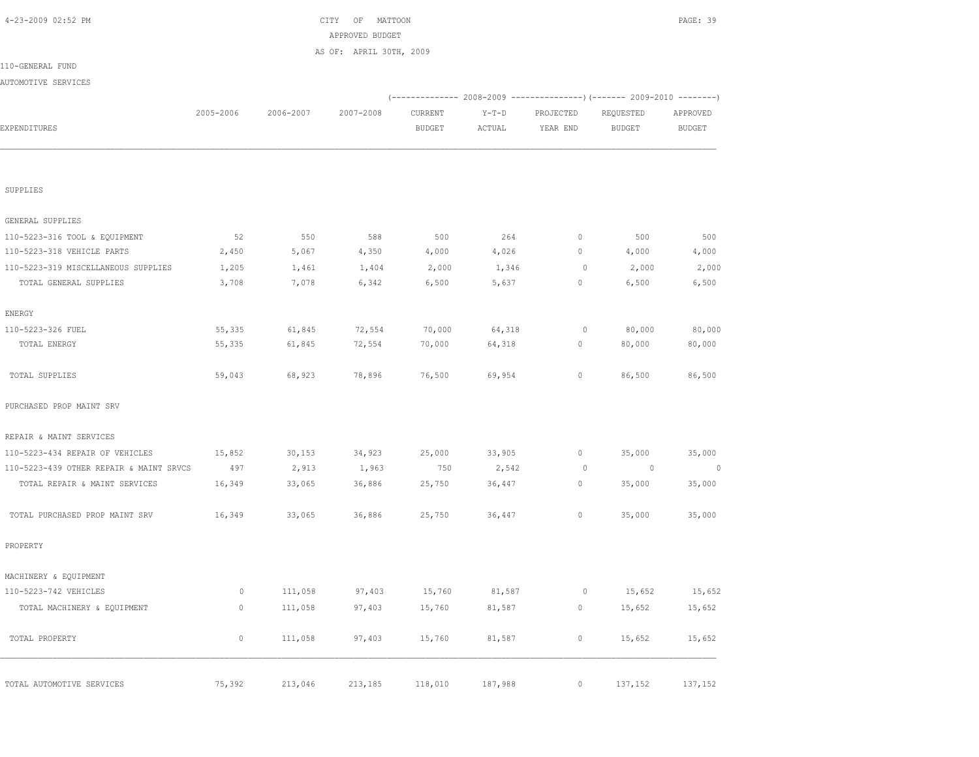|             |                                                                       | AS OF: APRIL 30TH, 2009     |                             |                             |                   |               |                                                                                           |
|-------------|-----------------------------------------------------------------------|-----------------------------|-----------------------------|-----------------------------|-------------------|---------------|-------------------------------------------------------------------------------------------|
|             |                                                                       |                             |                             |                             |                   |               |                                                                                           |
|             |                                                                       |                             |                             |                             |                   |               |                                                                                           |
|             |                                                                       |                             |                             |                             |                   |               |                                                                                           |
| 2005-2006   | 2006-2007                                                             | 2007-2008                   | CURRENT                     | $Y-T-D$                     | PROJECTED         | REQUESTED     | APPROVED                                                                                  |
|             |                                                                       |                             | <b>BUDGET</b>               | ACTUAL                      | YEAR END          | <b>BUDGET</b> | <b>BUDGET</b>                                                                             |
|             |                                                                       |                             |                             |                             |                   |               |                                                                                           |
|             |                                                                       |                             |                             |                             |                   |               |                                                                                           |
|             |                                                                       |                             |                             |                             |                   |               |                                                                                           |
|             |                                                                       |                             |                             |                             |                   |               |                                                                                           |
|             |                                                                       |                             |                             |                             |                   |               |                                                                                           |
|             |                                                                       |                             |                             |                             |                   |               |                                                                                           |
| 52          | 550                                                                   | 588                         | 500                         | 264                         | $\mathbb O$       | 500           | 500                                                                                       |
| 2,450       | 5,067                                                                 | 4,350                       | 4,000                       | 4,026                       | $\mathbb O$       | 4,000         | 4,000                                                                                     |
| 1,205       | 1,461                                                                 | 1,404                       | 2,000                       | 1,346                       | $\circ$           | 2,000         | 2,000                                                                                     |
| 3,708       | 7,078                                                                 | 6,342                       | 6,500                       | 5,637                       | $\mathbb O$       | 6,500         | 6,500                                                                                     |
|             |                                                                       |                             |                             |                             |                   |               |                                                                                           |
|             |                                                                       |                             |                             |                             | $\circ$           |               | 80,000                                                                                    |
| 55,335      | 61,845                                                                | 72,554                      | 70,000                      | 64,318                      | $\mathbb O$       | 80,000        | 80,000                                                                                    |
|             |                                                                       |                             |                             |                             |                   |               |                                                                                           |
| 59,043      | 68,923                                                                | 78,896                      | 76,500                      | 69,954                      | $\mathbb O$       | 86,500        | 86,500                                                                                    |
|             |                                                                       |                             |                             |                             |                   |               |                                                                                           |
|             |                                                                       |                             |                             |                             |                   |               |                                                                                           |
| 15,852      | 30, 153                                                               | 34,923                      | 25,000                      | 33,905                      | $\circ$           | 35,000        | 35,000                                                                                    |
| 497         | 2,913                                                                 | 1,963                       | 750                         | 2,542                       | $\circ$           | $\circ$       | $\overline{0}$                                                                            |
| 16,349      | 33,065                                                                | 36,886                      | 25,750                      | 36,447                      | $\circ$           | 35,000        | 35,000                                                                                    |
|             |                                                                       |                             |                             |                             |                   |               |                                                                                           |
|             |                                                                       |                             |                             | 36,447                      |                   | 35,000        | 35,000                                                                                    |
|             |                                                                       |                             |                             |                             |                   |               |                                                                                           |
|             |                                                                       |                             |                             |                             |                   |               |                                                                                           |
| $\circ$     | 111,058                                                               | 97,403                      | 15,760                      | 81,587                      | $\circ$           | 15,652        | 15,652                                                                                    |
| $\circ$     | 111,058                                                               | 97,403                      | 15,760                      | 81,587                      | $\circ$           | 15,652        | 15,652                                                                                    |
| $\mathbb O$ | 111,058                                                               | 97,403                      | 15,760                      | 81,587                      | $\mathbb O$       | 15,652        | 15,652                                                                                    |
|             |                                                                       |                             |                             |                             | $\circ$           |               | 137,152                                                                                   |
|             | 55,335<br>110-5223-439 OTHER REPAIR & MAINT SRVCS<br>16,349<br>75,392 | 61,845<br>33,065<br>213,046 | 72,554<br>36,886<br>213,185 | 70,000<br>25,750<br>118,010 | 64,318<br>187,988 | $\mathbb O$   | (-------------- 2008-2009 -------------------- 2009-2010 -----------<br>80,000<br>137,152 |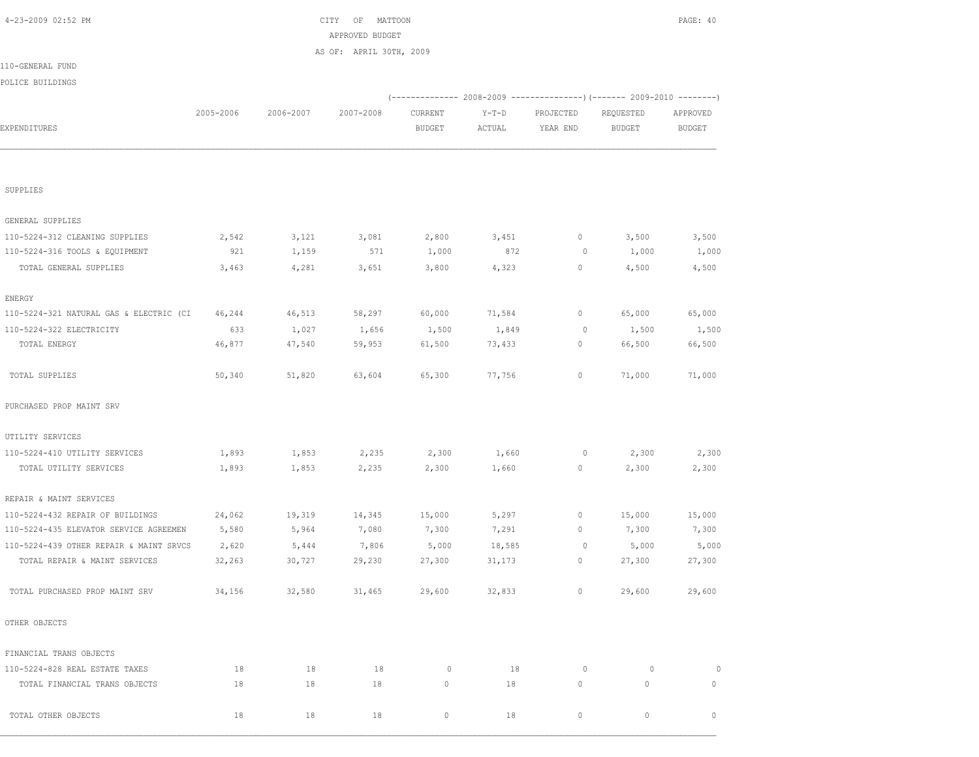| POLICE BUILDINGS                        |           |           |           |                          |                   |                       |                                                                        |                           |
|-----------------------------------------|-----------|-----------|-----------|--------------------------|-------------------|-----------------------|------------------------------------------------------------------------|---------------------------|
|                                         | 2005-2006 | 2006-2007 | 2007-2008 |                          |                   |                       | (------------- 2008-2009 ---------------) (------- 2009-2010 --------) |                           |
| EXPENDITURES                            |           |           |           | CURRENT<br><b>BUDGET</b> | $Y-T-D$<br>ACTUAL | PROJECTED<br>YEAR END | REQUESTED<br><b>BUDGET</b>                                             | APPROVED<br><b>BUDGET</b> |
|                                         |           |           |           |                          |                   |                       |                                                                        |                           |
| SUPPLIES                                |           |           |           |                          |                   |                       |                                                                        |                           |
| GENERAL SUPPLIES                        |           |           |           |                          |                   |                       |                                                                        |                           |
| 110-5224-312 CLEANING SUPPLIES          | 2,542     | 3,121     | 3,081     | 2,800                    | 3,451             | $\mathbb O$           | 3,500                                                                  | 3,500                     |
| 110-5224-316 TOOLS & EQUIPMENT          | 921       | 1,159     | 571       | 1,000                    | 872               | $\circ$               | 1,000                                                                  | 1,000                     |
| TOTAL GENERAL SUPPLIES                  | 3,463     | 4,281     | 3,651     | 3,800                    | 4,323             | $\mathbb O$           | 4,500                                                                  | 4,500                     |
| <b>ENERGY</b>                           |           |           |           |                          |                   |                       |                                                                        |                           |
| 110-5224-321 NATURAL GAS & ELECTRIC (CI | 46,244    | 46,513    | 58,297    | 60,000                   | 71,584            | $\mathbb O$           | 65,000                                                                 | 65,000                    |
| 110-5224-322 ELECTRICITY                | 633       | 1,027     | 1,656     | 1,500                    | 1,849             | $\circ$               | 1,500                                                                  | 1,500                     |
| TOTAL ENERGY                            | 46,877    | 47,540    | 59,953    | 61,500                   | 73,433            | $\mathbb O$           | 66,500                                                                 | 66,500                    |
| TOTAL SUPPLIES                          | 50,340    | 51,820    | 63,604    | 65,300                   | 77,756            | 0                     | 71,000                                                                 | 71,000                    |
| PURCHASED PROP MAINT SRV                |           |           |           |                          |                   |                       |                                                                        |                           |
| UTILITY SERVICES                        |           |           |           |                          |                   |                       |                                                                        |                           |
| 110-5224-410 UTILITY SERVICES           | 1,893     | 1,853     | 2,235     | 2,300                    | 1,660             | $\mathbb O$           | 2,300                                                                  | 2,300                     |
| TOTAL UTILITY SERVICES                  | 1,893     | 1,853     | 2,235     | 2,300                    | 1,660             | 0                     | 2,300                                                                  | 2,300                     |
| REPAIR & MAINT SERVICES                 |           |           |           |                          |                   |                       |                                                                        |                           |
| 110-5224-432 REPAIR OF BUILDINGS        | 24,062    | 19,319    | 14,345    | 15,000                   | 5,297             | $\mathbb O$           | 15,000                                                                 | 15,000                    |
| 110-5224-435 ELEVATOR SERVICE AGREEMEN  | 5,580     | 5,964     | 7,080     | 7,300                    | 7,291             | 0                     | 7,300                                                                  | 7,300                     |
| 110-5224-439 OTHER REPAIR & MAINT SRVCS | 2,620     | 5,444     | 7,806     | 5,000                    | 18,585            | $\circ$               | 5,000                                                                  | 5,000                     |
| TOTAL REPAIR & MAINT SERVICES           | 32,263    | 30,727    | 29,230    | 27,300                   | 31,173            | 0                     | 27,300                                                                 | 27,300                    |
| TOTAL PURCHASED PROP MAINT SRV          | 34,156    | 32,580    | 31,465    | 29,600                   | 32,833            | $\mathbb O$           | 29,600                                                                 | 29,600                    |
| OTHER OBJECTS                           |           |           |           |                          |                   |                       |                                                                        |                           |
| FINANCIAL TRANS OBJECTS                 |           |           |           |                          |                   |                       |                                                                        |                           |
| 110-5224-828 REAL ESTATE TAXES          | 18        | 18        | 18        | 0                        | 18                | $\mathbb O$           | $\circ$                                                                | 0                         |
| TOTAL FINANCIAL TRANS OBJECTS           | 18        | 18        | 18        | $\circ$                  | 18                | $\circ$               | $\mathsf{O}\xspace$                                                    | $\circ$                   |
| TOTAL OTHER OBJECTS                     | 18        | 18        | 18        | $\mathbf 0$              | 18                | 0                     | 0                                                                      | $\mathbf 0$               |

POL

110-GENERAL FUND

 4-23-2009 02:52 PM CITY OF MATTOON PAGE: 40 APPROVED BUDGET AS OF: APRIL 30TH, 2009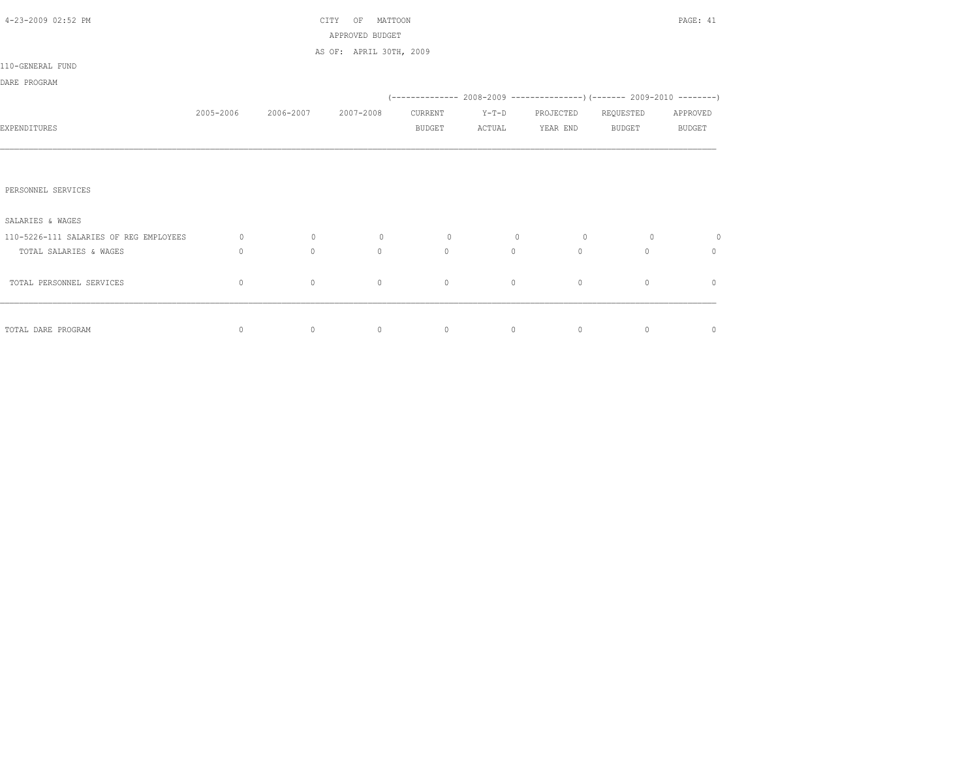| 4-23-2009 02:52 PM                     |             |           | MATTOON<br>CITY<br>OF   |               |         |                |               | PAGE: 41      |
|----------------------------------------|-------------|-----------|-------------------------|---------------|---------|----------------|---------------|---------------|
|                                        |             |           | APPROVED BUDGET         |               |         |                |               |               |
|                                        |             |           | AS OF: APRIL 30TH, 2009 |               |         |                |               |               |
| 110-GENERAL FUND                       |             |           |                         |               |         |                |               |               |
| DARE PROGRAM                           |             |           |                         |               |         |                |               |               |
|                                        |             |           |                         |               |         |                |               |               |
|                                        | 2005-2006   | 2006-2007 | 2007-2008               | CURRENT       | $Y-T-D$ | PROJECTED      | REQUESTED     | APPROVED      |
| EXPENDITURES                           |             |           |                         | <b>BUDGET</b> | ACTUAL  | YEAR END       | <b>BUDGET</b> | <b>BUDGET</b> |
|                                        |             |           |                         |               |         |                |               |               |
|                                        |             |           |                         |               |         |                |               |               |
|                                        |             |           |                         |               |         |                |               |               |
| PERSONNEL SERVICES                     |             |           |                         |               |         |                |               |               |
|                                        |             |           |                         |               |         |                |               |               |
| SALARIES & WAGES                       |             |           |                         |               |         |                |               |               |
| 110-5226-111 SALARIES OF REG EMPLOYEES | $\circ$     | $\circ$   | $\circ$                 | $\circ$       | $\circ$ | $\overline{0}$ | $\circ$       | $\circ$       |
| TOTAL SALARIES & WAGES                 | $\Omega$    | $\circ$   | $\Omega$                | $\circ$       | $\circ$ | $\circ$        | $\Omega$      | $\mathbf{0}$  |
|                                        |             |           |                         |               |         |                |               |               |
| TOTAL PERSONNEL SERVICES               | $\mathbf 0$ | $\circ$   | $\circ$                 | $\circ$       | $\circ$ | $\circ$        | $\mathbf{0}$  | $\mathbf{0}$  |
|                                        |             |           |                         |               |         |                |               |               |
|                                        |             |           |                         |               |         |                |               |               |
| TOTAL DARE PROGRAM                     | $\circ$     | $\circ$   | $\circ$                 | $\circ$       | $\circ$ | $\circ$        | $\circ$       | $\circ$       |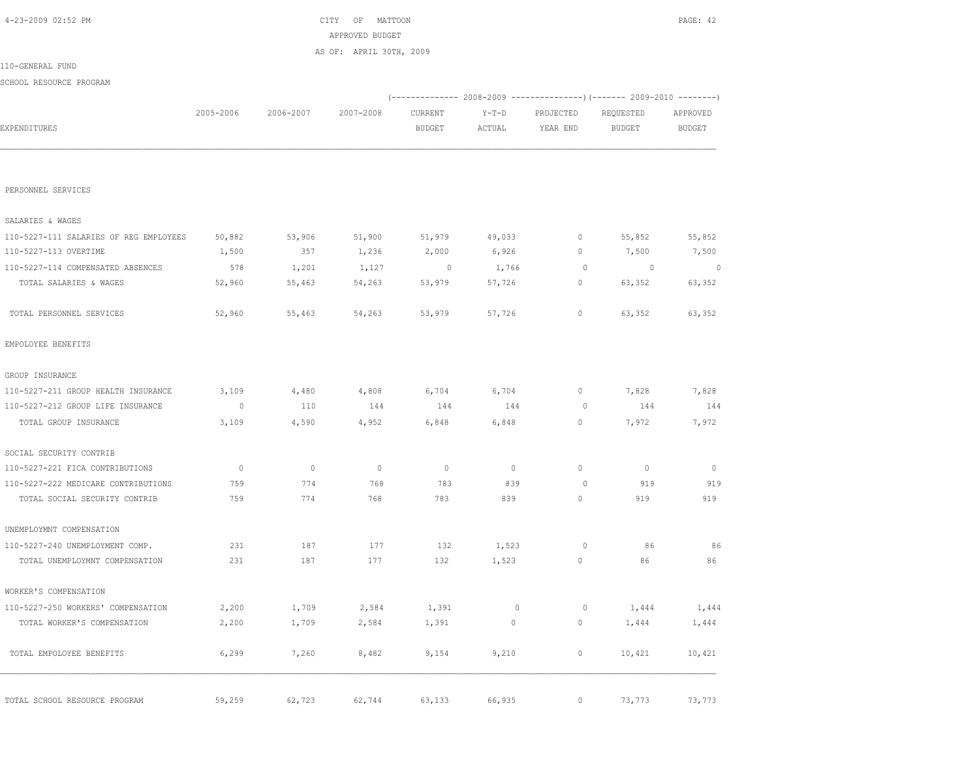|                                        |             |           | APPROVED BUDGET         |                          |             |           |                                                                        |                |
|----------------------------------------|-------------|-----------|-------------------------|--------------------------|-------------|-----------|------------------------------------------------------------------------|----------------|
|                                        |             |           | AS OF: APRIL 30TH, 2009 |                          |             |           |                                                                        |                |
| 110-GENERAL FUND                       |             |           |                         |                          |             |           |                                                                        |                |
| SCHOOL RESOURCE PROGRAM                |             |           |                         |                          |             |           |                                                                        |                |
|                                        |             |           |                         |                          |             |           | (------------- 2008-2009 ---------------) (------- 2009-2010 --------) |                |
|                                        | 2005-2006   | 2006-2007 | 2007-2008               | CURRENT                  | $Y-T-D$     | PROJECTED | REQUESTED                                                              | APPROVED       |
| EXPENDITURES                           |             |           |                         | <b>BUDGET</b>            | ACTUAL      | YEAR END  | <b>BUDGET</b>                                                          | <b>BUDGET</b>  |
|                                        |             |           |                         |                          |             |           |                                                                        |                |
| PERSONNEL SERVICES                     |             |           |                         |                          |             |           |                                                                        |                |
| SALARIES & WAGES                       |             |           |                         |                          |             |           |                                                                        |                |
| 110-5227-111 SALARIES OF REG EMPLOYEES | 50,882      | 53,906    | 51,900                  | 51,979                   | 49,033      | 0         | 55,852                                                                 | 55,852         |
| 110-5227-113 OVERTIME                  | 1,500       | 357       | 1,236                   | 2,000                    | 6,926       | 0         | 7,500                                                                  | 7,500          |
| 110-5227-114 COMPENSATED ABSENCES      | 578         | 1,201     | 1,127                   | $\overline{\phantom{0}}$ | 1,766       | $\circ$   | $\overline{0}$                                                         | $\overline{0}$ |
| TOTAL SALARIES & WAGES                 | 52,960      | 55,463    | 54,263                  | 53,979                   | 57,726      | 0         | 63,352                                                                 | 63,352         |
| TOTAL PERSONNEL SERVICES               | 52,960      | 55,463    | 54,263                  | 53,979                   | 57,726      | 0         | 63,352                                                                 | 63,352         |
| EMPOLOYEE BENEFITS                     |             |           |                         |                          |             |           |                                                                        |                |
| GROUP INSURANCE                        |             |           |                         |                          |             |           |                                                                        |                |
| 110-5227-211 GROUP HEALTH INSURANCE    | 3,109       | 4,480     | 4,808                   | 6,704                    | 6,704       | 0         | 7,828                                                                  | 7,828          |
| 110-5227-212 GROUP LIFE INSURANCE      | $\circ$     | 110       | 144                     | 144                      | 144         | $\circ$   | 144                                                                    | 144            |
| TOTAL GROUP INSURANCE                  | 3,109       | 4,590     | 4,952                   | 6,848                    | 6,848       | 0         | 7,972                                                                  | 7,972          |
| SOCIAL SECURITY CONTRIB                |             |           |                         |                          |             |           |                                                                        |                |
| 110-5227-221 FICA CONTRIBUTIONS        | $\mathbb O$ | $\circ$   | $\circ$                 | $\mathbb{O}$             | $\circ$     | $\circ$   | $\mathbf 0$                                                            | $\mathbf{0}$   |
| 110-5227-222 MEDICARE CONTRIBUTIONS    | 759         | 774       | 768                     | 783                      | 839         | $\circ$   | 919                                                                    | 919            |
| TOTAL SOCIAL SECURITY CONTRIB          | 759         | 774       | 768                     | 783                      | 839         | 0         | 919                                                                    | 919            |
| UNEMPLOYMNT COMPENSATION               |             |           |                         |                          |             |           |                                                                        |                |
| 110-5227-240 UNEMPLOYMENT COMP.        | 231         | 187       | 177                     | 132                      | 1,523       | $\circ$   | 86                                                                     | 86             |
| TOTAL UNEMPLOYMNT COMPENSATION         | 231         | 187       | 177                     | 132                      | 1,523       | 0         | 86                                                                     | 86             |
| WORKER'S COMPENSATION                  |             |           |                         |                          |             |           |                                                                        |                |
| 110-5227-250 WORKERS' COMPENSATION     | 2,200       | 1,709     | 2,584                   | 1,391                    | $\mathbb O$ | $\circ$   | 1,444                                                                  | 1,444          |
| TOTAL WORKER'S COMPENSATION            | 2,200       | 1,709     | 2,584                   | 1,391                    | $\circ$     | $\circ$   | 1,444                                                                  | 1,444          |
| TOTAL EMPOLOYEE BENEFITS               | 6,299       | 7,260     | 8,482                   | 9,154                    | 9,210       | $\circ$   | 10,421                                                                 | 10,421         |
| TOTAL SCHOOL RESOURCE PROGRAM          | 59,259      | 62,723    | 62,744                  | 63,133                   | 66,935      | $\circ$   | 73,773                                                                 | 73,773         |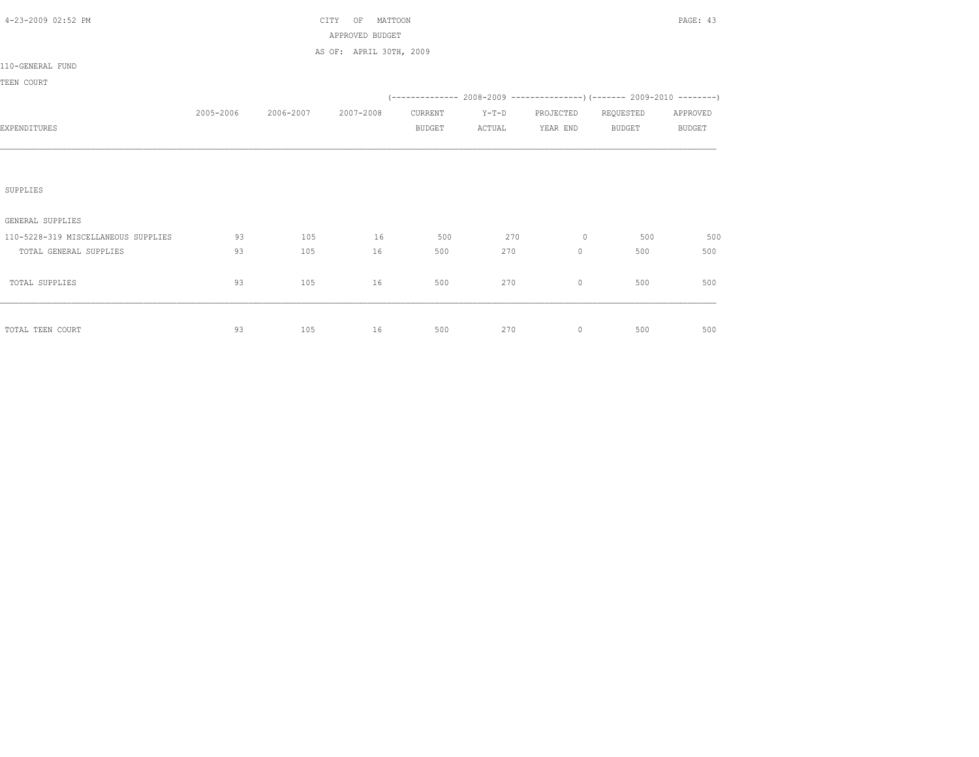| 4-23-2009 02:52 PM                  |           |                     | CITY<br>MATTOON<br>OF<br>APPROVED BUDGET |               |         |                     |                                                                             | PAGE: 43      |
|-------------------------------------|-----------|---------------------|------------------------------------------|---------------|---------|---------------------|-----------------------------------------------------------------------------|---------------|
|                                     |           |                     | AS OF: APRIL 30TH, 2009                  |               |         |                     |                                                                             |               |
| 110-GENERAL FUND                    |           |                     |                                          |               |         |                     |                                                                             |               |
| TEEN COURT                          |           |                     |                                          |               |         |                     |                                                                             |               |
|                                     |           |                     |                                          |               |         |                     | $(-$ ------------- 2008-2009 ----------------) (------- 2009-2010 --------) |               |
|                                     | 2005-2006 | 2006-2007 2007-2008 |                                          | CURRENT       | $Y-T-D$ | PROJECTED REQUESTED |                                                                             | APPROVED      |
| EXPENDITURES                        |           |                     |                                          | <b>BUDGET</b> | ACTUAL  | YEAR END            | BUDGET                                                                      | <b>BUDGET</b> |
|                                     |           |                     |                                          |               |         |                     |                                                                             |               |
|                                     |           |                     |                                          |               |         |                     |                                                                             |               |
| SUPPLIES                            |           |                     |                                          |               |         |                     |                                                                             |               |
| GENERAL SUPPLIES                    |           |                     |                                          |               |         |                     |                                                                             |               |
| 110-5228-319 MISCELLANEOUS SUPPLIES | 93        | 105                 | 16                                       | 500           | 270     | $\sim$ 0            | 500                                                                         | 500           |
| TOTAL GENERAL SUPPLIES              | 93        | 105                 | 16                                       | 500           | 270     | $\circ$             | 500                                                                         | 500           |
|                                     |           |                     |                                          |               |         |                     |                                                                             |               |
| TOTAL SUPPLIES                      | 93        | 105                 | 16                                       | 500           | 270     | $\mathbf{0}$        | 500                                                                         | 500           |
|                                     |           |                     |                                          |               |         |                     |                                                                             |               |
| TOTAL TEEN COURT                    | 93        | 105                 | 16                                       | 500           | 270     | $\circ$             | 500                                                                         | 500           |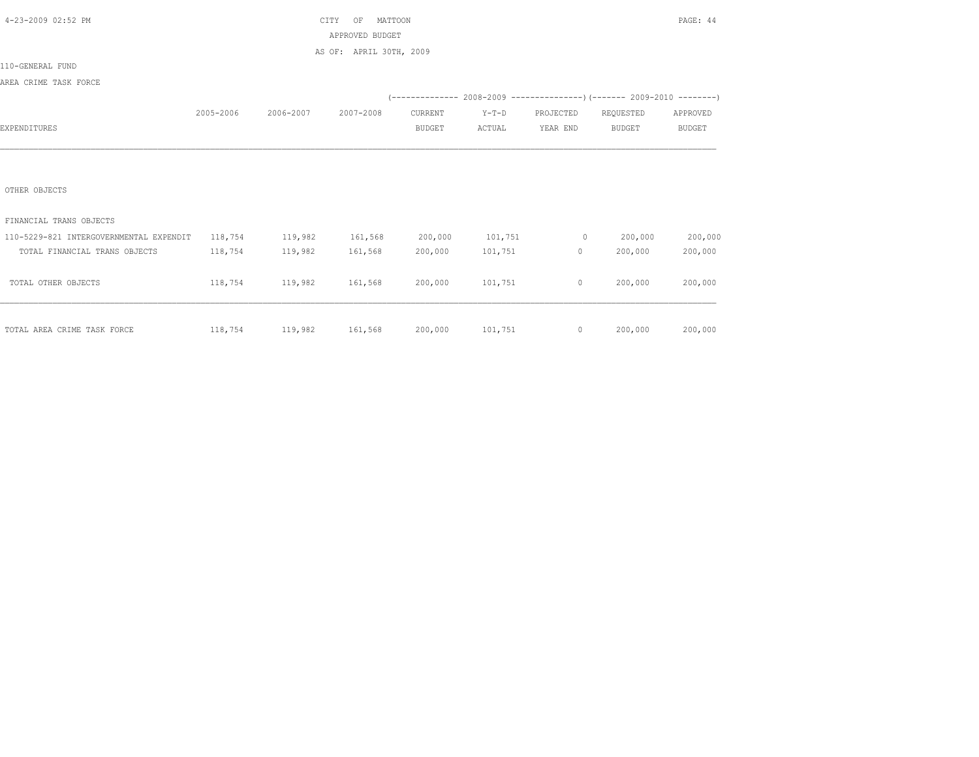| 4-23-2009 02:52 PM                      |           |                         | CITY<br>MATTOON<br>OF   |               |                 |           |                                                                              | PAGE: 44      |
|-----------------------------------------|-----------|-------------------------|-------------------------|---------------|-----------------|-----------|------------------------------------------------------------------------------|---------------|
|                                         |           |                         | APPROVED BUDGET         |               |                 |           |                                                                              |               |
|                                         |           |                         | AS OF: APRIL 30TH, 2009 |               |                 |           |                                                                              |               |
| 110-GENERAL FUND                        |           |                         |                         |               |                 |           |                                                                              |               |
| AREA CRIME TASK FORCE                   |           |                         |                         |               |                 |           |                                                                              |               |
|                                         |           |                         |                         |               |                 |           | $(-$ ------------- 2008-2009 -----------------) (------- 2009-2010 --------) |               |
|                                         | 2005-2006 | 2006-2007               | 2007-2008               | CURRENT       | $Y-T-D$         | PROJECTED | REQUESTED                                                                    | APPROVED      |
| EXPENDITURES                            |           |                         |                         | <b>BUDGET</b> | ACTUAL          | YEAR END  | <b>BUDGET</b>                                                                | <b>BUDGET</b> |
|                                         |           |                         |                         |               |                 |           |                                                                              |               |
|                                         |           |                         |                         |               |                 |           |                                                                              |               |
|                                         |           |                         |                         |               |                 |           |                                                                              |               |
| OTHER OBJECTS                           |           |                         |                         |               |                 |           |                                                                              |               |
|                                         |           |                         |                         |               |                 |           |                                                                              |               |
| FINANCIAL TRANS OBJECTS                 |           |                         |                         |               |                 |           |                                                                              |               |
| 110-5229-821 INTERGOVERNMENTAL EXPENDIT | 118,754   | 119,982                 | 161,568                 | 200,000       | 101,751         | $\sim$ 0  | 200,000                                                                      | 200,000       |
| TOTAL FINANCIAL TRANS OBJECTS           | 118,754   | 119,982                 | 161,568                 | 200,000       | 101,751         | $\circ$   | 200,000                                                                      | 200,000       |
|                                         |           |                         |                         |               |                 |           |                                                                              |               |
| TOTAL OTHER OBJECTS                     | 118,754   | 119,982                 | 161,568                 | 200,000       | 101,751         | $\circ$   | 200,000                                                                      | 200,000       |
|                                         |           |                         |                         |               |                 |           |                                                                              |               |
|                                         |           |                         |                         |               |                 |           |                                                                              |               |
| TOTAL AREA CRIME TASK FORCE             |           | 118,754 119,982 161,568 |                         |               | 200,000 101,751 | $\circ$   | 200,000                                                                      | 200,000       |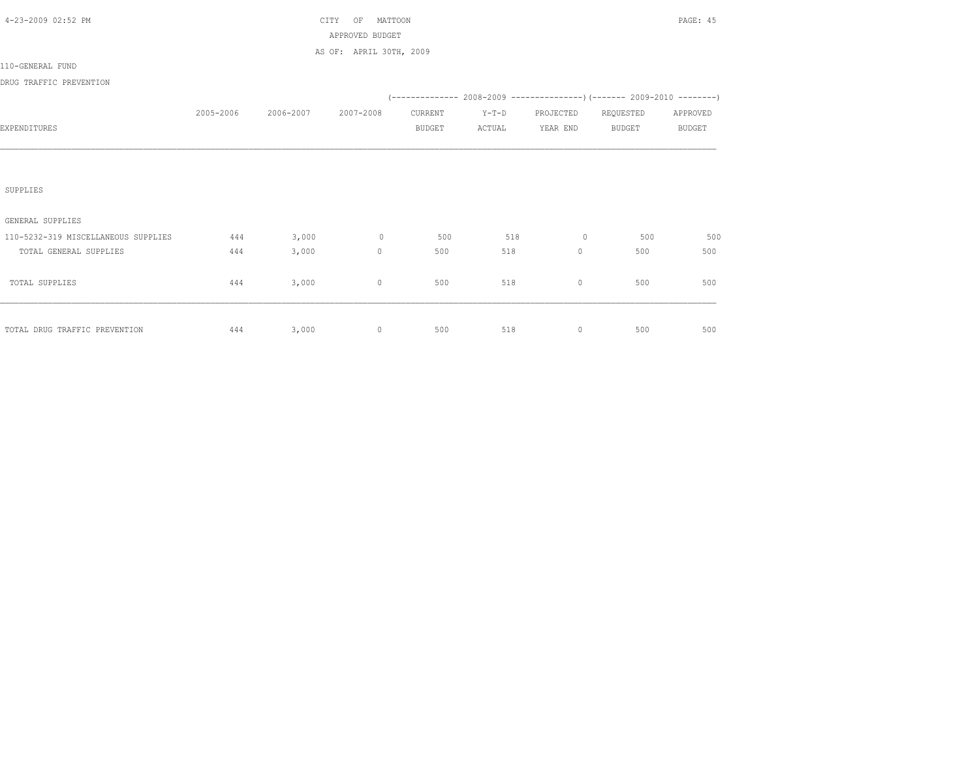| 4-23-2009 02:52 PM                  |           |                     | MATTOON<br>CITY<br>OF             |               |         |                                                                                                                                                                                                                                                                                |                                                                             | PAGE: 45      |
|-------------------------------------|-----------|---------------------|-----------------------------------|---------------|---------|--------------------------------------------------------------------------------------------------------------------------------------------------------------------------------------------------------------------------------------------------------------------------------|-----------------------------------------------------------------------------|---------------|
|                                     |           |                     | APPROVED BUDGET                   |               |         |                                                                                                                                                                                                                                                                                |                                                                             |               |
|                                     |           |                     | AS OF: APRIL 30TH, 2009           |               |         |                                                                                                                                                                                                                                                                                |                                                                             |               |
| 110-GENERAL FUND                    |           |                     |                                   |               |         |                                                                                                                                                                                                                                                                                |                                                                             |               |
| DRUG TRAFFIC PREVENTION             |           |                     |                                   |               |         |                                                                                                                                                                                                                                                                                |                                                                             |               |
|                                     |           |                     |                                   |               |         |                                                                                                                                                                                                                                                                                | $(-$ ------------- 2008-2009 ----------------) (------- 2009-2010 --------) |               |
|                                     | 2005-2006 | 2006-2007 2007-2008 |                                   | CURRENT       | $Y-T-D$ | PROJECTED REQUESTED                                                                                                                                                                                                                                                            |                                                                             | APPROVED      |
| EXPENDITURES                        |           |                     |                                   | <b>BUDGET</b> | ACTUAL  | YEAR END                                                                                                                                                                                                                                                                       | <b>BUDGET</b>                                                               | <b>BUDGET</b> |
|                                     |           |                     |                                   |               |         |                                                                                                                                                                                                                                                                                |                                                                             |               |
|                                     |           |                     |                                   |               |         |                                                                                                                                                                                                                                                                                |                                                                             |               |
|                                     |           |                     |                                   |               |         |                                                                                                                                                                                                                                                                                |                                                                             |               |
| SUPPLIES                            |           |                     |                                   |               |         |                                                                                                                                                                                                                                                                                |                                                                             |               |
|                                     |           |                     |                                   |               |         |                                                                                                                                                                                                                                                                                |                                                                             |               |
| GENERAL SUPPLIES                    |           |                     |                                   |               |         |                                                                                                                                                                                                                                                                                |                                                                             |               |
| 110-5232-319 MISCELLANEOUS SUPPLIES | 444       | 3,000               | $\sim$ 0 $\sim$ 0 $\sim$ 0 $\sim$ | 500           | 518     | $\sim$ 000 $\sim$ 000 $\sim$ 000 $\sim$ 000 $\sim$ 000 $\sim$ 000 $\sim$ 000 $\sim$ 000 $\sim$ 000 $\sim$ 000 $\sim$ 000 $\sim$ 000 $\sim$ 000 $\sim$ 000 $\sim$ 000 $\sim$ 000 $\sim$ 000 $\sim$ 000 $\sim$ 000 $\sim$ 000 $\sim$ 000 $\sim$ 000 $\sim$ 000 $\sim$ 000 $\sim$ | 500                                                                         | 500           |
| TOTAL GENERAL SUPPLIES              | 444       | 3,000               | $\mathbf{0}$                      | 500           | 518     | $\circ$                                                                                                                                                                                                                                                                        | 500                                                                         | 500           |
|                                     |           |                     |                                   |               |         |                                                                                                                                                                                                                                                                                |                                                                             |               |
| TOTAL SUPPLIES                      | 444       | 3,000               | $\mathbf 0$                       | 500           | 518     | $\circ$                                                                                                                                                                                                                                                                        | 500                                                                         | 500           |
|                                     |           |                     |                                   |               |         |                                                                                                                                                                                                                                                                                |                                                                             |               |
|                                     |           |                     |                                   |               |         |                                                                                                                                                                                                                                                                                |                                                                             |               |
| TOTAL DRUG TRAFFIC PREVENTION       | 444       | 3,000               | $\circ$                           | 500           | 518     | $\circ$                                                                                                                                                                                                                                                                        | 500                                                                         | 500           |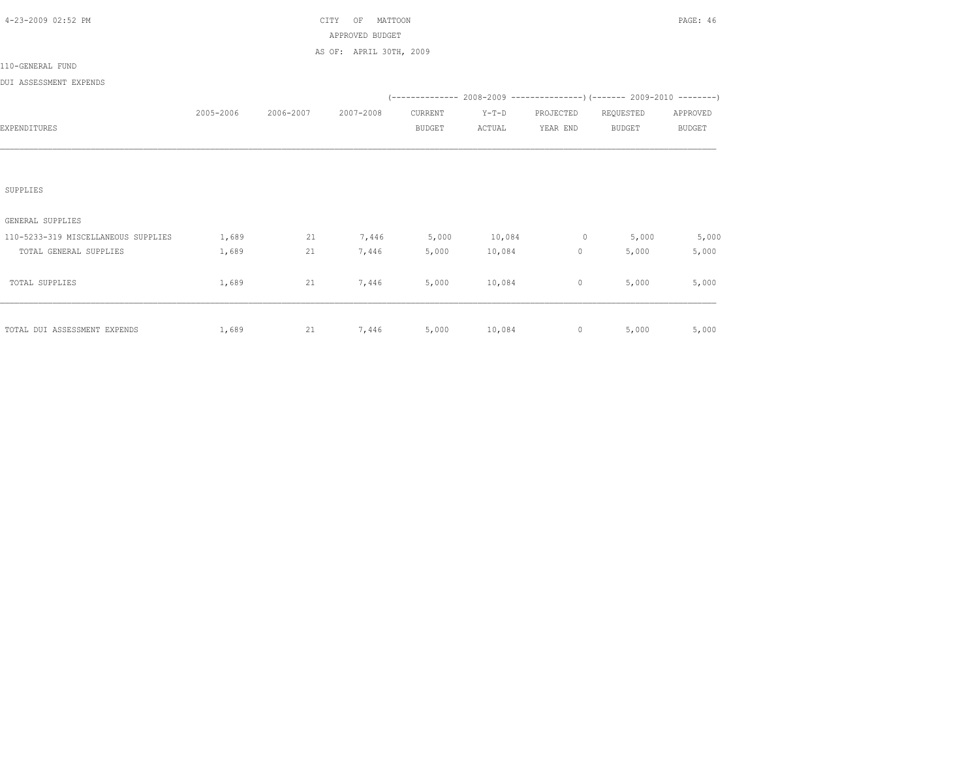| 4-23-2009 02:52 PM                  |           |           | CITY<br>MATTOON<br>OF   |               |         |                |                                                                             | PAGE: 46      |
|-------------------------------------|-----------|-----------|-------------------------|---------------|---------|----------------|-----------------------------------------------------------------------------|---------------|
|                                     |           |           | APPROVED BUDGET         |               |         |                |                                                                             |               |
|                                     |           |           | AS OF: APRIL 30TH, 2009 |               |         |                |                                                                             |               |
| 110-GENERAL FUND                    |           |           |                         |               |         |                |                                                                             |               |
| DUI ASSESSMENT EXPENDS              |           |           |                         |               |         |                |                                                                             |               |
|                                     |           |           |                         |               |         |                | $(-$ ------------- 2008-2009 ----------------) (------- 2009-2010 --------) |               |
|                                     | 2005-2006 | 2006-2007 | 2007-2008               | CURRENT       | $Y-T-D$ | PROJECTED      | REQUESTED                                                                   | APPROVED      |
| EXPENDITURES                        |           |           |                         | <b>BUDGET</b> | ACTUAL  | YEAR END       | <b>BUDGET</b>                                                               | <b>BUDGET</b> |
|                                     |           |           |                         |               |         |                |                                                                             |               |
|                                     |           |           |                         |               |         |                |                                                                             |               |
|                                     |           |           |                         |               |         |                |                                                                             |               |
| SUPPLIES                            |           |           |                         |               |         |                |                                                                             |               |
|                                     |           |           |                         |               |         |                |                                                                             |               |
| GENERAL SUPPLIES                    |           |           |                         |               |         |                |                                                                             |               |
| 110-5233-319 MISCELLANEOUS SUPPLIES | 1,689     | 21        | 7,446                   | 5,000         | 10,084  | $0 \t 5,000$   |                                                                             | 5,000         |
| TOTAL GENERAL SUPPLIES              | 1,689     | 21        | 7,446                   | 5,000         | 10,084  | $\circ$        | 5,000                                                                       | 5,000         |
|                                     |           |           |                         |               |         |                |                                                                             |               |
| TOTAL SUPPLIES                      | 1,689     | 21        | 7,446                   | 5,000         | 10,084  | $\circ$        | 5,000                                                                       | 5,000         |
|                                     |           |           |                         |               |         |                |                                                                             |               |
|                                     |           |           |                         |               |         |                |                                                                             |               |
| TOTAL DUI ASSESSMENT EXPENDS        | 1,689     | 21        | 7,446                   |               |         | 5,000 10,084 0 | 5,000                                                                       | 5,000         |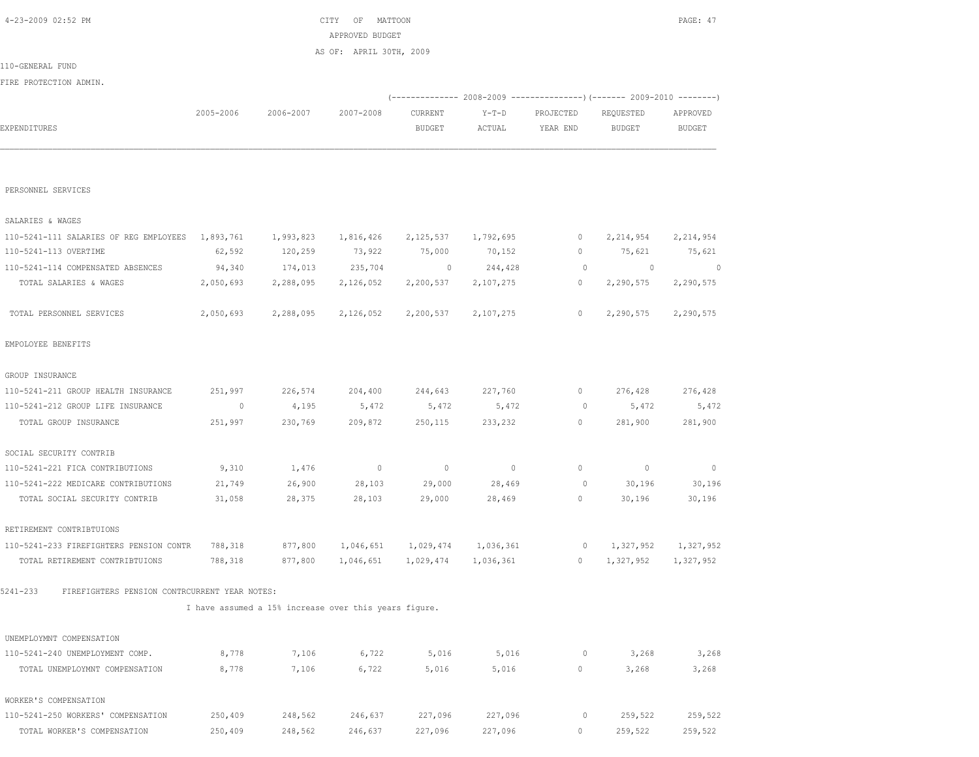| FIRE PROTECTION ADMIN.                                          |                     |                                                       |                      |                                       |                      |                         | (-------------- 2008-2009 -------------------- 2009-2010 ----------- |                                       |
|-----------------------------------------------------------------|---------------------|-------------------------------------------------------|----------------------|---------------------------------------|----------------------|-------------------------|----------------------------------------------------------------------|---------------------------------------|
| EXPENDITURES                                                    | 2005-2006           | 2006-2007                                             | 2007-2008            | CURRENT<br><b>BUDGET</b>              | $Y-T-D$<br>ACTUAL    | PROJECTED<br>YEAR END   | REOUESTED<br><b>BUDGET</b>                                           | APPROVED<br>BUDGET                    |
|                                                                 |                     |                                                       |                      |                                       |                      |                         |                                                                      |                                       |
| PERSONNEL SERVICES                                              |                     |                                                       |                      |                                       |                      |                         |                                                                      |                                       |
| SALARIES & WAGES                                                |                     |                                                       |                      |                                       |                      |                         |                                                                      |                                       |
|                                                                 |                     |                                                       |                      |                                       |                      |                         |                                                                      |                                       |
| 110-5241-111 SALARIES OF REG EMPLOYEES<br>110-5241-113 OVERTIME | 1,893,761<br>62,592 | 1,993,823<br>120,259                                  | 1,816,426<br>73,922  | 2,125,537<br>75,000                   | 1,792,695<br>70,152  | 0<br>$\circ$            | 2, 214, 954<br>75,621                                                | 2,214,954                             |
|                                                                 |                     |                                                       |                      |                                       |                      |                         |                                                                      | 75,621                                |
| 110-5241-114 COMPENSATED ABSENCES<br>TOTAL SALARIES & WAGES     | 94,340<br>2,050,693 | 174,013<br>2,288,095                                  | 235,704<br>2,126,052 | $\overline{\phantom{0}}$<br>2,200,537 | 244,428<br>2,107,275 | $\circ$<br>$\mathbf{0}$ | $\circ$<br>2,290,575                                                 | $\overline{\phantom{0}}$<br>2,290,575 |
| TOTAL PERSONNEL SERVICES                                        | 2,050,693           | 2,288,095                                             | 2,126,052            | 2,200,537                             | 2,107,275            | $\mathbf{0}$            | 2,290,575                                                            | 2,290,575                             |
| EMPOLOYEE BENEFITS                                              |                     |                                                       |                      |                                       |                      |                         |                                                                      |                                       |
| GROUP INSURANCE                                                 |                     |                                                       |                      |                                       |                      |                         |                                                                      |                                       |
| 110-5241-211 GROUP HEALTH INSURANCE                             | 251,997             | 226,574                                               | 204,400              | 244,643                               | 227,760              | 0                       | 276,428                                                              | 276,428                               |
| 110-5241-212 GROUP LIFE INSURANCE                               | $\circ$             | 4,195                                                 | 5,472                | 5,472                                 | 5,472                | $\circ$                 | 5,472                                                                | 5,472                                 |
| TOTAL GROUP INSURANCE                                           | 251,997             | 230,769                                               | 209,872              | 250,115                               | 233,232              | $\circ$                 | 281,900                                                              | 281,900                               |
| SOCIAL SECURITY CONTRIB                                         |                     |                                                       |                      |                                       |                      |                         |                                                                      |                                       |
| 110-5241-221 FICA CONTRIBUTIONS                                 | 9,310               | 1,476                                                 | $\overline{0}$       | $\mathbf{0}$                          | $\circ$              | $\Omega$                | $\circ$                                                              | $\mathbf{0}$                          |
| 110-5241-222 MEDICARE CONTRIBUTIONS                             | 21,749              | 26,900                                                | 28,103               | 29,000                                | 28,469               | $\circ$                 | 30,196                                                               | 30,196                                |
| TOTAL SOCIAL SECURITY CONTRIB                                   | 31,058              | 28,375                                                | 28,103               | 29,000                                | 28,469               | 0                       | 30,196                                                               | 30,196                                |
| RETIREMENT CONTRIBTUIONS                                        |                     |                                                       |                      |                                       |                      |                         |                                                                      |                                       |
| 110-5241-233 FIREFIGHTERS PENSION CONTR                         | 788,318             | 877,800                                               | 1,046,651            | 1,029,474                             | 1,036,361            | $\circ$                 | 1,327,952                                                            | 1,327,952                             |
| TOTAL RETIREMENT CONTRIBTUIONS                                  | 788,318             | 877,800                                               | 1,046,651            | 1,029,474                             | 1,036,361            | 0                       | 1,327,952                                                            | 1,327,952                             |
| FIREFIGHTERS PENSION CONTRCURRENT YEAR NOTES:<br>$5241 - 233$   |                     |                                                       |                      |                                       |                      |                         |                                                                      |                                       |
|                                                                 |                     | I have assumed a 15% increase over this years figure. |                      |                                       |                      |                         |                                                                      |                                       |
| UNEMPLOYMNT COMPENSATION                                        |                     |                                                       |                      |                                       |                      |                         |                                                                      |                                       |
| 110-5241-240 UNEMPLOYMENT COMP.                                 | 8,778               | 7,106                                                 | 6,722                | 5,016                                 | 5,016                | 0                       | 3,268                                                                | 3,268                                 |
| TOTAL UNEMPLOYMNT COMPENSATION                                  | 8,778               | 7,106                                                 | 6,722                | 5,016                                 | 5,016                | 0                       | 3,268                                                                | 3,268                                 |
| WORKER'S COMPENSATION                                           |                     |                                                       |                      |                                       |                      |                         |                                                                      |                                       |
| 110-5241-250 WORKERS' COMPENSATION                              | 250,409             | 248,562                                               | 246,637              | 227,096                               | 227,096              | 0                       | 259,522                                                              | 259,522                               |
| TOTAL WORKER'S COMPENSATION                                     | 250,409             | 248,562                                               | 246,637              | 227,096                               | 227,096              | 0                       | 259,522                                                              | 259,522                               |

 4-23-2009 02:52 PM CITY OF MATTOON PAGE: 47 APPROVED BUDGET AS OF: APRIL 30TH, 2009

110-GENERAL FUND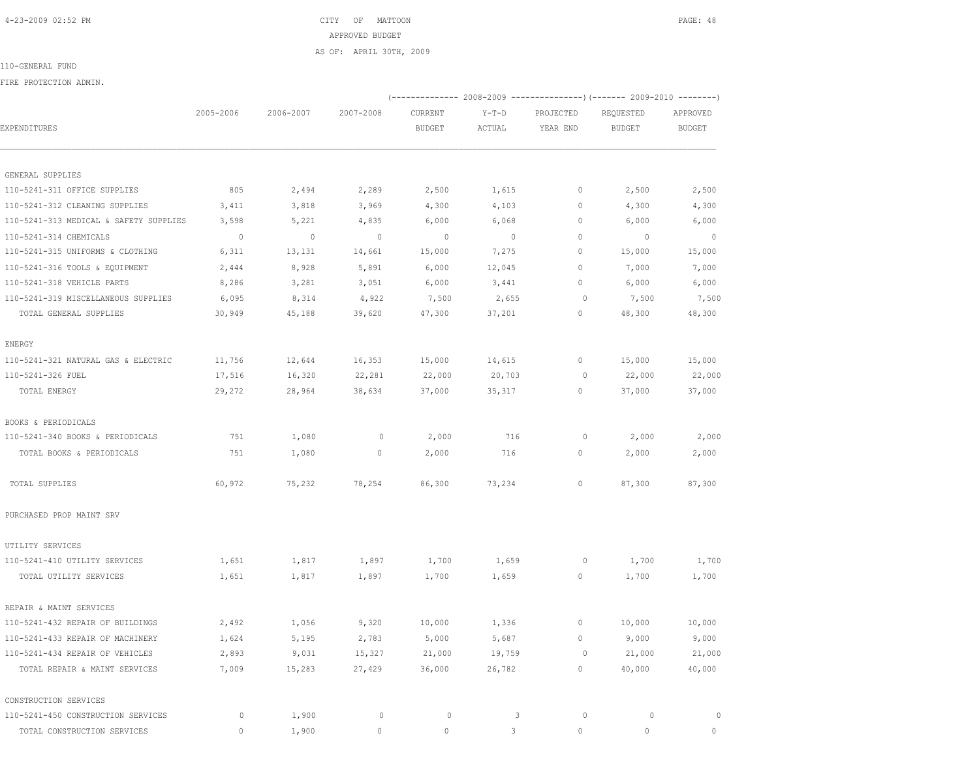| 4-23-2009 02:52 PM |  | CITY OF MATTOON | PAGE: 48 |
|--------------------|--|-----------------|----------|

APPROVED BUDGET

 2005-2006 2006-2007 2007-2008 CURRENT Y-T-D PROJECTED REQUESTED APPROVED EXPENDITURES BUDGET ACTUAL YEAR END BUDGET BUDGET

 110-5241-311 OFFICE SUPPLIES 805 2,494 2,289 2,500 1,615 0 2,500 2,500 110-5241-312 CLEANING SUPPLIES 3,411 3,818 3,969 4,300 4,103 0 4,300 4,300 110-5241-313 MEDICAL & SAFETY SUPPLIES 3,598 5,221 4,835 6,000 6,068 0 6,000 6,000 110-5241-314 CHEMICALS 0 0 0 0 0 0 0 0 110-5241-315 UNIFORMS & CLOTHING 6,311 13,131 14,661 15,000 7,275 0 15,000 15,000 110-5241-316 TOOLS & EQUIPMENT 2,444 8,928 5,891 6,000 12,045 0 7,000 7,000 110-5241-318 VEHICLE PARTS 8,286 3,281 3,051 6,000 3,441 0 6,000 6,000 110-5241-319 MISCELLANEOUS SUPPLIES 6,095 8,314 4,922 7,500 2,655 0 7,500 7,500 TOTAL GENERAL SUPPLIES 30,949 45,188 39,620 47,300 37,201 0 48,300 48,300

AS OF: APRIL 30TH, 2009

110-GENERAL FUND

GENERAL SUPPLIES

ENERGY

FIRE PROTECTION ADMIN.

(-------------- 2008-2009 ---------------)(------- 2009-2010 --------)

| BOOKS & PERIODICALS              |        |        |              |        |        |          |        |        |
|----------------------------------|--------|--------|--------------|--------|--------|----------|--------|--------|
| 110-5241-340 BOOKS & PERIODICALS | 751    | 1,080  | $\Omega$     | 2,000  | 716    | $\circ$  | 2,000  | 2,000  |
| TOTAL BOOKS & PERIODICALS        | 751    | 1,080  | $\mathbf{0}$ | 2,000  | 716    | 0        | 2,000  | 2,000  |
| TOTAL SUPPLIES                   | 60,972 | 75,232 | 78,254       | 86,300 | 73,234 | $\Omega$ | 87,300 | 87,300 |

 110-5241-321 NATURAL GAS & ELECTRIC 11,756 12,644 16,353 15,000 14,615 0 15,000 15,000 110-5241-326 FUEL 17,516 16,320 22,281 22,000 20,703 0 22,000 22,000 TOTAL ENERGY 29,272 28,964 38,634 37,000 35,317 0 37,000 37,000

PURCHASED PROP MAINT SRV

| UTILITY SERVICES                   |       |        |          |          |        |   |          |          |
|------------------------------------|-------|--------|----------|----------|--------|---|----------|----------|
| 110-5241-410 UTILITY SERVICES      | 1,651 | 1,817  | 1,897    | 1,700    | 1,659  | 0 | 1,700    | 1,700    |
| TOTAL UTILITY SERVICES             | 1,651 | 1,817  | 1,897    | 1,700    | 1,659  | 0 | 1,700    | 1,700    |
| REPAIR & MAINT SERVICES            |       |        |          |          |        |   |          |          |
| 110-5241-432 REPAIR OF BUILDINGS   | 2,492 | 1,056  | 9,320    | 10,000   | 1,336  | 0 | 10,000   | 10,000   |
| 110-5241-433 REPAIR OF MACHINERY   | 1,624 | 5,195  | 2,783    | 5,000    | 5,687  | 0 | 9,000    | 9,000    |
| 110-5241-434 REPAIR OF VEHICLES    | 2,893 | 9,031  | 15,327   | 21,000   | 19,759 | 0 | 21,000   | 21,000   |
| TOTAL REPAIR & MAINT SERVICES      | 7,009 | 15,283 | 27,429   | 36,000   | 26,782 | 0 | 40,000   | 40,000   |
| CONSTRUCTION SERVICES              |       |        |          |          |        |   |          |          |
| 110-5241-450 CONSTRUCTION SERVICES | 0     | 1,900  | 0        | 0        | 3      | 0 | 0        | $\circ$  |
| TOTAL CONSTRUCTION SERVICES        |       | 1,900  | $\Omega$ | $\Omega$ |        | 0 | $\Omega$ | $\Omega$ |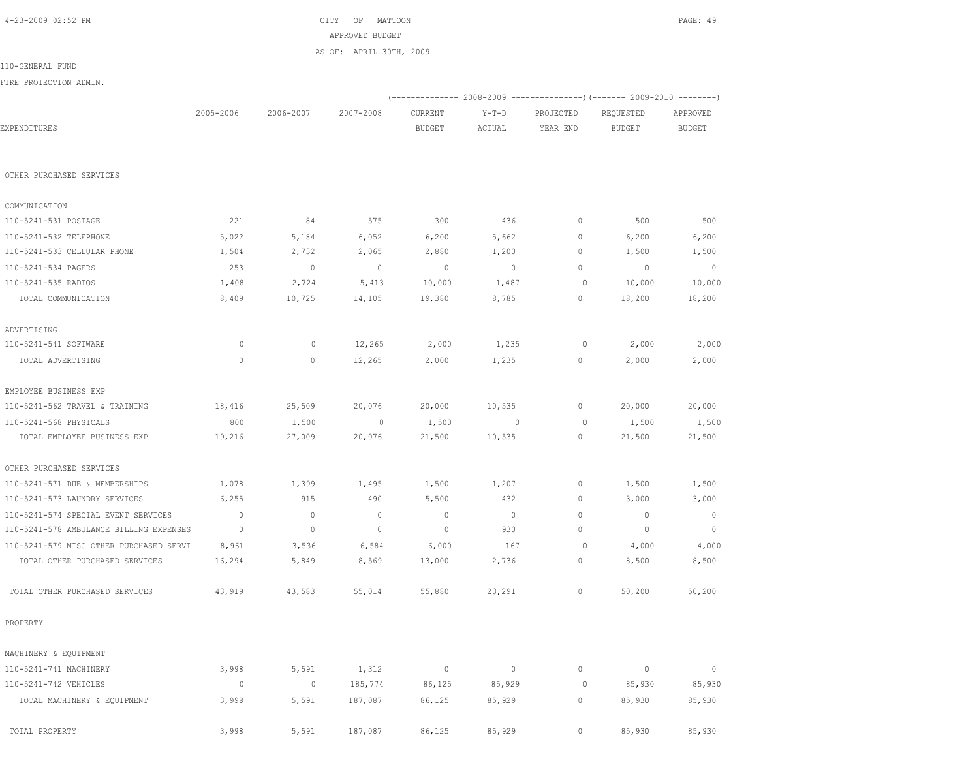| FIRE PROTECTION ADMIN.                                |              |                |                          |             |                |                    |                          |                          |
|-------------------------------------------------------|--------------|----------------|--------------------------|-------------|----------------|--------------------|--------------------------|--------------------------|
|                                                       | 2005-2006    | 2006-2007      | 2007-2008                | CURRENT     | $Y-T-D$        | PROJECTED          | REQUESTED                | APPROVED                 |
| EXPENDITURES                                          |              |                |                          | BUDGET      | ACTUAL         | YEAR END           | <b>BUDGET</b>            | BUDGET                   |
| OTHER PURCHASED SERVICES                              |              |                |                          |             |                |                    |                          |                          |
|                                                       |              |                |                          |             |                |                    |                          |                          |
| COMMUNICATION                                         |              |                |                          |             |                |                    |                          |                          |
| 110-5241-531 POSTAGE                                  | 221          | 84             | 575                      | 300         | 436            | $\circ$            | 500                      | 500                      |
| 110-5241-532 TELEPHONE<br>110-5241-533 CELLULAR PHONE | 5,022        | 5,184          | 6,052                    | 6,200       | 5,662          | 0                  | 6,200                    | 6,200                    |
|                                                       | 1,504        | 2,732          | 2,065                    | 2,880       | 1,200          | 0                  | 1,500                    | 1,500                    |
| 110-5241-534 PAGERS                                   | 253          | $\overline{0}$ | $\overline{\phantom{0}}$ | $\circ$     | $\overline{0}$ | $\circ$<br>$\circ$ | $\overline{0}$           | $\overline{\phantom{0}}$ |
| 110-5241-535 RADIOS                                   | 1,408        | 2,724          | 5,413                    | 10,000      | 1,487          |                    | 10,000                   | 10,000                   |
| TOTAL COMMUNICATION                                   | 8,409        | 10,725         | 14,105                   | 19,380      | 8,785          | 0                  | 18,200                   | 18,200                   |
| ADVERTISING                                           |              |                |                          |             |                |                    |                          |                          |
| 110-5241-541 SOFTWARE                                 | $\circ$      | $\mathbf{0}$   | 12,265                   | 2,000       | 1,235          | 0                  | 2,000                    | 2,000                    |
| TOTAL ADVERTISING                                     | $\mathbf{0}$ | $\circ$        | 12,265                   | 2,000       | 1,235          | 0                  | 2,000                    | 2,000                    |
| EMPLOYEE BUSINESS EXP                                 |              |                |                          |             |                |                    |                          |                          |
| 110-5241-562 TRAVEL & TRAINING                        | 18,416       | 25,509         | 20,076                   | 20,000      | 10,535         | $\circ$            | 20,000                   | 20,000                   |
| 110-5241-568 PHYSICALS                                | 800          | 1,500          | $\overline{0}$           | 1,500       | $\sim$ 0       | $\circ$            | 1,500                    | 1,500                    |
| TOTAL EMPLOYEE BUSINESS EXP                           | 19,216       | 27,009         | 20,076                   | 21,500      | 10,535         | 0                  | 21,500                   | 21,500                   |
| OTHER PURCHASED SERVICES                              |              |                |                          |             |                |                    |                          |                          |
| 110-5241-571 DUE & MEMBERSHIPS                        | 1,078        | 1,399          | 1,495                    | 1,500       | 1,207          | $\circ$            | 1,500                    | 1,500                    |
| 110-5241-573 LAUNDRY SERVICES                         | 6,255        | 915            | 490                      | 5,500       | 432            | 0                  | 3,000                    | 3,000                    |
| 110-5241-574 SPECIAL EVENT SERVICES                   | $\sim$ 0     | $\circ$        | $\overline{0}$           | $\circ$     | $\sim$ 0       | $\circ$            | $\overline{0}$           | $\circ$                  |
| 110-5241-578 AMBULANCE BILLING EXPENSES               | $\sim$ 0     | $\circ$        | $\overline{0}$           | $\circ$     | 930            | 0                  | $\overline{\phantom{0}}$ | $\overline{0}$           |
| 110-5241-579 MISC OTHER PURCHASED SERVI               | 8,961        | 3,536          | 6,584                    | 6,000       | 167            | $\circ$            | 4,000                    | 4,000                    |
| TOTAL OTHER PURCHASED SERVICES                        | 16,294       | 5,849          | 8,569                    | 13,000      | 2,736          | 0                  | 8,500                    | 8,500                    |
| TOTAL OTHER PURCHASED SERVICES                        | 43,919       | 43,583         | 55,014                   | 55,880      | 23,291         | 0                  | 50,200                   | 50,200                   |
| PROPERTY                                              |              |                |                          |             |                |                    |                          |                          |
| MACHINERY & EQUIPMENT                                 |              |                |                          |             |                |                    |                          |                          |
| 110-5241-741 MACHINERY                                | 3,998        | 5,591          | 1,312                    | $\mathbb O$ | $\circ$        | $\mathbb O$        | $\mathbb O$              | $\mathbb O$              |
| 110-5241-742 VEHICLES                                 | $\circ$      | $\mathbb O$    | 185,774                  | 86,125      | 85,929         | 0                  | 85,930                   | 85,930                   |
| TOTAL MACHINERY & EQUIPMENT                           | 3,998        | 5,591          | 187,087                  | 86,125      | 85,929         | $\circ$            | 85,930                   | 85,930                   |
| TOTAL PROPERTY                                        | 3,998        | 5,591          | 187,087                  | 86,125      | 85,929         | $\circ$            | 85,930                   | 85,930                   |

110-GENERAL FUND

 4-23-2009 02:52 PM CITY OF MATTOON PAGE: 49 APPROVED BUDGET

AS OF: APRIL 30TH, 2009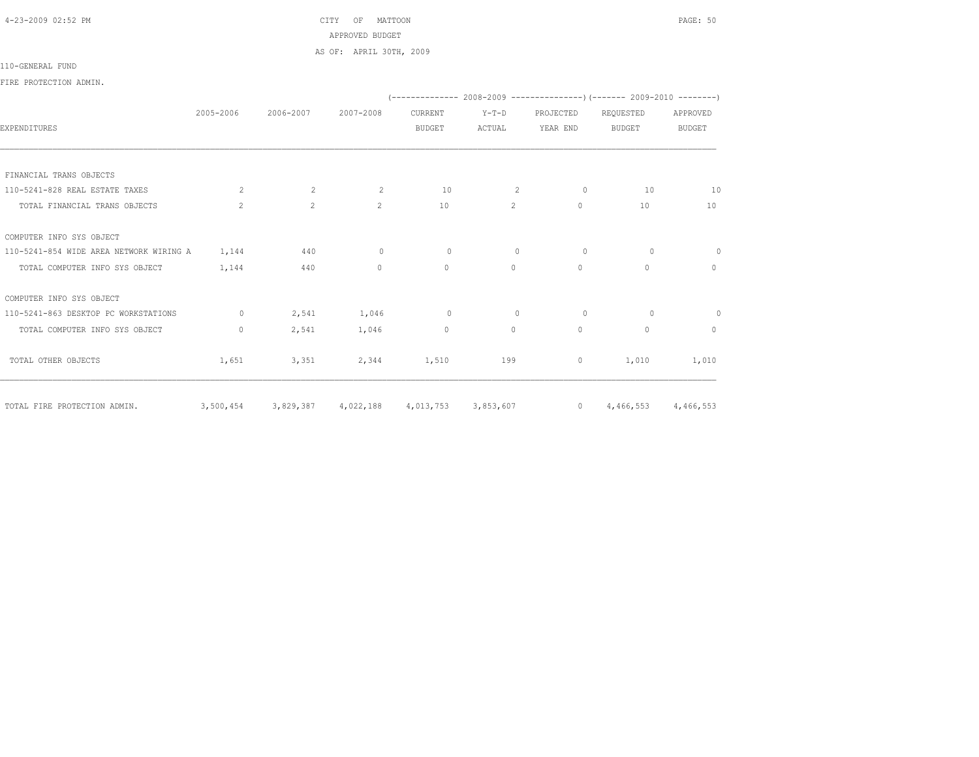4-23-2009 02:52 PM CITY OF MATTOON PAGE: 50 APPROVED BUDGET AS OF: APRIL 30TH, 2009

## 110-GENERAL FUND

FIRE PROTECTION ADMIN.

|                                         |              |                |                     |                     |                |           | $(-----1008-2008-2009)$ $[-----1008-2010]$ |                |
|-----------------------------------------|--------------|----------------|---------------------|---------------------|----------------|-----------|--------------------------------------------|----------------|
|                                         | 2005-2006    | 2006-2007      | 2007-2008           | CURRENT             | $Y-T-D$        | PROJECTED | REQUESTED                                  | APPROVED       |
| <b>EXPENDITURES</b>                     |              |                |                     | <b>BUDGET</b>       | ACTUAL         | YEAR END  | <b>BUDGET</b>                              | <b>BUDGET</b>  |
|                                         |              |                |                     |                     |                |           |                                            |                |
| FINANCIAL TRANS OBJECTS                 |              |                |                     |                     |                |           |                                            |                |
| 110-5241-828 REAL ESTATE TAXES          | 2            | 2              | 2                   | 10                  | 2              | $\circ$   | 10                                         | 10             |
| TOTAL FINANCIAL TRANS OBJECTS           | 2            | $\overline{2}$ | $2^{\circ}$         | 10                  | $\overline{2}$ | $\circ$   | 10                                         | 10             |
| COMPUTER INFO SYS OBJECT                |              |                |                     |                     |                |           |                                            |                |
| 110-5241-854 WIDE AREA NETWORK WIRING A | 1,144        | 440            | $\circ$             | 0                   | $\Omega$       | $\circ$   | $\circ$                                    | $\circ$        |
| TOTAL COMPUTER INFO SYS OBJECT          | 1,144        | 440            | $\Omega$            | $\Omega$            | $\Omega$       | $\Omega$  | $\Omega$                                   | $\Omega$       |
| COMPUTER INFO SYS OBJECT                |              |                |                     |                     |                |           |                                            |                |
| 110-5241-863 DESKTOP PC WORKSTATIONS    | $\circ$      | 2,541          | 1,046               | $\circ$             | $\circ$        | $\circ$   | $\circ$                                    | $\overline{0}$ |
| TOTAL COMPUTER INFO SYS OBJECT          | $\mathbf{0}$ | 2,541          | 1,046               | $\circ$             | $\circ$        | $\circ$   | $\mathbf{0}$                               | $\mathbf{0}$   |
| TOTAL OTHER OBJECTS                     | 1,651        | 3,351          | 2,344               | 1,510               | 199            | $\circ$   | 1,010                                      | 1,010          |
| TOTAL FIRE PROTECTION ADMIN.            | 3,500,454    |                | 3,829,387 4,022,188 | 4,013,753 3,853,607 |                |           | 0 $4,466,553$                              | 4,466,553      |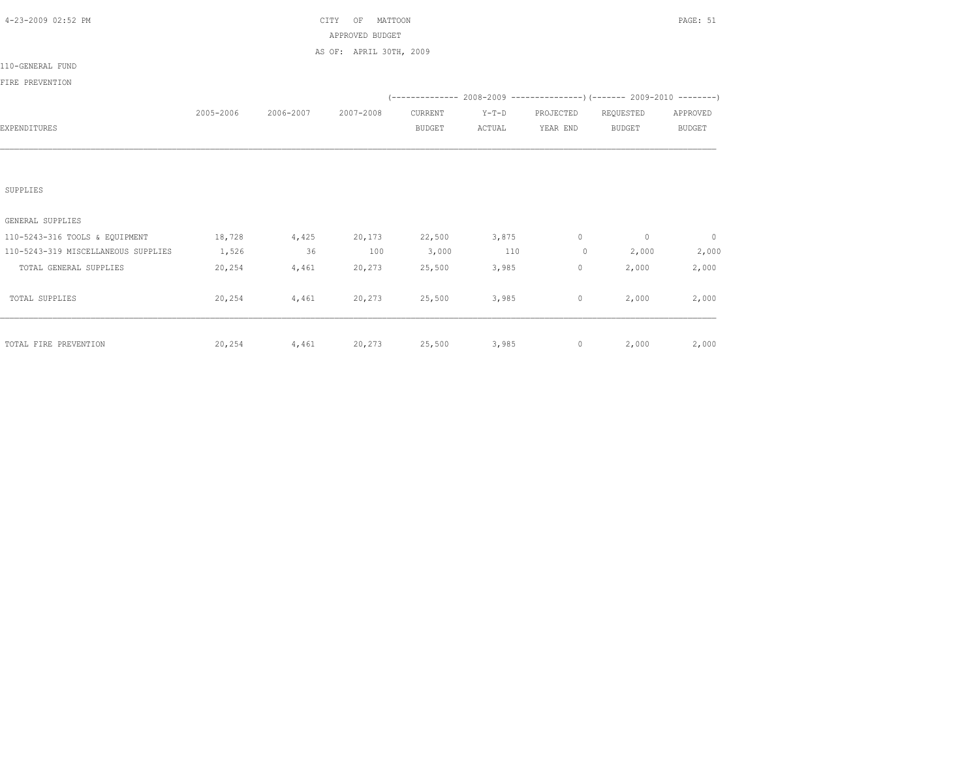| 4-23-2009 02:52 PM                  |           | PAGE: 51  |                         |               |         |                |                                                                           |                          |
|-------------------------------------|-----------|-----------|-------------------------|---------------|---------|----------------|---------------------------------------------------------------------------|--------------------------|
|                                     |           |           | APPROVED BUDGET         |               |         |                |                                                                           |                          |
|                                     |           |           | AS OF: APRIL 30TH, 2009 |               |         |                |                                                                           |                          |
| 110-GENERAL FUND                    |           |           |                         |               |         |                |                                                                           |                          |
| FIRE PREVENTION                     |           |           |                         |               |         |                |                                                                           |                          |
|                                     |           |           |                         |               |         |                | (-------------- 2008-2009 -----------------) (------- 2009-2010 --------) |                          |
|                                     | 2005-2006 | 2006-2007 | 2007-2008               | CURRENT       | $Y-T-D$ | PROJECTED      | REQUESTED                                                                 | APPROVED                 |
| EXPENDITURES                        |           |           |                         | <b>BUDGET</b> | ACTUAL  | YEAR END       | <b>BUDGET</b>                                                             | <b>BUDGET</b>            |
|                                     |           |           |                         |               |         |                |                                                                           |                          |
|                                     |           |           |                         |               |         |                |                                                                           |                          |
|                                     |           |           |                         |               |         |                |                                                                           |                          |
| SUPPLIES                            |           |           |                         |               |         |                |                                                                           |                          |
|                                     |           |           |                         |               |         |                |                                                                           |                          |
| GENERAL SUPPLIES                    |           |           |                         |               |         |                |                                                                           |                          |
| 110-5243-316 TOOLS & EQUIPMENT      | 18,728    | 4,425     | 20,173                  | 22,500        | 3,875   | $\circ$        | $\overline{0}$                                                            | $\overline{\phantom{0}}$ |
| 110-5243-319 MISCELLANEOUS SUPPLIES | 1,526     | 36        | 100                     | 3,000         | 110     | $\overline{0}$ | 2,000                                                                     | 2,000                    |
| TOTAL GENERAL SUPPLIES              | 20,254    | 4,461     | 20,273                  | 25,500        | 3,985   | $\circ$        | 2,000                                                                     | 2,000                    |
|                                     |           |           |                         |               |         |                |                                                                           |                          |
| TOTAL SUPPLIES                      | 20,254    | 4,461     | 20,273                  | 25,500        | 3,985   | $\circ$        | 2,000                                                                     | 2,000                    |
|                                     |           |           |                         |               |         |                |                                                                           |                          |
|                                     |           |           |                         |               |         |                |                                                                           |                          |
| TOTAL FIRE PREVENTION               | 20,254    | 4,461     | 20,273                  | 25,500        | 3,985   | $\circ$        | 2,000                                                                     | 2,000                    |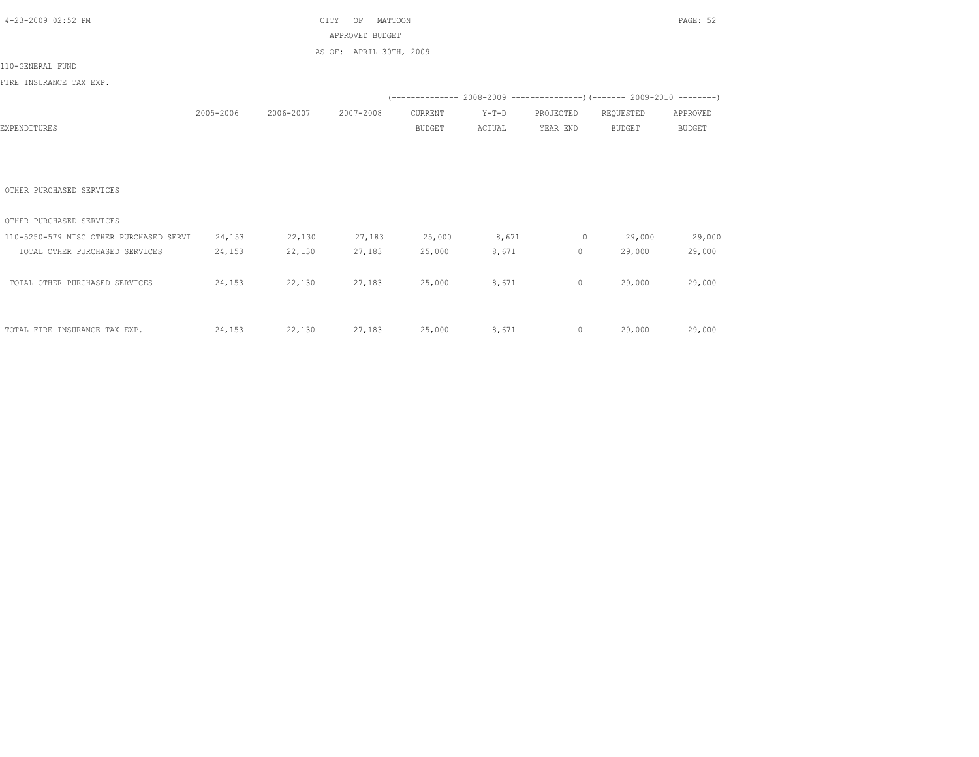| 4-23-2009 02:52 PM<br>CITY<br>MATTOON<br>OF |           |           |                         |               |         |                |                                                                | PAGE: 52      |
|---------------------------------------------|-----------|-----------|-------------------------|---------------|---------|----------------|----------------------------------------------------------------|---------------|
|                                             |           |           | APPROVED BUDGET         |               |         |                |                                                                |               |
|                                             |           |           | AS OF: APRIL 30TH, 2009 |               |         |                |                                                                |               |
| 110-GENERAL FUND                            |           |           |                         |               |         |                |                                                                |               |
| FIRE INSURANCE TAX EXP.                     |           |           |                         |               |         |                |                                                                |               |
|                                             |           |           |                         |               |         |                | $(---------- 2008-2009 ----------)$ $(---- 2009-2010 -------)$ |               |
|                                             | 2005-2006 | 2006-2007 | 2007-2008               | CURRENT       | $Y-T-D$ | PROJECTED      | REQUESTED                                                      | APPROVED      |
| EXPENDITURES                                |           |           |                         | <b>BUDGET</b> | ACTUAL  | YEAR END       | <b>BUDGET</b>                                                  | <b>BUDGET</b> |
|                                             |           |           |                         |               |         |                |                                                                |               |
|                                             |           |           |                         |               |         |                |                                                                |               |
|                                             |           |           |                         |               |         |                |                                                                |               |
| OTHER PURCHASED SERVICES                    |           |           |                         |               |         |                |                                                                |               |
|                                             |           |           |                         |               |         |                |                                                                |               |
| OTHER PURCHASED SERVICES                    |           |           |                         |               |         |                |                                                                |               |
| 110-5250-579 MISC OTHER PURCHASED SERVI     | 24,153    | 22,130    | 27,183                  | 25,000        | 8,671   | $\circ$        | 29,000                                                         | 29,000        |
| TOTAL OTHER PURCHASED SERVICES              | 24,153    | 22,130    | 27,183                  | 25,000        | 8,671   | $\circ$        | 29,000                                                         | 29,000        |
|                                             |           |           |                         |               |         |                |                                                                |               |
| TOTAL OTHER PURCHASED SERVICES              | 24,153    | 22,130    | 27,183                  | 25,000        | 8,671   | $\circ$        | 29,000                                                         | 29,000        |
|                                             |           |           |                         |               |         |                |                                                                |               |
|                                             |           |           |                         |               |         |                |                                                                |               |
| TOTAL FIRE INSURANCE TAX EXP.               | 24,153    | 22,130    | 27,183 25,000           |               | 8,671   | $\overline{0}$ | 29,000                                                         | 29,000        |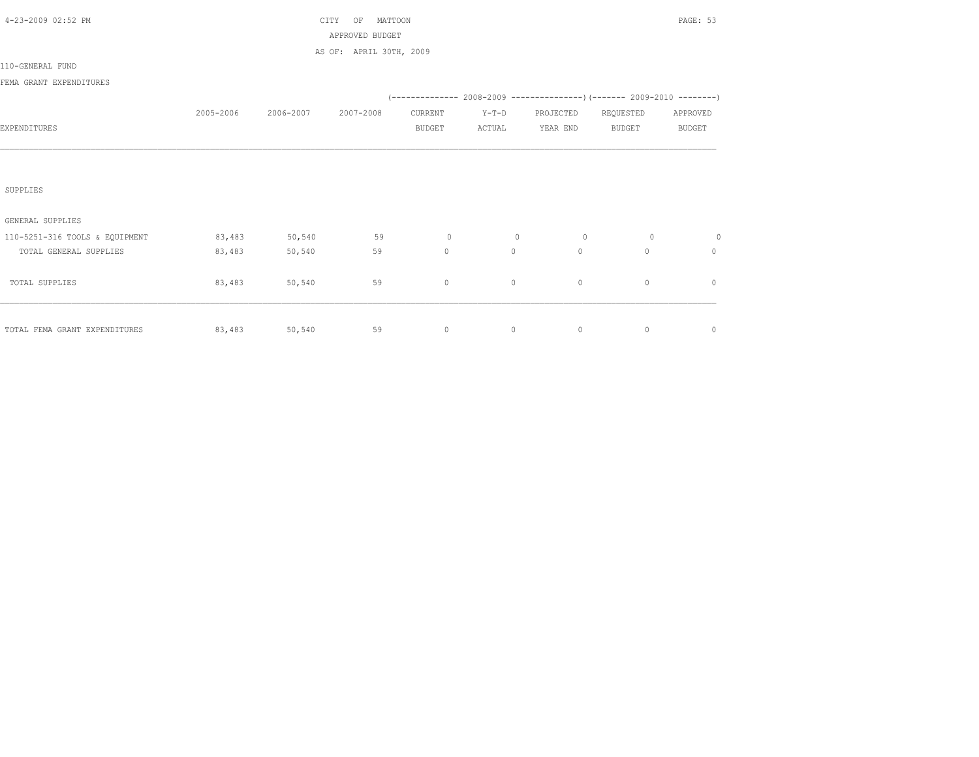| 4-23-2009 02:52 PM             |           |           | MATTOON<br>CITY<br>ΟF   |               |         |                |                                                                            | PAGE: 53      |
|--------------------------------|-----------|-----------|-------------------------|---------------|---------|----------------|----------------------------------------------------------------------------|---------------|
|                                |           |           | APPROVED BUDGET         |               |         |                |                                                                            |               |
|                                |           |           | AS OF: APRIL 30TH, 2009 |               |         |                |                                                                            |               |
| 110-GENERAL FUND               |           |           |                         |               |         |                |                                                                            |               |
| FEMA GRANT EXPENDITURES        |           |           |                         |               |         |                |                                                                            |               |
|                                |           |           |                         |               |         |                | (-------------- 2008-2009 -----------------) (------- 2009-2010 ---------) |               |
|                                | 2005-2006 | 2006-2007 | 2007-2008               | CURRENT       | $Y-T-D$ | PROJECTED      | REQUESTED                                                                  | APPROVED      |
| EXPENDITURES                   |           |           |                         | <b>BUDGET</b> | ACTUAL  | YEAR END       | <b>BUDGET</b>                                                              | <b>BUDGET</b> |
|                                |           |           |                         |               |         |                |                                                                            |               |
|                                |           |           |                         |               |         |                |                                                                            |               |
|                                |           |           |                         |               |         |                |                                                                            |               |
| SUPPLIES                       |           |           |                         |               |         |                |                                                                            |               |
|                                |           |           |                         |               |         |                |                                                                            |               |
| GENERAL SUPPLIES               |           |           |                         |               |         |                |                                                                            |               |
| 110-5251-316 TOOLS & EQUIPMENT | 83,483    | 50,540    | 59                      | $\circ$       | $\circ$ | $\overline{0}$ | $\circ$                                                                    | $\circ$       |
| TOTAL GENERAL SUPPLIES         | 83,483    | 50,540    | 59                      | $\circ$       | $\circ$ | $\circ$        | $\Omega$                                                                   | $\circ$       |
|                                |           |           |                         |               |         |                |                                                                            |               |
| TOTAL SUPPLIES                 | 83,483    | 50,540    | 59                      | $\circ$       | 0       | $\circ$        | $\mathbf{0}$                                                               | $\mathbb O$   |
|                                |           |           |                         |               |         |                |                                                                            |               |
|                                |           |           |                         |               |         |                |                                                                            |               |
| TOTAL FEMA GRANT EXPENDITURES  | 83,483    | 50,540    | 59                      | $\circ$       | 0       | $\circ$        | $\circ$                                                                    | $\mathbb O$   |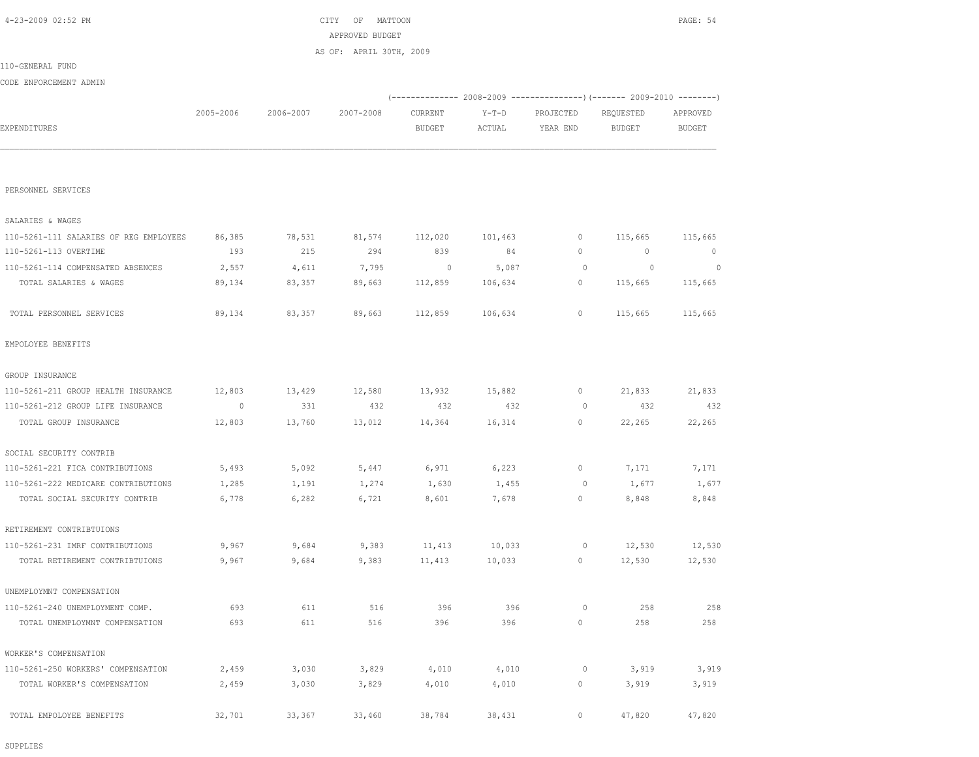SUPPLIES

| TOTAL PERSONNEL SERVICES            | 89,134  | 83,357 | 89,663 | 112,859 | 100,634 | <b>U</b> | 112,002 | 112,002 |
|-------------------------------------|---------|--------|--------|---------|---------|----------|---------|---------|
| EMPOLOYEE BENEFITS                  |         |        |        |         |         |          |         |         |
| GROUP INSURANCE                     |         |        |        |         |         |          |         |         |
| 110-5261-211 GROUP HEALTH INSURANCE | 12,803  | 13,429 | 12,580 | 13,932  | 15,882  | $\circ$  | 21,833  | 21,833  |
| 110-5261-212 GROUP LIFE INSURANCE   | $\circ$ | 331    | 432    | 432     | 432     | $\circ$  | 432     | 432     |
| TOTAL GROUP INSURANCE               | 12,803  | 13,760 | 13,012 | 14,364  | 16,314  | $\circ$  | 22,265  | 22,265  |
| SOCIAL SECURITY CONTRIB             |         |        |        |         |         |          |         |         |
| 110-5261-221 FICA CONTRIBUTIONS     | 5,493   | 5,092  | 5,447  | 6,971   | 6,223   | 0        | 7,171   | 7,171   |
| 110-5261-222 MEDICARE CONTRIBUTIONS | 1,285   | 1,191  | 1,274  | 1,630   | 1,455   | $\circ$  | 1,677   | 1,677   |
| TOTAL SOCIAL SECURITY CONTRIB       | 6,778   | 6,282  | 6,721  | 8,601   | 7,678   | 0        | 8,848   | 8,848   |
| RETIREMENT CONTRIBTUIONS            |         |        |        |         |         |          |         |         |
| 110-5261-231 IMRF CONTRIBUTIONS     | 9,967   | 9,684  | 9,383  | 11,413  | 10,033  | $\circ$  | 12,530  | 12,530  |
| TOTAL RETIREMENT CONTRIBTUIONS      | 9,967   | 9,684  | 9,383  | 11,413  | 10,033  | $\circ$  | 12,530  | 12,530  |
| UNEMPLOYMNT COMPENSATION            |         |        |        |         |         |          |         |         |
| 110-5261-240 UNEMPLOYMENT COMP.     | 693     | 611    | 516    | 396     | 396     | $\circ$  | 258     | 258     |
| TOTAL UNEMPLOYMNT COMPENSATION      | 693     | 611    | 516    | 396     | 396     | 0        | 258     | 258     |
| WORKER'S COMPENSATION               |         |        |        |         |         |          |         |         |
| 110-5261-250 WORKERS' COMPENSATION  | 2,459   | 3,030  | 3,829  | 4,010   | 4,010   | $\circ$  | 3,919   | 3,919   |
| TOTAL WORKER'S COMPENSATION         | 2,459   | 3,030  | 3,829  | 4,010   | 4,010   | 0        | 3,919   | 3,919   |
| TOTAL EMPOLOYEE BENEFITS            | 32,701  | 33,367 | 33,460 | 38,784  | 38,431  | 0        | 47,820  | 47,820  |
|                                     |         |        |        |         |         |          |         |         |

| SALARIES & WAGES                       |        |        |        |         |         |   |         |         |
|----------------------------------------|--------|--------|--------|---------|---------|---|---------|---------|
| 110-5261-111 SALARIES OF REG EMPLOYEES | 86,385 | 78,531 | 81,574 | 112,020 | 101,463 |   | 115,665 | 115,665 |
| 110-5261-113 OVERTIME                  | 193    | 215    | 294    | 839     | 84      | 0 | 0       | $^{0}$  |
| 110-5261-114 COMPENSATED ABSENCES      | 2,557  | 4,611  | 7,795  | $\circ$ | 5,087   |   | 0       |         |
| TOTAL SALARIES & WAGES                 | 89,134 | 83,357 | 89,663 | 112,859 | 106,634 |   | 115,665 | 115,665 |
|                                        |        |        |        |         |         |   |         |         |
| TOTAL PERSONNEL SERVICES               | 89,134 | 83,357 | 89,663 | 112,859 | 106,634 |   | 115,665 | 115,665 |

PERSONNEL SERVICES

|                        |           |           | AS OF: APRIL 30TH, 2009 |               |        |                                                             |           |               |
|------------------------|-----------|-----------|-------------------------|---------------|--------|-------------------------------------------------------------|-----------|---------------|
| 110-GENERAL FUND       |           |           |                         |               |        |                                                             |           |               |
| CODE ENFORCEMENT ADMIN |           |           |                         |               |        |                                                             |           |               |
|                        |           |           |                         |               |        | $(----------2008-2009------------)$ $(----2009-2010------)$ |           |               |
|                        | 2005-2006 | 2006-2007 | 2007-2008               | CURRENT       | Y-T-D  | PROJECTED                                                   | REQUESTED | APPROVED      |
| EXPENDITURES           |           |           |                         | <b>BUDGET</b> | ACTUAL | YEAR END                                                    | BUDGET    | <b>BUDGET</b> |
|                        |           |           |                         |               |        |                                                             |           |               |
|                        |           |           |                         |               |        |                                                             |           |               |

 4-23-2009 02:52 PM CITY OF MATTOON PAGE: 54 APPROVED BUDGET AS OF: APRIL 30TH, 2009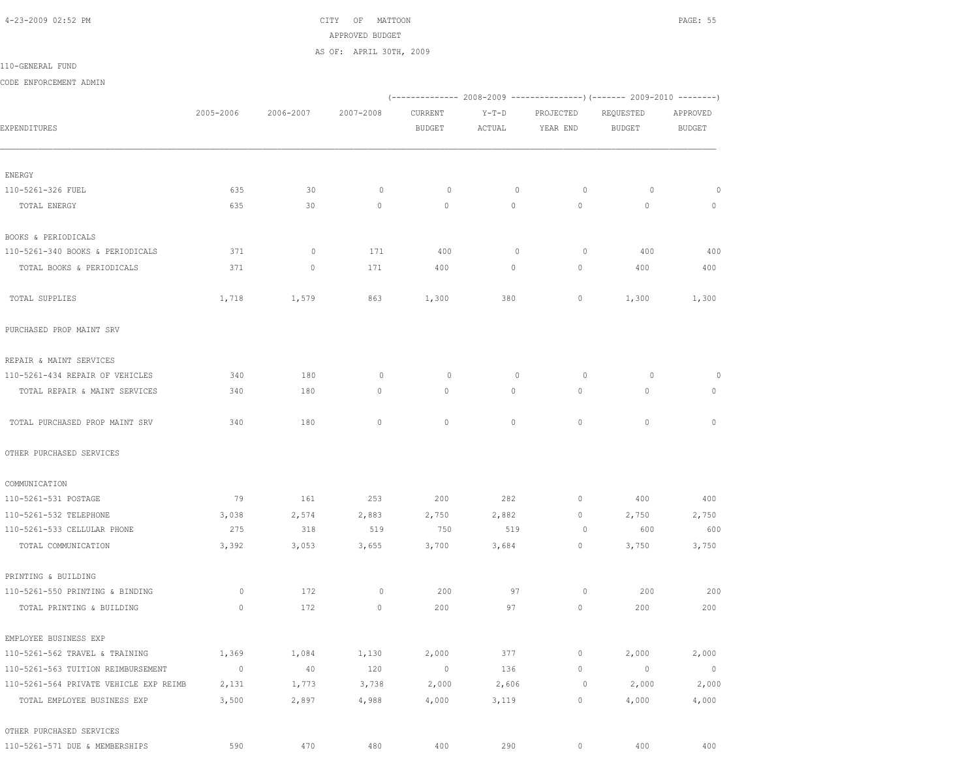4-23-2009 02:52 PM CITY OF MATTOON PAGE: 55 APPROVED BUDGET AS OF: APRIL 30TH, 2009

110-GENERAL FUND

CODE ENFORCEMENT ADMIN

|                                        |             |           |              |               |              |             | (-------------- 2008-2009 ----------------) (------- 2009-2010 --------) |                |  |
|----------------------------------------|-------------|-----------|--------------|---------------|--------------|-------------|--------------------------------------------------------------------------|----------------|--|
|                                        | 2005-2006   | 2006-2007 | 2007-2008    | CURRENT       | $Y-T-D$      | PROJECTED   | REQUESTED                                                                | APPROVED       |  |
| EXPENDITURES                           |             |           |              | <b>BUDGET</b> | ACTUAL       | YEAR END    | <b>BUDGET</b>                                                            | BUDGET         |  |
|                                        |             |           |              |               |              |             |                                                                          |                |  |
| ENERGY                                 |             |           |              |               |              |             |                                                                          |                |  |
| 110-5261-326 FUEL                      | 635         | 30        | $\circ$      | $\circ$       | $\mathbf 0$  | $\circ$     | 0                                                                        | $\circ$        |  |
| TOTAL ENERGY                           | 635         | 30        | $\mathbf{0}$ | $\mathbf{0}$  | 0            | $\circ$     | $\mathbf{0}$                                                             | $\circ$        |  |
| BOOKS & PERIODICALS                    |             |           |              |               |              |             |                                                                          |                |  |
| 110-5261-340 BOOKS & PERIODICALS       | 371         | $\circ$   | 171          | 400           | 0            | $\circ$     | 400                                                                      | 400            |  |
| TOTAL BOOKS & PERIODICALS              | 371         | $\circ$   | 171          | 400           | 0            | $\circ$     | 400                                                                      | 400            |  |
| TOTAL SUPPLIES                         | 1,718       | 1,579     | 863          | 1,300         | 380          | 0           | 1,300                                                                    | 1,300          |  |
| PURCHASED PROP MAINT SRV               |             |           |              |               |              |             |                                                                          |                |  |
| REPAIR & MAINT SERVICES                |             |           |              |               |              |             |                                                                          |                |  |
| 110-5261-434 REPAIR OF VEHICLES        | 340         | 180       | 0            | 0             | $\mathbf{0}$ | $\circ$     | $\circ$                                                                  | 0              |  |
| TOTAL REPAIR & MAINT SERVICES          | 340         | 180       | $\circ$      | $\circ$       | 0            | $\circ$     | $\mathbf{0}$                                                             | 0              |  |
| TOTAL PURCHASED PROP MAINT SRV         | 340         | 180       | $\mathbf{0}$ | $\mathbf{0}$  | $\circ$      | $\circ$     | $\mathbf{0}$                                                             | $\mathbf{0}$   |  |
| OTHER PURCHASED SERVICES               |             |           |              |               |              |             |                                                                          |                |  |
| COMMUNICATION                          |             |           |              |               |              |             |                                                                          |                |  |
| 110-5261-531 POSTAGE                   | 79          | 161       | 253          | 200           | 282          | $\circ$     | 400                                                                      | 400            |  |
| 110-5261-532 TELEPHONE                 | 3,038       | 2,574     | 2,883        | 2,750         | 2,882        | $\circ$     | 2,750                                                                    | 2,750          |  |
| 110-5261-533 CELLULAR PHONE            | 275         | 318       | 519          | 750           | 519          | $\circ$     | 600                                                                      | 600            |  |
| TOTAL COMMUNICATION                    | 3,392       | 3,053     | 3,655        | 3,700         | 3,684        | $\circ$     | 3,750                                                                    | 3,750          |  |
| PRINTING & BUILDING                    |             |           |              |               |              |             |                                                                          |                |  |
| 110-5261-550 PRINTING & BINDING        | $\circ$     | 172       | 0            | 200           | 97           | $\circ$     | 200                                                                      | 200            |  |
| TOTAL PRINTING & BUILDING              | $\circ$     | 172       | $\circ$      | 200           | 97           | 0           | 200                                                                      | 200            |  |
| EMPLOYEE BUSINESS EXP                  |             |           |              |               |              |             |                                                                          |                |  |
| 110-5261-562 TRAVEL & TRAINING         | 1,369       | 1,084     | 1,130        | 2,000         | 377          | $\mathbb O$ | 2,000                                                                    | 2,000          |  |
| 110-5261-563 TUITION REIMBURSEMENT     | $\mathbb O$ | 40        | 120          | $\circ$       | 136          | $\circ$     | $\circ$                                                                  | $\overline{0}$ |  |
| 110-5261-564 PRIVATE VEHICLE EXP REIMB | 2,131       | 1,773     | 3,738        | 2,000         | 2,606        | $\circ$     | 2,000                                                                    | 2,000          |  |
| TOTAL EMPLOYEE BUSINESS EXP            | 3,500       | 2,897     | 4,988        | 4,000         | 3,119        | 0           | 4,000                                                                    | 4,000          |  |
| OTHER PURCHASED SERVICES               |             |           |              |               |              |             |                                                                          |                |  |
| 110-5261-571 DUE & MEMBERSHIPS         | 590         | 470       | 480          | 400           | 290          | $\circ$     | 400                                                                      | 400            |  |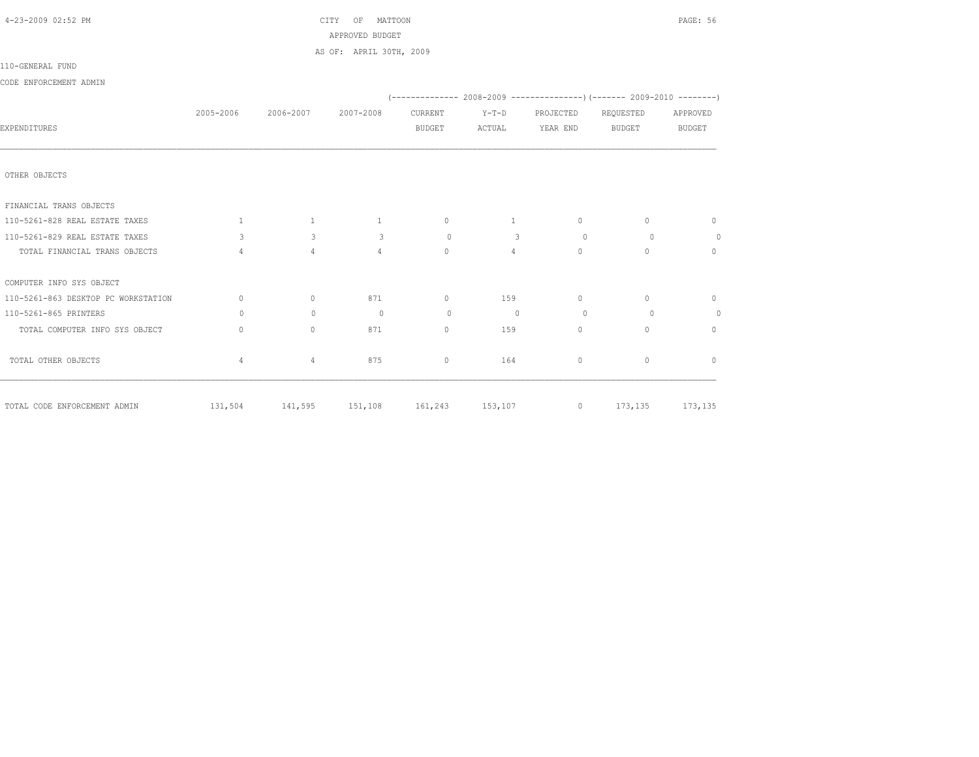| 4-23-2009 02:52 PM                  | CITY OF MATTOON<br>APPROVED BUDGET |                                                           |                         |            |           |                     |                              |                |
|-------------------------------------|------------------------------------|-----------------------------------------------------------|-------------------------|------------|-----------|---------------------|------------------------------|----------------|
|                                     |                                    |                                                           | AS OF: APRIL 30TH, 2009 |            |           |                     |                              |                |
| 110-GENERAL FUND                    |                                    |                                                           |                         |            |           |                     |                              |                |
| CODE ENFORCEMENT ADMIN              |                                    |                                                           |                         |            |           |                     |                              |                |
|                                     |                                    |                                                           |                         |            |           |                     |                              |                |
|                                     |                                    | 2005-2006 2006-2007                                       | 2007-2008               | CURRENT    | $Y-T-D$   |                     | PROJECTED REQUESTED APPROVED |                |
| EXPENDITURES                        |                                    |                                                           |                         | BUDGET     |           | ACTUAL YEAR END     | BUDGET                       | <b>BUDGET</b>  |
|                                     |                                    |                                                           |                         |            |           |                     |                              |                |
| OTHER OBJECTS                       |                                    |                                                           |                         |            |           |                     |                              |                |
| FINANCIAL TRANS OBJECTS             |                                    |                                                           |                         |            |           |                     |                              |                |
| 110-5261-828 REAL ESTATE TAXES      |                                    | $1 \qquad \qquad 1 \qquad \qquad 1 \qquad \qquad 0$       |                         |            |           | $1 \qquad \qquad 0$ | $\circ$                      | $\circ$        |
| 110-5261-829 REAL ESTATE TAXES      |                                    | $3 \times 10^{-1}$<br>$3^{\circ}$                         |                         | $\sim$ 3 0 |           | $\overline{3}$ 0    | $\Omega$                     | $\overline{0}$ |
| TOTAL FINANCIAL TRANS OBJECTS       | $\overline{4}$                     | $4 \quad$                                                 | $4\overline{ }$         | $\Omega$   | $4\qquad$ | $\Omega$            | $\circ$                      | $\mathbf{0}$   |
| COMPUTER INFO SYS OBJECT            |                                    |                                                           |                         |            |           |                     |                              |                |
| 110-5261-863 DESKTOP PC WORKSTATION | $\circ$                            | $\circ$                                                   | 871                     | $\sim$ 0   | 159       | $\sim$ 0            | $\mathbf{0}$                 | $\circ$        |
| 110-5261-865 PRINTERS               | $\Omega$                           | $\Omega$                                                  | $\overline{0}$          | $\circ$    | $\sim$ 0  | $\sim$ 0            | $\circ$                      | $\overline{0}$ |
| TOTAL COMPUTER INFO SYS OBJECT      | $\mathbf{0}$                       | $\Omega$                                                  | 871                     | $\Omega$   | 159       | $\circ$             | $\mathbf{0}$                 | $\mathbf{0}$   |
| TOTAL OTHER OBJECTS                 | 4                                  | $\overline{4}$                                            | 875                     | $\circ$    | 164       | $\circ$             | $\mathbf{0}$                 | $\overline{0}$ |
| TOTAL CODE ENFORCEMENT ADMIN        |                                    | 131,504 141,595 151,108 161,243 153,107 0 173,135 173,135 |                         |            |           |                     |                              |                |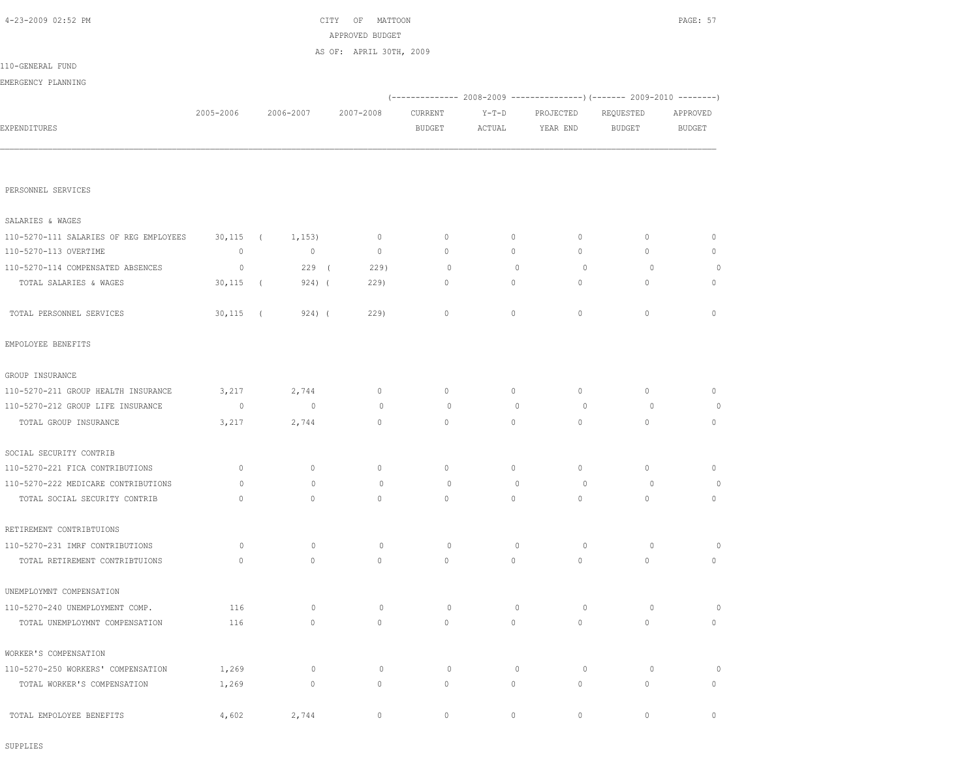| 4-23-2009 02:52 PM                     | CITY OF MATTOON |            |             |                         |               |             |             |                                                                          |               |  |
|----------------------------------------|-----------------|------------|-------------|-------------------------|---------------|-------------|-------------|--------------------------------------------------------------------------|---------------|--|
|                                        |                 |            |             | APPROVED BUDGET         |               |             |             |                                                                          |               |  |
|                                        |                 |            |             | AS OF: APRIL 30TH, 2009 |               |             |             |                                                                          |               |  |
| 110-GENERAL FUND                       |                 |            |             |                         |               |             |             |                                                                          |               |  |
| EMERGENCY PLANNING                     |                 |            |             |                         |               |             |             |                                                                          |               |  |
|                                        |                 |            |             |                         |               |             |             | (-------------- 2008-2009 ----------------) (------- 2009-2010 --------) |               |  |
|                                        | 2005-2006       |            | 2006-2007   | 2007-2008               | CURRENT       | $Y-T-D$     | PROJECTED   | REQUESTED                                                                | APPROVED      |  |
| EXPENDITURES                           |                 |            |             |                         | <b>BUDGET</b> | ACTUAL      | YEAR END    | <b>BUDGET</b>                                                            | <b>BUDGET</b> |  |
|                                        |                 |            |             |                         |               |             |             |                                                                          |               |  |
|                                        |                 |            |             |                         |               |             |             |                                                                          |               |  |
| PERSONNEL SERVICES                     |                 |            |             |                         |               |             |             |                                                                          |               |  |
| SALARIES & WAGES                       |                 |            |             |                         |               |             |             |                                                                          |               |  |
| 110-5270-111 SALARIES OF REG EMPLOYEES | $30,115$ (      |            | 1,153)      | 0                       | 0             | $\circ$     | 0           | $\mathbf 0$                                                              | $\mathbf 0$   |  |
| 110-5270-113 OVERTIME                  | $\circ$         |            | $\circ$     | $\circ$                 | 0             | $\circ$     | 0           | 0                                                                        | $\mathbb O$   |  |
| 110-5270-114 COMPENSATED ABSENCES      | 0               |            | 229(        | 229)                    | 0             | $\mathbf 0$ | 0           | 0                                                                        | 0             |  |
| TOTAL SALARIES & WAGES                 | 30,115          | $\sqrt{2}$ | 924) (      | 229)                    | 0             | 0           | 0           | $\mathbf 0$                                                              | 0             |  |
|                                        |                 |            |             |                         |               |             |             |                                                                          |               |  |
| TOTAL PERSONNEL SERVICES               | $30,115$ (      |            | $924)$ (    | 229                     | $\circ$       | $\circ$     | $\mathbb O$ | $\mathbf 0$                                                              | $\mathbb O$   |  |
| EMPOLOYEE BENEFITS                     |                 |            |             |                         |               |             |             |                                                                          |               |  |
| GROUP INSURANCE                        |                 |            |             |                         |               |             |             |                                                                          |               |  |
| 110-5270-211 GROUP HEALTH INSURANCE    | 3,217           |            | 2,744       | $\circ$                 | 0             | $\circ$     | $\circ$     | 0                                                                        | $\mathbb O$   |  |
| 110-5270-212 GROUP LIFE INSURANCE      | $\circ$         |            | $\circ$     | $\circ$                 | $\circ$       | $\circ$     | $\circ$     | 0                                                                        | $\circ$       |  |
| TOTAL GROUP INSURANCE                  | 3,217           |            | 2,744       | $\mathbf{0}$            | 0             | $\circ$     | $\circ$     | $\mathbf{0}$                                                             | $\circ$       |  |
| SOCIAL SECURITY CONTRIB                |                 |            |             |                         |               |             |             |                                                                          |               |  |
| 110-5270-221 FICA CONTRIBUTIONS        | 0               |            | $\mathbb O$ | $\mathbf 0$             | 0             | 0           | 0           | 0                                                                        | 0             |  |
| 110-5270-222 MEDICARE CONTRIBUTIONS    | 0               |            | $\circ$     | $\circ$                 | $\circ$       | $\circ$     | $\circ$     | 0                                                                        | $\circ$       |  |
| TOTAL SOCIAL SECURITY CONTRIB          | $\circ$         |            | $\circ$     | 0                       | 0             | $\circ$     | $\circ$     | $\mathbf 0$                                                              | $\circ$       |  |
| RETIREMENT CONTRIBTUIONS               |                 |            |             |                         |               |             |             |                                                                          |               |  |
| 110-5270-231 IMRF CONTRIBUTIONS        | 0               |            | 0           | 0                       | 0             | $\mathbf 0$ | 0           | 0                                                                        | 0             |  |
| TOTAL RETIREMENT CONTRIBTUIONS         | $\mathbb O$     |            | $\mathbb O$ | $\circ$                 | 0             | $\circ$     | $\circ$     | $\mathbf 0$                                                              | $\mathbb O$   |  |
| UNEMPLOYMNT COMPENSATION               |                 |            |             |                         |               |             |             |                                                                          |               |  |
| 110-5270-240 UNEMPLOYMENT COMP.        | 116             |            | $\circ$     | $\circ$                 | $\circ$       | $\circ$     | $\circ$     | $\circ$                                                                  | $\circ$       |  |
| TOTAL UNEMPLOYMNT COMPENSATION         | 116             |            | $\circ$     | $\mathbb O$             | $\mathbb O$   | $\circ$     | $\circ$     | $\mathbb O$                                                              | $\circ$       |  |
|                                        |                 |            |             |                         |               |             |             |                                                                          |               |  |
| WORKER'S COMPENSATION                  |                 |            |             |                         |               |             |             |                                                                          |               |  |
| 110-5270-250 WORKERS' COMPENSATION     | 1,269           |            | $\circ$     | $\circ$                 | $\circ$       | $\circ$     | $\circ$     | $\circ$                                                                  | $\circ$       |  |
| TOTAL WORKER'S COMPENSATION            | 1,269           |            | $\mathbb O$ | $\mathbb O$             | $\mathbb O$   | $\circ$     | $\mathbb O$ | $\mathbb O$                                                              | $\circ$       |  |
| TOTAL EMPOLOYEE BENEFITS               | 4,602           |            | 2,744       | 0                       | 0             | 0           | $\circ$     | $\circ$                                                                  | $\circ$       |  |

SUPPLIES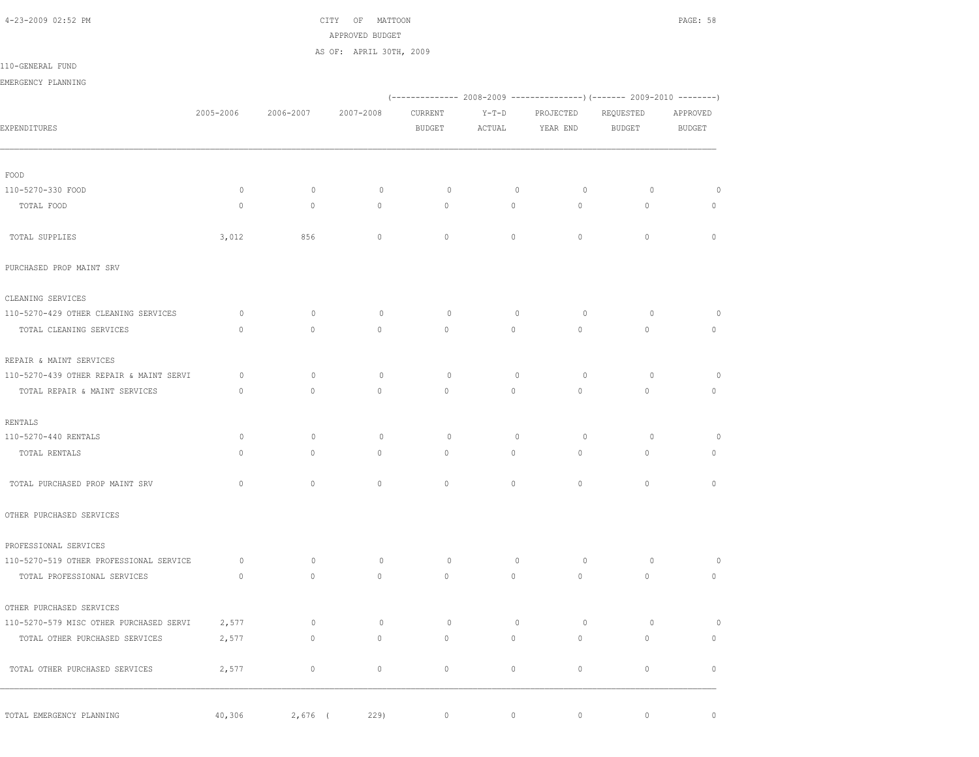4-23-2009 02:52 PM CITY OF MATTOON PAGE: 58 APPROVED BUDGET

AS OF: APRIL 30TH, 2009

110-GENERAL FUND

EMERGENCY PLANNING

|                                         |              |              |             | (-------------- 2008-2009 ----------------) (------- 2009-2010 --------) |              |             |               |               |
|-----------------------------------------|--------------|--------------|-------------|--------------------------------------------------------------------------|--------------|-------------|---------------|---------------|
|                                         | 2005-2006    | 2006-2007    | 2007-2008   | CURRENT                                                                  | $Y-T-D$      | PROJECTED   | REQUESTED     | APPROVED      |
| EXPENDITURES                            |              |              |             | <b>BUDGET</b>                                                            | ACTUAL       | YEAR END    | <b>BUDGET</b> | <b>BUDGET</b> |
| FOOD                                    |              |              |             |                                                                          |              |             |               |               |
| 110-5270-330 FOOD                       | $\circ$      | $\mathbb O$  | $\mathbb O$ | $\circ$                                                                  | $\mathbb O$  | $\circ$     | $\circ$       | $\circ$       |
| TOTAL FOOD                              | $\mathbb O$  | $\mathbb O$  | $\circ$     | $\circ$                                                                  | $\circ$      | $\circ$     | $\mathbb O$   | $\mathbb O$   |
| TOTAL SUPPLIES                          | 3,012        | 856          | $\Omega$    | $\Omega$                                                                 | $\Omega$     | $\Omega$    | $\Omega$      | $\mathbb O$   |
| PURCHASED PROP MAINT SRV                |              |              |             |                                                                          |              |             |               |               |
| CLEANING SERVICES                       |              |              |             |                                                                          |              |             |               |               |
| 110-5270-429 OTHER CLEANING SERVICES    | $\circ$      | $\mathbf{0}$ | $\circ$     | $\circ$                                                                  | $\circ$      | $\circ$     | $\circ$       | $\circ$       |
| TOTAL CLEANING SERVICES                 | $\Omega$     | $\Omega$     | $\Omega$    | $\Omega$                                                                 | $\Omega$     | $\Omega$    | $\Omega$      | $\mathbb O$   |
| REPAIR & MAINT SERVICES                 |              |              |             |                                                                          |              |             |               |               |
| 110-5270-439 OTHER REPAIR & MAINT SERVI | $\circ$      | $\mathbf{0}$ | $\circ$     | $\circ$                                                                  | $\mathbf{0}$ | $\circ$     | $\circ$       | $\circ$       |
| TOTAL REPAIR & MAINT SERVICES           | $\mathbf{0}$ | $\circ$      | $\circ$     | $\mathbf{0}$                                                             | $\circ$      | $\circ$     | $\mathbf{0}$  | $\circ$       |
| RENTALS                                 |              |              |             |                                                                          |              |             |               |               |
| 110-5270-440 RENTALS                    | $\circ$      | $\mathbb O$  | $\mathbb O$ | $\circ$                                                                  | $\circ$      | $\circ$     | $\circ$       | $\circ$       |
| TOTAL RENTALS                           | $\Omega$     | $\circ$      | $\Omega$    | $\Omega$                                                                 | $\Omega$     | $\Omega$    | $\circ$       | $\mathbf{0}$  |
| TOTAL PURCHASED PROP MAINT SRV          | $\mathbf{0}$ | $\circ$      | $\circ$     | $\mathbf{0}$                                                             | $\circ$      | $\circ$     | $\mathbf{0}$  | $\circ$       |
| OTHER PURCHASED SERVICES                |              |              |             |                                                                          |              |             |               |               |
| PROFESSIONAL SERVICES                   |              |              |             |                                                                          |              |             |               |               |
| 110-5270-519 OTHER PROFESSIONAL SERVICE | $\circ$      | $\mathbf{0}$ | $\circ$     | $\circ$                                                                  | $\mathbf{0}$ | $\circ$     | $\circ$       | 0             |
| TOTAL PROFESSIONAL SERVICES             | $\circ$      | $\circ$      | $\circ$     | $\circ$                                                                  | $\circ$      | $\circ$     | $\circ$       | $\mathbb O$   |
| OTHER PURCHASED SERVICES                |              |              |             |                                                                          |              |             |               |               |
| 110-5270-579 MISC OTHER PURCHASED SERVI | 2,577        | $\mathbb O$  | $\mathbb O$ | $\circ$                                                                  | $\mathbb O$  | $\circ$     | $\circ$       | $\circ$       |
| TOTAL OTHER PURCHASED SERVICES          | 2,577        | $\circ$      | $\circ$     | $\mathbf{0}$                                                             | $\Omega$     | $\circ$     | $\mathbf{0}$  | $\mathbb O$   |
| TOTAL OTHER PURCHASED SERVICES          | 2,577        | $\mathbb O$  | $\circ$     | $\mathbb O$                                                              | $\circ$      | $\mathbb O$ | $\mathbb O$   | $\circ$       |
| TOTAL EMERGENCY PLANNING                | 40,306       | $2,676$ (    | 229         | $\circ$                                                                  | $\circ$      | $\circ$     | $\mathbb O$   | $\mathbb O$   |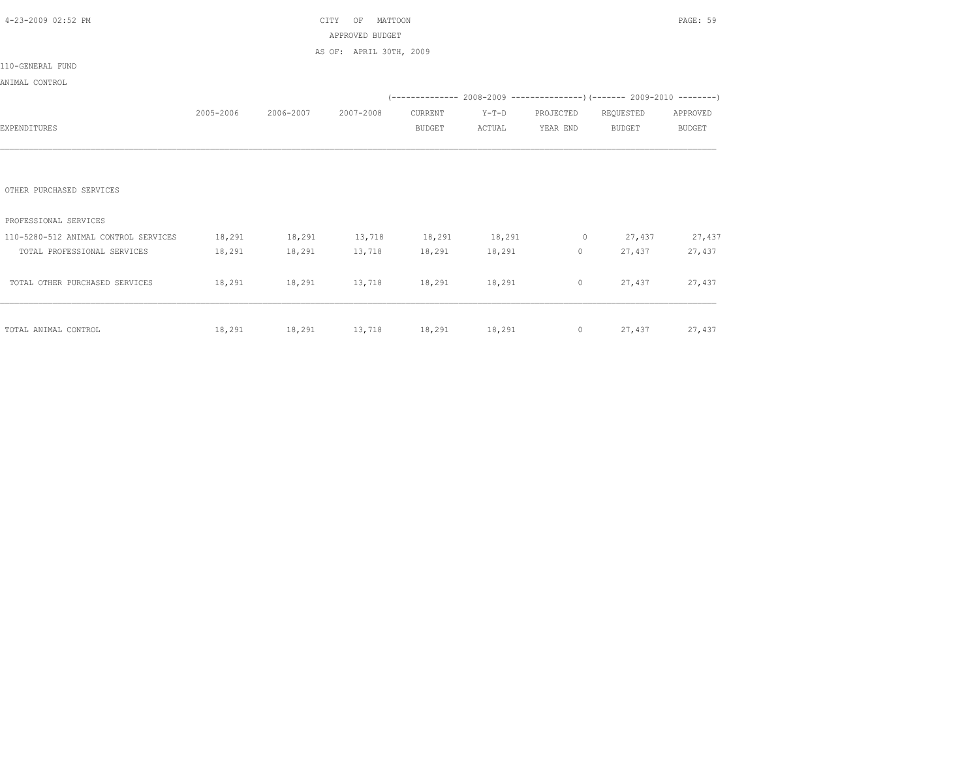| 4-23-2009 02:52 PM                   |           | CITY                                 |                         | PAGE: 59      |               |           |                                                                                                                                                                                                                                                                                              |               |
|--------------------------------------|-----------|--------------------------------------|-------------------------|---------------|---------------|-----------|----------------------------------------------------------------------------------------------------------------------------------------------------------------------------------------------------------------------------------------------------------------------------------------------|---------------|
|                                      |           |                                      | APPROVED BUDGET         |               |               |           |                                                                                                                                                                                                                                                                                              |               |
|                                      |           |                                      | AS OF: APRIL 30TH, 2009 |               |               |           |                                                                                                                                                                                                                                                                                              |               |
| 110-GENERAL FUND                     |           |                                      |                         |               |               |           |                                                                                                                                                                                                                                                                                              |               |
| ANIMAL CONTROL                       |           |                                      |                         |               |               |           |                                                                                                                                                                                                                                                                                              |               |
|                                      |           |                                      |                         |               |               |           | $(---------- 2008-2009 ---------- 2009-2010 ---- 2009-2010 ---- 2009-2010 ---- 2009-2010 ---- 2009-2010 ---- 2009-2010 ---- 2009-2010 ---- 2009-2010 ---- 2009-2010 ---- 2009-2010 ---- 2009-2010 ---- 2009-2010 ---- 2009-2010 ---- 2009-2010 ---- 2009-2010 ---- 2009-2010 ---- 2009-2010$ |               |
|                                      | 2005-2006 | 2006-2007                            | 2007-2008               | CURRENT       | $Y-T-D$       | PROJECTED | REQUESTED                                                                                                                                                                                                                                                                                    | APPROVED      |
| EXPENDITURES                         |           |                                      |                         | <b>BUDGET</b> | ACTUAL        | YEAR END  | BUDGET                                                                                                                                                                                                                                                                                       | <b>BUDGET</b> |
|                                      |           |                                      |                         |               |               |           |                                                                                                                                                                                                                                                                                              |               |
|                                      |           |                                      |                         |               |               |           |                                                                                                                                                                                                                                                                                              |               |
|                                      |           |                                      |                         |               |               |           |                                                                                                                                                                                                                                                                                              |               |
| OTHER PURCHASED SERVICES             |           |                                      |                         |               |               |           |                                                                                                                                                                                                                                                                                              |               |
|                                      |           |                                      |                         |               |               |           |                                                                                                                                                                                                                                                                                              |               |
| PROFESSIONAL SERVICES                |           |                                      |                         |               |               |           |                                                                                                                                                                                                                                                                                              |               |
| 110-5280-512 ANIMAL CONTROL SERVICES | 18,291    | 18,291 13,718 18,291 18,291 0 27,437 |                         |               |               |           |                                                                                                                                                                                                                                                                                              | 27,437        |
| TOTAL PROFESSIONAL SERVICES          | 18,291    | 18,291 13,718                        |                         |               | 18,291 18,291 |           | $\overline{0}$<br>27,437                                                                                                                                                                                                                                                                     | 27,437        |
|                                      |           |                                      |                         |               |               |           |                                                                                                                                                                                                                                                                                              |               |
| TOTAL OTHER PURCHASED SERVICES       | 18,291    | 18,291 13,718 18,291 18,291          |                         |               |               | $\circ$   | 27,437                                                                                                                                                                                                                                                                                       | 27,437        |
|                                      |           |                                      |                         |               |               |           |                                                                                                                                                                                                                                                                                              |               |
|                                      |           |                                      |                         |               |               |           |                                                                                                                                                                                                                                                                                              |               |
| TOTAL ANIMAL CONTROL                 | 18,291    | 18,291 13,718 18,291 18,291          |                         |               |               |           | 0 $27,437$                                                                                                                                                                                                                                                                                   | 27,437        |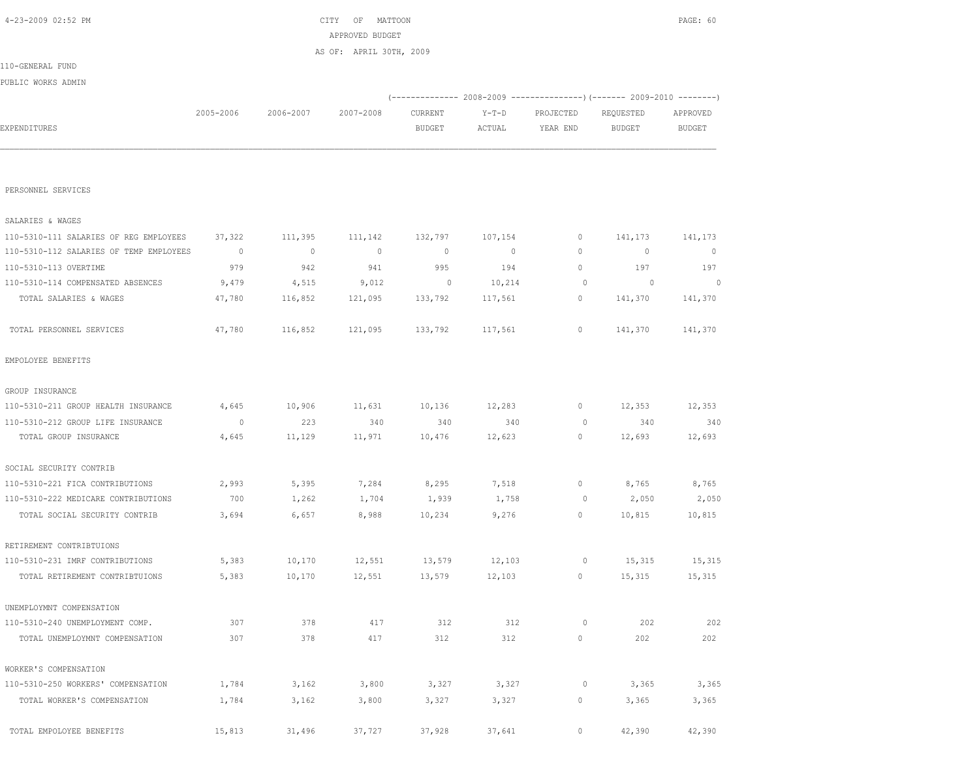| PERSONNEL SERVICES                      |         |         |         |              |                |              |         |              |
|-----------------------------------------|---------|---------|---------|--------------|----------------|--------------|---------|--------------|
| SALARIES & WAGES                        |         |         |         |              |                |              |         |              |
| 110-5310-111 SALARIES OF REG EMPLOYEES  | 37,322  | 111,395 | 111,142 | 132,797      | 107,154        | $\mathbf 0$  | 141,173 | 141,173      |
| 110-5310-112 SALARIES OF TEMP EMPLOYEES | $\circ$ | $\circ$ | $\circ$ | $\mathbf{0}$ | $\overline{0}$ | $\Omega$     | $\circ$ | $\mathbf{0}$ |
| 110-5310-113 OVERTIME                   | 979     | 942     | 941     | 995          | 194            | $\mathbf{0}$ | 197     | 197          |
| 110-5310-114 COMPENSATED ABSENCES       | 9,479   | 4,515   | 9,012   | $\circ$      | 10,214         | $\circ$      | $\circ$ | $\circ$      |
| TOTAL SALARIES & WAGES                  | 47,780  | 116,852 | 121,095 | 133,792      | 117,561        | 0            | 141,370 | 141,370      |
| TOTAL PERSONNEL SERVICES                | 47,780  | 116,852 | 121,095 | 133,792      | 117,561        | $\mathbf{0}$ | 141,370 | 141,370      |
| EMPOLOYEE BENEFITS                      |         |         |         |              |                |              |         |              |
| GROUP INSURANCE                         |         |         |         |              |                |              |         |              |
| 110-5310-211 GROUP HEALTH INSURANCE     | 4,645   | 10,906  | 11,631  | 10,136       | 12,283         | 0            | 12,353  | 12,353       |
| 110-5310-212 GROUP LIFE INSURANCE       | $\circ$ | 223     | 340     | 340          | 340            | 0            | 340     | 340          |
| TOTAL GROUP INSURANCE                   | 4,645   | 11,129  | 11,971  | 10,476       | 12,623         | $\mathbf{0}$ | 12,693  | 12,693       |
| SOCIAL SECURITY CONTRIB                 |         |         |         |              |                |              |         |              |
| 110-5310-221 FICA CONTRIBUTIONS         | 2,993   | 5,395   | 7,284   | 8,295        | 7,518          | $\circ$      | 8,765   | 8,765        |
| 110-5310-222 MEDICARE CONTRIBUTIONS     | 700     | 1,262   | 1,704   | 1,939        | 1,758          | $\circ$      | 2,050   | 2,050        |
| TOTAL SOCIAL SECURITY CONTRIB           | 3,694   | 6,657   | 8,988   | 10,234       | 9,276          | $\mathbf{0}$ | 10,815  | 10,815       |
| RETIREMENT CONTRIBTUIONS                |         |         |         |              |                |              |         |              |
| 110-5310-231 IMRF CONTRIBUTIONS         | 5,383   | 10,170  | 12,551  | 13,579       | 12,103         | 0            | 15,315  | 15,315       |
| TOTAL RETIREMENT CONTRIBTUIONS          | 5,383   | 10,170  | 12,551  | 13,579       | 12,103         | $\mathbf{0}$ | 15,315  | 15,315       |
| UNEMPLOYMNT COMPENSATION                |         |         |         |              |                |              |         |              |
| 110-5310-240 UNEMPLOYMENT COMP.         | 307     | 378     | 417     | 312          | 312            | $\circ$      | 202     | 202          |
| TOTAL UNEMPLOYMNT COMPENSATION          | 307     | 378     | 417     | 312          | 312            | $\mathbf{0}$ | 202     | 202          |
| WORKER'S COMPENSATION                   |         |         |         |              |                |              |         |              |
| 110-5310-250 WORKERS' COMPENSATION      | 1,784   | 3,162   | 3,800   | 3,327        | 3,327          | $\circ$      | 3,365   | 3,365        |
| TOTAL WORKER'S COMPENSATION             | 1,784   | 3,162   | 3,800   | 3,327        | 3,327          | 0            | 3,365   | 3,365        |
| TOTAL EMPOLOYEE BENEFITS                | 15,813  | 31,496  | 37,727  | 37,928       | 37,641         | 0            | 42,390  | 42,390       |

PERSONNEL SERVICES

|                    |           |           | AS OF: APRIL 30TH, 2009 |               |        |                                                                      |           |               |
|--------------------|-----------|-----------|-------------------------|---------------|--------|----------------------------------------------------------------------|-----------|---------------|
| 110-GENERAL FUND   |           |           |                         |               |        |                                                                      |           |               |
| PUBLIC WORKS ADMIN |           |           |                         |               |        |                                                                      |           |               |
|                    |           |           |                         |               |        | (-------------- 2008-2009 --------------------- 2009-2010 ---------- |           |               |
|                    | 2005-2006 | 2006-2007 | 2007-2008               | CURRENT       | Y-T-D  | PROJECTED                                                            | REQUESTED | APPROVED      |
| EXPENDITURES       |           |           |                         | <b>BUDGET</b> | ACTUAL | YEAR END                                                             | BUDGET    | <b>BUDGET</b> |
|                    |           |           |                         |               |        |                                                                      |           |               |
|                    |           |           |                         |               |        |                                                                      |           |               |

 4-23-2009 02:52 PM CITY OF MATTOON PAGE: 60 APPROVED BUDGET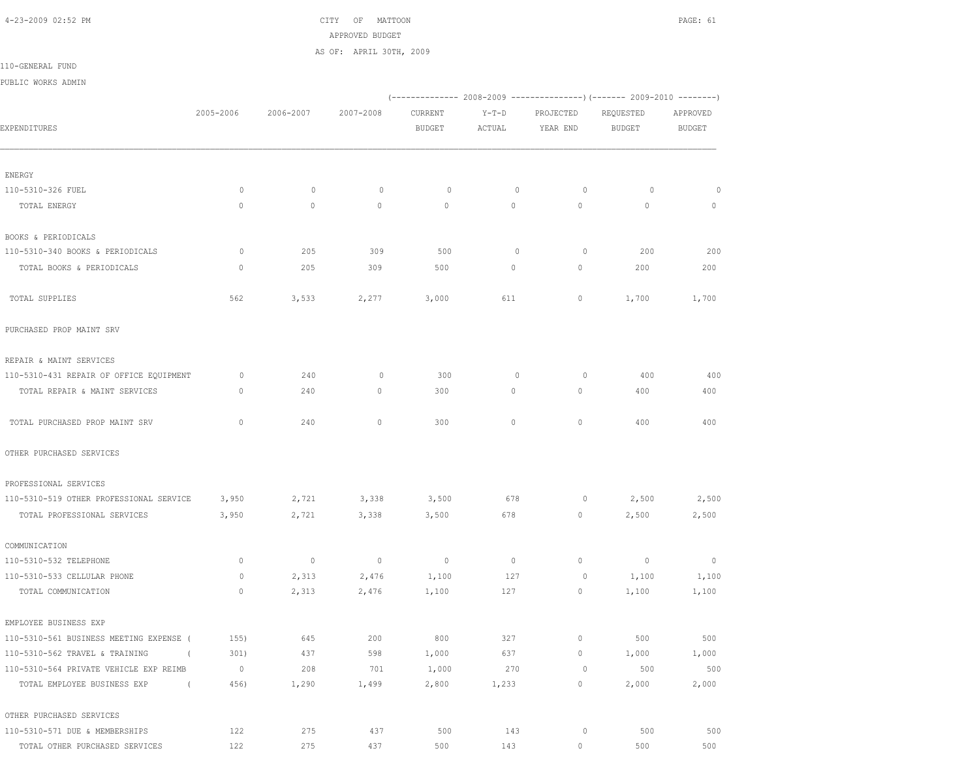4-23-2009 02:52 PM CITY OF MATTOON PAGE: 61 APPROVED BUDGET AS OF: APRIL 30TH, 2009

110-GENERAL FUND

PUBLIC WORKS ADMIN

|                                            |              |           |                          |                          |              | (------------- 2008-2009 ---------------) (------- 2009-2010 -------) |                |                          |
|--------------------------------------------|--------------|-----------|--------------------------|--------------------------|--------------|-----------------------------------------------------------------------|----------------|--------------------------|
|                                            | 2005-2006    | 2006-2007 | 2007-2008                | CURRENT                  | $Y-T-D$      | PROJECTED                                                             | REQUESTED      | APPROVED                 |
| EXPENDITURES                               |              |           |                          | <b>BUDGET</b>            | ACTUAL       | YEAR END                                                              | <b>BUDGET</b>  | <b>BUDGET</b>            |
|                                            |              |           |                          |                          |              |                                                                       |                |                          |
| ENERGY                                     |              |           |                          |                          |              |                                                                       |                |                          |
| 110-5310-326 FUEL                          | 0            | $\circ$   | 0                        | $\circ$                  | $\mathbf{0}$ | 0                                                                     | $\circ$        | $\circ$                  |
| TOTAL ENERGY                               | $\mathbf 0$  | $\circ$   | $\circ$                  | $\circ$                  | 0            | 0                                                                     | $\circ$        | $\circ$                  |
| BOOKS & PERIODICALS                        |              |           |                          |                          |              |                                                                       |                |                          |
| 110-5310-340 BOOKS & PERIODICALS           | 0            | 205       | 309                      | 500                      | $\mathbf 0$  | $\circ$                                                               | 200            | 200                      |
| TOTAL BOOKS & PERIODICALS                  | 0            | 205       | 309                      | 500                      | 0            | $\circ$                                                               | 200            | 200                      |
| TOTAL SUPPLIES                             | 562          | 3,533     | 2,277                    | 3,000                    | 611          | 0                                                                     | 1,700          | 1,700                    |
| PURCHASED PROP MAINT SRV                   |              |           |                          |                          |              |                                                                       |                |                          |
| REPAIR & MAINT SERVICES                    |              |           |                          |                          |              |                                                                       |                |                          |
| 110-5310-431 REPAIR OF OFFICE EQUIPMENT    | 0            | 240       | 0                        | 300                      | 0            | 0                                                                     | 400            | 400                      |
| TOTAL REPAIR & MAINT SERVICES              | 0            | 240       | 0                        | 300                      | 0            | $\circ$                                                               | 400            | 400                      |
| TOTAL PURCHASED PROP MAINT SRV             | $\mathbf{0}$ | 240       | $\circ$                  | 300                      | $\circ$      | $\mathbf{0}$                                                          | 400            | 400                      |
| OTHER PURCHASED SERVICES                   |              |           |                          |                          |              |                                                                       |                |                          |
| PROFESSIONAL SERVICES                      |              |           |                          |                          |              |                                                                       |                |                          |
| 110-5310-519 OTHER PROFESSIONAL SERVICE    | 3,950        | 2,721     | 3,338                    | 3,500                    | 678          | 0                                                                     | 2,500          | 2,500                    |
| TOTAL PROFESSIONAL SERVICES                | 3,950        | 2,721     | 3,338                    | 3,500                    | 678          | $\circ$                                                               | 2,500          | 2,500                    |
| COMMUNICATION                              |              |           |                          |                          |              |                                                                       |                |                          |
| 110-5310-532 TELEPHONE                     | $\mathbf 0$  | $\circ$   | $\overline{\phantom{0}}$ | $\overline{\phantom{0}}$ | $\circ$      | $\circ$                                                               | $\overline{0}$ | $\overline{\phantom{0}}$ |
| 110-5310-533 CELLULAR PHONE                | 0            | 2,313     | 2,476                    | 1,100                    | 127          | $\circ$                                                               | 1,100          | 1,100                    |
| TOTAL COMMUNICATION                        | $\circ$      | 2,313     | 2,476                    | 1,100                    | 127          | $\circ$                                                               | 1,100          | 1,100                    |
| EMPLOYEE BUSINESS EXP                      |              |           |                          |                          |              |                                                                       |                |                          |
| 110-5310-561 BUSINESS MEETING EXPENSE (    | 155)         | 645       | 200                      | 800                      | 327          | $\circ$                                                               | 500            | 500                      |
| 110-5310-562 TRAVEL & TRAINING<br>$\left($ | 301)         | 437       | 598                      | 1,000                    | 637          | $\circ$                                                               | 1,000          | 1,000                    |
| 110-5310-564 PRIVATE VEHICLE EXP REIMB     | $\circ$      | 208       | 701                      | 1,000                    | 270          | $\circ$                                                               | 500            | 500                      |
| TOTAL EMPLOYEE BUSINESS EXP<br>$\left($    | 456)         | 1,290     | 1,499                    | 2,800                    | 1,233        | $\circ$                                                               | 2,000          | 2,000                    |
| OTHER PURCHASED SERVICES                   |              |           |                          |                          |              |                                                                       |                |                          |
| 110-5310-571 DUE & MEMBERSHIPS             | 122          | 275       | 437                      | 500                      | 143          | $\circ$                                                               | 500            | 500                      |

TOTAL OTHER PURCHASED SERVICES 122 275 437 500 143 0 500 500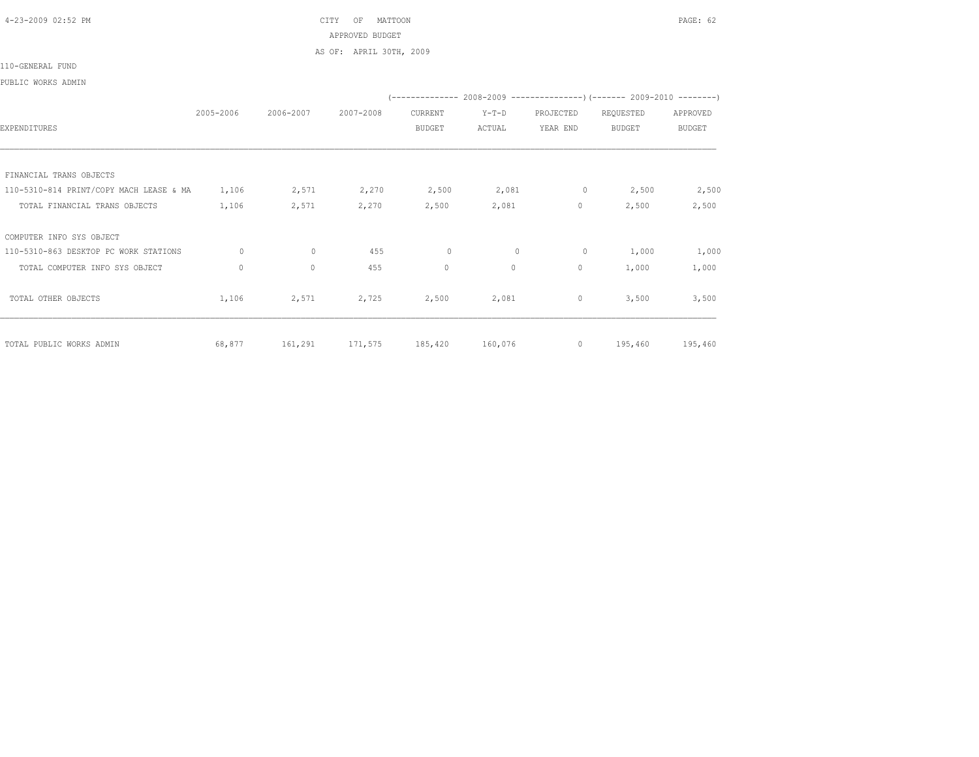4-23-2009 02:52 PM CITY OF MATTOON PAGE: 62 APPROVED BUDGET AS OF: APRIL 30TH, 2009

110-GENERAL FUND

## PUBLIC WORKS ADMIN

|                                         |           |           |           |               |              | (-------------- 2008-2009 -----------------) (------- 2009-2010 --------) |               |               |
|-----------------------------------------|-----------|-----------|-----------|---------------|--------------|---------------------------------------------------------------------------|---------------|---------------|
|                                         | 2005-2006 | 2006-2007 | 2007-2008 | CURRENT       | $Y-T-D$      | PROJECTED                                                                 | REQUESTED     | APPROVED      |
| EXPENDITURES                            |           |           |           | <b>BUDGET</b> | ACTUAL       | YEAR END                                                                  | <b>BUDGET</b> | <b>BUDGET</b> |
|                                         |           |           |           |               |              |                                                                           |               |               |
| FINANCIAL TRANS OBJECTS                 |           |           |           |               |              |                                                                           |               |               |
| 110-5310-814 PRINT/COPY MACH LEASE & MA | 1,106     | 2,571     | 2,270     | 2,500         | 2,081        | 0                                                                         | 2,500         | 2,500         |
| TOTAL FINANCIAL TRANS OBJECTS           | 1,106     | 2,571     | 2,270     | 2,500         | 2,081        | 0                                                                         | 2,500         | 2,500         |
| COMPUTER INFO SYS OBJECT                |           |           |           |               |              |                                                                           |               |               |
| 110-5310-863 DESKTOP PC WORK STATIONS   | $\circ$   | $\circ$   | 455       | $\circ$       | $\mathbf{0}$ | $\circ$                                                                   | 1,000         | 1,000         |
| TOTAL COMPUTER INFO SYS OBJECT          | $\circ$   | $\circ$   | 455       | $\mathbf 0$   | 0            | 0                                                                         | 1,000         | 1,000         |
| TOTAL OTHER OBJECTS                     | 1,106     | 2,571     | 2,725     | 2,500         | 2,081        | 0                                                                         | 3,500         | 3,500         |
| TOTAL PUBLIC WORKS ADMIN                | 68,877    | 161,291   | 171,575   | 185,420       | 160,076      | $\circ$                                                                   | 195,460       | 195,460       |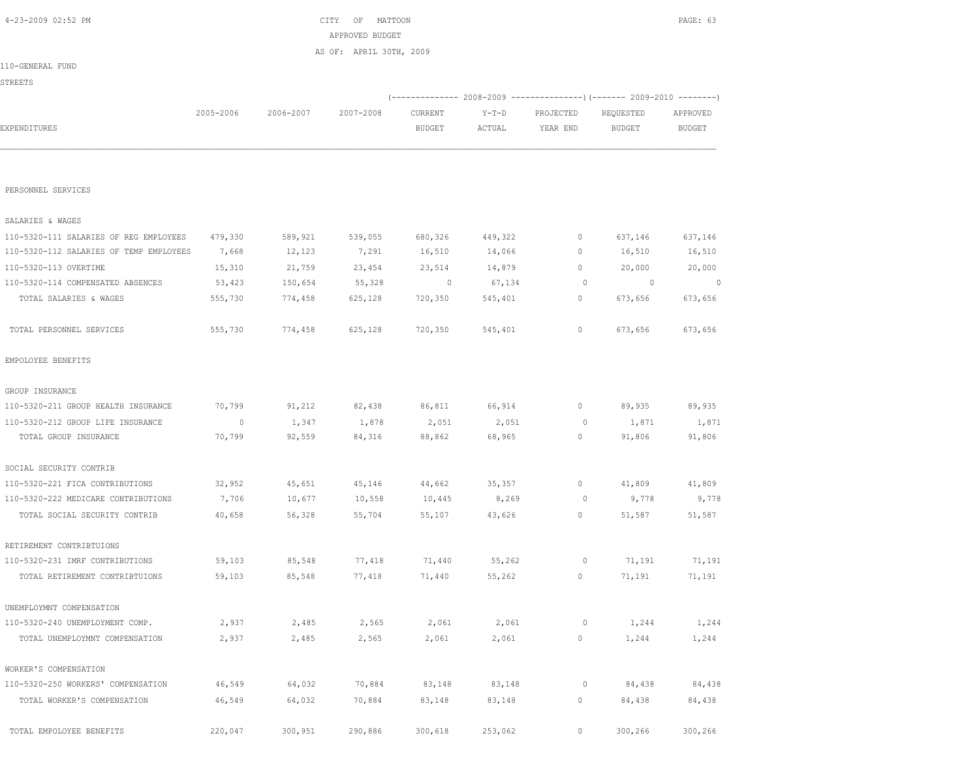| PERSONNEL SERVICES                      |                |         |         |         |         |              |                |         |
|-----------------------------------------|----------------|---------|---------|---------|---------|--------------|----------------|---------|
| SALARIES & WAGES                        |                |         |         |         |         |              |                |         |
| 110-5320-111 SALARIES OF REG EMPLOYEES  | 479,330        | 589,921 | 539,055 | 680,326 | 449,322 | $\circ$      | 637,146        | 637,146 |
| 110-5320-112 SALARIES OF TEMP EMPLOYEES | 7,668          | 12,123  | 7,291   | 16,510  | 14,066  | $\mathbf{0}$ | 16,510         | 16,510  |
| 110-5320-113 OVERTIME                   | 15,310         | 21,759  | 23,454  | 23,514  | 14,879  | $\mathbf{0}$ | 20,000         | 20,000  |
| 110-5320-114 COMPENSATED ABSENCES       | 53,423         | 150,654 | 55,328  | $\circ$ | 67,134  | $\circ$      | $\overline{0}$ | $\circ$ |
| TOTAL SALARIES & WAGES                  | 555,730        | 774,458 | 625,128 | 720,350 | 545,401 | 0            | 673,656        | 673,656 |
| TOTAL PERSONNEL SERVICES                | 555,730        | 774,458 | 625,128 | 720,350 | 545,401 | $\circ$      | 673,656        | 673,656 |
| EMPOLOYEE BENEFITS                      |                |         |         |         |         |              |                |         |
| GROUP INSURANCE                         |                |         |         |         |         |              |                |         |
| 110-5320-211 GROUP HEALTH INSURANCE     | 70,799         | 91,212  | 82,438  | 86,811  | 66,914  | $\mathbf{0}$ | 89,935         | 89,935  |
| 110-5320-212 GROUP LIFE INSURANCE       | $\overline{0}$ | 1,347   | 1,878   | 2,051   | 2,051   | 0            | 1,871          | 1,871   |
| TOTAL GROUP INSURANCE                   | 70,799         | 92,559  | 84,316  | 88,862  | 68,965  | 0            | 91,806         | 91,806  |
| SOCIAL SECURITY CONTRIB                 |                |         |         |         |         |              |                |         |
| 110-5320-221 FICA CONTRIBUTIONS         | 32,952         | 45,651  | 45,146  | 44,662  | 35,357  | $\mathbf{0}$ | 41,809         | 41,809  |
| 110-5320-222 MEDICARE CONTRIBUTIONS     | 7,706          | 10,677  | 10,558  | 10,445  | 8,269   | $\circ$      | 9,778          | 9,778   |
| TOTAL SOCIAL SECURITY CONTRIB           | 40,658         | 56,328  | 55,704  | 55,107  | 43,626  | $\mathbf{0}$ | 51,587         | 51,587  |
| RETIREMENT CONTRIBTUIONS                |                |         |         |         |         |              |                |         |
| 110-5320-231 IMRF CONTRIBUTIONS         | 59,103         | 85,548  | 77,418  | 71,440  | 55,262  | 0            | 71,191         | 71,191  |
| TOTAL RETIREMENT CONTRIBTUIONS          | 59,103         | 85,548  | 77,418  | 71,440  | 55,262  | $\circ$      | 71,191         | 71,191  |
| UNEMPLOYMNT COMPENSATION                |                |         |         |         |         |              |                |         |
| 110-5320-240 UNEMPLOYMENT COMP.         | 2,937          | 2,485   | 2,565   | 2,061   | 2,061   | $\circ$      | 1,244          | 1,244   |
| TOTAL UNEMPLOYMNT COMPENSATION          | 2,937          | 2,485   | 2,565   | 2,061   | 2,061   | 0            | 1,244          | 1,244   |
| WORKER'S COMPENSATION                   |                |         |         |         |         |              |                |         |
| 110-5320-250 WORKERS' COMPENSATION      | 46,549         | 64,032  | 70,884  | 83,148  | 83,148  | $\circ$      | 84,438         | 84,438  |
| TOTAL WORKER'S COMPENSATION             | 46,549         | 64,032  | 70,884  | 83,148  | 83,148  | 0            | 84,438         | 84,438  |
| TOTAL EMPOLOYEE BENEFITS                | 220,047        | 300,951 | 290,886 | 300,618 | 253,062 | $\circ$      | 300,266        | 300,266 |

|                  |           |           | AS OF: APRIL 30TH, 2009 |               |        |           |           |               |
|------------------|-----------|-----------|-------------------------|---------------|--------|-----------|-----------|---------------|
| 110-GENERAL FUND |           |           |                         |               |        |           |           |               |
| <b>STREETS</b>   |           |           |                         |               |        |           |           |               |
|                  |           |           |                         |               |        |           |           |               |
|                  | 2005-2006 | 2006-2007 | 2007-2008               | CURRENT       | Y-T-D  | PROJECTED | REQUESTED | APPROVED      |
| EXPENDITURES     |           |           |                         | <b>BUDGET</b> | ACTUAL | YEAR END  | BUDGET    | <b>BUDGET</b> |
|                  |           |           |                         |               |        |           |           |               |
|                  |           |           |                         |               |        |           |           |               |

APPROVED BUDGET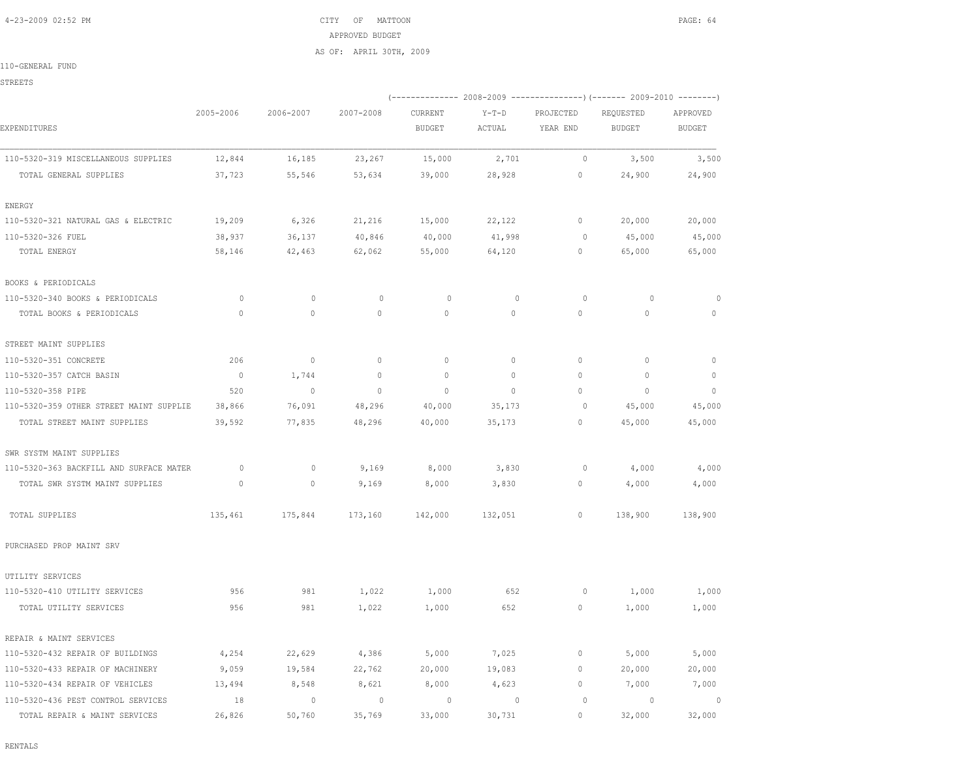## 4-23-2009 02:52 PM CITY OF MATTOON PAGE: 64 APPROVED BUDGET AS OF: APRIL 30TH, 2009

110-GENERAL FUND

STREETS

|                                         |                |              |              |               |              |              | (-------------- 2008-2009 ----------------) (------- 2009-2010 --------) |               |
|-----------------------------------------|----------------|--------------|--------------|---------------|--------------|--------------|--------------------------------------------------------------------------|---------------|
|                                         | 2005-2006      | 2006-2007    | 2007-2008    | CURRENT       | $Y-T-D$      | PROJECTED    | REQUESTED                                                                | APPROVED      |
| EXPENDITURES                            |                |              |              | <b>BUDGET</b> | ACTUAL       | YEAR END     | <b>BUDGET</b>                                                            | <b>BUDGET</b> |
| 110-5320-319 MISCELLANEOUS SUPPLIES     | 12,844         | 16,185       | 23,267       | 15,000        | 2,701        | $\circ$      | 3,500                                                                    | 3,500         |
| TOTAL GENERAL SUPPLIES                  | 37,723         | 55,546       | 53,634       | 39,000        | 28,928       | 0            | 24,900                                                                   | 24,900        |
| ENERGY                                  |                |              |              |               |              |              |                                                                          |               |
| 110-5320-321 NATURAL GAS & ELECTRIC     | 19,209         | 6,326        | 21,216       | 15,000        | 22,122       | $\circ$      | 20,000                                                                   | 20,000        |
| 110-5320-326 FUEL                       | 38,937         | 36,137       | 40,846       | 40,000        | 41,998       | $\circ$      | 45,000                                                                   | 45,000        |
| TOTAL ENERGY                            | 58,146         | 42,463       | 62,062       | 55,000        | 64,120       | 0            | 65,000                                                                   | 65,000        |
| BOOKS & PERIODICALS                     |                |              |              |               |              |              |                                                                          |               |
| 110-5320-340 BOOKS & PERIODICALS        | $\circ$        | $\mathbf{0}$ | $\circ$      | $\circ$       | $\mathbf{0}$ | $\circ$      | $\circ$                                                                  | 0             |
| TOTAL BOOKS & PERIODICALS               | $\circ$        | $\circ$      | $\mathbf{0}$ | $\circ$       | $\circ$      | $\mathbf{0}$ | $\circ$                                                                  | $\mathbf 0$   |
| STREET MAINT SUPPLIES                   |                |              |              |               |              |              |                                                                          |               |
| 110-5320-351 CONCRETE                   | 206            | $\circ$      | $\mathbf{0}$ | $\mathbf{0}$  | $\circ$      | $\circ$      | $\mathbf{0}$                                                             | $\mathbf{0}$  |
| 110-5320-357 CATCH BASIN                | $\overline{0}$ | 1,744        | $\mathbf{0}$ | $\mathbf{0}$  | $\circ$      | $\circ$      | $\mathbf{0}$                                                             | $\mathbb O$   |
| 110-5320-358 PIPE                       | 520            | $\circ$      | $\mathbf 0$  | $\mathbf 0$   | $\Omega$     | $\Omega$     | $\mathbf 0$                                                              | $\circ$       |
| 110-5320-359 OTHER STREET MAINT SUPPLIE | 38,866         | 76,091       | 48,296       | 40,000        | 35,173       | $\circ$      | 45,000                                                                   | 45,000        |
| TOTAL STREET MAINT SUPPLIES             | 39,592         | 77,835       | 48,296       | 40,000        | 35,173       | 0            | 45,000                                                                   | 45,000        |
| SWR SYSTM MAINT SUPPLIES                |                |              |              |               |              |              |                                                                          |               |
| 110-5320-363 BACKFILL AND SURFACE MATER | $\circ$        | $\mathbf{0}$ | 9,169        | 8,000         | 3,830        | $\circ$      | 4,000                                                                    | 4,000         |
| TOTAL SWR SYSTM MAINT SUPPLIES          | $\circ$        | 0            | 9,169        | 8,000         | 3,830        | 0            | 4,000                                                                    | 4,000         |
| TOTAL SUPPLIES                          | 135,461        | 175,844      | 173,160      | 142,000       | 132,051      | 0            | 138,900                                                                  | 138,900       |
| PURCHASED PROP MAINT SRV                |                |              |              |               |              |              |                                                                          |               |
| UTILITY SERVICES                        |                |              |              |               |              |              |                                                                          |               |
| 110-5320-410 UTILITY SERVICES           | 956            | 981          | 1,022        | 1,000         | 652          | 0            | 1,000                                                                    | 1,000         |
| TOTAL UTILITY SERVICES                  | 956            | 981          | 1,022        | 1,000         | 652          | $\mathbf{0}$ | 1,000                                                                    | 1,000         |
| REPAIR & MAINT SERVICES                 |                |              |              |               |              |              |                                                                          |               |
| 110-5320-432 REPAIR OF BUILDINGS        | 4,254          | 22,629       | 4,386        | 5,000         | 7,025        | $\circ$      | 5,000                                                                    | 5,000         |
| 110-5320-433 REPAIR OF MACHINERY        | 9,059          | 19,584       | 22,762       | 20,000        | 19,083       | $\circ$      | 20,000                                                                   | 20,000        |
| 110-5320-434 REPAIR OF VEHICLES         | 13,494         | 8,548        | 8,621        | 8,000         | 4,623        | $\mathbb O$  | 7,000                                                                    | 7,000         |
| 110-5320-436 PEST CONTROL SERVICES      | 18             | $\circ$      | $\mathbb O$  | $\circ$       | $\mathbf 0$  | $\circ$      | $\circ$                                                                  | $\circ$       |
| TOTAL REPAIR & MAINT SERVICES           | 26,826         | 50,760       | 35,769       | 33,000        | 30,731       | $\bigcap$    | 32,000                                                                   | 32,000        |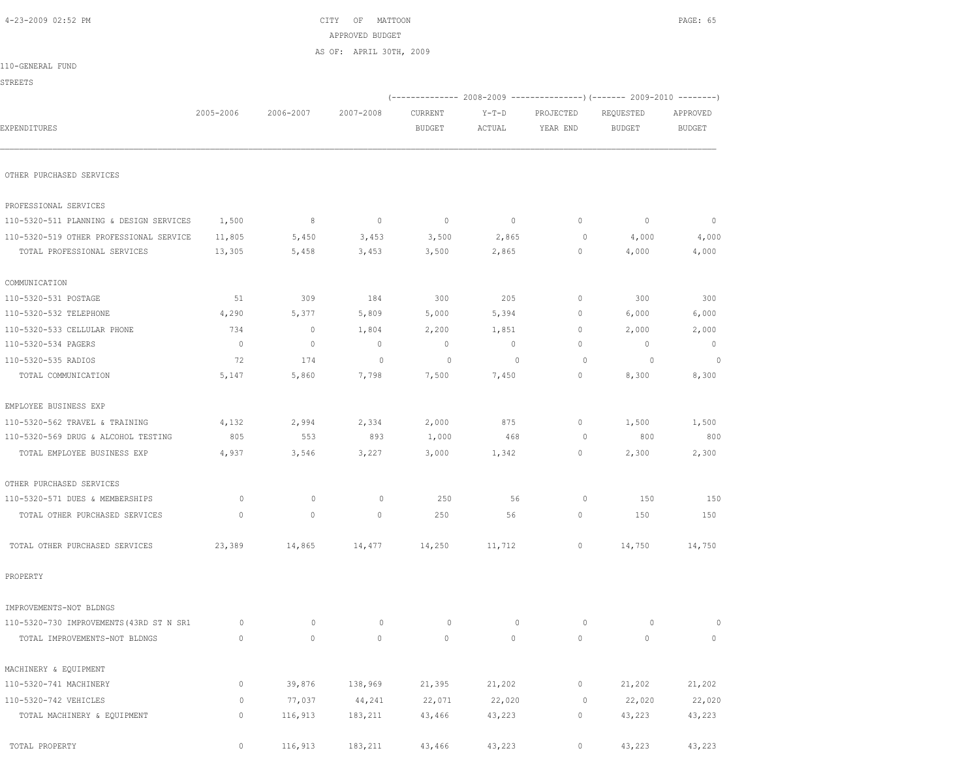|                                          |              |              | APPROVED BUDGET         |                          |         |              |                                                                        |                |
|------------------------------------------|--------------|--------------|-------------------------|--------------------------|---------|--------------|------------------------------------------------------------------------|----------------|
|                                          |              |              | AS OF: APRIL 30TH, 2009 |                          |         |              |                                                                        |                |
| 110-GENERAL FUND                         |              |              |                         |                          |         |              |                                                                        |                |
| <b>STREETS</b>                           |              |              |                         |                          |         |              |                                                                        |                |
|                                          | 2005-2006    | 2006-2007    | 2007-2008               |                          | $Y-T-D$ | PROJECTED    | (------------- 2008-2009 ---------------) (------- 2009-2010 --------) | APPROVED       |
| EXPENDITURES                             |              |              |                         | CURRENT<br><b>BUDGET</b> | ACTUAL  | YEAR END     | REQUESTED<br><b>BUDGET</b>                                             | <b>BUDGET</b>  |
|                                          |              |              |                         |                          |         |              |                                                                        |                |
| OTHER PURCHASED SERVICES                 |              |              |                         |                          |         |              |                                                                        |                |
| PROFESSIONAL SERVICES                    |              |              |                         |                          |         |              |                                                                        |                |
| 110-5320-511 PLANNING & DESIGN SERVICES  | 1,500        | 8            | $\overline{0}$          | $\overline{\phantom{0}}$ | $\circ$ | $\mathbf{0}$ | $\circ$                                                                | $\mathbf{0}$   |
| 110-5320-519 OTHER PROFESSIONAL SERVICE  | 11,805       | 5,450        | 3,453                   | 3,500                    | 2,865   | $\circ$      | 4,000                                                                  | 4,000          |
| TOTAL PROFESSIONAL SERVICES              | 13,305       | 5,458        | 3,453                   | 3,500                    | 2,865   | 0            | 4,000                                                                  | 4,000          |
| COMMUNICATION                            |              |              |                         |                          |         |              |                                                                        |                |
| 110-5320-531 POSTAGE                     | 51           | 309          | 184                     | 300                      | 205     | $\circ$      | 300                                                                    | 300            |
| 110-5320-532 TELEPHONE                   | 4,290        | 5,377        | 5,809                   | 5,000                    | 5,394   | 0            | 6,000                                                                  | 6,000          |
| 110-5320-533 CELLULAR PHONE              | 734          | $\circ$      | 1,804                   | 2,200                    | 1,851   | $\mathbf{0}$ | 2,000                                                                  | 2,000          |
| 110-5320-534 PAGERS                      | $\mathbf{0}$ | $\mathbf{0}$ | $\mathbf{0}$            | $\mathbf{0}$             | $\circ$ | $\Omega$     | $\mathbb O$                                                            | $\mathbf{0}$   |
| 110-5320-535 RADIOS                      | 72           | 174          | $\circ$                 | $\circ$                  | $\circ$ | 0            | $\overline{0}$                                                         | $\overline{0}$ |
| TOTAL COMMUNICATION                      | 5,147        | 5,860        | 7,798                   | 7,500                    | 7,450   | $\mathbf{0}$ | 8,300                                                                  | 8,300          |
| EMPLOYEE BUSINESS EXP                    |              |              |                         |                          |         |              |                                                                        |                |
| 110-5320-562 TRAVEL & TRAINING           | 4,132        | 2,994        | 2,334                   | 2,000                    | 875     | $\mathbf{0}$ | 1,500                                                                  | 1,500          |
| 110-5320-569 DRUG & ALCOHOL TESTING      | 805          | 553          | 893                     | 1,000                    | 468     | $\circ$      | 800                                                                    | 800            |
| TOTAL EMPLOYEE BUSINESS EXP              | 4,937        | 3,546        | 3,227                   | 3,000                    | 1,342   | $\circ$      | 2,300                                                                  | 2,300          |
| OTHER PURCHASED SERVICES                 |              |              |                         |                          |         |              |                                                                        |                |
| 110-5320-571 DUES & MEMBERSHIPS          | $\circ$      | $\circ$      | $\circ$                 | 250                      | 56      | 0            | 150                                                                    | 150            |
| TOTAL OTHER PURCHASED SERVICES           | $\mathbf 0$  | $\circ$      | $\circ$                 | 250                      | 56      | $\circ$      | 150                                                                    | 150            |
| TOTAL OTHER PURCHASED SERVICES           | 23,389       | 14,865       | 14,477                  | 14,250                   | 11,712  | 0            | 14,750                                                                 | 14,750         |
| PROPERTY                                 |              |              |                         |                          |         |              |                                                                        |                |
| IMPROVEMENTS-NOT BLDNGS                  |              |              |                         |                          |         |              |                                                                        |                |
| 110-5320-730 IMPROVEMENTS (43RD ST N SR1 | $\circ$      | $\circ$      | $\mathbb O$             | $\circ$                  | $\circ$ | $\circ$      | $\circ$                                                                | $\circ$        |
| TOTAL IMPROVEMENTS-NOT BLDNGS            | $\mathbb O$  | $\circ$      | $\mathbb O$             | $\mathbb O$              | $\circ$ | $\circ$      | $\circ$                                                                | $\circ$        |
| MACHINERY & EQUIPMENT                    |              |              |                         |                          |         |              |                                                                        |                |
| 110-5320-741 MACHINERY                   | $\mathbb O$  | 39,876       | 138,969                 | 21,395                   | 21,202  | $\circ$      | 21,202                                                                 | 21,202         |
| 110-5320-742 VEHICLES                    | 0            | 77,037       | 44,241                  | 22,071                   | 22,020  | $\circ$      | 22,020                                                                 | 22,020         |
| TOTAL MACHINERY & EQUIPMENT              | $\mathbb O$  | 116,913      | 183,211                 | 43,466                   | 43,223  | $\circ$      | 43,223                                                                 | 43,223         |
| TOTAL PROPERTY                           | $\circ$      | 116,913      | 183,211                 | 43,466                   | 43,223  | $\circ$      | 43,223                                                                 | 43,223         |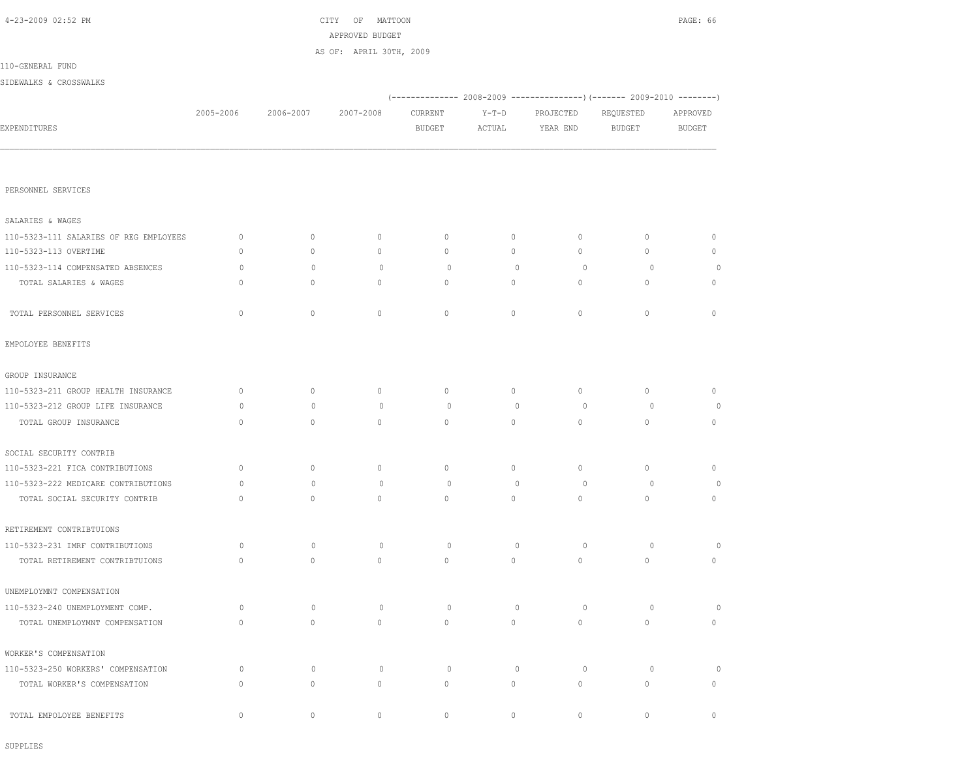|                                        |              |              | APPROVED BUDGET         |               |              |             |                                                                          |               |
|----------------------------------------|--------------|--------------|-------------------------|---------------|--------------|-------------|--------------------------------------------------------------------------|---------------|
|                                        |              |              | AS OF: APRIL 30TH, 2009 |               |              |             |                                                                          |               |
| 110-GENERAL FUND                       |              |              |                         |               |              |             |                                                                          |               |
| SIDEWALKS & CROSSWALKS                 |              |              |                         |               |              |             |                                                                          |               |
|                                        |              |              |                         |               |              |             | (-------------- 2008-2009 ----------------) (------- 2009-2010 --------) |               |
|                                        | 2005-2006    | 2006-2007    | 2007-2008               | CURRENT       | $Y-T-D$      | PROJECTED   | REQUESTED                                                                | APPROVED      |
| EXPENDITURES                           |              |              |                         | <b>BUDGET</b> | ACTUAL       | YEAR END    | <b>BUDGET</b>                                                            | <b>BUDGET</b> |
|                                        |              |              |                         |               |              |             |                                                                          |               |
|                                        |              |              |                         |               |              |             |                                                                          |               |
| PERSONNEL SERVICES                     |              |              |                         |               |              |             |                                                                          |               |
|                                        |              |              |                         |               |              |             |                                                                          |               |
| SALARIES & WAGES                       |              |              |                         |               |              |             |                                                                          |               |
| 110-5323-111 SALARIES OF REG EMPLOYEES | $\mathbf 0$  | $\circ$      | $\circ$                 | $\mathbf{0}$  | 0            | 0           | $\mathbf{0}$                                                             | $\mathbf 0$   |
| 110-5323-113 OVERTIME                  | $\mathbf 0$  | $\circ$      | $\circ$                 | $\mathbf{0}$  | $\circ$      | 0           | $\mathbf{0}$                                                             | $\mathbf 0$   |
| 110-5323-114 COMPENSATED ABSENCES      | $\circ$      | $\circ$      | $\circ$                 | $\circ$       | $\mathbb{O}$ | $\circ$     | $\circ$                                                                  | 0             |
| TOTAL SALARIES & WAGES                 | $\mathbf{0}$ | $\circ$      | $\circ$                 | $\circ$       | $\circ$      | 0           | $\mathbf{0}$                                                             | $\circ$       |
|                                        |              |              |                         |               |              |             |                                                                          |               |
| TOTAL PERSONNEL SERVICES               | $\mathbf{0}$ | $\mathbf{0}$ | $\mathbf{0}$            | $\mathbf{0}$  | $\circ$      | 0           | $\mathbf{0}$                                                             | $\circ$       |
| EMPOLOYEE BENEFITS                     |              |              |                         |               |              |             |                                                                          |               |
| GROUP INSURANCE                        |              |              |                         |               |              |             |                                                                          |               |
| 110-5323-211 GROUP HEALTH INSURANCE    | $\mathbf 0$  | $\circ$      | $\circ$                 | $\circ$       | $\circ$      | $\circ$     | $\circ$                                                                  | $\mathbf 0$   |
| 110-5323-212 GROUP LIFE INSURANCE      | $\circ$      | $\circ$      | $\circ$                 | $\circ$       | $\mathbb{O}$ | 0           | $\circ$                                                                  | 0             |
| TOTAL GROUP INSURANCE                  | $\mathbf{0}$ | $\mathbf{0}$ | $\mathbf{0}$            | $\circ$       | $\circ$      | 0           | $\mathbf{0}$                                                             | $\mathbf 0$   |
|                                        |              |              |                         |               |              |             |                                                                          |               |
| SOCIAL SECURITY CONTRIB                |              |              |                         |               |              |             |                                                                          |               |
| 110-5323-221 FICA CONTRIBUTIONS        | $\mathbf 0$  | $\circ$      | $\circ$                 | $\circ$       | $\circ$      | $\circ$     | $\circ$                                                                  | $\mathbb{O}$  |
| 110-5323-222 MEDICARE CONTRIBUTIONS    | $\circ$      | $\mathbf{0}$ | $\circ$                 | $\circ$       | $\mathbf{0}$ | 0           | $\circ$                                                                  | 0             |
| TOTAL SOCIAL SECURITY CONTRIB          | $\mathbf{0}$ | $\mathbf{0}$ | $\mathbf{0}$            | $\mathbf{0}$  | $\circ$      | $\circ$     | $\mathbf{0}$                                                             | $\circ$       |
| RETIREMENT CONTRIBTUIONS               |              |              |                         |               |              |             |                                                                          |               |
| 110-5323-231 IMRF CONTRIBUTIONS        | $\circ$      | $\circ$      | $\circ$                 | $\circ$       | $\mathbb{O}$ | 0           | $\circ$                                                                  | 0             |
| TOTAL RETIREMENT CONTRIBTUIONS         | $\mathbb O$  | $\circ$      | $\circ$                 | $\mathbb O$   | $\circ$      | $\mathbb O$ | $\mathbb O$                                                              | $\mathbb O$   |
|                                        |              |              |                         |               |              |             |                                                                          |               |
| UNEMPLOYMNT COMPENSATION               |              |              |                         |               |              |             |                                                                          |               |
| 110-5323-240 UNEMPLOYMENT COMP.        | $\circ$      | $\mathbb O$  | $\circ$                 | 0             | $\circ$      | $\circ$     | $\circ$                                                                  | $\circ$       |
| TOTAL UNEMPLOYMNT COMPENSATION         | $\circ$      | $\mathbb O$  | $\circ$                 | $\circ$       | $\circ$      | $\circ$     | $\circ$                                                                  | $\circ$       |
| WORKER'S COMPENSATION                  |              |              |                         |               |              |             |                                                                          |               |
| 110-5323-250 WORKERS' COMPENSATION     | $\circ$      | $\mathbf{0}$ | $\circ$                 | $\circ$       | $\mathbf{0}$ | $\circ$     | $\circ$                                                                  | $\circ$       |
| TOTAL WORKER'S COMPENSATION            | $\mathbf{0}$ | $\circ$      | $\mathbf{0}$            | $\circ$       | $\circ$      | 0           | $\mathbf{0}$                                                             | $\mathbf 0$   |
|                                        |              |              |                         |               |              |             |                                                                          |               |
| TOTAL EMPOLOYEE BENEFITS               | $\mathbb O$  | $\circ$      | $\circ$                 | $\circ$       | $\circ$      | $\circ$     | $\circ$                                                                  | $\circ$       |

SUPPLIES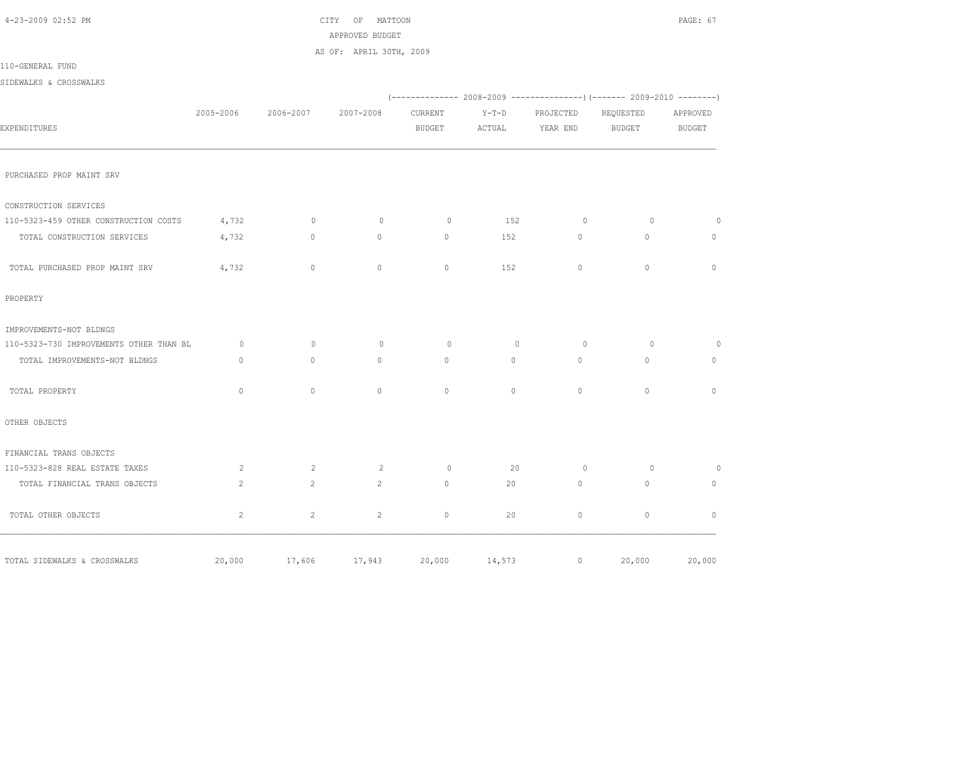| 4-23-2009 02:52 PM                      |                |                | CITY<br>$\overline{\text{OF}}$<br>MATTOON<br>APPROVED BUDGET |                          |                   |                       |                                                                          | PAGE: 67           |
|-----------------------------------------|----------------|----------------|--------------------------------------------------------------|--------------------------|-------------------|-----------------------|--------------------------------------------------------------------------|--------------------|
|                                         |                |                | AS OF: APRIL 30TH, 2009                                      |                          |                   |                       |                                                                          |                    |
| 110-GENERAL FUND                        |                |                |                                                              |                          |                   |                       |                                                                          |                    |
| SIDEWALKS & CROSSWALKS                  |                |                |                                                              |                          |                   |                       |                                                                          |                    |
|                                         |                |                |                                                              |                          |                   |                       | (-------------- 2008-2009 ----------------) (------- 2009-2010 --------) |                    |
| EXPENDITURES                            | 2005-2006      | 2006-2007      | 2007-2008                                                    | CURRENT<br><b>BUDGET</b> | $Y-T-D$<br>ACTUAL | PROJECTED<br>YEAR END | REQUESTED<br><b>BUDGET</b>                                               | APPROVED<br>BUDGET |
| PURCHASED PROP MAINT SRV                |                |                |                                                              |                          |                   |                       |                                                                          |                    |
| CONSTRUCTION SERVICES                   |                |                |                                                              |                          |                   |                       |                                                                          |                    |
| 110-5323-459 OTHER CONSTRUCTION COSTS   | 4,732          | $\circ$        | $\circ$                                                      | $\circ$                  | 152               | $\circ$               | $\Omega$                                                                 | $\circ$            |
| TOTAL CONSTRUCTION SERVICES             | 4,732          | $\circ$        | $\circ$                                                      | $\circ$                  | 152               | $\circ$               | $\mathbf{0}$                                                             | $\mathbf{0}$       |
| TOTAL PURCHASED PROP MAINT SRV          | 4,732          | $\circ$        | $\mathbf{0}$                                                 | $\mathbf{0}$             | 152               | $\circ$               | $\mathbf{0}$                                                             | $\mathbf{0}$       |
| PROPERTY                                |                |                |                                                              |                          |                   |                       |                                                                          |                    |
| IMPROVEMENTS-NOT BLDNGS                 |                |                |                                                              |                          |                   |                       |                                                                          |                    |
| 110-5323-730 IMPROVEMENTS OTHER THAN BL | $\circ$        | $\mathbf{0}$   | $\circ$                                                      | $\circ$                  | $\mathbf{0}$      | $\circ$               | $\circ$                                                                  | $\circ$            |
| TOTAL IMPROVEMENTS-NOT BLDNGS           | $\circ$        | $\circ$        | $\circ$                                                      | $\circ$                  | $\circ$           | $\circ$               | $\mathbf{0}$                                                             | $\circ$            |
| TOTAL PROPERTY                          | $\mathbf{0}$   | $\circ$        | $\mathbf{0}$                                                 | $\mathbf{0}$             | $\circ$           | $\circ$               | $\mathbf{0}$                                                             | $\mathbf{0}$       |
| OTHER OBJECTS                           |                |                |                                                              |                          |                   |                       |                                                                          |                    |
| FINANCIAL TRANS OBJECTS                 |                |                |                                                              |                          |                   |                       |                                                                          |                    |
| 110-5323-828 REAL ESTATE TAXES          | 2              | 2              | 2                                                            | $\circ$                  | 20                | $\circ$               | $\circ$                                                                  | $\circ$            |
| TOTAL FINANCIAL TRANS OBJECTS           | $\overline{c}$ | $\overline{2}$ | $\overline{c}$                                               | $\circ$                  | 20                | $\circ$               | $\circ$                                                                  | $\circ$            |
| TOTAL OTHER OBJECTS                     | 2              | $\overline{2}$ | $\overline{c}$                                               | $\circ$                  | 20                | $\mathbb O$           | $\circ$                                                                  | $\mathbf{0}$       |
| TOTAL SIDEWALKS & CROSSWALKS            | 20,000         | 17,606         | 17,943                                                       | 20,000                   | 14,573            | $\circ$               | 20,000                                                                   | 20,000             |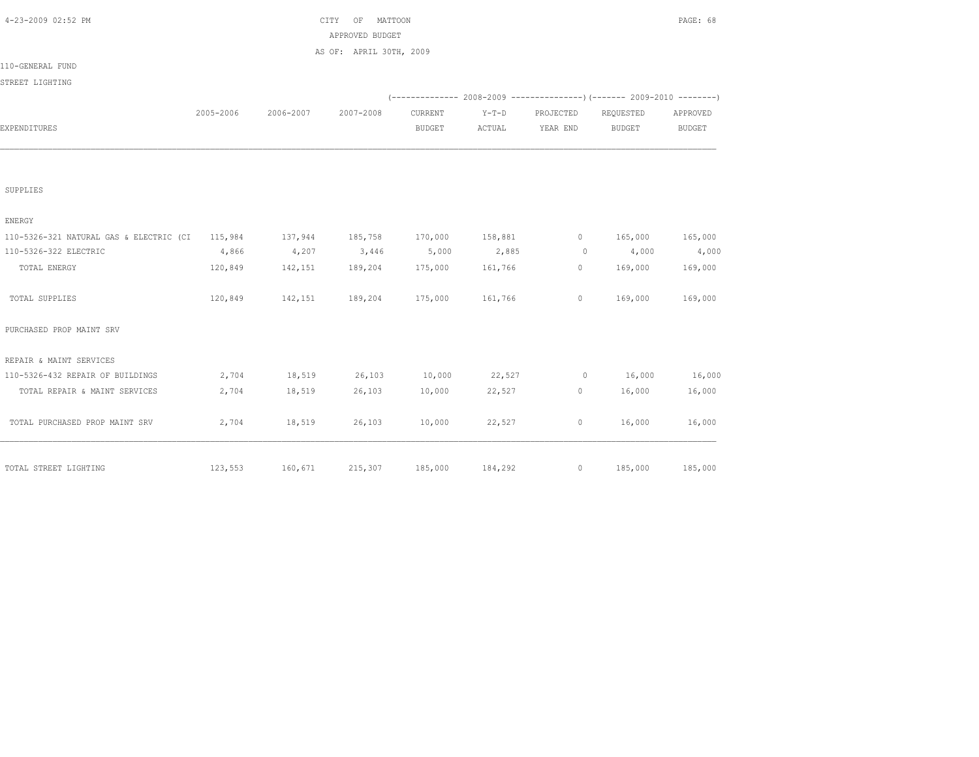| 4-23-2009 02:52 PM                              |           |           | MATTOON<br>CITY<br>ΟF   | PAGE: 68        |         |           |                                                                          |               |
|-------------------------------------------------|-----------|-----------|-------------------------|-----------------|---------|-----------|--------------------------------------------------------------------------|---------------|
|                                                 |           |           | APPROVED BUDGET         |                 |         |           |                                                                          |               |
|                                                 |           |           | AS OF: APRIL 30TH, 2009 |                 |         |           |                                                                          |               |
| 110-GENERAL FUND                                |           |           |                         |                 |         |           |                                                                          |               |
| STREET LIGHTING                                 |           |           |                         |                 |         |           |                                                                          |               |
|                                                 |           |           |                         |                 |         |           | (-------------- 2008-2009 ----------------) (------- 2009-2010 --------) |               |
|                                                 | 2005-2006 | 2006-2007 | 2007-2008               | CURRENT         | $Y-T-D$ | PROJECTED | REQUESTED                                                                | APPROVED      |
| EXPENDITURES                                    |           |           |                         | <b>BUDGET</b>   | ACTUAL  | YEAR END  | BUDGET                                                                   | <b>BUDGET</b> |
|                                                 |           |           |                         |                 |         |           |                                                                          |               |
| SUPPLIES                                        |           |           |                         |                 |         |           |                                                                          |               |
| ENERGY                                          |           |           |                         |                 |         |           |                                                                          |               |
| 110-5326-321 NATURAL GAS & ELECTRIC (CI 115,984 |           | 137,944   | 185,758                 | 170,000 158,881 |         | $\circ$   | 165,000                                                                  | 165,000       |
| 110-5326-322 ELECTRIC                           | 4,866     | 4,207     | 3,446                   | 5,000           | 2,885   | $\circ$   | 4,000                                                                    | 4,000         |
| TOTAL ENERGY                                    | 120,849   | 142,151   | 189,204                 | 175,000         | 161,766 | 0         | 169,000                                                                  | 169,000       |
| TOTAL SUPPLIES                                  | 120,849   | 142,151   | 189,204                 | 175,000         | 161,766 | $\circ$   | 169,000                                                                  | 169,000       |
| PURCHASED PROP MAINT SRV                        |           |           |                         |                 |         |           |                                                                          |               |
| REPAIR & MAINT SERVICES                         |           |           |                         |                 |         |           |                                                                          |               |
| 110-5326-432 REPAIR OF BUILDINGS                | 2,704     | 18,519    | 26,103                  | 10,000          | 22,527  | $\circ$   | 16,000                                                                   | 16,000        |
| TOTAL REPAIR & MAINT SERVICES                   | 2,704     | 18,519    | 26,103                  | 10,000          | 22,527  | 0         | 16,000                                                                   | 16,000        |
| TOTAL PURCHASED PROP MAINT SRV                  | 2,704     | 18,519    | 26,103                  | 10,000          | 22,527  | $\circ$   | 16,000                                                                   | 16,000        |
| TOTAL STREET LIGHTING                           | 123,553   | 160,671   | 215,307                 | 185,000         | 184,292 | $\circ$   | 185,000                                                                  | 185,000       |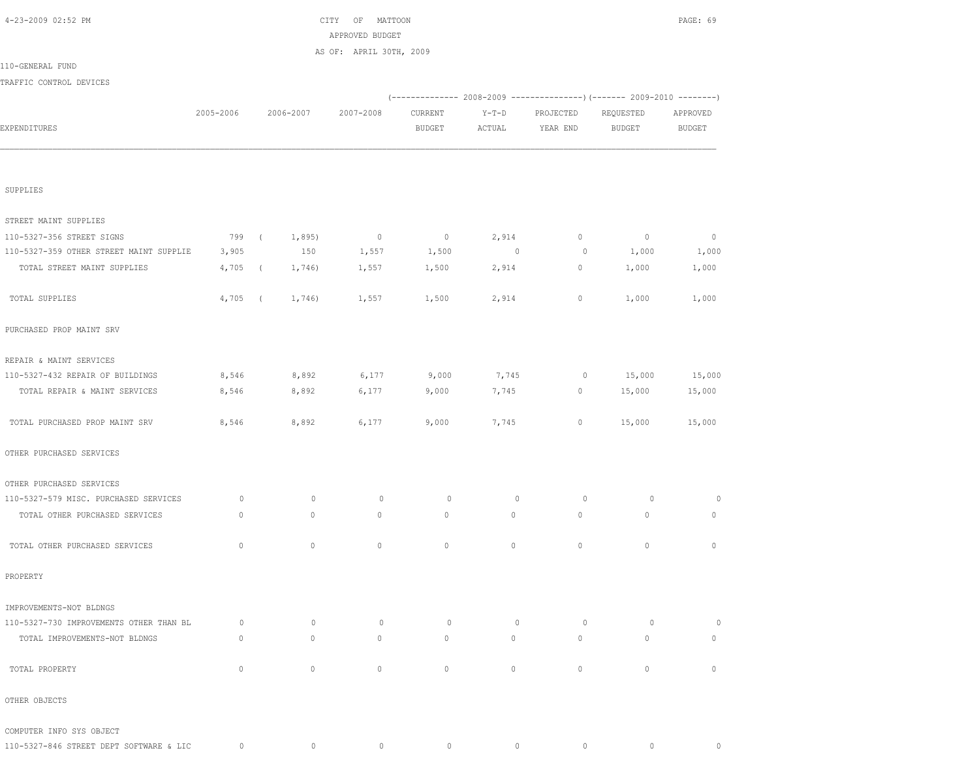|                                         |              |             | APPROVED BUDGET         |               |          |           |                                                                          |                          |
|-----------------------------------------|--------------|-------------|-------------------------|---------------|----------|-----------|--------------------------------------------------------------------------|--------------------------|
|                                         |              |             | AS OF: APRIL 30TH, 2009 |               |          |           |                                                                          |                          |
| 110-GENERAL FUND                        |              |             |                         |               |          |           |                                                                          |                          |
| TRAFFIC CONTROL DEVICES                 |              |             |                         |               |          |           |                                                                          |                          |
|                                         |              |             |                         |               |          |           | (-------------- 2008-2009 ----------------) (------- 2009-2010 --------) |                          |
|                                         | 2005-2006    | 2006-2007   | 2007-2008               | CURRENT       | $Y-T-D$  | PROJECTED | REQUESTED                                                                | APPROVED                 |
| EXPENDITURES                            |              |             |                         | <b>BUDGET</b> | ACTUAL   | YEAR END  | BUDGET                                                                   | <b>BUDGET</b>            |
|                                         |              |             |                         |               |          |           |                                                                          |                          |
|                                         |              |             |                         |               |          |           |                                                                          |                          |
|                                         |              |             |                         |               |          |           |                                                                          |                          |
| SUPPLIES                                |              |             |                         |               |          |           |                                                                          |                          |
| STREET MAINT SUPPLIES                   |              |             |                         |               |          |           |                                                                          |                          |
| 110-5327-356 STREET SIGNS               | 799 (        | 1,895)      | $\sim$ 0                | $\sim$ 0      | 2,914    | $\circ$   | $\circ$                                                                  | $\overline{\phantom{0}}$ |
| 110-5327-359 OTHER STREET MAINT SUPPLIE | 3,905        | 150         | 1,557                   | 1,500         | $\sim$ 0 | $\circ$   | 1,000                                                                    | 1,000                    |
| TOTAL STREET MAINT SUPPLIES             | $4,705$ (    | 1,746)      | 1,557                   | 1,500         | 2,914    | $\circ$   | 1,000                                                                    | 1,000                    |
|                                         |              |             |                         |               |          |           |                                                                          |                          |
| TOTAL SUPPLIES                          | $4,705$ (    | 1,746)      | 1,557                   | 1,500         | 2,914    | $\circ$   | 1,000                                                                    | 1,000                    |
|                                         |              |             |                         |               |          |           |                                                                          |                          |
| PURCHASED PROP MAINT SRV                |              |             |                         |               |          |           |                                                                          |                          |
|                                         |              |             |                         |               |          |           |                                                                          |                          |
| REPAIR & MAINT SERVICES                 |              |             |                         |               |          |           |                                                                          |                          |
| 110-5327-432 REPAIR OF BUILDINGS        | 8,546        | 8,892       | 6,177                   | 9,000         | 7,745    | $\circ$   | 15,000                                                                   | 15,000                   |
| TOTAL REPAIR & MAINT SERVICES           | 8,546        | 8,892       | 6,177                   | 9,000         | 7,745    | $\circ$   | 15,000                                                                   | 15,000                   |
|                                         |              |             |                         |               |          |           |                                                                          |                          |
| TOTAL PURCHASED PROP MAINT SRV          | 8,546        | 8,892       | 6,177                   | 9,000         | 7,745    | $\circ$   | 15,000                                                                   | 15,000                   |
|                                         |              |             |                         |               |          |           |                                                                          |                          |
| OTHER PURCHASED SERVICES                |              |             |                         |               |          |           |                                                                          |                          |
| OTHER PURCHASED SERVICES                |              |             |                         |               |          |           |                                                                          |                          |
| 110-5327-579 MISC. PURCHASED SERVICES   | $\circ$      | $\circ$     | $\circ$                 | $\circ$       | $\circ$  | $\circ$   | $\circ$                                                                  | 0                        |
| TOTAL OTHER PURCHASED SERVICES          | $\circ$      | 0           | $\circ$                 | $\circ$       | $\circ$  | $\circ$   | $\circ$                                                                  | $\circ$                  |
|                                         |              |             |                         |               |          |           |                                                                          |                          |
| TOTAL OTHER PURCHASED SERVICES          | $\mathbf{0}$ | $\circ$     | $\mathbf{0}$            | $\mathbf{0}$  | $\circ$  | $\circ$   | $\mathbf{0}$                                                             | $\mathbf{0}$             |
|                                         |              |             |                         |               |          |           |                                                                          |                          |
| PROPERTY                                |              |             |                         |               |          |           |                                                                          |                          |
|                                         |              |             |                         |               |          |           |                                                                          |                          |
| IMPROVEMENTS-NOT BLDNGS                 |              |             |                         |               |          |           |                                                                          |                          |
| 110-5327-730 IMPROVEMENTS OTHER THAN BL | $\circ$      | $\mathbf 0$ | $\circ$                 | $\circ$       | $\circ$  | $\circ$   | $\circ$                                                                  | $\circ$                  |
| TOTAL IMPROVEMENTS-NOT BLDNGS           | $\mathbf{0}$ | $\circ$     | $\mathbf{0}$            | $\mathbf{0}$  | $\circ$  | $\circ$   | $\circ$                                                                  | $\mathbf{0}$             |
|                                         |              |             |                         |               |          |           |                                                                          |                          |
| TOTAL PROPERTY                          | $\circ$      | $\mathbb O$ | $\circ$                 | $\circ$       | 0        | $\circ$   | $\circ$                                                                  | $\circ$                  |
|                                         |              |             |                         |               |          |           |                                                                          |                          |
| OTHER OBJECTS                           |              |             |                         |               |          |           |                                                                          |                          |
|                                         |              |             |                         |               |          |           |                                                                          |                          |
| COMPUTER INFO SYS OBJECT                | $\circ$      | $\circ$     | $\circ$                 | $\circ$       | $\circ$  | $\circ$   | $\circ$                                                                  | $\circ$                  |
| 110-5327-846 STREET DEPT SOFTWARE & LIC |              |             |                         |               |          |           |                                                                          |                          |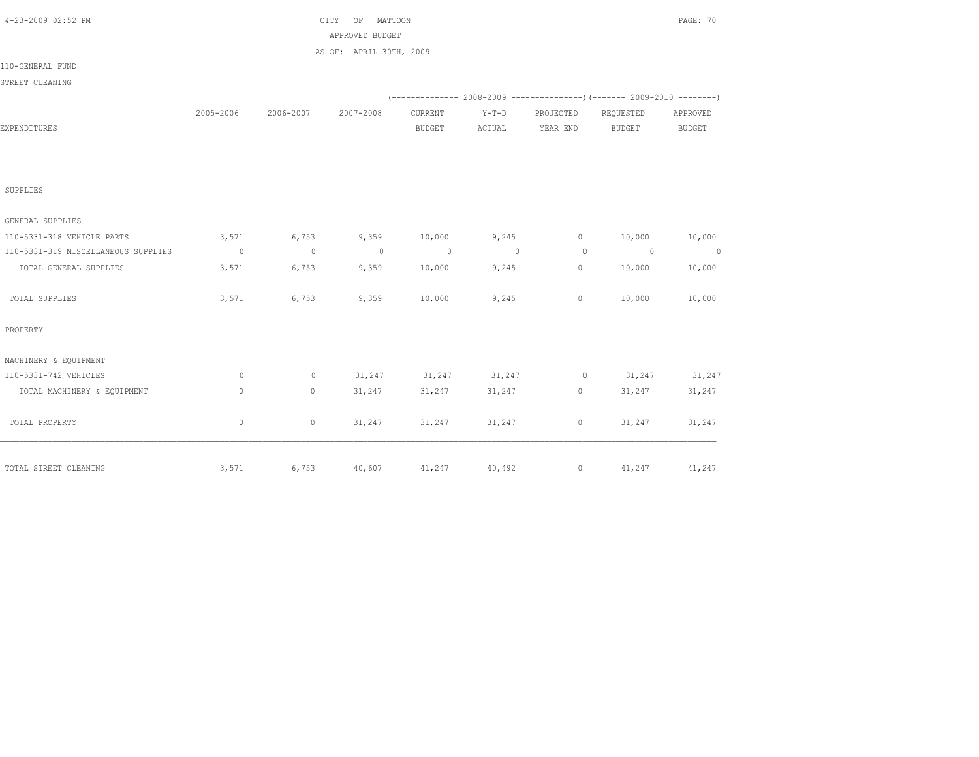|              |           | ΟF        |                |                                                       |                                            |               | PAGE: 70                                                                           |
|--------------|-----------|-----------|----------------|-------------------------------------------------------|--------------------------------------------|---------------|------------------------------------------------------------------------------------|
|              |           |           |                |                                                       |                                            |               |                                                                                    |
|              |           |           |                |                                                       |                                            |               |                                                                                    |
|              |           |           |                |                                                       |                                            |               |                                                                                    |
|              |           |           |                |                                                       |                                            |               |                                                                                    |
|              |           |           |                |                                                       |                                            |               |                                                                                    |
| 2005-2006    | 2006-2007 | 2007-2008 | CURRENT        | $Y-T-D$                                               | PROJECTED                                  | REQUESTED     | APPROVED                                                                           |
|              |           |           | BUDGET         | ACTUAL                                                | YEAR END                                   | <b>BUDGET</b> | <b>BUDGET</b>                                                                      |
|              |           |           |                |                                                       |                                            |               |                                                                                    |
|              |           |           |                |                                                       |                                            |               |                                                                                    |
|              |           |           |                |                                                       |                                            |               |                                                                                    |
| 3,571        | 6,753     | 9,359     | 10,000         | 9,245                                                 | $\circ$                                    | 10,000        | 10,000                                                                             |
| $\sim$ 0     | $\sim$ 0  | $\sim$ 0  | $\sim$ 0       | $\sim$ 0                                              | $\overline{0}$                             | $\sim$ 0      | $\sim$ 0                                                                           |
| 3,571        | 6,753     | 9,359     | 10,000         | 9,245                                                 | 0                                          | 10,000        | 10,000                                                                             |
| 3,571        | 6,753     | 9,359     | 10,000         | 9,245                                                 | $\circ$                                    | 10,000        | 10,000                                                                             |
|              |           |           |                |                                                       |                                            |               |                                                                                    |
|              |           |           |                |                                                       |                                            |               |                                                                                    |
| 0            | $\circ$   | 31,247    |                |                                                       | $\circ$                                    | 31,247        | 31,247                                                                             |
| $\mathbf{0}$ | $\circ$   | 31,247    | 31,247         | 31,247                                                | $\circ$                                    | 31,247        | 31,247                                                                             |
| 0            | $\circ$   | 31,247    |                | 31,247                                                | $\circ$                                    | 31,247        | 31,247                                                                             |
|              |           |           |                |                                                       |                                            |               | 41,247                                                                             |
|              | 3,571     | 6,753     | CITY<br>40,607 | MATTOON<br>APPROVED BUDGET<br>AS OF: APRIL 30TH, 2009 | 31, 247 31, 247<br>31,247<br>41,247 40,492 | $\circ$       | (-------------- 2008-2009 ----------------) (------- 2009-2010 --------)<br>41,247 |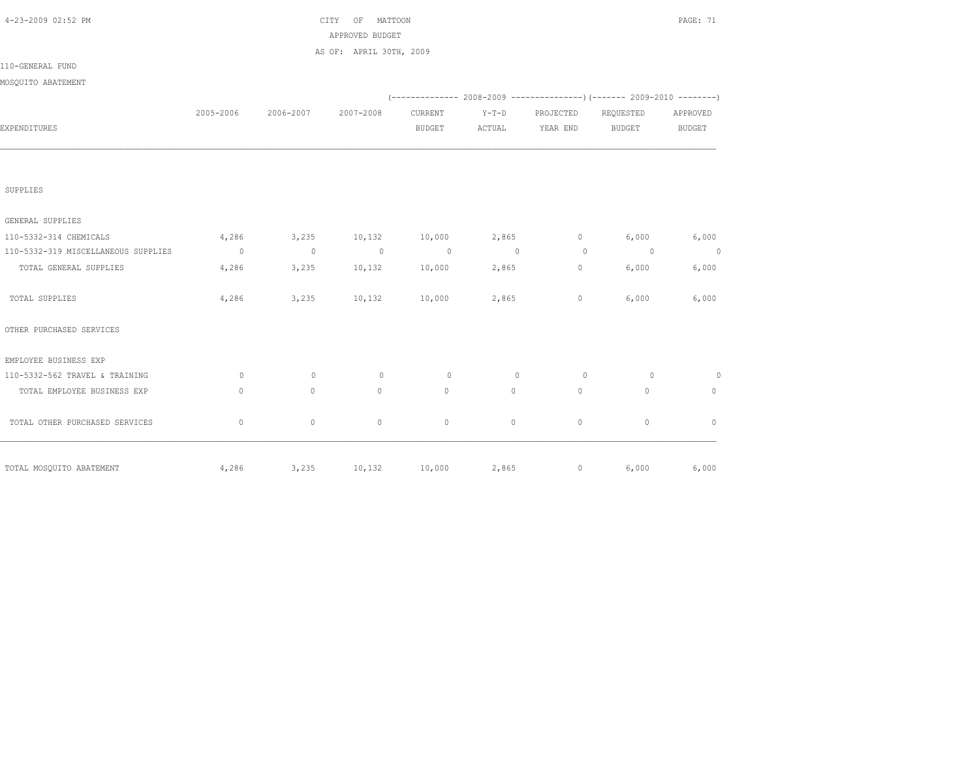| 4-23-2009 02:52 PM                  |              |              | CITY OF<br>MATTOON      |                |          |                |                                                                             | PAGE: 71      |
|-------------------------------------|--------------|--------------|-------------------------|----------------|----------|----------------|-----------------------------------------------------------------------------|---------------|
|                                     |              |              | APPROVED BUDGET         |                |          |                |                                                                             |               |
|                                     |              |              | AS OF: APRIL 30TH, 2009 |                |          |                |                                                                             |               |
| 110-GENERAL FUND                    |              |              |                         |                |          |                |                                                                             |               |
| MOSQUITO ABATEMENT                  |              |              |                         |                |          |                |                                                                             |               |
|                                     |              |              |                         |                |          |                | $(-$ ------------- 2008-2009 ----------------) (------- 2009-2010 --------) |               |
|                                     | 2005-2006    | 2006-2007    | 2007-2008               | CURRENT        | $Y-T-D$  | PROJECTED      | REQUESTED                                                                   | APPROVED      |
| EXPENDITURES                        |              |              |                         | <b>BUDGET</b>  | ACTUAL   | YEAR END       | <b>BUDGET</b>                                                               | <b>BUDGET</b> |
|                                     |              |              |                         |                |          |                |                                                                             |               |
| SUPPLIES                            |              |              |                         |                |          |                |                                                                             |               |
| GENERAL SUPPLIES                    |              |              |                         |                |          |                |                                                                             |               |
| 110-5332-314 CHEMICALS              | 4,286        | 3,235        | 10,132                  | 10,000         | 2,865    | $\circ$        | 6,000                                                                       | 6,000         |
| 110-5332-319 MISCELLANEOUS SUPPLIES | $\sim$ 0     | $\sim$ 0     | $\sim$ 0                | $\overline{0}$ | $\sim$ 0 | $\overline{0}$ | $\sim$ 0                                                                    | $\circ$       |
| TOTAL GENERAL SUPPLIES              | 4,286        | 3,235        | 10,132                  | 10,000         | 2,865    | $\circ$        | 6,000                                                                       | 6,000         |
| TOTAL SUPPLIES                      | 4,286        | 3,235        | 10,132                  | 10,000         | 2,865    | $\circ$        | 6,000                                                                       | 6,000         |
| OTHER PURCHASED SERVICES            |              |              |                         |                |          |                |                                                                             |               |
| EMPLOYEE BUSINESS EXP               |              |              |                         |                |          |                |                                                                             |               |
| 110-5332-562 TRAVEL & TRAINING      | $\Omega$     | $\circ$      | $\Omega$                | $\circ$        | $\Omega$ | $\bigcirc$     | $\Omega$                                                                    | $\circ$       |
| TOTAL EMPLOYEE BUSINESS EXP         | $\mathbf{0}$ | $\mathbf{0}$ | $\mathbf{0}$            | $\circ$        | $\circ$  | $\circ$        | $\mathbf{0}$                                                                | $\circ$       |
| TOTAL OTHER PURCHASED SERVICES      | $\mathbf 0$  | $\circ$      | $\circ$                 | $\mathbf{0}$   | $\circ$  | $\circ$        | $\mathbf{0}$                                                                | $\Omega$      |
| TOTAL MOSQUITO ABATEMENT            | 4,286        |              | 3,235 10,132            | 10,000         | 2,865    |                | 6,000<br>$\overline{0}$                                                     | 6,000         |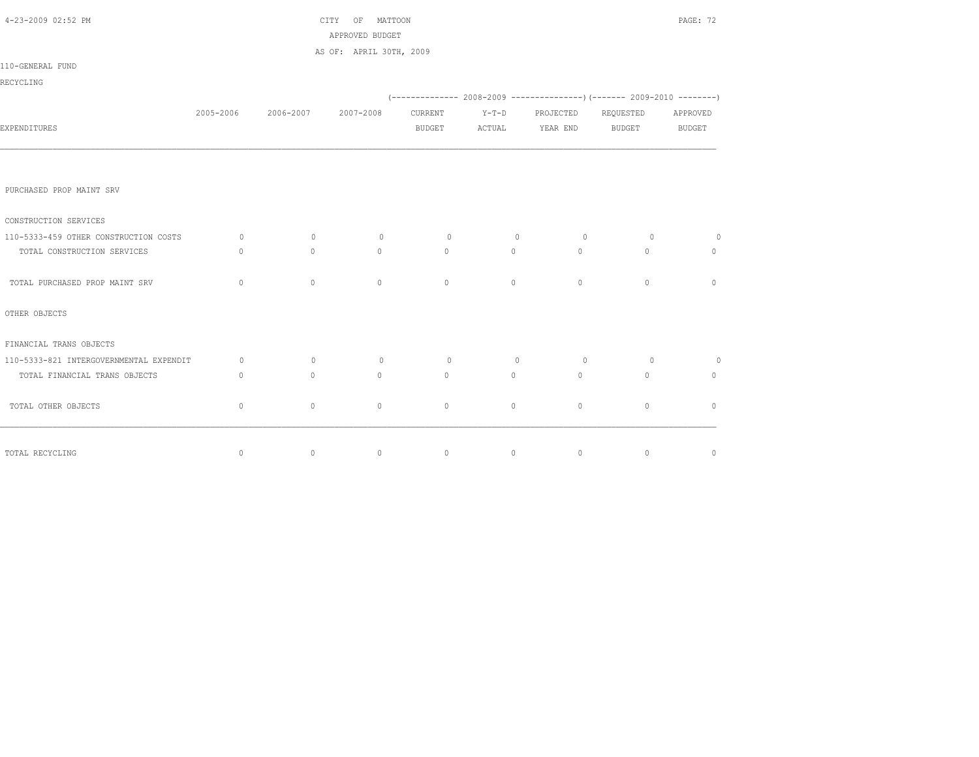| 4-23-2009 02:52 PM                      |              | CITY OF MATTOON |                                            | PAGE: 72      |                |                 |                                                                                |                |
|-----------------------------------------|--------------|-----------------|--------------------------------------------|---------------|----------------|-----------------|--------------------------------------------------------------------------------|----------------|
|                                         |              |                 | APPROVED BUDGET<br>AS OF: APRIL 30TH, 2009 |               |                |                 |                                                                                |                |
| 110-GENERAL FUND                        |              |                 |                                            |               |                |                 |                                                                                |                |
| RECYCLING                               |              |                 |                                            |               |                |                 |                                                                                |                |
|                                         |              |                 |                                            |               |                |                 | $(-$ ------------- 2008-2009 ------------------) (------- 2009-2010 ---------) |                |
|                                         | 2005-2006    | 2006-2007       | 2007-2008                                  | CURRENT       | $Y-T-D$        | PROJECTED       | REQUESTED                                                                      | APPROVED       |
| EXPENDITURES                            |              |                 |                                            | <b>BUDGET</b> |                | ACTUAL YEAR END | BUDGET                                                                         | <b>BUDGET</b>  |
|                                         |              |                 |                                            |               |                |                 |                                                                                |                |
| PURCHASED PROP MAINT SRV                |              |                 |                                            |               |                |                 |                                                                                |                |
| CONSTRUCTION SERVICES                   |              |                 |                                            |               |                |                 |                                                                                |                |
| 110-5333-459 OTHER CONSTRUCTION COSTS   | $\circ$      | $\circ$         | $\circ$                                    | $\circ$       | $\overline{0}$ | $\overline{0}$  | $\circ$                                                                        | $\overline{0}$ |
| TOTAL CONSTRUCTION SERVICES             | $\mathbf{0}$ | $\circ$         | $\overline{0}$                             | $\circ$       | $\circ$        | $\circ$         | $\mathbf{0}$                                                                   | $\mathbf{0}$   |
| TOTAL PURCHASED PROP MAINT SRV          | $\circ$      | $\circ$         | $\circ$                                    | $\circ$       | $\circ$        | $\circ$         | $\mathbf{0}$                                                                   | $\mathbf{0}$   |
| OTHER OBJECTS                           |              |                 |                                            |               |                |                 |                                                                                |                |
| FINANCIAL TRANS OBJECTS                 |              |                 |                                            |               |                |                 |                                                                                |                |
| 110-5333-821 INTERGOVERNMENTAL EXPENDIT | $\circ$      | $\circ$         | $\circ$                                    | $\circ$       | $\circ$        | $\overline{0}$  | $\circ$                                                                        | $\overline{0}$ |
| TOTAL FINANCIAL TRANS OBJECTS           | $\circ$      | $\mathbf{0}$    | $\circ$                                    | $\circ$       | $\circ$        | $\circ$         | $\mathbf{0}$                                                                   | $\mathbf{0}$   |
| TOTAL OTHER OBJECTS                     | $\circ$      | $\circ$         | $\circ$                                    | $\circ$       | $\circ$        | $\circ$         | $\mathbf{0}$                                                                   | $\overline{0}$ |
|                                         |              |                 |                                            |               |                |                 |                                                                                |                |
| TOTAL RECYCLING                         | $\circ$      | $\circ$         | $\circ$                                    | $\circ$       | $\circ$        | $\circ$         | $\circ$                                                                        | $\circ$        |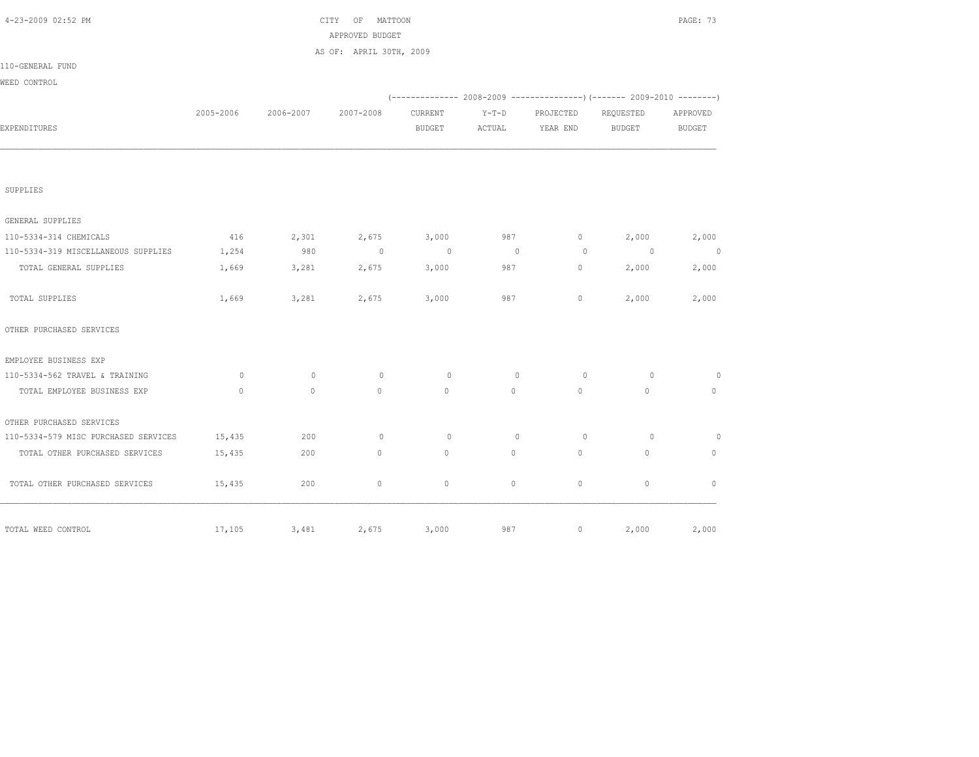| 4-23-2009 02:52 PM                   |           |           | CITY OF MATTOON<br>APPROVED BUDGET |                |              |             |                | PAGE: 73      |
|--------------------------------------|-----------|-----------|------------------------------------|----------------|--------------|-------------|----------------|---------------|
|                                      |           |           | AS OF: APRIL 30TH, 2009            |                |              |             |                |               |
| 110-GENERAL FUND                     |           |           |                                    |                |              |             |                |               |
| WEED CONTROL                         |           |           |                                    |                |              |             |                |               |
|                                      |           |           |                                    |                |              |             |                |               |
|                                      | 2005-2006 | 2006-2007 | 2007-2008                          | CURRENT        | $Y-T-D$      | PROJECTED   | REQUESTED      | APPROVED      |
| EXPENDITURES                         |           |           |                                    | <b>BUDGET</b>  | ACTUAL       | YEAR END    | <b>BUDGET</b>  | <b>BUDGET</b> |
|                                      |           |           |                                    |                |              |             |                |               |
| SUPPLIES                             |           |           |                                    |                |              |             |                |               |
| GENERAL SUPPLIES                     |           |           |                                    |                |              |             |                |               |
| 110-5334-314 CHEMICALS               | 416       | 2,301     | 2,675                              | 3,000          | 987          | $\circ$     | 2,000          | 2,000         |
| 110-5334-319 MISCELLANEOUS SUPPLIES  | 1,254     | 980       | $\bigcirc$                         | $\overline{0}$ | $\sim$ 0     | $\circ$     | $\overline{0}$ | $\sim$ 0      |
| TOTAL GENERAL SUPPLIES               | 1,669     | 3,281     | 2,675                              | 3,000          | 987          | $\circ$     | 2,000          | 2,000         |
| TOTAL SUPPLIES                       | 1,669     | 3,281     | 2,675                              | 3,000          | 987          | $\circ$     | 2,000          | 2,000         |
| OTHER PURCHASED SERVICES             |           |           |                                    |                |              |             |                |               |
| EMPLOYEE BUSINESS EXP                |           |           |                                    |                |              |             |                |               |
| 110-5334-562 TRAVEL & TRAINING       | $\circ$   | $\circ$   | $\circ$                            | $\circ$        | $\mathbf{0}$ | $\circ$     | $\circ$        | $\circ$       |
| TOTAL EMPLOYEE BUSINESS EXP          | $\Omega$  | $\Omega$  | $\overline{0}$                     | $\circ$        | $\circ$      | $\circ$     | $\Omega$       | $\circ$       |
| OTHER PURCHASED SERVICES             |           |           |                                    |                |              |             |                |               |
| 110-5334-579 MISC PURCHASED SERVICES | 15,435    | 200       | $\circ$                            | $\circ$        | $\mathbf{0}$ | $\circ$     | $\circ$        | $\circ$       |
| TOTAL OTHER PURCHASED SERVICES       | 15,435    | 200       | $\mathbf{0}$                       | $\circ$        | $\circ$      | $\Omega$    | $\mathbf{0}$   | $\Omega$      |
| TOTAL OTHER PURCHASED SERVICES       | 15,435    | 200       | $\circ$                            | $\mathbb O$    | $\circ$      | $\mathbb O$ | $\mathbb O$    | $\mathbf{0}$  |
| TOTAL WEED CONTROL                   | 17,105    | 3,481     | 2,675                              | 3,000          | 987          | $\circ$     | 2,000          | 2,000         |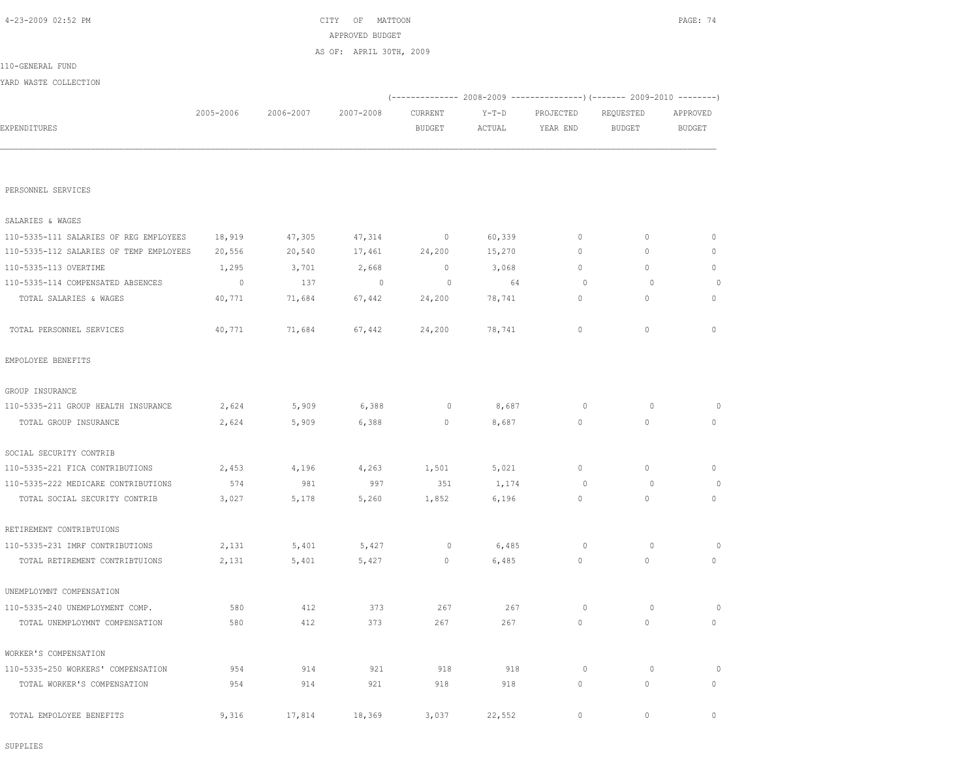SUPPLIES

| 110-5335-113 OVERTIME               | 1,295   | 3,701  | 2,668   | $\mathbf{0}$ | 3,068  | $\circ$  | $\mathbf{0}$ | $\circ$        |
|-------------------------------------|---------|--------|---------|--------------|--------|----------|--------------|----------------|
| 110-5335-114 COMPENSATED ABSENCES   | $\circ$ | 137    | $\circ$ | $\Omega$     | 64     | $\Omega$ | $\Omega$     | $\overline{0}$ |
| TOTAL SALARIES & WAGES              | 40,771  | 71,684 | 67,442  | 24,200       | 78,741 | $\circ$  | $\circ$      | $\circ$        |
| TOTAL PERSONNEL SERVICES            | 40,771  | 71,684 | 67,442  | 24,200       | 78,741 | $\circ$  | $\circ$      | $\mathbf{0}$   |
| EMPOLOYEE BENEFITS                  |         |        |         |              |        |          |              |                |
| GROUP INSURANCE                     |         |        |         |              |        |          |              |                |
| 110-5335-211 GROUP HEALTH INSURANCE | 2,624   | 5,909  | 6,388   | $\circ$      | 8,687  | $\circ$  | $\circ$      | $\circ$        |
| TOTAL GROUP INSURANCE               | 2,624   | 5,909  | 6,388   | $\circ$      | 8,687  | $\circ$  | $\circ$      | $\circ$        |
| SOCIAL SECURITY CONTRIB             |         |        |         |              |        |          |              |                |
| 110-5335-221 FICA CONTRIBUTIONS     | 2,453   | 4,196  | 4,263   | 1,501        | 5,021  | $\circ$  | $\circ$      | $\circ$        |
| 110-5335-222 MEDICARE CONTRIBUTIONS | 574     | 981    | 997     | 351          | 1,174  | $\Omega$ | $\Omega$     | $\overline{0}$ |
| TOTAL SOCIAL SECURITY CONTRIB       | 3,027   | 5,178  | 5,260   | 1,852        | 6,196  | $\circ$  | $\circ$      | $\circ$        |
| RETIREMENT CONTRIBTUIONS            |         |        |         |              |        |          |              |                |
| 110-5335-231 IMRF CONTRIBUTIONS     | 2,131   | 5,401  | 5,427   | $\circ$      | 6,485  | $\circ$  | $\circ$      | $\overline{0}$ |
| TOTAL RETIREMENT CONTRIBTUIONS      | 2,131   | 5,401  | 5,427   | $\circ$      | 6,485  | $\circ$  | $\mathbf{0}$ | $\circ$        |
| UNEMPLOYMNT COMPENSATION            |         |        |         |              |        |          |              |                |
| 110-5335-240 UNEMPLOYMENT COMP.     | 580     | 412    | 373     | 267          | 267    | $\circ$  | $\circ$      | $\circ$        |
| TOTAL UNEMPLOYMNT COMPENSATION      | 580     | 412    | 373     | 267          | 267    | 0        | $\mathbf{0}$ | $\circ$        |
| WORKER'S COMPENSATION               |         |        |         |              |        |          |              |                |
| 110-5335-250 WORKERS' COMPENSATION  | 954     | 914    | 921     | 918          | 918    | $\circ$  | $\circ$      | $\circ$        |
| TOTAL WORKER'S COMPENSATION         | 954     | 914    | 921     | 918          | 918    | $\circ$  | $\mathbf{0}$ | $\circ$        |
| TOTAL EMPOLOYEE BENEFITS            | 9,316   | 17,814 | 18,369  | 3,037        | 22,552 | $\circ$  | $\circ$      | $\mathbf{0}$   |

PERSONNEL SERVICES

SALARIES & WAGES

| 2005-2006 | 2006-2007 | 2007-2008 | CURRENT | $Y-T-D$                                    | PROJECTED | REQUESTED | APPROVED |
|-----------|-----------|-----------|---------|--------------------------------------------|-----------|-----------|----------|
|           |           |           | BUDGET  | ACTUAL                                     | YEAR END  | BUDGET    | BUDGET   |
|           |           |           |         |                                            |           |           |          |
|           |           |           |         |                                            |           |           |          |
|           |           |           |         |                                            |           |           |          |
|           |           |           |         | APPROVED BUDGET<br>AS OF: APRIL 30TH, 2009 |           |           |          |

 110-5335-111 SALARIES OF REG EMPLOYEES 18,919 47,305 47,314 0 60,339 0 0 0 110-5335-112 SALARIES OF TEMP EMPLOYEES 20,556 20,540 17,461 24,200 15,270 0 0 0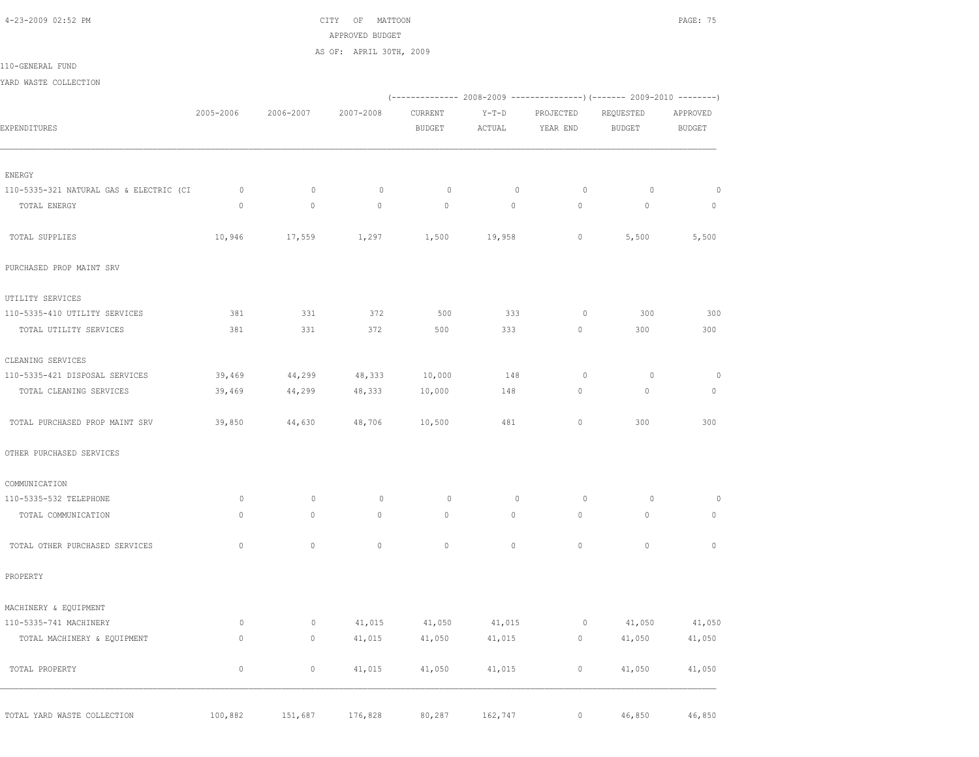4-23-2009 02:52 PM CITY OF MATTOON PAGE: 75 APPROVED BUDGET

AS OF: APRIL 30TH, 2009

110-GENERAL FUND

YARD WASTE COLLECTION

|                                         |              |              |             |                          |                   |                       | (-------------- 2008-2009 ----------------) (------- 2009-2010 --------) |                           |
|-----------------------------------------|--------------|--------------|-------------|--------------------------|-------------------|-----------------------|--------------------------------------------------------------------------|---------------------------|
| EXPENDITURES                            | 2005-2006    | 2006-2007    | 2007-2008   | CURRENT<br><b>BUDGET</b> | $Y-T-D$<br>ACTUAL | PROJECTED<br>YEAR END | REQUESTED<br><b>BUDGET</b>                                               | APPROVED<br><b>BUDGET</b> |
|                                         |              |              |             |                          |                   |                       |                                                                          |                           |
| ENERGY                                  |              |              |             |                          |                   |                       |                                                                          |                           |
| 110-5335-321 NATURAL GAS & ELECTRIC (CI | $\circ$      | $\mathbf{0}$ | $\circ$     | $\circ$                  | $\circ$           | $\circ$               | $\circ$                                                                  | $\circ$                   |
| TOTAL ENERGY                            | $\Omega$     | $\circ$      | $\circ$     | $\mathbf{0}$             | $\circ$           | $\circ$               | $\circ$                                                                  | $\mathbf{0}$              |
| TOTAL SUPPLIES                          | 10,946       | 17,559       | 1,297       | 1,500                    | 19,958            | $\circ$               | 5,500                                                                    | 5,500                     |
| PURCHASED PROP MAINT SRV                |              |              |             |                          |                   |                       |                                                                          |                           |
| UTILITY SERVICES                        |              |              |             |                          |                   |                       |                                                                          |                           |
| 110-5335-410 UTILITY SERVICES           | 381          | 331          | 372         | 500                      | 333               | $\circ$               | 300                                                                      | 300                       |
| TOTAL UTILITY SERVICES                  | 381          | 331          | 372         | 500                      | 333               | $\circ$               | 300                                                                      | 300                       |
| CLEANING SERVICES                       |              |              |             |                          |                   |                       |                                                                          |                           |
| 110-5335-421 DISPOSAL SERVICES          | 39,469       | 44,299       | 48,333      | 10,000                   | 148               | $\circ$               | $\circ$                                                                  | $\circ$                   |
| TOTAL CLEANING SERVICES                 | 39,469       | 44,299       | 48,333      | 10,000                   | 148               | $\circ$               | $\circ$                                                                  | $\mathbb O$               |
| TOTAL PURCHASED PROP MAINT SRV          | 39,850       | 44,630       | 48,706      | 10,500                   | 481               | $\mathbb O$           | 300                                                                      | 300                       |
| OTHER PURCHASED SERVICES                |              |              |             |                          |                   |                       |                                                                          |                           |
| COMMUNICATION                           |              |              |             |                          |                   |                       |                                                                          |                           |
| 110-5335-532 TELEPHONE                  | $\circ$      | $\circ$      | $\mathbb O$ | $\circ$                  | $\mathbb O$       | $\circ$               | $\circ$                                                                  | $\circ$                   |
| TOTAL COMMUNICATION                     | $\mathbf 0$  | $\circ$      | $\circ$     | $\mathbb O$              | $\circ$           | $\mathbb O$           | $\circ$                                                                  | $\mathbb O$               |
| TOTAL OTHER PURCHASED SERVICES          | $\mathbf{0}$ | $\circ$      | $\circ$     | $\circ$                  | $\circ$           | $\circ$               | $\circ$                                                                  | $\mathbf{0}$              |
| PROPERTY                                |              |              |             |                          |                   |                       |                                                                          |                           |
| MACHINERY & EQUIPMENT                   |              |              |             |                          |                   |                       |                                                                          |                           |
| 110-5335-741 MACHINERY                  | $\circ$      | $\circ$      | 41,015      | 41,050                   | 41,015            | $\circ$               | 41,050                                                                   | 41,050                    |
| TOTAL MACHINERY & EQUIPMENT             | $\mathbf{0}$ | $\circ$      | 41,015      | 41,050                   | 41,015            | 0                     | 41,050                                                                   | 41,050                    |
| TOTAL PROPERTY                          | $\mathbb O$  | $\mathbb O$  | 41,015      | 41,050                   | 41,015            | $\circ$               | 41,050                                                                   | 41,050                    |
| TOTAL YARD WASTE COLLECTION             | 100,882      | 151,687      | 176,828     | 80,287                   | 162,747           | $\circ$               | 46,850                                                                   | 46,850                    |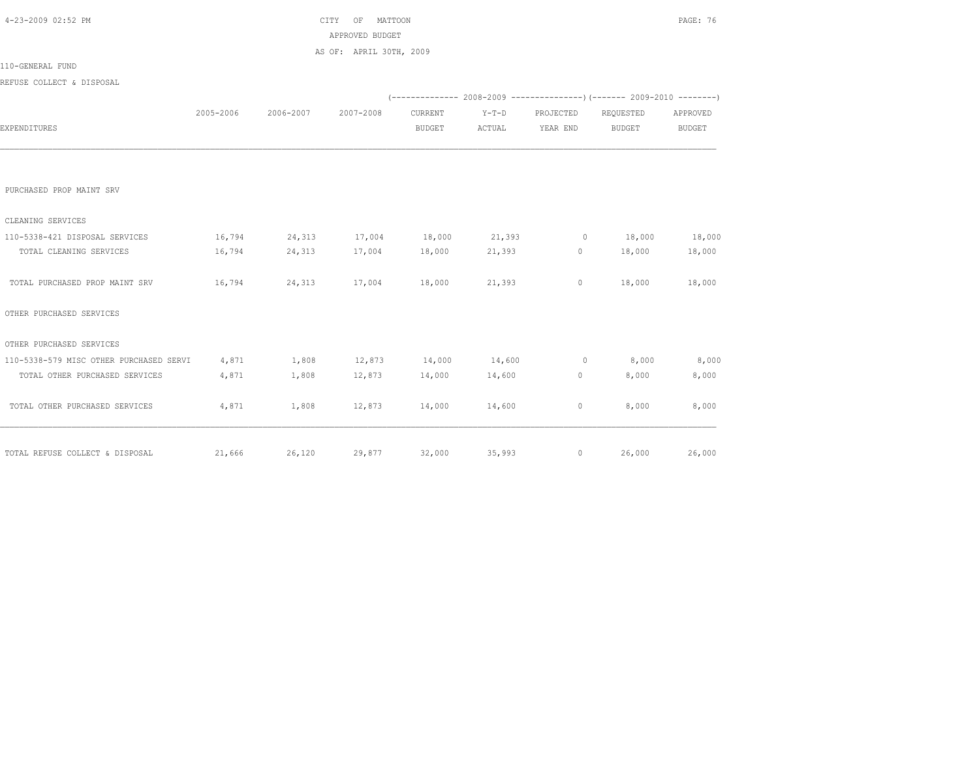| 4-23-2009 02:52 PM                            |           |               | OF<br>MATTOON<br>CITY                          |               |               |              |                                                                          | PAGE: 76 |
|-----------------------------------------------|-----------|---------------|------------------------------------------------|---------------|---------------|--------------|--------------------------------------------------------------------------|----------|
|                                               |           |               | APPROVED BUDGET                                |               |               |              |                                                                          |          |
|                                               |           |               | AS OF: APRIL 30TH, 2009                        |               |               |              |                                                                          |          |
| 110-GENERAL FUND                              |           |               |                                                |               |               |              |                                                                          |          |
| REFUSE COLLECT & DISPOSAL                     |           |               |                                                |               |               |              |                                                                          |          |
|                                               |           |               |                                                |               |               |              | (-------------- 2008-2009 ----------------) (------- 2009-2010 --------) |          |
|                                               | 2005-2006 | 2006-2007     | 2007-2008                                      | CURRENT       | $Y-T-D$       | PROJECTED    | REQUESTED                                                                | APPROVED |
| EXPENDITURES                                  |           |               |                                                | <b>BUDGET</b> | ACTUAL        | YEAR END     | BUDGET                                                                   | BUDGET   |
|                                               |           |               |                                                |               |               |              |                                                                          |          |
| PURCHASED PROP MAINT SRV                      |           |               |                                                |               |               |              |                                                                          |          |
| CLEANING SERVICES                             |           |               |                                                |               |               |              |                                                                          |          |
| 110-5338-421 DISPOSAL SERVICES                | 16,794    |               | $24,313$ $17,004$ $18,000$ $21,393$ 0 $18,000$ |               |               |              |                                                                          | 18,000   |
| TOTAL CLEANING SERVICES                       | 16,794    | 24,313        | 17,004 18,000                                  |               | 21,393        |              | $0 \t 18,000$                                                            | 18,000   |
| TOTAL PURCHASED PROP MAINT SRV                |           | 16,794 24,313 | 17,004                                         | 18,000        | 21,393        | $\mathbf{0}$ | 18,000                                                                   | 18,000   |
| OTHER PURCHASED SERVICES                      |           |               |                                                |               |               |              |                                                                          |          |
| OTHER PURCHASED SERVICES                      |           |               |                                                |               |               |              |                                                                          |          |
| 110-5338-579 MISC OTHER PURCHASED SERVI 4,871 |           | 1,808         | 12,873 14,000 14,600                           |               |               | $0 \t 8,000$ |                                                                          | 8,000    |
| TOTAL OTHER PURCHASED SERVICES                | 4,871     | 1,808         | 12,873                                         |               | 14,000 14,600 | 0            | 8,000                                                                    | 8,000    |
| TOTAL OTHER PURCHASED SERVICES                | 4,871     | 1,808         |                                                | 12,873 14,000 | 14,600        | 0            | 8,000                                                                    | 8,000    |
|                                               |           |               |                                                |               |               |              |                                                                          |          |
| TOTAL REFUSE COLLECT & DISPOSAL               |           |               | $21,666$ $26,120$ $29,877$ $32,000$            |               |               | 35,993       | 26,000<br>$0 \qquad \qquad$                                              | 26,000   |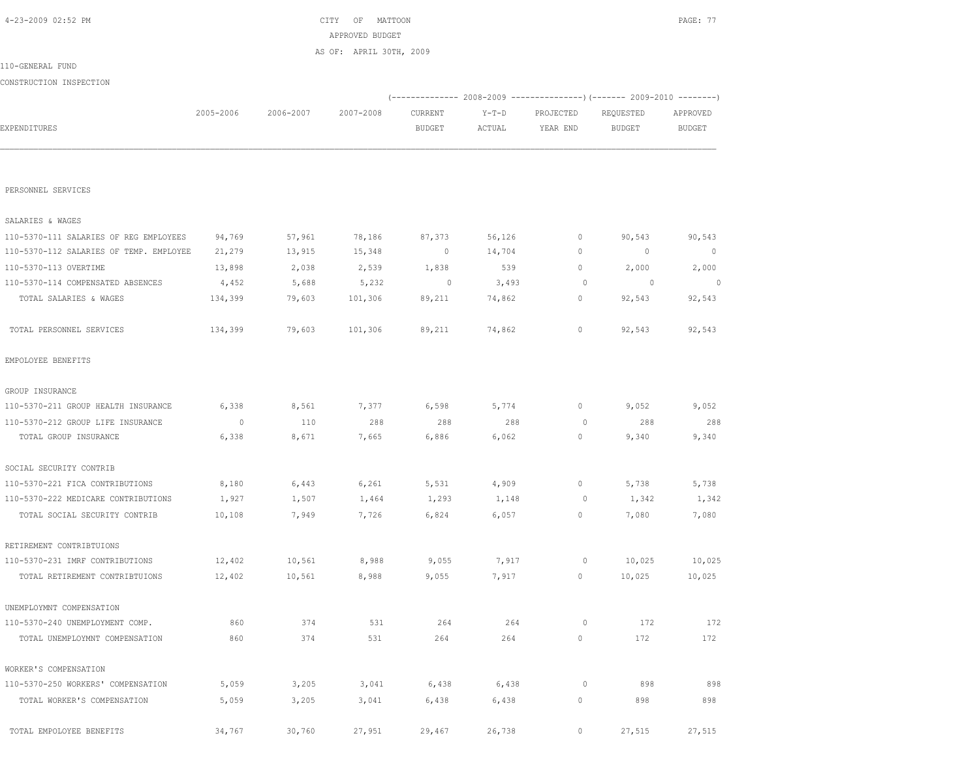| PERSONNEL SERVICES                      |         |        |         |         |        |             |         |         |
|-----------------------------------------|---------|--------|---------|---------|--------|-------------|---------|---------|
| SALARIES & WAGES                        |         |        |         |         |        |             |         |         |
| 110-5370-111 SALARIES OF REG EMPLOYEES  | 94,769  | 57,961 | 78,186  | 87,373  | 56,126 | 0           | 90,543  | 90,543  |
| 110-5370-112 SALARIES OF TEMP. EMPLOYEE | 21,279  | 13,915 | 15,348  | $\circ$ | 14,704 | 0           | $\circ$ | $\circ$ |
| 110-5370-113 OVERTIME                   | 13,898  | 2,038  | 2,539   | 1,838   | 539    | 0           | 2,000   | 2,000   |
| 110-5370-114 COMPENSATED ABSENCES       | 4,452   | 5,688  | 5,232   | $\circ$ | 3,493  | $\circ$     | $\circ$ | $\circ$ |
| TOTAL SALARIES & WAGES                  | 134,399 | 79,603 | 101,306 | 89,211  | 74,862 | 0           | 92,543  | 92,543  |
| TOTAL PERSONNEL SERVICES                | 134,399 | 79,603 | 101,306 | 89,211  | 74,862 | 0           | 92,543  | 92,543  |
| EMPOLOYEE BENEFITS                      |         |        |         |         |        |             |         |         |
| GROUP INSURANCE                         |         |        |         |         |        |             |         |         |
| 110-5370-211 GROUP HEALTH INSURANCE     | 6,338   | 8,561  | 7,377   | 6,598   | 5,774  | $\mathbb O$ | 9,052   | 9,052   |
| 110-5370-212 GROUP LIFE INSURANCE       | $\circ$ | 110    | 288     | 288     | 288    | $\circ$     | 288     | 288     |
| TOTAL GROUP INSURANCE                   | 6,338   | 8,671  | 7,665   | 6,886   | 6,062  | $\mathbb O$ | 9,340   | 9,340   |
| SOCIAL SECURITY CONTRIB                 |         |        |         |         |        |             |         |         |
| 110-5370-221 FICA CONTRIBUTIONS         | 8,180   | 6,443  | 6,261   | 5,531   | 4,909  | 0           | 5,738   | 5,738   |
| 110-5370-222 MEDICARE CONTRIBUTIONS     | 1,927   | 1,507  | 1,464   | 1,293   | 1,148  | 0           | 1,342   | 1,342   |
| TOTAL SOCIAL SECURITY CONTRIB           | 10,108  | 7,949  | 7,726   | 6,824   | 6,057  | $\mathbf 0$ | 7,080   | 7,080   |
| RETIREMENT CONTRIBTUIONS                |         |        |         |         |        |             |         |         |
| 110-5370-231 IMRF CONTRIBUTIONS         | 12,402  | 10,561 | 8,988   | 9,055   | 7,917  | $\circ$     | 10,025  | 10,025  |
| TOTAL RETIREMENT CONTRIBTUIONS          | 12,402  | 10,561 | 8,988   | 9,055   | 7,917  | 0           | 10,025  | 10,025  |
| UNEMPLOYMNT COMPENSATION                |         |        |         |         |        |             |         |         |
| 110-5370-240 UNEMPLOYMENT COMP.         | 860     | 374    | 531     | 264     | 264    | $\circ$     | 172     | 172     |
| TOTAL UNEMPLOYMNT COMPENSATION          | 860     | 374    | 531     | 264     | 264    | 0           | 172     | 172     |
| WORKER'S COMPENSATION                   |         |        |         |         |        |             |         |         |
| 110-5370-250 WORKERS' COMPENSATION      | 5,059   | 3,205  | 3,041   | 6,438   | 6,438  | $\mathbb O$ | 898     | 898     |
| TOTAL WORKER'S COMPENSATION             | 5,059   | 3,205  | 3,041   | 6,438   | 6,438  | 0           | 898     | 898     |
| TOTAL EMPOLOYEE BENEFITS                | 34,767  | 30,760 | 27,951  | 29,467  | 26,738 | $\mathbf 0$ | 27,515  | 27,515  |

|                         |           |           | APPROVED BUDGET         |               |         |                                                                 |           |          |
|-------------------------|-----------|-----------|-------------------------|---------------|---------|-----------------------------------------------------------------|-----------|----------|
|                         |           |           | AS OF: APRIL 30TH, 2009 |               |         |                                                                 |           |          |
| 110-GENERAL FUND        |           |           |                         |               |         |                                                                 |           |          |
| CONSTRUCTION INSPECTION |           |           |                         |               |         |                                                                 |           |          |
|                         |           |           |                         |               |         | $(---------- 2008-2009 ------------ 2009-2010 ------ 2009-2010$ |           |          |
|                         | 2005-2006 | 2006-2007 | 2007-2008               | CURRENT       | $Y-T-D$ | PROJECTED                                                       | REQUESTED | APPROVED |
| <b>EXPENDITURES</b>     |           |           |                         | <b>BUDGET</b> | ACTUAL  | YEAR END                                                        | BUDGET    | BUDGET   |
|                         |           |           |                         |               |         |                                                                 |           |          |
|                         |           |           |                         |               |         |                                                                 |           |          |
|                         |           |           |                         |               |         |                                                                 |           |          |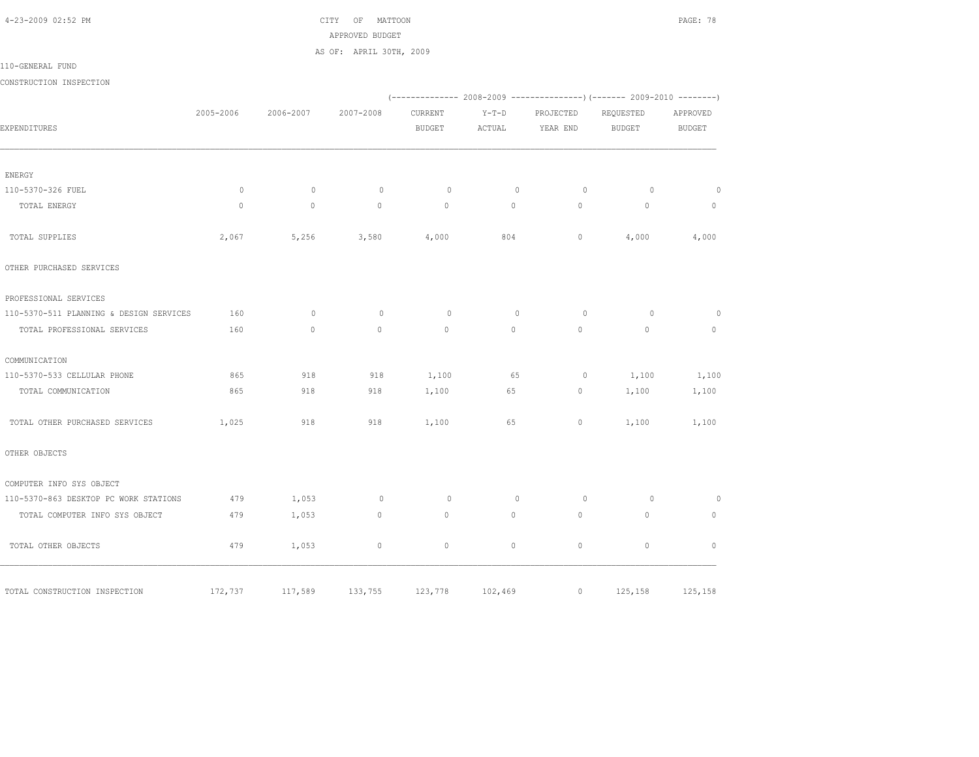4-23-2009 02:52 PM CITY OF MATTOON PAGE: 78 APPROVED BUDGET AS OF: APRIL 30TH, 2009

110-GENERAL FUND

CONSTRUCTION INSPECTION

|                                         |           |           |             |               |             |           | (-------------- 2008-2009 ----------------) (------- 2009-2010 --------) |               |
|-----------------------------------------|-----------|-----------|-------------|---------------|-------------|-----------|--------------------------------------------------------------------------|---------------|
|                                         | 2005-2006 | 2006-2007 | 2007-2008   | CURRENT       | $Y-T-D$     | PROJECTED | REQUESTED                                                                | APPROVED      |
| EXPENDITURES                            |           |           |             | <b>BUDGET</b> | ACTUAL      | YEAR END  | <b>BUDGET</b>                                                            | <b>BUDGET</b> |
|                                         |           |           |             |               |             |           |                                                                          |               |
| ENERGY                                  |           |           |             |               |             |           |                                                                          |               |
| 110-5370-326 FUEL                       | $\circ$   | $\circ$   | $\circ$     | 0             | $\mathbf 0$ | $\circ$   | $\circ$                                                                  | $\circ$       |
| TOTAL ENERGY                            | $\circ$   | $\circ$   | $\circ$     | $\circ$       | $\circ$     | $\circ$   | $\circ$                                                                  | $\mathbb O$   |
| TOTAL SUPPLIES                          | 2,067     | 5,256     | 3,580       | 4,000         | 804         | $\circ$   | 4,000                                                                    | 4,000         |
| OTHER PURCHASED SERVICES                |           |           |             |               |             |           |                                                                          |               |
| PROFESSIONAL SERVICES                   |           |           |             |               |             |           |                                                                          |               |
| 110-5370-511 PLANNING & DESIGN SERVICES | 160       | $\circ$   | $\circ$     | 0             | $\mathbf 0$ | $\circ$   | $\circ$                                                                  | 0             |
| TOTAL PROFESSIONAL SERVICES             | 160       | $\circ$   | $\circ$     | $\mathbb O$   | $\circ$     | 0         | $\mathbb O$                                                              | 0             |
| COMMUNICATION                           |           |           |             |               |             |           |                                                                          |               |
| 110-5370-533 CELLULAR PHONE             | 865       | 918       | 918         | 1,100         | 65          | $\circ$   | 1,100                                                                    | 1,100         |
| TOTAL COMMUNICATION                     | 865       | 918       | 918         | 1,100         | 65          | $\circ$   | 1,100                                                                    | 1,100         |
| TOTAL OTHER PURCHASED SERVICES          | 1,025     | 918       | 918         | 1,100         | 65          | 0         | 1,100                                                                    | 1,100         |
| OTHER OBJECTS                           |           |           |             |               |             |           |                                                                          |               |
| COMPUTER INFO SYS OBJECT                |           |           |             |               |             |           |                                                                          |               |
| 110-5370-863 DESKTOP PC WORK STATIONS   | 479       | 1,053     | $\circ$     | $\circ$       | $\mathbb O$ | $\circ$   | $\circ$                                                                  | $\circ$       |
| TOTAL COMPUTER INFO SYS OBJECT          | 479       | 1,053     | $\circ$     | $\circ$       | $\circ$     | $\circ$   | $\circ$                                                                  | $\circ$       |
| TOTAL OTHER OBJECTS                     | 479       | 1,053     | $\mathbb O$ | 0             | $\circ$     | $\circ$   | $\mathbb O$                                                              | $\mathbf{0}$  |
| TOTAL CONSTRUCTION INSPECTION           | 172,737   | 117,589   | 133,755     | 123,778       | 102,469     | $\circ$   | 125,158                                                                  | 125,158       |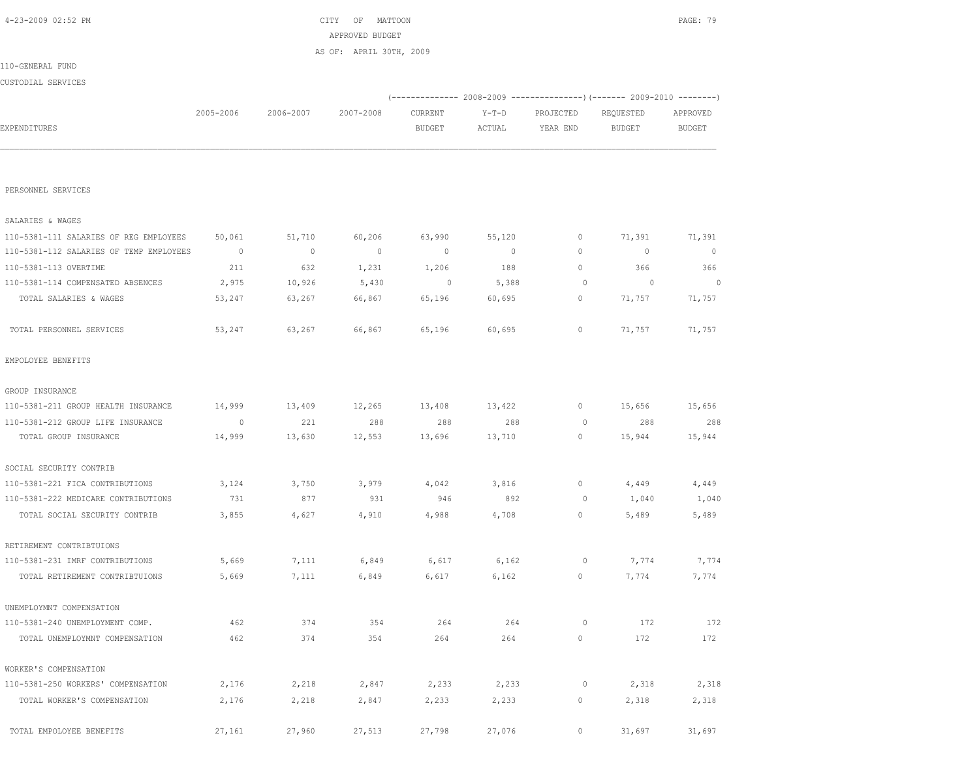| PERSONNEL SERVICES                      |                          |         |                |              |                |             |             |             |
|-----------------------------------------|--------------------------|---------|----------------|--------------|----------------|-------------|-------------|-------------|
| SALARIES & WAGES                        |                          |         |                |              |                |             |             |             |
| 110-5381-111 SALARIES OF REG EMPLOYEES  | 50,061                   | 51,710  | 60,206         | 63,990       | 55,120         | $\circ$     | 71,391      | 71,391      |
| 110-5381-112 SALARIES OF TEMP EMPLOYEES | $\overline{\phantom{0}}$ | $\circ$ | $\overline{0}$ | $\mathbf{0}$ | $\overline{0}$ | $\circ$     | $\mathbf 0$ | $\mathbf 0$ |
| 110-5381-113 OVERTIME                   | 211                      | 632     | 1,231          | 1,206        | 188            | $\circ$     | 366         | 366         |
| 110-5381-114 COMPENSATED ABSENCES       | 2,975                    | 10,926  | 5,430          | 0            | 5,388          | $\circ$     | $\circ$     | $\Omega$    |
| TOTAL SALARIES & WAGES                  | 53,247                   | 63,267  | 66,867         | 65,196       | 60,695         | $\circ$     | 71,757      | 71,757      |
| TOTAL PERSONNEL SERVICES                | 53,247                   | 63,267  | 66,867         | 65,196       | 60,695         | $\circ$     | 71,757      | 71,757      |
| EMPOLOYEE BENEFITS                      |                          |         |                |              |                |             |             |             |
| GROUP INSURANCE                         |                          |         |                |              |                |             |             |             |
| 110-5381-211 GROUP HEALTH INSURANCE     | 14,999                   | 13,409  | 12,265         | 13,408       | 13,422         | $\mathbb O$ | 15,656      | 15,656      |
| 110-5381-212 GROUP LIFE INSURANCE       | $\circ$                  | 221     | 288            | 288          | 288            | $\circ$     | 288         | 288         |
| TOTAL GROUP INSURANCE                   | 14,999                   | 13,630  | 12,553         | 13,696       | 13,710         | $\circ$     | 15,944      | 15,944      |
| SOCIAL SECURITY CONTRIB                 |                          |         |                |              |                |             |             |             |
| 110-5381-221 FICA CONTRIBUTIONS         | 3,124                    | 3,750   | 3,979          | 4,042        | 3,816          | 0           | 4,449       | 4,449       |
| 110-5381-222 MEDICARE CONTRIBUTIONS     | 731                      | 877     | 931            | 946          | 892            | $\circ$     | 1,040       | 1,040       |
| TOTAL SOCIAL SECURITY CONTRIB           | 3,855                    | 4,627   | 4,910          | 4,988        | 4,708          | $\circ$     | 5,489       | 5,489       |
| RETIREMENT CONTRIBTUIONS                |                          |         |                |              |                |             |             |             |
| 110-5381-231 IMRF CONTRIBUTIONS         | 5,669                    | 7,111   | 6,849          | 6,617        | 6,162          | 0           | 7,774       | 7,774       |
| TOTAL RETIREMENT CONTRIBTUIONS          | 5,669                    | 7,111   | 6,849          | 6,617        | 6,162          | 0           | 7,774       | 7,774       |
| UNEMPLOYMNT COMPENSATION                |                          |         |                |              |                |             |             |             |
| 110-5381-240 UNEMPLOYMENT COMP.         | 462                      | 374     | 354            | 264          | 264            | $\circ$     | 172         | 172         |
| TOTAL UNEMPLOYMNT COMPENSATION          | 462                      | 374     | 354            | 264          | 264            | $\circ$     | 172         | 172         |
| WORKER'S COMPENSATION                   |                          |         |                |              |                |             |             |             |
| 110-5381-250 WORKERS' COMPENSATION      | 2,176                    | 2,218   | 2,847          | 2,233        | 2,233          | 0           | 2,318       | 2,318       |
| TOTAL WORKER'S COMPENSATION             | 2,176                    | 2,218   | 2,847          | 2,233        | 2,233          | 0           | 2,318       | 2,318       |
| TOTAL EMPOLOYEE BENEFITS                | 27,161                   | 27,960  | 27,513         | 27,798       | 27,076         | $\circ$     | 31,697      | 31,697      |

|                    |           |           | AS OF: APRIL 30TH, 2009 |               |        |           |           |          |
|--------------------|-----------|-----------|-------------------------|---------------|--------|-----------|-----------|----------|
| 110-GENERAL FUND   |           |           |                         |               |        |           |           |          |
| CUSTODIAL SERVICES |           |           |                         |               |        |           |           |          |
|                    |           |           |                         |               |        |           |           |          |
|                    | 2005-2006 | 2006-2007 | 2007-2008               | CURRENT       | Y-T-D  | PROJECTED | REQUESTED | APPROVED |
| EXPENDITURES       |           |           |                         | <b>BUDGET</b> | ACTUAL | YEAR END  | BUDGET    | BUDGET   |
|                    |           |           |                         |               |        |           |           |          |
|                    |           |           |                         |               |        |           |           |          |

 4-23-2009 02:52 PM CITY OF MATTOON PAGE: 79 APPROVED BUDGET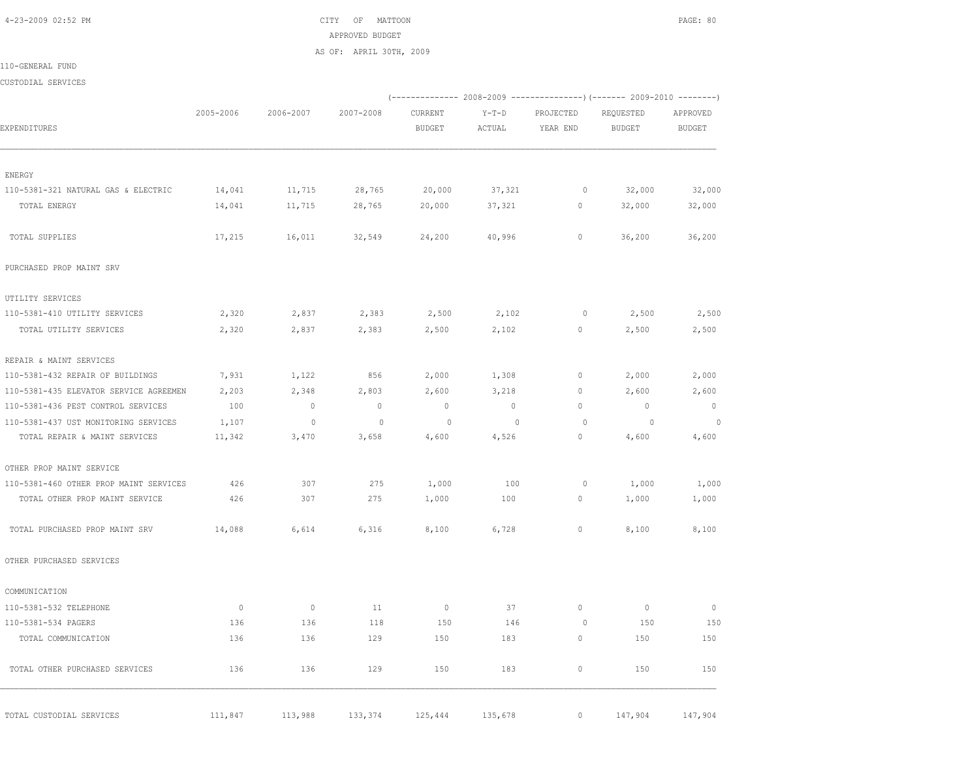4-23-2009 02:52 PM CITY OF MATTOON PAGE: 80 APPROVED BUDGET AS OF: APRIL 30TH, 2009

110-GENERAL FUND

CUSTODIAL SERVICES

|                                        |                |                |                |                |                |              | (-------------- 2008-2009 ----------------) (------- 2009-2010 --------) |                |
|----------------------------------------|----------------|----------------|----------------|----------------|----------------|--------------|--------------------------------------------------------------------------|----------------|
|                                        | 2005-2006      | 2006-2007      | 2007-2008      | CURRENT        | $Y-T-D$        | PROJECTED    | REQUESTED                                                                | APPROVED       |
| EXPENDITURES                           |                |                |                | <b>BUDGET</b>  | ACTUAL         | YEAR END     | <b>BUDGET</b>                                                            | <b>BUDGET</b>  |
| ENERGY                                 |                |                |                |                |                |              |                                                                          |                |
| 110-5381-321 NATURAL GAS & ELECTRIC    | 14,041         | 11,715         | 28,765         | 20,000         | 37,321         | $\circ$      | 32,000                                                                   | 32,000         |
| TOTAL ENERGY                           | 14,041         | 11,715         | 28,765         | 20,000         | 37,321         | 0            | 32,000                                                                   | 32,000         |
| TOTAL SUPPLIES                         | 17,215         | 16,011         | 32,549         | 24,200         | 40,996         | 0            | 36,200                                                                   | 36,200         |
| PURCHASED PROP MAINT SRV               |                |                |                |                |                |              |                                                                          |                |
| UTILITY SERVICES                       |                |                |                |                |                |              |                                                                          |                |
| 110-5381-410 UTILITY SERVICES          | 2,320          | 2,837          | 2,383          | 2,500          | 2,102          | 0            | 2,500                                                                    | 2,500          |
| TOTAL UTILITY SERVICES                 | 2,320          | 2,837          | 2,383          | 2,500          | 2,102          | 0            | 2,500                                                                    | 2,500          |
| REPAIR & MAINT SERVICES                |                |                |                |                |                |              |                                                                          |                |
| 110-5381-432 REPAIR OF BUILDINGS       | 7,931          | 1,122          | 856            | 2,000          | 1,308          | $\circ$      | 2,000                                                                    | 2,000          |
| 110-5381-435 ELEVATOR SERVICE AGREEMEN | 2,203          | 2,348          | 2,803          | 2,600          | 3,218          | 0            | 2,600                                                                    | 2,600          |
| 110-5381-436 PEST CONTROL SERVICES     | 100            | $\overline{0}$ | $\overline{0}$ | $\overline{0}$ | $\sim$ 0       | $\circ$      | $\overline{0}$                                                           | $\overline{0}$ |
| 110-5381-437 UST MONITORING SERVICES   | 1,107          | $\overline{0}$ | $\Omega$       | $\overline{0}$ | $\overline{0}$ | $\circ$      | $\overline{\phantom{0}}$                                                 | $\circ$        |
| TOTAL REPAIR & MAINT SERVICES          | 11,342         | 3,470          | 3,658          | 4,600          | 4,526          | 0            | 4,600                                                                    | 4,600          |
| OTHER PROP MAINT SERVICE               |                |                |                |                |                |              |                                                                          |                |
| 110-5381-460 OTHER PROP MAINT SERVICES | 426            | 307            | 275            | 1,000          | 100            | $\circ$      | 1,000                                                                    | 1,000          |
| TOTAL OTHER PROP MAINT SERVICE         | 426            | 307            | 275            | 1,000          | 100            | $\mathbf{0}$ | 1,000                                                                    | 1,000          |
| TOTAL PURCHASED PROP MAINT SRV         | 14,088         | 6,614          | 6,316          | 8,100          | 6,728          | 0            | 8,100                                                                    | 8,100          |
| OTHER PURCHASED SERVICES               |                |                |                |                |                |              |                                                                          |                |
| COMMUNICATION                          |                |                |                |                |                |              |                                                                          |                |
| 110-5381-532 TELEPHONE                 | $\overline{0}$ | $\circ$        | 11             | $\circ$        | 37             | $\mathbf{0}$ | $\overline{0}$                                                           | $\mathbb O$    |
| 110-5381-534 PAGERS                    | 136            | 136            | 118            | 150            | 146            | $\circ$      | 150                                                                      | 150            |
| TOTAL COMMUNICATION                    | 136            | 136            | 129            | 150            | 183            | 0            | 150                                                                      | 150            |
| TOTAL OTHER PURCHASED SERVICES         | 136            | 136            | 129            | 150            | 183            | $\circ$      | 150                                                                      | 150            |
| TOTAL CUSTODIAL SERVICES               | 111,847        | 113,988        | 133,374        | 125,444        | 135,678        | $\circ$      | 147,904                                                                  | 147,904        |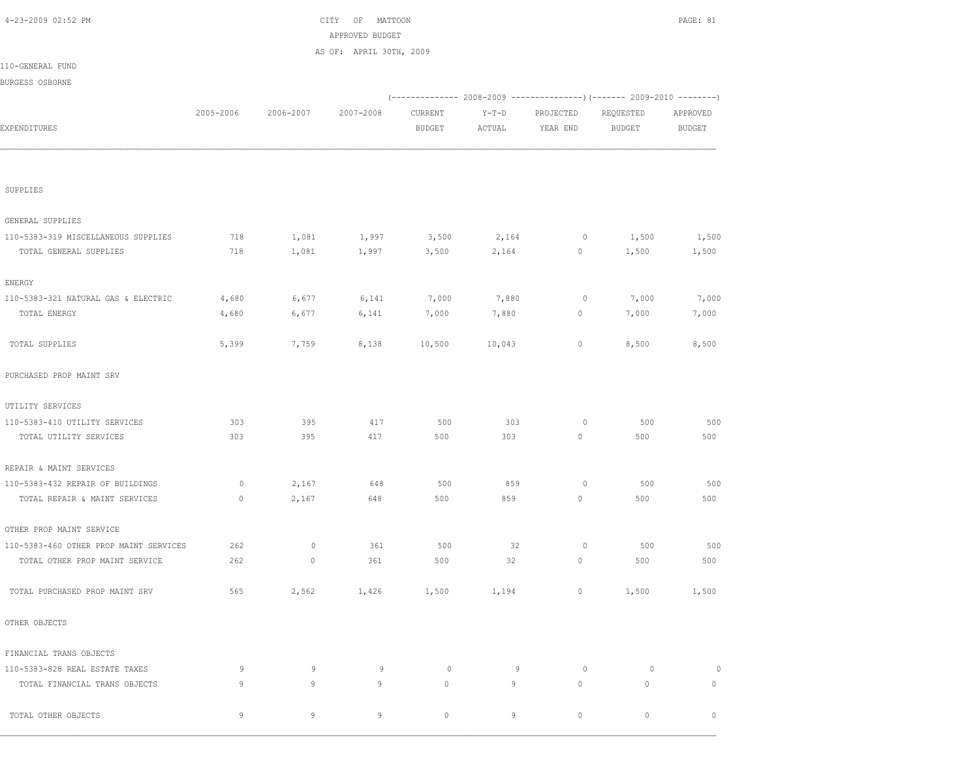|                                        |           |             | APPROVED BUDGET         |               |        |             |                                                                           |               |
|----------------------------------------|-----------|-------------|-------------------------|---------------|--------|-------------|---------------------------------------------------------------------------|---------------|
|                                        |           |             | AS OF: APRIL 30TH, 2009 |               |        |             |                                                                           |               |
| 110-GENERAL FUND                       |           |             |                         |               |        |             |                                                                           |               |
| BURGESS OSBORNE                        |           |             |                         |               |        |             |                                                                           |               |
|                                        |           |             |                         |               |        |             | (-------------  2008-2009 ---------------)  (-------  2009-2010 --------) |               |
|                                        | 2005-2006 | 2006-2007   | 2007-2008               | CURRENT       | Y-T-D  | PROJECTED   | REQUESTED                                                                 | APPROVED      |
| EXPENDITURES                           |           |             |                         | <b>BUDGET</b> | ACTUAL | YEAR END    | <b>BUDGET</b>                                                             | <b>BUDGET</b> |
|                                        |           |             |                         |               |        |             |                                                                           |               |
| SUPPLIES                               |           |             |                         |               |        |             |                                                                           |               |
| GENERAL SUPPLIES                       |           |             |                         |               |        |             |                                                                           |               |
| 110-5383-319 MISCELLANEOUS SUPPLIES    | 718       | 1,081       | 1,997                   | 3,500         | 2,164  | $\circ$     | 1,500                                                                     | 1,500         |
| TOTAL GENERAL SUPPLIES                 | 718       | 1,081       | 1,997                   | 3,500         | 2,164  | 0           | 1,500                                                                     | 1,500         |
| ENERGY                                 |           |             |                         |               |        |             |                                                                           |               |
| 110-5383-321 NATURAL GAS & ELECTRIC    | 4,680     | 6,677       | 6,141                   | 7,000         | 7,880  | $\circ$     | 7,000                                                                     | 7,000         |
| TOTAL ENERGY                           | 4,680     | 6,677       | 6,141                   | 7,000         | 7,880  | 0           | 7,000                                                                     | 7,000         |
| TOTAL SUPPLIES                         | 5,399     | 7,759       | 8,138                   | 10,500        | 10,043 | $\circ$     | 8,500                                                                     | 8,500         |
| PURCHASED PROP MAINT SRV               |           |             |                         |               |        |             |                                                                           |               |
| UTILITY SERVICES                       |           |             |                         |               |        |             |                                                                           |               |
| 110-5383-410 UTILITY SERVICES          | 303       | 395         | 417                     | 500           | 303    | $\circ$     | 500                                                                       | 500           |
| TOTAL UTILITY SERVICES                 | 303       | 395         | 417                     | 500           | 303    | 0           | 500                                                                       | 500           |
| REPAIR & MAINT SERVICES                |           |             |                         |               |        |             |                                                                           |               |
| 110-5383-432 REPAIR OF BUILDINGS       | 0         | 2,167       | 648                     | 500           | 859    | 0           | 500                                                                       | 500           |
| TOTAL REPAIR & MAINT SERVICES          | $\circ$   | 2,167       | 648                     | 500           | 859    | 0           | 500                                                                       | 500           |
| OTHER PROP MAINT SERVICE               |           |             |                         |               |        |             |                                                                           |               |
| 110-5383-460 OTHER PROP MAINT SERVICES | 262       | $\mathbb O$ | 361                     | 500           | 32     | $\circ$     | 500                                                                       | 500           |
| TOTAL OTHER PROP MAINT SERVICE         | 262       | $\circ$     | 361                     | 500           | 32     | 0           | 500                                                                       | 500           |
| TOTAL PURCHASED PROP MAINT SRV         | 565       | 2,562       | 1,426                   | 1,500         | 1,194  | $\mathbb O$ | 1,500                                                                     | 1,500         |
| OTHER OBJECTS                          |           |             |                         |               |        |             |                                                                           |               |
| FINANCIAL TRANS OBJECTS                |           |             |                         |               |        |             |                                                                           |               |
| 110-5383-828 REAL ESTATE TAXES         | 9         | 9           | 9                       | $\circ$       | 9      | $\circ$     | $\circ$                                                                   | $\mathbb O$   |
| TOTAL FINANCIAL TRANS OBJECTS          | 9         | 9           | 9                       | $\circ$       | 9      | $\mathbb O$ | $\circ$                                                                   | $\mathbb O$   |
| TOTAL OTHER OBJECTS                    |           | 9           | 9                       | $\circ$       | 9      | $\circ$     | 0                                                                         | $\mathbb O$   |

4-23-2009 02:52 PM CITY OF MATTOON PAGE: 81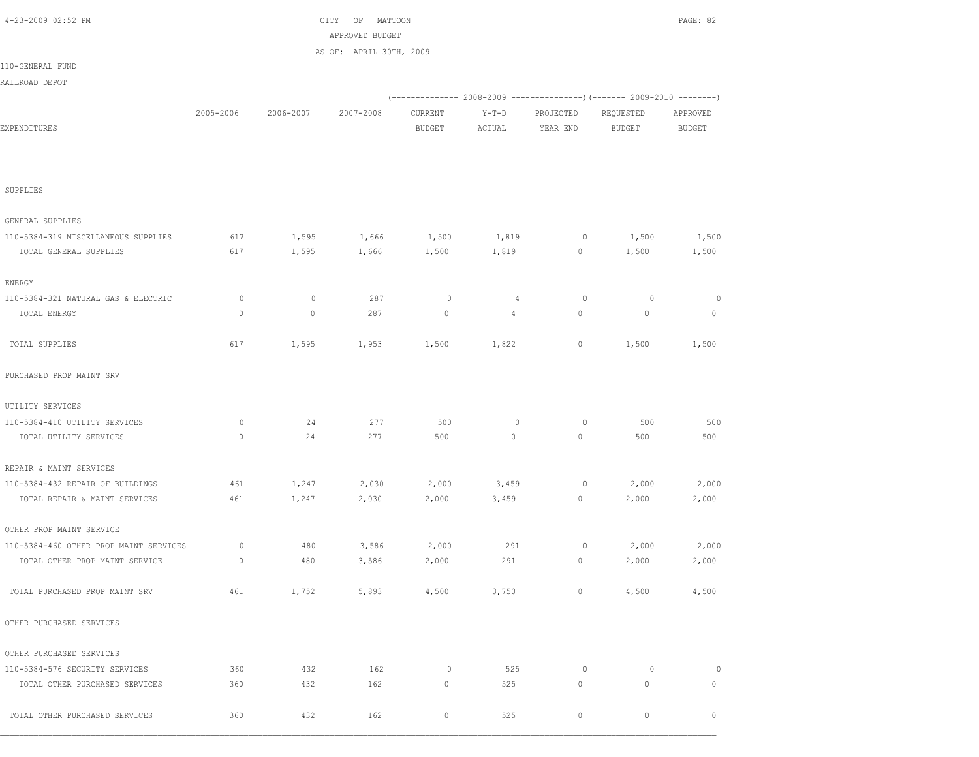|                                        |           |           | APPROVED BUDGET         |               |                |             |                                                                                     |               |
|----------------------------------------|-----------|-----------|-------------------------|---------------|----------------|-------------|-------------------------------------------------------------------------------------|---------------|
|                                        |           |           | AS OF: APRIL 30TH, 2009 |               |                |             |                                                                                     |               |
| 110-GENERAL FUND                       |           |           |                         |               |                |             |                                                                                     |               |
| RAILROAD DEPOT                         |           |           |                         |               |                |             |                                                                                     |               |
|                                        |           |           |                         |               |                |             | (-------------        2008-2009 ---------------) (-------        2009-2010 -------- |               |
|                                        | 2005-2006 | 2006-2007 | 2007-2008               | CURRENT       | $Y-T-D$        | PROJECTED   | REQUESTED                                                                           | APPROVED      |
| EXPENDITURES                           |           |           |                         | <b>BUDGET</b> | ACTUAL         | YEAR END    | <b>BUDGET</b>                                                                       | <b>BUDGET</b> |
|                                        |           |           |                         |               |                |             |                                                                                     |               |
|                                        |           |           |                         |               |                |             |                                                                                     |               |
| SUPPLIES                               |           |           |                         |               |                |             |                                                                                     |               |
|                                        |           |           |                         |               |                |             |                                                                                     |               |
| GENERAL SUPPLIES                       |           |           |                         |               |                |             |                                                                                     |               |
| 110-5384-319 MISCELLANEOUS SUPPLIES    | 617       | 1,595     | 1,666                   | 1,500         | 1,819          | 0           | 1,500                                                                               | 1,500         |
| TOTAL GENERAL SUPPLIES                 | 617       | 1,595     | 1,666                   | 1,500         | 1,819          | $\circ$     | 1,500                                                                               | 1,500         |
| ENERGY                                 |           |           |                         |               |                |             |                                                                                     |               |
| 110-5384-321 NATURAL GAS & ELECTRIC    | 0         | $\circ$   | 287                     | 0             | $\overline{4}$ | 0           | 0                                                                                   | 0             |
| TOTAL ENERGY                           | $\circ$   | 0         | 287                     | $\circ$       | $\overline{4}$ | $\circ$     | $\mathbf 0$                                                                         | $\mathbb O$   |
| TOTAL SUPPLIES                         | 617       |           | 1,953                   |               | 1,822          | 0           | 1,500                                                                               | 1,500         |
|                                        |           | 1,595     |                         | 1,500         |                |             |                                                                                     |               |
| PURCHASED PROP MAINT SRV               |           |           |                         |               |                |             |                                                                                     |               |
| UTILITY SERVICES                       |           |           |                         |               |                |             |                                                                                     |               |
| 110-5384-410 UTILITY SERVICES          | 0         | 24        | 277                     | 500           | $\circ$        | 0           | 500                                                                                 | 500           |
| TOTAL UTILITY SERVICES                 | $\circ$   | 24        | 277                     | 500           | $\circ$        | 0           | 500                                                                                 | 500           |
| REPAIR & MAINT SERVICES                |           |           |                         |               |                |             |                                                                                     |               |
| 110-5384-432 REPAIR OF BUILDINGS       | 461       | 1,247     | 2,030                   | 2,000         | 3,459          | 0           | 2,000                                                                               | 2,000         |
| TOTAL REPAIR & MAINT SERVICES          | 461       | 1,247     | 2,030                   | 2,000         | 3,459          | 0           | 2,000                                                                               | 2,000         |
| OTHER PROP MAINT SERVICE               |           |           |                         |               |                |             |                                                                                     |               |
| 110-5384-460 OTHER PROP MAINT SERVICES | 0         | 480       | 3,586                   | 2,000         | 291            | 0           | 2,000                                                                               | 2,000         |
| TOTAL OTHER PROP MAINT SERVICE         | $\circ$   | 480       | 3,586                   | 2,000         | 291            | $\circ$     | 2,000                                                                               | 2,000         |
| TOTAL PURCHASED PROP MAINT SRV         | 461       | 1,752     | 5,893                   | 4,500         | 3,750          | $\circ$     | 4,500                                                                               | 4,500         |
| OTHER PURCHASED SERVICES               |           |           |                         |               |                |             |                                                                                     |               |
| OTHER PURCHASED SERVICES               |           |           |                         |               |                |             |                                                                                     |               |
| 110-5384-576 SECURITY SERVICES         | 360       | 432       | 162                     | 0             | 525            | $\circ$     | $\circ$                                                                             | $\circ$       |
| TOTAL OTHER PURCHASED SERVICES         | 360       | 432       | 162                     | $\circ$       | 525            | $\mathbb O$ | $\mathbf 0$                                                                         | $\circ$       |
| TOTAL OTHER PURCHASED SERVICES         | 360       | 432       | 162                     | $\circ$       | 525            | $\circ$     | 0                                                                                   | $\circ$       |

4-23-2009 02:52 PM CITY OF MATTOON PAGE: 82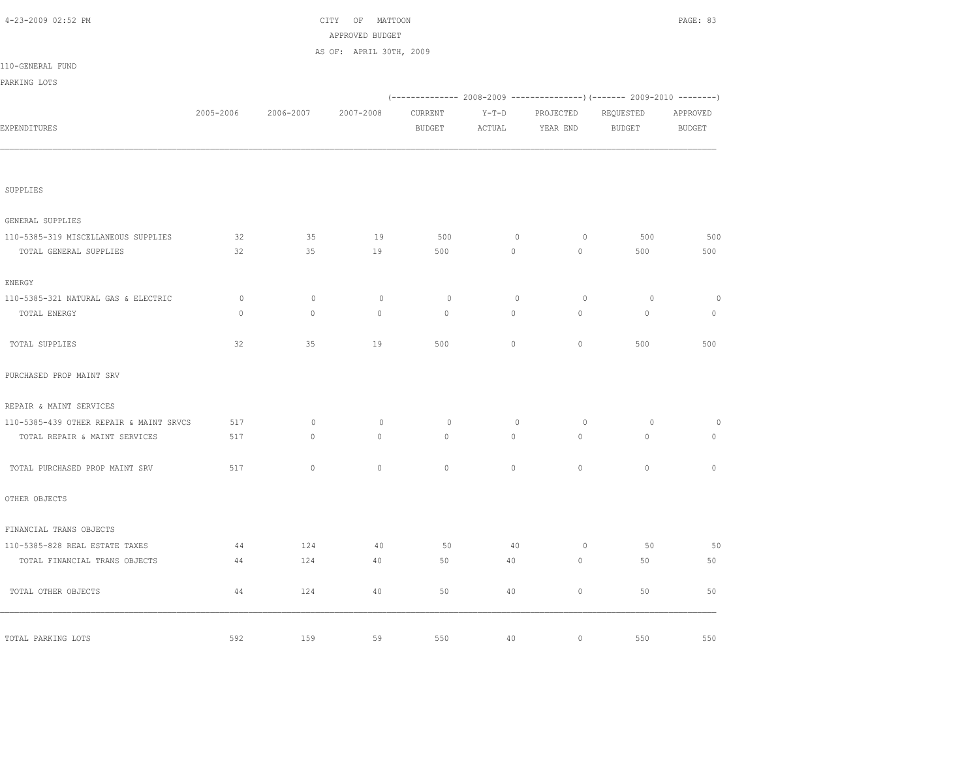| 4-23-2009 02:52 PM                      |           |             | OF<br>MATTOON<br>CITY<br>APPROVED BUDGET |               |                     |             |               | PAGE: 83      |
|-----------------------------------------|-----------|-------------|------------------------------------------|---------------|---------------------|-------------|---------------|---------------|
|                                         |           |             | AS OF: APRIL 30TH, 2009                  |               |                     |             |               |               |
| 110-GENERAL FUND                        |           |             |                                          |               |                     |             |               |               |
| PARKING LOTS                            |           |             |                                          |               |                     |             |               |               |
|                                         |           |             |                                          |               |                     |             |               |               |
|                                         | 2005-2006 | 2006-2007   | 2007-2008                                | CURRENT       | $Y-T-D$             | PROJECTED   | REQUESTED     | APPROVED      |
| EXPENDITURES                            |           |             |                                          | <b>BUDGET</b> | ACTUAL              | YEAR END    | <b>BUDGET</b> | <b>BUDGET</b> |
|                                         |           |             |                                          |               |                     |             |               |               |
| SUPPLIES                                |           |             |                                          |               |                     |             |               |               |
| GENERAL SUPPLIES                        |           |             |                                          |               |                     |             |               |               |
| 110-5385-319 MISCELLANEOUS SUPPLIES     | 32        | 35          | 19                                       | 500           | $\circ$             | $\circ$     | 500           | 500           |
| TOTAL GENERAL SUPPLIES                  | 32        | 35          | 19                                       | 500           | $\mathsf{O}\xspace$ | $\circ$     | 500           | 500           |
| ENERGY                                  |           |             |                                          |               |                     |             |               |               |
| 110-5385-321 NATURAL GAS & ELECTRIC     | $\circ$   | $\mathbb O$ | $\mathbb O$                              | $\circ$       | $\mathbb O$         | $\circ$     | $\circ$       | $\circ$       |
| TOTAL ENERGY                            | $\circ$   | $\circ$     | $\circ$                                  | $\mathbf{0}$  | $\circ$             | $\circ$     | $\circ$       | $\mathbf{0}$  |
| TOTAL SUPPLIES                          | 32        | 35          | 19                                       | 500           | $\circ$             | $\circ$     | 500           | 500           |
| PURCHASED PROP MAINT SRV                |           |             |                                          |               |                     |             |               |               |
| REPAIR & MAINT SERVICES                 |           |             |                                          |               |                     |             |               |               |
| 110-5385-439 OTHER REPAIR & MAINT SRVCS | 517       | $\mathbb O$ | $\circ$                                  | $\circ$       | $\mathbf{0}$        | $\circ$     | $\circ$       | $\circ$       |
| TOTAL REPAIR & MAINT SERVICES           | 517       | $\circ$     | $\circ$                                  | $\mathbf{0}$  | $\circ$             | $\circ$     | $\mathbf{0}$  | $\mathbf{0}$  |
| TOTAL PURCHASED PROP MAINT SRV          | 517       | $\circ$     | $\mathbb O$                              | $\circ$       | $\circ$             | $\circ$     | $\circ$       | $\circ$       |
| OTHER OBJECTS                           |           |             |                                          |               |                     |             |               |               |
| FINANCIAL TRANS OBJECTS                 |           |             |                                          |               |                     |             |               |               |
| 110-5385-828 REAL ESTATE TAXES          | 44        | 124         | 40                                       | 50            | 40                  | $\circ$     | 50            | 50            |
| TOTAL FINANCIAL TRANS OBJECTS           | 44        | 124         | 40                                       | 50            | 40                  | $\circ$     | 50            | 50            |
| TOTAL OTHER OBJECTS                     | 44        | 124         | 40                                       | 50            | 40                  | $\mathbb O$ | 50            | 50            |
| TOTAL PARKING LOTS                      | 592       | 159         | 59                                       | 550           | 40                  | $\circ$     | 550           | 550           |
|                                         |           |             |                                          |               |                     |             |               |               |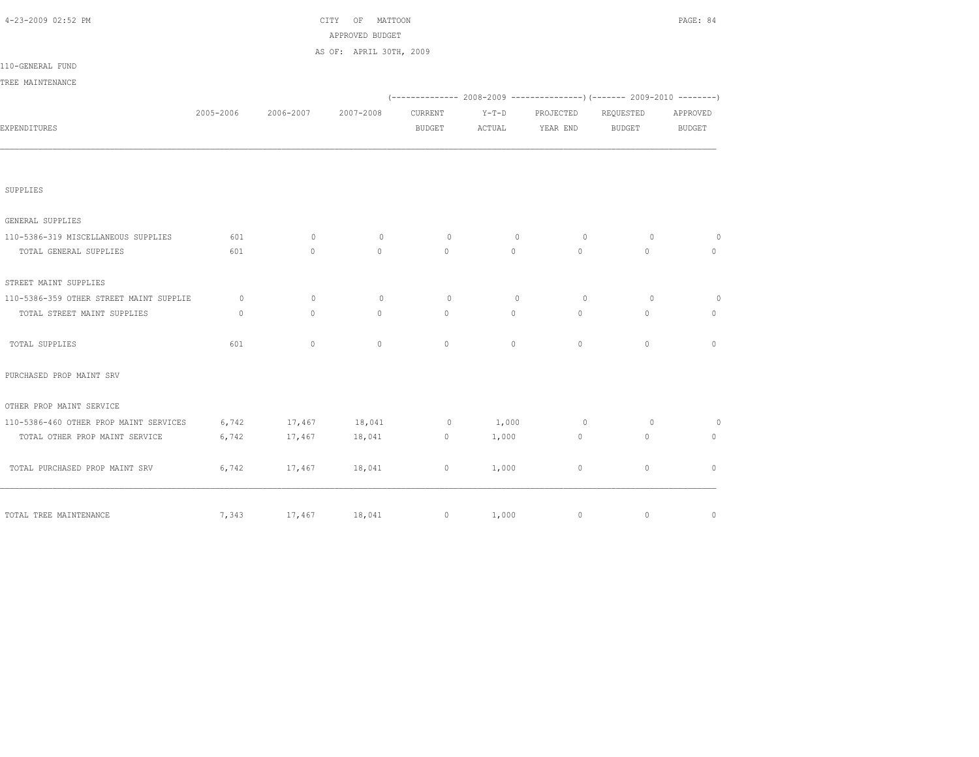| 4-23-2009 02:52 PM                      |              |               | CITY OF MATTOON<br>APPROVED BUDGET |                   |          |             |                                                                           | PAGE: 84      |
|-----------------------------------------|--------------|---------------|------------------------------------|-------------------|----------|-------------|---------------------------------------------------------------------------|---------------|
|                                         |              |               | AS OF: APRIL 30TH, 2009            |                   |          |             |                                                                           |               |
| 110-GENERAL FUND                        |              |               |                                    |                   |          |             |                                                                           |               |
| TREE MAINTENANCE                        |              |               |                                    |                   |          |             |                                                                           |               |
|                                         |              |               |                                    |                   |          |             | (-------------- 2008-2009 ----------------) (------- 2009-2010 ---------) |               |
|                                         | 2005-2006    | 2006-2007     | 2007-2008                          | CURRENT           | $Y-T-D$  | PROJECTED   | REQUESTED                                                                 | APPROVED      |
| EXPENDITURES                            |              |               |                                    | <b>BUDGET</b>     | ACTUAL   | YEAR END    | <b>BUDGET</b>                                                             | <b>BUDGET</b> |
|                                         |              |               |                                    |                   |          |             |                                                                           |               |
| SUPPLIES                                |              |               |                                    |                   |          |             |                                                                           |               |
| GENERAL SUPPLIES                        |              |               |                                    |                   |          |             |                                                                           |               |
| 110-5386-319 MISCELLANEOUS SUPPLIES     | 601          | $\mathbf{0}$  | $\mathbf{0}$                       | $\circ$           | $\circ$  | $\circ$     | $\circ$                                                                   | $\circ$       |
| TOTAL GENERAL SUPPLIES                  | 601          | $\Omega$      | $\Omega$                           | $\Omega$          | $\Omega$ | $\Omega$    | $\Omega$                                                                  | $\circ$       |
| STREET MAINT SUPPLIES                   |              |               |                                    |                   |          |             |                                                                           |               |
| 110-5386-359 OTHER STREET MAINT SUPPLIE | $\circ$      | $\mathbf{0}$  | $\circ$                            | $\circ$           | $\Omega$ | $\circ$     | $\circ$                                                                   | $\circ$       |
| TOTAL STREET MAINT SUPPLIES             | $\mathbf{0}$ | $\circ$       | $\circ$                            | $\circ$           | $\circ$  | $\circ$     | $\mathbf{0}$                                                              | $\circ$       |
| TOTAL SUPPLIES                          | 601          | $\mathbf{0}$  | $\mathbf{0}$                       | $\circ$           | $\circ$  | $\circ$     | $\circ$                                                                   | $\mathbf{0}$  |
| PURCHASED PROP MAINT SRV                |              |               |                                    |                   |          |             |                                                                           |               |
| OTHER PROP MAINT SERVICE                |              |               |                                    |                   |          |             |                                                                           |               |
| 110-5386-460 OTHER PROP MAINT SERVICES  | 6,742        | 17,467 18,041 |                                    | $\overline{0}$    | 1,000    | $\circ$     | $\circ$                                                                   | $\circ$       |
| TOTAL OTHER PROP MAINT SERVICE          | 6,742        | 17,467        | 18,041                             | $\circ$           | 1,000    | $\circ$     | $\circ$                                                                   | $\mathbf{0}$  |
| TOTAL PURCHASED PROP MAINT SRV          | 6,742        | 17,467        | 18,041                             | $\circ$           | 1,000    | $\circ$     | $\circ$                                                                   | $\mathbf{0}$  |
| TOTAL TREE MAINTENANCE                  | 7,343        | 17,467 18,041 |                                    | $0 \qquad \qquad$ | 1,000    | $\mathbb O$ | $\mathbb O$                                                               | $\mathbb O$   |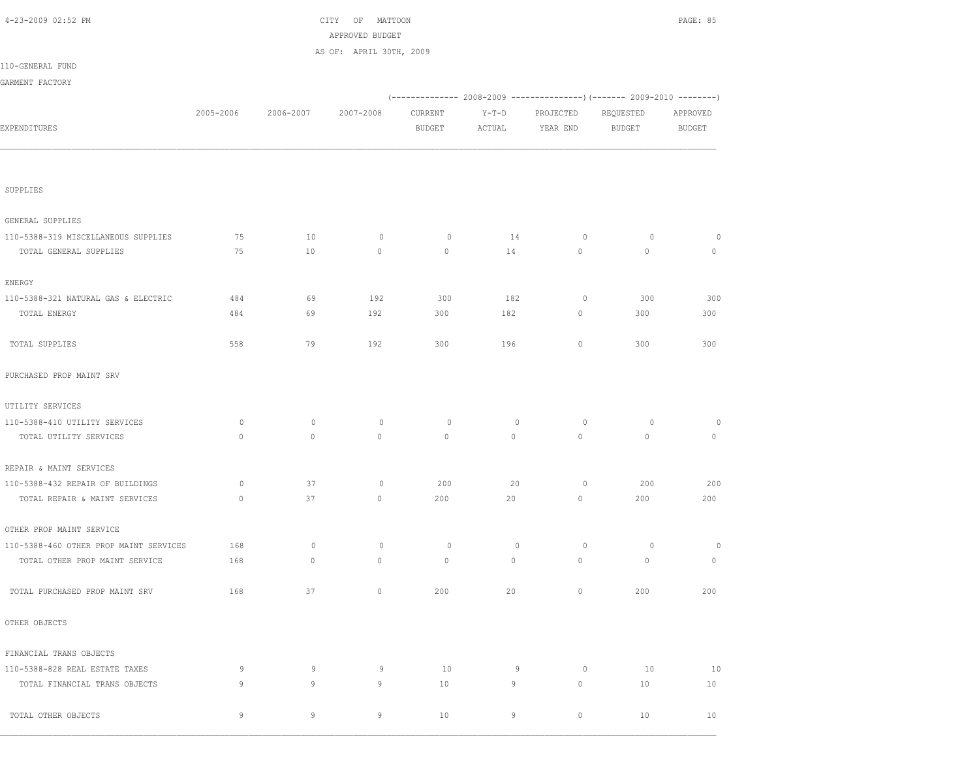| 4-23-2009 02:52 PM                     |             |             | CITY<br>OF<br>MATTOON<br>APPROVED BUDGET |               |             |           |               | PAGE: 85      |
|----------------------------------------|-------------|-------------|------------------------------------------|---------------|-------------|-----------|---------------|---------------|
|                                        |             |             | AS OF: APRIL 30TH, 2009                  |               |             |           |               |               |
| 110-GENERAL FUND                       |             |             |                                          |               |             |           |               |               |
| GARMENT FACTORY                        |             |             |                                          |               |             |           |               |               |
|                                        |             |             |                                          |               |             |           |               |               |
|                                        | 2005-2006   | 2006-2007   | 2007-2008                                | CURRENT       | $Y-T-D$     | PROJECTED | REQUESTED     | APPROVED      |
| EXPENDITURES                           |             |             |                                          | <b>BUDGET</b> | ACTUAL      | YEAR END  | <b>BUDGET</b> | <b>BUDGET</b> |
|                                        |             |             |                                          |               |             |           |               |               |
| SUPPLIES                               |             |             |                                          |               |             |           |               |               |
| GENERAL SUPPLIES                       |             |             |                                          |               |             |           |               |               |
| 110-5388-319 MISCELLANEOUS SUPPLIES    | 75          | 10          | $\circ$                                  | $\circ$       | 14          | $\circ$   | $\circ$       | 0             |
| TOTAL GENERAL SUPPLIES                 | 75          | 10          | $\mathbb O$                              | $\mathbf 0$   | 14          | 0         | $\mathbf 0$   | $\circ$       |
| ENERGY                                 |             |             |                                          |               |             |           |               |               |
| 110-5388-321 NATURAL GAS & ELECTRIC    | 484         | 69          | 192                                      | 300           | 182         | $\circ$   | 300           | 300           |
| TOTAL ENERGY                           | 484         | 69          | 192                                      | 300           | 182         | 0         | 300           | 300           |
| TOTAL SUPPLIES                         | 558         | 79          | 192                                      | 300           | 196         | 0         | 300           | 300           |
| PURCHASED PROP MAINT SRV               |             |             |                                          |               |             |           |               |               |
| UTILITY SERVICES                       |             |             |                                          |               |             |           |               |               |
| 110-5388-410 UTILITY SERVICES          | 0           | $\circ$     | $\circ$                                  | 0             | $\mathbf 0$ | $\circ$   | $\circ$       | 0             |
| TOTAL UTILITY SERVICES                 | $\circ$     | $\circ$     | $\circ$                                  | $\mathbf 0$   | $\circ$     | $\circ$   | $\mathbf 0$   | $\circ$       |
| REPAIR & MAINT SERVICES                |             |             |                                          |               |             |           |               |               |
| 110-5388-432 REPAIR OF BUILDINGS       | $\circ$     | 37          | $\circ$                                  | 200           | 20          | 0         | 200           | 200           |
| TOTAL REPAIR & MAINT SERVICES          | $\mathbb O$ | 37          | $\circ$                                  | 200           | 20          | 0         | 200           | 200           |
| OTHER PROP MAINT SERVICE               |             |             |                                          |               |             |           |               |               |
| 110-5388-460 OTHER PROP MAINT SERVICES | 168         | $\mathbf 0$ | $\circ$                                  | $\circ$       | $\circ$     | $\circ$   | $\circ$       | 0             |
| TOTAL OTHER PROP MAINT SERVICE         | 168         | $\circ$     | $\mathbb O$                              | $\circ$       | $\circ$     | 0         | $\circ$       | $\circ$       |
| TOTAL PURCHASED PROP MAINT SRV         | 168         | 37          | $\mathbb O$                              | 200           | 20          | $\circ$   | 200           | 200           |
| OTHER OBJECTS                          |             |             |                                          |               |             |           |               |               |
| FINANCIAL TRANS OBJECTS                |             |             |                                          |               |             |           |               |               |
| 110-5388-828 REAL ESTATE TAXES         | 9           | 9           | 9                                        | 10            | 9           | $\circ$   | 10            | 10            |
| TOTAL FINANCIAL TRANS OBJECTS          | 9           | 9           | 9                                        | 10            | 9           | 0         | 10            | 10            |
| TOTAL OTHER OBJECTS                    | 9           | 9           | 9                                        | 10            | 9           | $\circ$   | 10            | 10            |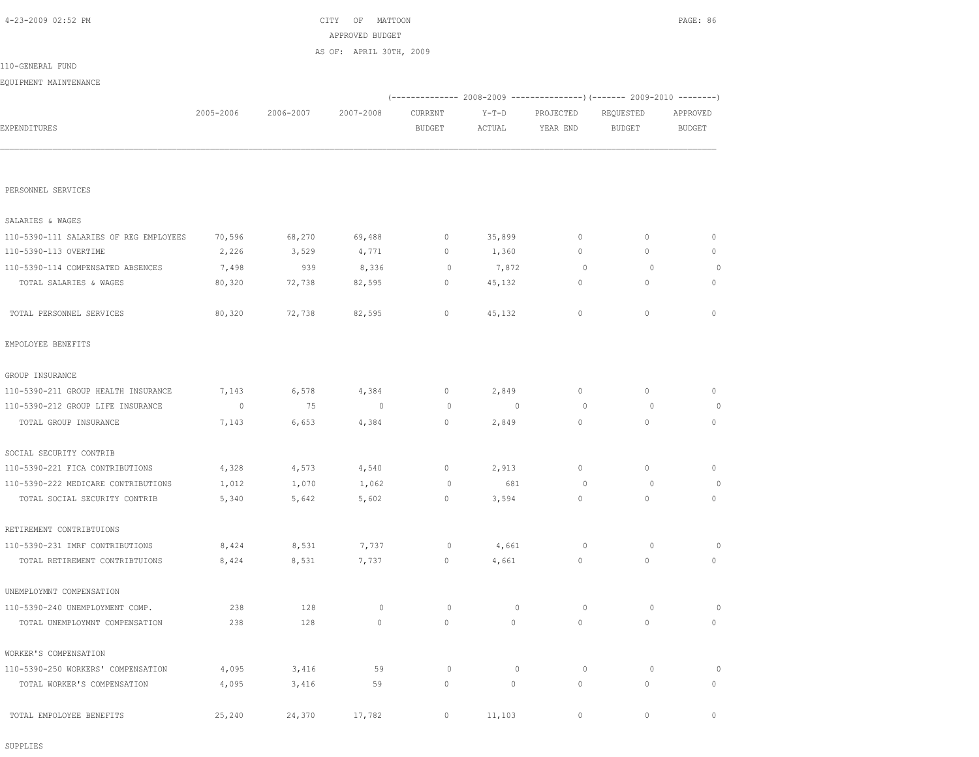|                                        |           |           | APPROVED BUDGET         |                     |                |             |                                                                        |               |
|----------------------------------------|-----------|-----------|-------------------------|---------------------|----------------|-------------|------------------------------------------------------------------------|---------------|
|                                        |           |           | AS OF: APRIL 30TH, 2009 |                     |                |             |                                                                        |               |
| 110-GENERAL FUND                       |           |           |                         |                     |                |             |                                                                        |               |
| EQUIPMENT MAINTENANCE                  |           |           |                         |                     |                |             |                                                                        |               |
|                                        |           |           |                         |                     |                |             | (------------- 2008-2009 ---------------) (------- 2009-2010 --------) |               |
|                                        | 2005-2006 | 2006-2007 | 2007-2008               | CURRENT             | $Y-T-D$        | PROJECTED   | REQUESTED                                                              | APPROVED      |
| EXPENDITURES                           |           |           |                         | <b>BUDGET</b>       | ACTUAL         | YEAR END    | <b>BUDGET</b>                                                          | <b>BUDGET</b> |
|                                        |           |           |                         |                     |                |             |                                                                        |               |
|                                        |           |           |                         |                     |                |             |                                                                        |               |
| PERSONNEL SERVICES                     |           |           |                         |                     |                |             |                                                                        |               |
|                                        |           |           |                         |                     |                |             |                                                                        |               |
| SALARIES & WAGES                       |           |           |                         |                     |                |             |                                                                        |               |
| 110-5390-111 SALARIES OF REG EMPLOYEES | 70,596    | 68,270    | 69,488                  | 0                   | 35,899         | $\circ$     | $\circ$                                                                | 0             |
| 110-5390-113 OVERTIME                  | 2,226     | 3,529     | 4,771                   | 0                   | 1,360          | $\circ$     | $\circ$                                                                | 0             |
| 110-5390-114 COMPENSATED ABSENCES      | 7,498     | 939       | 8,336                   | $\circ$             | 7,872          | $\circ$     | $\circ$                                                                | 0             |
| TOTAL SALARIES & WAGES                 | 80,320    | 72,738    | 82,595                  | 0                   | 45,132         | $\circ$     | $\mathbf{0}$                                                           | $\mathbf{0}$  |
|                                        |           |           |                         |                     |                |             |                                                                        |               |
| TOTAL PERSONNEL SERVICES               | 80,320    | 72,738    | 82,595                  | $\circ$             | 45,132         | $\mathbb O$ | $\circ$                                                                | $\circ$       |
| EMPOLOYEE BENEFITS                     |           |           |                         |                     |                |             |                                                                        |               |
|                                        |           |           |                         |                     |                |             |                                                                        |               |
| GROUP INSURANCE                        |           |           |                         |                     |                |             |                                                                        |               |
| 110-5390-211 GROUP HEALTH INSURANCE    | 7,143     | 6,578     | 4,384                   | $\mathbf 0$         | 2,849          | 0           | $\mathbb O$                                                            | 0             |
| 110-5390-212 GROUP LIFE INSURANCE      | 0         | 75        | $\overline{0}$          | 0                   | $\overline{0}$ | 0           | 0                                                                      | 0             |
| TOTAL GROUP INSURANCE                  | 7,143     | 6,653     | 4,384                   | $\circ$             | 2,849          | $\circ$     | $\circ$                                                                | $\mathbf{0}$  |
|                                        |           |           |                         |                     |                |             |                                                                        |               |
| SOCIAL SECURITY CONTRIB                |           |           |                         |                     |                |             |                                                                        |               |
| 110-5390-221 FICA CONTRIBUTIONS        | 4,328     | 4,573     | 4,540                   | 0                   | 2,913          | $\circ$     | $\circ$                                                                | $\mathbf{0}$  |
| 110-5390-222 MEDICARE CONTRIBUTIONS    | 1,012     | 1,070     | 1,062                   | 0                   | 681            | 0           | 0                                                                      | 0             |
| TOTAL SOCIAL SECURITY CONTRIB          | 5,340     | 5,642     | 5,602                   | 0                   | 3,594          | $\circ$     | $\circ$                                                                | 0             |
| RETIREMENT CONTRIBTUIONS               |           |           |                         |                     |                |             |                                                                        |               |
| 110-5390-231 IMRF CONTRIBUTIONS        | 8,424     | 8,531     | 7,737                   | 0                   | 4,661          | 0           | 0                                                                      | 0             |
| TOTAL RETIREMENT CONTRIBTUIONS         | 8,424     | 8,531     | 7,737                   | $\circ$             | 4,661          | $\circ$     | $\circ$                                                                | $\mathbf{0}$  |
|                                        |           |           |                         |                     |                |             |                                                                        |               |
| UNEMPLOYMNT COMPENSATION               |           |           |                         |                     |                |             |                                                                        |               |
| 110-5390-240 UNEMPLOYMENT COMP.        | 238       | 128       | $\circ$                 | 0                   | $\circ$        | $\circ$     | $\circ$                                                                | $\circ$       |
| TOTAL UNEMPLOYMNT COMPENSATION         | 238       | 128       | $\mathbb O$             | $\mathbb O$         | $\circ$        | $\mathbb O$ | $\circ$                                                                | $\circ$       |
| WORKER'S COMPENSATION                  |           |           |                         |                     |                |             |                                                                        |               |
| 110-5390-250 WORKERS' COMPENSATION     | 4,095     | 3,416     | 59                      | $\circ$             | $\mathbb O$    | $\circ$     | $\circ$                                                                | $\circ$       |
| TOTAL WORKER'S COMPENSATION            | 4,095     | 3,416     | 59                      | $\mathsf{O}\xspace$ | $\circ$        | $\circ$     | $\mathbb O$                                                            | 0             |
|                                        |           |           |                         |                     |                |             |                                                                        |               |
| TOTAL EMPOLOYEE BENEFITS               | 25,240    | 24,370    | 17,782                  | $\circ$             | 11,103         | $\mathbb O$ | $\mathbb O$                                                            | $\circ$       |

4-23-2009 02:52 PM CITY OF MATTOON PAGE: 86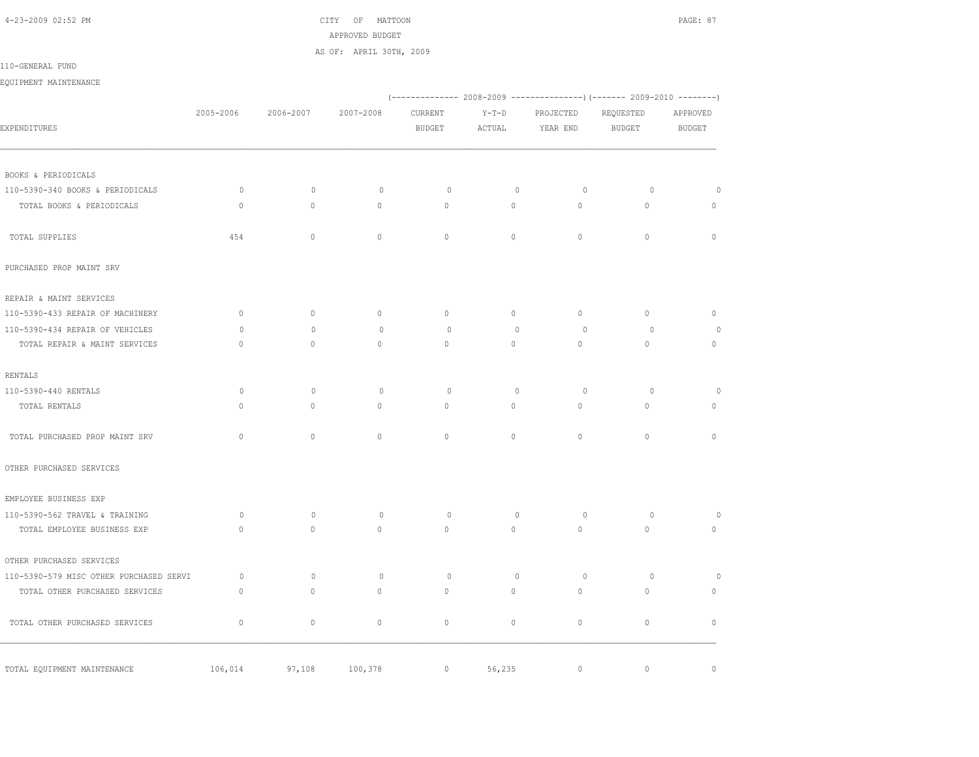4-23-2009 02:52 PM CITY OF MATTOON PAGE: 87 APPROVED BUDGET AS OF: APRIL 30TH, 2009

110-GENERAL FUND

EQUIPMENT MAINTENANCE

|                                                         |              |              |              |               |              |              | (-------------- 2008-2009 ----------------) (------- 2009-2010 --------) |              |
|---------------------------------------------------------|--------------|--------------|--------------|---------------|--------------|--------------|--------------------------------------------------------------------------|--------------|
|                                                         | 2005-2006    | 2006-2007    | 2007-2008    | CURRENT       | $Y-T-D$      | PROJECTED    | REQUESTED                                                                | APPROVED     |
| EXPENDITURES                                            |              |              |              | <b>BUDGET</b> | ACTUAL       | YEAR END     | <b>BUDGET</b>                                                            | BUDGET       |
|                                                         |              |              |              |               |              |              |                                                                          |              |
| BOOKS & PERIODICALS<br>110-5390-340 BOOKS & PERIODICALS | $\circ$      | $\mathbf{0}$ | $\mathbf{0}$ | $\circ$       | $\circ$      | $\circ$      | $\circ$                                                                  | $\circ$      |
| TOTAL BOOKS & PERIODICALS                               | $\mathbb O$  | 0            | $\mathbb O$  | 0             | 0            | $\circ$      | $\mathsf{O}\xspace$                                                      | $\circ$      |
|                                                         |              |              |              |               |              |              |                                                                          |              |
| TOTAL SUPPLIES                                          | 454          | $\mathbb O$  | $\mathbb O$  | $\circ$       | $\circ$      | $\circ$      | $\mathbb O$                                                              | $\mathbb O$  |
| PURCHASED PROP MAINT SRV                                |              |              |              |               |              |              |                                                                          |              |
| REPAIR & MAINT SERVICES                                 |              |              |              |               |              |              |                                                                          |              |
| 110-5390-433 REPAIR OF MACHINERY                        | $\mathbf{0}$ | $\mathbf{0}$ | $\circ$      | $\circ$       | $\circ$      | $\circ$      | $\circ$                                                                  | $\mathbb O$  |
| 110-5390-434 REPAIR OF VEHICLES                         | $\Omega$     | $\Omega$     | $\circ$      | $\Omega$      | $\mathbf{0}$ | $\circ$      | $\circ$                                                                  | $\circ$      |
| TOTAL REPAIR & MAINT SERVICES                           | $\mathbf{0}$ | $\mathbf{0}$ | $\circ$      | $\mathbf{0}$  | $\circ$      | $\mathbf{0}$ | $\circ$                                                                  | $\circ$      |
| RENTALS                                                 |              |              |              |               |              |              |                                                                          |              |
| 110-5390-440 RENTALS                                    | $\circ$      | $\mathbf{0}$ | 0            | $\circ$       | $\mathbf 0$  | $\circ$      | $\circ$                                                                  | $\circ$      |
| TOTAL RENTALS                                           | $\mathbf{0}$ | $\mathbf 0$  | 0            | $\mathbf{0}$  | 0            | $\circ$      | $\mathbf{0}$                                                             | $\circ$      |
| TOTAL PURCHASED PROP MAINT SRV                          | $\mathbf{0}$ | $\mathbf{0}$ | $\mathbf{0}$ | $\mathbf{0}$  | $\circ$      | $\circ$      | $\circ$                                                                  | $\mathbf{0}$ |
| OTHER PURCHASED SERVICES                                |              |              |              |               |              |              |                                                                          |              |
| EMPLOYEE BUSINESS EXP                                   |              |              |              |               |              |              |                                                                          |              |
| 110-5390-562 TRAVEL & TRAINING                          | $\circ$      | $\mathbf{0}$ | $\circ$      | $\circ$       | $\mathbf{0}$ | $\circ$      | $\circ$                                                                  | $\circ$      |
| TOTAL EMPLOYEE BUSINESS EXP                             | $\mathbf{0}$ | $\mathbf{0}$ | $\mathbf{0}$ | $\mathbf{0}$  | $\circ$      | $\circ$      | $\circ$                                                                  | $\mathbb O$  |
| OTHER PURCHASED SERVICES                                |              |              |              |               |              |              |                                                                          |              |
| 110-5390-579 MISC OTHER PURCHASED SERVI                 | $\circ$      | $\mathbf{0}$ | $\circ$      | $\circ$       | $\circ$      | $\circ$      | $\circ$                                                                  | $\circ$      |
| TOTAL OTHER PURCHASED SERVICES                          | $\mathbf{0}$ | $\circ$      | $\mathbf{0}$ | $\mathbf{0}$  | $\circ$      | $\circ$      | $\circ$                                                                  | 0            |
| TOTAL OTHER PURCHASED SERVICES                          | $\mathbf 0$  | $\circ$      | $\mathbf{0}$ | $\circ$       | $\circ$      | $\mathbf{0}$ | $\circ$                                                                  | $\mathbf{0}$ |
| TOTAL EQUIPMENT MAINTENANCE                             | 106,014      | 97,108       | 100,378      | $\circ$       | 56,235       | $\circ$      | $\circ$                                                                  | $\mathbf{0}$ |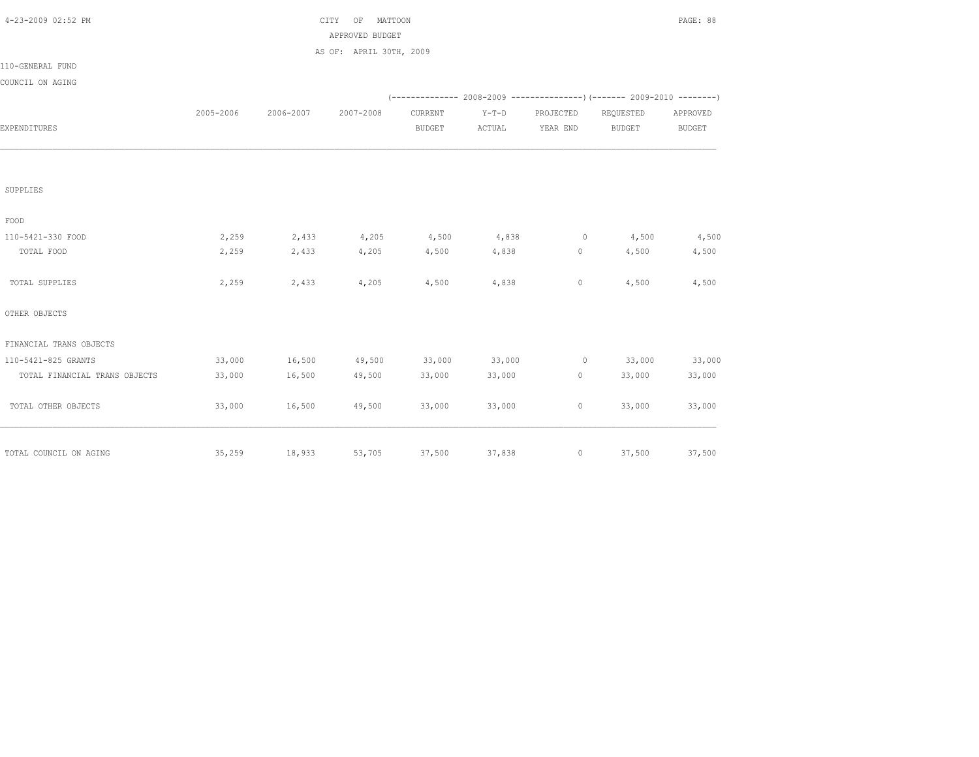| 4-23-2009 02:52 PM            |           |           | CITY<br>OF<br>MATTOON   |               |         |                |                                                                          | PAGE: 88      |
|-------------------------------|-----------|-----------|-------------------------|---------------|---------|----------------|--------------------------------------------------------------------------|---------------|
|                               |           |           | APPROVED BUDGET         |               |         |                |                                                                          |               |
|                               |           |           | AS OF: APRIL 30TH, 2009 |               |         |                |                                                                          |               |
| 110-GENERAL FUND              |           |           |                         |               |         |                |                                                                          |               |
| COUNCIL ON AGING              |           |           |                         |               |         |                |                                                                          |               |
|                               |           |           |                         |               |         |                | (-------------- 2008-2009 ----------------) (------- 2009-2010 --------) |               |
|                               | 2005-2006 | 2006-2007 | 2007-2008               | CURRENT       | $Y-T-D$ | PROJECTED      | REQUESTED                                                                | APPROVED      |
| EXPENDITURES                  |           |           |                         | <b>BUDGET</b> | ACTUAL  | YEAR END       | <b>BUDGET</b>                                                            | <b>BUDGET</b> |
|                               |           |           |                         |               |         |                |                                                                          |               |
| SUPPLIES                      |           |           |                         |               |         |                |                                                                          |               |
| FOOD                          |           |           |                         |               |         |                |                                                                          |               |
| 110-5421-330 FOOD             | 2,259     | 2,433     | 4,205                   | 4,500         | 4,838   | $\overline{0}$ | 4,500                                                                    | 4,500         |
| TOTAL FOOD                    | 2,259     | 2,433     | 4,205                   | 4,500         | 4,838   | $\circ$        | 4,500                                                                    | 4,500         |
| TOTAL SUPPLIES                | 2,259     | 2,433     | 4,205                   | 4,500         | 4,838   | $\circ$        | 4,500                                                                    | 4,500         |
| OTHER OBJECTS                 |           |           |                         |               |         |                |                                                                          |               |
| FINANCIAL TRANS OBJECTS       |           |           |                         |               |         |                |                                                                          |               |
| 110-5421-825 GRANTS           | 33,000    | 16,500    | 49,500                  | 33,000        | 33,000  |                | $0 \t 33,000$                                                            | 33,000        |
| TOTAL FINANCIAL TRANS OBJECTS | 33,000    | 16,500    | 49,500                  | 33,000        | 33,000  | 0              | 33,000                                                                   | 33,000        |
| TOTAL OTHER OBJECTS           | 33,000    | 16,500    | 49,500                  | 33,000        | 33,000  | $\circ$        | 33,000                                                                   | 33,000        |
|                               |           |           |                         |               |         |                |                                                                          |               |
| TOTAL COUNCIL ON AGING        | 35,259    | 18,933    | 53,705                  | 37,500        | 37,838  |                | 37,500                                                                   | 37,500        |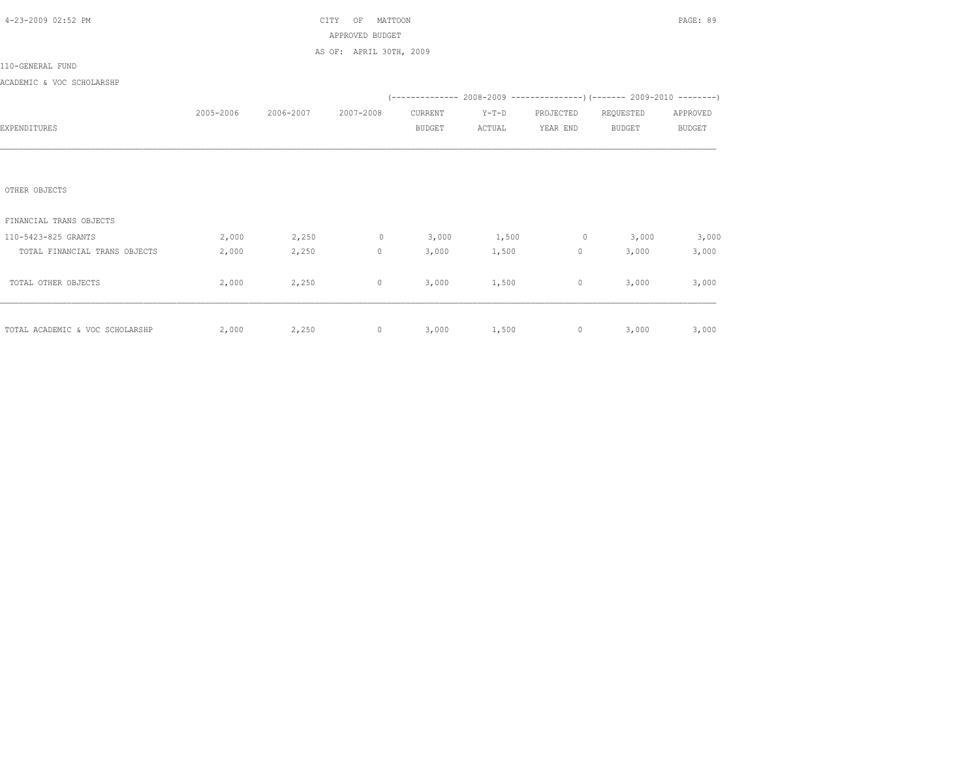| 4-23-2009 02:52 PM              |           |           | CITY<br>MATTOON<br>OF   |               |         |                |                                                                                                                                                                                                                                                                                                                                             | PAGE: 89      |
|---------------------------------|-----------|-----------|-------------------------|---------------|---------|----------------|---------------------------------------------------------------------------------------------------------------------------------------------------------------------------------------------------------------------------------------------------------------------------------------------------------------------------------------------|---------------|
|                                 |           |           | APPROVED BUDGET         |               |         |                |                                                                                                                                                                                                                                                                                                                                             |               |
|                                 |           |           | AS OF: APRIL 30TH, 2009 |               |         |                |                                                                                                                                                                                                                                                                                                                                             |               |
| 110-GENERAL FUND                |           |           |                         |               |         |                |                                                                                                                                                                                                                                                                                                                                             |               |
| ACADEMIC & VOC SCHOLARSHP       |           |           |                         |               |         |                |                                                                                                                                                                                                                                                                                                                                             |               |
|                                 |           |           |                         |               |         |                | (-------------- 2008-2009 -------------------) (------- 2009-2010 ---------)                                                                                                                                                                                                                                                                |               |
|                                 | 2005-2006 | 2006-2007 | 2007-2008               | CURRENT       | $Y-T-D$ | PROJECTED      | REQUESTED                                                                                                                                                                                                                                                                                                                                   | APPROVED      |
| EXPENDITURES                    |           |           |                         | <b>BUDGET</b> | ACTUAL  | YEAR END       | BUDGET                                                                                                                                                                                                                                                                                                                                      | <b>BUDGET</b> |
|                                 |           |           |                         |               |         |                |                                                                                                                                                                                                                                                                                                                                             |               |
|                                 |           |           |                         |               |         |                |                                                                                                                                                                                                                                                                                                                                             |               |
|                                 |           |           |                         |               |         |                |                                                                                                                                                                                                                                                                                                                                             |               |
| OTHER OBJECTS                   |           |           |                         |               |         |                |                                                                                                                                                                                                                                                                                                                                             |               |
|                                 |           |           |                         |               |         |                |                                                                                                                                                                                                                                                                                                                                             |               |
| FINANCIAL TRANS OBJECTS         |           |           |                         |               |         |                |                                                                                                                                                                                                                                                                                                                                             |               |
| 110-5423-825 GRANTS             | 2,000     | 2,250     |                         | $0 \t 3,000$  | 1,500   | $0 \t 3,000$   |                                                                                                                                                                                                                                                                                                                                             | 3,000         |
| TOTAL FINANCIAL TRANS OBJECTS   | 2,000     | 2,250     | $\circ$                 | 3,000         | 1,500   | $\overline{0}$ | 3,000                                                                                                                                                                                                                                                                                                                                       | 3,000         |
|                                 |           |           |                         |               |         |                |                                                                                                                                                                                                                                                                                                                                             |               |
| TOTAL OTHER OBJECTS             | 2,000     | 2,250     | $\circ$                 | 3,000         | 1,500   | $\circ$        | 3,000                                                                                                                                                                                                                                                                                                                                       | 3,000         |
|                                 |           |           |                         |               |         |                |                                                                                                                                                                                                                                                                                                                                             |               |
|                                 |           |           |                         |               |         |                |                                                                                                                                                                                                                                                                                                                                             |               |
| TOTAL ACADEMIC & VOC SCHOLARSHP | 2,000     | 2,250     |                         | 0 3,000 1,500 |         |                | $\overline{0}$ and $\overline{0}$ and $\overline{0}$ and $\overline{0}$ and $\overline{0}$ and $\overline{0}$ and $\overline{0}$ and $\overline{0}$ and $\overline{0}$ and $\overline{0}$ and $\overline{0}$ and $\overline{0}$ and $\overline{0}$ and $\overline{0}$ and $\overline{0}$ and $\overline{0}$ and $\overline{0}$ and<br>3,000 | 3,000         |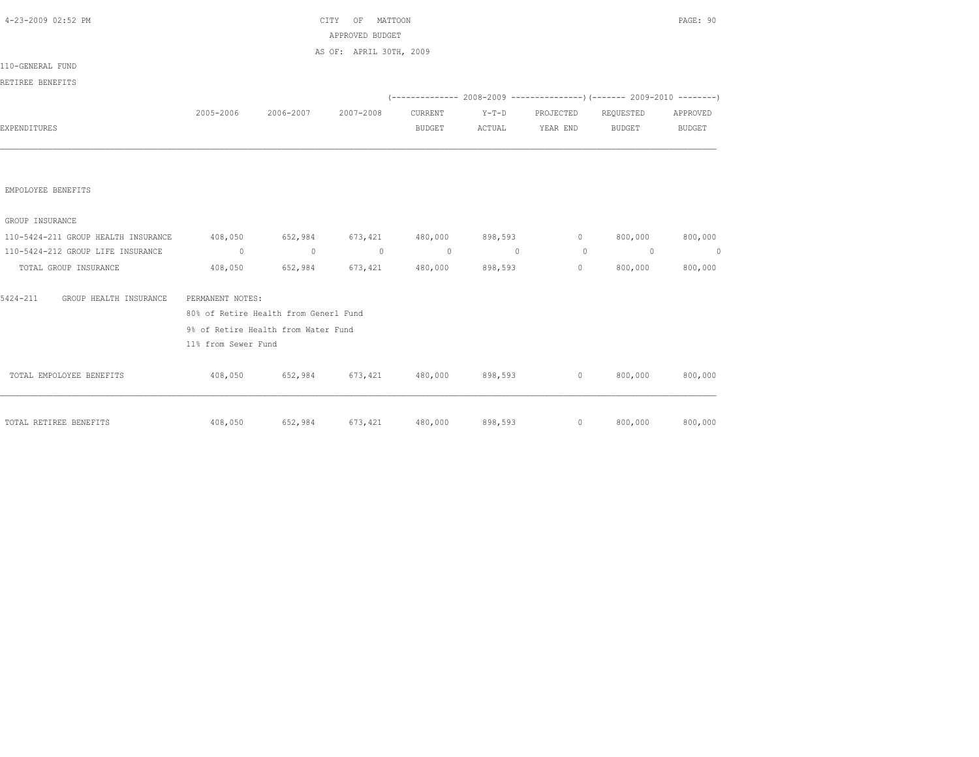| 4-23-2009 02:52 PM                  |                                             |                               | CITY OF MATTOON                                     |          |          |                 |                                                                               | PAGE: 90 |
|-------------------------------------|---------------------------------------------|-------------------------------|-----------------------------------------------------|----------|----------|-----------------|-------------------------------------------------------------------------------|----------|
|                                     |                                             |                               | APPROVED BUDGET                                     |          |          |                 |                                                                               |          |
|                                     |                                             |                               | AS OF: APRIL 30TH, 2009                             |          |          |                 |                                                                               |          |
| 110-GENERAL FUND                    |                                             |                               |                                                     |          |          |                 |                                                                               |          |
| RETIREE BENEFITS                    |                                             |                               |                                                     |          |          |                 |                                                                               |          |
|                                     |                                             |                               |                                                     |          |          |                 | $(-$ -------------- 2008-2009 -----------------) (------- 2009-2010 --------) |          |
|                                     |                                             | 2005-2006 2006-2007 2007-2008 |                                                     | CURRENT  | $Y-T-D$  | PROJECTED       | REQUESTED                                                                     | APPROVED |
| EXPENDITURES                        |                                             |                               |                                                     | BUDGET   |          | ACTUAL YEAR END | BUDGET                                                                        | BUDGET   |
|                                     |                                             |                               |                                                     |          |          |                 |                                                                               |          |
| EMPOLOYEE BENEFITS                  |                                             |                               |                                                     |          |          |                 |                                                                               |          |
| GROUP INSURANCE                     |                                             |                               |                                                     |          |          |                 |                                                                               |          |
| 110-5424-211 GROUP HEALTH INSURANCE | 408,050 652,984 673,421 480,000 898,593 0 0 |                               |                                                     |          |          |                 | 800,000                                                                       | 800,000  |
| 110-5424-212 GROUP LIFE INSURANCE   | $\sim$ 0                                    | $\sim$ 0                      | $\sim$ 0                                            | $\sim$ 0 | $\sim$ 0 | $\overline{0}$  | $\sim$ 0                                                                      | $\sim$ 0 |
| TOTAL GROUP INSURANCE               |                                             |                               | 408,050 652,984 673,421 480,000 898,593             |          |          | $\circ$         | 800,000                                                                       | 800,000  |
| 5424-211<br>GROUP HEALTH INSURANCE  | PERMANENT NOTES:                            |                               |                                                     |          |          |                 |                                                                               |          |
|                                     | 80% of Retire Health from Generl Fund       |                               |                                                     |          |          |                 |                                                                               |          |
|                                     | 9% of Retire Health from Water Fund         |                               |                                                     |          |          |                 |                                                                               |          |
|                                     | 11% from Sewer Fund                         |                               |                                                     |          |          |                 |                                                                               |          |
| TOTAL EMPOLOYEE BENEFITS            |                                             |                               | $408,050$ $652,984$ $673,421$ $480,000$ $898,593$ 0 |          |          |                 | 800,000                                                                       | 800,000  |
| TOTAL RETIREE BENEFITS              | 408,050                                     | 652,984                       | 673,421                                             | 480,000  | 898,593  | $\sim$ 0        | 800,000                                                                       | 800,000  |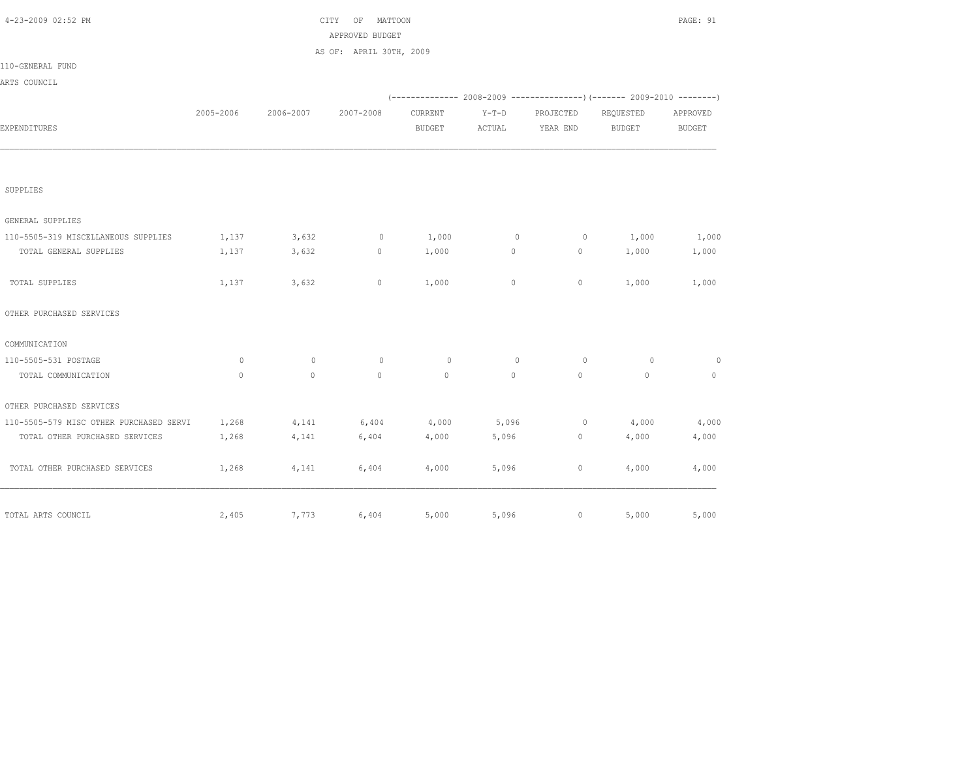| 4-23-2009 02:52 PM                      |           |           | CITY<br>OF<br>MATTOON   |               |          |                |                                                                          | PAGE: 91     |
|-----------------------------------------|-----------|-----------|-------------------------|---------------|----------|----------------|--------------------------------------------------------------------------|--------------|
|                                         |           |           | APPROVED BUDGET         |               |          |                |                                                                          |              |
|                                         |           |           | AS OF: APRIL 30TH, 2009 |               |          |                |                                                                          |              |
| 110-GENERAL FUND                        |           |           |                         |               |          |                |                                                                          |              |
| ARTS COUNCIL                            |           |           |                         |               |          |                |                                                                          |              |
|                                         |           |           |                         |               |          |                | (-------------- 2008-2009 ----------------) (------- 2009-2010 --------) |              |
|                                         | 2005-2006 | 2006-2007 | 2007-2008               | CURRENT       | $Y-T-D$  | PROJECTED      | REQUESTED                                                                | APPROVED     |
| EXPENDITURES                            |           |           |                         | <b>BUDGET</b> | ACTUAL   | YEAR END       | BUDGET                                                                   | BUDGET       |
|                                         |           |           |                         |               |          |                |                                                                          |              |
| SUPPLIES                                |           |           |                         |               |          |                |                                                                          |              |
| GENERAL SUPPLIES                        |           |           |                         |               |          |                |                                                                          |              |
| 110-5505-319 MISCELLANEOUS SUPPLIES     | 1,137     | 3,632     | $\circ$                 | 1,000         | $\circ$  | $\overline{0}$ | 1,000                                                                    | 1,000        |
| TOTAL GENERAL SUPPLIES                  | 1,137     | 3,632     | $\circ$                 | 1,000         | $\circ$  | $\circ$        | 1,000                                                                    | 1,000        |
| TOTAL SUPPLIES                          | 1,137     | 3,632     | $\circ$                 | 1,000         | $\circ$  | $\circ$        | 1,000                                                                    | 1,000        |
| OTHER PURCHASED SERVICES                |           |           |                         |               |          |                |                                                                          |              |
| COMMUNICATION                           |           |           |                         |               |          |                |                                                                          |              |
| 110-5505-531 POSTAGE                    | $\Omega$  | $\Omega$  | $\Omega$                | $\circ$       | $\Omega$ | $\bigcirc$     | $\Omega$                                                                 | $\circ$      |
| TOTAL COMMUNICATION                     | $\Omega$  | $\circ$   | $\Omega$                | $\Omega$      | $\circ$  | $\circ$        | $\circ$                                                                  | $\mathbf{0}$ |
| OTHER PURCHASED SERVICES                |           |           |                         |               |          |                |                                                                          |              |
| 110-5505-579 MISC OTHER PURCHASED SERVI | 1,268     | 4,141     | 6,404                   | 4,000         | 5,096    | $\overline{0}$ | 4,000                                                                    | 4,000        |
| TOTAL OTHER PURCHASED SERVICES          | 1,268     | 4,141     | 6,404                   | 4,000         | 5,096    | $\circ$        | 4,000                                                                    | 4,000        |
| TOTAL OTHER PURCHASED SERVICES          | 1,268     | 4,141     | 6,404                   | 4,000         | 5,096    | $\circ$        | 4,000                                                                    | 4,000        |
| TOTAL ARTS COUNCIL                      | 2,405     | 7,773     | 6,404                   | 5,000         | 5,096    | $\circ$        | 5,000                                                                    | 5,000        |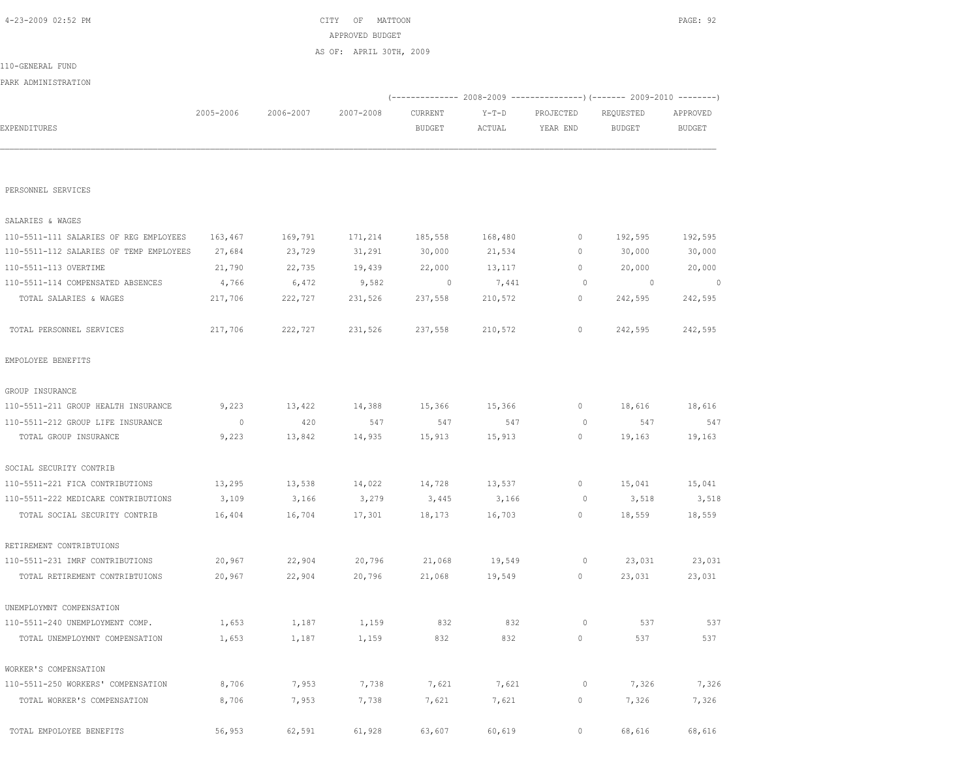| PERSONNEL SERVICES                      |         |         |         |         |         |         |                          |         |
|-----------------------------------------|---------|---------|---------|---------|---------|---------|--------------------------|---------|
| SALARIES & WAGES                        |         |         |         |         |         |         |                          |         |
| 110-5511-111 SALARIES OF REG EMPLOYEES  | 163,467 | 169,791 | 171,214 | 185,558 | 168,480 | $\circ$ | 192,595                  | 192,595 |
| 110-5511-112 SALARIES OF TEMP EMPLOYEES | 27,684  | 23,729  | 31,291  | 30,000  | 21,534  | $\circ$ | 30,000                   | 30,000  |
| 110-5511-113 OVERTIME                   | 21,790  | 22,735  | 19,439  | 22,000  | 13,117  | $\circ$ | 20,000                   | 20,000  |
| 110-5511-114 COMPENSATED ABSENCES       | 4,766   | 6,472   | 9,582   | $\circ$ | 7,441   | $\circ$ | $\overline{\phantom{0}}$ | $\circ$ |
| TOTAL SALARIES & WAGES                  | 217,706 | 222,727 | 231,526 | 237,558 | 210,572 | 0       | 242,595                  | 242,595 |
| TOTAL PERSONNEL SERVICES                | 217,706 | 222,727 | 231,526 | 237,558 | 210,572 | $\circ$ | 242,595                  | 242,595 |
| EMPOLOYEE BENEFITS                      |         |         |         |         |         |         |                          |         |
| GROUP INSURANCE                         |         |         |         |         |         |         |                          |         |
| 110-5511-211 GROUP HEALTH INSURANCE     | 9,223   | 13,422  | 14,388  | 15,366  | 15,366  | 0       | 18,616                   | 18,616  |
| 110-5511-212 GROUP LIFE INSURANCE       | $\circ$ | 420     | 547     | 547     | 547     | $\circ$ | 547                      | 547     |
| TOTAL GROUP INSURANCE                   | 9,223   | 13,842  | 14,935  | 15,913  | 15,913  | 0       | 19,163                   | 19,163  |
| SOCIAL SECURITY CONTRIB                 |         |         |         |         |         |         |                          |         |
| 110-5511-221 FICA CONTRIBUTIONS         | 13,295  | 13,538  | 14,022  | 14,728  | 13,537  | 0       | 15,041                   | 15,041  |
| 110-5511-222 MEDICARE CONTRIBUTIONS     | 3,109   | 3,166   | 3,279   | 3,445   | 3,166   | $\circ$ | 3,518                    | 3,518   |
| TOTAL SOCIAL SECURITY CONTRIB           | 16,404  | 16,704  | 17,301  | 18,173  | 16,703  | 0       | 18,559                   | 18,559  |
| RETIREMENT CONTRIBTUIONS                |         |         |         |         |         |         |                          |         |
| 110-5511-231 IMRF CONTRIBUTIONS         | 20,967  | 22,904  | 20,796  | 21,068  | 19,549  | $\circ$ | 23,031                   | 23,031  |
| TOTAL RETIREMENT CONTRIBTUIONS          | 20,967  | 22,904  | 20,796  | 21,068  | 19,549  | 0       | 23,031                   | 23,031  |
| UNEMPLOYMNT COMPENSATION                |         |         |         |         |         |         |                          |         |
| 110-5511-240 UNEMPLOYMENT COMP.         | 1,653   | 1,187   | 1,159   | 832     | 832     | $\circ$ | 537                      | 537     |
| TOTAL UNEMPLOYMNT COMPENSATION          | 1,653   | 1,187   | 1,159   | 832     | 832     | 0       | 537                      | 537     |
| WORKER'S COMPENSATION                   |         |         |         |         |         |         |                          |         |
| 110-5511-250 WORKERS' COMPENSATION      | 8,706   | 7,953   | 7,738   | 7,621   | 7,621   | 0       | 7,326                    | 7,326   |
| TOTAL WORKER'S COMPENSATION             | 8,706   | 7,953   | 7,738   | 7,621   | 7,621   | $\circ$ | 7,326                    | 7,326   |
| TOTAL EMPOLOYEE BENEFITS                | 56,953  | 62,591  | 61,928  | 63,607  | 60,619  | $\circ$ | 68,616                   | 68,616  |

|                     |           |           | AS OF: APRIL 30TH, 2009 |               |        |                                                                        |           |               |
|---------------------|-----------|-----------|-------------------------|---------------|--------|------------------------------------------------------------------------|-----------|---------------|
| 110-GENERAL FUND    |           |           |                         |               |        |                                                                        |           |               |
| PARK ADMINISTRATION |           |           |                         |               |        |                                                                        |           |               |
|                     |           |           |                         |               |        | (-------------- 2008-2009 ---------------------- 2009-2010 ----------- |           |               |
|                     | 2005-2006 | 2006-2007 | 2007-2008               | CURRENT       | Y-T-D  | PROJECTED                                                              | REQUESTED | APPROVED      |
| EXPENDITURES        |           |           |                         | <b>BUDGET</b> | ACTUAL | YEAR END                                                               | BUDGET    | <b>BUDGET</b> |
|                     |           |           |                         |               |        |                                                                        |           |               |
|                     |           |           |                         |               |        |                                                                        |           |               |

 4-23-2009 02:52 PM CITY OF MATTOON PAGE: 92 APPROVED BUDGET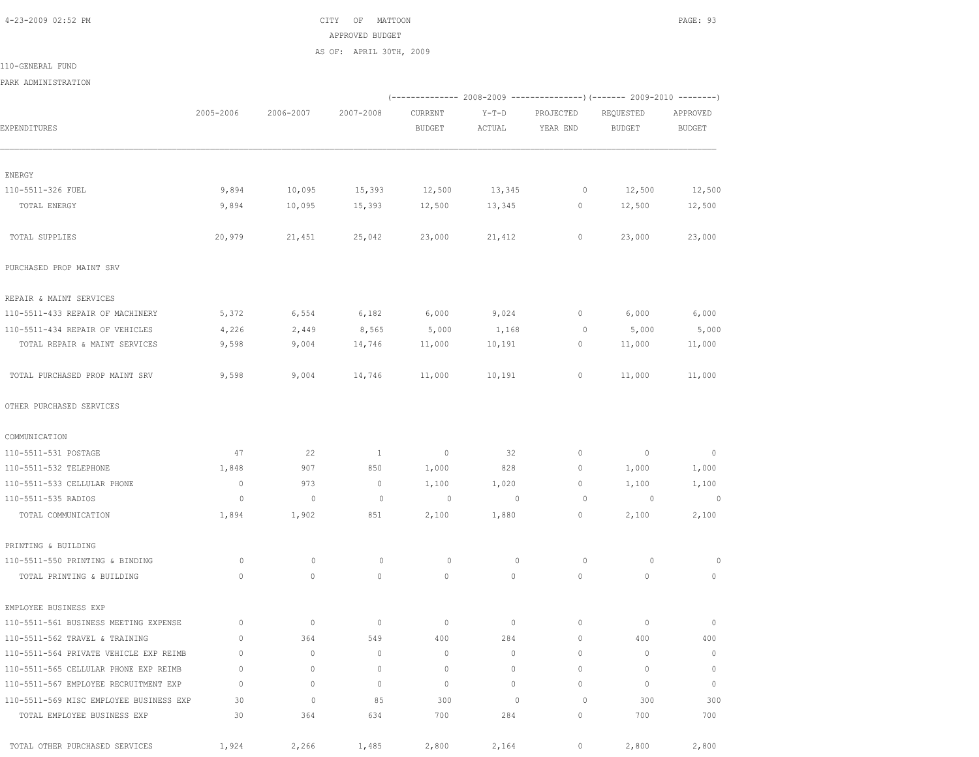4-23-2009 02:52 PM CITY OF MATTOON PAGE: 93 APPROVED BUDGET AS OF: APRIL 30TH, 2009

110-GENERAL FUND

PARK ADMINISTRATION

|                                         |              |                |                |                |                          | (-------------- 2008-2009 ----------------) (------- 2009-2010 --------) |                          |                |
|-----------------------------------------|--------------|----------------|----------------|----------------|--------------------------|--------------------------------------------------------------------------|--------------------------|----------------|
|                                         | 2005-2006    | 2006-2007      | 2007-2008      | CURRENT        | $Y-T-D$                  | PROJECTED                                                                | REQUESTED                | APPROVED       |
| EXPENDITURES                            |              |                |                | <b>BUDGET</b>  | ACTUAL                   | YEAR END                                                                 | <b>BUDGET</b>            | <b>BUDGET</b>  |
| ENERGY                                  |              |                |                |                |                          |                                                                          |                          |                |
| 110-5511-326 FUEL                       | 9,894        | 10,095         | 15,393         | 12,500         | 13,345                   | $\circ$                                                                  | 12,500                   | 12,500         |
| TOTAL ENERGY                            | 9,894        | 10,095         | 15,393         | 12,500         | 13,345                   | $\circ$                                                                  | 12,500                   | 12,500         |
| TOTAL SUPPLIES                          | 20,979       | 21,451         | 25,042         | 23,000         | 21,412                   | 0                                                                        | 23,000                   | 23,000         |
| PURCHASED PROP MAINT SRV                |              |                |                |                |                          |                                                                          |                          |                |
| REPAIR & MAINT SERVICES                 |              |                |                |                |                          |                                                                          |                          |                |
| 110-5511-433 REPAIR OF MACHINERY        | 5,372        | 6,554          | 6,182          | 6,000          | 9,024                    | $\circ$                                                                  | 6,000                    | 6,000          |
| 110-5511-434 REPAIR OF VEHICLES         | 4,226        | 2,449          | 8,565          | 5,000          | 1,168                    | $\circ$                                                                  | 5,000                    | 5,000          |
| TOTAL REPAIR & MAINT SERVICES           | 9,598        | 9,004          | 14,746         | 11,000         | 10,191                   | $\circ$                                                                  | 11,000                   | 11,000         |
| TOTAL PURCHASED PROP MAINT SRV          | 9,598        | 9,004          | 14,746         | 11,000         | 10,191                   | 0                                                                        | 11,000                   | 11,000         |
| OTHER PURCHASED SERVICES                |              |                |                |                |                          |                                                                          |                          |                |
| COMMUNICATION                           |              |                |                |                |                          |                                                                          |                          |                |
| 110-5511-531 POSTAGE                    | 47           | 22             | $\overline{1}$ | $\sim$ 0       | 32                       | 0                                                                        | $\overline{\phantom{0}}$ | $\overline{0}$ |
| 110-5511-532 TELEPHONE                  | 1,848        | 907            | 850            | 1,000          | 828                      | $\circ$                                                                  | 1,000                    | 1,000          |
| 110-5511-533 CELLULAR PHONE             | $\mathbb{O}$ | 973            | $\circ$        | 1,100          | 1,020                    | $\circ$                                                                  | 1,100                    | 1,100          |
| 110-5511-535 RADIOS                     | $\circ$      | $\overline{0}$ | $\circ$        | $\overline{0}$ | $\overline{\phantom{0}}$ | $\circ$                                                                  | $\sim$ 0                 | $\circ$        |
| TOTAL COMMUNICATION                     | 1,894        | 1,902          | 851            | 2,100          | 1,880                    | 0                                                                        | 2,100                    | 2,100          |
| PRINTING & BUILDING                     |              |                |                |                |                          |                                                                          |                          |                |
| 110-5511-550 PRINTING & BINDING         | 0            | $\mathbf{0}$   | 0              | $\circ$        | $\mathbf{0}$             | 0                                                                        | 0                        | 0              |
| TOTAL PRINTING & BUILDING               | 0            | $\circ$        | $\circ$        | $\circ$        | $\circ$                  | $\mathbf{0}$                                                             | $\mathbf{0}$             | 0              |
| EMPLOYEE BUSINESS EXP                   |              |                |                |                |                          |                                                                          |                          |                |
| 110-5511-561 BUSINESS MEETING EXPENSE   | $\circ$      | $\circ$        | $\circ$        | $\mathbf 0$    | 0                        | $\circ$                                                                  | 0                        | $\mathbf 0$    |
| 110-5511-562 TRAVEL & TRAINING          | $\circ$      | 364            | 549            | 400            | 284                      | $\circ$                                                                  | 400                      | 400            |
| 110-5511-564 PRIVATE VEHICLE EXP REIMB  | 0            | $\circ$        | 0              | $\circ$        | 0                        | $\circ$                                                                  | 0                        | $\circ$        |
| 110-5511-565 CELLULAR PHONE EXP REIMB   | $\circ$      | 0              | 0              | $\circ$        | 0                        | $\circ$                                                                  | $\mathbf 0$              | $\circ$        |
| 110-5511-567 EMPLOYEE RECRUITMENT EXP   | $\mathbf{0}$ | $\circ$        | $\mathbf{0}$   | $\mathbf{0}$   | $\circ$                  | $\circ$                                                                  | $\mathbf{0}$             | $\mathbb O$    |
| 110-5511-569 MISC EMPLOYEE BUSINESS EXP | 30           | $\circ$        | 85             | 300            | $\mathbf{0}$             | $\circ$                                                                  | 300                      | 300            |
| TOTAL EMPLOYEE BUSINESS EXP             | 30           | 364            | 634            | 700            | 284                      | $\circ$                                                                  | 700                      | 700            |
| TOTAL OTHER PURCHASED SERVICES          | 1,924        | 2,266          | 1,485          | 2,800          | 2,164                    | $\circ$                                                                  | 2,800                    | 2,800          |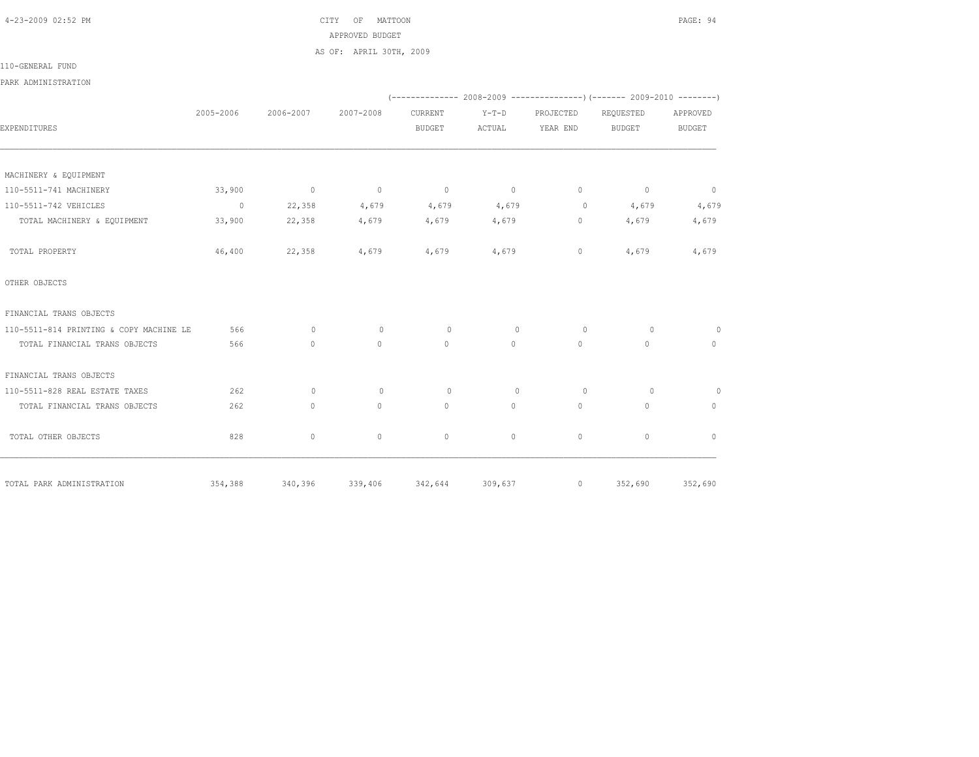4-23-2009 02:52 PM CITY OF MATTOON PAGE: 94 APPROVED BUDGET AS OF: APRIL 30TH, 2009

110-GENERAL FUND

PARK ADMINISTRATION

|                                         |           |                 |                |                         |              |              | $(-$ -------------- 2008-2009 -----------------) (------- 2009-2010 --------) |                |
|-----------------------------------------|-----------|-----------------|----------------|-------------------------|--------------|--------------|-------------------------------------------------------------------------------|----------------|
|                                         | 2005-2006 | 2006-2007       | 2007-2008      | CURRENT                 | $Y-T-D$      | PROJECTED    | REQUESTED                                                                     | APPROVED       |
| EXPENDITURES                            |           |                 |                | <b>BUDGET</b>           | ACTUAL       | YEAR END     | <b>BUDGET</b>                                                                 | <b>BUDGET</b>  |
|                                         |           |                 |                |                         |              |              |                                                                               |                |
| MACHINERY & EQUIPMENT                   |           |                 |                |                         |              |              |                                                                               |                |
| 110-5511-741 MACHINERY                  | 33,900    | $\overline{0}$  | $\overline{0}$ | $\overline{0}$          | $\sim$ 0     | $\circ$      | $\sim$ 0                                                                      | $\overline{0}$ |
| 110-5511-742 VEHICLES                   | $\sim$ 0  | 22,358          | 4,679          | 4,679                   | 4,679        | $\circ$      | 4,679                                                                         | 4,679          |
| TOTAL MACHINERY & EQUIPMENT             | 33,900    | 22,358          | 4,679          | 4,679                   | 4,679        | $\circ$      | 4,679                                                                         | 4,679          |
| TOTAL PROPERTY                          | 46,400    | 22,358          | 4,679          | 4,679                   | 4,679        | $\circ$      | 4,679                                                                         | 4,679          |
| OTHER OBJECTS                           |           |                 |                |                         |              |              |                                                                               |                |
| FINANCIAL TRANS OBJECTS                 |           |                 |                |                         |              |              |                                                                               |                |
| 110-5511-814 PRINTING & COPY MACHINE LE | 566       | $\circ$         | $\mathbf{0}$   | $\circ$                 | $\mathbf{0}$ | $\circ$      | $\circ$                                                                       | $\circ$        |
| TOTAL FINANCIAL TRANS OBJECTS           | 566       | $\circ$         | $\Omega$       | $\Omega$                | $\Omega$     | $\circ$      | $\Omega$                                                                      | $\circ$        |
| FINANCIAL TRANS OBJECTS                 |           |                 |                |                         |              |              |                                                                               |                |
| 110-5511-828 REAL ESTATE TAXES          | 262       | $\Omega$        | $\mathbf{0}$   | $\circ$                 | $\mathbf{0}$ | $\circ$      | $\Omega$                                                                      | $\overline{0}$ |
| TOTAL FINANCIAL TRANS OBJECTS           | 262       | $\circ$         | $\mathbf{0}$   | $\circ$                 | $\circ$      | $\circ$      | $\circ$                                                                       | $\circ$        |
| TOTAL OTHER OBJECTS                     | 828       | $\circ$         | $\mathbf{0}$   | $\mathbf{0}$            | $\circ$      | $\mathbf{0}$ | $\circ$                                                                       | $\mathbf{0}$   |
| TOTAL PARK ADMINISTRATION               |           | 354,388 340,396 |                | 339,406 342,644 309,637 |              |              | 0 352,690 352,690                                                             |                |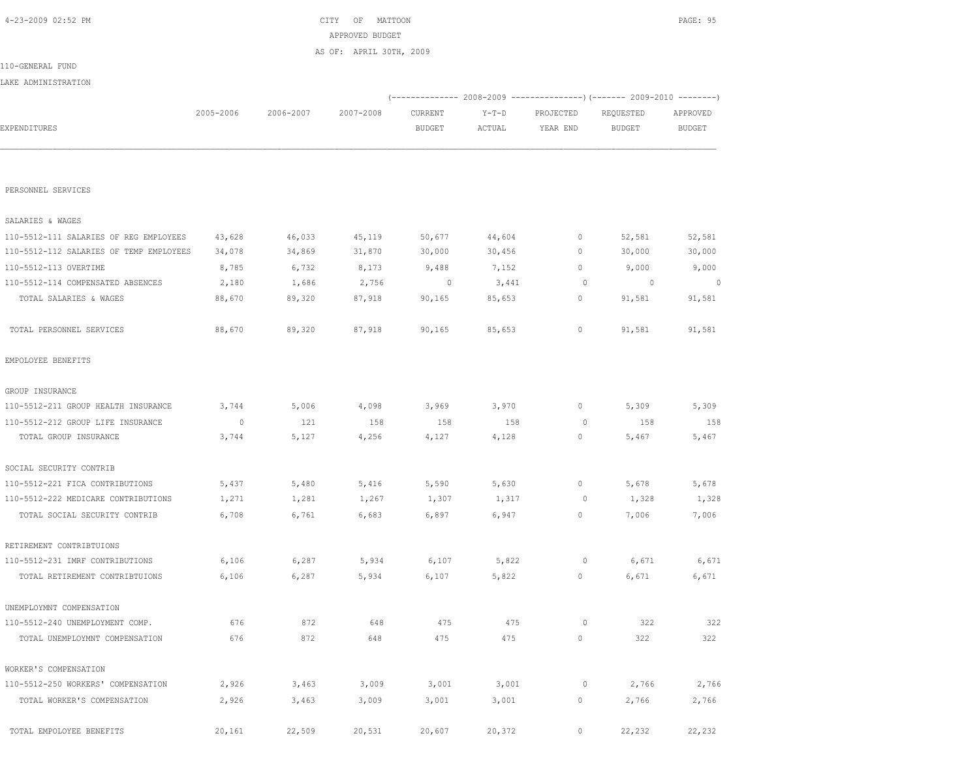| PERSONNEL SERVICES                      |         |        |        |         |        |              |         |         |
|-----------------------------------------|---------|--------|--------|---------|--------|--------------|---------|---------|
| SALARIES & WAGES                        |         |        |        |         |        |              |         |         |
| 110-5512-111 SALARIES OF REG EMPLOYEES  | 43,628  | 46,033 | 45,119 | 50,677  | 44,604 | $\mathbf{0}$ | 52,581  | 52,581  |
| 110-5512-112 SALARIES OF TEMP EMPLOYEES | 34,078  | 34,869 | 31,870 | 30,000  | 30,456 | $\mathbf{0}$ | 30,000  | 30,000  |
| 110-5512-113 OVERTIME                   | 8,785   | 6,732  | 8,173  | 9,488   | 7,152  | $\mathbf{0}$ | 9,000   | 9,000   |
| 110-5512-114 COMPENSATED ABSENCES       | 2,180   | 1,686  | 2,756  | $\circ$ | 3,441  | $\circ$      | $\circ$ | $\circ$ |
| TOTAL SALARIES & WAGES                  | 88,670  | 89,320 | 87,918 | 90,165  | 85,653 | $\circ$      | 91,581  | 91,581  |
| TOTAL PERSONNEL SERVICES                | 88,670  | 89,320 | 87,918 | 90,165  | 85,653 | $\circ$      | 91,581  | 91,581  |
| EMPOLOYEE BENEFITS                      |         |        |        |         |        |              |         |         |
| GROUP INSURANCE                         |         |        |        |         |        |              |         |         |
| 110-5512-211 GROUP HEALTH INSURANCE     | 3,744   | 5,006  | 4,098  | 3,969   | 3,970  | $\circ$      | 5,309   | 5,309   |
| 110-5512-212 GROUP LIFE INSURANCE       | $\circ$ | 121    | 158    | 158     | 158    | $\circ$      | 158     | 158     |
| TOTAL GROUP INSURANCE                   | 3,744   | 5,127  | 4,256  | 4,127   | 4,128  | $\circ$      | 5,467   | 5,467   |
| SOCIAL SECURITY CONTRIB                 |         |        |        |         |        |              |         |         |
| 110-5512-221 FICA CONTRIBUTIONS         | 5,437   | 5,480  | 5,416  | 5,590   | 5,630  | $\circ$      | 5,678   | 5,678   |
| 110-5512-222 MEDICARE CONTRIBUTIONS     | 1,271   | 1,281  | 1,267  | 1,307   | 1,317  | $\circ$      | 1,328   | 1,328   |
| TOTAL SOCIAL SECURITY CONTRIB           | 6,708   | 6,761  | 6,683  | 6,897   | 6,947  | $\circ$      | 7,006   | 7,006   |
| RETIREMENT CONTRIBTUIONS                |         |        |        |         |        |              |         |         |
| 110-5512-231 IMRF CONTRIBUTIONS         | 6,106   | 6,287  | 5,934  | 6,107   | 5,822  | $\circ$      | 6,671   | 6,671   |
| TOTAL RETIREMENT CONTRIBTUIONS          | 6,106   | 6,287  | 5,934  | 6,107   | 5,822  | $\circ$      | 6,671   | 6,671   |
| UNEMPLOYMNT COMPENSATION                |         |        |        |         |        |              |         |         |
| 110-5512-240 UNEMPLOYMENT COMP.         | 676     | 872    | 648    | 475     | 475    | $\circ$      | 322     | 322     |
| TOTAL UNEMPLOYMNT COMPENSATION          | 676     | 872    | 648    | 475     | 475    | $\circ$      | 322     | 322     |
| WORKER'S COMPENSATION                   |         |        |        |         |        |              |         |         |
| 110-5512-250 WORKERS' COMPENSATION      | 2,926   | 3,463  | 3,009  | 3,001   | 3,001  | 0            | 2,766   | 2,766   |
| TOTAL WORKER'S COMPENSATION             | 2,926   | 3,463  | 3,009  | 3,001   | 3,001  | $\circ$      | 2,766   | 2,766   |
| TOTAL EMPOLOYEE BENEFITS                | 20,161  | 22,509 | 20,531 | 20,607  | 20,372 | $\circ$      | 22,232  | 22,232  |

|                     |           |           | APPROVED BUDGET         |         |         |           |           |               |
|---------------------|-----------|-----------|-------------------------|---------|---------|-----------|-----------|---------------|
|                     |           |           | AS OF: APRIL 30TH, 2009 |         |         |           |           |               |
| 110-GENERAL FUND    |           |           |                         |         |         |           |           |               |
| LAKE ADMINISTRATION |           |           |                         |         |         |           |           |               |
|                     |           |           |                         |         |         |           |           |               |
|                     | 2005-2006 | 2006-2007 | 2007-2008               | CURRENT | $Y-T-D$ | PROJECTED | REQUESTED | APPROVED      |
| EXPENDITURES        |           |           |                         | BUDGET  | ACTUAL  | YEAR END  | BUDGET    | <b>BUDGET</b> |
|                     |           |           |                         |         |         |           |           |               |
|                     |           |           |                         |         |         |           |           |               |
|                     |           |           |                         |         |         |           |           |               |
|                     |           |           |                         |         |         |           |           |               |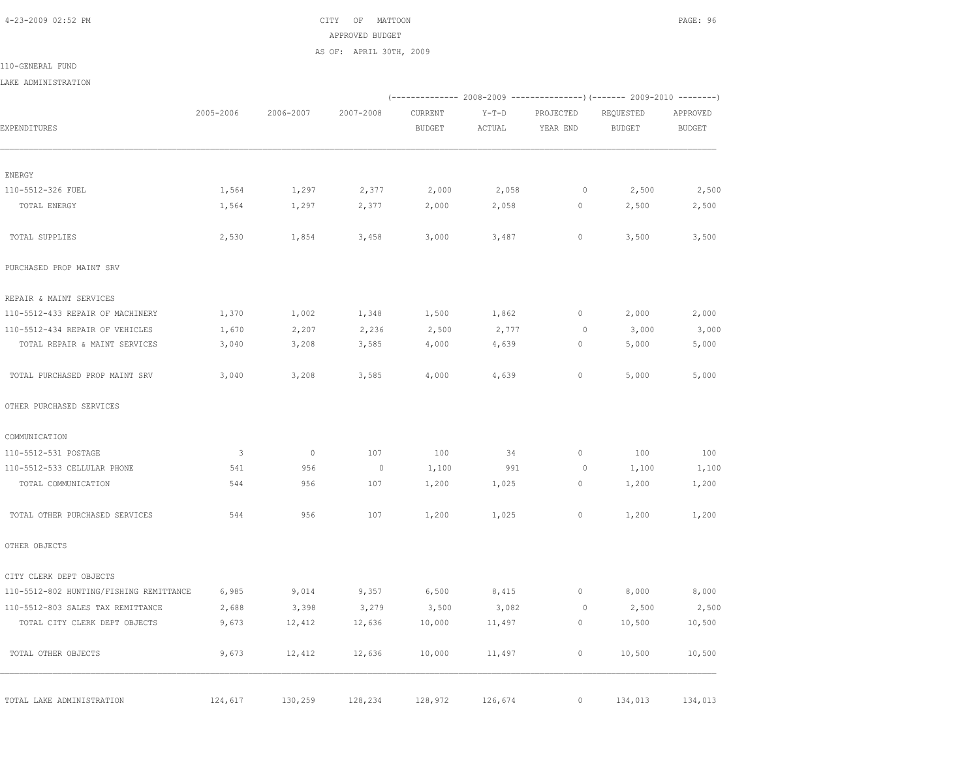4-23-2009 02:52 PM CITY OF MATTOON PAGE: 96 APPROVED BUDGET AS OF: APRIL 30TH, 2009

110-GENERAL FUND

LAKE ADMINISTRATION

|                                         |                         |                          |                |               |         |              | (-------------- 2008-2009 ----------------) (------- 2009-2010 --------) |               |
|-----------------------------------------|-------------------------|--------------------------|----------------|---------------|---------|--------------|--------------------------------------------------------------------------|---------------|
|                                         | 2005-2006               | 2006-2007                | 2007-2008      | CURRENT       | $Y-T-D$ | PROJECTED    | REQUESTED                                                                | APPROVED      |
| EXPENDITURES                            |                         |                          |                | <b>BUDGET</b> | ACTUAL  | YEAR END     | BUDGET                                                                   | <b>BUDGET</b> |
| ENERGY                                  |                         |                          |                |               |         |              |                                                                          |               |
| 110-5512-326 FUEL                       | 1,564                   | 1,297                    | 2,377          | 2,000         | 2,058   | $\circ$      | 2,500                                                                    | 2,500         |
| TOTAL ENERGY                            | 1,564                   | 1,297                    | 2,377          | 2,000         | 2,058   | $\circ$      | 2,500                                                                    | 2,500         |
| TOTAL SUPPLIES                          | 2,530                   | 1,854                    | 3,458          | 3,000         | 3,487   | 0            | 3,500                                                                    | 3,500         |
| PURCHASED PROP MAINT SRV                |                         |                          |                |               |         |              |                                                                          |               |
| REPAIR & MAINT SERVICES                 |                         |                          |                |               |         |              |                                                                          |               |
| 110-5512-433 REPAIR OF MACHINERY        | 1,370                   | 1,002                    | 1,348          | 1,500         | 1,862   | $\circ$      | 2,000                                                                    | 2,000         |
| 110-5512-434 REPAIR OF VEHICLES         | 1,670                   | 2,207                    | 2,236          | 2,500         | 2,777   | $\circ$      | 3,000                                                                    | 3,000         |
| TOTAL REPAIR & MAINT SERVICES           | 3,040                   | 3,208                    | 3,585          | 4,000         | 4,639   | $\circ$      | 5,000                                                                    | 5,000         |
| TOTAL PURCHASED PROP MAINT SRV          | 3,040                   | 3,208                    | 3,585          | 4,000         | 4,639   | $\circ$      | 5,000                                                                    | 5,000         |
| OTHER PURCHASED SERVICES                |                         |                          |                |               |         |              |                                                                          |               |
| COMMUNICATION                           |                         |                          |                |               |         |              |                                                                          |               |
| 110-5512-531 POSTAGE                    | $\overline{\mathbf{3}}$ | $\overline{\phantom{0}}$ | 107            | 100           | 34      | $\circ$      | 100                                                                      | 100           |
| 110-5512-533 CELLULAR PHONE             | 541                     | 956                      | $\overline{0}$ | 1,100         | 991     | $\circ$      | 1,100                                                                    | 1,100         |
| TOTAL COMMUNICATION                     | 544                     | 956                      | 107            | 1,200         | 1,025   | $\circ$      | 1,200                                                                    | 1,200         |
| TOTAL OTHER PURCHASED SERVICES          | 544                     | 956                      | 107            | 1,200         | 1,025   | $\circ$      | 1,200                                                                    | 1,200         |
| OTHER OBJECTS                           |                         |                          |                |               |         |              |                                                                          |               |
| CITY CLERK DEPT OBJECTS                 |                         |                          |                |               |         |              |                                                                          |               |
| 110-5512-802 HUNTING/FISHING REMITTANCE | 6,985                   | 9,014                    | 9,357          | 6,500         | 8,415   | $\circ$      | 8,000                                                                    | 8,000         |
| 110-5512-803 SALES TAX REMITTANCE       | 2,688                   | 3,398                    | 3,279          | 3,500         | 3,082   | $\circ$      | 2,500                                                                    | 2,500         |
| TOTAL CITY CLERK DEPT OBJECTS           | 9,673                   | 12,412                   | 12,636         | 10,000        | 11,497  | $\circ$      | 10,500                                                                   | 10,500        |
| TOTAL OTHER OBJECTS                     | 9,673                   | 12,412                   | 12,636         | 10,000        | 11,497  | 0            | 10,500                                                                   | 10,500        |
| TOTAL LAKE ADMINISTRATION               | 124,617                 | 130,259                  | 128,234        | 128,972       | 126,674 | $\mathbf{0}$ | 134,013                                                                  | 134,013       |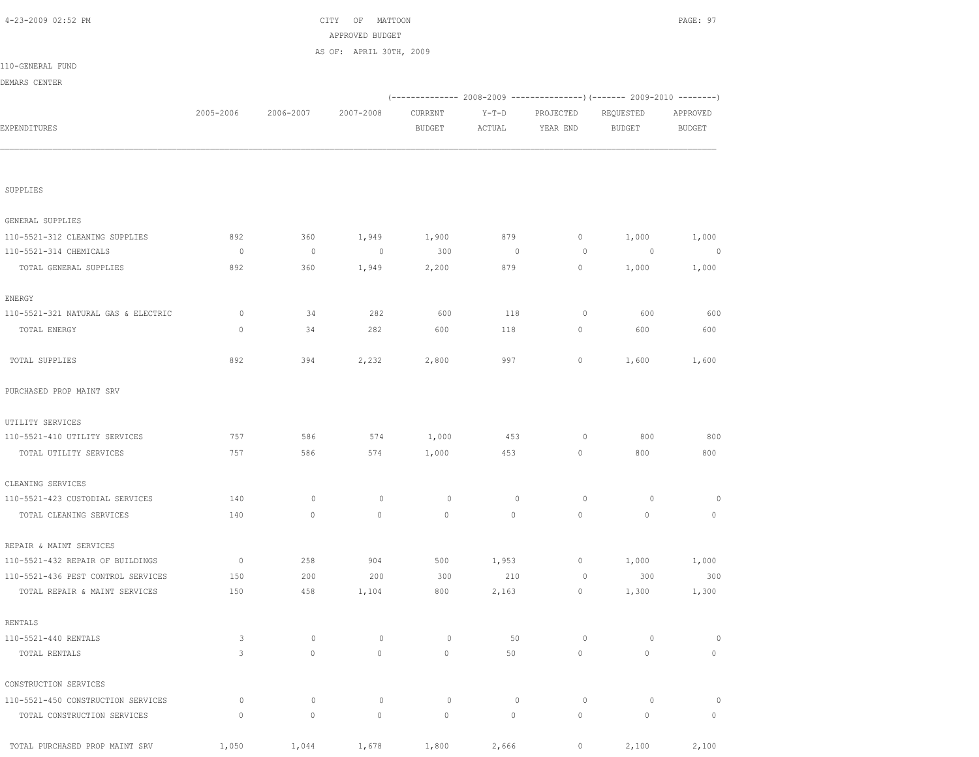| 4-23-2009 02:52 PM                  |              |             | CITY OF MATTOON<br>APPROVED BUDGET |               |                |             |                                                                        | PAGE: 97                 |
|-------------------------------------|--------------|-------------|------------------------------------|---------------|----------------|-------------|------------------------------------------------------------------------|--------------------------|
|                                     |              |             | AS OF: APRIL 30TH, 2009            |               |                |             |                                                                        |                          |
| 110-GENERAL FUND                    |              |             |                                    |               |                |             |                                                                        |                          |
| DEMARS CENTER                       |              |             |                                    |               |                |             |                                                                        |                          |
|                                     |              |             |                                    |               |                |             | (------------- 2008-2009 ---------------) (------- 2009-2010 --------) |                          |
|                                     | 2005-2006    | 2006-2007   | 2007-2008                          | CURRENT       | $Y-T-D$        | PROJECTED   | REQUESTED                                                              | APPROVED                 |
| EXPENDITURES                        |              |             |                                    | <b>BUDGET</b> | ACTUAL         | YEAR END    | <b>BUDGET</b>                                                          | <b>BUDGET</b>            |
|                                     |              |             |                                    |               |                |             |                                                                        |                          |
|                                     |              |             |                                    |               |                |             |                                                                        |                          |
| SUPPLIES                            |              |             |                                    |               |                |             |                                                                        |                          |
| GENERAL SUPPLIES                    |              |             |                                    |               |                |             |                                                                        |                          |
| 110-5521-312 CLEANING SUPPLIES      | 892          | 360         | 1,949                              | 1,900         | 879            | 0           | 1,000                                                                  | 1,000                    |
| 110-5521-314 CHEMICALS              | $\circ$      | $\circ$     | $\circ$                            | 300           | $\overline{0}$ | 0           | $\overline{0}$                                                         | $\overline{\phantom{0}}$ |
| TOTAL GENERAL SUPPLIES              | 892          | 360         | 1,949                              | 2,200         | 879            | 0           | 1,000                                                                  | 1,000                    |
| ENERGY                              |              |             |                                    |               |                |             |                                                                        |                          |
| 110-5521-321 NATURAL GAS & ELECTRIC | 0            | 34          | 282                                | 600           | 118            | $\circ$     | 600                                                                    | 600                      |
| TOTAL ENERGY                        | $\mathbf{0}$ | 34          | 282                                | 600           | 118            | 0           | 600                                                                    | 600                      |
| TOTAL SUPPLIES                      | 892          | 394         | 2,232                              | 2,800         | 997            | $\circ$     | 1,600                                                                  | 1,600                    |
| PURCHASED PROP MAINT SRV            |              |             |                                    |               |                |             |                                                                        |                          |
| UTILITY SERVICES                    |              |             |                                    |               |                |             |                                                                        |                          |
| 110-5521-410 UTILITY SERVICES       | 757          | 586         | 574                                | 1,000         | 453            | $\circ$     | 800                                                                    | 800                      |
| TOTAL UTILITY SERVICES              | 757          | 586         | 574                                | 1,000         | 453            | 0           | 800                                                                    | 800                      |
| CLEANING SERVICES                   |              |             |                                    |               |                |             |                                                                        |                          |
| 110-5521-423 CUSTODIAL SERVICES     | 140          | $\mathbb O$ | $\circ$                            | $\circ$       | $\circ$        | $\circ$     | $\circ$                                                                | $\circ$                  |
| TOTAL CLEANING SERVICES             | 140          | $\circ$     | $\mathbf{0}$                       | $\circ$       | 0              | $\circ$     | 0                                                                      | $\mathbf 0$              |
| REPAIR & MAINT SERVICES             |              |             |                                    |               |                |             |                                                                        |                          |
| 110-5521-432 REPAIR OF BUILDINGS    | $\circ$      | 258         | 904                                | 500           | 1,953          | $\circ$     | 1,000                                                                  | 1,000                    |
| 110-5521-436 PEST CONTROL SERVICES  | 150          | 200         | 200                                | 300           | 210            | $\mathbb O$ | 300                                                                    | 300                      |
| TOTAL REPAIR & MAINT SERVICES       | 150          | 458         | 1,104                              | 800           | 2,163          | $\circ$     | 1,300                                                                  | 1,300                    |
| RENTALS                             |              |             |                                    |               |                |             |                                                                        |                          |
| 110-5521-440 RENTALS                | 3            | $\circ$     | $\circ$                            | $\circ$       | 50             | $\circ$     | $\circ$                                                                | $\circ$                  |
| TOTAL RENTALS                       | 3            | $\mathbb O$ | $\circ$                            | $\mathbb O$   | 50             | $\circ$     | $\mathsf{O}\xspace$                                                    | $\circ$                  |
| CONSTRUCTION SERVICES               |              |             |                                    |               |                |             |                                                                        |                          |
| 110-5521-450 CONSTRUCTION SERVICES  | 0            | $\circ$     | $\circ$                            | $\circ$       | $\circ$        | $\circ$     | $\circ$                                                                | $\circ$                  |
| TOTAL CONSTRUCTION SERVICES         | $\mathbf{0}$ | $\mathbb O$ | $\circ$                            | $\circ$       | $\circ$        | $\circ$     | $\mathsf{O}\xspace$                                                    | $\circ$                  |
| TOTAL PURCHASED PROP MAINT SRV      | 1,050        | 1,044       | 1,678                              | 1,800         | 2,666          | $\circ$     | 2,100                                                                  | 2,100                    |
|                                     |              |             |                                    |               |                |             |                                                                        |                          |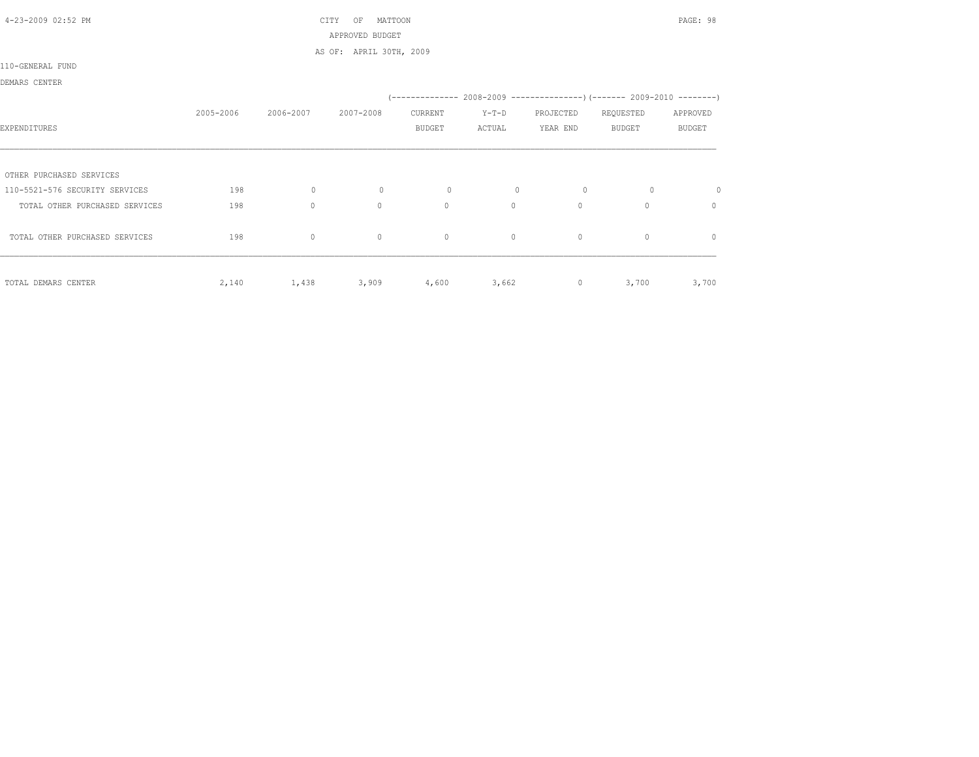| 4-23-2009 02:52 PM             |           |              | CITY<br>OF<br>MATTOON   |               |              |           |                                                                               | PAGE: 98      |
|--------------------------------|-----------|--------------|-------------------------|---------------|--------------|-----------|-------------------------------------------------------------------------------|---------------|
|                                |           |              | APPROVED BUDGET         |               |              |           |                                                                               |               |
|                                |           |              | AS OF: APRIL 30TH, 2009 |               |              |           |                                                                               |               |
| 110-GENERAL FUND               |           |              |                         |               |              |           |                                                                               |               |
| DEMARS CENTER                  |           |              |                         |               |              |           |                                                                               |               |
|                                |           |              |                         |               |              |           | $(-$ -------------- 2008-2009 -----------------) (------- 2009-2010 --------) |               |
|                                | 2005-2006 | 2006-2007    | 2007-2008               | CURRENT       | $Y-T-D$      | PROJECTED | REQUESTED                                                                     | APPROVED      |
| EXPENDITURES                   |           |              |                         | <b>BUDGET</b> | ACTUAL       | YEAR END  | <b>BUDGET</b>                                                                 | <b>BUDGET</b> |
|                                |           |              |                         |               |              |           |                                                                               |               |
| OTHER PURCHASED SERVICES       |           |              |                         |               |              |           |                                                                               |               |
| 110-5521-576 SECURITY SERVICES | 198       | $\mathbf{0}$ | $\circ$                 | $\circ$       | $\mathbf{0}$ | $\circ$   | $\circ$                                                                       | $\circ$       |
| TOTAL OTHER PURCHASED SERVICES | 198       | $\mathbf{0}$ | $\mathbf{0}$            | $\circ$       | $\circ$      | $\Omega$  | $\circ$                                                                       | $\mathbf{0}$  |
| TOTAL OTHER PURCHASED SERVICES | 198       | $\mathbf{0}$ | $\mathbf{0}$            | $\circ$       | $\circ$      | $\circ$   | $\mathbf{0}$                                                                  | $\mathbf{0}$  |
|                                |           |              |                         |               |              |           |                                                                               |               |
| TOTAL DEMARS CENTER            | 2,140     | 1,438        | 3,909                   | 4,600         | 3,662        | $\circ$   | 3,700                                                                         | 3,700         |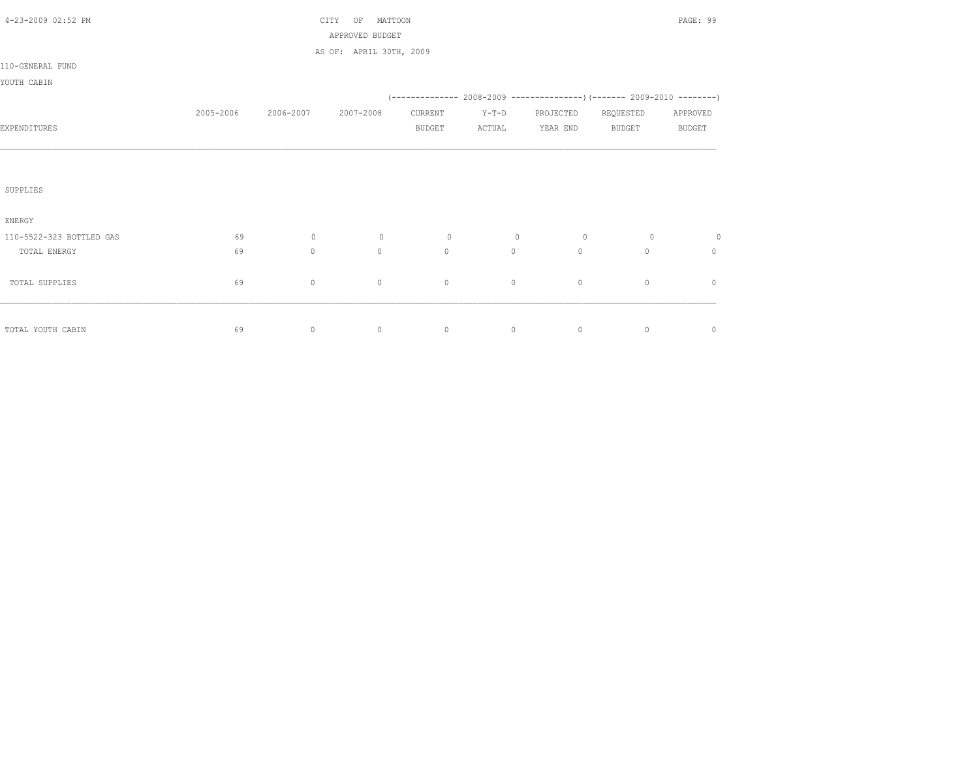| 4-23-2009 02:52 PM       |           |              | CITY<br>MATTOON<br>OF   |               |             |           |               | PAGE: 99      |
|--------------------------|-----------|--------------|-------------------------|---------------|-------------|-----------|---------------|---------------|
|                          |           |              | APPROVED BUDGET         |               |             |           |               |               |
|                          |           |              | AS OF: APRIL 30TH, 2009 |               |             |           |               |               |
| 110-GENERAL FUND         |           |              |                         |               |             |           |               |               |
| YOUTH CABIN              |           |              |                         |               |             |           |               |               |
|                          |           |              |                         |               |             |           |               |               |
|                          | 2005-2006 | 2006-2007    | 2007-2008               | CURRENT       | $Y-T-D$     | PROJECTED | REQUESTED     | APPROVED      |
| EXPENDITURES             |           |              |                         | <b>BUDGET</b> | ACTUAL      | YEAR END  | <b>BUDGET</b> | <b>BUDGET</b> |
|                          |           |              |                         |               |             |           |               |               |
|                          |           |              |                         |               |             |           |               |               |
|                          |           |              |                         |               |             |           |               |               |
| SUPPLIES                 |           |              |                         |               |             |           |               |               |
|                          |           |              |                         |               |             |           |               |               |
| ENERGY                   |           |              |                         |               |             |           |               |               |
| 110-5522-323 BOTTLED GAS | 69        | $\mathbf{0}$ | $\circ$                 | $\circ$       | $\mathbf 0$ | $\circ$   | $\circ$       | $\circ$       |
| TOTAL ENERGY             | 69        | $\mathbb O$  | $\circ$                 | $\circ$       | $\circ$     | $\circ$   | $\circ$       | $\circ$       |
|                          |           |              |                         |               |             |           |               |               |
| TOTAL SUPPLIES           | 69        | $\mathbb O$  | $\mathbb O$             | $\circ$       | 0           | $\circ$   | $\mathbb O$   | $\mathbf{0}$  |
|                          |           |              |                         |               |             |           |               |               |
|                          |           |              |                         |               |             |           |               |               |
| TOTAL YOUTH CABIN        | 69        | $\circ$      | $\mathbb O$             | $\circ$       | $\circ$     | $\circ$   | $\circ$       | $\circ$       |
|                          |           |              |                         |               |             |           |               |               |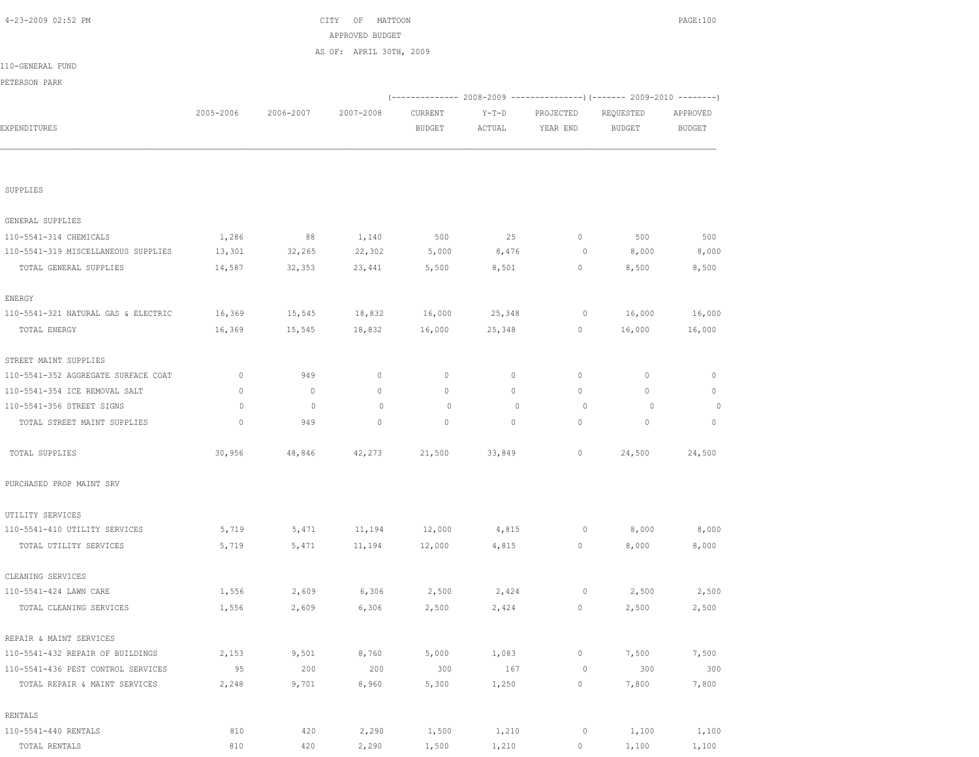|                                     |              |              |              |               |                |             | (------------- 2008-2009 ---------------) (------- 2009-2010 --------) |               |
|-------------------------------------|--------------|--------------|--------------|---------------|----------------|-------------|------------------------------------------------------------------------|---------------|
|                                     | 2005-2006    | 2006-2007    | 2007-2008    | CURRENT       | $Y-T-D$        | PROJECTED   | REQUESTED                                                              | APPROVED      |
| EXPENDITURES                        |              |              |              | <b>BUDGET</b> | ACTUAL         | YEAR END    | <b>BUDGET</b>                                                          | <b>BUDGET</b> |
|                                     |              |              |              |               |                |             |                                                                        |               |
| SUPPLIES                            |              |              |              |               |                |             |                                                                        |               |
| GENERAL SUPPLIES                    |              |              |              |               |                |             |                                                                        |               |
| 110-5541-314 CHEMICALS              | 1,286        | 88           | 1,140        | 500           | 25             | $\circ$     | 500                                                                    | 500           |
| 110-5541-319 MISCELLANEOUS SUPPLIES | 13,301       | 32,265       | 22,302       | 5,000         | 8,476          | 0           | 8,000                                                                  | 8,000         |
| TOTAL GENERAL SUPPLIES              | 14,587       | 32,353       | 23,441       | 5,500         | 8,501          | $\circ$     | 8,500                                                                  | 8,500         |
| ENERGY                              |              |              |              |               |                |             |                                                                        |               |
| 110-5541-321 NATURAL GAS & ELECTRIC | 16,369       | 15,545       | 18,832       | 16,000        | 25,348         | 0           | 16,000                                                                 | 16,000        |
| TOTAL ENERGY                        | 16,369       | 15,545       | 18,832       | 16,000        | 25,348         | $\circ$     | 16,000                                                                 | 16,000        |
| STREET MAINT SUPPLIES               |              |              |              |               |                |             |                                                                        |               |
| 110-5541-352 AGGREGATE SURFACE COAT | $\circ$      | 949          | $\circ$      | 0             | $\circ$        | 0           | 0                                                                      | $\mathbf{0}$  |
| 110-5541-354 ICE REMOVAL SALT       | $\mathbf{0}$ | $\mathbf{0}$ | $\mathbf{0}$ | $\circ$       | $\circ$        | $\circ$     | $\circ$                                                                | $\mathbf{0}$  |
| 110-5541-356 STREET SIGNS           | $\circ$      | $\mathbf{0}$ | $\mathbf{0}$ | $\Omega$      | $\overline{0}$ | 0           | $\circ$                                                                | $\circ$       |
| TOTAL STREET MAINT SUPPLIES         | $\mathbf{0}$ | 949          | $\mathbf 0$  | $\mathbf{0}$  | $\circ$        | $\circ$     | 0                                                                      | $\mathbf{0}$  |
| TOTAL SUPPLIES                      | 30,956       | 48,846       | 42,273       | 21,500        | 33,849         | $\circ$     | 24,500                                                                 | 24,500        |
| PURCHASED PROP MAINT SRV            |              |              |              |               |                |             |                                                                        |               |
| UTILITY SERVICES                    |              |              |              |               |                |             |                                                                        |               |
| 110-5541-410 UTILITY SERVICES       | 5,719        | 5,471        | 11,194       | 12,000        | 4,815          | 0           | 8,000                                                                  | 8,000         |
| TOTAL UTILITY SERVICES              | 5,719        | 5,471        | 11,194       | 12,000        | 4,815          | 0           | 8,000                                                                  | 8,000         |
| CLEANING SERVICES                   |              |              |              |               |                |             |                                                                        |               |
| 110-5541-424 LAWN CARE              | 1,556        | 2,609        | 6,306        | 2,500         | 2,424          | 0           | 2,500                                                                  | 2,500         |
| TOTAL CLEANING SERVICES             | 1,556        | 2,609        | 6,306        | 2,500         | 2,424          | 0           | 2,500                                                                  | 2,500         |
| REPAIR & MAINT SERVICES             |              |              |              |               |                |             |                                                                        |               |
| 110-5541-432 REPAIR OF BUILDINGS    | 2,153        | 9,501        | 8,760        | 5,000         | 1,083          | $\circ$     | 7,500                                                                  | 7,500         |
| 110-5541-436 PEST CONTROL SERVICES  | 95           | 200          | 200          | 300           | 167            | $\mathbb O$ | 300                                                                    | 300           |
| TOTAL REPAIR & MAINT SERVICES       | 2,248        | 9,701        | 8,960        | 5,300         | 1,250          | $\mathbb O$ | 7,800                                                                  | 7,800         |
| RENTALS                             |              |              |              |               |                |             |                                                                        |               |
| 110-5541-440 RENTALS                | 810          | 420          | 2,290        | 1,500         | 1,210          | $\circ$     | 1,100                                                                  | 1,100         |
| TOTAL RENTALS                       | 810          | 420          | 2,290        | 1,500         | 1,210          | $\mathbb O$ | 1,100                                                                  | 1,100         |

|                  |           |           | APPROVED BUDGET         |               |         |                                                                |           |               |
|------------------|-----------|-----------|-------------------------|---------------|---------|----------------------------------------------------------------|-----------|---------------|
|                  |           |           | AS OF: APRIL 30TH, 2009 |               |         |                                                                |           |               |
| 110-GENERAL FUND |           |           |                         |               |         |                                                                |           |               |
| PETERSON PARK    |           |           |                         |               |         |                                                                |           |               |
|                  |           |           |                         |               |         | $(---------- 2008-2009 ----------)$ $(---- 2009-2010 -------)$ |           |               |
|                  | 2005-2006 | 2006-2007 | 2007-2008               | CURRENT       | $Y-T-D$ | PROJECTED                                                      | REQUESTED | APPROVED      |
| EXPENDITURES     |           |           |                         | <b>BUDGET</b> | ACTUAL  | YEAR END                                                       | BUDGET    | <b>BUDGET</b> |
|                  |           |           |                         |               |         |                                                                |           |               |
|                  |           |           |                         |               |         |                                                                |           |               |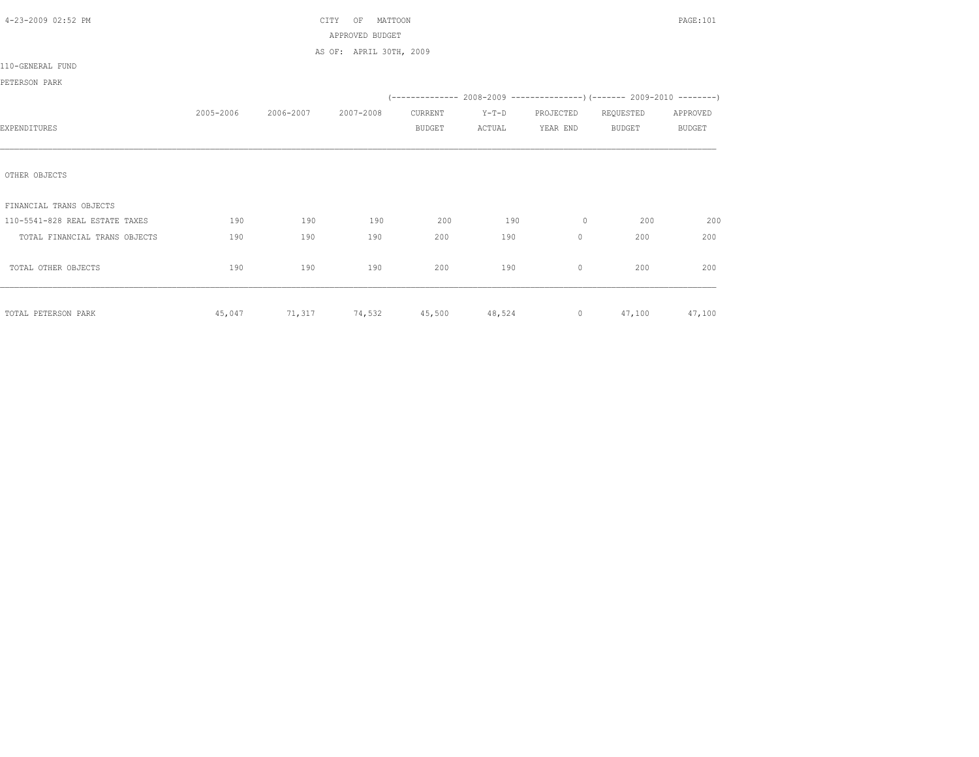| 4-23-2009 02:52 PM             |           |                             | MATTOON<br>CITY<br>OF   |               |         |           |                                                                          | PAGE: 101 |
|--------------------------------|-----------|-----------------------------|-------------------------|---------------|---------|-----------|--------------------------------------------------------------------------|-----------|
|                                |           |                             | APPROVED BUDGET         |               |         |           |                                                                          |           |
|                                |           |                             | AS OF: APRIL 30TH, 2009 |               |         |           |                                                                          |           |
| 110-GENERAL FUND               |           |                             |                         |               |         |           |                                                                          |           |
| PETERSON PARK                  |           |                             |                         |               |         |           |                                                                          |           |
|                                |           |                             |                         |               |         |           | (-------------- 2008-2009 ----------------) (------- 2009-2010 --------) |           |
|                                | 2005-2006 | 2006-2007                   | 2007-2008               | CURRENT       | $Y-T-D$ | PROJECTED | REQUESTED                                                                | APPROVED  |
| EXPENDITURES                   |           |                             |                         | <b>BUDGET</b> | ACTUAL  | YEAR END  | <b>BUDGET</b>                                                            | BUDGET    |
|                                |           |                             |                         |               |         |           |                                                                          |           |
|                                |           |                             |                         |               |         |           |                                                                          |           |
| OTHER OBJECTS                  |           |                             |                         |               |         |           |                                                                          |           |
|                                |           |                             |                         |               |         |           |                                                                          |           |
| FINANCIAL TRANS OBJECTS        |           |                             |                         |               |         |           |                                                                          |           |
| 110-5541-828 REAL ESTATE TAXES | 190       | 190                         | 190                     | 200           | 190     | $\circ$   | 200                                                                      | 200       |
| TOTAL FINANCIAL TRANS OBJECTS  | 190       | 190                         | 190                     | 200           | 190     | $\circ$   | 200                                                                      | 200       |
|                                |           |                             |                         |               |         |           |                                                                          |           |
| TOTAL OTHER OBJECTS            | 190       | 190                         | 190                     | 200           | 190     | $\circ$   | 200                                                                      | 200       |
|                                |           |                             |                         |               |         |           |                                                                          |           |
|                                |           |                             |                         |               |         |           |                                                                          |           |
| TOTAL PETERSON PARK            | 45,047    | 71,317 74,532 45,500 48,524 |                         |               |         |           | $\overline{0}$<br>47,100                                                 | 47,100    |
|                                |           |                             |                         |               |         |           |                                                                          |           |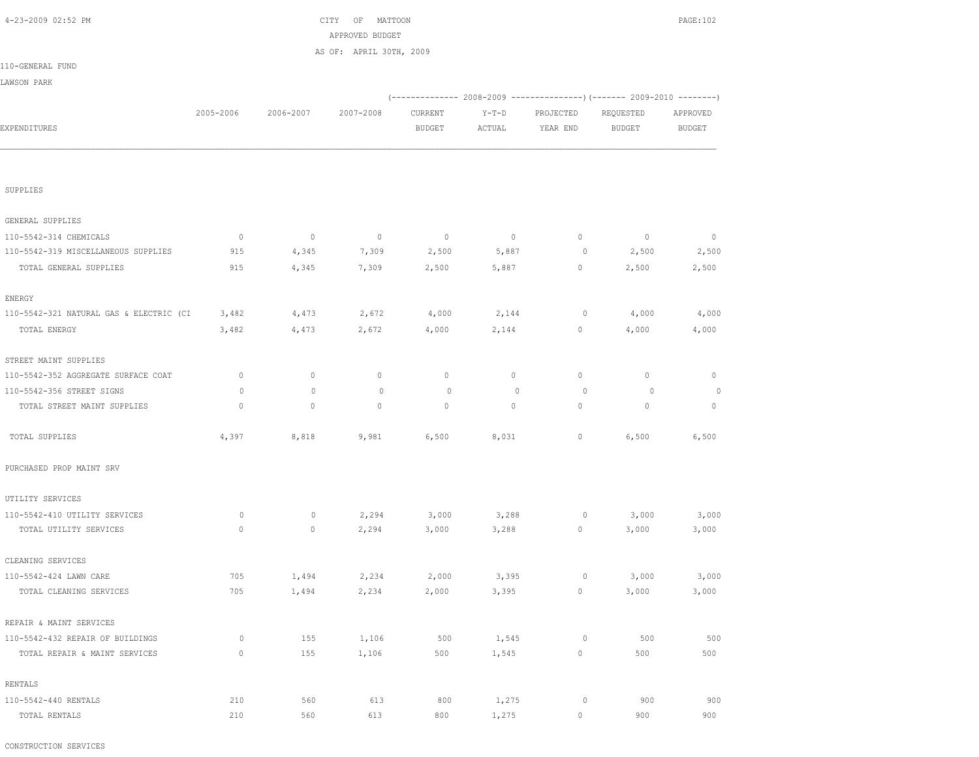CONSTRUCTION SERVICES

| SUPPLIES                                |              |         |             |             |             |             |             |              |
|-----------------------------------------|--------------|---------|-------------|-------------|-------------|-------------|-------------|--------------|
| GENERAL SUPPLIES                        |              |         |             |             |             |             |             |              |
| 110-5542-314 CHEMICALS                  | $\circ$      | $\circ$ | $\mathbb O$ | $\mathbf 0$ | $\circ$     | $\circ$     | $\mathbb O$ | 0            |
| 110-5542-319 MISCELLANEOUS SUPPLIES     | 915          | 4,345   | 7,309       | 2,500       | 5,887       | $\circ$     | 2,500       | 2,500        |
| TOTAL GENERAL SUPPLIES                  | 915          | 4,345   |             |             |             | $\circ$     |             | 2,500        |
|                                         |              |         | 7,309       | 2,500       | 5,887       |             | 2,500       |              |
| <b>ENERGY</b>                           |              |         |             |             |             |             |             |              |
| 110-5542-321 NATURAL GAS & ELECTRIC (CI | 3,482        | 4,473   | 2,672       | 4,000       | 2,144       | $\circ$     | 4,000       | 4,000        |
| TOTAL ENERGY                            | 3,482        | 4,473   | 2,672       | 4,000       | 2,144       | $\circ$     | 4,000       | 4,000        |
| STREET MAINT SUPPLIES                   |              |         |             |             |             |             |             |              |
| 110-5542-352 AGGREGATE SURFACE COAT     | $\mathbf 0$  | $\circ$ | $\circ$     | $\circ$     | $\circ$     | $\circ$     | $\mathbb O$ | $\mathbf{0}$ |
| 110-5542-356 STREET SIGNS               | $\circ$      | $\circ$ | $\mathbb O$ | $\circ$     | $\mathbb O$ | $\circ$     | $\circ$     | $\circ$      |
| TOTAL STREET MAINT SUPPLIES             | $\mathbf{0}$ | $\circ$ | $\circ$     | $\circ$     | $\circ$     | $\circ$     | $\circ$     | $\mathbf{0}$ |
| TOTAL SUPPLIES                          | 4,397        | 8,818   | 9,981       | 6,500       | 8,031       | $\mathbb O$ | 6,500       | 6,500        |
| PURCHASED PROP MAINT SRV                |              |         |             |             |             |             |             |              |
| UTILITY SERVICES                        |              |         |             |             |             |             |             |              |
| 110-5542-410 UTILITY SERVICES           | $\circ$      | $\circ$ | 2,294       | 3,000       | 3,288       | $\circ$     | 3,000       | 3,000        |
| TOTAL UTILITY SERVICES                  | $\mathbf 0$  | $\circ$ | 2,294       | 3,000       | 3,288       | $\circ$     | 3,000       | 3,000        |
| CLEANING SERVICES                       |              |         |             |             |             |             |             |              |
| 110-5542-424 LAWN CARE                  | 705          | 1,494   | 2,234       | 2,000       | 3,395       | $\circ$     | 3,000       | 3,000        |
| TOTAL CLEANING SERVICES                 | 705          | 1,494   | 2,234       | 2,000       | 3,395       | $\mathbb O$ | 3,000       | 3,000        |
| REPAIR & MAINT SERVICES                 |              |         |             |             |             |             |             |              |
| 110-5542-432 REPAIR OF BUILDINGS        | $\circ$      | 155     | 1,106       | 500         | 1,545       | $\circ$     | 500         | 500          |
| TOTAL REPAIR & MAINT SERVICES           | $\mathbf 0$  | 155     | 1,106       | 500         | 1,545       | $\circ$     | 500         | 500          |
| RENTALS                                 |              |         |             |             |             |             |             |              |
| 110-5542-440 RENTALS                    | 210          | 560     | 613         | 800         | 1,275       | $\circ$     | 900         | 900          |
| TOTAL RENTALS                           | 210          | 560     | 613         | 800         | 1,275       | $\mathbb O$ | 900         | 900          |

| 4-23-2009 02:52 PM     |              |           | CITY<br>OF              | MATTOON                                                         |         |           |               | PAGE:102      |
|------------------------|--------------|-----------|-------------------------|-----------------------------------------------------------------|---------|-----------|---------------|---------------|
|                        |              |           | APPROVED BUDGET         |                                                                 |         |           |               |               |
|                        |              |           | AS OF: APRIL 30TH, 2009 |                                                                 |         |           |               |               |
| 110-GENERAL FUND       |              |           |                         |                                                                 |         |           |               |               |
| LAWSON PARK            |              |           |                         |                                                                 |         |           |               |               |
|                        |              |           |                         | $(---------- 2008-2009 ------------)$ $(---- 2009-2010 ------)$ |         |           |               |               |
|                        | 2005-2006    | 2006-2007 | 2007-2008               | CURRENT                                                         | $Y-T-D$ | PROJECTED | REQUESTED     | APPROVED      |
| EXPENDITURES           |              |           |                         | <b>BUDGET</b>                                                   | ACTUAL  | YEAR END  | <b>BUDGET</b> | <b>BUDGET</b> |
|                        |              |           |                         |                                                                 |         |           |               |               |
| SUPPLIES               |              |           |                         |                                                                 |         |           |               |               |
|                        |              |           |                         |                                                                 |         |           |               |               |
| GENERAL SUPPLIES       |              |           |                         |                                                                 |         |           |               |               |
| 110-5542-314 CHEMICALS | $\mathbf{0}$ | $\circ$   | $\circ$                 | $\circ$                                                         | $\circ$ | $\circ$   | $\mathbf{0}$  | $\mathbf{0}$  |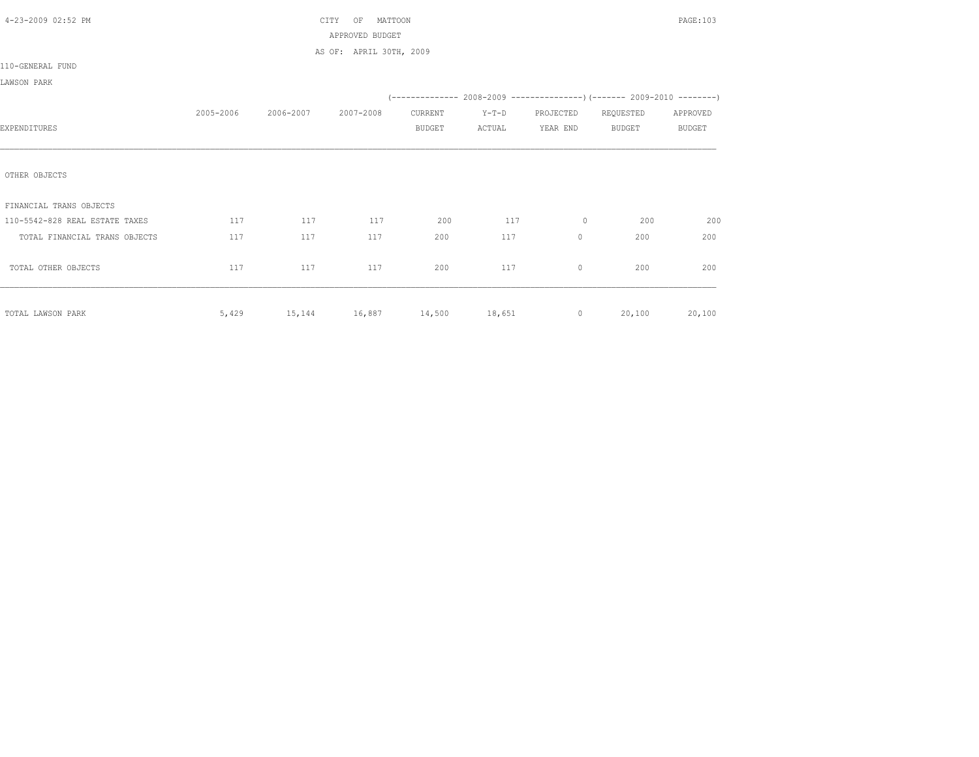| 4-23-2009 02:52 PM             |           |                                   | CITY<br>OF<br>MATTOON   |               |         |           |                                                                          | PAGE: 103     |
|--------------------------------|-----------|-----------------------------------|-------------------------|---------------|---------|-----------|--------------------------------------------------------------------------|---------------|
|                                |           |                                   | APPROVED BUDGET         |               |         |           |                                                                          |               |
|                                |           |                                   | AS OF: APRIL 30TH, 2009 |               |         |           |                                                                          |               |
| 110-GENERAL FUND               |           |                                   |                         |               |         |           |                                                                          |               |
| LAWSON PARK                    |           |                                   |                         |               |         |           |                                                                          |               |
|                                |           |                                   |                         |               |         |           | (-------------- 2008-2009 ----------------) (------- 2009-2010 --------) |               |
|                                | 2005-2006 | 2006-2007                         | 2007-2008               | CURRENT       | $Y-T-D$ | PROJECTED | REQUESTED                                                                | APPROVED      |
| EXPENDITURES                   |           |                                   |                         | <b>BUDGET</b> | ACTUAL  | YEAR END  | BUDGET                                                                   | <b>BUDGET</b> |
|                                |           |                                   |                         |               |         |           |                                                                          |               |
|                                |           |                                   |                         |               |         |           |                                                                          |               |
| OTHER OBJECTS                  |           |                                   |                         |               |         |           |                                                                          |               |
|                                |           |                                   |                         |               |         |           |                                                                          |               |
| FINANCIAL TRANS OBJECTS        |           |                                   |                         |               |         |           |                                                                          |               |
| 110-5542-828 REAL ESTATE TAXES | 117       | 117                               | 117                     | 200           | 117     | $\circ$   | 200                                                                      | 200           |
| TOTAL FINANCIAL TRANS OBJECTS  | 117       | 117                               | 117                     | 200           | 117     | $\circ$   | 200                                                                      | 200           |
|                                |           |                                   |                         |               |         |           |                                                                          |               |
| TOTAL OTHER OBJECTS            | 117       | 117                               | 117                     | 200           | 117     | $\circ$   | 200                                                                      | 200           |
|                                |           |                                   |                         |               |         |           |                                                                          |               |
|                                |           |                                   |                         |               |         |           |                                                                          |               |
| TOTAL LAWSON PARK              |           | 5,429 15,144 16,887 14,500 18,651 |                         |               |         | $\sim$ 0  | 20,100                                                                   | 20,100        |
|                                |           |                                   |                         |               |         |           |                                                                          |               |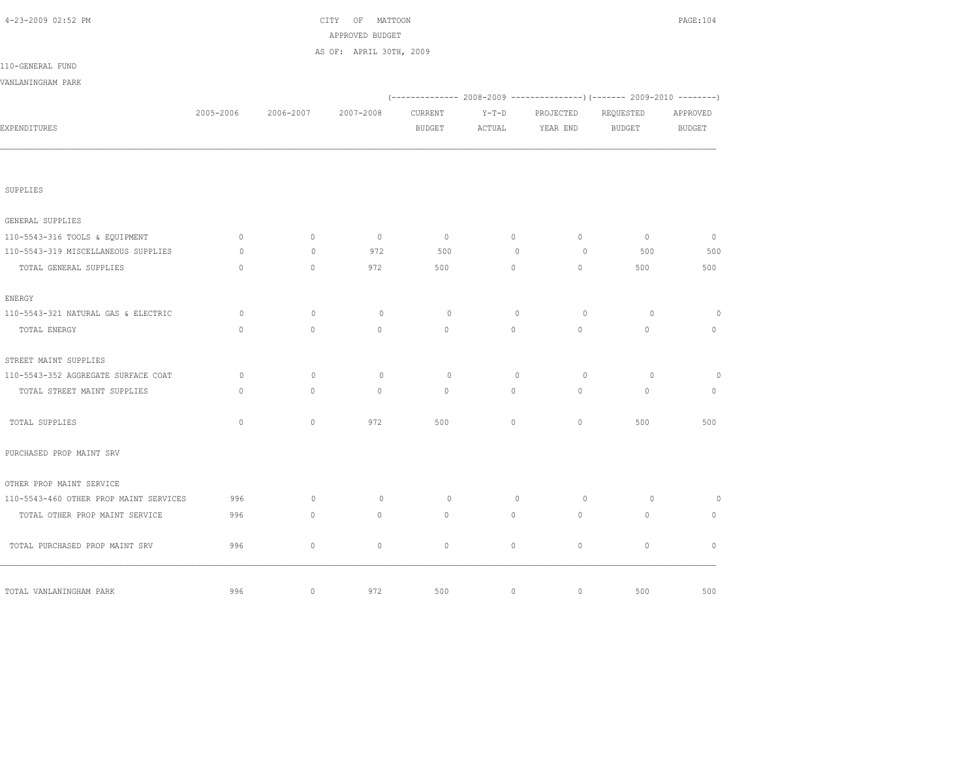| 4-23-2009 02:52 PM                     |              | CITY OF MATTOON<br>APPROVED BUDGET |                         |               |             |             |                                                                          |                                                                                                                                                                             |  |
|----------------------------------------|--------------|------------------------------------|-------------------------|---------------|-------------|-------------|--------------------------------------------------------------------------|-----------------------------------------------------------------------------------------------------------------------------------------------------------------------------|--|
|                                        |              |                                    | AS OF: APRIL 30TH, 2009 |               |             |             |                                                                          |                                                                                                                                                                             |  |
| 110-GENERAL FUND                       |              |                                    |                         |               |             |             |                                                                          |                                                                                                                                                                             |  |
| VANLANINGHAM PARK                      |              |                                    |                         |               |             |             |                                                                          |                                                                                                                                                                             |  |
|                                        |              |                                    |                         |               |             |             | (-------------- 2008-2009 ----------------) (------- 2009-2010 --------) | PAGE: 104<br>APPROVED<br><b>BUDGET</b><br>$\circ$<br>500<br>500<br>$\circ$<br>$\mathbf{0}$<br>$\circ$<br>$\mathbb O$<br>500<br>$\circ$<br>$\mathbb O$<br>$\mathbb O$<br>500 |  |
|                                        | 2005-2006    | 2006-2007                          | 2007-2008               | CURRENT       | $Y-T-D$     | PROJECTED   | REQUESTED                                                                |                                                                                                                                                                             |  |
| EXPENDITURES                           |              |                                    |                         | <b>BUDGET</b> | ACTUAL      | YEAR END    | <b>BUDGET</b>                                                            |                                                                                                                                                                             |  |
| SUPPLIES                               |              |                                    |                         |               |             |             |                                                                          |                                                                                                                                                                             |  |
|                                        |              |                                    |                         |               |             |             |                                                                          |                                                                                                                                                                             |  |
| GENERAL SUPPLIES                       |              |                                    |                         |               |             |             |                                                                          |                                                                                                                                                                             |  |
| 110-5543-316 TOOLS & EQUIPMENT         | $\circ$      | $\circ$                            | $\circ$                 | $\circ$       | $\circ$     | $\circ$     | $\circ$                                                                  |                                                                                                                                                                             |  |
| 110-5543-319 MISCELLANEOUS SUPPLIES    | $\circ$      | $\mathbf{0}$                       | 972                     | 500           | $\circ$     | $\circ$     | 500                                                                      |                                                                                                                                                                             |  |
| TOTAL GENERAL SUPPLIES                 | $\mathbf{0}$ | $\circ$                            | 972                     | 500           | $\circ$     | $\circ$     | 500                                                                      |                                                                                                                                                                             |  |
| <b>ENERGY</b>                          |              |                                    |                         |               |             |             |                                                                          |                                                                                                                                                                             |  |
| 110-5543-321 NATURAL GAS & ELECTRIC    | $\circ$      | $\circ$                            | $\circ$                 | $\circ$       | $\circ$     | $\circ$     | $\circ$                                                                  |                                                                                                                                                                             |  |
| TOTAL ENERGY                           | $\mathbf{0}$ | $\circ$                            | $\mathbf{0}$            | $\mathbf{0}$  | $\circ$     | $\circ$     | $\circ$                                                                  |                                                                                                                                                                             |  |
| STREET MAINT SUPPLIES                  |              |                                    |                         |               |             |             |                                                                          |                                                                                                                                                                             |  |
| 110-5543-352 AGGREGATE SURFACE COAT    | $\circ$      | $\mathbf{0}$                       | $\circ$                 | $\circ$       | $\circ$     | $\circ$     | $\circ$                                                                  |                                                                                                                                                                             |  |
| TOTAL STREET MAINT SUPPLIES            | $\mathbf{0}$ | $\circ$                            | $\mathbf{0}$            | $\mathbf{0}$  | $\circ$     | $\mathbb O$ | $\circ$                                                                  |                                                                                                                                                                             |  |
| TOTAL SUPPLIES                         | $\circ$      | $\circ$                            | 972                     | 500           | $\circ$     | $\circ$     | 500                                                                      |                                                                                                                                                                             |  |
| PURCHASED PROP MAINT SRV               |              |                                    |                         |               |             |             |                                                                          |                                                                                                                                                                             |  |
| OTHER PROP MAINT SERVICE               |              |                                    |                         |               |             |             |                                                                          |                                                                                                                                                                             |  |
| 110-5543-460 OTHER PROP MAINT SERVICES | 996          | $\circ$                            | $\circ$                 | $\circ$       | $\mathbb O$ | $\circ$     | $\circ$                                                                  |                                                                                                                                                                             |  |
| TOTAL OTHER PROP MAINT SERVICE         | 996          | $\circ$                            | $\circ$                 | $\circ$       | $\circ$     | $\circ$     | $\mathsf{O}\xspace$                                                      |                                                                                                                                                                             |  |
| TOTAL PURCHASED PROP MAINT SRV         | 996          | $\circ$                            | $\circ$                 | $\circ$       | $\circ$     | $\circ$     | $\mathbb O$                                                              |                                                                                                                                                                             |  |
|                                        |              |                                    |                         |               |             |             |                                                                          |                                                                                                                                                                             |  |
| TOTAL VANLANINGHAM PARK                | 996          | $\mathbb O$                        | 972                     | 500           | $\circ$     | $\mathbb O$ | 500                                                                      |                                                                                                                                                                             |  |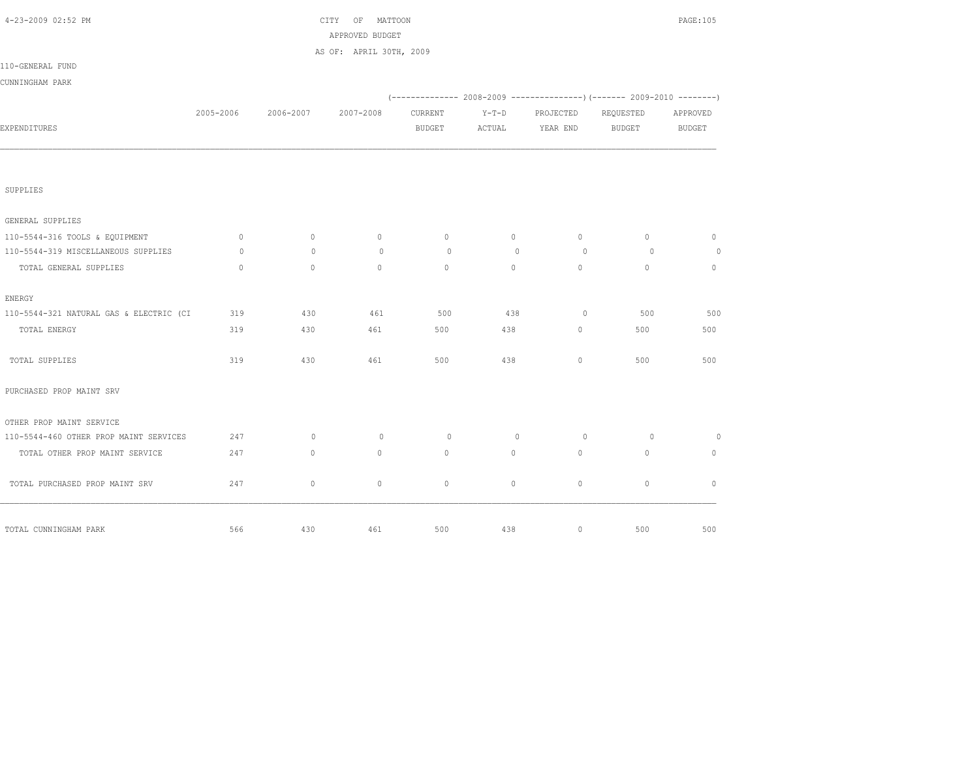| 4-23-2009 02:52 PM                      |              |              | CITY OF MATTOON<br>APPROVED BUDGET |               |         |           |               | PAGE: 105     |
|-----------------------------------------|--------------|--------------|------------------------------------|---------------|---------|-----------|---------------|---------------|
|                                         |              |              | AS OF: APRIL 30TH, 2009            |               |         |           |               |               |
| 110-GENERAL FUND                        |              |              |                                    |               |         |           |               |               |
| CUNNINGHAM PARK                         |              |              |                                    |               |         |           |               |               |
|                                         |              |              |                                    |               |         |           |               |               |
|                                         | 2005-2006    | 2006-2007    | 2007-2008                          | CURRENT       | $Y-T-D$ | PROJECTED | REQUESTED     | APPROVED      |
| EXPENDITURES                            |              |              |                                    | <b>BUDGET</b> | ACTUAL  | YEAR END  | <b>BUDGET</b> | <b>BUDGET</b> |
|                                         |              |              |                                    |               |         |           |               |               |
| SUPPLIES                                |              |              |                                    |               |         |           |               |               |
| GENERAL SUPPLIES                        |              |              |                                    |               |         |           |               |               |
| 110-5544-316 TOOLS & EQUIPMENT          | $\circ$      | $\circ$      | $\mathbb O$                        | $\circ$       | $\circ$ | $\circ$   | $\circ$       | $\circ$       |
| 110-5544-319 MISCELLANEOUS SUPPLIES     | $\circ$      | $\mathbf{0}$ | $\circ$                            | $\circ$       | $\circ$ | $\circ$   | $\circ$       | $\circ$       |
| TOTAL GENERAL SUPPLIES                  | $\mathbf{0}$ | $\circ$      | $\circ$                            | $\circ$       | $\circ$ | $\circ$   | $\circ$       | $\circ$       |
| <b>ENERGY</b>                           |              |              |                                    |               |         |           |               |               |
| 110-5544-321 NATURAL GAS & ELECTRIC (CI | 319          | 430          | 461                                | 500           | 438     | $\circ$   | 500           | 500           |
| TOTAL ENERGY                            | 319          | 430          | 461                                | 500           | 438     | $\circ$   | 500           | 500           |
| TOTAL SUPPLIES                          | 319          | 430          | 461                                | 500           | 438     | $\circ$   | 500           | 500           |
| PURCHASED PROP MAINT SRV                |              |              |                                    |               |         |           |               |               |
| OTHER PROP MAINT SERVICE                |              |              |                                    |               |         |           |               |               |
| 110-5544-460 OTHER PROP MAINT SERVICES  | 247          | $\mathbf{0}$ | $\circ$                            | $\circ$       | $\circ$ | $\circ$   | $\circ$       | $\circ$       |
| TOTAL OTHER PROP MAINT SERVICE          | 247          | $\circ$      | $\circ$                            | $\mathbf{0}$  | $\circ$ | $\circ$   | $\mathbf{0}$  | $\mathbf{0}$  |
| TOTAL PURCHASED PROP MAINT SRV          | 247          | $\circ$      | $\circ$                            | $\circ$       | $\circ$ | $\circ$   | $\circ$       | $\circ$       |
| TOTAL CUNNINGHAM PARK                   | 566          | 430          | 461                                | 500           | 438     | $\circ$   | 500           | 500           |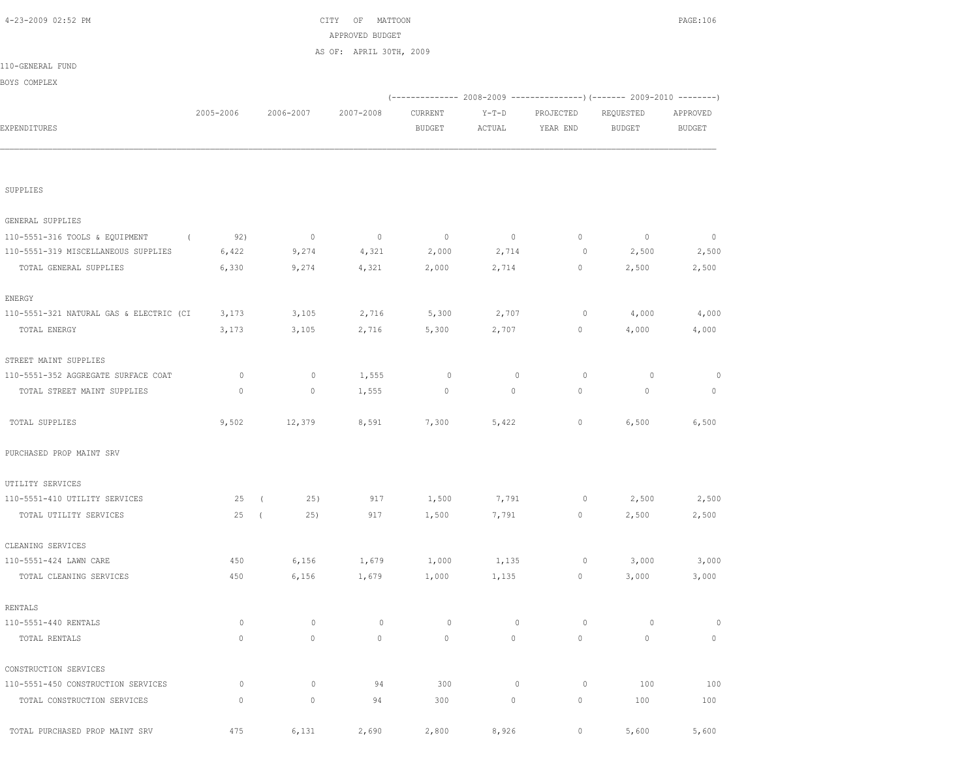| SUPPLIES                                   |             |            |                |             |                |                     |             |             |         |
|--------------------------------------------|-------------|------------|----------------|-------------|----------------|---------------------|-------------|-------------|---------|
|                                            |             |            |                |             |                |                     |             |             |         |
| GENERAL SUPPLIES                           |             |            |                |             |                |                     |             |             |         |
| 110-5551-316 TOOLS & EQUIPMENT<br>$\left($ | 92)         |            | $\overline{0}$ | $\circ$     | $\overline{0}$ | $\circ$             | $\mathbb O$ | $\mathbb O$ | $\circ$ |
| 110-5551-319 MISCELLANEOUS SUPPLIES        | 6,422       |            | 9,274          | 4,321       | 2,000          | 2,714               | 0           | 2,500       | 2,500   |
| TOTAL GENERAL SUPPLIES                     | 6,330       |            | 9,274          | 4,321       | 2,000          | 2,714               | $\circ$     | 2,500       | 2,500   |
| ENERGY                                     |             |            |                |             |                |                     |             |             |         |
| 110-5551-321 NATURAL GAS & ELECTRIC (CI    | 3,173       |            | 3,105          | 2,716       | 5,300          | 2,707               | $\circ$     | 4,000       | 4,000   |
| TOTAL ENERGY                               | 3,173       |            | 3,105          | 2,716       | 5,300          | 2,707               | $\circ$     | 4,000       | 4,000   |
| STREET MAINT SUPPLIES                      |             |            |                |             |                |                     |             |             |         |
| 110-5551-352 AGGREGATE SURFACE COAT        | $\circ$     |            | 0              | 1,555       | 0              | $\circ$             | $\circ$     | $\circ$     | 0       |
| TOTAL STREET MAINT SUPPLIES                | $\mathbb O$ |            | $\circ$        | 1,555       | $\mathbb O$    | $\mathsf{O}\xspace$ | $\circ$     | $\circ$     | $\circ$ |
| TOTAL SUPPLIES                             | 9,502       |            | 12,379         | 8,591       | 7,300          | 5,422               | $\mathbb O$ | 6,500       | 6,500   |
| PURCHASED PROP MAINT SRV                   |             |            |                |             |                |                     |             |             |         |
| UTILITY SERVICES                           |             |            |                |             |                |                     |             |             |         |
| 110-5551-410 UTILITY SERVICES              | 25          | $\sqrt{ }$ | 25)            | 917         | 1,500          | 7,791               | $\circ$     | 2,500       | 2,500   |
| TOTAL UTILITY SERVICES                     | 25          | $\sqrt{ }$ | 25)            | 917         | 1,500          | 7,791               | $\circ$     | 2,500       | 2,500   |
| CLEANING SERVICES                          |             |            |                |             |                |                     |             |             |         |
| 110-5551-424 LAWN CARE                     | 450         |            | 6,156          | 1,679       | 1,000          | 1,135               | 0           | 3,000       | 3,000   |
| TOTAL CLEANING SERVICES                    | 450         |            | 6,156          | 1,679       | 1,000          | 1,135               | $\mathbb O$ | 3,000       | 3,000   |
| RENTALS                                    |             |            |                |             |                |                     |             |             |         |
| 110-5551-440 RENTALS                       | $\circ$     |            | $\mathbb O$    | $\mathbb O$ | $\circ$        | $\mathbb O$         | $\circ$     | $\circ$     | $\circ$ |
| TOTAL RENTALS                              | $\mathbb O$ |            | $\circ$        | $\circ$     | $\circ$        | $\mathsf{O}\xspace$ | $\circ$     | $\mathbb O$ | $\circ$ |
| CONSTRUCTION SERVICES                      |             |            |                |             |                |                     |             |             |         |
| 110-5551-450 CONSTRUCTION SERVICES         | $\mathbb O$ |            | 0              | 94          | 300            | $\mathbb O$         | $\circ$     | 100         | 100     |
| TOTAL CONSTRUCTION SERVICES                | $\mathbf 0$ |            | 0              | 94          | 300            | 0                   | $\mathbb O$ | 100         | 100     |
| TOTAL PURCHASED PROP MAINT SRV             | 475         |            | 6,131          | 2,690       | 2,800          | 8,926               | $\mathbb O$ | 5,600       | 5,600   |

|                  |           |           | APPROVED BUDGET         |         |         |                                                                            |           |          |
|------------------|-----------|-----------|-------------------------|---------|---------|----------------------------------------------------------------------------|-----------|----------|
|                  |           |           | AS OF: APRIL 30TH, 2009 |         |         |                                                                            |           |          |
| 110-GENERAL FUND |           |           |                         |         |         |                                                                            |           |          |
| BOYS COMPLEX     |           |           |                         |         |         |                                                                            |           |          |
|                  |           |           |                         |         |         | (-------------- 2008-2009 -----------------) (------- 2009-2010 ---------) |           |          |
|                  | 2005-2006 | 2006-2007 | 2007-2008               | CURRENT | $Y-T-D$ | PROJECTED                                                                  | REQUESTED | APPROVED |
| EXPENDITURES     |           |           |                         | BUDGET  | ACTUAL  | YEAR END                                                                   | BUDGET    | BUDGET   |
|                  |           |           |                         |         |         |                                                                            |           |          |
|                  |           |           |                         |         |         |                                                                            |           |          |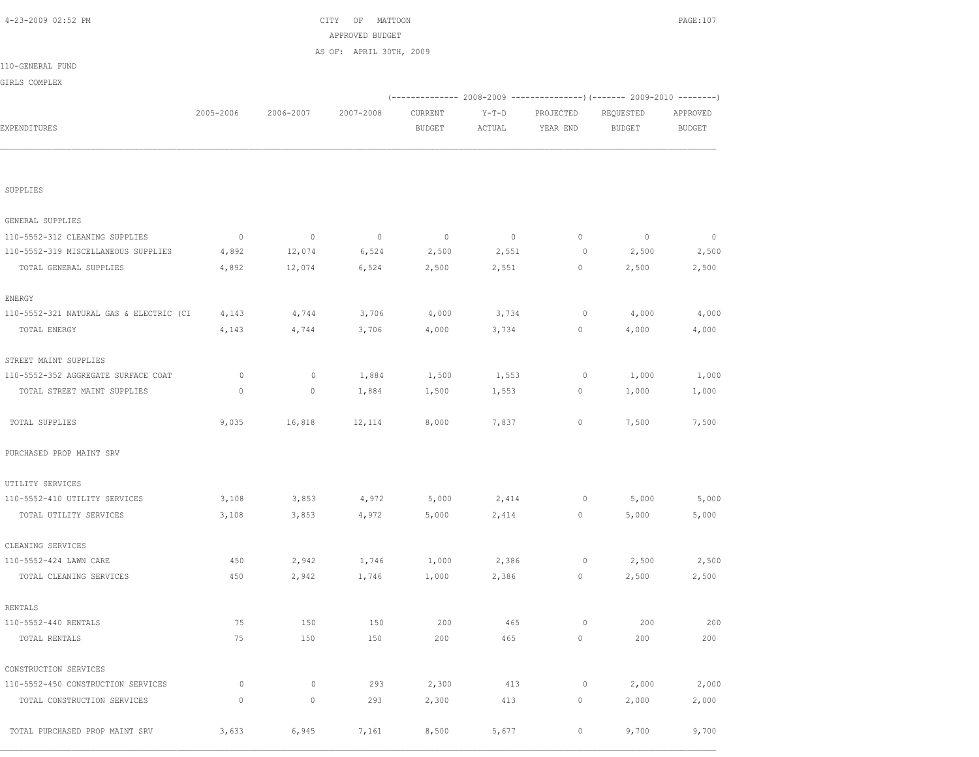| SUPPLIES                                |              |             |             |             |         |             |             |         |
|-----------------------------------------|--------------|-------------|-------------|-------------|---------|-------------|-------------|---------|
| GENERAL SUPPLIES                        |              |             |             |             |         |             |             |         |
| 110-5552-312 CLEANING SUPPLIES          | $\circ$      | $\mathbb O$ | $\mathbb O$ | $\mathbb O$ | $\circ$ | $\mathbb O$ | $\mathbb O$ | $\circ$ |
| 110-5552-319 MISCELLANEOUS SUPPLIES     | 4,892        | 12,074      | 6,524       | 2,500       | 2,551   | $\circ$     | 2,500       | 2,500   |
| TOTAL GENERAL SUPPLIES                  | 4,892        | 12,074      | 6,524       | 2,500       | 2,551   | 0           | 2,500       | 2,500   |
| ENERGY                                  |              |             |             |             |         |             |             |         |
| 110-5552-321 NATURAL GAS & ELECTRIC (CI | 4,143        | 4,744       | 3,706       | 4,000       | 3,734   | $\circ$     | 4,000       | 4,000   |
| TOTAL ENERGY                            | 4,143        | 4,744       | 3,706       | 4,000       | 3,734   | $\circ$     | 4,000       | 4,000   |
| STREET MAINT SUPPLIES                   |              |             |             |             |         |             |             |         |
| 110-5552-352 AGGREGATE SURFACE COAT     | $\circ$      | $\mathbb O$ | 1,884       | 1,500       | 1,553   | 0           | 1,000       | 1,000   |
| TOTAL STREET MAINT SUPPLIES             | $\mathbf{0}$ | 0           | 1,884       | 1,500       | 1,553   | 0           | 1,000       | 1,000   |
| TOTAL SUPPLIES                          | 9,035        | 16,818      | 12,114      | 8,000       | 7,837   | $\mathbb O$ | 7,500       | 7,500   |
| PURCHASED PROP MAINT SRV                |              |             |             |             |         |             |             |         |
| UTILITY SERVICES                        |              |             |             |             |         |             |             |         |
| 110-5552-410 UTILITY SERVICES           | 3,108        | 3,853       | 4,972       | 5,000       | 2,414   | 0           | 5,000       | 5,000   |
| TOTAL UTILITY SERVICES                  | 3,108        | 3,853       | 4,972       | 5,000       | 2,414   | $\circ$     | 5,000       | 5,000   |
| CLEANING SERVICES                       |              |             |             |             |         |             |             |         |
| 110-5552-424 LAWN CARE                  | 450          | 2,942       | 1,746       | 1,000       | 2,386   | $\circ$     | 2,500       | 2,500   |
| TOTAL CLEANING SERVICES                 | 450          | 2,942       | 1,746       | 1,000       | 2,386   | $\circ$     | 2,500       | 2,500   |
| RENTALS                                 |              |             |             |             |         |             |             |         |
| 110-5552-440 RENTALS                    | 75           | 150         | 150         | 200         | 465     | $\circ$     | 200         | 200     |
| TOTAL RENTALS                           | 75           | 150         | 150         | 200         | 465     | $\circ$     | 200         | 200     |
| CONSTRUCTION SERVICES                   |              |             |             |             |         |             |             |         |
| 110-5552-450 CONSTRUCTION SERVICES      | $\circ$      | $\mathbf 0$ | 293         | 2,300       | 413     | $\circ$     | 2,000       | 2,000   |
| TOTAL CONSTRUCTION SERVICES             | $\mathbb O$  | $\circ$     | 293         | 2,300       | 413     | $\circ$     | 2,000       | 2,000   |
| TOTAL PURCHASED PROP MAINT SRV          | 3,633        | 6,945       | 7,161       | 8,500       | 5,677   | $\circ$     | 9,700       | 9,700   |

|                  |           |           | APPROVED BUDGET         |         |         |           |           |          |
|------------------|-----------|-----------|-------------------------|---------|---------|-----------|-----------|----------|
|                  |           |           | AS OF: APRIL 30TH, 2009 |         |         |           |           |          |
| 110-GENERAL FUND |           |           |                         |         |         |           |           |          |
| GIRLS COMPLEX    |           |           |                         |         |         |           |           |          |
|                  |           |           |                         |         |         |           |           |          |
|                  | 2005-2006 | 2006-2007 | 2007-2008               | CURRENT | $Y-T-D$ | PROJECTED | REQUESTED | APPROVED |
| EXPENDITURES     |           |           |                         | BUDGET  | ACTUAL  | YEAR END  | BUDGET    | BUDGET   |
|                  |           |           |                         |         |         |           |           |          |
|                  |           |           |                         |         |         |           |           |          |
|                  |           |           |                         |         |         |           |           |          |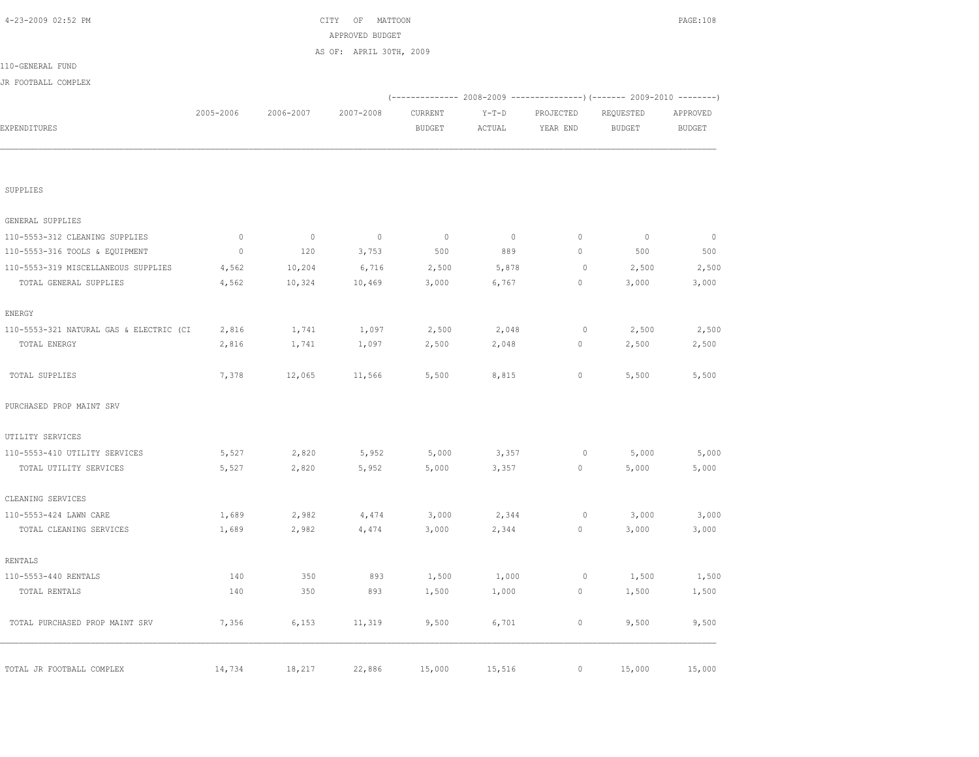| JR FOOTBALL COMPLEX                     |             |                |             |               |         |           |                                                                                  |               |
|-----------------------------------------|-------------|----------------|-------------|---------------|---------|-----------|----------------------------------------------------------------------------------|---------------|
|                                         | 2005-2006   | 2006-2007      | 2007-2008   | CURRENT       | $Y-T-D$ | PROJECTED | (-------------- 2008-2009 -------------------- 2009-2010 ---------)<br>REQUESTED | APPROVED      |
| EXPENDITURES                            |             |                |             | <b>BUDGET</b> | ACTUAL  | YEAR END  | <b>BUDGET</b>                                                                    | <b>BUDGET</b> |
|                                         |             |                |             |               |         |           |                                                                                  |               |
| SUPPLIES                                |             |                |             |               |         |           |                                                                                  |               |
| GENERAL SUPPLIES                        |             |                |             |               |         |           |                                                                                  |               |
| 110-5553-312 CLEANING SUPPLIES          | $\mathbb O$ | $\overline{0}$ | $\mathbb O$ | $\circ$       | $\circ$ | $\circ$   | $\circ$                                                                          | $\mathbb{O}$  |
| 110-5553-316 TOOLS & EQUIPMENT          | $\mathbb O$ | 120            | 3,753       | 500           | 889     | $\circ$   | 500                                                                              | 500           |
| 110-5553-319 MISCELLANEOUS SUPPLIES     | 4,562       | 10,204         | 6,716       | 2,500         | 5,878   | $\circ$   | 2,500                                                                            | 2,500         |
| TOTAL GENERAL SUPPLIES                  | 4,562       | 10,324         | 10,469      | 3,000         | 6,767   | $\circ$   | 3,000                                                                            | 3,000         |
| ENERGY                                  |             |                |             |               |         |           |                                                                                  |               |
| 110-5553-321 NATURAL GAS & ELECTRIC (CI | 2,816       | 1,741          | 1,097       | 2,500         | 2,048   | $\circ$   | 2,500                                                                            | 2,500         |
| TOTAL ENERGY                            | 2,816       | 1,741          | 1,097       | 2,500         | 2,048   | 0         | 2,500                                                                            | 2,500         |
| TOTAL SUPPLIES                          | 7,378       | 12,065         | 11,566      | 5,500         | 8,815   | $\circ$   | 5,500                                                                            | 5,500         |
| PURCHASED PROP MAINT SRV                |             |                |             |               |         |           |                                                                                  |               |
| UTILITY SERVICES                        |             |                |             |               |         |           |                                                                                  |               |
| 110-5553-410 UTILITY SERVICES           | 5,527       | 2,820          | 5,952       | 5,000         | 3,357   | $\circ$   | 5,000                                                                            | 5,000         |
| TOTAL UTILITY SERVICES                  | 5,527       | 2,820          | 5,952       | 5,000         | 3,357   | $\circ$   | 5,000                                                                            | 5,000         |
| CLEANING SERVICES                       |             |                |             |               |         |           |                                                                                  |               |
| 110-5553-424 LAWN CARE                  | 1,689       | 2,982          | 4,474       | 3,000         | 2,344   | $\circ$   | 3,000                                                                            | 3,000         |
| TOTAL CLEANING SERVICES                 | 1,689       | 2,982          | 4,474       | 3,000         | 2,344   | $\circ$   | 3,000                                                                            | 3,000         |
| <b>RENTALS</b>                          |             |                |             |               |         |           |                                                                                  |               |
| 110-5553-440 RENTALS                    | 140         | 350            | 893         | 1,500         | 1,000   | $\circ$   | 1,500                                                                            | 1,500         |
| TOTAL RENTALS                           | 140         | 350            | 893         | 1,500         | 1,000   | $\circ$   | 1,500                                                                            | 1,500         |
| TOTAL PURCHASED PROP MAINT SRV          | 7,356       | 6,153          | 11,319      | 9,500         | 6,701   | $\circ$   | 9,500                                                                            | 9,500         |
| TOTAL JR FOOTBALL COMPLEX               | 14,734      | 18,217         | 22,886      | 15,000        | 15,516  | $\circ$   | 15,000                                                                           | 15,000        |

110-GENERAL FUND

 4-23-2009 02:52 PM CITY OF MATTOON PAGE:108 APPROVED BUDGET

AS OF: APRIL 30TH, 2009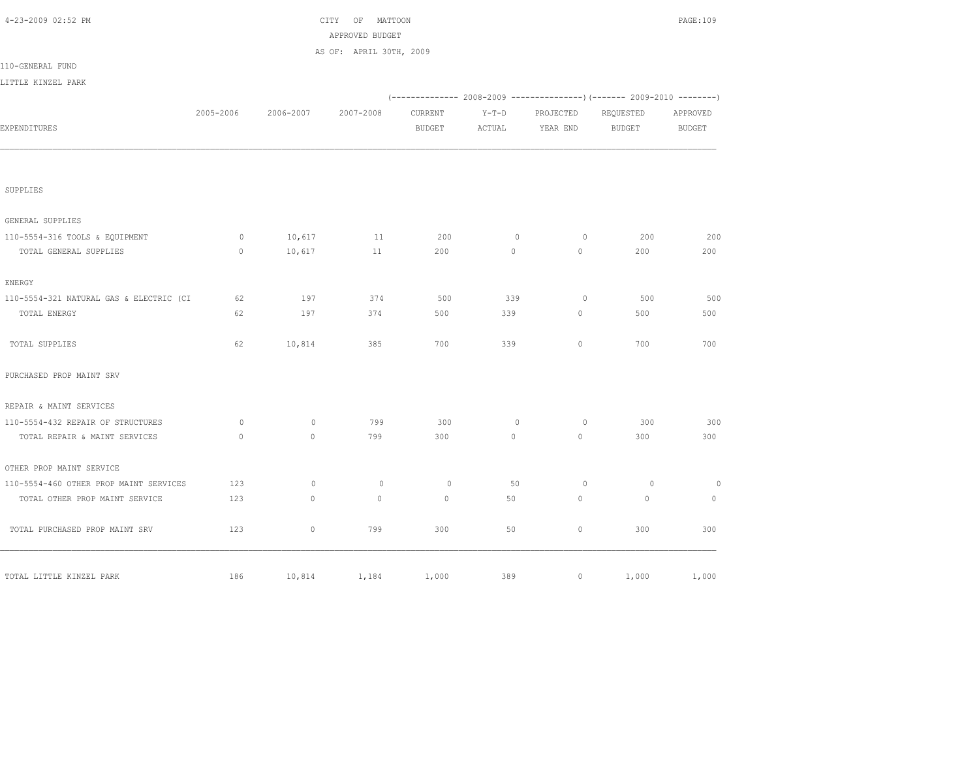| 4-23-2009 02:52 PM                      |              |           | CITY OF MATTOON<br>APPROVED BUDGET |               |              |           |                                                                              | PAGE:109       |
|-----------------------------------------|--------------|-----------|------------------------------------|---------------|--------------|-----------|------------------------------------------------------------------------------|----------------|
|                                         |              |           | AS OF: APRIL 30TH, 2009            |               |              |           |                                                                              |                |
| 110-GENERAL FUND                        |              |           |                                    |               |              |           |                                                                              |                |
| LITTLE KINZEL PARK                      |              |           |                                    |               |              |           |                                                                              |                |
|                                         |              |           |                                    |               |              |           | (-------------- 2008-2009 -------------------) (------- 2009-2010 ---------) |                |
|                                         | 2005-2006    | 2006-2007 | 2007-2008                          | CURRENT       | $Y-T-D$      | PROJECTED | REQUESTED                                                                    | APPROVED       |
| EXPENDITURES                            |              |           |                                    | <b>BUDGET</b> | ACTUAL       | YEAR END  | <b>BUDGET</b>                                                                | <b>BUDGET</b>  |
|                                         |              |           |                                    |               |              |           |                                                                              |                |
| SUPPLIES                                |              |           |                                    |               |              |           |                                                                              |                |
| GENERAL SUPPLIES                        |              |           |                                    |               |              |           |                                                                              |                |
| 110-5554-316 TOOLS & EQUIPMENT          | $\circ$      | 10,617    | 11                                 | 200           | $\circ$      | $\circ$   | 200                                                                          | 200            |
| TOTAL GENERAL SUPPLIES                  | $\mathbf{0}$ | 10,617    | 11                                 | 200           | $\circ$      | $\circ$   | 200                                                                          | 200            |
| ENERGY                                  |              |           |                                    |               |              |           |                                                                              |                |
| 110-5554-321 NATURAL GAS & ELECTRIC (CI | 62           | 197       | 374                                | 500           | 339          | $\circ$   | 500                                                                          | 500            |
| TOTAL ENERGY                            | 62           | 197       | 374                                | 500           | 339          | $\circ$   | 500                                                                          | 500            |
| TOTAL SUPPLIES                          | 62           | 10,814    | 385                                | 700           | 339          | $\circ$   | 700                                                                          | 700            |
| PURCHASED PROP MAINT SRV                |              |           |                                    |               |              |           |                                                                              |                |
| REPAIR & MAINT SERVICES                 |              |           |                                    |               |              |           |                                                                              |                |
| 110-5554-432 REPAIR OF STRUCTURES       | $\circ$      | $\circ$   | 799                                | 300           | $\mathbf{0}$ | $\circ$   | 300                                                                          | 300            |
| TOTAL REPAIR & MAINT SERVICES           | $\mathbf{0}$ | $\circ$   | 799                                | 300           | $\circ$      | $\circ$   | 300                                                                          | 300            |
| OTHER PROP MAINT SERVICE                |              |           |                                    |               |              |           |                                                                              |                |
| 110-5554-460 OTHER PROP MAINT SERVICES  | 123          | $\circ$   | $\circ$                            | $\circ$       | 50           | $\circ$   | $\overline{0}$                                                               | $\overline{0}$ |
| TOTAL OTHER PROP MAINT SERVICE          | 123          | $\circ$   | $\mathbf{0}$                       | $\mathbf{0}$  | 50           | $\circ$   | $\mathbf{0}$                                                                 | $\mathbf{0}$   |
| TOTAL PURCHASED PROP MAINT SRV          | 123          | $\circ$   | 799                                | 300           | 50           | $\circ$   | 300                                                                          | 300            |
| TOTAL LITTLE KINZEL PARK                | 186          | 10,814    | 1,184                              | 1,000         | 389          | $\circ$   | 1,000                                                                        | 1,000          |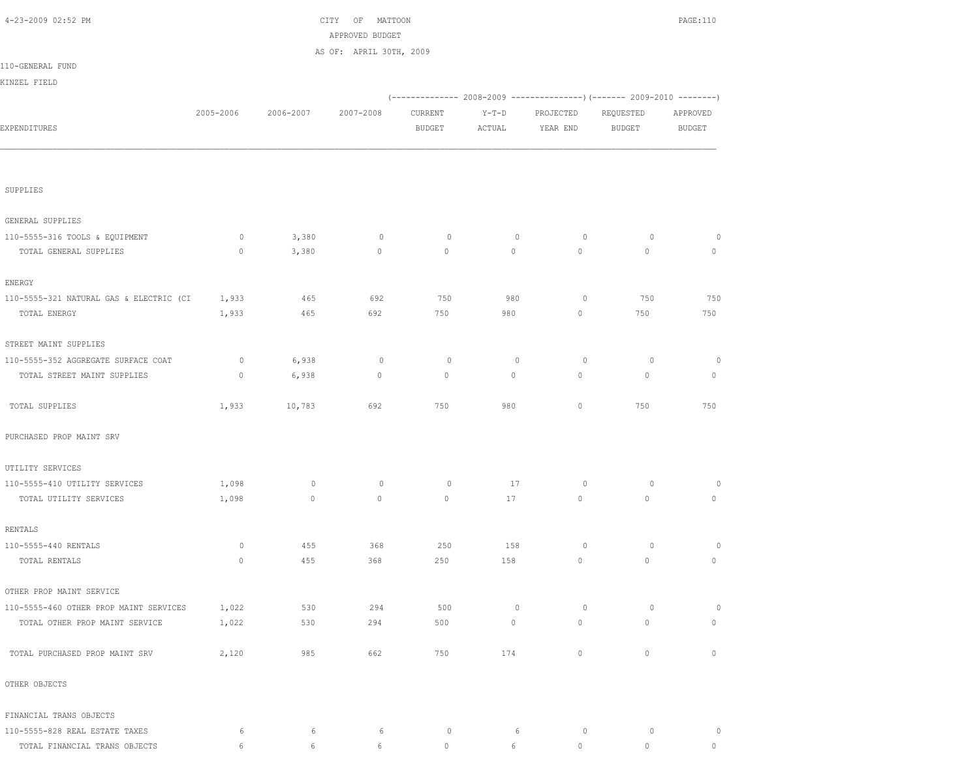| 4-23-2009 02:52 PM                      |             |           | CITY OF<br>MATTOON<br>APPROVED BUDGET |               |             |             |                                                                        | PAGE:110     |
|-----------------------------------------|-------------|-----------|---------------------------------------|---------------|-------------|-------------|------------------------------------------------------------------------|--------------|
|                                         |             |           | AS OF: APRIL 30TH, 2009               |               |             |             |                                                                        |              |
| 110-GENERAL FUND                        |             |           |                                       |               |             |             |                                                                        |              |
| KINZEL FIELD                            |             |           |                                       |               |             |             |                                                                        |              |
|                                         |             |           |                                       |               |             |             | (------------- 2008-2009 ---------------) (------- 2009-2010 --------) |              |
|                                         | 2005-2006   | 2006-2007 | 2007-2008                             | CURRENT       | $Y-T-D$     | PROJECTED   | REQUESTED                                                              | APPROVED     |
| EXPENDITURES                            |             |           |                                       | <b>BUDGET</b> | ACTUAL      | YEAR END    | <b>BUDGET</b>                                                          | BUDGET       |
|                                         |             |           |                                       |               |             |             |                                                                        |              |
| SUPPLIES                                |             |           |                                       |               |             |             |                                                                        |              |
| GENERAL SUPPLIES                        |             |           |                                       |               |             |             |                                                                        |              |
| 110-5555-316 TOOLS & EQUIPMENT          | $\circ$     | 3,380     | $\circ$                               | $\circ$       | $\mathbb O$ | $\circ$     | $\circ$                                                                | $\circ$      |
| TOTAL GENERAL SUPPLIES                  | $\circ$     | 3,380     | $\mathbb O$                           | $\circ$       | $\circ$     | $\circ$     | $\mathbb O$                                                            | $\circ$      |
| ENERGY                                  |             |           |                                       |               |             |             |                                                                        |              |
| 110-5555-321 NATURAL GAS & ELECTRIC (CI | 1,933       | 465       | 692                                   | 750           | 980         | 0           | 750                                                                    | 750          |
| TOTAL ENERGY                            | 1,933       | 465       | 692                                   | 750           | 980         | $\circ$     | 750                                                                    | 750          |
| STREET MAINT SUPPLIES                   |             |           |                                       |               |             |             |                                                                        |              |
| 110-5555-352 AGGREGATE SURFACE COAT     | $\circ$     | 6,938     | $\circ$                               | $\circ$       | $\circ$     | $\circ$     | $\circ$                                                                | $\circ$      |
| TOTAL STREET MAINT SUPPLIES             | $\circ$     | 6,938     | $\circ$                               | $\circ$       | $\circ$     | $\circ$     | $\mathbf 0$                                                            | $\mathbf 0$  |
| TOTAL SUPPLIES                          | 1,933       | 10,783    | 692                                   | 750           | 980         | $\circ$     | 750                                                                    | 750          |
| PURCHASED PROP MAINT SRV                |             |           |                                       |               |             |             |                                                                        |              |
| UTILITY SERVICES                        |             |           |                                       |               |             |             |                                                                        |              |
| 110-5555-410 UTILITY SERVICES           | 1,098       | $\circ$   | 0                                     | $\circ$       | 17          | $\circ$     | 0                                                                      | 0            |
| TOTAL UTILITY SERVICES                  | 1,098       | $\circ$   | 0                                     | $\mathbf{0}$  | 17          | 0           | $\circ$                                                                | $\mathbf 0$  |
| RENTALS                                 |             |           |                                       |               |             |             |                                                                        |              |
| 110-5555-440 RENTALS                    | $\circ$     | 455       | 368                                   | 250           | 158         | $\circ$     | $\circ$                                                                | $\circ$      |
| TOTAL RENTALS                           | $\mathbf 0$ | 455       | 368                                   | 250           | 158         | $\circ$     | $\mathbf 0$                                                            | $\circ$      |
| OTHER PROP MAINT SERVICE                |             |           |                                       |               |             |             |                                                                        |              |
| 110-5555-460 OTHER PROP MAINT SERVICES  | 1,022       | 530       | 294                                   | 500           | $\mathbb O$ | $\circ$     | $\circ$                                                                | $\circ$      |
| TOTAL OTHER PROP MAINT SERVICE          | 1,022       | 530       | 294                                   | 500           | $\circ$     | $\mathbb O$ | $\mathbb O$                                                            | $\circ$      |
| TOTAL PURCHASED PROP MAINT SRV          | 2,120       | 985       | 662                                   | 750           | 174         | $\circ$     | $\circ$                                                                | $\mathbf{0}$ |
| OTHER OBJECTS                           |             |           |                                       |               |             |             |                                                                        |              |
| FINANCIAL TRANS OBJECTS                 |             |           |                                       |               |             |             |                                                                        |              |
| 110-5555-828 REAL ESTATE TAXES          | 6           | 6         | 6                                     | $\circ$       | 6           | $\circ$     | $\circ$                                                                | $\circ$      |
| TOTAL FINANCIAL TRANS OBJECTS           | 6           | 6         | 6                                     | $\circ$       | 6           | $\circ$     | $\circ$                                                                | $\circ$      |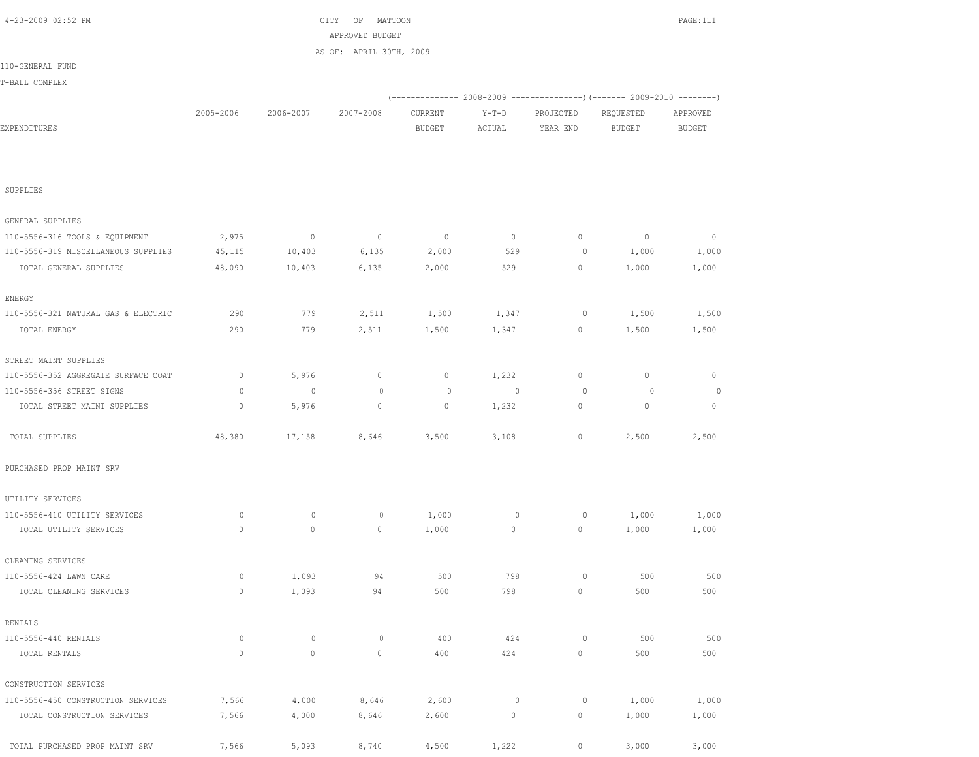| AS OF: APRIL 30TH, 2009<br>(-------------- 2008-2009 ----------------) (------- 2009-2010 --------)<br>2005-2006<br>2006-2007<br>2007-2008<br>CURRENT<br>$Y-T-D$<br>PROJECTED<br>REQUESTED<br>APPROVED<br><b>BUDGET</b><br><b>BUDGET</b><br>ACTUAL<br>YEAR END<br><b>BUDGET</b><br>SUPPLIES<br>GENERAL SUPPLIES<br>2,975<br>$\overline{0}$<br>$\circ$<br>$\overline{0}$<br>$\circ$<br>$\circ$<br>$\circ$<br>$\circ$<br>10,403<br>6,135<br>529<br>1,000<br>45,115<br>2,000<br>$\circ$<br>1,000<br>TOTAL GENERAL SUPPLIES<br>10,403<br>6,135<br>2,000<br>529<br>1,000<br>48,090<br>0<br>1,000<br>ENERGY<br>110-5556-321 NATURAL GAS & ELECTRIC<br>290<br>779<br>2,511<br>1,500<br>1,347<br>$\circ$<br>1,500<br>1,500<br>TOTAL ENERGY<br>290<br>779<br>0<br>1,500<br>2,511<br>1,500<br>1,347<br>1,500<br>STREET MAINT SUPPLIES<br>5,976<br>1,232<br>$\circ$<br>$\mathbf 0$<br>0<br>$\mathbf 0$<br>0<br>0<br>$\circ$<br>$\circ$<br>$\circ$<br>$\circ$<br>$\mathbf 0$<br>$\circ$<br>$\circ$<br>$\circ$<br>$\circ$<br>5,976<br>$\circ$<br>$\circ$<br>1,232<br>0<br>$\circ$<br>$\circ$<br>TOTAL STREET MAINT SUPPLIES<br>48,380<br>17,158<br>3,500<br>3,108<br>$\circ$<br>2,500<br>2,500<br>TOTAL SUPPLIES<br>8,646<br>PURCHASED PROP MAINT SRV<br>UTILITY SERVICES<br>110-5556-410 UTILITY SERVICES<br>0<br>$\circ$<br>1,000<br>1,000<br>0<br>$\mathbf 0$<br>0<br>1,000<br>TOTAL UTILITY SERVICES<br>$\mathbf 0$<br>$\circ$<br>1,000<br>0<br>0<br>1,000<br>1,000<br>0<br>CLEANING SERVICES<br>500<br>798<br>500<br>110-5556-424 LAWN CARE<br>0<br>1,093<br>$\circ$<br>500<br>94<br>$\mathbb O$<br>94<br>500<br>798<br>$\circ$<br>500<br>500<br>TOTAL CLEANING SERVICES<br>1,093<br>RENTALS<br>$\mathbb O$<br>$\mathbb O$<br>110-5556-440 RENTALS<br>0<br>400<br>424<br>$\circ$<br>500<br>500<br>$\mathbb O$<br>TOTAL RENTALS<br>$\circ$<br>$\circ$<br>$\mathbb O$<br>400<br>424<br>500<br>500<br>CONSTRUCTION SERVICES<br>8,646<br>2,600<br>110-5556-450 CONSTRUCTION SERVICES<br>7,566<br>4,000<br>$\mathbb O$<br>$\circ$<br>1,000<br>1,000<br>$\mathsf{O}\xspace$<br>7,566<br>4,000<br>8,646<br>2,600<br>0<br>1,000<br>1,000<br>TOTAL CONSTRUCTION SERVICES |                                     |  | APPROVED BUDGET |  |  |  |
|---------------------------------------------------------------------------------------------------------------------------------------------------------------------------------------------------------------------------------------------------------------------------------------------------------------------------------------------------------------------------------------------------------------------------------------------------------------------------------------------------------------------------------------------------------------------------------------------------------------------------------------------------------------------------------------------------------------------------------------------------------------------------------------------------------------------------------------------------------------------------------------------------------------------------------------------------------------------------------------------------------------------------------------------------------------------------------------------------------------------------------------------------------------------------------------------------------------------------------------------------------------------------------------------------------------------------------------------------------------------------------------------------------------------------------------------------------------------------------------------------------------------------------------------------------------------------------------------------------------------------------------------------------------------------------------------------------------------------------------------------------------------------------------------------------------------------------------------------------------------------------------------------------------------------------------------------------------------------------------------------------------------------------------------------------------------------------------------------------------------------------------------------------|-------------------------------------|--|-----------------|--|--|--|
|                                                                                                                                                                                                                                                                                                                                                                                                                                                                                                                                                                                                                                                                                                                                                                                                                                                                                                                                                                                                                                                                                                                                                                                                                                                                                                                                                                                                                                                                                                                                                                                                                                                                                                                                                                                                                                                                                                                                                                                                                                                                                                                                                         |                                     |  |                 |  |  |  |
|                                                                                                                                                                                                                                                                                                                                                                                                                                                                                                                                                                                                                                                                                                                                                                                                                                                                                                                                                                                                                                                                                                                                                                                                                                                                                                                                                                                                                                                                                                                                                                                                                                                                                                                                                                                                                                                                                                                                                                                                                                                                                                                                                         | 110-GENERAL FUND                    |  |                 |  |  |  |
|                                                                                                                                                                                                                                                                                                                                                                                                                                                                                                                                                                                                                                                                                                                                                                                                                                                                                                                                                                                                                                                                                                                                                                                                                                                                                                                                                                                                                                                                                                                                                                                                                                                                                                                                                                                                                                                                                                                                                                                                                                                                                                                                                         | T-BALL COMPLEX                      |  |                 |  |  |  |
|                                                                                                                                                                                                                                                                                                                                                                                                                                                                                                                                                                                                                                                                                                                                                                                                                                                                                                                                                                                                                                                                                                                                                                                                                                                                                                                                                                                                                                                                                                                                                                                                                                                                                                                                                                                                                                                                                                                                                                                                                                                                                                                                                         |                                     |  |                 |  |  |  |
|                                                                                                                                                                                                                                                                                                                                                                                                                                                                                                                                                                                                                                                                                                                                                                                                                                                                                                                                                                                                                                                                                                                                                                                                                                                                                                                                                                                                                                                                                                                                                                                                                                                                                                                                                                                                                                                                                                                                                                                                                                                                                                                                                         |                                     |  |                 |  |  |  |
|                                                                                                                                                                                                                                                                                                                                                                                                                                                                                                                                                                                                                                                                                                                                                                                                                                                                                                                                                                                                                                                                                                                                                                                                                                                                                                                                                                                                                                                                                                                                                                                                                                                                                                                                                                                                                                                                                                                                                                                                                                                                                                                                                         | EXPENDITURES                        |  |                 |  |  |  |
|                                                                                                                                                                                                                                                                                                                                                                                                                                                                                                                                                                                                                                                                                                                                                                                                                                                                                                                                                                                                                                                                                                                                                                                                                                                                                                                                                                                                                                                                                                                                                                                                                                                                                                                                                                                                                                                                                                                                                                                                                                                                                                                                                         |                                     |  |                 |  |  |  |
|                                                                                                                                                                                                                                                                                                                                                                                                                                                                                                                                                                                                                                                                                                                                                                                                                                                                                                                                                                                                                                                                                                                                                                                                                                                                                                                                                                                                                                                                                                                                                                                                                                                                                                                                                                                                                                                                                                                                                                                                                                                                                                                                                         |                                     |  |                 |  |  |  |
|                                                                                                                                                                                                                                                                                                                                                                                                                                                                                                                                                                                                                                                                                                                                                                                                                                                                                                                                                                                                                                                                                                                                                                                                                                                                                                                                                                                                                                                                                                                                                                                                                                                                                                                                                                                                                                                                                                                                                                                                                                                                                                                                                         |                                     |  |                 |  |  |  |
|                                                                                                                                                                                                                                                                                                                                                                                                                                                                                                                                                                                                                                                                                                                                                                                                                                                                                                                                                                                                                                                                                                                                                                                                                                                                                                                                                                                                                                                                                                                                                                                                                                                                                                                                                                                                                                                                                                                                                                                                                                                                                                                                                         |                                     |  |                 |  |  |  |
|                                                                                                                                                                                                                                                                                                                                                                                                                                                                                                                                                                                                                                                                                                                                                                                                                                                                                                                                                                                                                                                                                                                                                                                                                                                                                                                                                                                                                                                                                                                                                                                                                                                                                                                                                                                                                                                                                                                                                                                                                                                                                                                                                         |                                     |  |                 |  |  |  |
|                                                                                                                                                                                                                                                                                                                                                                                                                                                                                                                                                                                                                                                                                                                                                                                                                                                                                                                                                                                                                                                                                                                                                                                                                                                                                                                                                                                                                                                                                                                                                                                                                                                                                                                                                                                                                                                                                                                                                                                                                                                                                                                                                         | 110-5556-316 TOOLS & EQUIPMENT      |  |                 |  |  |  |
|                                                                                                                                                                                                                                                                                                                                                                                                                                                                                                                                                                                                                                                                                                                                                                                                                                                                                                                                                                                                                                                                                                                                                                                                                                                                                                                                                                                                                                                                                                                                                                                                                                                                                                                                                                                                                                                                                                                                                                                                                                                                                                                                                         | 110-5556-319 MISCELLANEOUS SUPPLIES |  |                 |  |  |  |
|                                                                                                                                                                                                                                                                                                                                                                                                                                                                                                                                                                                                                                                                                                                                                                                                                                                                                                                                                                                                                                                                                                                                                                                                                                                                                                                                                                                                                                                                                                                                                                                                                                                                                                                                                                                                                                                                                                                                                                                                                                                                                                                                                         |                                     |  |                 |  |  |  |
|                                                                                                                                                                                                                                                                                                                                                                                                                                                                                                                                                                                                                                                                                                                                                                                                                                                                                                                                                                                                                                                                                                                                                                                                                                                                                                                                                                                                                                                                                                                                                                                                                                                                                                                                                                                                                                                                                                                                                                                                                                                                                                                                                         |                                     |  |                 |  |  |  |
|                                                                                                                                                                                                                                                                                                                                                                                                                                                                                                                                                                                                                                                                                                                                                                                                                                                                                                                                                                                                                                                                                                                                                                                                                                                                                                                                                                                                                                                                                                                                                                                                                                                                                                                                                                                                                                                                                                                                                                                                                                                                                                                                                         |                                     |  |                 |  |  |  |
|                                                                                                                                                                                                                                                                                                                                                                                                                                                                                                                                                                                                                                                                                                                                                                                                                                                                                                                                                                                                                                                                                                                                                                                                                                                                                                                                                                                                                                                                                                                                                                                                                                                                                                                                                                                                                                                                                                                                                                                                                                                                                                                                                         |                                     |  |                 |  |  |  |
|                                                                                                                                                                                                                                                                                                                                                                                                                                                                                                                                                                                                                                                                                                                                                                                                                                                                                                                                                                                                                                                                                                                                                                                                                                                                                                                                                                                                                                                                                                                                                                                                                                                                                                                                                                                                                                                                                                                                                                                                                                                                                                                                                         |                                     |  |                 |  |  |  |
|                                                                                                                                                                                                                                                                                                                                                                                                                                                                                                                                                                                                                                                                                                                                                                                                                                                                                                                                                                                                                                                                                                                                                                                                                                                                                                                                                                                                                                                                                                                                                                                                                                                                                                                                                                                                                                                                                                                                                                                                                                                                                                                                                         |                                     |  |                 |  |  |  |
|                                                                                                                                                                                                                                                                                                                                                                                                                                                                                                                                                                                                                                                                                                                                                                                                                                                                                                                                                                                                                                                                                                                                                                                                                                                                                                                                                                                                                                                                                                                                                                                                                                                                                                                                                                                                                                                                                                                                                                                                                                                                                                                                                         | 110-5556-352 AGGREGATE SURFACE COAT |  |                 |  |  |  |
|                                                                                                                                                                                                                                                                                                                                                                                                                                                                                                                                                                                                                                                                                                                                                                                                                                                                                                                                                                                                                                                                                                                                                                                                                                                                                                                                                                                                                                                                                                                                                                                                                                                                                                                                                                                                                                                                                                                                                                                                                                                                                                                                                         | 110-5556-356 STREET SIGNS           |  |                 |  |  |  |
|                                                                                                                                                                                                                                                                                                                                                                                                                                                                                                                                                                                                                                                                                                                                                                                                                                                                                                                                                                                                                                                                                                                                                                                                                                                                                                                                                                                                                                                                                                                                                                                                                                                                                                                                                                                                                                                                                                                                                                                                                                                                                                                                                         |                                     |  |                 |  |  |  |
|                                                                                                                                                                                                                                                                                                                                                                                                                                                                                                                                                                                                                                                                                                                                                                                                                                                                                                                                                                                                                                                                                                                                                                                                                                                                                                                                                                                                                                                                                                                                                                                                                                                                                                                                                                                                                                                                                                                                                                                                                                                                                                                                                         |                                     |  |                 |  |  |  |
|                                                                                                                                                                                                                                                                                                                                                                                                                                                                                                                                                                                                                                                                                                                                                                                                                                                                                                                                                                                                                                                                                                                                                                                                                                                                                                                                                                                                                                                                                                                                                                                                                                                                                                                                                                                                                                                                                                                                                                                                                                                                                                                                                         |                                     |  |                 |  |  |  |
|                                                                                                                                                                                                                                                                                                                                                                                                                                                                                                                                                                                                                                                                                                                                                                                                                                                                                                                                                                                                                                                                                                                                                                                                                                                                                                                                                                                                                                                                                                                                                                                                                                                                                                                                                                                                                                                                                                                                                                                                                                                                                                                                                         |                                     |  |                 |  |  |  |
|                                                                                                                                                                                                                                                                                                                                                                                                                                                                                                                                                                                                                                                                                                                                                                                                                                                                                                                                                                                                                                                                                                                                                                                                                                                                                                                                                                                                                                                                                                                                                                                                                                                                                                                                                                                                                                                                                                                                                                                                                                                                                                                                                         |                                     |  |                 |  |  |  |
|                                                                                                                                                                                                                                                                                                                                                                                                                                                                                                                                                                                                                                                                                                                                                                                                                                                                                                                                                                                                                                                                                                                                                                                                                                                                                                                                                                                                                                                                                                                                                                                                                                                                                                                                                                                                                                                                                                                                                                                                                                                                                                                                                         |                                     |  |                 |  |  |  |
|                                                                                                                                                                                                                                                                                                                                                                                                                                                                                                                                                                                                                                                                                                                                                                                                                                                                                                                                                                                                                                                                                                                                                                                                                                                                                                                                                                                                                                                                                                                                                                                                                                                                                                                                                                                                                                                                                                                                                                                                                                                                                                                                                         |                                     |  |                 |  |  |  |
|                                                                                                                                                                                                                                                                                                                                                                                                                                                                                                                                                                                                                                                                                                                                                                                                                                                                                                                                                                                                                                                                                                                                                                                                                                                                                                                                                                                                                                                                                                                                                                                                                                                                                                                                                                                                                                                                                                                                                                                                                                                                                                                                                         |                                     |  |                 |  |  |  |
|                                                                                                                                                                                                                                                                                                                                                                                                                                                                                                                                                                                                                                                                                                                                                                                                                                                                                                                                                                                                                                                                                                                                                                                                                                                                                                                                                                                                                                                                                                                                                                                                                                                                                                                                                                                                                                                                                                                                                                                                                                                                                                                                                         |                                     |  |                 |  |  |  |
|                                                                                                                                                                                                                                                                                                                                                                                                                                                                                                                                                                                                                                                                                                                                                                                                                                                                                                                                                                                                                                                                                                                                                                                                                                                                                                                                                                                                                                                                                                                                                                                                                                                                                                                                                                                                                                                                                                                                                                                                                                                                                                                                                         |                                     |  |                 |  |  |  |
|                                                                                                                                                                                                                                                                                                                                                                                                                                                                                                                                                                                                                                                                                                                                                                                                                                                                                                                                                                                                                                                                                                                                                                                                                                                                                                                                                                                                                                                                                                                                                                                                                                                                                                                                                                                                                                                                                                                                                                                                                                                                                                                                                         |                                     |  |                 |  |  |  |
|                                                                                                                                                                                                                                                                                                                                                                                                                                                                                                                                                                                                                                                                                                                                                                                                                                                                                                                                                                                                                                                                                                                                                                                                                                                                                                                                                                                                                                                                                                                                                                                                                                                                                                                                                                                                                                                                                                                                                                                                                                                                                                                                                         |                                     |  |                 |  |  |  |
|                                                                                                                                                                                                                                                                                                                                                                                                                                                                                                                                                                                                                                                                                                                                                                                                                                                                                                                                                                                                                                                                                                                                                                                                                                                                                                                                                                                                                                                                                                                                                                                                                                                                                                                                                                                                                                                                                                                                                                                                                                                                                                                                                         |                                     |  |                 |  |  |  |
|                                                                                                                                                                                                                                                                                                                                                                                                                                                                                                                                                                                                                                                                                                                                                                                                                                                                                                                                                                                                                                                                                                                                                                                                                                                                                                                                                                                                                                                                                                                                                                                                                                                                                                                                                                                                                                                                                                                                                                                                                                                                                                                                                         |                                     |  |                 |  |  |  |
|                                                                                                                                                                                                                                                                                                                                                                                                                                                                                                                                                                                                                                                                                                                                                                                                                                                                                                                                                                                                                                                                                                                                                                                                                                                                                                                                                                                                                                                                                                                                                                                                                                                                                                                                                                                                                                                                                                                                                                                                                                                                                                                                                         |                                     |  |                 |  |  |  |
|                                                                                                                                                                                                                                                                                                                                                                                                                                                                                                                                                                                                                                                                                                                                                                                                                                                                                                                                                                                                                                                                                                                                                                                                                                                                                                                                                                                                                                                                                                                                                                                                                                                                                                                                                                                                                                                                                                                                                                                                                                                                                                                                                         |                                     |  |                 |  |  |  |
|                                                                                                                                                                                                                                                                                                                                                                                                                                                                                                                                                                                                                                                                                                                                                                                                                                                                                                                                                                                                                                                                                                                                                                                                                                                                                                                                                                                                                                                                                                                                                                                                                                                                                                                                                                                                                                                                                                                                                                                                                                                                                                                                                         |                                     |  |                 |  |  |  |
| 8,740<br>1,222<br>TOTAL PURCHASED PROP MAINT SRV<br>7,566<br>5,093<br>4,500<br>$\circ$<br>3,000<br>3,000                                                                                                                                                                                                                                                                                                                                                                                                                                                                                                                                                                                                                                                                                                                                                                                                                                                                                                                                                                                                                                                                                                                                                                                                                                                                                                                                                                                                                                                                                                                                                                                                                                                                                                                                                                                                                                                                                                                                                                                                                                                |                                     |  |                 |  |  |  |

4-23-2009 02:52 PM CITY OF MATTOON PAGE:111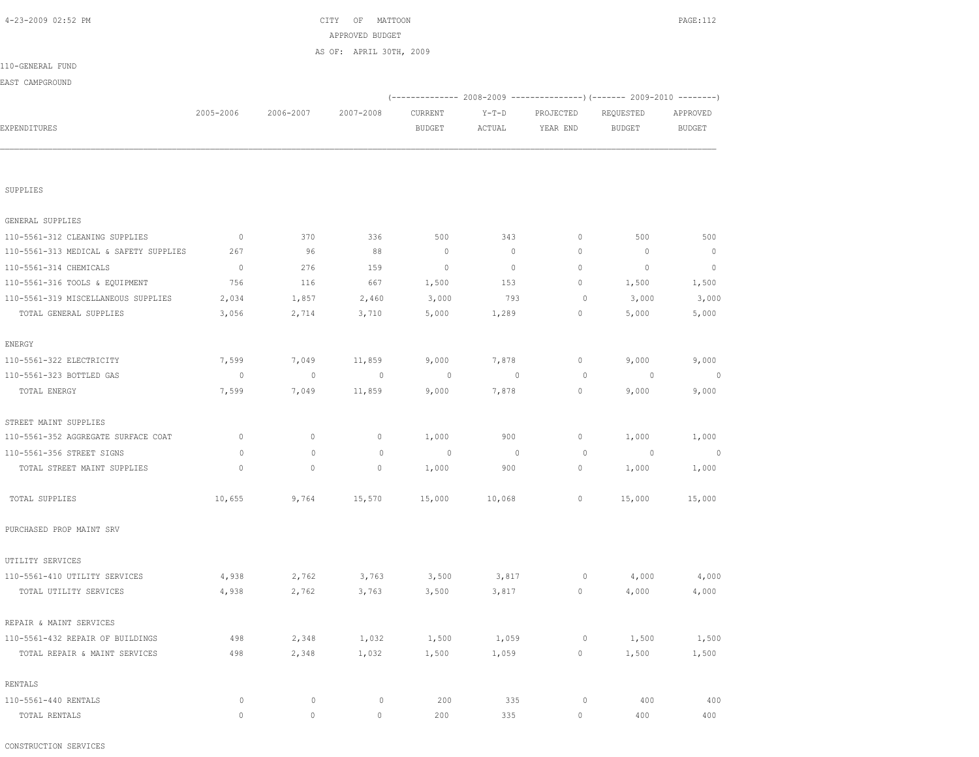CONSTRUCTION SERVICES

| GENERAL SUPPLIES                       |                |              |              |              |                |                                  |              |              |
|----------------------------------------|----------------|--------------|--------------|--------------|----------------|----------------------------------|--------------|--------------|
| 110-5561-312 CLEANING SUPPLIES         | $\circ$        | 370          | 336          | 500          | 343            | $\mathbf{0}$                     | 500          | 500          |
| 110-5561-313 MEDICAL & SAFETY SUPPLIES | 267            | 96           | 88           | $\mathbf{0}$ | $\circ$        | $\circ$                          | $\mathbf{0}$ | $\mathbf{0}$ |
| 110-5561-314 CHEMICALS                 | $\overline{0}$ | 276          | 159          | $\mathbf{0}$ | $\circ$        | $\circ$                          | $\mathbf{0}$ | $\Omega$     |
| 110-5561-316 TOOLS & EQUIPMENT         | 756            | 116          | 667          | 1,500        | 153            | $\circ$                          | 1,500        | 1,500        |
| 110-5561-319 MISCELLANEOUS SUPPLIES    | 2,034          | 1,857        | 2,460        | 3,000        | 793            | $\circ$                          | 3,000        | 3,000        |
| TOTAL GENERAL SUPPLIES                 | 3,056          | 2,714        | 3,710        | 5,000        | 1,289          | $\circ$                          | 5,000        | 5,000        |
| ENERGY                                 |                |              |              |              |                |                                  |              |              |
| 110-5561-322 ELECTRICITY               | 7,599          | 7,049        | 11,859       | 9,000        | 7,878          | $\circ$                          | 9,000        | 9,000        |
| 110-5561-323 BOTTLED GAS               | $\overline{0}$ | $\mathbf{0}$ | $\circ$      | $\circ$      | $\overline{0}$ | $\circ$                          | $\circ$      | $\circ$      |
| TOTAL ENERGY                           | 7,599          | 7,049        | 11,859       | 9,000        | 7,878          | $\begin{array}{c} \n\end{array}$ | 9,000        | 9,000        |
| STREET MAINT SUPPLIES                  |                |              |              |              |                |                                  |              |              |
| 110-5561-352 AGGREGATE SURFACE COAT    | $\mathbf{0}$   | $\circ$      | $\mathbf{0}$ | 1,000        | 900            | 0                                | 1,000        | 1,000        |
| 110-5561-356 STREET SIGNS              | $\circ$        | $\mathbf{0}$ | $\mathbf{0}$ | $\circ$      | $\overline{0}$ | $\circ$                          | $\circ$      | $\Omega$     |
| TOTAL STREET MAINT SUPPLIES            | $\Omega$       | $\circ$      | $\mathbf{0}$ | 1,000        | 900            | $\circ$                          | 1,000        | 1,000        |
| TOTAL SUPPLIES                         | 10,655         | 9,764        | 15,570       | 15,000       | 10,068         | $\circ$                          | 15,000       | 15,000       |
| PURCHASED PROP MAINT SRV               |                |              |              |              |                |                                  |              |              |
| UTILITY SERVICES                       |                |              |              |              |                |                                  |              |              |
| 110-5561-410 UTILITY SERVICES          | 4,938          | 2,762        | 3,763        | 3,500        | 3,817          | 0                                | 4,000        | 4,000        |
| TOTAL UTILITY SERVICES                 | 4,938          | 2,762        | 3,763        | 3,500        | 3,817          | 0                                | 4,000        | 4,000        |
| REPAIR & MAINT SERVICES                |                |              |              |              |                |                                  |              |              |
| 110-5561-432 REPAIR OF BUILDINGS       | 498            | 2,348        | 1,032        | 1,500        | 1,059          | $\circ$                          | 1,500        | 1,500        |
| TOTAL REPAIR & MAINT SERVICES          | 498            | 2,348        | 1,032        | 1,500        | 1,059          | 0                                | 1,500        | 1,500        |
| RENTALS                                |                |              |              |              |                |                                  |              |              |
| 110-5561-440 RENTALS                   | $\circ$        | $\Omega$     | $\circ$      | 200          | 335            | $\circ$                          | 400          | 400          |
| TOTAL RENTALS                          | $\mathbf{0}$   | $\circ$      | $\mathbf{0}$ | 200          | 335            | 0                                | 400          | 400          |

SUPPLIES

|                  |           |           | AS OF: APRIL 30TH, 2009 |               |        |                                                                 |           |               |
|------------------|-----------|-----------|-------------------------|---------------|--------|-----------------------------------------------------------------|-----------|---------------|
| 110-GENERAL FUND |           |           |                         |               |        |                                                                 |           |               |
| EAST CAMPGROUND  |           |           |                         |               |        |                                                                 |           |               |
|                  |           |           |                         |               |        | $(---------- 2008-2009 ------------)$ $(---- 2009-2010 ------)$ |           |               |
|                  | 2005-2006 | 2006-2007 | 2007-2008               | CURRENT       | Y-T-D  | PROJECTED                                                       | REQUESTED | APPROVED      |
| EXPENDITURES     |           |           |                         | <b>BUDGET</b> | ACTUAL | YEAR END                                                        | BUDGET    | <b>BUDGET</b> |
|                  |           |           |                         |               |        |                                                                 |           |               |
|                  |           |           |                         |               |        |                                                                 |           |               |
|                  |           |           |                         |               |        |                                                                 |           |               |

APPROVED BUDGET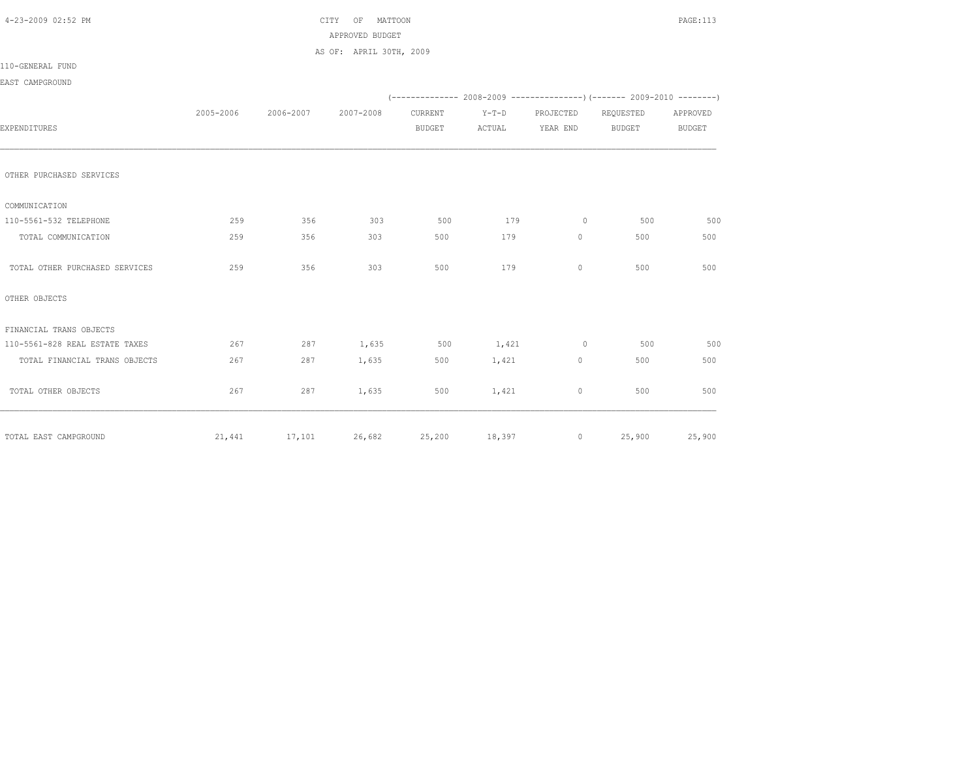|           |           | APPROVED BUDGET<br>AS OF: APRIL 30TH, 2009 |               |        |                                       |               |                                                                                                  |
|-----------|-----------|--------------------------------------------|---------------|--------|---------------------------------------|---------------|--------------------------------------------------------------------------------------------------|
|           |           |                                            |               |        |                                       |               |                                                                                                  |
|           |           |                                            |               |        |                                       |               |                                                                                                  |
|           |           |                                            |               |        |                                       |               |                                                                                                  |
|           |           |                                            |               |        |                                       |               |                                                                                                  |
|           |           |                                            |               |        |                                       |               |                                                                                                  |
| 2005-2006 | 2006-2007 | 2007-2008                                  | CURRENT       |        | PROJECTED                             | REQUESTED     | APPROVED                                                                                         |
|           |           |                                            | <b>BUDGET</b> | ACTUAL | YEAR END                              | <b>BUDGET</b> | <b>BUDGET</b>                                                                                    |
|           |           |                                            |               |        |                                       |               |                                                                                                  |
|           |           |                                            |               |        |                                       |               |                                                                                                  |
|           |           |                                            |               |        |                                       |               |                                                                                                  |
| 259       | 356       | 303                                        | 500           | 179    | $\circ$                               | 500           | 500                                                                                              |
| 259       | 356       | 303                                        | 500           | 179    | $\circ$                               | 500           | 500                                                                                              |
| 259       | 356       | 303                                        | 500           | 179    | $\Omega$                              | 500           | 500                                                                                              |
|           |           |                                            |               |        |                                       |               |                                                                                                  |
|           |           |                                            |               |        |                                       |               |                                                                                                  |
| 267       | 287       |                                            | 500           | 1,421  | $\overline{0}$                        | 500           | 500                                                                                              |
| 267       | 287       | 1,635                                      | 500           | 1,421  | $\circ$                               | 500           | 500                                                                                              |
| 267       | 287       | 1,635                                      | 500           | 1,421  | 0                                     | 500           | 500                                                                                              |
|           |           |                                            |               |        |                                       |               | 25,900                                                                                           |
|           | 21,441    | 17,101                                     | 1,635         |        | $Y-T-D$<br>26,682<br>25,200<br>18,397 |               | $(-$ ------------- 2008-2009 ----------------) (------- 2009-2010 --------)<br>25,900<br>$\circ$ |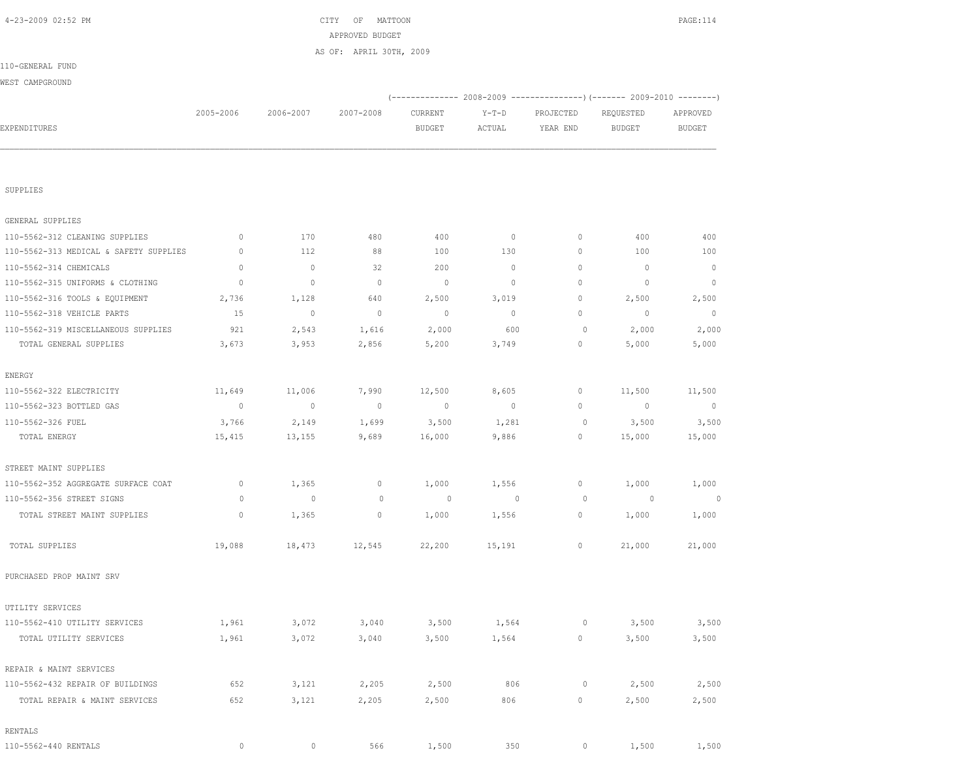| SUPPLIES                               |                |                |                          |              |                          |             |              |              |
|----------------------------------------|----------------|----------------|--------------------------|--------------|--------------------------|-------------|--------------|--------------|
| GENERAL SUPPLIES                       |                |                |                          |              |                          |             |              |              |
| 110-5562-312 CLEANING SUPPLIES         | $\mathbf{0}$   | 170            | 480                      | 400          | $\overline{\phantom{0}}$ | $\circ$     | 400          | 400          |
| 110-5562-313 MEDICAL & SAFETY SUPPLIES | $\mathbf{0}$   | 112            | 88                       | 100          | 130                      | $\circ$     | 100          | 100          |
| 110-5562-314 CHEMICALS                 | $\mathbf{0}$   | $\circ$        | 32                       | 200          | $\circ$                  | $\circ$     | $\mathbf{0}$ | $\mathbf{0}$ |
| 110-5562-315 UNIFORMS & CLOTHING       | $\mathbb O$    | $\circ$        | $\mathbb O$              | $\circ$      | $\mathbb O$              | $\mathbb O$ | $\circ$      | $\circ$      |
| 110-5562-316 TOOLS & EQUIPMENT         | 2,736          | 1,128          | 640                      | 2,500        | 3,019                    | $\circ$     | 2,500        | 2,500        |
| 110-5562-318 VEHICLE PARTS             | 15             | $\mathbb O$    | $\mathbb O$              | $\mathbb{O}$ | $\circ$                  | 0           | $\circ$      | $\circ$      |
| 110-5562-319 MISCELLANEOUS SUPPLIES    | 921            | 2,543          | 1,616                    | 2,000        | 600                      | $\circ$     | 2,000        | 2,000        |
| TOTAL GENERAL SUPPLIES                 | 3,673          | 3,953          | 2,856                    | 5,200        | 3,749                    | $\circ$     | 5,000        | 5,000        |
| ENERGY                                 |                |                |                          |              |                          |             |              |              |
| 110-5562-322 ELECTRICITY               | 11,649         | 11,006         | 7,990                    | 12,500       | 8,605                    | 0           | 11,500       | 11,500       |
| 110-5562-323 BOTTLED GAS               | $\overline{0}$ | $\circ$        | $\overline{\phantom{0}}$ | $\mathbb{O}$ | $\overline{0}$           | 0           | $\circ$      | $\circ$      |
| 110-5562-326 FUEL                      | 3,766          | 2,149          | 1,699                    | 3,500        | 1,281                    | $\circ$     | 3,500        | 3,500        |
| TOTAL ENERGY                           | 15,415         | 13,155         | 9,689                    | 16,000       | 9,886                    | 0           | 15,000       | 15,000       |
| STREET MAINT SUPPLIES                  |                |                |                          |              |                          |             |              |              |
| 110-5562-352 AGGREGATE SURFACE COAT    | $\circ$        | 1,365          | $\circ$                  | 1,000        | 1,556                    | $\circ$     | 1,000        | 1,000        |
| 110-5562-356 STREET SIGNS              | $\circ$        | $\overline{0}$ | $\circ$                  | $\circ$      | $\mathbf 0$              | $\circ$     | $\circ$      | 0            |
| TOTAL STREET MAINT SUPPLIES            | $\mathbf{0}$   | 1,365          | $\mathbf{0}$             | 1,000        | 1,556                    | $\circ$     | 1,000        | 1,000        |
| TOTAL SUPPLIES                         | 19,088         | 18,473         | 12,545                   | 22,200       | 15,191                   | 0           | 21,000       | 21,000       |
| PURCHASED PROP MAINT SRV               |                |                |                          |              |                          |             |              |              |
| UTILITY SERVICES                       |                |                |                          |              |                          |             |              |              |
| 110-5562-410 UTILITY SERVICES          | 1,961          | 3,072          | 3,040                    | 3,500        | 1,564                    | $\circ$     | 3,500        | 3,500        |
| TOTAL UTILITY SERVICES                 | 1,961          | 3,072          | 3,040                    | 3,500        | 1,564                    | $\circ$     | 3,500        | 3,500        |
| REPAIR & MAINT SERVICES                |                |                |                          |              |                          |             |              |              |
| 110-5562-432 REPAIR OF BUILDINGS       | 652            | 3,121          | 2,205                    | 2,500        | 806                      | 0           | 2,500        | 2,500        |
| TOTAL REPAIR & MAINT SERVICES          | 652            | 3,121          | 2,205                    | 2,500        | 806                      | $\mathbb O$ | 2,500        | 2,500        |
| RENTALS                                |                |                |                          |              |                          |             |              |              |
| 110-5562-440 RENTALS                   | $\circ$        | $\mathbf 0$    | 566                      | 1,500        | 350                      | $\circ$     | 1,500        | 1,500        |

|                  |           |           | APPROVED BUDGET         |         |         |                                                                 |           |          |
|------------------|-----------|-----------|-------------------------|---------|---------|-----------------------------------------------------------------|-----------|----------|
|                  |           |           | AS OF: APRIL 30TH, 2009 |         |         |                                                                 |           |          |
| 110-GENERAL FUND |           |           |                         |         |         |                                                                 |           |          |
| WEST CAMPGROUND  |           |           |                         |         |         |                                                                 |           |          |
|                  |           |           |                         |         |         | $(---------- 2008-2009 ------------)$ $(---- 2009-2010 ------)$ |           |          |
|                  | 2005-2006 | 2006-2007 | 2007-2008               | CURRENT | $Y-T-D$ | PROJECTED                                                       | REQUESTED | APPROVED |
| EXPENDITURES     |           |           |                         | BUDGET  | ACTUAL  | YEAR END                                                        | BUDGET    | BUDGET   |
|                  |           |           |                         |         |         |                                                                 |           |          |
|                  |           |           |                         |         |         |                                                                 |           |          |
|                  |           |           |                         |         |         |                                                                 |           |          |
|                  |           |           |                         |         |         |                                                                 |           |          |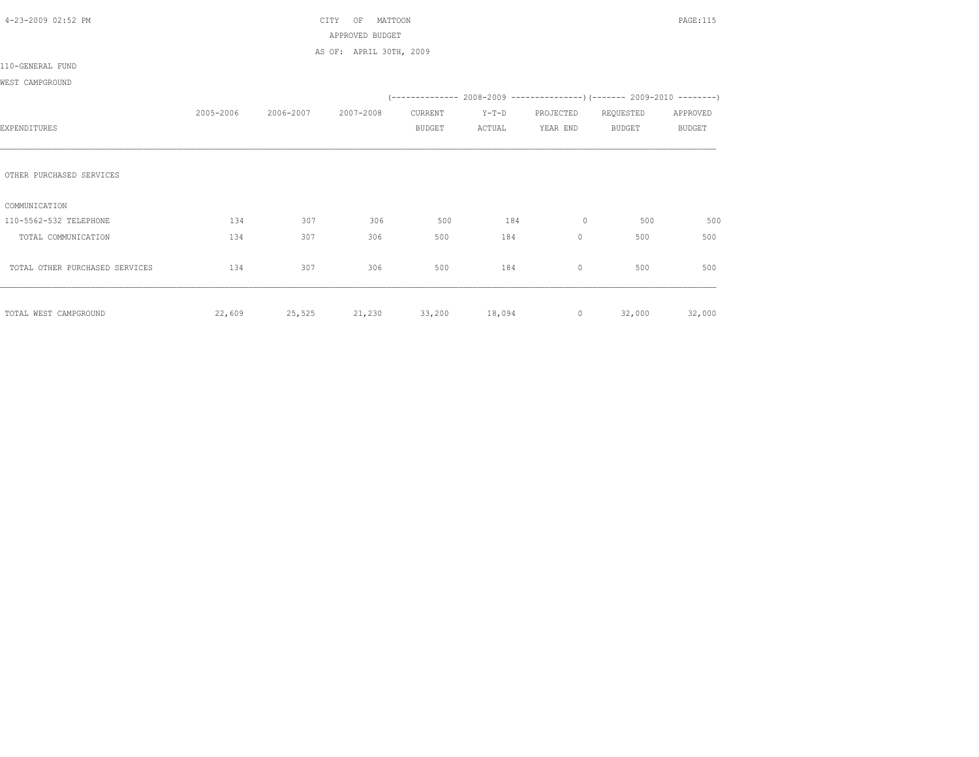| 4-23-2009 02:52 PM             |           |               | CITY<br>MATTOON<br>OF   |               |               |                |               | PAGE:115      |
|--------------------------------|-----------|---------------|-------------------------|---------------|---------------|----------------|---------------|---------------|
|                                |           |               | APPROVED BUDGET         |               |               |                |               |               |
|                                |           |               | AS OF: APRIL 30TH, 2009 |               |               |                |               |               |
| 110-GENERAL FUND               |           |               |                         |               |               |                |               |               |
| WEST CAMPGROUND                |           |               |                         |               |               |                |               |               |
|                                |           |               |                         |               |               |                |               |               |
|                                | 2005-2006 | 2006-2007     | 2007-2008               | CURRENT       | $Y-T-D$       | PROJECTED      | REQUESTED     | APPROVED      |
| EXPENDITURES                   |           |               |                         | <b>BUDGET</b> | ACTUAL        | YEAR END       | <b>BUDGET</b> | <b>BUDGET</b> |
|                                |           |               |                         |               |               |                |               |               |
|                                |           |               |                         |               |               |                |               |               |
| OTHER PURCHASED SERVICES       |           |               |                         |               |               |                |               |               |
|                                |           |               |                         |               |               |                |               |               |
| COMMUNICATION                  |           |               |                         |               |               |                |               |               |
| 110-5562-532 TELEPHONE         | 134       | 307           | 306                     | 500           | 184           | $\circ$        | 500           | 500           |
| TOTAL COMMUNICATION            | 134       | 307           | 306                     | 500           | 184           | $\circ$        | 500           | 500           |
|                                |           |               |                         |               |               |                |               |               |
| TOTAL OTHER PURCHASED SERVICES | 134       | 307           | 306                     | 500           | 184           | $\circ$        | 500           | 500           |
|                                |           |               |                         |               |               |                |               |               |
|                                |           |               |                         |               |               |                |               |               |
| TOTAL WEST CAMPGROUND          | 22,609    | 25,525 21,230 |                         |               | 33,200 18,094 | $\overline{0}$ |               | 32,000 32,000 |
|                                |           |               |                         |               |               |                |               |               |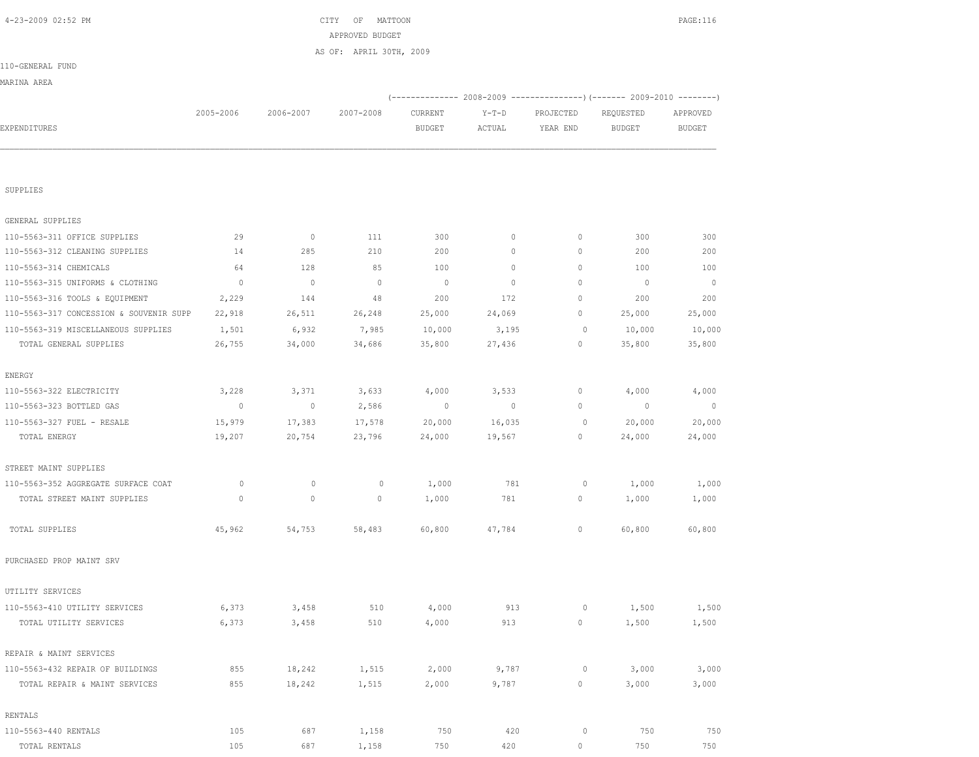| SUPPLIES                                |             |             |             |         |         |              |                |                |
|-----------------------------------------|-------------|-------------|-------------|---------|---------|--------------|----------------|----------------|
| GENERAL SUPPLIES                        |             |             |             |         |         |              |                |                |
| 110-5563-311 OFFICE SUPPLIES            | 29          | $\mathbb O$ | 111         | 300     | 0       | $\circ$      | 300            | 300            |
| 110-5563-312 CLEANING SUPPLIES          | 14          | 285         | 210         | 200     | $\circ$ | $\mathbb O$  | 200            | 200            |
| 110-5563-314 CHEMICALS                  | 64          | 128         | 85          | 100     | 0       | $\circ$      | 100            | 100            |
| 110-5563-315 UNIFORMS & CLOTHING        | $\circ$     | $\circ$     | $\mathbb O$ | $\circ$ | $\circ$ | 0            | $\overline{0}$ | $\overline{0}$ |
| 110-5563-316 TOOLS & EQUIPMENT          | 2,229       | 144         | 48          | 200     | 172     | 0            | 200            | 200            |
| 110-5563-317 CONCESSION & SOUVENIR SUPP | 22,918      | 26,511      | 26,248      | 25,000  | 24,069  | $\mathbb O$  | 25,000         | 25,000         |
| 110-5563-319 MISCELLANEOUS SUPPLIES     | 1,501       | 6,932       | 7,985       | 10,000  | 3,195   | $\mathbb O$  | 10,000         | 10,000         |
| TOTAL GENERAL SUPPLIES                  | 26,755      | 34,000      | 34,686      | 35,800  | 27,436  | $\mathbb O$  | 35,800         | 35,800         |
| ENERGY                                  |             |             |             |         |         |              |                |                |
| 110-5563-322 ELECTRICITY                | 3,228       | 3,371       | 3,633       | 4,000   | 3,533   | $\mathbb O$  | 4,000          | 4,000          |
| 110-5563-323 BOTTLED GAS                | $\circ$     | $\mathbb O$ | 2,586       | $\circ$ | 0       | $\mathbb O$  | $\mathbb O$    | $\circ$        |
| 110-5563-327 FUEL - RESALE              | 15,979      | 17,383      | 17,578      | 20,000  | 16,035  | $\mathbb O$  | 20,000         | 20,000         |
| TOTAL ENERGY                            | 19,207      | 20,754      | 23,796      | 24,000  | 19,567  | $\circ$      | 24,000         | 24,000         |
| STREET MAINT SUPPLIES                   |             |             |             |         |         |              |                |                |
| 110-5563-352 AGGREGATE SURFACE COAT     | $\mathbb O$ | $\circ$     | $\mathbb O$ | 1,000   | 781     | $\mathbb O$  | 1,000          | 1,000          |
| TOTAL STREET MAINT SUPPLIES             | $\mathbf 0$ | $\circ$     | $\mathbb O$ | 1,000   | 781     | $\circ$      | 1,000          | 1,000          |
| TOTAL SUPPLIES                          | 45,962      | 54,753      | 58,483      | 60,800  | 47,784  | $\mathbf{0}$ | 60,800         | 60,800         |
| PURCHASED PROP MAINT SRV                |             |             |             |         |         |              |                |                |
| UTILITY SERVICES                        |             |             |             |         |         |              |                |                |
| 110-5563-410 UTILITY SERVICES           | 6,373       | 3,458       | 510         | 4,000   | 913     | $\mathbb O$  | 1,500          | 1,500          |
| TOTAL UTILITY SERVICES                  | 6,373       | 3,458       | 510         | 4,000   | 913     | $\circ$      | 1,500          | 1,500          |
| REPAIR & MAINT SERVICES                 |             |             |             |         |         |              |                |                |
| 110-5563-432 REPAIR OF BUILDINGS        | 855         | 18,242      | 1,515       | 2,000   | 9,787   | $\mathbb O$  | 3,000          | 3,000          |
| TOTAL REPAIR & MAINT SERVICES           | 855         | 18,242      | 1,515       | 2,000   | 9,787   | $\circ$      | 3,000          | 3,000          |
| RENTALS                                 |             |             |             |         |         |              |                |                |
| 110-5563-440 RENTALS                    | 105         | 687         | 1,158       | 750     | 420     | $\mathbb O$  | 750            | 750            |
| TOTAL RENTALS                           | 105         | 687         | 1,158       | 750     | 420     | $\circ$      | 750            | 750            |

|                  |           |           | AS OF: APRIL 30TH, 2009 |         |         |           |           |          |
|------------------|-----------|-----------|-------------------------|---------|---------|-----------|-----------|----------|
| 110-GENERAL FUND |           |           |                         |         |         |           |           |          |
| MARINA AREA      |           |           |                         |         |         |           |           |          |
|                  |           |           |                         |         |         |           |           |          |
|                  | 2005-2006 | 2006-2007 | 2007-2008               | CURRENT | $Y-T-D$ | PROJECTED | REQUESTED | APPROVED |
| EXPENDITURES     |           |           |                         | BUDGET  | ACTUAL  | YEAR END  | BUDGET    | BUDGET   |
|                  |           |           |                         |         |         |           |           |          |
|                  |           |           |                         |         |         |           |           |          |

APPROVED BUDGET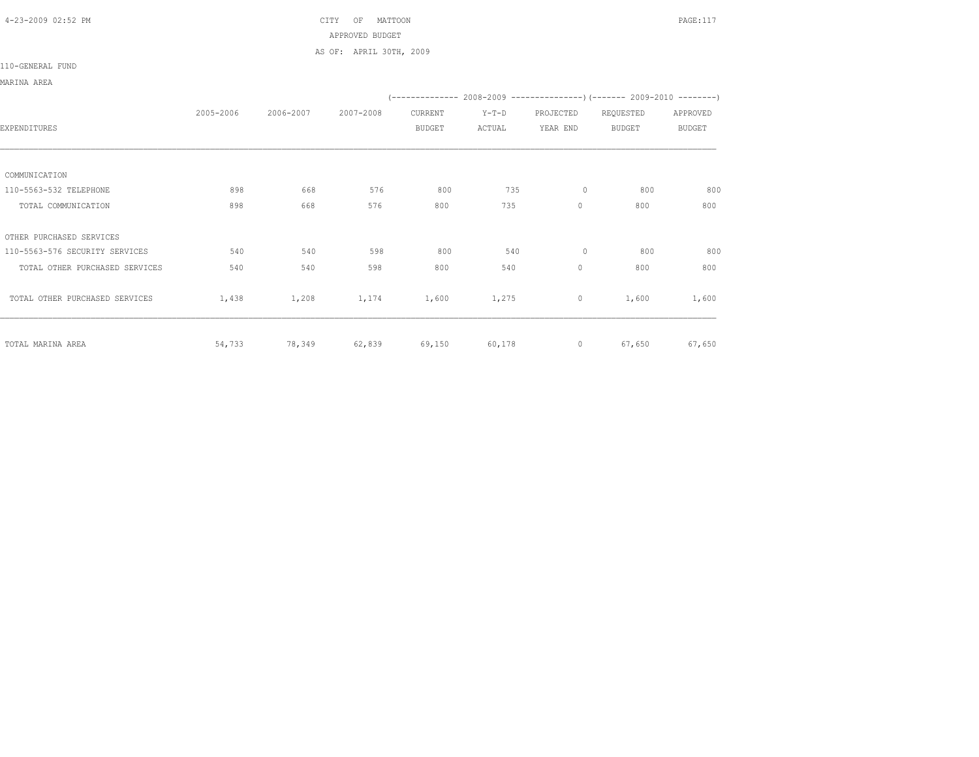## 4-23-2009 02:52 PM CITY OF MATTOON PAGE:117 APPROVED BUDGET AS OF: APRIL 30TH, 2009

## 110-GENERAL FUND

MARINA AREA

|                                |           |           |           |               |         |              | $(---------- 2008-2009 ---------- - (------ 2009-2010 -------)$ |               |
|--------------------------------|-----------|-----------|-----------|---------------|---------|--------------|-----------------------------------------------------------------|---------------|
|                                | 2005-2006 | 2006-2007 | 2007-2008 | CURRENT       | $Y-T-D$ | PROJECTED    | REQUESTED                                                       | APPROVED      |
| EXPENDITURES                   |           |           |           | <b>BUDGET</b> | ACTUAL  | YEAR END     | <b>BUDGET</b>                                                   | <b>BUDGET</b> |
|                                |           |           |           |               |         |              |                                                                 |               |
| COMMUNICATION                  |           |           |           |               |         |              |                                                                 |               |
| 110-5563-532 TELEPHONE         | 898       | 668       | 576       | 800           | 735     | 0            | 800                                                             | 800           |
| TOTAL COMMUNICATION            | 898       | 668       | 576       | 800           | 735     | $\circ$      | 800                                                             | 800           |
| OTHER PURCHASED SERVICES       |           |           |           |               |         |              |                                                                 |               |
| 110-5563-576 SECURITY SERVICES | 540       | 540       | 598       | 800           | 540     | 0            | 800                                                             | 800           |
| TOTAL OTHER PURCHASED SERVICES | 540       | 540       | 598       | 800           | 540     | $\mathbf{0}$ | 800                                                             | 800           |
| TOTAL OTHER PURCHASED SERVICES | 1,438     | 1,208     | 1,174     | 1,600         | 1,275   | $\circ$      | 1,600                                                           | 1,600         |
| TOTAL MARINA AREA              | 54,733    | 78,349    | 62,839    | 69,150        | 60,178  | $\circ$      | 67,650                                                          | 67,650        |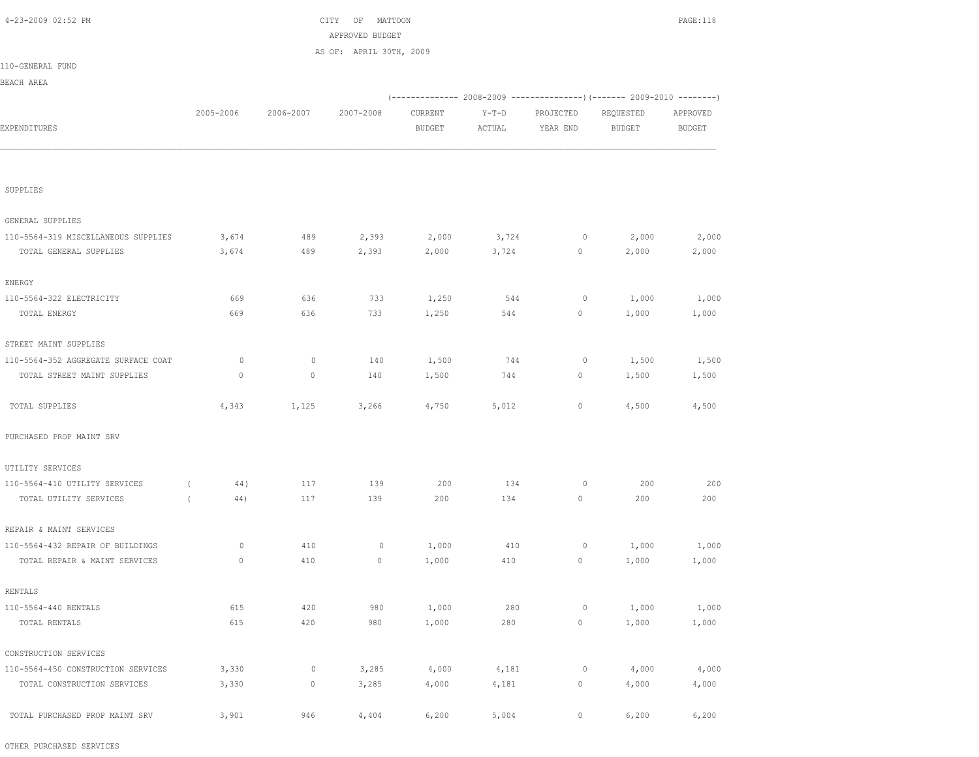| APPROVED BUDGET<br>AS OF: APRIL 30TH, 2009<br>110-GENERAL FUND<br>BEACH AREA<br>(------------- 2008-2009 ---------------) (------- 2009-2010 --------)<br>2005-2006<br>2006-2007<br>2007-2008<br>CURRENT<br>$Y-T-D$<br>PROJECTED<br>REQUESTED<br>EXPENDITURES<br><b>BUDGET</b><br>ACTUAL<br>YEAR END<br><b>BUDGET</b><br>SUPPLIES<br>GENERAL SUPPLIES<br>110-5564-319 MISCELLANEOUS SUPPLIES<br>3,674<br>2,393<br>3,724<br>$\circ$<br>2,000<br>489<br>2,000<br>TOTAL GENERAL SUPPLIES<br>489<br>2,393<br>2,000<br>3,724<br>$\circ$<br>3,674<br>2,000<br>ENERGY<br>1,250<br>110-5564-322 ELECTRICITY<br>669<br>636<br>733<br>544<br>0<br>1,000<br>669<br>636<br>733<br>1,250<br>544<br>$\circ$<br>TOTAL ENERGY<br>1,000<br>STREET MAINT SUPPLIES<br>110-5564-352 AGGREGATE SURFACE COAT<br>0<br>$\mathbf 0$<br>140<br>1,500<br>744<br>1,500<br>0<br>TOTAL STREET MAINT SUPPLIES<br>0<br>140<br>1,500<br>744<br>$\circ$<br>$\mathbf{0}$<br>1,500<br>4,343<br>1,125<br>3,266<br>5,012<br>$\circ$<br>TOTAL SUPPLIES<br>4,750<br>4,500<br>PURCHASED PROP MAINT SRV<br>UTILITY SERVICES<br>110-5564-410 UTILITY SERVICES<br>139<br>134<br>44)<br>117<br>200<br>0<br>200<br>$\left($<br>117<br>139<br>200<br>134<br>$\circ$<br>200<br>TOTAL UTILITY SERVICES<br>44)<br>$\left($<br>REPAIR & MAINT SERVICES<br>110-5564-432 REPAIR OF BUILDINGS<br>0<br>410<br>1,000<br>410<br>1,000<br>0<br>0<br>TOTAL REPAIR & MAINT SERVICES<br>410<br>1,000<br>410<br>$\circ$<br>1,000<br>$\mathbf 0$<br>0<br>RENTALS<br>420<br>980<br>110-5564-440 RENTALS<br>615<br>1,000<br>280<br>0<br>1,000<br>615<br>980<br>280<br>$\mathbb O$<br>TOTAL RENTALS<br>420<br>1,000<br>1,000<br>CONSTRUCTION SERVICES |       |             |       |       |       |             |       |               |
|-------------------------------------------------------------------------------------------------------------------------------------------------------------------------------------------------------------------------------------------------------------------------------------------------------------------------------------------------------------------------------------------------------------------------------------------------------------------------------------------------------------------------------------------------------------------------------------------------------------------------------------------------------------------------------------------------------------------------------------------------------------------------------------------------------------------------------------------------------------------------------------------------------------------------------------------------------------------------------------------------------------------------------------------------------------------------------------------------------------------------------------------------------------------------------------------------------------------------------------------------------------------------------------------------------------------------------------------------------------------------------------------------------------------------------------------------------------------------------------------------------------------------------------------------------------------------------------------------------------------------------------------------------------------------------------|-------|-------------|-------|-------|-------|-------------|-------|---------------|
|                                                                                                                                                                                                                                                                                                                                                                                                                                                                                                                                                                                                                                                                                                                                                                                                                                                                                                                                                                                                                                                                                                                                                                                                                                                                                                                                                                                                                                                                                                                                                                                                                                                                                     |       |             |       |       |       |             |       |               |
|                                                                                                                                                                                                                                                                                                                                                                                                                                                                                                                                                                                                                                                                                                                                                                                                                                                                                                                                                                                                                                                                                                                                                                                                                                                                                                                                                                                                                                                                                                                                                                                                                                                                                     |       |             |       |       |       |             |       |               |
|                                                                                                                                                                                                                                                                                                                                                                                                                                                                                                                                                                                                                                                                                                                                                                                                                                                                                                                                                                                                                                                                                                                                                                                                                                                                                                                                                                                                                                                                                                                                                                                                                                                                                     |       |             |       |       |       |             |       | APPROVED      |
|                                                                                                                                                                                                                                                                                                                                                                                                                                                                                                                                                                                                                                                                                                                                                                                                                                                                                                                                                                                                                                                                                                                                                                                                                                                                                                                                                                                                                                                                                                                                                                                                                                                                                     |       |             |       |       |       |             |       | <b>BUDGET</b> |
|                                                                                                                                                                                                                                                                                                                                                                                                                                                                                                                                                                                                                                                                                                                                                                                                                                                                                                                                                                                                                                                                                                                                                                                                                                                                                                                                                                                                                                                                                                                                                                                                                                                                                     |       |             |       |       |       |             |       |               |
|                                                                                                                                                                                                                                                                                                                                                                                                                                                                                                                                                                                                                                                                                                                                                                                                                                                                                                                                                                                                                                                                                                                                                                                                                                                                                                                                                                                                                                                                                                                                                                                                                                                                                     |       |             |       |       |       |             |       |               |
|                                                                                                                                                                                                                                                                                                                                                                                                                                                                                                                                                                                                                                                                                                                                                                                                                                                                                                                                                                                                                                                                                                                                                                                                                                                                                                                                                                                                                                                                                                                                                                                                                                                                                     |       |             |       |       |       |             |       |               |
|                                                                                                                                                                                                                                                                                                                                                                                                                                                                                                                                                                                                                                                                                                                                                                                                                                                                                                                                                                                                                                                                                                                                                                                                                                                                                                                                                                                                                                                                                                                                                                                                                                                                                     |       |             |       |       |       |             |       |               |
|                                                                                                                                                                                                                                                                                                                                                                                                                                                                                                                                                                                                                                                                                                                                                                                                                                                                                                                                                                                                                                                                                                                                                                                                                                                                                                                                                                                                                                                                                                                                                                                                                                                                                     |       |             |       |       |       |             |       |               |
|                                                                                                                                                                                                                                                                                                                                                                                                                                                                                                                                                                                                                                                                                                                                                                                                                                                                                                                                                                                                                                                                                                                                                                                                                                                                                                                                                                                                                                                                                                                                                                                                                                                                                     |       |             |       |       |       |             |       | 2,000         |
|                                                                                                                                                                                                                                                                                                                                                                                                                                                                                                                                                                                                                                                                                                                                                                                                                                                                                                                                                                                                                                                                                                                                                                                                                                                                                                                                                                                                                                                                                                                                                                                                                                                                                     |       |             |       |       |       |             |       | 2,000         |
|                                                                                                                                                                                                                                                                                                                                                                                                                                                                                                                                                                                                                                                                                                                                                                                                                                                                                                                                                                                                                                                                                                                                                                                                                                                                                                                                                                                                                                                                                                                                                                                                                                                                                     |       |             |       |       |       |             |       |               |
|                                                                                                                                                                                                                                                                                                                                                                                                                                                                                                                                                                                                                                                                                                                                                                                                                                                                                                                                                                                                                                                                                                                                                                                                                                                                                                                                                                                                                                                                                                                                                                                                                                                                                     |       |             |       |       |       |             |       |               |
|                                                                                                                                                                                                                                                                                                                                                                                                                                                                                                                                                                                                                                                                                                                                                                                                                                                                                                                                                                                                                                                                                                                                                                                                                                                                                                                                                                                                                                                                                                                                                                                                                                                                                     |       |             |       |       |       |             |       | 1,000         |
|                                                                                                                                                                                                                                                                                                                                                                                                                                                                                                                                                                                                                                                                                                                                                                                                                                                                                                                                                                                                                                                                                                                                                                                                                                                                                                                                                                                                                                                                                                                                                                                                                                                                                     |       |             |       |       |       |             |       | 1,000         |
|                                                                                                                                                                                                                                                                                                                                                                                                                                                                                                                                                                                                                                                                                                                                                                                                                                                                                                                                                                                                                                                                                                                                                                                                                                                                                                                                                                                                                                                                                                                                                                                                                                                                                     |       |             |       |       |       |             |       |               |
|                                                                                                                                                                                                                                                                                                                                                                                                                                                                                                                                                                                                                                                                                                                                                                                                                                                                                                                                                                                                                                                                                                                                                                                                                                                                                                                                                                                                                                                                                                                                                                                                                                                                                     |       |             |       |       |       |             |       | 1,500         |
|                                                                                                                                                                                                                                                                                                                                                                                                                                                                                                                                                                                                                                                                                                                                                                                                                                                                                                                                                                                                                                                                                                                                                                                                                                                                                                                                                                                                                                                                                                                                                                                                                                                                                     |       |             |       |       |       |             |       | 1,500         |
|                                                                                                                                                                                                                                                                                                                                                                                                                                                                                                                                                                                                                                                                                                                                                                                                                                                                                                                                                                                                                                                                                                                                                                                                                                                                                                                                                                                                                                                                                                                                                                                                                                                                                     |       |             |       |       |       |             |       |               |
|                                                                                                                                                                                                                                                                                                                                                                                                                                                                                                                                                                                                                                                                                                                                                                                                                                                                                                                                                                                                                                                                                                                                                                                                                                                                                                                                                                                                                                                                                                                                                                                                                                                                                     |       |             |       |       |       |             |       | 4,500         |
|                                                                                                                                                                                                                                                                                                                                                                                                                                                                                                                                                                                                                                                                                                                                                                                                                                                                                                                                                                                                                                                                                                                                                                                                                                                                                                                                                                                                                                                                                                                                                                                                                                                                                     |       |             |       |       |       |             |       |               |
|                                                                                                                                                                                                                                                                                                                                                                                                                                                                                                                                                                                                                                                                                                                                                                                                                                                                                                                                                                                                                                                                                                                                                                                                                                                                                                                                                                                                                                                                                                                                                                                                                                                                                     |       |             |       |       |       |             |       |               |
|                                                                                                                                                                                                                                                                                                                                                                                                                                                                                                                                                                                                                                                                                                                                                                                                                                                                                                                                                                                                                                                                                                                                                                                                                                                                                                                                                                                                                                                                                                                                                                                                                                                                                     |       |             |       |       |       |             |       |               |
|                                                                                                                                                                                                                                                                                                                                                                                                                                                                                                                                                                                                                                                                                                                                                                                                                                                                                                                                                                                                                                                                                                                                                                                                                                                                                                                                                                                                                                                                                                                                                                                                                                                                                     |       |             |       |       |       |             |       | 200           |
|                                                                                                                                                                                                                                                                                                                                                                                                                                                                                                                                                                                                                                                                                                                                                                                                                                                                                                                                                                                                                                                                                                                                                                                                                                                                                                                                                                                                                                                                                                                                                                                                                                                                                     |       |             |       |       |       |             |       | 200           |
|                                                                                                                                                                                                                                                                                                                                                                                                                                                                                                                                                                                                                                                                                                                                                                                                                                                                                                                                                                                                                                                                                                                                                                                                                                                                                                                                                                                                                                                                                                                                                                                                                                                                                     |       |             |       |       |       |             |       |               |
|                                                                                                                                                                                                                                                                                                                                                                                                                                                                                                                                                                                                                                                                                                                                                                                                                                                                                                                                                                                                                                                                                                                                                                                                                                                                                                                                                                                                                                                                                                                                                                                                                                                                                     |       |             |       |       |       |             |       |               |
|                                                                                                                                                                                                                                                                                                                                                                                                                                                                                                                                                                                                                                                                                                                                                                                                                                                                                                                                                                                                                                                                                                                                                                                                                                                                                                                                                                                                                                                                                                                                                                                                                                                                                     |       |             |       |       |       |             |       | 1,000         |
|                                                                                                                                                                                                                                                                                                                                                                                                                                                                                                                                                                                                                                                                                                                                                                                                                                                                                                                                                                                                                                                                                                                                                                                                                                                                                                                                                                                                                                                                                                                                                                                                                                                                                     |       |             |       |       |       |             |       | 1,000         |
|                                                                                                                                                                                                                                                                                                                                                                                                                                                                                                                                                                                                                                                                                                                                                                                                                                                                                                                                                                                                                                                                                                                                                                                                                                                                                                                                                                                                                                                                                                                                                                                                                                                                                     |       |             |       |       |       |             |       |               |
|                                                                                                                                                                                                                                                                                                                                                                                                                                                                                                                                                                                                                                                                                                                                                                                                                                                                                                                                                                                                                                                                                                                                                                                                                                                                                                                                                                                                                                                                                                                                                                                                                                                                                     |       |             |       |       |       |             |       |               |
|                                                                                                                                                                                                                                                                                                                                                                                                                                                                                                                                                                                                                                                                                                                                                                                                                                                                                                                                                                                                                                                                                                                                                                                                                                                                                                                                                                                                                                                                                                                                                                                                                                                                                     |       |             |       |       |       |             |       | 1,000         |
|                                                                                                                                                                                                                                                                                                                                                                                                                                                                                                                                                                                                                                                                                                                                                                                                                                                                                                                                                                                                                                                                                                                                                                                                                                                                                                                                                                                                                                                                                                                                                                                                                                                                                     |       |             |       |       |       |             |       | 1,000         |
|                                                                                                                                                                                                                                                                                                                                                                                                                                                                                                                                                                                                                                                                                                                                                                                                                                                                                                                                                                                                                                                                                                                                                                                                                                                                                                                                                                                                                                                                                                                                                                                                                                                                                     |       |             |       |       |       |             |       |               |
| 110-5564-450 CONSTRUCTION SERVICES                                                                                                                                                                                                                                                                                                                                                                                                                                                                                                                                                                                                                                                                                                                                                                                                                                                                                                                                                                                                                                                                                                                                                                                                                                                                                                                                                                                                                                                                                                                                                                                                                                                  | 3,330 | 0           | 3,285 | 4,000 | 4,181 | $\circ$     | 4,000 | 4,000         |
| TOTAL CONSTRUCTION SERVICES                                                                                                                                                                                                                                                                                                                                                                                                                                                                                                                                                                                                                                                                                                                                                                                                                                                                                                                                                                                                                                                                                                                                                                                                                                                                                                                                                                                                                                                                                                                                                                                                                                                         | 3,330 | $\mathbb O$ | 3,285 | 4,000 | 4,181 | $\mathbb O$ | 4,000 | 4,000         |
|                                                                                                                                                                                                                                                                                                                                                                                                                                                                                                                                                                                                                                                                                                                                                                                                                                                                                                                                                                                                                                                                                                                                                                                                                                                                                                                                                                                                                                                                                                                                                                                                                                                                                     |       |             |       |       |       |             |       |               |
| TOTAL PURCHASED PROP MAINT SRV                                                                                                                                                                                                                                                                                                                                                                                                                                                                                                                                                                                                                                                                                                                                                                                                                                                                                                                                                                                                                                                                                                                                                                                                                                                                                                                                                                                                                                                                                                                                                                                                                                                      | 3,901 | 946         | 4,404 | 6,200 | 5,004 | $\mathbb O$ | 6,200 | 6,200         |

4-23-2009 02:52 PM CITY OF MATTOON PAGE:118

OTHER PURCHASED SERVICES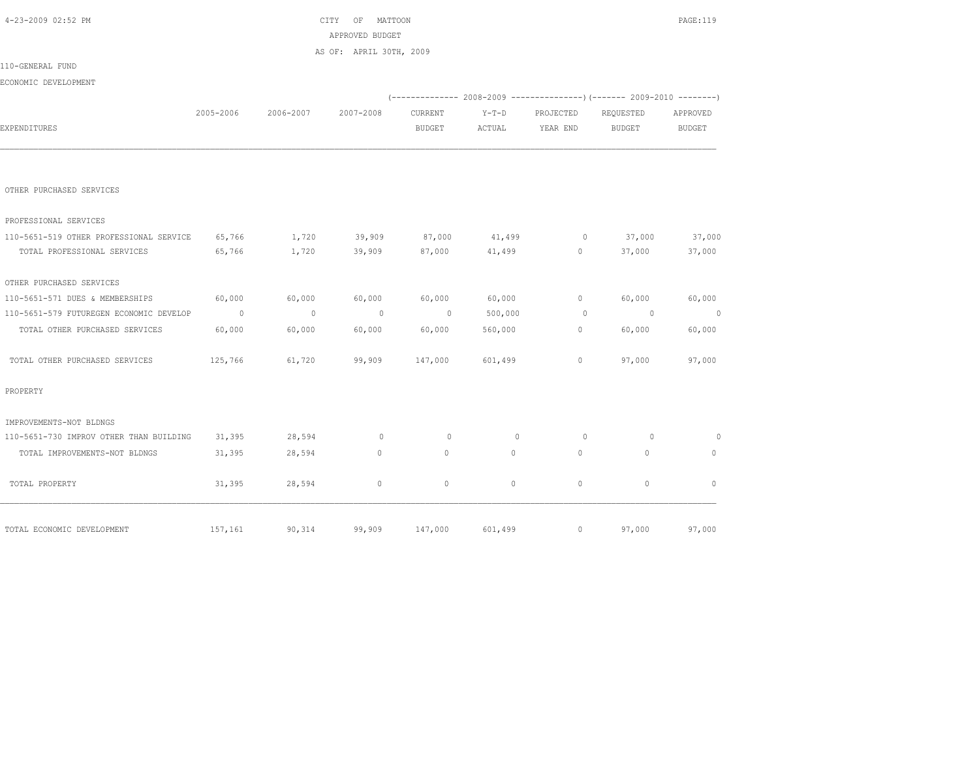| 4-23-2009 02:52 PM                      |           |           | CITY<br>ΟF<br>MATTOON   |                |                                                                           |                          |                | PAGE:119      |
|-----------------------------------------|-----------|-----------|-------------------------|----------------|---------------------------------------------------------------------------|--------------------------|----------------|---------------|
|                                         |           |           | APPROVED BUDGET         |                |                                                                           |                          |                |               |
|                                         |           |           | AS OF: APRIL 30TH, 2009 |                |                                                                           |                          |                |               |
| 110-GENERAL FUND                        |           |           |                         |                |                                                                           |                          |                |               |
| ECONOMIC DEVELOPMENT                    |           |           |                         |                |                                                                           |                          |                |               |
|                                         |           |           |                         |                | (-------------- 2008-2009 ----------------) (------- 2009-2010 ---------) |                          |                |               |
|                                         | 2005-2006 | 2006-2007 | 2007-2008               | CURRENT        | $Y-T-D$                                                                   | PROJECTED                | REQUESTED      | APPROVED      |
| EXPENDITURES                            |           |           |                         | <b>BUDGET</b>  | ACTUAL                                                                    | YEAR END                 | <b>BUDGET</b>  | <b>BUDGET</b> |
|                                         |           |           |                         |                |                                                                           |                          |                |               |
| OTHER PURCHASED SERVICES                |           |           |                         |                |                                                                           |                          |                |               |
| PROFESSIONAL SERVICES                   |           |           |                         |                |                                                                           |                          |                |               |
| 110-5651-519 OTHER PROFESSIONAL SERVICE | 65,766    | 1,720     | 39,909                  | 87,000         | 41,499                                                                    | $\overline{\phantom{0}}$ | 37,000         | 37,000        |
| TOTAL PROFESSIONAL SERVICES             | 65,766    | 1,720     | 39,909                  | 87,000         | 41,499                                                                    | $\circ$                  | 37,000         | 37,000        |
| OTHER PURCHASED SERVICES                |           |           |                         |                |                                                                           |                          |                |               |
| 110-5651-571 DUES & MEMBERSHIPS         | 60,000    | 60,000    | 60,000                  | 60,000         | 60,000                                                                    | $\mathbb O$              | 60,000         | 60,000        |
| 110-5651-579 FUTUREGEN ECONOMIC DEVELOP | $\sim$ 0  | $\sim$ 0  | $\overline{0}$          | $\overline{0}$ | 500,000                                                                   | $\circ$                  | $\overline{0}$ | $\sim$ 0      |
| TOTAL OTHER PURCHASED SERVICES          | 60,000    | 60,000    | 60,000                  | 60,000         | 560,000                                                                   | $\circ$                  | 60,000         | 60,000        |
| TOTAL OTHER PURCHASED SERVICES          | 125,766   | 61,720    | 99,909                  | 147,000        | 601,499                                                                   | $\circ$                  | 97,000         | 97,000        |
| PROPERTY                                |           |           |                         |                |                                                                           |                          |                |               |
| IMPROVEMENTS-NOT BLDNGS                 |           |           |                         |                |                                                                           |                          |                |               |
| 110-5651-730 IMPROV OTHER THAN BUILDING | 31,395    | 28,594    | $\circ$                 | $\circ$        | $\mathbf{0}$                                                              | $\circ$                  | $\Omega$       | $\circ$       |
| TOTAL IMPROVEMENTS-NOT BLDNGS           | 31,395    | 28,594    | $\circ$                 | $\Omega$       | $\Omega$                                                                  | $\Omega$                 | $\Omega$       | $\Omega$      |
| TOTAL PROPERTY                          | 31,395    | 28,594    | $\mathbb O$             | $\circ$        | $\circ$                                                                   | $\circ$                  | $\mathbb O$    | $\mathbb O$   |
| TOTAL ECONOMIC DEVELOPMENT              | 157,161   | 90,314    | 99,909                  | 147,000        | 601,499                                                                   | $\circ$                  | 97,000         | 97,000        |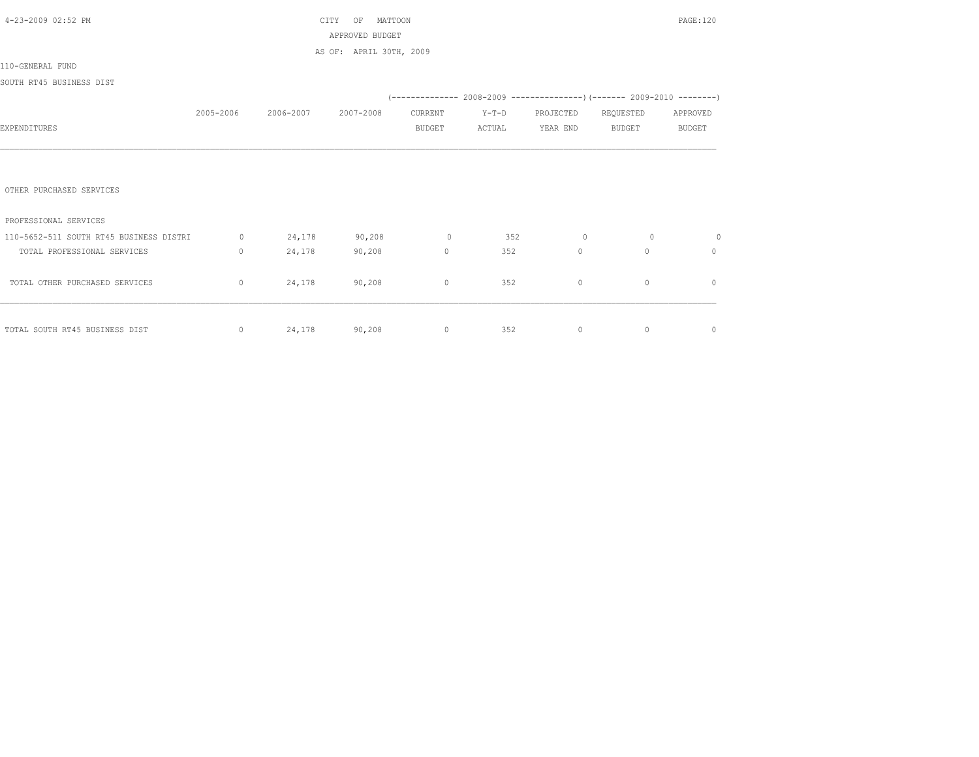| 4-23-2009 02:52 PM                      |           |                         | CITY<br>MATTOON<br>OF   |          |         |                |              | <b>PAGE:120</b> |
|-----------------------------------------|-----------|-------------------------|-------------------------|----------|---------|----------------|--------------|-----------------|
|                                         |           |                         | APPROVED BUDGET         |          |         |                |              |                 |
|                                         |           |                         | AS OF: APRIL 30TH, 2009 |          |         |                |              |                 |
| 110-GENERAL FUND                        |           |                         |                         |          |         |                |              |                 |
| SOUTH RT45 BUSINESS DIST                |           |                         |                         |          |         |                |              |                 |
|                                         |           |                         |                         |          |         |                |              |                 |
|                                         | 2005-2006 | 2006-2007               | 2007-2008               | CURRENT  | $Y-T-D$ | PROJECTED      | REQUESTED    | APPROVED        |
| EXPENDITURES                            |           |                         |                         | BUDGET   | ACTUAL  | YEAR END       | BUDGET       | BUDGET          |
|                                         |           |                         |                         |          |         |                |              |                 |
|                                         |           |                         |                         |          |         |                |              |                 |
| OTHER PURCHASED SERVICES                |           |                         |                         |          |         |                |              |                 |
| PROFESSIONAL SERVICES                   |           |                         |                         |          |         |                |              |                 |
| 110-5652-511 SOUTH RT45 BUSINESS DISTRI |           | $0 \t 24,178$           | 90, 208                 | $\sim$ 0 | 352     | $\overline{0}$ | $\Omega$     | $\circ$         |
| TOTAL PROFESSIONAL SERVICES             | $\circ$   | 24,178                  | 90,208                  | $\circ$  | 352     | $\overline{0}$ | $\mathbf{0}$ | $\mathbf{0}$    |
| TOTAL OTHER PURCHASED SERVICES          |           | $0 \t 24,178 \t 90,208$ |                         | $\circ$  | 352     | $\mathbf{0}$   | $\mathbf{0}$ | $\mathbf{0}$    |
|                                         |           |                         |                         |          |         |                |              |                 |
|                                         |           |                         |                         |          |         |                |              |                 |
| TOTAL SOUTH RT45 BUSINESS DIST          | $\circ$   | 24,178 90,208           |                         | $\circ$  | 352     | $\circ$        | $\mathbf{0}$ | 0               |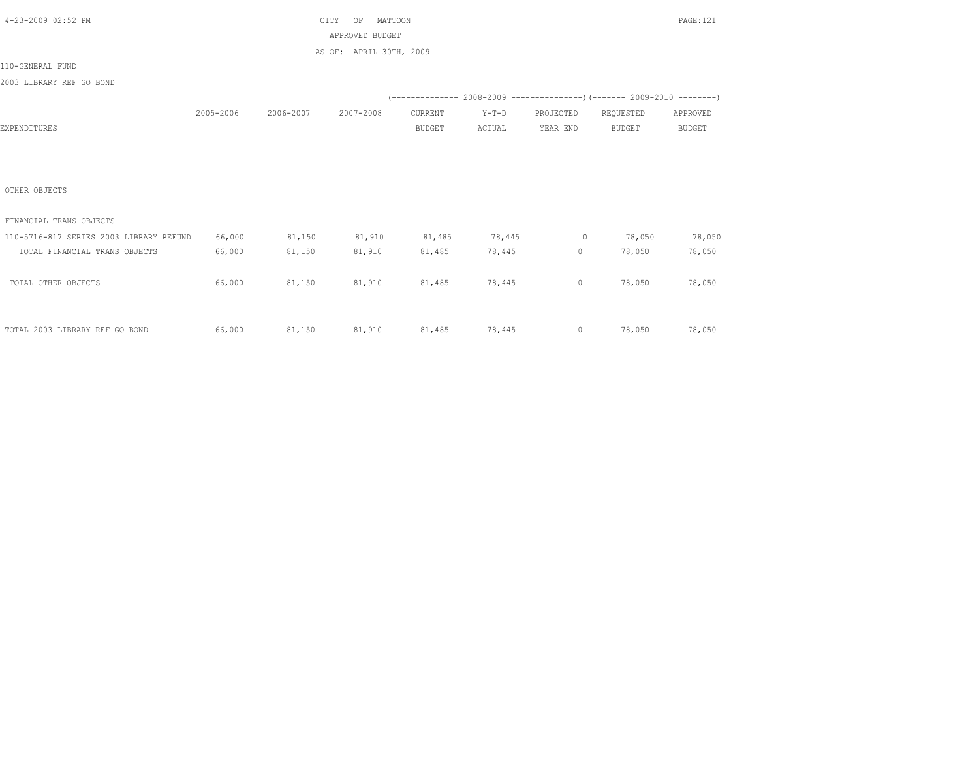| 4-23-2009 02:52 PM                      |           |           | CITY<br>MATTOON<br>OF   |               |                      |                   |                                                                               | <b>PAGE:121</b> |
|-----------------------------------------|-----------|-----------|-------------------------|---------------|----------------------|-------------------|-------------------------------------------------------------------------------|-----------------|
|                                         |           |           | APPROVED BUDGET         |               |                      |                   |                                                                               |                 |
|                                         |           |           | AS OF: APRIL 30TH, 2009 |               |                      |                   |                                                                               |                 |
| 110-GENERAL FUND                        |           |           |                         |               |                      |                   |                                                                               |                 |
| 2003 LIBRARY REF GO BOND                |           |           |                         |               |                      |                   |                                                                               |                 |
|                                         |           |           |                         |               |                      |                   | $(-$ -------------- 2008-2009 -----------------) (------- 2009-2010 --------) |                 |
|                                         | 2005-2006 | 2006-2007 | 2007-2008               | CURRENT       | $Y-T-D$              | PROJECTED         | REQUESTED                                                                     | APPROVED        |
| EXPENDITURES                            |           |           |                         | <b>BUDGET</b> | ACTUAL               | YEAR END          | <b>BUDGET</b>                                                                 | <b>BUDGET</b>   |
|                                         |           |           |                         |               |                      |                   |                                                                               |                 |
|                                         |           |           |                         |               |                      |                   |                                                                               |                 |
|                                         |           |           |                         |               |                      |                   |                                                                               |                 |
| OTHER OBJECTS                           |           |           |                         |               |                      |                   |                                                                               |                 |
|                                         |           |           |                         |               |                      |                   |                                                                               |                 |
| FINANCIAL TRANS OBJECTS                 |           |           |                         |               |                      |                   |                                                                               |                 |
| 110-5716-817 SERIES 2003 LIBRARY REFUND | 66,000    | 81,150    | 81,910                  | 81,485        | 78,445               | $\sim$ 0          | 78,050                                                                        | 78,050          |
| TOTAL FINANCIAL TRANS OBJECTS           | 66,000    | 81,150    | 81,910                  | 81,485        | 78,445               | $0 \qquad \qquad$ | 78,050                                                                        | 78,050          |
|                                         |           |           |                         |               |                      |                   |                                                                               |                 |
| TOTAL OTHER OBJECTS                     | 66,000    | 81,150    | 81,910                  | 81,485        | 78,445               | $\circ$           | 78,050                                                                        | 78,050          |
|                                         |           |           |                         |               |                      |                   |                                                                               |                 |
|                                         |           |           |                         |               |                      |                   |                                                                               |                 |
| TOTAL 2003 LIBRARY REF GO BOND          | 66,000    | 81,150    |                         |               | 81,910 81,485 78,445 |                   | $0 \t 78,050$                                                                 | 78,050          |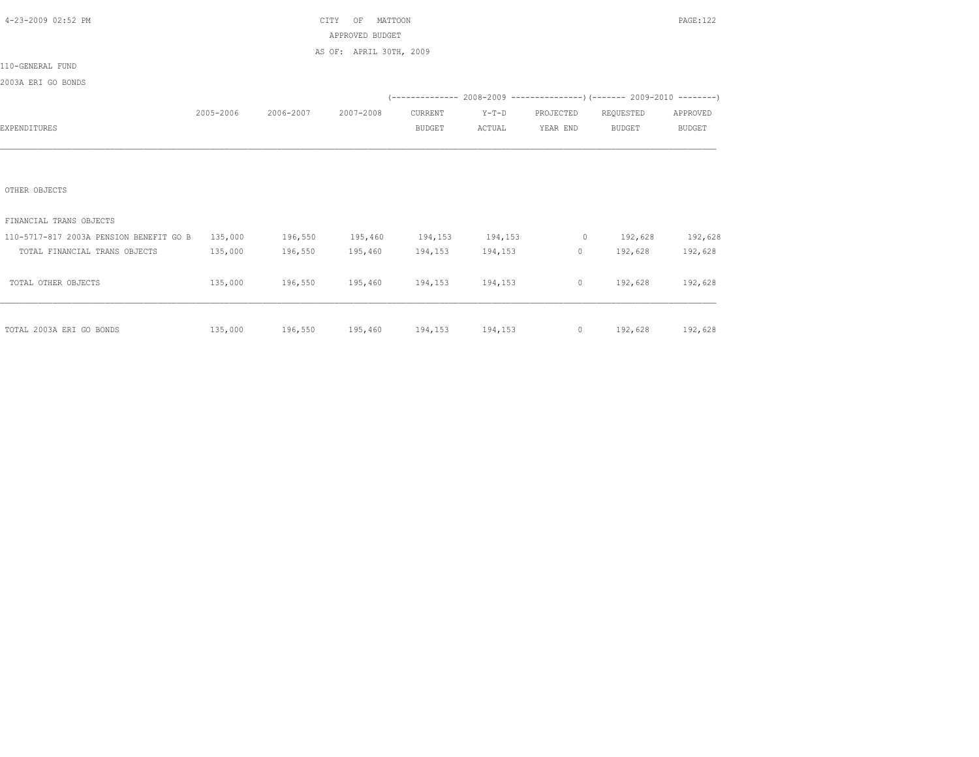| 4-23-2009 02:52 PM                              |           |           | CITY<br>MATTOON<br>OF   |                 |         |           |                                                                          | PAGE: 122     |
|-------------------------------------------------|-----------|-----------|-------------------------|-----------------|---------|-----------|--------------------------------------------------------------------------|---------------|
|                                                 |           |           | APPROVED BUDGET         |                 |         |           |                                                                          |               |
|                                                 |           |           | AS OF: APRIL 30TH, 2009 |                 |         |           |                                                                          |               |
| 110-GENERAL FUND                                |           |           |                         |                 |         |           |                                                                          |               |
| 2003A ERI GO BONDS                              |           |           |                         |                 |         |           |                                                                          |               |
|                                                 |           |           |                         |                 |         |           | (-------------- 2008-2009 ----------------) (------- 2009-2010 --------) |               |
|                                                 | 2005-2006 | 2006-2007 | 2007-2008               | CURRENT         | $Y-T-D$ | PROJECTED | REQUESTED                                                                | APPROVED      |
| EXPENDITURES                                    |           |           |                         | <b>BUDGET</b>   | ACTUAL  | YEAR END  | <b>BUDGET</b>                                                            | <b>BUDGET</b> |
|                                                 |           |           |                         |                 |         |           |                                                                          |               |
|                                                 |           |           |                         |                 |         |           |                                                                          |               |
|                                                 |           |           |                         |                 |         |           |                                                                          |               |
| OTHER OBJECTS                                   |           |           |                         |                 |         |           |                                                                          |               |
|                                                 |           |           |                         |                 |         |           |                                                                          |               |
| FINANCIAL TRANS OBJECTS                         |           |           |                         |                 |         |           |                                                                          |               |
| 110-5717-817 2003A PENSION BENEFIT GO B 135,000 |           | 196,550   | 195,460                 | 194,153         | 194,153 | $\circ$   | 192,628                                                                  | 192,628       |
| TOTAL FINANCIAL TRANS OBJECTS                   | 135,000   | 196,550   | 195,460                 | 194,153         | 194,153 | $\circ$   | 192,628                                                                  | 192,628       |
|                                                 |           |           |                         |                 |         |           |                                                                          |               |
| TOTAL OTHER OBJECTS                             | 135,000   | 196,550   | 195,460                 | 194,153         | 194,153 | $\circ$   | 192,628                                                                  | 192,628       |
|                                                 |           |           |                         |                 |         |           |                                                                          |               |
|                                                 |           |           |                         |                 |         |           |                                                                          |               |
| TOTAL 2003A ERI GO BONDS                        | 135,000   |           | 196,550 195,460         | 194,153 194,153 |         |           | 0 192,628 192,628                                                        |               |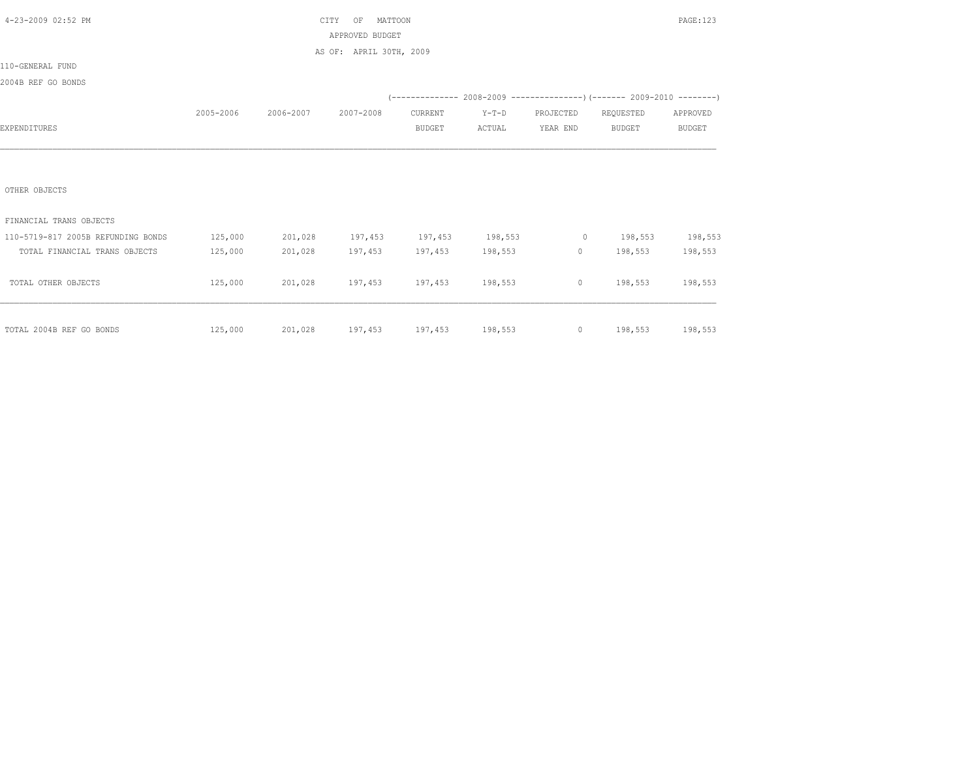| 4-23-2009 02:52 PM                 |           |           | MATTOON<br>CITY<br>OF                             |               |                 |           |                   | PAGE: 123     |
|------------------------------------|-----------|-----------|---------------------------------------------------|---------------|-----------------|-----------|-------------------|---------------|
|                                    |           |           | APPROVED BUDGET                                   |               |                 |           |                   |               |
|                                    |           |           | AS OF: APRIL 30TH, 2009                           |               |                 |           |                   |               |
| 110-GENERAL FUND                   |           |           |                                                   |               |                 |           |                   |               |
| 2004B REF GO BONDS                 |           |           |                                                   |               |                 |           |                   |               |
|                                    |           |           |                                                   |               |                 |           |                   |               |
|                                    | 2005-2006 | 2006-2007 | 2007-2008                                         | CURRENT       | $Y-T-D$         | PROJECTED | REQUESTED         | APPROVED      |
| EXPENDITURES                       |           |           |                                                   | <b>BUDGET</b> | ACTUAL          | YEAR END  | <b>BUDGET</b>     | <b>BUDGET</b> |
|                                    |           |           |                                                   |               |                 |           |                   |               |
|                                    |           |           |                                                   |               |                 |           |                   |               |
|                                    |           |           |                                                   |               |                 |           |                   |               |
| OTHER OBJECTS                      |           |           |                                                   |               |                 |           |                   |               |
|                                    |           |           |                                                   |               |                 |           |                   |               |
| FINANCIAL TRANS OBJECTS            |           |           |                                                   |               |                 |           |                   |               |
| 110-5719-817 2005B REFUNDING BONDS | 125,000   | 201,028   | 197,453 197,453 198,553                           |               |                 |           | 0 198,553 198,553 |               |
| TOTAL FINANCIAL TRANS OBJECTS      | 125,000   | 201,028   | 197,453                                           |               | 197,453 198,553 | 0         | 198,553           | 198,553       |
|                                    |           |           |                                                   |               |                 |           |                   |               |
| TOTAL OTHER OBJECTS                | 125,000   |           | 201,028 197,453 197,453 198,553                   |               |                 |           | $0 \t198,553$     | 198,553       |
|                                    |           |           |                                                   |               |                 |           |                   |               |
|                                    |           |           |                                                   |               |                 |           |                   |               |
| TOTAL 2004B REF GO BONDS           | 125,000   |           | 201,028 197,453 197,453 198,553 0 198,553 198,553 |               |                 |           |                   |               |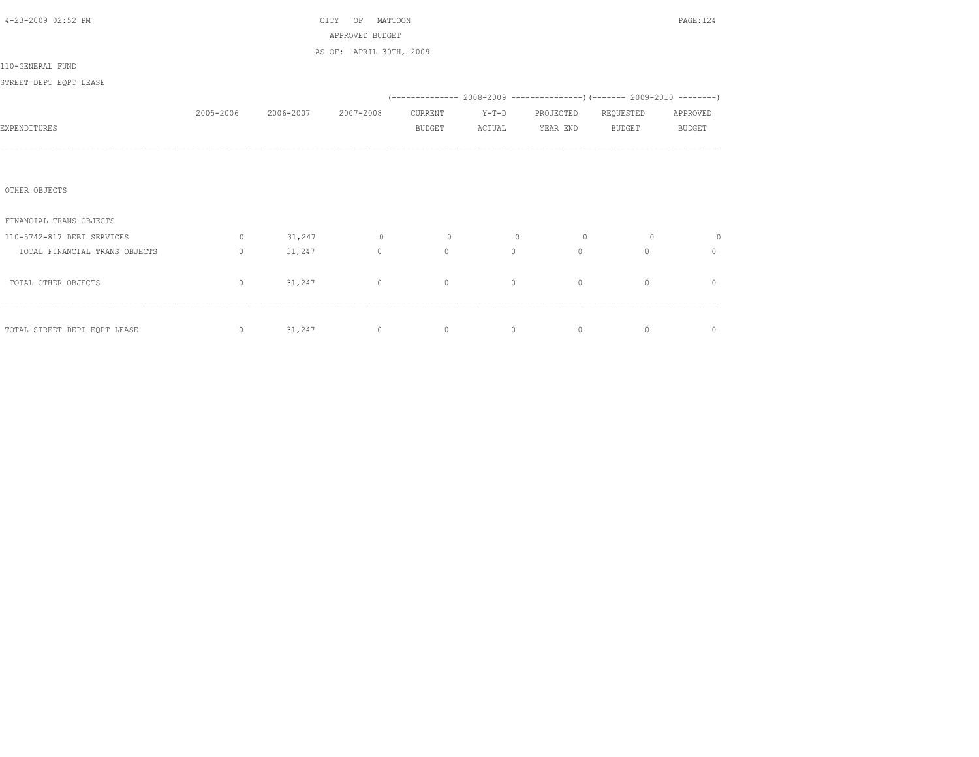| 4-23-2009 02:52 PM            |              |           | MATTOON<br>CITY<br>OF<br>APPROVED BUDGET |               |                                                                           |                |                | PAGE: 124     |
|-------------------------------|--------------|-----------|------------------------------------------|---------------|---------------------------------------------------------------------------|----------------|----------------|---------------|
|                               |              |           | AS OF: APRIL 30TH, 2009                  |               |                                                                           |                |                |               |
| 110-GENERAL FUND              |              |           |                                          |               |                                                                           |                |                |               |
| STREET DEPT EQPT LEASE        |              |           |                                          |               |                                                                           |                |                |               |
|                               |              |           |                                          |               | (-------------- 2008-2009 -----------------) (------- 2009-2010 --------) |                |                |               |
|                               | 2005-2006    | 2006-2007 | 2007-2008                                | CURRENT       | $Y-T-D$                                                                   | PROJECTED      | REQUESTED      | APPROVED      |
| EXPENDITURES                  |              |           |                                          | <b>BUDGET</b> | ACTUAL                                                                    | YEAR END       | BUDGET         | <b>BUDGET</b> |
|                               |              |           |                                          |               |                                                                           |                |                |               |
|                               |              |           |                                          |               |                                                                           |                |                |               |
| OTHER OBJECTS                 |              |           |                                          |               |                                                                           |                |                |               |
| FINANCIAL TRANS OBJECTS       |              |           |                                          |               |                                                                           |                |                |               |
| 110-5742-817 DEBT SERVICES    | $\circ$      | 31,247    | $\overline{0}$                           | $\sim$ 0      | $\overline{0}$                                                            | $\overline{0}$ | $\overline{0}$ | 0             |
| TOTAL FINANCIAL TRANS OBJECTS | $\mathbf{0}$ | 31,247    | $\circ$                                  | $\circ$       | $\circ$                                                                   | $\mathbf{0}$   | $\Omega$       | $\mathbf{0}$  |
|                               |              |           |                                          |               |                                                                           |                |                |               |
| TOTAL OTHER OBJECTS           | $\mathbf{0}$ | 31,247    | $\circ$                                  | $\circ$       | $\circ$                                                                   | $\circ$        | $\circ$        | $\mathbf{0}$  |
|                               |              |           |                                          |               |                                                                           |                |                |               |
| TOTAL STREET DEPT EQPT LEASE  | $\circ$      | 31, 247   | $\circ$                                  |               | $\overline{0}$<br>$\circ$                                                 | $\circ$        | $\circ$        | $\mathbf 0$   |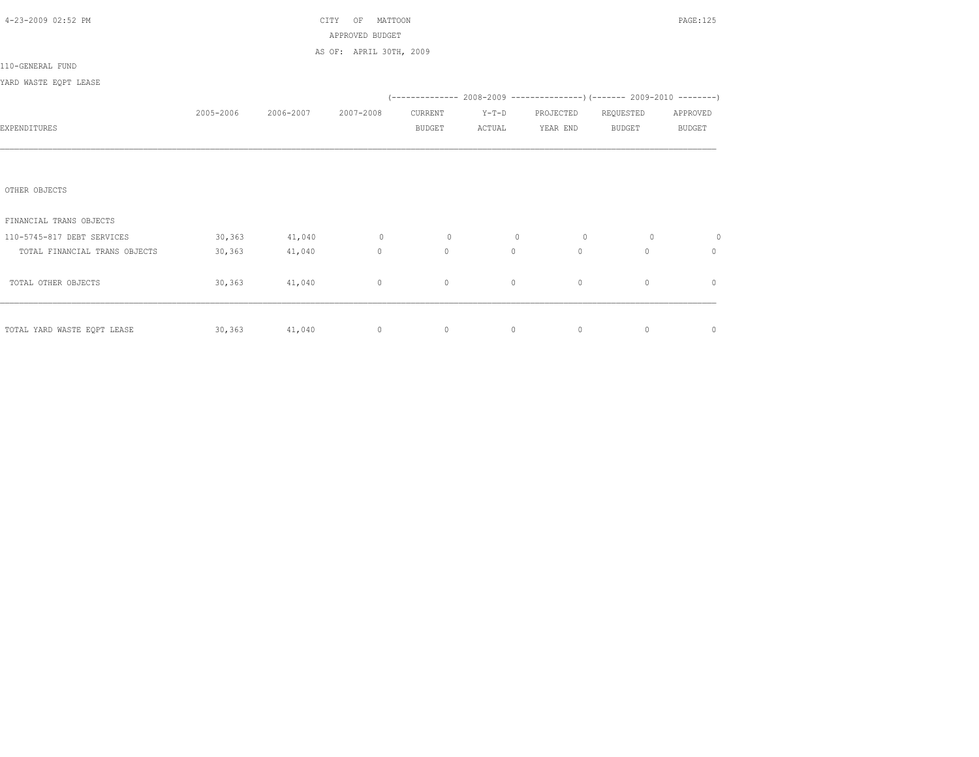|           |           | OF            |              |                                                       |           |               | PAGE: 125                                                                |
|-----------|-----------|---------------|--------------|-------------------------------------------------------|-----------|---------------|--------------------------------------------------------------------------|
|           |           |               |              |                                                       |           |               |                                                                          |
|           |           |               |              |                                                       |           |               |                                                                          |
|           |           |               |              |                                                       |           |               |                                                                          |
|           |           |               |              |                                                       |           |               |                                                                          |
|           |           |               |              |                                                       |           |               |                                                                          |
| 2005-2006 | 2006-2007 | 2007-2008     | CURRENT      | $Y-T-D$                                               | PROJECTED | REQUESTED     | APPROVED                                                                 |
|           |           |               | BUDGET       | ACTUAL                                                | YEAR END  | <b>BUDGET</b> | <b>BUDGET</b>                                                            |
|           |           |               |              |                                                       |           |               |                                                                          |
|           |           |               |              |                                                       |           |               |                                                                          |
|           |           |               |              |                                                       |           |               |                                                                          |
|           |           |               |              |                                                       |           |               |                                                                          |
|           |           |               |              |                                                       |           |               |                                                                          |
|           |           |               |              |                                                       |           |               |                                                                          |
| 30, 363   | 41,040    | $\circ$       | $\circ$      | $\circ$                                               | $\circ$   | $\circ$       | 0                                                                        |
| 30, 363   | 41,040    | $\circ$       | $\mathbf{0}$ | $\circ$                                               | $\circ$   | $\Omega$      | 0                                                                        |
|           |           |               |              |                                                       |           |               |                                                                          |
| 30, 363   | 41,040    | $\circ$       | $\circ$      | $\circ$                                               | $\circ$   | $\mathbf{0}$  | $\mathbf{0}$                                                             |
|           |           |               |              |                                                       |           |               |                                                                          |
|           |           |               |              |                                                       |           |               |                                                                          |
|           |           | $\circ$       | $\circ$      | $\circ$                                               | $\circ$   | $\circ$       | $\mathbf 0$                                                              |
|           |           | 30,363 41,040 | CITY         | MATTOON<br>APPROVED BUDGET<br>AS OF: APRIL 30TH, 2009 |           |               | (-------------- 2008-2009 ----------------) (------- 2009-2010 --------) |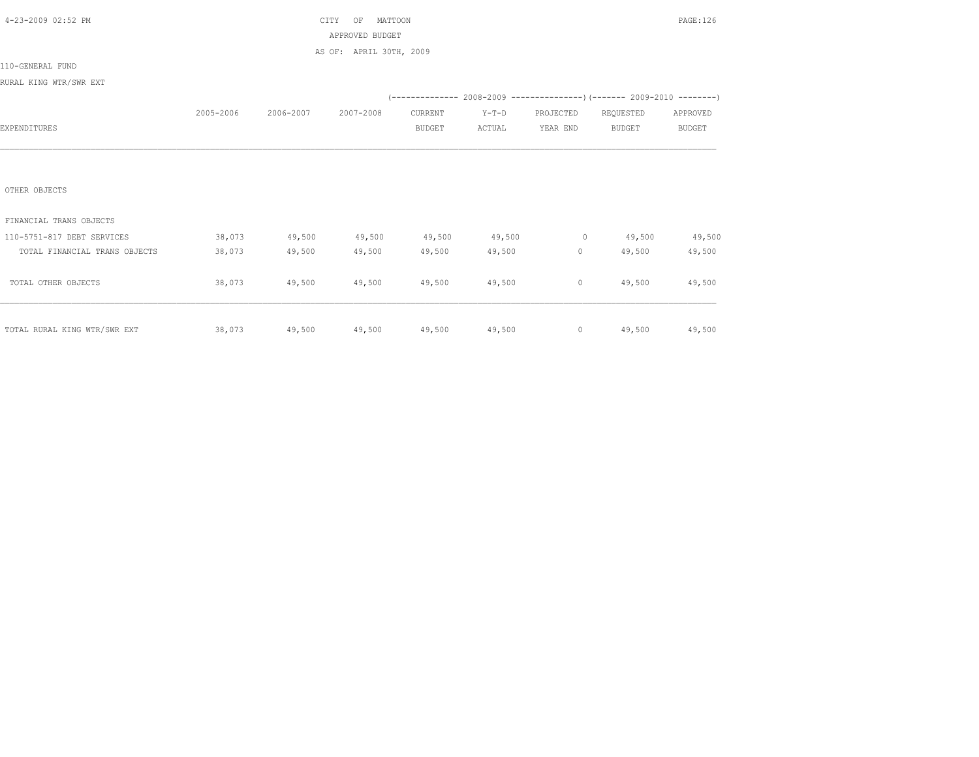| 4-23-2009 02:52 PM            |           |               | CITY<br>MATTOON<br>OF   |               |         |           |                                                                         | PAGE:126      |
|-------------------------------|-----------|---------------|-------------------------|---------------|---------|-----------|-------------------------------------------------------------------------|---------------|
|                               |           |               | APPROVED BUDGET         |               |         |           |                                                                         |               |
|                               |           |               | AS OF: APRIL 30TH, 2009 |               |         |           |                                                                         |               |
| 110-GENERAL FUND              |           |               |                         |               |         |           |                                                                         |               |
| RURAL KING WTR/SWR EXT        |           |               |                         |               |         |           |                                                                         |               |
|                               |           |               |                         |               |         |           | (-------------- 2008-2009 ---------------) (------- 2009-2010 --------) |               |
|                               | 2005-2006 | 2006-2007     | 2007-2008               | CURRENT       | $Y-T-D$ | PROJECTED | REQUESTED                                                               | APPROVED      |
| EXPENDITURES                  |           |               |                         | <b>BUDGET</b> | ACTUAL  | YEAR END  | <b>BUDGET</b>                                                           | <b>BUDGET</b> |
|                               |           |               |                         |               |         |           |                                                                         |               |
|                               |           |               |                         |               |         |           |                                                                         |               |
|                               |           |               |                         |               |         |           |                                                                         |               |
| OTHER OBJECTS                 |           |               |                         |               |         |           |                                                                         |               |
|                               |           |               |                         |               |         |           |                                                                         |               |
| FINANCIAL TRANS OBJECTS       |           |               |                         |               |         |           |                                                                         |               |
| 110-5751-817 DEBT SERVICES    | 38,073    | 49,500        | 49,500                  | 49,500        | 49,500  | $\sim$ 0  | 49,500                                                                  | 49,500        |
| TOTAL FINANCIAL TRANS OBJECTS | 38,073    | 49,500        | 49,500                  | 49,500        | 49,500  | $\circ$   | 49,500                                                                  | 49,500        |
|                               |           |               |                         |               |         |           |                                                                         |               |
| TOTAL OTHER OBJECTS           | 38,073    | 49,500        | 49,500                  | 49,500        | 49,500  | $\circ$   | 49,500                                                                  | 49,500        |
|                               |           |               |                         |               |         |           |                                                                         |               |
|                               |           |               |                         |               |         |           |                                                                         |               |
| TOTAL RURAL KING WTR/SWR EXT  | 38,073    | 49,500 49,500 |                         | 49,500 49,500 |         |           | $0 \t 49,500$                                                           | 49,500        |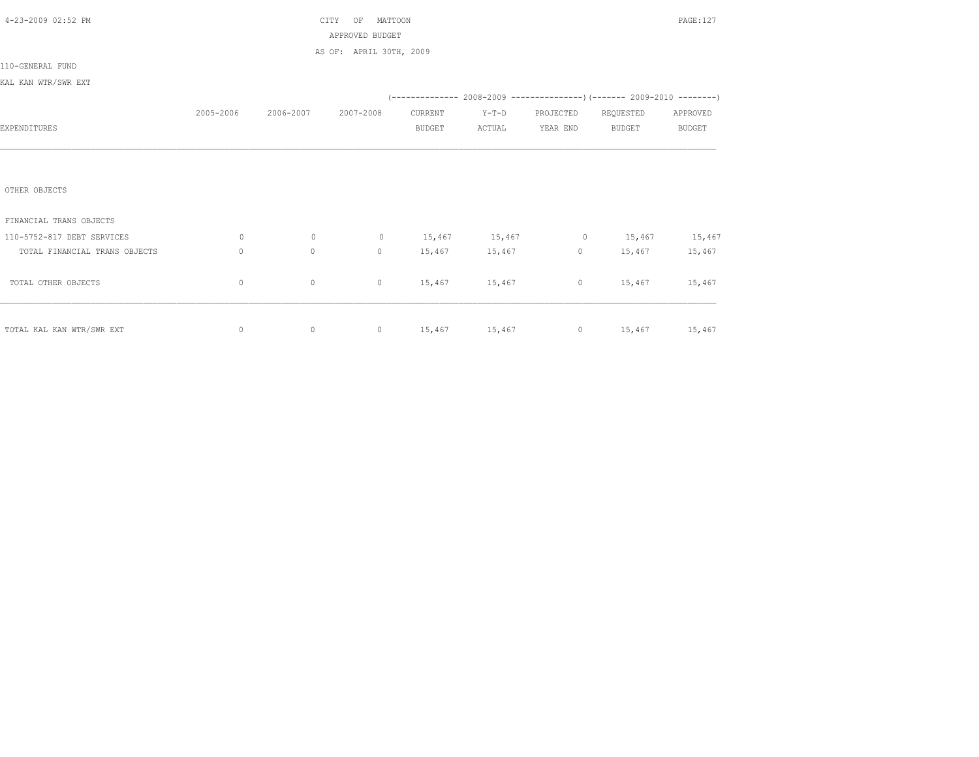| 4-23-2009 02:52 PM            |              |           | CITY<br>ΟF<br>MATTOON   |               |               |           |                                                                          | PAGE:127      |
|-------------------------------|--------------|-----------|-------------------------|---------------|---------------|-----------|--------------------------------------------------------------------------|---------------|
|                               |              |           | APPROVED BUDGET         |               |               |           |                                                                          |               |
|                               |              |           | AS OF: APRIL 30TH, 2009 |               |               |           |                                                                          |               |
| 110-GENERAL FUND              |              |           |                         |               |               |           |                                                                          |               |
| KAL KAN WTR/SWR EXT           |              |           |                         |               |               |           |                                                                          |               |
|                               |              |           |                         |               |               |           | (-------------- 2008-2009 ----------------) (------- 2009-2010 --------) |               |
|                               | 2005-2006    | 2006-2007 | 2007-2008               | CURRENT       | $Y-T-D$       | PROJECTED | REQUESTED                                                                | APPROVED      |
| EXPENDITURES                  |              |           |                         | <b>BUDGET</b> | ACTUAL        | YEAR END  | <b>BUDGET</b>                                                            | <b>BUDGET</b> |
|                               |              |           |                         |               |               |           |                                                                          |               |
|                               |              |           |                         |               |               |           |                                                                          |               |
|                               |              |           |                         |               |               |           |                                                                          |               |
| OTHER OBJECTS                 |              |           |                         |               |               |           |                                                                          |               |
|                               |              |           |                         |               |               |           |                                                                          |               |
| FINANCIAL TRANS OBJECTS       |              |           |                         |               |               |           |                                                                          |               |
| 110-5752-817 DEBT SERVICES    | 0            | $\circ$   | $\circ$                 |               | 15,467 15,467 | $\circ$   | 15,467                                                                   | 15,467        |
| TOTAL FINANCIAL TRANS OBJECTS | $\mathbf{0}$ | $\circ$   | $\circ$                 | 15,467        | 15,467        | $\circ$   | 15,467                                                                   | 15,467        |
|                               |              |           |                         |               |               |           |                                                                          |               |
| TOTAL OTHER OBJECTS           | $\mathbf{0}$ | $\circ$   | $\circ$                 | 15,467        | 15,467        | $\circ$   | 15,467                                                                   | 15,467        |
|                               |              |           |                         |               |               |           |                                                                          |               |
|                               |              |           |                         |               |               |           |                                                                          |               |
| TOTAL KAL KAN WTR/SWR EXT     | $\mathbb O$  | $\circ$   |                         |               |               |           | 0 15,467 15,467 0 15,467 15,467                                          |               |
|                               |              |           |                         |               |               |           |                                                                          |               |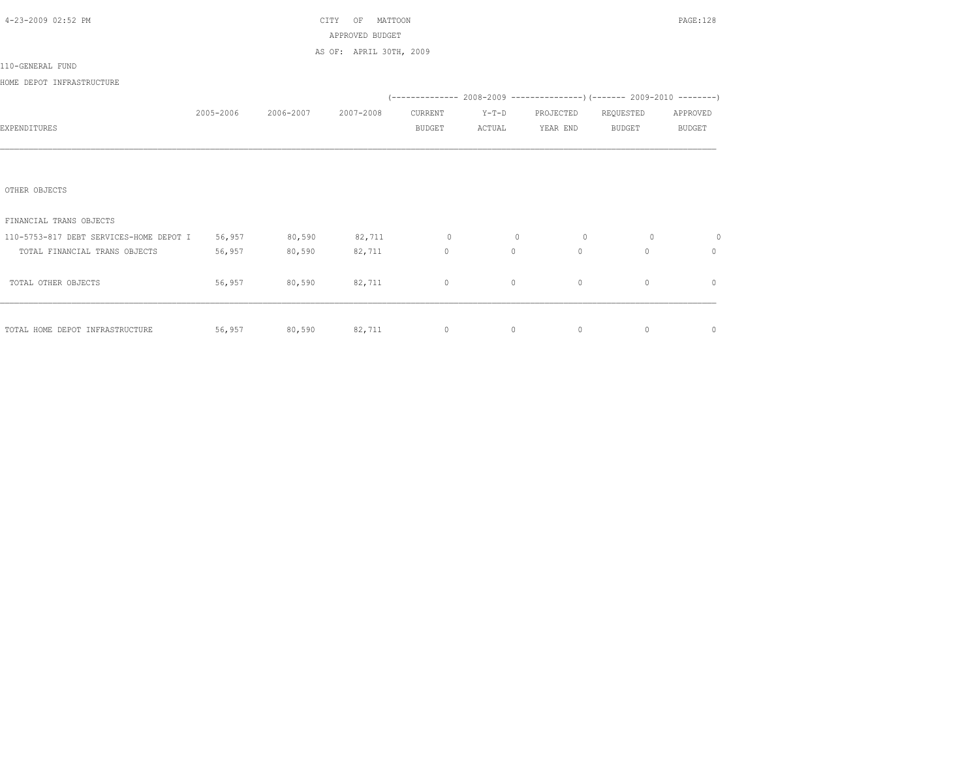| 4-23-2009 02:52 PM                                               |        |                               | MATTOON<br>CITY<br>OF   |               |          |                     |                                                                          | PAGE: 128     |
|------------------------------------------------------------------|--------|-------------------------------|-------------------------|---------------|----------|---------------------|--------------------------------------------------------------------------|---------------|
|                                                                  |        |                               | APPROVED BUDGET         |               |          |                     |                                                                          |               |
|                                                                  |        |                               | AS OF: APRIL 30TH, 2009 |               |          |                     |                                                                          |               |
| 110-GENERAL FUND                                                 |        |                               |                         |               |          |                     |                                                                          |               |
| HOME DEPOT INFRASTRUCTURE                                        |        |                               |                         |               |          |                     |                                                                          |               |
|                                                                  |        |                               |                         |               |          |                     | (-------------- 2008-2009 ----------------) (------- 2009-2010 --------) |               |
|                                                                  |        | 2005-2006 2006-2007 2007-2008 |                         | CURRENT       | $Y-T-D$  | PROJECTED REQUESTED |                                                                          | APPROVED      |
| EXPENDITURES                                                     |        |                               |                         | <b>BUDGET</b> | ACTUAL   | YEAR END            | <b>BUDGET</b>                                                            | <b>BUDGET</b> |
|                                                                  |        |                               |                         |               |          |                     |                                                                          |               |
|                                                                  |        |                               |                         |               |          |                     |                                                                          |               |
|                                                                  |        |                               |                         |               |          |                     |                                                                          |               |
| OTHER OBJECTS                                                    |        |                               |                         |               |          |                     |                                                                          |               |
|                                                                  |        |                               |                         |               |          |                     |                                                                          |               |
| FINANCIAL TRANS OBJECTS                                          |        |                               |                         |               |          |                     |                                                                          |               |
| 110-5753-817 DEBT SERVICES-HOME DEPOT I 56,957 80,590 82,711 0 0 |        |                               |                         |               | $\circ$  | $\sim$ 0            | $\circ$                                                                  | $\circ$       |
| TOTAL FINANCIAL TRANS OBJECTS                                    | 56,957 | 80,590                        | 82,711                  | $\circ$       | $\circ$  | $\circ$             | $\Omega$                                                                 | $\mathbf{0}$  |
|                                                                  |        |                               |                         |               |          |                     |                                                                          |               |
| TOTAL OTHER OBJECTS                                              | 56,957 | 80,590 82,711                 |                         | $\circ$       | $\circ$  | $\mathbf{0}$        | $\mathbf{0}$                                                             | $\circ$       |
|                                                                  |        |                               |                         |               |          |                     |                                                                          |               |
|                                                                  |        |                               |                         |               |          |                     |                                                                          |               |
| TOTAL HOME DEPOT INFRASTRUCTURE                                  |        |                               | 56,957 80,590 82,711 0  |               | $\sim$ 0 | $\sim$ 0            | 0                                                                        | $\mathbf 0$   |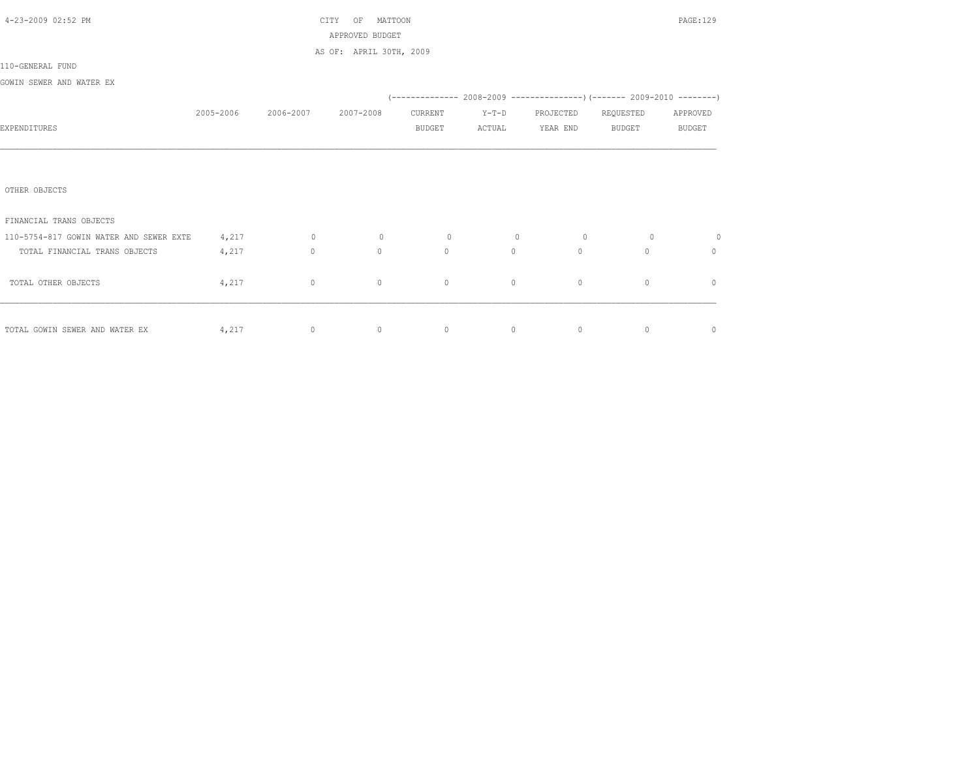| 4-23-2009 02:52 PM                      |           |           | MATTOON<br>CITY<br>ΟF   |               |         |                |              | PAGE:129      |
|-----------------------------------------|-----------|-----------|-------------------------|---------------|---------|----------------|--------------|---------------|
|                                         |           |           | APPROVED BUDGET         |               |         |                |              |               |
|                                         |           |           | AS OF: APRIL 30TH, 2009 |               |         |                |              |               |
| 110-GENERAL FUND                        |           |           |                         |               |         |                |              |               |
| GOWIN SEWER AND WATER EX                |           |           |                         |               |         |                |              |               |
|                                         |           |           |                         |               |         |                |              |               |
|                                         | 2005-2006 | 2006-2007 | 2007-2008               | CURRENT       | $Y-T-D$ | PROJECTED      | REQUESTED    | APPROVED      |
| EXPENDITURES                            |           |           |                         | <b>BUDGET</b> | ACTUAL  | YEAR END       | BUDGET       | <b>BUDGET</b> |
|                                         |           |           |                         |               |         |                |              |               |
|                                         |           |           |                         |               |         |                |              |               |
|                                         |           |           |                         |               |         |                |              |               |
| OTHER OBJECTS                           |           |           |                         |               |         |                |              |               |
|                                         |           |           |                         |               |         |                |              |               |
| FINANCIAL TRANS OBJECTS                 |           |           |                         |               |         |                |              |               |
| 110-5754-817 GOWIN WATER AND SEWER EXTE | 4,217     | $\circ$   | $\circ$                 | $\circ$       | $\circ$ | $\overline{0}$ | $\circ$      | $\circ$       |
| TOTAL FINANCIAL TRANS OBJECTS           | 4,217     | $\circ$   | $\mathbf{0}$            | $\circ$       | $\circ$ | $\circ$        | $\Omega$     | $\mathbf{0}$  |
|                                         |           |           |                         |               |         |                |              |               |
| TOTAL OTHER OBJECTS                     | 4,217     | $\circ$   | $\circ$                 | $\circ$       | $\circ$ | $\circ$        | $\mathbf{0}$ | $\mathbf{0}$  |
|                                         |           |           |                         |               |         |                |              |               |
|                                         |           |           |                         |               |         |                |              |               |
| TOTAL GOWIN SEWER AND WATER EX          | 4,217     | $\circ$   | $\circ$                 | $\circ$       | $\circ$ | $\circ$        | $\mathbf{0}$ | $\circ$       |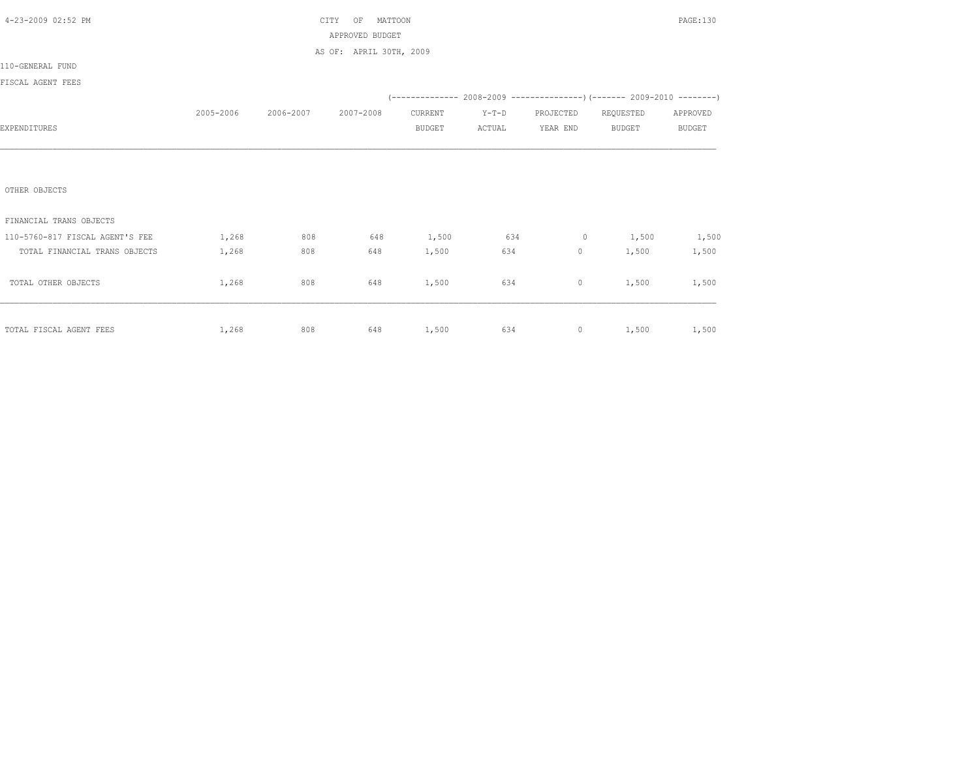| 4-23-2009 02:52 PM              |           |                     | MATTOON<br>CITY<br>OF   |               |                   |                     |                                                                         | PAGE:130      |
|---------------------------------|-----------|---------------------|-------------------------|---------------|-------------------|---------------------|-------------------------------------------------------------------------|---------------|
|                                 |           |                     | APPROVED BUDGET         |               |                   |                     |                                                                         |               |
|                                 |           |                     | AS OF: APRIL 30TH, 2009 |               |                   |                     |                                                                         |               |
| 110-GENERAL FUND                |           |                     |                         |               |                   |                     |                                                                         |               |
| FISCAL AGENT FEES               |           |                     |                         |               |                   |                     |                                                                         |               |
|                                 |           |                     |                         |               |                   |                     | (-------------- 2008-2009 ---------------) (------- 2009-2010 --------) |               |
|                                 | 2005-2006 | 2006-2007 2007-2008 |                         | CURRENT       | $Y-T-D$           | PROJECTED REQUESTED |                                                                         | APPROVED      |
| EXPENDITURES                    |           |                     |                         | <b>BUDGET</b> | ACTUAL            | YEAR END            | <b>BUDGET</b>                                                           | <b>BUDGET</b> |
|                                 |           |                     |                         |               |                   |                     |                                                                         |               |
|                                 |           |                     |                         |               |                   |                     |                                                                         |               |
| OTHER OBJECTS                   |           |                     |                         |               |                   |                     |                                                                         |               |
| FINANCIAL TRANS OBJECTS         |           |                     |                         |               |                   |                     |                                                                         |               |
| 110-5760-817 FISCAL AGENT'S FEE | 1,268     | 808                 | 648                     |               | 1,500 634 0 1,500 |                     |                                                                         | 1,500         |
| TOTAL FINANCIAL TRANS OBJECTS   | 1,268     | 808                 | 648                     | 1,500         | 634 634           |                     | $\overline{0}$<br>1,500                                                 | 1,500         |
|                                 |           |                     |                         |               |                   |                     |                                                                         |               |
| TOTAL OTHER OBJECTS             | 1,268     | 808                 | 648                     | 1,500         | 634               | $\circ$             | 1,500                                                                   | 1,500         |
|                                 |           |                     |                         |               |                   |                     |                                                                         |               |
| TOTAL FISCAL AGENT FEES         | 1,268     | 808                 | 648 1,500 634           |               |                   |                     | 0 $1,500$ $1,500$                                                       |               |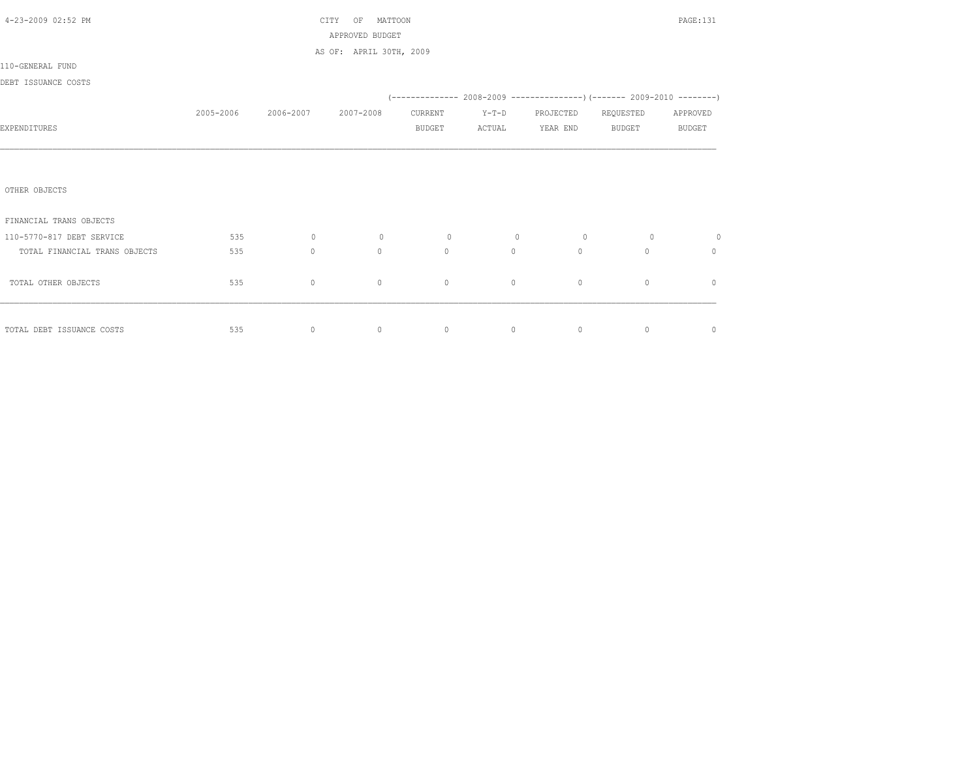| 4-23-2009 02:52 PM            |           |           | MATTOON<br>CITY<br>OF   |               |         |           |                                                                     | PAGE:131      |
|-------------------------------|-----------|-----------|-------------------------|---------------|---------|-----------|---------------------------------------------------------------------|---------------|
|                               |           |           | APPROVED BUDGET         |               |         |           |                                                                     |               |
| 110-GENERAL FUND              |           |           | AS OF: APRIL 30TH, 2009 |               |         |           |                                                                     |               |
| DEBT ISSUANCE COSTS           |           |           |                         |               |         |           |                                                                     |               |
|                               |           |           |                         |               |         |           | (-------------- 2008-2009 --------------------- 2009-2010 --------- |               |
|                               | 2005-2006 | 2006-2007 | 2007-2008               | CURRENT       | $Y-T-D$ | PROJECTED | REQUESTED                                                           | APPROVED      |
| EXPENDITURES                  |           |           |                         | <b>BUDGET</b> | ACTUAL  | YEAR END  | <b>BUDGET</b>                                                       | <b>BUDGET</b> |
|                               |           |           |                         |               |         |           |                                                                     |               |
|                               |           |           |                         |               |         |           |                                                                     |               |
|                               |           |           |                         |               |         |           |                                                                     |               |
| OTHER OBJECTS                 |           |           |                         |               |         |           |                                                                     |               |
| FINANCIAL TRANS OBJECTS       |           |           |                         |               |         |           |                                                                     |               |
| 110-5770-817 DEBT SERVICE     | 535       | $\circ$   | $\circ$                 | $\circ$       | $\circ$ | $\circ$   | $\circ$                                                             | 0             |
| TOTAL FINANCIAL TRANS OBJECTS | 535       | $\circ$   | $\Omega$                | $\circ$       | $\circ$ | $\Omega$  | $\Omega$                                                            | $\mathbf{0}$  |
|                               |           |           |                         |               |         |           |                                                                     |               |
| TOTAL OTHER OBJECTS           | 535       | $\circ$   | $\circ$                 | $\circ$       | $\circ$ | $\circ$   | $\circ$                                                             | $\mathbf{0}$  |
|                               |           |           |                         |               |         |           |                                                                     |               |
|                               |           |           |                         |               |         |           |                                                                     |               |
| TOTAL DEBT ISSUANCE COSTS     | 535       | $\circ$   | $\circ$                 | $\circ$       | $\circ$ | $\circ$   | $\circ$                                                             | $\circ$       |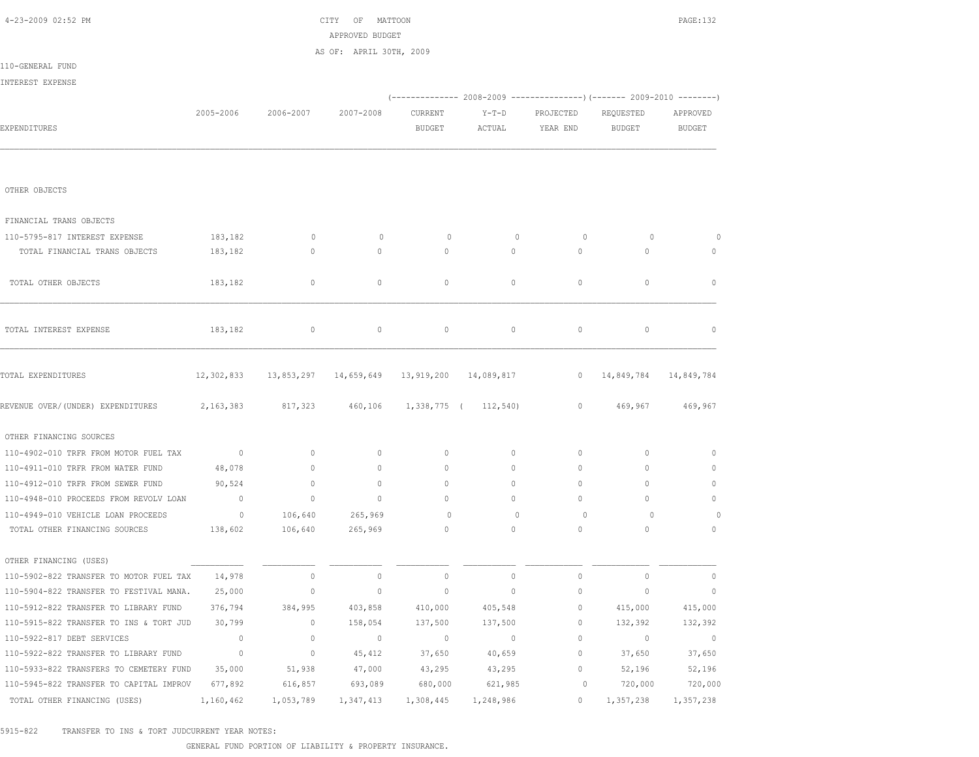| 4-23-2009 02:52 PM                      |                |                       | CITY OF MATTOON<br>APPROVED BUDGET |                                    |                                                                        |              |               | PAGE: 132      |
|-----------------------------------------|----------------|-----------------------|------------------------------------|------------------------------------|------------------------------------------------------------------------|--------------|---------------|----------------|
|                                         |                |                       | AS OF: APRIL 30TH, 2009            |                                    |                                                                        |              |               |                |
| 110-GENERAL FUND                        |                |                       |                                    |                                    |                                                                        |              |               |                |
| INTEREST EXPENSE                        |                |                       |                                    |                                    |                                                                        |              |               |                |
|                                         |                |                       |                                    |                                    | (------------- 2008-2009 ---------------) (------- 2009-2010 --------) |              |               |                |
|                                         | 2005-2006      | 2006-2007             | 2007-2008                          | CURRENT                            | $Y-T-D$                                                                | PROJECTED    | REQUESTED     | APPROVED       |
| EXPENDITURES                            |                |                       |                                    | <b>BUDGET</b>                      | ACTUAL                                                                 | YEAR END     | <b>BUDGET</b> | BUDGET         |
|                                         |                |                       |                                    |                                    |                                                                        |              |               |                |
| OTHER OBJECTS                           |                |                       |                                    |                                    |                                                                        |              |               |                |
| FINANCIAL TRANS OBJECTS                 |                |                       |                                    |                                    |                                                                        |              |               |                |
| 110-5795-817 INTEREST EXPENSE           | 183,182        | $\mathbf 0$           | $\mathbf 0$                        | 0                                  | 0                                                                      | $\circ$      | 0             | 0              |
| TOTAL FINANCIAL TRANS OBJECTS           | 183,182        | $\mathbf{0}$          | $\mathbf{0}$                       | $\circ$                            | $\circ$                                                                | $\circ$      | $\mathbf{0}$  | $\circ$        |
| TOTAL OTHER OBJECTS                     | 183,182        | $\circ$               | $\circ$                            | $\circ$                            | 0                                                                      | $\mathbf{0}$ | $\circ$       | $\mathbf 0$    |
| TOTAL INTEREST EXPENSE                  | 183,182        | 0                     | $\mathbb O$                        | $\circ$                            | 0                                                                      | $\circ$      | $\circ$       | $\mathbb O$    |
| TOTAL EXPENDITURES                      |                | 12,302,833 13,853,297 |                                    | 14,659,649  13,919,200  14,089,817 |                                                                        | $\mathbf{0}$ | 14,849,784    | 14,849,784     |
| REVENUE OVER/(UNDER) EXPENDITURES       | 2,163,383      | 817,323               | 460,106                            |                                    | 1,338,775 ( 112,540)                                                   | $\circ$      | 469,967       | 469,967        |
| OTHER FINANCING SOURCES                 |                |                       |                                    |                                    |                                                                        |              |               |                |
| 110-4902-010 TRFR FROM MOTOR FUEL TAX   | $\sim$ 0       | $\circ$               | $\circ$                            | $\circ$                            | 0                                                                      | 0            | $\circ$       | $\mathbf 0$    |
| 110-4911-010 TRFR FROM WATER FUND       | 48,078         | 0                     | $\mathbf{0}$                       | $\mathbf{0}$                       | 0                                                                      | 0            | $\mathbf{0}$  | $\circ$        |
| 110-4912-010 TRFR FROM SEWER FUND       | 90,524         | $\mathbf 0$           | $\mathbf 0$                        | $\mathbf{0}$                       | 0                                                                      | 0            | $\mathbf{0}$  | $\circ$        |
| 110-4948-010 PROCEEDS FROM REVOLV LOAN  | $\circ$        | $\mathbb O$           | $\circ$                            | 0                                  | 0                                                                      | $\mathbf{0}$ | $\mathbf{0}$  | $\circ$        |
| 110-4949-010 VEHICLE LOAN PROCEEDS      | $\overline{0}$ | 106,640               | 265,969                            | 0                                  | $\mathbf 0$                                                            | $\circ$      | $\circ$       | 0              |
| TOTAL OTHER FINANCING SOURCES           | 138,602        | 106,640               | 265,969                            | $\circ$                            | $\circ$                                                                | $\circ$      | $\mathbf{0}$  | $\circ$        |
| OTHER FINANCING (USES)                  |                |                       |                                    |                                    |                                                                        |              |               |                |
| 110-5902-822 TRANSFER TO MOTOR FUEL TAX | 14,978         | 0                     | $\mathbb O$                        | 0                                  | $\circ$                                                                | 0            | $\mathbb O$   | $\mathbb O$    |
| 110-5904-822 TRANSFER TO FESTIVAL MANA. | 25,000         | 0                     | $\circ$                            | $\mathbf 0$                        | $\circ$                                                                | $\mathbf 0$  | $\mathbf 0$   | $\mathbb O$    |
| 110-5912-822 TRANSFER TO LIBRARY FUND   | 376,794        | 384,995               | 403,858                            | 410,000                            | 405,548                                                                | $\mathbf 0$  | 415,000       | 415,000        |
| 110-5915-822 TRANSFER TO INS & TORT JUD | 30,799         | $\circ$               | 158,054                            | 137,500                            | 137,500                                                                | $\mathbf 0$  | 132,392       | 132,392        |
| 110-5922-817 DEBT SERVICES              | $\mathbb O$    | $\mathbb O$           | $\sim$ 0                           | $\sim$ 0                           | $\sim$ 0                                                               | $\circ$      | $\circ$       | $\overline{0}$ |
| 110-5922-822 TRANSFER TO LIBRARY FUND   | $\overline{0}$ | $\mathbb O$           | 45,412                             | 37,650                             | 40,659                                                                 | $\circ$      | 37,650        | 37,650         |
| 110-5933-822 TRANSFERS TO CEMETERY FUND | 35,000         | 51,938                | 47,000                             | 43,295                             | 43,295                                                                 | $\circ$      | 52,196        | 52,196         |
| 110-5945-822 TRANSFER TO CAPITAL IMPROV | 677,892        | 616,857               | 693,089                            | 680,000                            | 621,985                                                                | 0            | 720,000       | 720,000        |
| TOTAL OTHER FINANCING (USES)            | 1,160,462      | 1,053,789             | 1,347,413                          | 1,308,445                          | 1,248,986                                                              | $\circ$      | 1,357,238     | 1,357,238      |

5915-822 TRANSFER TO INS & TORT JUDCURRENT YEAR NOTES:

GENERAL FUND PORTION OF LIABILITY & PROPERTY INSURANCE.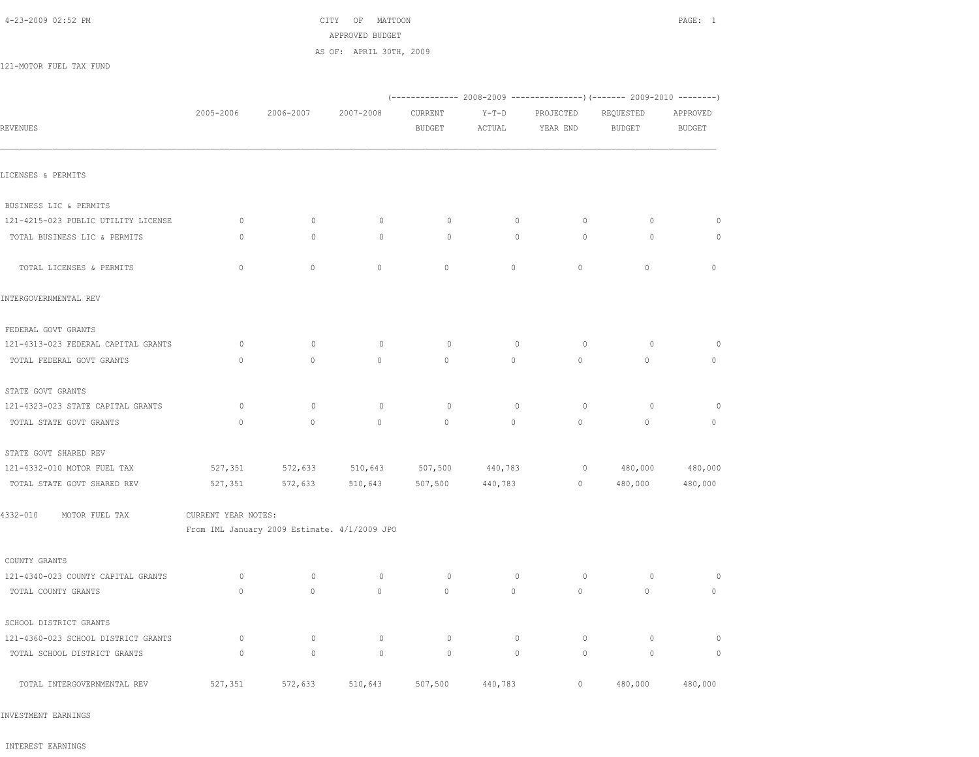## 4-23-2009 02:52 PM CITY OF MATTOON PAGE: 1 APPROVED BUDGET AS OF: APRIL 30TH, 2009

121-MOTOR FUEL TAX FUND

|                                     |                     |                                              |              |                          |                   |                       | (-------------- 2008-2009 ----------------) (------- 2009-2010 --------) |                           |
|-------------------------------------|---------------------|----------------------------------------------|--------------|--------------------------|-------------------|-----------------------|--------------------------------------------------------------------------|---------------------------|
| REVENUES                            | 2005-2006           | 2006-2007                                    | 2007-2008    | CURRENT<br><b>BUDGET</b> | $Y-T-D$<br>ACTUAL | PROJECTED<br>YEAR END | REQUESTED<br><b>BUDGET</b>                                               | APPROVED<br><b>BUDGET</b> |
|                                     |                     |                                              |              |                          |                   |                       |                                                                          |                           |
| LICENSES & PERMITS                  |                     |                                              |              |                          |                   |                       |                                                                          |                           |
| BUSINESS LIC & PERMITS              |                     |                                              |              |                          |                   |                       |                                                                          |                           |
| 121-4215-023 PUBLIC UTILITY LICENSE | $\circ$             | $\mathbf{0}$                                 | $\circ$      | $\circ$                  | $\circ$           | $\circ$               | $\circ$                                                                  | $\circ$                   |
| TOTAL BUSINESS LIC & PERMITS        | $\circ$             | $\mathbb O$                                  | $\circ$      | $\circ$                  | $\mathbb O$       | $\circ$               | $\circ$                                                                  | 0                         |
| TOTAL LICENSES & PERMITS            | $\mathbb O$         | $\circ$                                      | $\mathbb O$  | $\mathbb O$              | $\circ$           | $\circ$               | $\circ$                                                                  | $\circ$                   |
| INTERGOVERNMENTAL REV               |                     |                                              |              |                          |                   |                       |                                                                          |                           |
| FEDERAL GOVT GRANTS                 |                     |                                              |              |                          |                   |                       |                                                                          |                           |
| 121-4313-023 FEDERAL CAPITAL GRANTS | $\circ$             | $\mathbf{0}$                                 | $\circ$      | $\circ$                  | $\circ$           | $\circ$               | $\circ$                                                                  | $\circ$                   |
| TOTAL FEDERAL GOVT GRANTS           | $\mathbb O$         | $\mathbb O$                                  | $\mathbb O$  | $\mathbb O$              | $\circ$           | $\circ$               | $\mathsf{O}\xspace$                                                      | $\circ$                   |
| STATE GOVT GRANTS                   |                     |                                              |              |                          |                   |                       |                                                                          |                           |
| 121-4323-023 STATE CAPITAL GRANTS   | $\circ$             | $\mathbf 0$                                  | $\circ$      | $\circ$                  | $\mathbf 0$       | $\circ$               | $\circ$                                                                  | $\circ$                   |
| TOTAL STATE GOVT GRANTS             | $\mathbf{0}$        | $\circ$                                      | $\circ$      | $\circ$                  | $\circ$           | $\mathbb O$           | $\mathsf{O}\xspace$                                                      | $\circ$                   |
| STATE GOVT SHARED REV               |                     |                                              |              |                          |                   |                       |                                                                          |                           |
| 121-4332-010 MOTOR FUEL TAX         | 527,351             | 572,633                                      | 510,643      | 507,500                  | 440,783           | $\circ$               | 480,000                                                                  | 480,000                   |
| TOTAL STATE GOVT SHARED REV         | 527,351             | 572,633                                      | 510,643      | 507,500                  | 440,783           | $\mathbb O$           | 480,000                                                                  | 480,000                   |
| 4332-010<br>MOTOR FUEL TAX          | CURRENT YEAR NOTES: |                                              |              |                          |                   |                       |                                                                          |                           |
|                                     |                     | From IML January 2009 Estimate. 4/1/2009 JPO |              |                          |                   |                       |                                                                          |                           |
| COUNTY GRANTS                       |                     |                                              |              |                          |                   |                       |                                                                          |                           |
| 121-4340-023 COUNTY CAPITAL GRANTS  | $\circ$             | $\mathbb O$                                  | $\circ$      | $\circ$                  | $\circ$           | $\circ$               | $\circ$                                                                  | $\circ$                   |
| TOTAL COUNTY GRANTS                 | $\mathbf{0}$        | $\mathbf{0}$                                 | $\mathbf{0}$ | $\mathbf{0}$             | $\circ$           | $\circ$               | $\circ$                                                                  | $\circ$                   |
| SCHOOL DISTRICT GRANTS              |                     |                                              |              |                          |                   |                       |                                                                          |                           |
| 121-4360-023 SCHOOL DISTRICT GRANTS | $\circ$             | $\mathbf 0$                                  | $\circ$      | $\circ$                  | $\mathbf 0$       | $\circ$               | $\circ$                                                                  | $\circ$                   |
| TOTAL SCHOOL DISTRICT GRANTS        | $\circ$             | $\mathbf 0$                                  | $\circ$      | $\circ$                  | $\mathbf 0$       | $\circ$               | 0                                                                        | $\circ$                   |
| TOTAL INTERGOVERNMENTAL REV         | 527,351             | 572,633                                      | 510,643      | 507,500                  | 440,783           | $\circ$               | 480,000                                                                  | 480,000                   |

INVESTMENT EARNINGS

INTEREST EARNINGS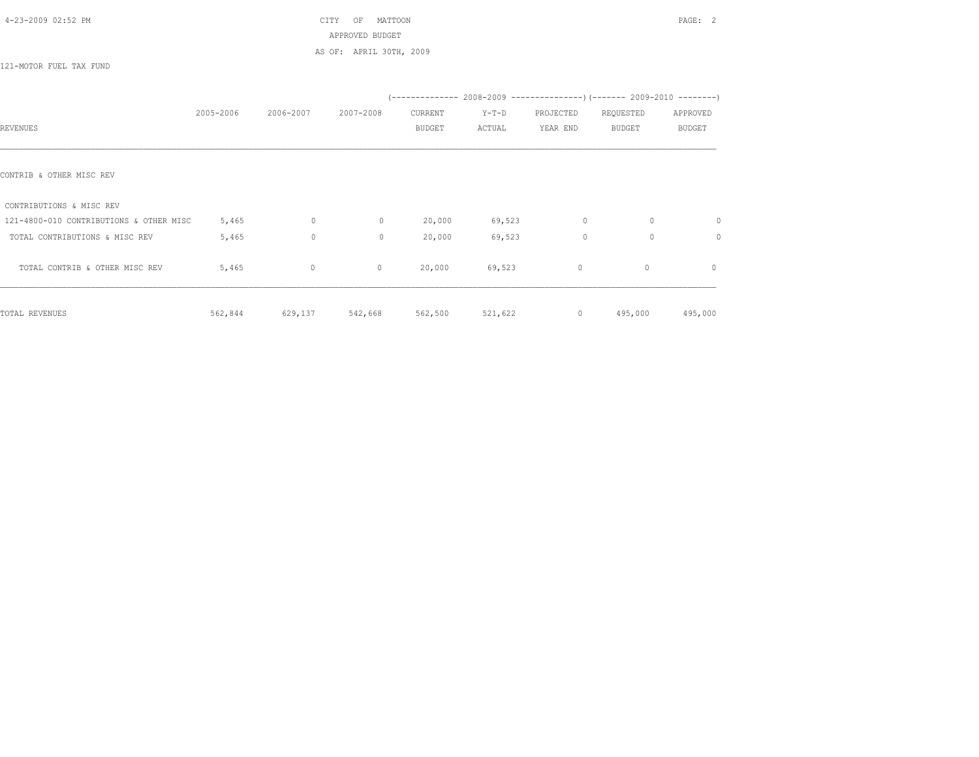| 4-23-2009 02:52 PM |  |  |  |  |
|--------------------|--|--|--|--|
|--------------------|--|--|--|--|

 $CITY$  OF MATTOON PAGE: 2 APPROVED BUDGET AS OF: APRIL 30TH, 2009

121-MOTOR FUEL TAX FUND

|                                         | 2005-2006 | 2006-2007 | 2007-2008    | CURRENT       | $Y-T-D$ | PROJECTED | REQUESTED     | APPROVED      |
|-----------------------------------------|-----------|-----------|--------------|---------------|---------|-----------|---------------|---------------|
| REVENUES                                |           |           |              | <b>BUDGET</b> | ACTUAL  | YEAR END  | <b>BUDGET</b> | <b>BUDGET</b> |
|                                         |           |           |              |               |         |           |               |               |
| CONTRIB & OTHER MISC REV                |           |           |              |               |         |           |               |               |
| CONTRIBUTIONS & MISC REV                |           |           |              |               |         |           |               |               |
| 121-4800-010 CONTRIBUTIONS & OTHER MISC | 5,465     | $\circ$   | $\circ$      | 20,000        | 69,523  | 0         | $\circ$       | $\circ$       |
| TOTAL CONTRIBUTIONS & MISC REV          | 5,465     | $\circ$   | $\mathbf{0}$ | 20,000        | 69,523  | $\circ$   | $\circ$       | $\circ$       |
| TOTAL CONTRIB & OTHER MISC REV          | 5,465     | $\circ$   | $\mathbf{0}$ | 20,000        | 69,523  | $\circ$   | $\mathbf{0}$  | $\circ$       |
| TOTAL REVENUES                          | 562,844   | 629,137   | 542,668      | 562,500       | 521,622 | $\circ$   | 495,000       | 495,000       |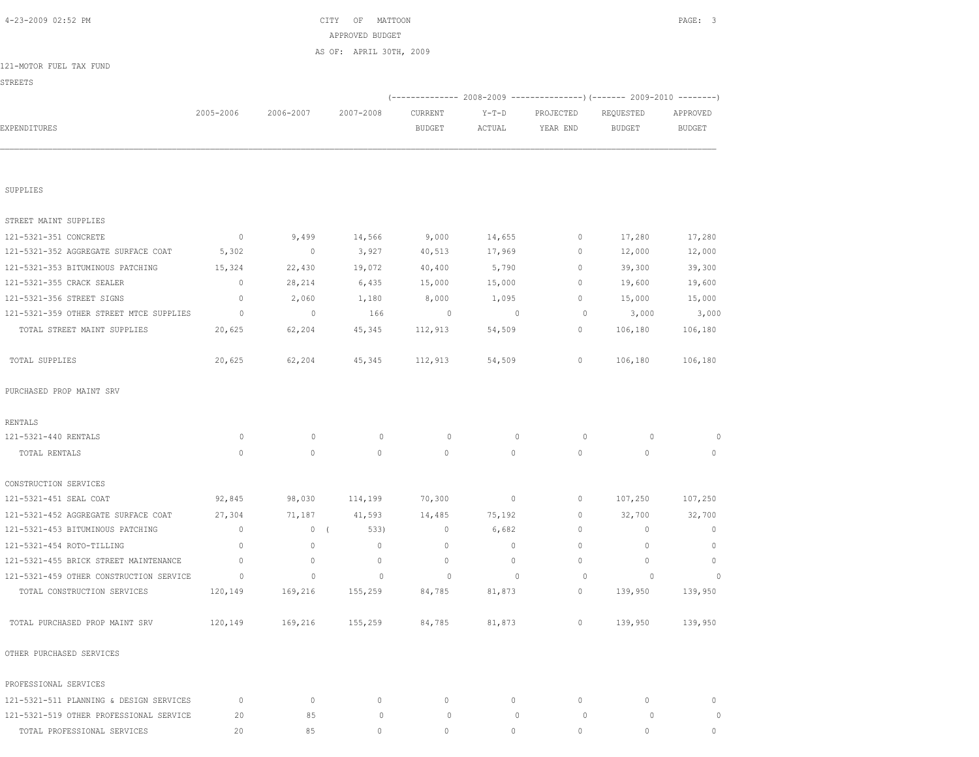| 4-23-2009 02:52 PM                      |                |                          | CITY<br>ΟF<br>MATTOON   |                          |                          |                       |                            | PAGE: 3                   |
|-----------------------------------------|----------------|--------------------------|-------------------------|--------------------------|--------------------------|-----------------------|----------------------------|---------------------------|
|                                         |                |                          | APPROVED BUDGET         |                          |                          |                       |                            |                           |
|                                         |                |                          | AS OF: APRIL 30TH, 2009 |                          |                          |                       |                            |                           |
| 121-MOTOR FUEL TAX FUND                 |                |                          |                         |                          |                          |                       |                            |                           |
| <b>STREETS</b>                          |                |                          |                         |                          |                          |                       |                            |                           |
|                                         |                |                          |                         |                          |                          |                       |                            |                           |
| EXPENDITURES                            | 2005-2006      | 2006-2007                | 2007-2008               | CURRENT<br><b>BUDGET</b> | $Y-T-D$<br>ACTUAL        | PROJECTED<br>YEAR END | REQUESTED<br><b>BUDGET</b> | APPROVED<br><b>BUDGET</b> |
|                                         |                |                          |                         |                          |                          |                       |                            |                           |
|                                         |                |                          |                         |                          |                          |                       |                            |                           |
| SUPPLIES                                |                |                          |                         |                          |                          |                       |                            |                           |
| STREET MAINT SUPPLIES                   |                |                          |                         |                          |                          |                       |                            |                           |
| 121-5321-351 CONCRETE                   | $\circ$        | 9,499                    | 14,566                  | 9,000                    | 14,655                   | 0                     | 17,280                     | 17,280                    |
| 121-5321-352 AGGREGATE SURFACE COAT     | 5,302          | $\overline{\phantom{0}}$ | 3,927                   | 40,513                   | 17,969                   | 0                     | 12,000                     | 12,000                    |
| 121-5321-353 BITUMINOUS PATCHING        | 15,324         | 22,430                   | 19,072                  | 40,400                   | 5,790                    | $\mathbf{0}$          | 39,300                     | 39,300                    |
| 121-5321-355 CRACK SEALER               | $\mathbf 0$    | 28,214                   | 6,435                   | 15,000                   | 15,000                   | $\mathbf{0}$          | 19,600                     | 19,600                    |
| 121-5321-356 STREET SIGNS               | $\mathbf 0$    | 2,060                    | 1,180                   | 8,000                    | 1,095                    | 0                     | 15,000                     | 15,000                    |
| 121-5321-359 OTHER STREET MTCE SUPPLIES | $\circ$        | $\overline{\phantom{0}}$ | 166                     | $\circ$                  | $\overline{0}$           | $\circ$               | 3,000                      | 3,000                     |
| TOTAL STREET MAINT SUPPLIES             | 20,625         | 62,204                   | 45,345                  | 112,913                  | 54,509                   | $\mathbf{0}$          | 106,180                    | 106,180                   |
| TOTAL SUPPLIES                          | 20,625         | 62,204                   | 45,345                  | 112,913                  | 54,509                   | $\mathbf{0}$          | 106,180                    | 106,180                   |
| PURCHASED PROP MAINT SRV                |                |                          |                         |                          |                          |                       |                            |                           |
| RENTALS                                 |                |                          |                         |                          |                          |                       |                            |                           |
| 121-5321-440 RENTALS                    | 0              | $\mathbf{0}$             | $\circ$                 | 0                        | $\mathbf{0}$             | $\circ$               | $\circ$                    | $\circ$                   |
| TOTAL RENTALS                           | $\mathbf{0}$   | $\circ$                  | $\circ$                 | $\mathbf{0}$             | $\circ$                  | $\circ$               | $\circ$                    | $\circ$                   |
| CONSTRUCTION SERVICES                   |                |                          |                         |                          |                          |                       |                            |                           |
| 121-5321-451 SEAL COAT                  | 92,845         | 98,030                   | 114,199                 | 70,300                   | $\circ$                  | 0                     | 107,250                    | 107,250                   |
| 121-5321-452 AGGREGATE SURFACE COAT     | 27,304         | 71,187                   | 41,593                  | 14,485                   | 75,192                   | $\mathbf{0}$          | 32,700                     | 32,700                    |
| 121-5321-453 BITUMINOUS PATCHING        | $\mathbf{0}$   | 0(                       | 533)                    | $\mathbf 0$              | 6,682                    | $\mathbf{0}$          | $\mathbf 0$                | $\mathbf{0}$              |
| 121-5321-454 ROTO-TILLING               | $\mathbf{0}$   | $\mathbf{0}$             | $\mathbf{0}$            | $\mathbf{0}$             | $\circ$                  | $\mathbf{0}$          | $\mathbf{0}$               | $\mathbf{0}$              |
| 121-5321-455 BRICK STREET MAINTENANCE   | $\mathbf{0}$   | $\mathbf{0}$             | $\mathbf 0$             | $\mathbf{0}$             | $\circ$                  | $\Omega$              | $\mathbf{0}$               | $\mathbf{0}$              |
| 121-5321-459 OTHER CONSTRUCTION SERVICE | $\overline{0}$ | $\overline{0}$           | $\sim$ 0                | $\circ$                  | $\overline{\phantom{0}}$ | 0                     | $\overline{0}$             | $\sim$ 0                  |
| TOTAL CONSTRUCTION SERVICES             |                | 120,149 169,216 155,259  |                         | 84,785                   | 81,873                   | $\circ$               |                            | 139,950 139,950           |
| TOTAL PURCHASED PROP MAINT SRV          |                | 120,149 169,216 155,259  |                         | 84,785                   | 81,873                   | $0 \qquad \qquad$     |                            | 139,950 139,950           |
| OTHER PURCHASED SERVICES                |                |                          |                         |                          |                          |                       |                            |                           |
| PROFESSIONAL SERVICES                   |                |                          |                         |                          |                          |                       |                            |                           |
| 121-5321-511 PLANNING & DESIGN SERVICES | $\circ$        | $\circ$                  | $\mathbf{0}$            | 0                        | $\circ$                  | $\mathbf{0}$          | 0                          | $\circ$                   |
| 121-5321-519 OTHER PROFESSIONAL SERVICE | 20             | 85                       | $\circ$                 | $\circ$                  | $\circ$                  | $\circ$               | $\circ$                    | $\circ$                   |
| TOTAL PROFESSIONAL SERVICES             | 20             | 85                       | $\mathbf{0}$            | $\circ$                  | $\circ$                  | $\circ$               | $\circ$                    | $\circ$                   |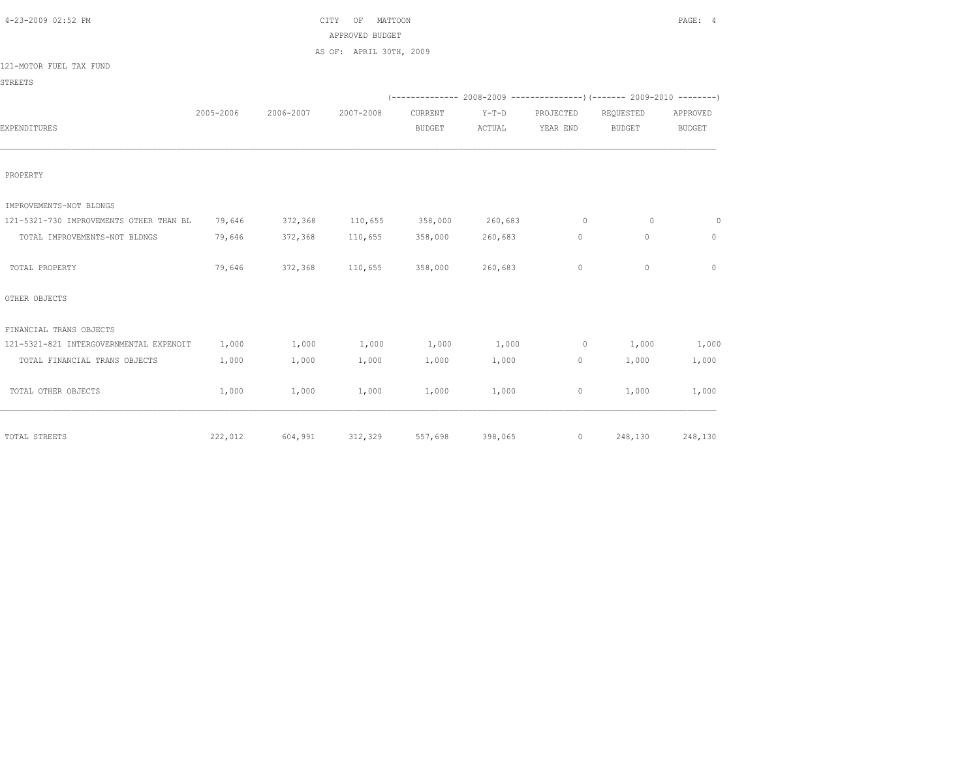| 4-23-2009 02:52 PM                      |           |           | MATTOON<br>CITY<br>OF   |               |         |                |                                                                          | PAGE: 4       |
|-----------------------------------------|-----------|-----------|-------------------------|---------------|---------|----------------|--------------------------------------------------------------------------|---------------|
|                                         |           |           | APPROVED BUDGET         |               |         |                |                                                                          |               |
|                                         |           |           | AS OF: APRIL 30TH, 2009 |               |         |                |                                                                          |               |
| 121-MOTOR FUEL TAX FUND                 |           |           |                         |               |         |                |                                                                          |               |
| STREETS                                 |           |           |                         |               |         |                |                                                                          |               |
|                                         |           |           |                         |               |         |                | (-------------- 2008-2009 ----------------) (------- 2009-2010 --------) |               |
|                                         | 2005-2006 | 2006-2007 | 2007-2008               | CURRENT       | $Y-T-D$ | PROJECTED      | REQUESTED                                                                | APPROVED      |
| EXPENDITURES                            |           |           |                         | <b>BUDGET</b> | ACTUAL  | YEAR END       | <b>BUDGET</b>                                                            | <b>BUDGET</b> |
|                                         |           |           |                         |               |         |                |                                                                          |               |
| PROPERTY                                |           |           |                         |               |         |                |                                                                          |               |
| IMPROVEMENTS-NOT BLDNGS                 |           |           |                         |               |         |                |                                                                          |               |
| 121-5321-730 IMPROVEMENTS OTHER THAN BL | 79,646    | 372,368   | 110,655                 | 358,000       | 260,683 | $\circ$        | $\Omega$                                                                 | 0             |
| TOTAL IMPROVEMENTS-NOT BLDNGS           | 79,646    | 372,368   | 110,655                 | 358,000       | 260,683 | $\circ$        | $\circ$                                                                  | $\circ$       |
| TOTAL PROPERTY                          | 79,646    | 372,368   | 110,655                 | 358,000       | 260,683 | $\mathbf 0$    | $\circ$                                                                  | $\mathbf{0}$  |
| OTHER OBJECTS                           |           |           |                         |               |         |                |                                                                          |               |
| FINANCIAL TRANS OBJECTS                 |           |           |                         |               |         |                |                                                                          |               |
| 121-5321-821 INTERGOVERNMENTAL EXPENDIT | 1,000     | 1,000     | 1,000                   | 1,000         | 1,000   | $\overline{0}$ | 1,000                                                                    | 1,000         |
| TOTAL FINANCIAL TRANS OBJECTS           | 1,000     | 1,000     | 1,000                   | 1,000         | 1,000   | 0              | 1,000                                                                    | 1,000         |
| TOTAL OTHER OBJECTS                     | 1,000     | 1,000     | 1,000                   | 1,000         | 1,000   | $\circ$        | 1,000                                                                    | 1,000         |
|                                         |           |           |                         |               |         |                |                                                                          |               |
| TOTAL STREETS                           | 222,012   | 604,991   | 312,329                 | 557,698       | 398,065 | $\circ$        | 248,130                                                                  | 248,130       |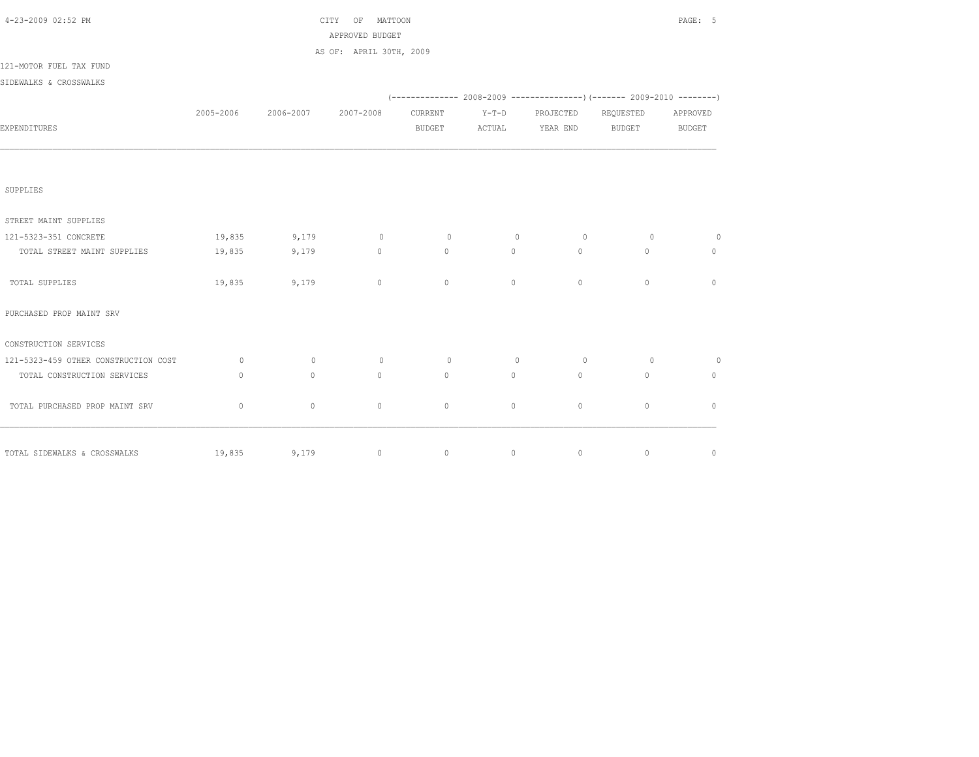| 4-23-2009 02:52 PM                     |              |                               | CITY OF MATTOON<br>APPROVED BUDGET |                |          |                        |                                                                              | PAGE: 5        |
|----------------------------------------|--------------|-------------------------------|------------------------------------|----------------|----------|------------------------|------------------------------------------------------------------------------|----------------|
|                                        |              |                               | AS OF: APRIL 30TH, 2009            |                |          |                        |                                                                              |                |
| 121-MOTOR FUEL TAX FUND                |              |                               |                                    |                |          |                        |                                                                              |                |
| SIDEWALKS & CROSSWALKS                 |              |                               |                                    |                |          |                        |                                                                              |                |
|                                        |              |                               |                                    |                |          |                        | $(-$ ------------- 2008-2009 -----------------) (------- 2009-2010 --------) |                |
|                                        |              | 2005-2006 2006-2007 2007-2008 |                                    | CURRENT        | $Y-T-D$  | PROJECTED              | REQUESTED                                                                    | APPROVED       |
| EXPENDITURES                           |              |                               |                                    | <b>BUDGET</b>  |          | ACTUAL YEAR END BUDGET |                                                                              | BUDGET         |
|                                        |              |                               |                                    |                |          |                        |                                                                              |                |
| SUPPLIES                               |              |                               |                                    |                |          |                        |                                                                              |                |
| STREET MAINT SUPPLIES                  |              |                               |                                    |                |          |                        |                                                                              |                |
| 121-5323-351 CONCRETE                  |              |                               | 19,835 9,179 0                     | $\sim$ 0       | $\sim$ 0 | $\overline{0}$         | $\overline{0}$                                                               | $\sim$ 0       |
| TOTAL STREET MAINT SUPPLIES            | 19,835       | 9,179                         | $\sim$ 0 $\sim$ 0 $\sim$           | $\circ$        | $\circ$  | $\overline{0}$         | $\circ$                                                                      | $\circ$        |
| TOTAL SUPPLIES                         |              | 19,835 9,179                  | $\circ$                            | $\circ$        | $\circ$  | $\mathbf{0}$           | $\mathbf{0}$                                                                 | $\mathbf{0}$   |
| PURCHASED PROP MAINT SRV               |              |                               |                                    |                |          |                        |                                                                              |                |
| CONSTRUCTION SERVICES                  |              |                               |                                    |                |          |                        |                                                                              |                |
| 121-5323-459 OTHER CONSTRUCTION COST 0 |              | $\overline{0}$                | $0 \qquad \qquad$                  | $\overline{0}$ | $\sim$ 0 | $\overline{0}$         | $\overline{0}$                                                               | $\overline{0}$ |
| TOTAL CONSTRUCTION SERVICES            | $\mathbf{0}$ | $\circ$                       | $\circ$                            | $\circ$        | $\circ$  | 0                      | $\circ$                                                                      | $\circ$        |
| TOTAL PURCHASED PROP MAINT SRV         | $\circ$      | $\circ$                       | $\circ$                            | $\circ$        | $\circ$  | $\circ$                | $\mathbf{0}$                                                                 | $\mathbf{0}$   |
| TOTAL SIDEWALKS & CROSSWALKS           |              |                               | $19,835$ 9,179 0 0 0               |                |          | $\overline{0}$         | $\sim$ 0                                                                     | $\circ$        |
|                                        |              |                               |                                    |                |          |                        |                                                                              |                |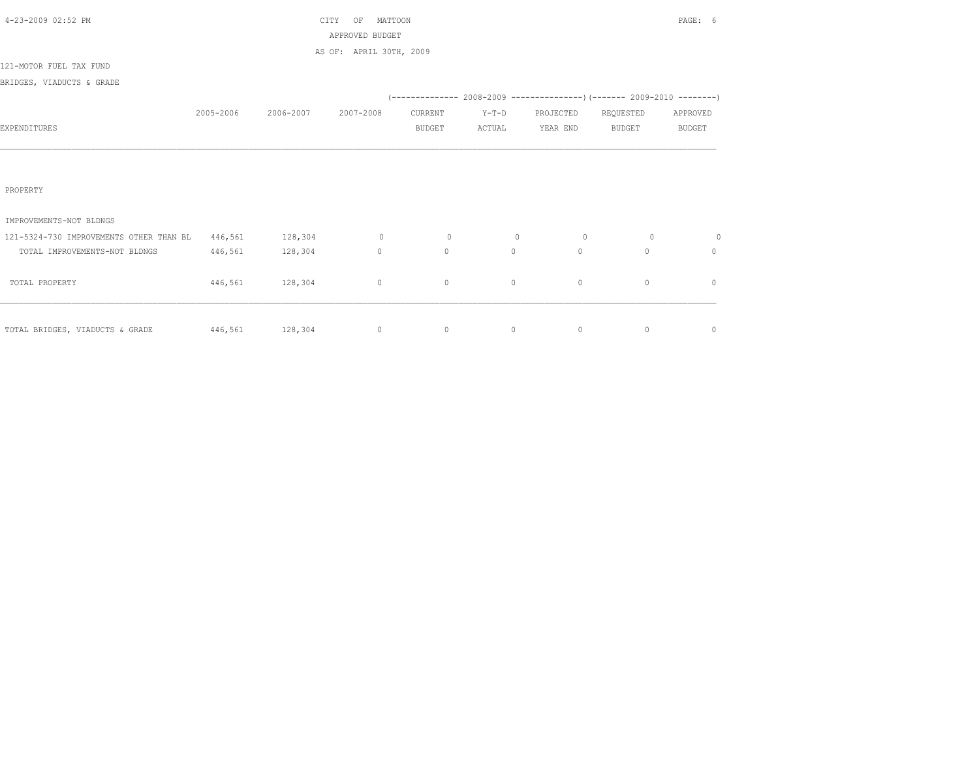| 4-23-2009 02:52 PM                      |           |           | MATTOON<br>CITY<br>ΟF   |               |         |           |                                                                          | PAGE: 6       |
|-----------------------------------------|-----------|-----------|-------------------------|---------------|---------|-----------|--------------------------------------------------------------------------|---------------|
|                                         |           |           | APPROVED BUDGET         |               |         |           |                                                                          |               |
|                                         |           |           | AS OF: APRIL 30TH, 2009 |               |         |           |                                                                          |               |
| 121-MOTOR FUEL TAX FUND                 |           |           |                         |               |         |           |                                                                          |               |
| BRIDGES, VIADUCTS & GRADE               |           |           |                         |               |         |           |                                                                          |               |
|                                         |           |           |                         |               |         |           | (-------------- 2008-2009 ----------------) (------- 2009-2010 --------) |               |
|                                         | 2005-2006 | 2006-2007 | 2007-2008               | CURRENT       | $Y-T-D$ | PROJECTED | REQUESTED                                                                | APPROVED      |
| EXPENDITURES                            |           |           |                         | <b>BUDGET</b> | ACTUAL  | YEAR END  | <b>BUDGET</b>                                                            | <b>BUDGET</b> |
|                                         |           |           |                         |               |         |           |                                                                          |               |
|                                         |           |           |                         |               |         |           |                                                                          |               |
|                                         |           |           |                         |               |         |           |                                                                          |               |
| PROPERTY                                |           |           |                         |               |         |           |                                                                          |               |
|                                         |           |           |                         |               |         |           |                                                                          |               |
| IMPROVEMENTS-NOT BLDNGS                 |           |           |                         |               |         |           |                                                                          |               |
| 121-5324-730 IMPROVEMENTS OTHER THAN BL | 446,561   | 128,304   | $\circ$                 | $\circ$       | $\circ$ | $\circ$   | $\circ$                                                                  | $\circ$       |
| TOTAL IMPROVEMENTS-NOT BLDNGS           | 446,561   | 128,304   | $\mathbf{0}$            | $\circ$       | $\circ$ | $\circ$   | $\Omega$                                                                 | $\circ$       |
|                                         |           |           |                         |               |         |           |                                                                          |               |
| TOTAL PROPERTY                          | 446,561   | 128,304   | $\circ$                 | $\circ$       | $\circ$ | $\circ$   | $\mathbf{0}$                                                             | $\mathbf{0}$  |
|                                         |           |           |                         |               |         |           |                                                                          |               |
|                                         |           |           |                         |               |         |           |                                                                          |               |
| TOTAL BRIDGES, VIADUCTS & GRADE         | 446,561   | 128,304   | $\circ$                 | $\circ$       | 0       | $\circ$   | $\circ$                                                                  | $\mathbb O$   |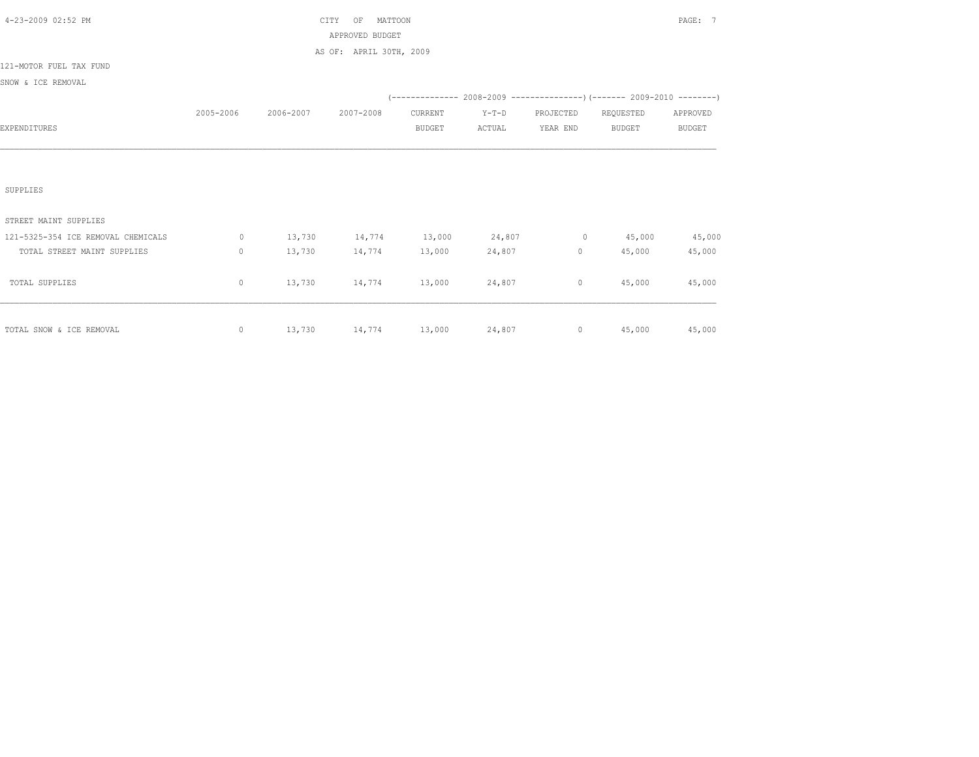| 4-23-2009 02:52 PM                 |             |           | MATTOON<br>CITY<br>OF<br>APPROVED BUDGET<br>AS OF: APRIL 30TH, 2009 |               |         |                                        |                                                                          | PAGE: 7       |
|------------------------------------|-------------|-----------|---------------------------------------------------------------------|---------------|---------|----------------------------------------|--------------------------------------------------------------------------|---------------|
| 121-MOTOR FUEL TAX FUND            |             |           |                                                                     |               |         |                                        |                                                                          |               |
| SNOW & ICE REMOVAL                 |             |           |                                                                     |               |         |                                        |                                                                          |               |
|                                    |             |           |                                                                     |               |         |                                        | (-------------- 2008-2009 ----------------) (------- 2009-2010 --------) |               |
|                                    | 2005-2006   | 2006-2007 | 2007-2008                                                           | CURRENT       | $Y-T-D$ | PROJECTED                              | REQUESTED                                                                | APPROVED      |
| EXPENDITURES                       |             |           |                                                                     | <b>BUDGET</b> | ACTUAL  | YEAR END                               | <b>BUDGET</b>                                                            | <b>BUDGET</b> |
| SUPPLIES                           |             |           |                                                                     |               |         |                                        |                                                                          |               |
| STREET MAINT SUPPLIES              |             |           |                                                                     |               |         |                                        |                                                                          |               |
| 121-5325-354 ICE REMOVAL CHEMICALS | $\circ$     |           | 13,730 14,774 13,000 24,807                                         |               |         | $0 \t 45,000$                          |                                                                          | 45,000        |
| TOTAL STREET MAINT SUPPLIES        | $\mathbf 0$ | 13,730    | 14,774                                                              | 13,000        | 24,807  | $\begin{array}{ccc} 0 & & \end{array}$ | 45,000                                                                   | 45,000        |
| TOTAL SUPPLIES                     | 0           | 13,730    | 14,774                                                              | 13,000        | 24,807  | $\circ$                                | 45,000                                                                   | 45,000        |
| TOTAL SNOW & ICE REMOVAL           | 0           |           |                                                                     |               |         |                                        | $13,730$ $14,774$ $13,000$ $24,807$ 0 $45,000$ $45,000$                  |               |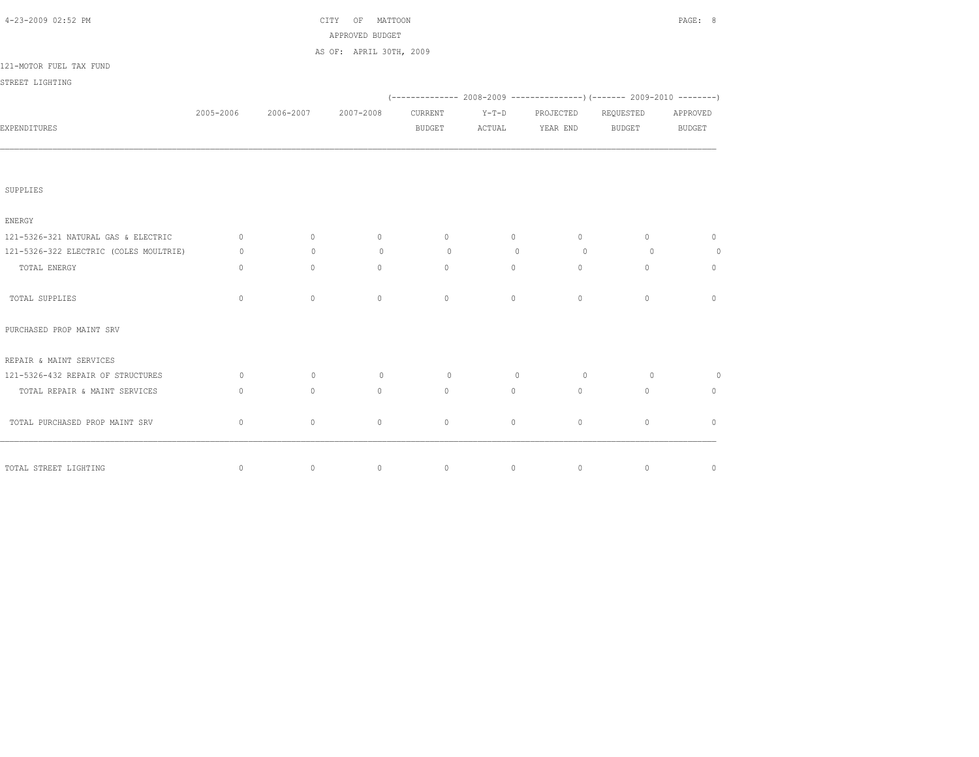| 4-23-2009 02:52 PM                     |                                  |                     | CITY OF MATTOON                            |                |            |                |                                                                          | PAGE: 8      |
|----------------------------------------|----------------------------------|---------------------|--------------------------------------------|----------------|------------|----------------|--------------------------------------------------------------------------|--------------|
|                                        |                                  |                     | APPROVED BUDGET<br>AS OF: APRIL 30TH, 2009 |                |            |                |                                                                          |              |
| 121-MOTOR FUEL TAX FUND                |                                  |                     |                                            |                |            |                |                                                                          |              |
| STREET LIGHTING                        |                                  |                     |                                            |                |            |                |                                                                          |              |
|                                        |                                  |                     |                                            |                |            |                | (-------------- 2008-2009 ----------------) (------- 2009-2010 --------) |              |
|                                        |                                  | 2005-2006 2006-2007 | 2007-2008                                  | CURRENT        | $Y-T-D$    | PROJECTED      | REQUESTED                                                                | APPROVED     |
| EXPENDITURES                           |                                  |                     |                                            | BUDGET         | ACTUAL     | YEAR END       | BUDGET                                                                   | BUDGET       |
|                                        |                                  |                     |                                            |                |            |                |                                                                          |              |
| SUPPLIES                               |                                  |                     |                                            |                |            |                |                                                                          |              |
| ENERGY                                 |                                  |                     |                                            |                |            |                |                                                                          |              |
| 121-5326-321 NATURAL GAS & ELECTRIC    | $\circ$                          | $\circ$             | $\circ$                                    | $\circ$        | $\circ$    | $\circ$        | $\circ$                                                                  | $\mathbf{0}$ |
| 121-5326-322 ELECTRIC (COLES MOULTRIE) | $\circ$                          | $\circ$             | $\circ$                                    | $\overline{0}$ | $\bigcirc$ | $\bigcirc$     | $\overline{0}$                                                           | $\circ$      |
| TOTAL ENERGY                           | $\begin{array}{c} \n\end{array}$ | $\circ$             | $\Omega$                                   | $\Omega$       | $\circ$    | $\cap$         | $\circ$                                                                  | $\mathbf{0}$ |
| TOTAL SUPPLIES                         | $\Omega$                         | $\circ$             | $\Omega$                                   | $\Omega$       | $\Omega$   | $\Omega$       | $\Omega$                                                                 | $\Omega$     |
| PURCHASED PROP MAINT SRV               |                                  |                     |                                            |                |            |                |                                                                          |              |
| REPAIR & MAINT SERVICES                |                                  |                     |                                            |                |            |                |                                                                          |              |
| 121-5326-432 REPAIR OF STRUCTURES      | $\circ$                          | $\sim$ 0            | $\circ$                                    | $\sim$ 0       | $\sim$ 0   | $\overline{0}$ | $\circ$                                                                  | $\circ$      |
| TOTAL REPAIR & MAINT SERVICES          | $\mathbf{0}$                     | $\circ$             | $\Omega$                                   | $\circ$        | $\circ$    | $\Omega$       | $\circ$                                                                  | $\mathbf{0}$ |
| TOTAL PURCHASED PROP MAINT SRV         | $\circ$                          | $\circ$             | $\circ$                                    | $\circ$        | $\circ$    | $\circ$        | $\circ$                                                                  | $\Omega$     |
|                                        |                                  |                     |                                            |                |            |                |                                                                          |              |
| TOTAL STREET LIGHTING                  | $\mathbf{0}$                     | $\circ$             | $\circ$                                    | $\circ$        | $\sim$ 0   | $\circ$        | $\overline{0}$                                                           | $\circ$      |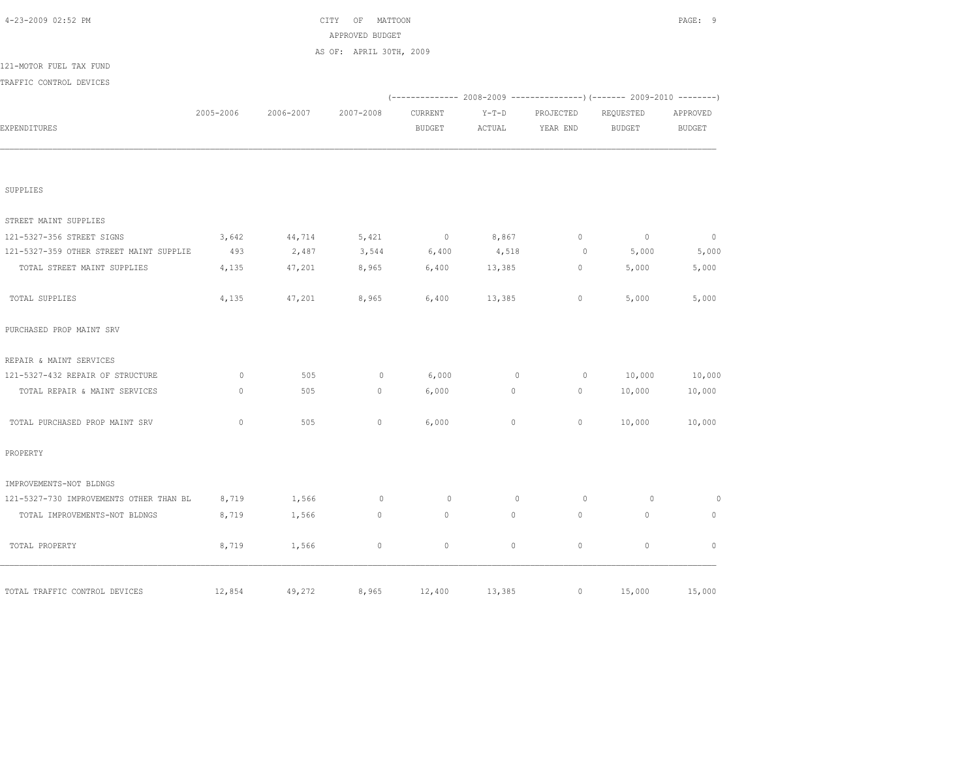| 2005-2006    | 2006-2007                                                                                    | AS OF: APRIL 30TH, 2009 |                |              |                |                                                                          |                          |
|--------------|----------------------------------------------------------------------------------------------|-------------------------|----------------|--------------|----------------|--------------------------------------------------------------------------|--------------------------|
|              |                                                                                              |                         |                |              |                |                                                                          |                          |
|              |                                                                                              |                         |                |              |                |                                                                          |                          |
|              |                                                                                              |                         |                |              |                |                                                                          |                          |
|              |                                                                                              |                         |                |              |                | (-------------- 2008-2009 ----------------) (------- 2009-2010 --------) |                          |
|              |                                                                                              | 2007-2008               | CURRENT        | $Y-T-D$      | PROJECTED      | REQUESTED                                                                | APPROVED                 |
|              |                                                                                              |                         | <b>BUDGET</b>  | ACTUAL       | YEAR END       | <b>BUDGET</b>                                                            | <b>BUDGET</b>            |
|              |                                                                                              |                         |                |              |                |                                                                          |                          |
|              |                                                                                              |                         |                |              |                |                                                                          |                          |
| 3,642        | 44,714                                                                                       | 5,421                   | $\overline{0}$ | 8,867        | $\circ$        | $\overline{0}$                                                           | $\overline{0}$           |
| 493          | 2,487                                                                                        | 3,544                   | 6,400          | 4,518        | $\overline{0}$ | 5,000                                                                    | 5,000                    |
| 4,135        | 47,201                                                                                       | 8,965                   | 6,400          | 13,385       | $\circ$        | 5,000                                                                    | 5,000                    |
| 4,135        | 47,201                                                                                       | 8,965                   | 6,400          | 13,385       | $\circ$        | 5,000                                                                    | 5,000                    |
|              |                                                                                              |                         |                |              |                |                                                                          |                          |
|              |                                                                                              |                         |                |              |                |                                                                          |                          |
| $\circ$      | 505                                                                                          | $\circ$                 | 6,000          | $\circ$      | $\circ$        | 10,000                                                                   | 10,000                   |
| $\mathbb O$  | 505                                                                                          | $\circ$                 | 6,000          | $\circ$      | $\circ$        | 10,000                                                                   | 10,000                   |
| $\mathbf{0}$ | 505                                                                                          | $\mathbf{0}$            | 6,000          | $\circ$      | $\circ$        | 10,000                                                                   | 10,000                   |
|              |                                                                                              |                         |                |              |                |                                                                          |                          |
|              |                                                                                              |                         |                |              |                |                                                                          |                          |
| 8,719        | 1,566                                                                                        | $\circ$                 | $\circ$        | $\mathbf{0}$ | $\circ$        | $\circ$                                                                  | $\circ$                  |
| 8,719        | 1,566                                                                                        | $\mathbf{0}$            | $\mathbf{0}$   | $\circ$      | $\mathbf{0}$   | $\mathbf{0}$                                                             | $\mathbf{0}$             |
| 8,719        | 1,566                                                                                        | $\circ$                 | $\circ$        | $\circ$      | $\mathbb O$    | $\circ$                                                                  | $\mathbb O$              |
|              |                                                                                              |                         |                |              |                |                                                                          | 15,000                   |
|              | 121-5327-359 OTHER STREET MAINT SUPPLIE<br>121-5327-730 IMPROVEMENTS OTHER THAN BL<br>12,854 | 49,272                  |                | 8,965 12,400 | 13,385         |                                                                          | $\overline{0}$<br>15,000 |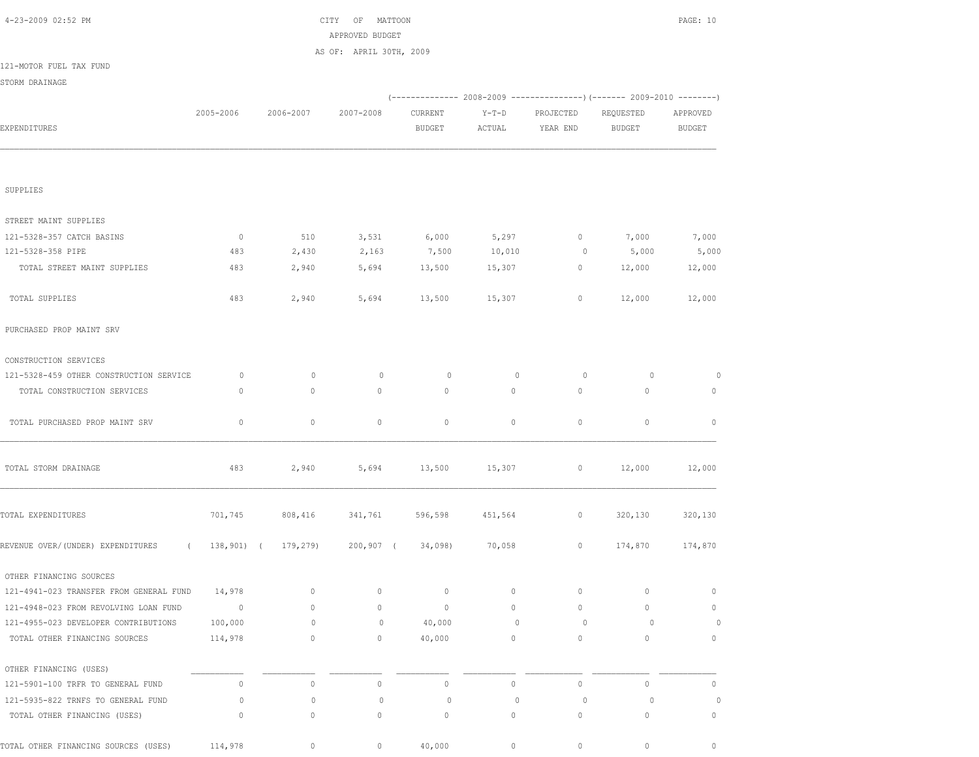| 4-23-2009 02:52 PM                      |                |                     | OF MATTOON<br>CITY      |                  |         |              |                                                                        | PAGE: 10     |
|-----------------------------------------|----------------|---------------------|-------------------------|------------------|---------|--------------|------------------------------------------------------------------------|--------------|
|                                         |                |                     | APPROVED BUDGET         |                  |         |              |                                                                        |              |
| 121-MOTOR FUEL TAX FUND                 |                |                     | AS OF: APRIL 30TH, 2009 |                  |         |              |                                                                        |              |
|                                         |                |                     |                         |                  |         |              |                                                                        |              |
| STORM DRAINAGE                          |                |                     |                         |                  |         |              | (------------- 2008-2009 ---------------) (------- 2009-2010 --------) |              |
|                                         | 2005-2006      | 2006-2007           | 2007-2008               | CURRENT          | $Y-T-D$ | PROJECTED    | REQUESTED                                                              | APPROVED     |
| EXPENDITURES                            |                |                     |                         | <b>BUDGET</b>    | ACTUAL  | YEAR END     | BUDGET                                                                 | BUDGET       |
|                                         |                |                     |                         |                  |         |              |                                                                        |              |
|                                         |                |                     |                         |                  |         |              |                                                                        |              |
| SUPPLIES                                |                |                     |                         |                  |         |              |                                                                        |              |
| STREET MAINT SUPPLIES                   |                |                     |                         |                  |         |              |                                                                        |              |
| 121-5328-357 CATCH BASINS               | $\overline{0}$ | 510                 | 3,531                   | 6,000            | 5,297   | $\circ$      | 7,000                                                                  | 7,000        |
| 121-5328-358 PIPE                       | 483            | 2,430               | 2,163                   | 7,500            | 10,010  | $\circ$      | 5,000                                                                  | 5,000        |
| TOTAL STREET MAINT SUPPLIES             | 483            | 2,940               | 5,694                   | 13,500           | 15,307  | $\circ$      | 12,000                                                                 | 12,000       |
| TOTAL SUPPLIES                          | 483            | 2,940               | 5,694                   | 13,500           | 15,307  | $\circ$      | 12,000                                                                 | 12,000       |
| PURCHASED PROP MAINT SRV                |                |                     |                         |                  |         |              |                                                                        |              |
| CONSTRUCTION SERVICES                   |                |                     |                         |                  |         |              |                                                                        |              |
| 121-5328-459 OTHER CONSTRUCTION SERVICE | 0              | $\circ$             | $\circ$                 | 0                | $\circ$ | $\circ$      | 0                                                                      | 0            |
| TOTAL CONSTRUCTION SERVICES             | $\mathbf{0}$   | $\mathbf{0}$        | $\mathbf{0}$            | $\mathbf{0}$     | $\circ$ | $\circ$      | $\mathbf{0}$                                                           | 0            |
| TOTAL PURCHASED PROP MAINT SRV          | 0              | $\circ$             | 0                       | $\circ$          | $\circ$ | $\circ$      | $\circ$                                                                | $\mathbf{0}$ |
| TOTAL STORM DRAINAGE                    | 483            | 2,940               | 5,694                   | 13,500           | 15,307  | $\circ$      | 12,000                                                                 | 12,000       |
| TOTAL EXPENDITURES                      | 701,745        | 808,416             | 341,761                 | 596,598          | 451,564 | $\circ$      | 320,130                                                                | 320,130      |
| REVENUE OVER/(UNDER) EXPENDITURES       | $\sqrt{2}$     | 138,901) ( 179,279) |                         | 200,907 (34,098) | 70,058  | $\circ$      | 174,870                                                                | 174,870      |
| OTHER FINANCING SOURCES                 |                |                     |                         |                  |         |              |                                                                        |              |
| 121-4941-023 TRANSFER FROM GENERAL FUND | 14,978         | 0                   | 0                       | $\circ$          | 0       | $\circ$      | 0                                                                      | $\mathbf{0}$ |
| 121-4948-023 FROM REVOLVING LOAN FUND   | $\overline{0}$ | $\circ$             | 0                       | $\circ$          | $\circ$ | $\circ$      | $\mathbf{0}$                                                           | $\mathbf{0}$ |
| 121-4955-023 DEVELOPER CONTRIBUTIONS    | 100,000        | $\circ$             | $\circ$                 | 40,000           | 0       | $\circ$      | 0                                                                      | 0            |
| TOTAL OTHER FINANCING SOURCES           | 114,978        | $\circ$             | 0                       | 40,000           | $\circ$ | $\mathbf{0}$ | $\circ$                                                                | $\mathbf{0}$ |
| OTHER FINANCING (USES)                  |                |                     |                         |                  |         |              |                                                                        |              |
| 121-5901-100 TRFR TO GENERAL FUND       | $\mathbb O$    | $\circ$             | $\mathsf{O}\xspace$     | $\mathbb O$      | $\circ$ | $\mathbb O$  | $\circ$                                                                | $\mathbf{0}$ |
| 121-5935-822 TRNFS TO GENERAL FUND      | 0              | 0                   | $\circ$                 | $\circ$          | 0       | $\circ$      | 0                                                                      | 0            |
| TOTAL OTHER FINANCING (USES)            | 0              | 0                   | 0                       | $\circ$          | $\circ$ | $\circ$      | 0                                                                      | 0            |
| TOTAL OTHER FINANCING SOURCES (USES)    | 114,978        | $\circ$             | $\circ$                 | 40,000           | $\circ$ | $\circ$      | $\circ$                                                                | $\circ$      |
|                                         |                |                     |                         |                  |         |              |                                                                        |              |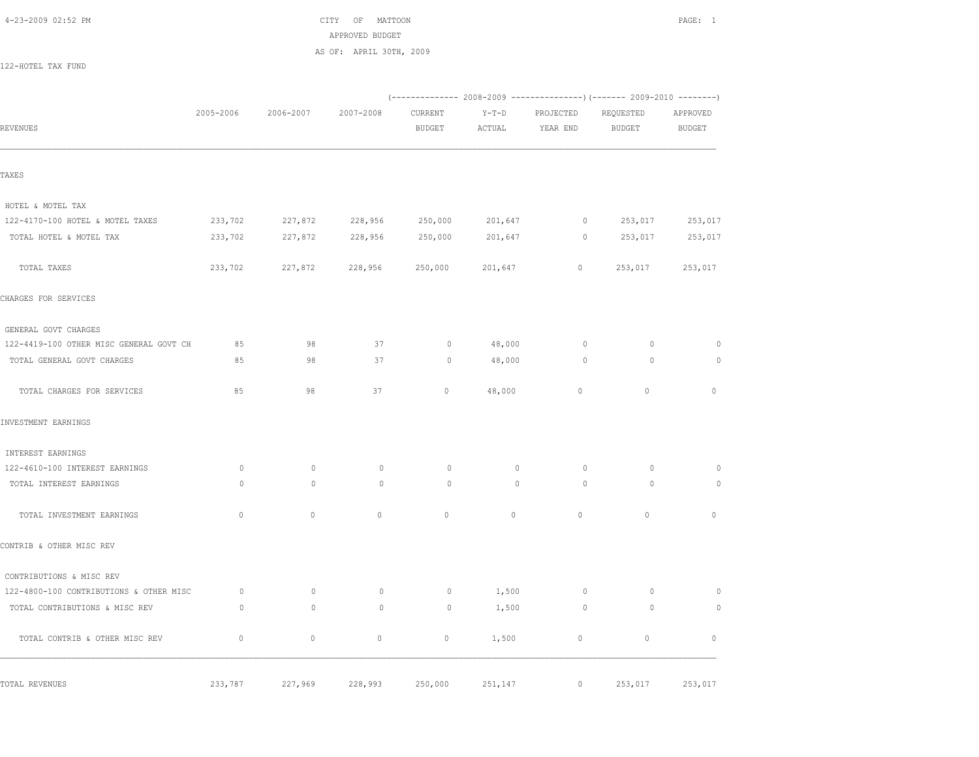4-23-2009 02:52 PM CITY OF MATTOON PAGE: 1 APPROVED BUDGET AS OF: APRIL 30TH, 2009

122-HOTEL TAX FUND

|                                                       |             |             |             |                   |                   |                       | (-------------- 2008-2009 ---------------) (------- 2009-2010 --------) |                    |
|-------------------------------------------------------|-------------|-------------|-------------|-------------------|-------------------|-----------------------|-------------------------------------------------------------------------|--------------------|
| REVENUES                                              | 2005-2006   | 2006-2007   | 2007-2008   | CURRENT<br>BUDGET | $Y-T-D$<br>ACTUAL | PROJECTED<br>YEAR END | REQUESTED<br><b>BUDGET</b>                                              | APPROVED<br>BUDGET |
| TAXES                                                 |             |             |             |                   |                   |                       |                                                                         |                    |
|                                                       |             |             |             |                   |                   |                       |                                                                         |                    |
| HOTEL & MOTEL TAX<br>122-4170-100 HOTEL & MOTEL TAXES | 233,702     | 227,872     | 228,956     | 250,000           | 201,647           | $\circ$               | 253,017                                                                 | 253,017            |
| TOTAL HOTEL & MOTEL TAX                               | 233,702     | 227,872     | 228,956     | 250,000           | 201,647           | $\circ$               | 253,017                                                                 | 253,017            |
| TOTAL TAXES                                           | 233,702     | 227,872     | 228,956     | 250,000           | 201,647           | $\circ$               | 253,017                                                                 | 253,017            |
| CHARGES FOR SERVICES                                  |             |             |             |                   |                   |                       |                                                                         |                    |
| GENERAL GOVT CHARGES                                  |             |             |             |                   |                   |                       |                                                                         |                    |
| 122-4419-100 OTHER MISC GENERAL GOVT CH               | 85          | 98          | 37          | $\circ$           | 48,000            | $\circ$               | $\mathbb O$                                                             | 0                  |
| TOTAL GENERAL GOVT CHARGES                            | 85          | 98          | 37          | $\circ$           | 48,000            | 0                     | $\mathbb O$                                                             | $\circ$            |
| TOTAL CHARGES FOR SERVICES                            | 85          | 98          | 37          | $\mathbf{0}$      | 48,000            | $\circ$               | $\mathbf{0}$                                                            | $\circ$            |
| INVESTMENT EARNINGS                                   |             |             |             |                   |                   |                       |                                                                         |                    |
| INTEREST EARNINGS                                     |             |             |             |                   |                   |                       |                                                                         |                    |
| 122-4610-100 INTEREST EARNINGS                        | $\circ$     | $\mathbb O$ | $\circ$     | $\circ$           | $\circ$           | $\circ$               | $\mathbb O$                                                             | $\circ$            |
| TOTAL INTEREST EARNINGS                               | $\Omega$    | $\mathbb O$ | $\mathbb O$ | $\circ$           | $\mathbb O$       | $\circ$               | $\Omega$                                                                | $\circ$            |
| TOTAL INVESTMENT EARNINGS                             | $\circ$     | $\circ$     | $\circ$     | $\mathbf{0}$      | $\circ$           | $\circ$               | $\mathbf{0}$                                                            | $\mathbf{0}$       |
| CONTRIB & OTHER MISC REV                              |             |             |             |                   |                   |                       |                                                                         |                    |
| CONTRIBUTIONS & MISC REV                              |             |             |             |                   |                   |                       |                                                                         |                    |
| 122-4800-100 CONTRIBUTIONS & OTHER MISC               | $\circ$     | $\mathbb O$ | $\circ$     | $\circ$           | 1,500             | $\circ$               | $\mathbb O$                                                             | $\circ$            |
| TOTAL CONTRIBUTIONS & MISC REV                        | $\circ$     | $\mathbb O$ | $\mathbb O$ | $\circ$           | 1,500             | 0                     | $\Omega$                                                                | $\circ$            |
| TOTAL CONTRIB & OTHER MISC REV                        | $\mathbb O$ | $\circ$     | $\circ$     | $\circ$           | 1,500             | $\circ$               | $\mathbf{0}$                                                            | $\mathbf{0}$       |
| TOTAL REVENUES                                        | 233,787     | 227,969     | 228,993     | 250,000           | 251,147           | $\circ$               | 253,017                                                                 | 253,017            |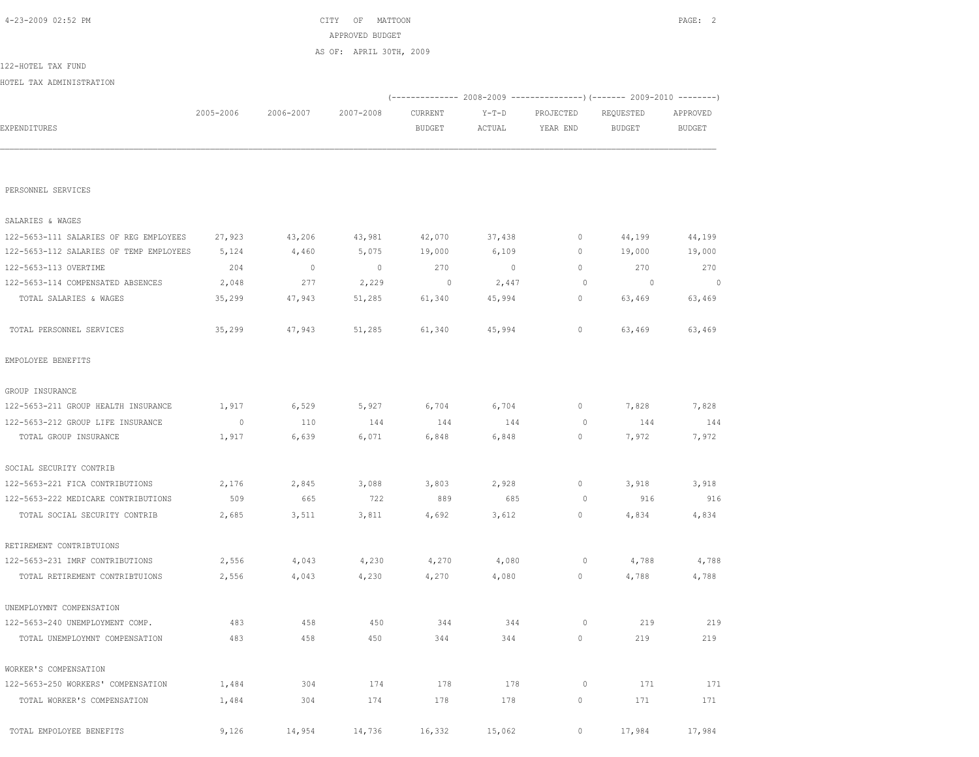| 4-23-2009 02:52 PM                      |                 |           | CITY<br>MATTOON<br>OF   |                          |                   |                       |                                                                       | PAGE: 2            |
|-----------------------------------------|-----------------|-----------|-------------------------|--------------------------|-------------------|-----------------------|-----------------------------------------------------------------------|--------------------|
|                                         | APPROVED BUDGET |           |                         |                          |                   |                       |                                                                       |                    |
|                                         |                 |           | AS OF: APRIL 30TH, 2009 |                          |                   |                       |                                                                       |                    |
| 122-HOTEL TAX FUND                      |                 |           |                         |                          |                   |                       |                                                                       |                    |
| HOTEL TAX ADMINISTRATION                |                 |           |                         |                          |                   |                       |                                                                       |                    |
|                                         |                 |           |                         |                          |                   |                       | (------------- 2008-2009 ---------------) (------- 2009-2010 -------) |                    |
| EXPENDITURES                            | 2005-2006       | 2006-2007 | 2007-2008               | CURRENT<br><b>BUDGET</b> | $Y-T-D$<br>ACTUAL | PROJECTED<br>YEAR END | REQUESTED<br><b>BUDGET</b>                                            | APPROVED<br>BUDGET |
|                                         |                 |           |                         |                          |                   |                       |                                                                       |                    |
|                                         |                 |           |                         |                          |                   |                       |                                                                       |                    |
|                                         |                 |           |                         |                          |                   |                       |                                                                       |                    |
| PERSONNEL SERVICES                      |                 |           |                         |                          |                   |                       |                                                                       |                    |
|                                         |                 |           |                         |                          |                   |                       |                                                                       |                    |
| SALARIES & WAGES                        |                 |           |                         |                          |                   |                       |                                                                       |                    |
| 122-5653-111 SALARIES OF REG EMPLOYEES  | 27,923          | 43,206    | 43,981                  | 42,070                   | 37,438            | 0                     | 44,199                                                                | 44,199             |
| 122-5653-112 SALARIES OF TEMP EMPLOYEES | 5,124           | 4,460     | 5,075                   | 19,000                   | 6,109             | $\mathbf{0}$          | 19,000                                                                | 19,000             |
| 122-5653-113 OVERTIME                   | 204             | $\circ$   | $\overline{0}$          | 270                      | $\circ$           | $\mathbf{0}$          | 270                                                                   | 270                |
| 122-5653-114 COMPENSATED ABSENCES       | 2,048           | 277       | 2,229                   | 0                        | 2,447             | $\circ$               | $\overline{0}$                                                        | $\overline{0}$     |
| TOTAL SALARIES & WAGES                  | 35,299          | 47,943    | 51,285                  | 61,340                   | 45,994            | 0                     | 63,469                                                                | 63,469             |
| TOTAL PERSONNEL SERVICES                | 35,299          | 47,943    | 51,285                  | 61,340                   | 45,994            | $\mathbf{0}$          | 63,469                                                                | 63,469             |
| EMPOLOYEE BENEFITS                      |                 |           |                         |                          |                   |                       |                                                                       |                    |
| GROUP INSURANCE                         |                 |           |                         |                          |                   |                       |                                                                       |                    |
| 122-5653-211 GROUP HEALTH INSURANCE     | 1,917           | 6,529     | 5,927                   | 6,704                    | 6,704             | 0                     | 7,828                                                                 | 7,828              |
| 122-5653-212 GROUP LIFE INSURANCE       | $\circ$         | 110       | 144                     | 144                      | 144               | $\circ$               | 144                                                                   | 144                |
| TOTAL GROUP INSURANCE                   | 1,917           | 6,639     | 6,071                   | 6,848                    | 6,848             | $\mathbf{0}$          | 7,972                                                                 | 7,972              |
| SOCIAL SECURITY CONTRIB                 |                 |           |                         |                          |                   |                       |                                                                       |                    |
| 122-5653-221 FICA CONTRIBUTIONS         | 2,176           | 2,845     | 3,088                   | 3,803                    | 2,928             | $\mathbf{0}$          | 3,918                                                                 | 3,918              |
| 122-5653-222 MEDICARE CONTRIBUTIONS     | 509             | 665       | 722                     | 889                      | 685               | 0                     | 916                                                                   | 916                |
| TOTAL SOCIAL SECURITY CONTRIB           | 2,685           | 3,511     | 3,811                   | 4,692                    | 3,612             | $\mathbf{0}$          | 4,834                                                                 | 4,834              |
| RETIREMENT CONTRIBTUIONS                |                 |           |                         |                          |                   |                       |                                                                       |                    |
| 122-5653-231 IMRF CONTRIBUTIONS         | 2,556           | 4,043     | 4,230                   | 4,270                    | 4,080             | 0                     | 4,788                                                                 | 4,788              |
| TOTAL RETIREMENT CONTRIBTUIONS          | 2,556           | 4,043     | 4,230                   | 4,270                    | 4,080             | $\circ$               | 4,788                                                                 | 4,788              |
| UNEMPLOYMNT COMPENSATION                |                 |           |                         |                          |                   |                       |                                                                       |                    |
| 122-5653-240 UNEMPLOYMENT COMP.         | 483             | 458       | 450                     | 344                      | 344               | $\circ$               | 219                                                                   | 219                |
| TOTAL UNEMPLOYMNT COMPENSATION          | 483             | 458       | 450                     | 344                      | 344               | 0                     | 219                                                                   | 219                |
| WORKER'S COMPENSATION                   |                 |           |                         |                          |                   |                       |                                                                       |                    |
| 122-5653-250 WORKERS' COMPENSATION      | 1,484           | 304       | 174                     | 178                      | 178               | $\circ$               | 171                                                                   | 171                |
| TOTAL WORKER'S COMPENSATION             | 1,484           | 304       | 174                     | 178                      | 178               | $\mathbb O$           | 171                                                                   | 171                |
| TOTAL EMPOLOYEE BENEFITS                | 9,126           | 14,954    | 14,736                  | 16,332                   | 15,062            | 0                     | 17,984                                                                | 17,984             |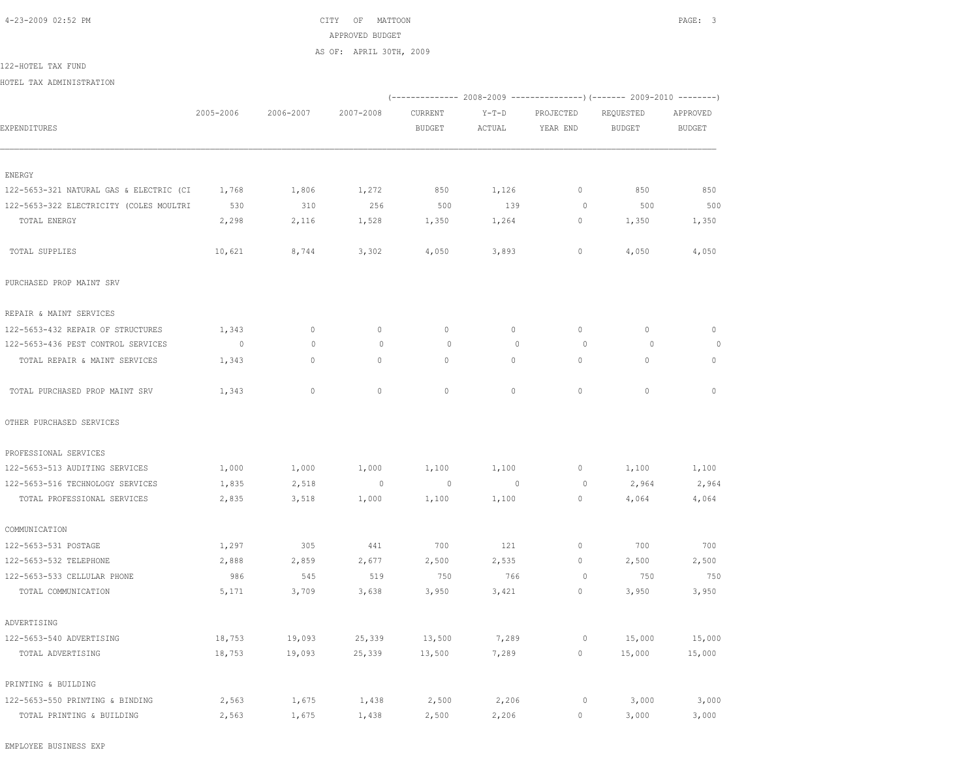4-23-2009 02:52 PM CITY OF MATTOON PAGE: 3 APPROVED BUDGET AS OF: APRIL 30TH, 2009

122-HOTEL TAX FUND

HOTEL TAX ADMINISTRATION

|                                         |                          |              |                |                          |                   |                       | (-------------- 2008-2009 ----------------) (------- 2009-2010 --------) |                           |
|-----------------------------------------|--------------------------|--------------|----------------|--------------------------|-------------------|-----------------------|--------------------------------------------------------------------------|---------------------------|
| EXPENDITURES                            | 2005-2006                | 2006-2007    | 2007-2008      | CURRENT<br><b>BUDGET</b> | $Y-T-D$<br>ACTUAL | PROJECTED<br>YEAR END | REQUESTED<br><b>BUDGET</b>                                               | APPROVED<br><b>BUDGET</b> |
|                                         |                          |              |                |                          |                   |                       |                                                                          |                           |
|                                         |                          |              |                |                          |                   |                       |                                                                          |                           |
| ENERGY                                  |                          |              |                |                          |                   |                       |                                                                          |                           |
| 122-5653-321 NATURAL GAS & ELECTRIC (CI | 1,768                    | 1,806        | 1,272          | 850                      | 1,126             | $\circ$               | 850                                                                      | 850                       |
| 122-5653-322 ELECTRICITY (COLES MOULTRI | 530                      | 310          | 256            | 500                      | 139               | $\circ$               | 500                                                                      | 500                       |
| TOTAL ENERGY                            | 2,298                    | 2,116        | 1,528          | 1,350                    | 1,264             | $\circ$               | 1,350                                                                    | 1,350                     |
| TOTAL SUPPLIES                          | 10,621                   | 8,744        | 3,302          | 4,050                    | 3,893             | $\circ$               | 4,050                                                                    | 4,050                     |
| PURCHASED PROP MAINT SRV                |                          |              |                |                          |                   |                       |                                                                          |                           |
| REPAIR & MAINT SERVICES                 |                          |              |                |                          |                   |                       |                                                                          |                           |
| 122-5653-432 REPAIR OF STRUCTURES       | 1,343                    | $\circ$      | $\mathbf{0}$   | $\mathbf{0}$             | $\circ$           | $\mathbf{0}$          | $\circ$                                                                  | $\Omega$                  |
| 122-5653-436 PEST CONTROL SERVICES      | $\overline{\phantom{0}}$ | $\mathbf{0}$ | $\circ$        | 0                        | $\mathbf{0}$      | 0                     | $\circ$                                                                  | $\circ$                   |
| TOTAL REPAIR & MAINT SERVICES           | 1,343                    | $\circ$      | $\circ$        | $\circ$                  | 0                 | $\mathbf{0}$          | $\circ$                                                                  | $\mathbf{0}$              |
| TOTAL PURCHASED PROP MAINT SRV          | 1,343                    | $\circ$      | $\mathbb O$    | $\mathbf{0}$             | $\circ$           | $\mathbf{0}$          | $\circ$                                                                  | $\mathbf{0}$              |
| OTHER PURCHASED SERVICES                |                          |              |                |                          |                   |                       |                                                                          |                           |
| PROFESSIONAL SERVICES                   |                          |              |                |                          |                   |                       |                                                                          |                           |
| 122-5653-513 AUDITING SERVICES          | 1,000                    | 1,000        | 1,000          | 1,100                    | 1,100             | 0                     | 1,100                                                                    | 1,100                     |
| 122-5653-516 TECHNOLOGY SERVICES        | 1,835                    | 2,518        | $\overline{0}$ | $\overline{0}$           | $\overline{0}$    | $\circ$               | 2,964                                                                    | 2,964                     |
| TOTAL PROFESSIONAL SERVICES             | 2,835                    | 3,518        | 1,000          | 1,100                    | 1,100             | $\circ$               | 4,064                                                                    | 4,064                     |
| COMMUNICATION                           |                          |              |                |                          |                   |                       |                                                                          |                           |
| 122-5653-531 POSTAGE                    | 1,297                    | 305          | 441            | 700                      | 121               | $\circ$               | 700                                                                      | 700                       |
| 122-5653-532 TELEPHONE                  | 2,888                    | 2,859        | 2,677          | 2,500                    | 2,535             | $\circ$               | 2,500                                                                    | 2,500                     |
| 122-5653-533 CELLULAR PHONE             | 986                      | 545          | 519            | 750                      | 766               | $\circ$               | 750                                                                      | 750                       |
| TOTAL COMMUNICATION                     | 5,171                    | 3,709        | 3,638          | 3,950                    | 3,421             | $\circ$               | 3,950                                                                    | 3,950                     |
| ADVERTISING                             |                          |              |                |                          |                   |                       |                                                                          |                           |
| 122-5653-540 ADVERTISING                | 18,753                   | 19,093       | 25,339         | 13,500                   | 7,289             | $\circ$               | 15,000                                                                   | 15,000                    |
| TOTAL ADVERTISING                       | 18,753                   | 19,093       | 25,339         | 13,500                   | 7,289             | $\circ$               | 15,000                                                                   | 15,000                    |
| PRINTING & BUILDING                     |                          |              |                |                          |                   |                       |                                                                          |                           |
| 122-5653-550 PRINTING & BINDING         | 2,563                    | 1,675        | 1,438          | 2,500                    | 2,206             | 0                     | 3,000                                                                    | 3,000                     |
| TOTAL PRINTING & BUILDING               | 2,563                    | 1,675        | 1,438          | 2,500                    | 2,206             | $\circ$               | 3,000                                                                    | 3,000                     |

EMPLOYEE BUSINESS EXP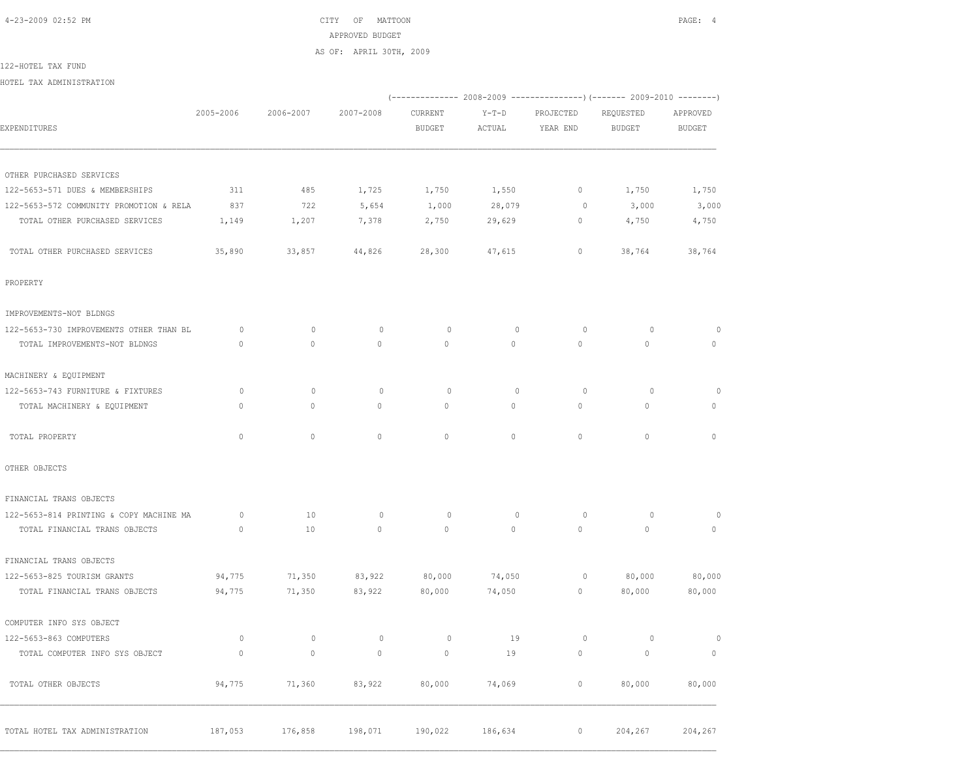4-23-2009 02:52 PM CITY OF MATTOON PAGE: 4 APPROVED BUDGET AS OF: APRIL 30TH, 2009

122-HOTEL TAX FUND

HOTEL TAX ADMINISTRATION

|                                         |              |              |              |               |             |              | (-------------- 2008-2009 ----------------) (------- 2009-2010 --------) |               |
|-----------------------------------------|--------------|--------------|--------------|---------------|-------------|--------------|--------------------------------------------------------------------------|---------------|
|                                         | 2005-2006    | 2006-2007    | 2007-2008    | CURRENT       | $Y-T-D$     | PROJECTED    | REQUESTED                                                                | APPROVED      |
| EXPENDITURES                            |              |              |              | <b>BUDGET</b> | ACTUAL      | YEAR END     | <b>BUDGET</b>                                                            | <b>BUDGET</b> |
| OTHER PURCHASED SERVICES                |              |              |              |               |             |              |                                                                          |               |
| 122-5653-571 DUES & MEMBERSHIPS         | 311          | 485          | 1,725        | 1,750         | 1,550       | $\circ$      | 1,750                                                                    | 1,750         |
| 122-5653-572 COMMUNITY PROMOTION & RELA | 837          | 722          | 5,654        | 1,000         | 28,079      | $\circ$      | 3,000                                                                    | 3,000         |
| TOTAL OTHER PURCHASED SERVICES          | 1,149        | 1,207        | 7,378        | 2,750         | 29,629      | 0            | 4,750                                                                    | 4,750         |
| TOTAL OTHER PURCHASED SERVICES          | 35,890       | 33,857       | 44,826       | 28,300        | 47,615      | $\mathbf{0}$ | 38,764                                                                   | 38,764        |
| PROPERTY                                |              |              |              |               |             |              |                                                                          |               |
| IMPROVEMENTS-NOT BLDNGS                 |              |              |              |               |             |              |                                                                          |               |
| 122-5653-730 IMPROVEMENTS OTHER THAN BL | $\circ$      | $\circ$      | $\circ$      | $\circ$       | $\mathbb O$ | $\circ$      | $\circ$                                                                  | $\circ$       |
| TOTAL IMPROVEMENTS-NOT BLDNGS           | $\Omega$     | $\Omega$     | $\Omega$     | $\Omega$      | $\Omega$    | $\Omega$     | $\Omega$                                                                 | $\Omega$      |
| MACHINERY & EQUIPMENT                   |              |              |              |               |             |              |                                                                          |               |
| 122-5653-743 FURNITURE & FIXTURES       | $\circ$      | $\circ$      | $\circ$      | $\circ$       | $\circ$     | $\circ$      | $\circ$                                                                  | $\circ$       |
| TOTAL MACHINERY & EQUIPMENT             | $\mathbf{0}$ | $\circ$      | $\mathbf{0}$ | $\circ$       | $\circ$     | $\circ$      | $\mathbf{0}$                                                             | $\circ$       |
| TOTAL PROPERTY                          | $\mathbf{0}$ | $\circ$      | $\circ$      | $\circ$       | $\circ$     | $\circ$      | $\circ$                                                                  | $\mathbf{0}$  |
| OTHER OBJECTS                           |              |              |              |               |             |              |                                                                          |               |
| FINANCIAL TRANS OBJECTS                 |              |              |              |               |             |              |                                                                          |               |
| 122-5653-814 PRINTING & COPY MACHINE MA | $\circ$      | 10           | $\circ$      | $\circ$       | $\mathbf 0$ | $\circ$      | $\circ$                                                                  | $\circ$       |
| TOTAL FINANCIAL TRANS OBJECTS           | $\mathbf{0}$ | 10           | $\mathbf{0}$ | $\circ$       | $\circ$     | $\circ$      | $\mathbf{0}$                                                             | $\circ$       |
| FINANCIAL TRANS OBJECTS                 |              |              |              |               |             |              |                                                                          |               |
| 122-5653-825 TOURISM GRANTS             | 94,775       | 71,350       | 83,922       | 80,000        | 74,050      | $\circ$      | 80,000                                                                   | 80,000        |
| TOTAL FINANCIAL TRANS OBJECTS           | 94,775       | 71,350       | 83,922       | 80,000        | 74,050      | $\circ$      | 80,000                                                                   | 80,000        |
| COMPUTER INFO SYS OBJECT                |              |              |              |               |             |              |                                                                          |               |
| 122-5653-863 COMPUTERS                  | $\circ$      | $\mathbf{0}$ | $\circ$      | $\mathbb O$   | 19          | $\circ$      | $\circ$                                                                  | $\circ$       |
| TOTAL COMPUTER INFO SYS OBJECT          | $\mathbf{0}$ | $\circ$      | $\mathbf{0}$ | $\mathbb O$   | 19          | $\circ$      | $\mathbf{0}$                                                             | $\circ$       |
| TOTAL OTHER OBJECTS                     | 94,775       | 71,360       | 83,922       | 80,000        | 74,069      | $\circ$      | 80,000                                                                   | 80,000        |
| TOTAL HOTEL TAX ADMINISTRATION          | 187,053      | 176,858      | 198,071      | 190,022       | 186,634     | $\circ$      | 204,267                                                                  | 204,267       |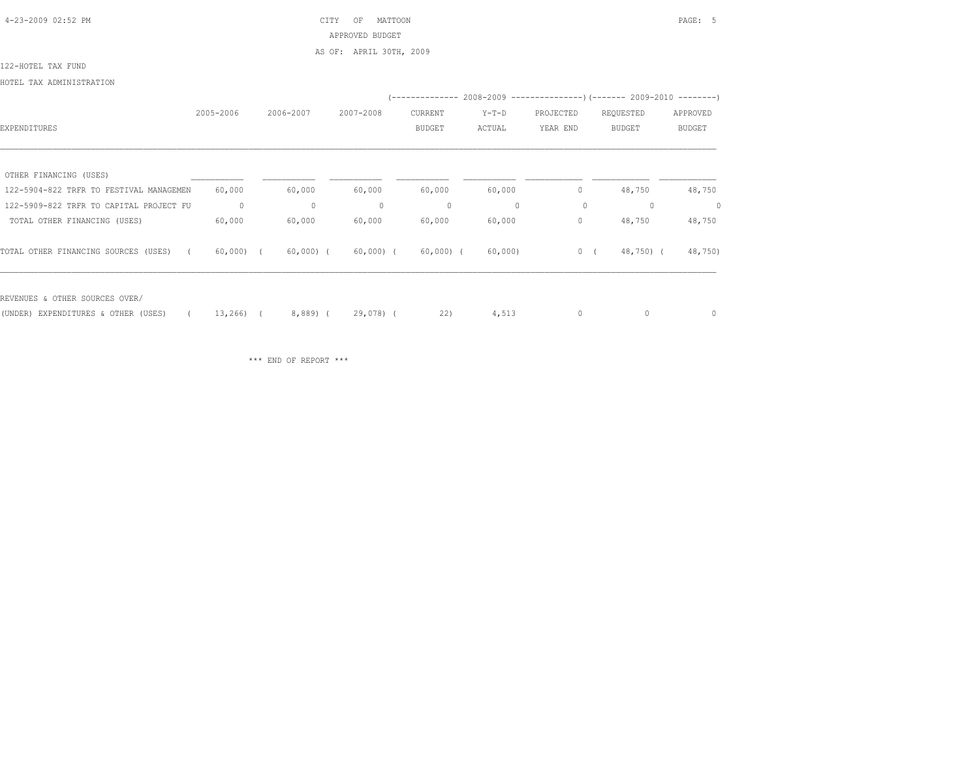4-23-2009 02:52 PM CITY OF MATTOON PAGE: 5 APPROVED BUDGET AS OF: APRIL 30TH, 2009

122-HOTEL TAX FUND

HOTEL TAX ADMINISTRATION

|                                         |             |             |              | -------------- |              |           | $2008 - 2009$ ----------------) (------- 2009-2010 --------) |          |
|-----------------------------------------|-------------|-------------|--------------|----------------|--------------|-----------|--------------------------------------------------------------|----------|
|                                         | 2005-2006   | 2006-2007   | 2007-2008    | CURRENT        | $Y-T-D$      | PROJECTED | REQUESTED                                                    | APPROVED |
| EXPENDITURES                            |             |             |              | <b>BUDGET</b>  | ACTUAL       | YEAR END  | <b>BUDGET</b>                                                | BUDGET   |
|                                         |             |             |              |                |              |           |                                                              |          |
| OTHER FINANCING (USES)                  |             |             |              |                |              |           |                                                              |          |
| 122-5904-822 TRFR TO FESTIVAL MANAGEMEN | 60,000      | 60,000      | 60,000       | 60,000         | 60,000       | 0         | 48,750                                                       | 48,750   |
| 122-5909-822 TRFR TO CAPITAL PROJECT FU | $\circ$     | $\circ$     | $\mathbf{0}$ | 0              | $\mathbf{0}$ | 0         | 0                                                            | 0        |
| TOTAL OTHER FINANCING (USES)            | 60,000      | 60,000      | 60,000       | 60,000         | 60,000       | 0         | 48,750                                                       | 48,750   |
| TOTAL OTHER FINANCING SOURCES (USES)    | $60,000)$ ( | $60,000)$ ( | $60,000)$ (  | $60,000)$ (    | 60,000       | 0(        | 48,750) (                                                    | 48,750)  |
| REVENUES & OTHER SOURCES OVER/          |             |             |              |                |              |           |                                                              |          |
| (UNDER) EXPENDITURES & OTHER (USES)     | 13,266)     | $8,889$ (   | $29,078$ (   | 22)            | 4,513        | 0         | 0                                                            | 0        |

\*\*\* END OF REPORT \*\*\*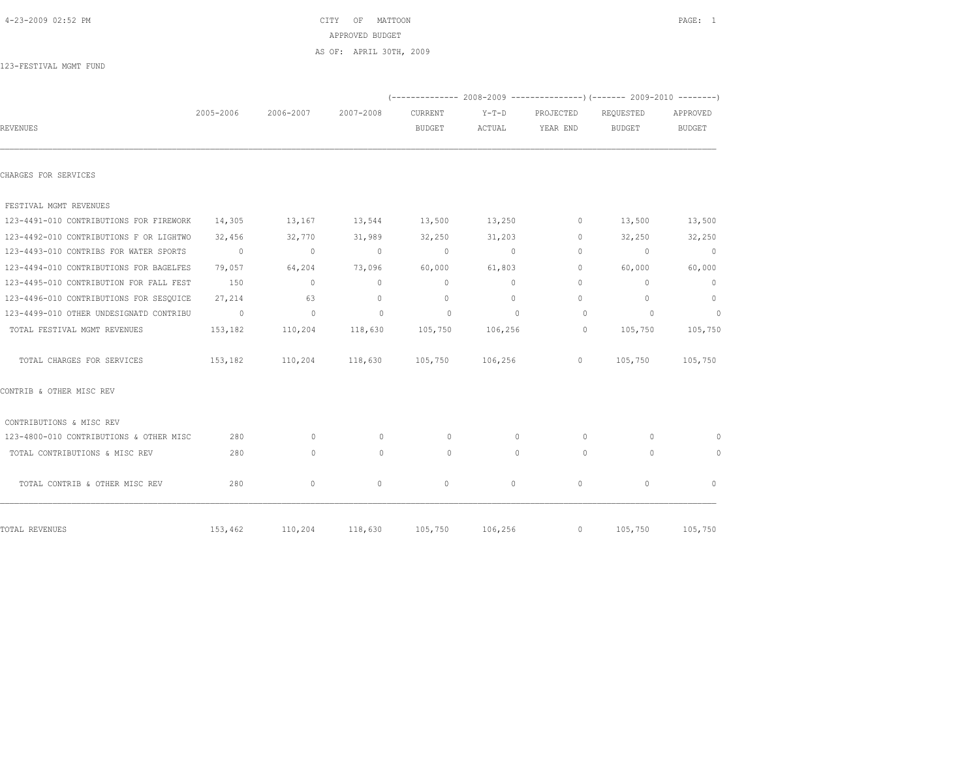|                                         |           |                                              | APPROVED BUDGET         |                          |                                                                          |                       |                            |                    |
|-----------------------------------------|-----------|----------------------------------------------|-------------------------|--------------------------|--------------------------------------------------------------------------|-----------------------|----------------------------|--------------------|
|                                         |           |                                              | AS OF: APRIL 30TH, 2009 |                          |                                                                          |                       |                            |                    |
| 123-FESTIVAL MGMT FUND                  |           |                                              |                         |                          |                                                                          |                       |                            |                    |
|                                         |           |                                              |                         |                          | (-------------- 2008-2009 ----------------) (------- 2009-2010 --------) |                       |                            |                    |
| REVENUES                                | 2005-2006 | 2006-2007 2007-2008                          |                         | CURRENT<br><b>BUDGET</b> | $Y-T-D$<br>ACTUAL                                                        | PROJECTED<br>YEAR END | REQUESTED<br><b>BUDGET</b> | APPROVED<br>BUDGET |
|                                         |           |                                              |                         |                          |                                                                          |                       |                            |                    |
| CHARGES FOR SERVICES                    |           |                                              |                         |                          |                                                                          |                       |                            |                    |
| FESTIVAL MGMT REVENUES                  |           |                                              |                         |                          |                                                                          |                       |                            |                    |
| 123-4491-010 CONTRIBUTIONS FOR FIREWORK |           | $14,305$ $13,167$ $13,544$ $13,500$ $13,250$ |                         |                          |                                                                          | 0                     | 13,500                     | 13,500             |
| 123-4492-010 CONTRIBUTIONS F OR LIGHTWO | 32,456    | 32,770                                       | 31,989                  | 32,250                   | 31,203                                                                   | $\circ$               | 32,250                     | 32,250             |
| 123-4493-010 CONTRIBS FOR WATER SPORTS  | $\sim$ 0  | $\sim$ 0                                     | $\sim$ 0                | $\circ$                  | $\sim$ 0                                                                 | 0                     | $\sim$ 0                   | $\overline{0}$     |
| 123-4494-010 CONTRIBUTIONS FOR BAGELFES | 79,057    | 64,204                                       | 73,096                  | 60,000                   | 61,803                                                                   | 0                     | 60,000                     | 60,000             |
| 123-4495-010 CONTRIBUTION FOR FALL FEST | 150       | $\overline{0}$                               | $\circ$                 | $\circ$                  | $\circ$                                                                  | $\circ$               | $\mathbf{0}$               | $\overline{0}$     |
| 123-4496-010 CONTRIBUTIONS FOR SESOUICE | 27,214    | 63                                           | $\sim$ 0                | $\overline{0}$           | $\circ$                                                                  | 0                     | $\mathbf{0}$               | $\circ$            |
| 123-4499-010 OTHER UNDESIGNATD CONTRIBU | $\sim$ 0  | $\sim$ 0                                     | $\circ$                 | $\circ$                  | $\overline{0}$                                                           | $\circ$               | $\overline{0}$             | $\overline{0}$     |
| TOTAL FESTIVAL MGMT REVENUES            |           | 153,182 110,204 118,630                      |                         | 105,750                  | 106,256                                                                  | $\circ$               | 105,750                    | 105,750            |
| TOTAL CHARGES FOR SERVICES              | 153,182   | 110,204 118,630 105,750 106,256              |                         |                          |                                                                          | $\overline{0}$        |                            | 105,750 105,750    |
| CONTRIB & OTHER MISC REV                |           |                                              |                         |                          |                                                                          |                       |                            |                    |
| CONTRIBUTIONS & MISC REV                |           |                                              |                         |                          |                                                                          |                       |                            |                    |

 123-4800-010 CONTRIBUTIONS & OTHER MISC 280 0 0 0 0 0 0 0 TOTAL CONTRIBUTIONS & MISC REV 280 0 0 0 0 0 0 0

 $\begin{matrix} \text{TOTAL COHTR IB $\&$ OTHER MISC REV} \end{matrix} \qquad \qquad \begin{matrix} \text{280} & \hspace{1.5cm} 0 & \hspace{1.5cm} 0 & \hspace{1.5cm} 0 & \hspace{1.5cm} 0 & \hspace{1.5cm} 0 & \hspace{1.5cm} 0 & \hspace{1.5cm} 0 & \hspace{1.5cm} 0 & \hspace{1.5cm} 0 & \hspace{1.5cm} 0 & \hspace{1.5cm} 0 & \hspace{1.5cm} 0 & \hspace{1.5cm} 0 & \hspace{1.5cm} 0 & \hspace{$ 

TOTAL REVENUES 153,462 110,204 118,630 105,750 106,256 0 105,750 105,750

4-23-2009 02:52 PM CITY OF MATTOON PAGE: 1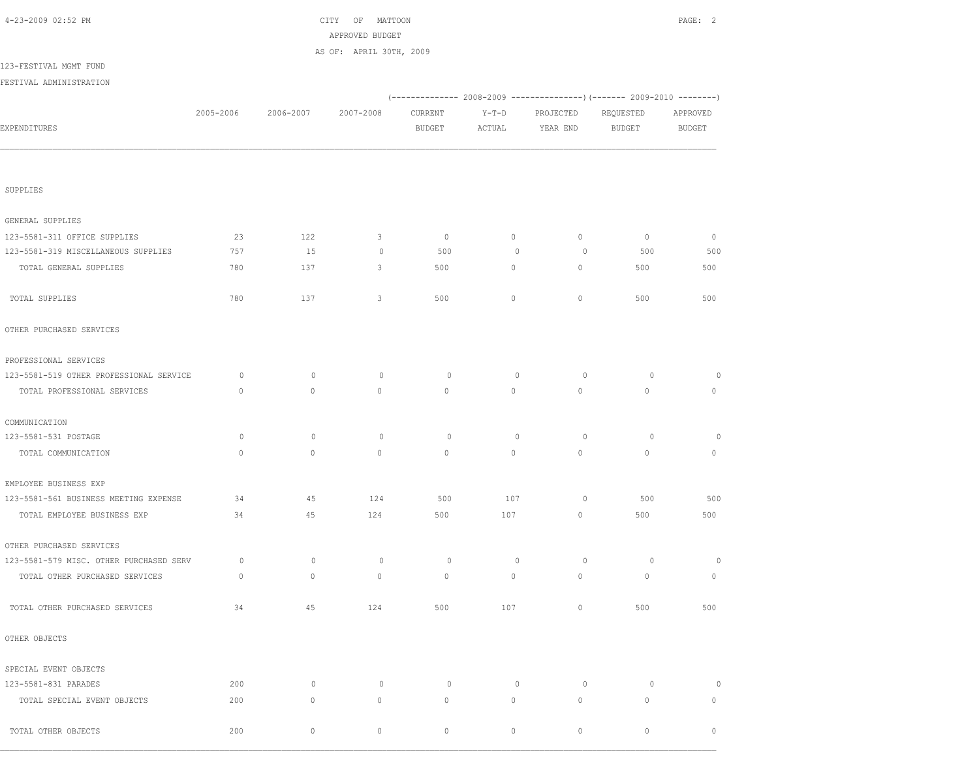| 4-23-2009 02:52 PM                      |              | CITY OF MATTOON<br>APPROVED BUDGET |                         |               |             |             |                                                                          |             |  |
|-----------------------------------------|--------------|------------------------------------|-------------------------|---------------|-------------|-------------|--------------------------------------------------------------------------|-------------|--|
|                                         |              |                                    | AS OF: APRIL 30TH, 2009 |               |             |             |                                                                          |             |  |
| 123-FESTIVAL MGMT FUND                  |              |                                    |                         |               |             |             |                                                                          |             |  |
| FESTIVAL ADMINISTRATION                 |              |                                    |                         |               |             |             |                                                                          |             |  |
|                                         |              |                                    |                         |               |             |             | (-------------- 2008-2009 ----------------) (------- 2009-2010 --------) |             |  |
|                                         | 2005-2006    | 2006-2007                          | 2007-2008               | CURRENT       | $Y-T-D$     | PROJECTED   | REQUESTED                                                                | APPROVED    |  |
| EXPENDITURES                            |              |                                    |                         | <b>BUDGET</b> | ACTUAL      | YEAR END    | BUDGET                                                                   | BUDGET      |  |
|                                         |              |                                    |                         |               |             |             |                                                                          |             |  |
| SUPPLIES                                |              |                                    |                         |               |             |             |                                                                          |             |  |
| GENERAL SUPPLIES                        |              |                                    |                         |               |             |             |                                                                          |             |  |
| 123-5581-311 OFFICE SUPPLIES            | 23           | 122                                | 3                       | $\circ$       | $\circ$     | 0           | $\mathbb O$                                                              | $\mathbb O$ |  |
| 123-5581-319 MISCELLANEOUS SUPPLIES     | 757          | 15                                 | $\circ$                 | 500           | $\mathbf 0$ | $\circ$     | 500                                                                      | 500         |  |
| TOTAL GENERAL SUPPLIES                  | 780          | 137                                | 3                       | 500           | $\circ$     | 0           | 500                                                                      | 500         |  |
| TOTAL SUPPLIES                          | 780          | 137                                | 3                       | 500           | $\circ$     | 0           | 500                                                                      | 500         |  |
| OTHER PURCHASED SERVICES                |              |                                    |                         |               |             |             |                                                                          |             |  |
| PROFESSIONAL SERVICES                   |              |                                    |                         |               |             |             |                                                                          |             |  |
| 123-5581-519 OTHER PROFESSIONAL SERVICE | 0            | $\circ$                            | $\circ$                 | $\circ$       | $\circ$     | $\circ$     | $\circ$                                                                  | 0           |  |
| TOTAL PROFESSIONAL SERVICES             | $\mathbf{0}$ | $\mathbf{0}$                       | $\mathbf{0}$            | 0             | $\circ$     | 0           | $\circ$                                                                  | 0           |  |
| COMMUNICATION                           |              |                                    |                         |               |             |             |                                                                          |             |  |
| 123-5581-531 POSTAGE                    | 0            | $\circ$                            | $\circ$                 | 0             | $\circ$     | $\circ$     | 0                                                                        | 0           |  |
| TOTAL COMMUNICATION                     | $\circ$      | $\mathbb O$                        | $\circ$                 | 0             | $\circ$     | $\mathbb O$ | $\circ$                                                                  | $\circ$     |  |
| EMPLOYEE BUSINESS EXP                   |              |                                    |                         |               |             |             |                                                                          |             |  |
| 123-5581-561 BUSINESS MEETING EXPENSE   | 34           | 45                                 | 124                     | 500           | 107         | 0           | 500                                                                      | 500         |  |
| TOTAL EMPLOYEE BUSINESS EXP             | 34           | 45                                 | 124                     | 500           | 107         | $\circ$     | 500                                                                      | 500         |  |
| OTHER PURCHASED SERVICES                |              |                                    |                         |               |             |             |                                                                          |             |  |
| 123-5581-579 MISC. OTHER PURCHASED SERV | 0            | $\circ$                            | $\circ$                 | $\circ$       | $\circ$     | 0           | $\circ$                                                                  | $\circ$     |  |
| TOTAL OTHER PURCHASED SERVICES          | $\mathbb O$  | $\mathbb O$                        | $\mathbb O$             | $\mathbb O$   | $\circ$     | $\mathbb O$ | $\mathbb O$                                                              | $\circ$     |  |
| TOTAL OTHER PURCHASED SERVICES          | 34           | 45                                 | 124                     | 500           | 107         | $\mathbb O$ | 500                                                                      | 500         |  |
| OTHER OBJECTS                           |              |                                    |                         |               |             |             |                                                                          |             |  |
| SPECIAL EVENT OBJECTS                   |              |                                    |                         |               |             |             |                                                                          |             |  |
| 123-5581-831 PARADES                    | 200          | $\circ$                            | $\circ$                 | $\circ$       | $\circ$     | $\circ$     | 0                                                                        | $\circ$     |  |
| TOTAL SPECIAL EVENT OBJECTS             | 200          | $\mathbb O$                        | $\mathbb O$             | $\circ$       | $\circ$     | $\mathbb O$ | $\mathbb O$                                                              | $\circ$     |  |
| TOTAL OTHER OBJECTS                     | 200          | $\mathbb O$                        | 0                       | 0             | 0           | 0           | $\circ$                                                                  | $\circ$     |  |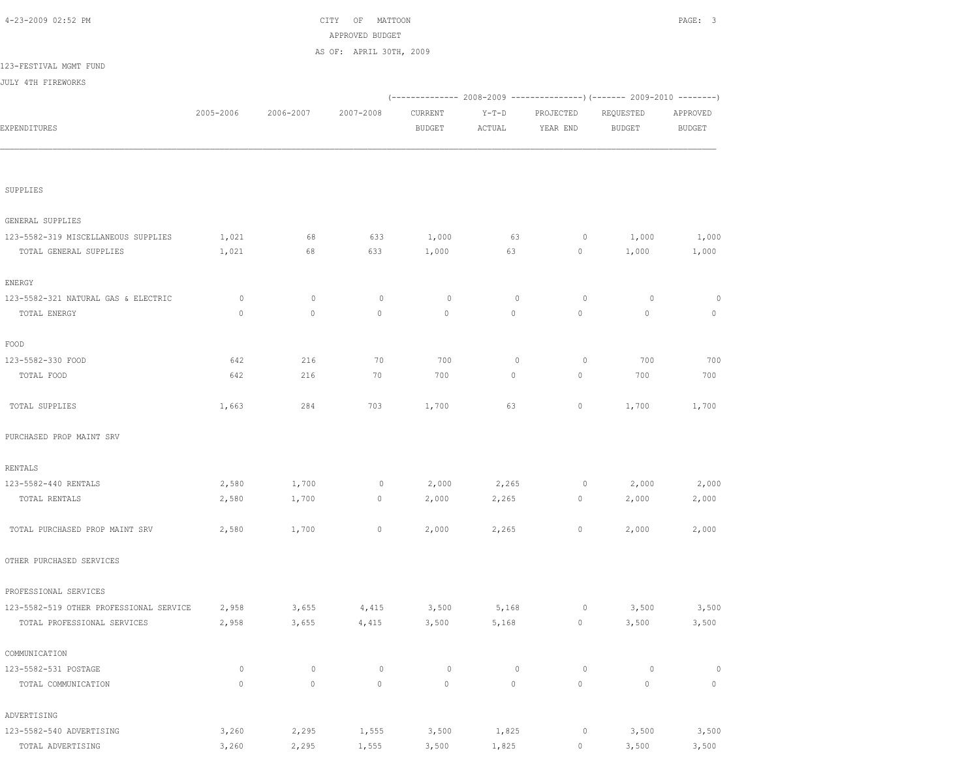| 4-23-2009 02:52 PM                      |           |             | CITY OF MATTOON         |               |         |                     |                                                                          | PAGE: 3                   |
|-----------------------------------------|-----------|-------------|-------------------------|---------------|---------|---------------------|--------------------------------------------------------------------------|---------------------------|
|                                         |           |             | APPROVED BUDGET         |               |         |                     |                                                                          |                           |
|                                         |           |             | AS OF: APRIL 30TH, 2009 |               |         |                     |                                                                          |                           |
| 123-FESTIVAL MGMT FUND                  |           |             |                         |               |         |                     |                                                                          |                           |
| JULY 4TH FIREWORKS                      |           |             |                         |               |         |                     |                                                                          |                           |
|                                         |           |             |                         |               |         |                     | (-------------- 2008-2009 ----------------) (------- 2009-2010 --------) |                           |
|                                         | 2005-2006 | 2006-2007   | 2007-2008               | CURRENT       | $Y-T-D$ | PROJECTED           | REQUESTED                                                                | APPROVED<br><b>BUDGET</b> |
| EXPENDITURES                            |           |             |                         | <b>BUDGET</b> | ACTUAL  | YEAR END            | BUDGET                                                                   |                           |
| SUPPLIES                                |           |             |                         |               |         |                     |                                                                          |                           |
|                                         |           |             |                         |               |         |                     |                                                                          |                           |
| GENERAL SUPPLIES                        |           |             |                         |               |         |                     |                                                                          |                           |
| 123-5582-319 MISCELLANEOUS SUPPLIES     | 1,021     | 68          | 633                     | 1,000         | 63      | $\circ$             | 1,000                                                                    | 1,000                     |
| TOTAL GENERAL SUPPLIES                  | 1,021     | 68          | 633                     | 1,000         | 63      | $\overline{0}$      | 1,000                                                                    | 1,000                     |
| ENERGY                                  |           |             |                         |               |         |                     |                                                                          |                           |
| 123-5582-321 NATURAL GAS & ELECTRIC     | 0         | $\circ$     | $\circ$                 | $\circ$       | $\circ$ | $\circ$             | $\circ$                                                                  | $\circ$                   |
| TOTAL ENERGY                            | $\circ$   | $\mathbb O$ | $\circ$                 | $\circ$       | $\circ$ | $\circ$             | $\mathbb O$                                                              | $\mathbb O$               |
| FOOD                                    |           |             |                         |               |         |                     |                                                                          |                           |
| 123-5582-330 FOOD                       | 642       | 216         | 70                      | 700           | $\circ$ | $\circ$             | 700                                                                      | 700                       |
| TOTAL FOOD                              | 642       | 216         | 70                      | 700           | $\circ$ | 0                   | 700                                                                      | 700                       |
| TOTAL SUPPLIES                          | 1,663     | 284         | 703                     | 1,700         | 63      | 0                   | 1,700                                                                    | 1,700                     |
| PURCHASED PROP MAINT SRV                |           |             |                         |               |         |                     |                                                                          |                           |
| RENTALS                                 |           |             |                         |               |         |                     |                                                                          |                           |
| 123-5582-440 RENTALS                    | 2,580     | 1,700       | $\circ$                 | 2,000         | 2,265   | $\circ$             | 2,000                                                                    | 2,000                     |
| TOTAL RENTALS                           | 2,580     | 1,700       | $\circ$                 | 2,000         | 2,265   | 0                   | 2,000                                                                    | 2,000                     |
| TOTAL PURCHASED PROP MAINT SRV          | 2,580     | 1,700       | $\circ$                 | 2,000         | 2,265   | $\circ$             | 2,000                                                                    | 2,000                     |
| OTHER PURCHASED SERVICES                |           |             |                         |               |         |                     |                                                                          |                           |
| PROFESSIONAL SERVICES                   |           |             |                         |               |         |                     |                                                                          |                           |
| 123-5582-519 OTHER PROFESSIONAL SERVICE | 2,958     | 3,655       | 4,415                   | 3,500         | 5,168   | 0                   | 3,500                                                                    | 3,500                     |
| TOTAL PROFESSIONAL SERVICES             | 2,958     | 3,655       | 4,415                   | 3,500         | 5,168   | $\mathsf{O}\xspace$ | 3,500                                                                    | 3,500                     |
| COMMUNICATION                           |           |             |                         |               |         |                     |                                                                          |                           |
| 123-5582-531 POSTAGE                    | $\circ$   | $\mathbb O$ | $\mathbb O$             | $\circ$       | $\circ$ | $\circ$             | $\circ$                                                                  | $\circ$                   |
| TOTAL COMMUNICATION                     | $\circ$   | $\mathbb O$ | $\mathbb O$             | $\mathbb O$   | $\circ$ | $\mathbb O$         | $\mathbb O$                                                              | $\mathbb O$               |
| ADVERTISING                             |           |             |                         |               |         |                     |                                                                          |                           |
| 123-5582-540 ADVERTISING                | 3,260     | 2,295       | 1,555                   | 3,500         | 1,825   | $\circ$             | 3,500                                                                    | 3,500                     |
| TOTAL ADVERTISING                       | 3,260     | 2,295       | 1,555                   | 3,500         | 1,825   | 0                   | 3,500                                                                    | 3,500                     |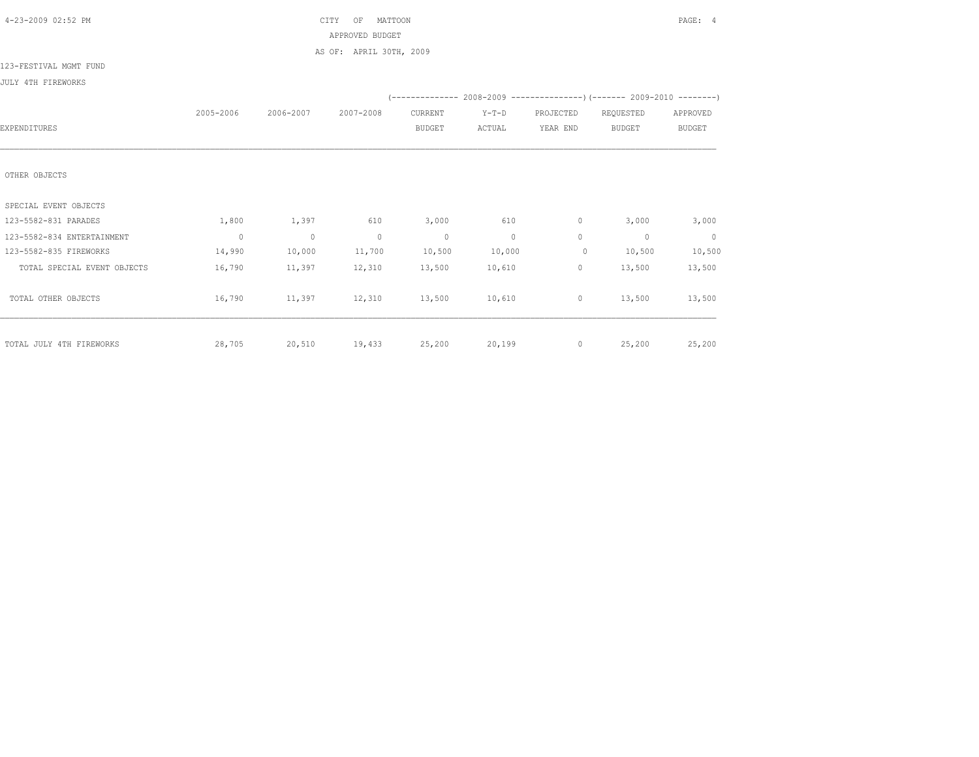| 4-23-2009 02:52 PM          |                |                | MATTOON<br>CITY<br>OF   |                |          |                |                                                                          | PAGE: 4       |
|-----------------------------|----------------|----------------|-------------------------|----------------|----------|----------------|--------------------------------------------------------------------------|---------------|
|                             |                |                | APPROVED BUDGET         |                |          |                |                                                                          |               |
|                             |                |                | AS OF: APRIL 30TH, 2009 |                |          |                |                                                                          |               |
| 123-FESTIVAL MGMT FUND      |                |                |                         |                |          |                |                                                                          |               |
| JULY 4TH FIREWORKS          |                |                |                         |                |          |                |                                                                          |               |
|                             |                |                |                         |                |          |                | (-------------- 2008-2009 ----------------) (------- 2009-2010 --------) |               |
|                             | 2005-2006      | 2006-2007      | 2007-2008               | CURRENT        | $Y-T-D$  | PROJECTED      | REQUESTED                                                                | APPROVED      |
| EXPENDITURES                |                |                |                         | <b>BUDGET</b>  | ACTUAL   | YEAR END       | <b>BUDGET</b>                                                            | <b>BUDGET</b> |
|                             |                |                |                         |                |          |                |                                                                          |               |
|                             |                |                |                         |                |          |                |                                                                          |               |
| OTHER OBJECTS               |                |                |                         |                |          |                |                                                                          |               |
| SPECIAL EVENT OBJECTS       |                |                |                         |                |          |                |                                                                          |               |
| 123-5582-831 PARADES        | 1,800          | 1,397          | 610                     | 3,000          | 610      | $\circ$        | 3,000                                                                    | 3,000         |
| 123-5582-834 ENTERTAINMENT  | $\overline{0}$ | $\overline{0}$ | $\sim$ 0                | $\overline{0}$ | $\sim$ 0 | $\circ$        | $\mathbf{0}$                                                             | $\sim$ 0      |
| 123-5582-835 FIREWORKS      | 14,990         | 10,000         | 11,700                  | 10,500         | 10,000   | $\circ$        | 10,500                                                                   | 10,500        |
|                             | 16,790         | 11,397         | 12,310                  | 13,500         | 10,610   | $\circ$        | 13,500                                                                   | 13,500        |
| TOTAL SPECIAL EVENT OBJECTS |                |                |                         |                |          |                |                                                                          |               |
| TOTAL OTHER OBJECTS         | 16,790         | 11,397         | 12,310                  | 13,500         | 10,610   | $\overline{0}$ | 13,500                                                                   | 13,500        |
|                             |                |                |                         |                |          |                |                                                                          |               |
|                             |                |                |                         |                |          |                |                                                                          |               |
| TOTAL JULY 4TH FIREWORKS    | 28,705         |                | 20,510 19,433           | 25,200         | 20,199   | $\overline{0}$ | 25,200                                                                   | 25,200        |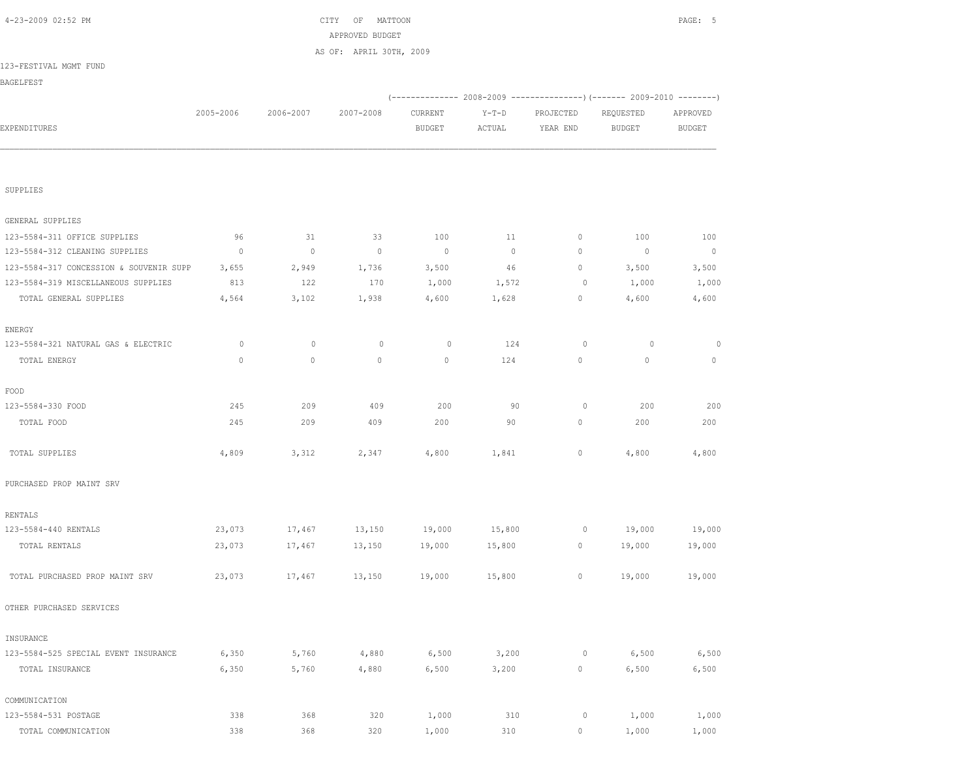| 123-FESTIVAL MGMT FUND                  |           |           |                |                |         |             |                                                                        |               |
|-----------------------------------------|-----------|-----------|----------------|----------------|---------|-------------|------------------------------------------------------------------------|---------------|
| BAGELFEST                               |           |           |                |                |         |             |                                                                        |               |
|                                         |           |           |                |                |         |             | (-------------- 2008-2009 ---------------) (------ 2009-2010 --------) |               |
|                                         | 2005-2006 | 2006-2007 | 2007-2008      | CURRENT        | $Y-T-D$ | PROJECTED   | REQUESTED                                                              | APPROVED      |
| EXPENDITURES                            |           |           |                | <b>BUDGET</b>  | ACTUAL  | YEAR END    | <b>BUDGET</b>                                                          | <b>BUDGET</b> |
|                                         |           |           |                |                |         |             |                                                                        |               |
| SUPPLIES                                |           |           |                |                |         |             |                                                                        |               |
| GENERAL SUPPLIES                        |           |           |                |                |         |             |                                                                        |               |
| 123-5584-311 OFFICE SUPPLIES            | 96        | 31        | 33             | 100            | 11      | $\circ$     | 100                                                                    | 100           |
| 123-5584-312 CLEANING SUPPLIES          | $\circ$   | $\circ$   | $\overline{0}$ | $\overline{0}$ | $\circ$ | $\circ$     | $\circ$                                                                | $\sim$ 0      |
| 123-5584-317 CONCESSION & SOUVENIR SUPP | 3,655     | 2,949     | 1,736          | 3,500          | 46      | $\circ$     | 3,500                                                                  | 3,500         |
| 123-5584-319 MISCELLANEOUS SUPPLIES     | 813       | 122       | 170            | 1,000          | 1,572   | 0           | 1,000                                                                  | 1,000         |
| TOTAL GENERAL SUPPLIES                  | 4,564     | 3,102     | 1,938          | 4,600          | 1,628   | $\circ$     | 4,600                                                                  | 4,600         |
| ENERGY                                  |           |           |                |                |         |             |                                                                        |               |
| 123-5584-321 NATURAL GAS & ELECTRIC     | $\circ$   | 0         | $\circ$        | $\circ$        | 124     | $\circ$     | $\circ$                                                                | 0             |
| TOTAL ENERGY                            | $\circ$   | $\circ$   | $\circ$        | $\mathbf 0$    | 124     | $\circ$     | $\circ$                                                                | $\circ$       |
| FOOD                                    |           |           |                |                |         |             |                                                                        |               |
| 123-5584-330 FOOD                       | 245       | 209       | 409            | 200            | 90      | $\circ$     | 200                                                                    | 200           |
| TOTAL FOOD                              | 245       | 209       | 409            | 200            | 90      | $\circ$     | 200                                                                    | 200           |
| TOTAL SUPPLIES                          | 4,809     | 3,312     | 2,347          | 4,800          | 1,841   | $\circ$     | 4,800                                                                  | 4,800         |
| PURCHASED PROP MAINT SRV                |           |           |                |                |         |             |                                                                        |               |
| RENTALS                                 |           |           |                |                |         |             |                                                                        |               |
| 123-5584-440 RENTALS                    | 23,073    | 17,467    | 13,150         | 19,000         | 15,800  | $\circ$     | 19,000                                                                 | 19,000        |
| TOTAL RENTALS                           | 23,073    | 17,467    | 13,150         | 19,000         | 15,800  | $\circ$     | 19,000                                                                 | 19,000        |
| TOTAL PURCHASED PROP MAINT SRV          | 23,073    | 17,467    | 13,150         | 19,000         | 15,800  | $\circ$     | 19,000                                                                 | 19,000        |
| OTHER PURCHASED SERVICES                |           |           |                |                |         |             |                                                                        |               |
| INSURANCE                               |           |           |                |                |         |             |                                                                        |               |
| 123-5584-525 SPECIAL EVENT INSURANCE    | 6,350     | 5,760     | 4,880          | 6,500          | 3,200   | 0           | 6,500                                                                  | 6,500         |
| TOTAL INSURANCE                         | 6,350     | 5,760     | 4,880          | 6,500          | 3,200   | $\mathbb O$ | 6,500                                                                  | 6,500         |
| COMMUNICATION                           |           |           |                |                |         |             |                                                                        |               |
| 123-5584-531 POSTAGE                    | 338       | 368       | 320            | 1,000          | 310     | 0           | 1,000                                                                  | 1,000         |
| TOTAL COMMUNICATION                     | 338       | 368       | 320            | 1,000          | 310     | $\circ$     | 1,000                                                                  | 1,000         |

 4-23-2009 02:52 PM CITY OF MATTOON PAGE: 5 APPROVED BUDGET AS OF: APRIL 30TH, 2009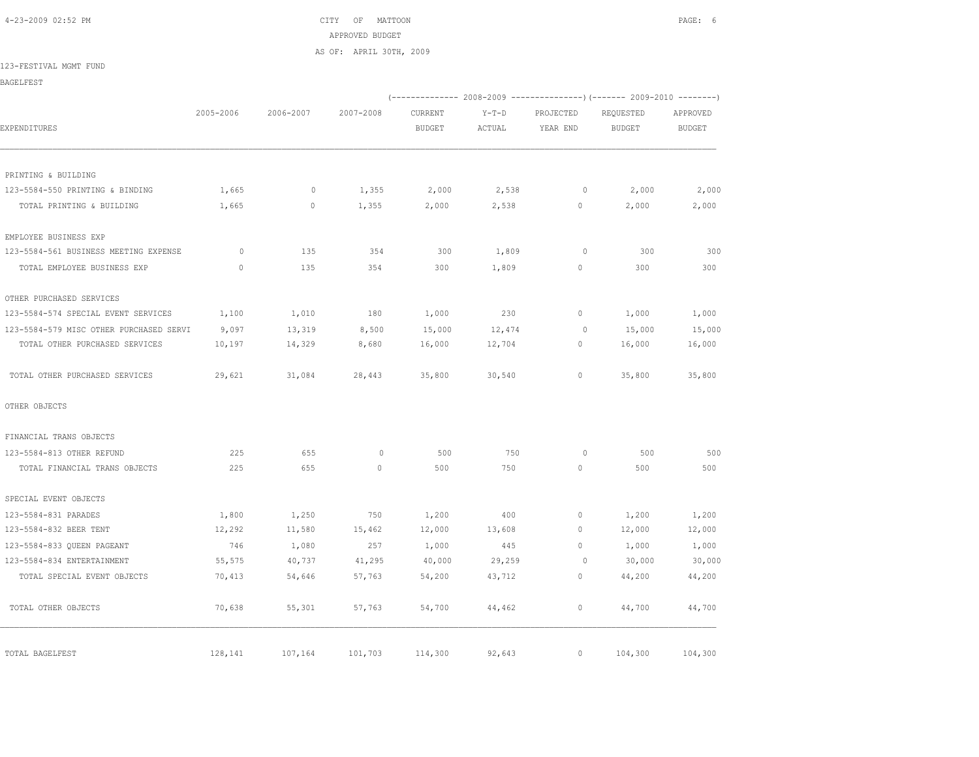4-23-2009 02:52 PM CITY OF MATTOON PAGE: 6 APPROVED BUDGET AS OF: APRIL 30TH, 2009

123-FESTIVAL MGMT FUND

BAGELFEST

|                                         |              |           |           |               |        |                | (-------------- 2008-2009 ----------------) (------- 2009-2010 --------) |               |
|-----------------------------------------|--------------|-----------|-----------|---------------|--------|----------------|--------------------------------------------------------------------------|---------------|
|                                         | 2005-2006    | 2006-2007 | 2007-2008 | CURRENT       | Y-T-D  | PROJECTED      | REQUESTED                                                                | APPROVED      |
| EXPENDITURES                            |              |           |           | <b>BUDGET</b> | ACTUAL | YEAR END       | BUDGET                                                                   | <b>BUDGET</b> |
| PRINTING & BUILDING                     |              |           |           |               |        |                |                                                                          |               |
| 123-5584-550 PRINTING & BINDING         | 1,665        | $\circ$   | 1,355     | 2,000         | 2,538  | $\overline{0}$ | 2,000                                                                    | 2,000         |
| TOTAL PRINTING & BUILDING               | 1,665        | $\circ$   | 1,355     | 2,000         | 2,538  | $\circ$        | 2,000                                                                    | 2,000         |
| EMPLOYEE BUSINESS EXP                   |              |           |           |               |        |                |                                                                          |               |
| 123-5584-561 BUSINESS MEETING EXPENSE   | $\circ$      | 135       | 354       | 300           | 1,809  | $\circ$        | 300                                                                      | 300           |
| TOTAL EMPLOYEE BUSINESS EXP             | $\mathbf{0}$ | 135       | 354       | 300           | 1,809  | $\circ$        | 300                                                                      | 300           |
| OTHER PURCHASED SERVICES                |              |           |           |               |        |                |                                                                          |               |
| 123-5584-574 SPECIAL EVENT SERVICES     | 1,100        | 1,010     | 180       | 1,000         | 230    | $\circ$        | 1,000                                                                    | 1,000         |
| 123-5584-579 MISC OTHER PURCHASED SERVI | 9,097        | 13,319    | 8,500     | 15,000        | 12,474 | $\circ$        | 15,000                                                                   | 15,000        |
| TOTAL OTHER PURCHASED SERVICES          | 10,197       | 14,329    | 8,680     | 16,000        | 12,704 | $\circ$        | 16,000                                                                   | 16,000        |
| TOTAL OTHER PURCHASED SERVICES          | 29,621       | 31,084    | 28,443    | 35,800        | 30,540 | $\circ$        | 35,800                                                                   | 35,800        |
| OTHER OBJECTS                           |              |           |           |               |        |                |                                                                          |               |
| FINANCIAL TRANS OBJECTS                 |              |           |           |               |        |                |                                                                          |               |
| 123-5584-813 OTHER REFUND               | 225          | 655       | $\circ$   | 500           | 750    | $\Omega$       | 500                                                                      | 500           |
| TOTAL FINANCIAL TRANS OBJECTS           | 225          | 655       | $\circ$   | 500           | 750    | $\circ$        | 500                                                                      | 500           |
| SPECIAL EVENT OBJECTS                   |              |           |           |               |        |                |                                                                          |               |
| 123-5584-831 PARADES                    | 1,800        | 1,250     | 750       | 1,200         | 400    | $\circ$        | 1,200                                                                    | 1,200         |
| 123-5584-832 BEER TENT                  | 12,292       | 11,580    | 15,462    | 12,000        | 13,608 | $\Omega$       | 12,000                                                                   | 12,000        |
| 123-5584-833 OUEEN PAGEANT              | 746          | 1,080     | 257       | 1,000         | 445    | $\Omega$       | 1,000                                                                    | 1,000         |
| 123-5584-834 ENTERTAINMENT              | 55,575       | 40,737    | 41,295    | 40,000        | 29,259 | $\overline{0}$ | 30,000                                                                   | 30,000        |
| TOTAL SPECIAL EVENT OBJECTS             | 70,413       | 54,646    | 57,763    | 54,200        | 43,712 | $\circ$        | 44,200                                                                   | 44,200        |
| TOTAL OTHER OBJECTS                     | 70,638       | 55,301    | 57,763    | 54,700        | 44,462 | $\circ$        | 44,700                                                                   | 44,700        |
| TOTAL BAGELFEST                         | 128,141      | 107,164   | 101,703   | 114,300       | 92,643 | $\circ$        | 104,300                                                                  | 104,300       |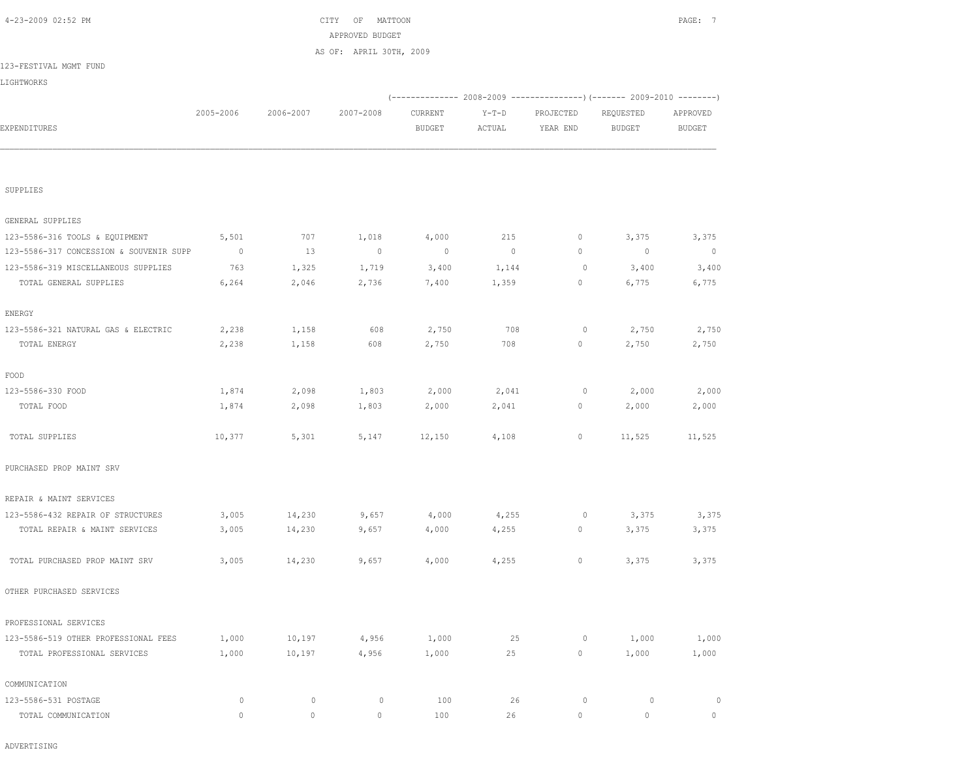|                                         |                |             | APPROVED BUDGET         |                |                |             |                                                                          |                |
|-----------------------------------------|----------------|-------------|-------------------------|----------------|----------------|-------------|--------------------------------------------------------------------------|----------------|
|                                         |                |             | AS OF: APRIL 30TH, 2009 |                |                |             |                                                                          |                |
| 123-FESTIVAL MGMT FUND                  |                |             |                         |                |                |             |                                                                          |                |
| LIGHTWORKS                              |                |             |                         |                |                |             |                                                                          |                |
|                                         |                |             |                         |                |                |             | (-------------- 2008-2009 ----------------) (------- 2009-2010 --------) |                |
|                                         | 2005-2006      | 2006-2007   | 2007-2008               | CURRENT        | $Y-T-D$        | PROJECTED   | REQUESTED                                                                | APPROVED       |
| EXPENDITURES                            |                |             |                         | <b>BUDGET</b>  | ACTUAL         | YEAR END    | <b>BUDGET</b>                                                            | <b>BUDGET</b>  |
|                                         |                |             |                         |                |                |             |                                                                          |                |
| SUPPLIES                                |                |             |                         |                |                |             |                                                                          |                |
| GENERAL SUPPLIES                        |                |             |                         |                |                |             |                                                                          |                |
| 123-5586-316 TOOLS & EQUIPMENT          | 5,501          | 707         | 1,018                   | 4,000          | 215            | 0           | 3,375                                                                    | 3,375          |
| 123-5586-317 CONCESSION & SOUVENIR SUPP | $\overline{0}$ | 13          | $\sim$ 0                | $\overline{0}$ | $\overline{0}$ | $\circ$     | $\overline{\phantom{0}}$                                                 | $\overline{0}$ |
| 123-5586-319 MISCELLANEOUS SUPPLIES     | 763            | 1,325       | 1,719                   | 3,400          | 1,144          | 0           | 3,400                                                                    | 3,400          |
| TOTAL GENERAL SUPPLIES                  | 6,264          | 2,046       | 2,736                   | 7,400          | 1,359          | $\circ$     | 6,775                                                                    | 6,775          |
|                                         |                |             |                         |                |                |             |                                                                          |                |
| ENERGY                                  |                |             |                         |                |                |             |                                                                          |                |
| 123-5586-321 NATURAL GAS & ELECTRIC     | 2,238          | 1,158       | 608                     | 2,750          | 708            | 0           | 2,750                                                                    | 2,750          |
| TOTAL ENERGY                            | 2,238          | 1,158       | 608                     | 2,750          | 708            | $\circ$     | 2,750                                                                    | 2,750          |
| FOOD                                    |                |             |                         |                |                |             |                                                                          |                |
| 123-5586-330 FOOD                       | 1,874          | 2,098       | 1,803                   | 2,000          | 2,041          | 0           | 2,000                                                                    | 2,000          |
| TOTAL FOOD                              | 1,874          | 2,098       | 1,803                   | 2,000          | 2,041          | 0           | 2,000                                                                    | 2,000          |
| TOTAL SUPPLIES                          | 10,377         | 5,301       | 5,147                   | 12,150         | 4,108          | $\circ$     | 11,525                                                                   | 11,525         |
| PURCHASED PROP MAINT SRV                |                |             |                         |                |                |             |                                                                          |                |
| REPAIR & MAINT SERVICES                 |                |             |                         |                |                |             |                                                                          |                |
| 123-5586-432 REPAIR OF STRUCTURES       | 3,005          | 14,230      | 9,657                   | 4,000          | 4,255          | 0           | 3,375                                                                    | 3,375          |
| TOTAL REPAIR & MAINT SERVICES           | 3,005          | 14,230      | 9,657                   | 4,000          | 4,255          | $\circ$     | 3,375                                                                    | 3,375          |
| TOTAL PURCHASED PROP MAINT SRV          | 3,005          | 14,230      | 9,657                   | 4,000          | 4,255          | $\circ$     | 3,375                                                                    | 3,375          |
| OTHER PURCHASED SERVICES                |                |             |                         |                |                |             |                                                                          |                |
| PROFESSIONAL SERVICES                   |                |             |                         |                |                |             |                                                                          |                |
| 123-5586-519 OTHER PROFESSIONAL FEES    | 1,000          | 10,197      | 4,956                   | 1,000          | 25             | $\circ$     | 1,000                                                                    | 1,000          |
| TOTAL PROFESSIONAL SERVICES             | 1,000          | 10,197      | 4,956                   | 1,000          | 25             | 0           | 1,000                                                                    | 1,000          |
| COMMUNICATION                           |                |             |                         |                |                |             |                                                                          |                |
| 123-5586-531 POSTAGE                    | $\circ$        | $\circ$     | $\circ$                 | 100            | 26             | $\circ$     | $\circ$                                                                  | $\circ$        |
|                                         |                | $\mathbb O$ |                         |                |                | $\mathbb O$ | $\mathsf{O}\xspace$                                                      | $\mathbb O$    |
| TOTAL COMMUNICATION                     | $\mathbb O$    |             | $\mathbb O$             | 100            | 26             |             |                                                                          |                |

4-23-2009 02:52 PM CITY OF MATTOON PAGE: 7

ADVERTISING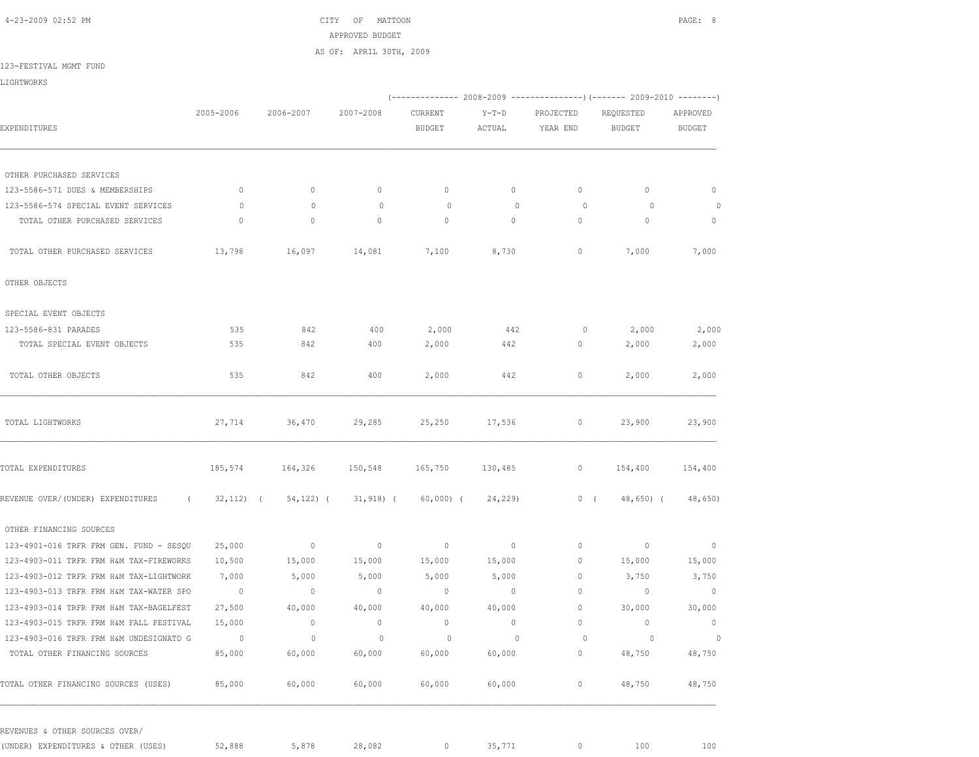4-23-2009 02:52 PM CITY OF MATTOON PAGE: 8 APPROVED BUDGET AS OF: APRIL 30TH, 2009

123-FESTIVAL MGMT FUND

LIGHTWORKS

|                                         |                |                |                                    |                          |                   | (-------------- 2008-2009 ---------------) (------- 2009-2010 --------) |                            |                           |
|-----------------------------------------|----------------|----------------|------------------------------------|--------------------------|-------------------|-------------------------------------------------------------------------|----------------------------|---------------------------|
| EXPENDITURES                            | 2005-2006      | 2006-2007      | 2007-2008                          | CURRENT<br><b>BUDGET</b> | $Y-T-D$<br>ACTUAL | PROJECTED<br>YEAR END                                                   | REQUESTED<br><b>BUDGET</b> | APPROVED<br><b>BUDGET</b> |
|                                         |                |                |                                    |                          |                   |                                                                         |                            |                           |
| OTHER PURCHASED SERVICES                |                |                |                                    |                          |                   |                                                                         |                            |                           |
| 123-5586-571 DUES & MEMBERSHIPS         | $\circ$        | $\circ$        | $\circ$                            | $\mathbb O$              | $\circ$           | $\circ$                                                                 | $\circ$                    | $\circ$                   |
| 123-5586-574 SPECIAL EVENT SERVICES     | $\circ$        | $\mathbf{0}$   | $\circ$                            | $\circ$                  | $\mathbf{0}$      | $\circ$                                                                 | $\circ$                    | $\circ$                   |
| TOTAL OTHER PURCHASED SERVICES          | $\circ$        | $\circ$        | $\circ$                            | $\mathbf{0}$             | $\circ$           | $\mathbf{0}$                                                            | $\mathbf{0}$               | $\mathbb O$               |
| TOTAL OTHER PURCHASED SERVICES          | 13,798         | 16,097 14,081  |                                    | 7,100                    | 8,730             | 0                                                                       | 7,000                      | 7,000                     |
| OTHER OBJECTS                           |                |                |                                    |                          |                   |                                                                         |                            |                           |
| SPECIAL EVENT OBJECTS                   |                |                |                                    |                          |                   |                                                                         |                            |                           |
| 123-5586-831 PARADES                    | 535            | 842            | 400                                | 2,000                    | 442               | 0                                                                       | 2,000                      | 2,000                     |
| TOTAL SPECIAL EVENT OBJECTS             | 535            | 842            | 400                                | 2,000                    | 442               | 0                                                                       | 2,000                      | 2,000                     |
| TOTAL OTHER OBJECTS                     | 535            | 842            | 400                                | 2,000                    | 442               | 0                                                                       | 2,000                      | 2,000                     |
| TOTAL LIGHTWORKS                        | 27,714         | 36,470         | 29,285                             | 25,250                   | 17,536            | $\circ$                                                                 | 23,900                     | 23,900                    |
| TOTAL EXPENDITURES                      | 185,574        | 164,326        | 150,548                            | 165,750                  | 130,485           | $\circ$                                                                 | 154,400                    | 154,400                   |
| REVENUE OVER/(UNDER) EXPENDITURES       |                |                | $(32,112)$ $(54,122)$ $(31,918)$ ( | 60,000) (                | 24,229)           | 0(                                                                      | 48,650) (                  | 48,650)                   |
| OTHER FINANCING SOURCES                 |                |                |                                    |                          |                   |                                                                         |                            |                           |
| 123-4901-016 TRFR FRM GEN. FUND - SESQU | 25,000         | $\sim$ 0       | $\sim$ 0                           | $\circ$                  | $\circ$           | 0                                                                       | $\sim$ 0                   | $\overline{0}$            |
| 123-4903-011 TRFR FRM H&M TAX-FIREWORKS | 10,500         | 15,000         | 15,000                             | 15,000                   | 15,000            | $\circ$                                                                 | 15,000                     | 15,000                    |
| 123-4903-012 TRFR FRM H&M TAX-LIGHTWORK | 7,000          | 5,000          | 5,000                              | 5,000                    | 5,000             | $\circ$                                                                 | 3,750                      | 3,750                     |
| 123-4903-013 TRFR FRM H&M TAX-WATER SPO | $\overline{0}$ | $\overline{0}$ | $\overline{0}$                     | $\sim$ 0                 | $\overline{0}$    | $\circ$                                                                 | $\sim$ 0                   | $\overline{0}$            |
| 123-4903-014 TRFR FRM H&M TAX-BAGELFEST | 27,500         | 40,000         | 40,000                             | 40,000                   | 40,000            | $\circ$                                                                 | 30,000                     | 30,000                    |
| 123-4903-015 TRFR FRM H&M FALL FESTIVAL | 15,000         | $\circ$        | $\overline{0}$                     | $\circ$                  | $\circ$           | $\circ$                                                                 | $\overline{0}$             | $\overline{0}$            |
| 123-4903-016 TRFR FRM H&M UNDESIGNATD G | $\sim$ 0       | $\circ$        | $\circ$                            | $\circ$                  | $\circ$           | $\circ$                                                                 | $\circ$                    | $\circ$                   |
| TOTAL OTHER FINANCING SOURCES           | 85,000         | 60,000         | 60,000                             | 60,000                   | 60,000            | $\mathbb O$                                                             | 48,750                     | 48,750                    |
| TOTAL OTHER FINANCING SOURCES (USES)    | 85,000         | 60,000         | 60,000                             | 60,000                   | 60,000            | $\circ$                                                                 | 48,750                     | 48,750                    |

(UNDER) EXPENDITURES & OTHER (USES) 52,888 5,878 28,082 0 35,771 0 100 100 100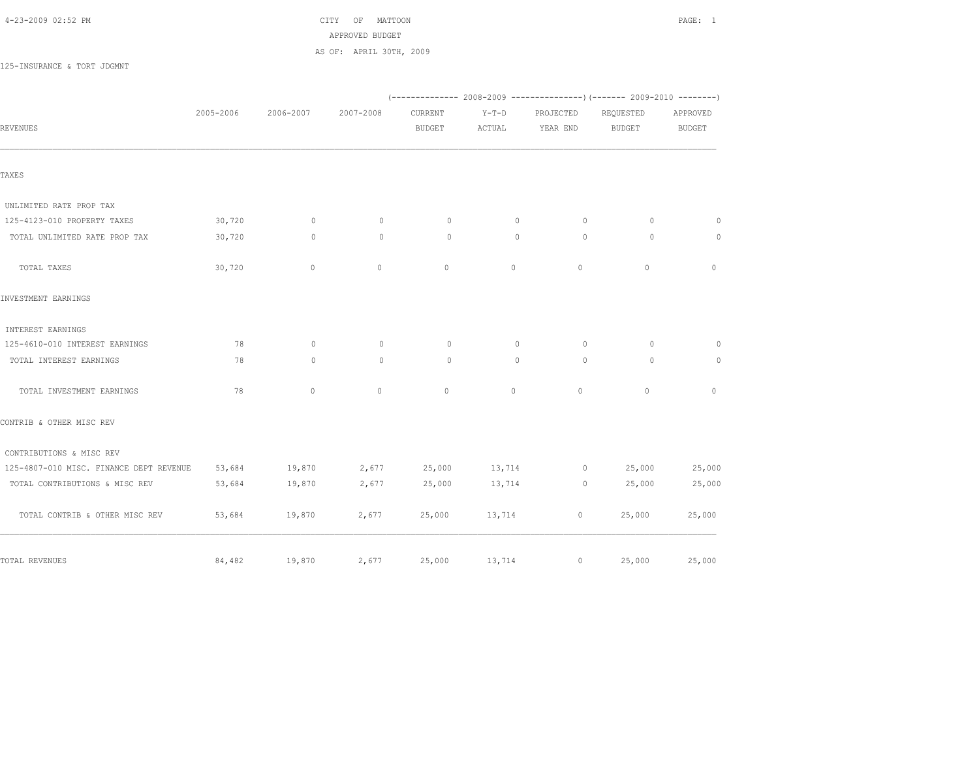4-23-2009 02:52 PM CITY OF MATTOON PAGE: 1 APPROVED BUDGET AS OF: APRIL 30TH, 2009

125-INSURANCE & TORT JDGMNT

|                                         |           |              |           |               |          |              | (-------------- 2008-2009 -------------------- 2009-2010 ----------- |               |
|-----------------------------------------|-----------|--------------|-----------|---------------|----------|--------------|----------------------------------------------------------------------|---------------|
|                                         | 2005-2006 | 2006-2007    | 2007-2008 | CURRENT       | $Y-T-D$  | PROJECTED    | REQUESTED                                                            | APPROVED      |
| <b>REVENUES</b>                         |           |              |           | <b>BUDGET</b> | ACTUAL   | YEAR END     | <b>BUDGET</b>                                                        | <b>BUDGET</b> |
| TAXES                                   |           |              |           |               |          |              |                                                                      |               |
|                                         |           |              |           |               |          |              |                                                                      |               |
| UNLIMITED RATE PROP TAX                 |           |              |           |               |          |              |                                                                      |               |
| 125-4123-010 PROPERTY TAXES             | 30,720    | $\circ$      | $\circ$   | $\circ$       | $\circ$  | $\circ$      | $\circ$                                                              | $\circ$       |
| TOTAL UNLIMITED RATE PROP TAX           | 30,720    | $\mathbf{0}$ | $\Omega$  | $\Omega$      | $\Omega$ | $\Omega$     | $\Omega$                                                             | $\circ$       |
| TOTAL TAXES                             | 30,720    | $\circ$      | $\circ$   | $\mathbf{0}$  | $\circ$  | $\mathbb O$  | $\mathbb O$                                                          | $\circ$       |
| INVESTMENT EARNINGS                     |           |              |           |               |          |              |                                                                      |               |
| INTEREST EARNINGS                       |           |              |           |               |          |              |                                                                      |               |
| 125-4610-010 INTEREST EARNINGS          | 78        | $\Omega$     | $\circ$   | $\Omega$      | $\circ$  | $\Omega$     | $\circ$                                                              | $\circ$       |
| TOTAL INTEREST EARNINGS                 | 78        | $\Omega$     | $\Omega$  | $\Omega$      | $\Omega$ | $\Omega$     | $\Omega$                                                             | $\circ$       |
| TOTAL INVESTMENT EARNINGS               | 78        | $\circ$      | $\circ$   | $\circ$       | $\circ$  | $\mathbf{0}$ | $\mathbf{0}$                                                         | $\Omega$      |
| CONTRIB & OTHER MISC REV                |           |              |           |               |          |              |                                                                      |               |
| CONTRIBUTIONS & MISC REV                |           |              |           |               |          |              |                                                                      |               |
| 125-4807-010 MISC. FINANCE DEPT REVENUE | 53,684    | 19,870       | 2,677     | 25,000        | 13,714   | $\circ$      | 25,000                                                               | 25,000        |
| TOTAL CONTRIBUTIONS & MISC REV          | 53,684    | 19,870       | 2,677     | 25,000        | 13,714   | $\circ$      | 25,000                                                               | 25,000        |
| TOTAL CONTRIB & OTHER MISC REV          | 53,684    | 19,870       | 2,677     | 25,000        | 13,714   | $\circ$      | 25,000                                                               | 25,000        |
| TOTAL REVENUES                          | 84,482    | 19,870       | 2,677     | 25,000        | 13,714   | $\circ$      | 25,000                                                               | 25,000        |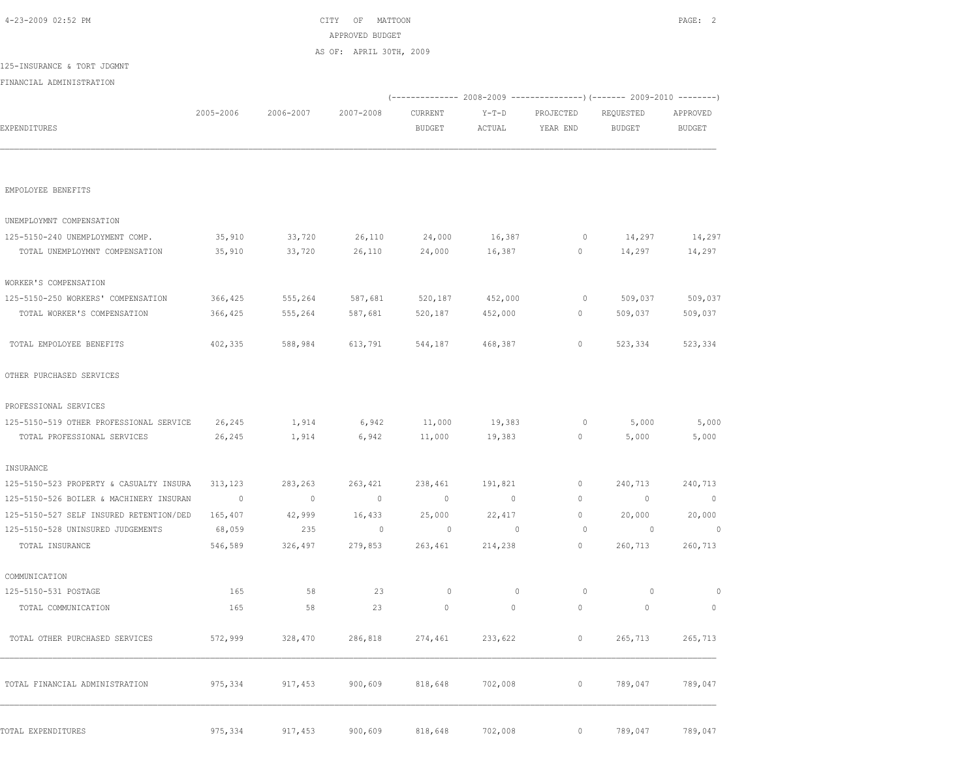| 4-23-2009 02:52 PM                      |                |           | CITY<br>OF<br>MATTOON<br>APPROVED BUDGET |               |         |           |                                                                      | PAGE: 2        |
|-----------------------------------------|----------------|-----------|------------------------------------------|---------------|---------|-----------|----------------------------------------------------------------------|----------------|
|                                         |                |           | AS OF: APRIL 30TH, 2009                  |               |         |           |                                                                      |                |
| 125-INSURANCE & TORT JDGMNT             |                |           |                                          |               |         |           |                                                                      |                |
| FINANCIAL ADMINISTRATION                |                |           |                                          |               |         |           |                                                                      |                |
|                                         |                |           |                                          |               |         |           | (-------------- 2008-2009 -------------------- 2009-2010 ----------- |                |
|                                         | 2005-2006      | 2006-2007 | 2007-2008                                | CURRENT       | $Y-T-D$ | PROJECTED | REQUESTED                                                            | APPROVED       |
| EXPENDITURES                            |                |           |                                          | <b>BUDGET</b> | ACTUAL  | YEAR END  | <b>BUDGET</b>                                                        | <b>BUDGET</b>  |
| EMPOLOYEE BENEFITS                      |                |           |                                          |               |         |           |                                                                      |                |
| UNEMPLOYMNT COMPENSATION                |                |           |                                          |               |         |           |                                                                      |                |
| 125-5150-240 UNEMPLOYMENT COMP.         | 35,910         | 33,720    | 26,110                                   | 24,000        | 16,387  | 0         | 14,297                                                               | 14,297         |
| TOTAL UNEMPLOYMNT COMPENSATION          | 35,910         | 33,720    | 26,110                                   | 24,000        | 16,387  | 0         | 14,297                                                               | 14,297         |
| WORKER'S COMPENSATION                   |                |           |                                          |               |         |           |                                                                      |                |
| 125-5150-250 WORKERS' COMPENSATION      | 366,425        | 555,264   | 587,681                                  | 520,187       | 452,000 | 0         | 509,037                                                              | 509,037        |
| TOTAL WORKER'S COMPENSATION             | 366,425        | 555,264   | 587,681                                  | 520,187       | 452,000 | 0         | 509,037                                                              | 509,037        |
| TOTAL EMPOLOYEE BENEFITS                | 402,335        | 588,984   | 613,791                                  | 544,187       | 468,387 | 0         | 523,334                                                              | 523,334        |
| OTHER PURCHASED SERVICES                |                |           |                                          |               |         |           |                                                                      |                |
| PROFESSIONAL SERVICES                   |                |           |                                          |               |         |           |                                                                      |                |
| 125-5150-519 OTHER PROFESSIONAL SERVICE | 26,245         | 1,914     | 6,942                                    | 11,000        | 19,383  | 0         | 5,000                                                                | 5,000          |
| TOTAL PROFESSIONAL SERVICES             | 26,245         | 1,914     | 6,942                                    | 11,000        | 19,383  | $\circ$   | 5,000                                                                | 5,000          |
| INSURANCE                               |                |           |                                          |               |         |           |                                                                      |                |
| 125-5150-523 PROPERTY & CASUALTY INSURA | 313,123        | 283,263   | 263,421                                  | 238,461       | 191,821 | 0         | 240,713                                                              | 240,713        |
| 125-5150-526 BOILER & MACHINERY INSURAN | $\overline{0}$ | $\circ$   | $\overline{0}$                           | $\mathbf 0$   | $\circ$ | $\circ$   | $\mathbf{0}$                                                         | $\overline{0}$ |
| 125-5150-527 SELF INSURED RETENTION/DED | 165,407        | 42,999    | 16,433                                   | 25,000        | 22,417  | 0         | 20,000                                                               | 20,000         |
| 125-5150-528 UNINSURED JUDGEMENTS       | 68,059         | 235       | $\circ$                                  | 0             | $\circ$ | 0         | 0                                                                    | $\circ$        |
| TOTAL INSURANCE                         | 546,589        | 326,497   | 279,853                                  | 263,461       | 214,238 | $\circ$   | 260,713                                                              | 260,713        |
| COMMUNICATION                           |                |           |                                          |               |         |           |                                                                      |                |
| 125-5150-531 POSTAGE                    | 165            | 58        | 23                                       | $\circ$       | $\circ$ | $\circ$   | $\circ$                                                              | $\mathbb O$    |
| TOTAL COMMUNICATION                     | 165            | 58        | 23                                       | $\mathbb O$   | $\circ$ | $\circ$   | $\circ$                                                              | $\mathbb O$    |
| TOTAL OTHER PURCHASED SERVICES          | 572,999        | 328,470   | 286,818                                  | 274,461       | 233,622 | $\circ$   | 265,713                                                              | 265,713        |
| TOTAL FINANCIAL ADMINISTRATION          | 975,334        | 917,453   | 900,609                                  | 818,648       | 702,008 | $\circ$   | 789,047                                                              | 789,047        |
|                                         |                |           |                                          |               |         | $\circ$   |                                                                      |                |
| TOTAL EXPENDITURES                      | 975,334        | 917,453   | 900,609                                  | 818,648       | 702,008 |           | 789,047                                                              | 789,047        |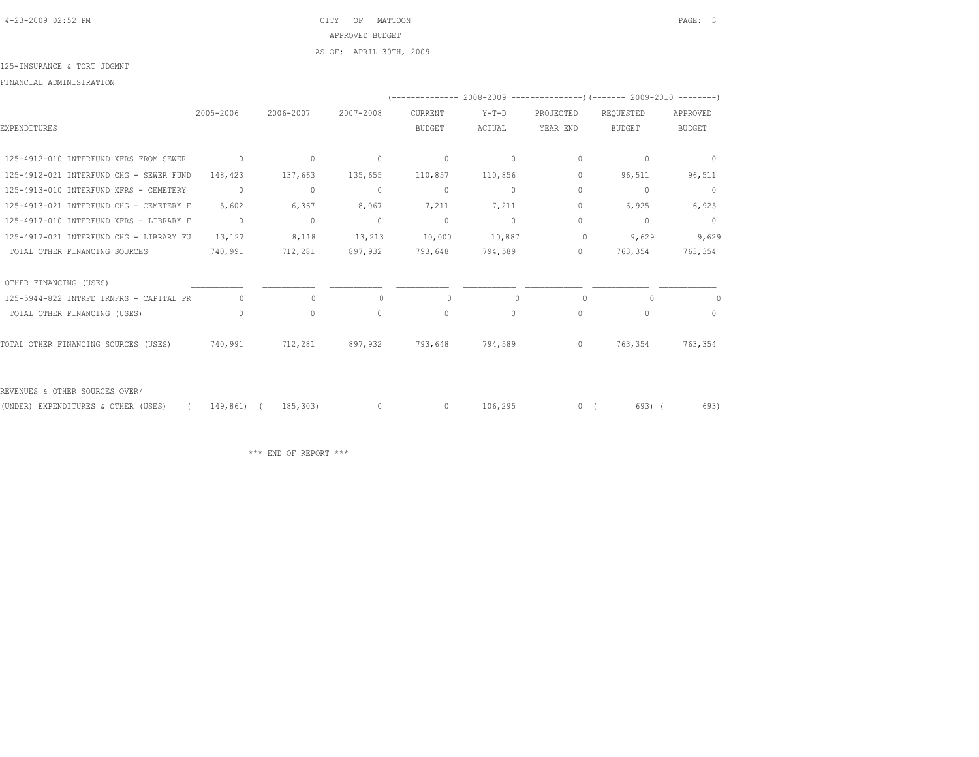4-23-2009 02:52 PM CITY OF MATTOON PAGE: 3 APPROVED BUDGET AS OF: APRIL 30TH, 2009

125-INSURANCE & TORT JDGMNT

FINANCIAL ADMINISTRATION

|                                         |              |              |              |               |         |           | '-------------- 2008-2009 --------------------- (------- 2009-2010 ----------) |               |
|-----------------------------------------|--------------|--------------|--------------|---------------|---------|-----------|--------------------------------------------------------------------------------|---------------|
|                                         | 2005-2006    | 2006-2007    | 2007-2008    | CURRENT       | $Y-T-D$ | PROJECTED | REOUESTED                                                                      | APPROVED      |
| EXPENDITURES                            |              |              |              | <b>BUDGET</b> | ACTUAL  | YEAR END  | <b>BUDGET</b>                                                                  | <b>BUDGET</b> |
| 125-4912-010 INTERFUND XFRS FROM SEWER  | $\circ$      | $\mathbf{0}$ | $\mathbf{0}$ | $\mathbf 0$   | 0       | 0         | 0                                                                              | 0             |
| 125-4912-021 INTERFUND CHG - SEWER FUND | 148,423      | 137,663      | 135,655      | 110,857       | 110,856 | 0         | 96,511                                                                         | 96,511        |
| 125-4913-010 INTERFUND XFRS - CEMETERY  | $\mathbf{0}$ | $\mathbf{0}$ | $\mathbf{0}$ | $\mathbf 0$   | 0       | 0         | 0                                                                              | $\mathbb O$   |
| 125-4913-021 INTERFUND CHG - CEMETERY F | 5,602        | 6,367        | 8,067        | 7,211         | 7,211   | 0         | 6,925                                                                          | 6,925         |
| 125-4917-010 INTERFUND XFRS - LIBRARY F | $\mathbf{0}$ | $\mathbf{0}$ | $\mathbf{0}$ | $\circ$       | $\circ$ | 0         | $\begin{array}{c} \n\end{array}$                                               | $\circ$       |
| 125-4917-021 INTERFUND CHG - LIBRARY FU | 13,127       | 8,118        | 13,213       | 10,000        | 10,887  | 0         | 9,629                                                                          | 9,629         |
| TOTAL OTHER FINANCING SOURCES           | 740,991      | 712,281      | 897,932      | 793,648       | 794,589 | 0         | 763,354                                                                        | 763,354       |
| OTHER FINANCING (USES)                  |              |              |              |               |         |           |                                                                                |               |
| 125-5944-822 INTRFD TRNFRS - CAPITAL PR | $\Omega$     | $\mathbf{0}$ | $\bigcap$    | $\Omega$      |         | $\bigcap$ | $\cap$                                                                         |               |
| TOTAL OTHER FINANCING (USES)            | 0            | $\circ$      | $\circ$      | $\mathbf{0}$  | $\circ$ | $\circ$   | $\Omega$                                                                       | $\Omega$      |
| TOTAL OTHER FINANCING SOURCES (USES)    | 740,991      | 712,281      | 897,932      | 793,648       | 794,589 | $\circ$   | 763,354                                                                        | 763,354       |
|                                         |              |              |              |               |         |           |                                                                                |               |

REVENUES & OTHER SOURCES OVER/

(UNDER) EXPENDITURES & OTHER (USES) ( 149,861) ( 185,303) 0 0 106,295 0 ( 693) ( 693)

\*\*\* END OF REPORT \*\*\*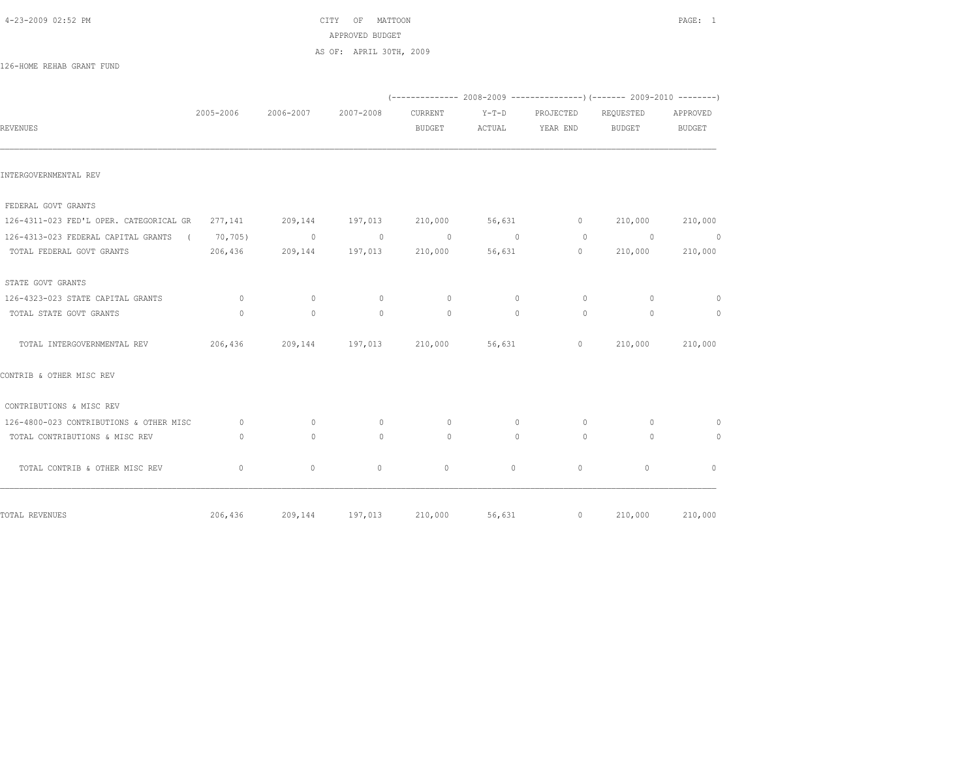$\text{CITY}$  OF MATTOON **PAGE:** 1 APPROVED BUDGET AS OF: APRIL 30TH, 2009

126-HOME REHAB GRANT FUND

|                                                                                     |           |           |                                 |               |          |                                                                                                                                                                                                                                                                                                                                    | $(---------- 2008-2009 ----------)$ $(---- 2009-2010 -------)$ |                |
|-------------------------------------------------------------------------------------|-----------|-----------|---------------------------------|---------------|----------|------------------------------------------------------------------------------------------------------------------------------------------------------------------------------------------------------------------------------------------------------------------------------------------------------------------------------------|----------------------------------------------------------------|----------------|
|                                                                                     | 2005-2006 | 2006-2007 | 2007-2008                       | CURRENT       | $Y-T-D$  | PROJECTED                                                                                                                                                                                                                                                                                                                          | REQUESTED                                                      | APPROVED       |
| <b>REVENUES</b>                                                                     |           |           |                                 | <b>BUDGET</b> |          | ACTUAL YEAR END BUDGET                                                                                                                                                                                                                                                                                                             |                                                                | <b>BUDGET</b>  |
| INTERGOVERNMENTAL REV                                                               |           |           |                                 |               |          |                                                                                                                                                                                                                                                                                                                                    |                                                                |                |
| FEDERAL GOVT GRANTS                                                                 |           |           |                                 |               |          |                                                                                                                                                                                                                                                                                                                                    |                                                                |                |
| 126-4311-023 FED'L OPER. CATEGORICAL GR  277,141  209,144  197,013  210,000  56,631 |           |           |                                 |               |          |                                                                                                                                                                                                                                                                                                                                    | $0 \t 210,000 \t 210,000$                                      |                |
| 126-4313-023 FEDERAL CAPITAL GRANTS ( 70,705) 0                                     |           |           | $\sim$ 0                        | $\sim$ 0      | $\sim$ 0 | $\bigcirc$                                                                                                                                                                                                                                                                                                                         | $\sim$ 0                                                       | $\sim$ 0       |
| TOTAL FEDERAL GOVT GRANTS                                                           |           |           | 206,436 209,144 197,013 210,000 |               |          | 56,631                                                                                                                                                                                                                                                                                                                             | $\overline{0}$ and $\overline{0}$<br>210,000                   | 210,000        |
| STATE GOVT GRANTS                                                                   |           |           |                                 |               |          |                                                                                                                                                                                                                                                                                                                                    |                                                                |                |
| 126-4323-023 STATE CAPITAL GRANTS                                                   | $\sim$ 0  | $\circ$   | $\sim$ 0                        | $\circ$       | $\circ$  | $\circ$                                                                                                                                                                                                                                                                                                                            | $\Omega$                                                       | $\overline{0}$ |
| TOTAL STATE GOVT GRANTS                                                             | $\Omega$  | $\Omega$  | $\Omega$                        | $\Omega$      | $\Omega$ | $\Omega$                                                                                                                                                                                                                                                                                                                           | $\Omega$                                                       | $\overline{0}$ |
|                                                                                     |           |           |                                 |               |          | $\overline{0}$ and $\overline{0}$ and $\overline{0}$ and $\overline{0}$ and $\overline{0}$ and $\overline{0}$ and $\overline{0}$ and $\overline{0}$ and $\overline{0}$ and $\overline{0}$ and $\overline{0}$ and $\overline{0}$ and $\overline{0}$ and $\overline{0}$ and $\overline{0}$ and $\overline{0}$ and $\overline{0}$ and | 210,000                                                        | 210,000        |
| CONTRIB & OTHER MISC REV                                                            |           |           |                                 |               |          |                                                                                                                                                                                                                                                                                                                                    |                                                                |                |
| CONTRIBUTIONS & MISC REV                                                            |           |           |                                 |               |          |                                                                                                                                                                                                                                                                                                                                    |                                                                |                |
| 126-4800-023 CONTRIBUTIONS & OTHER MISC                                             | $\sim$ 0  | $\Omega$  | $\circ$                         | $\Omega$      | $\circ$  | $\Omega$                                                                                                                                                                                                                                                                                                                           | $\Omega$                                                       | $\circ$        |
| TOTAL CONTRIBUTIONS & MISC REV                                                      | $\Omega$  | $\Omega$  | $\Omega$                        | $\Omega$      | $\Omega$ | $\Omega$                                                                                                                                                                                                                                                                                                                           | $\Omega$                                                       | $\Omega$       |
| TOTAL CONTRIB & OTHER MISC REV                                                      | $\circ$   | $\circ$   | $\circ$                         | $\circ$       | $\circ$  | $\circ$                                                                                                                                                                                                                                                                                                                            | $\circ$                                                        | $\circ$        |
| TOTAL REVENUES                                                                      | 206,436   | 209,144   | 197,013                         | 210,000       | 56,631   | $\overline{0}$                                                                                                                                                                                                                                                                                                                     | 210,000                                                        | 210,000        |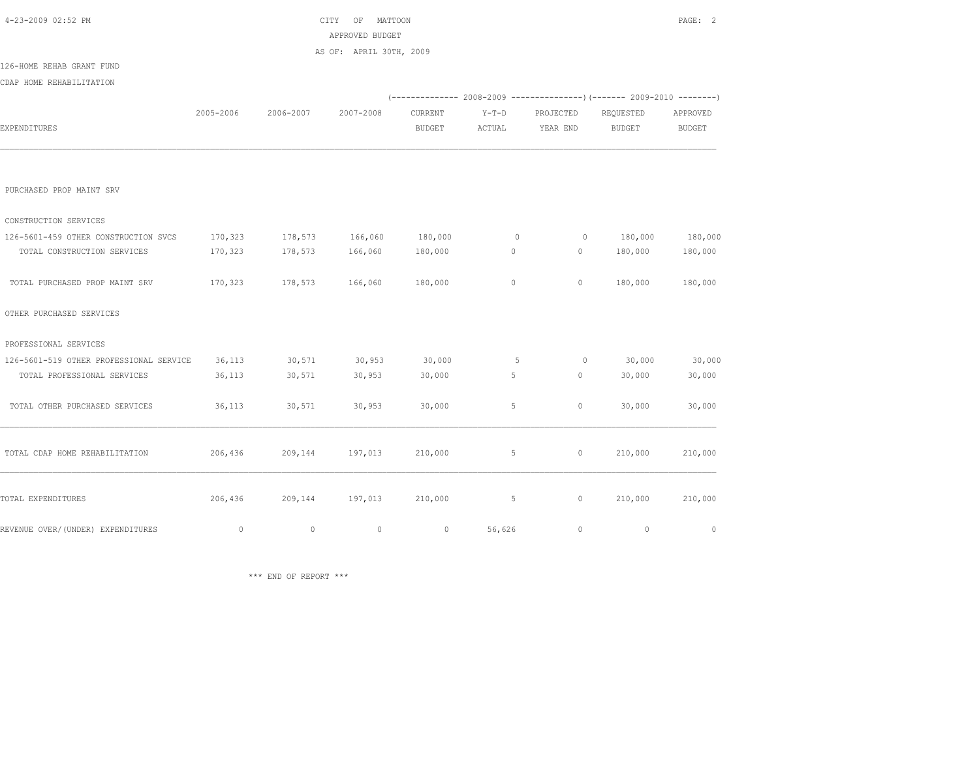| 4-23-2009 02:52 PM                      |             |             | OF<br>CITY<br>MATTOON<br>APPROVED BUDGET |               |             |           |                                                                        | PAGE: 2     |
|-----------------------------------------|-------------|-------------|------------------------------------------|---------------|-------------|-----------|------------------------------------------------------------------------|-------------|
|                                         |             |             | AS OF: APRIL 30TH, 2009                  |               |             |           |                                                                        |             |
| 126-HOME REHAB GRANT FUND               |             |             |                                          |               |             |           |                                                                        |             |
| CDAP HOME REHABILITATION                |             |             |                                          |               |             |           |                                                                        |             |
|                                         |             |             |                                          |               |             |           | (------------- 2008-2009 ---------------) (------- 2009-2010 --------) |             |
|                                         | 2005-2006   | 2006-2007   | 2007-2008                                | CURRENT       | $Y-T-D$     | PROJECTED | REQUESTED                                                              | APPROVED    |
| EXPENDITURES                            |             |             |                                          | <b>BUDGET</b> | ACTUAL      | YEAR END  | BUDGET                                                                 | BUDGET      |
|                                         |             |             |                                          |               |             |           |                                                                        |             |
| PURCHASED PROP MAINT SRV                |             |             |                                          |               |             |           |                                                                        |             |
| CONSTRUCTION SERVICES                   |             |             |                                          |               |             |           |                                                                        |             |
| 126-5601-459 OTHER CONSTRUCTION SVCS    | 170,323     | 178,573     | 166,060                                  | 180,000       | $\mathbb O$ | $\circ$   | 180,000                                                                | 180,000     |
| TOTAL CONSTRUCTION SERVICES             | 170,323     | 178,573     | 166,060                                  | 180,000       | $\circ$     | $\circ$   | 180,000                                                                | 180,000     |
| TOTAL PURCHASED PROP MAINT SRV          | 170,323     | 178,573     | 166,060                                  | 180,000       | $\circ$     | $\circ$   | 180,000                                                                | 180,000     |
| OTHER PURCHASED SERVICES                |             |             |                                          |               |             |           |                                                                        |             |
| PROFESSIONAL SERVICES                   |             |             |                                          |               |             |           |                                                                        |             |
| 126-5601-519 OTHER PROFESSIONAL SERVICE | 36,113      | 30,571      | 30,953                                   | 30,000        | 5           | $\circ$   | 30,000                                                                 | 30,000      |
| TOTAL PROFESSIONAL SERVICES             | 36,113      | 30,571      | 30,953                                   | 30,000        | 5           | $\circ$   | 30,000                                                                 | 30,000      |
| TOTAL OTHER PURCHASED SERVICES          | 36,113      | 30,571      | 30,953                                   | 30,000        | 5           | $\circ$   | 30,000                                                                 | 30,000      |
| TOTAL CDAP HOME REHABILITATION          | 206,436     | 209,144     | 197,013                                  | 210,000       | 5           | $\circ$   | 210,000                                                                | 210,000     |
| TOTAL EXPENDITURES                      | 206,436     | 209,144     | 197,013                                  | 210,000       | 5           | $\circ$   | 210,000                                                                | 210,000     |
| REVENUE OVER/ (UNDER) EXPENDITURES      | $\mathbb O$ | $\mathbb O$ | $\circ$                                  | $\circ$       | 56,626      | $\circ$   | $\mathbf{0}$                                                           | $\mathbb O$ |

\*\*\* END OF REPORT \*\*\*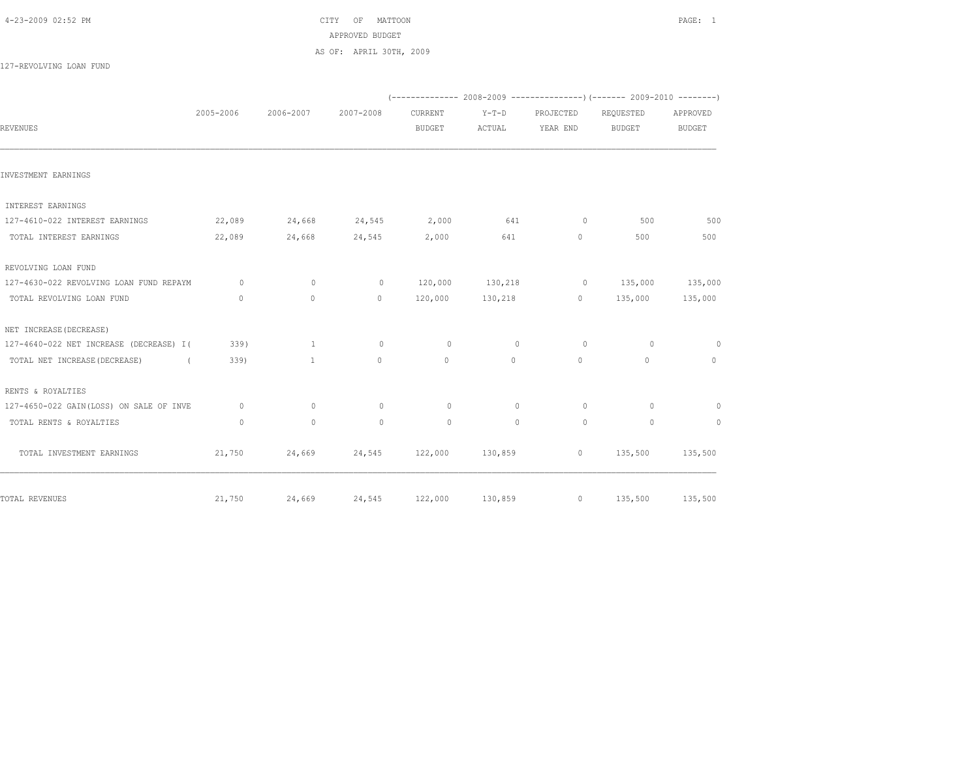|--|

CITY OF MATTOON **PAGE: 1**  APPROVED BUDGET AS OF: APRIL 30TH, 2009

127-REVOLVING LOAN FUND

|                                             |              |              |              |                          |                   |                       | $(---------- 2008-2009 ---------- 2009-2010 ---- 2009-2010 ---- 2009-2010 ---- 2009-2010 ---- 2009-2010 ---- 2009-2010 ---- 2009-2010 ---- 2009-2010 ---- 2009-2010 ---- 2009-2010 ---- 2009-2010 ---- 2009-2010 ---- 2009-2010 ---- 2009-2010 ---- 2009-2010 ---- 2009-2010 ---- 2009-2010$ |                           |
|---------------------------------------------|--------------|--------------|--------------|--------------------------|-------------------|-----------------------|----------------------------------------------------------------------------------------------------------------------------------------------------------------------------------------------------------------------------------------------------------------------------------------------|---------------------------|
| REVENUES                                    | 2005-2006    | 2006-2007    | 2007-2008    | CURRENT<br><b>BUDGET</b> | $Y-T-D$<br>ACTUAL | PROJECTED<br>YEAR END | REQUESTED<br><b>BUDGET</b>                                                                                                                                                                                                                                                                   | APPROVED<br><b>BUDGET</b> |
| INVESTMENT EARNINGS                         |              |              |              |                          |                   |                       |                                                                                                                                                                                                                                                                                              |                           |
| INTEREST EARNINGS                           |              |              |              |                          |                   |                       |                                                                                                                                                                                                                                                                                              |                           |
| 127-4610-022 INTEREST EARNINGS              | 22,089       | 24,668       | 24,545       | 2,000                    | 641               | $\circ$               | 500                                                                                                                                                                                                                                                                                          | 500                       |
| TOTAL INTEREST EARNINGS                     | 22,089       | 24,668       | 24,545       | 2,000                    | 641               | $\circ$               | 500                                                                                                                                                                                                                                                                                          | 500                       |
| REVOLVING LOAN FUND                         |              |              |              |                          |                   |                       |                                                                                                                                                                                                                                                                                              |                           |
| 127-4630-022 REVOLVING LOAN FUND REPAYM     | $\circ$      | $\mathbf{0}$ | $\circ$      | 120,000                  | 130,218           | $\overline{0}$        | 135,000                                                                                                                                                                                                                                                                                      | 135,000                   |
| TOTAL REVOLVING LOAN FUND                   | $\mathbf{0}$ | $\circ$      | $\circ$      | 120,000                  | 130,218           | $\overline{0}$        | 135,000                                                                                                                                                                                                                                                                                      | 135,000                   |
| NET INCREASE (DECREASE)                     |              |              |              |                          |                   |                       |                                                                                                                                                                                                                                                                                              |                           |
| 127-4640-022 NET INCREASE (DECREASE) I(     | 339)         | $\mathbf{1}$ | $\circ$      | $\circ$                  | $\circ$           | $\circ$               | $\circ$                                                                                                                                                                                                                                                                                      | $\circ$                   |
| TOTAL NET INCREASE (DECREASE)<br>$\sqrt{2}$ | 339)         | $\mathbf{1}$ | $\circ$      | $\circ$                  | $\circ$           | $\circ$               | $\circ$                                                                                                                                                                                                                                                                                      | $\circ$                   |
| RENTS & ROYALTIES                           |              |              |              |                          |                   |                       |                                                                                                                                                                                                                                                                                              |                           |
| 127-4650-022 GAIN(LOSS) ON SALE OF INVE     | $\circ$      | $\mathbf{0}$ | $\circ$      | $\circ$                  | $\circ$           | $\circ$               | $\Omega$                                                                                                                                                                                                                                                                                     | $\circ$                   |
| TOTAL RENTS & ROYALTIES                     | $\circ$      | $\mathbf{0}$ | $\mathbf{0}$ | $\circ$                  | $\mathbf{0}$      | $\circ$               | $\circ$                                                                                                                                                                                                                                                                                      | $\circ$                   |
| TOTAL INVESTMENT EARNINGS                   | 21,750       | 24,669       | 24,545       | 122,000                  | 130,859           | $\overline{0}$        | 135,500                                                                                                                                                                                                                                                                                      | 135,500                   |
| TOTAL REVENUES                              | 21,750       | 24,669       | 24,545       | 122,000                  | 130,859           |                       | $0 \qquad \qquad$<br>135,500                                                                                                                                                                                                                                                                 | 135,500                   |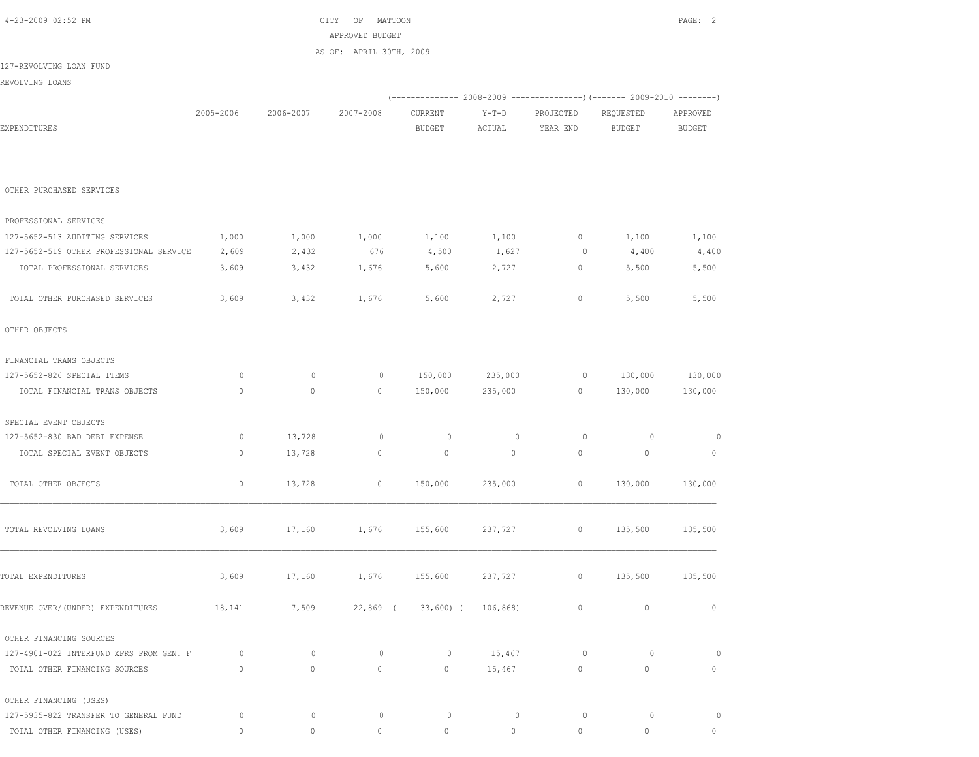| 4-23-2009 02:52 PM                      |              |              | CITY OF MATTOON         |                           |              |                |                                                                          | PAGE: 2        |
|-----------------------------------------|--------------|--------------|-------------------------|---------------------------|--------------|----------------|--------------------------------------------------------------------------|----------------|
|                                         |              |              | APPROVED BUDGET         |                           |              |                |                                                                          |                |
| 127-REVOLVING LOAN FUND                 |              |              | AS OF: APRIL 30TH, 2009 |                           |              |                |                                                                          |                |
| REVOLVING LOANS                         |              |              |                         |                           |              |                |                                                                          |                |
|                                         |              |              |                         |                           |              |                | (-------------- 2008-2009 ----------------) (------- 2009-2010 --------) |                |
|                                         | 2005-2006    | 2006-2007    | 2007-2008               | CURRENT                   | $Y-T-D$      | PROJECTED      | REQUESTED                                                                | APPROVED       |
| EXPENDITURES                            |              |              |                         | BUDGET                    | ACTUAL       | YEAR END       | BUDGET                                                                   | <b>BUDGET</b>  |
| OTHER PURCHASED SERVICES                |              |              |                         |                           |              |                |                                                                          |                |
| PROFESSIONAL SERVICES                   |              |              |                         |                           |              |                |                                                                          |                |
| 127-5652-513 AUDITING SERVICES          | 1,000        | 1,000        | 1,000                   | 1,100                     | 1,100        | $\overline{0}$ | 1,100                                                                    | 1,100          |
| 127-5652-519 OTHER PROFESSIONAL SERVICE | 2,609        | 2,432        | 676                     | 4,500                     | 1,627        | $\overline{0}$ | 4,400                                                                    | 4,400          |
| TOTAL PROFESSIONAL SERVICES             | 3,609        | 3,432        | 1,676                   | 5,600                     | 2,727        | 0              | 5,500                                                                    | 5,500          |
| TOTAL OTHER PURCHASED SERVICES          | 3,609        | 3,432        | 1,676                   | 5,600                     | 2,727        | 0              | 5,500                                                                    | 5,500          |
| OTHER OBJECTS                           |              |              |                         |                           |              |                |                                                                          |                |
| FINANCIAL TRANS OBJECTS                 |              |              |                         |                           |              |                |                                                                          |                |
| 127-5652-826 SPECIAL ITEMS              | 0            | $\circ$      | $\circ$                 | 150,000                   | 235,000      | $\overline{0}$ | 130,000                                                                  | 130,000        |
| TOTAL FINANCIAL TRANS OBJECTS           | $\mathbf{0}$ | $\mathbf{0}$ | $\circ$                 | 150,000                   | 235,000      | $\circ$        | 130,000                                                                  | 130,000        |
| SPECIAL EVENT OBJECTS                   |              |              |                         |                           |              |                |                                                                          |                |
| 127-5652-830 BAD DEBT EXPENSE           | 0            | 13,728       | $\overline{0}$          | $\circ$                   | $\mathbf{0}$ | $\circ$        | $\circ$                                                                  | $\overline{0}$ |
| TOTAL SPECIAL EVENT OBJECTS             | 0            | 13,728       | $\circ$                 | $\circ$                   | $\circ$      | $\circ$        | $\circ$                                                                  | $\circ$        |
| TOTAL OTHER OBJECTS                     | $\circ$      | 13,728       | $\circ$                 | 150,000                   | 235,000      | $\circ$        | 130,000                                                                  | 130,000        |
| TOTAL REVOLVING LOANS                   | 3,609        | 17,160       | 1,676                   | 155,600                   | 237,727      | $\circ$        | 135,500                                                                  | 135,500        |
| TOTAL EXPENDITURES                      | 3,609        | 17,160       | 1,676                   | 155,600                   | 237,727      | 0              | 135,500                                                                  | 135,500        |
| REVENUE OVER/(UNDER) EXPENDITURES       | 18,141       | 7,509        |                         | 22,869 (33,600) (106,868) |              | 0              | $\mathbf 0$                                                              | $\mathbb O$    |
| OTHER FINANCING SOURCES                 |              |              |                         |                           |              |                |                                                                          |                |
| 127-4901-022 INTERFUND XFRS FROM GEN. F | $\circ$      | $\circ$      | $\circ$                 | $\circ$                   | 15,467       | $\circ$        | $\circ$                                                                  | $\circ$        |
| TOTAL OTHER FINANCING SOURCES           | $\circ$      | $\circ$      | $\circ$                 | $\circ$                   | 15,467       | $\circ$        | $\circ$                                                                  | $\circ$        |
| OTHER FINANCING (USES)                  |              |              |                         |                           |              |                |                                                                          |                |
| 127-5935-822 TRANSFER TO GENERAL FUND   | 0            | $\mathbb O$  | $\circ$                 | $\circ$                   | $\circ$      | $\circ$        | $\circ$                                                                  | 0              |
| TOTAL OTHER FINANCING (USES)            | $\circ$      | $\mathbb O$  | $\mathbb O$             | $\circ$                   | 0            | $\mathbb O$    | $\circ$                                                                  | $\circ$        |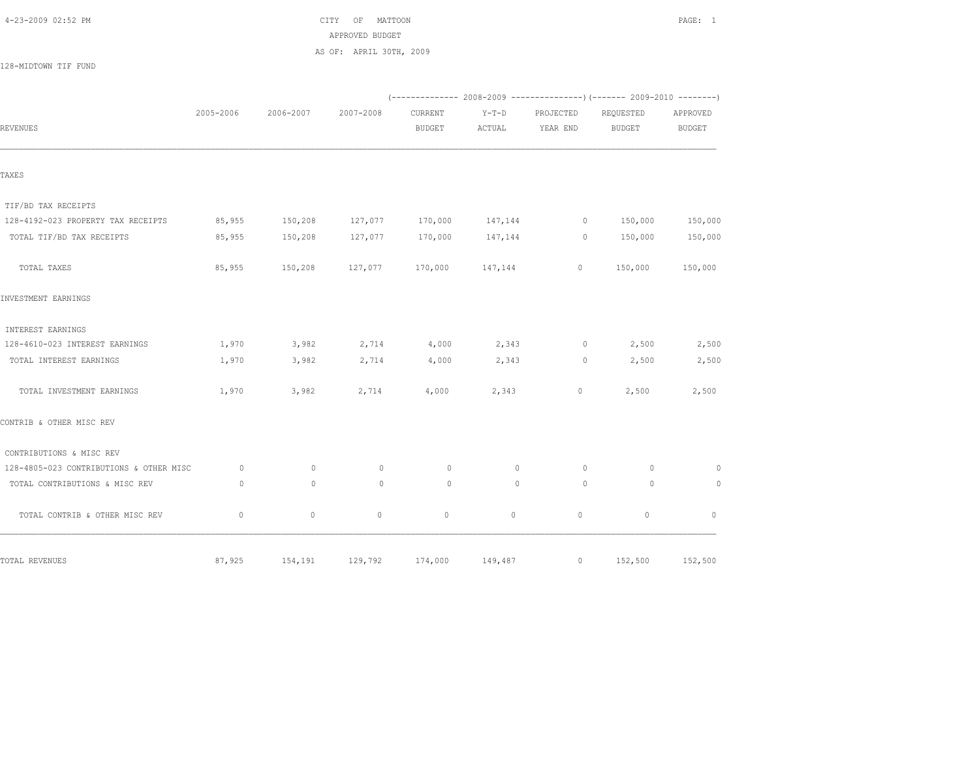$\text{CITY}$  OF MATTOON **PAGE:** 1 APPROVED BUDGET AS OF: APRIL 30TH, 2009

128-MIDTOWN TIF FUND

|                                         |             |              |             |                          |                   |                       | (-------------- 2008-2009 -------------------- 2009-2010 ----------- |                           |
|-----------------------------------------|-------------|--------------|-------------|--------------------------|-------------------|-----------------------|----------------------------------------------------------------------|---------------------------|
| REVENUES                                | 2005-2006   | 2006-2007    | 2007-2008   | CURRENT<br><b>BUDGET</b> | $Y-T-D$<br>ACTUAL | PROJECTED<br>YEAR END | REQUESTED<br><b>BUDGET</b>                                           | APPROVED<br><b>BUDGET</b> |
|                                         |             |              |             |                          |                   |                       |                                                                      |                           |
| TAXES                                   |             |              |             |                          |                   |                       |                                                                      |                           |
| TIF/BD TAX RECEIPTS                     |             |              |             |                          |                   |                       |                                                                      |                           |
| 128-4192-023 PROPERTY TAX RECEIPTS      | 85,955      | 150,208      | 127,077     | 170,000                  | 147,144           | $\circ$               | 150,000                                                              | 150,000                   |
| TOTAL TIF/BD TAX RECEIPTS               | 85,955      | 150,208      | 127,077     | 170,000                  | 147,144           | $\circ$               | 150,000                                                              | 150,000                   |
| TOTAL TAXES                             | 85,955      | 150,208      | 127,077     |                          | 170,000 147,144   | $\circ$               | 150,000                                                              | 150,000                   |
| INVESTMENT EARNINGS                     |             |              |             |                          |                   |                       |                                                                      |                           |
| INTEREST EARNINGS                       |             |              |             |                          |                   |                       |                                                                      |                           |
| 128-4610-023 INTEREST EARNINGS          | 1,970       | 3,982        | 2,714       | 4,000                    | 2,343             | $\circ$               | 2,500                                                                | 2,500                     |
| TOTAL INTEREST EARNINGS                 | 1,970       | 3,982        | 2,714       | 4,000                    | 2,343             | $\circ$               | 2,500                                                                | 2,500                     |
| TOTAL INVESTMENT EARNINGS               | 1,970       | 3,982        | 2,714       | 4,000                    | 2,343             | $\circ$               | 2,500                                                                | 2,500                     |
| CONTRIB & OTHER MISC REV                |             |              |             |                          |                   |                       |                                                                      |                           |
| CONTRIBUTIONS & MISC REV                |             |              |             |                          |                   |                       |                                                                      |                           |
| 128-4805-023 CONTRIBUTIONS & OTHER MISC | $\circ$     | $\mathbf{0}$ | $\mathbf 0$ | $\circ$                  | $\mathbf 0$       | $\circ$               | 0                                                                    | $\circ$                   |
| TOTAL CONTRIBUTIONS & MISC REV          | $\circ$     | $\mathbf{0}$ | $\circ$     | $\circ$                  | $\mathbf{0}$      | $\circ$               | $\circ$                                                              | $\circ$                   |
| TOTAL CONTRIB & OTHER MISC REV          | $\mathbf 0$ | $\circ$      | $\circ$     | $\circ$                  | $\circ$           | $\circ$               | $\circ$                                                              | $\mathbf{0}$              |
| TOTAL REVENUES                          | 87,925      | 154,191      | 129,792     | 174,000                  | 149,487           | $\circ$               | 152,500                                                              | 152,500                   |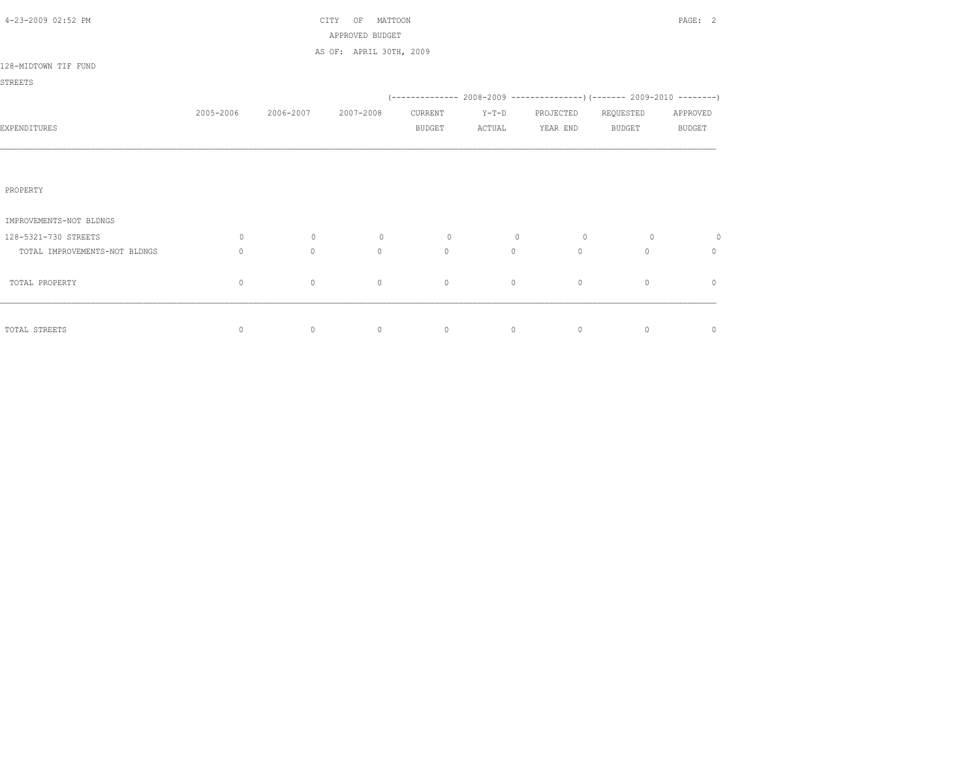| 4-23-2009 02:52 PM            |              |                | OF<br>MATTOON<br>CITY<br>APPROVED BUDGET |               |         |           |                                                                          | PAGE: 2       |
|-------------------------------|--------------|----------------|------------------------------------------|---------------|---------|-----------|--------------------------------------------------------------------------|---------------|
|                               |              |                | AS OF: APRIL 30TH, 2009                  |               |         |           |                                                                          |               |
| 128-MIDTOWN TIF FUND          |              |                |                                          |               |         |           |                                                                          |               |
| STREETS                       |              |                |                                          |               |         |           |                                                                          |               |
|                               |              |                |                                          |               |         |           | (-------------- 2008-2009 ----------------) (------- 2009-2010 --------) |               |
|                               | 2005-2006    | 2006-2007      | 2007-2008                                | CURRENT       | $Y-T-D$ | PROJECTED | REQUESTED                                                                | APPROVED      |
| EXPENDITURES                  |              |                |                                          | <b>BUDGET</b> | ACTUAL  | YEAR END  | <b>BUDGET</b>                                                            | <b>BUDGET</b> |
|                               |              |                |                                          |               |         |           |                                                                          |               |
|                               |              |                |                                          |               |         |           |                                                                          |               |
| PROPERTY                      |              |                |                                          |               |         |           |                                                                          |               |
| IMPROVEMENTS-NOT BLDNGS       |              |                |                                          |               |         |           |                                                                          |               |
| 128-5321-730 STREETS          | $\circ$      | $\overline{0}$ | $\circ$                                  | $\circ$       | $\circ$ | $\circ$   | $\circ$                                                                  | $\circ$       |
| TOTAL IMPROVEMENTS-NOT BLDNGS | $\Omega$     | $\circ$        | $\circ$                                  | $\circ$       | $\circ$ | $\Omega$  | $\circ$                                                                  | $\circ$       |
| TOTAL PROPERTY                | $\mathbf{0}$ | $\circ$        | $\circ$                                  | $\circ$       | $\circ$ | $\circ$   | $\mathbf{0}$                                                             | $\mathbf{0}$  |
|                               |              |                |                                          |               |         |           |                                                                          |               |
| TOTAL STREETS                 | 0            | $\circ$        | $\circ$                                  | $\circ$       | $\circ$ | $\circ$   | $\circ$                                                                  | $\mathbf 0$   |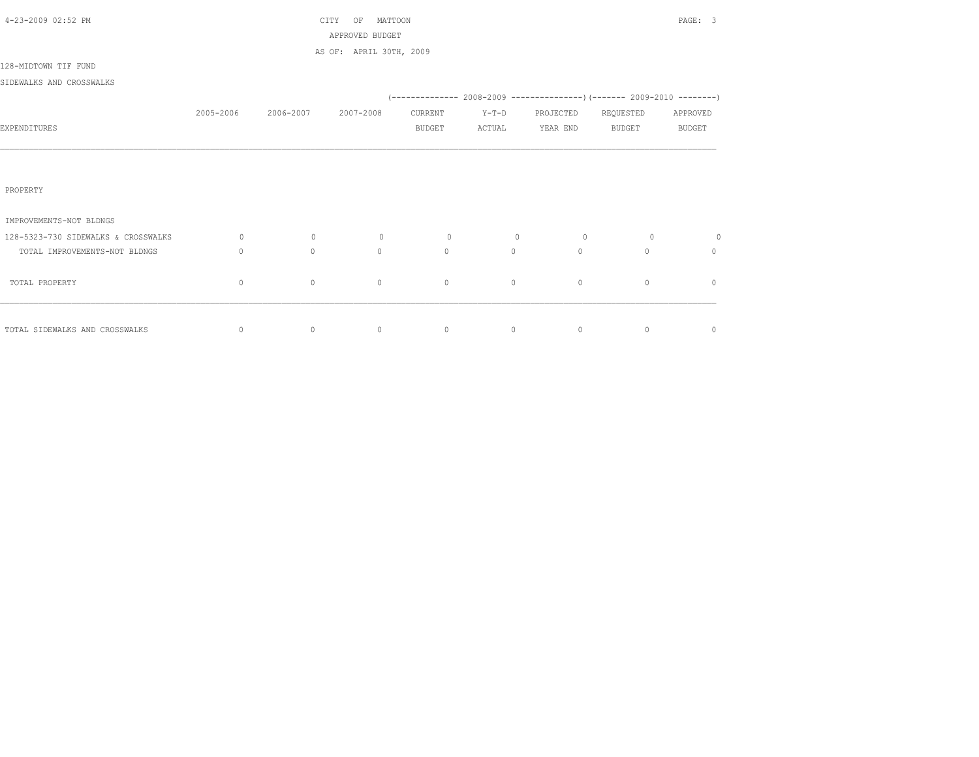| 4-23-2009 02:52 PM                  |           |           | MATTOON<br>CITY<br>OF                      |               |                |                 |              | PAGE: 3        |
|-------------------------------------|-----------|-----------|--------------------------------------------|---------------|----------------|-----------------|--------------|----------------|
|                                     |           |           | APPROVED BUDGET<br>AS OF: APRIL 30TH, 2009 |               |                |                 |              |                |
| 128-MIDTOWN TIF FUND                |           |           |                                            |               |                |                 |              |                |
| SIDEWALKS AND CROSSWALKS            |           |           |                                            |               |                |                 |              |                |
|                                     |           |           |                                            |               |                |                 |              |                |
|                                     | 2005-2006 | 2006-2007 | 2007-2008                                  | CURRENT       | $Y-T-D$        | PROJECTED       | REQUESTED    | APPROVED       |
| EXPENDITURES                        |           |           |                                            | <b>BUDGET</b> | ACTUAL         | YEAR END BUDGET |              | <b>BUDGET</b>  |
|                                     |           |           |                                            |               |                |                 |              |                |
|                                     |           |           |                                            |               |                |                 |              |                |
|                                     |           |           |                                            |               |                |                 |              |                |
| PROPERTY                            |           |           |                                            |               |                |                 |              |                |
| IMPROVEMENTS-NOT BLDNGS             |           |           |                                            |               |                |                 |              |                |
| 128-5323-730 SIDEWALKS & CROSSWALKS | $\circ$   | $\circ$   | $\circ$                                    | $\circ$       | $\overline{0}$ | $\circ$         | $\circ$      | $\circ$        |
| TOTAL IMPROVEMENTS-NOT BLDNGS       | $\circ$   | $\circ$   | $\Omega$                                   | $\Omega$      | $\circ$        | $\Omega$        | $\Omega$     | $\Omega$       |
|                                     |           |           |                                            |               |                |                 |              |                |
| TOTAL PROPERTY                      | 0         | $\circ$   | $\mathbf{0}$                               | $\circ$       | $\circ$        | $\circ$         | $\mathbf{0}$ | $\mathbf{0}$   |
|                                     |           |           |                                            |               |                |                 |              |                |
| TOTAL SIDEWALKS AND CROSSWALKS      | $\circ$   | $\circ$   | $\circ$                                    | $\circ$       | $\overline{0}$ | $\circ$         | $\circ$      | $\overline{0}$ |
|                                     |           |           |                                            |               |                |                 |              |                |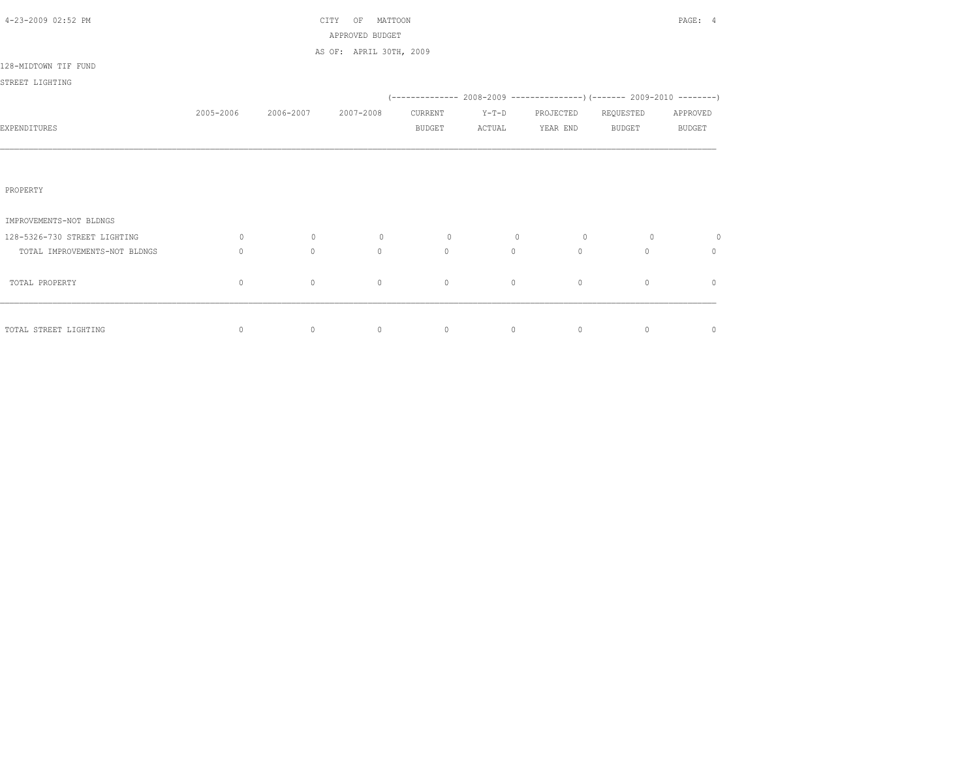| 4-23-2009 02:52 PM            |              |           | MATTOON<br>CITY<br>OF<br>APPROVED BUDGET |               |         |                                                                            |               | PAGE: 4       |
|-------------------------------|--------------|-----------|------------------------------------------|---------------|---------|----------------------------------------------------------------------------|---------------|---------------|
|                               |              |           | AS OF: APRIL 30TH, 2009                  |               |         |                                                                            |               |               |
| 128-MIDTOWN TIF FUND          |              |           |                                          |               |         |                                                                            |               |               |
| STREET LIGHTING               |              |           |                                          |               |         |                                                                            |               |               |
|                               |              |           |                                          |               |         | (-------------- 2008-2009 -----------------) (------- 2009-2010 ---------) |               |               |
|                               | 2005-2006    | 2006-2007 | 2007-2008                                | CURRENT       | $Y-T-D$ | PROJECTED                                                                  | REQUESTED     | APPROVED      |
| EXPENDITURES                  |              |           |                                          | <b>BUDGET</b> | ACTUAL  | YEAR END                                                                   | <b>BUDGET</b> | <b>BUDGET</b> |
|                               |              |           |                                          |               |         |                                                                            |               |               |
|                               |              |           |                                          |               |         |                                                                            |               |               |
| PROPERTY                      |              |           |                                          |               |         |                                                                            |               |               |
| IMPROVEMENTS-NOT BLDNGS       |              |           |                                          |               |         |                                                                            |               |               |
| 128-5326-730 STREET LIGHTING  | 0            | $\circ$   | $\circ$                                  | $\circ$       | $\circ$ | $\circ$                                                                    | $\circ$       | 0             |
| TOTAL IMPROVEMENTS-NOT BLDNGS | $\mathbf{0}$ | $\circ$   | $\circ$                                  | $\mathbf{0}$  | $\circ$ | $\Omega$                                                                   | $\Omega$      | 0             |
| TOTAL PROPERTY                | $\mathbf{0}$ | $\circ$   | $\mathbf{0}$                             | $\mathbf{0}$  | $\circ$ | $\circ$                                                                    | $\circ$       | $\mathbf{0}$  |
|                               |              |           |                                          |               |         |                                                                            |               |               |
| TOTAL STREET LIGHTING         | $\circ$      | $\circ$   | $\circ$                                  | $\circ$       | $\circ$ | $\circ$                                                                    | $\circ$       | $\circ$       |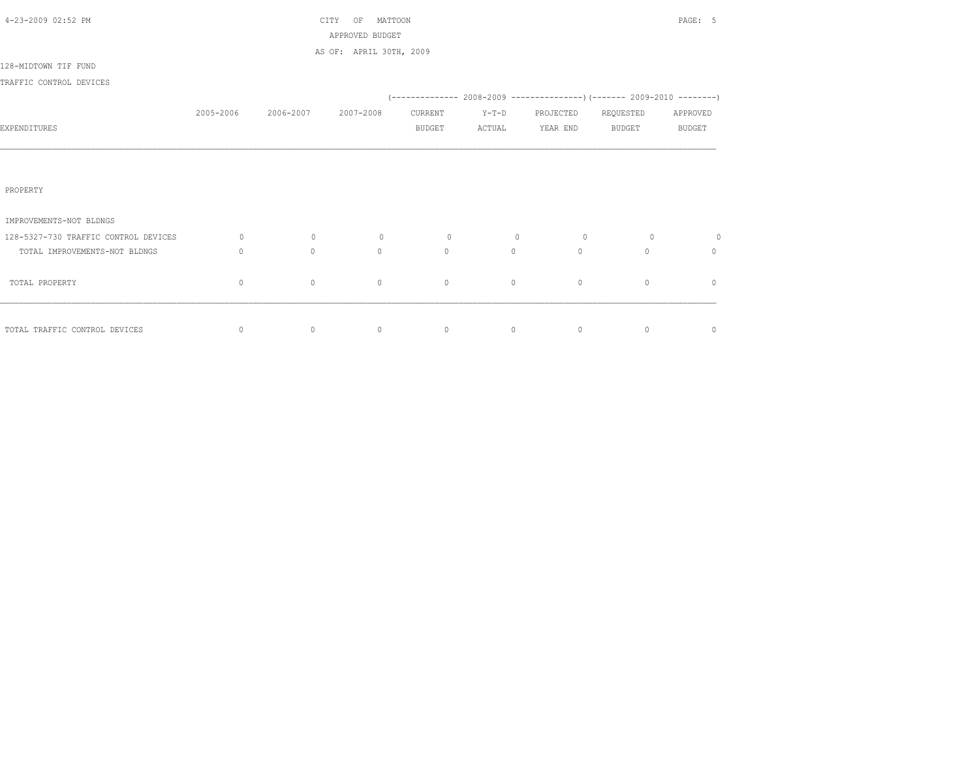| 4-23-2009 02:52 PM                   |              |                | MATTOON<br>CITY<br>OF   |               |                |           |                                                                          | PAGE: 5       |
|--------------------------------------|--------------|----------------|-------------------------|---------------|----------------|-----------|--------------------------------------------------------------------------|---------------|
|                                      |              |                | APPROVED BUDGET         |               |                |           |                                                                          |               |
| 128-MIDTOWN TIF FUND                 |              |                | AS OF: APRIL 30TH, 2009 |               |                |           |                                                                          |               |
|                                      |              |                |                         |               |                |           |                                                                          |               |
| TRAFFIC CONTROL DEVICES              |              |                |                         |               |                |           | (-------------- 2008-2009 ----------------) (------- 2009-2010 --------) |               |
|                                      | 2005-2006    | 2006-2007      | 2007-2008               | CURRENT       | $Y-T-D$        | PROJECTED |                                                                          | APPROVED      |
| EXPENDITURES                         |              |                |                         | <b>BUDGET</b> | ACTUAL         | YEAR END  | REQUESTED<br><b>BUDGET</b>                                               | <b>BUDGET</b> |
|                                      |              |                |                         |               |                |           |                                                                          |               |
|                                      |              |                |                         |               |                |           |                                                                          |               |
|                                      |              |                |                         |               |                |           |                                                                          |               |
| PROPERTY                             |              |                |                         |               |                |           |                                                                          |               |
|                                      |              |                |                         |               |                |           |                                                                          |               |
| IMPROVEMENTS-NOT BLDNGS              |              |                |                         |               |                |           |                                                                          |               |
| 128-5327-730 TRAFFIC CONTROL DEVICES | $\circ$      | $\overline{0}$ | $\circ$                 | $\circ$       | $\overline{0}$ | $\circ$   | $\circ$                                                                  | 0             |
| TOTAL IMPROVEMENTS-NOT BLDNGS        | $\Omega$     | $\circ$        | $\Omega$                | $\circ$       | $\circ$        | $\circ$   | $\Omega$                                                                 | $\circ$       |
|                                      |              |                |                         |               |                |           |                                                                          |               |
| TOTAL PROPERTY                       | $\mathbf{0}$ | $\circ$        | $\circ$                 | $\circ$       | $\circ$        | $\circ$   | $\circ$                                                                  | $\mathbf{0}$  |
|                                      |              |                |                         |               |                |           |                                                                          |               |
|                                      |              |                |                         |               |                |           |                                                                          |               |
| TOTAL TRAFFIC CONTROL DEVICES        | $\circ$      | $\circ$        | $\circ$                 | $\circ$       | $\overline{0}$ | $\circ$   | $\overline{0}$                                                           | $\circ$       |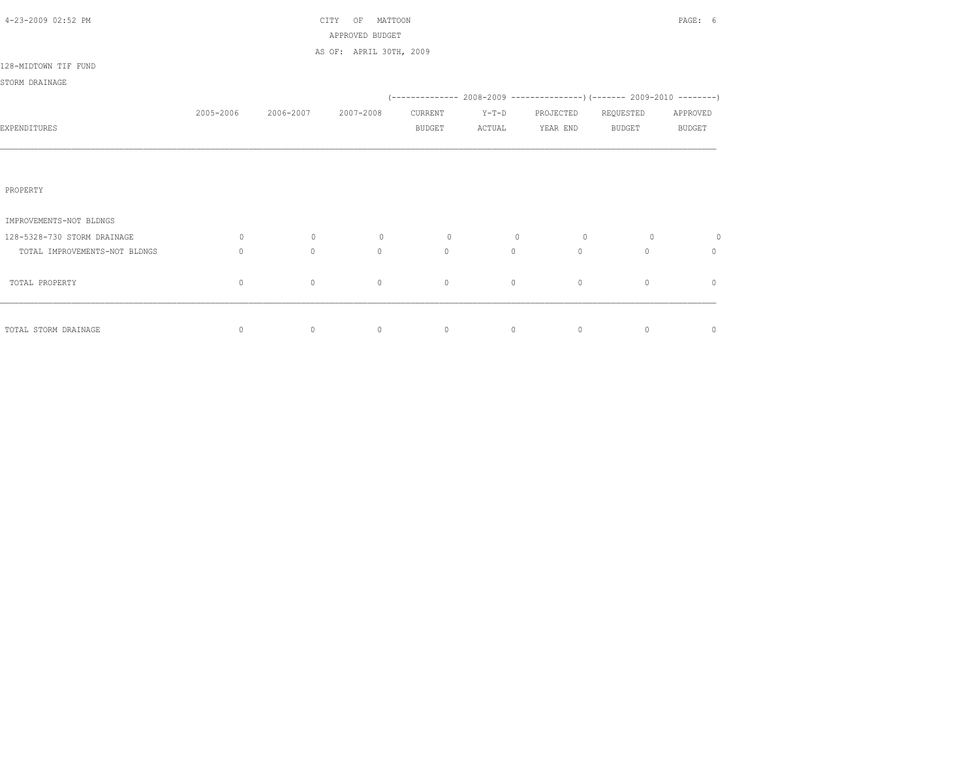| 4-23-2009 02:52 PM            |                                  |             | MATTOON<br>CITY<br>OF<br>APPROVED BUDGET |               |                |                                                                            |               | PAGE: 6       |
|-------------------------------|----------------------------------|-------------|------------------------------------------|---------------|----------------|----------------------------------------------------------------------------|---------------|---------------|
|                               |                                  |             | AS OF: APRIL 30TH, 2009                  |               |                |                                                                            |               |               |
| 128-MIDTOWN TIF FUND          |                                  |             |                                          |               |                |                                                                            |               |               |
| STORM DRAINAGE                |                                  |             |                                          |               |                |                                                                            |               |               |
|                               |                                  |             |                                          |               |                | (-------------- 2008-2009 -----------------) (------- 2009-2010 ---------) |               |               |
|                               | 2005-2006                        | 2006-2007   | 2007-2008                                | CURRENT       | $Y-T-D$        | PROJECTED                                                                  | REQUESTED     | APPROVED      |
| EXPENDITURES                  |                                  |             |                                          | <b>BUDGET</b> | ACTUAL         | YEAR END                                                                   | <b>BUDGET</b> | <b>BUDGET</b> |
|                               |                                  |             |                                          |               |                |                                                                            |               |               |
|                               |                                  |             |                                          |               |                |                                                                            |               |               |
| PROPERTY                      |                                  |             |                                          |               |                |                                                                            |               |               |
|                               |                                  |             |                                          |               |                |                                                                            |               |               |
| IMPROVEMENTS-NOT BLDNGS       |                                  |             |                                          |               |                |                                                                            |               |               |
| 128-5328-730 STORM DRAINAGE   | 0                                | $\circ$     | $\circ$                                  | $\circ$       | $\overline{0}$ | $\circ$                                                                    | $\circ$       | 0             |
| TOTAL IMPROVEMENTS-NOT BLDNGS | $\begin{array}{c} \n\end{array}$ | $\circ$     | $\circ$                                  | $\mathbf{0}$  | $\circ$        | $\Omega$                                                                   | $\Omega$      | $\circ$       |
|                               |                                  |             |                                          |               |                |                                                                            |               |               |
| TOTAL PROPERTY                | $\mathbf 0$                      | $\mathbb O$ | $\mathbb O$                              | $\mathbb O$   | $\circ$        | $\mathbb O$                                                                | $\circ$       | $\mathbf{0}$  |
|                               |                                  |             |                                          |               |                |                                                                            |               |               |
| TOTAL STORM DRAINAGE          | $\circ$                          | $\circ$     | $\circ$                                  | $\circ$       | $\circ$        | $\circ$                                                                    | $\circ$       | $\mathbf 0$   |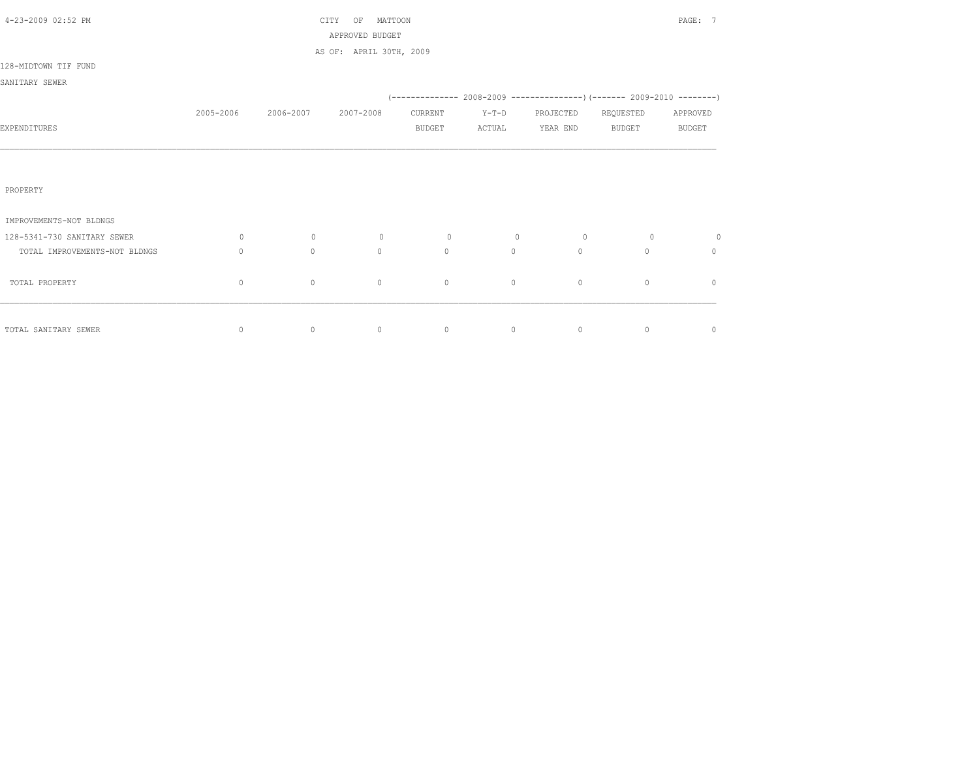| 4-23-2009 02:52 PM            |              |           | MATTOON<br>CITY<br>OF<br>APPROVED BUDGET |               |         |              |               | PAGE: 7       |
|-------------------------------|--------------|-----------|------------------------------------------|---------------|---------|--------------|---------------|---------------|
|                               |              |           | AS OF: APRIL 30TH, 2009                  |               |         |              |               |               |
| 128-MIDTOWN TIF FUND          |              |           |                                          |               |         |              |               |               |
| SANITARY SEWER                |              |           |                                          |               |         |              |               |               |
|                               |              |           |                                          |               |         |              |               |               |
|                               | 2005-2006    | 2006-2007 | 2007-2008                                | CURRENT       | $Y-T-D$ | PROJECTED    | REQUESTED     | APPROVED      |
| EXPENDITURES                  |              |           |                                          | <b>BUDGET</b> | ACTUAL  | YEAR END     | <b>BUDGET</b> | <b>BUDGET</b> |
|                               |              |           |                                          |               |         |              |               |               |
|                               |              |           |                                          |               |         |              |               |               |
| PROPERTY                      |              |           |                                          |               |         |              |               |               |
|                               |              |           |                                          |               |         |              |               |               |
| IMPROVEMENTS-NOT BLDNGS       |              |           |                                          |               |         |              |               |               |
| 128-5341-730 SANITARY SEWER   | $\circ$      | $\circ$   | $\circ$                                  | $\circ$       | $\circ$ | $\circ$      | $\circ$       | $\circ$       |
| TOTAL IMPROVEMENTS-NOT BLDNGS | 0            | $\circ$   | $\mathbf{0}$                             | $\mathbf{0}$  | $\circ$ | $\mathbf{0}$ | $\Omega$      | $\Omega$      |
| TOTAL PROPERTY                | $\mathbf{0}$ | $\circ$   | $\mathbf{0}$                             | $\circ$       | $\circ$ | $\circ$      | $\circ$       | $\mathbf{0}$  |
|                               |              |           |                                          |               |         |              |               |               |
|                               |              |           |                                          |               |         |              |               |               |
| TOTAL SANITARY SEWER          | $\circ$      | $\circ$   | $\circ$                                  | $\circ$       | $\circ$ | $\circ$      | $\circ$       | $\circ$       |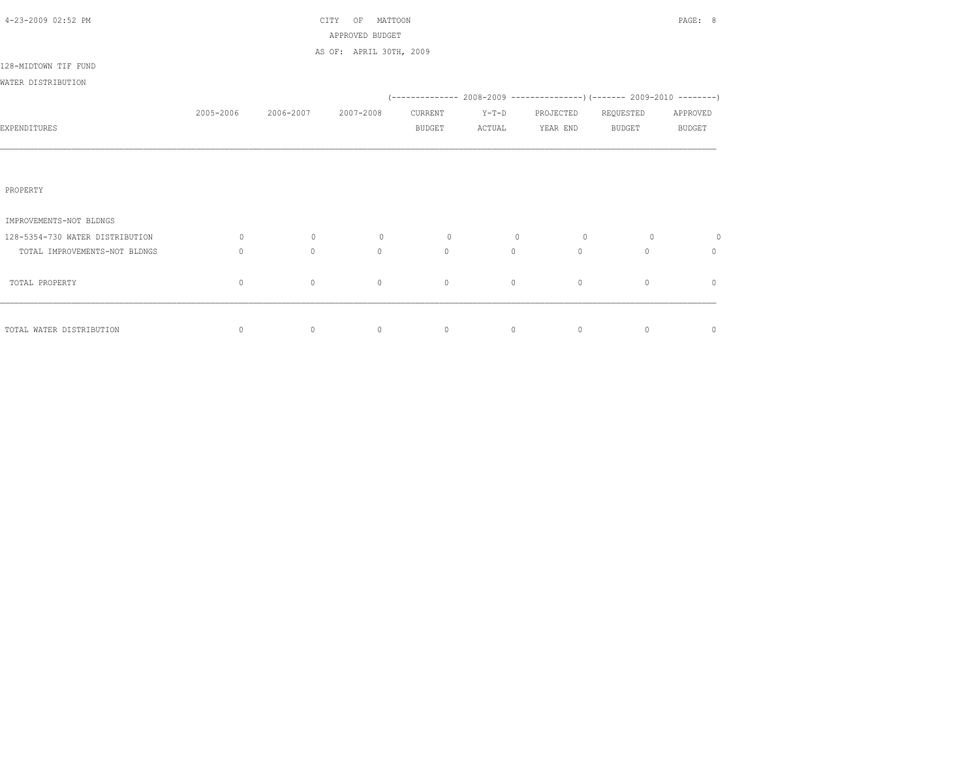| 4-23-2009 02:52 PM              |                                  |           | MATTOON<br>CITY<br>OF<br>APPROVED BUDGET |               |         |              |                                                                          | PAGE: 8       |
|---------------------------------|----------------------------------|-----------|------------------------------------------|---------------|---------|--------------|--------------------------------------------------------------------------|---------------|
|                                 |                                  |           | AS OF: APRIL 30TH, 2009                  |               |         |              |                                                                          |               |
| 128-MIDTOWN TIF FUND            |                                  |           |                                          |               |         |              |                                                                          |               |
| WATER DISTRIBUTION              |                                  |           |                                          |               |         |              |                                                                          |               |
|                                 |                                  |           |                                          |               |         |              | (-------------- 2008-2009 ----------------) (------- 2009-2010 --------) |               |
|                                 | 2005-2006                        | 2006-2007 | 2007-2008                                | CURRENT       | $Y-T-D$ | PROJECTED    | REQUESTED                                                                | APPROVED      |
| EXPENDITURES                    |                                  |           |                                          | <b>BUDGET</b> | ACTUAL  | YEAR END     | <b>BUDGET</b>                                                            | <b>BUDGET</b> |
|                                 |                                  |           |                                          |               |         |              |                                                                          |               |
|                                 |                                  |           |                                          |               |         |              |                                                                          |               |
| PROPERTY                        |                                  |           |                                          |               |         |              |                                                                          |               |
|                                 |                                  |           |                                          |               |         |              |                                                                          |               |
| IMPROVEMENTS-NOT BLDNGS         |                                  |           |                                          |               |         |              |                                                                          |               |
| 128-5354-730 WATER DISTRIBUTION | $\circ$                          | $\circ$   | $\circ$                                  | $\circ$       | $\circ$ | $\circ$      | $\circ$                                                                  | 0             |
| TOTAL IMPROVEMENTS-NOT BLDNGS   | $\begin{array}{c} \n\end{array}$ | $\circ$   | $\Omega$                                 | $\circ$       | $\circ$ | $\mathbf{0}$ | $\cap$                                                                   | $\mathbf{0}$  |
| TOTAL PROPERTY                  | $\mathbf{0}$                     | $\circ$   | $\mathbf{0}$                             | $\circ$       | $\circ$ | $\mathbf{0}$ | $\circ$                                                                  | $\mathbf{0}$  |
|                                 |                                  |           |                                          |               |         |              |                                                                          |               |
|                                 |                                  |           |                                          |               |         |              |                                                                          |               |
| TOTAL WATER DISTRIBUTION        | $\circ$                          | $\circ$   | $\circ$                                  | $\circ$       | $\circ$ | $\circ$      | $\overline{0}$                                                           | $\circ$       |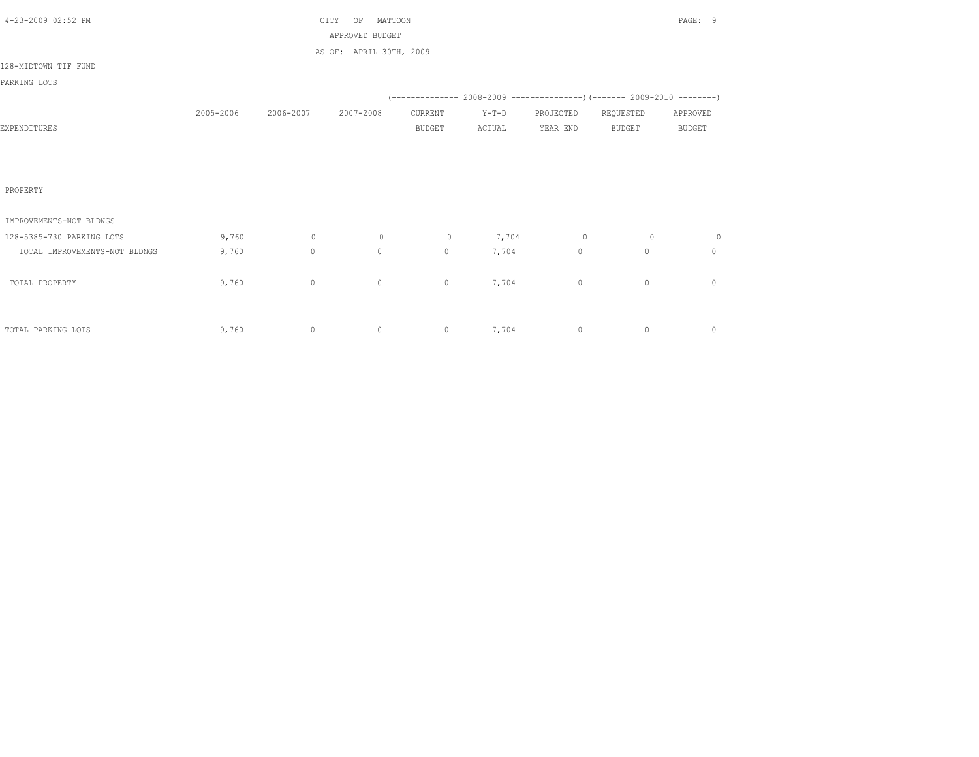|           |             | OF          |               |                                                       |              |               | PAGE: 9                                                                   |
|-----------|-------------|-------------|---------------|-------------------------------------------------------|--------------|---------------|---------------------------------------------------------------------------|
|           |             |             |               |                                                       |              |               |                                                                           |
|           |             |             |               |                                                       |              |               |                                                                           |
|           |             |             |               |                                                       |              |               |                                                                           |
|           |             |             |               |                                                       |              |               |                                                                           |
|           |             |             |               |                                                       |              |               |                                                                           |
| 2005-2006 | 2006-2007   | 2007-2008   | CURRENT       | $Y-T-D$                                               | PROJECTED    | REQUESTED     | APPROVED                                                                  |
|           |             |             | <b>BUDGET</b> | ACTUAL                                                | YEAR END     | <b>BUDGET</b> | <b>BUDGET</b>                                                             |
|           |             |             |               |                                                       |              |               |                                                                           |
|           |             |             |               |                                                       |              |               |                                                                           |
|           |             |             |               |                                                       |              |               |                                                                           |
|           |             |             |               |                                                       |              |               |                                                                           |
|           |             |             |               |                                                       |              |               |                                                                           |
|           |             |             |               |                                                       |              |               |                                                                           |
| 9,760     | $\circ$     | $\mathbb O$ | $\circ$       | 7,704                                                 | $\circ$      | $\circ$       | 0                                                                         |
| 9,760     | $\circ$     | $\circ$     | $\mathbf{0}$  | 7,704                                                 | $\mathbf{0}$ | $\mathbf{0}$  | $\circ$                                                                   |
|           |             |             |               |                                                       |              |               |                                                                           |
| 9,760     | $\mathbb O$ | $\circ$     | $\circ$       | 7,704                                                 | $\circ$      | $\circ$       | $\circ$                                                                   |
|           |             |             |               |                                                       |              |               |                                                                           |
|           |             |             |               |                                                       |              |               |                                                                           |
| 9,760     | $\circ$     | $\circ$     | $\circ$       | 7,704                                                 | $\circ$      | $\circ$       | $\circ$                                                                   |
|           |             |             | CITY          | MATTOON<br>APPROVED BUDGET<br>AS OF: APRIL 30TH, 2009 |              |               | (-------------- 2008-2009 -----------------) (------- 2009-2010 --------) |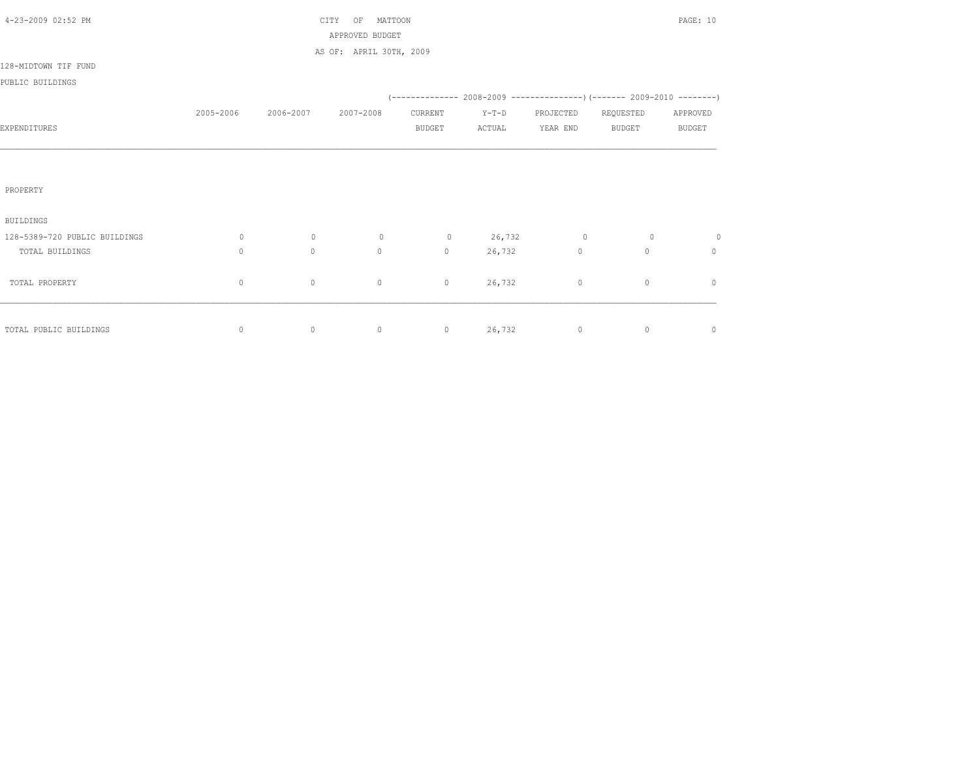| 4-23-2009 02:52 PM            |           |           | MATTOON<br>CITY<br>OF   |               |         |             |                                                                          | PAGE: 10      |
|-------------------------------|-----------|-----------|-------------------------|---------------|---------|-------------|--------------------------------------------------------------------------|---------------|
|                               |           |           | APPROVED BUDGET         |               |         |             |                                                                          |               |
|                               |           |           | AS OF: APRIL 30TH, 2009 |               |         |             |                                                                          |               |
| 128-MIDTOWN TIF FUND          |           |           |                         |               |         |             |                                                                          |               |
| PUBLIC BUILDINGS              |           |           |                         |               |         |             |                                                                          |               |
|                               |           |           |                         |               |         |             | (-------------- 2008-2009 ----------------) (------- 2009-2010 --------) |               |
|                               | 2005-2006 | 2006-2007 | 2007-2008               | CURRENT       | $Y-T-D$ | PROJECTED   | REQUESTED                                                                | APPROVED      |
| EXPENDITURES                  |           |           |                         | <b>BUDGET</b> | ACTUAL  | YEAR END    | <b>BUDGET</b>                                                            | <b>BUDGET</b> |
|                               |           |           |                         |               |         |             |                                                                          |               |
|                               |           |           |                         |               |         |             |                                                                          |               |
|                               |           |           |                         |               |         |             |                                                                          |               |
| PROPERTY                      |           |           |                         |               |         |             |                                                                          |               |
|                               |           |           |                         |               |         |             |                                                                          |               |
| <b>BUILDINGS</b>              |           |           |                         |               |         |             |                                                                          |               |
| 128-5389-720 PUBLIC BUILDINGS | $\circ$   | $\circ$   | $\circ$                 | $\circ$       | 26,732  | $\circ$     | $\circ$                                                                  | 0             |
| TOTAL BUILDINGS               | $\circ$   | $\circ$   | $\circ$                 | $\circ$       | 26,732  | $\mathbb O$ | $\mathbf{0}$                                                             | $\mathbf{0}$  |
|                               |           |           |                         |               |         |             |                                                                          |               |
| TOTAL PROPERTY                | $\circ$   | $\circ$   | $\circ$                 | $\circ$       | 26,732  | $\circ$     | $\circ$                                                                  | $\circ$       |
|                               |           |           |                         |               |         |             |                                                                          |               |
|                               |           |           |                         |               |         |             |                                                                          |               |
| TOTAL PUBLIC BUILDINGS        | $\circ$   | $\circ$   | $\circ$                 | $\circ$       | 26,732  | $\circ$     | $\circ$                                                                  | $\circ$       |
|                               |           |           |                         |               |         |             |                                                                          |               |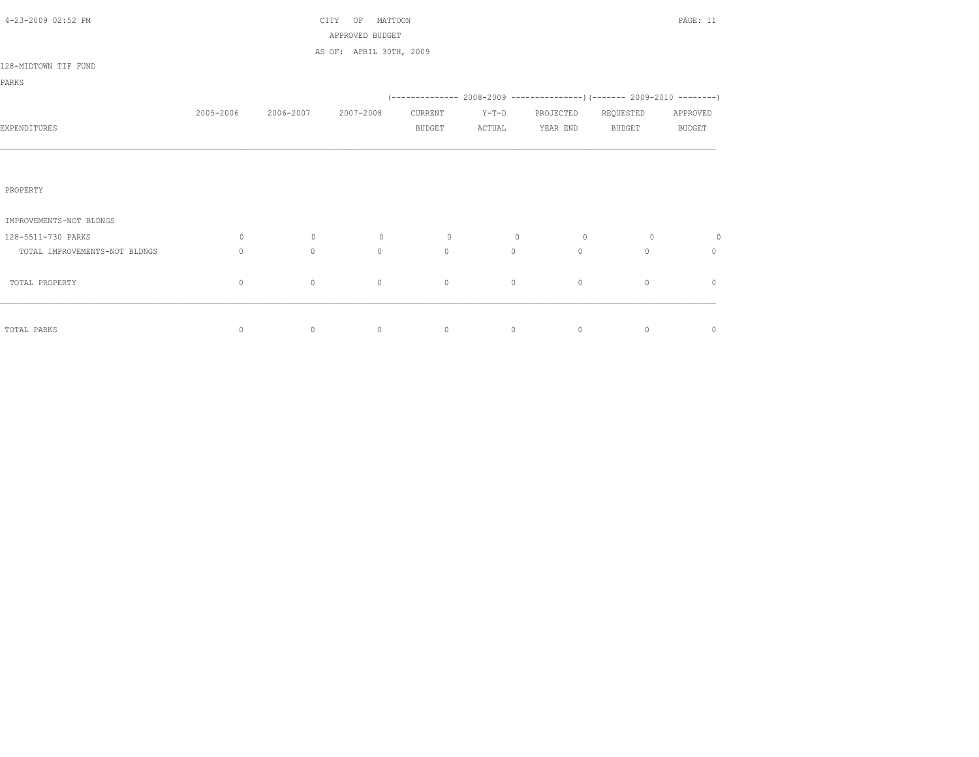| 4-23-2009 02:52 PM            |              |              | CITY<br>MATTOON<br>OF                      |               |                |             |           | PAGE: 11      |
|-------------------------------|--------------|--------------|--------------------------------------------|---------------|----------------|-------------|-----------|---------------|
|                               |              |              | APPROVED BUDGET<br>AS OF: APRIL 30TH, 2009 |               |                |             |           |               |
| 128-MIDTOWN TIF FUND          |              |              |                                            |               |                |             |           |               |
| PARKS                         |              |              |                                            |               |                |             |           |               |
|                               |              |              |                                            |               |                |             |           |               |
|                               | 2005-2006    | 2006-2007    | 2007-2008                                  | CURRENT       | $Y-T-D$        | PROJECTED   | REQUESTED | APPROVED      |
| EXPENDITURES                  |              |              |                                            | <b>BUDGET</b> | ACTUAL         | YEAR END    | BUDGET    | <b>BUDGET</b> |
|                               |              |              |                                            |               |                |             |           |               |
|                               |              |              |                                            |               |                |             |           |               |
| PROPERTY                      |              |              |                                            |               |                |             |           |               |
|                               |              |              |                                            |               |                |             |           |               |
| IMPROVEMENTS-NOT BLDNGS       |              |              |                                            |               |                |             |           |               |
| 128-5511-730 PARKS            | $\circ$      | $\circ$      | $\circ$                                    | $\circ$       | $\overline{0}$ | $\circ$     | $\circ$   | 0             |
| TOTAL IMPROVEMENTS-NOT BLDNGS | $\mathbf{0}$ | $\mathbf{0}$ | $\mathbf{0}$                               | $\circ$       | $\circ$        | $\circ$     | $\Omega$  | $\mathbf{0}$  |
|                               |              |              |                                            |               |                |             |           |               |
| TOTAL PROPERTY                | $\circ$      | $\circ$      | 0                                          | $\circ$       | $\circ$        | $\mathbb O$ | $\circ$   | $\mathbf{0}$  |
|                               |              |              |                                            |               |                |             |           |               |
| TOTAL PARKS                   | 0            | $\circ$      | $\circ$                                    | $\circ$       | $\circ$        | $\circ$     | $\circ$   | 0             |
|                               |              |              |                                            |               |                |             |           |               |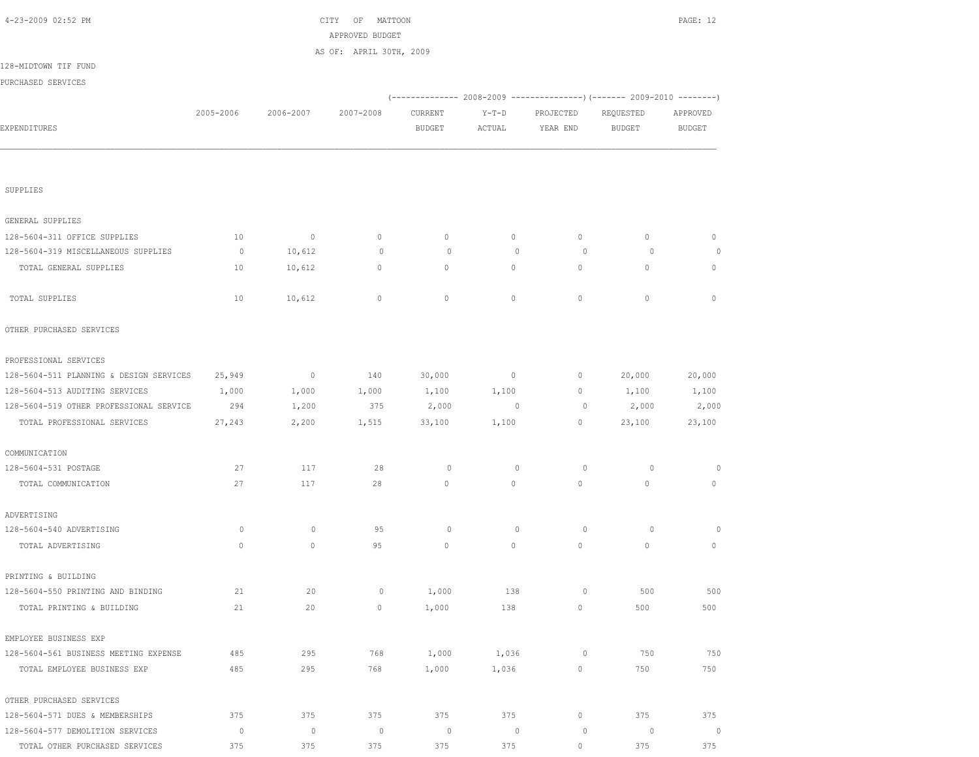| 4-23-2009 02:52 PM                      |           |                | CITY<br>ΟF<br>MATTOON<br>APPROVED BUDGET |                          |                   |                       |                                                                        | PAGE: 12                  |
|-----------------------------------------|-----------|----------------|------------------------------------------|--------------------------|-------------------|-----------------------|------------------------------------------------------------------------|---------------------------|
|                                         |           |                | AS OF: APRIL 30TH, 2009                  |                          |                   |                       |                                                                        |                           |
| 128-MIDTOWN TIF FUND                    |           |                |                                          |                          |                   |                       |                                                                        |                           |
| PURCHASED SERVICES                      |           |                |                                          |                          |                   |                       |                                                                        |                           |
|                                         |           |                |                                          |                          |                   |                       | (------------- 2008-2009 ---------------) (------- 2009-2010 --------) |                           |
| EXPENDITURES                            | 2005-2006 | 2006-2007      | 2007-2008                                | CURRENT<br><b>BUDGET</b> | $Y-T-D$<br>ACTUAL | PROJECTED<br>YEAR END | REQUESTED<br><b>BUDGET</b>                                             | APPROVED<br><b>BUDGET</b> |
|                                         |           |                |                                          |                          |                   |                       |                                                                        |                           |
| SUPPLIES                                |           |                |                                          |                          |                   |                       |                                                                        |                           |
| GENERAL SUPPLIES                        |           |                |                                          |                          |                   |                       |                                                                        |                           |
| 128-5604-311 OFFICE SUPPLIES            | 10        | $\overline{0}$ | $\circ$                                  | $\circ$                  | $\circ$           | $\circ$               | $\circ$                                                                | $\mathbf{0}$              |
| 128-5604-319 MISCELLANEOUS SUPPLIES     | $\circ$   | 10,612         | $\circ$                                  | $\circ$                  | $\mathbf{0}$      | $\circ$               | $\circ$                                                                | $\circ$                   |
| TOTAL GENERAL SUPPLIES                  | 10        | 10,612         | $\circ$                                  | $\circ$                  | $\circ$           | $\circ$               | $\mathbf{0}$                                                           | $\mathbf{0}$              |
| TOTAL SUPPLIES                          | 10        | 10,612         | $\mathbf{0}$                             | $\mathbf{0}$             | $\circ$           | $\mathbf{0}$          | $\mathbf{0}$                                                           | $\mathbf{0}$              |
| OTHER PURCHASED SERVICES                |           |                |                                          |                          |                   |                       |                                                                        |                           |
| PROFESSIONAL SERVICES                   |           |                |                                          |                          |                   |                       |                                                                        |                           |
| 128-5604-511 PLANNING & DESIGN SERVICES | 25,949    | $\overline{0}$ | 140                                      | 30,000                   | $\circ$           | 0                     | 20,000                                                                 | 20,000                    |
| 128-5604-513 AUDITING SERVICES          | 1,000     | 1,000          | 1,000                                    | 1,100                    | 1,100             | 0                     | 1,100                                                                  | 1,100                     |
| 128-5604-519 OTHER PROFESSIONAL SERVICE | 294       | 1,200          | 375                                      | 2,000                    | $\overline{0}$    | 0                     | 2,000                                                                  | 2,000                     |
| TOTAL PROFESSIONAL SERVICES             | 27,243    | 2,200          | 1,515                                    | 33,100                   | 1,100             | $\circ$               | 23,100                                                                 | 23,100                    |
| COMMUNICATION                           |           |                |                                          |                          |                   |                       |                                                                        |                           |
| 128-5604-531 POSTAGE                    | 27        | 117            | 28                                       | $\circ$                  | $\mathbf{0}$      | $\circ$               | $\circ$                                                                | 0                         |
| TOTAL COMMUNICATION                     | 27        | 117            | 28                                       | $\mathbf{0}$             | $\circ$           | $\mathbb O$           | $\mathbf{0}$                                                           | $\mathbf{0}$              |
| ADVERTISING                             |           |                |                                          |                          |                   |                       |                                                                        |                           |
| 128-5604-540 ADVERTISING                | $\circ$   | $\circ$        | 95                                       | $\circ$                  | $\mathbf{0}$      | $\circ$               | $\circ$                                                                | $\circ$                   |
| TOTAL ADVERTISING                       | $\circ$   | $\circ$        | 95                                       | $\circ$                  | $\circ$           | $\circ$               | $\circ$                                                                | $\mathbf{0}$              |
| PRINTING & BUILDING                     |           |                |                                          |                          |                   |                       |                                                                        |                           |
| 128-5604-550 PRINTING AND BINDING       | 21        | 20             | $\circ$                                  | 1,000                    | 138               | $\circ$               | 500                                                                    | 500                       |
| TOTAL PRINTING & BUILDING               | 21        | 20             | 0                                        | 1,000                    | 138               | $\mathbb O$           | 500                                                                    | 500                       |
| EMPLOYEE BUSINESS EXP                   |           |                |                                          |                          |                   |                       |                                                                        |                           |
| 128-5604-561 BUSINESS MEETING EXPENSE   | 485       | 295            | 768                                      | 1,000                    | 1,036             | $\circ$               | 750                                                                    | 750                       |
| TOTAL EMPLOYEE BUSINESS EXP             | 485       | 295            | 768                                      | 1,000                    | 1,036             | $\circ$               | 750                                                                    | 750                       |
| OTHER PURCHASED SERVICES                |           |                |                                          |                          |                   |                       |                                                                        |                           |
| 128-5604-571 DUES & MEMBERSHIPS         | 375       | 375            | 375                                      | 375                      | 375               | $\circ$               | 375                                                                    | 375                       |
| 128-5604-577 DEMOLITION SERVICES        | $\circ$   | $\mathbb O$    | $\circ$                                  | $\circ$                  | $\mathbf 0$       | $\circ$               | 0                                                                      | $\overline{0}$            |
| TOTAL OTHER PURCHASED SERVICES          | 375       | 375            | 375                                      | 375                      | 375               | $\circ$               | 375                                                                    | 375                       |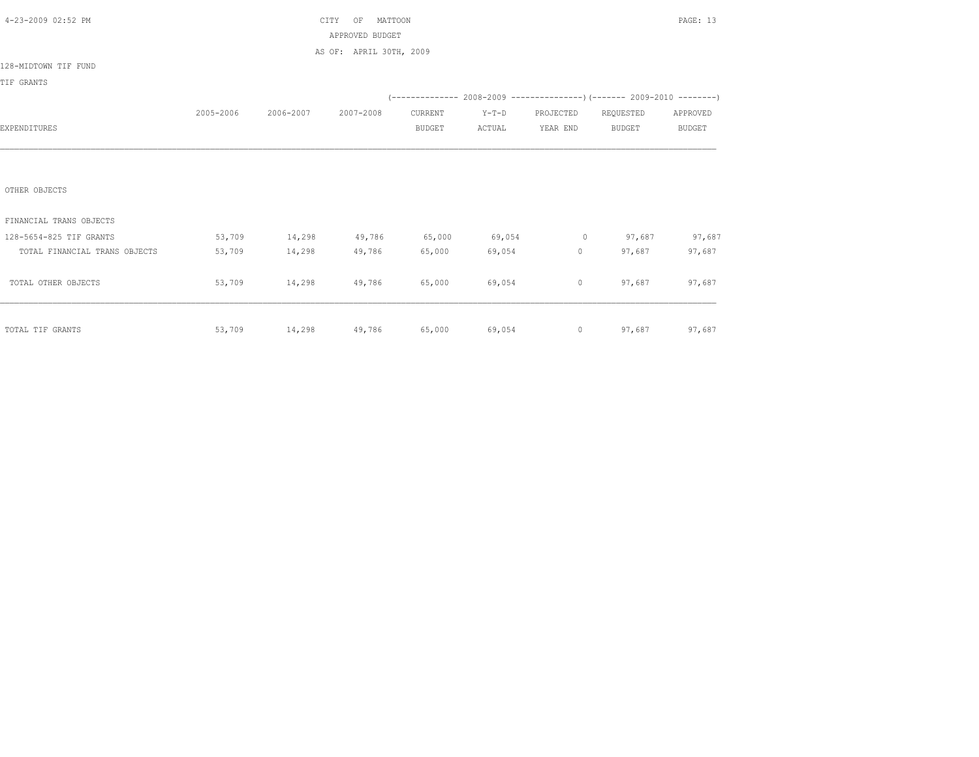| 4-23-2009 02:52 PM            |           |               | MATTOON<br>CITY<br>OF                               |               |                        |           | PAGE: 13<br>(-------------- 2008-2009 ----------------) (------- 2009-2010 --------)<br>REQUESTED<br>APPROVED |               |  |  |
|-------------------------------|-----------|---------------|-----------------------------------------------------|---------------|------------------------|-----------|---------------------------------------------------------------------------------------------------------------|---------------|--|--|
|                               |           |               | APPROVED BUDGET                                     |               |                        |           |                                                                                                               |               |  |  |
|                               |           |               | AS OF: APRIL 30TH, 2009                             |               |                        |           |                                                                                                               |               |  |  |
| 128-MIDTOWN TIF FUND          |           |               |                                                     |               |                        |           |                                                                                                               |               |  |  |
| TIF GRANTS                    |           |               |                                                     |               |                        |           |                                                                                                               |               |  |  |
|                               |           |               |                                                     |               |                        |           |                                                                                                               |               |  |  |
|                               | 2005-2006 | 2006-2007     | 2007-2008                                           | CURRENT       | $Y-T-D$                | PROJECTED |                                                                                                               |               |  |  |
| EXPENDITURES                  |           |               |                                                     | <b>BUDGET</b> | ACTUAL                 | YEAR END  | BUDGET                                                                                                        | <b>BUDGET</b> |  |  |
|                               |           |               |                                                     |               |                        |           |                                                                                                               |               |  |  |
|                               |           |               |                                                     |               |                        |           |                                                                                                               |               |  |  |
| OTHER OBJECTS                 |           |               |                                                     |               |                        |           |                                                                                                               |               |  |  |
| FINANCIAL TRANS OBJECTS       |           |               |                                                     |               |                        |           |                                                                                                               |               |  |  |
| 128-5654-825 TIF GRANTS       | 53,709    | 14,298        | 49,786                                              |               | 65,000 69,054 0 97,687 |           |                                                                                                               | 97,687        |  |  |
| TOTAL FINANCIAL TRANS OBJECTS | 53,709    | 14,298        | 49,786                                              | 65,000        | 69,054                 | 0         | 97,687                                                                                                        | 97,687        |  |  |
| TOTAL OTHER OBJECTS           | 53,709    | 14,298 49,786 |                                                     | 65,000        | 69,054                 | $\circ$   | 97,687                                                                                                        | 97,687        |  |  |
|                               |           |               |                                                     |               |                        |           |                                                                                                               |               |  |  |
|                               |           |               |                                                     |               |                        |           |                                                                                                               |               |  |  |
| TOTAL TIF GRANTS              | 53,709    |               | $14,298$ $49,786$ $65,000$ $69,054$ 0 97,687 97,687 |               |                        |           |                                                                                                               |               |  |  |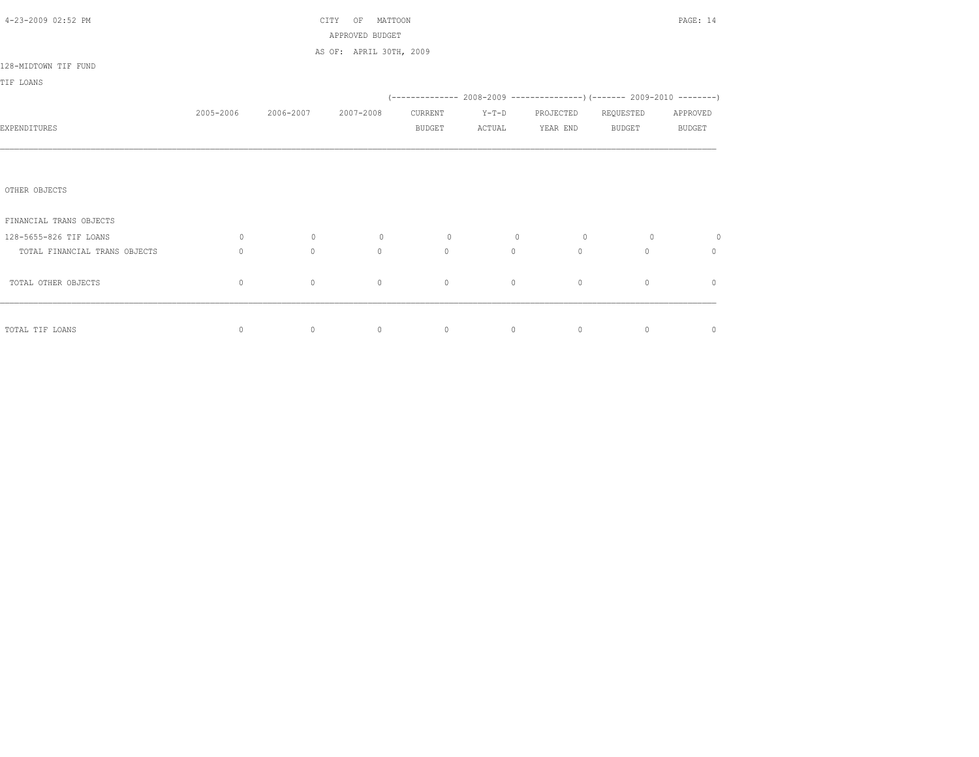| 4-23-2009 02:52 PM            |           |           | CITY<br>MATTOON<br>OF<br>APPROVED BUDGET |                |                |             |                                                                              | PAGE: 14      |
|-------------------------------|-----------|-----------|------------------------------------------|----------------|----------------|-------------|------------------------------------------------------------------------------|---------------|
|                               |           |           | AS OF: APRIL 30TH, 2009                  |                |                |             |                                                                              |               |
| 128-MIDTOWN TIF FUND          |           |           |                                          |                |                |             |                                                                              |               |
| TIF LOANS                     |           |           |                                          |                |                |             |                                                                              |               |
|                               |           |           |                                          |                |                |             | (-------------- 2008-2009 -------------------) (------- 2009-2010 ---------) |               |
|                               | 2005-2006 | 2006-2007 | 2007-2008                                | CURRENT        | $Y-T-D$        | PROJECTED   | REQUESTED                                                                    | APPROVED      |
| EXPENDITURES                  |           |           |                                          | <b>BUDGET</b>  | ACTUAL         | YEAR END    | <b>BUDGET</b>                                                                | <b>BUDGET</b> |
|                               |           |           |                                          |                |                |             |                                                                              |               |
|                               |           |           |                                          |                |                |             |                                                                              |               |
| OTHER OBJECTS                 |           |           |                                          |                |                |             |                                                                              |               |
| FINANCIAL TRANS OBJECTS       |           |           |                                          |                |                |             |                                                                              |               |
| 128-5655-826 TIF LOANS        | $\circ$   | $\circ$   | $\circ$                                  | $\overline{0}$ | $\overline{0}$ | $\circ$     | $\circ$                                                                      | $\circ$       |
| TOTAL FINANCIAL TRANS OBJECTS | $\Omega$  | $\Omega$  | $\Omega$                                 | $\Omega$       | $\circ$        | $\Omega$    | $\Omega$                                                                     | $\mathbf{0}$  |
| TOTAL OTHER OBJECTS           | 0         | $\circ$   | $\circ$                                  | $\circ$        | $\circ$        | $\mathbb O$ | $\mathbb O$                                                                  | $\mathbf{0}$  |
|                               |           |           |                                          |                |                |             |                                                                              |               |
| TOTAL TIF LOANS               | $\circ$   | $\circ$   | $\circ$                                  | $\circ$        | $\circ$        | $\circ$     | $\circ$                                                                      | $\circ$       |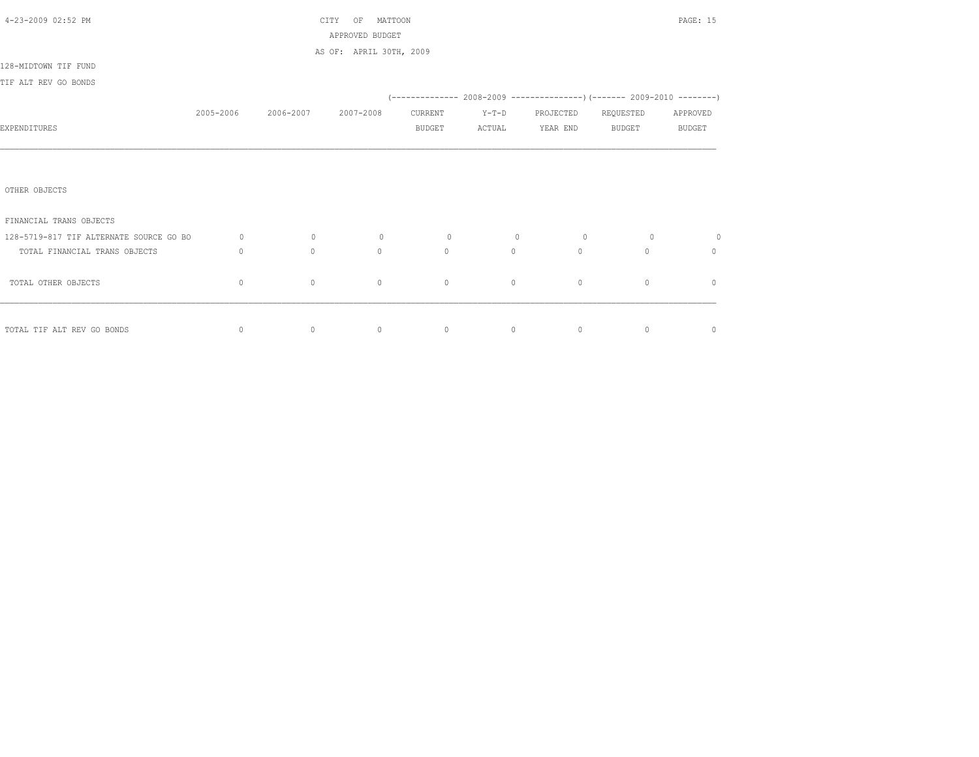| 4-23-2009 02:52 PM                      |              |                     | MATTOON<br>CITY<br>OF   |         | PAGE: 15 |                |                                                                          |               |
|-----------------------------------------|--------------|---------------------|-------------------------|---------|----------|----------------|--------------------------------------------------------------------------|---------------|
|                                         |              |                     | APPROVED BUDGET         |         |          |                |                                                                          |               |
|                                         |              |                     | AS OF: APRIL 30TH, 2009 |         |          |                |                                                                          |               |
| 128-MIDTOWN TIF FUND                    |              |                     |                         |         |          |                |                                                                          |               |
| TIF ALT REV GO BONDS                    |              |                     |                         |         |          |                |                                                                          |               |
|                                         |              |                     |                         |         |          |                | (-------------- 2008-2009 ----------------) (------- 2009-2010 --------) |               |
|                                         | 2005-2006    | 2006-2007 2007-2008 |                         | CURRENT | $Y-T-D$  | PROJECTED      | REQUESTED                                                                | APPROVED      |
| EXPENDITURES                            |              |                     |                         | BUDGET  | ACTUAL   | YEAR END       | BUDGET                                                                   | <b>BUDGET</b> |
|                                         |              |                     |                         |         |          |                |                                                                          |               |
|                                         |              |                     |                         |         |          |                |                                                                          |               |
|                                         |              |                     |                         |         |          |                |                                                                          |               |
| OTHER OBJECTS                           |              |                     |                         |         |          |                |                                                                          |               |
|                                         |              |                     |                         |         |          |                |                                                                          |               |
| FINANCIAL TRANS OBJECTS                 |              |                     |                         |         |          |                |                                                                          |               |
| 128-5719-817 TIF ALTERNATE SOURCE GO BO | $\circ$      | $\circ$             | $\circ$                 | $\circ$ | $\circ$  | $\overline{0}$ | $\circ$                                                                  | $\circ$       |
| TOTAL FINANCIAL TRANS OBJECTS           | $\mathbf{0}$ | $\circ$             | $\mathbf{0}$            | $\circ$ | $\circ$  | $\circ$        | $\Omega$                                                                 | $\mathbf{0}$  |
|                                         |              |                     |                         |         |          |                |                                                                          |               |
| TOTAL OTHER OBJECTS                     | $\mathbf{0}$ | $\circ$             | $\mathbf{0}$            | $\circ$ | $\circ$  | $\circ$        | $\mathbf{0}$                                                             | $\mathbf{0}$  |
|                                         |              |                     |                         |         |          |                |                                                                          |               |
|                                         |              |                     |                         |         |          |                |                                                                          |               |
| TOTAL TIF ALT REV GO BONDS              | $\mathbb O$  | $\circ$             | $\circ$                 | $\circ$ | $\circ$  | $\circ$        | $\mathbf{0}$                                                             | $\circ$       |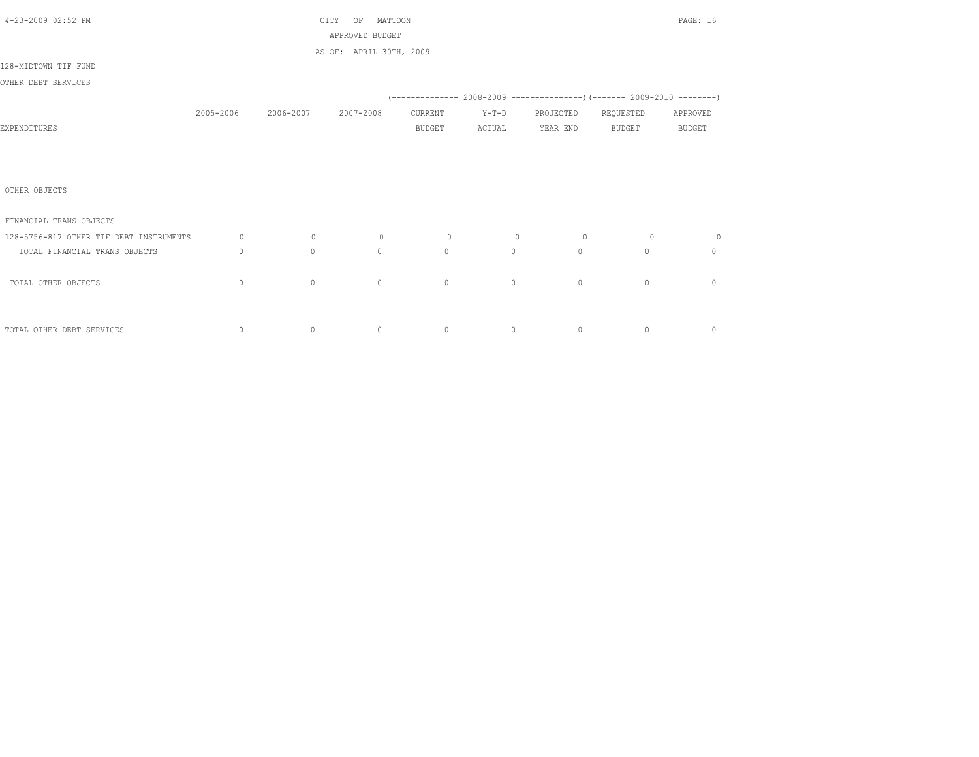| 4-23-2009 02:52 PM                      | MATTOON<br>CITY<br>OF |                |                         |                |                                                          |                 | PAGE: 16       |                |  |  |
|-----------------------------------------|-----------------------|----------------|-------------------------|----------------|----------------------------------------------------------|-----------------|----------------|----------------|--|--|
|                                         |                       |                | APPROVED BUDGET         |                |                                                          |                 |                |                |  |  |
|                                         |                       |                | AS OF: APRIL 30TH, 2009 |                |                                                          |                 |                |                |  |  |
| 128-MIDTOWN TIF FUND                    |                       |                |                         |                |                                                          |                 |                |                |  |  |
| OTHER DEBT SERVICES                     |                       |                |                         |                |                                                          |                 |                |                |  |  |
|                                         |                       |                |                         |                |                                                          |                 |                |                |  |  |
|                                         | 2005-2006             | 2006-2007      | 2007-2008               | CURRENT        | $Y-T-D$                                                  | PROJECTED       | REQUESTED      | APPROVED       |  |  |
| EXPENDITURES                            |                       |                |                         | <b>BUDGET</b>  | ACTUAL                                                   | YEAR END BUDGET |                | <b>BUDGET</b>  |  |  |
|                                         |                       |                |                         |                |                                                          |                 |                |                |  |  |
|                                         |                       |                |                         |                |                                                          |                 |                |                |  |  |
|                                         |                       |                |                         |                |                                                          |                 |                |                |  |  |
| OTHER OBJECTS                           |                       |                |                         |                |                                                          |                 |                |                |  |  |
|                                         |                       |                |                         |                |                                                          |                 |                |                |  |  |
| FINANCIAL TRANS OBJECTS                 |                       |                |                         |                |                                                          |                 |                |                |  |  |
| 128-5756-817 OTHER TIF DEBT INSTRUMENTS | $\circ$               | $\overline{0}$ | $\circ$                 | $\overline{0}$ | $\overline{0}$                                           | $\circ$         | $\overline{0}$ | $\circ$        |  |  |
| TOTAL FINANCIAL TRANS OBJECTS           | $\Omega$              | $\Omega$       | $\Omega$                | $\Omega$       | $\Omega$                                                 | $\Omega$        | $\Omega$       | $\Omega$       |  |  |
|                                         |                       |                |                         |                |                                                          |                 |                |                |  |  |
| TOTAL OTHER OBJECTS                     | $\mathbf 0$           | $\circ$        | $\mathbf{0}$            | $\circ$        | $\circ$                                                  | $\circ$         | $\circ$        | $\mathbf{0}$   |  |  |
|                                         |                       |                |                         |                |                                                          |                 |                |                |  |  |
|                                         |                       |                |                         |                |                                                          |                 |                |                |  |  |
| TOTAL OTHER DEBT SERVICES               | $\circ$               | $\overline{0}$ | $\sim$ 0                |                | $\begin{array}{ccccccc}\n0 & & & 0 & & & 0\n\end{array}$ |                 | $\overline{0}$ | $\overline{0}$ |  |  |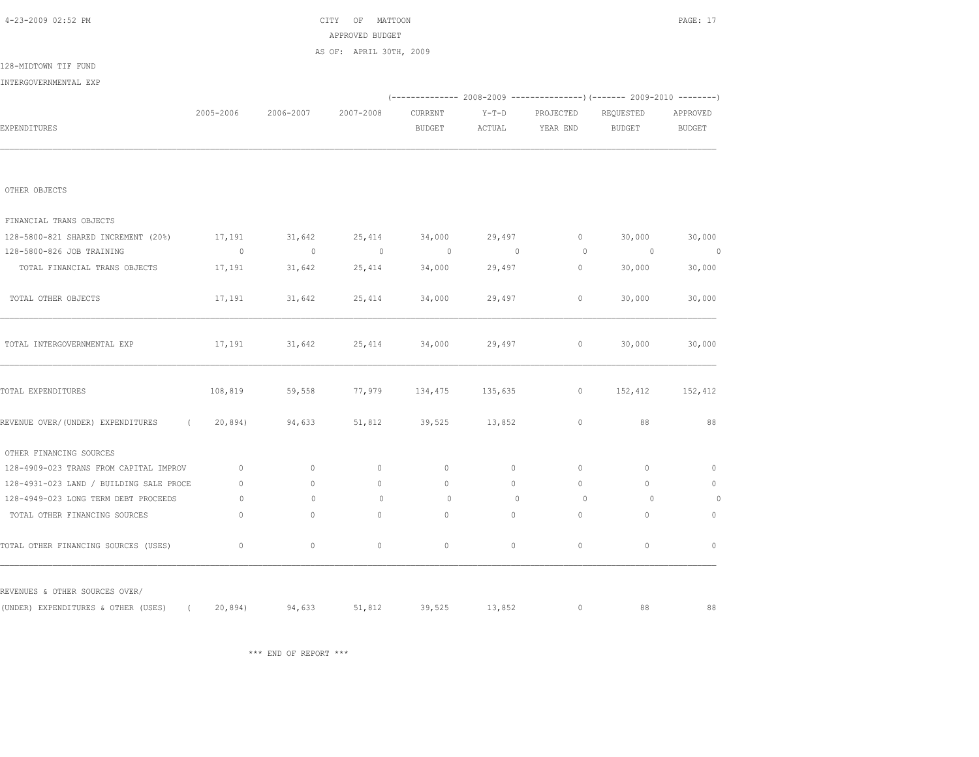## \*\*\* END OF REPORT \*\*\*

| EXPENDITURES                                                              |              |          |              | <b>BUDGET</b>        | ACTUAL   | YEAR END       | <b>BUDGET</b> | <b>BUDGET</b> |
|---------------------------------------------------------------------------|--------------|----------|--------------|----------------------|----------|----------------|---------------|---------------|
|                                                                           |              |          |              |                      |          |                |               |               |
| OTHER OBJECTS                                                             |              |          |              |                      |          |                |               |               |
| FINANCIAL TRANS OBJECTS                                                   |              |          |              |                      |          |                |               |               |
| 128-5800-821 SHARED INCREMENT (20%)                                       | 17,191       | 31,642   | 25,414       | 34,000               | 29,497   | $\circ$        | 30,000        | 30,000        |
| 128-5800-826 JOB TRAINING                                                 | $\sim$ 0     | $\sim$ 0 | $\sim$ 0     | $\sim$ 0             | $\sim$ 0 | $\overline{0}$ | $\sim$ 0      | $\sim$ 0      |
| TOTAL FINANCIAL TRANS OBJECTS                                             | 17,191       | 31,642   | 25,414       | 34,000               | 29,497   | 0              | 30,000        | 30,000        |
| TOTAL OTHER OBJECTS                                                       | 17,191       | 31,642   | 25,414       | 34,000               | 29,497   | $\circ$        | 30,000        | 30,000        |
| TOTAL INTERGOVERNMENTAL EXP                                               | 17,191       | 31,642   | 25,414       | 34,000               | 29,497   | $\circ$        | 30,000        | 30,000        |
| TOTAL EXPENDITURES                                                        | 108,819      | 59,558   | 77,979       | 134,475 135,635      |          | $\circ$        | 152,412       | 152,412       |
| REVENUE OVER/(UNDER) EXPENDITURES                                         | (20, 894)    | 94,633   |              | 51,812 39,525 13,852 |          | $\mathbb O$    | 88            | 88            |
| OTHER FINANCING SOURCES                                                   |              |          |              |                      |          |                |               |               |
| 128-4909-023 TRANS FROM CAPITAL IMPROV                                    | $\mathbf{0}$ | $\circ$  | $\circ$      | $\mathbf{0}$         | $\circ$  | $\circ$        | $\mathbf{0}$  | $\mathbf{0}$  |
| 128-4931-023 LAND / BUILDING SALE PROCE                                   | $\mathbf{0}$ | $\Omega$ | $\mathbf{0}$ | $\mathbf{0}$         | $\circ$  | $\Omega$       | $\Omega$      | $\circ$       |
| 128-4949-023 LONG TERM DEBT PROCEEDS                                      | $\Omega$     | $\Omega$ | $\mathbf{0}$ | $\Omega$             | $\Omega$ | $\Omega$       | $\Omega$      | $\circ$       |
| TOTAL OTHER FINANCING SOURCES                                             | $\mathbf{0}$ | $\circ$  | $\mathbf{0}$ | $\mathbf{0}$         | $\circ$  | $\circ$        | $\mathbf{0}$  | $\circ$       |
| TOTAL OTHER FINANCING SOURCES (USES)                                      | $\mathbf{0}$ | $\circ$  | $\mathbf{0}$ | $\mathbf{0}$         | $\circ$  | $\circ$        | $\circ$       | $\mathbf{0}$  |
| REVENUES & OTHER SOURCES OVER/                                            |              |          |              |                      |          |                |               |               |
| (UNDER) EXPENDITURES & OTHER (USES) ( 20,894) 94,633 51,812 39,525 13,852 |              |          |              |                      |          | $\circ$        | 88            | 88            |

128-MIDTOWN TIF FUND INTERGOVERNMENTAL EXP

2005-2006 2006-2007 2007-2008 CURRENT Y-T-D PROJECTED REQUESTED APPROVED

(-------------- 2008-2009 ---------------)(------- 2009-2010 --------)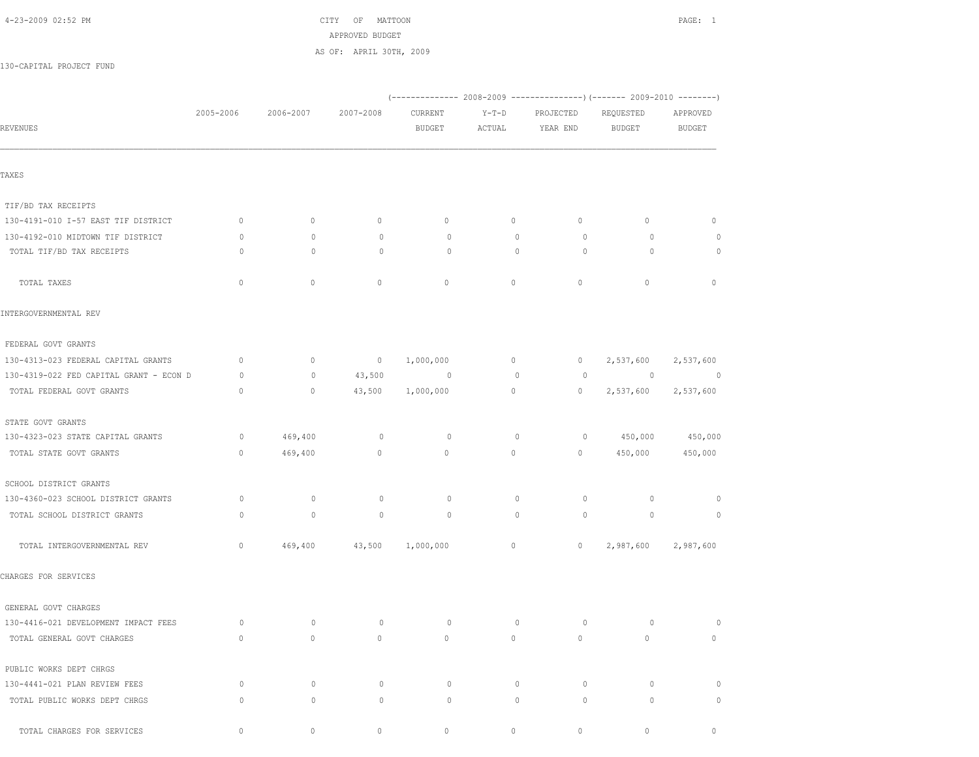|                                         |           |              |              | (------------- 2008-2009 ---------------) (------- 2009-2010 --------) |                   |                       |                            |                           |
|-----------------------------------------|-----------|--------------|--------------|------------------------------------------------------------------------|-------------------|-----------------------|----------------------------|---------------------------|
| REVENUES                                | 2005-2006 | 2006-2007    | 2007-2008    | CURRENT<br><b>BUDGET</b>                                               | $Y-T-D$<br>ACTUAL | PROJECTED<br>YEAR END | REQUESTED<br><b>BUDGET</b> | APPROVED<br><b>BUDGET</b> |
|                                         |           |              |              |                                                                        |                   |                       |                            |                           |
| TAXES                                   |           |              |              |                                                                        |                   |                       |                            |                           |
| TIF/BD TAX RECEIPTS                     |           |              |              |                                                                        |                   |                       |                            |                           |
| 130-4191-010 I-57 EAST TIF DISTRICT     | $\circ$   | $\circ$      | $\circ$      | $\circ$                                                                | $\circ$           | 0                     | $\circ$                    | $\circ$                   |
| 130-4192-010 MIDTOWN TIF DISTRICT       | $\circ$   | $\circ$      | $\circ$      | 0                                                                      | $\circ$           | 0                     | 0                          | 0                         |
| TOTAL TIF/BD TAX RECEIPTS               | $\circ$   | $\mathbf{0}$ | 0            | $\circ$                                                                | $\mathbf 0$       | $\circ$               | $\circ$                    | $\circ$                   |
| TOTAL TAXES                             | $\circ$   | $\mathbf{0}$ | $\mathbf{0}$ | $\mathbf{0}$                                                           | $\circ$           | $\circ$               | $\mathbf{0}$               | $\circ$                   |
| INTERGOVERNMENTAL REV                   |           |              |              |                                                                        |                   |                       |                            |                           |
| FEDERAL GOVT GRANTS                     |           |              |              |                                                                        |                   |                       |                            |                           |
| 130-4313-023 FEDERAL CAPITAL GRANTS     | $\circ$   | $\mathbf 0$  | $\circ$      | 1,000,000                                                              | $\circ$           | $\circ$               | 2,537,600                  | 2,537,600                 |
| 130-4319-022 FED CAPITAL GRANT - ECON D | 0         | $\mathbb O$  | 43,500       | 0                                                                      | $\mathbf 0$       | $\circ$               | $\circ$                    | $\overline{0}$            |
| TOTAL FEDERAL GOVT GRANTS               | $\circ$   | $\circ$      | 43,500       | 1,000,000                                                              | $\mathbb O$       | $\circ$               | 2,537,600                  | 2,537,600                 |
| STATE GOVT GRANTS                       |           |              |              |                                                                        |                   |                       |                            |                           |
| 130-4323-023 STATE CAPITAL GRANTS       | $\circ$   | 469,400      | $\circ$      | 0                                                                      | 0                 | 0                     | 450,000                    | 450,000                   |
| TOTAL STATE GOVT GRANTS                 | $\circ$   | 469,400      | $\circ$      | $\mathbb O$                                                            | $\circ$           | 0                     | 450,000                    | 450,000                   |
| SCHOOL DISTRICT GRANTS                  |           |              |              |                                                                        |                   |                       |                            |                           |
| 130-4360-023 SCHOOL DISTRICT GRANTS     | 0         | $\circ$      | $\circ$      | $\circ$                                                                | $\circ$           | $\circ$               | 0                          | 0                         |
| TOTAL SCHOOL DISTRICT GRANTS            | $\Omega$  | $\mathbf 0$  | $\circ$      | 0                                                                      | $\mathbf{0}$      | $\circ$               | $\circ$                    | 0                         |
| TOTAL INTERGOVERNMENTAL REV             | $\circ$   | 469,400      | 43,500       | 1,000,000                                                              | 0                 | $\circ$               | 2,987,600                  | 2,987,600                 |
| CHARGES FOR SERVICES                    |           |              |              |                                                                        |                   |                       |                            |                           |
| GENERAL GOVT CHARGES                    |           |              |              |                                                                        |                   |                       |                            |                           |
| 130-4416-021 DEVELOPMENT IMPACT FEES    | $\circ$   | $\circ$      | $\circ$      | 0                                                                      | $\circ$           | $\circ$               | 0                          | 0                         |
| TOTAL GENERAL GOVT CHARGES              | $\circ$   | $\circ$      | $\circ$      | $\circ$                                                                | $\circ$           | $\circ$               | $\circ$                    | $\circ$                   |
| PUBLIC WORKS DEPT CHRGS                 |           |              |              |                                                                        |                   |                       |                            |                           |
| 130-4441-021 PLAN REVIEW FEES           | 0         | $\circ$      | 0            | 0                                                                      | $\circ$           | 0                     | $\circ$                    | $\circ$                   |
| TOTAL PUBLIC WORKS DEPT CHRGS           | $\circ$   | $\circ$      | $\circ$      | 0                                                                      | $\circ$           | $\circ$               | $\circ$                    | $\circ$                   |
| TOTAL CHARGES FOR SERVICES              | 0         | 0            | $\circ$      | 0                                                                      | 0                 | 0                     | 0                          | $\circ$                   |

 APPROVED BUDGET AS OF: APRIL 30TH, 2009

## 130-CAPITAL PROJECT FUND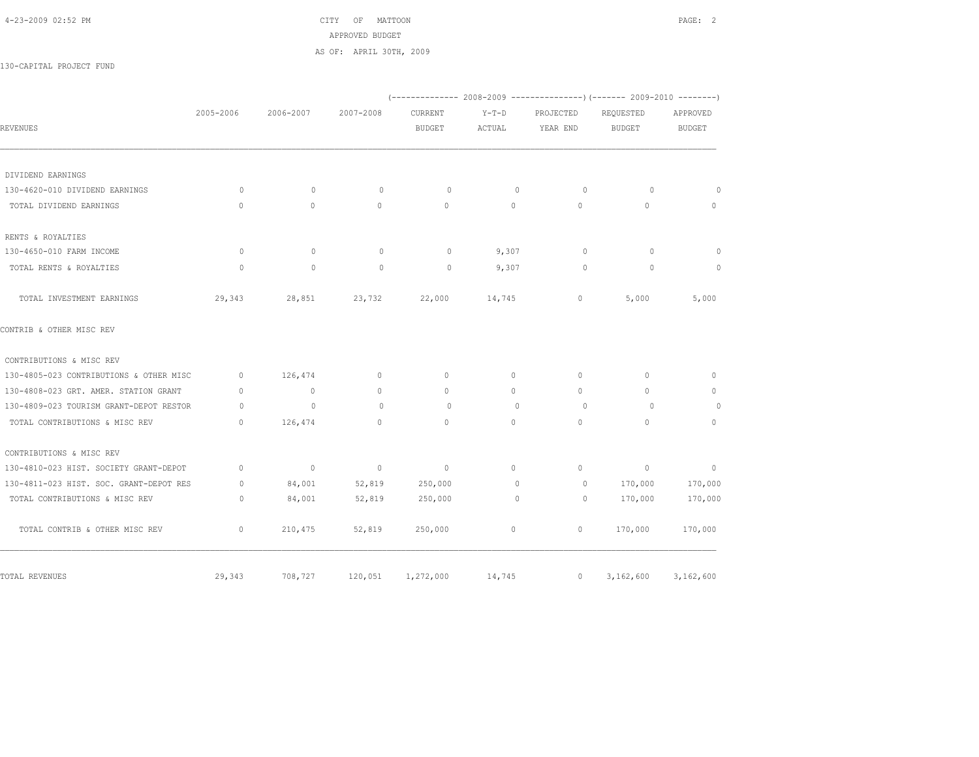4-23-2009 02:52 PM CITY OF MATTOON PAGE: 2 APPROVED BUDGET AS OF: APRIL 30TH, 2009

130-CAPITAL PROJECT FUND

|                                         |              |                          |           |               |              |           | (-------------- 2008-2009 ----------------) (------- 2009-2010 --------) |               |
|-----------------------------------------|--------------|--------------------------|-----------|---------------|--------------|-----------|--------------------------------------------------------------------------|---------------|
|                                         | 2005-2006    | 2006-2007                | 2007-2008 | CURRENT       | $Y-T-D$      | PROJECTED | REQUESTED                                                                | APPROVED      |
| <b>REVENUES</b>                         |              |                          |           | <b>BUDGET</b> | ACTUAL       | YEAR END  | <b>BUDGET</b>                                                            | <b>BUDGET</b> |
|                                         |              |                          |           |               |              |           |                                                                          |               |
| DIVIDEND EARNINGS                       |              |                          |           |               |              |           |                                                                          |               |
| 130-4620-010 DIVIDEND EARNINGS          | $\circ$      | $\circ$                  | $\circ$   | $\circ$       | $\circ$      | $\circ$   | $\circ$                                                                  | $\Omega$      |
| TOTAL DIVIDEND EARNINGS                 | $\Omega$     | $\circ$                  | $\circ$   | $\circ$       | $\circ$      | $\circ$   | $\circ$                                                                  | $\circ$       |
| RENTS & ROYALTIES                       |              |                          |           |               |              |           |                                                                          |               |
| 130-4650-010 FARM INCOME                | $\circ$      | $\mathbf{0}$             | $\circ$   | $\circ$       | 9,307        | $\circ$   | $\circ$                                                                  | $\mathbb O$   |
| TOTAL RENTS & ROYALTIES                 | $\circ$      | $\mathbf{0}$             | $\circ$   | $\circ$       | 9,307        | $\circ$   | $\circ$                                                                  | $\circ$       |
| TOTAL INVESTMENT EARNINGS               |              | 29,343 28,851            | 23,732    | 22,000        | 14,745       | $\circ$   | 5,000                                                                    | 5,000         |
| CONTRIB & OTHER MISC REV                |              |                          |           |               |              |           |                                                                          |               |
| CONTRIBUTIONS & MISC REV                |              |                          |           |               |              |           |                                                                          |               |
| 130-4805-023 CONTRIBUTIONS & OTHER MISC | $\sim$ 0     | 126,474                  | $\circ$   | $\circ$       | $\circ$      | $\circ$   | $\circ$                                                                  | $\circ$       |
| 130-4808-023 GRT. AMER. STATION GRANT   | $\mathbf{0}$ | $\circ$                  | $\circ$   | $\circ$       | $\circ$      | $\circ$   | $\Omega$                                                                 | $\mathbb O$   |
| 130-4809-023 TOURISM GRANT-DEPOT RESTOR | $\circ$      | $\overline{0}$           | $\circ$   | $\circ$       | $\mathbf{0}$ | $\circ$   | $\circ$                                                                  | $\circ$       |
| TOTAL CONTRIBUTIONS & MISC REV          | $\circ$      | 126,474                  | $\circ$   | $\circ$       | $\circ$      | $\circ$   | $\Omega$                                                                 | $\circ$       |
| CONTRIBUTIONS & MISC REV                |              |                          |           |               |              |           |                                                                          |               |
| 130-4810-023 HIST. SOCIETY GRANT-DEPOT  | $\circ$      | $\overline{\phantom{0}}$ | $\sim$ 0  | $\sim$ 0      | $\circ$      | $\circ$   | $\sim$ 0                                                                 | $\sim$ 0      |
| 130-4811-023 HIST, SOC, GRANT-DEPOT RES | $\circ$      | 84,001                   | 52,819    | 250,000       | $\circ$      | $\circ$   | 170,000                                                                  | 170,000       |
| TOTAL CONTRIBUTIONS & MISC REV          | $\circ$      | 84,001                   | 52,819    | 250,000       | $\mathbb O$  | $\circ$   | 170,000                                                                  | 170,000       |
| TOTAL CONTRIB & OTHER MISC REV          | $\circ$      | 210,475                  | 52,819    | 250,000       | 0            | 0         | 170,000                                                                  | 170,000       |
| TOTAL REVENUES                          | 29,343       | 708,727                  | 120,051   | 1,272,000     | 14,745       |           | $0 \qquad 3,162,600$                                                     | 3,162,600     |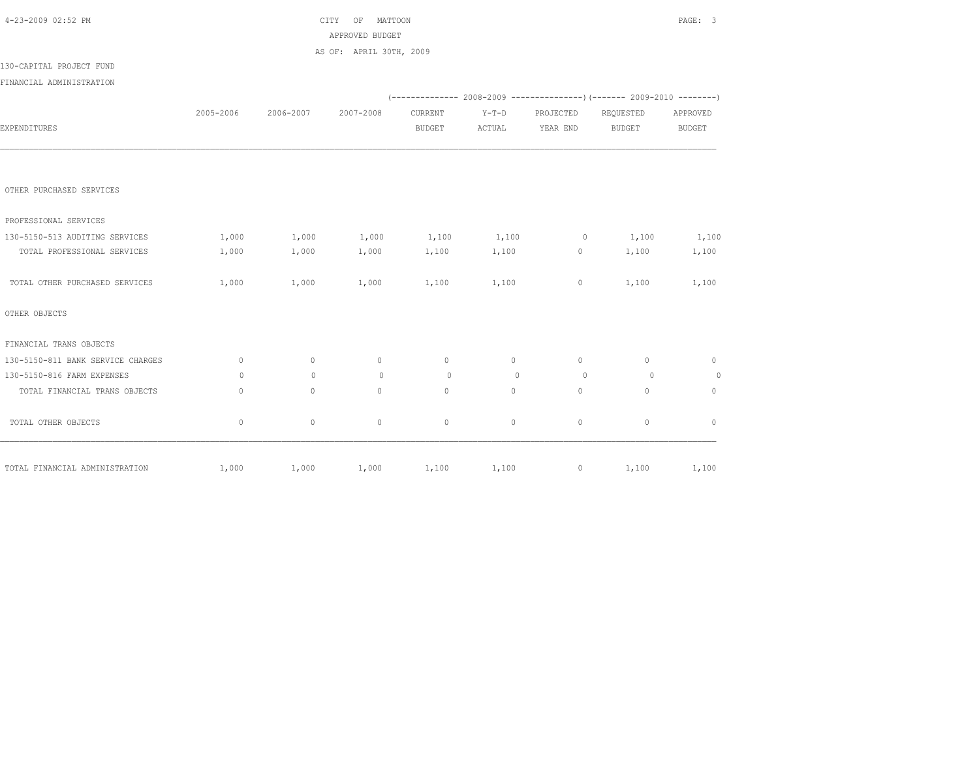| 4-23-2009 02:52 PM                |              |              | MATTOON<br>CITY<br>OF   |               |              |                |                                                                              | PAGE: 3        |
|-----------------------------------|--------------|--------------|-------------------------|---------------|--------------|----------------|------------------------------------------------------------------------------|----------------|
|                                   |              |              | APPROVED BUDGET         |               |              |                |                                                                              |                |
|                                   |              |              | AS OF: APRIL 30TH, 2009 |               |              |                |                                                                              |                |
| 130-CAPITAL PROJECT FUND          |              |              |                         |               |              |                |                                                                              |                |
| FINANCIAL ADMINISTRATION          |              |              |                         |               |              |                |                                                                              |                |
|                                   |              |              |                         |               |              |                | $(-$ ------------- 2008-2009 -----------------) (------- 2009-2010 --------) |                |
|                                   | 2005-2006    | 2006-2007    | 2007-2008               | CURRENT       | $Y-T-D$      | PROJECTED      | REQUESTED                                                                    | APPROVED       |
| EXPENDITURES                      |              |              |                         | <b>BUDGET</b> | ACTUAL       | YEAR END       | <b>BUDGET</b>                                                                | <b>BUDGET</b>  |
|                                   |              |              |                         |               |              |                |                                                                              |                |
| OTHER PURCHASED SERVICES          |              |              |                         |               |              |                |                                                                              |                |
| PROFESSIONAL SERVICES             |              |              |                         |               |              |                |                                                                              |                |
| 130-5150-513 AUDITING SERVICES    | 1,000        | 1,000        | 1,000                   | 1,100         | 1,100        | $\overline{0}$ | 1,100                                                                        | 1,100          |
| TOTAL PROFESSIONAL SERVICES       | 1,000        | 1,000        | 1,000                   | 1,100         | 1,100        | 0              | 1,100                                                                        | 1,100          |
| TOTAL OTHER PURCHASED SERVICES    | 1,000        | 1,000        | 1,000                   | 1,100         | 1,100        | $\circ$        | 1,100                                                                        | 1,100          |
| OTHER OBJECTS                     |              |              |                         |               |              |                |                                                                              |                |
| FINANCIAL TRANS OBJECTS           |              |              |                         |               |              |                |                                                                              |                |
| 130-5150-811 BANK SERVICE CHARGES | $\mathbf{0}$ | $\circ$      | $\circ$                 | $\circ$       | $\circ$      | $\circ$        | $\circ$                                                                      | $\mathbf{0}$   |
| 130-5150-816 FARM EXPENSES        | $\circ$      | $\Omega$     | $\circ$                 | $\circ$       | $\mathbf{0}$ | $\circ$        | $\circ$                                                                      | $\overline{0}$ |
| TOTAL FINANCIAL TRANS OBJECTS     | $\mathbf{0}$ | $\mathbf{0}$ | $\mathbf{0}$            | $\mathbf{0}$  | $\circ$      | $\circ$        | $\circ$                                                                      | $\mathbf{0}$   |
| TOTAL OTHER OBJECTS               | $\circ$      | $\circ$      | $\mathbb O$             | $\mathbb O$   | $\circ$      | $\circ$        | $\circ$                                                                      | $\mathbf{0}$   |
| TOTAL FINANCIAL ADMINISTRATION    | 1,000        | 1,000        | 1,000                   | 1,100         | 1,100        |                | $0 \t 1, 100$                                                                | 1,100          |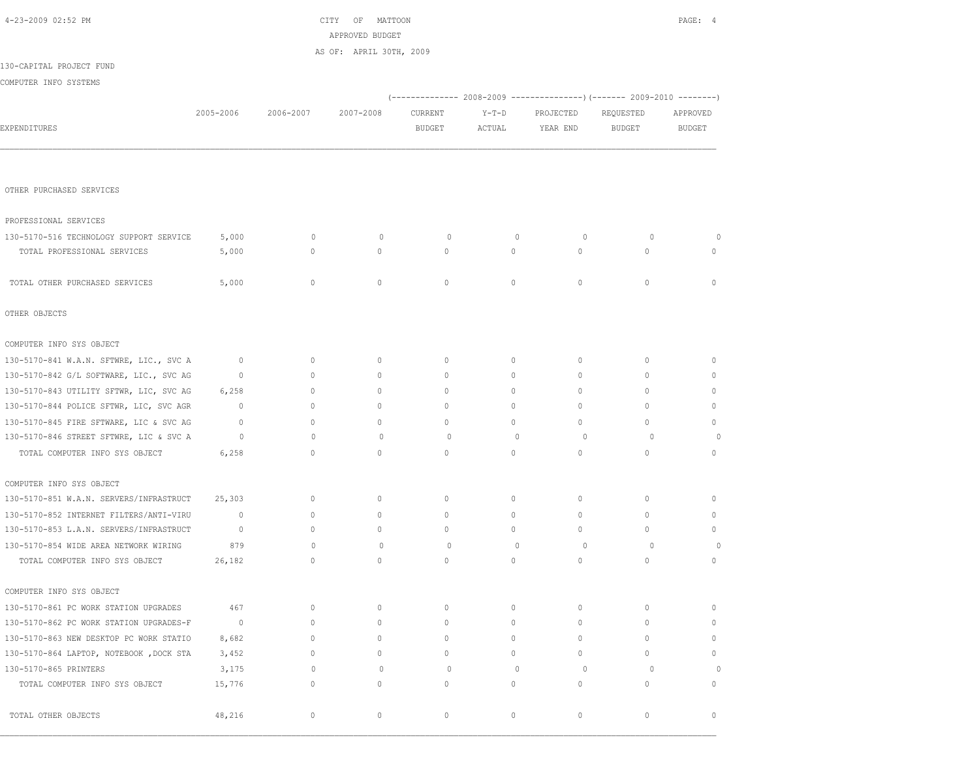|                                         |              |                                  | APPROVED BUDGET         |               |              |           |                                                                        |               |
|-----------------------------------------|--------------|----------------------------------|-------------------------|---------------|--------------|-----------|------------------------------------------------------------------------|---------------|
|                                         |              |                                  | AS OF: APRIL 30TH, 2009 |               |              |           |                                                                        |               |
| 130-CAPITAL PROJECT FUND                |              |                                  |                         |               |              |           |                                                                        |               |
| COMPUTER INFO SYSTEMS                   |              |                                  |                         |               |              |           |                                                                        |               |
|                                         |              |                                  |                         |               |              |           | (------------- 2008-2009 ---------------) (------- 2009-2010 --------) |               |
|                                         | 2005-2006    | 2006-2007                        | 2007-2008               | CURRENT       | $Y-T-D$      | PROJECTED | REQUESTED                                                              | APPROVED      |
| EXPENDITURES                            |              |                                  |                         | <b>BUDGET</b> | ACTUAL       | YEAR END  | <b>BUDGET</b>                                                          | <b>BUDGET</b> |
|                                         |              |                                  |                         |               |              |           |                                                                        |               |
|                                         |              |                                  |                         |               |              |           |                                                                        |               |
| OTHER PURCHASED SERVICES                |              |                                  |                         |               |              |           |                                                                        |               |
|                                         |              |                                  |                         |               |              |           |                                                                        |               |
| PROFESSIONAL SERVICES                   |              |                                  |                         |               |              |           |                                                                        |               |
| 130-5170-516 TECHNOLOGY SUPPORT SERVICE | 5,000        | $\mathbf{0}$                     | $\mathbf{0}$            | 0             | $\mathbf{0}$ | $\circ$   | $\circ$                                                                | 0             |
| TOTAL PROFESSIONAL SERVICES             | 5,000        | $\mathbf{0}$                     | $\circ$                 | $\circ$       | $\circ$      | 0         | $\mathbf{0}$                                                           | $\mathbf{0}$  |
| TOTAL OTHER PURCHASED SERVICES          | 5,000        | $\mathbf{0}$                     | $\circ$                 | $\circ$       | $\circ$      | 0         | $\mathbf{0}$                                                           | $\mathbf{0}$  |
|                                         |              |                                  |                         |               |              |           |                                                                        |               |
| OTHER OBJECTS                           |              |                                  |                         |               |              |           |                                                                        |               |
| COMPUTER INFO SYS OBJECT                |              |                                  |                         |               |              |           |                                                                        |               |
| 130-5170-841 W.A.N. SFTWRE, LIC., SVC A | $\mathbf 0$  | $\mathbf{0}$                     | $\circ$                 | $\mathbf{0}$  | $\circ$      | 0         | $\mathbf{0}$                                                           | $\mathbf{0}$  |
| 130-5170-842 G/L SOFTWARE, LIC., SVC AG | $\mathbf{0}$ | $\mathbf{0}$                     | $\mathbf{0}$            | $\mathbf{0}$  | 0            | 0         | 0                                                                      | $\mathbf{0}$  |
| 130-5170-843 UTILITY SFTWR, LIC, SVC AG | 6,258        | $\circ$                          | $\circ$                 | $\circ$       | $\circ$      | 0         | $\mathbf{0}$                                                           | $\mathbf{0}$  |
| 130-5170-844 POLICE SFTWR, LIC, SVC AGR | $\mathbf 0$  | $\circ$                          | $\mathbf{0}$            | $\circ$       | $\circ$      | 0         | $\mathbf{0}$                                                           | $\mathbf{0}$  |
| 130-5170-845 FIRE SFTWARE, LIC & SVC AG | $\mathbf{0}$ | $\circ$                          | $\mathbf{0}$            | $\circ$       | $\circ$      | 0         | $\circ$                                                                | $\mathbf{0}$  |
| 130-5170-846 STREET SFTWRE, LIC & SVC A | $\circ$      | $\begin{array}{c} \n\end{array}$ | $\Omega$                | $\circ$       | $\mathbf{0}$ | $\circ$   | $\circ$                                                                | $\circ$       |
| TOTAL COMPUTER INFO SYS OBJECT          | 6,258        | $\mathbf{0}$                     | $\circ$                 | $\mathbf{0}$  | $\circ$      | 0         | $\circ$                                                                | $\mathbf{0}$  |
| COMPUTER INFO SYS OBJECT                |              |                                  |                         |               |              |           |                                                                        |               |
| 130-5170-851 W.A.N. SERVERS/INFRASTRUCT | 25,303       | $\circ$                          | $\mathbf{0}$            | $\mathbf{0}$  | 0            | 0         | $\mathbf{0}$                                                           | $\mathbf{0}$  |
| 130-5170-852 INTERNET FILTERS/ANTI-VIRU | $\mathbf{0}$ | $\mathbf{0}$                     | $\mathbf{0}$            | $\circ$       | $\circ$      | 0         | $\mathbf{0}$                                                           | $\mathbf{0}$  |
| 130-5170-853 L.A.N. SERVERS/INFRASTRUCT | $\circ$      | $\circ$                          | $\circ$                 | $\circ$       | $\circ$      | $\circ$   | $\mathbf{0}$                                                           | $\mathbf{0}$  |
| 130-5170-854 WIDE AREA NETWORK WIRING   | 879          | $\mathbf{0}$                     | $\circ$                 | $\circ$       | $\mathbf{0}$ | $\circ$   | $\circ$                                                                | 0             |
| TOTAL COMPUTER INFO SYS OBJECT          | 26,182       | $\mathbf{0}$                     | $\mathbf{0}$            | $\mathbf{0}$  | $\circ$      | 0         | $\mathbf{0}$                                                           | $\mathbf{0}$  |
| COMPUTER INFO SYS OBJECT                |              |                                  |                         |               |              |           |                                                                        |               |
| 130-5170-861 PC WORK STATION UPGRADES   | 467          | $\circ$                          | $\circ$                 | $\circ$       | $\circ$      | 0         | $\mathbf{0}$                                                           | $\mathbf{0}$  |
| 130-5170-862 PC WORK STATION UPGRADES-F | $\mathbf{0}$ | $\circ$                          | $\mathbf{0}$            | $\mathbf{0}$  | $\circ$      | 0         | $\mathbf{0}$                                                           | $\mathbf{0}$  |
| 130-5170-863 NEW DESKTOP PC WORK STATIO | 8,682        | $\circ$                          | $\circ$                 | $\circ$       | $\circ$      | 0         | $\mathbf{0}$                                                           | $\mathbf{0}$  |
| 130-5170-864 LAPTOP, NOTEBOOK, DOCK STA | 3,452        | $\mathbf{0}$                     | $\mathbf{0}$            | $\circ$       | $\circ$      | 0         | $\circ$                                                                | $\mathbf{0}$  |
| 130-5170-865 PRINTERS                   | 3,175        | $\Omega$                         | $\circ$                 | $\circ$       | $\mathbf{0}$ | $\circ$   | $\circ$                                                                | 0             |
| TOTAL COMPUTER INFO SYS OBJECT          | 15,776       | $\circ$                          | $\mathbf{0}$            | $\mathbf{0}$  | $\circ$      | 0         | $\circ$                                                                | $\mathbf{0}$  |
| TOTAL OTHER OBJECTS                     | 48,216       | $\circ$                          | $\mathbb O$             | $\mathbb O$   | $\circ$      | 0         | $\circ$                                                                | $\mathbf{0}$  |

4-23-2009 02:52 PM CITY OF MATTOON PAGE: 4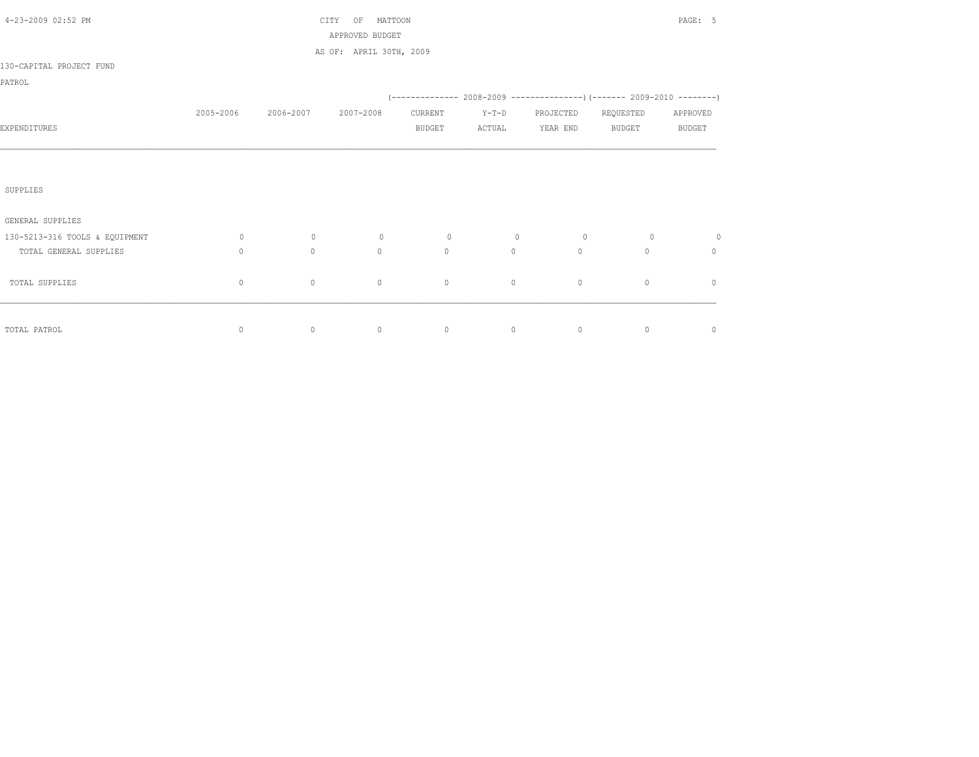| 4-23-2009 02:52 PM             |             |           | OF<br>MATTOON<br>CITY<br>APPROVED BUDGET |               |                |           |                                                                     | PAGE: 5       |
|--------------------------------|-------------|-----------|------------------------------------------|---------------|----------------|-----------|---------------------------------------------------------------------|---------------|
|                                |             |           | AS OF: APRIL 30TH, 2009                  |               |                |           |                                                                     |               |
| 130-CAPITAL PROJECT FUND       |             |           |                                          |               |                |           |                                                                     |               |
| PATROL                         |             |           |                                          |               |                |           |                                                                     |               |
|                                |             |           |                                          |               |                |           | (-------------- 2008-2009 --------------------- 2009-2010 --------- |               |
|                                | 2005-2006   | 2006-2007 | 2007-2008                                | CURRENT       | $Y-T-D$        | PROJECTED | REQUESTED                                                           | APPROVED      |
| EXPENDITURES                   |             |           |                                          | <b>BUDGET</b> | ACTUAL         | YEAR END  | <b>BUDGET</b>                                                       | <b>BUDGET</b> |
|                                |             |           |                                          |               |                |           |                                                                     |               |
|                                |             |           |                                          |               |                |           |                                                                     |               |
| SUPPLIES                       |             |           |                                          |               |                |           |                                                                     |               |
| GENERAL SUPPLIES               |             |           |                                          |               |                |           |                                                                     |               |
| 130-5213-316 TOOLS & EQUIPMENT | $\circ$     | $\circ$   | $\circ$                                  | $\circ$       | $\overline{0}$ | $\circ$   | $\circ$                                                             | $\circ$       |
| TOTAL GENERAL SUPPLIES         | $\Omega$    | $\circ$   | $\Omega$                                 | $\mathbf{0}$  | $\circ$        | $\Omega$  | $\Omega$                                                            | $\circ$       |
| TOTAL SUPPLIES                 | $\mathbf 0$ | $\circ$   | $\mathbb O$                              | $\mathbb O$   | $\circ$        | $\circ$   | $\circ$                                                             | $\circ$       |
|                                |             |           |                                          |               |                |           |                                                                     |               |
| TOTAL PATROL                   | $\circ$     | $\circ$   | $\circ$                                  | $\circ$       | $\circ$        | $\circ$   | $\circ$                                                             | $\circ$       |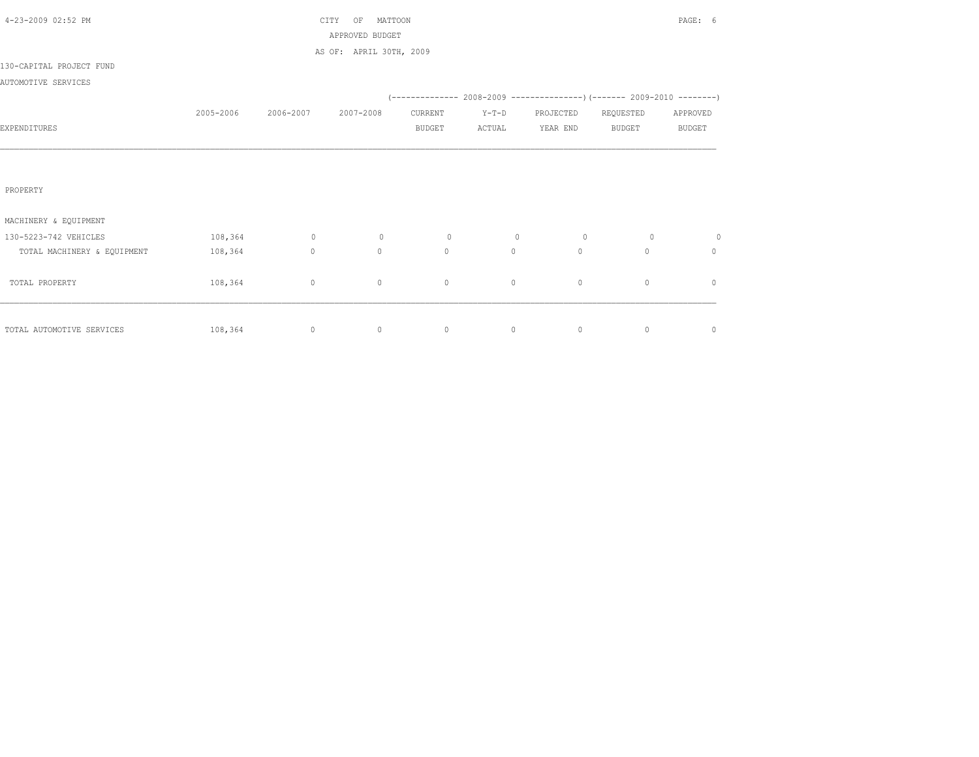| 4-23-2009 02:52 PM          |           |           | MATTOON<br>CITY<br>OF   |               |         |                |                                                                          | PAGE: 6       |
|-----------------------------|-----------|-----------|-------------------------|---------------|---------|----------------|--------------------------------------------------------------------------|---------------|
|                             |           |           | APPROVED BUDGET         |               |         |                |                                                                          |               |
|                             |           |           | AS OF: APRIL 30TH, 2009 |               |         |                |                                                                          |               |
| 130-CAPITAL PROJECT FUND    |           |           |                         |               |         |                |                                                                          |               |
| AUTOMOTIVE SERVICES         |           |           |                         |               |         |                |                                                                          |               |
|                             |           |           |                         |               |         |                | (-------------- 2008-2009 ----------------) (------- 2009-2010 --------) |               |
|                             | 2005-2006 | 2006-2007 | 2007-2008               | CURRENT       | $Y-T-D$ | PROJECTED      | REQUESTED                                                                | APPROVED      |
| EXPENDITURES                |           |           |                         | <b>BUDGET</b> | ACTUAL  | YEAR END       | BUDGET                                                                   | <b>BUDGET</b> |
|                             |           |           |                         |               |         |                |                                                                          |               |
|                             |           |           |                         |               |         |                |                                                                          |               |
|                             |           |           |                         |               |         |                |                                                                          |               |
| PROPERTY                    |           |           |                         |               |         |                |                                                                          |               |
|                             |           |           |                         |               |         |                |                                                                          |               |
| MACHINERY & EQUIPMENT       |           |           |                         |               |         |                |                                                                          |               |
| 130-5223-742 VEHICLES       | 108,364   | $\sim$ 0  | $\circ$                 | $\circ$       | $\circ$ | $\overline{0}$ | $\circ$                                                                  | $\circ$       |
| TOTAL MACHINERY & EQUIPMENT | 108,364   | $\circ$   | $\circ$                 | $\circ$       | $\circ$ | $\circ$        | $\Omega$                                                                 | $\mathbf{0}$  |
|                             |           |           |                         |               |         |                |                                                                          |               |
| TOTAL PROPERTY              | 108,364   | $\circ$   | $\circ$                 | $\circ$       | $\circ$ | $\circ$        | $\mathbf{0}$                                                             | $\mathbf{0}$  |
|                             |           |           |                         |               |         |                |                                                                          |               |
|                             |           |           |                         |               |         |                |                                                                          |               |
| TOTAL AUTOMOTIVE SERVICES   | 108,364   | $\circ$   | $\circ$                 | $\circ$       | 0       | $\circ$        | $\circ$                                                                  | $\circ$       |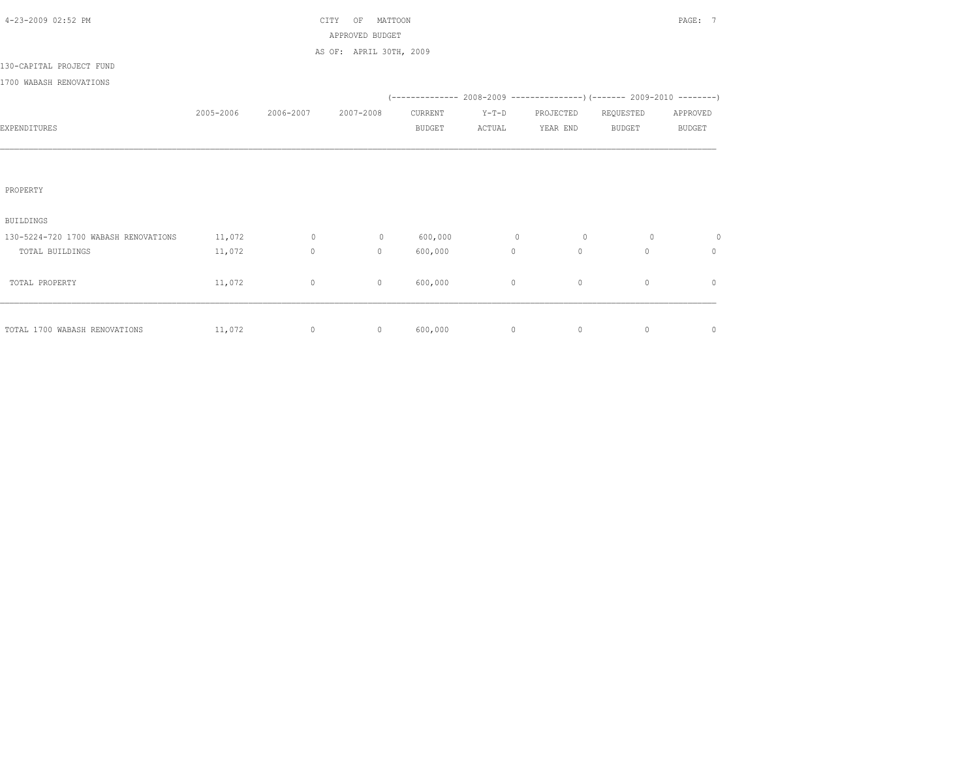|           |                | ΟF        |               |                                                       |           |               | PAGE: 7                                                                  |
|-----------|----------------|-----------|---------------|-------------------------------------------------------|-----------|---------------|--------------------------------------------------------------------------|
|           |                |           |               |                                                       |           |               |                                                                          |
|           |                |           |               |                                                       |           |               |                                                                          |
|           |                |           |               |                                                       |           |               |                                                                          |
|           |                |           |               |                                                       |           |               |                                                                          |
|           |                |           |               |                                                       |           |               |                                                                          |
| 2005-2006 | 2006-2007      | 2007-2008 | CURRENT       | $Y-T-D$                                               | PROJECTED | REQUESTED     | APPROVED                                                                 |
|           |                |           | <b>BUDGET</b> | ACTUAL                                                | YEAR END  | <b>BUDGET</b> | <b>BUDGET</b>                                                            |
|           |                |           |               |                                                       |           |               |                                                                          |
|           |                |           |               |                                                       |           |               |                                                                          |
|           |                |           |               |                                                       |           |               |                                                                          |
|           |                |           |               |                                                       |           |               |                                                                          |
|           |                |           |               |                                                       |           |               |                                                                          |
|           |                |           |               |                                                       |           |               |                                                                          |
| 11,072    | $\overline{0}$ | $\circ$   | 600,000       | $\overline{0}$                                        | 0         | $\circ$       | 0                                                                        |
| 11,072    | $\circ$        | $\circ$   | 600,000       | $\circ$                                               | $\circ$   | $\mathbf{0}$  | $\circ$                                                                  |
|           |                |           |               |                                                       |           |               |                                                                          |
| 11,072    | $\circ$        | $\circ$   | 600,000       | $\circ$                                               | $\circ$   | $\circ$       | $\circ$                                                                  |
|           |                |           |               |                                                       |           |               |                                                                          |
|           |                |           |               |                                                       |           |               |                                                                          |
| 11,072    | $\circ$        | $\circ$   | 600,000       | $\circ$                                               | $\circ$   | $\circ$       | $\mathbf 0$                                                              |
|           |                |           | CITY          | MATTOON<br>APPROVED BUDGET<br>AS OF: APRIL 30TH, 2009 |           |               | (-------------- 2008-2009 ----------------) (------- 2009-2010 --------) |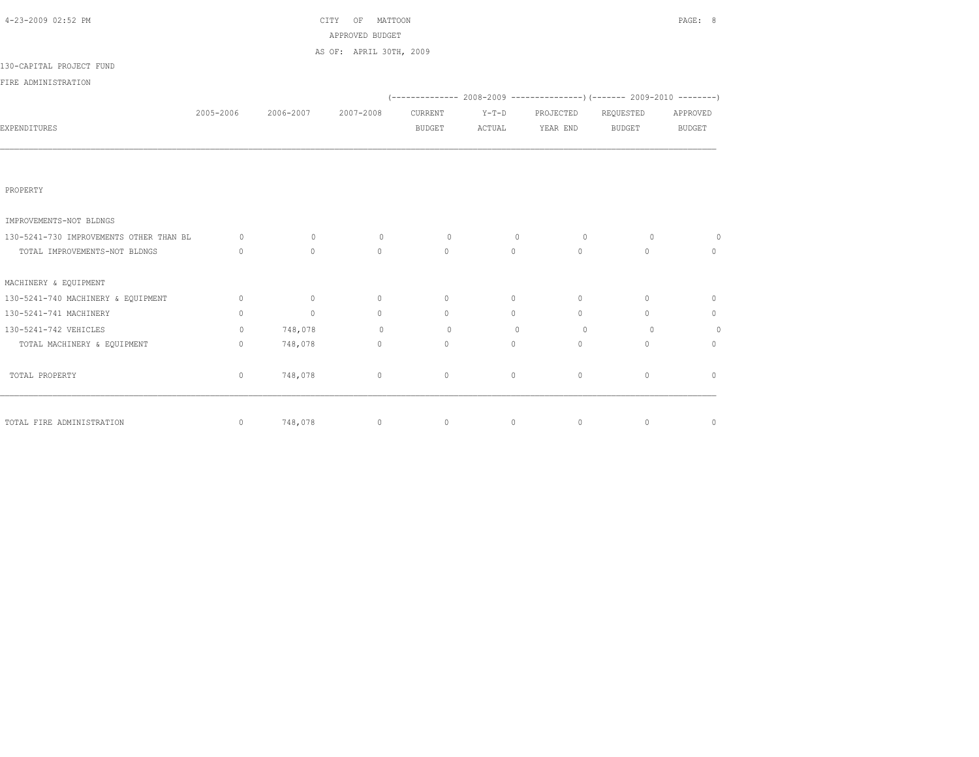| 4-23-2009 02:52 PM                      |              |                               | PAGE: 8                 |                           |                   |                                                                |                     |               |
|-----------------------------------------|--------------|-------------------------------|-------------------------|---------------------------|-------------------|----------------------------------------------------------------|---------------------|---------------|
|                                         |              |                               | APPROVED BUDGET         |                           |                   |                                                                |                     |               |
|                                         |              |                               | AS OF: APRIL 30TH, 2009 |                           |                   |                                                                |                     |               |
| 130-CAPITAL PROJECT FUND                |              |                               |                         |                           |                   |                                                                |                     |               |
| FIRE ADMINISTRATION                     |              |                               |                         |                           |                   |                                                                |                     |               |
|                                         |              |                               |                         |                           |                   | $(---------- 2008-2009 ----------)$ $(---- 2009-2010 -------)$ |                     |               |
|                                         |              | 2005-2006 2006-2007 2007-2008 |                         | CURRENT                   | $Y-T-D$           |                                                                | PROJECTED REQUESTED | APPROVED      |
| <b>EXPENDITURES</b>                     |              |                               |                         | BUDGET                    |                   | ACTUAL YEAR END                                                | BUDGET              | <b>BUDGET</b> |
|                                         |              |                               |                         |                           |                   |                                                                |                     |               |
| PROPERTY                                |              |                               |                         |                           |                   |                                                                |                     |               |
| IMPROVEMENTS-NOT BLDNGS                 |              |                               |                         |                           |                   |                                                                |                     |               |
| 130-5241-730 IMPROVEMENTS OTHER THAN BL | $\circ$      | $\sim$ 0                      | $\circ$                 | $\sim$ 0                  | $\sim$ 0          | $\sim$ 0                                                       | $\sim$ 0            | $\circ$       |
| TOTAL IMPROVEMENTS-NOT BLDNGS           | $\mathbf{0}$ | $\circ$                       | $\Omega$                | $\Omega$                  | $0 \qquad \qquad$ | $\overline{0}$                                                 | $\Omega$            | $\mathbf{0}$  |
| MACHINERY & EQUIPMENT                   |              |                               |                         |                           |                   |                                                                |                     |               |
| 130-5241-740 MACHINERY & EQUIPMENT      | $\circ$      | $\sim$ 0                      | $\circ$                 | $\overline{0}$            | $\circ$           | $\circ$                                                        | $\circ$             | $\mathbf{0}$  |
| 130-5241-741 MACHINERY                  | $\circ$      | $\sim$ 0                      | $\Omega$                | $\overline{0}$            | $\Omega$          | $\Omega$                                                       | $\circ$             | $\mathbf{0}$  |
| 130-5241-742 VEHICLES                   | $\Omega$     | 748,078                       |                         | $\overline{0}$<br>$\circ$ | $\Omega$          | $\bigcirc$                                                     | $\Omega$            | $\circ$       |
| TOTAL MACHINERY & EQUIPMENT             | $\circ$      | 748,078                       | $\circ$                 | $\overline{0}$            | $\circ$           | $\circ$                                                        | $\circ$             | $\circ$       |
| TOTAL PROPERTY                          | $\circ$      | 748,078                       | $\circ$                 | $\circ$                   | $\circ$           | $\circ$                                                        | $\circ$             | $\mathbf{0}$  |
| TOTAL FIRE ADMINISTRATION               | $\circ$      | 748,078                       | $\circ$                 | $\sim$ 0                  |                   | $\overline{0}$<br>$\circ$                                      | $\circ$             | $\circ$       |
|                                         |              |                               |                         |                           |                   |                                                                |                     |               |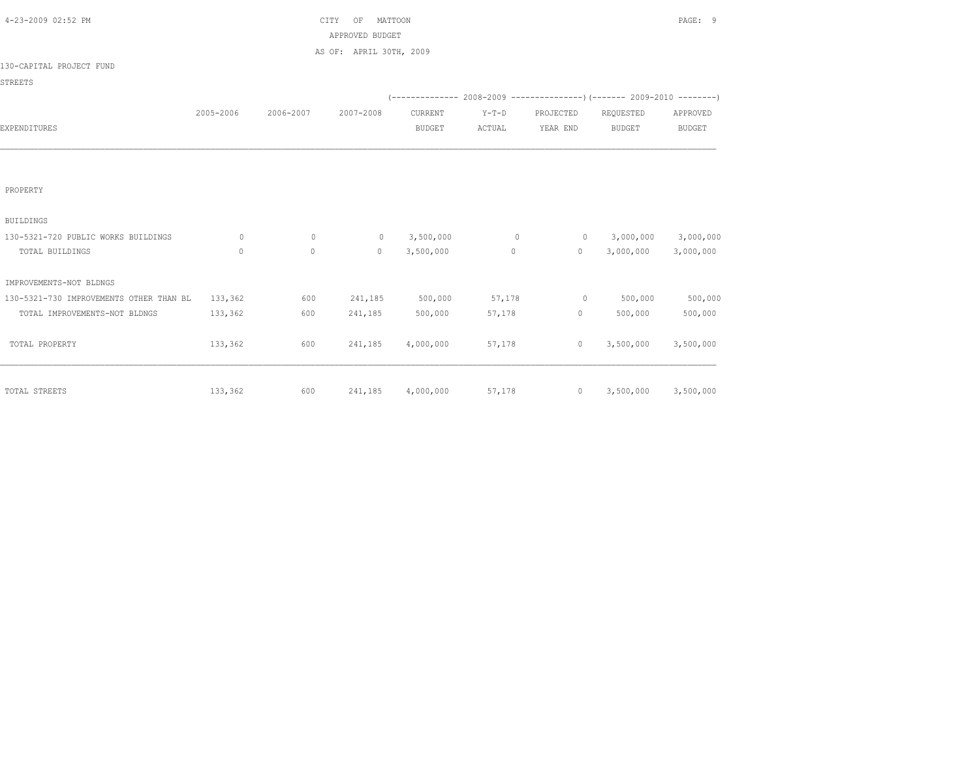| 2005-2006 | 2006-2007                                                     | 2007-2008  | CURRENT                          | $Y-T-D$                                                                                    | PROJECTED        | REQUESTED     | APPROVED                                                                                                                                             |
|-----------|---------------------------------------------------------------|------------|----------------------------------|--------------------------------------------------------------------------------------------|------------------|---------------|------------------------------------------------------------------------------------------------------------------------------------------------------|
|           |                                                               |            | <b>BUDGET</b>                    | ACTUAL                                                                                     | YEAR END         | <b>BUDGET</b> | <b>BUDGET</b>                                                                                                                                        |
|           |                                                               |            |                                  |                                                                                            |                  |               |                                                                                                                                                      |
|           |                                                               |            |                                  |                                                                                            |                  |               |                                                                                                                                                      |
|           |                                                               |            |                                  |                                                                                            |                  |               |                                                                                                                                                      |
|           |                                                               |            |                                  |                                                                                            |                  |               |                                                                                                                                                      |
|           |                                                               |            |                                  |                                                                                            |                  |               |                                                                                                                                                      |
|           |                                                               |            |                                  |                                                                                            |                  |               |                                                                                                                                                      |
| $\circ$   | $\Omega$                                                      | $\circ$    | 3,500,000                        | $\circ$                                                                                    | $\overline{0}$   |               | 3,000,000                                                                                                                                            |
| $\circ$   | $\circ$                                                       | $\circ$    | 3,500,000                        | $\circ$                                                                                    | $\circ$          | 3,000,000     | 3,000,000                                                                                                                                            |
|           |                                                               |            |                                  |                                                                                            |                  |               |                                                                                                                                                      |
|           |                                                               |            |                                  |                                                                                            |                  |               |                                                                                                                                                      |
| 133,362   | 600                                                           | 241,185    |                                  | 57,178                                                                                     | $\circ$          | 500,000       | 500,000                                                                                                                                              |
| 133,362   | 600                                                           | 241,185    | 500,000                          | 57,178                                                                                     |                  | 500,000       | 500,000                                                                                                                                              |
|           |                                                               |            |                                  |                                                                                            |                  |               |                                                                                                                                                      |
|           |                                                               |            |                                  |                                                                                            |                  |               | 3,500,000                                                                                                                                            |
|           |                                                               |            |                                  |                                                                                            |                  |               |                                                                                                                                                      |
|           |                                                               |            |                                  |                                                                                            |                  |               |                                                                                                                                                      |
|           |                                                               |            |                                  |                                                                                            |                  |               | 3,500,000                                                                                                                                            |
|           | 130-5321-730 IMPROVEMENTS OTHER THAN BL<br>133,362<br>133,362 | 600<br>600 | CITY<br>OF<br>241,185<br>241,185 | MATTOON<br>APPROVED BUDGET<br>AS OF: APRIL 30TH, 2009<br>500,000<br>4,000,000<br>4,000,000 | 57,178<br>57,178 | $\circ$       | $(-$ -------------- 2008-2009 -----------------) (------- 2009-2010 --------)<br>3,000,000<br>$0 \qquad \qquad$<br>3,500,000<br>$0 \qquad 3,500,000$ |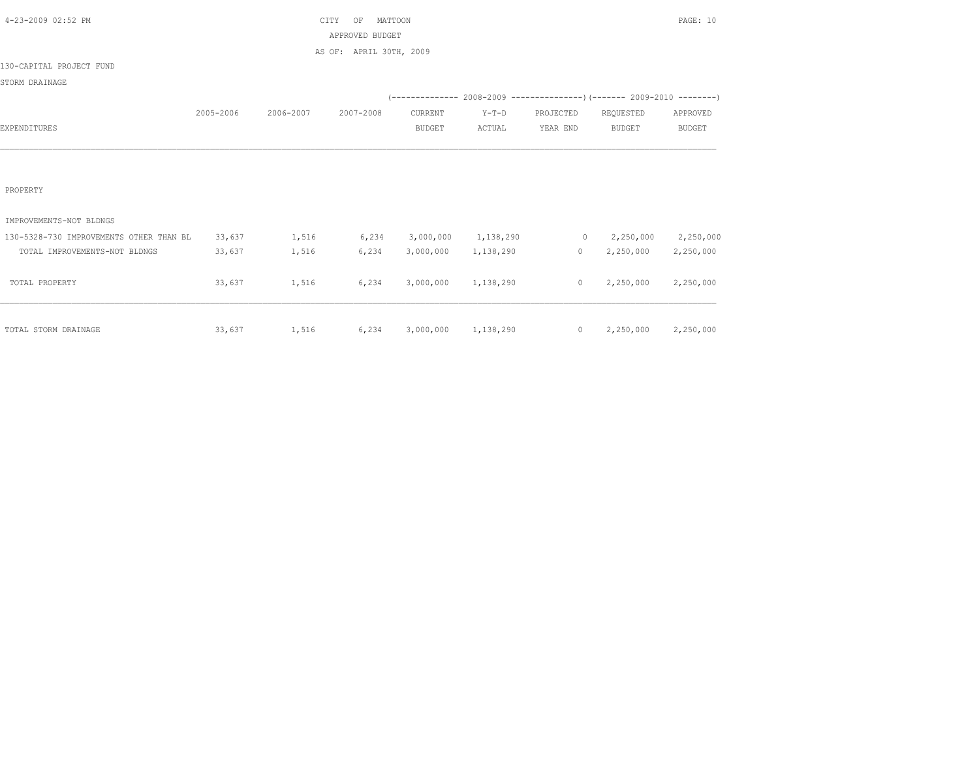| 4-23-2009 02:52 PM                      |           |                                        | CITY<br>MATTOON<br>OF   |                     |           |                |                                                                               | PAGE: 10      |
|-----------------------------------------|-----------|----------------------------------------|-------------------------|---------------------|-----------|----------------|-------------------------------------------------------------------------------|---------------|
|                                         |           |                                        | APPROVED BUDGET         |                     |           |                |                                                                               |               |
|                                         |           |                                        | AS OF: APRIL 30TH, 2009 |                     |           |                |                                                                               |               |
| 130-CAPITAL PROJECT FUND                |           |                                        |                         |                     |           |                |                                                                               |               |
| STORM DRAINAGE                          |           |                                        |                         |                     |           |                |                                                                               |               |
|                                         |           |                                        |                         |                     |           |                | $(-$ -------------- 2008-2009 -----------------) (------- 2009-2010 --------) |               |
|                                         | 2005-2006 | 2006-2007                              | 2007-2008               | CURRENT             | $Y-T-D$   | PROJECTED      | REQUESTED                                                                     | APPROVED      |
| EXPENDITURES                            |           |                                        |                         | <b>BUDGET</b>       | ACTUAL    | YEAR END       | <b>BUDGET</b>                                                                 | <b>BUDGET</b> |
|                                         |           |                                        |                         |                     |           |                |                                                                               |               |
|                                         |           |                                        |                         |                     |           |                |                                                                               |               |
|                                         |           |                                        |                         |                     |           |                |                                                                               |               |
| PROPERTY                                |           |                                        |                         |                     |           |                |                                                                               |               |
|                                         |           |                                        |                         |                     |           |                |                                                                               |               |
| IMPROVEMENTS-NOT BLDNGS                 |           |                                        |                         |                     |           |                |                                                                               |               |
| 130-5328-730 IMPROVEMENTS OTHER THAN BL | 33,637    | 1,516                                  | 6, 234                  | 3,000,000 1,138,290 |           |                | $0 \t 2, 250, 000$                                                            | 2,250,000     |
| TOTAL IMPROVEMENTS-NOT BLDNGS           | 33,637    | 1,516                                  | 6,234                   | 3,000,000           | 1,138,290 | $\overline{0}$ | 2,250,000                                                                     | 2,250,000     |
|                                         |           |                                        |                         |                     |           |                |                                                                               |               |
| TOTAL PROPERTY                          | 33,637    | 1,516                                  | 6,234                   | 3,000,000 1,138,290 |           |                | $0 \qquad 2,250,000$                                                          | 2,250,000     |
|                                         |           |                                        |                         |                     |           |                |                                                                               |               |
|                                         |           |                                        |                         |                     |           |                |                                                                               |               |
| TOTAL STORM DRAINAGE                    |           | 33,637 1,516 6,234 3,000,000 1,138,290 |                         |                     |           |                | $0 \qquad 2,250,000$                                                          | 2,250,000     |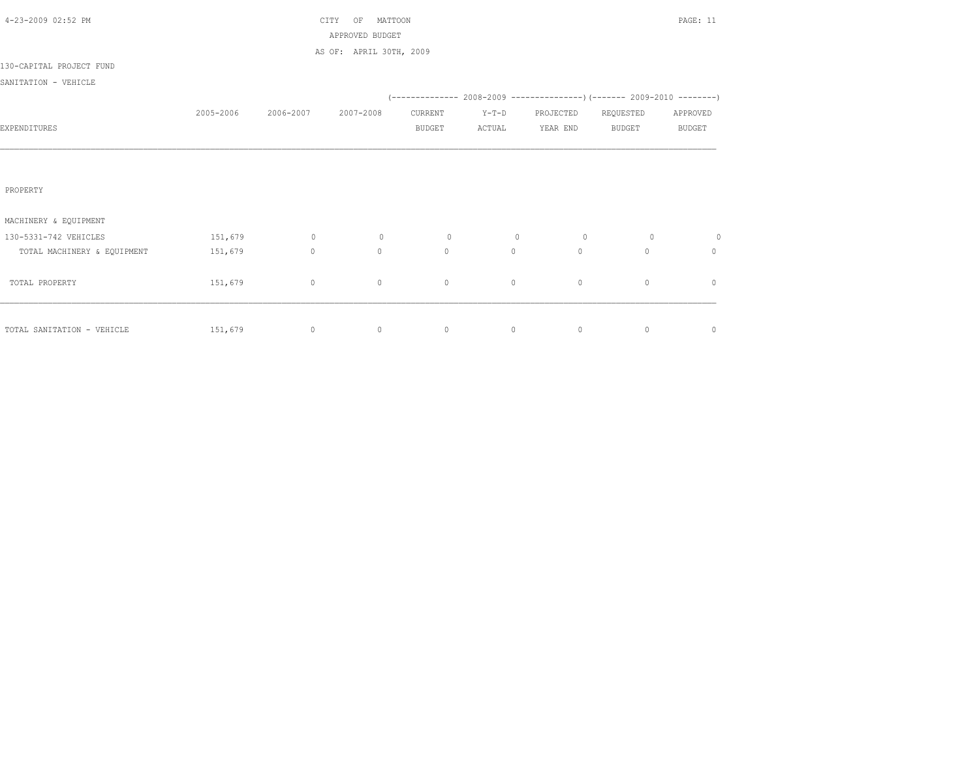|           |                | OF           |               |                                                       |                |              | PAGE: 11                                                                |
|-----------|----------------|--------------|---------------|-------------------------------------------------------|----------------|--------------|-------------------------------------------------------------------------|
|           |                |              |               |                                                       |                |              |                                                                         |
|           |                |              |               |                                                       |                |              |                                                                         |
|           |                |              |               |                                                       |                |              |                                                                         |
|           |                |              |               |                                                       |                |              |                                                                         |
|           |                |              |               |                                                       |                |              |                                                                         |
| 2005-2006 | 2006-2007      | 2007-2008    | CURRENT       | $Y-T-D$                                               | PROJECTED      | REQUESTED    | APPROVED                                                                |
|           |                |              | <b>BUDGET</b> | ACTUAL                                                | YEAR END       | BUDGET       | <b>BUDGET</b>                                                           |
|           |                |              |               |                                                       |                |              |                                                                         |
|           |                |              |               |                                                       |                |              |                                                                         |
|           |                |              |               |                                                       |                |              |                                                                         |
|           |                |              |               |                                                       |                |              |                                                                         |
|           |                |              |               |                                                       |                |              |                                                                         |
|           |                |              |               |                                                       |                |              |                                                                         |
| 151,679   | $\overline{0}$ | $\circ$      | $\circ$       | $\circ$                                               | $\overline{0}$ | $\circ$      | $\circ$                                                                 |
| 151,679   | $\circ$        | $\mathbf{0}$ | $\Omega$      | $\circ$                                               | $\circ$        | $\Omega$     | $\circ$                                                                 |
|           |                |              |               |                                                       |                |              |                                                                         |
| 151,679   | $\circ$        | 0            | $\circ$       | $\circ$                                               | $\circ$        | $\mathbf{0}$ | $\mathbf{0}$                                                            |
|           |                |              |               |                                                       |                |              |                                                                         |
|           |                |              |               |                                                       |                |              |                                                                         |
|           | $\circ$        | $\circ$      | $\circ$       | 0                                                     | $\circ$        | $\circ$      | $\mathbb O$                                                             |
|           | 151,679        |              | CITY          | MATTOON<br>APPROVED BUDGET<br>AS OF: APRIL 30TH, 2009 |                |              | (-------------- 2008-2009 ----------------)(------- 2009-2010 --------) |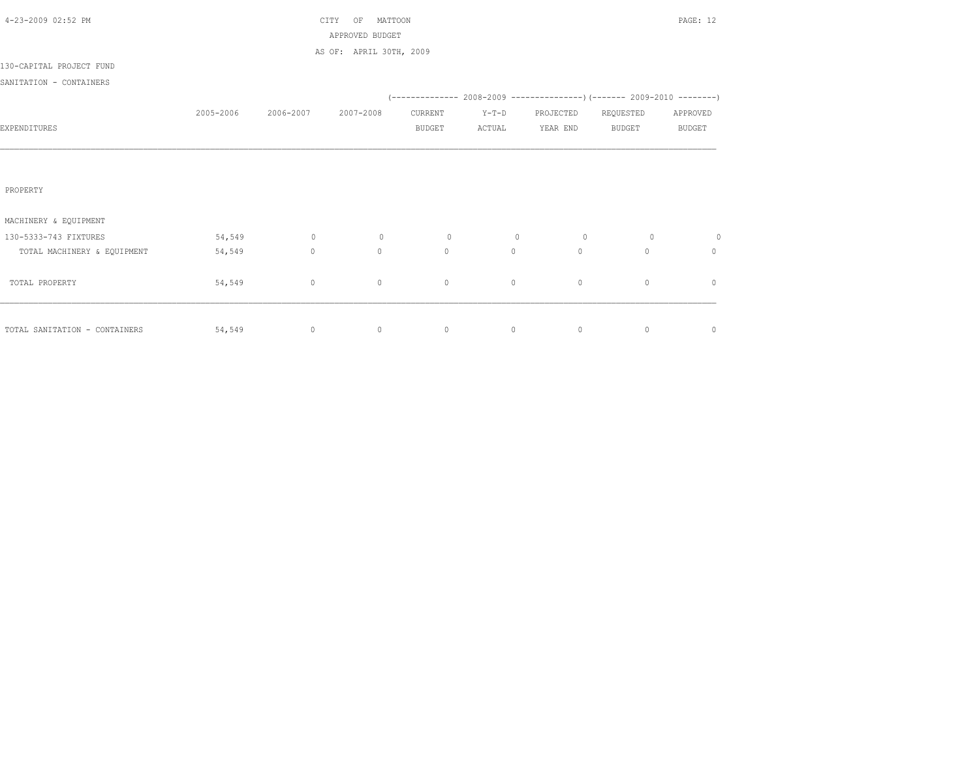| 4-23-2009 02:52 PM            |           |           | MATTOON<br>CITY<br>OF   |               |         |              |                                                                          | PAGE: 12      |
|-------------------------------|-----------|-----------|-------------------------|---------------|---------|--------------|--------------------------------------------------------------------------|---------------|
|                               |           |           | APPROVED BUDGET         |               |         |              |                                                                          |               |
|                               |           |           | AS OF: APRIL 30TH, 2009 |               |         |              |                                                                          |               |
| 130-CAPITAL PROJECT FUND      |           |           |                         |               |         |              |                                                                          |               |
| SANITATION - CONTAINERS       |           |           |                         |               |         |              |                                                                          |               |
|                               |           |           |                         |               |         |              | (-------------- 2008-2009 ----------------) (------- 2009-2010 --------) |               |
|                               | 2005-2006 | 2006-2007 | 2007-2008               | CURRENT       | $Y-T-D$ | PROJECTED    | REQUESTED                                                                | APPROVED      |
| EXPENDITURES                  |           |           |                         | <b>BUDGET</b> | ACTUAL  | YEAR END     | <b>BUDGET</b>                                                            | <b>BUDGET</b> |
|                               |           |           |                         |               |         |              |                                                                          |               |
|                               |           |           |                         |               |         |              |                                                                          |               |
|                               |           |           |                         |               |         |              |                                                                          |               |
| PROPERTY                      |           |           |                         |               |         |              |                                                                          |               |
|                               |           |           |                         |               |         |              |                                                                          |               |
| MACHINERY & EQUIPMENT         |           |           |                         |               |         |              |                                                                          |               |
| 130-5333-743 FIXTURES         | 54,549    | $\circ$   | $\circ$                 | $\circ$       | $\circ$ | $\circ$      | $\circ$                                                                  | $\circ$       |
| TOTAL MACHINERY & EQUIPMENT   | 54,549    | $\circ$   | $\circ$                 | $\Omega$      | $\circ$ | $\mathbf{0}$ | 0                                                                        | $\mathbf{0}$  |
|                               |           |           |                         |               |         |              |                                                                          |               |
| TOTAL PROPERTY                | 54,549    | $\circ$   | $\circ$                 | $\circ$       | $\circ$ | $\mathbb O$  | $\mathbf{0}$                                                             | $\mathbf{0}$  |
|                               |           |           |                         |               |         |              |                                                                          |               |
|                               |           |           |                         |               |         |              |                                                                          |               |
| TOTAL SANITATION - CONTAINERS | 54,549    | $\circ$   | $\circ$                 | $\circ$       | 0       | $\circ$      | $\mathbf 0$                                                              | $\mathbb O$   |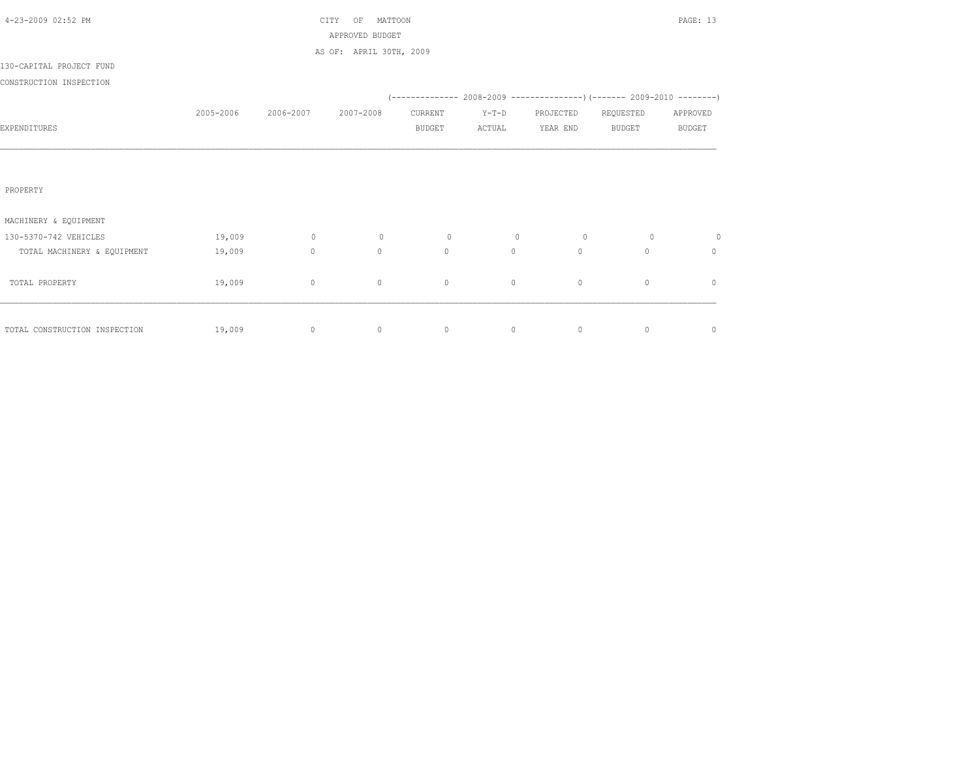| 4-23-2009 02:52 PM            |           |             | MATTOON<br>CITY<br>OF   |               |         |             |                                                                     | PAGE: 13      |
|-------------------------------|-----------|-------------|-------------------------|---------------|---------|-------------|---------------------------------------------------------------------|---------------|
|                               |           |             | APPROVED BUDGET         |               |         |             |                                                                     |               |
|                               |           |             | AS OF: APRIL 30TH, 2009 |               |         |             |                                                                     |               |
| 130-CAPITAL PROJECT FUND      |           |             |                         |               |         |             |                                                                     |               |
| CONSTRUCTION INSPECTION       |           |             |                         |               |         |             |                                                                     |               |
|                               |           |             |                         |               |         |             | (-------------- 2008-2009 --------------------- 2009-2010 --------- |               |
|                               | 2005-2006 | 2006-2007   | 2007-2008               | CURRENT       | $Y-T-D$ | PROJECTED   | REQUESTED                                                           | APPROVED      |
| EXPENDITURES                  |           |             |                         | <b>BUDGET</b> | ACTUAL  | YEAR END    | <b>BUDGET</b>                                                       | <b>BUDGET</b> |
|                               |           |             |                         |               |         |             |                                                                     |               |
|                               |           |             |                         |               |         |             |                                                                     |               |
|                               |           |             |                         |               |         |             |                                                                     |               |
| PROPERTY                      |           |             |                         |               |         |             |                                                                     |               |
|                               |           |             |                         |               |         |             |                                                                     |               |
| MACHINERY & EQUIPMENT         |           |             |                         |               |         |             |                                                                     |               |
| 130-5370-742 VEHICLES         | 19,009    | $\circ$     | $\circ$                 | $\circ$       | $\circ$ | $\circ$     | $\circ$                                                             | $\circ$       |
| TOTAL MACHINERY & EQUIPMENT   | 19,009    | $\circ$     | $\circ$                 | $\circ$       | $\circ$ | $\circ$     | $\Omega$                                                            | $\circ$       |
|                               |           |             |                         |               |         |             |                                                                     |               |
| TOTAL PROPERTY                | 19,009    | $\mathbb O$ | $\circ$                 | $\mathbb O$   | 0       | $\mathbb O$ | $\mathbf{0}$                                                        | $\mathbf{0}$  |
|                               |           |             |                         |               |         |             |                                                                     |               |
|                               |           |             |                         |               |         |             |                                                                     |               |
| TOTAL CONSTRUCTION INSPECTION | 19,009    | $\circ$     | $\circ$                 | $\circ$       | $\circ$ | $\circ$     | 0                                                                   | $\mathbb O$   |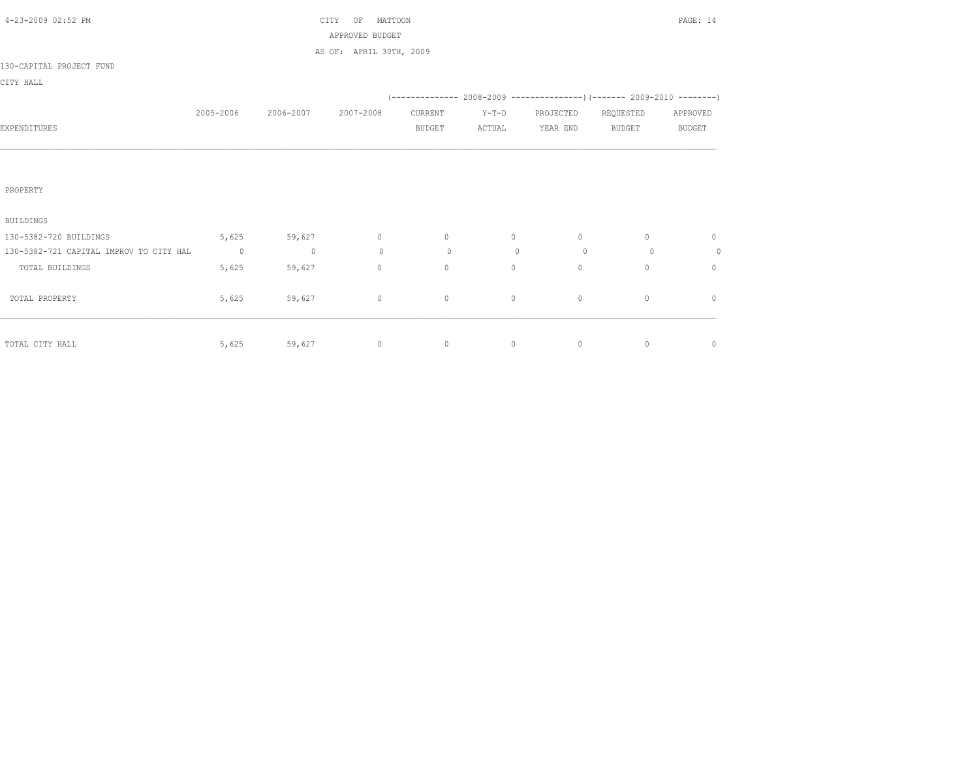| $(-$ ------------- 2008-2009 -----------------) (------- 2009-2010 --------) |
|------------------------------------------------------------------------------|
|                                                                              |
| APPROVED                                                                     |
| <b>BUDGET</b>                                                                |
|                                                                              |
|                                                                              |
|                                                                              |
|                                                                              |
|                                                                              |
| $\mathbf{0}$                                                                 |
| $\circ$                                                                      |
| $\begin{array}{c} \n\end{array}$                                             |
|                                                                              |
| $\begin{array}{c} \n\end{array}$                                             |
|                                                                              |
|                                                                              |
| $\mathbf{0}$                                                                 |
|                                                                              |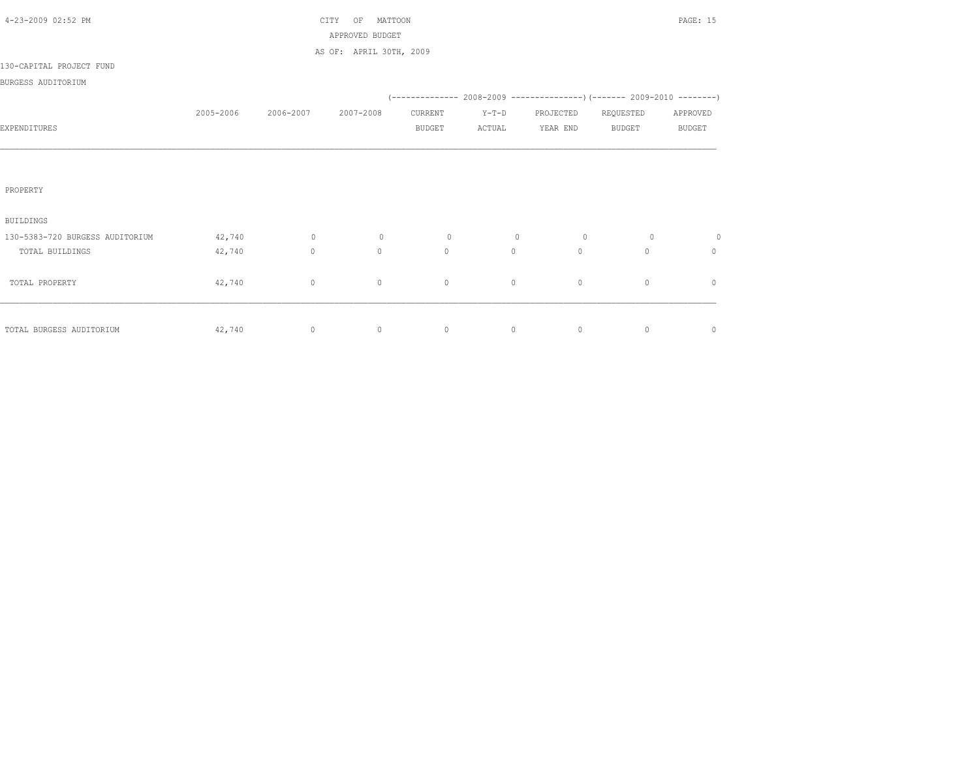| 4-23-2009 02:52 PM              |           |           | MATTOON<br>CITY<br>OF   |               |         |                |                                                                          | PAGE: 15      |
|---------------------------------|-----------|-----------|-------------------------|---------------|---------|----------------|--------------------------------------------------------------------------|---------------|
|                                 |           |           | APPROVED BUDGET         |               |         |                |                                                                          |               |
|                                 |           |           | AS OF: APRIL 30TH, 2009 |               |         |                |                                                                          |               |
| 130-CAPITAL PROJECT FUND        |           |           |                         |               |         |                |                                                                          |               |
| BURGESS AUDITORIUM              |           |           |                         |               |         |                |                                                                          |               |
|                                 |           |           |                         |               |         |                | (-------------- 2008-2009 ----------------) (------- 2009-2010 --------) |               |
|                                 | 2005-2006 | 2006-2007 | 2007-2008               | CURRENT       | $Y-T-D$ | PROJECTED      | REQUESTED                                                                | APPROVED      |
| EXPENDITURES                    |           |           |                         | <b>BUDGET</b> | ACTUAL  | YEAR END       | <b>BUDGET</b>                                                            | <b>BUDGET</b> |
|                                 |           |           |                         |               |         |                |                                                                          |               |
|                                 |           |           |                         |               |         |                |                                                                          |               |
|                                 |           |           |                         |               |         |                |                                                                          |               |
| PROPERTY                        |           |           |                         |               |         |                |                                                                          |               |
|                                 |           |           |                         |               |         |                |                                                                          |               |
| <b>BUILDINGS</b>                |           |           |                         |               |         |                |                                                                          |               |
| 130-5383-720 BURGESS AUDITORIUM | 42,740    | $\sim$ 0  | $\circ$                 | $\circ$       | $\circ$ | $\overline{0}$ | $\circ$                                                                  | $\circ$       |
| TOTAL BUILDINGS                 | 42,740    | $\circ$   | $\mathbf{0}$            | $\circ$       | $\circ$ | $\circ$        | $\Omega$                                                                 | $\mathbf{0}$  |
|                                 |           |           |                         |               |         |                |                                                                          |               |
| TOTAL PROPERTY                  | 42,740    | $\circ$   | $\circ$                 | $\circ$       | $\circ$ | $\circ$        | $\mathbf{0}$                                                             | $\mathbf{0}$  |
|                                 |           |           |                         |               |         |                |                                                                          |               |
|                                 |           |           |                         |               |         |                |                                                                          |               |
| TOTAL BURGESS AUDITORIUM        | 42,740    | $\circ$   | $\circ$                 | $\circ$       | 0       | $\circ$        | $\circ$                                                                  | $\mathbb O$   |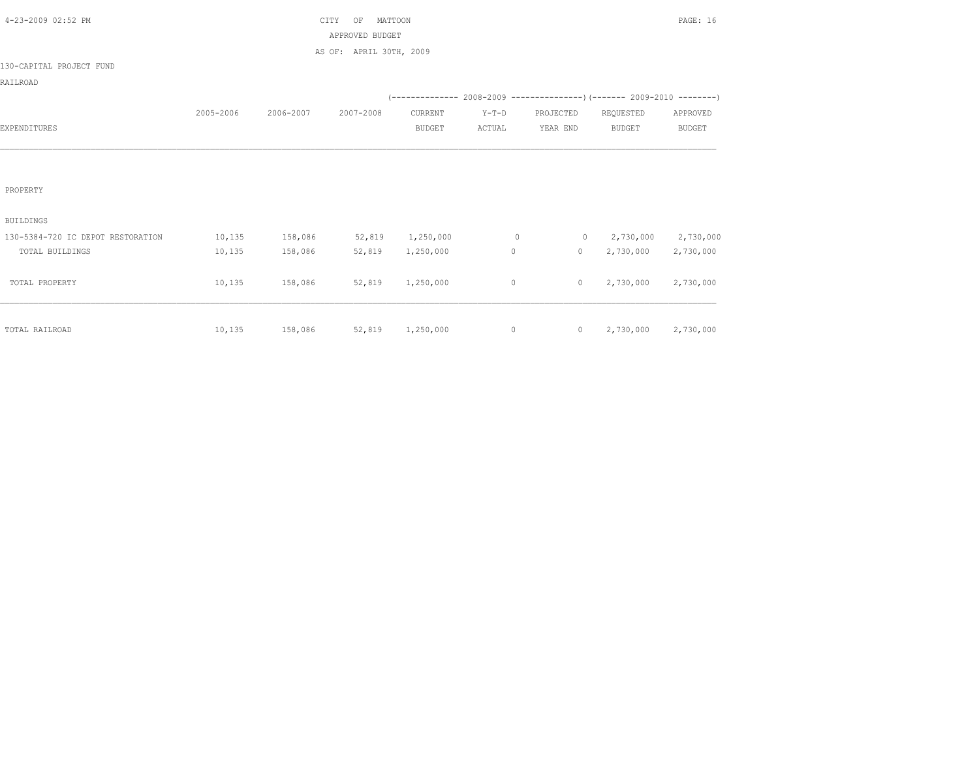| 4-23-2009 02:52 PM                |           |                          | CITY<br>MATTOON<br>OF   |               |         |                |                                                                          | PAGE: 16      |
|-----------------------------------|-----------|--------------------------|-------------------------|---------------|---------|----------------|--------------------------------------------------------------------------|---------------|
|                                   |           |                          | APPROVED BUDGET         |               |         |                |                                                                          |               |
|                                   |           |                          | AS OF: APRIL 30TH, 2009 |               |         |                |                                                                          |               |
| 130-CAPITAL PROJECT FUND          |           |                          |                         |               |         |                |                                                                          |               |
| RAILROAD                          |           |                          |                         |               |         |                |                                                                          |               |
|                                   |           |                          |                         |               |         |                | (-------------- 2008-2009 ----------------) (------- 2009-2010 --------) |               |
|                                   | 2005-2006 | 2006-2007                | 2007-2008               | CURRENT       | $Y-T-D$ | PROJECTED      | REQUESTED                                                                | APPROVED      |
| EXPENDITURES                      |           |                          |                         | <b>BUDGET</b> | ACTUAL  | YEAR END       | <b>BUDGET</b>                                                            | <b>BUDGET</b> |
|                                   |           |                          |                         |               |         |                |                                                                          |               |
|                                   |           |                          |                         |               |         |                |                                                                          |               |
|                                   |           |                          |                         |               |         |                |                                                                          |               |
| PROPERTY                          |           |                          |                         |               |         |                |                                                                          |               |
|                                   |           |                          |                         |               |         |                |                                                                          |               |
| <b>BUILDINGS</b>                  |           |                          |                         |               |         |                |                                                                          |               |
| 130-5384-720 IC DEPOT RESTORATION | 10, 135   | 158,086                  | 52,819 1,250,000        |               | $\circ$ |                | $0 \qquad 2,730,000 \qquad 2,730,000$                                    |               |
| TOTAL BUILDINGS                   | 10,135    | 158,086                  | 52,819                  | 1,250,000     | $\circ$ | $\overline{0}$ | 2,730,000                                                                | 2,730,000     |
|                                   |           |                          |                         |               |         |                |                                                                          |               |
| TOTAL PROPERTY                    | 10,135    | 158,086                  | 52,819                  | 1,250,000     | $\circ$ | $\overline{0}$ | 2,730,000                                                                | 2,730,000     |
|                                   |           |                          |                         |               |         |                |                                                                          |               |
|                                   |           |                          |                         |               |         |                |                                                                          |               |
| TOTAL RAILROAD                    | 10, 135   | 158,086 52,819 1,250,000 |                         |               | $\circ$ |                | $0 \qquad 2,730,000$                                                     | 2,730,000     |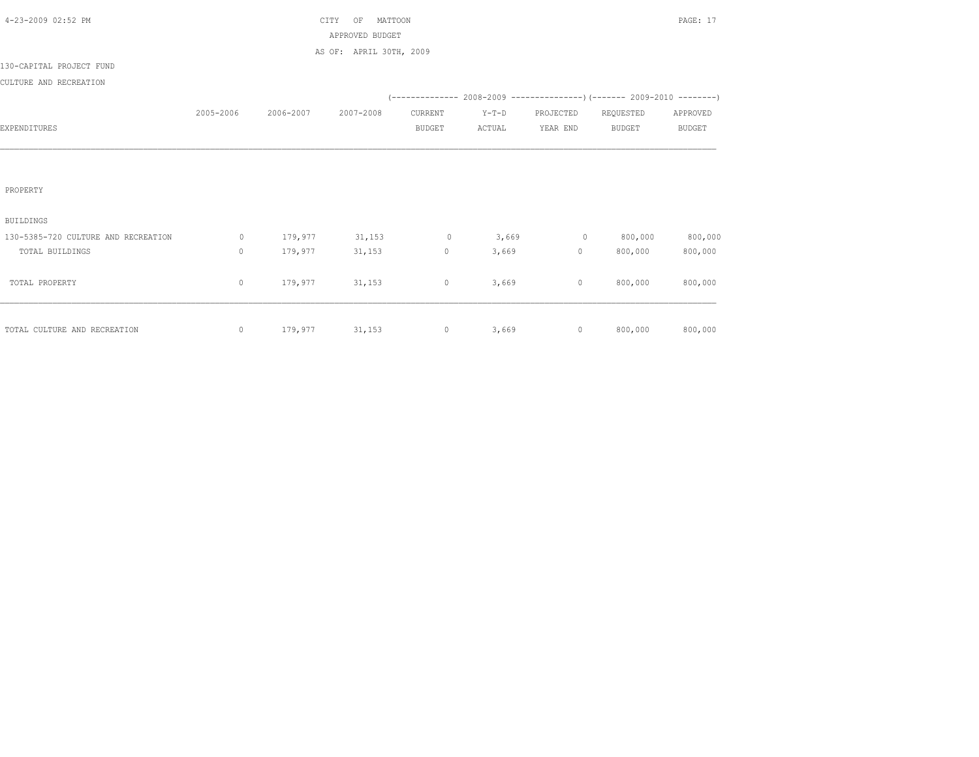| 4-23-2009 02:52 PM                  |              |           | CITY<br>MATTOON<br>OF   |               |         |                |               | PAGE: 17      |
|-------------------------------------|--------------|-----------|-------------------------|---------------|---------|----------------|---------------|---------------|
|                                     |              |           | APPROVED BUDGET         |               |         |                |               |               |
|                                     |              |           | AS OF: APRIL 30TH, 2009 |               |         |                |               |               |
| 130-CAPITAL PROJECT FUND            |              |           |                         |               |         |                |               |               |
| CULTURE AND RECREATION              |              |           |                         |               |         |                |               |               |
|                                     |              |           |                         |               |         |                |               |               |
|                                     | 2005-2006    | 2006-2007 | 2007-2008               | CURRENT       | $Y-T-D$ | PROJECTED      | REQUESTED     | APPROVED      |
| EXPENDITURES                        |              |           |                         | <b>BUDGET</b> | ACTUAL  | YEAR END       | <b>BUDGET</b> | <b>BUDGET</b> |
|                                     |              |           |                         |               |         |                |               |               |
|                                     |              |           |                         |               |         |                |               |               |
|                                     |              |           |                         |               |         |                |               |               |
| PROPERTY                            |              |           |                         |               |         |                |               |               |
|                                     |              |           |                         |               |         |                |               |               |
| <b>BUILDINGS</b>                    |              |           |                         |               |         |                |               |               |
| 130-5385-720 CULTURE AND RECREATION | $\circ$      | 179,977   | 31,153                  | $\circ$       | 3,669   | $\overline{0}$ | 800,000       | 800,000       |
| TOTAL BUILDINGS                     | $\mathbf{0}$ | 179,977   | 31,153                  | $\circ$       | 3,669   | $\circ$        | 800,000       | 800,000       |
|                                     |              |           |                         |               |         |                |               |               |
| TOTAL PROPERTY                      | $\circ$      | 179,977   | 31,153                  | $\circ$       | 3,669   | $\circ$        | 800,000       | 800,000       |
|                                     |              |           |                         |               |         |                |               |               |
|                                     |              |           |                         |               |         |                |               |               |
| TOTAL CULTURE AND RECREATION        | $\circ$      | 179,977   | 31,153                  | $\circ$       | 3,669   | $\circ$        | 800,000       | 800,000       |
|                                     |              |           |                         |               |         |                |               |               |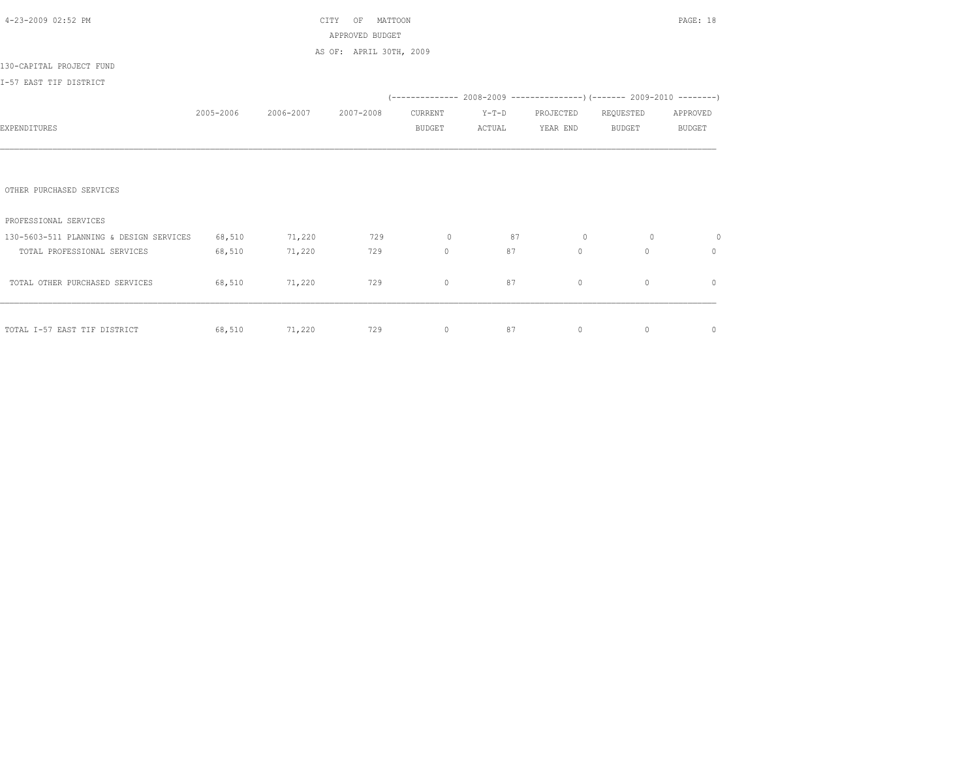| 4-23-2009 02:52 PM                      |           |           | MATTOON<br>CITY<br>OF   |                |         |              |                                                                          | PAGE: 18      |
|-----------------------------------------|-----------|-----------|-------------------------|----------------|---------|--------------|--------------------------------------------------------------------------|---------------|
|                                         |           |           | APPROVED BUDGET         |                |         |              |                                                                          |               |
|                                         |           |           | AS OF: APRIL 30TH, 2009 |                |         |              |                                                                          |               |
| 130-CAPITAL PROJECT FUND                |           |           |                         |                |         |              |                                                                          |               |
| I-57 EAST TIF DISTRICT                  |           |           |                         |                |         |              |                                                                          |               |
|                                         |           |           |                         |                |         |              | (-------------- 2008-2009 ----------------) (------- 2009-2010 --------) |               |
|                                         | 2005-2006 | 2006-2007 | 2007-2008               | CURRENT        | $Y-T-D$ | PROJECTED    | REQUESTED                                                                | APPROVED      |
| EXPENDITURES                            |           |           |                         | <b>BUDGET</b>  | ACTUAL  | YEAR END     | BUDGET                                                                   | <b>BUDGET</b> |
|                                         |           |           |                         |                |         |              |                                                                          |               |
|                                         |           |           |                         |                |         |              |                                                                          |               |
|                                         |           |           |                         |                |         |              |                                                                          |               |
| OTHER PURCHASED SERVICES                |           |           |                         |                |         |              |                                                                          |               |
|                                         |           |           |                         |                |         |              |                                                                          |               |
| PROFESSIONAL SERVICES                   |           |           |                         |                |         |              |                                                                          |               |
| 130-5603-511 PLANNING & DESIGN SERVICES | 68,510    | 71,220    | 729                     | $\overline{0}$ | 87      | $\circ$      | $\circ$                                                                  | $\circ$       |
| TOTAL PROFESSIONAL SERVICES             | 68,510    | 71,220    | 729                     | $\mathbf{0}$   | 87      | $\mathbf{0}$ | $\circ$                                                                  | $\mathbf{0}$  |
|                                         |           |           |                         |                |         |              |                                                                          |               |
| TOTAL OTHER PURCHASED SERVICES          | 68,510    | 71,220    | 729                     | $\mathbf{0}$   | 87      | $\circ$      | $\mathbf{0}$                                                             | $\mathbf{0}$  |
|                                         |           |           |                         |                |         |              |                                                                          |               |
|                                         |           |           |                         |                |         |              |                                                                          |               |
| TOTAL I-57 EAST TIF DISTRICT            | 68,510    | 71,220    | 729                     | $\circ$        | 87      | $\circ$      | $\circ$                                                                  | $\circ$       |
|                                         |           |           |                         |                |         |              |                                                                          |               |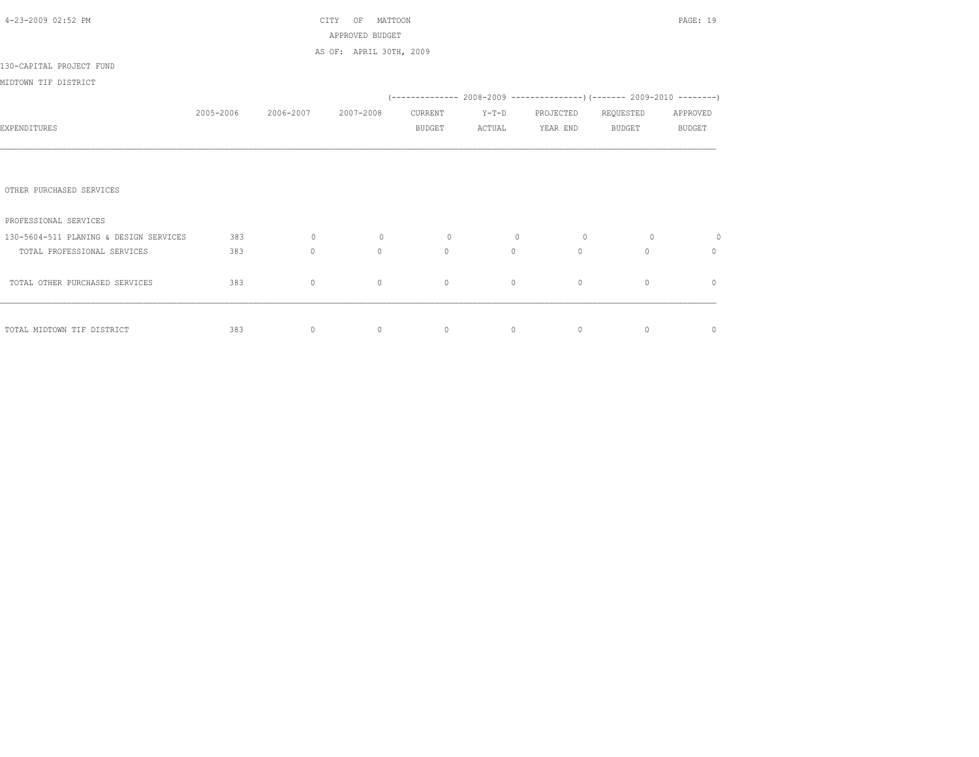| 4-23-2009 02:52 PM                     |           |           | MATTOON<br>CITY OF      |               |         |                                                                          |           | PAGE: 19      |
|----------------------------------------|-----------|-----------|-------------------------|---------------|---------|--------------------------------------------------------------------------|-----------|---------------|
|                                        |           |           | APPROVED BUDGET         |               |         |                                                                          |           |               |
|                                        |           |           | AS OF: APRIL 30TH, 2009 |               |         |                                                                          |           |               |
| 130-CAPITAL PROJECT FUND               |           |           |                         |               |         |                                                                          |           |               |
| MIDTOWN TIF DISTRICT                   |           |           |                         |               |         |                                                                          |           |               |
|                                        |           |           |                         |               |         | (-------------- 2008-2009 ----------------) (------- 2009-2010 --------) |           |               |
|                                        | 2005-2006 | 2006-2007 | 2007-2008               | CURRENT       | $Y-T-D$ | PROJECTED                                                                | REQUESTED | APPROVED      |
| EXPENDITURES                           |           |           |                         | <b>BUDGET</b> | ACTUAL  | YEAR END                                                                 | BUDGET    | <b>BUDGET</b> |
|                                        |           |           |                         |               |         |                                                                          |           |               |
|                                        |           |           |                         |               |         |                                                                          |           |               |
|                                        |           |           |                         |               |         |                                                                          |           |               |
| OTHER PURCHASED SERVICES               |           |           |                         |               |         |                                                                          |           |               |
|                                        |           |           |                         |               |         |                                                                          |           |               |
| PROFESSIONAL SERVICES                  |           |           |                         |               |         |                                                                          |           |               |
| 130-5604-511 PLANING & DESIGN SERVICES | 383       | $\circ$   | $\circ$                 | $\circ$       | $\circ$ | $\circ$                                                                  | $\circ$   | $\circ$       |
| TOTAL PROFESSIONAL SERVICES            | 383       | $\circ$   | $\circ$                 | $\circ$       | $\circ$ | $\circ$                                                                  | $\circ$   | $\mathbf{0}$  |
|                                        |           |           |                         |               |         |                                                                          |           |               |
| TOTAL OTHER PURCHASED SERVICES         | 383       | $\circ$   | $\circ$                 | $\circ$       | $\circ$ | $\circ$                                                                  | $\circ$   | $\mathbf{0}$  |
|                                        |           |           |                         |               |         |                                                                          |           |               |
|                                        |           |           |                         |               |         |                                                                          |           |               |
| TOTAL MIDTOWN TIF DISTRICT             | 383       | $\circ$   | $\circ$                 | $\circ$       | $\circ$ | $\overline{0}$                                                           | $\circ$   | $\mathbb O$   |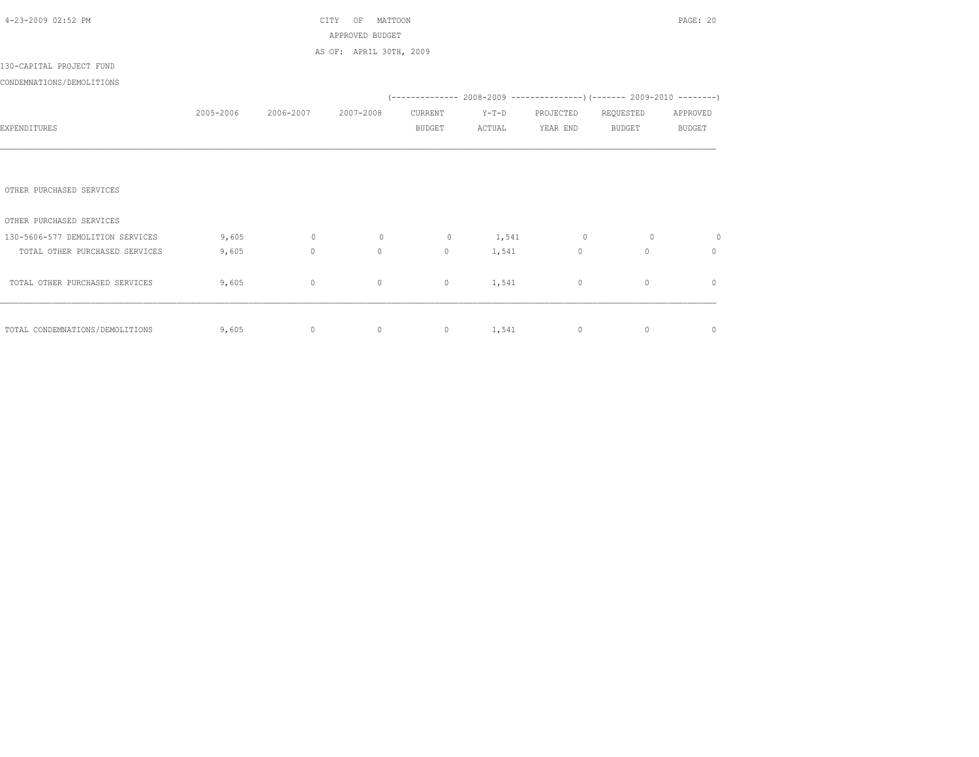| 4-23-2009 02:52 PM               |           |           | MATTOON<br>CITY<br>ΟF   |               |           |                |                                                                          | PAGE: 20      |
|----------------------------------|-----------|-----------|-------------------------|---------------|-----------|----------------|--------------------------------------------------------------------------|---------------|
|                                  |           |           | APPROVED BUDGET         |               |           |                |                                                                          |               |
|                                  |           |           | AS OF: APRIL 30TH, 2009 |               |           |                |                                                                          |               |
| 130-CAPITAL PROJECT FUND         |           |           |                         |               |           |                |                                                                          |               |
| CONDEMNATIONS/DEMOLITIONS        |           |           |                         |               |           |                |                                                                          |               |
|                                  |           |           |                         |               |           |                | (-------------- 2008-2009 ----------------) (------- 2009-2010 --------) |               |
|                                  | 2005-2006 | 2006-2007 | 2007-2008               | CURRENT       | $Y-T-D$   | PROJECTED      | REQUESTED                                                                | APPROVED      |
| EXPENDITURES                     |           |           |                         | <b>BUDGET</b> | ACTUAL    | YEAR END       | <b>BUDGET</b>                                                            | <b>BUDGET</b> |
|                                  |           |           |                         |               |           |                |                                                                          |               |
|                                  |           |           |                         |               |           |                |                                                                          |               |
|                                  |           |           |                         |               |           |                |                                                                          |               |
| OTHER PURCHASED SERVICES         |           |           |                         |               |           |                |                                                                          |               |
|                                  |           |           |                         |               |           |                |                                                                          |               |
| OTHER PURCHASED SERVICES         |           |           |                         |               |           |                |                                                                          |               |
| 130-5606-577 DEMOLITION SERVICES | 9,605     | $\circ$   | $\circ$                 | $\circ$       | 1,541     | $\overline{0}$ | $\circ$                                                                  | $\circ$       |
| TOTAL OTHER PURCHASED SERVICES   | 9,605     | $\circ$   | $\mathbf{0}$            | $\circ$       | 1,541     | $\circ$        | $\Omega$                                                                 | $\mathbf{0}$  |
|                                  |           |           |                         |               |           |                |                                                                          |               |
| TOTAL OTHER PURCHASED SERVICES   | 9,605     | $\circ$   | $\circ$                 | $\circ$       | 1,541     | $\circ$        | $\mathbf{0}$                                                             | $\mathbf{0}$  |
|                                  |           |           |                         |               |           |                |                                                                          |               |
|                                  |           |           |                         |               |           |                |                                                                          |               |
| TOTAL CONDEMNATIONS/DEMOLITIONS  | 9,605     | $\circ$   | $\circ$                 |               | 0 $1,541$ | $\circ$        | $\circ$                                                                  | $\mathbb O$   |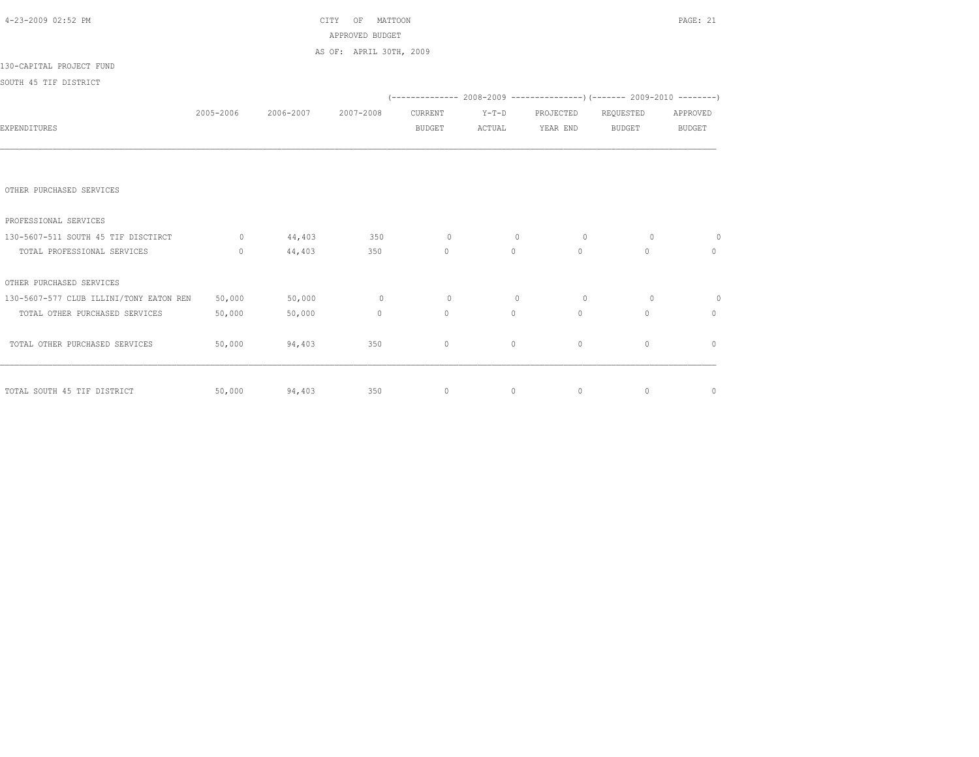| 4-23-2009 02:52 PM                      |                   |                               | CITY OF MATTOON         |                   |                                          |                           |                                                                                                                                                                                                                                                                                                                                               | PAGE: 21       |
|-----------------------------------------|-------------------|-------------------------------|-------------------------|-------------------|------------------------------------------|---------------------------|-----------------------------------------------------------------------------------------------------------------------------------------------------------------------------------------------------------------------------------------------------------------------------------------------------------------------------------------------|----------------|
|                                         |                   |                               | APPROVED BUDGET         |                   |                                          |                           |                                                                                                                                                                                                                                                                                                                                               |                |
|                                         |                   |                               | AS OF: APRIL 30TH, 2009 |                   |                                          |                           |                                                                                                                                                                                                                                                                                                                                               |                |
| 130-CAPITAL PROJECT FUND                |                   |                               |                         |                   |                                          |                           |                                                                                                                                                                                                                                                                                                                                               |                |
| SOUTH 45 TIF DISTRICT                   |                   |                               |                         |                   |                                          |                           |                                                                                                                                                                                                                                                                                                                                               |                |
|                                         |                   |                               |                         |                   |                                          |                           | (-------------- 2008-2009 ----------------) (------- 2009-2010 --------)                                                                                                                                                                                                                                                                      |                |
|                                         |                   | 2005-2006 2006-2007 2007-2008 |                         | CURRENT           |                                          | Y-T-D PROJECTED REQUESTED |                                                                                                                                                                                                                                                                                                                                               | APPROVED       |
| EXPENDITURES                            |                   |                               |                         | BUDGET            | ACTUAL                                   | YEAR END                  | BUDGET                                                                                                                                                                                                                                                                                                                                        | <b>BUDGET</b>  |
|                                         |                   |                               |                         |                   |                                          |                           |                                                                                                                                                                                                                                                                                                                                               |                |
|                                         |                   |                               |                         |                   |                                          |                           |                                                                                                                                                                                                                                                                                                                                               |                |
|                                         |                   |                               |                         |                   |                                          |                           |                                                                                                                                                                                                                                                                                                                                               |                |
| OTHER PURCHASED SERVICES                |                   |                               |                         |                   |                                          |                           |                                                                                                                                                                                                                                                                                                                                               |                |
|                                         |                   |                               |                         |                   |                                          |                           |                                                                                                                                                                                                                                                                                                                                               |                |
| PROFESSIONAL SERVICES                   |                   |                               |                         |                   |                                          |                           |                                                                                                                                                                                                                                                                                                                                               |                |
| 130-5607-511 SOUTH 45 TIF DISCTIRCT     |                   | 0 $44,403$ 350                |                         | $\sim$ 0          | $\circ$                                  | $\overline{0}$            | $\Omega$                                                                                                                                                                                                                                                                                                                                      | $\overline{0}$ |
| TOTAL PROFESSIONAL SERVICES             | $0 \qquad \qquad$ | 44,403                        | 350                     | $0 \qquad \qquad$ | $\overline{0}$                           | $\overline{0}$            | $\circ$                                                                                                                                                                                                                                                                                                                                       | $\mathbf{0}$   |
| OTHER PURCHASED SERVICES                |                   |                               |                         |                   |                                          |                           |                                                                                                                                                                                                                                                                                                                                               |                |
| 130-5607-577 CLUB ILLINI/TONY EATON REN | 50,000            | 50,000                        | $\sim$ 0                | $\circ$           | $\circ$                                  | $\circ$                   | $\Omega$                                                                                                                                                                                                                                                                                                                                      | $\overline{0}$ |
| TOTAL OTHER PURCHASED SERVICES          | 50,000            | 50,000                        | 0                       | $\circ$           | $\circ$                                  | $\overline{0}$            | $\mathbf{0}$                                                                                                                                                                                                                                                                                                                                  | $\mathbf{0}$   |
|                                         |                   |                               |                         |                   |                                          |                           |                                                                                                                                                                                                                                                                                                                                               |                |
| TOTAL OTHER PURCHASED SERVICES          | 50,000            | 94,403                        | 350                     | $\mathbf{0}$      | $\circ$                                  | $\circ$                   | $\mathbf{0}$                                                                                                                                                                                                                                                                                                                                  | $\mathbf{0}$   |
|                                         |                   |                               |                         |                   |                                          |                           |                                                                                                                                                                                                                                                                                                                                               |                |
|                                         |                   |                               |                         |                   |                                          |                           |                                                                                                                                                                                                                                                                                                                                               |                |
| TOTAL SOUTH 45 TIF DISTRICT             | 50,000            | 94,403 350                    |                         |                   | $\begin{array}{ccc} 0 & & 0 \end{array}$ |                           | $\overline{0}$ and $\overline{0}$ and $\overline{0}$ and $\overline{0}$ and $\overline{0}$ and $\overline{0}$ and $\overline{0}$ and $\overline{0}$ and $\overline{0}$ and $\overline{0}$ and $\overline{0}$ and $\overline{0}$ and $\overline{0}$ and $\overline{0}$ and $\overline{0}$ and $\overline{0}$ and $\overline{0}$ and<br>$\circ$ | $\circ$        |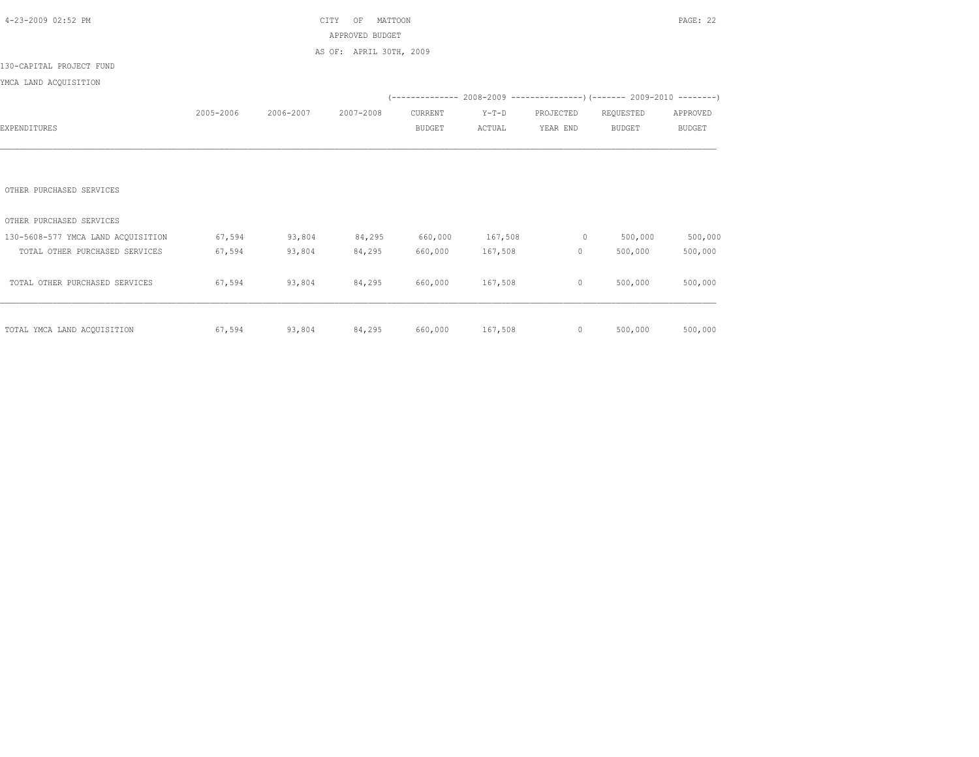| 4-23-2009 02:52 PM                 |           |               | CITY<br>MATTOON<br>OF   |               |                 |                          |                                                                          | PAGE: 22      |
|------------------------------------|-----------|---------------|-------------------------|---------------|-----------------|--------------------------|--------------------------------------------------------------------------|---------------|
|                                    |           |               | APPROVED BUDGET         |               |                 |                          |                                                                          |               |
|                                    |           |               | AS OF: APRIL 30TH, 2009 |               |                 |                          |                                                                          |               |
| 130-CAPITAL PROJECT FUND           |           |               |                         |               |                 |                          |                                                                          |               |
| YMCA LAND ACQUISITION              |           |               |                         |               |                 |                          |                                                                          |               |
|                                    |           |               |                         |               |                 |                          | (-------------- 2008-2009 ----------------) (------- 2009-2010 --------) |               |
|                                    | 2005-2006 | 2006-2007     | 2007-2008               | CURRENT       | $Y-T-D$         | PROJECTED                | REQUESTED                                                                | APPROVED      |
| EXPENDITURES                       |           |               |                         | <b>BUDGET</b> | ACTUAL          | YEAR END                 | <b>BUDGET</b>                                                            | <b>BUDGET</b> |
|                                    |           |               |                         |               |                 |                          |                                                                          |               |
|                                    |           |               |                         |               |                 |                          |                                                                          |               |
|                                    |           |               |                         |               |                 |                          |                                                                          |               |
| OTHER PURCHASED SERVICES           |           |               |                         |               |                 |                          |                                                                          |               |
|                                    |           |               |                         |               |                 |                          |                                                                          |               |
| OTHER PURCHASED SERVICES           |           |               |                         |               |                 |                          |                                                                          |               |
| 130-5608-577 YMCA LAND ACQUISITION | 67,594    | 93,804        | 84,295                  | 660,000       | 167,508         | $\sim$ 0 $\sim$ 0 $\sim$ | 500,000                                                                  | 500,000       |
| TOTAL OTHER PURCHASED SERVICES     | 67,594    | 93,804        | 84,295                  | 660,000       | 167,508         | $0 \qquad \qquad$        | 500,000                                                                  | 500,000       |
|                                    |           |               |                         |               |                 |                          |                                                                          |               |
| TOTAL OTHER PURCHASED SERVICES     | 67,594    | 93,804        | 84,295                  | 660,000       | 167,508         | $\circ$                  | 500,000                                                                  | 500,000       |
|                                    |           |               |                         |               |                 |                          |                                                                          |               |
|                                    |           |               |                         |               |                 |                          |                                                                          |               |
| TOTAL YMCA LAND ACQUISITION        | 67,594    | 93,804 84,295 |                         |               | 660,000 167,508 |                          | 500,000<br>$\overline{0}$                                                | 500,000       |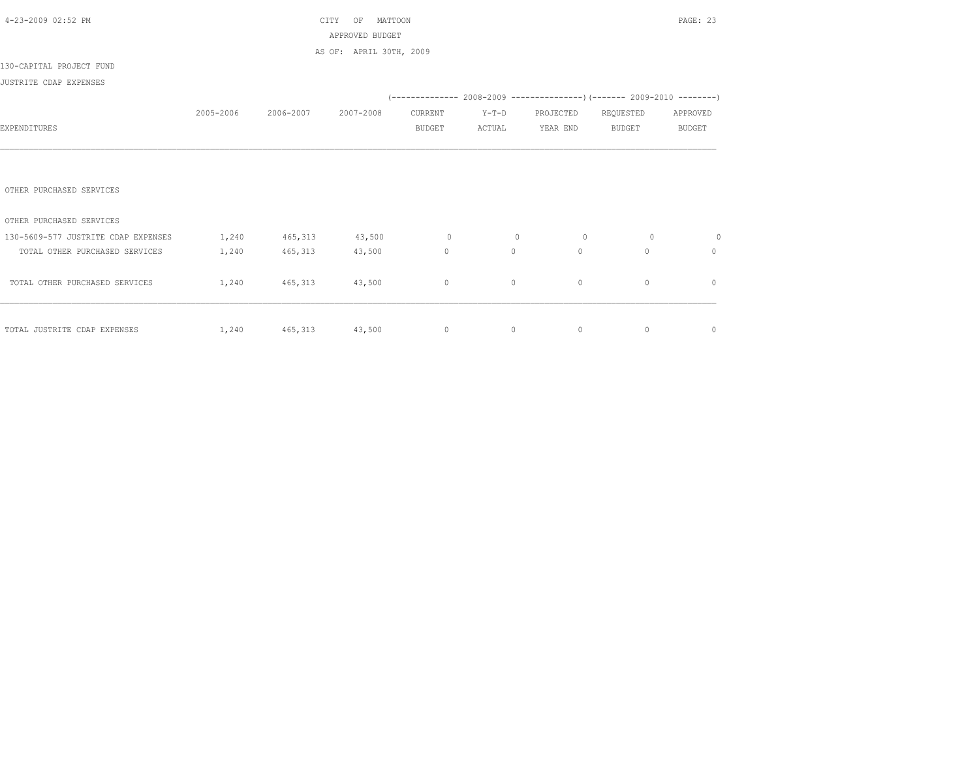| 4-23-2009 02:52 PM                  |           |                  | MATTOON<br>CITY<br>OF   |               |          |           |                | PAGE: 23      |
|-------------------------------------|-----------|------------------|-------------------------|---------------|----------|-----------|----------------|---------------|
|                                     |           |                  | APPROVED BUDGET         |               |          |           |                |               |
|                                     |           |                  | AS OF: APRIL 30TH, 2009 |               |          |           |                |               |
| 130-CAPITAL PROJECT FUND            |           |                  |                         |               |          |           |                |               |
| JUSTRITE CDAP EXPENSES              |           |                  |                         |               |          |           |                |               |
|                                     |           |                  |                         |               |          |           |                |               |
|                                     | 2005-2006 | 2006-2007        | 2007-2008               | CURRENT       | $Y-T-D$  | PROJECTED | REQUESTED      | APPROVED      |
| EXPENDITURES                        |           |                  |                         | <b>BUDGET</b> | ACTUAL   | YEAR END  | BUDGET         | <b>BUDGET</b> |
|                                     |           |                  |                         |               |          |           |                |               |
|                                     |           |                  |                         |               |          |           |                |               |
|                                     |           |                  |                         |               |          |           |                |               |
| OTHER PURCHASED SERVICES            |           |                  |                         |               |          |           |                |               |
|                                     |           |                  |                         |               |          |           |                |               |
| OTHER PURCHASED SERVICES            |           |                  |                         |               |          |           |                |               |
| 130-5609-577 JUSTRITE CDAP EXPENSES | 1,240     | 465, 313 43, 500 |                         | $\sim$ 0      | $\circ$  | $\circ$   | $\circ$        | $\circ$       |
| TOTAL OTHER PURCHASED SERVICES      | 1,240     | 465,313          | 43,500                  | $\circ$       | $\Omega$ | $\circ$   | $\mathbf{0}$   | 0             |
|                                     |           |                  |                         |               |          |           |                |               |
| TOTAL OTHER PURCHASED SERVICES      | 1,240     | 465,313 43,500   |                         | $\circ$       | $\circ$  | $\circ$   | $\mathbf{0}$   | $\mathbf{0}$  |
|                                     |           |                  |                         |               |          |           |                |               |
|                                     |           |                  |                         |               |          |           |                |               |
| TOTAL JUSTRITE CDAP EXPENSES        | 1,240     | 465,313 43,500 0 |                         |               | $\circ$  | $\circ$   | $\overline{0}$ | $\circ$       |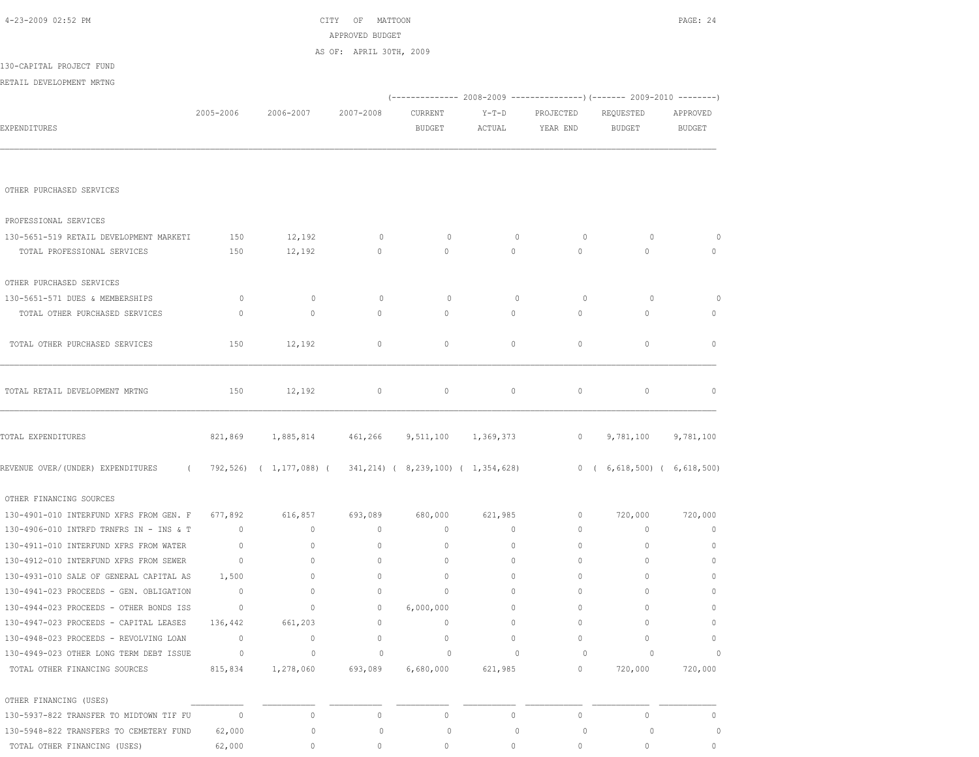| 4-23-2009 02:52 PM                              |                |                                                            | OF<br>CITY<br>MATTOON   |                                                                        |          |              |                                         | PAGE: 24      |
|-------------------------------------------------|----------------|------------------------------------------------------------|-------------------------|------------------------------------------------------------------------|----------|--------------|-----------------------------------------|---------------|
|                                                 |                |                                                            | APPROVED BUDGET         |                                                                        |          |              |                                         |               |
| 130-CAPITAL PROJECT FUND                        |                |                                                            | AS OF: APRIL 30TH, 2009 |                                                                        |          |              |                                         |               |
| RETAIL DEVELOPMENT MRTNG                        |                |                                                            |                         |                                                                        |          |              |                                         |               |
|                                                 |                |                                                            |                         | (------------- 2008-2009 ---------------) (------- 2009-2010 --------) |          |              |                                         |               |
|                                                 | 2005-2006      | 2006-2007                                                  | 2007-2008               | CURRENT                                                                | Y-T-D    | PROJECTED    | REQUESTED                               | APPROVED      |
| EXPENDITURES                                    |                |                                                            |                         | <b>BUDGET</b>                                                          | ACTUAL   | YEAR END     | <b>BUDGET</b>                           | <b>BUDGET</b> |
|                                                 |                |                                                            |                         |                                                                        |          |              |                                         |               |
|                                                 |                |                                                            |                         |                                                                        |          |              |                                         |               |
| OTHER PURCHASED SERVICES                        |                |                                                            |                         |                                                                        |          |              |                                         |               |
|                                                 |                |                                                            |                         |                                                                        |          |              |                                         |               |
| PROFESSIONAL SERVICES                           |                |                                                            |                         |                                                                        |          |              |                                         |               |
| 130-5651-519 RETAIL DEVELOPMENT MARKETI         | 150            | 12,192                                                     | $\circ$                 | 0                                                                      | $\circ$  | $\circ$      | $\circ$                                 | $\circ$       |
| TOTAL PROFESSIONAL SERVICES                     | 150            | 12,192                                                     | $\circ$                 | $\mathbf{0}$                                                           | $\circ$  | $\circ$      | $\mathbf{0}$                            | $\circ$       |
| OTHER PURCHASED SERVICES                        |                |                                                            |                         |                                                                        |          |              |                                         |               |
| 130-5651-571 DUES & MEMBERSHIPS                 | $\circ$        | $\mathbb O$                                                | $\circ$                 | $\circ$                                                                | $\circ$  | 0            | $\circ$                                 | $\circ$       |
| TOTAL OTHER PURCHASED SERVICES                  | $\mathbf{0}$   | $\circ$                                                    | $\circ$                 | $\circ$                                                                | 0        | $\mathbf{0}$ | $\circ$                                 | $\circ$       |
|                                                 |                |                                                            |                         |                                                                        |          |              |                                         |               |
| TOTAL OTHER PURCHASED SERVICES                  | 150            | 12,192                                                     | 0                       | $\circ$                                                                | 0        | $\circ$      | $\circ$                                 | $\mathbf 0$   |
|                                                 |                |                                                            |                         |                                                                        |          |              |                                         |               |
|                                                 |                |                                                            |                         |                                                                        |          |              |                                         |               |
| TOTAL RETAIL DEVELOPMENT MRTNG                  | 150            | 12,192                                                     | $\circ$                 | $\mathbf 0$                                                            | $\circ$  | $\circ$      | $\mathbf 0$                             | $\mathbb{O}$  |
| TOTAL EXPENDITURES                              | 821,869        | 1,885,814                                                  | 461,266                 | 9,511,100 1,369,373                                                    |          | $\circ$      | 9,781,100                               | 9,781,100     |
|                                                 |                |                                                            |                         |                                                                        |          |              |                                         |               |
| REVENUE OVER/(UNDER) EXPENDITURES<br>$\sqrt{2}$ |                | 792,526) ( 1,177,088) ( 341,214) ( 8,239,100) ( 1,354,628) |                         |                                                                        |          |              | $0 \quad (6,618,500) \quad (6,618,500)$ |               |
| OTHER FINANCING SOURCES                         |                |                                                            |                         |                                                                        |          |              |                                         |               |
| 130-4901-010 INTERFUND XFRS FROM GEN. F 677,892 |                | 616,857                                                    | 693,089                 | 680,000                                                                | 621,985  | $\circ$      | 720,000                                 | 720,000       |
| 130-4906-010 INTRFD TRNFRS IN - INS & T         | $\overline{0}$ | $\circ$                                                    | $\circ$                 | $\circ$                                                                | $\circ$  | $\circ$      | $\circ$                                 | $\mathbf 0$   |
| 130-4911-010 INTERFUND XFRS FROM WATER          | $\mathbf{0}$   | $\mathbf 0$                                                | $\circ$                 | $\mathbf 0$                                                            | $\circ$  | $\circ$      | 0                                       | $\circ$       |
| 130-4912-010 INTERFUND XFRS FROM SEWER          | $\overline{0}$ | $\mathbf 0$                                                | $\mathbf{0}$            | $\mathbf{0}$                                                           | $\circ$  | $\mathbf{0}$ | $\circ$                                 | $\mathbb{O}$  |
| 130-4931-010 SALE OF GENERAL CAPITAL AS         | 1,500          | 0                                                          |                         | 0                                                                      | 0        | 0            | 0                                       | $\mathbf{0}$  |
| 130-4941-023 PROCEEDS - GEN. OBLIGATION         | $\sim$ 0       | $\mathbf{0}$                                               | 0                       | $\mathbf{0}$                                                           | $\Omega$ | $\mathbf{0}$ | 0                                       | $\mathbf{0}$  |
| 130-4944-023 PROCEEDS - OTHER BONDS ISS         | $\sim$ 0       | $\circ$                                                    | $\mathbf{0}$            | 6,000,000                                                              | $\circ$  | $\mathbf{0}$ | $\Omega$                                | $\mathbf{0}$  |
| 130-4947-023 PROCEEDS - CAPITAL LEASES          | 136,442        | 661,203                                                    | $\circ$                 | $\circ$                                                                | $\circ$  | $\mathbf{0}$ | $\Omega$                                | $\circ$       |
| 130-4948-023 PROCEEDS - REVOLVING LOAN          | $\overline{0}$ | $\circ$                                                    | $\mathbf{0}$            | $\mathbf 0$                                                            | $\circ$  | $\circ$      | $\Omega$                                | $\circ$       |
| 130-4949-023 OTHER LONG TERM DEBT ISSUE         | $\overline{0}$ | $\circ$                                                    | $\circ$                 | 0                                                                      | $\circ$  | 0            | $\circ$                                 | $\circ$       |
| TOTAL OTHER FINANCING SOURCES                   | 815,834        | 1,278,060                                                  | 693,089                 | 6,680,000                                                              | 621,985  | 0            | 720,000                                 | 720,000       |
| OTHER FINANCING (USES)                          |                |                                                            |                         |                                                                        |          |              |                                         |               |
| 130-5937-822 TRANSFER TO MIDTOWN TIF FU         | $\overline{0}$ | $\mathbb O$                                                | $\circ$                 | $\mathbb O$                                                            | $\circ$  | $\circ$      | $\mathbf{0}$                            | $\mathbf{0}$  |
| 130-5948-822 TRANSFERS TO CEMETERY FUND         | 62,000         | 0                                                          | 0                       | 0                                                                      | 0        | 0            | $\circ$                                 | $\circ$       |
| TOTAL OTHER FINANCING (USES)                    | 62,000         | 0                                                          | $\mathbf{0}$            | 0                                                                      | 0        | 0            | 0                                       | $\circ$       |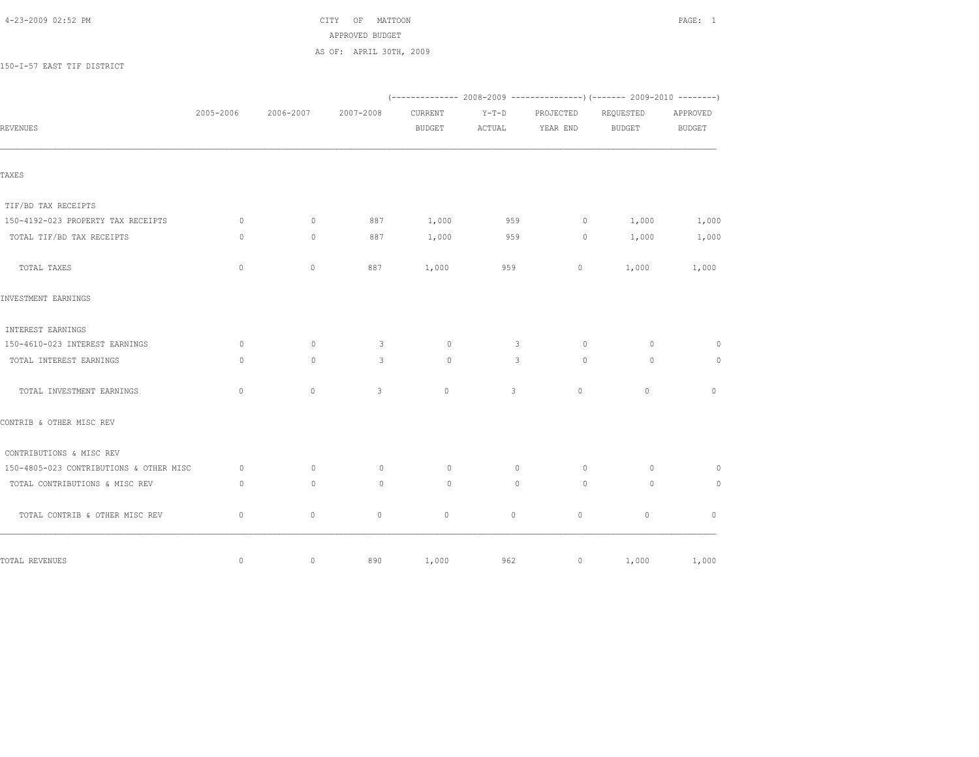## 4-23-2009 02:52 PM CITY OF MATTOON PAGE: 1

 APPROVED BUDGET AS OF: APRIL 30TH, 2009

150-I-57 EAST TIF DISTRICT

|                                         | 2005-2006   | 2006-2007    | 2007-2008     | CURRENT       | $Y-T-D$      | PROJECTED   | REQUESTED     | APPROVED      |
|-----------------------------------------|-------------|--------------|---------------|---------------|--------------|-------------|---------------|---------------|
| REVENUES                                |             |              |               | <b>BUDGET</b> | ACTUAL       | YEAR END    | <b>BUDGET</b> | <b>BUDGET</b> |
|                                         |             |              |               |               |              |             |               |               |
| TAXES                                   |             |              |               |               |              |             |               |               |
| TIF/BD TAX RECEIPTS                     |             |              |               |               |              |             |               |               |
| 150-4192-023 PROPERTY TAX RECEIPTS      | $\circ$     | $\mathbf{0}$ | 887           | 1,000         | 959          | $\circ$     | 1,000         | 1,000         |
| TOTAL TIF/BD TAX RECEIPTS               | $\circ$     | $\mathbf{0}$ | 887           | 1,000         | 959          | $\circ$     | 1,000         | 1,000         |
| TOTAL TAXES                             | $\mathbb O$ | $\circ$      | 887           | 1,000         | 959          | $\circ$     | 1,000         | 1,000         |
| INVESTMENT EARNINGS                     |             |              |               |               |              |             |               |               |
| INTEREST EARNINGS                       |             |              |               |               |              |             |               |               |
| 150-4610-023 INTEREST EARNINGS          | $\circ$     | $\mathbf{0}$ | $\mathcal{S}$ | $\circ$       | $\mathbf{3}$ | $\circ$     | $\circ$       | $\circ$       |
| TOTAL INTEREST EARNINGS                 | $\circ$     | $\circ$      | 3             | $\circ$       | 3            | $\circ$     | $\circ$       | $\circ$       |
| TOTAL INVESTMENT EARNINGS               | $\mathbf 0$ | $\circ$      | 3             | $\mathbf{0}$  | 3            | $\circ$     | $\circ$       | $\mathbf{0}$  |
| CONTRIB & OTHER MISC REV                |             |              |               |               |              |             |               |               |
| CONTRIBUTIONS & MISC REV                |             |              |               |               |              |             |               |               |
| 150-4805-023 CONTRIBUTIONS & OTHER MISC | $\circ$     | $\mathbf{0}$ | $\circ$       | $\circ$       | $\mathbf{0}$ | $\circ$     | $\circ$       | $\circ$       |
| TOTAL CONTRIBUTIONS & MISC REV          | $\circ$     | $\mathbf{0}$ | $\circ$       | $\circ$       | $\circ$      | $\Omega$    | $\circ$       | $\circ$       |
| TOTAL CONTRIB & OTHER MISC REV          | $\mathbf 0$ | $\circ$      | $\circ$       | $\mathbb O$   | $\circ$      | $\mathbb O$ | $\circ$       | $\mathbf{0}$  |
| TOTAL REVENUES                          | $\mathbb O$ | $\circ$      | 890           | 1,000         | 962          | $\circ$     | 1,000         | 1,000         |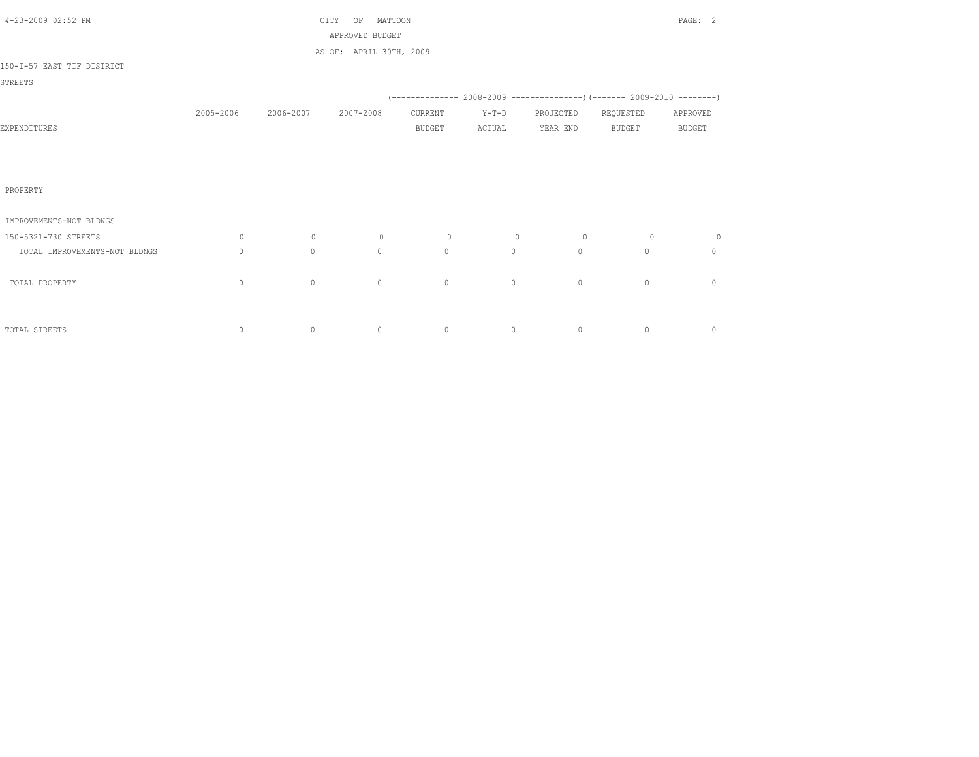| 4-23-2009 02:52 PM            |                                  |           | MATTOON<br>CITY<br>OF<br>APPROVED BUDGET |               |         |           |               | PAGE: 2       |
|-------------------------------|----------------------------------|-----------|------------------------------------------|---------------|---------|-----------|---------------|---------------|
|                               |                                  |           | AS OF: APRIL 30TH, 2009                  |               |         |           |               |               |
| 150-I-57 EAST TIF DISTRICT    |                                  |           |                                          |               |         |           |               |               |
| <b>STREETS</b>                |                                  |           |                                          |               |         |           |               |               |
|                               |                                  |           |                                          |               |         |           |               |               |
|                               | 2005-2006                        | 2006-2007 | 2007-2008                                | CURRENT       | $Y-T-D$ | PROJECTED | REQUESTED     | APPROVED      |
| EXPENDITURES                  |                                  |           |                                          | <b>BUDGET</b> | ACTUAL  | YEAR END  | <b>BUDGET</b> | <b>BUDGET</b> |
|                               |                                  |           |                                          |               |         |           |               |               |
|                               |                                  |           |                                          |               |         |           |               |               |
| PROPERTY                      |                                  |           |                                          |               |         |           |               |               |
|                               |                                  |           |                                          |               |         |           |               |               |
| IMPROVEMENTS-NOT BLDNGS       |                                  |           |                                          |               |         |           |               |               |
| 150-5321-730 STREETS          | 0                                | $\circ$   | $\circ$                                  | $\circ$       | $\circ$ | $\circ$   | $\circ$       | $\circ$       |
| TOTAL IMPROVEMENTS-NOT BLDNGS | $\begin{array}{c} \n\end{array}$ | $\circ$   | $\circ$                                  | $\circ$       | $\circ$ | $\Omega$  | $\Omega$      | 0             |
| TOTAL PROPERTY                | $\mathbf{0}$                     | $\circ$   | $\mathbf{0}$                             | $\mathbf{0}$  | $\circ$ | $\circ$   | $\circ$       | $\mathbf{0}$  |
|                               |                                  |           |                                          |               |         |           |               |               |
|                               |                                  |           |                                          |               |         |           |               |               |
| TOTAL STREETS                 | $\circ$                          | $\circ$   | $\circ$                                  | $\circ$       | $\circ$ | $\circ$   | $\circ$       | $\circ$       |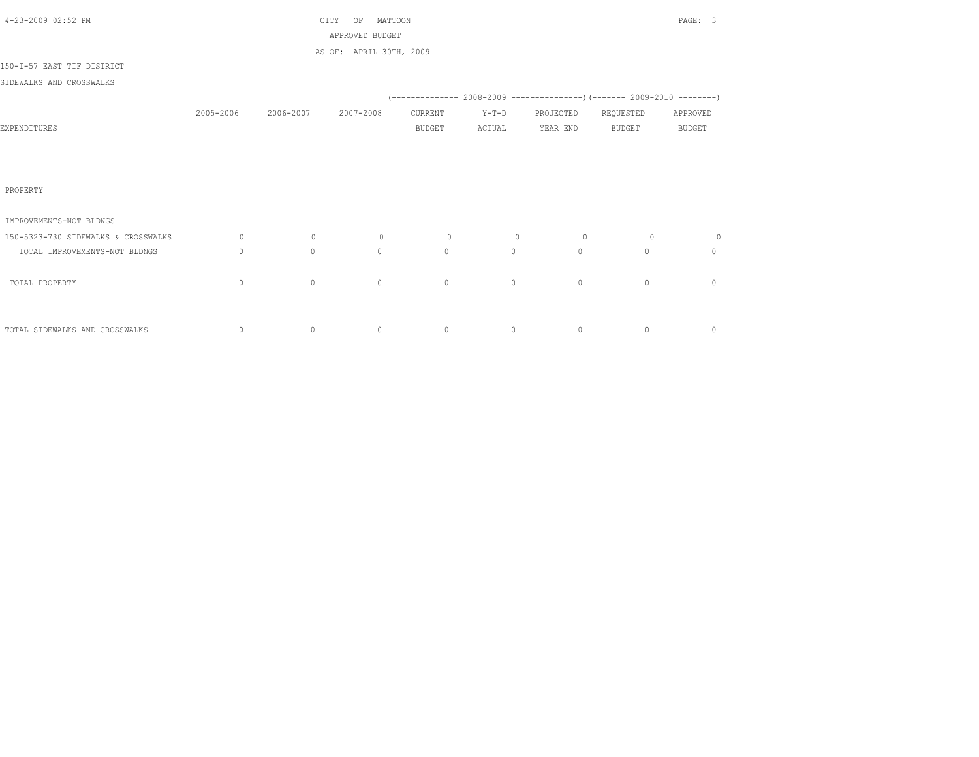| 4-23-2009 02:52 PM                  |             |              | MATTOON<br>CITY<br>ΟF   |               |         |              |                                                                         | PAGE: 3       |
|-------------------------------------|-------------|--------------|-------------------------|---------------|---------|--------------|-------------------------------------------------------------------------|---------------|
|                                     |             |              | APPROVED BUDGET         |               |         |              |                                                                         |               |
|                                     |             |              | AS OF: APRIL 30TH, 2009 |               |         |              |                                                                         |               |
| 150-I-57 EAST TIF DISTRICT          |             |              |                         |               |         |              |                                                                         |               |
| SIDEWALKS AND CROSSWALKS            |             |              |                         |               |         |              |                                                                         |               |
|                                     |             |              |                         |               |         |              | (-------------- 2008-2009 ----------------)(------- 2009-2010 --------) |               |
|                                     | 2005-2006   | 2006-2007    | 2007-2008               | CURRENT       | $Y-T-D$ | PROJECTED    | REQUESTED                                                               | APPROVED      |
| EXPENDITURES                        |             |              |                         | <b>BUDGET</b> | ACTUAL  | YEAR END     | BUDGET                                                                  | <b>BUDGET</b> |
|                                     |             |              |                         |               |         |              |                                                                         |               |
|                                     |             |              |                         |               |         |              |                                                                         |               |
|                                     |             |              |                         |               |         |              |                                                                         |               |
| PROPERTY                            |             |              |                         |               |         |              |                                                                         |               |
|                                     |             |              |                         |               |         |              |                                                                         |               |
| IMPROVEMENTS-NOT BLDNGS             |             |              |                         |               |         |              |                                                                         |               |
| 150-5323-730 SIDEWALKS & CROSSWALKS | 0           | $\circ$      | $\circ$                 | $\circ$       | $\circ$ | $\circ$      | $\circ$                                                                 | $\circ$       |
| TOTAL IMPROVEMENTS-NOT BLDNGS       | $\Omega$    | $\mathbf{0}$ | $\mathbf{0}$            | $\circ$       | $\circ$ | $\mathbf{0}$ | $\Omega$                                                                | $\mathbf{0}$  |
|                                     |             |              |                         |               |         |              |                                                                         |               |
| TOTAL PROPERTY                      | $\mathbf 0$ | $\circ$      | $\circ$                 | $\circ$       | $\circ$ | $\circ$      | $\mathbf{0}$                                                            | $\mathbf{0}$  |
|                                     |             |              |                         |               |         |              |                                                                         |               |
|                                     |             |              |                         |               |         |              |                                                                         |               |
| TOTAL SIDEWALKS AND CROSSWALKS      | $\circ$     | $\circ$      | $\circ$                 | $\circ$       | $\circ$ | $\circ$      | $\mathbf{0}$                                                            | $\circ$       |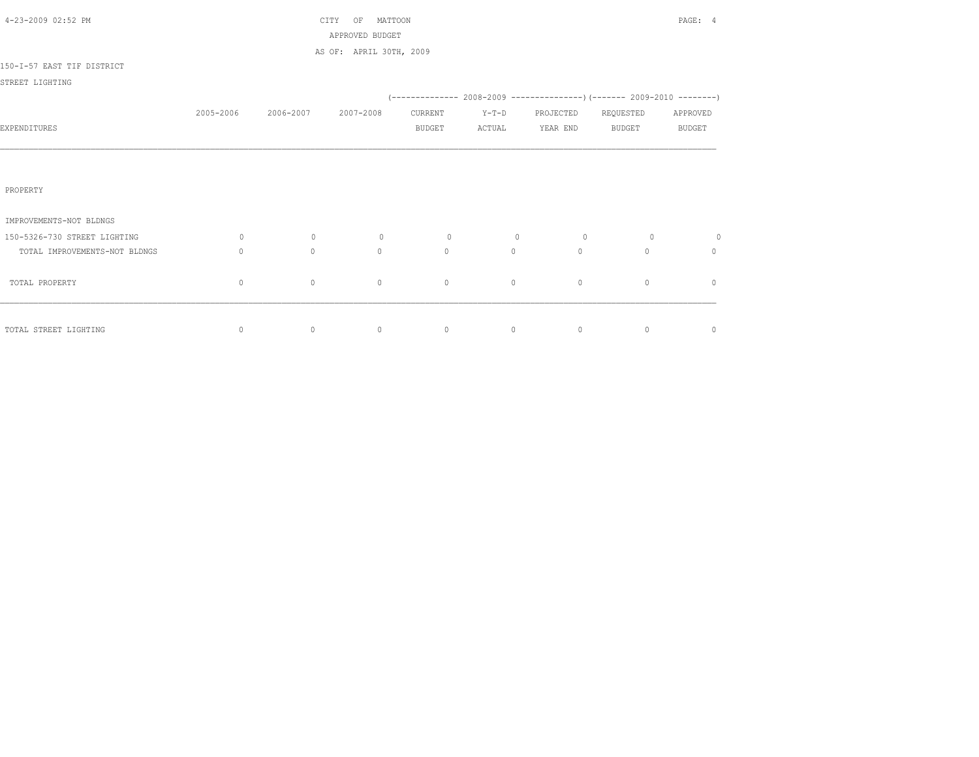| 4-23-2009 02:52 PM            |                                  |           | MATTOON<br>CITY<br>OF<br>APPROVED BUDGET |               |         |                                                                            |               | PAGE: 4       |
|-------------------------------|----------------------------------|-----------|------------------------------------------|---------------|---------|----------------------------------------------------------------------------|---------------|---------------|
|                               |                                  |           | AS OF: APRIL 30TH, 2009                  |               |         |                                                                            |               |               |
| 150-I-57 EAST TIF DISTRICT    |                                  |           |                                          |               |         |                                                                            |               |               |
| STREET LIGHTING               |                                  |           |                                          |               |         |                                                                            |               |               |
|                               |                                  |           |                                          |               |         | (-------------- 2008-2009 -----------------) (------- 2009-2010 ---------) |               |               |
|                               | 2005-2006                        | 2006-2007 | 2007-2008                                | CURRENT       | $Y-T-D$ | PROJECTED                                                                  | REQUESTED     | APPROVED      |
| EXPENDITURES                  |                                  |           |                                          | <b>BUDGET</b> | ACTUAL  | YEAR END                                                                   | <b>BUDGET</b> | <b>BUDGET</b> |
|                               |                                  |           |                                          |               |         |                                                                            |               |               |
|                               |                                  |           |                                          |               |         |                                                                            |               |               |
| PROPERTY                      |                                  |           |                                          |               |         |                                                                            |               |               |
|                               |                                  |           |                                          |               |         |                                                                            |               |               |
| IMPROVEMENTS-NOT BLDNGS       |                                  |           |                                          |               |         |                                                                            |               |               |
| 150-5326-730 STREET LIGHTING  | 0                                | $\circ$   | $\circ$                                  | $\circ$       | $\circ$ | $\circ$                                                                    | $\circ$       | 0             |
| TOTAL IMPROVEMENTS-NOT BLDNGS | $\begin{array}{c} \n\end{array}$ | $\circ$   | $\circ$                                  | $\circ$       | $\circ$ | $\Omega$                                                                   | $\Omega$      | 0             |
|                               |                                  |           |                                          |               |         |                                                                            |               |               |
| TOTAL PROPERTY                | $\mathbf{0}$                     | $\circ$   | $\mathbf{0}$                             | $\mathbf{0}$  | $\circ$ | $\circ$                                                                    | $\circ$       | $\mathbf{0}$  |
|                               |                                  |           |                                          |               |         |                                                                            |               |               |
| TOTAL STREET LIGHTING         | 0                                | $\circ$   | $\circ$                                  | $\circ$       | $\circ$ | $\circ$                                                                    | $\circ$       | $\circ$       |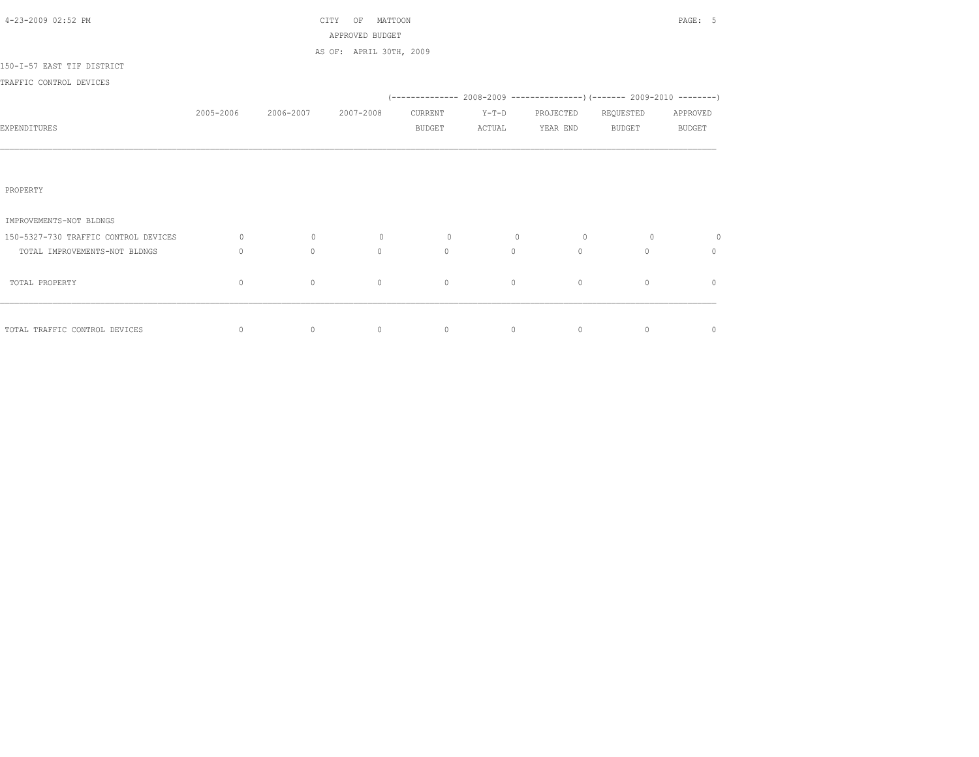| 4-23-2009 02:52 PM                   |           |                | MATTOON<br>CITY<br>OF   |               |                                 |                 |                | PAGE: 5        |
|--------------------------------------|-----------|----------------|-------------------------|---------------|---------------------------------|-----------------|----------------|----------------|
|                                      |           |                | APPROVED BUDGET         |               |                                 |                 |                |                |
| 150-I-57 EAST TIF DISTRICT           |           |                | AS OF: APRIL 30TH, 2009 |               |                                 |                 |                |                |
| TRAFFIC CONTROL DEVICES              |           |                |                         |               |                                 |                 |                |                |
|                                      |           |                |                         |               |                                 |                 |                |                |
|                                      | 2005-2006 | 2006-2007      | 2007-2008               | CURRENT       | $Y-T-D$                         | PROJECTED       | REQUESTED      | APPROVED       |
| EXPENDITURES                         |           |                |                         | <b>BUDGET</b> | ACTUAL                          | YEAR END BUDGET |                | <b>BUDGET</b>  |
|                                      |           |                |                         |               |                                 |                 |                |                |
|                                      |           |                |                         |               |                                 |                 |                |                |
|                                      |           |                |                         |               |                                 |                 |                |                |
| PROPERTY                             |           |                |                         |               |                                 |                 |                |                |
| IMPROVEMENTS-NOT BLDNGS              |           |                |                         |               |                                 |                 |                |                |
| 150-5327-730 TRAFFIC CONTROL DEVICES | $\circ$   | $\overline{0}$ | $\circ$                 | $\circ$       | $\overline{0}$                  | $\circ$         | $\overline{0}$ | $\circ$        |
| TOTAL IMPROVEMENTS-NOT BLDNGS        | $\circ$   | $\Omega$       | $\Omega$                | $\Omega$      | $\circ$                         | $\Omega$        | $\Omega$       | $\Omega$       |
|                                      |           |                |                         |               |                                 |                 |                |                |
| TOTAL PROPERTY                       | 0         | $\circ$        | $\mathbf{0}$            | $\circ$       | $\circ$                         | $\circ$         | $\mathbf{0}$   | $\mathbf{0}$   |
|                                      |           |                |                         |               |                                 |                 |                |                |
| TOTAL TRAFFIC CONTROL DEVICES        | $\circ$   | $\circ$        | $\circ$                 |               | $\begin{matrix}0&0\end{matrix}$ | $\sim$ 0        | $\circ$        | $\overline{0}$ |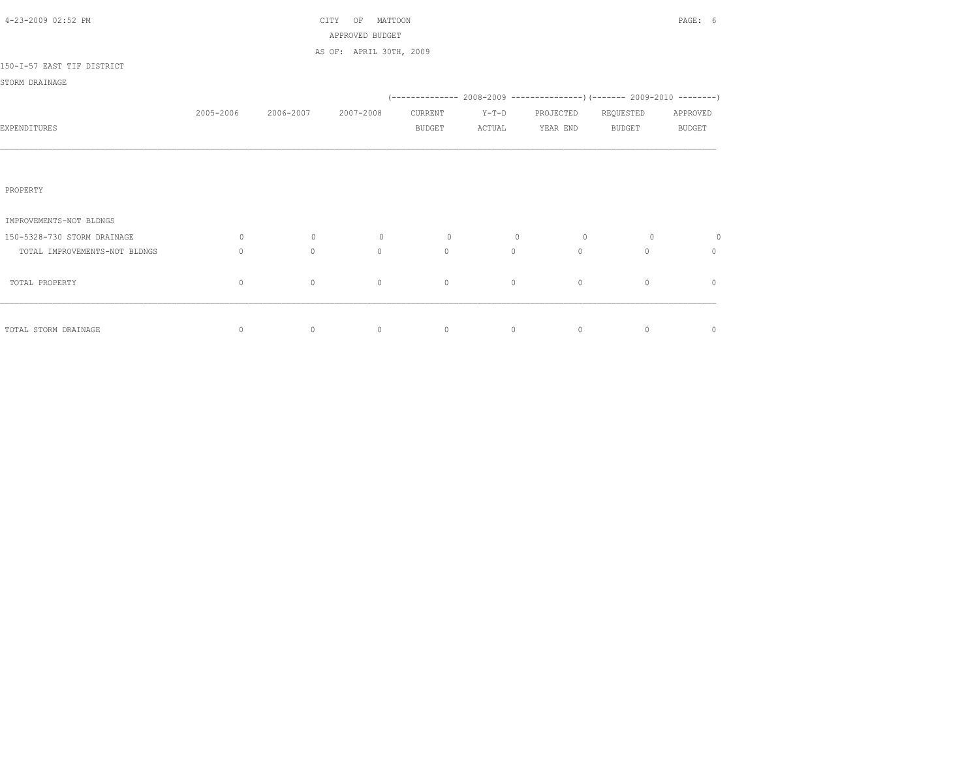| 4-23-2009 02:52 PM            |                                  |           | MATTOON<br>CITY<br>OF<br>APPROVED BUDGET |               |         |                                                                            |               | PAGE: 6       |
|-------------------------------|----------------------------------|-----------|------------------------------------------|---------------|---------|----------------------------------------------------------------------------|---------------|---------------|
|                               |                                  |           | AS OF: APRIL 30TH, 2009                  |               |         |                                                                            |               |               |
| 150-I-57 EAST TIF DISTRICT    |                                  |           |                                          |               |         |                                                                            |               |               |
| STORM DRAINAGE                |                                  |           |                                          |               |         |                                                                            |               |               |
|                               |                                  |           |                                          |               |         | (-------------- 2008-2009 -----------------) (------- 2009-2010 ---------) |               |               |
|                               | 2005-2006                        | 2006-2007 | 2007-2008                                | CURRENT       | $Y-T-D$ | PROJECTED                                                                  | REQUESTED     | APPROVED      |
| EXPENDITURES                  |                                  |           |                                          | <b>BUDGET</b> | ACTUAL  | YEAR END                                                                   | <b>BUDGET</b> | <b>BUDGET</b> |
|                               |                                  |           |                                          |               |         |                                                                            |               |               |
|                               |                                  |           |                                          |               |         |                                                                            |               |               |
| PROPERTY                      |                                  |           |                                          |               |         |                                                                            |               |               |
|                               |                                  |           |                                          |               |         |                                                                            |               |               |
| IMPROVEMENTS-NOT BLDNGS       |                                  |           |                                          |               |         |                                                                            |               |               |
| 150-5328-730 STORM DRAINAGE   | 0                                | $\circ$   | $\circ$                                  | $\circ$       | $\circ$ | $\circ$                                                                    | $\circ$       | 0             |
| TOTAL IMPROVEMENTS-NOT BLDNGS | $\begin{array}{c} \n\end{array}$ | $\circ$   | $\circ$                                  | $\mathbf{0}$  | $\circ$ | $\Omega$                                                                   | $\Omega$      | 0             |
| TOTAL PROPERTY                | $\mathbf{0}$                     | $\circ$   | $\mathbf{0}$                             | $\mathbf{0}$  | $\circ$ | $\circ$                                                                    | $\circ$       | $\mathbf{0}$  |
|                               |                                  |           |                                          |               |         |                                                                            |               |               |
|                               |                                  |           |                                          |               |         |                                                                            |               |               |
| TOTAL STORM DRAINAGE          | $\circ$                          | $\circ$   | $\circ$                                  | $\circ$       | $\circ$ | $\circ$                                                                    | $\circ$       | $\circ$       |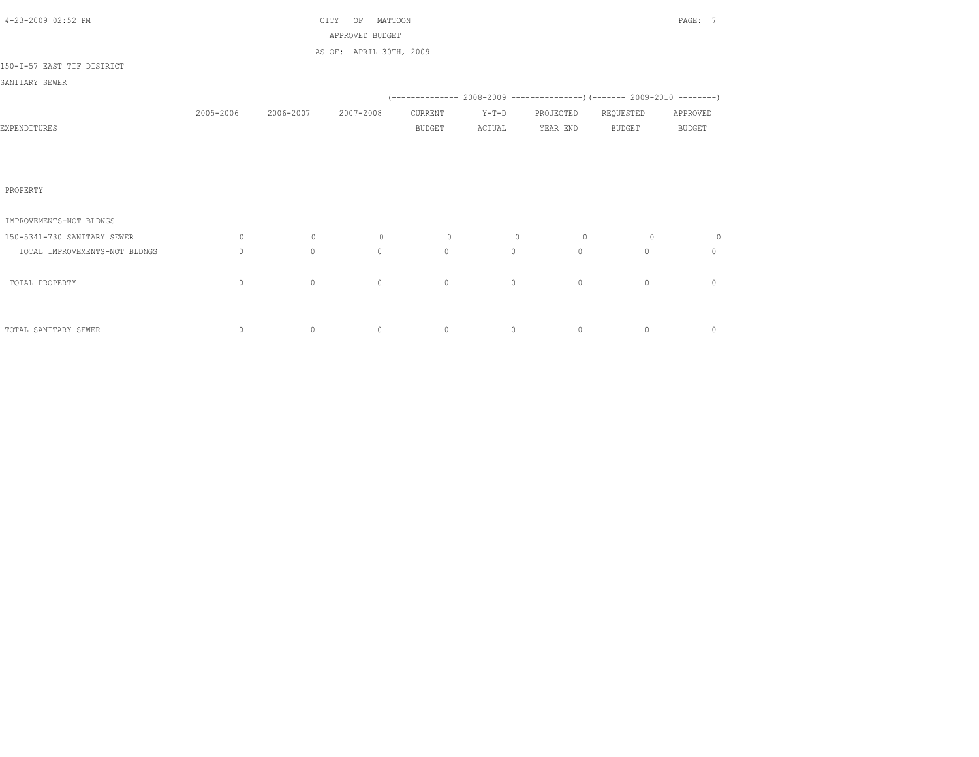| 4-23-2009 02:52 PM            |              |           | MATTOON<br>CITY<br>OF<br>APPROVED BUDGET |               |         |           |               | PAGE: 7       |
|-------------------------------|--------------|-----------|------------------------------------------|---------------|---------|-----------|---------------|---------------|
|                               |              |           | AS OF: APRIL 30TH, 2009                  |               |         |           |               |               |
| 150-I-57 EAST TIF DISTRICT    |              |           |                                          |               |         |           |               |               |
| SANITARY SEWER                |              |           |                                          |               |         |           |               |               |
|                               |              |           |                                          |               |         |           |               |               |
|                               | 2005-2006    | 2006-2007 | 2007-2008                                | CURRENT       | $Y-T-D$ | PROJECTED | REQUESTED     | APPROVED      |
| EXPENDITURES                  |              |           |                                          | <b>BUDGET</b> | ACTUAL  | YEAR END  | <b>BUDGET</b> | <b>BUDGET</b> |
|                               |              |           |                                          |               |         |           |               |               |
|                               |              |           |                                          |               |         |           |               |               |
| PROPERTY                      |              |           |                                          |               |         |           |               |               |
| IMPROVEMENTS-NOT BLDNGS       |              |           |                                          |               |         |           |               |               |
| 150-5341-730 SANITARY SEWER   | 0            | $\circ$   | $\circ$                                  | $\circ$       | $\circ$ | $\circ$   | $\circ$       | $\circ$       |
| TOTAL IMPROVEMENTS-NOT BLDNGS | $\Omega$     | $\Omega$  | $\Omega$                                 | $\Omega$      | $\circ$ | $\Omega$  | $\Omega$      | $\circ$       |
| TOTAL PROPERTY                | $\mathbf{0}$ | $\circ$   | $\circ$                                  | $\circ$       | $\circ$ | $\circ$   | $\circ$       | $\mathbf{0}$  |
|                               |              |           |                                          |               |         |           |               |               |
| TOTAL SANITARY SEWER          | $\circ$      | $\circ$   | $\circ$                                  | $\circ$       | $\circ$ | $\circ$   | $\circ$       | $\mathbf 0$   |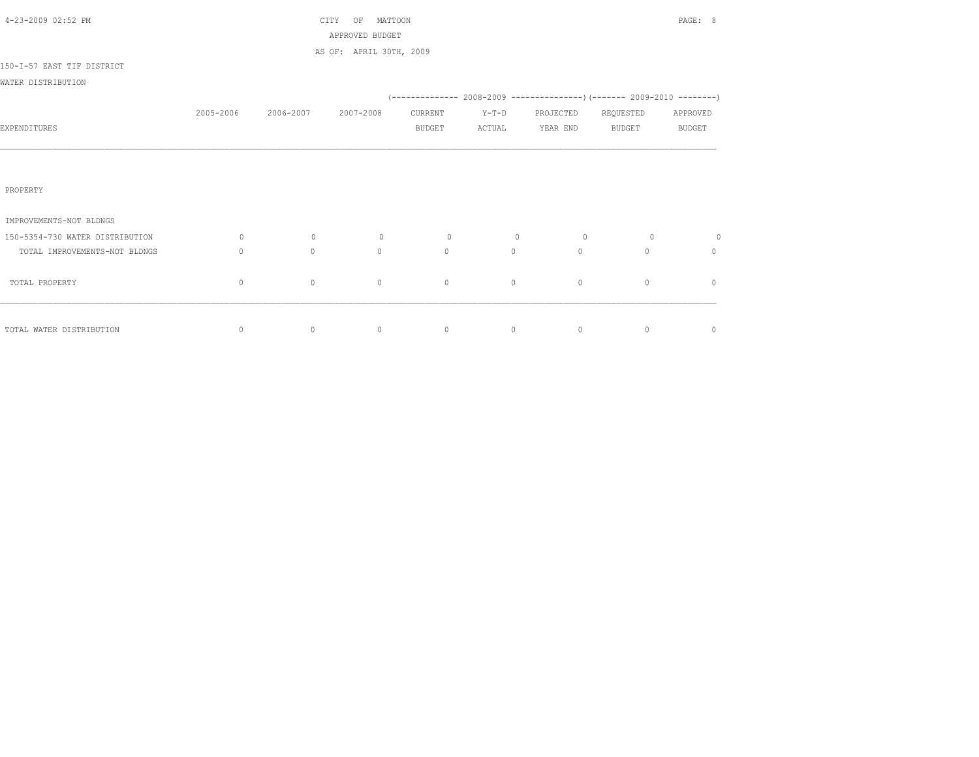| 4-23-2009 02:52 PM              |                                  |           | MATTOON<br>CITY<br>OF<br>APPROVED BUDGET |               |         |                                                                            |               | PAGE: 8       |
|---------------------------------|----------------------------------|-----------|------------------------------------------|---------------|---------|----------------------------------------------------------------------------|---------------|---------------|
|                                 |                                  |           | AS OF: APRIL 30TH, 2009                  |               |         |                                                                            |               |               |
| 150-I-57 EAST TIF DISTRICT      |                                  |           |                                          |               |         |                                                                            |               |               |
| WATER DISTRIBUTION              |                                  |           |                                          |               |         |                                                                            |               |               |
|                                 |                                  |           |                                          |               |         | (-------------- 2008-2009 -----------------) (------- 2009-2010 ---------) |               |               |
|                                 | 2005-2006                        | 2006-2007 | 2007-2008                                | CURRENT       | $Y-T-D$ | PROJECTED                                                                  | REQUESTED     | APPROVED      |
| EXPENDITURES                    |                                  |           |                                          | <b>BUDGET</b> | ACTUAL  | YEAR END                                                                   | <b>BUDGET</b> | <b>BUDGET</b> |
|                                 |                                  |           |                                          |               |         |                                                                            |               |               |
|                                 |                                  |           |                                          |               |         |                                                                            |               |               |
| PROPERTY                        |                                  |           |                                          |               |         |                                                                            |               |               |
| IMPROVEMENTS-NOT BLDNGS         |                                  |           |                                          |               |         |                                                                            |               |               |
| 150-5354-730 WATER DISTRIBUTION | 0                                | $\circ$   | $\circ$                                  | $\circ$       | $\circ$ | $\circ$                                                                    | $\circ$       | $\circ$       |
| TOTAL IMPROVEMENTS-NOT BLDNGS   | $\begin{array}{c} \n\end{array}$ | $\circ$   | $\circ$                                  | $\mathbf{0}$  | $\circ$ | $\Omega$                                                                   | $\Omega$      | 0             |
| TOTAL PROPERTY                  | $\mathbf{0}$                     | $\circ$   | $\mathbf{0}$                             | $\mathbf{0}$  | $\circ$ | $\circ$                                                                    | $\circ$       | $\mathbf{0}$  |
|                                 |                                  |           |                                          |               |         |                                                                            |               |               |
| TOTAL WATER DISTRIBUTION        | 0                                | $\circ$   | $\circ$                                  | $\circ$       | $\circ$ | $\circ$                                                                    | $\circ$       | $\circ$       |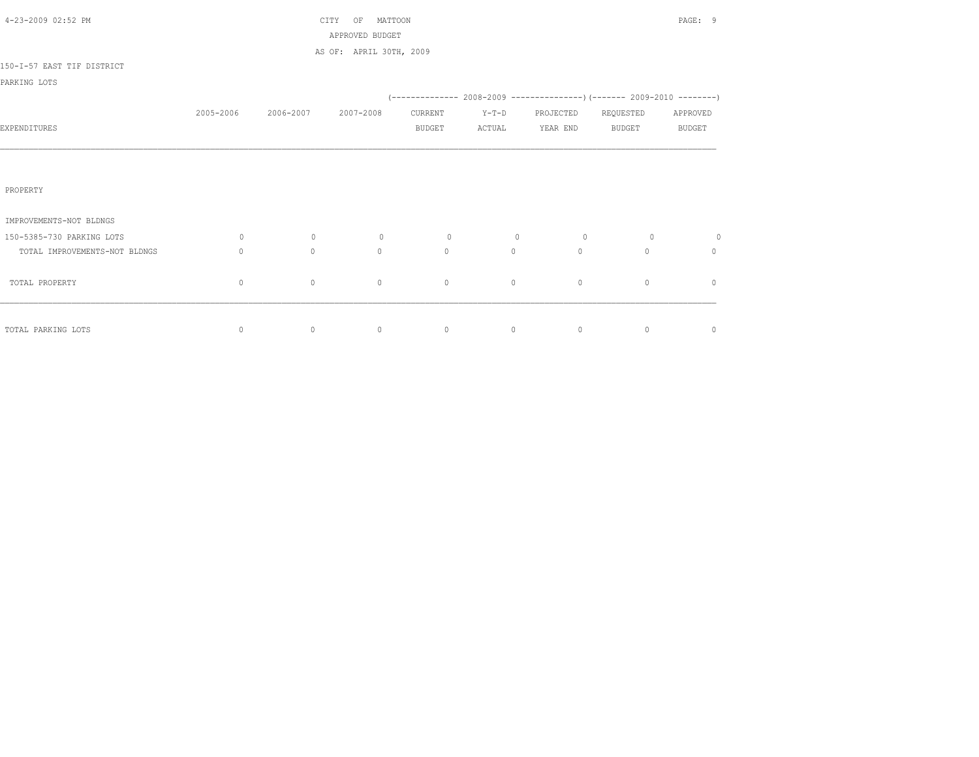| 4-23-2009 02:52 PM            |                                  |           | MATTOON<br>CITY<br>OF<br>APPROVED BUDGET |               |         |                                                                            |               | PAGE: 9       |
|-------------------------------|----------------------------------|-----------|------------------------------------------|---------------|---------|----------------------------------------------------------------------------|---------------|---------------|
|                               |                                  |           | AS OF: APRIL 30TH, 2009                  |               |         |                                                                            |               |               |
| 150-I-57 EAST TIF DISTRICT    |                                  |           |                                          |               |         |                                                                            |               |               |
| PARKING LOTS                  |                                  |           |                                          |               |         |                                                                            |               |               |
|                               |                                  |           |                                          |               |         | (-------------- 2008-2009 -----------------) (------- 2009-2010 ---------) |               |               |
|                               | 2005-2006                        | 2006-2007 | 2007-2008                                | CURRENT       | $Y-T-D$ | PROJECTED                                                                  | REQUESTED     | APPROVED      |
| EXPENDITURES                  |                                  |           |                                          | <b>BUDGET</b> | ACTUAL  | YEAR END                                                                   | <b>BUDGET</b> | <b>BUDGET</b> |
|                               |                                  |           |                                          |               |         |                                                                            |               |               |
|                               |                                  |           |                                          |               |         |                                                                            |               |               |
| PROPERTY                      |                                  |           |                                          |               |         |                                                                            |               |               |
|                               |                                  |           |                                          |               |         |                                                                            |               |               |
| IMPROVEMENTS-NOT BLDNGS       |                                  |           |                                          |               |         |                                                                            |               |               |
| 150-5385-730 PARKING LOTS     | 0                                | $\circ$   | $\circ$                                  | $\circ$       | $\circ$ | $\circ$                                                                    | $\circ$       | $\circ$       |
| TOTAL IMPROVEMENTS-NOT BLDNGS | $\begin{array}{c} \n\end{array}$ | $\circ$   | $\circ$                                  | $\mathbf{0}$  | $\circ$ | $\Omega$                                                                   | $\Omega$      | 0             |
| TOTAL PROPERTY                | $\mathbf 0$                      | $\circ$   | $\mathbf{0}$                             | $\mathbf{0}$  | $\circ$ | $\circ$                                                                    | $\circ$       | $\mathbf{0}$  |
|                               |                                  |           |                                          |               |         |                                                                            |               |               |
|                               |                                  |           |                                          |               |         |                                                                            |               |               |
| TOTAL PARKING LOTS            | 0                                | $\circ$   | $\circ$                                  | $\circ$       | $\circ$ | $\circ$                                                                    | $\circ$       | $\circ$       |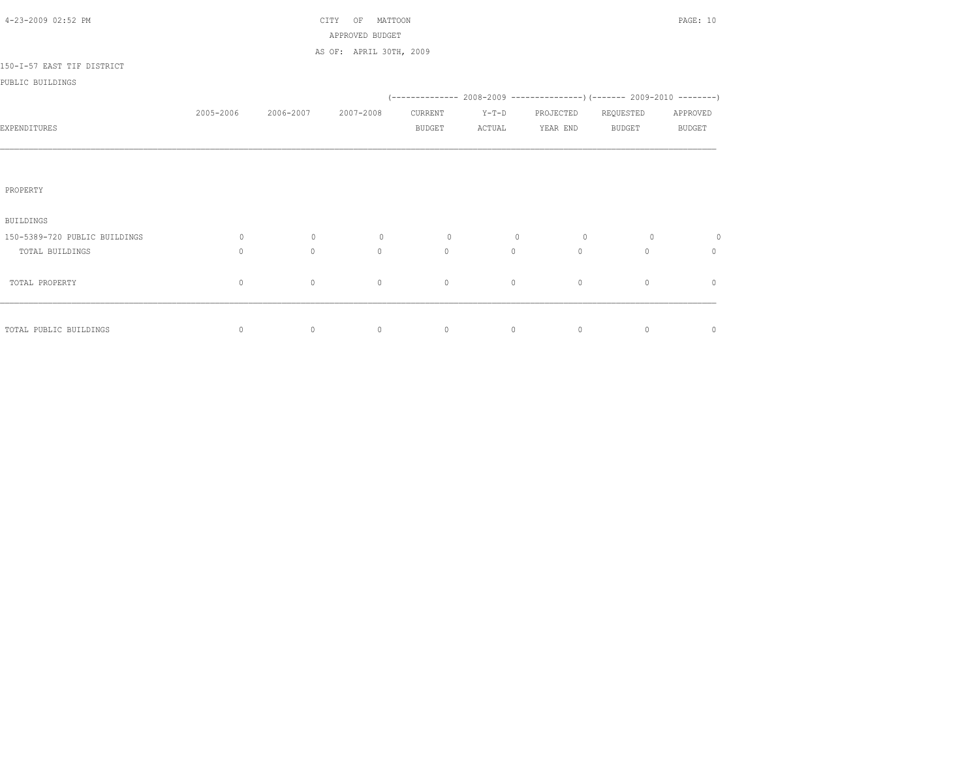| 4-23-2009 02:52 PM            |              |           | CITY<br>OF<br>MATTOON<br>APPROVED BUDGET |               |                | PAGE: 10  |                                                                           |               |  |  |  |
|-------------------------------|--------------|-----------|------------------------------------------|---------------|----------------|-----------|---------------------------------------------------------------------------|---------------|--|--|--|
|                               |              |           | AS OF: APRIL 30TH, 2009                  |               |                |           |                                                                           |               |  |  |  |
| 150-I-57 EAST TIF DISTRICT    |              |           |                                          |               |                |           |                                                                           |               |  |  |  |
| PUBLIC BUILDINGS              |              |           |                                          |               |                |           |                                                                           |               |  |  |  |
|                               |              |           |                                          |               |                |           | (-------------- 2008-2009 -----------------) (------- 2009-2010 --------) |               |  |  |  |
|                               | 2005-2006    | 2006-2007 | 2007-2008                                | CURRENT       | $Y-T-D$        | PROJECTED | REQUESTED                                                                 | APPROVED      |  |  |  |
| EXPENDITURES                  |              |           |                                          | <b>BUDGET</b> | ACTUAL         | YEAR END  | <b>BUDGET</b>                                                             | <b>BUDGET</b> |  |  |  |
|                               |              |           |                                          |               |                |           |                                                                           |               |  |  |  |
|                               |              |           |                                          |               |                |           |                                                                           |               |  |  |  |
| PROPERTY                      |              |           |                                          |               |                |           |                                                                           |               |  |  |  |
|                               |              |           |                                          |               |                |           |                                                                           |               |  |  |  |
| <b>BUILDINGS</b>              |              |           |                                          |               |                |           |                                                                           |               |  |  |  |
| 150-5389-720 PUBLIC BUILDINGS | $\circ$      | $\circ$   | $\circ$                                  | $\circ$       | $\overline{0}$ | $\circ$   | $\circ$                                                                   | 0             |  |  |  |
| TOTAL BUILDINGS               | $\mathbf{0}$ | $\circ$   | $\Omega$                                 | $\circ$       | $\circ$        | $\circ$   | $\Omega$                                                                  | $\mathbf{0}$  |  |  |  |
|                               |              |           |                                          |               |                |           |                                                                           |               |  |  |  |
| TOTAL PROPERTY                | $\circ$      | $\circ$   | $\mathbf 0$                              | $\circ$       | $\circ$        | $\circ$   | $\circ$                                                                   | $\mathbf{0}$  |  |  |  |
|                               |              |           |                                          |               |                |           |                                                                           |               |  |  |  |
| TOTAL PUBLIC BUILDINGS        | 0            | $\circ$   | $\circ$                                  | $\circ$       | $\circ$        | $\circ$   | $\circ$                                                                   | $\circ$       |  |  |  |
|                               |              |           |                                          |               |                |           |                                                                           |               |  |  |  |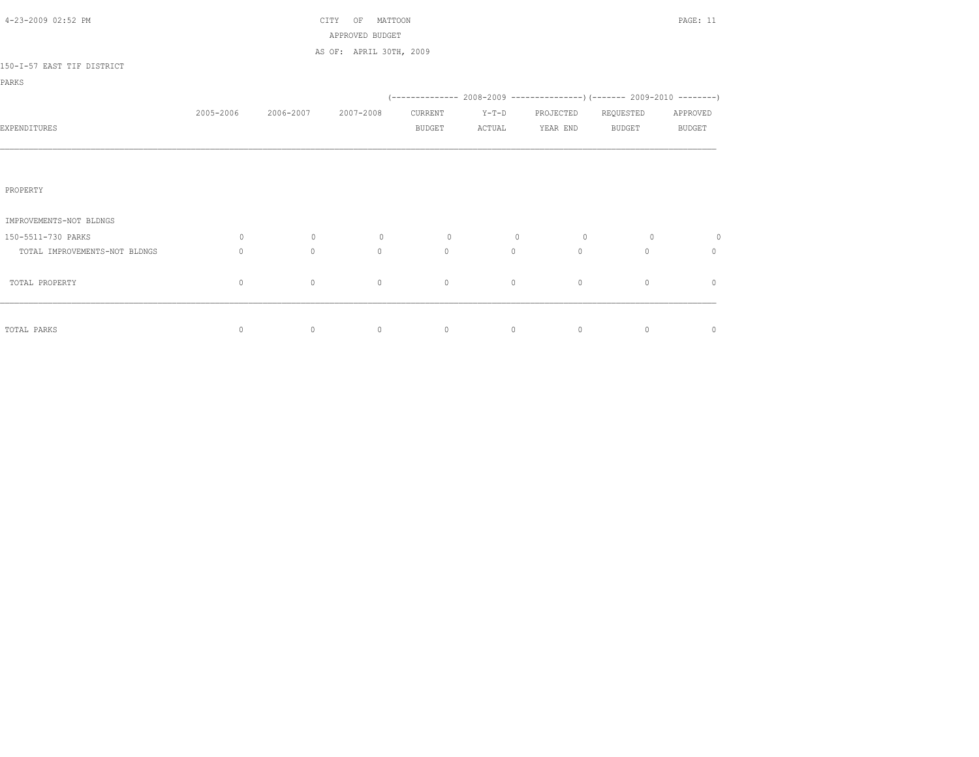| 4-23-2009 02:52 PM            |              |           | CITY<br>MATTOON<br>OF<br>APPROVED BUDGET |               |         |             |                                                                          | PAGE: 11      |
|-------------------------------|--------------|-----------|------------------------------------------|---------------|---------|-------------|--------------------------------------------------------------------------|---------------|
|                               |              |           | AS OF: APRIL 30TH, 2009                  |               |         |             |                                                                          |               |
| 150-I-57 EAST TIF DISTRICT    |              |           |                                          |               |         |             |                                                                          |               |
| PARKS                         |              |           |                                          |               |         |             |                                                                          |               |
|                               |              |           |                                          |               |         |             | (-------------- 2008-2009 ----------------) (------- 2009-2010 --------) |               |
|                               | 2005-2006    | 2006-2007 | 2007-2008                                | CURRENT       | $Y-T-D$ | PROJECTED   | REQUESTED                                                                | APPROVED      |
| EXPENDITURES                  |              |           |                                          | <b>BUDGET</b> | ACTUAL  | YEAR END    | <b>BUDGET</b>                                                            | <b>BUDGET</b> |
|                               |              |           |                                          |               |         |             |                                                                          |               |
|                               |              |           |                                          |               |         |             |                                                                          |               |
| PROPERTY                      |              |           |                                          |               |         |             |                                                                          |               |
|                               |              |           |                                          |               |         |             |                                                                          |               |
| IMPROVEMENTS-NOT BLDNGS       |              |           |                                          |               |         |             |                                                                          |               |
| 150-5511-730 PARKS            | $\circ$      | $\circ$   | $\circ$                                  | $\circ$       | $\circ$ | $\circ$     | $\circ$                                                                  | $\circ$       |
| TOTAL IMPROVEMENTS-NOT BLDNGS | $\mathbf{0}$ | $\Omega$  | $\Omega$                                 | $\Omega$      | $\circ$ | $\circ$     | $\Omega$                                                                 | $\Omega$      |
| TOTAL PROPERTY                | 0            | $\circ$   | $\circ$                                  | $\circ$       | $\circ$ | $\mathbb O$ | $\circ$                                                                  | $\mathbf{0}$  |
|                               |              |           |                                          |               |         |             |                                                                          |               |
|                               |              |           |                                          |               |         |             |                                                                          |               |
| TOTAL PARKS                   | $\circ$      | $\circ$   | $\circ$                                  | $\circ$       | $\circ$ | $\circ$     | $\circ$                                                                  | 0             |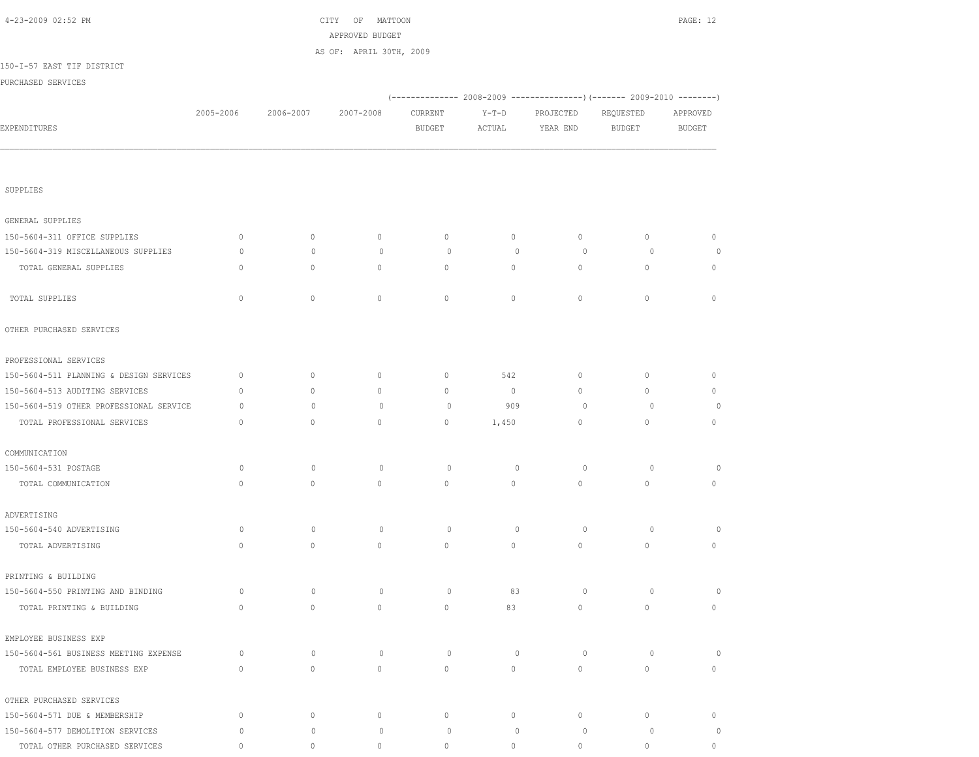| 4-23-2009 02:52 PM                      |              |              | OF MATTOON<br>CITY<br>APPROVED BUDGET |               |              |              |                                                                        | PAGE: 12      |
|-----------------------------------------|--------------|--------------|---------------------------------------|---------------|--------------|--------------|------------------------------------------------------------------------|---------------|
|                                         |              |              | AS OF: APRIL 30TH, 2009               |               |              |              |                                                                        |               |
| 150-I-57 EAST TIF DISTRICT              |              |              |                                       |               |              |              |                                                                        |               |
| PURCHASED SERVICES                      |              |              |                                       |               |              |              |                                                                        |               |
|                                         |              |              |                                       |               |              |              | (------------- 2008-2009 ---------------) (------- 2009-2010 --------) |               |
|                                         | 2005-2006    | 2006-2007    | 2007-2008                             | CURRENT       | $Y-T-D$      | PROJECTED    | REQUESTED                                                              | APPROVED      |
| EXPENDITURES                            |              |              |                                       | <b>BUDGET</b> | ACTUAL       | YEAR END     | <b>BUDGET</b>                                                          | <b>BUDGET</b> |
|                                         |              |              |                                       |               |              |              |                                                                        |               |
| SUPPLIES                                |              |              |                                       |               |              |              |                                                                        |               |
| GENERAL SUPPLIES                        |              |              |                                       |               |              |              |                                                                        |               |
| 150-5604-311 OFFICE SUPPLIES            | $\mathbf{0}$ | $\circ$      | $\mathbf{0}$                          | $\mathbf{0}$  | $\circ$      | $\circ$      | $\circ$                                                                | $\circ$       |
| 150-5604-319 MISCELLANEOUS SUPPLIES     | $\circ$      | $\mathbf{0}$ | $\mathbf{0}$                          | $\circ$       | $\Omega$     | $\circ$      | $\circ$                                                                | $\circ$       |
| TOTAL GENERAL SUPPLIES                  | $\mathbf{0}$ | $\circ$      | $\circ$                               | $\mathbf{0}$  | $\circ$      | $\circ$      | $\circ$                                                                | $\mathbf{0}$  |
| TOTAL SUPPLIES                          | $\circ$      | $\mathbb O$  | $\circ$                               | $\mathbb O$   | $\circ$      | $\circ$      | $\circ$                                                                | $\circ$       |
| OTHER PURCHASED SERVICES                |              |              |                                       |               |              |              |                                                                        |               |
| PROFESSIONAL SERVICES                   |              |              |                                       |               |              |              |                                                                        |               |
| 150-5604-511 PLANNING & DESIGN SERVICES | $\mathbf{0}$ | $\circ$      | $\mathbf{0}$                          | $\mathbf{0}$  | 542          | $\mathbf{0}$ | $\mathbf{0}$                                                           | $\mathbf{0}$  |
| 150-5604-513 AUDITING SERVICES          | $\mathbf{0}$ | $\circ$      | $\circ$                               | $\mathbf 0$   | $\circ$      | $\circ$      | $\circ$                                                                | $\circ$       |
| 150-5604-519 OTHER PROFESSIONAL SERVICE | $\circ$      | $\circ$      | $\mathbf{0}$                          | $\circ$       | 909          | $\circ$      | $\circ$                                                                | $\circ$       |
| TOTAL PROFESSIONAL SERVICES             | $\mathbf{0}$ | $\circ$      | $\mathbf{0}$                          | $\mathbf{0}$  | 1,450        | $\mathbf{0}$ | $\mathbf{0}$                                                           | $\circ$       |
| COMMUNICATION                           |              |              |                                       |               |              |              |                                                                        |               |
| 150-5604-531 POSTAGE                    | $\circ$      | $\mathbf{0}$ | $\mathbf 0$                           | $\circ$       | $\circ$      | $\circ$      | $\circ$                                                                | 0             |
| TOTAL COMMUNICATION                     | $\circ$      | $\mathbb O$  | $\circ$                               | $\mathbb O$   | $\circ$      | $\circ$      | $\circ$                                                                | 0             |
| ADVERTISING                             |              |              |                                       |               |              |              |                                                                        |               |
| 150-5604-540 ADVERTISING                | $\circ$      | $\mathbf 0$  | $\circ$                               | $\circ$       | $\mathbf{0}$ | $\circ$      | $\circ$                                                                | $\circ$       |
| TOTAL ADVERTISING                       | 0            | $\circ$      | $\mathbf{0}$                          | $\mathbf 0$   | $\circ$      | $\circ$      | $\circ$                                                                | 0             |
| PRINTING & BUILDING                     |              |              |                                       |               |              |              |                                                                        |               |
| 150-5604-550 PRINTING AND BINDING       | $\circ$      | $\circ$      | $\circ$                               | $\circ$       | 83           | $\circ$      | $\circ$                                                                | $\circ$       |
| TOTAL PRINTING & BUILDING               | $\circ$      | $\circ$      | $\mathbf{0}$                          | $\circ$       | 83           | $\circ$      | $\mathbf{0}$                                                           | $\circ$       |
| EMPLOYEE BUSINESS EXP                   |              |              |                                       |               |              |              |                                                                        |               |
| 150-5604-561 BUSINESS MEETING EXPENSE   | $\circ$      | $\mathbf 0$  | $\circ$                               | $\circ$       | $\circ$      | $\circ$      | $\circ$                                                                | $\circ$       |
| TOTAL EMPLOYEE BUSINESS EXP             | $\mathbb O$  | $\mathbb O$  | $\mathbb O$                           | $\mathbb O$   | $\circ$      | $\circ$      | $\circ$                                                                | $\circ$       |
| OTHER PURCHASED SERVICES                |              |              |                                       |               |              |              |                                                                        |               |
| 150-5604-571 DUE & MEMBERSHIP           | $\circ$      | $\circ$      | $\circ$                               | $\mathbf 0$   | $\circ$      | $\circ$      | $\circ$                                                                | $\circ$       |
| 150-5604-577 DEMOLITION SERVICES        | 0            | $\circ$      | $\circ$                               | 0             | $\mathbf{0}$ | 0            | 0                                                                      | 0             |
| TOTAL OTHER PURCHASED SERVICES          | $\mathbf{0}$ | $\circ$      | 0                                     | $\mathbf 0$   | $\circ$      | $\circ$      | $\circ$                                                                | $\circ$       |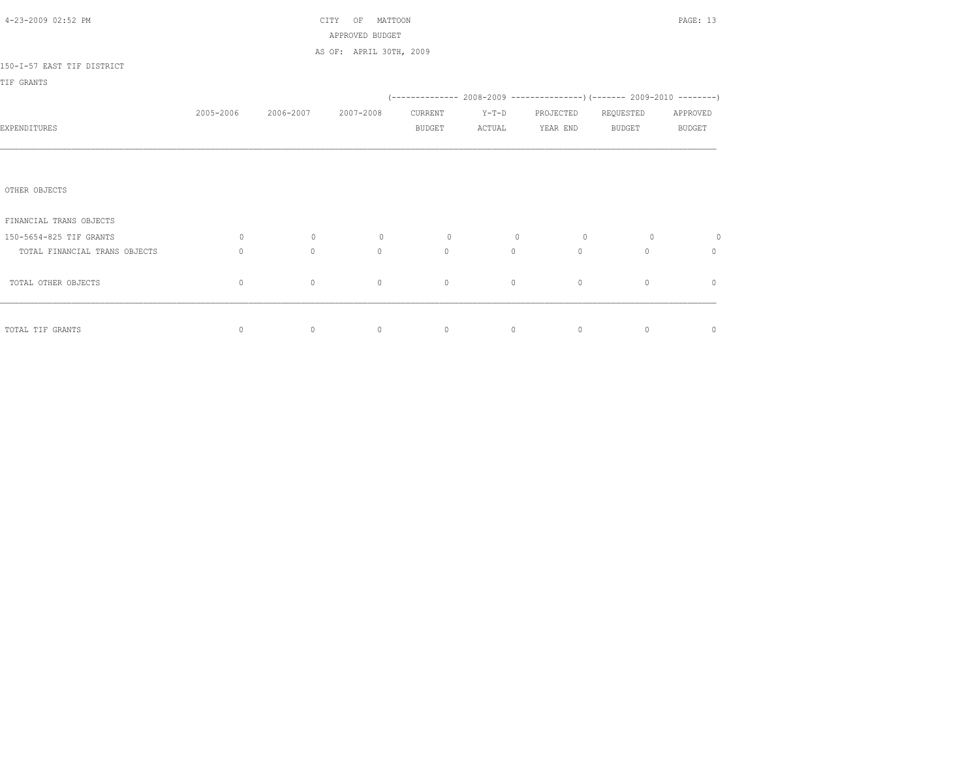| 4-23-2009 02:52 PM            |              |           | MATTOON<br>CITY<br>OF<br>APPROVED BUDGET |                |                |           |                                                                          | PAGE: 13      |
|-------------------------------|--------------|-----------|------------------------------------------|----------------|----------------|-----------|--------------------------------------------------------------------------|---------------|
|                               |              |           | AS OF: APRIL 30TH, 2009                  |                |                |           |                                                                          |               |
| 150-I-57 EAST TIF DISTRICT    |              |           |                                          |                |                |           |                                                                          |               |
| TIF GRANTS                    |              |           |                                          |                |                |           |                                                                          |               |
|                               |              |           |                                          |                |                |           | (-------------- 2008-2009 ----------------) (------- 2009-2010 --------) |               |
|                               | 2005-2006    | 2006-2007 | 2007-2008                                | CURRENT        | $Y-T-D$        | PROJECTED | REQUESTED                                                                | APPROVED      |
| EXPENDITURES                  |              |           |                                          | <b>BUDGET</b>  | ACTUAL         | YEAR END  | BUDGET                                                                   | <b>BUDGET</b> |
|                               |              |           |                                          |                |                |           |                                                                          |               |
|                               |              |           |                                          |                |                |           |                                                                          |               |
| OTHER OBJECTS                 |              |           |                                          |                |                |           |                                                                          |               |
| FINANCIAL TRANS OBJECTS       |              |           |                                          |                |                |           |                                                                          |               |
| 150-5654-825 TIF GRANTS       | $\circ$      | $\circ$   | $\circ$                                  | $\overline{0}$ | $\overline{0}$ | $\circ$   | $\overline{0}$                                                           | $\circ$       |
| TOTAL FINANCIAL TRANS OBJECTS | $\Omega$     | $\circ$   | $\Omega$                                 | $\circ$        | $\circ$        | $\Omega$  | $\Omega$                                                                 | $\circ$       |
| TOTAL OTHER OBJECTS           | $\mathbf{0}$ | $\circ$   | $\circ$                                  | $\circ$        | $\circ$        | $\circ$   | $\mathbf{0}$                                                             | $\mathbf{0}$  |
|                               |              |           |                                          |                |                |           |                                                                          |               |
| TOTAL TIF GRANTS              | 0            | $\circ$   | $\circ$                                  | $\circ$        | $\circ$        | $\circ$   | $\circ$                                                                  | $\mathbf 0$   |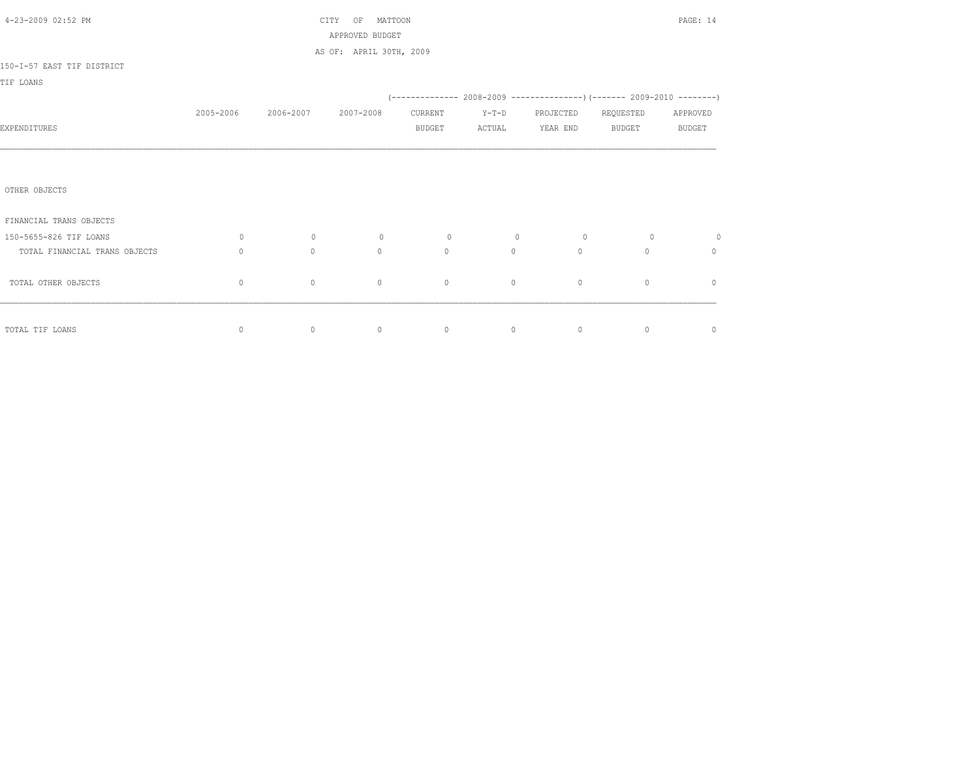| 4-23-2009 02:52 PM            |              | MATTOON<br>CITY<br>OF<br>APPROVED BUDGET |                         |               |                |                |                                                                            | PAGE: 14      |
|-------------------------------|--------------|------------------------------------------|-------------------------|---------------|----------------|----------------|----------------------------------------------------------------------------|---------------|
|                               |              |                                          | AS OF: APRIL 30TH, 2009 |               |                |                |                                                                            |               |
| 150-I-57 EAST TIF DISTRICT    |              |                                          |                         |               |                |                |                                                                            |               |
| TIF LOANS                     |              |                                          |                         |               |                |                |                                                                            |               |
|                               |              |                                          |                         |               |                |                | (-------------- 2008-2009 -----------------) (------- 2009-2010 ---------) |               |
|                               | 2005-2006    | 2006-2007                                | 2007-2008               | CURRENT       | $Y-T-D$        | PROJECTED      | REQUESTED                                                                  | APPROVED      |
| EXPENDITURES                  |              |                                          |                         | <b>BUDGET</b> | ACTUAL         | YEAR END       | BUDGET                                                                     | <b>BUDGET</b> |
|                               |              |                                          |                         |               |                |                |                                                                            |               |
|                               |              |                                          |                         |               |                |                |                                                                            |               |
| OTHER OBJECTS                 |              |                                          |                         |               |                |                |                                                                            |               |
| FINANCIAL TRANS OBJECTS       |              |                                          |                         |               |                |                |                                                                            |               |
| 150-5655-826 TIF LOANS        | $\circ$      | $\circ$                                  | $\circ$                 | $\circ$       | $\overline{0}$ | $\overline{0}$ | $\overline{0}$                                                             | $\circ$       |
| TOTAL FINANCIAL TRANS OBJECTS | $\mathbf{0}$ | $\circ$                                  | $\Omega$                | $\circ$       | $\circ$        | $\circ$        | $\Omega$                                                                   | $\circ$       |
| TOTAL OTHER OBJECTS           | $\circ$      | $\circ$                                  | $\mathbf{0}$            | $\circ$       | $\circ$        | $\circ$        | $\circ$                                                                    | $\mathbf{0}$  |
|                               |              |                                          |                         |               |                |                |                                                                            |               |
| TOTAL TIF LOANS               | 0            | $\circ$                                  | $\circ$                 | $\circ$       | $\circ$        | $\circ$        | $\circ$                                                                    | $\mathbf 0$   |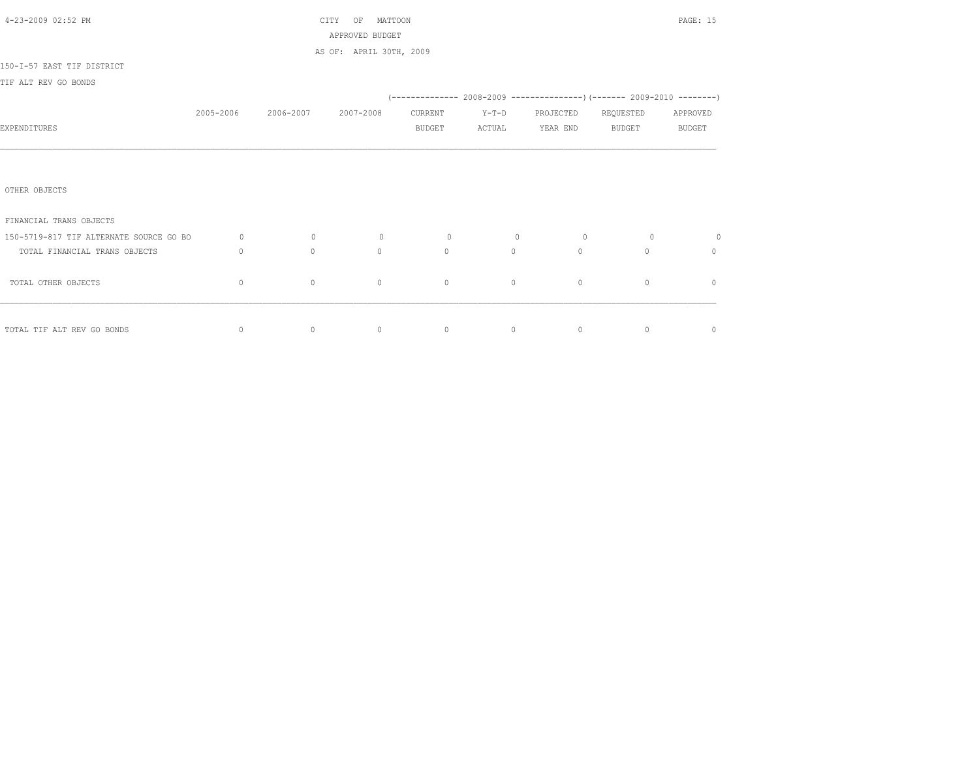| 4-23-2009 02:52 PM                      |              | CITY OF      |                         | PAGE: 15      |         |           |               |               |
|-----------------------------------------|--------------|--------------|-------------------------|---------------|---------|-----------|---------------|---------------|
|                                         |              |              | APPROVED BUDGET         |               |         |           |               |               |
|                                         |              |              | AS OF: APRIL 30TH, 2009 |               |         |           |               |               |
| 150-I-57 EAST TIF DISTRICT              |              |              |                         |               |         |           |               |               |
| TIF ALT REV GO BONDS                    |              |              |                         |               |         |           |               |               |
|                                         |              |              |                         |               |         |           |               |               |
|                                         | 2005-2006    | 2006-2007    | 2007-2008               | CURRENT       | $Y-T-D$ | PROJECTED | REQUESTED     | APPROVED      |
| EXPENDITURES                            |              |              |                         | <b>BUDGET</b> | ACTUAL  | YEAR END  | <b>BUDGET</b> | <b>BUDGET</b> |
|                                         |              |              |                         |               |         |           |               |               |
|                                         |              |              |                         |               |         |           |               |               |
|                                         |              |              |                         |               |         |           |               |               |
| OTHER OBJECTS                           |              |              |                         |               |         |           |               |               |
|                                         |              |              |                         |               |         |           |               |               |
| FINANCIAL TRANS OBJECTS                 |              |              |                         |               |         |           |               |               |
| 150-5719-817 TIF ALTERNATE SOURCE GO BO | $\circ$      | $\circ$      | $\circ$                 | $\circ$       | $\circ$ | $\circ$   | $\circ$       | $\circ$       |
| TOTAL FINANCIAL TRANS OBJECTS           | $\mathbf{0}$ | $\mathbf{0}$ | $\circ$                 | $\circ$       | $\circ$ | $\circ$   | $\circ$       | $\circ$       |
|                                         |              |              |                         |               |         |           |               |               |
| TOTAL OTHER OBJECTS                     | $\mathbf{0}$ | $\circ$      | $\circ$                 | $\circ$       | $\circ$ | $\circ$   | $\circ$       | $\mathbb O$   |
|                                         |              |              |                         |               |         |           |               |               |
|                                         |              |              |                         |               |         |           |               |               |
| TOTAL TIF ALT REV GO BONDS              | $\mathbb O$  | $\circ$      | $\circ$                 | $\circ$       | $\circ$ | $\circ$   | $\circ$       | $\mathbb O$   |
|                                         |              |              |                         |               |         |           |               |               |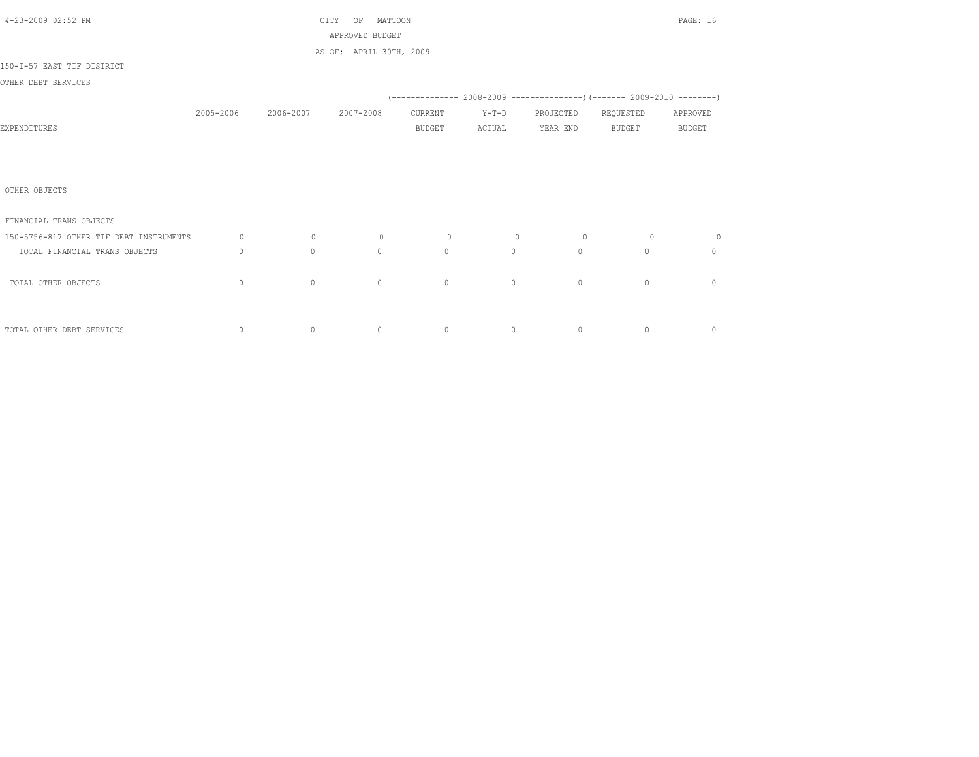| 4-23-2009 02:52 PM                      |           | MATTOON<br>CITY<br>OF |                         |                |                                                          |                 |                | PAGE: 16       |
|-----------------------------------------|-----------|-----------------------|-------------------------|----------------|----------------------------------------------------------|-----------------|----------------|----------------|
|                                         |           |                       | APPROVED BUDGET         |                |                                                          |                 |                |                |
|                                         |           |                       | AS OF: APRIL 30TH, 2009 |                |                                                          |                 |                |                |
| 150-I-57 EAST TIF DISTRICT              |           |                       |                         |                |                                                          |                 |                |                |
| OTHER DEBT SERVICES                     |           |                       |                         |                |                                                          |                 |                |                |
|                                         |           |                       |                         |                |                                                          |                 |                |                |
|                                         | 2005-2006 | 2006-2007             | 2007-2008               | CURRENT        | $Y-T-D$                                                  | PROJECTED       | REQUESTED      | APPROVED       |
| EXPENDITURES                            |           |                       |                         | <b>BUDGET</b>  | ACTUAL                                                   | YEAR END BUDGET |                | <b>BUDGET</b>  |
|                                         |           |                       |                         |                |                                                          |                 |                |                |
|                                         |           |                       |                         |                |                                                          |                 |                |                |
|                                         |           |                       |                         |                |                                                          |                 |                |                |
| OTHER OBJECTS                           |           |                       |                         |                |                                                          |                 |                |                |
|                                         |           |                       |                         |                |                                                          |                 |                |                |
| FINANCIAL TRANS OBJECTS                 |           |                       |                         |                |                                                          |                 |                |                |
| 150-5756-817 OTHER TIF DEBT INSTRUMENTS | $\circ$   | $\overline{0}$        | $\circ$                 | $\overline{0}$ | $\overline{0}$                                           | $\overline{0}$  | $\overline{0}$ | $\circ$        |
| TOTAL FINANCIAL TRANS OBJECTS           | $\Omega$  | $\Omega$              | $\Omega$                | $\Omega$       | $\Omega$                                                 | $\Omega$        | $\Omega$       | $\Omega$       |
|                                         |           |                       |                         |                |                                                          |                 |                |                |
| TOTAL OTHER OBJECTS                     | $\circ$   | $\circ$               | $\mathbf{0}$            | $\circ$        | $\circ$                                                  | $\circ$         | $\circ$        | $\mathbf{0}$   |
|                                         |           |                       |                         |                |                                                          |                 |                |                |
|                                         |           |                       |                         |                |                                                          |                 |                |                |
| TOTAL OTHER DEBT SERVICES               | $\circ$   | $\sim$ 0              | $\sim$ 0                |                | $\begin{array}{ccccccc}\n0 & & & 0 & & & 0\n\end{array}$ |                 | $\overline{0}$ | $\overline{0}$ |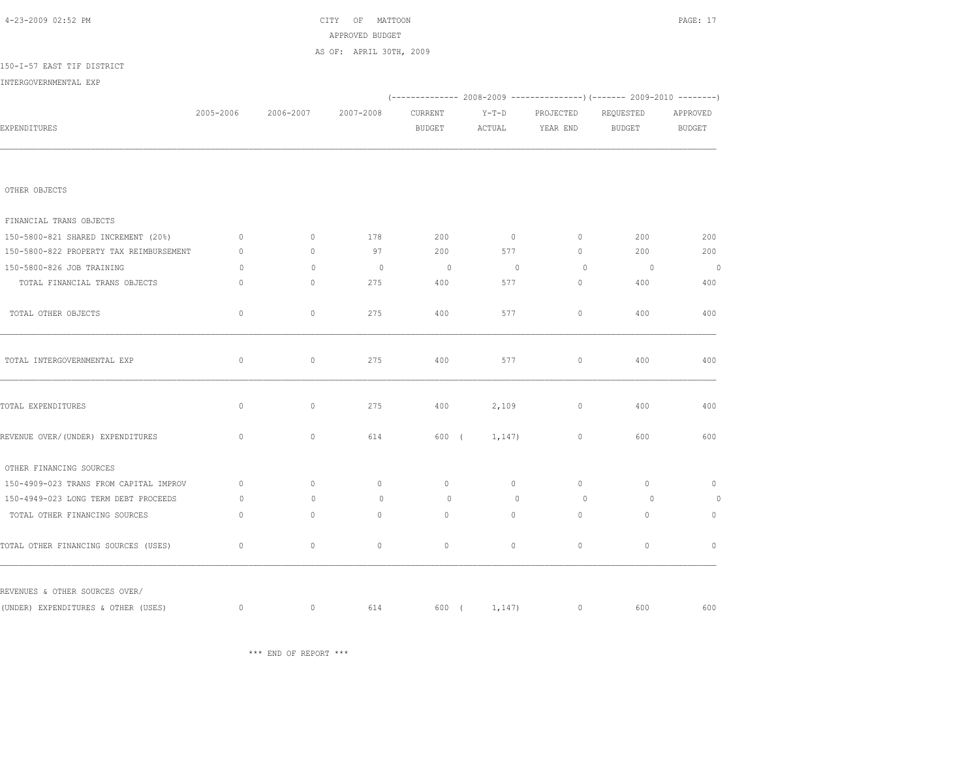\*\*\* END OF REPORT \*\*\*

| OTHER OBJECTS                           |              |              |              |                |                |             |                          |                |
|-----------------------------------------|--------------|--------------|--------------|----------------|----------------|-------------|--------------------------|----------------|
| FINANCIAL TRANS OBJECTS                 |              |              |              |                |                |             |                          |                |
| 150-5800-821 SHARED INCREMENT (20%)     | $\mathbf{0}$ | $\circ$      | 178          | 200            | $\circ$        | $\circ$     | 200                      | 200            |
| 150-5800-822 PROPERTY TAX REIMBURSEMENT | $\Omega$     | $\circ$      | 97           | 200            | 577            | $\circ$     | 200                      | 200            |
| 150-5800-826 JOB TRAINING               | $\circ$      | $\mathbf{0}$ | $\circ$      | $\overline{0}$ | $\overline{0}$ | $\circ$     | $\overline{\phantom{0}}$ | $\overline{0}$ |
| TOTAL FINANCIAL TRANS OBJECTS           | $\mathbf 0$  | $\circ$      | 275          | 400            | 577            | $\mathbb O$ | 400                      | 400            |
| TOTAL OTHER OBJECTS                     | $\circ$      | $\circ$      | 275          | 400            | 577            | $\circ$     | 400                      | 400            |
| TOTAL INTERGOVERNMENTAL EXP             | $\mathbb O$  | $\circ$      | 275          | 400            | 577            | $\circ$     | 400                      | 400            |
| TOTAL EXPENDITURES                      | $\mathbf 0$  | $\circ$      | 275          | 400            | 2,109          | $\circ$     | 400                      | 400            |
| REVENUE OVER/ (UNDER) EXPENDITURES      | $\mathbb O$  | $\circ$      | 614          | 600 (          | 1,147)         | $\circ$     | 600                      | 600            |
| OTHER FINANCING SOURCES                 |              |              |              |                |                |             |                          |                |
| 150-4909-023 TRANS FROM CAPITAL IMPROV  | $\mathbf{0}$ | $\circ$      | $\circ$      | $\mathbf{0}$   | $\circ$        | $\circ$     | $\circ$                  | $\circ$        |
| 150-4949-023 LONG TERM DEBT PROCEEDS    | $\circ$      | $\Omega$     | $\circ$      | $\Omega$       | $\mathbf{0}$   | $\Omega$    | $\overline{0}$           | $\circ$        |
| TOTAL OTHER FINANCING SOURCES           | $\mathbf{0}$ | $\circ$      | $\mathbf{0}$ | $\mathbf{0}$   | $\circ$        | $\circ$     | $\circ$                  | $\circ$        |
| TOTAL OTHER FINANCING SOURCES (USES)    | $\mathbb O$  | $\mathbb O$  | $\mathbb O$  | $\circ$        | $\mathbb O$    | $\mathbb O$ | $\mathbb O$              | $\circ$        |
| REVENUES & OTHER SOURCES OVER/          |              |              |              |                |                |             |                          |                |
| (UNDER) EXPENDITURES & OTHER (USES)     | $\mathbf 0$  | $\circ$      | 614          | 600 (          | 1,147)         | $\circ$     | 600                      | 600            |

| 4-23-2009 02:52 PM                       |              |                               | CITY OF MATTOON<br>APPROVED BUDGET<br>AS OF: APRIL 30TH, 2009 |                |                                                                          |                 |                | PAGE: 17 |
|------------------------------------------|--------------|-------------------------------|---------------------------------------------------------------|----------------|--------------------------------------------------------------------------|-----------------|----------------|----------|
| 150-I-57 EAST TIF DISTRICT               |              |                               |                                                               |                |                                                                          |                 |                |          |
| INTERGOVERNMENTAL EXP                    |              |                               |                                                               |                |                                                                          |                 |                |          |
|                                          |              |                               |                                                               |                | (-------------- 2008-2009 -----------------) (------- 2009-2010 -------- |                 |                |          |
|                                          |              | 2005-2006 2006-2007 2007-2008 |                                                               | CURRENT        | $Y-T-D$                                                                  | PROJECTED       | REQUESTED      | APPROVED |
| EXPENDITURES                             |              |                               |                                                               | BUDGET         |                                                                          | ACTUAL YEAR END | BUDGET         | BUDGET   |
| OTHER OBJECTS<br>FINANCIAL TRANS OBJECTS |              |                               |                                                               |                |                                                                          |                 |                |          |
| 150-5800-821 SHARED INCREMENT (20%)      | $\circ$      | $\Omega$                      | 178                                                           | 200            | $\sim$ 0                                                                 | $\circ$         | 200            | 200      |
| 150-5800-822 PROPERTY TAX REIMBURSEMENT  | $\Omega$     | $\Omega$                      | 97                                                            | 200            | 577                                                                      | $\Omega$        | 200            | 200      |
| 150-5800-826 JOB TRAINING                | $\circ$      | $\Omega$                      | $\overline{0}$                                                | $\overline{0}$ | $\overline{0}$                                                           | $\Omega$        | $\overline{0}$ | $\circ$  |
| TOTAL FINANCIAL TRANS OBJECTS            | $\circ$      | $\circ$                       | 275                                                           | 400            | 577                                                                      | $\circ$         | 400            | 400      |
| TOTAL OTHER OBJECTS                      | $\circ$      | $\circ$                       | 275                                                           | 400            | 577                                                                      | $\circ$         | 400            | 400      |
| TOTAL INTERGOVERNMENTAL EXP              | $\mathbf{0}$ | $\circ$                       | 275                                                           | 400            | 577                                                                      | $\circ$         | 400            | 400      |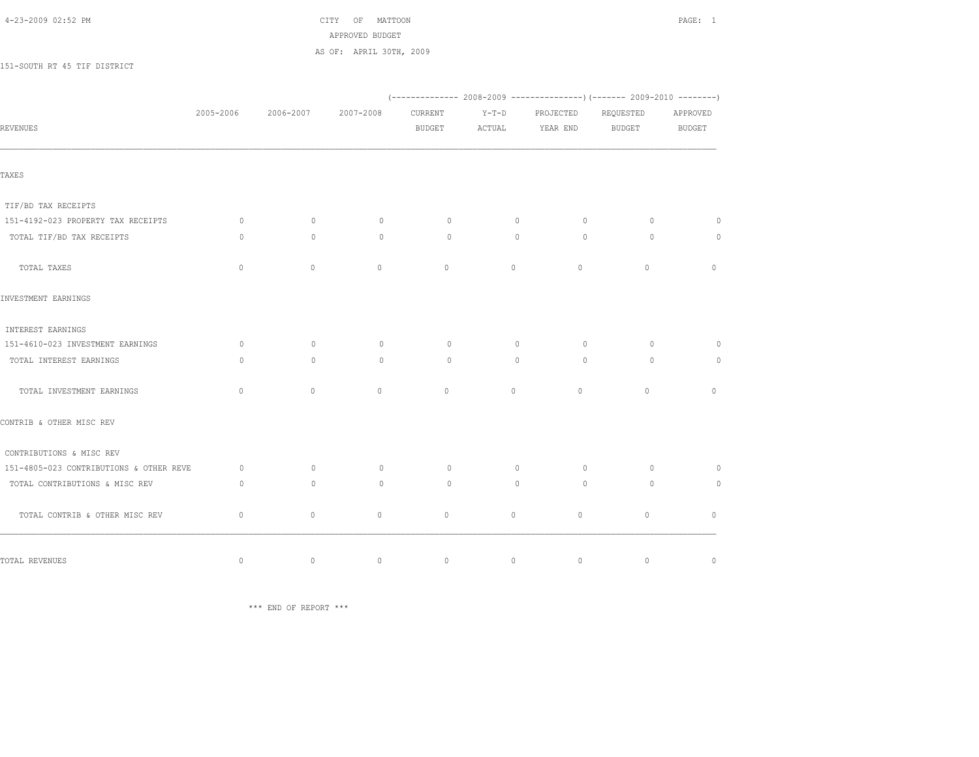| 4-23-2009 02:52 PM |  |  |
|--------------------|--|--|
|--------------------|--|--|

 $\text{CITY}$  OF MATTOON **PAGE:** 1 APPROVED BUDGET AS OF: APRIL 30TH, 2009

151-SOUTH RT 45 TIF DISTRICT

|                                         |              |              |              |              |                | $(-$ ------------- 2008-2009 ----------------) (------- 2009-2010 --------) |           |               |
|-----------------------------------------|--------------|--------------|--------------|--------------|----------------|-----------------------------------------------------------------------------|-----------|---------------|
|                                         | 2005-2006    | 2006-2007    | 2007-2008    | CURRENT      | $Y-T-D$        | PROJECTED                                                                   | REQUESTED | APPROVED      |
| <b>REVENUES</b>                         |              |              |              | BUDGET       |                | ACTUAL YEAR END                                                             | BUDGET    | <b>BUDGET</b> |
|                                         |              |              |              |              |                |                                                                             |           |               |
| TAXES                                   |              |              |              |              |                |                                                                             |           |               |
| TIF/BD TAX RECEIPTS                     |              |              |              |              |                |                                                                             |           |               |
| 151-4192-023 PROPERTY TAX RECEIPTS      | $\circ$      | $\circ$      | $\circ$      | $\circ$      | $\overline{0}$ | $\circ$                                                                     | $\circ$   | $\circ$       |
| TOTAL TIF/BD TAX RECEIPTS               | $\Omega$     | $\circ$      | $\circ$      | $\circ$      | $\circ$        | $\Omega$                                                                    | $\Omega$  | $\circ$       |
| TOTAL TAXES                             | $\mathbf{0}$ | $\mathbf{0}$ | $\circ$      | $\circ$      | $\circ$        | $\circ$                                                                     | $\circ$   | $\mathbb O$   |
| INVESTMENT EARNINGS                     |              |              |              |              |                |                                                                             |           |               |
| INTEREST EARNINGS                       |              |              |              |              |                |                                                                             |           |               |
| 151-4610-023 INVESTMENT EARNINGS        | $\circ$      | $\circ$      | $\circ$      | $\circ$      | $\circ$        | $\Omega$                                                                    | $\circ$   | $\Omega$      |
| TOTAL INTEREST EARNINGS                 | $\Omega$     | $\Omega$     | $\circ$      | $\Omega$     | $\circ$        | $\Omega$                                                                    | $\Omega$  | $\circ$       |
| TOTAL INVESTMENT EARNINGS               | $\mathbf{0}$ | $\circ$      | $\circ$      | $\circ$      | $\circ$        | $\circ$                                                                     | $\circ$   | $\circ$       |
| CONTRIB & OTHER MISC REV                |              |              |              |              |                |                                                                             |           |               |
| CONTRIBUTIONS & MISC REV                |              |              |              |              |                |                                                                             |           |               |
| 151-4805-023 CONTRIBUTIONS & OTHER REVE | $\circ$      | $\circ$      | $\circ$      | $\circ$      | $\circ$        | $\circ$                                                                     | $\circ$   | $\circ$       |
| TOTAL CONTRIBUTIONS & MISC REV          | $\circ$      | $\circ$      | $\circ$      | $\circ$      | $\circ$        | $\circ$                                                                     | $\circ$   | $\circ$       |
| TOTAL CONTRIB & OTHER MISC REV          | $\mathbf 0$  | $\circ$      | $\mathbf{0}$ | $\mathbf{0}$ | $\circ$        | $\circ$                                                                     | $\circ$   | $\mathbf{0}$  |
|                                         |              |              |              |              |                |                                                                             |           | $\mathbb O$   |
| TOTAL REVENUES                          | $\mathbb O$  | $\circ$      | $\mathbb O$  | $\circ$      | $\circ$        | $\mathbb O$                                                                 | $\circ$   |               |

\*\*\* END OF REPORT \*\*\*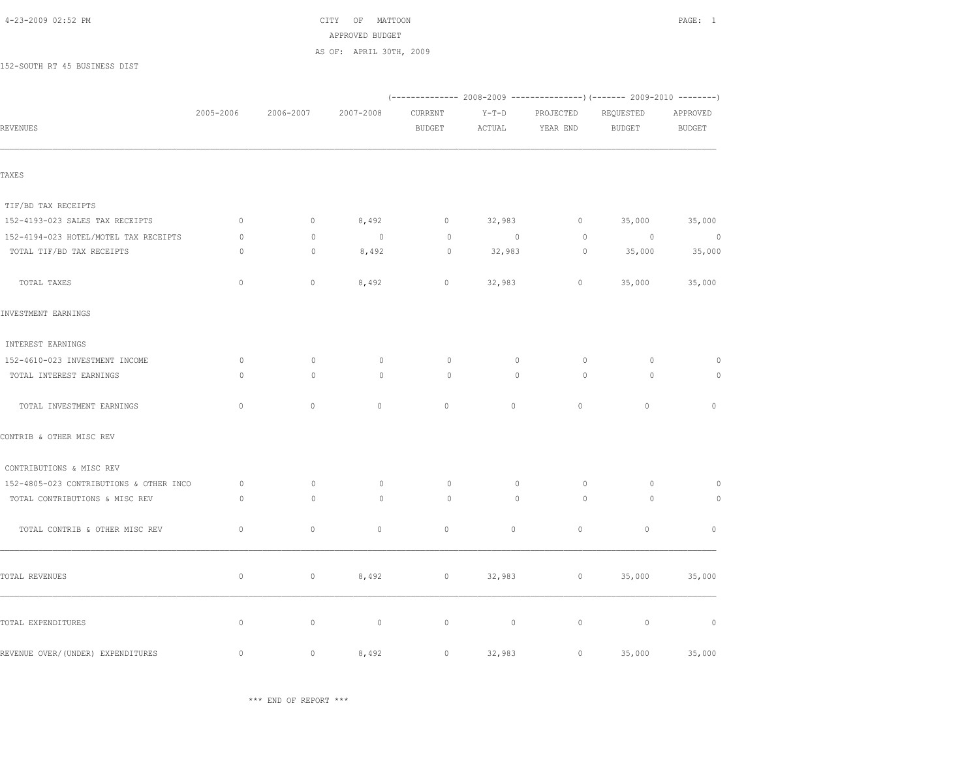$\text{CITY}$  OF MATTOON PAGE: 1 APPROVED BUDGET

AS OF: APRIL 30TH, 2009

152-SOUTH RT 45 BUSINESS DIST

| <b>REVENUES</b>                         | 2005-2006    | 2006-2007   | 2007-2008      | CURRENT<br>BUDGET | $Y-T-D$<br>ACTUAL | PROJECTED<br>YEAR END | REQUESTED<br>BUDGET | APPROVED<br>BUDGET |
|-----------------------------------------|--------------|-------------|----------------|-------------------|-------------------|-----------------------|---------------------|--------------------|
|                                         |              |             |                |                   |                   |                       |                     |                    |
| TAXES                                   |              |             |                |                   |                   |                       |                     |                    |
| TIF/BD TAX RECEIPTS                     |              |             |                |                   |                   |                       |                     |                    |
| 152-4193-023 SALES TAX RECEIPTS         | $\mathbb O$  | $\circ$     | 8,492          | $\circ$           | 32,983            | $\circ$               | 35,000              | 35,000             |
| 152-4194-023 HOTEL/MOTEL TAX RECEIPTS   | $\circ$      | $\circ$     | $\overline{0}$ | $\circ$           | $\sim$ 0          | $\circ$               | $\sim$ 0            | $\overline{0}$     |
| TOTAL TIF/BD TAX RECEIPTS               | $\circ$      | $\circ$     | 8,492          | $\circ$           | 32,983            | $\circ$               | 35,000              | 35,000             |
| TOTAL TAXES                             | $\mathbf{0}$ | $\circ$     | 8,492          | $\overline{0}$    | 32,983            | $\circ$               | 35,000              | 35,000             |
| INVESTMENT EARNINGS                     |              |             |                |                   |                   |                       |                     |                    |
| INTEREST EARNINGS                       |              |             |                |                   |                   |                       |                     |                    |
| 152-4610-023 INVESTMENT INCOME          | $\circ$      | $\circ$     | $\mathbb O$    | $\circ$           | $\mathbb O$       | $\circ$               | $\circ$             | 0                  |
| TOTAL INTEREST EARNINGS                 | $\circ$      | $\mathbb O$ | $\mathbb O$    | $\circ$           | $\mathbb O$       | $\circ$               | $\circ$             | $\circ$            |
| TOTAL INVESTMENT EARNINGS               | $\mathbb O$  | $\mathbb O$ | $\mathbb O$    | $\mathbb O$       | $\circ$           | $\mathbb O$           | $\mathbb O$         | $\mathbb O$        |
| CONTRIB & OTHER MISC REV                |              |             |                |                   |                   |                       |                     |                    |
| CONTRIBUTIONS & MISC REV                |              |             |                |                   |                   |                       |                     |                    |
| 152-4805-023 CONTRIBUTIONS & OTHER INCO | 0            | $\circ$     | $\circ$        | $\circ$           | $\circ$           | $\circ$               | $\circ$             | 0                  |
| TOTAL CONTRIBUTIONS & MISC REV          | $\circ$      | $\circ$     | $\mathbb O$    | $\circ$           | $\circ$           | $\circ$               | $\circ$             | $\circ$            |
| TOTAL CONTRIB & OTHER MISC REV          | $\circ$      | $\circ$     | $\circ$        | $\circ$           | $\circ$           | $\circ$               | $\mathbb O$         | $\circ$            |
| TOTAL REVENUES                          | $\mathbb O$  | $\circ$     | 8,492          | $0 \qquad \qquad$ | 32,983            | $\circ$               | 35,000              | 35,000             |
| TOTAL EXPENDITURES                      | $\mathbb O$  | $\circ$     | $\mathbb O$    | $\mathbb O$       | $\circ$           | $\circ$               | $\mathbb O$         | $\overline{0}$     |
| REVENUE OVER/ (UNDER) EXPENDITURES      | $\mathbb O$  | $\mathbb O$ | 8,492          | $\overline{0}$    | 32,983            | $\overline{0}$        | 35,000              | 35,000             |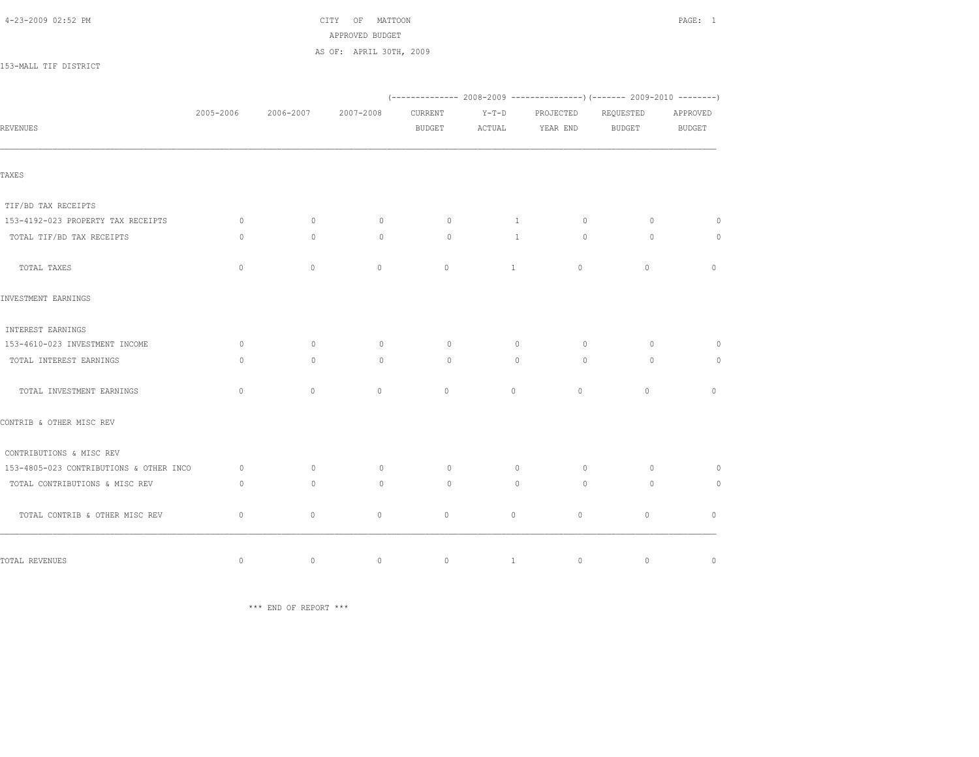| 4-23-2009 02:52 PM |  |  |
|--------------------|--|--|
|--------------------|--|--|

CITY OF MATTOON **PAGE: 1**  APPROVED BUDGET AS OF: APRIL 30TH, 2009

153-MALL TIF DISTRICT

|                                         | 2005-2006    | 2006-2007    | 2007-2008    | <b>CURRENT</b> | $Y-T-D$      | PROJECTED   | REQUESTED     | APPROVED      |
|-----------------------------------------|--------------|--------------|--------------|----------------|--------------|-------------|---------------|---------------|
| <b>REVENUES</b>                         |              |              |              | <b>BUDGET</b>  | ACTUAL       | YEAR END    | <b>BUDGET</b> | <b>BUDGET</b> |
| TAXES                                   |              |              |              |                |              |             |               |               |
| TIF/BD TAX RECEIPTS                     |              |              |              |                |              |             |               |               |
| 153-4192-023 PROPERTY TAX RECEIPTS      | $\circ$      | $\mathbf{0}$ | $\circ$      | $\circ$        | 1            | $\circ$     | $\circ$       | $\circ$       |
| TOTAL TIF/BD TAX RECEIPTS               | $\circ$      | $\mathbf{0}$ | $\mathbf{0}$ | $\circ$        | $\mathbf{1}$ | $\circ$     | $\circ$       | $\circ$       |
| TOTAL TAXES                             | $\circ$      | $\Omega$     | $\mathbf{0}$ | $\Omega$       | $\mathbf{1}$ | $\circ$     | $\circ$       | $\mathbf{0}$  |
| INVESTMENT EARNINGS                     |              |              |              |                |              |             |               |               |
| INTEREST EARNINGS                       |              |              |              |                |              |             |               |               |
| 153-4610-023 INVESTMENT INCOME          | $\Omega$     | $\Omega$     | $\circ$      | $\Omega$       | $\circ$      | $\Omega$    | $\Omega$      | $\Omega$      |
| TOTAL INTEREST EARNINGS                 | $\Omega$     | $\Omega$     | $\Omega$     | $\Omega$       | $\Omega$     | $\Omega$    | $\Omega$      | $\circ$       |
| TOTAL INVESTMENT EARNINGS               | $\mathbf{0}$ | $\mathbf{0}$ | $\mathbf{0}$ | $\circ$        | $\circ$      | $\circ$     | $\circ$       | $\circ$       |
| CONTRIB & OTHER MISC REV                |              |              |              |                |              |             |               |               |
| CONTRIBUTIONS & MISC REV                |              |              |              |                |              |             |               |               |
| 153-4805-023 CONTRIBUTIONS & OTHER INCO | $\circ$      | $\mathbf{0}$ | $\circ$      | $\circ$        | $\circ$      | $\circ$     | $\circ$       | $\circ$       |
| TOTAL CONTRIBUTIONS & MISC REV          | $\circ$      | $\circ$      | $\mathbf{0}$ | $\circ$        | $\circ$      | $\circ$     | $\circ$       | $\circ$       |
| TOTAL CONTRIB & OTHER MISC REV          | $\mathbf{0}$ | $\mathbf{0}$ | $\circ$      | $\circ$        | $\circ$      | $\circ$     | $\circ$       | $\mathbf{0}$  |
| TOTAL REVENUES                          | $\mathbb O$  | $\mathbb O$  | $\circ$      | $\circ$        | $\mathbf{1}$ | $\mathbb O$ | $\mathbb O$   | $\mathbb O$   |

\*\*\* END OF REPORT \*\*\*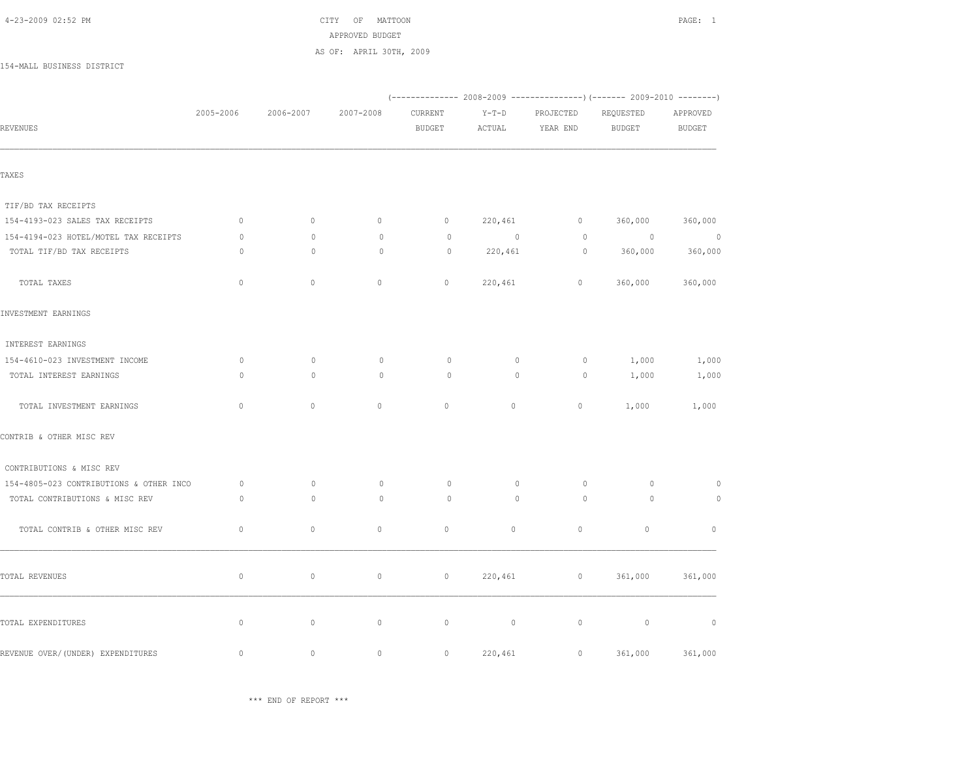|                                         |              |              | AS OF: APRIL 30TH, 2009 |               |                                                                        |             |               |                |
|-----------------------------------------|--------------|--------------|-------------------------|---------------|------------------------------------------------------------------------|-------------|---------------|----------------|
| 154-MALL BUSINESS DISTRICT              |              |              |                         |               |                                                                        |             |               |                |
|                                         |              |              |                         |               | (------------- 2008-2009 ---------------) (------- 2009-2010 --------) |             |               |                |
|                                         | 2005-2006    | 2006-2007    | 2007-2008               | CURRENT       | $Y-T-D$                                                                | PROJECTED   | REQUESTED     | APPROVED       |
| REVENUES                                |              |              |                         | <b>BUDGET</b> | ACTUAL                                                                 | YEAR END    | <b>BUDGET</b> | <b>BUDGET</b>  |
| TAXES                                   |              |              |                         |               |                                                                        |             |               |                |
|                                         |              |              |                         |               |                                                                        |             |               |                |
| TIF/BD TAX RECEIPTS                     |              |              |                         |               |                                                                        |             |               |                |
| 154-4193-023 SALES TAX RECEIPTS         | $\mathbb O$  | $\mathbb O$  | $\circ$                 | $\circ$       | 220,461                                                                | $\circ$     | 360,000       | 360,000        |
| 154-4194-023 HOTEL/MOTEL TAX RECEIPTS   | $\circ$      | $\mathbb O$  | $\circ$                 | $\circ$       | $\overline{0}$                                                         | $\circ$     | $\circ$       | $\overline{0}$ |
| TOTAL TIF/BD TAX RECEIPTS               | $\circ$      | $\mathbf{0}$ | $\circ$                 | $\circ$       | 220,461                                                                | $\circ$     | 360,000       | 360,000        |
| TOTAL TAXES                             | $\mathbb O$  | $\mathbb O$  | $\mathbb O$             | $\mathbb O$   | 220,461                                                                | $\mathbb O$ | 360,000       | 360,000        |
| INVESTMENT EARNINGS                     |              |              |                         |               |                                                                        |             |               |                |
| INTEREST EARNINGS                       |              |              |                         |               |                                                                        |             |               |                |
| 154-4610-023 INVESTMENT INCOME          | $\circ$      | $\circ$      | $\circ$                 | 0             | $\mathbb O$                                                            | $\circ$     | 1,000         | 1,000          |
| TOTAL INTEREST EARNINGS                 | $\circ$      | $\mathbf{0}$ | $\circ$                 | 0             | $\mathbf{0}$                                                           | $\circ$     | 1,000         | 1,000          |
| TOTAL INVESTMENT EARNINGS               | $\mathbf{0}$ | $\circ$      | $\circ$                 | $\circ$       | $\circ$                                                                | $\circ$     | 1,000         | 1,000          |
| CONTRIB & OTHER MISC REV                |              |              |                         |               |                                                                        |             |               |                |
| CONTRIBUTIONS & MISC REV                |              |              |                         |               |                                                                        |             |               |                |
| 154-4805-023 CONTRIBUTIONS & OTHER INCO | $\circ$      | $\circ$      | $\circ$                 | $\circ$       | $\circ$                                                                | $\circ$     | $\circ$       | $\circ$        |
| TOTAL CONTRIBUTIONS & MISC REV          | $\circ$      | $\mathbf{0}$ | $\mathbb O$             | $\circ$       | $\circ$                                                                | $\circ$     | $\circ$       | $\circ$        |
| TOTAL CONTRIB & OTHER MISC REV          | $\mathbb O$  | $\mathbb O$  | $\circ$                 | $\circ$       | $\circ$                                                                | $\circ$     | $\circ$       | $\mathbb O$    |
| TOTAL REVENUES                          | $\mathbb O$  | $\mathbb O$  | $\mathbb O$             | $\mathbb O$   | 220,461                                                                | $\mathbb O$ | 361,000       | 361,000        |
| TOTAL EXPENDITURES                      | $\mathbb O$  | $\mathbb O$  | $\mathbb O$             | $\mathbb O$   | $\circ$                                                                | $\mathbb O$ | $\mathbb O$   | $\mathbb O$    |
|                                         |              |              |                         |               |                                                                        |             |               |                |
| REVENUE OVER/ (UNDER) EXPENDITURES      | $\mathbf{0}$ | $\circ$      | $\mathbf{0}$            | $\circ$       | 220,461                                                                | $\circ$     | 361,000       | 361,000        |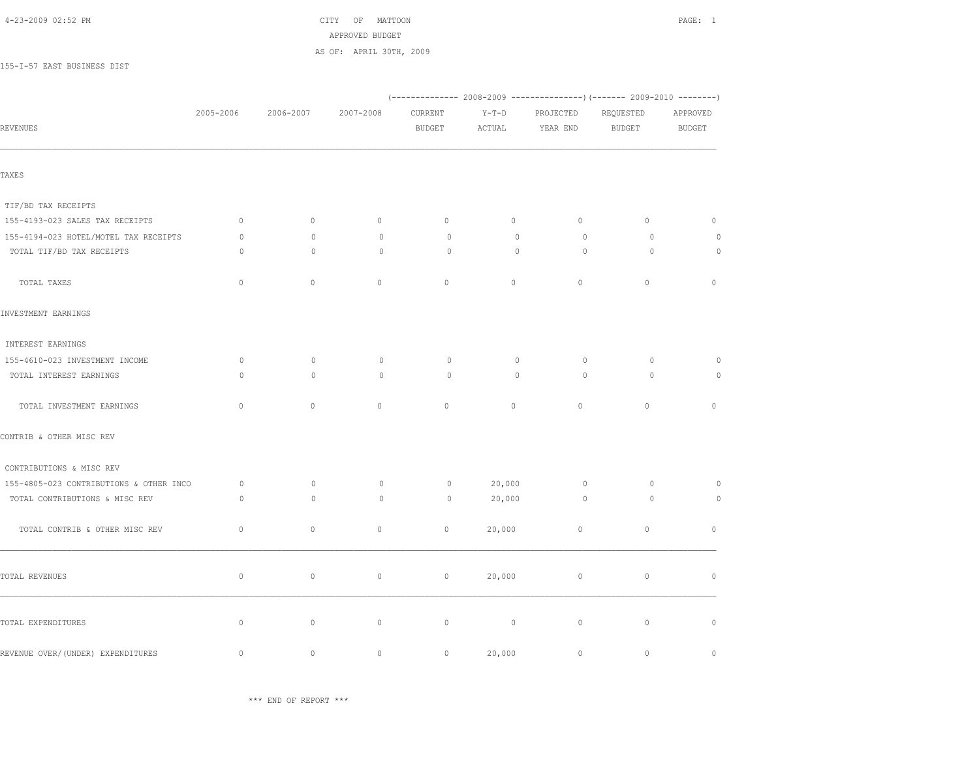|                                         |              |              | THE LIVE OF BUDDEL      |                          |                   |                       |                                                                        |                           |
|-----------------------------------------|--------------|--------------|-------------------------|--------------------------|-------------------|-----------------------|------------------------------------------------------------------------|---------------------------|
|                                         |              |              | AS OF: APRIL 30TH, 2009 |                          |                   |                       |                                                                        |                           |
| 155-I-57 EAST BUSINESS DIST             |              |              |                         |                          |                   |                       |                                                                        |                           |
|                                         |              |              |                         |                          |                   |                       | (------------- 2008-2009 ---------------) (------- 2009-2010 --------) |                           |
| REVENUES                                | 2005-2006    | 2006-2007    | 2007-2008               | CURRENT<br><b>BUDGET</b> | $Y-T-D$<br>ACTUAL | PROJECTED<br>YEAR END | REQUESTED<br><b>BUDGET</b>                                             | APPROVED<br><b>BUDGET</b> |
|                                         |              |              |                         |                          |                   |                       |                                                                        |                           |
| TAXES                                   |              |              |                         |                          |                   |                       |                                                                        |                           |
| TIF/BD TAX RECEIPTS                     |              |              |                         |                          |                   |                       |                                                                        |                           |
| 155-4193-023 SALES TAX RECEIPTS         | $\circ$      | 0            | $\circ$                 | $\circ$                  | $\circ$           | 0                     | $\circ$                                                                | $\circ$                   |
| 155-4194-023 HOTEL/MOTEL TAX RECEIPTS   | $\circ$      | $\mathbb O$  | $\mathbf 0$             | $\circ$                  | $\circ$           | $\circ$               | $\circ$                                                                | $\circ$                   |
| TOTAL TIF/BD TAX RECEIPTS               | $\circ$      | $\circ$      | $\mathbf{0}$            | $\circ$                  | $\circ$           | $\circ$               | $\circ$                                                                | $\circ$                   |
| TOTAL TAXES                             | $\mathbb O$  | $\mathbb O$  | $\mathbb O$             | $\mathbb O$              | $\circ$           | $\mathbb O$           | $\mathbb O$                                                            | $\mathbb O$               |
| INVESTMENT EARNINGS                     |              |              |                         |                          |                   |                       |                                                                        |                           |
| INTEREST EARNINGS                       |              |              |                         |                          |                   |                       |                                                                        |                           |
| 155-4610-023 INVESTMENT INCOME          | $\circ$      | $\mathbb O$  | $\circ$                 | $\circ$                  | $\circ$           | $\circ$               | $\circ$                                                                | $\circ$                   |
| TOTAL INTEREST EARNINGS                 | $\circ$      | $\mathbf{0}$ | $\circ$                 | $\circ$                  | $\mathbf{0}$      | $\circ$               | $\circ$                                                                | $\circ$                   |
| TOTAL INVESTMENT EARNINGS               | $\mathbf{0}$ | $\circ$      | $\mathbf{0}$            | $\circ$                  | $\circ$           | $\circ$               | $\circ$                                                                | $\mathbf{0}$              |
| CONTRIB & OTHER MISC REV                |              |              |                         |                          |                   |                       |                                                                        |                           |
| CONTRIBUTIONS & MISC REV                |              |              |                         |                          |                   |                       |                                                                        |                           |
| 155-4805-023 CONTRIBUTIONS & OTHER INCO | $\circ$      | $\mathbb O$  | $\circ$                 | $\circ$                  | 20,000            | $\circ$               | $\circ$                                                                | $\circ$                   |
| TOTAL CONTRIBUTIONS & MISC REV          | $\circ$      | $\mathbb O$  | $\circ$                 | $\circ$                  | 20,000            | $\circ$               | $\circ$                                                                | $\circ$                   |
| TOTAL CONTRIB & OTHER MISC REV          | $\mathbb O$  | $\mathbb O$  | $\mathbb O$             | $\mathbb O$              | 20,000            | $\mathbb O$           | $\mathbb O$                                                            | $\mathbb O$               |
| TOTAL REVENUES                          | $\mathbb O$  | $\mathbb O$  | $\circ$                 | $\circ$                  | 20,000            | $\circ$               | $\circ$                                                                | $\mathbb O$               |
| TOTAL EXPENDITURES                      | $\mathbb O$  | $\circ$      | $\mathbb O$             | $\mathbb O$              | $\circ$           | $\mathbb O$           | $\mathbb O$                                                            | $\mathbb O$               |
|                                         |              |              |                         |                          |                   |                       |                                                                        |                           |
| REVENUE OVER/ (UNDER) EXPENDITURES      | $\mathbb O$  | $\circ$      | $\circ$                 | $\circ$                  | 20,000            | $\mathbb O$           | $\mathbb O$                                                            | $\mathbf{0}$              |

\*\*\* END OF REPORT \*\*\*

 4-23-2009 02:52 PM CITY OF MATTOON PAGE: 1 APPROVED BUDGET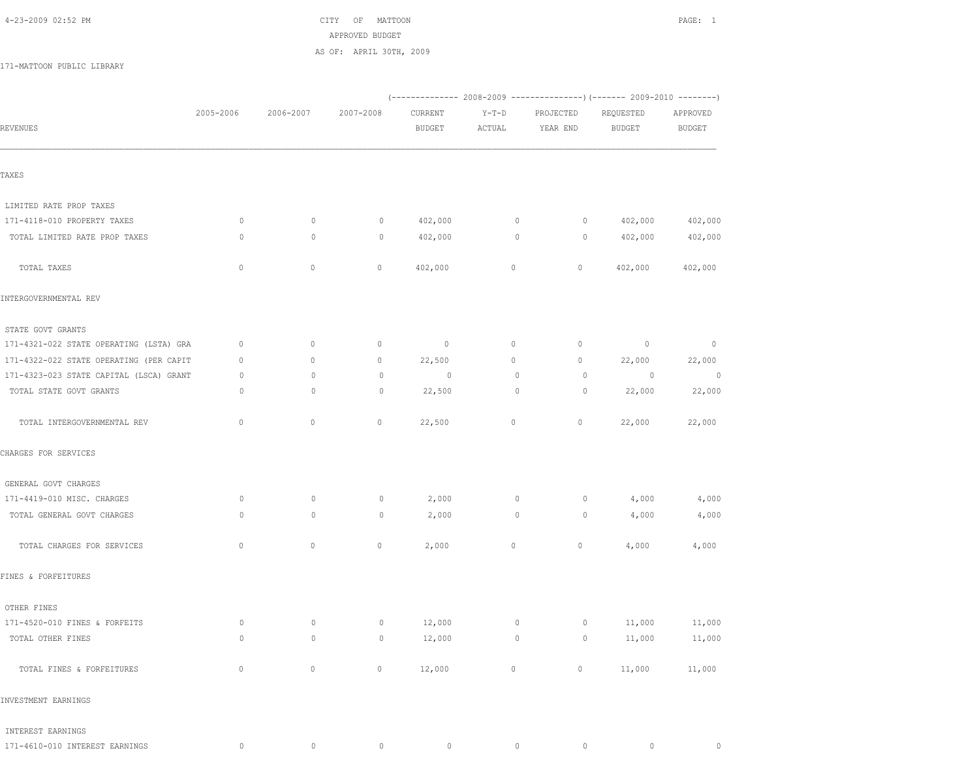#### 4-23-2009 02:52 PM CITY OF MATTOON PAGE: 1

# APPROVED BUDGET

AS OF: APRIL 30TH, 2009

171-MATTOON PUBLIC LIBRARY

| REVENUES                                | 2005-2006      | 2006-2007      | 2007-2008          | CURRENT<br><b>BUDGET</b> | $Y-T-D$<br>ACTUAL | PROJECTED<br>YEAR END                        | REQUESTED<br><b>BUDGET</b> | APPROVED<br>BUDGET       |
|-----------------------------------------|----------------|----------------|--------------------|--------------------------|-------------------|----------------------------------------------|----------------------------|--------------------------|
| TAXES                                   |                |                |                    |                          |                   |                                              |                            |                          |
| LIMITED RATE PROP TAXES                 |                |                |                    |                          |                   |                                              |                            |                          |
| 171-4118-010 PROPERTY TAXES             | $\circ$        | $\circ$        | $\circ$            | 402,000                  | $\circ$           | 0                                            | 402,000                    | 402,000                  |
| TOTAL LIMITED RATE PROP TAXES           | $\circ$        | $\circ$        | $\circ$            | 402,000                  | $\circ$           | 0                                            | 402,000                    | 402,000                  |
| TOTAL TAXES                             | $\circ$        | 0              | $\circ$            | 402,000                  | $\circ$           | $\circ$                                      | 402,000                    | 402,000                  |
| INTERGOVERNMENTAL REV                   |                |                |                    |                          |                   |                                              |                            |                          |
| STATE GOVT GRANTS                       |                |                |                    |                          |                   |                                              |                            |                          |
| 171-4321-022 STATE OPERATING (LSTA) GRA | 0              | 0              | $\circ$            | $\sim$ 0                 | $\circ$           | $\circ$                                      | $\overline{0}$             | $\overline{\phantom{0}}$ |
| 171-4322-022 STATE OPERATING (PER CAPIT | $\mathbf{0}$   | 0              | $\circ$            | 22,500                   | $\circ$           | 0                                            | 22,000                     | 22,000                   |
| 171-4323-023 STATE CAPITAL (LSCA) GRANT | $\circ$        | $\mathbf{0}$   | $\circ$            | $\circ$                  | $\circ$           | $\circ$                                      | $\overline{0}$             | $\overline{0}$           |
| TOTAL STATE GOVT GRANTS                 | $\circ$        | $\circ$        | $\circ$            | 22,500                   | $\circ$           | $\circ$                                      | 22,000                     | 22,000                   |
| TOTAL INTERGOVERNMENTAL REV             | $\mathbb O$    | $\circ$        | $\mathbb O$        | 22,500                   | $\circ$           | $\circ$                                      | 22,000                     | 22,000                   |
| CHARGES FOR SERVICES                    |                |                |                    |                          |                   |                                              |                            |                          |
| GENERAL GOVT CHARGES                    |                |                |                    |                          |                   |                                              |                            |                          |
| 171-4419-010 MISC. CHARGES              | $\circ$        | $\circ$        | $\circ$            | 2,000                    | $\circ$           | 0                                            | 4,000                      | 4,000                    |
| TOTAL GENERAL GOVT CHARGES              | $\circ$        | $\circ$        | $\circ$            | 2,000                    | $\circ$           | $\circ$                                      | 4,000                      | 4,000                    |
| TOTAL CHARGES FOR SERVICES              | $\mathbb O$    | $\mathbb O$    | 0                  | 2,000                    | 0                 | $\circ$                                      | 4,000                      | 4,000                    |
| FINES & FORFEITURES                     |                |                |                    |                          |                   |                                              |                            |                          |
| OTHER FINES                             |                |                |                    |                          |                   |                                              |                            |                          |
| 171-4520-010 FINES & FORFEITS           | $\circ$        | $\circ$        | $\circ$            | 12,000                   | $\circ$           | $\circ$                                      | 11,000                     | 11,000                   |
| TOTAL OTHER FINES                       | $\circ$        | $\overline{0}$ | $\overline{0}$     | 12,000                   |                   | $\begin{matrix} 0 & 0 \\ 0 & 0 \end{matrix}$ | 11,000                     | 11,000                   |
| TOTAL FINES & FORFEITURES               | $\overline{0}$ |                | 0 0 $12,000$ 0 0 0 |                          |                   |                                              |                            | 11,000 11,000            |
| INVESTMENT EARNINGS                     |                |                |                    |                          |                   |                                              |                            |                          |
| INTEREST EARNINGS                       |                |                |                    |                          |                   |                                              |                            |                          |

171-4610-010 INTEREST EARNINGS 0 0 0 0 0 0 0 0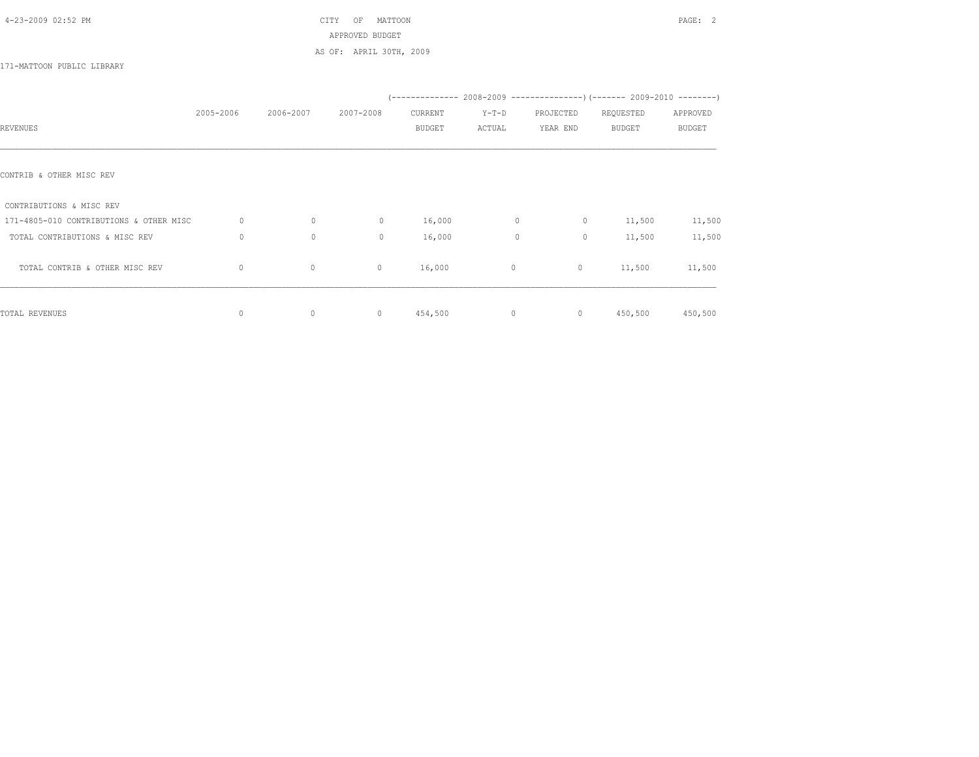# 4-23-2009 02:52 PM CITY OF MATTOON PAGE: 2 APPROVED BUDGET AS OF: APRIL 30TH, 2009

## 171-MATTOON PUBLIC LIBRARY

|                                         |             |              |              |               |              |           | (-------------- 2008-2009 ----------------) (------- 2009-2010 --------) |          |
|-----------------------------------------|-------------|--------------|--------------|---------------|--------------|-----------|--------------------------------------------------------------------------|----------|
|                                         | 2005-2006   | 2006-2007    | 2007-2008    | CURRENT       | $Y-T-D$      | PROJECTED | REQUESTED                                                                | APPROVED |
| REVENUES                                |             |              |              | <b>BUDGET</b> | ACTUAL       | YEAR END  | <b>BUDGET</b>                                                            | BUDGET   |
|                                         |             |              |              |               |              |           |                                                                          |          |
| CONTRIB & OTHER MISC REV                |             |              |              |               |              |           |                                                                          |          |
| CONTRIBUTIONS & MISC REV                |             |              |              |               |              |           |                                                                          |          |
| 171-4805-010 CONTRIBUTIONS & OTHER MISC | $\circ$     | $\mathbf{0}$ | $\mathbf{0}$ | 16,000        | $\mathbf{0}$ | $\circ$   | 11,500                                                                   | 11,500   |
| TOTAL CONTRIBUTIONS & MISC REV          | $\circ$     | $\mathbf{0}$ | $\mathbf{0}$ | 16,000        | $\mathbf{0}$ | $\circ$   | 11,500                                                                   | 11,500   |
| TOTAL CONTRIB & OTHER MISC REV          | $\circ$     | $\circ$      | $\circ$      | 16,000        | $\circ$      | $\circ$   | 11,500                                                                   | 11,500   |
| TOTAL REVENUES                          | $\mathbf 0$ | $\mathbb O$  | $\mathbf 0$  | 454,500       | $\circ$      | $\circ$   | 450,500                                                                  | 450,500  |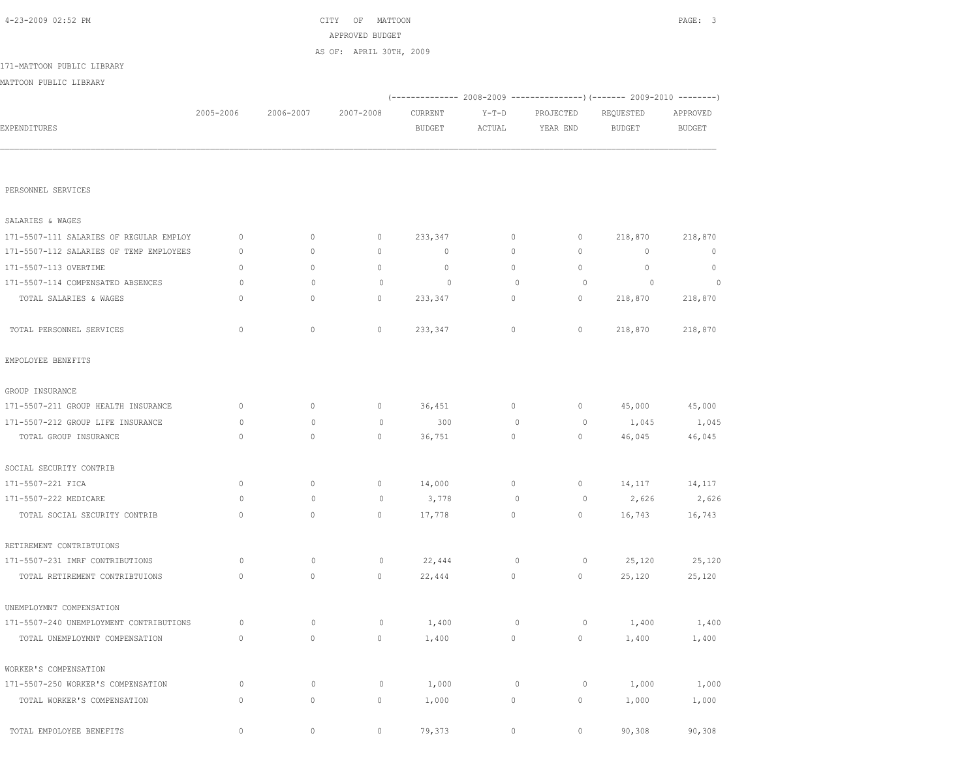| 4-23-2009 02:52 PM                      |              |              | CITY<br>OF<br>MATTOON<br>APPROVED BUDGET<br>AS OF: APRIL 30TH, 2009 |               |             |                |                                                                         | PAGE: 3       |
|-----------------------------------------|--------------|--------------|---------------------------------------------------------------------|---------------|-------------|----------------|-------------------------------------------------------------------------|---------------|
| 171-MATTOON PUBLIC LIBRARY              |              |              |                                                                     |               |             |                |                                                                         |               |
| MATTOON PUBLIC LIBRARY                  |              |              |                                                                     |               |             |                |                                                                         |               |
|                                         |              |              |                                                                     |               |             |                | (-------------- 2008-2009 ---------------) (------- 2009-2010 --------) |               |
|                                         | 2005-2006    | 2006-2007    | 2007-2008                                                           | CURRENT       | $Y-T-D$     | PROJECTED      | REQUESTED                                                               | APPROVED      |
| EXPENDITURES                            |              |              |                                                                     | <b>BUDGET</b> | ACTUAL      | YEAR END       | <b>BUDGET</b>                                                           | <b>BUDGET</b> |
|                                         |              |              |                                                                     |               |             |                |                                                                         |               |
| PERSONNEL SERVICES                      |              |              |                                                                     |               |             |                |                                                                         |               |
| SALARIES & WAGES                        |              |              |                                                                     |               |             |                |                                                                         |               |
| 171-5507-111 SALARIES OF REGULAR EMPLOY | $\mathbf{0}$ | 0            | $\mathbf 0$                                                         | 233,347       | $\circ$     | 0              | 218,870                                                                 | 218,870       |
| 171-5507-112 SALARIES OF TEMP EMPLOYEES | $\mathbf{0}$ | $\circ$      | $\circ$                                                             | $\mathbf 0$   | 0           | 0              | 0                                                                       | 0             |
| 171-5507-113 OVERTIME                   | $\circ$      | $\circ$      | $\circ$                                                             | $\circ$       | 0           | $\circ$        | $\circ$                                                                 | $\circ$       |
| 171-5507-114 COMPENSATED ABSENCES       | 0            | $\mathbf 0$  | $\circ$                                                             | $\circ$       | $\circ$     | $\circ$        | $\circ$                                                                 | $\circ$       |
| TOTAL SALARIES & WAGES                  | $\mathbf{0}$ | $\circ$      | $\circ$                                                             | 233,347       | 0           | $\circ$        | 218,870                                                                 | 218,870       |
| TOTAL PERSONNEL SERVICES                | $\mathbf{0}$ | $\circ$      | $\circ$                                                             | 233,347       | 0           | $\circ$        | 218,870                                                                 | 218,870       |
| EMPOLOYEE BENEFITS                      |              |              |                                                                     |               |             |                |                                                                         |               |
| GROUP INSURANCE                         |              |              |                                                                     |               |             |                |                                                                         |               |
| 171-5507-211 GROUP HEALTH INSURANCE     | $\circ$      | 0            | $\mathbb O$                                                         | 36,451        | 0           | $\circ$        | 45,000                                                                  | 45,000        |
| 171-5507-212 GROUP LIFE INSURANCE       | 0            | $\circ$      | $\circ$                                                             | 300           | 0           | 0              | 1,045                                                                   | 1,045         |
| TOTAL GROUP INSURANCE                   | $\mathbf{0}$ | $\circ$      | $\mathbf{0}$                                                        | 36,751        | $\circ$     | 0              | 46,045                                                                  | 46,045        |
| SOCIAL SECURITY CONTRIB                 |              |              |                                                                     |               |             |                |                                                                         |               |
| 171-5507-221 FICA                       | $\mathbf{0}$ | $\circ$      | $\circ$                                                             | 14,000        | 0           | $\circ$        | 14,117                                                                  | 14,117        |
| 171-5507-222 MEDICARE                   | 0            | $\mathbf{0}$ | $\mathbf 0$                                                         | 3,778         | 0           | $\overline{0}$ | 2,626                                                                   | 2,626         |
| TOTAL SOCIAL SECURITY CONTRIB           | $\mathbf{0}$ | $\circ$      | $\circ$                                                             | 17,778        | $\circ$     | 0              | 16,743                                                                  | 16,743        |
| RETIREMENT CONTRIBTUIONS                |              |              |                                                                     |               |             |                |                                                                         |               |
| 171-5507-231 IMRF CONTRIBUTIONS         | 0            | $\circ$      | $\circ$                                                             | 22,444        | $\mathbf 0$ | $\circ$        | 25,120                                                                  | 25,120        |
| TOTAL RETIREMENT CONTRIBTUIONS          | $\circ$      | $\mathbb O$  | $\circ$                                                             | 22,444        | $\circ$     | $\mathbb O$    | 25,120                                                                  | 25,120        |
| UNEMPLOYMNT COMPENSATION                |              |              |                                                                     |               |             |                |                                                                         |               |
| 171-5507-240 UNEMPLOYMENT CONTRIBUTIONS | $\circ$      | $\mathbb O$  | $\circ$                                                             | 1,400         | $\circ$     | $\circ$        | 1,400                                                                   | 1,400         |
| TOTAL UNEMPLOYMNT COMPENSATION          | 0            | $\mathbb O$  | $\circ$                                                             | 1,400         | $\circ$     | $\circ$        | 1,400                                                                   | 1,400         |
| WORKER'S COMPENSATION                   |              |              |                                                                     |               |             |                |                                                                         |               |
| 171-5507-250 WORKER'S COMPENSATION      | $\circ$      | $\circ$      | $\circ$                                                             | 1,000         | $\circ$     | 0              | 1,000                                                                   | 1,000         |
| TOTAL WORKER'S COMPENSATION             | $\circ$      | $\mathbb O$  | $\mathbb O$                                                         | 1,000         | 0           | 0              | 1,000                                                                   | 1,000         |
| TOTAL EMPOLOYEE BENEFITS                | $\mathbb O$  | $\circ$      | $\circ$                                                             | 79,373        | $\circ$     | $\circ$        | 90,308                                                                  | 90,308        |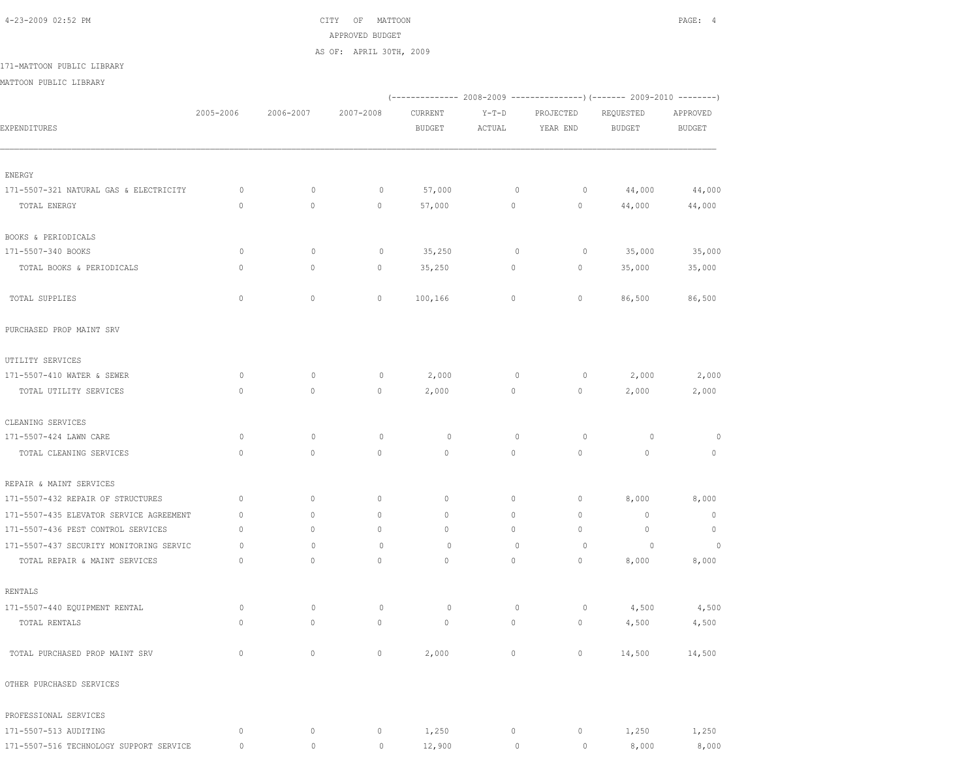4-23-2009 02:52 PM CITY OF MATTOON PAGE: 4 APPROVED BUDGET

AS OF: APRIL 30TH, 2009

171-MATTOON PUBLIC LIBRARY

MATTOON PUBLIC LIBRARY

|                                         |              |             |              |               |              |              | (------------- 2008-2009 ---------------) (------- 2009-2010 --------) |               |
|-----------------------------------------|--------------|-------------|--------------|---------------|--------------|--------------|------------------------------------------------------------------------|---------------|
|                                         | 2005-2006    | 2006-2007   | 2007-2008    | CURRENT       | $Y-T-D$      | PROJECTED    | REQUESTED                                                              | APPROVED      |
| EXPENDITURES                            |              |             |              | <b>BUDGET</b> | ACTUAL       | YEAR END     | <b>BUDGET</b>                                                          | <b>BUDGET</b> |
|                                         |              |             |              |               |              |              |                                                                        |               |
| ENERGY                                  |              |             |              |               |              |              |                                                                        |               |
| 171-5507-321 NATURAL GAS & ELECTRICITY  | 0            | $\circ$     | 0            | 57,000        | $\circ$      | $\circ$      | 44,000                                                                 | 44,000        |
| TOTAL ENERGY                            | $\circ$      | 0           | $\mathbb O$  | 57,000        | $\circ$      | $\circ$      | 44,000                                                                 | 44,000        |
| BOOKS & PERIODICALS                     |              |             |              |               |              |              |                                                                        |               |
| 171-5507-340 BOOKS                      | $\circ$      | $\circ$     | $\circ$      | 35,250        | $\mathbf 0$  | $\circ$      | 35,000                                                                 | 35,000        |
| TOTAL BOOKS & PERIODICALS               | $\mathbf{0}$ | 0           | 0            | 35,250        | $\circ$      | 0            | 35,000                                                                 | 35,000        |
| TOTAL SUPPLIES                          | $\mathbb O$  | $\circ$     | 0            | 100,166       | $\circ$      | $\circ$      | 86,500                                                                 | 86,500        |
| PURCHASED PROP MAINT SRV                |              |             |              |               |              |              |                                                                        |               |
| UTILITY SERVICES                        |              |             |              |               |              |              |                                                                        |               |
| 171-5507-410 WATER & SEWER              | $\circ$      | $\circ$     | $\circ$      | 2,000         | $\mathbf 0$  | $\circ$      | 2,000                                                                  | 2,000         |
| TOTAL UTILITY SERVICES                  | $\circ$      | 0           | 0            | 2,000         | $\circ$      | $\circ$      | 2,000                                                                  | 2,000         |
| CLEANING SERVICES                       |              |             |              |               |              |              |                                                                        |               |
| 171-5507-424 LAWN CARE                  | $\circ$      | $\circ$     | $\circ$      | 0             | $\mathbf 0$  | $\circ$      | $\circ$                                                                | $\circ$       |
| TOTAL CLEANING SERVICES                 | $\mathbf{0}$ | $\mathbb O$ | $\circ$      | $\mathbf{0}$  | $\circ$      | $\circ$      | $\mathbf{0}$                                                           | $\mathbf{0}$  |
| REPAIR & MAINT SERVICES                 |              |             |              |               |              |              |                                                                        |               |
| 171-5507-432 REPAIR OF STRUCTURES       | $\mathbf{0}$ | $\mathbb O$ | 0            | $\circ$       | $\circ$      | $\circ$      | 8,000                                                                  | 8,000         |
| 171-5507-435 ELEVATOR SERVICE AGREEMENT | $\mathbf{0}$ | $\circ$     | $\circ$      | $\mathbf{0}$  | $\circ$      | $\circ$      | $\mathbf{0}$                                                           | $\circ$       |
| 171-5507-436 PEST CONTROL SERVICES      | $\mathbf{0}$ | $\circ$     | $\circ$      | $\mathbf{0}$  | $\circ$      | $\mathbf{0}$ | $\mathbf{0}$                                                           | $\circ$       |
| 171-5507-437 SECURITY MONITORING SERVIC | 0            | $\circ$     | $\circ$      | $\circ$       | $\mathbf{0}$ | $\circ$      | 0                                                                      | $\circ$       |
| TOTAL REPAIR & MAINT SERVICES           | $\circ$      | 0           | $\mathbf{0}$ | 0             | $\circ$      | $\circ$      | 8,000                                                                  | 8,000         |
| RENTALS                                 |              |             |              |               |              |              |                                                                        |               |
| 171-5507-440 EQUIPMENT RENTAL           | $\circ$      | $\mathbb O$ | $\circ$      | 0             | $\mathbb O$  | 0            | 4,500                                                                  | 4,500         |
| TOTAL RENTALS                           | $\mathbf{0}$ | $\circ$     | 0            | $\circ$       | $\circ$      | $\circ$      | 4,500                                                                  | 4,500         |
| TOTAL PURCHASED PROP MAINT SRV          | $\mathbf 0$  | 0           | $\mathbb O$  | 2,000         | 0            | $\circ$      | 14,500                                                                 | 14,500        |
| OTHER PURCHASED SERVICES                |              |             |              |               |              |              |                                                                        |               |
| PROFESSIONAL SERVICES                   |              |             |              |               |              |              |                                                                        |               |
| 171-5507-513 AUDITING                   | $\circ$      | $\circ$     | $\circ$      | 1,250         | 0            | $\circ$      | 1,250                                                                  | 1,250         |
| 171-5507-516 TECHNOLOGY SUPPORT SERVICE | $\mathbb O$  | $\mathbb O$ | $\circ$      | 12,900        | $\mathbb O$  | $\circ$      | 8,000                                                                  | 8,000         |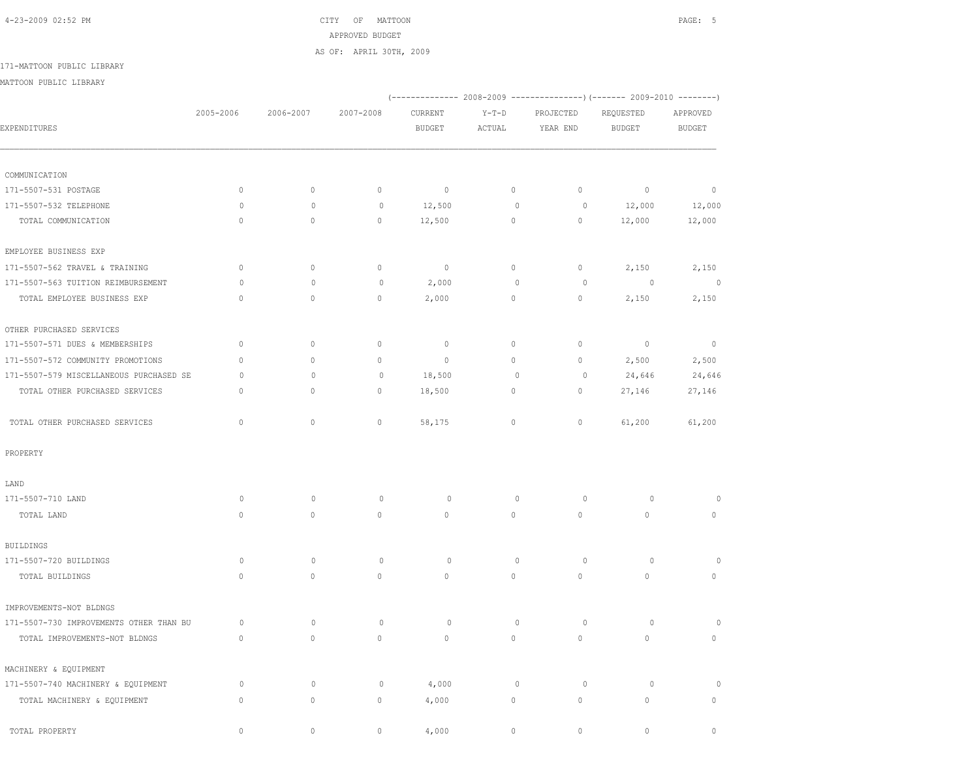4-23-2009 02:52 PM CITY OF MATTOON PAGE: 5 APPROVED BUDGET AS OF: APRIL 30TH, 2009

171-MATTOON PUBLIC LIBRARY

MATTOON PUBLIC LIBRARY

|                                         |              |              |              |               |                     |             | (-------------- 2008-2009 ----------------) (------- 2009-2010 --------) |                |
|-----------------------------------------|--------------|--------------|--------------|---------------|---------------------|-------------|--------------------------------------------------------------------------|----------------|
|                                         | 2005-2006    | 2006-2007    | 2007-2008    | CURRENT       | $Y-T-D$             | PROJECTED   | REQUESTED                                                                | APPROVED       |
| EXPENDITURES                            |              |              |              | <b>BUDGET</b> | $\verb ACTUAL $     | YEAR END    | BUDGET                                                                   | <b>BUDGET</b>  |
|                                         |              |              |              |               |                     |             |                                                                          |                |
| COMMUNICATION                           |              |              |              |               |                     |             |                                                                          |                |
| 171-5507-531 POSTAGE                    | $\mathbb O$  | $\mathbb O$  | $\mathbb O$  | $\mathbb O$   | $\circ$             | $\circ$     | $\mathbb O$                                                              | $\circ$        |
| 171-5507-532 TELEPHONE                  | $\circ$      | $\circ$      | $\mathbb O$  | 12,500        | $\mathbb O$         | $\circ$     | 12,000                                                                   | 12,000         |
| TOTAL COMMUNICATION                     | $\mathbf{0}$ | $\mathbf{0}$ | $\mathbf{0}$ | 12,500        | $\circ$             | $\circ$     | 12,000                                                                   | 12,000         |
| EMPLOYEE BUSINESS EXP                   |              |              |              |               |                     |             |                                                                          |                |
| 171-5507-562 TRAVEL & TRAINING          | $\circ$      | $\mathbb O$  | $\mathbb O$  | $\mathbb O$   | 0                   | $\circ$     | 2,150                                                                    | 2,150          |
| 171-5507-563 TUITION REIMBURSEMENT      | $\circ$      | $\circ$      | $\mathbb O$  | 2,000         | $\circ$             | $\circ$     | $\circ$                                                                  | $\circ$        |
| TOTAL EMPLOYEE BUSINESS EXP             | $\circ$      | $\mathbb O$  | $\mathbb O$  | 2,000         | $\circ$             | $\mathbb O$ | 2,150                                                                    | 2,150          |
| OTHER PURCHASED SERVICES                |              |              |              |               |                     |             |                                                                          |                |
| 171-5507-571 DUES & MEMBERSHIPS         | $\mathbb O$  | $\mathbb O$  | $\mathbb O$  | $\mathbb O$   | $\circ$             | $\mathbb O$ | $\mathbb O$                                                              | $\overline{0}$ |
| 171-5507-572 COMMUNITY PROMOTIONS       | $\Omega$     | $\mathbb O$  | $\mathbf 0$  | $\circ$       | 0                   | $\circ$     | 2,500                                                                    | 2,500          |
| 171-5507-579 MISCELLANEOUS PURCHASED SE | $\circ$      | $\mathbf{0}$ | $\circ$      | 18,500        | $\circ$             | $\circ$     | 24,646                                                                   | 24,646         |
| TOTAL OTHER PURCHASED SERVICES          | $\Omega$     | $\circ$      | $\mathbb O$  | 18,500        | $\circ$             | $\circ$     | 27,146                                                                   | 27,146         |
| TOTAL OTHER PURCHASED SERVICES          | $\mathbf{0}$ | $\circ$      | $\mathbb O$  | 58,175        | $\circ$             | $\mathbb O$ | 61,200                                                                   | 61,200         |
| PROPERTY                                |              |              |              |               |                     |             |                                                                          |                |
| LAND                                    |              |              |              |               |                     |             |                                                                          |                |
| 171-5507-710 LAND                       | $\circ$      | $\circ$      | $\circ$      | $\circ$       | $\mathbf 0$         | $\circ$     | $\circ$                                                                  |                |
| TOTAL LAND                              | $\Omega$     | 0            | $\mathbb O$  | $\mathbb O$   | $\mathsf{O}\xspace$ | $\mathbb O$ | $\mathbb O$                                                              | 0              |
| <b>BUILDINGS</b>                        |              |              |              |               |                     |             |                                                                          |                |
| 171-5507-720 BUILDINGS                  | $\circ$      | $\mathbb O$  | $\mathbb O$  | $\circ$       | $\mathbb O$         | $\mathbb O$ | $\mathbb O$                                                              | 0              |
| TOTAL BUILDINGS                         | $\Omega$     | $\circ$      | $\circ$      | $\mathbf 0$   | $\circ$             | $\circ$     | $\mathbf{0}$                                                             | $\mathbf 0$    |
| IMPROVEMENTS-NOT BLDNGS                 |              |              |              |               |                     |             |                                                                          |                |
| 171-5507-730 IMPROVEMENTS OTHER THAN BU | $\circ$      | $\mathbb O$  | $\mathbb O$  | $\circ$       | $\mathbb O$         | $\circ$     | $\circ$                                                                  | $\Omega$       |
| TOTAL IMPROVEMENTS-NOT BLDNGS           | $\circ$      | $\circ$      | $\mathbb O$  | $\mathbb O$   | $\circ$             | $\circ$     | $\circ$                                                                  | 0              |
| MACHINERY & EQUIPMENT                   |              |              |              |               |                     |             |                                                                          |                |
| 171-5507-740 MACHINERY & EQUIPMENT      | $\circ$      | $\circ$      | $\circ$      | 4,000         | $\mathbb O$         | $\circ$     | $\circ$                                                                  |                |
| TOTAL MACHINERY & EQUIPMENT             | $\circ$      | $\mathbb O$  | $\mathbb O$  | 4,000         | $\circ$             | $\mathbb O$ | $\mathbb O$                                                              | 0              |
| TOTAL PROPERTY                          | $\circ$      | 0            | $\mathbb O$  | 4,000         | $\mathbf 0$         | 0           | $\mathbf{0}$                                                             | $\mathbf{0}$   |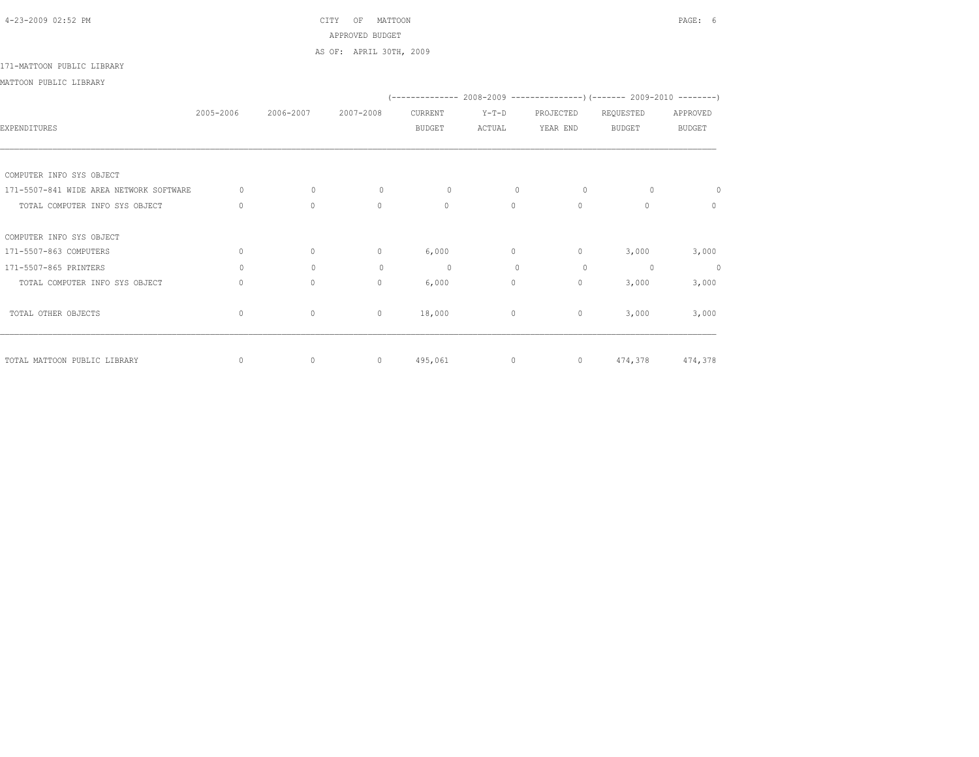# 4-23-2009 02:52 PM CITY OF MATTOON PAGE: 6 APPROVED BUDGET

AS OF: APRIL 30TH, 2009

### 171-MATTOON PUBLIC LIBRARY

MATTOON PUBLIC LIBRARY

|                                         |              |              |              |               |              |                | (-------------- 2008-2009 -------------------- 2009-2010 ----------- |               |
|-----------------------------------------|--------------|--------------|--------------|---------------|--------------|----------------|----------------------------------------------------------------------|---------------|
|                                         | 2005-2006    | 2006-2007    | 2007-2008    | CURRENT       | $Y-T-D$      | PROJECTED      | REQUESTED                                                            | APPROVED      |
| EXPENDITURES                            |              |              |              | <b>BUDGET</b> | ACTUAL       | YEAR END       | <b>BUDGET</b>                                                        | <b>BUDGET</b> |
|                                         |              |              |              |               |              |                |                                                                      |               |
|                                         |              |              |              |               |              |                |                                                                      |               |
| COMPUTER INFO SYS OBJECT                |              |              |              |               |              |                |                                                                      |               |
| 171-5507-841 WIDE AREA NETWORK SOFTWARE | $\Omega$     | $\mathbf{0}$ | $\circ$      | $\circ$       | $\mathbf{0}$ | $\circ$        | $\Omega$                                                             | 0             |
| TOTAL COMPUTER INFO SYS OBJECT          | $\Omega$     | $\Omega$     | $\Omega$     | $\Omega$      | $\Omega$     | $\Omega$       | $\cap$                                                               | $\Omega$      |
| COMPUTER INFO SYS OBJECT                |              |              |              |               |              |                |                                                                      |               |
| 171-5507-863 COMPUTERS                  | $\mathbf{0}$ | 0            | $\mathbf{0}$ | 6,000         | 0            | $\circ$        | 3,000                                                                | 3,000         |
| 171-5507-865 PRINTERS                   | $\circ$      | $\mathbf{0}$ | $\circ$      | $\circ$       | $\mathbf{0}$ | $\circ$        | $\circ$                                                              | $\circ$       |
|                                         | $\circ$      | $\circ$      | $\circ$      |               | $\circ$      |                |                                                                      |               |
| TOTAL COMPUTER INFO SYS OBJECT          |              |              |              | 6,000         |              | $\circ$        | 3,000                                                                | 3,000         |
| TOTAL OTHER OBJECTS                     | $\mathbf{0}$ | $\circ$      | $\mathbf{0}$ | 18,000        | $\circ$      | $\circ$        | 3,000                                                                | 3,000         |
|                                         |              |              |              |               |              |                |                                                                      |               |
| TOTAL MATTOON PUBLIC LIBRARY            | $\mathbf{0}$ | $\circ$      | $\circ$      | 495,061       | $\circ$      | $\overline{0}$ | 474,378                                                              | 474,378       |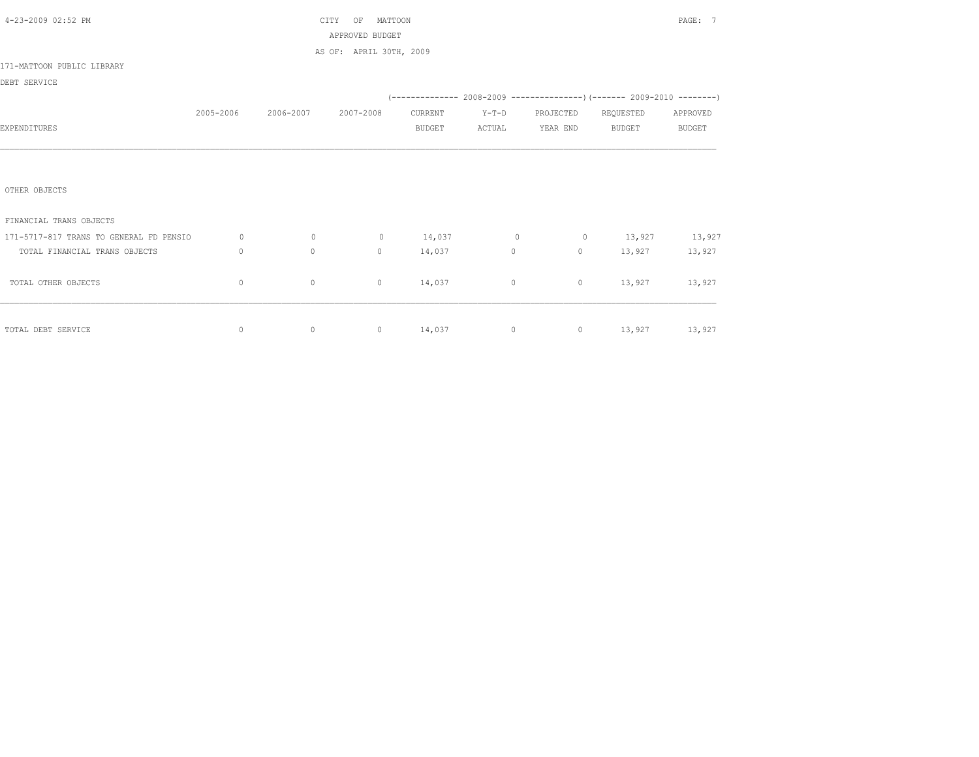| 4-23-2009 02:52 PM                      |                                  |                               | MATTOON<br>CITY<br>OF   |               |                   |                     |                                                                          | PAGE: 7       |
|-----------------------------------------|----------------------------------|-------------------------------|-------------------------|---------------|-------------------|---------------------|--------------------------------------------------------------------------|---------------|
|                                         |                                  |                               | APPROVED BUDGET         |               |                   |                     |                                                                          |               |
|                                         |                                  |                               | AS OF: APRIL 30TH, 2009 |               |                   |                     |                                                                          |               |
| 171-MATTOON PUBLIC LIBRARY              |                                  |                               |                         |               |                   |                     |                                                                          |               |
| DEBT SERVICE                            |                                  |                               |                         |               |                   |                     |                                                                          |               |
|                                         |                                  |                               |                         |               |                   |                     | (-------------- 2008-2009 ----------------) (------- 2009-2010 --------) |               |
|                                         |                                  | 2005-2006 2006-2007 2007-2008 |                         | CURRENT       | $Y-T-D$           | PROJECTED REQUESTED |                                                                          | APPROVED      |
| EXPENDITURES                            |                                  |                               |                         | <b>BUDGET</b> | ACTUAL            | YEAR END BUDGET     |                                                                          | <b>BUDGET</b> |
|                                         |                                  |                               |                         |               |                   |                     |                                                                          |               |
|                                         |                                  |                               |                         |               |                   |                     |                                                                          |               |
|                                         |                                  |                               |                         |               |                   |                     |                                                                          |               |
| OTHER OBJECTS                           |                                  |                               |                         |               |                   |                     |                                                                          |               |
|                                         |                                  |                               |                         |               |                   |                     |                                                                          |               |
| FINANCIAL TRANS OBJECTS                 |                                  |                               |                         |               |                   |                     |                                                                          |               |
| 171-5717-817 TRANS TO GENERAL FD PENSIO | $\circ$                          | $\overline{0}$                | $\circ$                 |               |                   |                     | $14,037$ 0 0 13,927 13,927                                               |               |
| TOTAL FINANCIAL TRANS OBJECTS           | $\begin{array}{c} \n\end{array}$ | $\circ$                       | $\Omega$                | 14,037        | $0 \qquad \qquad$ | $\overline{0}$      |                                                                          | 13,927 13,927 |
|                                         |                                  |                               |                         |               |                   |                     |                                                                          |               |
| TOTAL OTHER OBJECTS                     | 0                                | $\circ$                       | $\circ$                 | 14,037        | $\circ$           | $\circ$             |                                                                          | 13,927 13,927 |
|                                         |                                  |                               |                         |               |                   |                     |                                                                          |               |
|                                         |                                  |                               |                         |               |                   |                     |                                                                          |               |
| TOTAL DEBT SERVICE                      | $\circ$                          | $\circ$                       |                         |               |                   |                     | 0 14,037 0 0 13,927 13,927                                               |               |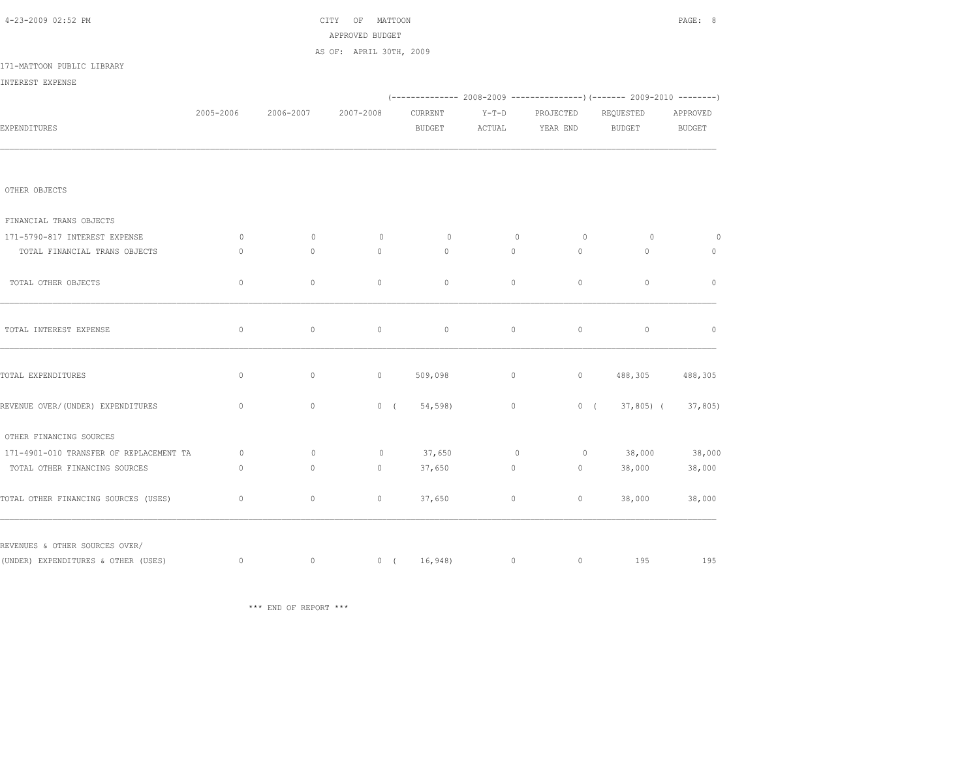| 4-23-2009 02:52 PM                      |              |           | CITY OF MATTOON<br>APPROVED BUDGET |                          |                   |                       |                                                                                 | PAGE: 8            |
|-----------------------------------------|--------------|-----------|------------------------------------|--------------------------|-------------------|-----------------------|---------------------------------------------------------------------------------|--------------------|
|                                         |              |           | AS OF: APRIL 30TH, 2009            |                          |                   |                       |                                                                                 |                    |
| 171-MATTOON PUBLIC LIBRARY              |              |           |                                    |                          |                   |                       |                                                                                 |                    |
| INTEREST EXPENSE                        |              |           |                                    |                          |                   |                       |                                                                                 |                    |
|                                         |              |           |                                    |                          |                   |                       | $(-$ ------------- 2008-2009 -------------------) (------- 2009-2010 ---------) |                    |
| EXPENDITURES                            | 2005-2006    | 2006-2007 | 2007-2008                          | CURRENT<br><b>BUDGET</b> | $Y-T-D$<br>ACTUAL | PROJECTED<br>YEAR END | REQUESTED<br>BUDGET                                                             | APPROVED<br>BUDGET |
|                                         |              |           |                                    |                          |                   |                       |                                                                                 |                    |
| OTHER OBJECTS                           |              |           |                                    |                          |                   |                       |                                                                                 |                    |
| FINANCIAL TRANS OBJECTS                 |              |           |                                    |                          |                   |                       |                                                                                 |                    |
| 171-5790-817 INTEREST EXPENSE           | $\circ$      | $\circ$   | $\Omega$                           | $\circ$                  | $\circ$           | $\circ$               | $\circ$                                                                         | $\overline{0}$     |
| TOTAL FINANCIAL TRANS OBJECTS           | $\Omega$     | $\circ$   | $\Omega$                           | $\circ$                  | $\Omega$          | $\circ$               | $\circ$                                                                         | $\circ$            |
| TOTAL OTHER OBJECTS                     | $\circ$      | $\circ$   | $\circ$                            | $\mathbb O$              | $\circ$           | $\mathbb O$           | $\mathbf{0}$                                                                    | $\mathbf{0}$       |
| TOTAL INTEREST EXPENSE                  | $\mathbb O$  | $\circ$   | $\circ$                            | $\circ$                  | $\circ$           | $\circ$               | $\circ$                                                                         | $\circ$            |
| TOTAL EXPENDITURES                      | $\circ$      | $\circ$   | $\circ$                            | 509,098                  | $\circ$           | $\circ$               | 488,305                                                                         | 488,305            |
| REVENUE OVER/(UNDER) EXPENDITURES       | $\circ$      | $\circ$   | 0(                                 | 54,598)                  | $\circ$           | 0(                    | $37,805$ (                                                                      | 37,805             |
| OTHER FINANCING SOURCES                 |              |           |                                    |                          |                   |                       |                                                                                 |                    |
| 171-4901-010 TRANSFER OF REPLACEMENT TA | $\circ$      | $\circ$   | $\circ$                            | 37,650                   | $\circ$           | $\circ$               | 38,000                                                                          | 38,000             |
| TOTAL OTHER FINANCING SOURCES           | $\mathbf{0}$ | $\circ$   | $\circ$                            | 37,650                   | $\circ$           | $\circ$               | 38,000                                                                          | 38,000             |
| TOTAL OTHER FINANCING SOURCES (USES)    | $\mathbf 0$  | $\circ$   | $\circ$                            | 37,650                   | $\circ$           | $\circ$               | 38,000                                                                          | 38,000             |
| REVENUES & OTHER SOURCES OVER/          |              |           |                                    |                          |                   |                       |                                                                                 |                    |
| (UNDER) EXPENDITURES & OTHER (USES)     | $\circ$      | $\circ$   |                                    |                          | $0(16,948)$ 0     |                       | $0$ 195                                                                         | 195                |

\*\*\* END OF REPORT \*\*\*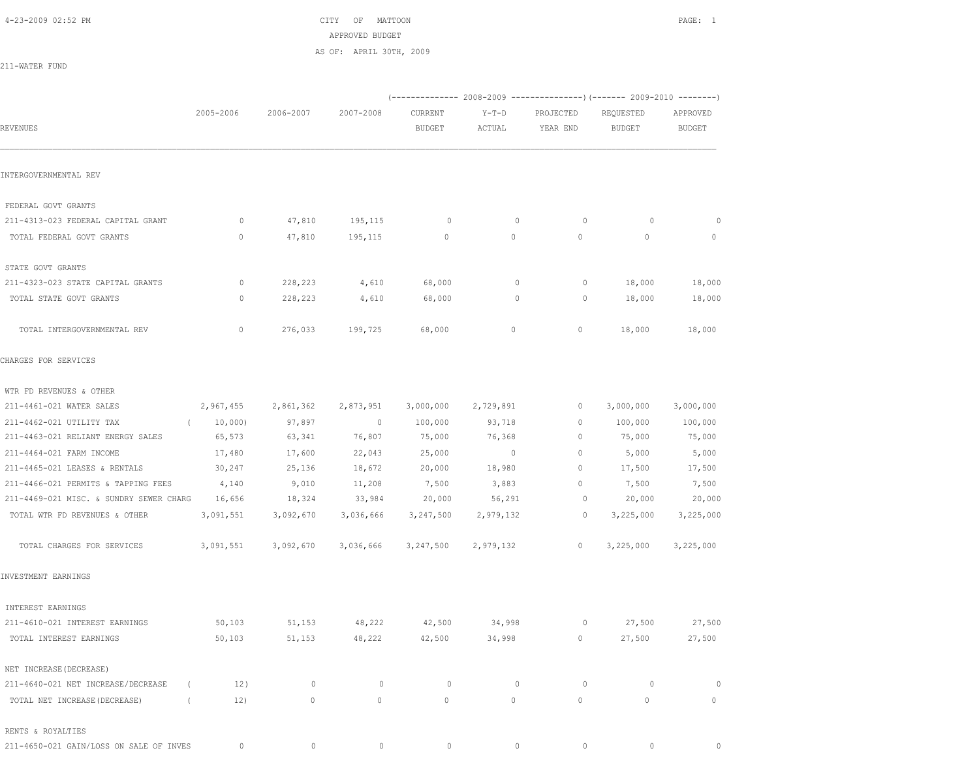4-23-2009 02:52 PM CITY OF MATTOON PAGE: 1 APPROVED BUDGET AS OF: APRIL 30TH, 2009

211-WATER FUND

|                                                  |           |              |               |               |              |                | (-------------- 2008-2009 -------------------- 2009-2010 ----------- |               |
|--------------------------------------------------|-----------|--------------|---------------|---------------|--------------|----------------|----------------------------------------------------------------------|---------------|
|                                                  | 2005-2006 | 2006-2007    | 2007-2008     | CURRENT       | $Y-T-D$      | PROJECTED      | REQUESTED                                                            | APPROVED      |
| REVENUES                                         |           |              |               | <b>BUDGET</b> | ACTUAL       | YEAR END       | <b>BUDGET</b>                                                        | <b>BUDGET</b> |
| INTERGOVERNMENTAL REV                            |           |              |               |               |              |                |                                                                      |               |
| FEDERAL GOVT GRANTS                              |           |              |               |               |              |                |                                                                      |               |
| 211-4313-023 FEDERAL CAPITAL GRANT               | 0         | 47,810       | 195,115       | $\circ$       | $\mathbf{0}$ | $\circ$        | $\circ$                                                              | 0             |
| TOTAL FEDERAL GOVT GRANTS                        | 0         | 47,810       | 195,115       | $\mathbf 0$   | 0            | 0              | $\mathbf{0}$                                                         | $\mathbf{0}$  |
| STATE GOVT GRANTS                                |           |              |               |               |              |                |                                                                      |               |
| 211-4323-023 STATE CAPITAL GRANTS                | $\circ$   | 228,223      | 4,610         | 68,000        | $\circ$      | $\circ$        | 18,000                                                               | 18,000        |
| TOTAL STATE GOVT GRANTS                          | $\circ$   | 228,223      | 4,610         | 68,000        | $\mathbf{0}$ | $\circ$        | 18,000                                                               | 18,000        |
| TOTAL INTERGOVERNMENTAL REV                      | $\circ$   | 276,033      | 199,725       | 68,000        | $\circ$      | 0              | 18,000                                                               | 18,000        |
| CHARGES FOR SERVICES                             |           |              |               |               |              |                |                                                                      |               |
| WTR FD REVENUES & OTHER                          |           |              |               |               |              |                |                                                                      |               |
| 211-4461-021 WATER SALES                         | 2,967,455 | 2,861,362    | 2,873,951     | 3,000,000     | 2,729,891    | $\circ$        | 3,000,000                                                            | 3,000,000     |
| 211-4462-021 UTILITY TAX                         | (10,000)  | 97,897       | $\sim$ 0      | 100,000       | 93,718       | $\circ$        | 100,000                                                              | 100,000       |
| 211-4463-021 RELIANT ENERGY SALES                | 65,573    | 63,341       | 76,807        | 75,000        | 76,368       | $\circ$        | 75,000                                                               | 75,000        |
| 211-4464-021 FARM INCOME                         | 17,480    | 17,600       | 22,043        | 25,000        | $\sim$ 0     | $\circ$        | 5,000                                                                | 5,000         |
| 211-4465-021 LEASES & RENTALS                    | 30,247    | 25,136       | 18,672        | 20,000        | 18,980       | $\circ$        | 17,500                                                               | 17,500        |
| 211-4466-021 PERMITS & TAPPING FEES              | 4,140     | 9,010        | 11,208        | 7,500         | 3,883        | $\circ$        | 7,500                                                                | 7,500         |
| 211-4469-021 MISC. & SUNDRY SEWER CHARG 16,656   |           | 18,324       | 33,984        | 20,000        | 56,291       | $\circ$        | 20,000                                                               | 20,000        |
| TOTAL WTR FD REVENUES & OTHER                    | 3,091,551 | 3,092,670    | 3,036,666     | 3,247,500     | 2,979,132    | $\circ$        | 3,225,000                                                            | 3,225,000     |
| TOTAL CHARGES FOR SERVICES                       | 3,091,551 | 3,092,670    | 3,036,666     | 3,247,500     | 2,979,132    | $\circ$        | 3,225,000                                                            | 3,225,000     |
| INVESTMENT EARNINGS                              |           |              |               |               |              |                |                                                                      |               |
| INTEREST EARNINGS                                |           |              |               |               |              |                |                                                                      |               |
| 211-4610-021 INTEREST EARNINGS                   | 50,103    | 51,153       | 48,222 42,500 |               | 34,998       | $\overline{0}$ | 27,500                                                               | 27,500        |
| TOTAL INTEREST EARNINGS                          | 50,103    | 51,153       | 48,222        | 42,500        | 34,998       | $\circ$        | 27,500                                                               | 27,500        |
| NET INCREASE (DECREASE)                          |           |              |               |               |              |                |                                                                      |               |
| 211-4640-021 NET INCREASE/DECREASE<br>$\sqrt{2}$ | 12)       | $\mathbf{0}$ | $\circ$       | $\circ$       | $\circ$      | $\overline{0}$ | $\circ$                                                              | $\circ$       |
| TOTAL NET INCREASE (DECREASE)<br>$\sqrt{2}$      | 12)       | $\circ$      | $\circ$       | $\circ$       | $\circ$      | $\circ$        | $\mathbf{0}$                                                         | $\circ$       |
| RENTS & ROYALTIES                                |           |              |               |               |              |                |                                                                      |               |

211-4650-021 GAIN/LOSS ON SALE OF INVES 0 0 0 0 0 0 0 0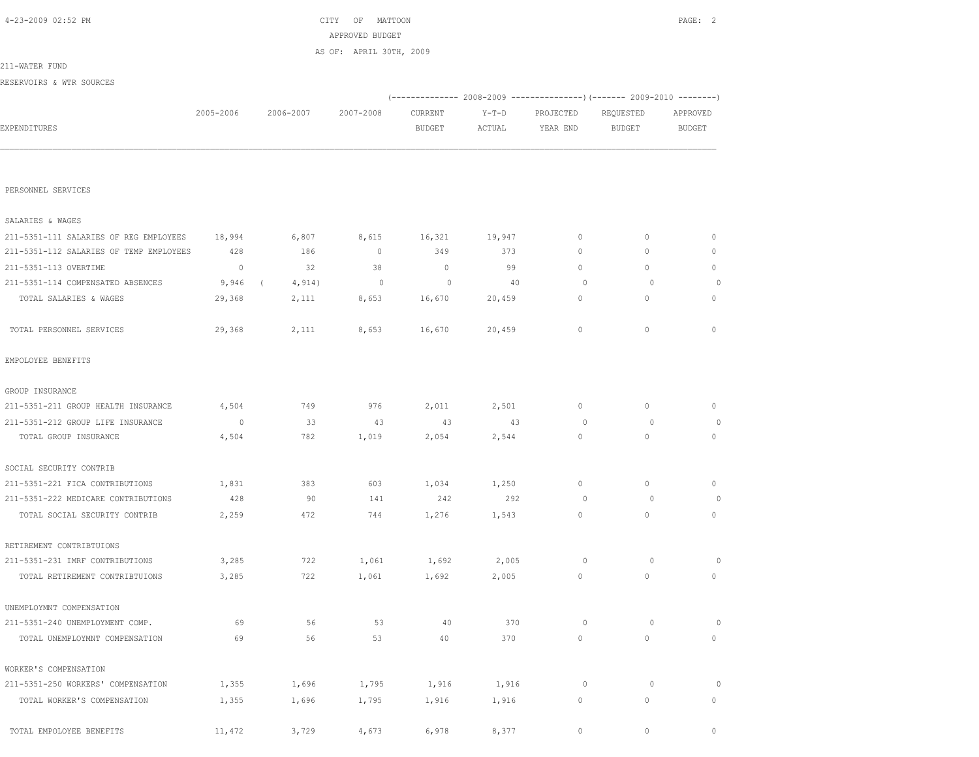| 4-23-2009 02:52 PM                      |                |                      | CITY OF<br>MATTOON      |                          |                   |                       |                                                                        | PAGE: 2                   |
|-----------------------------------------|----------------|----------------------|-------------------------|--------------------------|-------------------|-----------------------|------------------------------------------------------------------------|---------------------------|
|                                         |                |                      | APPROVED BUDGET         |                          |                   |                       |                                                                        |                           |
|                                         |                |                      | AS OF: APRIL 30TH, 2009 |                          |                   |                       |                                                                        |                           |
| 211-WATER FUND                          |                |                      |                         |                          |                   |                       |                                                                        |                           |
| RESERVOIRS & WTR SOURCES                |                |                      |                         |                          |                   |                       |                                                                        |                           |
|                                         |                |                      |                         |                          |                   |                       | (------------- 2008-2009 ---------------) (------- 2009-2010 --------) |                           |
| EXPENDITURES                            | 2005-2006      | 2006-2007            | 2007-2008               | CURRENT<br><b>BUDGET</b> | $Y-T-D$<br>ACTUAL | PROJECTED<br>YEAR END | REQUESTED<br>BUDGET                                                    | APPROVED<br><b>BUDGET</b> |
|                                         |                |                      |                         |                          |                   |                       |                                                                        |                           |
|                                         |                |                      |                         |                          |                   |                       |                                                                        |                           |
|                                         |                |                      |                         |                          |                   |                       |                                                                        |                           |
| PERSONNEL SERVICES                      |                |                      |                         |                          |                   |                       |                                                                        |                           |
|                                         |                |                      |                         |                          |                   |                       |                                                                        |                           |
| SALARIES & WAGES                        |                |                      |                         |                          |                   |                       |                                                                        |                           |
| 211-5351-111 SALARIES OF REG EMPLOYEES  | 18,994         | 6,807                | 8,615                   | 16,321                   | 19,947            | 0                     | $\mathbf 0$                                                            | $\circ$                   |
| 211-5351-112 SALARIES OF TEMP EMPLOYEES | 428            | 186                  | $\mathbf 0$             | 349                      | 373               | 0                     | 0                                                                      | 0                         |
| 211-5351-113 OVERTIME                   | $\overline{0}$ | 32                   | 38                      | $\circ$                  | 99                | 0                     | $\circ$                                                                | 0                         |
| 211-5351-114 COMPENSATED ABSENCES       | 9,946          | 4,914)<br>$\sqrt{2}$ | $\overline{0}$          | $\circ$                  | 40                | $\circ$               | $\circ$                                                                | $\circ$                   |
| TOTAL SALARIES & WAGES                  | 29,368         | 2,111                | 8,653                   | 16,670                   | 20,459            | $\circ$               | $\circ$                                                                | 0                         |
|                                         |                |                      |                         |                          |                   |                       |                                                                        |                           |
| TOTAL PERSONNEL SERVICES                | 29,368         | 2,111                | 8,653                   | 16,670                   | 20,459            | $\circ$               | $\mathbf{0}$                                                           | $\circ$                   |
|                                         |                |                      |                         |                          |                   |                       |                                                                        |                           |
| EMPOLOYEE BENEFITS                      |                |                      |                         |                          |                   |                       |                                                                        |                           |
| GROUP INSURANCE                         |                |                      |                         |                          |                   |                       |                                                                        |                           |
| 211-5351-211 GROUP HEALTH INSURANCE     | 4,504          | 749                  | 976                     | 2,011                    | 2,501             | $\circ$               | $\circ$                                                                | $\circ$                   |
| 211-5351-212 GROUP LIFE INSURANCE       | $\circ$        | 33                   | 43                      | 43                       | 43                | 0                     | $\circ$                                                                | 0                         |
| TOTAL GROUP INSURANCE                   | 4,504          | 782                  | 1,019                   | 2,054                    | 2,544             | $\circ$               | $\circ$                                                                | $\circ$                   |
|                                         |                |                      |                         |                          |                   |                       |                                                                        |                           |
| SOCIAL SECURITY CONTRIB                 |                |                      |                         |                          |                   |                       |                                                                        |                           |
| 211-5351-221 FICA CONTRIBUTIONS         | 1,831          | 383                  | 603                     | 1,034                    | 1,250             | 0                     | $\circ$                                                                | $\circ$                   |
| 211-5351-222 MEDICARE CONTRIBUTIONS     | 428            | 90                   | 141                     | 242                      | 292               | $\circ$               | $\circ$                                                                | $\circ$                   |
| TOTAL SOCIAL SECURITY CONTRIB           | 2,259          | 472                  | 744                     | 1,276                    | 1,543             | 0                     | $\circ$                                                                | $\circ$                   |
|                                         |                |                      |                         |                          |                   |                       |                                                                        |                           |
| RETIREMENT CONTRIBTUIONS                |                |                      |                         |                          |                   |                       |                                                                        |                           |
| 211-5351-231 IMRF CONTRIBUTIONS         | 3,285          | 722                  | 1,061                   | 1,692                    | 2,005             | $\circ$               | $\circ$                                                                | 0                         |
| TOTAL RETIREMENT CONTRIBTUIONS          | 3,285          | 722                  | 1,061                   | 1,692                    | 2,005             | $\circ$               | $\mathbb O$                                                            | $\circ$                   |
| UNEMPLOYMNT COMPENSATION                |                |                      |                         |                          |                   |                       |                                                                        |                           |
|                                         |                |                      |                         |                          |                   | $\circ$               | $\circ$                                                                |                           |
| 211-5351-240 UNEMPLOYMENT COMP.         | 69<br>69       | 56<br>56             | 53<br>53                | 40<br>40                 | 370<br>370        | $\circ$               | $\mathbb O$                                                            | $\circ$<br>0              |
| TOTAL UNEMPLOYMNT COMPENSATION          |                |                      |                         |                          |                   |                       |                                                                        |                           |
| WORKER'S COMPENSATION                   |                |                      |                         |                          |                   |                       |                                                                        |                           |
| 211-5351-250 WORKERS' COMPENSATION      | 1,355          | 1,696                | 1,795                   | 1,916                    | 1,916             | 0                     | $\circ$                                                                | $\circ$                   |
| TOTAL WORKER'S COMPENSATION             | 1,355          | 1,696                | 1,795                   | 1,916                    | 1,916             | 0                     | $\mathbb O$                                                            | $\circ$                   |
|                                         |                |                      |                         |                          |                   |                       |                                                                        |                           |
| TOTAL EMPOLOYEE BENEFITS                | 11,472         | 3,729                | 4,673                   | 6,978                    | 8,377             | $\circ$               | $\mathbb O$                                                            | $\mathbb O$               |
|                                         |                |                      |                         |                          |                   |                       |                                                                        |                           |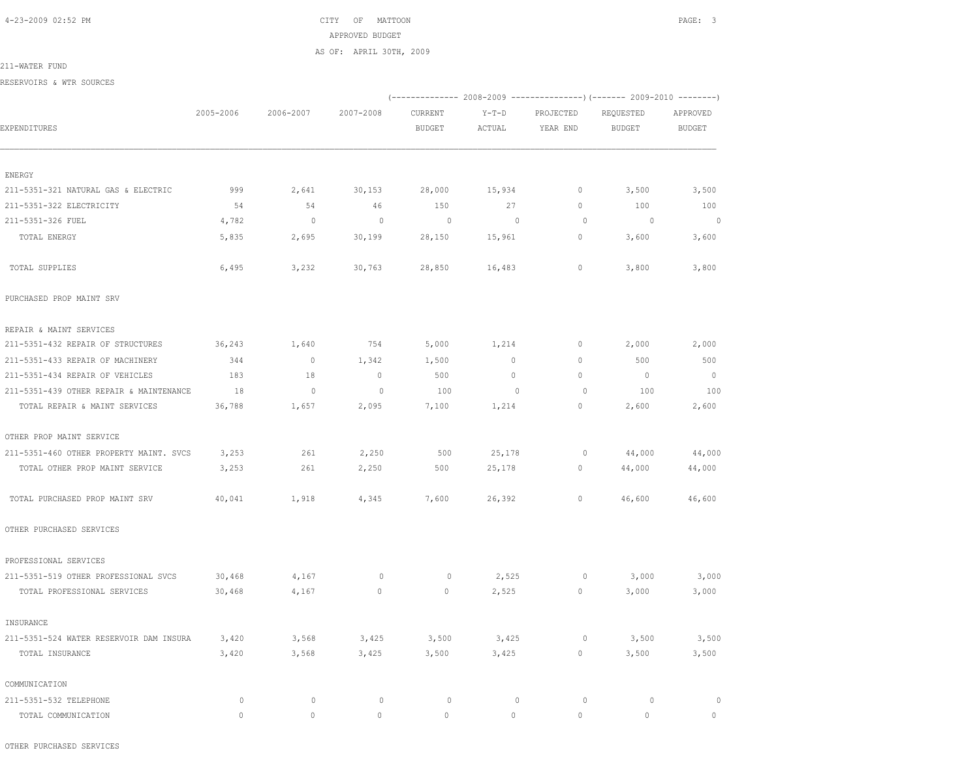4-23-2009 02:52 PM CITY OF MATTOON PAGE: 3 APPROVED BUDGET AS OF: APRIL 30TH, 2009

211-WATER FUND

RESERVOIRS & WTR SOURCES

|                                         |           |                |                          |               |                |           | (-------------- 2008-2009 ----------------) (------- 2009-2010 --------) |                |
|-----------------------------------------|-----------|----------------|--------------------------|---------------|----------------|-----------|--------------------------------------------------------------------------|----------------|
|                                         | 2005-2006 | 2006-2007      | 2007-2008                | CURRENT       | $Y-T-D$        | PROJECTED | REQUESTED                                                                | APPROVED       |
| EXPENDITURES                            |           |                |                          | <b>BUDGET</b> | ACTUAL         | YEAR END  | <b>BUDGET</b>                                                            | <b>BUDGET</b>  |
| ENERGY                                  |           |                |                          |               |                |           |                                                                          |                |
| 211-5351-321 NATURAL GAS & ELECTRIC     | 999       | 2,641          | 30, 153                  | 28,000        | 15,934         | $\circ$   | 3,500                                                                    | 3,500          |
| 211-5351-322 ELECTRICITY                | 54        | 54             | 46                       | 150           | 27             | $\circ$   | 100                                                                      | 100            |
| 211-5351-326 FUEL                       | 4,782     | $\overline{0}$ | $\overline{\phantom{0}}$ | $\circ$       | $\overline{0}$ | $\circ$   | $\circ$                                                                  | $\circ$        |
| TOTAL ENERGY                            | 5,835     | 2,695          | 30,199                   | 28,150        | 15,961         | $\circ$   | 3,600                                                                    | 3,600          |
| TOTAL SUPPLIES                          | 6,495     | 3,232          | 30,763                   | 28,850        | 16,483         | 0         | 3,800                                                                    | 3,800          |
| PURCHASED PROP MAINT SRV                |           |                |                          |               |                |           |                                                                          |                |
| REPAIR & MAINT SERVICES                 |           |                |                          |               |                |           |                                                                          |                |
| 211-5351-432 REPAIR OF STRUCTURES       | 36,243    | 1,640          | 754                      | 5,000         | 1,214          | 0         | 2,000                                                                    | 2,000          |
| 211-5351-433 REPAIR OF MACHINERY        | 344       | $\overline{0}$ | 1,342                    | 1,500         | $\circ$        | 0         | 500                                                                      | 500            |
| 211-5351-434 REPAIR OF VEHICLES         | 183       | 18             | $\overline{0}$           | 500           | $\circ$        | $\circ$   | $\overline{0}$                                                           | $\overline{0}$ |
| 211-5351-439 OTHER REPAIR & MAINTENANCE | 18        | $\mathbb O$    | $\circ$                  | 100           | $\mathbf{0}$   | $\circ$   | 100                                                                      | 100            |
| TOTAL REPAIR & MAINT SERVICES           | 36,788    | 1,657          | 2,095                    | 7,100         | 1,214          | $\circ$   | 2,600                                                                    | 2,600          |
| OTHER PROP MAINT SERVICE                |           |                |                          |               |                |           |                                                                          |                |
| 211-5351-460 OTHER PROPERTY MAINT, SVCS | 3,253     | 261            | 2,250                    | 500           | 25,178         | 0         | 44,000                                                                   | 44,000         |
| TOTAL OTHER PROP MAINT SERVICE          | 3,253     | 261            | 2,250                    | 500           | 25,178         | $\circ$   | 44,000                                                                   | 44,000         |
| TOTAL PURCHASED PROP MAINT SRV          | 40,041    | 1,918          | 4,345                    | 7,600         | 26,392         | 0         | 46,600                                                                   | 46,600         |
| OTHER PURCHASED SERVICES                |           |                |                          |               |                |           |                                                                          |                |
| PROFESSIONAL SERVICES                   |           |                |                          |               |                |           |                                                                          |                |
| 211-5351-519 OTHER PROFESSIONAL SVCS    | 30,468    | 4,167          | $\circ$                  | 0             | 2,525          | $\circ$   | 3,000                                                                    | 3,000          |
| TOTAL PROFESSIONAL SERVICES             | 30,468    | 4,167          | $\circ$                  | $\circ$       | 2,525          | $\circ$   | 3,000                                                                    | 3,000          |
| INSURANCE                               |           |                |                          |               |                |           |                                                                          |                |
| 211-5351-524 WATER RESERVOIR DAM INSURA | 3,420     | 3,568          | 3,425                    | 3,500         | 3,425          | $\circ$   | 3,500                                                                    | 3,500          |
| TOTAL INSURANCE                         | 3,420     | 3,568          | 3,425                    | 3,500         | 3,425          | $\circ$   | 3,500                                                                    | 3,500          |
| COMMUNICATION                           |           |                |                          |               |                |           |                                                                          |                |
| 211-5351-532 TELEPHONE                  | $\circ$   | $\mathbf{0}$   | $\circ$                  | $\circ$       | $\mathbf 0$    | $\circ$   | $\circ$                                                                  | $\circ$        |
| TOTAL COMMUNICATION                     | $\cap$    | $\Omega$       | $\circ$                  | $\Omega$      | $\Omega$       | $\Omega$  | $\Omega$                                                                 | $\circ$        |

OTHER PURCHASED SERVICES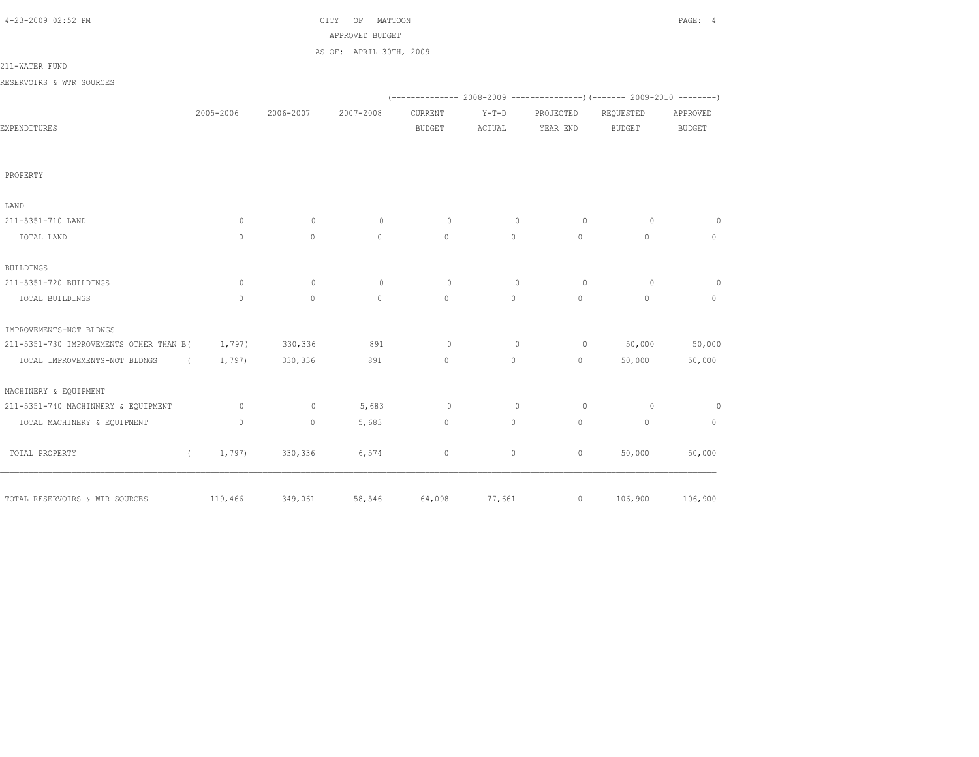| 4-23-2009 02:52 PM |  |  |  |
|--------------------|--|--|--|
|--------------------|--|--|--|

# $CITY$  OF MATTOON PAGE: 4 APPROVED BUDGET

AS OF: APRIL 30TH, 2009

211-WATER FUND

RESERVOIRS & WTR SOURCES

| IWOLING CHING & WIIN DOOINGLO           |                      |           |              |               |         |             |                                                                         |               |
|-----------------------------------------|----------------------|-----------|--------------|---------------|---------|-------------|-------------------------------------------------------------------------|---------------|
|                                         |                      |           |              |               |         |             | (-------------- 2008-2009 ----------------)(------- 2009-2010 --------) |               |
|                                         | 2005-2006            | 2006-2007 | 2007-2008    | CURRENT       | $Y-T-D$ | PROJECTED   | REQUESTED                                                               | APPROVED      |
| EXPENDITURES                            |                      |           |              | <b>BUDGET</b> | ACTUAL  | YEAR END    | <b>BUDGET</b>                                                           | <b>BUDGET</b> |
|                                         |                      |           |              |               |         |             |                                                                         |               |
| PROPERTY                                |                      |           |              |               |         |             |                                                                         |               |
| LAND                                    |                      |           |              |               |         |             |                                                                         |               |
| 211-5351-710 LAND                       | 0                    | $\circ$   | $\circ$      | $\circ$       | $\circ$ | $\circ$     | $\circ$                                                                 | $\circ$       |
| TOTAL LAND                              | $\circ$              | $\circ$   | $\circ$      | $\circ$       | $\circ$ | $\circ$     | $\circ$                                                                 | $\mathbf{0}$  |
| <b>BUILDINGS</b>                        |                      |           |              |               |         |             |                                                                         |               |
| 211-5351-720 BUILDINGS                  | 0                    | $\circ$   | $\circ$      | $\circ$       | $\circ$ | $\circ$     | $\circ$                                                                 | $\circ$       |
| TOTAL BUILDINGS                         | $\circ$              | $\circ$   | $\mathbf{0}$ | $\circ$       | $\circ$ | $\circ$     | $\mathbf{0}$                                                            | $\mathbf{0}$  |
| IMPROVEMENTS-NOT BLDNGS                 |                      |           |              |               |         |             |                                                                         |               |
| 211-5351-730 IMPROVEMENTS OTHER THAN B( | 1,797)               | 330,336   | 891          | $\circ$       | $\circ$ | $\circ$     | 50,000                                                                  | 50,000        |
| TOTAL IMPROVEMENTS-NOT BLDNGS           | 1,797)<br>$\sqrt{2}$ | 330,336   | 891          | $\mathbb O$   | $\circ$ | $\circ$     | 50,000                                                                  | 50,000        |
| MACHINERY & EQUIPMENT                   |                      |           |              |               |         |             |                                                                         |               |
| 211-5351-740 MACHINNERY & EQUIPMENT     | $\circ$              | $\circ$   | 5,683        | $\circ$       | $\circ$ | $\circ$     | $\circ$                                                                 | $\circ$       |
| TOTAL MACHINERY & EQUIPMENT             | $\circ$              | $\circ$   | 5,683        | $\mathbb O$   | $\circ$ | $\mathbb O$ | $\mathbf{0}$                                                            | $\mathbf{0}$  |
| TOTAL PROPERTY                          | 1,797)<br>$\sqrt{2}$ | 330,336   | 6,574        | $\mathbf 0$   | $\circ$ | $\circ$     | 50,000                                                                  | 50,000        |
| TOTAL RESERVOIRS & WTR SOURCES          | 119,466              | 349,061   | 58,546       | 64,098        | 77,661  | $\circ$     | 106,900                                                                 | 106,900       |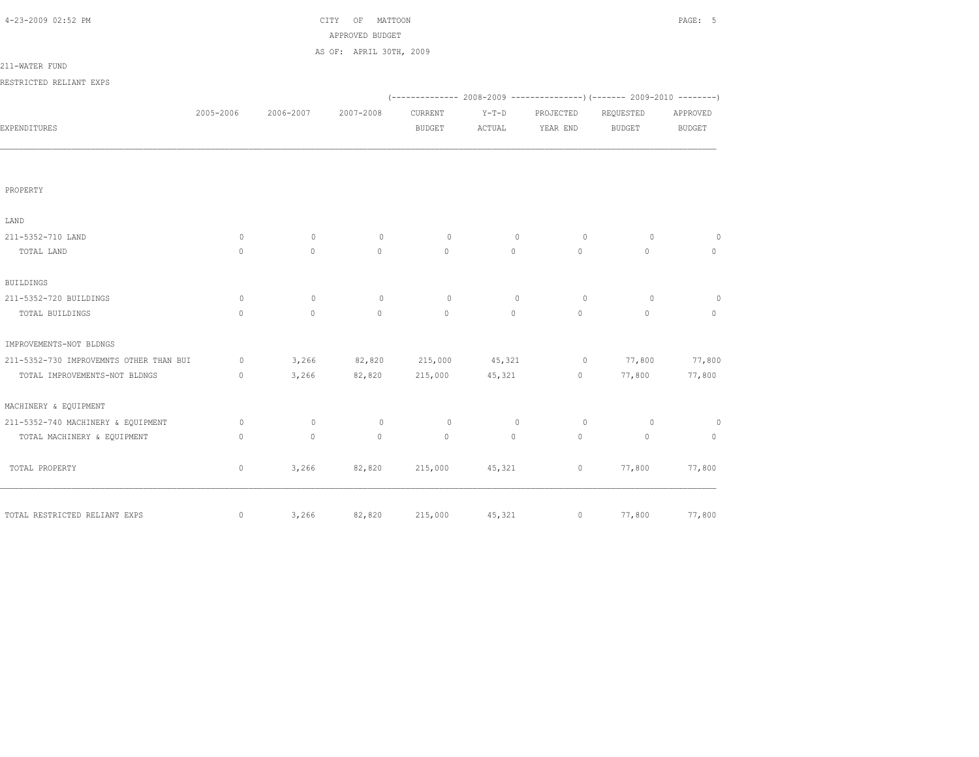| 4-23-2009 02:52 PM                      |              |              | CITY OF MATTOON         |                |                |                | PAGE: 5                  |                |
|-----------------------------------------|--------------|--------------|-------------------------|----------------|----------------|----------------|--------------------------|----------------|
|                                         |              |              | APPROVED BUDGET         |                |                |                |                          |                |
|                                         |              |              | AS OF: APRIL 30TH, 2009 |                |                |                |                          |                |
| 211-WATER FUND                          |              |              |                         |                |                |                |                          |                |
| RESTRICTED RELIANT EXPS                 |              |              |                         |                |                |                |                          |                |
|                                         |              |              |                         |                |                |                |                          |                |
|                                         | 2005-2006    | 2006-2007    | 2007-2008               | CURRENT        | $Y-T-D$        | PROJECTED      | REQUESTED                | APPROVED       |
| EXPENDITURES                            |              |              |                         | <b>BUDGET</b>  | ACTUAL         | YEAR END       | <b>BUDGET</b>            | <b>BUDGET</b>  |
|                                         |              |              |                         |                |                |                |                          |                |
| PROPERTY                                |              |              |                         |                |                |                |                          |                |
| LAND                                    |              |              |                         |                |                |                |                          |                |
| 211-5352-710 LAND                       | 0            | $\circ$      | $\circ$                 | $\circ$        | $\circ$        | $\circ$        | $\circ$                  | $\circ$        |
| TOTAL LAND                              | $\mathbf{0}$ | $\circ$      | $\circ$                 | $\circ$        | $\circ$        | $\circ$        | $\mathbf{0}$             | $\circ$        |
| <b>BUILDINGS</b>                        |              |              |                         |                |                |                |                          |                |
| 211-5352-720 BUILDINGS                  | $\circ$      | $\circ$      | $\circ$                 | $\circ$        | $\mathbf{0}$   | $\circ$        | $\circ$                  | $\circ$        |
| TOTAL BUILDINGS                         | $\mathbf{0}$ | $\mathbf{0}$ | $\circ$                 | $\mathbf{0}$   | $\circ$        | $\circ$        | $\mathbf{0}$             | $\circ$        |
| IMPROVEMENTS-NOT BLDNGS                 |              |              |                         |                |                |                |                          |                |
| 211-5352-730 IMPROVEMNTS OTHER THAN BUI | $\circ$      |              | 3,266 82,820            | 215,000 45,321 |                |                | $0 \t 77,800$            | 77,800         |
| TOTAL IMPROVEMENTS-NOT BLDNGS           | $\circ$      | 3,266        | 82,820                  | 215,000        | 45,321         |                | 77,800<br>$\overline{0}$ | 77,800         |
| MACHINERY & EQUIPMENT                   |              |              |                         |                |                |                |                          |                |
| 211-5352-740 MACHINERY & EQUIPMENT      | 0            | $\circ$      | $\mathbb O$             | $\circ$        | $\circ$        | $\overline{0}$ | $\circ$                  | $\overline{0}$ |
| TOTAL MACHINERY & EQUIPMENT             | $\mathbf{0}$ | $\circ$      | $\circ$                 | $\circ$        | $\circ$        | $\circ$        | $\mathbf{0}$             | $\circ$        |
| TOTAL PROPERTY                          | $\circ$      |              | 3,266 82,820            |                | 215,000 45,321 |                | 77,800                   | 77,800         |
|                                         |              |              |                         |                |                |                |                          |                |
| TOTAL RESTRICTED RELIANT EXPS           | $\mathbf{0}$ | 3,266        | 82,820                  | 215,000        | 45,321         | $\circ$        | 77,800                   | 77,800         |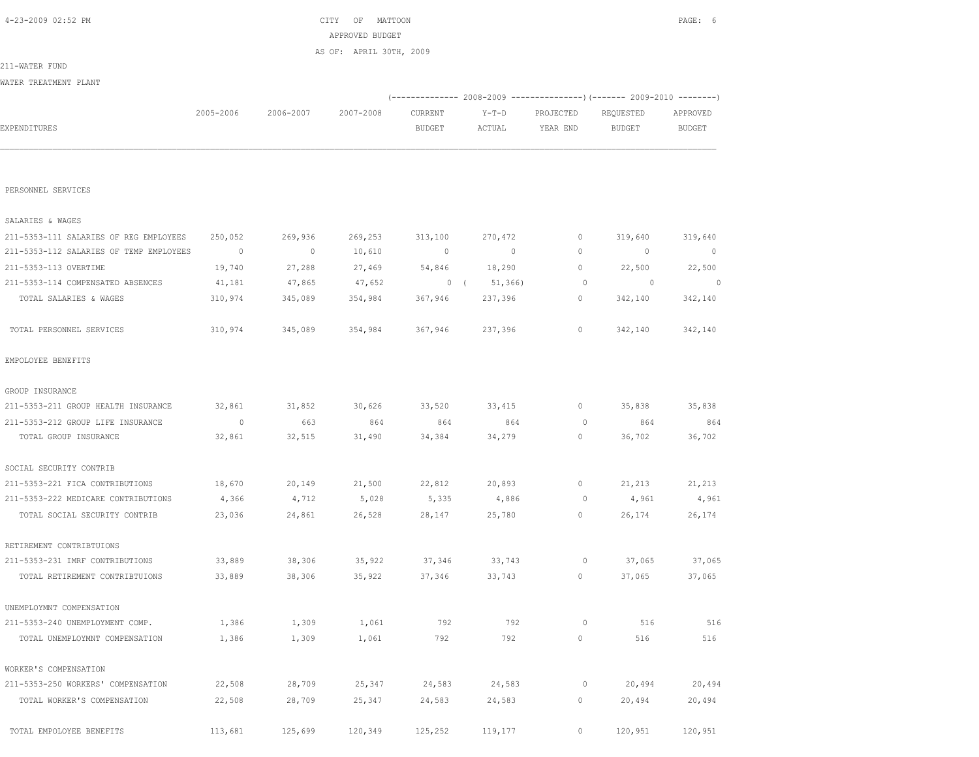|                                         |                |           | APPROVED BUDGET         |               |                                                                           |                |           |               |
|-----------------------------------------|----------------|-----------|-------------------------|---------------|---------------------------------------------------------------------------|----------------|-----------|---------------|
| 211-WATER FUND                          |                |           | AS OF: APRIL 30TH, 2009 |               |                                                                           |                |           |               |
| WATER TREATMENT PLANT                   |                |           |                         |               |                                                                           |                |           |               |
|                                         |                |           |                         |               | (-------------- 2008-2009 ----------------) (------- 2009-2010 ---------) |                |           |               |
|                                         | 2005-2006      | 2006-2007 | 2007-2008               | CURRENT       | $Y-T-D$                                                                   | PROJECTED      | REQUESTED | APPROVED      |
| EXPENDITURES                            |                |           |                         | <b>BUDGET</b> | ACTUAL                                                                    | YEAR END       | BUDGET    | <b>BUDGET</b> |
|                                         |                |           |                         |               |                                                                           |                |           |               |
|                                         |                |           |                         |               |                                                                           |                |           |               |
| PERSONNEL SERVICES                      |                |           |                         |               |                                                                           |                |           |               |
| SALARIES & WAGES                        |                |           |                         |               |                                                                           |                |           |               |
| 211-5353-111 SALARIES OF REG EMPLOYEES  | 250,052        | 269,936   | 269,253                 | 313,100       | 270,472                                                                   | $\circ$        | 319,640   | 319,640       |
| 211-5353-112 SALARIES OF TEMP EMPLOYEES | $\overline{0}$ | $\sim$ 0  | 10,610                  | $\sim$ 0      | $\sim$ 0                                                                  | $\circ$        | $\sim$ 0  | $\circ$       |
| 211-5353-113 OVERTIME                   | 19,740         | 27,288    | 27,469                  | 54,846        | 18,290                                                                    | $\circ$        | 22,500    | 22,500        |
| 211-5353-114 COMPENSATED ABSENCES       | 41,181         | 47,865    | 47,652                  |               | $0 \quad (51, 366)$                                                       | $\overline{0}$ | $\sim$ 0  | $\sim$ 0      |
| TOTAL SALARIES & WAGES                  | 310,974        | 345,089   | 354,984                 | 367,946       | 237,396                                                                   | $\circ$        | 342,140   | 342,140       |
| TOTAL PERSONNEL SERVICES                | 310,974        | 345,089   | 354,984                 | 367,946       | 237,396                                                                   | $\circ$        | 342,140   | 342,140       |
| EMPOLOYEE BENEFITS                      |                |           |                         |               |                                                                           |                |           |               |
| GROUP INSURANCE                         |                |           |                         |               |                                                                           |                |           |               |
| 211-5353-211 GROUP HEALTH INSURANCE     | 32,861         | 31,852    | 30,626                  | 33,520        | 33,415                                                                    | $\circ$        | 35,838    | 35,838        |
| 211-5353-212 GROUP LIFE INSURANCE       | $\overline{0}$ | 663       | 864                     | 864           | 864                                                                       | $\circ$        | 864       | 864           |
| TOTAL GROUP INSURANCE                   | 32,861         | 32,515    | 31,490                  | 34,384        | 34,279                                                                    | $\circ$        | 36,702    | 36,702        |
| SOCIAL SECURITY CONTRIB                 |                |           |                         |               |                                                                           |                |           |               |
| 211-5353-221 FICA CONTRIBUTIONS         | 18,670         | 20,149    | 21,500                  | 22,812        | 20,893                                                                    | 0              | 21,213    | 21,213        |
| 211-5353-222 MEDICARE CONTRIBUTIONS     | 4,366          | 4,712     | 5,028                   | 5,335         | 4,886                                                                     |                | 0 $4,961$ | 4,961         |
| TOTAL SOCIAL SECURITY CONTRIB           | 23,036         | 24,861    | 26,528                  | 28,147        | 25,780                                                                    | $\overline{0}$ | 26,174    | 26,174        |
| RETIREMENT CONTRIBTUIONS                |                |           |                         |               |                                                                           |                |           |               |
| 211-5353-231 IMRF CONTRIBUTIONS         | 33,889         | 38,306    | 35,922                  |               | 37,346 33,743                                                             | $\overline{0}$ | 37,065    | 37,065        |
| TOTAL RETIREMENT CONTRIBTUIONS          | 33,889         | 38,306    | 35,922                  | 37,346        | 33,743                                                                    | $\sim$ 0       | 37,065    | 37,065        |
| UNEMPLOYMNT COMPENSATION                |                |           |                         |               |                                                                           |                |           |               |
| 211-5353-240 UNEMPLOYMENT COMP.         | 1,386          | 1,309     | 1,061                   | 792           | 792                                                                       | $\circ$        | 516       | 516           |
| TOTAL UNEMPLOYMNT COMPENSATION          | 1,386          | 1,309     | 1,061                   | 792           | 792                                                                       | $\circ$        | 516       | 516           |
| WORKER'S COMPENSATION                   |                |           |                         |               |                                                                           |                |           |               |
| 211-5353-250 WORKERS' COMPENSATION      | 22,508         | 28,709    | 25,347                  | 24,583        | 24,583                                                                    | 0              | 20,494    | 20,494        |
| TOTAL WORKER'S COMPENSATION             | 22,508         | 28,709    | 25,347                  | 24,583        | 24,583                                                                    | 0              | 20,494    | 20,494        |
| TOTAL EMPOLOYEE BENEFITS                | 113,681        | 125,699   | 120,349                 | 125,252       | 119,177                                                                   | 0              | 120,951   | 120,951       |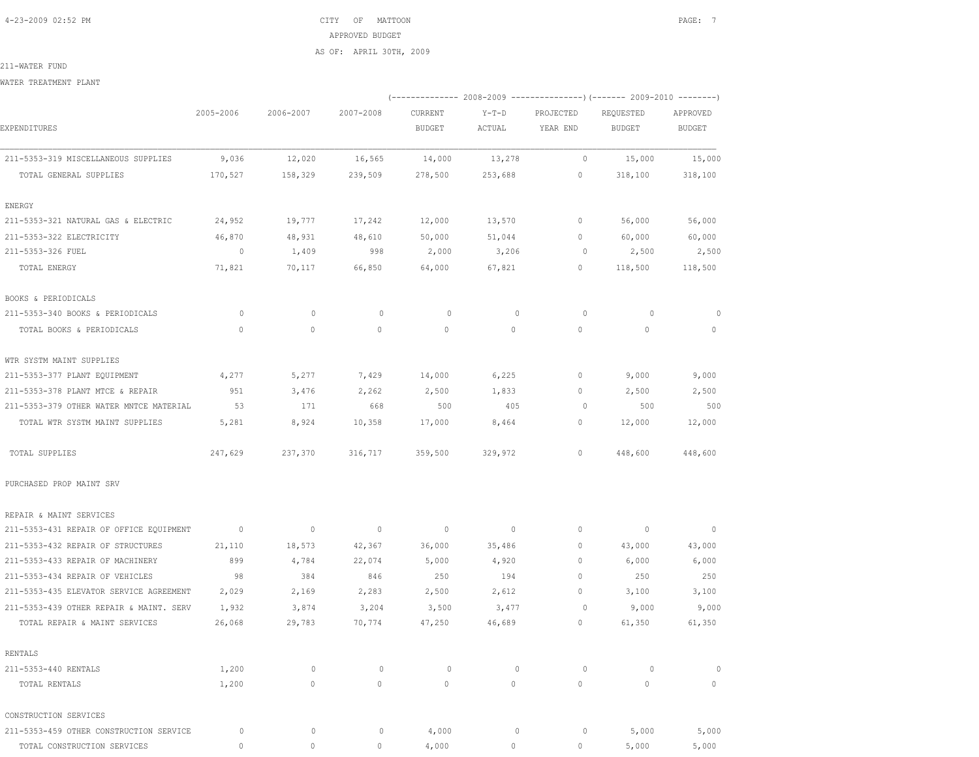4-23-2009 02:52 PM CITY OF MATTOON PAGE: 7 APPROVED BUDGET AS OF: APRIL 30TH, 2009

211-WATER FUND

WATER TREATMENT PLANT

|                                         |                |                          |                |             |                          |              | (-------------- 2008-2009 ----------------) (------- 2009-2010 --------) |                |
|-----------------------------------------|----------------|--------------------------|----------------|-------------|--------------------------|--------------|--------------------------------------------------------------------------|----------------|
|                                         | 2005-2006      | 2006-2007                | 2007-2008      | CURRENT     | $Y-T-D$                  | PROJECTED    | REQUESTED                                                                | APPROVED       |
| EXPENDITURES                            |                |                          |                | BUDGET      | ACTUAL                   | YEAR END     | <b>BUDGET</b>                                                            | <b>BUDGET</b>  |
| 211-5353-319 MISCELLANEOUS SUPPLIES     | 9,036          | 12,020                   | 16,565         | 14,000      | 13,278                   | $\circ$      | 15,000                                                                   | 15,000         |
| TOTAL GENERAL SUPPLIES                  | 170,527        | 158,329                  | 239,509        | 278,500     | 253,688                  | $\circ$      | 318,100                                                                  | 318,100        |
| ENERGY                                  |                |                          |                |             |                          |              |                                                                          |                |
| 211-5353-321 NATURAL GAS & ELECTRIC     | 24,952         | 19,777                   | 17,242         | 12,000      | 13,570                   | $\mathbf{0}$ | 56,000                                                                   | 56,000         |
| 211-5353-322 ELECTRICITY                | 46,870         | 48,931                   | 48,610         | 50,000      | 51,044                   | $\circ$      | 60,000                                                                   | 60,000         |
| 211-5353-326 FUEL                       | $\overline{0}$ | 1,409                    | 998            | 2,000       | 3,206                    | 0            | 2,500                                                                    | 2,500          |
| TOTAL ENERGY                            | 71,821         | 70,117                   | 66,850         | 64,000      | 67,821                   | $\circ$      | 118,500                                                                  | 118,500        |
| BOOKS & PERIODICALS                     |                |                          |                |             |                          |              |                                                                          |                |
| 211-5353-340 BOOKS & PERIODICALS        | $\circ$        | $\mathbf{0}$             | $\circ$        | $\circ$     | $\mathbf{0}$             | 0            | $\circ$                                                                  | $\circ$        |
| TOTAL BOOKS & PERIODICALS               | $\circ$        | 0                        | $\mathbf{0}$   | $\mathbf 0$ | 0                        | $\circ$      | $\circ$                                                                  | 0              |
| WTR SYSTM MAINT SUPPLIES                |                |                          |                |             |                          |              |                                                                          |                |
| 211-5353-377 PLANT EQUIPMENT            | 4,277          | 5,277                    | 7,429          | 14,000      | 6,225                    | 0            | 9,000                                                                    | 9,000          |
| 211-5353-378 PLANT MTCE & REPAIR        | 951            | 3,476                    | 2,262          | 2,500       | 1,833                    | $\circ$      | 2,500                                                                    | 2,500          |
| 211-5353-379 OTHER WATER MNTCE MATERIAL | 53             | 171                      | 668            | 500         | 405                      | $\circ$      | 500                                                                      | 500            |
| TOTAL WTR SYSTM MAINT SUPPLIES          | 5,281          | 8,924                    | 10,358         | 17,000      | 8,464                    | $\circ$      | 12,000                                                                   | 12,000         |
| TOTAL SUPPLIES                          | 247,629        | 237,370                  | 316,717        | 359,500     | 329,972                  | $\circ$      | 448,600                                                                  | 448,600        |
| PURCHASED PROP MAINT SRV                |                |                          |                |             |                          |              |                                                                          |                |
| REPAIR & MAINT SERVICES                 |                |                          |                |             |                          |              |                                                                          |                |
| 211-5353-431 REPAIR OF OFFICE EQUIPMENT | $\sim$ 0       | $\overline{\phantom{0}}$ | $\overline{0}$ | $\circ$     | $\overline{\phantom{0}}$ | 0            | $\overline{\phantom{0}}$                                                 | $\overline{0}$ |
| 211-5353-432 REPAIR OF STRUCTURES       | 21,110         | 18,573                   | 42,367         | 36,000      | 35,486                   | $\circ$      | 43,000                                                                   | 43,000         |
| 211-5353-433 REPAIR OF MACHINERY        | 899            | 4,784                    | 22,074         | 5,000       | 4,920                    | $\mathbf{0}$ | 6,000                                                                    | 6,000          |
| 211-5353-434 REPAIR OF VEHICLES         | 98             | 384                      | 846            | 250         | 194                      | $\mathbf{0}$ | 250                                                                      | 250            |
| 211-5353-435 ELEVATOR SERVICE AGREEMENT | 2,029          | 2,169                    | 2,283          | 2,500       | 2,612                    | $\circ$      | 3,100                                                                    | 3,100          |
| 211-5353-439 OTHER REPAIR & MAINT. SERV | 1,932          | 3,874                    | 3,204          | 3,500       | 3,477                    | 0            | 9,000                                                                    | 9,000          |
| TOTAL REPAIR & MAINT SERVICES           | 26,068         | 29,783                   | 70,774         | 47,250      | 46,689                   | 0            | 61,350                                                                   | 61,350         |
| <b>RENTALS</b>                          |                |                          |                |             |                          |              |                                                                          |                |
| 211-5353-440 RENTALS                    | 1,200          | $\circ$                  | $\circ$        | 0           | $\mathbf 0$              | $\circ$      | $\circ$                                                                  | 0              |
| TOTAL RENTALS                           | 1,200          | $\circ$                  | $\mathbf{0}$   | $\circ$     | $\circ$                  | $\circ$      | $\mathbf{0}$                                                             | $\mathbb O$    |
| CONSTRUCTION SERVICES                   |                |                          |                |             |                          |              |                                                                          |                |
| 211-5353-459 OTHER CONSTRUCTION SERVICE | $\circ$        | $\circ$                  | $\circ$        | 4,000       | $\mathbb O$              | $\circ$      | 5,000                                                                    | 5,000          |
| TOTAL CONSTRUCTION SERVICES             | $\circ$        | $\mathbb O$              | $\circ$        | 4,000       | $\circ$                  | $\circ$      | 5,000                                                                    | 5,000          |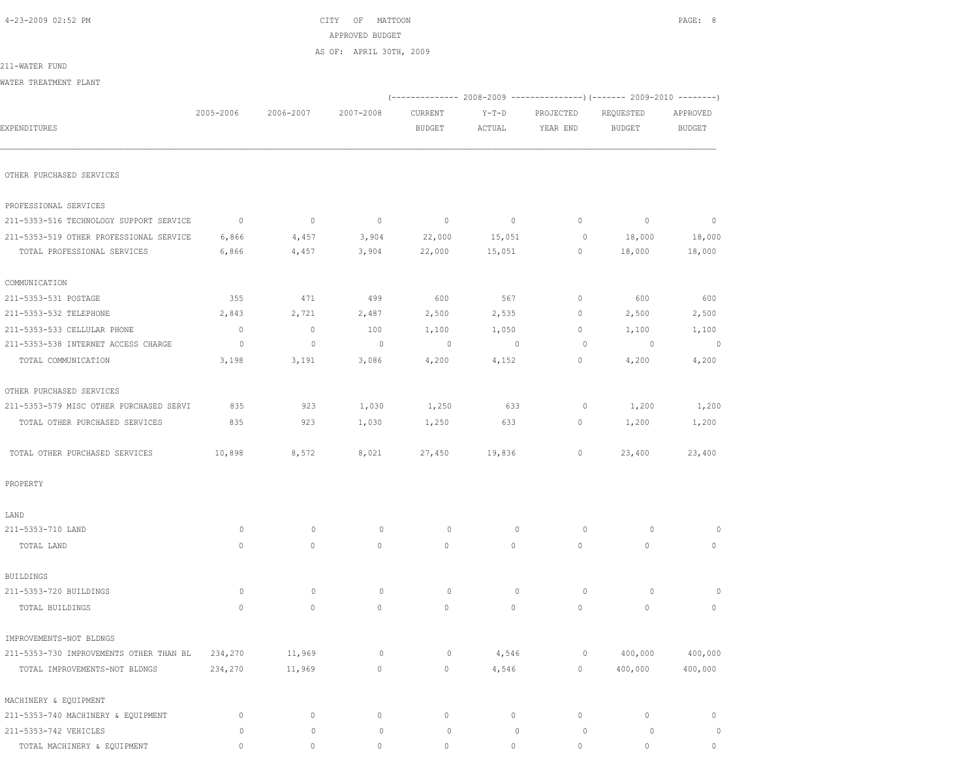|--|

 $\begin{array}{ccc} \text{CITY} & \text{OF} & \text{MATTOON} \end{array}$  APPROVED BUDGET AS OF: APRIL 30TH, 2009

211-WATER FUND

| WATER TREATMENT PLANT                   |                          |             |                |                          |                   |                       |                                                                                                        |                           |
|-----------------------------------------|--------------------------|-------------|----------------|--------------------------|-------------------|-----------------------|--------------------------------------------------------------------------------------------------------|---------------------------|
| EXPENDITURES                            | 2005-2006                | 2006-2007   | 2007-2008      | CURRENT<br><b>BUDGET</b> | $Y-T-D$<br>ACTUAL | PROJECTED<br>YEAR END | (-------------- 2008-2009 ----------------) (------- 2009-2010 --------)<br>REQUESTED<br><b>BUDGET</b> | APPROVED<br><b>BUDGET</b> |
|                                         |                          |             |                |                          |                   |                       |                                                                                                        |                           |
| OTHER PURCHASED SERVICES                |                          |             |                |                          |                   |                       |                                                                                                        |                           |
| PROFESSIONAL SERVICES                   |                          |             |                |                          |                   |                       |                                                                                                        |                           |
| 211-5353-516 TECHNOLOGY SUPPORT SERVICE | $\overline{\phantom{0}}$ | $\circ$     | $\overline{0}$ | $\circ$                  | $\circ$           | 0                     | $\circ$                                                                                                | $\circ$                   |
| 211-5353-519 OTHER PROFESSIONAL SERVICE | 6,866                    | 4,457       | 3,904          | 22,000                   | 15,051            | 0                     | 18,000                                                                                                 | 18,000                    |
| TOTAL PROFESSIONAL SERVICES             | 6,866                    | 4,457       | 3,904          | 22,000                   | 15,051            | 0                     | 18,000                                                                                                 | 18,000                    |
| COMMUNICATION                           |                          |             |                |                          |                   |                       |                                                                                                        |                           |
| 211-5353-531 POSTAGE                    | 355                      | 471         | 499            | 600                      | 567               | 0                     | 600                                                                                                    | 600                       |
| 211-5353-532 TELEPHONE                  | 2,843                    | 2,721       | 2,487          | 2,500                    | 2,535             | 0                     | 2,500                                                                                                  | 2,500                     |
| 211-5353-533 CELLULAR PHONE             | $\mathbb O$              | $\circ$     | 100            | 1,100                    | 1,050             | 0                     | 1,100                                                                                                  | 1,100                     |
| 211-5353-538 INTERNET ACCESS CHARGE     | 0                        | $\mathbf 0$ | $\circ$        | $\circ$                  | $\overline{0}$    | 0                     | $\circ$                                                                                                | 0                         |
| TOTAL COMMUNICATION                     | 3,198                    | 3,191       | 3,086          | 4,200                    | 4,152             | 0                     | 4,200                                                                                                  | 4,200                     |
| OTHER PURCHASED SERVICES                |                          |             |                |                          |                   |                       |                                                                                                        |                           |
| 211-5353-579 MISC OTHER PURCHASED SERVI | 835                      | 923         | 1,030          | 1,250                    | 633               | 0                     | 1,200                                                                                                  | 1,200                     |
| TOTAL OTHER PURCHASED SERVICES          | 835                      | 923         | 1,030          | 1,250                    | 633               | 0                     | 1,200                                                                                                  | 1,200                     |
| TOTAL OTHER PURCHASED SERVICES          | 10,898                   | 8,572       | 8,021          | 27,450                   | 19,836            | 0                     | 23,400                                                                                                 | 23,400                    |
| PROPERTY                                |                          |             |                |                          |                   |                       |                                                                                                        |                           |
| LAND                                    |                          |             |                |                          |                   |                       |                                                                                                        |                           |
| 211-5353-710 LAND                       | 0                        | $\mathbf 0$ | 0              | 0                        | $\mathbf 0$       | 0                     | $\circ$                                                                                                | $\Omega$                  |
| TOTAL LAND                              | $\circ$                  | $\circ$     | $\mathbb O$    | 0                        | $\circ$           | $\circ$               | $\circ$                                                                                                | 0                         |
| BUILDINGS                               |                          |             |                |                          |                   |                       |                                                                                                        |                           |
| 211-5353-720 BUILDINGS                  | 0                        | $\mathbf 0$ | 0              | $\circ$                  | $\mathbf 0$       | 0                     | 0                                                                                                      | $\Omega$                  |
| TOTAL BUILDINGS                         | $\circ$                  | $\circ$     | $\circ$        | 0                        | 0                 | $\circ$               | $\circ$                                                                                                | 0                         |
| IMPROVEMENTS-NOT BLDNGS                 |                          |             |                |                          |                   |                       |                                                                                                        |                           |
| 211-5353-730 IMPROVEMENTS OTHER THAN BL | 234,270                  | 11,969      | 0              | 0                        | 4,546             | 0                     | 400,000                                                                                                | 400,000                   |
| TOTAL IMPROVEMENTS-NOT BLDNGS           | 234,270                  | 11,969      | $\circ$        | 0                        | 4,546             | $\circ$               | 400,000                                                                                                | 400,000                   |
| MACHINERY & EQUIPMENT                   |                          |             |                |                          |                   |                       |                                                                                                        |                           |
| 211-5353-740 MACHINERY & EQUIPMENT      | $\circ$                  | $\circ$     | $\circ$        | $\circ$                  | $\circ$           | $\circ$               | $\mathbb O$                                                                                            | $\circ$                   |
| 211-5353-742 VEHICLES                   | $\circ$                  | $\mathbb O$ | $\mathbb O$    | $\mathbb O$              | $\mathbb O$       | $\mathbb O$           | $\circ$                                                                                                | $\circ$                   |

TOTAL MACHINERY & EQUIPMENT 0 0 0 0 0 0 0 0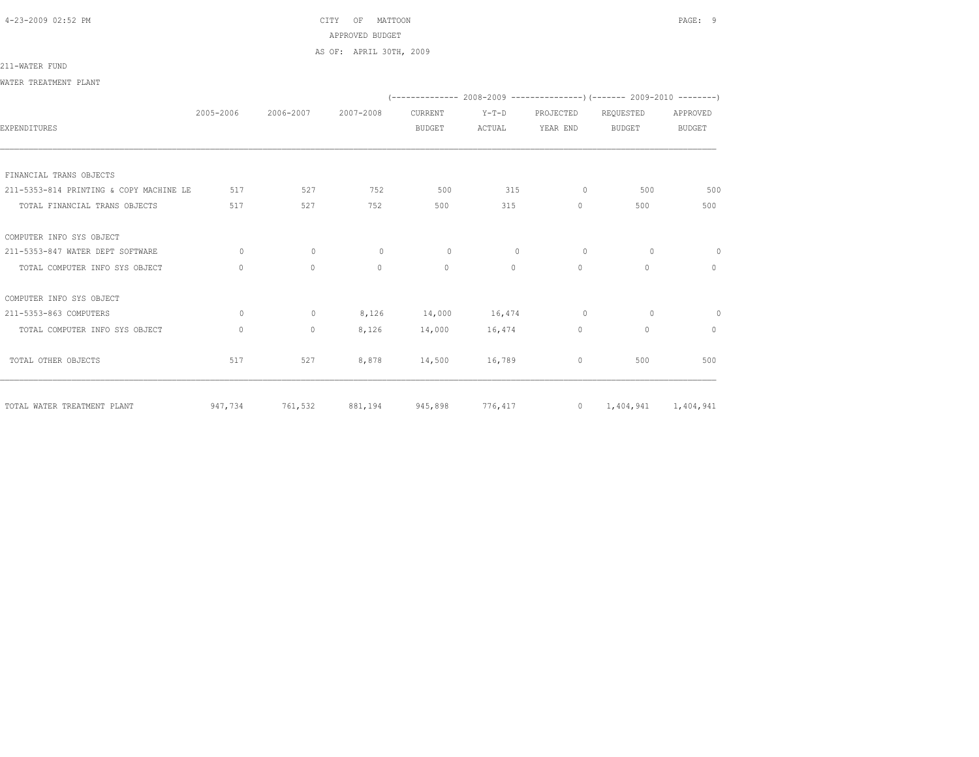4-23-2009 02:52 PM CITY OF MATTOON PAGE: 9 APPROVED BUDGET AS OF: APRIL 30TH, 2009

### 211-WATER FUND

WATER TREATMENT PLANT

|                                         |           |              |           |               |          |              | $(-----1008-2008-2009)$ $[-----1008-2009]$ |               |
|-----------------------------------------|-----------|--------------|-----------|---------------|----------|--------------|--------------------------------------------|---------------|
|                                         | 2005-2006 | 2006-2007    | 2007-2008 | CURRENT       | $Y-T-D$  | PROJECTED    | REQUESTED                                  | APPROVED      |
| <b>EXPENDITURES</b>                     |           |              |           | <b>BUDGET</b> | ACTUAL   | YEAR END     | <b>BUDGET</b>                              | <b>BUDGET</b> |
|                                         |           |              |           |               |          |              |                                            |               |
|                                         |           |              |           |               |          |              |                                            |               |
| FINANCIAL TRANS OBJECTS                 |           |              |           |               |          |              |                                            |               |
| 211-5353-814 PRINTING & COPY MACHINE LE | 517       | 527          | 752       | 500           | 315      | $\circ$      | 500                                        | 500           |
| TOTAL FINANCIAL TRANS OBJECTS           | 517       | 527          | 752       | 500           | 315      | $\circ$      | 500                                        | 500           |
| COMPUTER INFO SYS OBJECT                |           |              |           |               |          |              |                                            |               |
| 211-5353-847 WATER DEPT SOFTWARE        | $\circ$   | 0            | $\circ$   | $\circ$       | $\circ$  | 0            | $\circ$                                    | $\circ$       |
| TOTAL COMPUTER INFO SYS OBJECT          | $\Omega$  | $\Omega$     | $\Omega$  | $\Omega$      | $\Omega$ | $\Omega$     | $\Omega$                                   | $\Omega$      |
| COMPUTER INFO SYS OBJECT                |           |              |           |               |          |              |                                            |               |
| 211-5353-863 COMPUTERS                  | $\circ$   | $\mathbf{0}$ | 8,126     | 14,000        | 16,474   | $\circ$      | $\circ$                                    | $\circ$       |
| TOTAL COMPUTER INFO SYS OBJECT          | $\circ$   | 0            | 8,126     | 14,000        | 16,474   | $\circ$      | $\mathbb O$                                | $\circ$       |
| TOTAL OTHER OBJECTS                     | 517       | 527          | 8,878     | 14,500        | 16,789   | $\mathbf{0}$ | 500                                        | 500           |
| TOTAL WATER TREATMENT PLANT             | 947,734   | 761,532      | 881,194   | 945,898       | 776,417  |              | 0 $1,404,941$ $1,404,941$                  |               |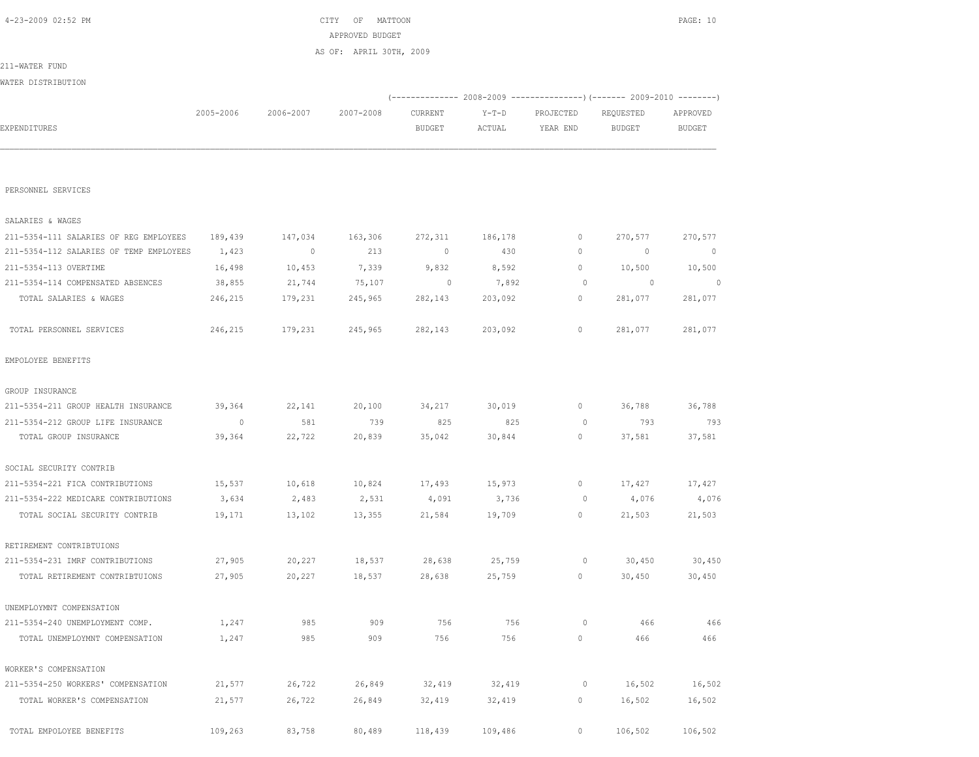|                                         |           |           |           |               |         |                | (------------- 2008-2009 ---------------) (------- 2009-2010 -------) |                |
|-----------------------------------------|-----------|-----------|-----------|---------------|---------|----------------|-----------------------------------------------------------------------|----------------|
|                                         | 2005-2006 | 2006-2007 | 2007-2008 | CURRENT       | $Y-T-D$ | PROJECTED      | REQUESTED                                                             | APPROVED       |
| EXPENDITURES                            |           |           |           | <b>BUDGET</b> | ACTUAL  | YEAR END       | <b>BUDGET</b>                                                         | <b>BUDGET</b>  |
|                                         |           |           |           |               |         |                |                                                                       |                |
| PERSONNEL SERVICES                      |           |           |           |               |         |                |                                                                       |                |
| SALARIES & WAGES                        |           |           |           |               |         |                |                                                                       |                |
| 211-5354-111 SALARIES OF REG EMPLOYEES  | 189,439   | 147,034   | 163,306   | 272,311       | 186,178 | 0              | 270,577                                                               | 270,577        |
| 211-5354-112 SALARIES OF TEMP EMPLOYEES | 1,423     | $\sim$ 0  | 213       | $\sim$ 0      | 430     | 0              | $\overline{\phantom{0}}$                                              | $\overline{0}$ |
| 211-5354-113 OVERTIME                   | 16,498    | 10,453    | 7,339     | 9,832         | 8,592   | 0              | 10,500                                                                | 10,500         |
| 211-5354-114 COMPENSATED ABSENCES       | 38,855    | 21,744    | 75,107    | $\circ$       | 7,892   | 0              | $\sim$ 0                                                              | $\sim$ 0       |
| TOTAL SALARIES & WAGES                  | 246,215   | 179,231   | 245,965   | 282,143       | 203,092 | $\circ$        | 281,077                                                               | 281,077        |
| TOTAL PERSONNEL SERVICES                | 246,215   | 179,231   | 245,965   | 282,143       | 203,092 | 0              | 281,077                                                               | 281,077        |
| EMPOLOYEE BENEFITS                      |           |           |           |               |         |                |                                                                       |                |
| GROUP INSURANCE                         |           |           |           |               |         |                |                                                                       |                |
| 211-5354-211 GROUP HEALTH INSURANCE     | 39,364    | 22,141    | 20,100    | 34,217        | 30,019  | $\circ$        | 36,788                                                                | 36,788         |
| 211-5354-212 GROUP LIFE INSURANCE       | $\sim$ 0  | 581       | 739       | 825           | 825     | $\circ$        | 793                                                                   | 793            |
| TOTAL GROUP INSURANCE                   | 39,364    | 22,722    | 20,839    | 35,042        | 30,844  | $\circ$        | 37,581                                                                | 37,581         |
| SOCIAL SECURITY CONTRIB                 |           |           |           |               |         |                |                                                                       |                |
| 211-5354-221 FICA CONTRIBUTIONS         | 15,537    | 10,618    | 10,824    | 17,493        | 15,973  | $\circ$        | 17,427                                                                | 17,427         |
| 211-5354-222 MEDICARE CONTRIBUTIONS     | 3,634     | 2,483     | 2,531     | 4,091         | 3,736   | $\circ$        | 4,076                                                                 | 4,076          |
| TOTAL SOCIAL SECURITY CONTRIB           | 19,171    | 13,102    | 13,355    | 21,584        | 19,709  | $\circ$        | 21,503                                                                | 21,503         |
| RETIREMENT CONTRIBTUIONS                |           |           |           |               |         |                |                                                                       |                |
| 211-5354-231 IMRF CONTRIBUTIONS         | 27,905    | 20,227    | 18,537    | 28,638        | 25,759  | 0              | 30,450                                                                | 30,450         |
| TOTAL RETIREMENT CONTRIBTUIONS          | 27,905    | 20,227    | 18,537    | 28,638        | 25,759  | $\overline{0}$ | 30,450                                                                | 30,450         |
| UNEMPLOYMNT COMPENSATION                |           |           |           |               |         |                |                                                                       |                |
| 211-5354-240 UNEMPLOYMENT COMP.         | 1,247     | 985       | 909       | 756           | 756     | 0              | 466                                                                   | 466            |
| TOTAL UNEMPLOYMNT COMPENSATION          | 1,247     | 985       | 909       | 756           | 756     | $\circ$        | 466                                                                   | 466            |
| WORKER'S COMPENSATION                   |           |           |           |               |         |                |                                                                       |                |
| 211-5354-250 WORKERS' COMPENSATION      | 21,577    | 26,722    | 26,849    | 32,419        | 32,419  | 0              | 16,502                                                                | 16,502         |
| TOTAL WORKER'S COMPENSATION             | 21,577    | 26,722    | 26,849    | 32,419        | 32,419  | $\circ$        | 16,502                                                                | 16,502         |
| TOTAL EMPOLOYEE BENEFITS                | 109,263   | 83,758    | 80,489    | 118,439       | 109,486 | $\circ$        | 106,502                                                               | 106,502        |

 APPROVED BUDGET AS OF: APRIL 30TH, 2009

211-WATER FUND WATER DISTRIBUTION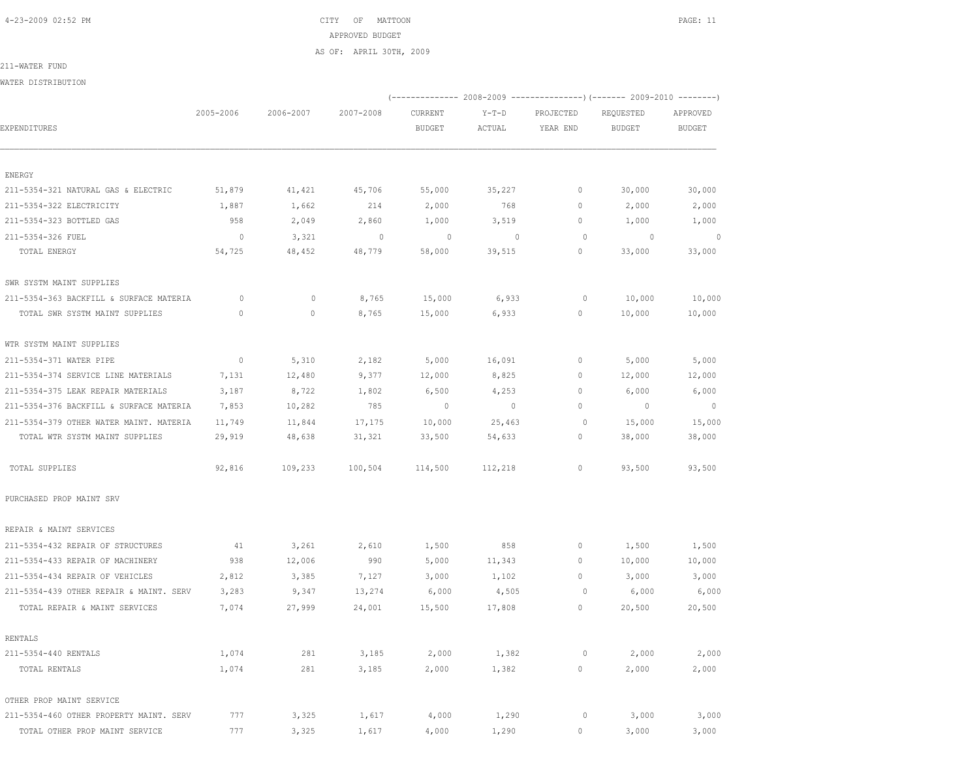4-23-2009 02:52 PM CITY OF MATTOON PAGE: 11 APPROVED BUDGET AS OF: APRIL 30TH, 2009

211-WATER FUND

WATER DISTRIBUTION

|                                         |                |              |           |                |                |           | (-------------- 2008-2009 ---------------) (------ 2009-2010 --------) |                |
|-----------------------------------------|----------------|--------------|-----------|----------------|----------------|-----------|------------------------------------------------------------------------|----------------|
|                                         | 2005-2006      | 2006-2007    | 2007-2008 | CURRENT        | $Y-T-D$        | PROJECTED | REQUESTED                                                              | APPROVED       |
| EXPENDITURES                            |                |              |           | <b>BUDGET</b>  | ACTUAL         | YEAR END  | <b>BUDGET</b>                                                          | <b>BUDGET</b>  |
|                                         |                |              |           |                |                |           |                                                                        |                |
| ENERGY                                  |                |              |           |                |                |           |                                                                        |                |
| 211-5354-321 NATURAL GAS & ELECTRIC     | 51,879         | 41,421       | 45,706    | 55,000         | 35,227         | $\circ$   | 30,000                                                                 | 30,000         |
| 211-5354-322 ELECTRICITY                | 1,887          | 1,662        | 214       | 2,000          | 768            | $\circ$   | 2,000                                                                  | 2,000          |
| 211-5354-323 BOTTLED GAS                | 958            | 2,049        | 2,860     | 1,000          | 3,519          | 0         | 1,000                                                                  | 1,000          |
| 211-5354-326 FUEL                       | $\overline{0}$ | 3,321        | $\circ$   | $\circ$        | $\mathbf{0}$   | $\circ$   | $\circ$                                                                | $\Omega$       |
| TOTAL ENERGY                            | 54,725         | 48,452       | 48,779    | 58,000         | 39,515         | $\circ$   | 33,000                                                                 | 33,000         |
| SWR SYSTM MAINT SUPPLIES                |                |              |           |                |                |           |                                                                        |                |
| 211-5354-363 BACKFILL & SURFACE MATERIA | $\circ$        | $\mathbf{0}$ | 8,765     | 15,000         | 6,933          | 0         | 10,000                                                                 | 10,000         |
| TOTAL SWR SYSTM MAINT SUPPLIES          | $\Omega$       | $\circ$      | 8,765     | 15,000         | 6,933          | 0         | 10,000                                                                 | 10,000         |
| WTR SYSTM MAINT SUPPLIES                |                |              |           |                |                |           |                                                                        |                |
| 211-5354-371 WATER PIPE                 | $\circ$        | 5,310        | 2,182     | 5,000          | 16,091         | 0         | 5,000                                                                  | 5,000          |
| 211-5354-374 SERVICE LINE MATERIALS     | 7,131          | 12,480       | 9,377     | 12,000         | 8,825          | 0         | 12,000                                                                 | 12,000         |
| 211-5354-375 LEAK REPAIR MATERIALS      | 3,187          | 8,722        | 1,802     | 6,500          | 4,253          | 0         | 6,000                                                                  | 6,000          |
| 211-5354-376 BACKFILL & SURFACE MATERIA | 7,853          | 10,282       | 785       | $\overline{0}$ | $\overline{0}$ | 0         | $\circ$                                                                | $\overline{0}$ |
| 211-5354-379 OTHER WATER MAINT. MATERIA | 11,749         | 11,844       | 17,175    | 10,000         | 25,463         | $\circ$   | 15,000                                                                 | 15,000         |
| TOTAL WTR SYSTM MAINT SUPPLIES          | 29,919         | 48,638       | 31,321    | 33,500         | 54,633         | 0         | 38,000                                                                 | 38,000         |
| TOTAL SUPPLIES                          | 92,816         | 109,233      | 100,504   | 114,500        | 112,218        | 0         | 93,500                                                                 | 93,500         |
| PURCHASED PROP MAINT SRV                |                |              |           |                |                |           |                                                                        |                |
| REPAIR & MAINT SERVICES                 |                |              |           |                |                |           |                                                                        |                |
| 211-5354-432 REPAIR OF STRUCTURES       | 41             | 3,261        | 2,610     | 1,500          | 858            | 0         | 1,500                                                                  | 1,500          |
| 211-5354-433 REPAIR OF MACHINERY        | 938            | 12,006       | 990       | 5,000          | 11,343         | 0         | 10,000                                                                 | 10,000         |
| 211-5354-434 REPAIR OF VEHICLES         | 2,812          | 3,385        | 7,127     | 3,000          | 1,102          | 0         | 3,000                                                                  | 3,000          |
| 211-5354-439 OTHER REPAIR & MAINT. SERV | 3,283          | 9,347        | 13,274    | 6,000          | 4,505          | $\circ$   | 6,000                                                                  | 6,000          |
| TOTAL REPAIR & MAINT SERVICES           | 7,074          | 27,999       | 24,001    | 15,500         | 17,808         | 0         | 20,500                                                                 | 20,500         |
| RENTALS                                 |                |              |           |                |                |           |                                                                        |                |
| 211-5354-440 RENTALS                    | 1,074          | 281          | 3,185     | 2,000          | 1,382          | $\circ$   | 2,000                                                                  | 2,000          |
| TOTAL RENTALS                           | 1,074          | 281          | 3,185     | 2,000          | 1,382          | 0         | 2,000                                                                  | 2,000          |
| OTHER PROP MAINT SERVICE                |                |              |           |                |                |           |                                                                        |                |
| 211-5354-460 OTHER PROPERTY MAINT. SERV | 777            | 3,325        | 1,617     | 4,000          | 1,290          | $\circ$   | 3,000                                                                  | 3,000          |

TOTAL OTHER PROP MAINT SERVICE 777 3,325 1,617 4,000 1,290 0 3,000 3,000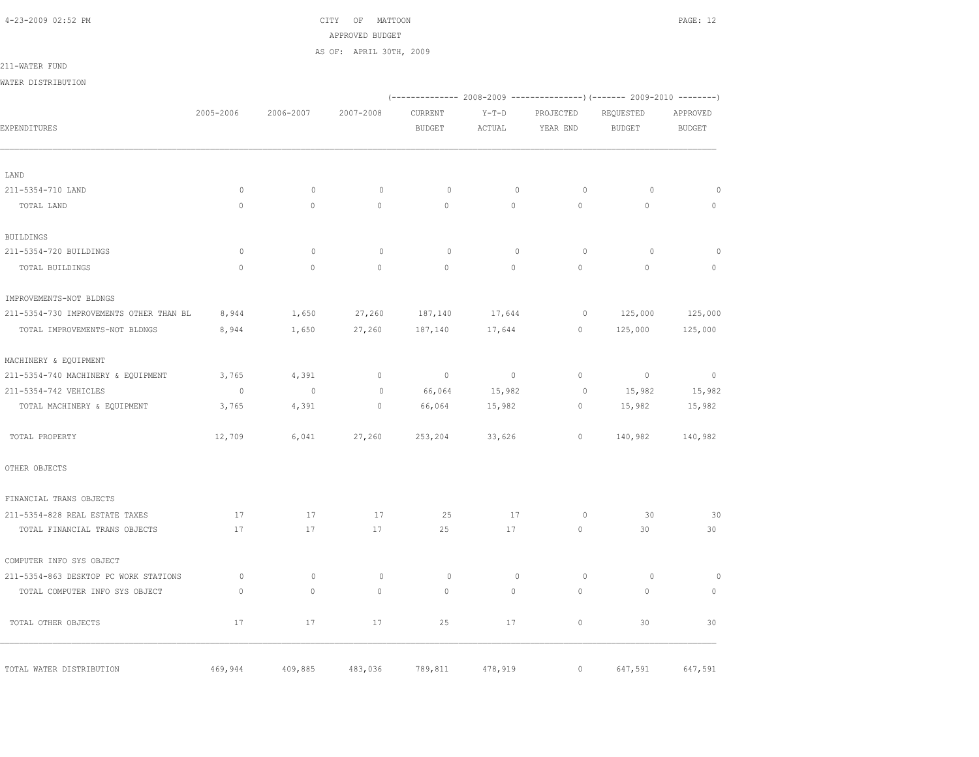4-23-2009 02:52 PM CITY OF MATTOON PAGE: 12 APPROVED BUDGET AS OF: APRIL 30TH, 2009

211-WATER FUND

WATER DISTRIBUTION

|                                         |                          |              |             |                |              | (-------------- 2008-2009 ----------------) (------- 2009-2010 --------) |                |                          |
|-----------------------------------------|--------------------------|--------------|-------------|----------------|--------------|--------------------------------------------------------------------------|----------------|--------------------------|
|                                         | 2005-2006                | 2006-2007    | 2007-2008   | CURRENT        | $Y-T-D$      | PROJECTED                                                                | REQUESTED      | APPROVED                 |
| EXPENDITURES                            |                          |              |             | <b>BUDGET</b>  | ACTUAL       | YEAR END                                                                 | <b>BUDGET</b>  | <b>BUDGET</b>            |
| LAND                                    |                          |              |             |                |              |                                                                          |                |                          |
| 211-5354-710 LAND                       | $\circ$                  | $\circ$      | $\circ$     | $\circ$        | $\mathbf{0}$ | $\circ$                                                                  | $\circ$        | $\circ$                  |
| TOTAL LAND                              | $\mathbb O$              | $\circ$      | $\circ$     | $\circ$        | $\circ$      | $\circ$                                                                  | $\circ$        | $\circ$                  |
| <b>BUILDINGS</b>                        |                          |              |             |                |              |                                                                          |                |                          |
| 211-5354-720 BUILDINGS                  | $\Omega$                 | $\Omega$     | $\circ$     | $\Omega$       | $\Omega$     | $\Omega$                                                                 | $\Omega$       | $\Omega$                 |
| TOTAL BUILDINGS                         | $\mathbf{0}$             | $\Omega$     | $\circ$     | $\circ$        | $\circ$      | $\circ$                                                                  | $\circ$        | $\circ$                  |
| IMPROVEMENTS-NOT BLDNGS                 |                          |              |             |                |              |                                                                          |                |                          |
| 211-5354-730 IMPROVEMENTS OTHER THAN BL | 8,944                    | 1,650        | 27,260      | 187,140        | 17,644       | $\circ$                                                                  | 125,000        | 125,000                  |
| TOTAL IMPROVEMENTS-NOT BLDNGS           | 8,944                    | 1,650        | 27,260      | 187,140        | 17,644       | $\circ$                                                                  | 125,000        | 125,000                  |
| MACHINERY & EQUIPMENT                   |                          |              |             |                |              |                                                                          |                |                          |
| 211-5354-740 MACHINERY & EQUIPMENT      | 3,765                    | 4,391        | $\circ$     | $\overline{0}$ | $\sim$ 0     | $\circ$                                                                  | $\overline{0}$ | $\overline{\phantom{0}}$ |
| 211-5354-742 VEHICLES                   | $\overline{\phantom{0}}$ | $\circ$      | $\mathbb O$ | 66,064         | 15,982       | $\circ$                                                                  | 15,982         | 15,982                   |
| TOTAL MACHINERY & EQUIPMENT             | 3,765                    | 4,391        | $\circ$     | 66,064         | 15,982       | $\circ$                                                                  | 15,982         | 15,982                   |
| TOTAL PROPERTY                          | 12,709                   | 6,041        | 27,260      | 253,204        | 33,626       | $\circ$                                                                  | 140,982        | 140,982                  |
| OTHER OBJECTS                           |                          |              |             |                |              |                                                                          |                |                          |
| FINANCIAL TRANS OBJECTS                 |                          |              |             |                |              |                                                                          |                |                          |
| 211-5354-828 REAL ESTATE TAXES          | 17                       | 17           | 17          | 25             | 17           | 0                                                                        | 30             | 30                       |
| TOTAL FINANCIAL TRANS OBJECTS           | 17                       | 17           | 17          | 25             | 17           | $\mathbf{0}$                                                             | 30             | 30                       |
| COMPUTER INFO SYS OBJECT                |                          |              |             |                |              |                                                                          |                |                          |
| 211-5354-863 DESKTOP PC WORK STATIONS   | $\circ$                  | $\mathbf{0}$ | $\circ$     | $\circ$        | $\mathbf{0}$ | $\circ$                                                                  | $\circ$        | $\circ$                  |
| TOTAL COMPUTER INFO SYS OBJECT          | $\mathbf{0}$             | $\mathbf{0}$ | $\circ$     | $\mathbf{0}$   | 0            | $\mathbf{0}$                                                             | $\mathbf{0}$   | $\mathbf{0}$             |
| TOTAL OTHER OBJECTS                     | 17                       | 17           | 17          | 25             | 17           | $\circ$                                                                  | 30             | 30                       |
| TOTAL WATER DISTRIBUTION                | 469,944                  | 409,885      | 483,036     | 789,811        | 478,919      | $\circ$                                                                  | 647,591        | 647,591                  |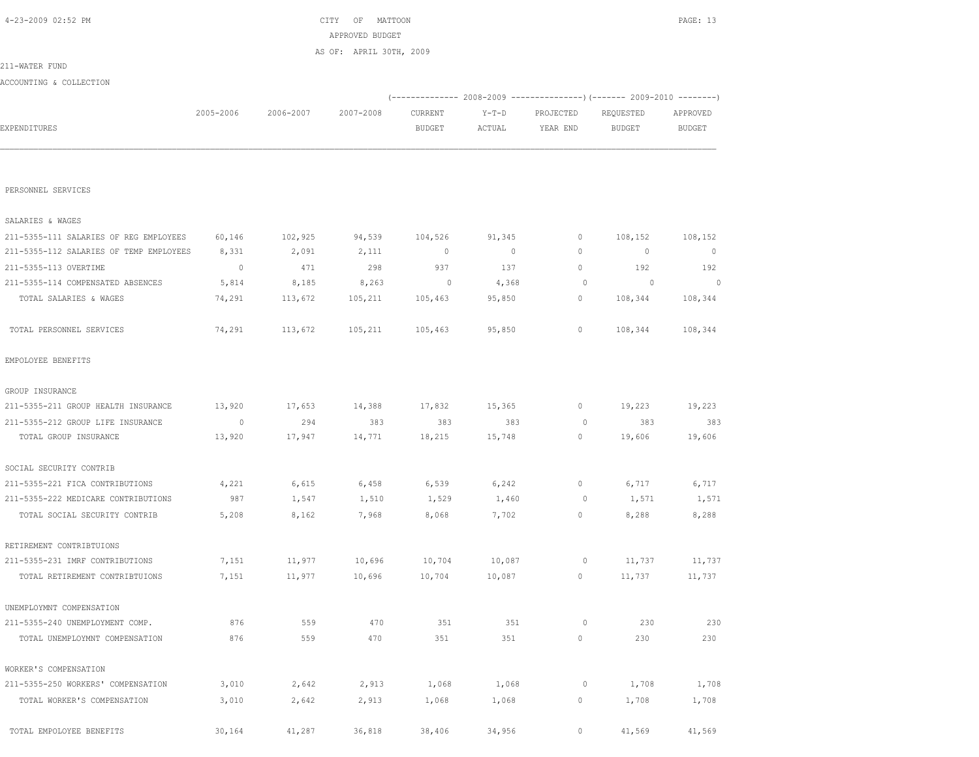|                                         |                |           |           | (------------- 2008-2009 ---------------) (------- 2009-2010 --------) |                |              |                          |                |  |  |
|-----------------------------------------|----------------|-----------|-----------|------------------------------------------------------------------------|----------------|--------------|--------------------------|----------------|--|--|
|                                         | 2005-2006      | 2006-2007 | 2007-2008 | CURRENT                                                                | $Y-T-D$        | PROJECTED    | REQUESTED                | APPROVED       |  |  |
| EXPENDITURES                            |                |           |           | <b>BUDGET</b>                                                          | ACTUAL         | YEAR END     | <b>BUDGET</b>            | <b>BUDGET</b>  |  |  |
|                                         |                |           |           |                                                                        |                |              |                          |                |  |  |
| PERSONNEL SERVICES                      |                |           |           |                                                                        |                |              |                          |                |  |  |
| SALARIES & WAGES                        |                |           |           |                                                                        |                |              |                          |                |  |  |
| 211-5355-111 SALARIES OF REG EMPLOYEES  | 60,146         | 102,925   | 94,539    | 104,526                                                                | 91,345         | $\mathbf{0}$ | 108,152                  | 108,152        |  |  |
| 211-5355-112 SALARIES OF TEMP EMPLOYEES | 8,331          | 2,091     | 2,111     | $\mathbf 0$                                                            | $\overline{0}$ | $\circ$      | $\circ$                  | $\circ$        |  |  |
| 211-5355-113 OVERTIME                   | $\overline{0}$ | 471       | 298       | 937                                                                    | 137            | $\circ$      | 192                      | 192            |  |  |
| 211-5355-114 COMPENSATED ABSENCES       | 5,814          | 8,185     | 8,263     | $\circ$                                                                | 4,368          | $\circ$      | $\overline{\phantom{0}}$ | $\overline{0}$ |  |  |
| TOTAL SALARIES & WAGES                  | 74,291         | 113,672   | 105,211   | 105,463                                                                | 95,850         | $\circ$      | 108,344                  | 108,344        |  |  |
| TOTAL PERSONNEL SERVICES                | 74,291         | 113,672   | 105,211   | 105,463                                                                | 95,850         | $\circ$      | 108,344                  | 108,344        |  |  |
| EMPOLOYEE BENEFITS                      |                |           |           |                                                                        |                |              |                          |                |  |  |
| GROUP INSURANCE                         |                |           |           |                                                                        |                |              |                          |                |  |  |
| 211-5355-211 GROUP HEALTH INSURANCE     | 13,920         | 17,653    | 14,388    | 17,832                                                                 | 15,365         | $\circ$      | 19,223                   | 19,223         |  |  |
| 211-5355-212 GROUP LIFE INSURANCE       | $\overline{0}$ | 294       | 383       | 383                                                                    | 383            | $\circ$      | 383                      | 383            |  |  |
| TOTAL GROUP INSURANCE                   | 13,920         | 17,947    | 14,771    | 18,215                                                                 | 15,748         | $\circ$      | 19,606                   | 19,606         |  |  |
| SOCIAL SECURITY CONTRIB                 |                |           |           |                                                                        |                |              |                          |                |  |  |
| 211-5355-221 FICA CONTRIBUTIONS         | 4,221          | 6,615     | 6,458     | 6,539                                                                  | 6,242          | $\circ$      | 6,717                    | 6,717          |  |  |
| 211-5355-222 MEDICARE CONTRIBUTIONS     | 987            | 1,547     | 1,510     | 1,529                                                                  | 1,460          | 0            | 1,571                    | 1,571          |  |  |
| TOTAL SOCIAL SECURITY CONTRIB           | 5,208          | 8,162     | 7,968     | 8,068                                                                  | 7,702          | 0            | 8,288                    | 8,288          |  |  |
| RETIREMENT CONTRIBTUIONS                |                |           |           |                                                                        |                |              |                          |                |  |  |
| 211-5355-231 IMRF CONTRIBUTIONS         | 7,151          | 11,977    | 10,696    | 10,704                                                                 | 10,087         | 0            | 11,737                   | 11,737         |  |  |
| TOTAL RETIREMENT CONTRIBTUIONS          | 7,151          | 11,977    | 10,696    | 10,704                                                                 | 10,087         | 0            | 11,737                   | 11,737         |  |  |
| UNEMPLOYMNT COMPENSATION                |                |           |           |                                                                        |                |              |                          |                |  |  |
| 211-5355-240 UNEMPLOYMENT COMP.         | 876            | 559       | 470       | 351                                                                    | 351            | 0            | 230                      | 230            |  |  |
| TOTAL UNEMPLOYMNT COMPENSATION          | 876            | 559       | 470       | 351                                                                    | 351            | $\circ$      | 230                      | 230            |  |  |
| WORKER'S COMPENSATION                   |                |           |           |                                                                        |                |              |                          |                |  |  |
| 211-5355-250 WORKERS' COMPENSATION      | 3,010          | 2,642     | 2,913     | 1,068                                                                  | 1,068          | 0            | 1,708                    | 1,708          |  |  |
| TOTAL WORKER'S COMPENSATION             | 3,010          | 2,642     | 2,913     | 1,068                                                                  | 1,068          | 0            | 1,708                    | 1,708          |  |  |
| TOTAL EMPOLOYEE BENEFITS                | 30,164         | 41,287    | 36,818    | 38,406                                                                 | 34,956         | $\circ$      | 41,569                   | 41,569         |  |  |

ACCOUNTING & COLLECTION

211-WATER FUND

 4-23-2009 02:52 PM CITY OF MATTOON PAGE: 13 APPROVED BUDGET

AS OF: APRIL 30TH, 2009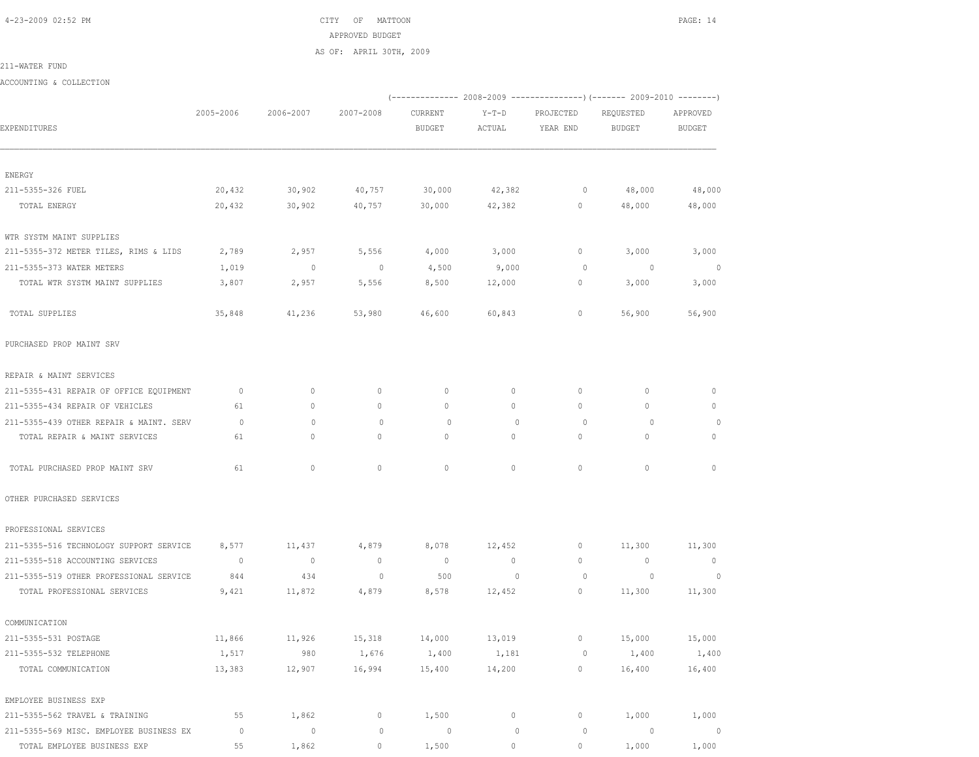4-23-2009 02:52 PM CITY OF MATTOON PAGE: 14 APPROVED BUDGET AS OF: APRIL 30TH, 2009

211-WATER FUND

ACCOUNTING & COLLECTION

|                                         |                |                |                |                |                |              | (------------- 2008-2009 ---------------) (------- 2009-2010 --------) |                |
|-----------------------------------------|----------------|----------------|----------------|----------------|----------------|--------------|------------------------------------------------------------------------|----------------|
|                                         | 2005-2006      | 2006-2007      | 2007-2008      | CURRENT        | $Y-T-D$        | PROJECTED    | REQUESTED                                                              | APPROVED       |
| EXPENDITURES                            |                |                |                | <b>BUDGET</b>  | ACTUAL         | YEAR END     | BUDGET                                                                 | BUDGET         |
|                                         |                |                |                |                |                |              |                                                                        |                |
| ENERGY                                  |                |                |                |                |                |              |                                                                        |                |
| 211-5355-326 FUEL                       | 20,432         | 30,902         | 40,757         | 30,000         | 42,382         | $\circ$      | 48,000                                                                 | 48,000         |
| TOTAL ENERGY                            | 20,432         | 30,902         | 40,757         | 30,000         | 42,382         | $\circ$      | 48,000                                                                 | 48,000         |
| WTR SYSTM MAINT SUPPLIES                |                |                |                |                |                |              |                                                                        |                |
| 211-5355-372 METER TILES, RIMS & LIDS   | 2,789          | 2,957          | 5,556          | 4,000          | 3,000          | 0            | 3,000                                                                  | 3,000          |
| 211-5355-373 WATER METERS               | 1,019          | $\circ$        | $\sim$ 0       | 4,500          | 9,000          | $\circ$      | $\sim$ 0                                                               | $\circ$        |
| TOTAL WTR SYSTM MAINT SUPPLIES          | 3,807          | 2,957          | 5,556          | 8,500          | 12,000         | 0            | 3,000                                                                  | 3,000          |
| TOTAL SUPPLIES                          | 35,848         | 41,236         | 53,980         | 46,600         | 60,843         | 0            | 56,900                                                                 | 56,900         |
| PURCHASED PROP MAINT SRV                |                |                |                |                |                |              |                                                                        |                |
| REPAIR & MAINT SERVICES                 |                |                |                |                |                |              |                                                                        |                |
| 211-5355-431 REPAIR OF OFFICE EQUIPMENT | $\circ$        | 0              | 0              | $\mathbf{0}$   | $\circ$        | $\mathbf{0}$ | $\mathbf{0}$                                                           | $\mathbf{0}$   |
| 211-5355-434 REPAIR OF VEHICLES         | 61             | $\mathbf{0}$   | $\mathbf{0}$   | $\circ$        | $\circ$        | 0            | $\mathbf{0}$                                                           | $\mathbf 0$    |
| 211-5355-439 OTHER REPAIR & MAINT. SERV | $\circ$        | $\mathbf{0}$   | 0              | $\circ$        | $\mathbf{0}$   | $\circ$      | $\circ$                                                                | $\circ$        |
| TOTAL REPAIR & MAINT SERVICES           | 61             | $\circ$        | $\mathbf{0}$   | $\mathbf{0}$   | $\circ$        | $\circ$      | $\mathbf{0}$                                                           | $\mathbf{0}$   |
| TOTAL PURCHASED PROP MAINT SRV          | 61             | $\circ$        | $\circ$        | $\mathbf{0}$   | $\circ$        | $\circ$      | $\mathbf{0}$                                                           | $\circ$        |
| OTHER PURCHASED SERVICES                |                |                |                |                |                |              |                                                                        |                |
| PROFESSIONAL SERVICES                   |                |                |                |                |                |              |                                                                        |                |
| 211-5355-516 TECHNOLOGY SUPPORT SERVICE | 8,577          | 11,437         | 4,879          | 8,078          | 12,452         | $\circ$      | 11,300                                                                 | 11,300         |
| 211-5355-518 ACCOUNTING SERVICES        | $\overline{0}$ | $\overline{0}$ | $\overline{0}$ | $\overline{0}$ | $\circ$        | $\mathbf{0}$ | $\overline{0}$                                                         | $\overline{0}$ |
| 211-5355-519 OTHER PROFESSIONAL SERVICE | 844            | 434            | $\mathbf 0$    | 500            | $\overline{0}$ | $\circ$      | $\circ$                                                                | $\circ$        |
| TOTAL PROFESSIONAL SERVICES             | 9,421          | 11,872         | 4,879          | 8,578          | 12,452         | $\circ$      | 11,300                                                                 | 11,300         |
| COMMUNICATION                           |                |                |                |                |                |              |                                                                        |                |
| 211-5355-531 POSTAGE                    | 11,866         | 11,926         | 15,318         | 14,000         | 13,019         | $\circ$      | 15,000                                                                 | 15,000         |
| 211-5355-532 TELEPHONE                  | 1,517          | 980            | 1,676          | 1,400          | 1,181          | 0            | 1,400                                                                  | 1,400          |
| TOTAL COMMUNICATION                     | 13,383         | 12,907         | 16,994         | 15,400         | 14,200         | 0            | 16,400                                                                 | 16,400         |
| EMPLOYEE BUSINESS EXP                   |                |                |                |                |                |              |                                                                        |                |
| 211-5355-562 TRAVEL & TRAINING          | 55             | 1,862          | $\circ$        | 1,500          | $\circ$        | 0            | 1,000                                                                  | 1,000          |
| 211-5355-569 MISC. EMPLOYEE BUSINESS EX | $\circ$        | $\circ$        | $\mathbb O$    | $\circ$        | $\mathbb O$    | $\circ$      | $\circ$                                                                | $\circ$        |
| TOTAL EMPLOYEE BUSINESS EXP             | 55             | 1,862          | $\mathbf{0}$   | 1,500          | $\circ$        | $\circ$      | 1,000                                                                  | 1,000          |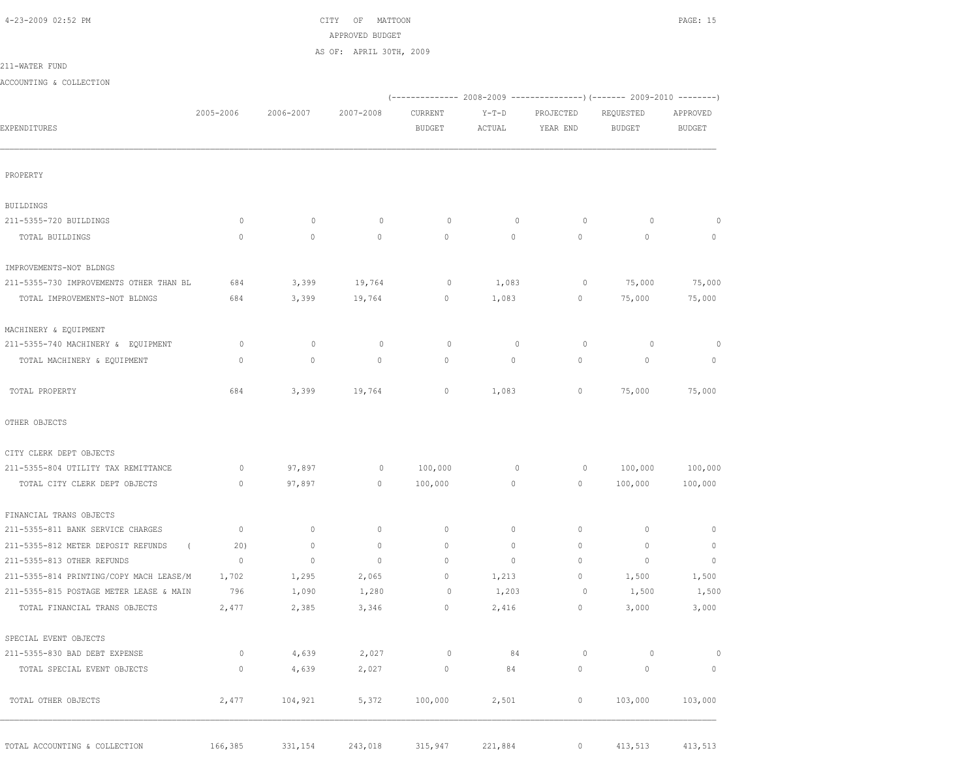$\text{CITY}$  of MATTOON  $\text{PAGE: } 15$  APPROVED BUDGET AS OF: APRIL 30TH, 2009

211-WATER FUND

|                                         | 2005-2006    | 2006-2007    | 2007-2008    | CURRENT       | $Y-T-D$     | PROJECTED   | REQUESTED     | APPROVED      |
|-----------------------------------------|--------------|--------------|--------------|---------------|-------------|-------------|---------------|---------------|
| EXPENDITURES                            |              |              |              | <b>BUDGET</b> | ACTUAL      | YEAR END    | <b>BUDGET</b> | <b>BUDGET</b> |
| PROPERTY                                |              |              |              |               |             |             |               |               |
| BUILDINGS                               |              |              |              |               |             |             |               |               |
| 211-5355-720 BUILDINGS                  | $\circ$      | $\circ$      | $\circ$      | $\circ$       | $\circ$     | $\circ$     | 0             | 0             |
| TOTAL BUILDINGS                         | $\mathbf{0}$ | $\circ$      | $\mathbf{0}$ | $\mathbf{0}$  | $\circ$     | $\circ$     | 0             | 0             |
| IMPROVEMENTS-NOT BLDNGS                 |              |              |              |               |             |             |               |               |
| 211-5355-730 IMPROVEMENTS OTHER THAN BL | 684          | 3,399        | 19,764       | 0             | 1,083       | $\circ$     | 75,000        | 75,000        |
| TOTAL IMPROVEMENTS-NOT BLDNGS           | 684          | 3,399        | 19,764       | 0             | 1,083       | 0           | 75,000        | 75,000        |
| MACHINERY & EQUIPMENT                   |              |              |              |               |             |             |               |               |
| 211-5355-740 MACHINERY & EQUIPMENT      | $\circ$      | $\mathbf 0$  | $\circ$      | $\circ$       | $\mathbf 0$ | $\circ$     | 0             | 0             |
| TOTAL MACHINERY & EQUIPMENT             | $\mathbf 0$  | $\circ$      | 0            | $\circ$       | $\circ$     | $\circ$     | 0             | $\mathbf 0$   |
| TOTAL PROPERTY                          | 684          | 3,399        | 19,764       | 0             | 1,083       | 0           | 75,000        | 75,000        |
| OTHER OBJECTS                           |              |              |              |               |             |             |               |               |
| CITY CLERK DEPT OBJECTS                 |              |              |              |               |             |             |               |               |
| 211-5355-804 UTILITY TAX REMITTANCE     | 0            | 97,897       | 0            | 100,000       | 0           | 0           | 100,000       | 100,000       |
| TOTAL CITY CLERK DEPT OBJECTS           | $\circ$      | 97,897       | 0            | 100,000       | $\circ$     | $\circ$     | 100,000       | 100,000       |
| FINANCIAL TRANS OBJECTS                 |              |              |              |               |             |             |               |               |
| 211-5355-811 BANK SERVICE CHARGES       | $\mathbf 0$  | 0            | $\circ$      | 0             | 0           | 0           | $\mathbf 0$   | 0             |
| 211-5355-812 METER DEPOSIT REFUNDS      | 20)          | 0            | 0            | 0             | 0           | 0           | $\circ$       | 0             |
| 211-5355-813 OTHER REFUNDS              | $\mathbf{0}$ | $\mathbf{0}$ | $\circ$      | 0             | 0           | 0           | $\circ$       | $\mathbf{0}$  |
| 211-5355-814 PRINTING/COPY MACH LEASE/M | 1,702        | 1,295        | 2,065        | 0             | 1,213       | 0           | 1,500         | 1,500         |
| 211-5355-815 POSTAGE METER LEASE & MAIN | 796          | 1,090        | 1,280        | 0             | 1,203       | $\circ$     | 1,500         | 1,500         |
| TOTAL FINANCIAL TRANS OBJECTS           | 2,477        | 2,385        | 3,346        | 0             | 2,416       | 0           | 3,000         | 3,000         |
| SPECIAL EVENT OBJECTS                   |              |              |              |               |             |             |               |               |
| 211-5355-830 BAD DEBT EXPENSE           | $\circ$      | 4,639        | 2,027        | 0             | 84          | 0           | 0             | $\circ$       |
| TOTAL SPECIAL EVENT OBJECTS             | $\circ$      | 4,639        | 2,027        | $\circ$       | 84          | $\mathbb O$ | $\mathbb O$   | $\mathbb O$   |
| TOTAL OTHER OBJECTS                     | 2,477        | 104,921      | 5,372        | 100,000       | 2,501       | $\circ$     | 103,000       | 103,000       |

TOTAL ACCOUNTING & COLLECTION 166,385 331,154 243,018 315,947 221,884 0 413,513 413,513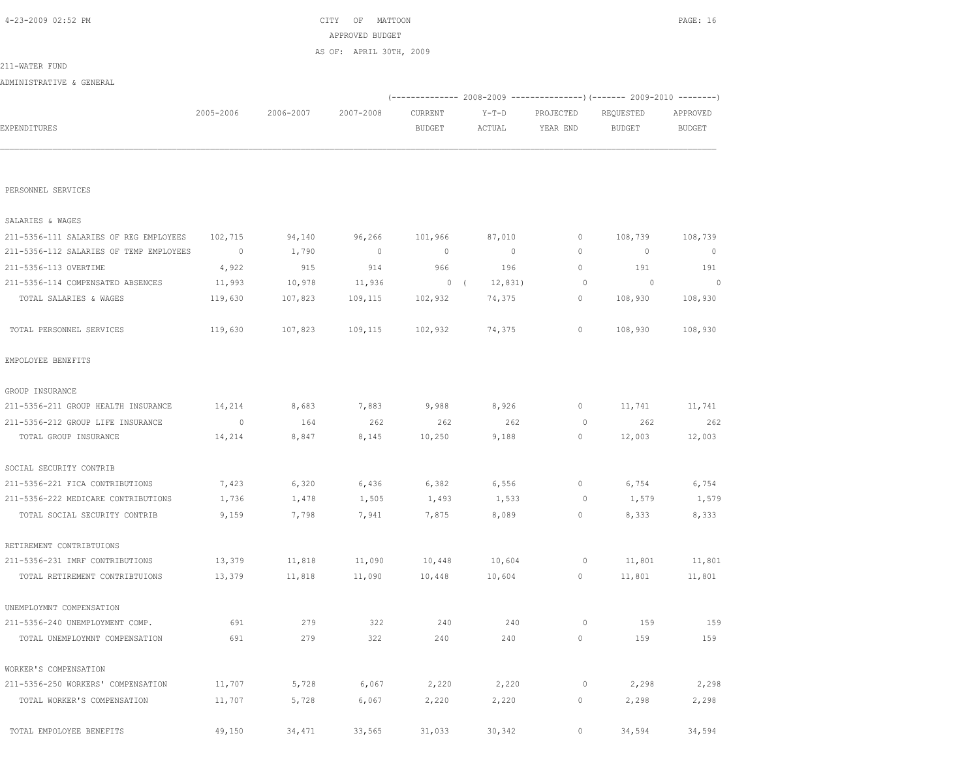| EXPENDITURES                            |             |         |                | <b>BUDGET</b>  | ACTUAL         | YEAR END    | <b>BUDGET</b>  | <b>BUDGET</b> |
|-----------------------------------------|-------------|---------|----------------|----------------|----------------|-------------|----------------|---------------|
|                                         |             |         |                |                |                |             |                |               |
| PERSONNEL SERVICES                      |             |         |                |                |                |             |                |               |
| SALARIES & WAGES                        |             |         |                |                |                |             |                |               |
| 211-5356-111 SALARIES OF REG EMPLOYEES  | 102,715     | 94,140  | 96,266         | 101,966        | 87,010         | 0           | 108,739        | 108,739       |
| 211-5356-112 SALARIES OF TEMP EMPLOYEES | $\mathbb O$ | 1,790   | $\overline{0}$ | $\overline{0}$ | $\overline{0}$ | $\mathbf 0$ | $\circ$        | $\circ$       |
| 211-5356-113 OVERTIME                   | 4,922       | 915     | 914            | 966            | 196            | $\circ$     | 191            | 191           |
| 211-5356-114 COMPENSATED ABSENCES       | 11,993      | 10,978  | 11,936         | 0(             | 12,831)        | $\circ$     | $\overline{0}$ | $\circ$       |
| TOTAL SALARIES & WAGES                  | 119,630     | 107,823 | 109,115        | 102,932        | 74,375         | $\circ$     | 108,930        | 108,930       |
| TOTAL PERSONNEL SERVICES                | 119,630     | 107,823 | 109,115        | 102,932        | 74,375         | $\circ$     | 108,930        | 108,930       |
| EMPOLOYEE BENEFITS                      |             |         |                |                |                |             |                |               |
| GROUP INSURANCE                         |             |         |                |                |                |             |                |               |
| 211-5356-211 GROUP HEALTH INSURANCE     | 14,214      | 8,683   | 7,883          | 9,988          | 8,926          | $\mathbb O$ | 11,741         | 11,741        |
| 211-5356-212 GROUP LIFE INSURANCE       | $\circ$     | 164     | 262            | 262            | 262            | $\circ$     | 262            | 262           |
| TOTAL GROUP INSURANCE                   | 14,214      | 8,847   | 8,145          | 10,250         | 9,188          | $\circ$     | 12,003         | 12,003        |
| SOCIAL SECURITY CONTRIB                 |             |         |                |                |                |             |                |               |
| 211-5356-221 FICA CONTRIBUTIONS         | 7,423       | 6,320   | 6,436          | 6,382          | 6,556          | $\circ$     | 6,754          | 6,754         |
| 211-5356-222 MEDICARE CONTRIBUTIONS     | 1,736       | 1,478   | 1,505          | 1,493          | 1,533          | $\circ$     | 1,579          | 1,579         |
| TOTAL SOCIAL SECURITY CONTRIB           | 9,159       | 7,798   | 7,941          | 7,875          | 8,089          | $\circ$     | 8,333          | 8,333         |
| RETIREMENT CONTRIBTUIONS                |             |         |                |                |                |             |                |               |
| 211-5356-231 IMRF CONTRIBUTIONS         | 13,379      | 11,818  | 11,090         | 10,448         | 10,604         | 0           | 11,801         | 11,801        |
| TOTAL RETIREMENT CONTRIBTUIONS          | 13,379      | 11,818  | 11,090         | 10,448         | 10,604         | $\circ$     | 11,801         | 11,801        |
| UNEMPLOYMNT COMPENSATION                |             |         |                |                |                |             |                |               |
| 211-5356-240 UNEMPLOYMENT COMP.         | 691         | 279     | 322            | 240            | 240            | $\circ$     | 159            | 159           |
| TOTAL UNEMPLOYMNT COMPENSATION          | 691         | 279     | 322            | 240            | 240            | $\mathbb O$ | 159            | 159           |
| WORKER'S COMPENSATION                   |             |         |                |                |                |             |                |               |
| 211-5356-250 WORKERS' COMPENSATION      | 11,707      | 5,728   | 6,067          | 2,220          | 2,220          | $\circ$     | 2,298          | 2,298         |
| TOTAL WORKER'S COMPENSATION             | 11,707      | 5,728   | 6,067          | 2,220          | 2,220          | 0           | 2,298          | 2,298         |
| TOTAL EMPOLOYEE BENEFITS                | 49,150      | 34,471  | 33,565         | 31,033         | 30,342         | 0           | 34,594         | 34,594        |

| 2005-2006 |           | CURRENT   | Y-T-D                   | PROJECTED | REQUESTED | APPROVED                                                        |
|-----------|-----------|-----------|-------------------------|-----------|-----------|-----------------------------------------------------------------|
|           |           | BUDGET    | ACTUAL                  | YEAR END  | BUDGET    | BUDGET                                                          |
|           |           |           |                         |           |           |                                                                 |
|           | 2006-2007 | 2007-2008 | AS OF: APRIL 30TH, 2009 |           |           | $(---------- 2008-2009 ------------)$ $(---- 2009-2010 ------)$ |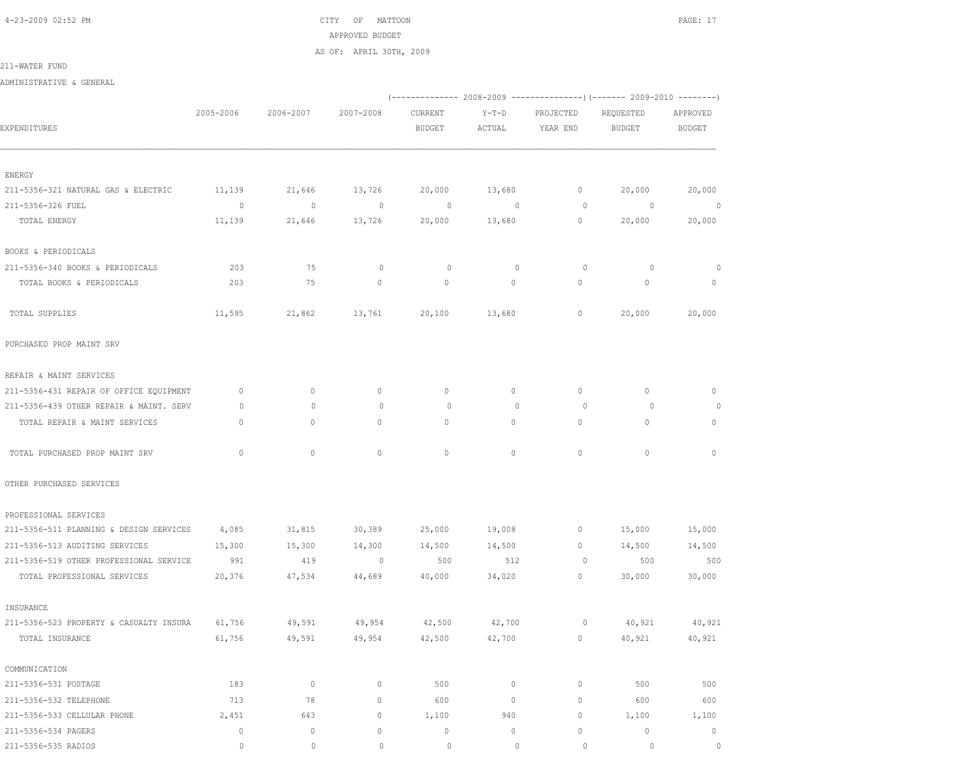4-23-2009 02:52 PM CITY OF MATTOON PAGE: 17 APPROVED BUDGET AS OF: APRIL 30TH, 2009

211-WATER FUND

ADMINISTRATIVE & GENERAL

|                                         |                          |              |                     |               |             | (-------------- 2008-2009 ----------------) (------- 2009-2010 --------) |               |                |  |
|-----------------------------------------|--------------------------|--------------|---------------------|---------------|-------------|--------------------------------------------------------------------------|---------------|----------------|--|
|                                         | 2005-2006                | 2006-2007    | 2007-2008           | CURRENT       | $Y-T-D$     | PROJECTED                                                                | REQUESTED     | APPROVED       |  |
| EXPENDITURES                            |                          |              |                     | <b>BUDGET</b> | ACTUAL      | YEAR END                                                                 | <b>BUDGET</b> | <b>BUDGET</b>  |  |
|                                         |                          |              |                     |               |             |                                                                          |               |                |  |
| ENERGY                                  |                          |              |                     |               |             |                                                                          |               |                |  |
| 211-5356-321 NATURAL GAS & ELECTRIC     | 11,139                   | 21,646       | 13,726              | 20,000        | 13,680      | $\mathbb O$                                                              | 20,000        | 20,000         |  |
| 211-5356-326 FUEL                       | $\overline{\phantom{0}}$ | $\circ$      | $\sim$ 0            | $\circ$       | $\sim$ 0    | $\circ$                                                                  | $\sim$ 0      | $\overline{0}$ |  |
| TOTAL ENERGY                            | 11,139                   | 21,646       | 13,726              | 20,000        | 13,680      | $\circ$                                                                  | 20,000        | 20,000         |  |
| BOOKS & PERIODICALS                     |                          |              |                     |               |             |                                                                          |               |                |  |
| 211-5356-340 BOOKS & PERIODICALS        | 203                      | 75           | $\circ$             | 0             | $\mathbb O$ | 0                                                                        | $\circ$       | $\circ$        |  |
| TOTAL BOOKS & PERIODICALS               | 203                      | 75           | $\circ$             | $\circ$       | $\circ$     | 0                                                                        | $\circ$       | $\circ$        |  |
| TOTAL SUPPLIES                          | 11,595                   | 21,862       | 13,761              | 20,100        | 13,680      | $\mathbb O$                                                              | 20,000        | 20,000         |  |
| PURCHASED PROP MAINT SRV                |                          |              |                     |               |             |                                                                          |               |                |  |
| REPAIR & MAINT SERVICES                 |                          |              |                     |               |             |                                                                          |               |                |  |
| 211-5356-431 REPAIR OF OFFICE EQUIPMENT | $\mathbf 0$              | $\mathbf{0}$ | $\circ$             | $\mathbf{0}$  | $\circ$     | $\circ$                                                                  | $\mathbf{0}$  | 0              |  |
| 211-5356-439 OTHER REPAIR & MAINT. SERV | 0                        | $\mathbf{0}$ | $\circ$             | $\circ$       | $\circ$     | $\circ$                                                                  | $\circ$       | $\circ$        |  |
| TOTAL REPAIR & MAINT SERVICES           | $\mathbf{0}$             | $\circ$      | $\circ$             | $\mathbf{0}$  | 0           | $\circ$                                                                  | $\mathbf{0}$  | $\circ$        |  |
| TOTAL PURCHASED PROP MAINT SRV          | $\mathbf{0}$             | $\circ$      | $\circ$             | 0             | $\circ$     | $\mathbf{0}$                                                             | $\mathbf{0}$  | $\circ$        |  |
| OTHER PURCHASED SERVICES                |                          |              |                     |               |             |                                                                          |               |                |  |
| PROFESSIONAL SERVICES                   |                          |              |                     |               |             |                                                                          |               |                |  |
| 211-5356-511 PLANNING & DESIGN SERVICES | 4,085                    | 31,815       | 30,389              | 25,000        | 19,008      | $\mathbf 0$                                                              | 15,000        | 15,000         |  |
| 211-5356-513 AUDITING SERVICES          | 15,300                   | 15,300       | 14,300              | 14,500        | 14,500      | $\mathbf{0}$                                                             | 14,500        | 14,500         |  |
| 211-5356-519 OTHER PROFESSIONAL SERVICE | 991                      | 419          | $\sim$ 0            | 500           | 512         | 0                                                                        | 500           | 500            |  |
| TOTAL PROFESSIONAL SERVICES             | 20,376                   | 47,534       | 44,689              | 40,000        | 34,020      | $\circ$                                                                  | 30,000        | 30,000         |  |
| INSURANCE                               |                          |              |                     |               |             |                                                                          |               |                |  |
| 211-5356-523 PROPERTY & CASUALTY INSURA | 61,756                   | 49,591       | 49,954              | 42,500        | 42,700      | 0                                                                        | 40,921        | 40,921         |  |
| TOTAL INSURANCE                         | 61,756                   | 49,591       | 49,954              | 42,500        | 42,700      | $\circ$                                                                  | 40,921        | 40,921         |  |
| COMMUNICATION                           |                          |              |                     |               |             |                                                                          |               |                |  |
| 211-5356-531 POSTAGE                    | 183                      | $\circ$      | $\circ$             | 500           | $\circ$     | $\mathbf{0}$                                                             | 500           | 500            |  |
| 211-5356-532 TELEPHONE                  | 713                      | 78           | $\mathsf{O}\xspace$ | 600           | $\circ$     | $\mathbf{0}$                                                             | 600           | 600            |  |
| 211-5356-533 CELLULAR PHONE             | 2,451                    | 643          | 0                   | 1,100         | 940         | $\circ$                                                                  | 1,100         | 1,100          |  |
| 211-5356-534 PAGERS                     | $\circ$                  | $\circ$      | 0                   | 0             | 0           | $\circ$                                                                  | $\mathbf 0$   | $\circ$        |  |
| 211-5356-535 RADIOS                     | $\circ$                  | $\circ$      | $\mathbb O$         | $\circ$       | $\mathbb O$ | $\circ$                                                                  | $\circ$       | $\circ$        |  |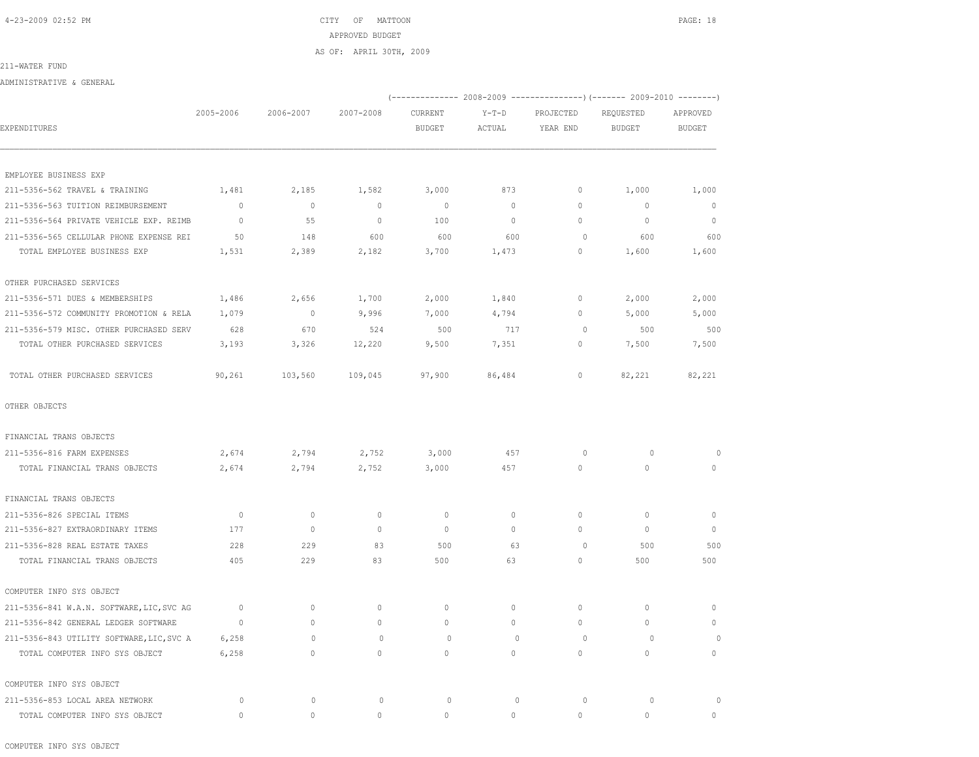# 4-23-2009 02:52 PM CITY OF MATTOON PAGE: 18 APPROVED BUDGET AS OF: APRIL 30TH, 2009

#### 211-WATER FUND

ADMINISTRATIVE & GENERAL

|                                           |                     |              |              |               |              |             | (-------------- 2008-2009 ----------------) (------- 2009-2010 --------) |               |
|-------------------------------------------|---------------------|--------------|--------------|---------------|--------------|-------------|--------------------------------------------------------------------------|---------------|
|                                           | 2005-2006           | 2006-2007    | 2007-2008    | CURRENT       | $Y-T-D$      | PROJECTED   | REQUESTED                                                                | APPROVED      |
| EXPENDITURES                              |                     |              |              | <b>BUDGET</b> | ACTUAL       | YEAR END    | <b>BUDGET</b>                                                            | <b>BUDGET</b> |
| EMPLOYEE BUSINESS EXP                     |                     |              |              |               |              |             |                                                                          |               |
| 211-5356-562 TRAVEL & TRAINING            | 1,481               | 2,185        | 1,582        | 3,000         | 873          | 0           | 1,000                                                                    | 1,000         |
| 211-5356-563 TUITION REIMBURSEMENT        | $\circ$             | $\circ$      | $\mathbb{O}$ | $\circ$       | $\circ$      | $\mathbb O$ | $\mathbf 0$                                                              | $\mathbf 0$   |
| 211-5356-564 PRIVATE VEHICLE EXP. REIMB   | $\mathbf{0}$        | 55           | $\mathbf{0}$ | 100           | $\circ$      | 0           | $\circ$                                                                  | $\mathbf{0}$  |
| 211-5356-565 CELLULAR PHONE EXPENSE REI   | 50                  | 148          | 600          | 600           | 600          | $\circ$     | 600                                                                      | 600           |
| TOTAL EMPLOYEE BUSINESS EXP               | 1,531               | 2,389        | 2,182        | 3,700         | 1,473        | 0           | 1,600                                                                    | 1,600         |
| OTHER PURCHASED SERVICES                  |                     |              |              |               |              |             |                                                                          |               |
| 211-5356-571 DUES & MEMBERSHIPS           | 1,486               | 2,656        | 1,700        | 2,000         | 1,840        | $\circ$     | 2,000                                                                    | 2,000         |
| 211-5356-572 COMMUNITY PROMOTION & RELA   | 1,079               | $\circ$      | 9,996        | 7,000         | 4,794        | 0           | 5,000                                                                    | 5,000         |
| 211-5356-579 MISC. OTHER PURCHASED SERV   | 628                 | 670          | 524          | 500           | 717          | $\circ$     | 500                                                                      | 500           |
| TOTAL OTHER PURCHASED SERVICES            | 3,193               | 3,326        | 12,220       | 9,500         | 7,351        | 0           | 7,500                                                                    | 7,500         |
| TOTAL OTHER PURCHASED SERVICES            | 90,261              | 103,560      | 109,045      | 97,900        | 86,484       | 0           | 82,221                                                                   | 82,221        |
| OTHER OBJECTS                             |                     |              |              |               |              |             |                                                                          |               |
| FINANCIAL TRANS OBJECTS                   |                     |              |              |               |              |             |                                                                          |               |
| 211-5356-816 FARM EXPENSES                | 2,674               | 2,794        | 2,752        | 3,000         | 457          | 0           | $\circ$                                                                  | $\Omega$      |
| TOTAL FINANCIAL TRANS OBJECTS             | 2,674               | 2,794        | 2,752        | 3,000         | 457          | $\circ$     | $\circ$                                                                  | $\mathbf{0}$  |
| FINANCIAL TRANS OBJECTS                   |                     |              |              |               |              |             |                                                                          |               |
| 211-5356-826 SPECIAL ITEMS                | $\mathbf{0}$        | $\mathbf{0}$ | $\mathbf{0}$ | $\mathbf{0}$  | 0            | $\circ$     | $\mathbf{0}$                                                             | $\mathbf{0}$  |
| 211-5356-827 EXTRAORDINARY ITEMS          | 177                 | $\mathbf{0}$ | $\mathbf{0}$ | $\mathbf{0}$  | 0            | $\circ$     | $\mathbf{0}$                                                             | $\mathbf{0}$  |
| 211-5356-828 REAL ESTATE TAXES            | 228                 | 229          | 83           | 500           | 63           | $\circ$     | 500                                                                      | 500           |
| TOTAL FINANCIAL TRANS OBJECTS             | 405                 | 229          | 83           | 500           | 63           | 0           | 500                                                                      | 500           |
| COMPUTER INFO SYS OBJECT                  |                     |              |              |               |              |             |                                                                          |               |
| 211-5356-841 W.A.N. SOFTWARE, LIC, SVC AG | $\mathbb O$         | $\circ$      | $\mathbf 0$  | 0             | 0            | $\circ$     | $\mathbf{0}$                                                             | $\mathbf{0}$  |
| 211-5356-842 GENERAL LEDGER SOFTWARE      | $\circ$             | $\circ$      | $\mathbf 0$  | 0             | 0            | $\circ$     | $\mathbf 0$                                                              | $\mathbf 0$   |
| 211-5356-843 UTILITY SOFTWARE, LIC, SVC A | 6,258               | $\circ$      | $\mathbf{0}$ | $\circ$       | $\mathbf{0}$ | $\circ$     | $\circ$                                                                  | $\circ$       |
| TOTAL COMPUTER INFO SYS OBJECT            | 6,258               | 0            | $\Omega$     | $\Omega$      | $\Omega$     | $\circ$     | $\Omega$                                                                 | $\mathbf{0}$  |
| COMPUTER INFO SYS OBJECT                  |                     |              |              |               |              |             |                                                                          |               |
| 211-5356-853 LOCAL AREA NETWORK           | 0                   | $\mathbf 0$  | $\circ$      | $\circ$       | $\mathbf 0$  | $\circ$     | $\circ$                                                                  | $\Omega$      |
| TOTAL COMPUTER INFO SYS OBJECT            | $\mathsf{O}\xspace$ | 0            | 0            | $\Omega$      | 0            | $\Omega$    | 0                                                                        | 0             |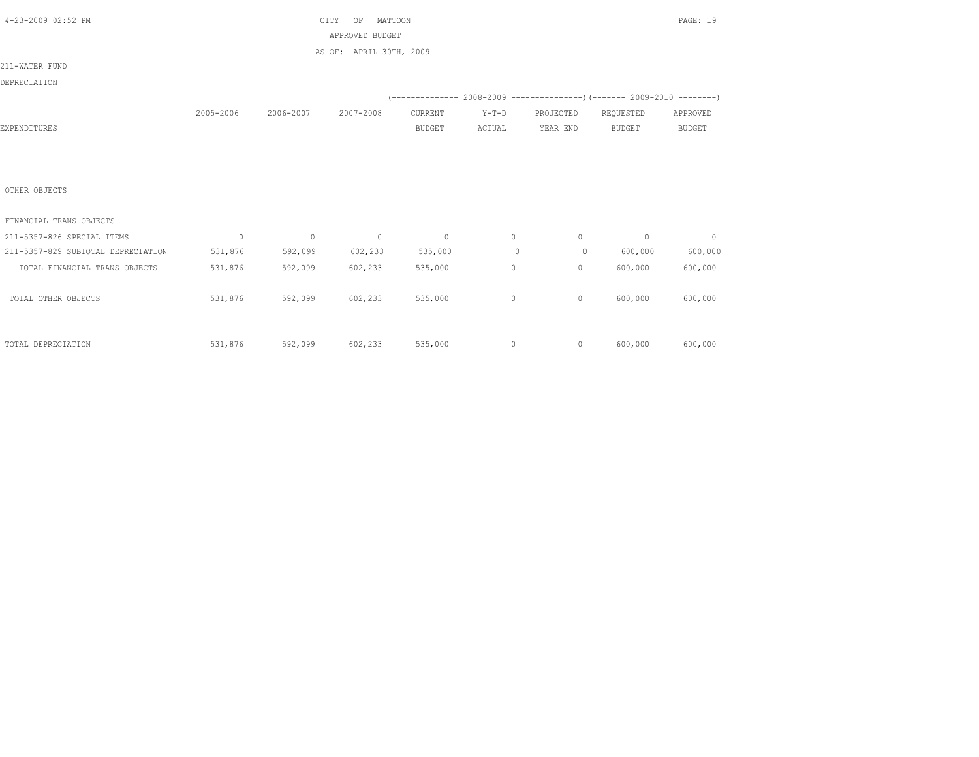| 4-23-2009 02:52 PM                 |             |                | CITY<br>MATTOON<br>OF<br>APPROVED BUDGET |               |         |              |                                                                         | PAGE: 19      |
|------------------------------------|-------------|----------------|------------------------------------------|---------------|---------|--------------|-------------------------------------------------------------------------|---------------|
|                                    |             |                | AS OF: APRIL 30TH, 2009                  |               |         |              |                                                                         |               |
| 211-WATER FUND                     |             |                |                                          |               |         |              |                                                                         |               |
| DEPRECIATION                       |             |                |                                          |               |         |              |                                                                         |               |
|                                    |             |                |                                          |               |         |              | (-------------- 2008-2009 ----------------)(------- 2009-2010 --------) |               |
|                                    | 2005-2006   | 2006-2007      | 2007-2008                                | CURRENT       | $Y-T-D$ | PROJECTED    | REQUESTED                                                               | APPROVED      |
| EXPENDITURES                       |             |                |                                          | <b>BUDGET</b> | ACTUAL  | YEAR END     | <b>BUDGET</b>                                                           | <b>BUDGET</b> |
|                                    |             |                |                                          |               |         |              |                                                                         |               |
|                                    |             |                |                                          |               |         |              |                                                                         |               |
| OTHER OBJECTS                      |             |                |                                          |               |         |              |                                                                         |               |
| FINANCIAL TRANS OBJECTS            |             |                |                                          |               |         |              |                                                                         |               |
| 211-5357-826 SPECIAL ITEMS         | $\mathbf 0$ | $\overline{0}$ | $\sim$ 0                                 | $\sim$ 0      | $\circ$ | $\circ$      | $\circ$                                                                 | $\circ$       |
| 211-5357-829 SUBTOTAL DEPRECIATION | 531,876     | 592,099        | 602,233                                  | 535,000       | $\circ$ | $\circ$      | 600,000                                                                 | 600,000       |
| TOTAL FINANCIAL TRANS OBJECTS      | 531,876     | 592,099        | 602,233                                  | 535,000       | $\circ$ | $\mathbf{0}$ | 600,000                                                                 | 600,000       |
| TOTAL OTHER OBJECTS                | 531,876     | 592,099        | 602,233                                  | 535,000       | 0       | $\circ$      | 600,000                                                                 | 600,000       |
| TOTAL DEPRECIATION                 | 531,876     | 592,099        | 602,233                                  | 535,000       | $\circ$ | $\circ$      | 600,000                                                                 | 600,000       |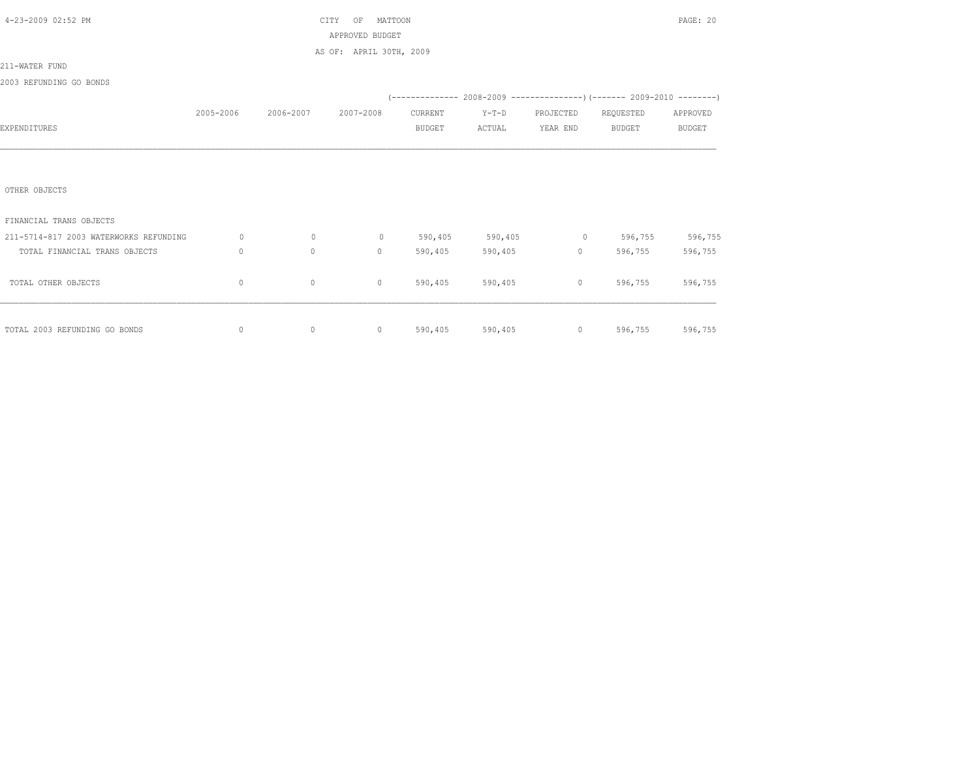| 4-23-2009 02:52 PM                     |              |                     | MATTOON<br>CITY<br>OF                                                                                                                                                                                                                                                                                                              |               |                   |                   |                                                                          | PAGE: 20        |
|----------------------------------------|--------------|---------------------|------------------------------------------------------------------------------------------------------------------------------------------------------------------------------------------------------------------------------------------------------------------------------------------------------------------------------------|---------------|-------------------|-------------------|--------------------------------------------------------------------------|-----------------|
|                                        |              |                     | APPROVED BUDGET                                                                                                                                                                                                                                                                                                                    |               |                   |                   |                                                                          |                 |
|                                        |              |                     | AS OF: APRIL 30TH, 2009                                                                                                                                                                                                                                                                                                            |               |                   |                   |                                                                          |                 |
| 211-WATER FUND                         |              |                     |                                                                                                                                                                                                                                                                                                                                    |               |                   |                   |                                                                          |                 |
| 2003 REFUNDING GO BONDS                |              |                     |                                                                                                                                                                                                                                                                                                                                    |               |                   |                   |                                                                          |                 |
|                                        |              |                     |                                                                                                                                                                                                                                                                                                                                    |               |                   |                   | (-------------- 2008-2009 ----------------) (------- 2009-2010 --------) |                 |
|                                        | 2005-2006    | 2006-2007 2007-2008 |                                                                                                                                                                                                                                                                                                                                    | CURRENT       | $Y-T-D$           | PROJECTED         | REQUESTED                                                                | APPROVED        |
| EXPENDITURES                           |              |                     |                                                                                                                                                                                                                                                                                                                                    | <b>BUDGET</b> | ACTUAL            | YEAR END          | <b>BUDGET</b>                                                            | <b>BUDGET</b>   |
|                                        |              |                     |                                                                                                                                                                                                                                                                                                                                    |               |                   |                   |                                                                          |                 |
|                                        |              |                     |                                                                                                                                                                                                                                                                                                                                    |               |                   |                   |                                                                          |                 |
|                                        |              |                     |                                                                                                                                                                                                                                                                                                                                    |               |                   |                   |                                                                          |                 |
| OTHER OBJECTS                          |              |                     |                                                                                                                                                                                                                                                                                                                                    |               |                   |                   |                                                                          |                 |
|                                        |              |                     |                                                                                                                                                                                                                                                                                                                                    |               |                   |                   |                                                                          |                 |
| FINANCIAL TRANS OBJECTS                |              |                     |                                                                                                                                                                                                                                                                                                                                    |               |                   |                   |                                                                          |                 |
| 211-5714-817 2003 WATERWORKS REFUNDING | $\circ$      | $\circ$             |                                                                                                                                                                                                                                                                                                                                    |               |                   |                   | 0 590,405 590,405 0 596,755 596,755                                      |                 |
| TOTAL FINANCIAL TRANS OBJECTS          | $\mathbf{0}$ | $\circ$             | $\circ$                                                                                                                                                                                                                                                                                                                            | 590,405       | 590,405           | $0 \qquad \qquad$ | 596,755                                                                  | 596,755         |
|                                        |              |                     |                                                                                                                                                                                                                                                                                                                                    |               |                   |                   |                                                                          |                 |
| TOTAL OTHER OBJECTS                    | 0            | $\circ$             | $\mathbf{0}$                                                                                                                                                                                                                                                                                                                       |               | 590,405 590,405   |                   | 596,755<br>$\overline{0}$ and $\overline{0}$                             | 596,755         |
|                                        |              |                     |                                                                                                                                                                                                                                                                                                                                    |               |                   |                   |                                                                          |                 |
|                                        |              |                     |                                                                                                                                                                                                                                                                                                                                    |               |                   |                   |                                                                          |                 |
| TOTAL 2003 REFUNDING GO BONDS          | 0            | $\circ$             | $\overline{0}$ and $\overline{0}$ and $\overline{0}$ and $\overline{0}$ and $\overline{0}$ and $\overline{0}$ and $\overline{0}$ and $\overline{0}$ and $\overline{0}$ and $\overline{0}$ and $\overline{0}$ and $\overline{0}$ and $\overline{0}$ and $\overline{0}$ and $\overline{0}$ and $\overline{0}$ and $\overline{0}$ and |               | 590,405 590,405 0 |                   |                                                                          | 596,755 596,755 |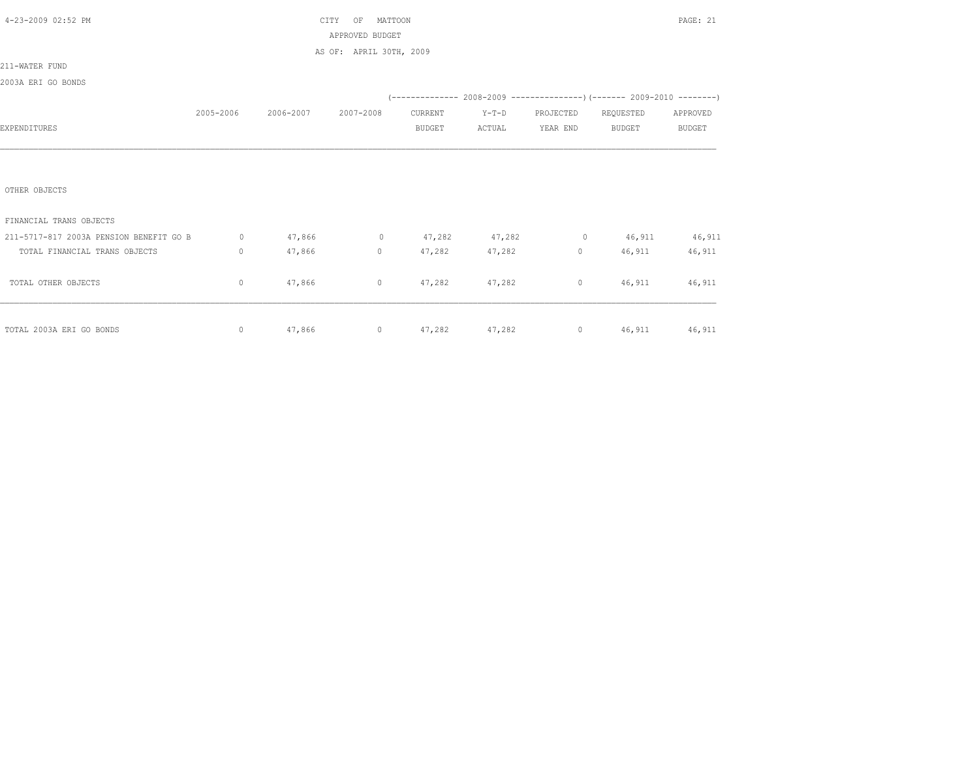| 4-23-2009 02:52 PM                      |             |                     | CITY<br>MATTOON<br>OF                     |               |                     |          |                                                                | PAGE: 21      |
|-----------------------------------------|-------------|---------------------|-------------------------------------------|---------------|---------------------|----------|----------------------------------------------------------------|---------------|
|                                         |             |                     | APPROVED BUDGET                           |               |                     |          |                                                                |               |
|                                         |             |                     | AS OF: APRIL 30TH, 2009                   |               |                     |          |                                                                |               |
| 211-WATER FUND                          |             |                     |                                           |               |                     |          |                                                                |               |
| 2003A ERI GO BONDS                      |             |                     |                                           |               |                     |          |                                                                |               |
|                                         |             |                     |                                           |               |                     |          | $(---------- 2008-2009 ----------)$ $(---- 2009-2010 -------)$ |               |
|                                         | 2005-2006   | 2006-2007 2007-2008 |                                           | CURRENT       | $Y-T-D$             |          | PROJECTED REQUESTED                                            | APPROVED      |
| EXPENDITURES                            |             |                     |                                           | <b>BUDGET</b> | ACTUAL              | YEAR END | BUDGET                                                         | <b>BUDGET</b> |
|                                         |             |                     |                                           |               |                     |          |                                                                |               |
|                                         |             |                     |                                           |               |                     |          |                                                                |               |
|                                         |             |                     |                                           |               |                     |          |                                                                |               |
| OTHER OBJECTS                           |             |                     |                                           |               |                     |          |                                                                |               |
|                                         |             |                     |                                           |               |                     |          |                                                                |               |
| FINANCIAL TRANS OBJECTS                 |             |                     |                                           |               |                     |          |                                                                |               |
| 211-5717-817 2003A PENSION BENEFIT GO B |             |                     | 0 $47,866$ 0 $47,282$ $47,282$ 0 $46,911$ |               |                     |          |                                                                | 46,911        |
| TOTAL FINANCIAL TRANS OBJECTS           | $\circ$     | 47,866              | $0 \qquad \qquad$                         |               | 47,282 47,282       |          | $0 \t 46,911$                                                  | 46,911        |
|                                         |             |                     |                                           |               |                     |          |                                                                |               |
| TOTAL OTHER OBJECTS                     | $\circ$     | 47,866              |                                           |               | 0 $47,282$ $47,282$ |          | 0 46,911 46,911                                                |               |
|                                         |             |                     |                                           |               |                     |          |                                                                |               |
|                                         |             |                     |                                           |               |                     |          |                                                                |               |
| TOTAL 2003A ERI GO BONDS                | $\mathbb O$ |                     |                                           |               |                     |          | $47,866$ 0 $47,282$ $47,282$ 0 $46,911$ $46,911$               |               |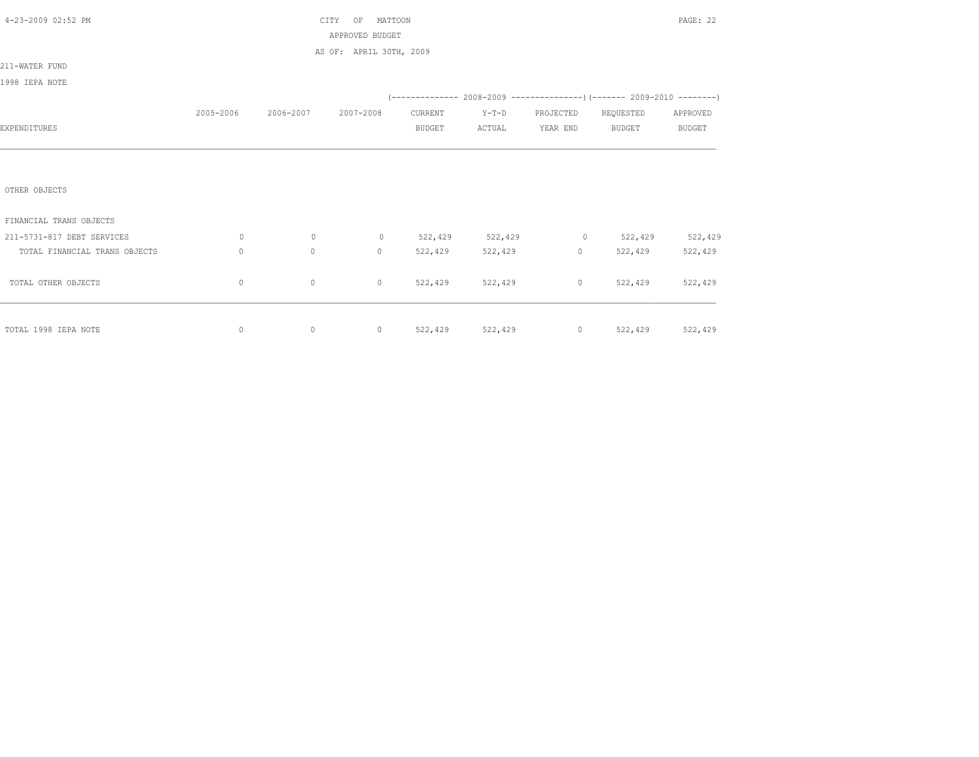| 4-23-2009 02:52 PM            |              |                               | MATTOON<br>CITY<br>OF   |               |                 |                     |                                                                          | PAGE: 22      |
|-------------------------------|--------------|-------------------------------|-------------------------|---------------|-----------------|---------------------|--------------------------------------------------------------------------|---------------|
|                               |              |                               | APPROVED BUDGET         |               |                 |                     |                                                                          |               |
|                               |              |                               | AS OF: APRIL 30TH, 2009 |               |                 |                     |                                                                          |               |
| 211-WATER FUND                |              |                               |                         |               |                 |                     |                                                                          |               |
| 1998 IEPA NOTE                |              |                               |                         |               |                 |                     |                                                                          |               |
|                               |              |                               |                         |               |                 |                     | (-------------- 2008-2009 ----------------) (------- 2009-2010 --------) |               |
|                               |              | 2005-2006 2006-2007 2007-2008 |                         | CURRENT       | $Y-T-D$         | PROJECTED REQUESTED |                                                                          | APPROVED      |
| EXPENDITURES                  |              |                               |                         | <b>BUDGET</b> | ACTUAL          | YEAR END            | BUDGET                                                                   | <b>BUDGET</b> |
|                               |              |                               |                         |               |                 |                     |                                                                          |               |
|                               |              |                               |                         |               |                 |                     |                                                                          |               |
|                               |              |                               |                         |               |                 |                     |                                                                          |               |
| OTHER OBJECTS                 |              |                               |                         |               |                 |                     |                                                                          |               |
|                               |              |                               |                         |               |                 |                     |                                                                          |               |
| FINANCIAL TRANS OBJECTS       |              |                               |                         |               |                 |                     |                                                                          |               |
| 211-5731-817 DEBT SERVICES    | $\circ$      | $\circ$                       |                         |               |                 |                     | 0 522,429 522,429 0 522,429 522,429                                      |               |
| TOTAL FINANCIAL TRANS OBJECTS | $\mathbf{0}$ | $\circ$                       | $\circ$                 |               | 522,429 522,429 | $\overline{0}$      | 522,429                                                                  | 522,429       |
|                               |              |                               |                         |               |                 |                     |                                                                          |               |
| TOTAL OTHER OBJECTS           | $\mathbf{0}$ | $\circ$                       | $\circ$                 |               |                 |                     | 522,429 522,429 0 522,429                                                | 522,429       |
|                               |              |                               |                         |               |                 |                     |                                                                          |               |
|                               |              |                               |                         |               |                 |                     |                                                                          |               |
| TOTAL 1998 IEPA NOTE          | $\mathbb O$  | $\circ$                       |                         |               |                 |                     | 0 $522,429$ $522,429$ 0 $522,429$ 522,429                                |               |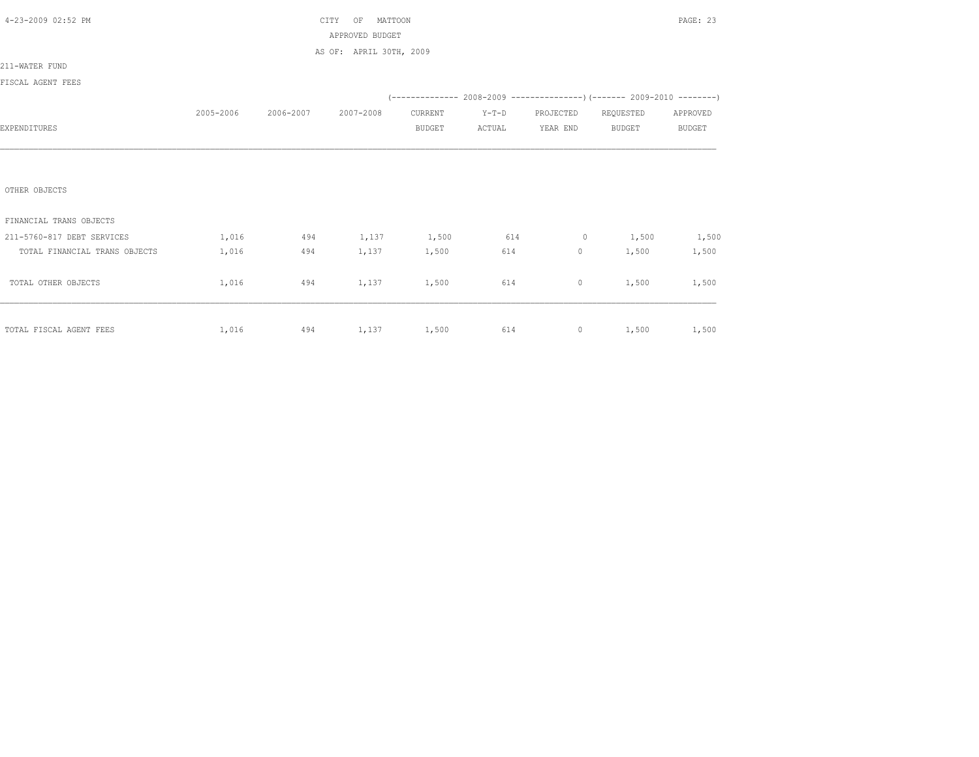| 4-23-2009 02:52 PM            |           |                           | MATTOON<br>CITY<br>OF   |               |         |                     |                                                                          | PAGE: 23      |
|-------------------------------|-----------|---------------------------|-------------------------|---------------|---------|---------------------|--------------------------------------------------------------------------|---------------|
|                               |           |                           | APPROVED BUDGET         |               |         |                     |                                                                          |               |
|                               |           |                           | AS OF: APRIL 30TH, 2009 |               |         |                     |                                                                          |               |
| 211-WATER FUND                |           |                           |                         |               |         |                     |                                                                          |               |
| FISCAL AGENT FEES             |           |                           |                         |               |         |                     |                                                                          |               |
|                               |           |                           |                         |               |         |                     | (-------------- 2008-2009 ----------------) (------- 2009-2010 --------) |               |
|                               | 2005-2006 | 2006-2007                 | 2007-2008               | CURRENT       | $Y-T-D$ | PROJECTED REQUESTED |                                                                          | APPROVED      |
| EXPENDITURES                  |           |                           |                         | <b>BUDGET</b> | ACTUAL  | YEAR END            | <b>BUDGET</b>                                                            | <b>BUDGET</b> |
|                               |           |                           |                         |               |         |                     |                                                                          |               |
|                               |           |                           |                         |               |         |                     |                                                                          |               |
|                               |           |                           |                         |               |         |                     |                                                                          |               |
| OTHER OBJECTS                 |           |                           |                         |               |         |                     |                                                                          |               |
|                               |           |                           |                         |               |         |                     |                                                                          |               |
| FINANCIAL TRANS OBJECTS       |           |                           |                         |               |         |                     |                                                                          |               |
| 211-5760-817 DEBT SERVICES    | 1,016     | 494                       | 1,137 1,500 614         |               |         | $0 \t 1,500$        |                                                                          | 1,500         |
| TOTAL FINANCIAL TRANS OBJECTS | 1,016     | 494                       |                         | 1,137 1,500   | 614 61  | $\overline{0}$      | 1,500                                                                    | 1,500         |
|                               |           |                           |                         |               |         |                     |                                                                          |               |
| TOTAL OTHER OBJECTS           | 1,016     | 494                       | 1,137                   | 1,500         | 614     | $\circ$             | 1,500                                                                    | 1,500         |
|                               |           |                           |                         |               |         |                     |                                                                          |               |
|                               |           |                           |                         |               |         |                     |                                                                          |               |
| TOTAL FISCAL AGENT FEES       |           | 1,016 494 1,137 1,500 614 |                         |               |         |                     | 0 $1,500$ $1,500$                                                        |               |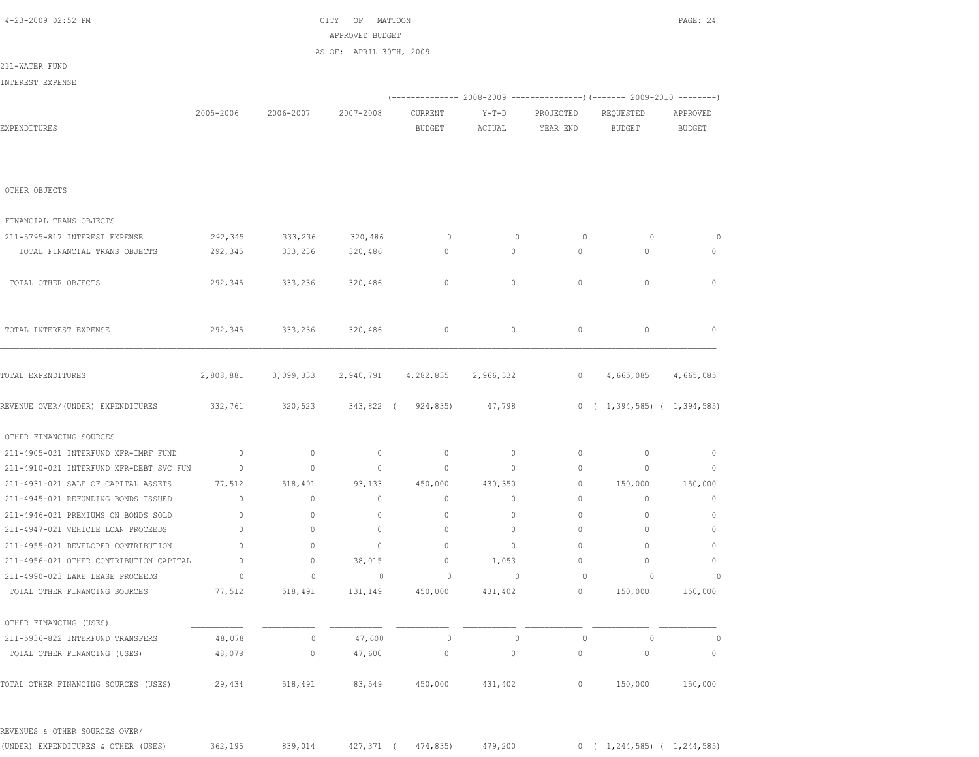| PAGE: 24                 |                                                                                                                                                                                                                                                                                                                                 |                                                                         |             |                 | CITY OF MATTOON                         |                 |                | 4-23-2009 02:52 PM                      |
|--------------------------|---------------------------------------------------------------------------------------------------------------------------------------------------------------------------------------------------------------------------------------------------------------------------------------------------------------------------------|-------------------------------------------------------------------------|-------------|-----------------|-----------------------------------------|-----------------|----------------|-----------------------------------------|
|                          |                                                                                                                                                                                                                                                                                                                                 |                                                                         |             |                 | APPROVED BUDGET                         |                 |                |                                         |
|                          |                                                                                                                                                                                                                                                                                                                                 |                                                                         |             |                 | AS OF: APRIL 30TH, 2009                 |                 |                | 211-WATER FUND                          |
|                          |                                                                                                                                                                                                                                                                                                                                 |                                                                         |             |                 |                                         |                 |                | INTEREST EXPENSE                        |
|                          |                                                                                                                                                                                                                                                                                                                                 | (-------------- 2008-2009 ---------------) (------- 2009-2010 --------) |             |                 |                                         |                 |                |                                         |
| APPROVED                 | REQUESTED                                                                                                                                                                                                                                                                                                                       | PROJECTED                                                               | Y-T-D       | CURRENT         | 2007-2008                               | 2006-2007       | 2005-2006      |                                         |
| BUDGET                   | <b>BUDGET</b>                                                                                                                                                                                                                                                                                                                   | YEAR END                                                                | ACTUAL      | <b>BUDGET</b>   |                                         |                 |                | EXPENDITURES                            |
|                          |                                                                                                                                                                                                                                                                                                                                 |                                                                         |             |                 |                                         |                 |                |                                         |
|                          |                                                                                                                                                                                                                                                                                                                                 |                                                                         |             |                 |                                         |                 |                | OTHER OBJECTS                           |
|                          |                                                                                                                                                                                                                                                                                                                                 |                                                                         |             |                 |                                         |                 |                | FINANCIAL TRANS OBJECTS                 |
| 0                        | $\circ$                                                                                                                                                                                                                                                                                                                         | $\circ$                                                                 | $\circ$     | $\circ$         |                                         | 333,236 320,486 | 292,345        | 211-5795-817 INTEREST EXPENSE           |
| 0                        | $\circ$                                                                                                                                                                                                                                                                                                                         | $\circ$                                                                 | $\circ$     | $\circ$         | 320,486                                 | 333,236         | 292,345        | TOTAL FINANCIAL TRANS OBJECTS           |
| $\circ$                  | $\mathbf 0$                                                                                                                                                                                                                                                                                                                     | 0                                                                       | $\circ$     | $\circ$         | 320,486                                 | 333,236         | 292,345        | TOTAL OTHER OBJECTS                     |
| 0                        | $\circ$                                                                                                                                                                                                                                                                                                                         | $\circ$                                                                 | $\circ$     | $\circ$         | 320,486                                 | 333,236         | 292,345        | TOTAL INTEREST EXPENSE                  |
|                          | 4,665,085 4,665,085                                                                                                                                                                                                                                                                                                             | $\circ$                                                                 | 2,966,332   |                 | 2,808,881 3,099,333 2,940,791 4,282,835 |                 |                | TOTAL EXPENDITURES                      |
|                          | $0 \quad (1,394,585) \quad (1,394,585)$                                                                                                                                                                                                                                                                                         |                                                                         | 47,798      |                 | 320,523 343,822 (924,835)               |                 | 332,761        | REVENUE OVER/(UNDER) EXPENDITURES       |
|                          |                                                                                                                                                                                                                                                                                                                                 |                                                                         |             |                 |                                         |                 |                | OTHER FINANCING SOURCES                 |
| $\circ$                  | $\mathbb O$                                                                                                                                                                                                                                                                                                                     | $\circ$                                                                 | $\circ$     | $\mathbb O$     | $\circ$                                 | $\circ$         | $\overline{0}$ | 211-4905-021 INTERFUND XFR-IMRF FUND    |
| $\mathbf 0$              | $\circ$                                                                                                                                                                                                                                                                                                                         | $\circ$                                                                 | $\circ$     | $\circ$         | $\circ$                                 | $\circ$         | $\circ$        | 211-4910-021 INTERFUND XFR-DEBT SVC FUN |
| 150,000                  | 150,000                                                                                                                                                                                                                                                                                                                         | $\circ$                                                                 | 430,350     | 450,000         | 93,133                                  | 518,491         | 77,512         | 211-4931-021 SALE OF CAPITAL ASSETS     |
| $\circ$                  | $\circ$                                                                                                                                                                                                                                                                                                                         | $\circ$                                                                 | $\circ$     | $\circ$         | $\circ$                                 | $\circ$         | $\circ$        | 211-4945-021 REFUNDING BONDS ISSUED     |
| $\mathbb O$              | 0                                                                                                                                                                                                                                                                                                                               | 0                                                                       | $\circ$     | $\mathbb O$     | $\circ$                                 | 0               | $\circ$        | 211-4946-021 PREMIUMS ON BONDS SOLD     |
| $\circ$                  | $\circ$                                                                                                                                                                                                                                                                                                                         | 0                                                                       | $\circ$     | $\mathbb O$     | $\circ$                                 | 0               | $\circ$        | 211-4947-021 VEHICLE LOAN PROCEEDS      |
| $\circ$                  | $\circ$                                                                                                                                                                                                                                                                                                                         | $\circ$                                                                 | $\circ$     | $\mathbf{0}$    | $\circ$                                 | $\circ$         | $\mathbf{0}$   | 211-4955-021 DEVELOPER CONTRIBUTION     |
| $\circ$                  | $\mathbf 0$                                                                                                                                                                                                                                                                                                                     | $\circ$                                                                 | 1,053       | $\circ$         | 38,015                                  | $\circ$         | $\overline{0}$ | 211-4956-021 OTHER CONTRIBUTION CAPITAL |
| $\circ$                  | $\begin{matrix} 0 & 0 & 0 \\ 0 & 0 & 0 \\ 0 & 0 & 0 \\ 0 & 0 & 0 \\ 0 & 0 & 0 \\ 0 & 0 & 0 \\ 0 & 0 & 0 \\ 0 & 0 & 0 \\ 0 & 0 & 0 & 0 \\ 0 & 0 & 0 & 0 \\ 0 & 0 & 0 & 0 \\ 0 & 0 & 0 & 0 \\ 0 & 0 & 0 & 0 & 0 \\ 0 & 0 & 0 & 0 & 0 \\ 0 & 0 & 0 & 0 & 0 \\ 0 & 0 & 0 & 0 & 0 & 0 \\ 0 & 0 & 0 & 0 & 0 & 0 \\ 0 & 0 & 0 & 0 & 0$ |                                                                         | $\circ$     | $\circ$         | $\sim$ 0 $\sim$ 0 $\sim$                | 0               | 0              | 211-4990-023 LAKE LEASE PROCEEDS        |
| 150,000                  | 150,000                                                                                                                                                                                                                                                                                                                         | $0 \qquad \qquad$                                                       | 431,402     | 131,149 450,000 |                                         | 518,491         | 77,512         | TOTAL OTHER FINANCING SOURCES           |
|                          |                                                                                                                                                                                                                                                                                                                                 |                                                                         |             |                 |                                         |                 |                | OTHER FINANCING (USES)                  |
| 0                        | $\circ$                                                                                                                                                                                                                                                                                                                         | $\circ$                                                                 | $\mathbf 0$ | $\circ$         | 47,600                                  | 0               | 48,078         | 211-5936-822 INTERFUND TRANSFERS        |
| $\overline{\phantom{0}}$ | $\mathbb O$                                                                                                                                                                                                                                                                                                                     | 0                                                                       | $\circ$     | $\mathbb O$     | 47,600                                  | $\circ$         | 48,078         | TOTAL OTHER FINANCING (USES)            |
| 150,000                  | 150,000                                                                                                                                                                                                                                                                                                                         | $\circ$                                                                 | 431,402     | 450,000         | 83,549                                  | 518,491         | 29,434         | TOTAL OTHER FINANCING SOURCES (USES)    |

(UNDER) EXPENDITURES & OTHER (USES) 362,195 839,014 427,371 ( 474,835) 479,200 0 ( 1,244,585) ( 1,244,585)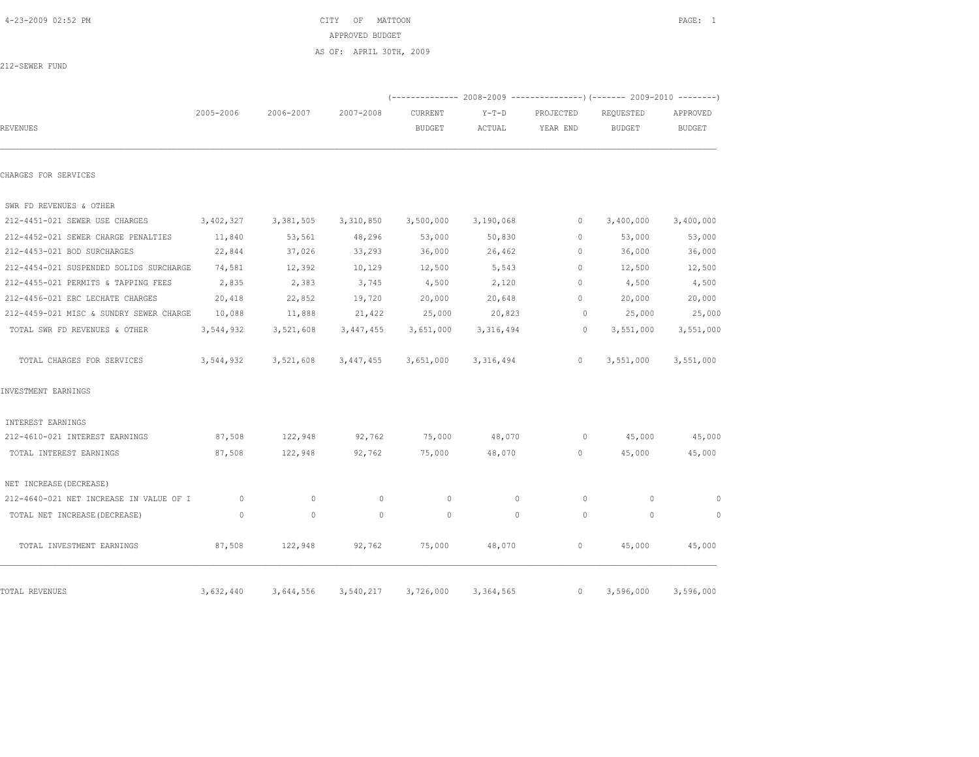|                                         |           |           | AS OF: APRIL 30TH, 2009 |                     |             |              |                                                                         |               |
|-----------------------------------------|-----------|-----------|-------------------------|---------------------|-------------|--------------|-------------------------------------------------------------------------|---------------|
| 212-SEWER FUND                          |           |           |                         |                     |             |              |                                                                         |               |
|                                         |           |           |                         |                     |             |              | (-------------- 2008-2009 ---------------) (------- 2009-2010 --------) |               |
|                                         | 2005-2006 | 2006-2007 | 2007-2008               | CURRENT             | $Y-T-D$     | PROJECTED    | REQUESTED                                                               | APPROVED      |
| <b>REVENUES</b>                         |           |           |                         | <b>BUDGET</b>       | ACTUAL      | YEAR END     | <b>BUDGET</b>                                                           | <b>BUDGET</b> |
| CHARGES FOR SERVICES                    |           |           |                         |                     |             |              |                                                                         |               |
| SWR FD REVENUES & OTHER                 |           |           |                         |                     |             |              |                                                                         |               |
| 212-4451-021 SEWER USE CHARGES          | 3,402,327 | 3,381,505 |                         | 3,310,850 3,500,000 | 3,190,068   | $\circ$      | 3,400,000                                                               | 3,400,000     |
| 212-4452-021 SEWER CHARGE PENALTIES     | 11,840    | 53,561    | 48,296                  | 53,000              | 50,830      | $\mathbf{0}$ | 53,000                                                                  | 53,000        |
| 212-4453-021 BOD SURCHARGES             | 22,844    | 37,026    | 33,293                  | 36,000              | 26,462      | $\mathbf{0}$ | 36,000                                                                  | 36,000        |
| 212-4454-021 SUSPENDED SOLIDS SURCHARGE | 74,581    | 12,392    | 10,129                  | 12,500              | 5,543       | $\Omega$     | 12,500                                                                  | 12,500        |
| 212-4455-021 PERMITS & TAPPING FEES     | 2,835     | 2,383     | 3,745                   | 4,500               | 2,120       | $\circ$      | 4,500                                                                   | 4,500         |
| 212-4456-021 ERC LECHATE CHARGES        | 20,418    | 22,852    | 19,720                  | 20,000              | 20,648      | $\circ$      | 20,000                                                                  | 20,000        |
| 212-4459-021 MISC & SUNDRY SEWER CHARGE | 10,088    | 11,888    | 21,422                  | 25,000              | 20,823      | $\circ$      | 25,000                                                                  | 25,000        |
| TOTAL SWR FD REVENUES & OTHER           | 3,544,932 | 3,521,608 | 3,447,455               | 3,651,000           | 3,316,494   | $\circ$      | 3,551,000                                                               | 3,551,000     |
| TOTAL CHARGES FOR SERVICES              | 3,544,932 | 3,521,608 | 3,447,455               | 3,651,000           | 3, 316, 494 | $\circ$      | 3,551,000                                                               | 3,551,000     |
| INVESTMENT EARNINGS                     |           |           |                         |                     |             |              |                                                                         |               |
| INTEREST EARNINGS                       |           |           |                         |                     |             |              |                                                                         |               |
| 212-4610-021 INTEREST EARNINGS          | 87,508    | 122,948   | 92,762                  | 75,000              | 48,070      | $\circ$      | 45,000                                                                  | 45,000        |
| TOTAL INTEREST EARNINGS                 | 87,508    | 122,948   | 92,762                  | 75,000              | 48,070      | $\mathbf{0}$ | 45,000                                                                  | 45,000        |
| NET INCREASE (DECREASE)                 |           |           |                         |                     |             |              |                                                                         |               |
| 212-4640-021 NET INCREASE IN VALUE OF I | $\circ$   | $\Omega$  | $\circ$                 | $\Omega$            | $\Omega$    | $\circ$      | $\circ$                                                                 | $\circ$       |
| TOTAL NET INCREASE (DECREASE)           | $\circ$   | $\Omega$  | $\Omega$                | $\circ$             | $\Omega$    | $\Omega$     | $\circ$                                                                 | $\Omega$      |
| TOTAL INVESTMENT EARNINGS               | 87,508    | 122,948   | 92,762                  | 75,000              | 48,070      | $\circ$      | 45,000                                                                  | 45,000        |
| TOTAL REVENUES                          | 3,632,440 | 3,644,556 | 3,540,217               | 3,726,000           | 3,364,565   | $\circ$      | 3,596,000                                                               | 3,596,000     |

## 4-23-2009 02:52 PM CITY OF MATTOON PAGE: 1

APPROVED BUDGET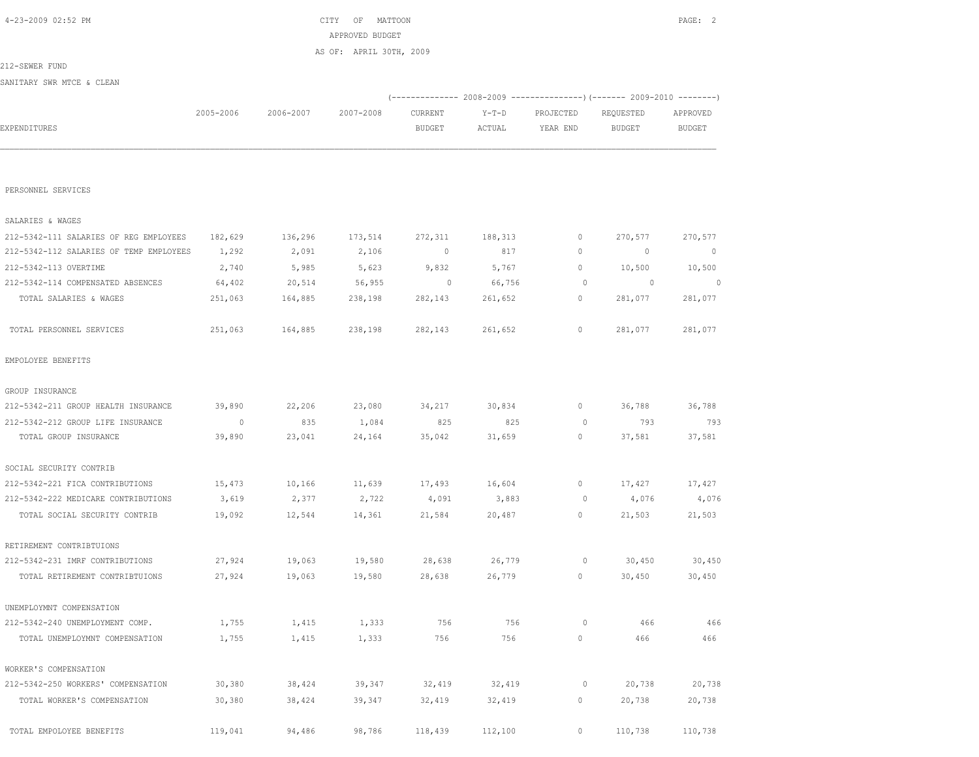|                                         |                |           | AS OF: APRIL 30TH, 2009 |                                                                         |         |              |                |                          |
|-----------------------------------------|----------------|-----------|-------------------------|-------------------------------------------------------------------------|---------|--------------|----------------|--------------------------|
| 212-SEWER FUND                          |                |           |                         |                                                                         |         |              |                |                          |
| SANITARY SWR MTCE & CLEAN               |                |           |                         |                                                                         |         |              |                |                          |
|                                         |                |           |                         | (-------------- 2008-2009 ----------------) (------ 2009-2010 --------) |         |              |                |                          |
|                                         | 2005-2006      | 2006-2007 | 2007-2008               | CURRENT                                                                 | $Y-T-D$ | PROJECTED    | REQUESTED      | APPROVED                 |
| EXPENDITURES                            |                |           |                         | BUDGET                                                                  | ACTUAL  | YEAR END     | <b>BUDGET</b>  | <b>BUDGET</b>            |
|                                         |                |           |                         |                                                                         |         |              |                |                          |
|                                         |                |           |                         |                                                                         |         |              |                |                          |
| PERSONNEL SERVICES                      |                |           |                         |                                                                         |         |              |                |                          |
|                                         |                |           |                         |                                                                         |         |              |                |                          |
| SALARIES & WAGES                        |                |           |                         |                                                                         |         |              |                |                          |
| 212-5342-111 SALARIES OF REG EMPLOYEES  | 182,629        | 136,296   | 173,514                 | 272,311                                                                 | 188,313 | 0            | 270,577        | 270,577                  |
| 212-5342-112 SALARIES OF TEMP EMPLOYEES | 1,292          | 2,091     | 2,106                   | $\circ$                                                                 | 817     | $\circ$      | $\circ$        | $\overline{\phantom{0}}$ |
| 212-5342-113 OVERTIME                   | 2,740          | 5,985     | 5,623                   | 9,832                                                                   | 5,767   | $\circ$      | 10,500         | 10,500                   |
| 212-5342-114 COMPENSATED ABSENCES       | 64,402         | 20,514    | 56,955                  | $\sim$ 0                                                                | 66,756  | 0            | $\overline{0}$ | $\sim$ 0                 |
| TOTAL SALARIES & WAGES                  | 251,063        | 164,885   | 238,198                 | 282,143                                                                 | 261,652 | 0            | 281,077        | 281,077                  |
| TOTAL PERSONNEL SERVICES                | 251,063        | 164,885   | 238,198                 | 282,143                                                                 | 261,652 | $\circ$      | 281,077        | 281,077                  |
| EMPOLOYEE BENEFITS                      |                |           |                         |                                                                         |         |              |                |                          |
| GROUP INSURANCE                         |                |           |                         |                                                                         |         |              |                |                          |
| 212-5342-211 GROUP HEALTH INSURANCE     | 39,890         | 22,206    | 23,080                  | 34,217                                                                  | 30,834  | $\mathbb O$  | 36,788         | 36,788                   |
| 212-5342-212 GROUP LIFE INSURANCE       | $\overline{0}$ | 835       | 1,084                   | 825                                                                     | 825     | 0            | 793            | 793                      |
| TOTAL GROUP INSURANCE                   | 39,890         | 23,041    | 24,164                  | 35,042                                                                  | 31,659  | 0            | 37,581         | 37,581                   |
|                                         |                |           |                         |                                                                         |         |              |                |                          |
| SOCIAL SECURITY CONTRIB                 |                |           |                         |                                                                         |         |              |                |                          |
| 212-5342-221 FICA CONTRIBUTIONS         | 15,473         | 10,166    | 11,639                  | 17,493                                                                  | 16,604  | $\circ$      | 17,427         | 17,427                   |
| 212-5342-222 MEDICARE CONTRIBUTIONS     | 3,619          | 2,377     | 2,722                   | 4,091                                                                   | 3,883   | 0            | 4,076          | 4,076                    |
| TOTAL SOCIAL SECURITY CONTRIB           | 19,092         | 12,544    | 14,361                  | 21,584                                                                  | 20,487  | $\mathbf{0}$ | 21,503         | 21,503                   |
|                                         |                |           |                         |                                                                         |         |              |                |                          |
| RETIREMENT CONTRIBTUIONS                |                |           |                         |                                                                         |         |              |                |                          |
| 212-5342-231 IMRF CONTRIBUTIONS         | 27,924         | 19,063    | 19,580                  | 28,638                                                                  | 26,779  | 0            | 30,450         | 30,450                   |
| TOTAL RETIREMENT CONTRIBTUIONS          | 27,924         | 19,063    | 19,580                  | 28,638                                                                  | 26,779  | $\circ$      | 30,450         | 30,450                   |
| UNEMPLOYMNT COMPENSATION                |                |           |                         |                                                                         |         |              |                |                          |
| 212-5342-240 UNEMPLOYMENT COMP.         | 1,755          | 1,415     | 1,333                   | 756                                                                     | 756     | $\circ$      | 466            | 466                      |
| TOTAL UNEMPLOYMNT COMPENSATION          | 1,755          | 1,415     | 1,333                   | 756                                                                     | 756     | $\circ$      | 466            | 466                      |
|                                         |                |           |                         |                                                                         |         |              |                |                          |
| WORKER'S COMPENSATION                   |                |           |                         |                                                                         |         |              |                |                          |
| 212-5342-250 WORKERS' COMPENSATION      | 30,380         | 38,424    | 39,347                  | 32,419                                                                  | 32,419  | $\circ$      | 20,738         | 20,738                   |
| TOTAL WORKER'S COMPENSATION             | 30,380         | 38,424    | 39,347                  | 32,419                                                                  | 32,419  | $\circ$      | 20,738         | 20,738                   |
| TOTAL EMPOLOYEE BENEFITS                | 119,041        | 94,486    | 98,786                  | 118,439                                                                 | 112,100 | $\circ$      | 110,738        | 110,738                  |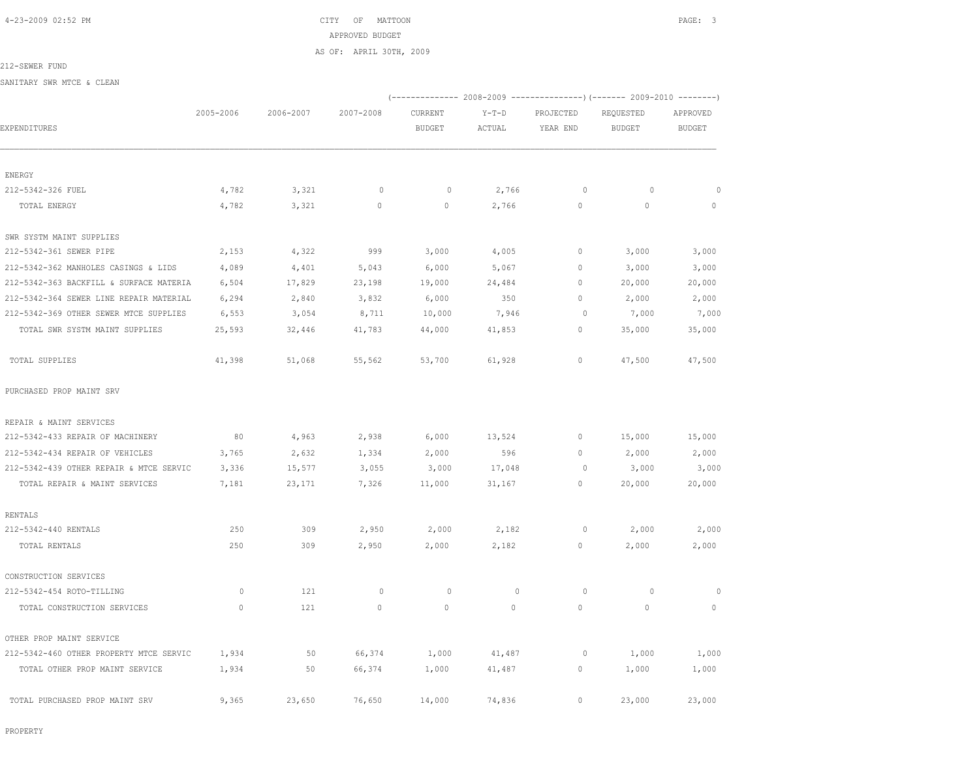4-23-2009 02:52 PM CITY OF MATTOON PAGE: 3 APPROVED BUDGET AS OF: APRIL 30TH, 2009

212-SEWER FUND

SANITARY SWR MTCE & CLEAN

|                                         |           |           |              |               |             |             | (-------------- 2008-2009 ----------------) (------- 2009-2010 --------) |               |
|-----------------------------------------|-----------|-----------|--------------|---------------|-------------|-------------|--------------------------------------------------------------------------|---------------|
|                                         | 2005-2006 | 2006-2007 | 2007-2008    | CURRENT       | $Y-T-D$     | PROJECTED   | REQUESTED                                                                | APPROVED      |
| EXPENDITURES                            |           |           |              | <b>BUDGET</b> | ACTUAL      | YEAR END    | <b>BUDGET</b>                                                            | <b>BUDGET</b> |
| ENERGY                                  |           |           |              |               |             |             |                                                                          |               |
| 212-5342-326 FUEL                       | 4,782     | 3,321     | $\circ$      | $\circ$       | 2,766       | $\circ$     | $\circ$                                                                  | $\circ$       |
| TOTAL ENERGY                            | 4,782     | 3,321     | $\mathbf{0}$ | $\circ$       | 2,766       | $\circ$     | $\circ$                                                                  | $\circ$       |
| SWR SYSTM MAINT SUPPLIES                |           |           |              |               |             |             |                                                                          |               |
| 212-5342-361 SEWER PIPE                 | 2,153     | 4,322     | 999          | 3,000         | 4,005       | 0           | 3,000                                                                    | 3,000         |
| 212-5342-362 MANHOLES CASINGS & LIDS    | 4,089     | 4,401     | 5,043        | 6,000         | 5,067       | $\mathbb O$ | 3,000                                                                    | 3,000         |
| 212-5342-363 BACKFILL & SURFACE MATERIA | 6,504     | 17,829    | 23,198       | 19,000        | 24,484      | 0           | 20,000                                                                   | 20,000        |
| 212-5342-364 SEWER LINE REPAIR MATERIAL | 6,294     | 2,840     | 3,832        | 6,000         | 350         | $\circ$     | 2,000                                                                    | 2,000         |
| 212-5342-369 OTHER SEWER MTCE SUPPLIES  | 6,553     | 3,054     | 8,711        | 10,000        | 7,946       | $\circ$     | 7,000                                                                    | 7,000         |
| TOTAL SWR SYSTM MAINT SUPPLIES          | 25,593    | 32,446    | 41,783       | 44,000        | 41,853      | 0           | 35,000                                                                   | 35,000        |
| TOTAL SUPPLIES                          | 41,398    | 51,068    | 55,562       | 53,700        | 61,928      | 0           | 47,500                                                                   | 47,500        |
| PURCHASED PROP MAINT SRV                |           |           |              |               |             |             |                                                                          |               |
| REPAIR & MAINT SERVICES                 |           |           |              |               |             |             |                                                                          |               |
| 212-5342-433 REPAIR OF MACHINERY        | 80        | 4,963     | 2,938        | 6,000         | 13,524      | 0           | 15,000                                                                   | 15,000        |
| 212-5342-434 REPAIR OF VEHICLES         | 3,765     | 2,632     | 1,334        | 2,000         | 596         | $\mathbb O$ | 2,000                                                                    | 2,000         |
| 212-5342-439 OTHER REPAIR & MTCE SERVIC | 3,336     | 15,577    | 3,055        | 3,000         | 17,048      | $\circ$     | 3,000                                                                    | 3,000         |
| TOTAL REPAIR & MAINT SERVICES           | 7,181     | 23,171    | 7,326        | 11,000        | 31,167      | $\circ$     | 20,000                                                                   | 20,000        |
| RENTALS                                 |           |           |              |               |             |             |                                                                          |               |
| 212-5342-440 RENTALS                    | 250       | 309       | 2,950        | 2,000         | 2,182       | $\circ$     | 2,000                                                                    | 2,000         |
| TOTAL RENTALS                           | 250       | 309       | 2,950        | 2,000         | 2,182       | $\circ$     | 2,000                                                                    | 2,000         |
| CONSTRUCTION SERVICES                   |           |           |              |               |             |             |                                                                          |               |
| 212-5342-454 ROTO-TILLING               | $\circ$   | 121       | $\circ$      | $\circ$       | $\mathbf 0$ | 0           | $\circ$                                                                  | $\circ$       |
| TOTAL CONSTRUCTION SERVICES             | $\circ$   | 121       | $\mathbb O$  | $\circ$       | $\circ$     | $\circ$     | $\mathbf{0}$                                                             | $\circ$       |
| OTHER PROP MAINT SERVICE                |           |           |              |               |             |             |                                                                          |               |
| 212-5342-460 OTHER PROPERTY MTCE SERVIC | 1,934     | 50        | 66,374       | 1,000         | 41,487      | $\circ$     | 1,000                                                                    | 1,000         |
| TOTAL OTHER PROP MAINT SERVICE          | 1,934     | 50        | 66,374       | 1,000         | 41,487      | 0           | 1,000                                                                    | 1,000         |
| TOTAL PURCHASED PROP MAINT SRV          | 9,365     | 23,650    | 76,650       | 14,000        | 74,836      | 0           | 23,000                                                                   | 23,000        |

PROPERTY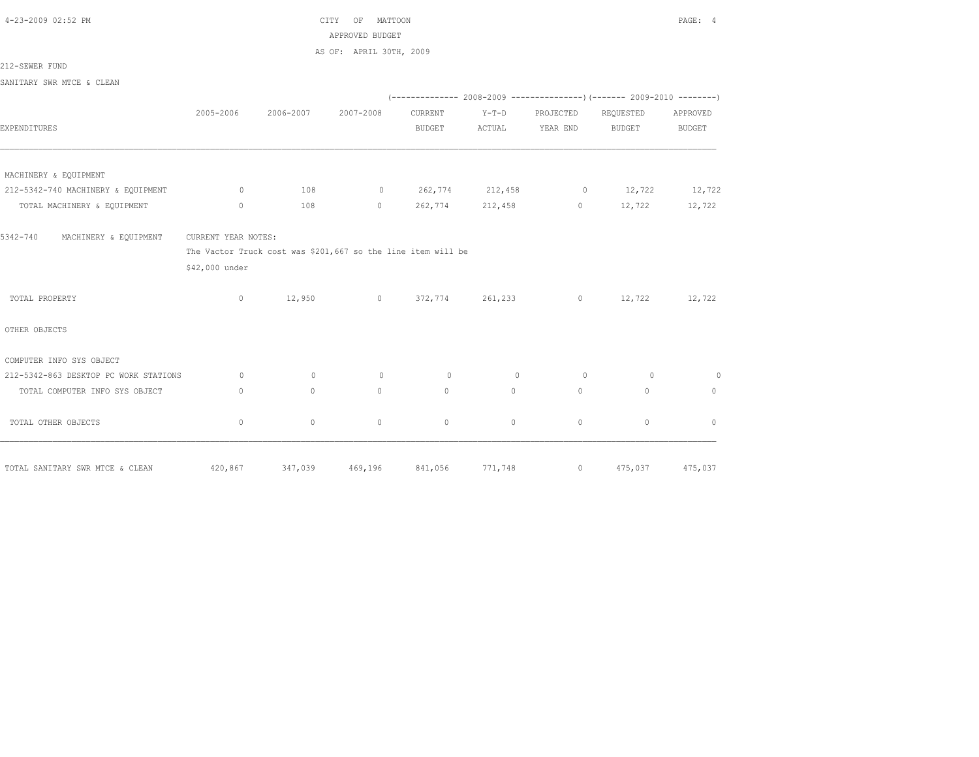4-23-2009 02:52 PM CITY OF MATTOON PAGE: 4 APPROVED BUDGET

AS OF: APRIL 30TH, 2009

212-SEWER FUND

SANITARY SWR MTCE & CLEAN

|                                       |                                                              |           |                                            |                           |          |                | $(---------- 2008-2009 ---------- 2009-2010 ---- 2009-2010 ---- 2009-2010 ---- 2009-2010 ---- 2009-2010 ---- 2009-2010 ---- 2009-2010 ---- 2009-2010 ---- 2009-2010 ---- 2009-2010 ---- 2009-2010 ---- 2009-2010 ---- 2009-2010 ---- 2009-2010 ---- 2009-2010 ---- 2009-2010 ---- 2009-2010$ |               |
|---------------------------------------|--------------------------------------------------------------|-----------|--------------------------------------------|---------------------------|----------|----------------|----------------------------------------------------------------------------------------------------------------------------------------------------------------------------------------------------------------------------------------------------------------------------------------------|---------------|
|                                       | 2005-2006                                                    | 2006-2007 | 2007-2008                                  | CURRENT                   | $Y-T-D$  | PROJECTED      | REQUESTED                                                                                                                                                                                                                                                                                    | APPROVED      |
| EXPENDITURES                          |                                                              |           |                                            | <b>BUDGET</b>             | ACTUAL   | YEAR END       | <b>BUDGET</b>                                                                                                                                                                                                                                                                                | <b>BUDGET</b> |
|                                       |                                                              |           |                                            |                           |          |                |                                                                                                                                                                                                                                                                                              |               |
| MACHINERY & EQUIPMENT                 |                                                              |           |                                            |                           |          |                |                                                                                                                                                                                                                                                                                              |               |
| 212-5342-740 MACHINERY & EQUIPMENT    | $\sim$ 0 $\sim$ 0 $\sim$                                     | 108       | 0 $262,774$ $212,458$ 0 $12,722$ $12,722$  |                           |          |                |                                                                                                                                                                                                                                                                                              |               |
| TOTAL MACHINERY & EQUIPMENT           | $\circ$                                                      | 108       |                                            | $0 \t 262,774 \t 212,458$ |          |                | $0 \t 12,722 \t 12,722$                                                                                                                                                                                                                                                                      |               |
| 5342-740<br>MACHINERY & EQUIPMENT     | CURRENT YEAR NOTES:                                          |           |                                            |                           |          |                |                                                                                                                                                                                                                                                                                              |               |
|                                       | The Vactor Truck cost was \$201,667 so the line item will be |           |                                            |                           |          |                |                                                                                                                                                                                                                                                                                              |               |
|                                       | \$42,000 under                                               |           |                                            |                           |          |                |                                                                                                                                                                                                                                                                                              |               |
| TOTAL PROPERTY                        | $\circ$                                                      |           | $12,950$ 0 372,774 261,233 0 12,722 12,722 |                           |          |                |                                                                                                                                                                                                                                                                                              |               |
| OTHER OBJECTS                         |                                                              |           |                                            |                           |          |                |                                                                                                                                                                                                                                                                                              |               |
| COMPUTER INFO SYS OBJECT              |                                                              |           |                                            |                           |          |                |                                                                                                                                                                                                                                                                                              |               |
| 212-5342-863 DESKTOP PC WORK STATIONS | $\sim$ 0                                                     | $\circ$   | $0 \qquad \qquad$                          | $\circ$                   | $\sim$ 0 | $\overline{0}$ | $\overline{0}$                                                                                                                                                                                                                                                                               | $\circ$       |
| TOTAL COMPUTER INFO SYS OBJECT        | $\mathbf{0}$                                                 | $\Omega$  | $\Omega$                                   | $\Omega$                  | $\Omega$ | $\circ$        | $\Omega$                                                                                                                                                                                                                                                                                     | $\circ$       |
| TOTAL OTHER OBJECTS                   | $\circ$                                                      | $\circ$   | $\mathbf{0}$                               | $\circ$                   | $\circ$  | $\mathbf{0}$   | $\mathbf{0}$                                                                                                                                                                                                                                                                                 | $\mathbf{0}$  |
| TOTAL SANITARY SWR MTCE & CLEAN       | 420,867                                                      | 347,039   | 469,196                                    | 841,056                   | 771,748  | $\overline{0}$ | 475,037                                                                                                                                                                                                                                                                                      | 475,037       |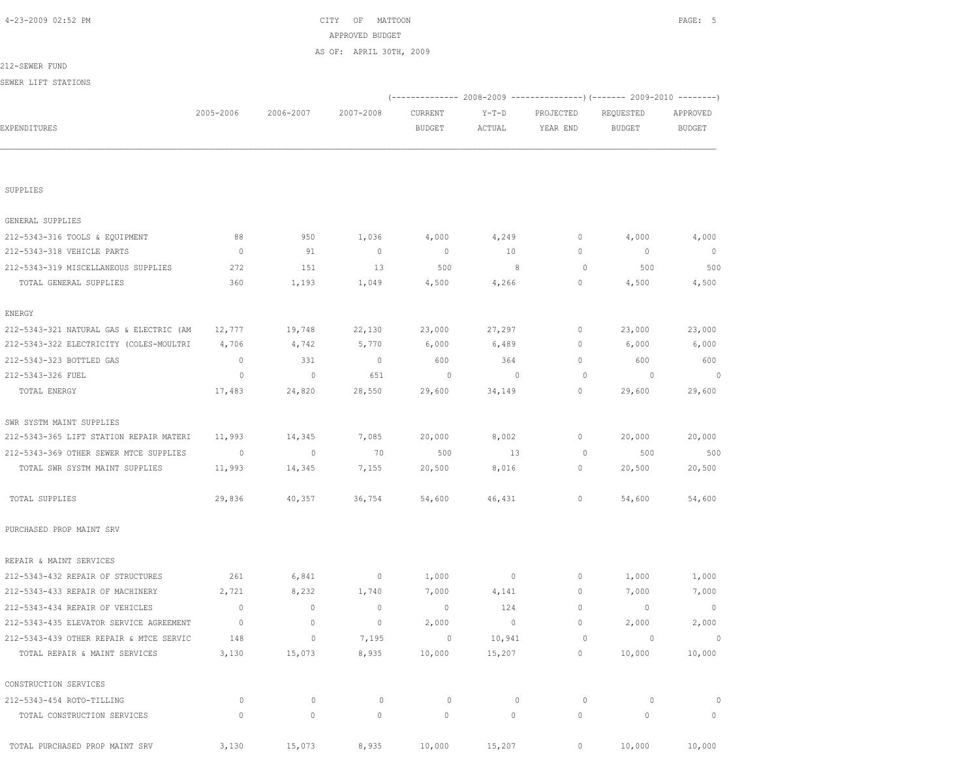| SUPPLIES                                |                |             |             |                |         |             |                |                |
|-----------------------------------------|----------------|-------------|-------------|----------------|---------|-------------|----------------|----------------|
| GENERAL SUPPLIES                        |                |             |             |                |         |             |                |                |
| 212-5343-316 TOOLS & EQUIPMENT          | 88             | 950         | 1,036       | 4,000          | 4,249   | $\circ$     | 4,000          | 4,000          |
| 212-5343-318 VEHICLE PARTS              | $\circ$        | 91          | $\mathbb O$ | $\overline{0}$ | 10      | $\mathbb O$ | $\mathbb O$    | $\circ$        |
| 212-5343-319 MISCELLANEOUS SUPPLIES     | 272            | 151         | 13          | 500            | 8       | $\circ$     | 500            | 500            |
| TOTAL GENERAL SUPPLIES                  | 360            | 1,193       | 1,049       | 4,500          | 4,266   | $\circ$     | 4,500          | 4,500          |
| ENERGY                                  |                |             |             |                |         |             |                |                |
| 212-5343-321 NATURAL GAS & ELECTRIC (AM | 12,777         | 19,748      | 22,130      | 23,000         | 27,297  | 0           | 23,000         | 23,000         |
| 212-5343-322 ELECTRICITY (COLES-MOULTRI | 4,706          | 4,742       | 5,770       | 6,000          | 6,489   | 0           | 6,000          | 6,000          |
| 212-5343-323 BOTTLED GAS                | $\circ$        | 331         | $\circ$     | 600            | 364     | $\circ$     | 600            | 600            |
| 212-5343-326 FUEL                       | $\circ$        | $\circ$     | 651         | $\circ$        | $\circ$ | $\circ$     | $\circ$        | $\Omega$       |
| TOTAL ENERGY                            | 17,483         | 24,820      | 28,550      | 29,600         | 34,149  | 0           | 29,600         | 29,600         |
| SWR SYSTM MAINT SUPPLIES                |                |             |             |                |         |             |                |                |
| 212-5343-365 LIFT STATION REPAIR MATERI | 11,993         | 14,345      | 7,085       | 20,000         | 8,002   | 0           | 20,000         | 20,000         |
| 212-5343-369 OTHER SEWER MTCE SUPPLIES  | $\overline{0}$ | $\circ$     | 70          | 500            | 13      | 0           | 500            | 500            |
| TOTAL SWR SYSTM MAINT SUPPLIES          | 11,993         | 14,345      | 7,155       | 20,500         | 8,016   | $\circ$     | 20,500         | 20,500         |
| TOTAL SUPPLIES                          | 29,836         | 40,357      | 36,754      | 54,600         | 46,431  | $\circ$     | 54,600         | 54,600         |
| PURCHASED PROP MAINT SRV                |                |             |             |                |         |             |                |                |
| REPAIR & MAINT SERVICES                 |                |             |             |                |         |             |                |                |
| 212-5343-432 REPAIR OF STRUCTURES       | 261            | 6,841       | $\circ$     | 1,000          | $\circ$ | $\mathbb O$ | 1,000          | 1,000          |
| 212-5343-433 REPAIR OF MACHINERY        | 2,721          | 8,232       | 1,740       | 7,000          | 4,141   | $\circ$     | 7,000          | 7,000          |
| 212-5343-434 REPAIR OF VEHICLES         | $\mathbb O$    | $\circ$     | $\mathbb O$ | $\overline{0}$ | 124     | $\circ$     | $\overline{0}$ | $\overline{0}$ |
| 212-5343-435 ELEVATOR SERVICE AGREEMENT | $\overline{0}$ | $\circ$     | $\circ$     | 2,000          | $\circ$ | $\circ$     | 2,000          | 2,000          |
| 212-5343-439 OTHER REPAIR & MTCE SERVIC | 148            | $\mathbf 0$ | 7,195       | 0              | 10,941  | $\circ$     | $\circ$        | $\circ$        |
| TOTAL REPAIR & MAINT SERVICES           | 3,130          | 15,073      | 8,935       | 10,000         | 15,207  | $\circ$     | 10,000         | 10,000         |
| CONSTRUCTION SERVICES                   |                |             |             |                |         |             |                |                |
| 212-5343-454 ROTO-TILLING               | $\circ$        | $\circ$     | $\circ$     | $\circ$        | $\circ$ | $\circ$     | $\circ$        |                |
| TOTAL CONSTRUCTION SERVICES             | $\circ$        | $\circ$     | $\mathbf 0$ | $\mathbf 0$    | 0       | $\circ$     | $\circ$        | 0              |
| TOTAL PURCHASED PROP MAINT SRV          | 3,130          | 15,073      | 8,935       | 10,000         | 15,207  | $\circ$     | 10,000         | 10,000         |

| 4-23-2009 02:52 PM             |              |           | CITY<br>OF<br>MATTOON   |               |         |           |                                                                          | PAGE: 5       |
|--------------------------------|--------------|-----------|-------------------------|---------------|---------|-----------|--------------------------------------------------------------------------|---------------|
|                                |              |           | APPROVED BUDGET         |               |         |           |                                                                          |               |
|                                |              |           | AS OF: APRIL 30TH, 2009 |               |         |           |                                                                          |               |
| 212-SEWER FUND                 |              |           |                         |               |         |           |                                                                          |               |
| SEWER LIFT STATIONS            |              |           |                         |               |         |           |                                                                          |               |
|                                |              |           |                         |               |         |           | (-------------- 2008-2009 ----------------) (------- 2009-2010 --------) |               |
|                                | 2005-2006    | 2006-2007 | 2007-2008               | CURRENT       | $Y-T-D$ | PROJECTED | REQUESTED                                                                | APPROVED      |
| <b>EXPENDITURES</b>            |              |           |                         | <b>BUDGET</b> | ACTUAL  | YEAR END  | <b>BUDGET</b>                                                            | <b>BUDGET</b> |
|                                |              |           |                         |               |         |           |                                                                          |               |
|                                |              |           |                         |               |         |           |                                                                          |               |
|                                |              |           |                         |               |         |           |                                                                          |               |
| SUPPLIES                       |              |           |                         |               |         |           |                                                                          |               |
|                                |              |           |                         |               |         |           |                                                                          |               |
| GENERAL SUPPLIES               |              |           |                         |               |         |           |                                                                          |               |
| 212-5343-316 TOOLS & EQUIPMENT | 88           | 950       | 1,036                   | 4,000         | 4,249   | $\circ$   | 4,000                                                                    | 4,000         |
| 212-5343-318 VEHICLE PARTS     | $\mathbf{0}$ | 91        | $\mathbf{0}$            | $\circ$       | 10      | $\circ$   | $\mathbf{0}$                                                             | $\mathbf{0}$  |
|                                |              |           |                         |               |         |           |                                                                          |               |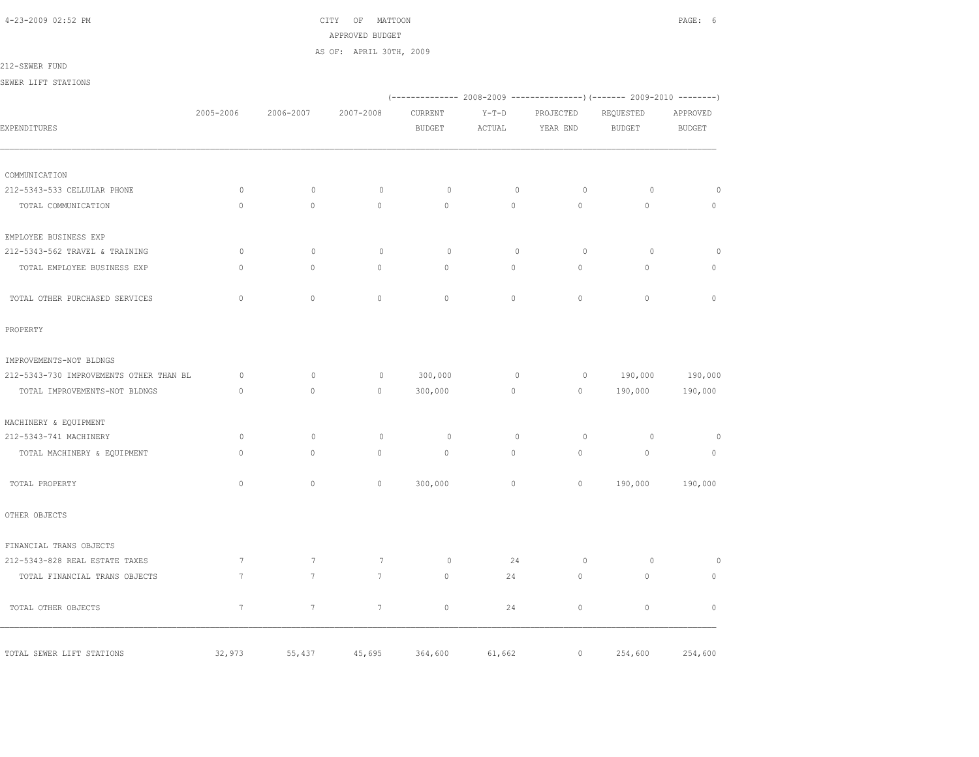4-23-2009 02:52 PM CITY OF MATTOON PAGE: 6 APPROVED BUDGET

AS OF: APRIL 30TH, 2009

212-SEWER FUND

SEWER LIFT STATIONS

|                                         |                 |                 |                 | (-------------- 2008-2009 -------------------- 2009-2010 ----------- |              |                   |                              |               |
|-----------------------------------------|-----------------|-----------------|-----------------|----------------------------------------------------------------------|--------------|-------------------|------------------------------|---------------|
|                                         | 2005-2006       | 2006-2007       | 2007-2008       | CURRENT                                                              | $Y-T-D$      | PROJECTED         | REQUESTED                    | APPROVED      |
| EXPENDITURES                            |                 |                 |                 | <b>BUDGET</b>                                                        | ACTUAL       | YEAR END          | <b>BUDGET</b>                | <b>BUDGET</b> |
|                                         |                 |                 |                 |                                                                      |              |                   |                              |               |
| COMMUNICATION                           |                 |                 |                 |                                                                      |              |                   |                              |               |
| 212-5343-533 CELLULAR PHONE             | $\circ$         | $\circ$         | $\circ$         | $\circ$                                                              | $\circ$      | $\circ$           | $\circ$                      | $\circ$       |
| TOTAL COMMUNICATION                     | $\mathbf{0}$    | $\circ$         | $\mathbf{0}$    | $\circ$                                                              | $\circ$      | $\mathbf{0}$      | $\mathbf{0}$                 | $\circ$       |
| EMPLOYEE BUSINESS EXP                   |                 |                 |                 |                                                                      |              |                   |                              |               |
| 212-5343-562 TRAVEL & TRAINING          | $\circ$         | $\circ$         | $\circ$         | $\circ$                                                              | $\mathbf{0}$ | $\circ$           | $\circ$                      | $\circ$       |
| TOTAL EMPLOYEE BUSINESS EXP             | $\Omega$        | $\circ$         | $\circ$         | $\mathbf{0}$                                                         | $\circ$      | $\circ$           | $\circ$                      | $\mathbf{0}$  |
| TOTAL OTHER PURCHASED SERVICES          | $\Omega$        | $\circ$         | $\Omega$        | $\circ$                                                              | $\circ$      | $\circ$           | $\Omega$                     | $\circ$       |
| PROPERTY                                |                 |                 |                 |                                                                      |              |                   |                              |               |
| IMPROVEMENTS-NOT BLDNGS                 |                 |                 |                 |                                                                      |              |                   |                              |               |
| 212-5343-730 IMPROVEMENTS OTHER THAN BL | $\circ$         | $\circ$         | $\circ$         | 300,000                                                              | $\circ$      |                   | $0 \qquad \qquad$<br>190,000 | 190,000       |
| TOTAL IMPROVEMENTS-NOT BLDNGS           | $\Omega$        | $\circ$         | $\mathbf{0}$    | 300,000                                                              | $\circ$      | $0 \qquad \qquad$ | 190,000                      | 190,000       |
| MACHINERY & EQUIPMENT                   |                 |                 |                 |                                                                      |              |                   |                              |               |
| 212-5343-741 MACHINERY                  | $\circ$         | $\mathbf{0}$    | $\circ$         | $\circ$                                                              | $\mathbf{0}$ | $\circ$           | $\circ$                      | $\circ$       |
| TOTAL MACHINERY & EQUIPMENT             | $\cap$          | $\Omega$        | $\Omega$        | $\circ$                                                              | $\Omega$     | $\Omega$          | $\Omega$                     | $\circ$       |
| TOTAL PROPERTY                          | $\mathbf{0}$    | $\mathbb O$     | $\mathbf{0}$    | 300,000                                                              | $\circ$      | $\circ$           | 190,000                      | 190,000       |
| OTHER OBJECTS                           |                 |                 |                 |                                                                      |              |                   |                              |               |
| FINANCIAL TRANS OBJECTS                 |                 |                 |                 |                                                                      |              |                   |                              |               |
| 212-5343-828 REAL ESTATE TAXES          | $7\phantom{.0}$ | $7\phantom{.0}$ | $7\phantom{.0}$ | $\circ$                                                              | 24           | $\circ$           | $\circ$                      | $\circ$       |
| TOTAL FINANCIAL TRANS OBJECTS           | $7\phantom{.0}$ | $7\overline{ }$ | $7\overline{ }$ | $\circ$                                                              | 24           | $\circ$           | $\circ$                      | $\circ$       |
| TOTAL OTHER OBJECTS                     | $7\phantom{.0}$ | $7\phantom{.0}$ | $7\phantom{.0}$ | $\mathbf{0}$                                                         | 24           | $\circ$           | $\mathbf{0}$                 | $\mathbb O$   |
| TOTAL SEWER LIFT STATIONS               | 32,973          | 55,437          | 45,695          | 364,600                                                              | 61,662       | $\circ$           | 254,600                      | 254,600       |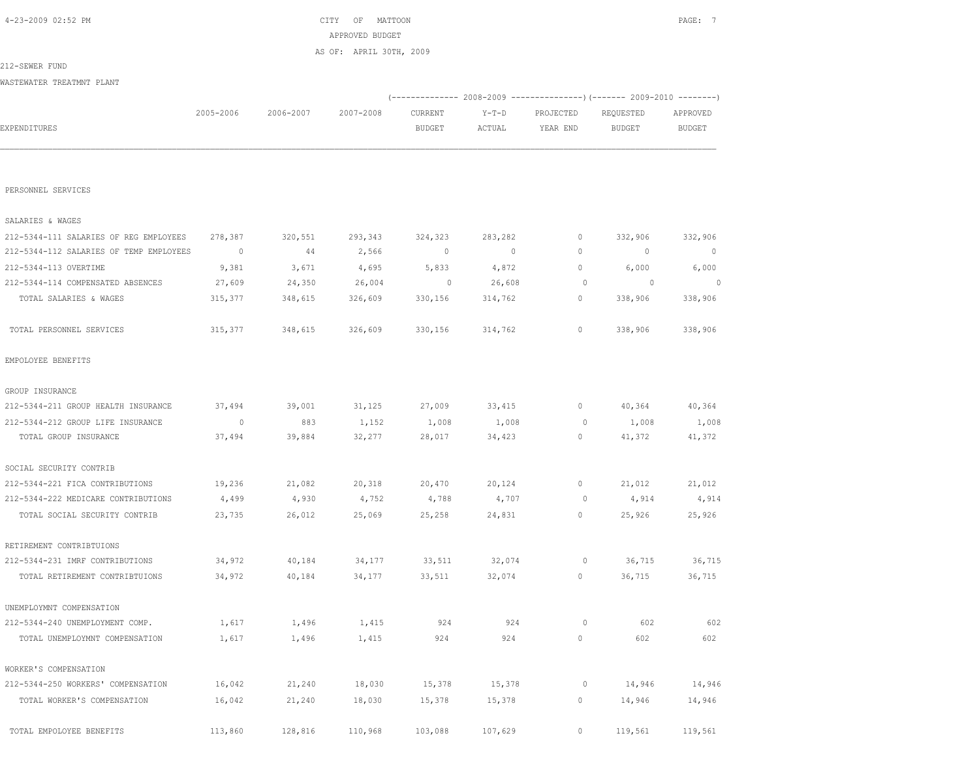|                                         |                          |           | AS OF: APRIL 30TH, 2009 |                                                                         |                |              |                          |                          |  |
|-----------------------------------------|--------------------------|-----------|-------------------------|-------------------------------------------------------------------------|----------------|--------------|--------------------------|--------------------------|--|
| 212-SEWER FUND                          |                          |           |                         |                                                                         |                |              |                          |                          |  |
| WASTEWATER TREATMNT PLANT               |                          |           |                         |                                                                         |                |              |                          |                          |  |
|                                         |                          |           |                         | (-------------- 2008-2009 ---------------) (------- 2009-2010 --------) |                |              |                          |                          |  |
|                                         | 2005-2006                | 2006-2007 | 2007-2008               | CURRENT                                                                 | $Y-T-D$        | PROJECTED    | REQUESTED                | APPROVED                 |  |
| EXPENDITURES                            |                          |           |                         | <b>BUDGET</b>                                                           | ACTUAL         | YEAR END     | <b>BUDGET</b>            | <b>BUDGET</b>            |  |
|                                         |                          |           |                         |                                                                         |                |              |                          |                          |  |
|                                         |                          |           |                         |                                                                         |                |              |                          |                          |  |
|                                         |                          |           |                         |                                                                         |                |              |                          |                          |  |
| PERSONNEL SERVICES                      |                          |           |                         |                                                                         |                |              |                          |                          |  |
| SALARIES & WAGES                        |                          |           |                         |                                                                         |                |              |                          |                          |  |
| 212-5344-111 SALARIES OF REG EMPLOYEES  | 278,387                  | 320,551   | 293,343                 | 324,323                                                                 | 283,282        | 0            | 332,906                  | 332,906                  |  |
| 212-5344-112 SALARIES OF TEMP EMPLOYEES | $\overline{\phantom{0}}$ | 44        | 2,566                   | $\overline{0}$                                                          | $\overline{0}$ | $\mathbf{0}$ | $\mathbf 0$              | $\overline{\phantom{0}}$ |  |
| 212-5344-113 OVERTIME                   | 9,381                    | 3,671     | 4,695                   | 5,833                                                                   | 4,872          | $\circ$      | 6,000                    | 6,000                    |  |
| 212-5344-114 COMPENSATED ABSENCES       | 27,609                   | 24,350    | 26,004                  | $\overline{0}$                                                          | 26,608         | $\circ$      | $\overline{\phantom{0}}$ | $\overline{0}$           |  |
| TOTAL SALARIES & WAGES                  | 315,377                  | 348,615   | 326,609                 | 330,156                                                                 | 314,762        | $\circ$      | 338,906                  | 338,906                  |  |
|                                         |                          |           |                         |                                                                         |                |              |                          |                          |  |
| TOTAL PERSONNEL SERVICES                | 315,377                  | 348,615   | 326,609                 | 330,156                                                                 | 314,762        | $\circ$      | 338,906                  | 338,906                  |  |
| EMPOLOYEE BENEFITS                      |                          |           |                         |                                                                         |                |              |                          |                          |  |
| GROUP INSURANCE                         |                          |           |                         |                                                                         |                |              |                          |                          |  |
| 212-5344-211 GROUP HEALTH INSURANCE     | 37,494                   | 39,001    | 31,125                  | 27,009                                                                  | 33,415         | 0            | 40,364                   | 40,364                   |  |
| 212-5344-212 GROUP LIFE INSURANCE       | $\overline{0}$           | 883       | 1,152                   | 1,008                                                                   | 1,008          | $\circ$      | 1,008                    | 1,008                    |  |
| TOTAL GROUP INSURANCE                   | 37,494                   | 39,884    | 32,277                  | 28,017                                                                  | 34,423         | 0            | 41,372                   | 41,372                   |  |
| SOCIAL SECURITY CONTRIB                 |                          |           |                         |                                                                         |                |              |                          |                          |  |
| 212-5344-221 FICA CONTRIBUTIONS         | 19,236                   | 21,082    | 20,318                  | 20,470                                                                  | 20,124         | 0            | 21,012                   | 21,012                   |  |
| 212-5344-222 MEDICARE CONTRIBUTIONS     | 4,499                    | 4,930     | 4,752                   | 4,788                                                                   | 4,707          | 0            | 4,914                    | 4,914                    |  |
| TOTAL SOCIAL SECURITY CONTRIB           | 23,735                   | 26,012    | 25,069                  | 25,258                                                                  | 24,831         | $\circ$      | 25,926                   | 25,926                   |  |
|                                         |                          |           |                         |                                                                         |                |              |                          |                          |  |
| RETIREMENT CONTRIBTUIONS                |                          |           |                         |                                                                         |                |              |                          |                          |  |
| 212-5344-231 IMRF CONTRIBUTIONS         | 34,972                   | 40,184    | 34,177                  | 33,511                                                                  | 32,074         | $\circ$      | 36,715                   | 36,715                   |  |
| TOTAL RETIREMENT CONTRIBTUIONS          | 34,972                   | 40,184    | 34,177                  | 33,511                                                                  | 32,074         | $\circ$      | 36,715                   | 36,715                   |  |
| UNEMPLOYMNT COMPENSATION                |                          |           |                         |                                                                         |                |              |                          |                          |  |
| 212-5344-240 UNEMPLOYMENT COMP.         | 1,617                    | 1,496     | 1,415                   | 924                                                                     | 924            | $\circ$      | 602                      | 602                      |  |
| TOTAL UNEMPLOYMNT COMPENSATION          | 1,617                    | 1,496     | 1,415                   | 924                                                                     | 924            | $\mathbb O$  | 602                      | 602                      |  |
| WORKER'S COMPENSATION                   |                          |           |                         |                                                                         |                |              |                          |                          |  |
| 212-5344-250 WORKERS' COMPENSATION      | 16,042                   | 21,240    | 18,030                  | 15,378                                                                  | 15,378         | $\circ$      | 14,946                   | 14,946                   |  |
| TOTAL WORKER'S COMPENSATION             | 16,042                   | 21,240    | 18,030                  | 15,378                                                                  | 15,378         | 0            | 14,946                   | 14,946                   |  |
| TOTAL EMPOLOYEE BENEFITS                | 113,860                  | 128,816   | 110,968                 | 103,088                                                                 | 107,629        | $\circ$      | 119,561                  | 119,561                  |  |
|                                         |                          |           |                         |                                                                         |                |              |                          |                          |  |

 4-23-2009 02:52 PM CITY OF MATTOON PAGE: 7 APPROVED BUDGET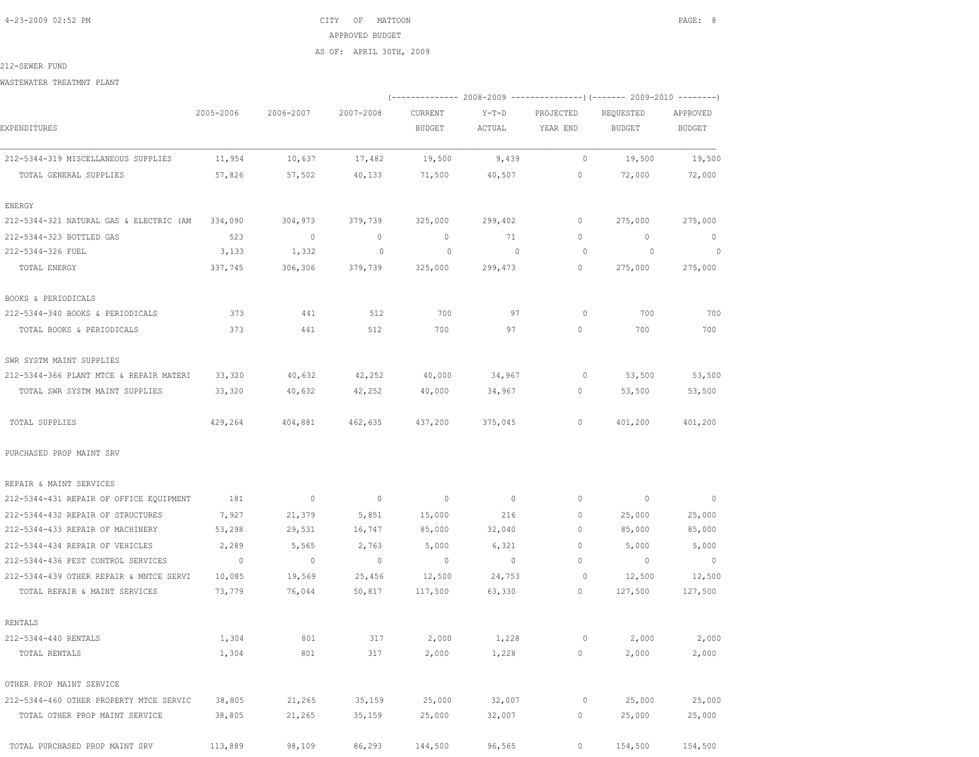4-23-2009 02:52 PM CITY OF MATTOON PAGE: 8 APPROVED BUDGET AS OF: APRIL 30TH, 2009

212-SEWER FUND

WASTEWATER TREATMNT PLANT

|                                         |                          |                          |                          | (-------------- 2008-2009 ----------------) (------- 2009-2010 --------) |                   |                       |                            |                           |  |
|-----------------------------------------|--------------------------|--------------------------|--------------------------|--------------------------------------------------------------------------|-------------------|-----------------------|----------------------------|---------------------------|--|
| EXPENDITURES                            | 2005-2006                | 2006-2007                | 2007-2008                | CURRENT<br><b>BUDGET</b>                                                 | $Y-T-D$<br>ACTUAL | PROJECTED<br>YEAR END | REQUESTED<br><b>BUDGET</b> | APPROVED<br><b>BUDGET</b> |  |
| 212-5344-319 MISCELLANEOUS SUPPLIES     | 11,954                   | 10,637                   | 17,482                   | 19,500                                                                   | 9,439             | $\circ$               | 19,500                     | 19,500                    |  |
| TOTAL GENERAL SUPPLIES                  | 57,826                   | 57,502                   | 40,133                   | 71,500                                                                   | 40,507            | 0                     | 72,000                     | 72,000                    |  |
| ENERGY                                  |                          |                          |                          |                                                                          |                   |                       |                            |                           |  |
| 212-5344-321 NATURAL GAS & ELECTRIC (AM | 334,090                  | 304,973                  | 379,739                  | 325,000                                                                  | 299,402           | $\circ$               | 275,000                    | 275,000                   |  |
| 212-5344-323 BOTTLED GAS                | 523                      | $\sim$ 0                 | $\circ$                  | $\circ$                                                                  | 71                | 0                     | $\circ$                    | $\overline{0}$            |  |
| 212-5344-326 FUEL                       | 3,133                    | 1,332                    | $\mathbb O$              | $\circ$                                                                  | $\sim$ 0          | $\circ$               | $\overline{0}$             | $\sim$ 0                  |  |
| TOTAL ENERGY                            | 337,745                  | 306,306                  | 379,739                  | 325,000                                                                  | 299,473           | 0                     | 275,000                    | 275,000                   |  |
| BOOKS & PERIODICALS                     |                          |                          |                          |                                                                          |                   |                       |                            |                           |  |
| 212-5344-340 BOOKS & PERIODICALS        | 373                      | 441                      | 512                      | 700                                                                      | 97                | $\circ$               | 700                        | 700                       |  |
| TOTAL BOOKS & PERIODICALS               | 373                      | 441                      | 512                      | 700                                                                      | 97                | $\mathbf{0}$          | 700                        | 700                       |  |
| SWR SYSTM MAINT SUPPLIES                |                          |                          |                          |                                                                          |                   |                       |                            |                           |  |
| 212-5344-366 PLANT MTCE & REPAIR MATERI | 33,320                   | 40,632                   | 42,252                   | 40,000                                                                   | 34,967            | 0                     | 53,500                     | 53,500                    |  |
| TOTAL SWR SYSTM MAINT SUPPLIES          | 33,320                   | 40,632                   | 42,252                   | 40,000                                                                   | 34,967            | $\circ$               | 53,500                     | 53,500                    |  |
| TOTAL SUPPLIES                          | 429,264                  | 404,881                  | 462,635                  | 437,200                                                                  | 375,045           | 0                     | 401,200                    | 401,200                   |  |
| PURCHASED PROP MAINT SRV                |                          |                          |                          |                                                                          |                   |                       |                            |                           |  |
| REPAIR & MAINT SERVICES                 |                          |                          |                          |                                                                          |                   |                       |                            |                           |  |
| 212-5344-431 REPAIR OF OFFICE EQUIPMENT | 181                      | $\circ$                  | $\sim$ 0                 | $\circ$                                                                  | $\overline{0}$    | 0                     | $\overline{\phantom{0}}$   | $\mathbf 0$               |  |
| 212-5344-432 REPAIR OF STRUCTURES       | 7,927                    | 21,379                   | 5,851                    | 15,000                                                                   | 216               | 0                     | 25,000                     | 25,000                    |  |
| 212-5344-433 REPAIR OF MACHINERY        | 53,298                   | 29,531                   | 16,747                   | 85,000                                                                   | 32,040            | 0                     | 85,000                     | 85,000                    |  |
| 212-5344-434 REPAIR OF VEHICLES         | 2,289                    | 5,565                    | 2,763                    | 5,000                                                                    | 6,321             | 0                     | 5,000                      | 5,000                     |  |
| 212-5344-436 PEST CONTROL SERVICES      | $\overline{\phantom{0}}$ | $\overline{\phantom{0}}$ | $\overline{\phantom{0}}$ | $\sim$ 0                                                                 | $\overline{0}$    | 0                     | $\overline{0}$             | $\overline{0}$            |  |
| 212-5344-439 OTHER REPAIR & MNTCE SERVI | 10,085                   | 19,569                   | 25,456                   | 12,500                                                                   | 24,753            | 0                     | 12,500                     | 12,500                    |  |
| TOTAL REPAIR & MAINT SERVICES           | 73,779                   | 76,044                   | 50,817                   | 117,500                                                                  | 63,330            | $\circ$               | 127,500                    | 127,500                   |  |
| RENTALS                                 |                          |                          |                          |                                                                          |                   |                       |                            |                           |  |
| 212-5344-440 RENTALS                    | 1,304                    | 801                      | 317                      | 2,000                                                                    | 1,228             | $\circ$               | 2,000                      | 2,000                     |  |
| TOTAL RENTALS                           | 1,304                    | 801                      | 317                      | 2,000                                                                    | 1,228             | 0                     | 2,000                      | 2,000                     |  |
| OTHER PROP MAINT SERVICE                |                          |                          |                          |                                                                          |                   |                       |                            |                           |  |
| 212-5344-460 OTHER PROPERTY MTCE SERVIC | 38,805                   | 21,265                   | 35,159                   | 25,000                                                                   | 32,007            | 0                     | 25,000                     | 25,000                    |  |
| TOTAL OTHER PROP MAINT SERVICE          | 38,805                   | 21,265                   | 35,159                   | 25,000                                                                   | 32,007            | 0                     | 25,000                     | 25,000                    |  |
| TOTAL PURCHASED PROP MAINT SRV          | 113,889                  | 98,109                   | 86,293                   | 144,500                                                                  | 96,565            | $\circ$               | 154,500                    | 154,500                   |  |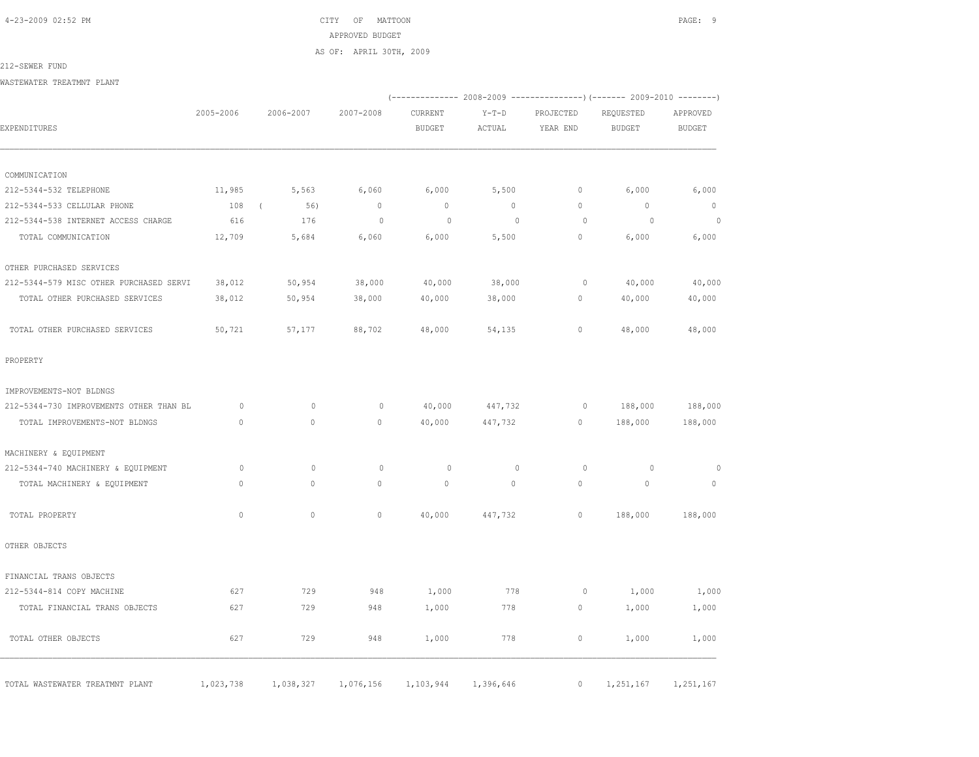4-23-2009 02:52 PM CITY OF MATTOON PAGE: 9 APPROVED BUDGET AS OF: APRIL 30TH, 2009

#### 212-SEWER FUND

WASTEWATER TREATMNT PLANT

|                                         |              |                   |              |                          |                   |                       | (-------------- 2008-2009 ---------------) (------- 2009-2010 --------) |                           |
|-----------------------------------------|--------------|-------------------|--------------|--------------------------|-------------------|-----------------------|-------------------------------------------------------------------------|---------------------------|
| EXPENDITURES                            | 2005-2006    | 2006-2007         | 2007-2008    | CURRENT<br><b>BUDGET</b> | $Y-T-D$<br>ACTUAL | PROJECTED<br>YEAR END | REQUESTED<br><b>BUDGET</b>                                              | APPROVED<br><b>BUDGET</b> |
|                                         |              |                   |              |                          |                   |                       |                                                                         |                           |
| COMMUNICATION                           |              |                   |              |                          |                   |                       |                                                                         |                           |
| 212-5344-532 TELEPHONE                  | 11,985       | 5,563             | 6,060        | 6,000                    | 5,500             | $\circ$               | 6,000                                                                   | 6,000                     |
| 212-5344-533 CELLULAR PHONE             | 108          | 56)<br>$\sqrt{ }$ | $\mathbb O$  | $\mathbb O$              | $\circ$           | $\circ$               | $\mathbf{0}$                                                            | $\overline{0}$            |
| 212-5344-538 INTERNET ACCESS CHARGE     | 616          | 176               | $\circ$      | 0                        | $\circ$           | $\circ$               | $\circ$                                                                 | $\circ$                   |
| TOTAL COMMUNICATION                     | 12,709       | 5,684             | 6,060        | 6,000                    | 5,500             | $\circ$               | 6,000                                                                   | 6,000                     |
| OTHER PURCHASED SERVICES                |              |                   |              |                          |                   |                       |                                                                         |                           |
| 212-5344-579 MISC OTHER PURCHASED SERVI | 38,012       | 50,954            | 38,000       | 40,000                   | 38,000            | $\circ$               | 40,000                                                                  | 40,000                    |
| TOTAL OTHER PURCHASED SERVICES          | 38,012       | 50,954            | 38,000       | 40,000                   | 38,000            | 0                     | 40,000                                                                  | 40,000                    |
| TOTAL OTHER PURCHASED SERVICES          | 50,721       | 57,177            | 88,702       | 48,000                   | 54,135            | $\circ$               | 48,000                                                                  | 48,000                    |
| PROPERTY                                |              |                   |              |                          |                   |                       |                                                                         |                           |
| IMPROVEMENTS-NOT BLDNGS                 |              |                   |              |                          |                   |                       |                                                                         |                           |
| 212-5344-730 IMPROVEMENTS OTHER THAN BL | $\circ$      | $\mathbf{0}$      | $\circ$      | 40,000                   | 447,732           | $\circ$               | 188,000                                                                 | 188,000                   |
| TOTAL IMPROVEMENTS-NOT BLDNGS           | $\circ$      | $\circ$           | $\mathbf{0}$ | 40,000                   | 447,732           | $\circ$               | 188,000                                                                 | 188,000                   |
| MACHINERY & EQUIPMENT                   |              |                   |              |                          |                   |                       |                                                                         |                           |
| 212-5344-740 MACHINERY & EQUIPMENT      | $\circ$      | $\circ$           | $\circ$      | 0                        | $\circ$           | $\circ$               | $\circ$                                                                 | $\circ$                   |
| TOTAL MACHINERY & EQUIPMENT             | $\mathbf{0}$ | $\circ$           | $\circ$      | $\mathbf{0}$             | $\circ$           | $\circ$               | $\mathbf{0}$                                                            | $\mathbf{0}$              |
| TOTAL PROPERTY                          | $\Omega$     | $\Omega$          | $\mathbb O$  | 40,000                   | 447,732           | $\circ$               | 188,000                                                                 | 188,000                   |
| OTHER OBJECTS                           |              |                   |              |                          |                   |                       |                                                                         |                           |
| FINANCIAL TRANS OBJECTS                 |              |                   |              |                          |                   |                       |                                                                         |                           |
| 212-5344-814 COPY MACHINE               | 627          | 729               | 948          | 1,000                    | 778               | $\circ$               | 1,000                                                                   | 1,000                     |
| TOTAL FINANCIAL TRANS OBJECTS           | 627          | 729               | 948          | 1,000                    | 778               | $\circ$               | 1,000                                                                   | 1,000                     |
| TOTAL OTHER OBJECTS                     | 627          | 729               | 948          | 1,000                    | 778               | $\circ$               | 1,000                                                                   | 1,000                     |
| TOTAL WASTEWATER TREATMNT PLANT         | 1,023,738    | 1,038,327         | 1,076,156    | 1,103,944                | 1,396,646         | $\circ$               | 1,251,167                                                               | 1,251,167                 |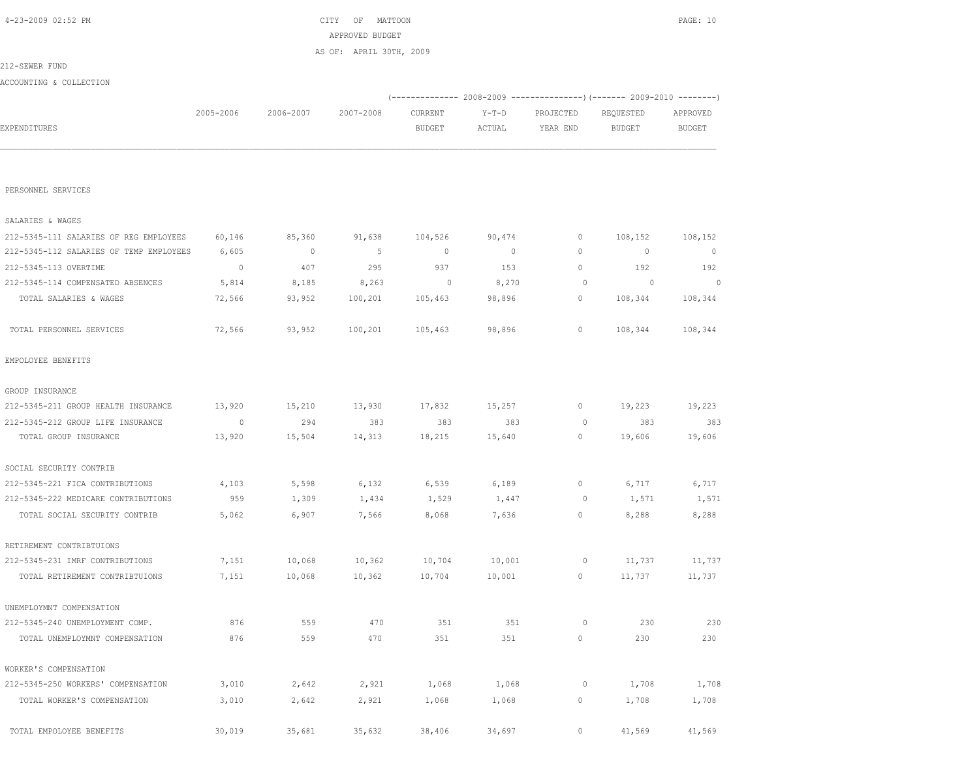| EXPENDITURES                            |         |              |         | <b>BUDGET</b> | ACTUAL         | YEAR END     | <b>BUDGET</b> | <b>BUDGET</b> |
|-----------------------------------------|---------|--------------|---------|---------------|----------------|--------------|---------------|---------------|
|                                         |         |              |         |               |                |              |               |               |
| PERSONNEL SERVICES                      |         |              |         |               |                |              |               |               |
| SALARIES & WAGES                        |         |              |         |               |                |              |               |               |
| 212-5345-111 SALARIES OF REG EMPLOYEES  | 60,146  | 85,360       | 91,638  | 104,526       | 90,474         | 0            | 108,152       | 108,152       |
| 212-5345-112 SALARIES OF TEMP EMPLOYEES | 6,605   | $\mathbf{0}$ | 5       | $\mathbf{0}$  | $\overline{0}$ | $\mathbf{0}$ | $\mathbf{0}$  | $\mathbf{0}$  |
| 212-5345-113 OVERTIME                   | $\circ$ | 407          | 295     | 937           | 153            | $\mathbb O$  | 192           | 192           |
| 212-5345-114 COMPENSATED ABSENCES       | 5,814   | 8,185        | 8,263   | $\circ$       | 8,270          | $\circ$      | $\circ$       | $\Omega$      |
| TOTAL SALARIES & WAGES                  | 72,566  | 93,952       | 100,201 | 105,463       | 98,896         | 0            | 108,344       | 108,344       |
| TOTAL PERSONNEL SERVICES                | 72,566  | 93,952       | 100,201 | 105,463       | 98,896         | 0            | 108,344       | 108,344       |
| EMPOLOYEE BENEFITS                      |         |              |         |               |                |              |               |               |
| GROUP INSURANCE                         |         |              |         |               |                |              |               |               |
| 212-5345-211 GROUP HEALTH INSURANCE     | 13,920  | 15,210       | 13,930  | 17,832        | 15,257         | 0            | 19,223        | 19,223        |
| 212-5345-212 GROUP LIFE INSURANCE       | $\circ$ | 294          | 383     | 383           | 383            | $\circ$      | 383           | 383           |
| TOTAL GROUP INSURANCE                   | 13,920  | 15,504       | 14,313  | 18,215        | 15,640         | 0            | 19,606        | 19,606        |
| SOCIAL SECURITY CONTRIB                 |         |              |         |               |                |              |               |               |
| 212-5345-221 FICA CONTRIBUTIONS         | 4,103   | 5,598        | 6,132   | 6,539         | 6,189          | 0            | 6,717         | 6,717         |
| 212-5345-222 MEDICARE CONTRIBUTIONS     | 959     | 1,309        | 1,434   | 1,529         | 1,447          | 0            | 1,571         | 1,571         |
| TOTAL SOCIAL SECURITY CONTRIB           | 5,062   | 6,907        | 7,566   | 8,068         | 7,636          | 0            | 8,288         | 8,288         |
| RETIREMENT CONTRIBTUIONS                |         |              |         |               |                |              |               |               |
| 212-5345-231 IMRF CONTRIBUTIONS         | 7,151   | 10,068       | 10,362  | 10,704        | 10,001         | 0            | 11,737        | 11,737        |
| TOTAL RETIREMENT CONTRIBTUIONS          | 7,151   | 10,068       | 10,362  | 10,704        | 10,001         | 0            | 11,737        | 11,737        |
| UNEMPLOYMNT COMPENSATION                |         |              |         |               |                |              |               |               |
| 212-5345-240 UNEMPLOYMENT COMP.         | 876     | 559          | 470     | 351           | 351            | $\circ$      | 230           | 230           |
| TOTAL UNEMPLOYMNT COMPENSATION          | 876     | 559          | 470     | 351           | 351            | 0            | 230           | 230           |
| WORKER'S COMPENSATION                   |         |              |         |               |                |              |               |               |
| 212-5345-250 WORKERS' COMPENSATION      | 3,010   | 2,642        | 2,921   | 1,068         | 1,068          | 0            | 1,708         | 1,708         |
| TOTAL WORKER'S COMPENSATION             | 3,010   | 2,642        | 2,921   | 1,068         | 1,068          | 0            | 1,708         | 1,708         |
| TOTAL EMPOLOYEE BENEFITS                | 30,019  | 35,681       | 35,632  | 38,406        | 34,697         | $\mathbb O$  | 41,569        | 41,569        |

|                         |           |           | AS OF: APRIL 30TH, 2009 |         |        |                                                             |           |          |
|-------------------------|-----------|-----------|-------------------------|---------|--------|-------------------------------------------------------------|-----------|----------|
| 212-SEWER FUND          |           |           |                         |         |        |                                                             |           |          |
| ACCOUNTING & COLLECTION |           |           |                         |         |        |                                                             |           |          |
|                         |           |           |                         |         |        | $(----------2008-2009------------)$ $(----2009-2010------)$ |           |          |
|                         | 2005-2006 | 2006-2007 | 2007-2008               | CURRENT | Y-T-D  | PROJECTED                                                   | REQUESTED | APPROVED |
| EXPENDITURES            |           |           |                         | BUDGET  | ACTUAL | YEAR END                                                    | BUDGET    | BUDGET   |
|                         |           |           |                         |         |        |                                                             |           |          |
|                         |           |           |                         |         |        |                                                             |           |          |

APPROVED BUDGET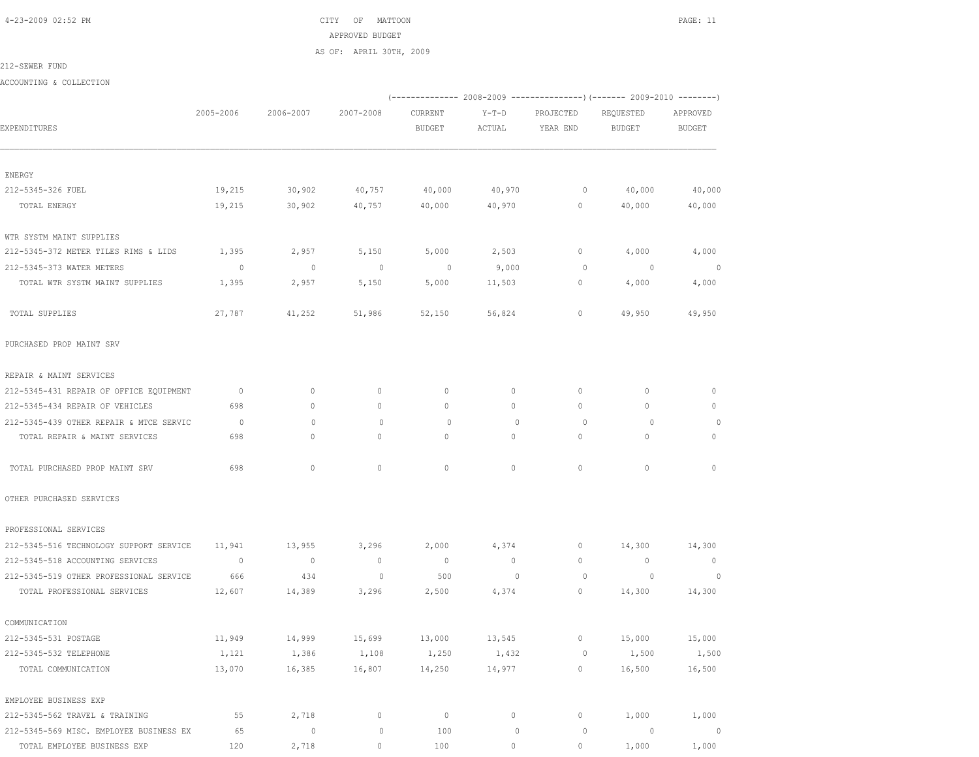4-23-2009 02:52 PM CITY OF MATTOON PAGE: 11 APPROVED BUDGET AS OF: APRIL 30TH, 2009

212-SEWER FUND

ACCOUNTING & COLLECTION

|                                         |                |                          |                          |                |                | (-------------- 2008-2009 -------------------) (------- 2009-2010 ---------) |                |                |
|-----------------------------------------|----------------|--------------------------|--------------------------|----------------|----------------|------------------------------------------------------------------------------|----------------|----------------|
|                                         | 2005-2006      | 2006-2007                | 2007-2008                | CURRENT        | Y-T-D          | PROJECTED                                                                    | REQUESTED      | APPROVED       |
| EXPENDITURES                            |                |                          |                          | <b>BUDGET</b>  | ACTUAL         | YEAR END                                                                     | <b>BUDGET</b>  | <b>BUDGET</b>  |
| ENERGY                                  |                |                          |                          |                |                |                                                                              |                |                |
| 212-5345-326 FUEL                       | 19,215         | 30,902                   | 40,757                   | 40,000         | 40,970         | $\circ$                                                                      | 40,000         | 40,000         |
| TOTAL ENERGY                            | 19,215         | 30,902                   | 40,757                   | 40,000         | 40,970         | $\circ$                                                                      | 40,000         | 40,000         |
| WTR SYSTM MAINT SUPPLIES                |                |                          |                          |                |                |                                                                              |                |                |
| 212-5345-372 METER TILES RIMS & LIDS    | 1,395          | 2,957                    | 5,150                    | 5,000          | 2,503          | $\circ$                                                                      | 4,000          | 4,000          |
| 212-5345-373 WATER METERS               | $\overline{0}$ | $\overline{\phantom{0}}$ | $\overline{\phantom{0}}$ | $\sim$ 0       | 9,000          | $\circ$                                                                      | $\overline{0}$ | $\circ$        |
| TOTAL WTR SYSTM MAINT SUPPLIES          | 1,395          | 2,957                    | 5,150                    | 5,000          | 11,503         | $\circ$                                                                      | 4,000          | 4,000          |
| TOTAL SUPPLIES                          | 27,787         | 41,252                   | 51,986                   | 52,150         | 56,824         | $\circ$                                                                      | 49,950         | 49,950         |
| PURCHASED PROP MAINT SRV                |                |                          |                          |                |                |                                                                              |                |                |
| REPAIR & MAINT SERVICES                 |                |                          |                          |                |                |                                                                              |                |                |
| 212-5345-431 REPAIR OF OFFICE EQUIPMENT | $\overline{0}$ | $\circ$                  | $\circ$                  | $\circ$        | $\circ$        | $\mathbf{0}$                                                                 | $\mathbf{0}$   | $\circ$        |
| 212-5345-434 REPAIR OF VEHICLES         | 698            | $\circ$                  | $\mathbf{0}$             | $\circ$        | $\circ$        | $\circ$                                                                      | $\mathbf{0}$   | $\circ$        |
| 212-5345-439 OTHER REPAIR & MTCE SERVIC | $\overline{0}$ | $\mathbf{0}$             | $\mathbf{0}$             | $\circ$        | $\mathbf{0}$   | $\circ$                                                                      | $\circ$        | $\circ$        |
| TOTAL REPAIR & MAINT SERVICES           | 698            | $\circ$                  | $\mathbf{0}$             | 0              | $\circ$        | $\circ$                                                                      | $\mathbf{0}$   | $\mathbf{0}$   |
| TOTAL PURCHASED PROP MAINT SRV          | 698            | $\circ$                  | $\mathbf{0}$             | $\circ$        | $\circ$        | $\circ$                                                                      | $\mathbf{0}$   | $\mathbf{0}$   |
| OTHER PURCHASED SERVICES                |                |                          |                          |                |                |                                                                              |                |                |
| PROFESSIONAL SERVICES                   |                |                          |                          |                |                |                                                                              |                |                |
| 212-5345-516 TECHNOLOGY SUPPORT SERVICE | 11,941         | 13,955                   | 3,296                    | 2,000          | 4,374          | $\circ$                                                                      | 14,300         | 14,300         |
| 212-5345-518 ACCOUNTING SERVICES        | $\overline{0}$ | $\overline{\phantom{0}}$ | $\overline{\phantom{0}}$ | $\overline{0}$ | $\overline{0}$ | $\mathbf{0}$                                                                 | $\overline{0}$ | $\overline{0}$ |
| 212-5345-519 OTHER PROFESSIONAL SERVICE | 666            | 434                      | $\circ$                  | 500            | $\mathbf 0$    | $\overline{0}$                                                               | $\overline{0}$ | $\circ$        |
| TOTAL PROFESSIONAL SERVICES             | 12,607         | 14,389                   | 3,296                    | 2,500          | 4,374          | $\circ$                                                                      | 14,300         | 14,300         |
| COMMUNICATION                           |                |                          |                          |                |                |                                                                              |                |                |
| 212-5345-531 POSTAGE                    | 11,949         | 14,999                   | 15,699                   | 13,000         | 13,545         | $\circ$                                                                      | 15,000         | 15,000         |
| 212-5345-532 TELEPHONE                  | 1,121          | 1,386                    | 1,108                    | 1,250          | 1,432          | 0                                                                            | 1,500          | 1,500          |
| TOTAL COMMUNICATION                     | 13,070         | 16,385                   | 16,807                   | 14,250         | 14,977         | $\mathbb O$                                                                  | 16,500         | 16,500         |
| EMPLOYEE BUSINESS EXP                   |                |                          |                          |                |                |                                                                              |                |                |
| 212-5345-562 TRAVEL & TRAINING          | 55             | 2,718                    | $\circ$                  | $\circ$        | 0              | $\circ$                                                                      | 1,000          | 1,000          |
| 212-5345-569 MISC. EMPLOYEE BUSINESS EX | 65             | $\mathbb O$              | $\mathbb O$              | 100            | $\mathbb O$    | $\circ$                                                                      | $\circ$        | $\circ$        |
| TOTAL EMPLOYEE BUSINESS EXP             | 120            | 2,718                    | $\circ$                  | 100            | $\circ$        | $\circ$                                                                      | 1,000          | 1,000          |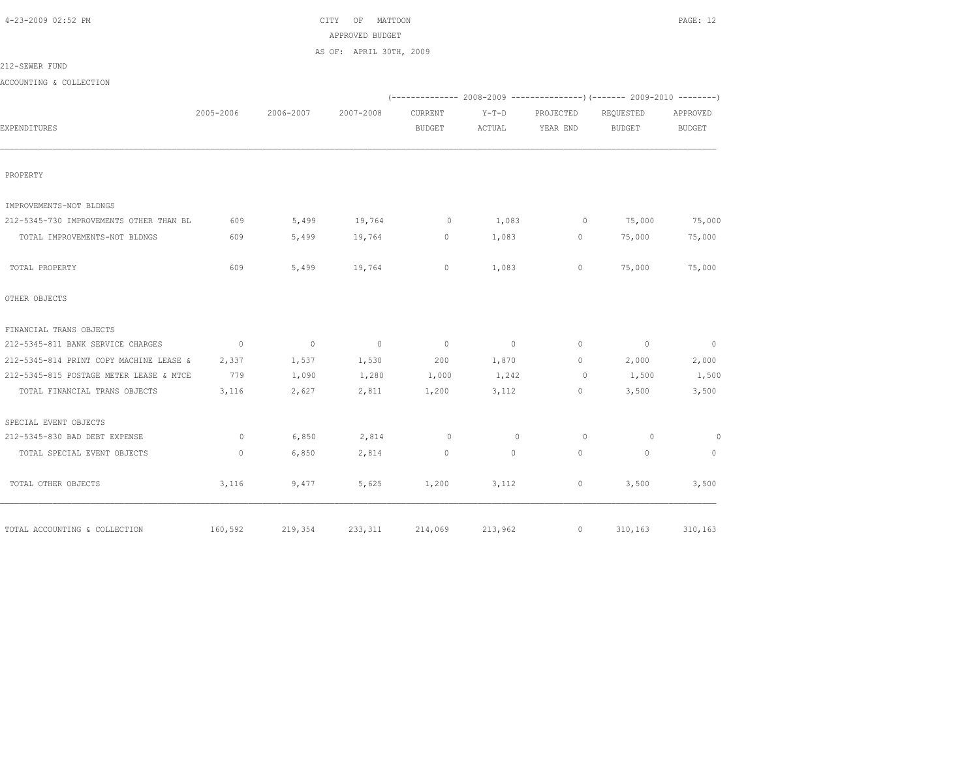CITY OF MATTOON **PAGE:** 12 APPROVED BUDGET

AS OF: APRIL 30TH, 2009

212-SEWER FUND

ACCOUNTING & COLLECTION

|                                         |                |                          |                |                |                |              | (-------------- 2008-2009 ----------------) (------- 2009-2010 --------) |                |
|-----------------------------------------|----------------|--------------------------|----------------|----------------|----------------|--------------|--------------------------------------------------------------------------|----------------|
|                                         | 2005-2006      | 2006-2007                | 2007-2008      | CURRENT        | $Y-T-D$        | PROJECTED    | REQUESTED                                                                | APPROVED       |
| EXPENDITURES                            |                |                          |                | <b>BUDGET</b>  | ACTUAL         | YEAR END     | <b>BUDGET</b>                                                            | <b>BUDGET</b>  |
|                                         |                |                          |                |                |                |              |                                                                          |                |
|                                         |                |                          |                |                |                |              |                                                                          |                |
| PROPERTY                                |                |                          |                |                |                |              |                                                                          |                |
| IMPROVEMENTS-NOT BLDNGS                 |                |                          |                |                |                |              |                                                                          |                |
| 212-5345-730 IMPROVEMENTS OTHER THAN BL | 609            | 5,499                    | 19,764         | $\circ$        | 1,083          | 0            | 75,000                                                                   | 75,000         |
| TOTAL IMPROVEMENTS-NOT BLDNGS           | 609            | 5,499                    | 19,764         | $\mathbf{0}$   | 1,083          | $\mathbf{0}$ | 75,000                                                                   | 75,000         |
| TOTAL PROPERTY                          | 609            | 5,499                    | 19,764         | $\mathbf 0$    | 1,083          | 0            | 75,000                                                                   | 75,000         |
| OTHER OBJECTS                           |                |                          |                |                |                |              |                                                                          |                |
| FINANCIAL TRANS OBJECTS                 |                |                          |                |                |                |              |                                                                          |                |
| 212-5345-811 BANK SERVICE CHARGES       | $\overline{0}$ | $\overline{\phantom{0}}$ | $\overline{0}$ | $\overline{0}$ | $\overline{0}$ | $\circ$      | $\overline{0}$                                                           | $\overline{0}$ |
| 212-5345-814 PRINT COPY MACHINE LEASE & | 2,337          | 1,537                    | 1,530          | 200            | 1,870          | $\mathbf{0}$ | 2,000                                                                    | 2,000          |
| 212-5345-815 POSTAGE METER LEASE & MTCE | 779            | 1,090                    | 1,280          | 1,000          | 1,242          | $\circ$      | 1,500                                                                    | 1,500          |
| TOTAL FINANCIAL TRANS OBJECTS           | 3,116          | 2,627                    | 2,811          | 1,200          | 3,112          | 0            | 3,500                                                                    | 3,500          |
| SPECIAL EVENT OBJECTS                   |                |                          |                |                |                |              |                                                                          |                |
| 212-5345-830 BAD DEBT EXPENSE           | $\circ$        | 6,850                    | 2,814          | $\circ$        | $\circ$        | $\circ$      | $\circ$                                                                  | $\circ$        |
| TOTAL SPECIAL EVENT OBJECTS             | $\mathbf{0}$   | 6,850                    | 2,814          | $\mathbf{0}$   | $\Omega$       | $\Omega$     | $\Omega$                                                                 | $\mathbf{0}$   |
| TOTAL OTHER OBJECTS                     | 3,116          | 9,477                    | 5,625          | 1,200          | 3,112          | 0            | 3,500                                                                    | 3,500          |
| TOTAL ACCOUNTING & COLLECTION           | 160,592        | 219,354                  | 233,311        | 214,069        | 213,962        | $\circ$      | 310,163                                                                  | 310,163        |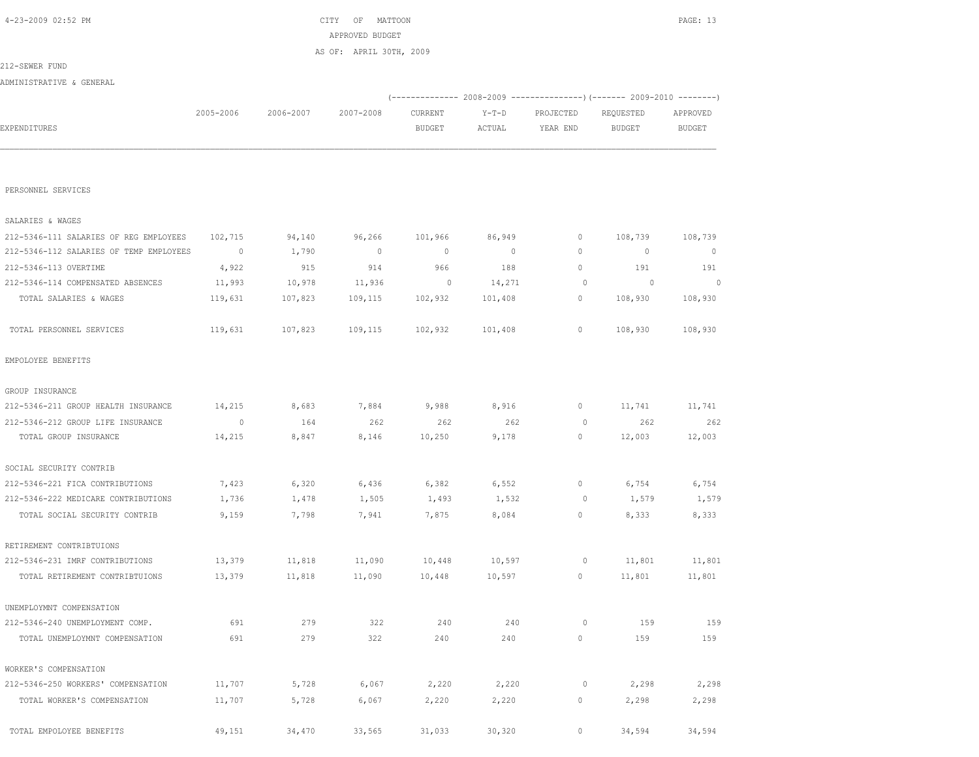| -------------                           |                |         |                | ------         |                |             |                |             |
|-----------------------------------------|----------------|---------|----------------|----------------|----------------|-------------|----------------|-------------|
|                                         |                |         |                |                |                |             |                |             |
| PERSONNEL SERVICES                      |                |         |                |                |                |             |                |             |
| SALARIES & WAGES                        |                |         |                |                |                |             |                |             |
| 212-5346-111 SALARIES OF REG EMPLOYEES  | 102,715        | 94,140  | 96,266         | 101,966        | 86,949         | $\mathbf 0$ | 108,739        | 108,739     |
| 212-5346-112 SALARIES OF TEMP EMPLOYEES | $\overline{0}$ | 1,790   | $\overline{0}$ | $\overline{0}$ | $\overline{0}$ | 0           | 0              | $\mathbf 0$ |
| 212-5346-113 OVERTIME                   | 4,922          | 915     | 914            | 966            | 188            | 0           | 191            | 191         |
| 212-5346-114 COMPENSATED ABSENCES       | 11,993         | 10,978  | 11,936         | $\circ$        | 14,271         | $\circ$     | $\overline{0}$ | $\circ$     |
| TOTAL SALARIES & WAGES                  | 119,631        | 107,823 | 109,115        | 102,932        | 101,408        | $\circ$     | 108,930        | 108,930     |
| TOTAL PERSONNEL SERVICES                | 119,631        | 107,823 | 109,115        | 102,932        | 101,408        | 0           | 108,930        | 108,930     |
| EMPOLOYEE BENEFITS                      |                |         |                |                |                |             |                |             |
| GROUP INSURANCE                         |                |         |                |                |                |             |                |             |
| 212-5346-211 GROUP HEALTH INSURANCE     | 14,215         | 8,683   | 7,884          | 9,988          | 8,916          | 0           | 11,741         | 11,741      |
| 212-5346-212 GROUP LIFE INSURANCE       | $\overline{0}$ | 164     | 262            | 262            | 262            | 0           | 262            | 262         |
| TOTAL GROUP INSURANCE                   | 14,215         | 8,847   | 8,146          | 10,250         | 9,178          | $\circ$     | 12,003         | 12,003      |
| SOCIAL SECURITY CONTRIB                 |                |         |                |                |                |             |                |             |
| 212-5346-221 FICA CONTRIBUTIONS         | 7,423          | 6,320   | 6,436          | 6,382          | 6,552          | $\circ$     | 6,754          | 6,754       |
| 212-5346-222 MEDICARE CONTRIBUTIONS     | 1,736          | 1,478   | 1,505          | 1,493          | 1,532          | 0           | 1,579          | 1,579       |
| TOTAL SOCIAL SECURITY CONTRIB           | 9,159          | 7,798   | 7,941          | 7,875          | 8,084          | 0           | 8,333          | 8,333       |
| RETIREMENT CONTRIBTUIONS                |                |         |                |                |                |             |                |             |
| 212-5346-231 IMRF CONTRIBUTIONS         | 13,379         | 11,818  | 11,090         | 10,448         | 10,597         | 0           | 11,801         | 11,801      |
| TOTAL RETIREMENT CONTRIBTUIONS          | 13,379         | 11,818  | 11,090         | 10,448         | 10,597         | $\circ$     | 11,801         | 11,801      |
| UNEMPLOYMNT COMPENSATION                |                |         |                |                |                |             |                |             |
| 212-5346-240 UNEMPLOYMENT COMP.         | 691            | 279     | 322            | 240            | 240            | 0           | 159            | 159         |
| TOTAL UNEMPLOYMNT COMPENSATION          | 691            | 279     | 322            | 240            | 240            | 0           | 159            | 159         |
| WORKER'S COMPENSATION                   |                |         |                |                |                |             |                |             |
| 212-5346-250 WORKERS' COMPENSATION      | 11,707         | 5,728   | 6,067          | 2,220          | 2,220          | $\circ$     | 2,298          | 2,298       |
| TOTAL WORKER'S COMPENSATION             | 11,707         | 5,728   | 6,067          | 2,220          | 2,220          | 0           | 2,298          | 2,298       |
| TOTAL EMPOLOYEE BENEFITS                | 49,151         | 34,470  | 33,565         | 31,033         | 30,320         | $\circ$     | 34,594         | 34,594      |

|                          |           |           | AS OF: APRIL 30TH, 2009 |         |        |           |           |          |
|--------------------------|-----------|-----------|-------------------------|---------|--------|-----------|-----------|----------|
| 212-SEWER FUND           |           |           |                         |         |        |           |           |          |
| ADMINISTRATIVE & GENERAL |           |           |                         |         |        |           |           |          |
|                          |           |           |                         |         |        |           |           |          |
|                          | 2005-2006 | 2006-2007 | 2007-2008               | CURRENT | Y-T-D  | PROJECTED | REQUESTED | APPROVED |
| EXPENDITURES             |           |           |                         | BUDGET  | ACTUAL | YEAR END  | BUDGET    | BUDGET   |
|                          |           |           |                         |         |        |           |           |          |
|                          |           |           |                         |         |        |           |           |          |

 4-23-2009 02:52 PM CITY OF MATTOON PAGE: 13 APPROVED BUDGET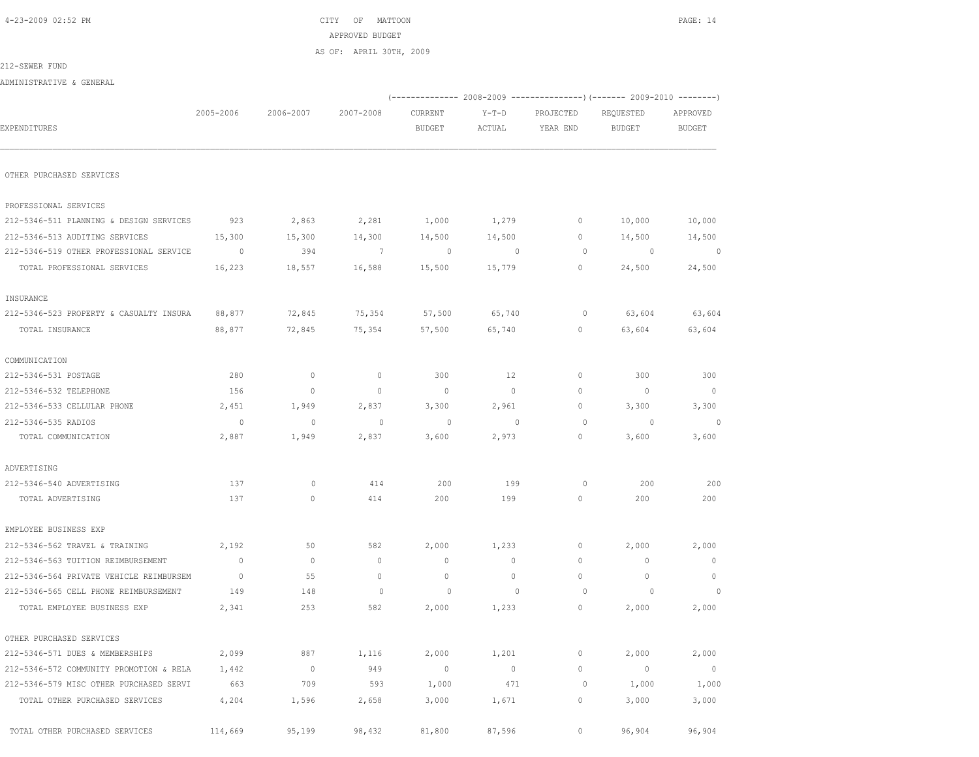$CITY$  OF MATTOON PAGE: 14 APPROVED BUDGET

AS OF: APRIL 30TH, 2009

212-SEWER FUND

ADMINISTRATIVE & GENERAL

|                                         |           |                |             | (------------- 2008-2009 ---------------) (------- 2009-2010 --------) |                |           |                |                |
|-----------------------------------------|-----------|----------------|-------------|------------------------------------------------------------------------|----------------|-----------|----------------|----------------|
|                                         | 2005-2006 | 2006-2007      | 2007-2008   | CURRENT                                                                | $Y-T-D$        | PROJECTED | REQUESTED      | APPROVED       |
| EXPENDITURES                            |           |                |             | <b>BUDGET</b>                                                          | ACTUAL         | YEAR END  | <b>BUDGET</b>  | <b>BUDGET</b>  |
| OTHER PURCHASED SERVICES                |           |                |             |                                                                        |                |           |                |                |
|                                         |           |                |             |                                                                        |                |           |                |                |
| PROFESSIONAL SERVICES                   |           |                |             |                                                                        |                |           |                |                |
| 212-5346-511 PLANNING & DESIGN SERVICES | 923       | 2,863          | 2,281       | 1,000                                                                  | 1,279          | $\circ$   | 10,000         | 10,000         |
| 212-5346-513 AUDITING SERVICES          | 15,300    | 15,300         | 14,300      | 14,500                                                                 | 14,500         | $\Omega$  | 14,500         | 14,500         |
| 212-5346-519 OTHER PROFESSIONAL SERVICE | $\circ$   | 394            | 7           | $\overline{0}$                                                         | $\overline{0}$ | $\circ$   | $\circ$        | $\overline{0}$ |
| TOTAL PROFESSIONAL SERVICES             | 16,223    | 18,557         | 16,588      | 15,500                                                                 | 15,779         | 0         | 24,500         | 24,500         |
| INSURANCE                               |           |                |             |                                                                        |                |           |                |                |
| 212-5346-523 PROPERTY & CASUALTY INSURA | 88,877    | 72,845         | 75,354      | 57,500                                                                 | 65,740         | $\circ$   | 63,604         | 63,604         |
| TOTAL INSURANCE                         | 88,877    | 72,845         | 75,354      | 57,500                                                                 | 65,740         | $\circ$   | 63,604         | 63,604         |
| COMMUNICATION                           |           |                |             |                                                                        |                |           |                |                |
| 212-5346-531 POSTAGE                    | 280       | $\mathbb O$    | $\mathbb O$ | 300                                                                    | 12             | $\circ$   | 300            | 300            |
| 212-5346-532 TELEPHONE                  | 156       | $\circ$        | $\mathbb O$ | $\circ$                                                                | $\circ$        | $\circ$   | $\overline{0}$ | $\circ$        |
| 212-5346-533 CELLULAR PHONE             | 2,451     | 1,949          | 2,837       | 3,300                                                                  | 2,961          | $\circ$   | 3,300          | 3,300          |
| 212-5346-535 RADIOS                     | $\circ$   | 0              | $\circ$     | $\circ$                                                                | $\mathbf 0$    | $\circ$   | 0              | $\circ$        |
| TOTAL COMMUNICATION                     | 2,887     | 1,949          | 2,837       | 3,600                                                                  | 2,973          | $\circ$   | 3,600          | 3,600          |
| ADVERTISING                             |           |                |             |                                                                        |                |           |                |                |
| 212-5346-540 ADVERTISING                | 137       | $\mathbb O$    | 414         | 200                                                                    | 199            | $\circ$   | 200            | 200            |
| TOTAL ADVERTISING                       | 137       | $\circ$        | 414         | 200                                                                    | 199            | $\circ$   | 200            | 200            |
| EMPLOYEE BUSINESS EXP                   |           |                |             |                                                                        |                |           |                |                |
| 212-5346-562 TRAVEL & TRAINING          | 2,192     | 50             | 582         | 2,000                                                                  | 1,233          | $\circ$   | 2,000          | 2,000          |
| 212-5346-563 TUITION REIMBURSEMENT      | $\circ$   | $\circ$        | $\circ$     | $\mathbf{0}$                                                           | $\circ$        | $\circ$   | $\mathbf{0}$   | $\mathbf{0}$   |
| 212-5346-564 PRIVATE VEHICLE REIMBURSEM | $\circ$   | 55             | $\circ$     | $\mathbb O$                                                            | $\circ$        | $\circ$   | $\circ$        | $\mathbf 0$    |
| 212-5346-565 CELL PHONE REIMBURSEMENT   | 149       | 148            | $\circ$     | $\circ$                                                                | $\circ$        | $\circ$   | $\circ$        | $\circ$        |
| TOTAL EMPLOYEE BUSINESS EXP             | 2,341     | 253            | 582         | 2,000                                                                  | 1,233          | $\circ$   | 2,000          | 2,000          |
| OTHER PURCHASED SERVICES                |           |                |             |                                                                        |                |           |                |                |
| 212-5346-571 DUES & MEMBERSHIPS         | 2,099     | 887            | 1,116       | 2,000                                                                  | 1,201          | $\circ$   | 2,000          | 2,000          |
| 212-5346-572 COMMUNITY PROMOTION & RELA | 1,442     | $\overline{0}$ | 949         | $\circ$                                                                | 0              | 0         | $\circ$        | $\mathbb O$    |
| 212-5346-579 MISC OTHER PURCHASED SERVI | 663       | 709            | 593         | 1,000                                                                  | 471            | $\circ$   | 1,000          | 1,000          |
| TOTAL OTHER PURCHASED SERVICES          | 4,204     | 1,596          | 2,658       | 3,000                                                                  | 1,671          | $\circ$   | 3,000          | 3,000          |
| TOTAL OTHER PURCHASED SERVICES          | 114,669   | 95,199         | 98,432      | 81,800                                                                 | 87,596         | $\circ$   | 96,904         | 96,904         |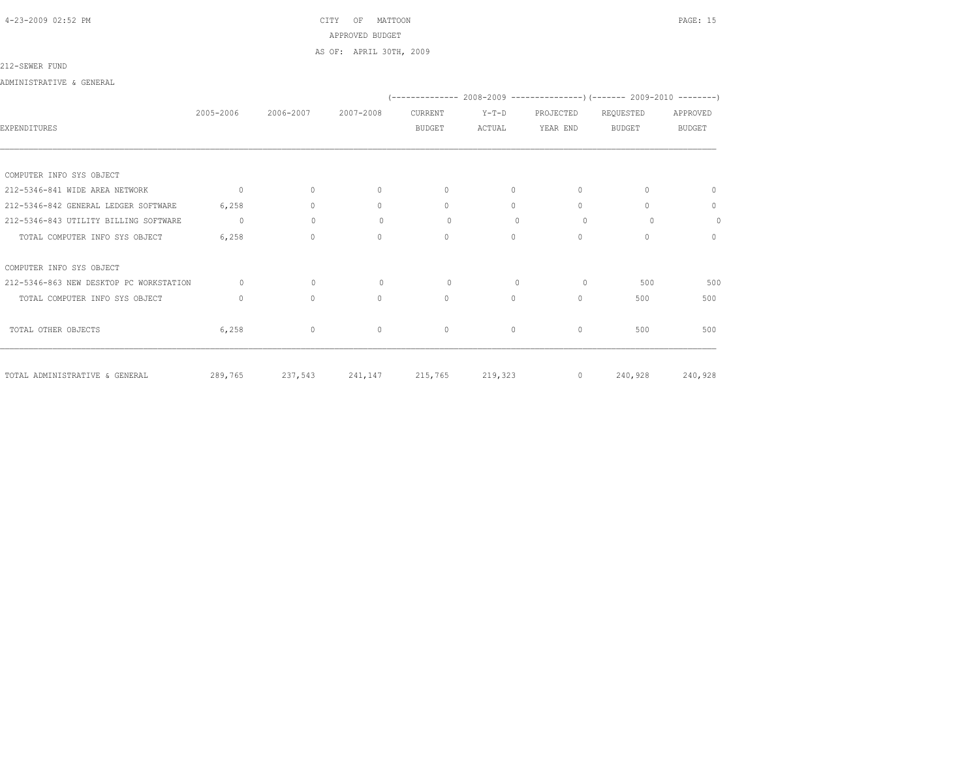# 4-23-2009 02:52 PM CITY OF MATTOON PAGE: 15 APPROVED BUDGET AS OF: APRIL 30TH, 2009

### 212-SEWER FUND

ADMINISTRATIVE & GENERAL

|                                         |                |              |                   |               |              |           | (-------------- 2008-2009 ---------------) (------- 2009-2010 --------) |               |
|-----------------------------------------|----------------|--------------|-------------------|---------------|--------------|-----------|-------------------------------------------------------------------------|---------------|
|                                         | 2005-2006      | 2006-2007    | 2007-2008         | CURRENT       | $Y-T-D$      | PROJECTED | REQUESTED                                                               | APPROVED      |
| EXPENDITURES                            |                |              |                   | <b>BUDGET</b> | ACTUAL       | YEAR END  | <b>BUDGET</b>                                                           | <b>BUDGET</b> |
|                                         |                |              |                   |               |              |           |                                                                         |               |
|                                         |                |              |                   |               |              |           |                                                                         |               |
| COMPUTER INFO SYS OBJECT                |                |              |                   |               |              |           |                                                                         |               |
| 212-5346-841 WIDE AREA NETWORK          | $\overline{0}$ | $\circ$      | $\mathbf{0}$      | $\Omega$      | $\Omega$     | $\Omega$  | $\Omega$                                                                | $\Omega$      |
| 212-5346-842 GENERAL LEDGER SOFTWARE    | 6,258          | $\circ$      | $\mathbf{0}$      | $\Omega$      | $\Omega$     | $\Omega$  | $\Omega$                                                                | $\mathbf{0}$  |
| 212-5346-843 UTILITY BILLING SOFTWARE   | $\circ$        | $\circ$      | $\circ$           | $\circ$       | $\mathbf{0}$ | $\circ$   | $\circ$                                                                 | $\circ$       |
| TOTAL COMPUTER INFO SYS OBJECT          | 6,258          | $\circ$      | $\mathbf{0}$      | $\Omega$      | $\Omega$     | $\Omega$  | $\bigcap$                                                               | $\mathbf{0}$  |
| COMPUTER INFO SYS OBJECT                |                |              |                   |               |              |           |                                                                         |               |
| 212-5346-863 NEW DESKTOP PC WORKSTATION | $\Omega$       | $\mathbf{0}$ | $\mathbf{0}$      | $\circ$       | $\mathbf{0}$ | $\circ$   | 500                                                                     | 500           |
| TOTAL COMPUTER INFO SYS OBJECT          | $\circ$        | $\circ$      | $\circ$           | $\circ$       | $\Omega$     | $\Omega$  | 500                                                                     | 500           |
| TOTAL OTHER OBJECTS                     | 6,258          | $\circ$      | $\circ$           | $\mathbf 0$   | $\circ$      | $\circ$   | 500                                                                     | 500           |
| TOTAL ADMINISTRATIVE & GENERAL          | 289,765        | 237,543      | 241, 147 215, 765 |               | 219,323      | $\circ$   | 240,928                                                                 | 240,928       |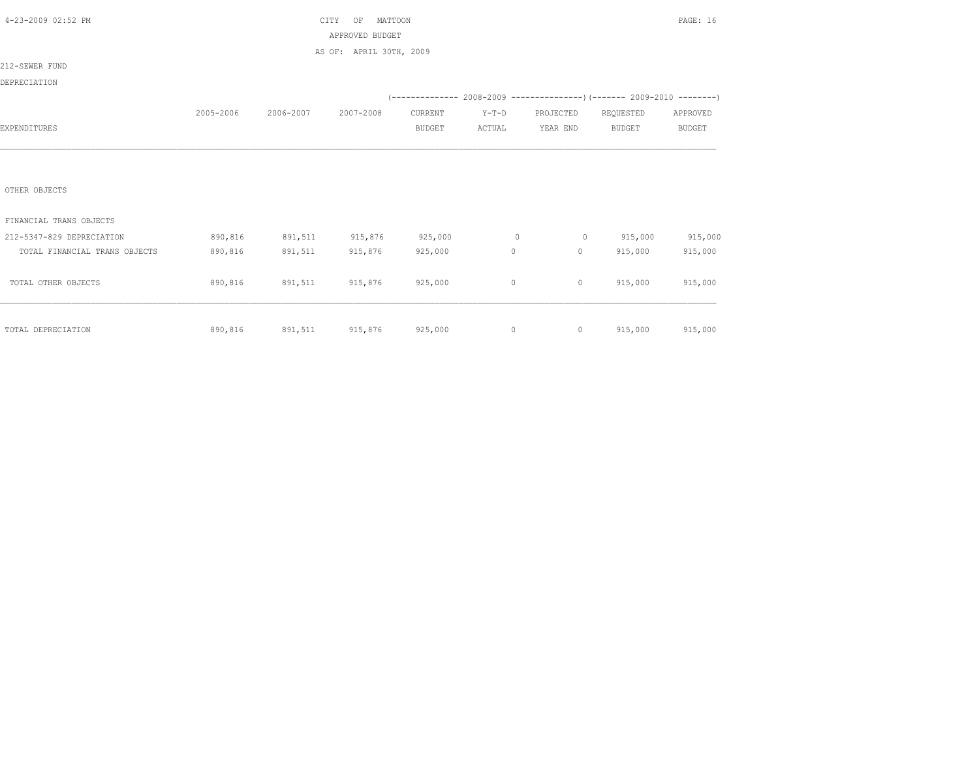| 4-23-2009 02:52 PM            |           |           | MATTOON<br>CITY<br>OF   |               |         |                |                                                                               | PAGE: 16      |
|-------------------------------|-----------|-----------|-------------------------|---------------|---------|----------------|-------------------------------------------------------------------------------|---------------|
|                               |           |           | APPROVED BUDGET         |               |         |                |                                                                               |               |
|                               |           |           | AS OF: APRIL 30TH, 2009 |               |         |                |                                                                               |               |
| 212-SEWER FUND                |           |           |                         |               |         |                |                                                                               |               |
| DEPRECIATION                  |           |           |                         |               |         |                |                                                                               |               |
|                               |           |           |                         |               |         |                | $(-$ -------------- 2008-2009 -----------------) (------- 2009-2010 --------) |               |
|                               | 2005-2006 | 2006-2007 | 2007-2008               | CURRENT       | $Y-T-D$ | PROJECTED      | REQUESTED                                                                     | APPROVED      |
| EXPENDITURES                  |           |           |                         | <b>BUDGET</b> | ACTUAL  | YEAR END       | <b>BUDGET</b>                                                                 | <b>BUDGET</b> |
|                               |           |           |                         |               |         |                |                                                                               |               |
|                               |           |           |                         |               |         |                |                                                                               |               |
|                               |           |           |                         |               |         |                |                                                                               |               |
| OTHER OBJECTS                 |           |           |                         |               |         |                |                                                                               |               |
|                               |           |           |                         |               |         |                |                                                                               |               |
| FINANCIAL TRANS OBJECTS       |           |           |                         |               |         |                |                                                                               |               |
| 212-5347-829 DEPRECIATION     | 890,816   | 891,511   | 915,876                 | 925,000       | $\circ$ | $\circ$        | 915,000                                                                       | 915,000       |
| TOTAL FINANCIAL TRANS OBJECTS | 890,816   | 891,511   | 915,876                 | 925,000       | $\circ$ | $\circ$        | 915,000                                                                       | 915,000       |
|                               |           |           |                         |               |         |                |                                                                               |               |
| TOTAL OTHER OBJECTS           | 890,816   | 891,511   | 915,876                 | 925,000       | $\circ$ | $\circ$        | 915,000                                                                       | 915,000       |
|                               |           |           |                         |               |         |                |                                                                               |               |
|                               |           |           |                         |               |         |                |                                                                               |               |
| TOTAL DEPRECIATION            | 890,816   |           | 891,511 915,876         | 925,000       | $\circ$ | $\overline{0}$ | 915,000                                                                       | 915,000       |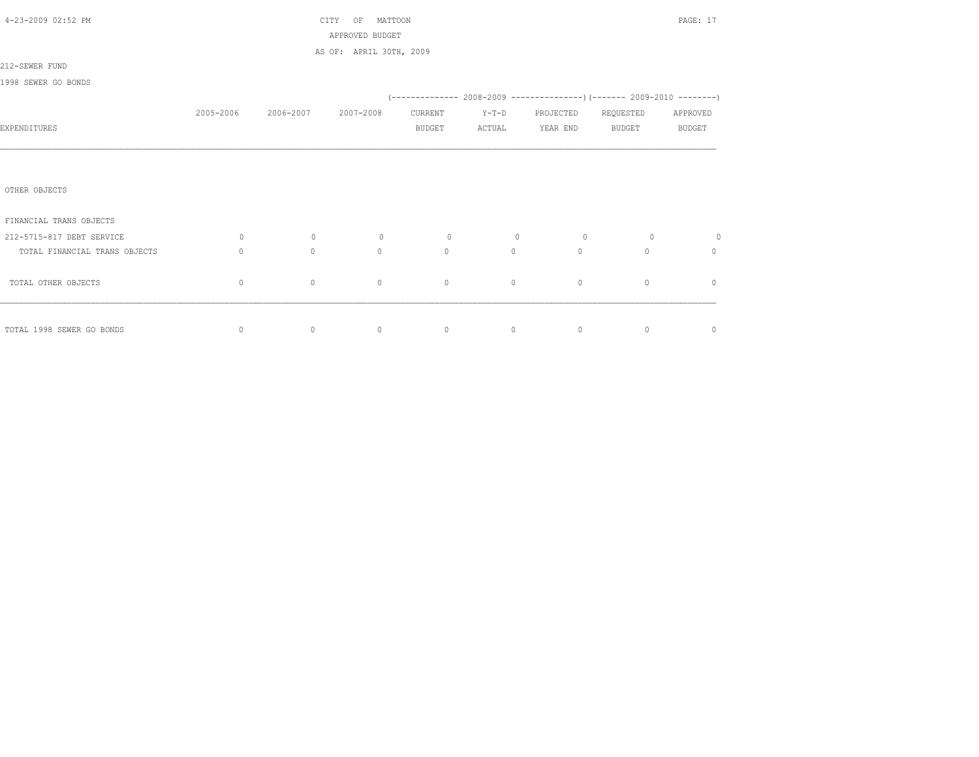| 4-23-2009 02:52 PM            |           |           | PAGE: 17                                   |                |                                                                       |           |               |               |
|-------------------------------|-----------|-----------|--------------------------------------------|----------------|-----------------------------------------------------------------------|-----------|---------------|---------------|
|                               |           |           | APPROVED BUDGET<br>AS OF: APRIL 30TH, 2009 |                |                                                                       |           |               |               |
| 212-SEWER FUND                |           |           |                                            |                |                                                                       |           |               |               |
| 1998 SEWER GO BONDS           |           |           |                                            |                |                                                                       |           |               |               |
|                               |           |           |                                            |                | (-------------- 2008-2009 --------------------- 2009-2010 ----------- |           |               |               |
|                               | 2005-2006 | 2006-2007 | 2007-2008                                  | CURRENT        | $Y-T-D$                                                               | PROJECTED | REQUESTED     | APPROVED      |
| EXPENDITURES                  |           |           |                                            | <b>BUDGET</b>  | ACTUAL                                                                | YEAR END  | <b>BUDGET</b> | <b>BUDGET</b> |
|                               |           |           |                                            |                |                                                                       |           |               |               |
|                               |           |           |                                            |                |                                                                       |           |               |               |
| OTHER OBJECTS                 |           |           |                                            |                |                                                                       |           |               |               |
| FINANCIAL TRANS OBJECTS       |           |           |                                            |                |                                                                       |           |               |               |
| 212-5715-817 DEBT SERVICE     | $\circ$   | $\circ$   | $\circ$                                    | $\overline{0}$ | $\circ$                                                               | $\circ$   | $\circ$       | $\circ$       |
| TOTAL FINANCIAL TRANS OBJECTS | $\circ$   | $\circ$   | $\mathbf{0}$                               | $\Omega$       | $\circ$                                                               | $\Omega$  | $\Omega$      | $\mathbf{0}$  |
| TOTAL OTHER OBJECTS           | $\circ$   | $\circ$   | $\circ$                                    | $\mathbf{0}$   | $\circ$                                                               | $\circ$   | $\circ$       | $\mathbf{0}$  |
|                               |           |           |                                            |                |                                                                       |           |               |               |
| TOTAL 1998 SEWER GO BONDS     | 0         | $\circ$   | $\overline{0}$                             | $\circ$        | $\circ$                                                               | $\circ$   | $\circ$       | $\mathbb O$   |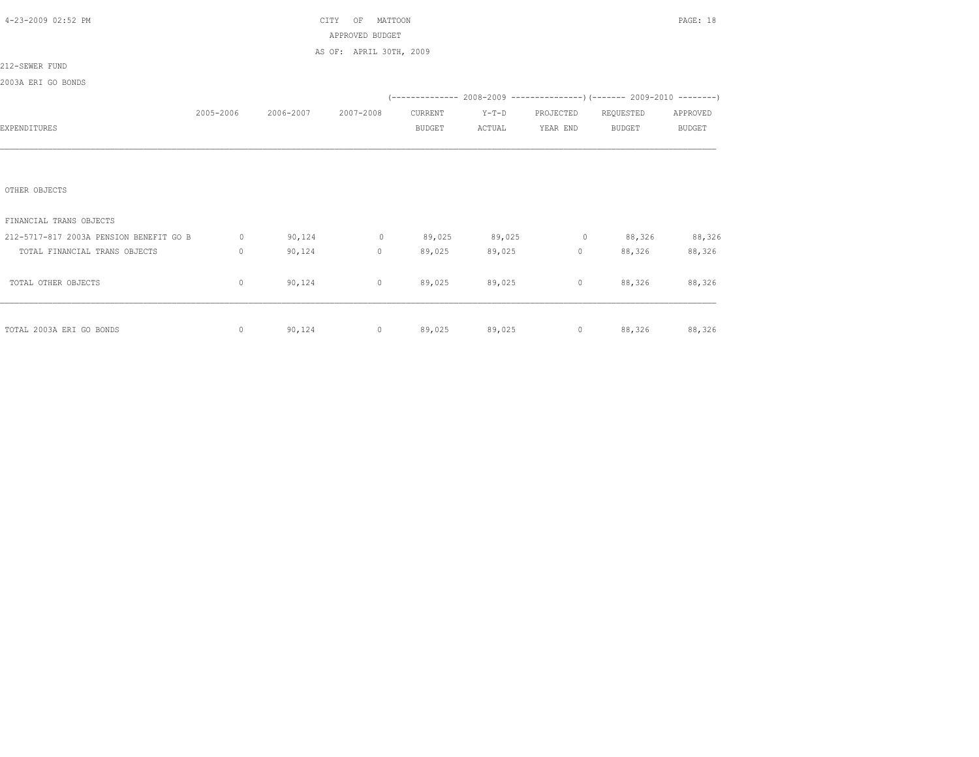| 4-23-2009 02:52 PM                      |             |                     | CITY<br>OF<br>MATTOON   |               |         |                   |                                                                          | PAGE: 18      |
|-----------------------------------------|-------------|---------------------|-------------------------|---------------|---------|-------------------|--------------------------------------------------------------------------|---------------|
|                                         |             |                     | APPROVED BUDGET         |               |         |                   |                                                                          |               |
|                                         |             |                     | AS OF: APRIL 30TH, 2009 |               |         |                   |                                                                          |               |
| 212-SEWER FUND                          |             |                     |                         |               |         |                   |                                                                          |               |
| 2003A ERI GO BONDS                      |             |                     |                         |               |         |                   |                                                                          |               |
|                                         |             |                     |                         |               |         |                   | (-------------- 2008-2009 ----------------) (------- 2009-2010 --------) |               |
|                                         | 2005-2006   | 2006-2007 2007-2008 |                         | CURRENT       | $Y-T-D$ | PROJECTED         | REQUESTED                                                                | APPROVED      |
| EXPENDITURES                            |             |                     |                         | <b>BUDGET</b> | ACTUAL  | YEAR END          | BUDGET                                                                   | <b>BUDGET</b> |
|                                         |             |                     |                         |               |         |                   |                                                                          |               |
|                                         |             |                     |                         |               |         |                   |                                                                          |               |
|                                         |             |                     |                         |               |         |                   |                                                                          |               |
| OTHER OBJECTS                           |             |                     |                         |               |         |                   |                                                                          |               |
|                                         |             |                     |                         |               |         |                   |                                                                          |               |
| FINANCIAL TRANS OBJECTS                 |             |                     |                         |               |         |                   |                                                                          |               |
| 212-5717-817 2003A PENSION BENEFIT GO B | $\circ$     | 90,124              | $\sim$ 0                | 89,025        | 89,025  |                   | $0 \t 88,326$                                                            | 88,326        |
| TOTAL FINANCIAL TRANS OBJECTS           | $\mathbf 0$ | 90,124              | $\circ$                 | 89,025        | 89,025  | $0 \qquad \qquad$ | 88,326                                                                   | 88,326        |
|                                         |             |                     |                         |               |         |                   |                                                                          |               |
| TOTAL OTHER OBJECTS                     | $\mathbb O$ | 90,124              | $\circ$                 | 89,025        | 89,025  |                   | $0 \t 88,326$                                                            | 88,326        |
|                                         |             |                     |                         |               |         |                   |                                                                          |               |
|                                         |             |                     |                         |               |         |                   |                                                                          |               |
| TOTAL 2003A ERI GO BONDS                | $\circ$     |                     | 90,124                  | $0 \t 89,025$ |         | 89,025            | $0$ 88,326 88,326                                                        |               |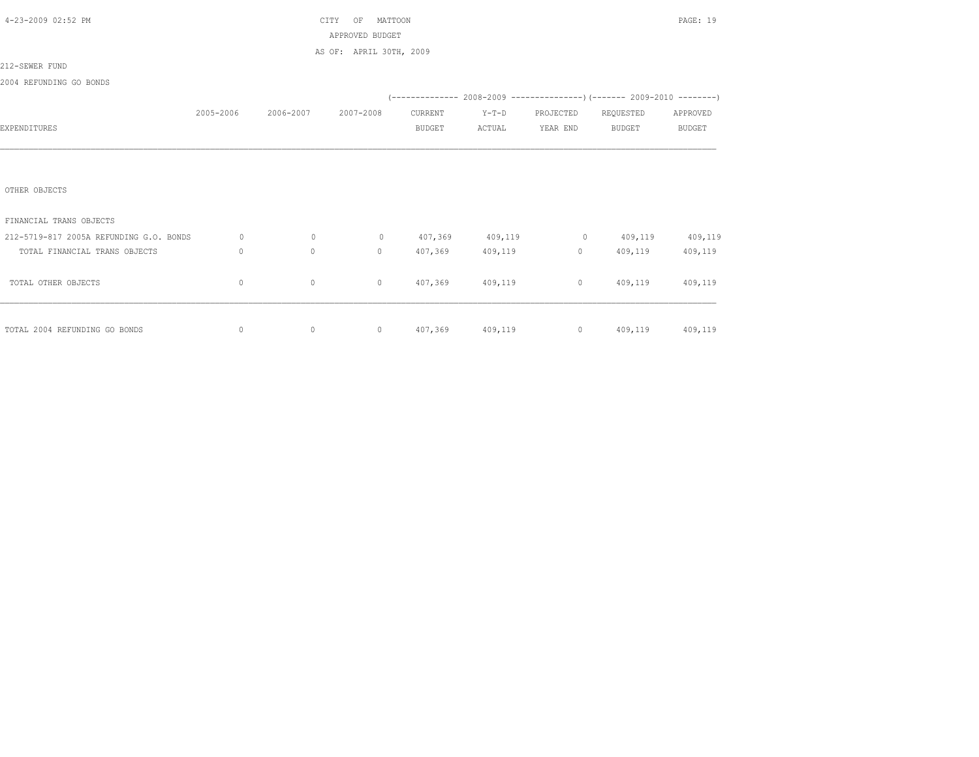| 4-23-2009 02:52 PM                      |              |                     | MATTOON<br>CITY<br>OF   |               |                   |                     |                                                                          | PAGE: 19      |
|-----------------------------------------|--------------|---------------------|-------------------------|---------------|-------------------|---------------------|--------------------------------------------------------------------------|---------------|
|                                         |              |                     | APPROVED BUDGET         |               |                   |                     |                                                                          |               |
|                                         |              |                     | AS OF: APRIL 30TH, 2009 |               |                   |                     |                                                                          |               |
| 212-SEWER FUND                          |              |                     |                         |               |                   |                     |                                                                          |               |
| 2004 REFUNDING GO BONDS                 |              |                     |                         |               |                   |                     |                                                                          |               |
|                                         |              |                     |                         |               |                   |                     | (-------------- 2008-2009 ----------------) (------- 2009-2010 --------) |               |
|                                         | 2005-2006    | 2006-2007 2007-2008 |                         | CURRENT       | $Y-T-D$           | PROJECTED REQUESTED |                                                                          | APPROVED      |
| EXPENDITURES                            |              |                     |                         | <b>BUDGET</b> | ACTUAL            | YEAR END            | <b>BUDGET</b>                                                            | <b>BUDGET</b> |
|                                         |              |                     |                         |               |                   |                     |                                                                          |               |
|                                         |              |                     |                         |               |                   |                     |                                                                          |               |
|                                         |              |                     |                         |               |                   |                     |                                                                          |               |
| OTHER OBJECTS                           |              |                     |                         |               |                   |                     |                                                                          |               |
|                                         |              |                     |                         |               |                   |                     |                                                                          |               |
| FINANCIAL TRANS OBJECTS                 |              |                     |                         |               |                   |                     |                                                                          |               |
| 212-5719-817 2005A REFUNDING G.O. BONDS | $\circ$      | $\circ$             |                         |               | 0 407,369 409,119 |                     | $0 \t 409,119 \t 409,119$                                                |               |
| TOTAL FINANCIAL TRANS OBJECTS           | $\mathbf{0}$ | $\circ$             | $\Omega$                | 407,369       | 409,119           | $\overline{0}$      | 409,119                                                                  | 409,119       |
|                                         |              |                     |                         |               |                   |                     |                                                                          |               |
| TOTAL OTHER OBJECTS                     | 0            | $\circ$             | $\circ$                 |               | 407,369 409,119   |                     | 0 409,119 409,119                                                        |               |
|                                         |              |                     |                         |               |                   |                     |                                                                          |               |
|                                         |              |                     |                         |               |                   |                     |                                                                          |               |
| TOTAL 2004 REFUNDING GO BONDS           | 0            | $\circ$             |                         |               |                   |                     | 0 407,369 409,119 0 409,119 409,119                                      |               |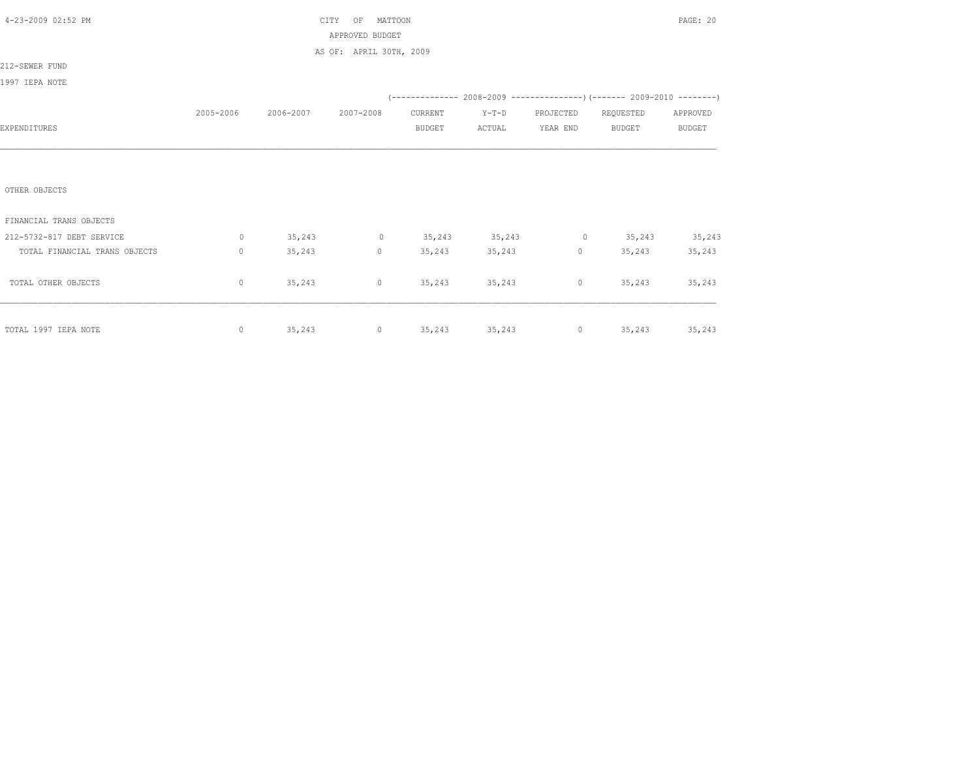| 4-23-2009 02:52 PM            |              |                               | MATTOON<br>CITY<br>OF                                                                                                                                                                                                                                                                                                              |         |               |                 |                                                                          | PAGE: 20      |
|-------------------------------|--------------|-------------------------------|------------------------------------------------------------------------------------------------------------------------------------------------------------------------------------------------------------------------------------------------------------------------------------------------------------------------------------|---------|---------------|-----------------|--------------------------------------------------------------------------|---------------|
|                               |              |                               | APPROVED BUDGET                                                                                                                                                                                                                                                                                                                    |         |               |                 |                                                                          |               |
|                               |              |                               | AS OF: APRIL 30TH, 2009                                                                                                                                                                                                                                                                                                            |         |               |                 |                                                                          |               |
| 212-SEWER FUND                |              |                               |                                                                                                                                                                                                                                                                                                                                    |         |               |                 |                                                                          |               |
| 1997 IEPA NOTE                |              |                               |                                                                                                                                                                                                                                                                                                                                    |         |               |                 |                                                                          |               |
|                               |              |                               |                                                                                                                                                                                                                                                                                                                                    |         |               |                 | (-------------- 2008-2009 ----------------) (------- 2009-2010 --------) |               |
|                               |              | 2005-2006 2006-2007 2007-2008 |                                                                                                                                                                                                                                                                                                                                    | CURRENT | $Y-T-D$       |                 | PROJECTED REQUESTED                                                      | APPROVED      |
| EXPENDITURES                  |              |                               |                                                                                                                                                                                                                                                                                                                                    | BUDGET  | ACTUAL        | YEAR END BUDGET |                                                                          | <b>BUDGET</b> |
|                               |              |                               |                                                                                                                                                                                                                                                                                                                                    |         |               |                 |                                                                          |               |
|                               |              |                               |                                                                                                                                                                                                                                                                                                                                    |         |               |                 |                                                                          |               |
|                               |              |                               |                                                                                                                                                                                                                                                                                                                                    |         |               |                 |                                                                          |               |
| OTHER OBJECTS                 |              |                               |                                                                                                                                                                                                                                                                                                                                    |         |               |                 |                                                                          |               |
|                               |              |                               |                                                                                                                                                                                                                                                                                                                                    |         |               |                 |                                                                          |               |
| FINANCIAL TRANS OBJECTS       |              |                               |                                                                                                                                                                                                                                                                                                                                    |         |               |                 |                                                                          |               |
| 212-5732-817 DEBT SERVICE     | $\circ$      |                               | $35,243$ 0 $35,243$ $35,243$ 0 $35,243$ $35,243$                                                                                                                                                                                                                                                                                   |         |               |                 |                                                                          |               |
| TOTAL FINANCIAL TRANS OBJECTS | $\circ$      | 35,243                        | $\overline{0}$ and $\overline{0}$ and $\overline{0}$ and $\overline{0}$ and $\overline{0}$ and $\overline{0}$ and $\overline{0}$ and $\overline{0}$ and $\overline{0}$ and $\overline{0}$ and $\overline{0}$ and $\overline{0}$ and $\overline{0}$ and $\overline{0}$ and $\overline{0}$ and $\overline{0}$ and $\overline{0}$ and |         | 35,243 35,243 |                 | $0 \t 35,243$                                                            | 35,243        |
|                               |              |                               |                                                                                                                                                                                                                                                                                                                                    |         |               |                 |                                                                          |               |
| TOTAL OTHER OBJECTS           | $\mathbf{0}$ |                               | 35,243 0 35,243 35,243 0 35,243 35,243                                                                                                                                                                                                                                                                                             |         |               |                 |                                                                          |               |
|                               |              |                               |                                                                                                                                                                                                                                                                                                                                    |         |               |                 |                                                                          |               |
|                               |              |                               |                                                                                                                                                                                                                                                                                                                                    |         |               |                 |                                                                          |               |
| TOTAL 1997 IEPA NOTE          | $\circ$      |                               | 35,243 0 35,243 35,243 0 35,243 35,243                                                                                                                                                                                                                                                                                             |         |               |                 |                                                                          |               |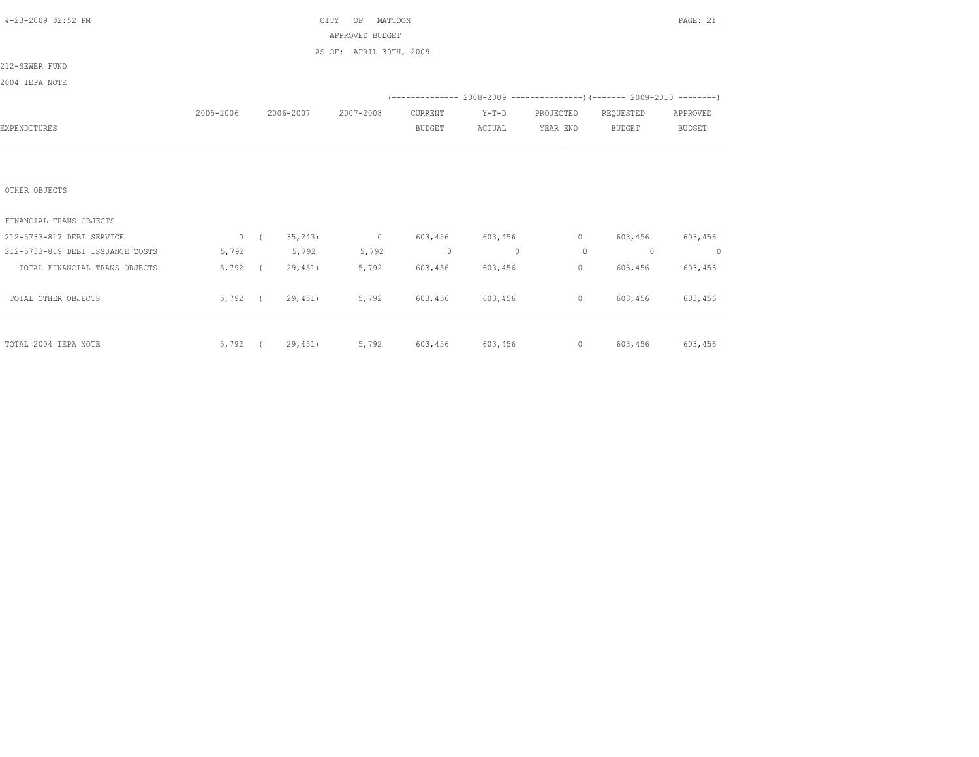| 4-23-2009 02:52 PM               |           |                |         | CITY<br>MATTOON<br>OF   |                |                 |                |                                                                      | PAGE: 21 |
|----------------------------------|-----------|----------------|---------|-------------------------|----------------|-----------------|----------------|----------------------------------------------------------------------|----------|
|                                  |           |                |         | APPROVED BUDGET         |                |                 |                |                                                                      |          |
|                                  |           |                |         | AS OF: APRIL 30TH, 2009 |                |                 |                |                                                                      |          |
| 212-SEWER FUND                   |           |                |         |                         |                |                 |                |                                                                      |          |
| 2004 IEPA NOTE                   |           |                |         |                         |                |                 |                |                                                                      |          |
|                                  |           |                |         |                         |                |                 |                | (-------------- 2008-2009 --------------------- 2009-2010 ---------) |          |
|                                  | 2005-2006 | 2006-2007      |         | 2007-2008               | CURRENT        | $Y-T-D$         | PROJECTED      | REQUESTED                                                            | APPROVED |
| EXPENDITURES                     |           |                |         |                         | <b>BUDGET</b>  | ACTUAL          | YEAR END       | <b>BUDGET</b>                                                        | BUDGET   |
|                                  |           |                |         |                         |                |                 |                |                                                                      |          |
|                                  |           |                |         |                         |                |                 |                |                                                                      |          |
|                                  |           |                |         |                         |                |                 |                |                                                                      |          |
| OTHER OBJECTS                    |           |                |         |                         |                |                 |                |                                                                      |          |
|                                  |           |                |         |                         |                |                 |                |                                                                      |          |
| FINANCIAL TRANS OBJECTS          |           |                |         |                         |                |                 |                |                                                                      |          |
| 212-5733-817 DEBT SERVICE        |           | 0 ( $35,243$ ) |         | $\sim$ 0                |                | 603,456 603,456 | $\overline{0}$ | 603,456                                                              | 603,456  |
| 212-5733-819 DEBT ISSUANCE COSTS | 5,792     | 5,792          |         | 5,792                   | $\overline{0}$ | $\sim$ 0        | $\Omega$       | $\overline{0}$                                                       | $\sim$ 0 |
| TOTAL FINANCIAL TRANS OBJECTS    | 5,792 (   |                | 29,451) | 5,792                   | 603,456        | 603,456         | $\circ$        | 603,456                                                              | 603,456  |
|                                  |           |                |         |                         |                |                 |                |                                                                      |          |
| TOTAL OTHER OBJECTS              | 5,792 (   |                | 29,451) | 5,792                   |                | 603,456 603,456 | $\circ$        | 603,456                                                              | 603,456  |
|                                  |           |                |         |                         |                |                 |                |                                                                      |          |
|                                  |           |                |         |                         |                |                 |                |                                                                      |          |
| TOTAL 2004 IEPA NOTE             | 5,792 (   |                | 29,451) | 5,792                   |                | 603,456 603,456 |                | 0 603,456 603,456                                                    |          |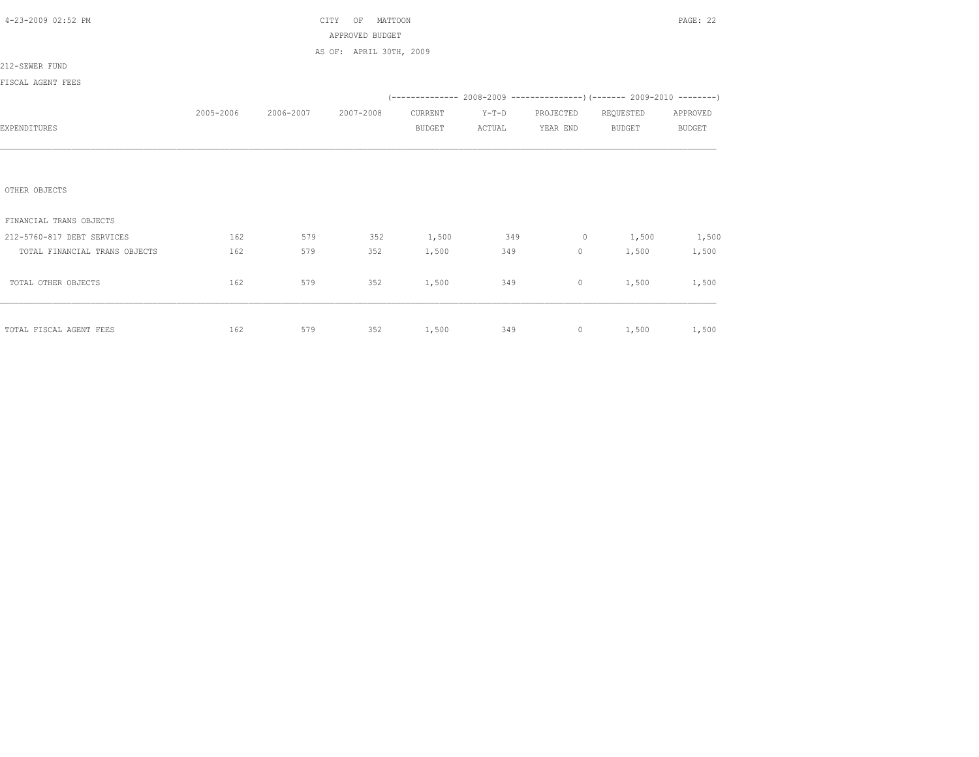| 4-23-2009 02:52 PM            |           |           | MATTOON<br>CITY<br>OF   |               |         |                     |                   | PAGE: 22      |
|-------------------------------|-----------|-----------|-------------------------|---------------|---------|---------------------|-------------------|---------------|
|                               |           |           | APPROVED BUDGET         |               |         |                     |                   |               |
|                               |           |           | AS OF: APRIL 30TH, 2009 |               |         |                     |                   |               |
| 212-SEWER FUND                |           |           |                         |               |         |                     |                   |               |
| FISCAL AGENT FEES             |           |           |                         |               |         |                     |                   |               |
|                               |           |           |                         |               |         |                     |                   |               |
|                               | 2005-2006 | 2006-2007 | 2007-2008               | CURRENT       | $Y-T-D$ | PROJECTED REQUESTED |                   | APPROVED      |
| EXPENDITURES                  |           |           |                         | <b>BUDGET</b> | ACTUAL  | YEAR END            | <b>BUDGET</b>     | <b>BUDGET</b> |
|                               |           |           |                         |               |         |                     |                   |               |
|                               |           |           |                         |               |         |                     |                   |               |
|                               |           |           |                         |               |         |                     |                   |               |
| OTHER OBJECTS                 |           |           |                         |               |         |                     |                   |               |
|                               |           |           |                         |               |         |                     |                   |               |
| FINANCIAL TRANS OBJECTS       |           |           |                         |               |         |                     |                   |               |
| 212-5760-817 DEBT SERVICES    | 162       | 579       | 352                     | 1,500 349     |         |                     | $0 \t 1,500$      | 1,500         |
| TOTAL FINANCIAL TRANS OBJECTS | 162       | 579       | 352                     | 1,500         | 349     |                     | $0 \t 1,500$      | 1,500         |
|                               |           |           |                         |               |         |                     |                   |               |
| TOTAL OTHER OBJECTS           | 162       | 579       | 352                     | 1,500         | 349     | $\circ$             | 1,500             | 1,500         |
|                               |           |           |                         |               |         |                     |                   |               |
|                               |           |           |                         |               |         |                     |                   |               |
| TOTAL FISCAL AGENT FEES       | 162       | 579       | 352 1,500 349           |               |         |                     | 0 $1,500$ $1,500$ |               |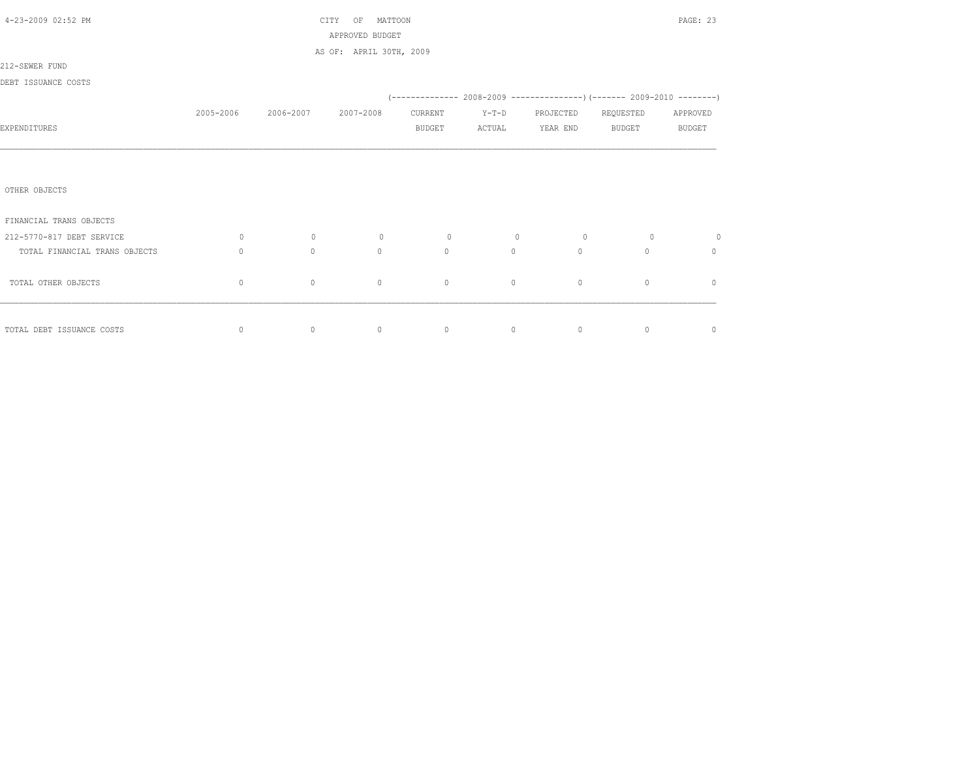| 4-23-2009 02:52 PM            | MATTOON<br>CITY<br>OF<br>APPROVED BUDGET |           |                         |                |                                                                       |           |               |               |
|-------------------------------|------------------------------------------|-----------|-------------------------|----------------|-----------------------------------------------------------------------|-----------|---------------|---------------|
|                               |                                          |           | AS OF: APRIL 30TH, 2009 |                |                                                                       |           |               |               |
| 212-SEWER FUND                |                                          |           |                         |                |                                                                       |           |               |               |
| DEBT ISSUANCE COSTS           |                                          |           |                         |                |                                                                       |           |               |               |
|                               |                                          |           |                         |                | (-------------- 2008-2009 --------------------- 2009-2010 ----------- |           |               |               |
|                               | 2005-2006                                | 2006-2007 | 2007-2008               | CURRENT        | $Y-T-D$                                                               | PROJECTED | REQUESTED     | APPROVED      |
| EXPENDITURES                  |                                          |           |                         | <b>BUDGET</b>  | ACTUAL                                                                | YEAR END  | <b>BUDGET</b> | <b>BUDGET</b> |
|                               |                                          |           |                         |                |                                                                       |           |               |               |
|                               |                                          |           |                         |                |                                                                       |           |               |               |
|                               |                                          |           |                         |                |                                                                       |           |               |               |
| OTHER OBJECTS                 |                                          |           |                         |                |                                                                       |           |               |               |
| FINANCIAL TRANS OBJECTS       |                                          |           |                         |                |                                                                       |           |               |               |
| 212-5770-817 DEBT SERVICE     | $\circ$                                  | $\circ$   | $\circ$                 | $\overline{0}$ | $\circ$                                                               | $\circ$   | $\circ$       | $\circ$       |
| TOTAL FINANCIAL TRANS OBJECTS | $\circ$                                  | $\circ$   | $\mathbf{0}$            | $\Omega$       | $\circ$                                                               | $\Omega$  | $\Omega$      | $\mathbf{0}$  |
|                               |                                          |           |                         |                |                                                                       |           |               |               |
| TOTAL OTHER OBJECTS           | $\circ$                                  | $\circ$   | $\circ$                 | $\mathbf{0}$   | $\circ$                                                               | $\circ$   | $\circ$       | $\mathbf{0}$  |
|                               |                                          |           |                         |                |                                                                       |           |               |               |
|                               |                                          |           | $\overline{0}$          |                | $\overline{0}$                                                        |           |               |               |
| TOTAL DEBT ISSUANCE COSTS     | 0                                        | $\circ$   |                         | $\circ$        |                                                                       | $\circ$   | $\circ$       | $\mathbb O$   |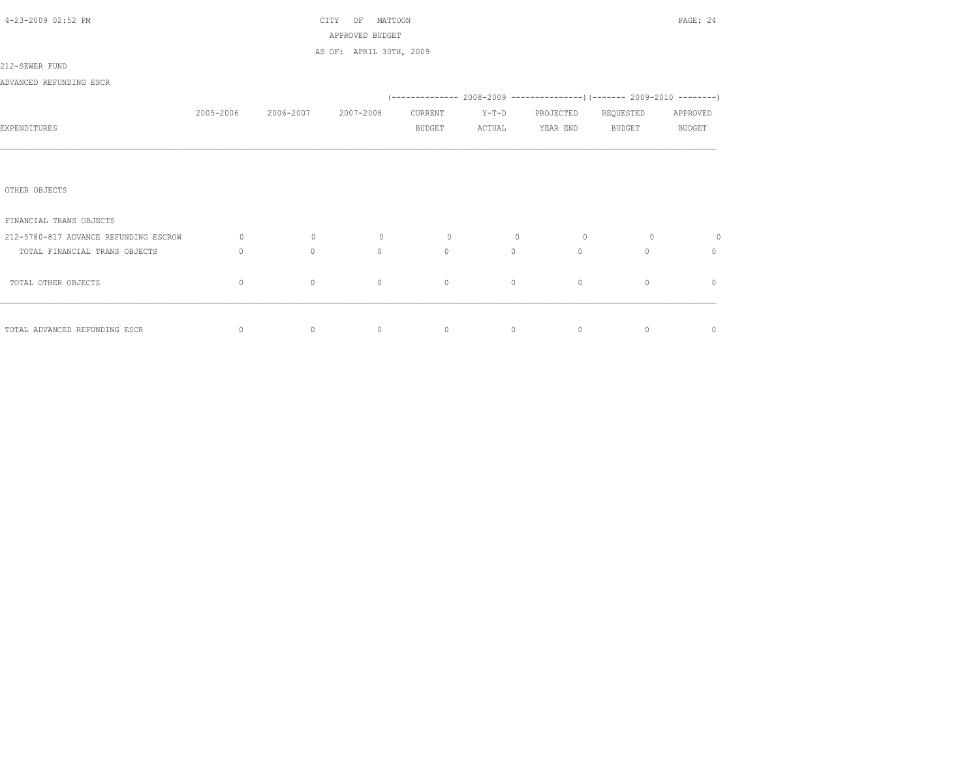| 4-23-2009 02:52 PM                    |             |           | PAGE: 24                |                |         |                |                                                                               |               |
|---------------------------------------|-------------|-----------|-------------------------|----------------|---------|----------------|-------------------------------------------------------------------------------|---------------|
|                                       |             |           | APPROVED BUDGET         |                |         |                |                                                                               |               |
|                                       |             |           | AS OF: APRIL 30TH, 2009 |                |         |                |                                                                               |               |
| 212-SEWER FUND                        |             |           |                         |                |         |                |                                                                               |               |
| ADVANCED REFUNDING ESCR               |             |           |                         |                |         |                |                                                                               |               |
|                                       |             |           |                         |                |         |                | $(-$ -------------- 2008-2009 -----------------) (------- 2009-2010 --------) |               |
|                                       | 2005-2006   | 2006-2007 | 2007-2008               | CURRENT        | $Y-T-D$ | PROJECTED      | REQUESTED                                                                     | APPROVED      |
| EXPENDITURES                          |             |           |                         | BUDGET         | ACTUAL  | YEAR END       | BUDGET                                                                        | <b>BUDGET</b> |
|                                       |             |           |                         |                |         |                |                                                                               |               |
|                                       |             |           |                         |                |         |                |                                                                               |               |
|                                       |             |           |                         |                |         |                |                                                                               |               |
| OTHER OBJECTS                         |             |           |                         |                |         |                |                                                                               |               |
|                                       |             |           |                         |                |         |                |                                                                               |               |
| FINANCIAL TRANS OBJECTS               |             |           |                         |                |         |                |                                                                               |               |
| 212-5780-817 ADVANCE REFUNDING ESCROW | $\circ$     | $\circ$   | $\circ$                 | $\circ$        | $\circ$ | $\overline{0}$ | $\circ$                                                                       | $\circ$       |
| TOTAL FINANCIAL TRANS OBJECTS         | $\Omega$    | $\Omega$  | $\Omega$                | $\Omega$       | $\circ$ | $\circ$        | $\Omega$                                                                      | $\Omega$      |
|                                       |             |           |                         |                |         |                |                                                                               |               |
| TOTAL OTHER OBJECTS                   | $\mathbf 0$ | $\circ$   | $\mathbf{0}$            | $\circ$        | $\circ$ | $\circ$        | $\mathbf{0}$                                                                  | $\circ$       |
|                                       |             |           |                         |                |         |                |                                                                               |               |
|                                       |             |           |                         |                |         |                |                                                                               |               |
| TOTAL ADVANCED REFUNDING ESCR         | $\mathbf 0$ | $\circ$   | $\circ$                 | $\overline{0}$ | $\circ$ | $\circ$        | $\circ$                                                                       | $\circ$       |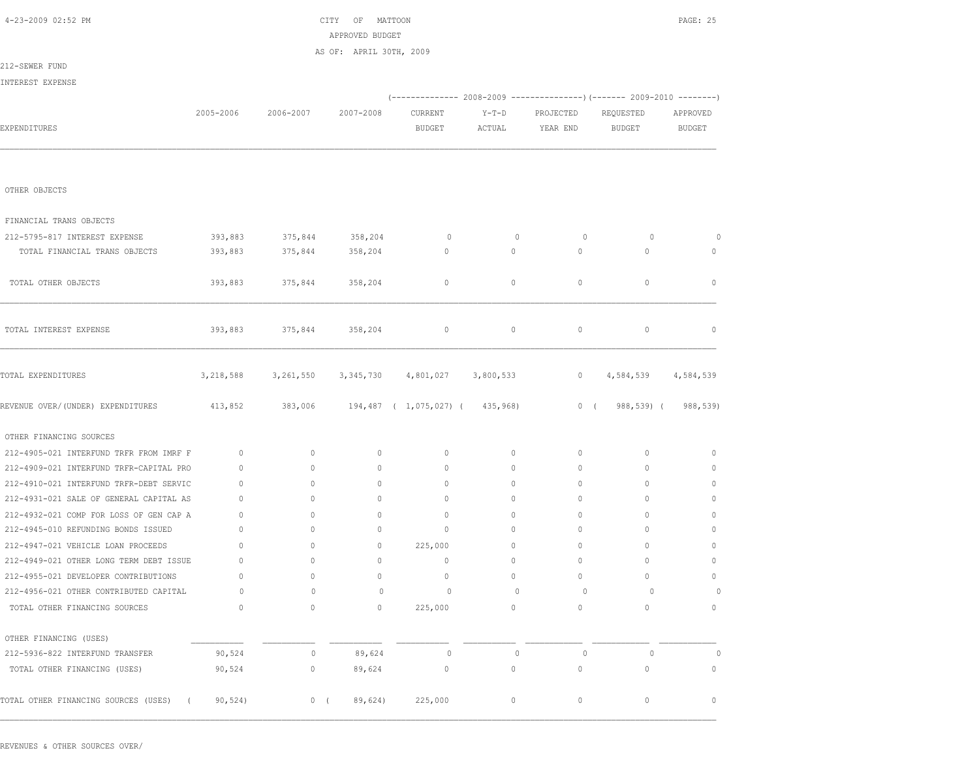| 4-23-2009 02:52 PM                                 |              |             | CITY<br>ΟF<br>MATTOON   |                                 |                   |                                                                        |                            | PAGE: 25                  |
|----------------------------------------------------|--------------|-------------|-------------------------|---------------------------------|-------------------|------------------------------------------------------------------------|----------------------------|---------------------------|
|                                                    |              |             | APPROVED BUDGET         |                                 |                   |                                                                        |                            |                           |
|                                                    |              |             | AS OF: APRIL 30TH, 2009 |                                 |                   |                                                                        |                            |                           |
| 212-SEWER FUND                                     |              |             |                         |                                 |                   |                                                                        |                            |                           |
| INTEREST EXPENSE                                   |              |             |                         |                                 |                   |                                                                        |                            |                           |
|                                                    |              | 2006-2007   |                         |                                 |                   | (------------- 2008-2009 ---------------) (------- 2009-2010 --------) |                            |                           |
| EXPENDITURES                                       | 2005-2006    |             | 2007-2008               | CURRENT<br><b>BUDGET</b>        | $Y-T-D$<br>ACTUAL | PROJECTED<br>YEAR END                                                  | REQUESTED<br><b>BUDGET</b> | APPROVED<br><b>BUDGET</b> |
|                                                    |              |             |                         |                                 |                   |                                                                        |                            |                           |
|                                                    |              |             |                         |                                 |                   |                                                                        |                            |                           |
| OTHER OBJECTS                                      |              |             |                         |                                 |                   |                                                                        |                            |                           |
| FINANCIAL TRANS OBJECTS                            |              |             |                         |                                 |                   |                                                                        |                            |                           |
| 212-5795-817 INTEREST EXPENSE                      | 393,883      | 375,844     | 358,204                 | $\circ$                         | $\circ$           | 0                                                                      | 0                          | 0                         |
| TOTAL FINANCIAL TRANS OBJECTS                      | 393,883      | 375,844     | 358,204                 | $\circ$                         | $\circ$           | $\circ$                                                                | $\circ$                    | $\circ$                   |
|                                                    |              |             |                         |                                 |                   |                                                                        |                            |                           |
| TOTAL OTHER OBJECTS                                | 393,883      | 375,844     | 358,204                 | $\mathbf 0$                     | $\circ$           | $\circ$                                                                | $\circ$                    | $\mathbf{0}$              |
|                                                    |              |             |                         |                                 |                   |                                                                        |                            |                           |
| TOTAL INTEREST EXPENSE                             | 393,883      | 375,844     | 358,204                 | $\circ$                         | $\circ$           | $\circ$                                                                | $\circ$                    | $\mathbf{0}$              |
|                                                    |              |             |                         |                                 |                   |                                                                        |                            |                           |
| TOTAL EXPENDITURES                                 | 3,218,588    | 3,261,550   | 3,345,730               | 4,801,027                       | 3,800,533         | 0                                                                      | 4,584,539                  | 4,584,539                 |
| REVENUE OVER/(UNDER) EXPENDITURES                  | 413,852      | 383,006     |                         | 194,487 ( 1,075,027) ( 435,968) |                   | 0(                                                                     | 988,539) (                 | 988,539)                  |
| OTHER FINANCING SOURCES                            |              |             |                         |                                 |                   |                                                                        |                            |                           |
| 212-4905-021 INTERFUND TRFR FROM IMRF F            | $\mathbf{0}$ | $\circ$     | $\mathbf{0}$            | $\circ$                         | $\circ$           | 0                                                                      | 0                          | 0                         |
| 212-4909-021 INTERFUND TRFR-CAPITAL PRO            | $\mathbf{0}$ | $\circ$     | $\mathbf{0}$            | $\mathbf{0}$                    | $\circ$           | $\mathbf{0}$                                                           | 0                          | $\mathbf{0}$              |
| 212-4910-021 INTERFUND TRFR-DEBT SERVIC            | $\mathbf{0}$ | $\circ$     | $\mathbf{0}$            | $\mathbf{0}$                    | $\circ$           | $\circ$                                                                | $\circ$                    | $\mathbf{0}$              |
| 212-4931-021 SALE OF GENERAL CAPITAL AS            | $\mathbf{0}$ | $\circ$     | $\mathbf{0}$            | $\mathbf{0}$                    | $\circ$           | $\mathbf{0}$                                                           | 0                          | $\mathbf{0}$              |
| 212-4932-021 COMP FOR LOSS OF GEN CAP A            | $\mathbf{0}$ | $\circ$     | $\mathbf{0}$            | $\mathbf{0}$                    | $\circ$           | $\mathbf{0}$                                                           | 0                          | 0                         |
| 212-4945-010 REFUNDING BONDS ISSUED                | $\mathbf{0}$ | $\circ$     | $\mathbf{0}$            | $\mathbf{0}$                    | $\circ$           | $\mathbf{0}$                                                           | 0                          | 0                         |
| 212-4947-021 VEHICLE LOAN PROCEEDS                 | 0            | 0           | $\circ$                 | 225,000                         | $\circ$           | $\mathbf{0}$                                                           | 0                          | $\Omega$                  |
| 212-4949-021 OTHER LONG TERM DEBT ISSUE            | 0            | $\Omega$    | $\mathbf{0}$            | $\mathbf{0}$                    | $\circ$           | $\mathbf{0}$                                                           | $\circ$                    | $\Omega$                  |
| 212-4955-021 DEVELOPER CONTRIBUTIONS               | $\circ$      | $\mathbb O$ | $\mathbb O$             | $\mathbb O$                     | $\mathbb O$       | $\mathbb O$                                                            | $\mathbb O$                | $\mathbb O$               |
| 212-4956-021 OTHER CONTRIBUTED CAPITAL             | 0            | $\mathbb O$ | $\circ$                 | $\circ$                         | $\circ$           | $\circ$                                                                | 0                          | 0                         |
| TOTAL OTHER FINANCING SOURCES                      | $\circ$      | 0           | $\mathbb O$             | 225,000                         | 0                 | $\circ$                                                                | 0                          | $\circ$                   |
| OTHER FINANCING (USES)                             |              |             |                         |                                 |                   |                                                                        |                            |                           |
| 212-5936-822 INTERFUND TRANSFER                    | 90,524       | $\circ$     | 89,624                  | $\circ$                         | $\mathbf{0}$      | $\circ$                                                                | $\circ$                    | $\circ$                   |
| TOTAL OTHER FINANCING (USES)                       | 90,524       | 0           | 89,624                  | $\mathbb O$                     | $\mathbb O$       | $\mathbb O$                                                            | 0                          | 0                         |
| TOTAL OTHER FINANCING SOURCES (USES)<br>$\sqrt{2}$ | 90, 524)     | $0$ (       | 89,624)                 | 225,000                         | 0                 | $\circ$                                                                | 0                          | $\circ$                   |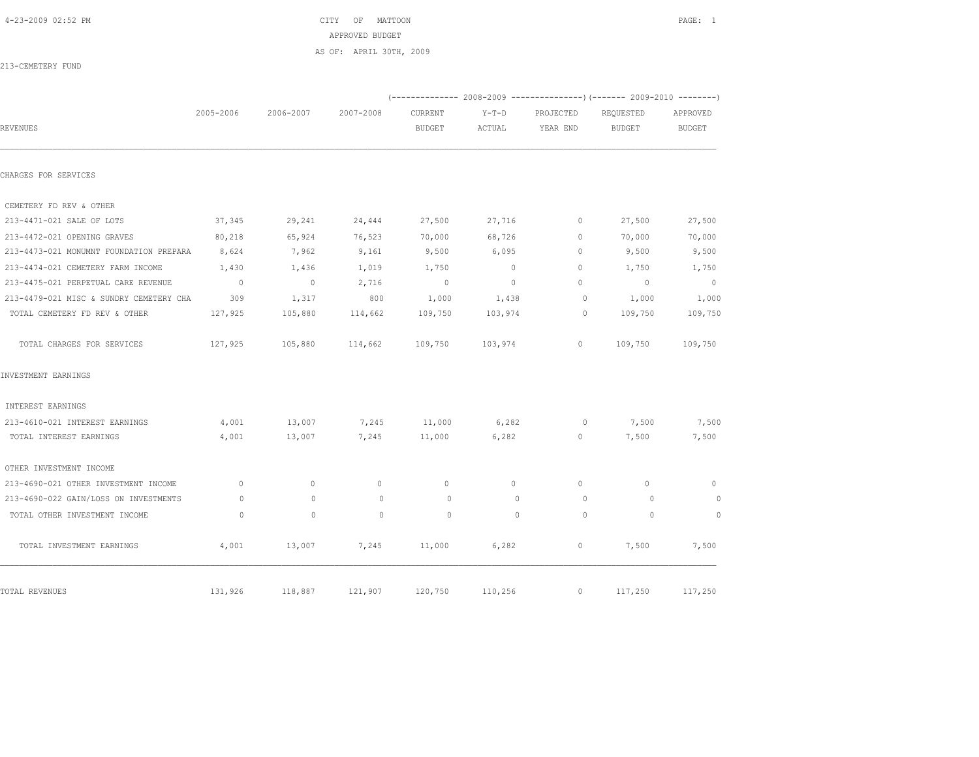4-23-2009 02:52 PM CITY OF MATTOON PAGE: 1 APPROVED BUDGET AS OF: APRIL 30TH, 2009

213-CEMETERY FUND

|                                         |                |                |              |                          |                   |                       | (-------------- 2008-2009 -------------------- 2009-2010 ---------) |                           |
|-----------------------------------------|----------------|----------------|--------------|--------------------------|-------------------|-----------------------|---------------------------------------------------------------------|---------------------------|
| REVENUES                                | 2005-2006      | 2006-2007      | 2007-2008    | CURRENT<br><b>BUDGET</b> | $Y-T-D$<br>ACTUAL | PROJECTED<br>YEAR END | REQUESTED<br><b>BUDGET</b>                                          | APPROVED<br><b>BUDGET</b> |
| CHARGES FOR SERVICES                    |                |                |              |                          |                   |                       |                                                                     |                           |
| CEMETERY FD REV & OTHER                 |                |                |              |                          |                   |                       |                                                                     |                           |
| 213-4471-021 SALE OF LOTS               | 37,345         | 29,241         | 24,444       | 27,500                   | 27,716            | $\mathbf 0$           | 27,500                                                              | 27,500                    |
| 213-4472-021 OPENING GRAVES             | 80,218         | 65,924         | 76,523       | 70,000                   | 68,726            | $\mathbf 0$           | 70,000                                                              | 70,000                    |
| 213-4473-021 MONUMNT FOUNDATION PREPARA | 8,624          | 7,962          | 9,161        | 9,500                    | 6,095             | $\mathbf 0$           | 9,500                                                               | 9,500                     |
| 213-4474-021 CEMETERY FARM INCOME       | 1,430          | 1,436          | 1,019        | 1,750                    | $\overline{0}$    | $\Omega$              | 1,750                                                               | 1,750                     |
| 213-4475-021 PERPETUAL CARE REVENUE     | $\overline{0}$ | $\overline{0}$ | 2,716        | $\overline{0}$           | $\overline{0}$    | $\Omega$              | $\overline{0}$                                                      | $\overline{0}$            |
| 213-4479-021 MISC & SUNDRY CEMETERY CHA | 309            | 1,317          | 800          | 1,000                    | 1,438             | $\circ$               | 1,000                                                               | 1,000                     |
| TOTAL CEMETERY FD REV & OTHER           | 127,925        | 105,880        | 114,662      | 109,750                  | 103,974           | $\circ$               | 109,750                                                             | 109,750                   |
| TOTAL CHARGES FOR SERVICES              | 127,925        | 105,880        | 114,662      | 109,750                  | 103,974           | $\circ$               | 109,750                                                             | 109,750                   |
| INVESTMENT EARNINGS                     |                |                |              |                          |                   |                       |                                                                     |                           |
| INTEREST EARNINGS                       |                |                |              |                          |                   |                       |                                                                     |                           |
| 213-4610-021 INTEREST EARNINGS          | 4,001          | 13,007         | 7,245        | 11,000                   | 6,282             | $\circ$               | 7,500                                                               | 7,500                     |
| TOTAL INTEREST EARNINGS                 | 4,001          | 13,007         | 7,245        | 11,000                   | 6,282             | $\circ$               | 7,500                                                               | 7,500                     |
| OTHER INVESTMENT INCOME                 |                |                |              |                          |                   |                       |                                                                     |                           |
| 213-4690-021 OTHER INVESTMENT INCOME    | $\mathbf{0}$   | $\circ$        | $\mathbf{0}$ | $\mathbf{0}$             | $\circ$           | $\mathbf{0}$          | $\mathbf{0}$                                                        | $\mathbf{0}$              |
| 213-4690-022 GAIN/LOSS ON INVESTMENTS   | $\circ$        | $\circ$        | $\circ$      | $\circ$                  | $\circ$           | $\circ$               | 0                                                                   | $\circ$                   |
| TOTAL OTHER INVESTMENT INCOME           | $\circ$        | $\mathbf{0}$   | $\circ$      | $\circ$                  | $\Omega$          | $\Omega$              | $\Omega$                                                            | $\circ$                   |
| TOTAL INVESTMENT EARNINGS               | 4,001          | 13,007         | 7,245        | 11,000                   | 6,282             | $\circ$               | 7,500                                                               | 7,500                     |
| TOTAL REVENUES                          | 131,926        | 118,887        | 121,907      | 120,750                  | 110,256           | $\circ$               | 117,250                                                             | 117,250                   |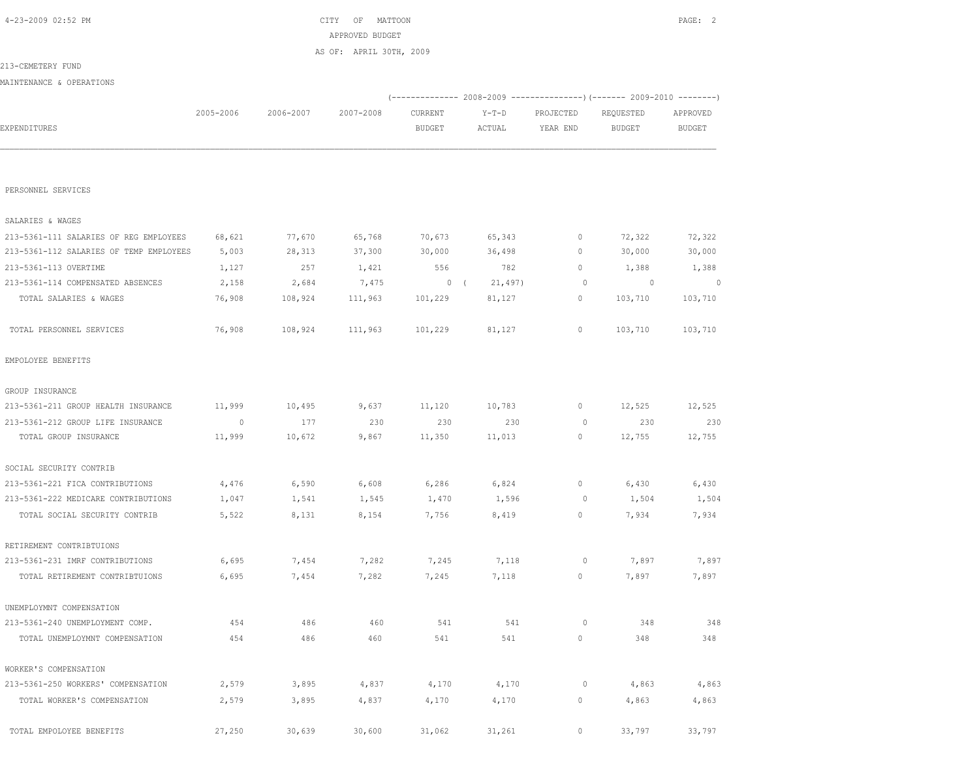| PERSONNEL SERVICES                      |         |         |         |         |         |              |                          |         |
|-----------------------------------------|---------|---------|---------|---------|---------|--------------|--------------------------|---------|
| SALARIES & WAGES                        |         |         |         |         |         |              |                          |         |
| 213-5361-111 SALARIES OF REG EMPLOYEES  | 68,621  | 77,670  | 65,768  | 70,673  | 65,343  | 0            | 72,322                   | 72,322  |
| 213-5361-112 SALARIES OF TEMP EMPLOYEES | 5,003   | 28,313  | 37,300  | 30,000  | 36,498  | $\mathbf 0$  | 30,000                   | 30,000  |
| 213-5361-113 OVERTIME                   | 1,127   | 257     | 1,421   | 556     | 782     | $\circ$      | 1,388                    | 1,388   |
| 213-5361-114 COMPENSATED ABSENCES       | 2,158   | 2,684   | 7,475   | 0(      | 21,497) | $\circ$      | $\overline{\phantom{0}}$ | 0       |
| TOTAL SALARIES & WAGES                  | 76,908  | 108,924 | 111,963 | 101,229 | 81,127  | $\mathbf{0}$ | 103,710                  | 103,710 |
| TOTAL PERSONNEL SERVICES                | 76,908  | 108,924 | 111,963 | 101,229 | 81,127  | $\mathbb O$  | 103,710                  | 103,710 |
| EMPOLOYEE BENEFITS                      |         |         |         |         |         |              |                          |         |
| GROUP INSURANCE                         |         |         |         |         |         |              |                          |         |
| 213-5361-211 GROUP HEALTH INSURANCE     | 11,999  | 10,495  | 9,637   | 11,120  | 10,783  | 0            | 12,525                   | 12,525  |
| 213-5361-212 GROUP LIFE INSURANCE       | $\circ$ | 177     | 230     | 230     | 230     | $\circ$      | 230                      | 230     |
| TOTAL GROUP INSURANCE                   | 11,999  | 10,672  | 9,867   | 11,350  | 11,013  | 0            | 12,755                   | 12,755  |
| SOCIAL SECURITY CONTRIB                 |         |         |         |         |         |              |                          |         |
| 213-5361-221 FICA CONTRIBUTIONS         | 4,476   | 6,590   | 6,608   | 6,286   | 6,824   | 0            | 6,430                    | 6,430   |
| 213-5361-222 MEDICARE CONTRIBUTIONS     | 1,047   | 1,541   | 1,545   | 1,470   | 1,596   | $\circ$      | 1,504                    | 1,504   |
| TOTAL SOCIAL SECURITY CONTRIB           | 5,522   | 8,131   | 8,154   | 7,756   | 8,419   | $\circ$      | 7,934                    | 7,934   |
| RETIREMENT CONTRIBTUIONS                |         |         |         |         |         |              |                          |         |
| 213-5361-231 IMRF CONTRIBUTIONS         | 6,695   | 7,454   | 7,282   | 7,245   | 7,118   | $\circ$      | 7,897                    | 7,897   |
| TOTAL RETIREMENT CONTRIBTUIONS          | 6,695   | 7,454   | 7,282   | 7,245   | 7,118   | $\circ$      | 7,897                    | 7,897   |
| UNEMPLOYMNT COMPENSATION                |         |         |         |         |         |              |                          |         |
| 213-5361-240 UNEMPLOYMENT COMP.         | 454     | 486     | 460     | 541     | 541     | $\circ$      | 348                      | 348     |
| TOTAL UNEMPLOYMNT COMPENSATION          | 454     | 486     | 460     | 541     | 541     | $\circ$      | 348                      | 348     |
| WORKER'S COMPENSATION                   |         |         |         |         |         |              |                          |         |
| 213-5361-250 WORKERS' COMPENSATION      | 2,579   | 3,895   | 4,837   | 4,170   | 4,170   | $\circ$      | 4,863                    | 4,863   |
| TOTAL WORKER'S COMPENSATION             | 2,579   | 3,895   | 4,837   | 4,170   | 4,170   | 0            | 4,863                    | 4,863   |
| TOTAL EMPOLOYEE BENEFITS                | 27,250  | 30,639  | 30,600  | 31,062  | 31,261  | $\circ$      | 33,797                   | 33,797  |

|                          |           |           | AS OF: APRIL 30TH, 2009 |         |         |                                                                 |           |               |
|--------------------------|-----------|-----------|-------------------------|---------|---------|-----------------------------------------------------------------|-----------|---------------|
| 213-CEMETERY FUND        |           |           |                         |         |         |                                                                 |           |               |
| MAINTENANCE & OPERATIONS |           |           |                         |         |         |                                                                 |           |               |
|                          |           |           |                         |         |         | $(---------- 2008-2009 ------------ 2009-2010 ------ 2009-2010$ |           |               |
|                          | 2005-2006 | 2006-2007 | 2007-2008               | CURRENT | $Y-T-D$ | PROJECTED                                                       | REQUESTED | APPROVED      |
| <b>EXPENDITURES</b>      |           |           |                         | BUDGET  | ACTUAL  | YEAR END                                                        | BUDGET    | <b>BUDGET</b> |
|                          |           |           |                         |         |         |                                                                 |           |               |
|                          |           |           |                         |         |         |                                                                 |           |               |
|                          |           |           |                         |         |         |                                                                 |           |               |

APPROVED BUDGET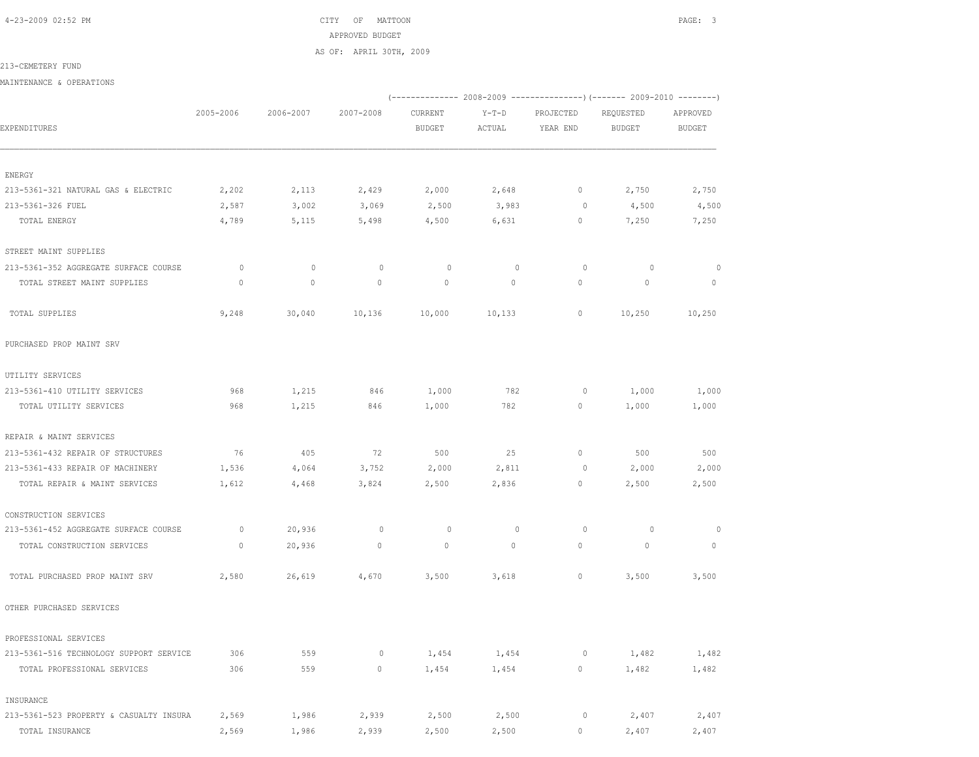4-23-2009 02:52 PM CITY OF MATTOON PAGE: 3 APPROVED BUDGET AS OF: APRIL 30TH, 2009

213-CEMETERY FUND

MAINTENANCE & OPERATIONS

|                                         |           |             |             | (-------------- 2008-2009 ----------------) (------- 2009-2010 --------) |                   |                       |                            |                           |  |
|-----------------------------------------|-----------|-------------|-------------|--------------------------------------------------------------------------|-------------------|-----------------------|----------------------------|---------------------------|--|
| EXPENDITURES                            | 2005-2006 | 2006-2007   | 2007-2008   | CURRENT<br><b>BUDGET</b>                                                 | $Y-T-D$<br>ACTUAL | PROJECTED<br>YEAR END | REQUESTED<br><b>BUDGET</b> | APPROVED<br><b>BUDGET</b> |  |
|                                         |           |             |             |                                                                          |                   |                       |                            |                           |  |
| ENERGY                                  |           |             |             |                                                                          |                   |                       |                            |                           |  |
| 213-5361-321 NATURAL GAS & ELECTRIC     | 2,202     | 2,113       | 2,429       | 2,000                                                                    | 2,648             | $\circ$               | 2,750                      | 2,750                     |  |
| 213-5361-326 FUEL                       | 2,587     | 3,002       | 3,069       | 2,500                                                                    | 3,983             | 0                     | 4,500                      | 4,500                     |  |
| TOTAL ENERGY                            | 4,789     | 5,115       | 5,498       | 4,500                                                                    | 6,631             | 0                     | 7,250                      | 7,250                     |  |
| STREET MAINT SUPPLIES                   |           |             |             |                                                                          |                   |                       |                            |                           |  |
| 213-5361-352 AGGREGATE SURFACE COURSE   | $\circ$   | $\circ$     | $\mathbb O$ | $\circ$                                                                  | $\mathbb O$       | $\circ$               | $\circ$                    | $\circ$                   |  |
| TOTAL STREET MAINT SUPPLIES             | $\Omega$  | $\mathbb O$ | $\circ$     | $\circ$                                                                  | $\circ$           | $\circ$               | $\mathbf 0$                | $\circ$                   |  |
| TOTAL SUPPLIES                          | 9,248     | 30,040      | 10,136      | 10,000                                                                   | 10,133            | 0                     | 10,250                     | 10,250                    |  |
| PURCHASED PROP MAINT SRV                |           |             |             |                                                                          |                   |                       |                            |                           |  |
| UTILITY SERVICES                        |           |             |             |                                                                          |                   |                       |                            |                           |  |
| 213-5361-410 UTILITY SERVICES           | 968       | 1,215       | 846         | 1,000                                                                    | 782               | $\circ$               | 1,000                      | 1,000                     |  |
| TOTAL UTILITY SERVICES                  | 968       | 1,215       | 846         | 1,000                                                                    | 782               | $\circ$               | 1,000                      | 1,000                     |  |
| REPAIR & MAINT SERVICES                 |           |             |             |                                                                          |                   |                       |                            |                           |  |
| 213-5361-432 REPAIR OF STRUCTURES       | 76        | 405         | 72          | 500                                                                      | 25                | $\mathbf{0}$          | 500                        | 500                       |  |
| 213-5361-433 REPAIR OF MACHINERY        | 1,536     | 4,064       | 3,752       | 2,000                                                                    | 2,811             | 0                     | 2,000                      | 2,000                     |  |
| TOTAL REPAIR & MAINT SERVICES           | 1,612     | 4,468       | 3,824       | 2,500                                                                    | 2,836             | $\circ$               | 2,500                      | 2,500                     |  |
| CONSTRUCTION SERVICES                   |           |             |             |                                                                          |                   |                       |                            |                           |  |
| 213-5361-452 AGGREGATE SURFACE COURSE   | $\circ$   | 20,936      | $\mathbb O$ | $\circ$                                                                  | $\mathbf{0}$      | $\circ$               | $\circ$                    | $\circ$                   |  |
| TOTAL CONSTRUCTION SERVICES             | $\circ$   | 20,936      | $\mathbb O$ | $\circ$                                                                  | $\circ$           | $\circ$               | $\mathbf{0}$               | $\mathbb O$               |  |
| TOTAL PURCHASED PROP MAINT SRV          | 2,580     | 26,619      | 4,670       | 3,500                                                                    | 3,618             | $\circ$               | 3,500                      | 3,500                     |  |
| OTHER PURCHASED SERVICES                |           |             |             |                                                                          |                   |                       |                            |                           |  |
| PROFESSIONAL SERVICES                   |           |             |             |                                                                          |                   |                       |                            |                           |  |
| 213-5361-516 TECHNOLOGY SUPPORT SERVICE | 306       | 559         | $\circ$     | 1,454                                                                    | 1,454             | $\mathbb O$           | 1,482                      | 1,482                     |  |
| TOTAL PROFESSIONAL SERVICES             | 306       | 559         | $\circ$     | 1,454                                                                    | 1,454             | $\circ$               | 1,482                      | 1,482                     |  |
| INSURANCE                               |           |             |             |                                                                          |                   |                       |                            |                           |  |
| 213-5361-523 PROPERTY & CASUALTY INSURA | 2,569     | 1,986       | 2,939       | 2,500                                                                    | 2,500             | $\circ$               | 2,407                      | 2,407                     |  |
| TOTAL INSURANCE                         | 2,569     | 1,986       | 2,939       | 2,500                                                                    | 2,500             | 0                     | 2,407                      | 2,407                     |  |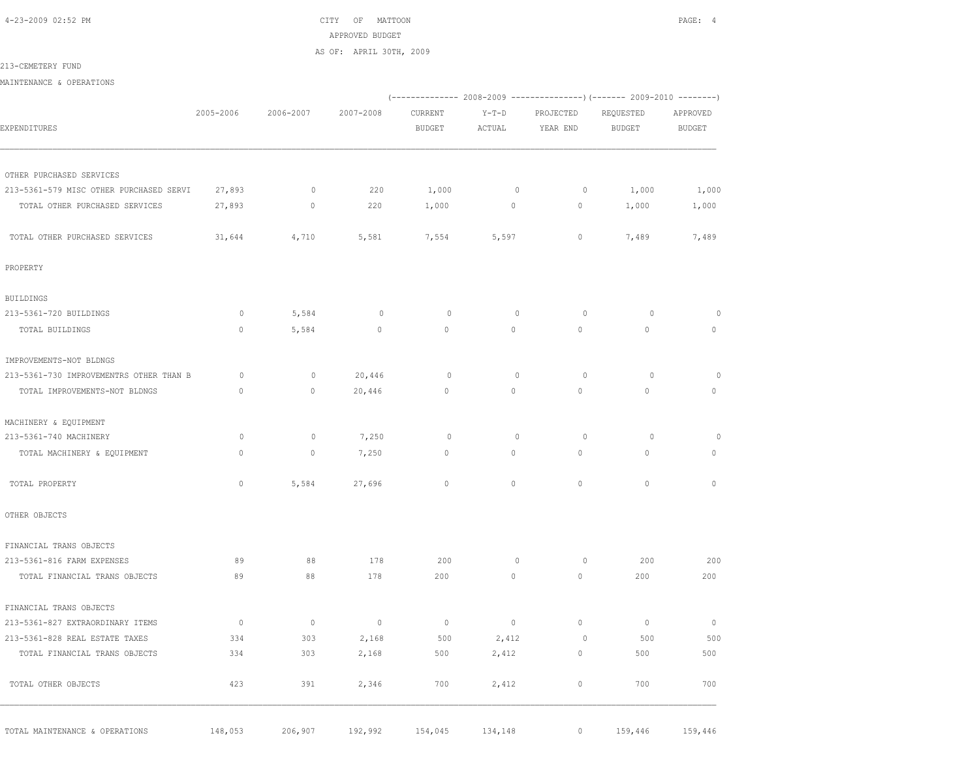4-23-2009 02:52 PM CITY OF MATTOON PAGE: 4 APPROVED BUDGET AS OF: APRIL 30TH, 2009

### 213-CEMETERY FUND

MAINTENANCE & OPERATIONS

|                                         |                |             |                |                | (-------------- 2008-2009 ---------------) (------- 2009-2010 --------) |             |               |                |
|-----------------------------------------|----------------|-------------|----------------|----------------|-------------------------------------------------------------------------|-------------|---------------|----------------|
|                                         | 2005-2006      | 2006-2007   | 2007-2008      | CURRENT        | $Y-T-D$                                                                 | PROJECTED   | REQUESTED     | APPROVED       |
| EXPENDITURES                            |                |             |                | <b>BUDGET</b>  | ACTUAL                                                                  | YEAR END    | <b>BUDGET</b> | <b>BUDGET</b>  |
| OTHER PURCHASED SERVICES                |                |             |                |                |                                                                         |             |               |                |
| 213-5361-579 MISC OTHER PURCHASED SERVI | 27,893         | $\mathbb O$ | 220            | 1,000          | $\mathbb O$                                                             | $\circ$     | 1,000         | 1,000          |
| TOTAL OTHER PURCHASED SERVICES          | 27,893         | $\circ$     | 220            | 1,000          | $\circ$                                                                 | $\circ$     | 1,000         | 1,000          |
| TOTAL OTHER PURCHASED SERVICES          | 31,644         | 4,710       | 5,581          | 7,554          | 5,597                                                                   | $\circ$     | 7,489         | 7,489          |
| PROPERTY                                |                |             |                |                |                                                                         |             |               |                |
| <b>BUILDINGS</b>                        |                |             |                |                |                                                                         |             |               |                |
| 213-5361-720 BUILDINGS                  | $\circ$        | 5,584       | $\circ$        | $\circ$        | $\circ$                                                                 | $\circ$     | $\circ$       | $\circ$        |
| TOTAL BUILDINGS                         | $\circ$        | 5,584       | $\mathbb O$    | $\Omega$       | $\circ$                                                                 | $\circ$     | $\circ$       | $\Omega$       |
| IMPROVEMENTS-NOT BLDNGS                 |                |             |                |                |                                                                         |             |               |                |
| 213-5361-730 IMPROVEMENTRS OTHER THAN B | $\circ$        | $\mathbb O$ | 20,446         | $\circ$        | $\mathbb O$                                                             | $\circ$     | $\circ$       | $\circ$        |
| TOTAL IMPROVEMENTS-NOT BLDNGS           | $\mathbf{0}$   | $\circ$     | 20,446         | $\circ$        | $\circ$                                                                 | $\circ$     | $\circ$       | $\circ$        |
| MACHINERY & EQUIPMENT                   |                |             |                |                |                                                                         |             |               |                |
| 213-5361-740 MACHINERY                  | $\circ$        | $\circ$     | 7,250          | $\circ$        | $\circ$                                                                 | $\circ$     | $\circ$       | $\circ$        |
| TOTAL MACHINERY & EQUIPMENT             | $\circ$        | $\circ$     | 7,250          | $\mathbf{0}$   | $\circ$                                                                 | $\circ$     | $\circ$       | $\circ$        |
| TOTAL PROPERTY                          | $\Omega$       | 5,584       | 27,696         | $\Omega$       | $\Omega$                                                                | $\Omega$    | $\Omega$      | $\Omega$       |
| OTHER OBJECTS                           |                |             |                |                |                                                                         |             |               |                |
| FINANCIAL TRANS OBJECTS                 |                |             |                |                |                                                                         |             |               |                |
| 213-5361-816 FARM EXPENSES              | 89             | 88          | 178            | 200            | $\circ$                                                                 | 0           | 200           | 200            |
| TOTAL FINANCIAL TRANS OBJECTS           | 89             | 88          | 178            | 200            | $\circ$                                                                 | $\circ$     | 200           | 200            |
| FINANCIAL TRANS OBJECTS                 |                |             |                |                |                                                                         |             |               |                |
| 213-5361-827 EXTRAORDINARY ITEMS        | $\overline{0}$ | $\circ$     | $\overline{0}$ | $\overline{0}$ | $\circ$                                                                 | $\mathbb O$ | $\circ$       | $\overline{0}$ |
| 213-5361-828 REAL ESTATE TAXES          | 334            | 303         | 2,168          | 500            | 2,412                                                                   | $\circ$     | 500           | 500            |
| TOTAL FINANCIAL TRANS OBJECTS           | 334            | 303         | 2,168          | 500            | 2,412                                                                   | $\circ$     | 500           | 500            |
| TOTAL OTHER OBJECTS                     | 423            | 391         | 2,346          | 700            | 2,412                                                                   | $\circ$     | 700           | 700            |

TOTAL MAINTENANCE & OPERATIONS 148,053 206,907 192,992 154,045 134,148 0 159,446 159,446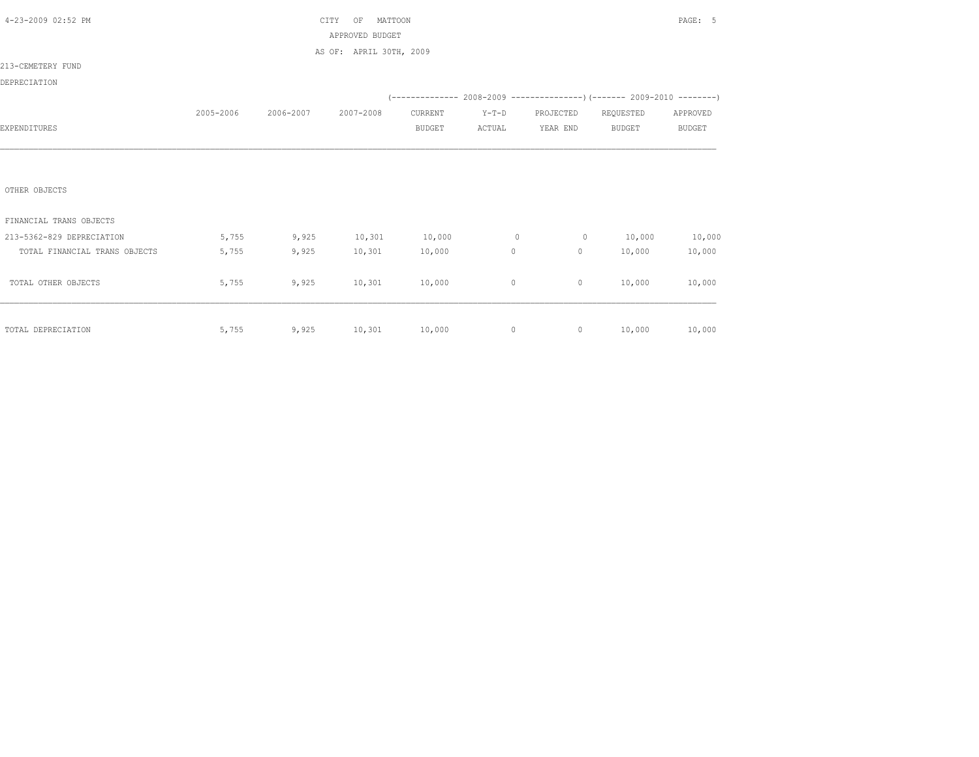| 4-23-2009 02:52 PM            |           |                       | CITY<br>MATTOON<br>OF   |               |         |                |                                                                          | PAGE: 5       |
|-------------------------------|-----------|-----------------------|-------------------------|---------------|---------|----------------|--------------------------------------------------------------------------|---------------|
|                               |           |                       | APPROVED BUDGET         |               |         |                |                                                                          |               |
|                               |           |                       | AS OF: APRIL 30TH, 2009 |               |         |                |                                                                          |               |
| 213-CEMETERY FUND             |           |                       |                         |               |         |                |                                                                          |               |
| DEPRECIATION                  |           |                       |                         |               |         |                |                                                                          |               |
|                               |           |                       |                         |               |         |                | (-------------- 2008-2009 ----------------) (------- 2009-2010 --------) |               |
|                               | 2005-2006 | 2006-2007             | 2007-2008               | CURRENT       | $Y-T-D$ | PROJECTED      | REQUESTED                                                                | APPROVED      |
| EXPENDITURES                  |           |                       |                         | <b>BUDGET</b> | ACTUAL  | YEAR END       | <b>BUDGET</b>                                                            | <b>BUDGET</b> |
|                               |           |                       |                         |               |         |                |                                                                          |               |
|                               |           |                       |                         |               |         |                |                                                                          |               |
|                               |           |                       |                         |               |         |                |                                                                          |               |
| OTHER OBJECTS                 |           |                       |                         |               |         |                |                                                                          |               |
|                               |           |                       |                         |               |         |                |                                                                          |               |
| FINANCIAL TRANS OBJECTS       |           |                       |                         |               |         |                |                                                                          |               |
| 213-5362-829 DEPRECIATION     | 5,755     | 9,925                 | 10, 301                 | 10,000        | $\circ$ | $\overline{0}$ | 10,000                                                                   | 10,000        |
| TOTAL FINANCIAL TRANS OBJECTS | 5,755     | 9,925                 | 10,301                  | 10,000        | 0       | $\circ$        | 10,000                                                                   | 10,000        |
|                               |           |                       |                         |               |         |                |                                                                          |               |
| TOTAL OTHER OBJECTS           | 5,755     | 9,925                 | 10,301                  | 10,000        | $\circ$ | $\circ$        | 10,000                                                                   | 10,000        |
|                               |           |                       |                         |               |         |                |                                                                          |               |
|                               |           |                       |                         |               |         |                |                                                                          |               |
| TOTAL DEPRECIATION            | 5,755     | $9,925$ 10,301 10,000 |                         |               | $\circ$ | $0 \t 10,000$  |                                                                          | 10,000        |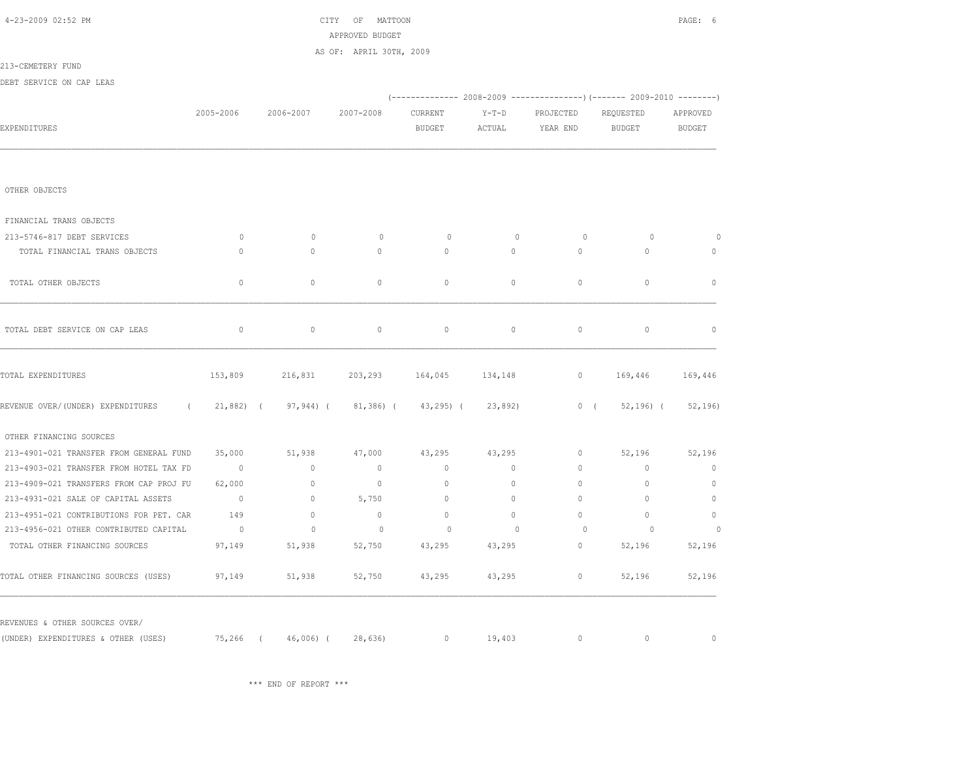| 4-23-2009 02:52 PM                              |                |               | CITY<br>OF<br>MATTOON<br>APPROVED BUDGET |               |              |                                                                                  |               | PAGE: 6      |
|-------------------------------------------------|----------------|---------------|------------------------------------------|---------------|--------------|----------------------------------------------------------------------------------|---------------|--------------|
|                                                 |                |               | AS OF: APRIL 30TH, 2009                  |               |              |                                                                                  |               |              |
| 213-CEMETERY FUND                               |                |               |                                          |               |              |                                                                                  |               |              |
| DEBT SERVICE ON CAP LEAS                        |                |               |                                          |               |              |                                                                                  |               |              |
|                                                 |                |               |                                          |               |              | $(-$ -------------- 2008-2009 -------------------) (------- 2009-2010 ---------) |               |              |
|                                                 | 2005-2006      | 2006-2007     | 2007-2008                                | CURRENT       | $Y-T-D$      | PROJECTED                                                                        | REQUESTED     | APPROVED     |
| <b>EXPENDITURES</b>                             |                |               |                                          | BUDGET        | ACTUAL       | YEAR END                                                                         | BUDGET        | BUDGET       |
|                                                 |                |               |                                          |               |              |                                                                                  |               |              |
| OTHER OBJECTS                                   |                |               |                                          |               |              |                                                                                  |               |              |
| FINANCIAL TRANS OBJECTS                         |                |               |                                          |               |              |                                                                                  |               |              |
| 213-5746-817 DEBT SERVICES                      | $\circ$        | $\mathbf{0}$  | $\circ$                                  | 0             | $\mathbf{0}$ | $\circ$                                                                          | $\circ$       | $\circ$      |
| TOTAL FINANCIAL TRANS OBJECTS                   | $\mathbf{0}$   | $\circ$       | $\circ$                                  | $\circ$       | $\circ$      | $\circ$                                                                          | $\circ$       | $\mathbf{0}$ |
| TOTAL OTHER OBJECTS                             | $\mathbf{0}$   | $\Omega$      | $\circ$                                  | $\Omega$      | $\Omega$     | $\Omega$                                                                         | $\Omega$      | $\mathbf{0}$ |
| TOTAL DEBT SERVICE ON CAP LEAS                  | $\circ$        | $\mathbb O$   | $\mathbb O$                              | $\circ$       | $\circ$      | $\mathbb O$                                                                      | $\mathbb O$   | $\mathbf{0}$ |
| TOTAL EXPENDITURES                              | 153,809        | 216,831       | 203,293                                  | 164,045       | 134,148      | $\circ$                                                                          | 169,446       | 169,446      |
| REVENUE OVER/(UNDER) EXPENDITURES<br>$\sqrt{2}$ | $21,882$ (     | $97, 944$ ) ( | $81,386$ (                               | $43, 295$ ) ( | 23,892)      | $0$ (                                                                            | $52, 196$ ) ( | 52, 196)     |
| OTHER FINANCING SOURCES                         |                |               |                                          |               |              |                                                                                  |               |              |
| 213-4901-021 TRANSFER FROM GENERAL FUND         | 35,000         | 51,938        | 47,000                                   | 43,295        | 43,295       | $\mathbf{0}$                                                                     | 52,196        | 52,196       |
| 213-4903-021 TRANSFER FROM HOTEL TAX FD         | $\overline{0}$ | $\circ$       | $\mathbf{0}$                             | $\mathbf{0}$  | $\circ$      | $\circ$                                                                          | $\mathbf{0}$  | $\circ$      |
| 213-4909-021 TRANSFERS FROM CAP PROJ FU         | 62,000         | $\circ$       | $\mathbb O$                              | $\circ$       | $\circ$      | $\circ$                                                                          | $\mathbb O$   | $\circ$      |
| 213-4931-021 SALE OF CAPITAL ASSETS             | $\overline{0}$ | $\circ$       | 5,750                                    | $\mathbf{0}$  | $\circ$      | $\circ$                                                                          | $\Omega$      | $\mathbf{0}$ |
| 213-4951-021 CONTRIBUTIONS FOR PET. CAR         | 149            | $\circ$       | $\mathbf{0}$                             | $\mathbf{0}$  | $\Omega$     | $\Omega$                                                                         | $\Omega$      | $\mathbf{0}$ |
| 213-4956-021 OTHER CONTRIBUTED CAPITAL          | $\overline{0}$ | $\mathbb O$   | $\circ$                                  | $\circ$       | $\mathbf{0}$ | $\circ$                                                                          | $\circ$       | $\circ$      |
| TOTAL OTHER FINANCING SOURCES                   | 97,149         | 51,938        | 52,750                                   | 43,295        | 43,295       | $\mathbf{0}$                                                                     | 52,196        | 52,196       |
| TOTAL OTHER FINANCING SOURCES (USES)            | 97,149         | 51,938        | 52,750                                   | 43,295        | 43,295       | $\circ$                                                                          | 52,196        | 52,196       |
| REVENUES & OTHER SOURCES OVER/                  |                |               |                                          |               |              |                                                                                  |               |              |
| (UNDER) EXPENDITURES & OTHER (USES)             | 75,266 (       | 46,006) (     | 28,636                                   | $\circ$       | 19,403       | $\circ$                                                                          | $\circ$       | $\mathbf{0}$ |

\*\*\* END OF REPORT \*\*\*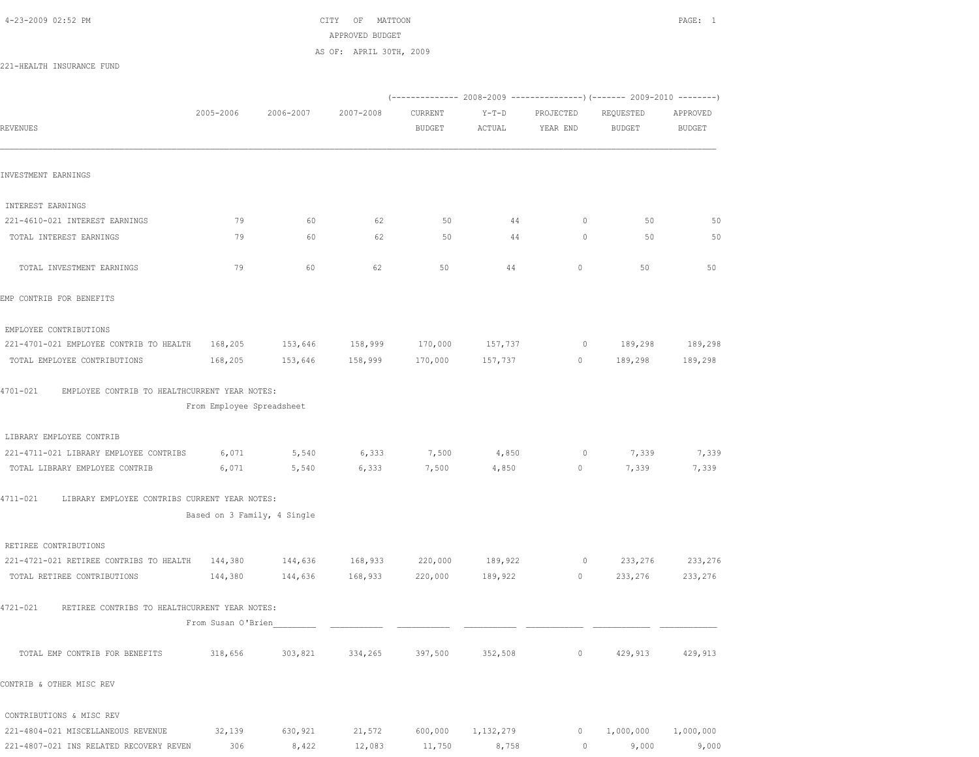4-23-2009 02:52 PM CITY OF MATTOON PAGE: 1 APPROVED BUDGET AS OF: APRIL 30TH, 2009

221-HEALTH INSURANCE FUND

|                                                               |                             |           |           |                          |                   |                       | (------------- 2008-2009 ---------------) (------- 2009-2010 --------) |                           |
|---------------------------------------------------------------|-----------------------------|-----------|-----------|--------------------------|-------------------|-----------------------|------------------------------------------------------------------------|---------------------------|
| <b>REVENUES</b>                                               | 2005-2006                   | 2006-2007 | 2007-2008 | CURRENT<br><b>BUDGET</b> | $Y-T-D$<br>ACTUAL | PROJECTED<br>YEAR END | REQUESTED<br><b>BUDGET</b>                                             | APPROVED<br><b>BUDGET</b> |
| INVESTMENT EARNINGS                                           |                             |           |           |                          |                   |                       |                                                                        |                           |
| INTEREST EARNINGS                                             |                             |           |           |                          |                   |                       |                                                                        |                           |
| 221-4610-021 INTEREST EARNINGS                                | 79                          | 60        | 62        | 50                       | 44                | $\circ$               | 50                                                                     | 50                        |
| TOTAL INTEREST EARNINGS                                       | 79                          | 60        | 62        | 50                       | 44                | $\circ$               | 50                                                                     | 50                        |
| TOTAL INVESTMENT EARNINGS                                     | 79                          | 60        | 62        | 50                       | 44                | 0                     | 50                                                                     | 50                        |
| EMP CONTRIB FOR BENEFITS                                      |                             |           |           |                          |                   |                       |                                                                        |                           |
| EMPLOYEE CONTRIBUTIONS                                        |                             |           |           |                          |                   |                       |                                                                        |                           |
| 221-4701-021 EMPLOYEE CONTRIB TO HEALTH                       | 168,205                     | 153,646   | 158,999   | 170,000                  | 157,737           | $\circ$               | 189,298                                                                | 189,298                   |
| TOTAL EMPLOYEE CONTRIBUTIONS                                  | 168,205                     | 153,646   | 158,999   | 170,000                  | 157,737           | 0                     | 189,298                                                                | 189,298                   |
| $4701 - 021$<br>EMPLOYEE CONTRIB TO HEALTHCURRENT YEAR NOTES: | From Employee Spreadsheet   |           |           |                          |                   |                       |                                                                        |                           |
| LIBRARY EMPLOYEE CONTRIB                                      |                             |           |           |                          |                   |                       |                                                                        |                           |
| 221-4711-021 LIBRARY EMPLOYEE CONTRIBS                        | 6,071                       | 5,540     | 6,333     | 7,500                    | 4,850             | $\circ$               | 7,339                                                                  | 7,339                     |
| TOTAL LIBRARY EMPLOYEE CONTRIB                                | 6,071                       | 5,540     | 6,333     | 7,500                    | 4,850             | 0                     | 7,339                                                                  | 7,339                     |
| 4711-021<br>LIBRARY EMPLOYEE CONTRIBS CURRENT YEAR NOTES:     |                             |           |           |                          |                   |                       |                                                                        |                           |
|                                                               | Based on 3 Family, 4 Single |           |           |                          |                   |                       |                                                                        |                           |
| RETIREE CONTRIBUTIONS                                         |                             |           |           |                          |                   |                       |                                                                        |                           |
| 221-4721-021 RETIREE CONTRIBS TO HEALTH                       | 144,380                     | 144,636   | 168,933   | 220,000                  | 189,922           | 0                     | 233,276                                                                | 233,276                   |
| TOTAL RETIREE CONTRIBUTIONS                                   | 144,380                     | 144,636   | 168,933   | 220,000                  | 189,922           | 0                     | 233,276                                                                | 233,276                   |
| 4721-021<br>RETIREE CONTRIBS TO HEALTHCURRENT YEAR NOTES:     |                             |           |           |                          |                   |                       |                                                                        |                           |
|                                                               | From Susan O'Brien          |           |           |                          |                   |                       |                                                                        |                           |
| TOTAL EMP CONTRIB FOR BENEFITS                                | 318,656                     | 303,821   | 334,265   | 397,500                  | 352,508           | $\circ$               | 429,913                                                                | 429,913                   |
| CONTRIB & OTHER MISC REV                                      |                             |           |           |                          |                   |                       |                                                                        |                           |
| CONTRIBUTIONS & MISC REV                                      |                             |           |           |                          |                   |                       |                                                                        |                           |
| 221-4804-021 MISCELLANEOUS REVENUE                            | 32,139                      | 630,921   | 21,572    | 600,000                  | 1,132,279         | 0                     | 1,000,000                                                              | 1,000,000                 |

221-4807-021 INS RELATED RECOVERY REVEN 306 8,422 12,083 11,750 8,758 0 9,000 9,000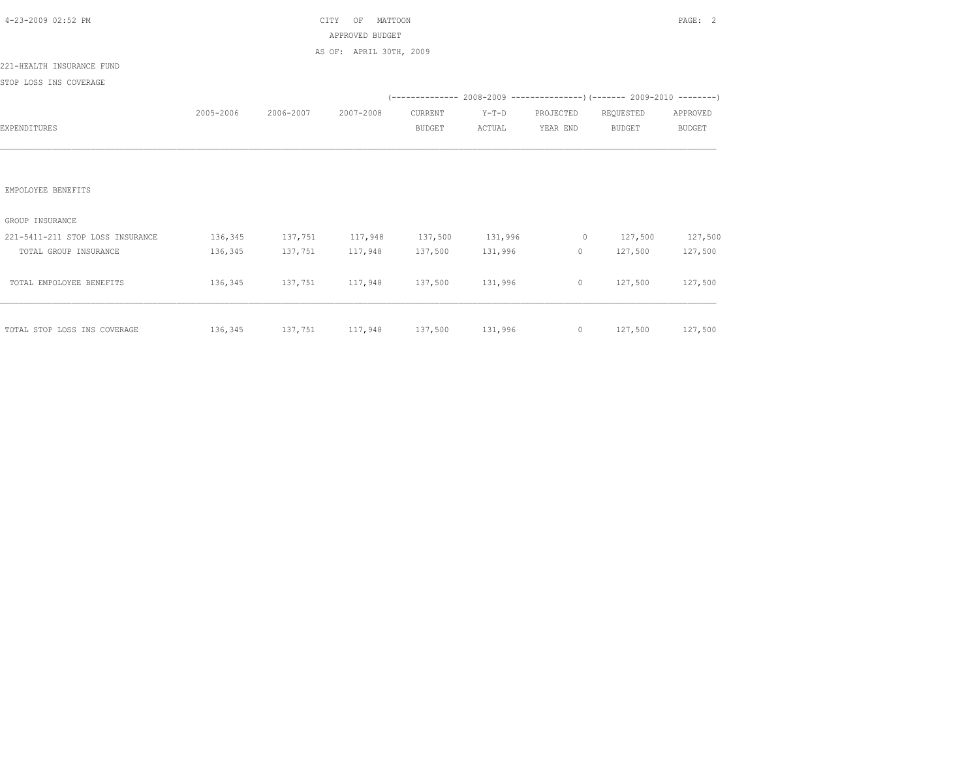| 4-23-2009 02:52 PM               |           | CITY                | PAGE: 2                                           |               |                 |                |                                                                         |               |
|----------------------------------|-----------|---------------------|---------------------------------------------------|---------------|-----------------|----------------|-------------------------------------------------------------------------|---------------|
|                                  |           |                     | APPROVED BUDGET                                   |               |                 |                |                                                                         |               |
|                                  |           |                     | AS OF: APRIL 30TH, 2009                           |               |                 |                |                                                                         |               |
| 221-HEALTH INSURANCE FUND        |           |                     |                                                   |               |                 |                |                                                                         |               |
| STOP LOSS INS COVERAGE           |           |                     |                                                   |               |                 |                |                                                                         |               |
|                                  |           |                     |                                                   |               |                 |                |                                                                         |               |
|                                  | 2005-2006 | 2006-2007 2007-2008 |                                                   | CURRENT       | $Y-T-D$         | PROJECTED      | REQUESTED                                                               | APPROVED      |
| EXPENDITURES                     |           |                     |                                                   | <b>BUDGET</b> | ACTUAL          | YEAR END       | BUDGET                                                                  | <b>BUDGET</b> |
|                                  |           |                     |                                                   |               |                 |                |                                                                         |               |
|                                  |           |                     |                                                   |               |                 |                |                                                                         |               |
| EMPOLOYEE BENEFITS               |           |                     |                                                   |               |                 |                |                                                                         |               |
| GROUP INSURANCE                  |           |                     |                                                   |               |                 |                |                                                                         |               |
| 221-5411-211 STOP LOSS INSURANCE |           |                     |                                                   |               |                 |                | $136,345$ $137,751$ $117,948$ $137,500$ $131,996$ 0 $127,500$ $127,500$ |               |
| TOTAL GROUP INSURANCE            | 136,345   | 137,751 117,948     |                                                   |               | 137,500 131,996 | $\overline{0}$ | 127,500                                                                 | 127,500       |
|                                  |           |                     |                                                   |               |                 |                |                                                                         |               |
| TOTAL EMPOLOYEE BENEFITS         |           |                     | $136,345$ $137,751$ $117,948$ $137,500$ $131,996$ |               |                 |                | $0 \t 127,500$                                                          | 127,500       |
|                                  |           |                     |                                                   |               |                 |                |                                                                         |               |
| TOTAL STOP LOSS INS COVERAGE     |           |                     |                                                   |               |                 |                | $136,345$ $137,751$ $117,948$ $137,500$ $131,996$ 0 $127,500$ $127,500$ |               |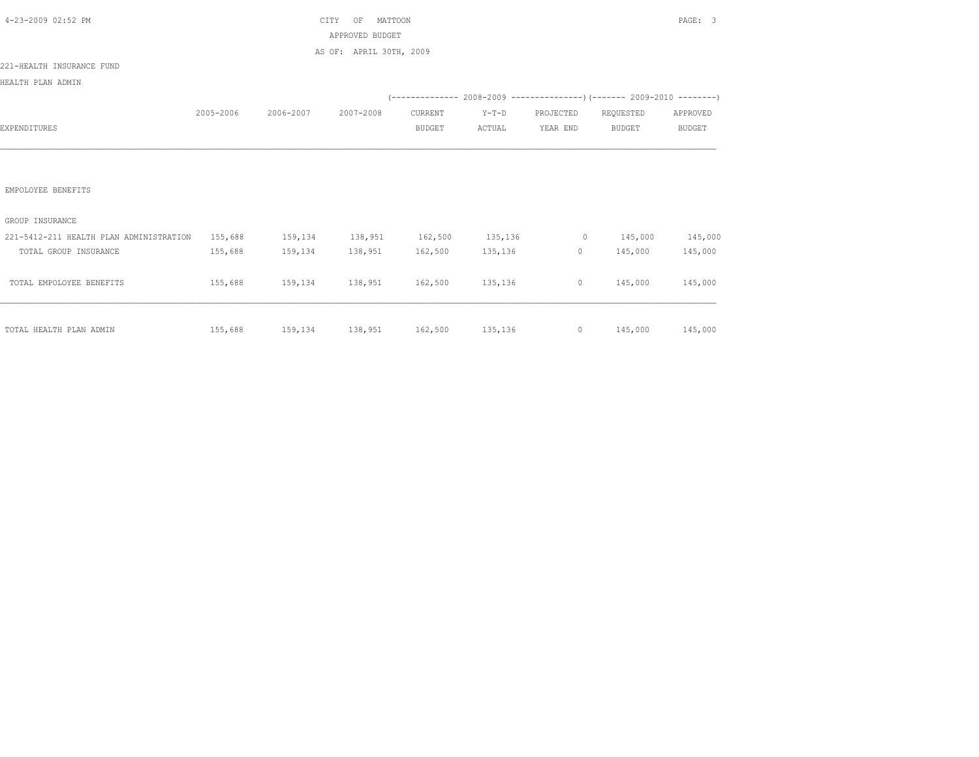| 4-23-2009 02:52 PM                      |           |                                 | CITY<br>MATTOON<br>OF   | PAGE: 3       |          |                |                                                                                                                                                                                                                                                                                              |               |
|-----------------------------------------|-----------|---------------------------------|-------------------------|---------------|----------|----------------|----------------------------------------------------------------------------------------------------------------------------------------------------------------------------------------------------------------------------------------------------------------------------------------------|---------------|
|                                         |           |                                 | APPROVED BUDGET         |               |          |                |                                                                                                                                                                                                                                                                                              |               |
|                                         |           |                                 | AS OF: APRIL 30TH, 2009 |               |          |                |                                                                                                                                                                                                                                                                                              |               |
| 221-HEALTH INSURANCE FUND               |           |                                 |                         |               |          |                |                                                                                                                                                                                                                                                                                              |               |
| HEALTH PLAN ADMIN                       |           |                                 |                         |               |          |                |                                                                                                                                                                                                                                                                                              |               |
|                                         |           |                                 |                         |               |          |                | $(---------- 2008-2009 ---------- 2009-2010 ---- 2009-2010 ---- 2009-2010 ---- 2009-2010 ---- 2009-2010 ---- 2009-2010 ---- 2009-2010 ---- 2009-2010 ---- 2009-2010 ---- 2009-2010 ---- 2009-2010 ---- 2009-2010 ---- 2009-2010 ---- 2009-2010 ---- 2009-2010 ---- 2009-2010 ---- 2009-2010$ |               |
|                                         | 2005-2006 | 2006-2007                       | 2007-2008               | CURRENT       | $Y-T-D$  | PROJECTED      | REQUESTED                                                                                                                                                                                                                                                                                    | APPROVED      |
| EXPENDITURES                            |           |                                 |                         | <b>BUDGET</b> | ACTUAL   | YEAR END       | <b>BUDGET</b>                                                                                                                                                                                                                                                                                | <b>BUDGET</b> |
|                                         |           |                                 |                         |               |          |                |                                                                                                                                                                                                                                                                                              |               |
|                                         |           |                                 |                         |               |          |                |                                                                                                                                                                                                                                                                                              |               |
|                                         |           |                                 |                         |               |          |                |                                                                                                                                                                                                                                                                                              |               |
| EMPOLOYEE BENEFITS                      |           |                                 |                         |               |          |                |                                                                                                                                                                                                                                                                                              |               |
|                                         |           |                                 |                         |               |          |                |                                                                                                                                                                                                                                                                                              |               |
| GROUP INSURANCE                         |           |                                 |                         |               |          |                |                                                                                                                                                                                                                                                                                              |               |
| 221-5412-211 HEALTH PLAN ADMINISTRATION | 155,688   | 159,134 138,951 162,500 135,136 |                         |               |          | $\sim$ 0       | 145,000                                                                                                                                                                                                                                                                                      | 145,000       |
| TOTAL GROUP INSURANCE                   | 155,688   |                                 | 159, 134 138, 951       | 162,500       | 135, 136 | $\overline{0}$ | 145,000                                                                                                                                                                                                                                                                                      | 145,000       |
|                                         |           |                                 |                         |               |          |                |                                                                                                                                                                                                                                                                                              |               |
| TOTAL EMPOLOYEE BENEFITS                | 155,688   | 159,134 138,951 162,500 135,136 |                         |               |          | $\circ$        | 145,000                                                                                                                                                                                                                                                                                      | 145,000       |
|                                         |           |                                 |                         |               |          |                |                                                                                                                                                                                                                                                                                              |               |
|                                         |           |                                 |                         |               |          |                |                                                                                                                                                                                                                                                                                              |               |
| TOTAL HEALTH PLAN ADMIN                 | 155,688   | 159,134 138,951 162,500 135,136 |                         |               |          |                | $0 \t 145,000$                                                                                                                                                                                                                                                                               | 145,000       |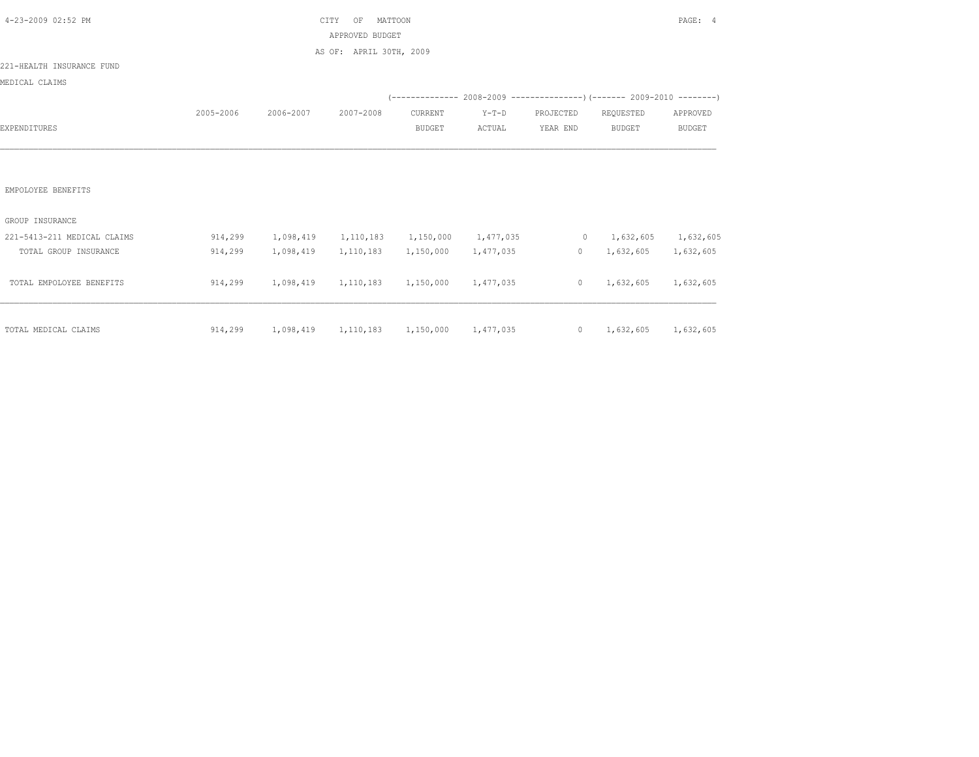| 4-23-2009 02:52 PM          |           | CITY                                            |                         | PAGE: 4       |           |                |                                                                          |               |
|-----------------------------|-----------|-------------------------------------------------|-------------------------|---------------|-----------|----------------|--------------------------------------------------------------------------|---------------|
|                             |           |                                                 | APPROVED BUDGET         |               |           |                |                                                                          |               |
|                             |           |                                                 | AS OF: APRIL 30TH, 2009 |               |           |                |                                                                          |               |
| 221-HEALTH INSURANCE FUND   |           |                                                 |                         |               |           |                |                                                                          |               |
| MEDICAL CLAIMS              |           |                                                 |                         |               |           |                |                                                                          |               |
|                             |           |                                                 |                         |               |           |                | (-------------- 2008-2009 ----------------) (------- 2009-2010 --------) |               |
|                             | 2005-2006 | 2006-2007                                       | 2007-2008               | CURRENT       | $Y-T-D$   | PROJECTED      | REQUESTED                                                                | APPROVED      |
| EXPENDITURES                |           |                                                 |                         | <b>BUDGET</b> | ACTUAL    | YEAR END       | <b>BUDGET</b>                                                            | <b>BUDGET</b> |
|                             |           |                                                 |                         |               |           |                |                                                                          |               |
|                             |           |                                                 |                         |               |           |                |                                                                          |               |
|                             |           |                                                 |                         |               |           |                |                                                                          |               |
| EMPOLOYEE BENEFITS          |           |                                                 |                         |               |           |                |                                                                          |               |
|                             |           |                                                 |                         |               |           |                |                                                                          |               |
| GROUP INSURANCE             |           |                                                 |                         |               |           |                |                                                                          |               |
| 221-5413-211 MEDICAL CLAIMS | 914,299   | 1,098,419                                       | 1,110,183               | 1,150,000     | 1,477,035 |                | $0 \qquad 1,632,605$                                                     | 1,632,605     |
| TOTAL GROUP INSURANCE       | 914,299   | 1,098,419                                       | 1,110,183               | 1,150,000     | 1,477,035 | $\overline{0}$ | 1,632,605                                                                | 1,632,605     |
|                             |           |                                                 |                         |               |           |                |                                                                          |               |
| TOTAL EMPOLOYEE BENEFITS    | 914,299   | 1,098,419 1,110,183                             |                         | 1,150,000     | 1,477,035 | $\circ$        | 1,632,605                                                                | 1,632,605     |
|                             |           |                                                 |                         |               |           |                |                                                                          |               |
|                             |           |                                                 |                         |               |           |                |                                                                          |               |
| TOTAL MEDICAL CLAIMS        |           | 914,299 1,098,419 1,110,183 1,150,000 1,477,035 |                         |               |           |                | $0 \qquad 1,632,605$                                                     | 1,632,605     |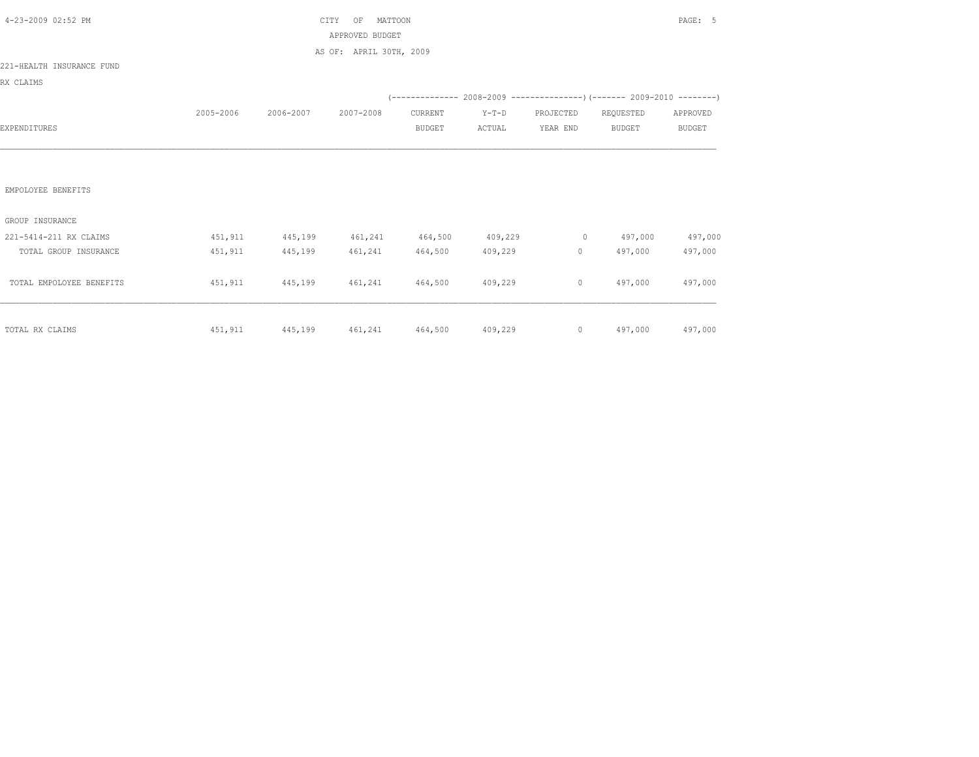| 4-23-2009 02:52 PM        |           | <b>CTTY</b>                     | PAGE: 5                 |                 |         |           |                                                                          |               |
|---------------------------|-----------|---------------------------------|-------------------------|-----------------|---------|-----------|--------------------------------------------------------------------------|---------------|
|                           |           |                                 | APPROVED BUDGET         |                 |         |           |                                                                          |               |
|                           |           |                                 | AS OF: APRIL 30TH, 2009 |                 |         |           |                                                                          |               |
| 221-HEALTH INSURANCE FUND |           |                                 |                         |                 |         |           |                                                                          |               |
| RX CLAIMS                 |           |                                 |                         |                 |         |           |                                                                          |               |
|                           |           |                                 |                         |                 |         |           | (-------------- 2008-2009 ----------------) (------- 2009-2010 --------) |               |
|                           | 2005-2006 | 2006-2007                       | 2007-2008               | CURRENT         | $Y-T-D$ | PROJECTED | REQUESTED                                                                | APPROVED      |
| EXPENDITURES              |           |                                 |                         | <b>BUDGET</b>   | ACTUAL  | YEAR END  | <b>BUDGET</b>                                                            | <b>BUDGET</b> |
|                           |           |                                 |                         |                 |         |           |                                                                          |               |
|                           |           |                                 |                         |                 |         |           |                                                                          |               |
|                           |           |                                 |                         |                 |         |           |                                                                          |               |
| EMPOLOYEE BENEFITS        |           |                                 |                         |                 |         |           |                                                                          |               |
|                           |           |                                 |                         |                 |         |           |                                                                          |               |
| GROUP INSURANCE           |           |                                 |                         |                 |         |           |                                                                          |               |
| 221-5414-211 RX CLAIMS    | 451,911   | 445,199 461,241 464,500 409,229 |                         |                 |         |           | $0 \t 497,000$                                                           | 497,000       |
| TOTAL GROUP INSURANCE     | 451,911   | 445,199                         | 461,241                 | 464,500         | 409,229 | $\circ$   | 497,000                                                                  | 497,000       |
|                           |           |                                 |                         |                 |         |           |                                                                          |               |
| TOTAL EMPOLOYEE BENEFITS  | 451,911   | 445,199 461,241                 |                         | 464,500 409,229 |         | $\circ$   | 497,000                                                                  | 497,000       |
|                           |           |                                 |                         |                 |         |           |                                                                          |               |
|                           |           |                                 |                         |                 |         |           |                                                                          |               |
| TOTAL RX CLAIMS           |           |                                 |                         |                 |         |           | $451,911$ $445,199$ $461,241$ $464,500$ $409,229$ 0 $497,000$ $497,000$  |               |
|                           |           |                                 |                         |                 |         |           |                                                                          |               |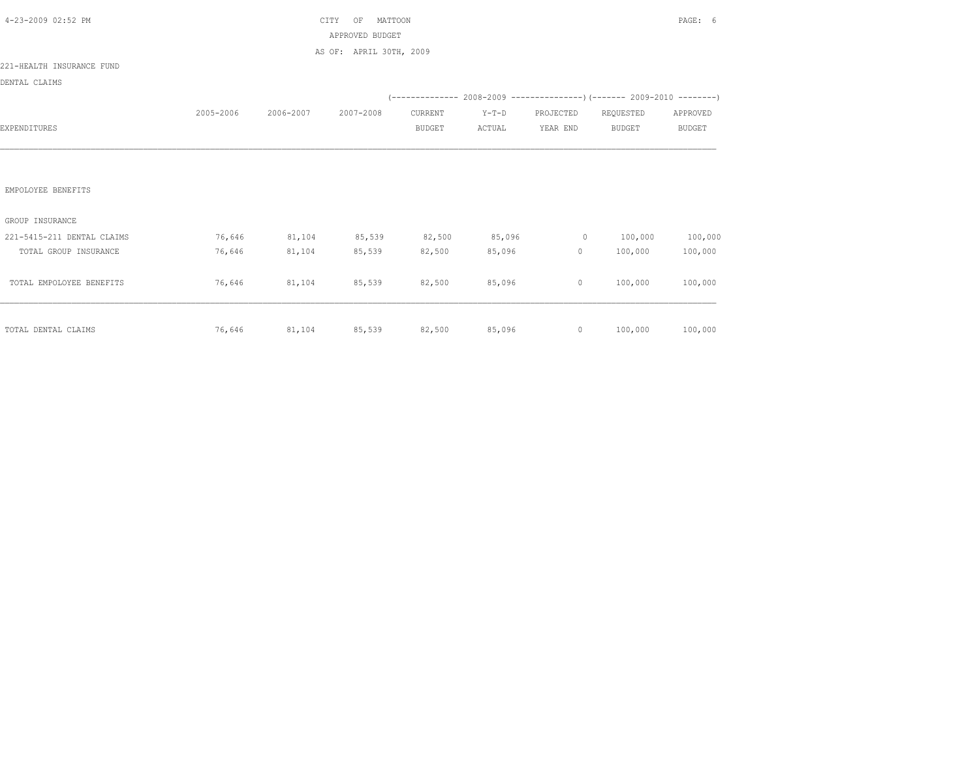| 4-23-2009 02:52 PM         |           | CITY          | PAGE: 6                     |         |         |                                                                                                                                                                                                                                                                                                                                              |                                                                          |               |
|----------------------------|-----------|---------------|-----------------------------|---------|---------|----------------------------------------------------------------------------------------------------------------------------------------------------------------------------------------------------------------------------------------------------------------------------------------------------------------------------------------------|--------------------------------------------------------------------------|---------------|
|                            |           |               | APPROVED BUDGET             |         |         |                                                                                                                                                                                                                                                                                                                                              |                                                                          |               |
|                            |           |               | AS OF: APRIL 30TH, 2009     |         |         |                                                                                                                                                                                                                                                                                                                                              |                                                                          |               |
| 221-HEALTH INSURANCE FUND  |           |               |                             |         |         |                                                                                                                                                                                                                                                                                                                                              |                                                                          |               |
| DENTAL CLAIMS              |           |               |                             |         |         |                                                                                                                                                                                                                                                                                                                                              |                                                                          |               |
|                            |           |               |                             |         |         |                                                                                                                                                                                                                                                                                                                                              | (-------------- 2008-2009 ----------------) (------- 2009-2010 --------) |               |
|                            | 2005-2006 | 2006-2007     | 2007-2008                   | CURRENT | $Y-T-D$ | PROJECTED                                                                                                                                                                                                                                                                                                                                    | REQUESTED                                                                | APPROVED      |
| EXPENDITURES               |           |               |                             | BUDGET  | ACTUAL  | YEAR END                                                                                                                                                                                                                                                                                                                                     | <b>BUDGET</b>                                                            | <b>BUDGET</b> |
|                            |           |               |                             |         |         |                                                                                                                                                                                                                                                                                                                                              |                                                                          |               |
|                            |           |               |                             |         |         |                                                                                                                                                                                                                                                                                                                                              |                                                                          |               |
|                            |           |               |                             |         |         |                                                                                                                                                                                                                                                                                                                                              |                                                                          |               |
| EMPOLOYEE BENEFITS         |           |               |                             |         |         |                                                                                                                                                                                                                                                                                                                                              |                                                                          |               |
|                            |           |               |                             |         |         |                                                                                                                                                                                                                                                                                                                                              |                                                                          |               |
| GROUP INSURANCE            |           |               |                             |         |         |                                                                                                                                                                                                                                                                                                                                              |                                                                          |               |
| 221-5415-211 DENTAL CLAIMS |           | 76,646 81,104 | 85,539                      | 82,500  | 85,096  | $\sim$ 0                                                                                                                                                                                                                                                                                                                                     | 100,000                                                                  | 100,000       |
| TOTAL GROUP INSURANCE      | 76,646    | 81,104        | 85,539                      | 82,500  | 85,096  | $\circ$                                                                                                                                                                                                                                                                                                                                      | 100,000                                                                  | 100,000       |
|                            |           |               |                             |         |         |                                                                                                                                                                                                                                                                                                                                              |                                                                          |               |
| TOTAL EMPOLOYEE BENEFITS   | 76,646    | 81,104        | 85,539                      | 82,500  | 85,096  | $\circ$                                                                                                                                                                                                                                                                                                                                      | 100,000                                                                  | 100,000       |
|                            |           |               |                             |         |         |                                                                                                                                                                                                                                                                                                                                              |                                                                          |               |
|                            |           |               |                             |         |         |                                                                                                                                                                                                                                                                                                                                              |                                                                          |               |
| TOTAL DENTAL CLAIMS        |           |               | 76,646 81,104 85,539 82,500 |         |         | 85,096<br>$\overline{0}$ and $\overline{0}$ and $\overline{0}$ and $\overline{0}$ and $\overline{0}$ and $\overline{0}$ and $\overline{0}$ and $\overline{0}$ and $\overline{0}$ and $\overline{0}$ and $\overline{0}$ and $\overline{0}$ and $\overline{0}$ and $\overline{0}$ and $\overline{0}$ and $\overline{0}$ and $\overline{0}$ and | 100,000                                                                  | 100,000       |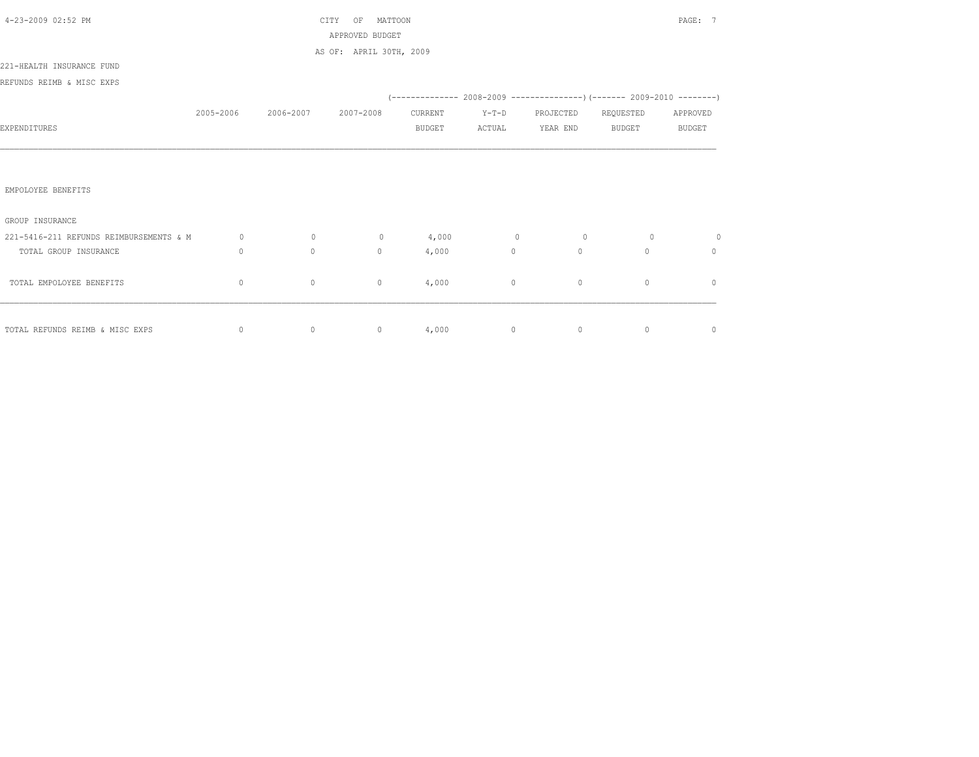| 4-23-2009 02:52 PM                      |           |                | MATTOON<br>CITY<br>OF   | PAGE: 7       |                |                 |                |               |
|-----------------------------------------|-----------|----------------|-------------------------|---------------|----------------|-----------------|----------------|---------------|
|                                         |           |                | APPROVED BUDGET         |               |                |                 |                |               |
|                                         |           |                | AS OF: APRIL 30TH, 2009 |               |                |                 |                |               |
| 221-HEALTH INSURANCE FUND               |           |                |                         |               |                |                 |                |               |
| REFUNDS REIMB & MISC EXPS               |           |                |                         |               |                |                 |                |               |
|                                         |           |                |                         |               |                |                 |                |               |
|                                         | 2005-2006 | 2006-2007      | 2007-2008               | CURRENT       | $Y-T-D$        | PROJECTED       | REQUESTED      | APPROVED      |
| EXPENDITURES                            |           |                |                         | <b>BUDGET</b> | ACTUAL         | YEAR END BUDGET |                | <b>BUDGET</b> |
|                                         |           |                |                         |               |                |                 |                |               |
|                                         |           |                |                         |               |                |                 |                |               |
|                                         |           |                |                         |               |                |                 |                |               |
| EMPOLOYEE BENEFITS                      |           |                |                         |               |                |                 |                |               |
|                                         |           |                |                         |               |                |                 |                |               |
| GROUP INSURANCE                         |           |                |                         |               |                |                 |                |               |
| 221-5416-211 REFUNDS REIMBURSEMENTS & M | $\circ$   | $\overline{0}$ | $\circ$                 | 4,000         | $\overline{0}$ | $\circ$         | $\overline{0}$ | $\circ$       |
| TOTAL GROUP INSURANCE                   | $\circ$   | $\circ$        | $\Omega$                | 4,000         | $\circ$        | $\circ$         | $\Omega$       | $\mathbf{0}$  |
|                                         |           |                |                         |               |                |                 |                |               |
| TOTAL EMPOLOYEE BENEFITS                | 0         | $\circ$        | $\circ$                 | 4,000         | $\circ$        | $\circ$         | $\mathbf{0}$   | $\mathbf{0}$  |
|                                         |           |                |                         |               |                |                 |                |               |
|                                         |           |                |                         |               |                |                 |                |               |
| TOTAL REFUNDS REIMB & MISC EXPS         | $\circ$   | $\circ$        | $\circ$                 | 4,000         | $\circ$        | $\sim$ 0        | $\overline{0}$ | $\mathbf{0}$  |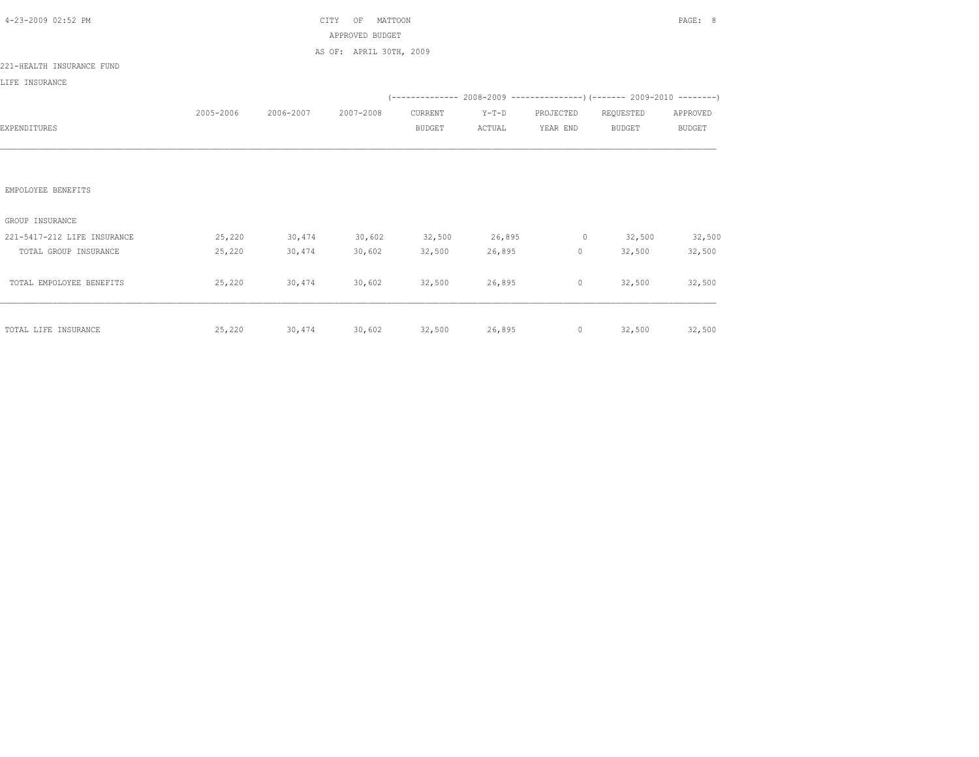| 4-23-2009 02:52 PM          |           | CITY      | PAGE: 8                                            |                          |                   |                                        |                                                                          |                           |
|-----------------------------|-----------|-----------|----------------------------------------------------|--------------------------|-------------------|----------------------------------------|--------------------------------------------------------------------------|---------------------------|
|                             |           |           | APPROVED BUDGET                                    |                          |                   |                                        |                                                                          |                           |
| 221-HEALTH INSURANCE FUND   |           |           | AS OF: APRIL 30TH, 2009                            |                          |                   |                                        |                                                                          |                           |
| LIFE INSURANCE              |           |           |                                                    |                          |                   |                                        |                                                                          |                           |
|                             |           |           |                                                    |                          |                   |                                        | (-------------- 2008-2009 ----------------) (------- 2009-2010 --------) |                           |
| EXPENDITURES                | 2005-2006 | 2006-2007 | 2007-2008                                          | CURRENT<br><b>BUDGET</b> | $Y-T-D$<br>ACTUAL | PROJECTED<br>YEAR END                  | REQUESTED<br><b>BUDGET</b>                                               | APPROVED<br><b>BUDGET</b> |
|                             |           |           |                                                    |                          |                   |                                        |                                                                          |                           |
| EMPOLOYEE BENEFITS          |           |           |                                                    |                          |                   |                                        |                                                                          |                           |
| GROUP INSURANCE             |           |           |                                                    |                          |                   |                                        |                                                                          |                           |
| 221-5417-212 LIFE INSURANCE | 25,220    | 30,474    | 30,602                                             |                          | 32,500 26,895     |                                        | $0 \t 32,500$                                                            | 32,500                    |
| TOTAL GROUP INSURANCE       | 25,220    | 30,474    | 30,602                                             | 32,500                   | 26,895            | $\begin{array}{ccc} 0 & & \end{array}$ | 32,500                                                                   | 32,500                    |
| TOTAL EMPOLOYEE BENEFITS    | 25,220    | 30,474    | 30,602                                             | 32,500                   | 26,895            | $\circ$                                | 32,500                                                                   | 32,500                    |
| TOTAL LIFE INSURANCE        |           |           | 25,220 30,474 30,602 32,500 26,895 0 32,500 32,500 |                          |                   |                                        |                                                                          |                           |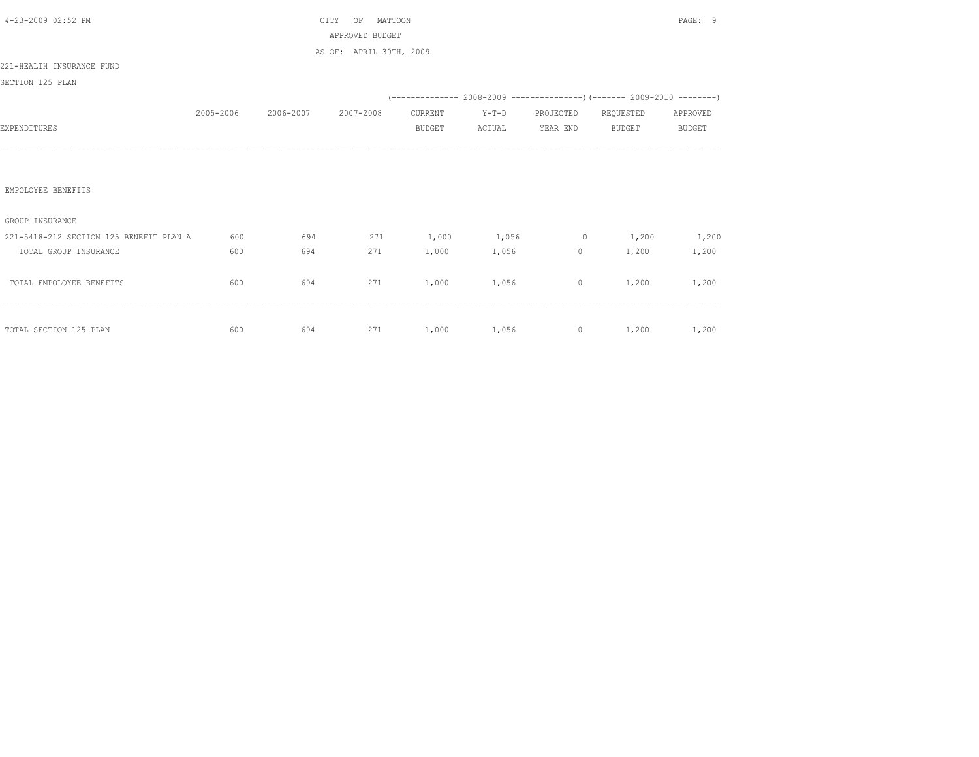| 4-23-2009 02:52 PM                      |           |                     | CITY<br>MATTOON<br>OF   | PAGE: 9 |                 |                     |                                                                          |          |
|-----------------------------------------|-----------|---------------------|-------------------------|---------|-----------------|---------------------|--------------------------------------------------------------------------|----------|
|                                         |           |                     | APPROVED BUDGET         |         |                 |                     |                                                                          |          |
|                                         |           |                     | AS OF: APRIL 30TH, 2009 |         |                 |                     |                                                                          |          |
| 221-HEALTH INSURANCE FUND               |           |                     |                         |         |                 |                     |                                                                          |          |
| SECTION 125 PLAN                        |           |                     |                         |         |                 |                     |                                                                          |          |
|                                         |           |                     |                         |         |                 |                     | (-------------- 2008-2009 ----------------) (------- 2009-2010 --------) |          |
|                                         | 2005-2006 | 2006-2007 2007-2008 |                         | CURRENT | $Y-T-D$         | PROJECTED REQUESTED |                                                                          | APPROVED |
| EXPENDITURES                            |           |                     |                         | BUDGET  | ACTUAL          | YEAR END            | BUDGET                                                                   | BUDGET   |
|                                         |           |                     |                         |         |                 |                     |                                                                          |          |
|                                         |           |                     |                         |         |                 |                     |                                                                          |          |
|                                         |           |                     |                         |         |                 |                     |                                                                          |          |
| EMPOLOYEE BENEFITS                      |           |                     |                         |         |                 |                     |                                                                          |          |
|                                         |           |                     |                         |         |                 |                     |                                                                          |          |
| GROUP INSURANCE                         |           |                     |                         |         |                 |                     |                                                                          |          |
| 221-5418-212 SECTION 125 BENEFIT PLAN A | 600       | 694                 | 271                     |         |                 |                     | $1,000$ $1,056$ 0 $1,200$                                                | 1,200    |
| TOTAL GROUP INSURANCE                   | 600       | 694                 | 271                     | 1,000   | 1,056           | $0 \qquad \qquad$   | 1,200                                                                    | 1,200    |
|                                         |           |                     |                         |         |                 |                     |                                                                          |          |
| TOTAL EMPOLOYEE BENEFITS                | 600       | 694                 | 271                     | 1,000   | 1,056           | $\circ$             | 1,200                                                                    | 1,200    |
|                                         |           |                     |                         |         |                 |                     |                                                                          |          |
|                                         |           |                     |                         |         |                 |                     |                                                                          |          |
| TOTAL SECTION 125 PLAN                  | 600       | 694                 |                         |         | 271 1,000 1,056 |                     | $0 \t 1,200$                                                             | 1,200    |